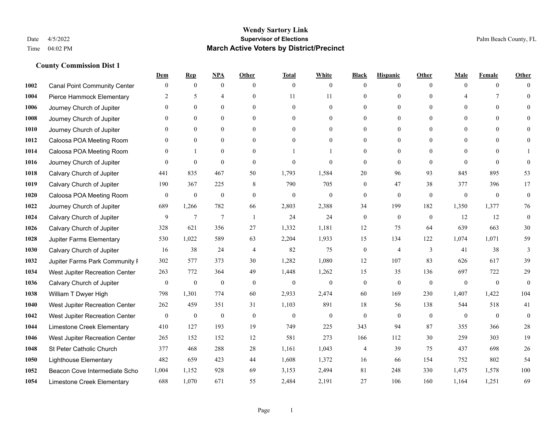|      |                                     | Dem              | <b>Rep</b>       | NPA              | <b>Other</b>   | <b>Total</b>     | <b>White</b>     | <b>Black</b>     | <b>Hispanic</b> | <b>Other</b>   | <b>Male</b>           | <b>Female</b>  | <b>Other</b>     |
|------|-------------------------------------|------------------|------------------|------------------|----------------|------------------|------------------|------------------|-----------------|----------------|-----------------------|----------------|------------------|
| 1002 | <b>Canal Point Community Center</b> | $\mathbf{0}$     | $\mathbf{0}$     | $\boldsymbol{0}$ | $\theta$       | $\mathbf{0}$     | $\overline{0}$   | $\mathbf{0}$     | $\mathbf{0}$    | $\theta$       | $\mathbf{0}$          | $\overline{0}$ | $\Omega$         |
| 1004 | Pierce Hammock Elementary           | 2                | 5                | $\overline{4}$   | $\theta$       | 11               | 11               | $\theta$         | $\mathbf{0}$    | $\Omega$       | $\boldsymbol{\Delta}$ | $\tau$         | $\theta$         |
| 1006 | Journey Church of Jupiter           | $\Omega$         | $\theta$         | $\theta$         | $\Omega$       | $\theta$         | $\theta$         | $\Omega$         | $\theta$        | $\Omega$       | $\Omega$              | $\Omega$       | $\Omega$         |
| 1008 | Journey Church of Jupiter           | $\mathbf{0}$     | $\mathbf{0}$     | $\mathbf{0}$     | $\mathbf{0}$   | $\theta$         | $\overline{0}$   | $\overline{0}$   | $\mathbf{0}$    | $\Omega$       | $\mathbf{0}$          | $\mathbf{0}$   |                  |
| 1010 | Journey Church of Jupiter           | $\Omega$         | $\theta$         | $\mathbf{0}$     | $\theta$       | $\Omega$         | $\overline{0}$   | $\theta$         | $\mathbf{0}$    | $\Omega$       | $\theta$              | $\theta$       | $\Omega$         |
| 1012 | Caloosa POA Meeting Room            | $\Omega$         | $\mathbf{0}$     | $\mathbf{0}$     | $\theta$       | $\theta$         | $\mathbf{0}$     | $\theta$         | $\mathbf{0}$    | $\Omega$       | $\mathbf{0}$          | $\theta$       | $\Omega$         |
| 1014 | Caloosa POA Meeting Room            | $\mathbf{0}$     | $\mathbf{1}$     | $\mathbf{0}$     | $\mathbf{0}$   |                  |                  | $\mathbf{0}$     | $\mathbf{0}$    | $\Omega$       | $\mathbf{0}$          | $\theta$       |                  |
| 1016 | Journey Church of Jupiter           | $\Omega$         | $\mathbf{0}$     | $\theta$         | $\theta$       | $\theta$         | $\theta$         | $\mathbf{0}$     | $\theta$        | $\Omega$       | $\Omega$              | $\Omega$       | $\theta$         |
| 1018 | Calvary Church of Jupiter           | 441              | 835              | 467              | 50             | 1,793            | 1,584            | 20               | 96              | 93             | 845                   | 895            | 53               |
| 1019 | Calvary Church of Jupiter           | 190              | 367              | 225              | 8              | 790              | 705              | $\mathbf{0}$     | 47              | 38             | 377                   | 396            | 17               |
| 1020 | Caloosa POA Meeting Room            | $\boldsymbol{0}$ | $\boldsymbol{0}$ | $\boldsymbol{0}$ | $\theta$       | $\mathbf{0}$     | $\mathbf{0}$     | $\mathbf{0}$     | $\mathbf{0}$    | $\mathbf{0}$   | $\mathbf{0}$          | $\overline{0}$ | $\mathbf{0}$     |
| 1022 | Journey Church of Jupiter           | 689              | 1,266            | 782              | 66             | 2,803            | 2,388            | 34               | 199             | 182            | 1,350                 | 1,377          | 76               |
| 1024 | Calvary Church of Jupiter           | 9                | $\overline{7}$   | $\overline{7}$   | $\overline{1}$ | 24               | 24               | $\mathbf{0}$     | $\mathbf{0}$    | $\theta$       | 12                    | 12             | $\boldsymbol{0}$ |
| 1026 | Calvary Church of Jupiter           | 328              | 621              | 356              | 27             | 1,332            | 1,181            | 12               | 75              | 64             | 639                   | 663            | 30               |
| 1028 | Jupiter Farms Elementary            | 530              | 1,022            | 589              | 63             | 2,204            | 1,933            | 15               | 134             | 122            | 1,074                 | 1,071          | 59               |
| 1030 | Calvary Church of Jupiter           | 16               | 38               | 24               | $\overline{4}$ | 82               | 75               | $\boldsymbol{0}$ | $\overline{4}$  | 3              | 41                    | 38             | 3                |
| 1032 | Jupiter Farms Park Community I      | 302              | 577              | 373              | 30             | 1,282            | 1,080            | 12               | 107             | 83             | 626                   | 617            | 39               |
| 1034 | West Jupiter Recreation Center      | 263              | 772              | 364              | 49             | 1,448            | 1,262            | 15               | 35              | 136            | 697                   | 722            | 29               |
| 1036 | Calvary Church of Jupiter           | $\mathbf{0}$     | $\boldsymbol{0}$ | $\boldsymbol{0}$ | $\mathbf{0}$   | $\boldsymbol{0}$ | $\boldsymbol{0}$ | $\boldsymbol{0}$ | $\mathbf{0}$    | $\mathbf{0}$   | $\mathbf{0}$          | $\mathbf{0}$   | $\mathbf{0}$     |
| 1038 | William T Dwyer High                | 798              | 1,301            | 774              | 60             | 2,933            | 2,474            | 60               | 169             | 230            | 1,407                 | 1,422          | 104              |
| 1040 | West Jupiter Recreation Center      | 262              | 459              | 351              | 31             | 1,103            | 891              | 18               | 56              | 138            | 544                   | 518            | 41               |
| 1042 | West Jupiter Recreation Center      | $\boldsymbol{0}$ | $\boldsymbol{0}$ | $\boldsymbol{0}$ | $\mathbf{0}$   | $\boldsymbol{0}$ | $\mathbf{0}$     | $\boldsymbol{0}$ | $\mathbf{0}$    | $\overline{0}$ | $\boldsymbol{0}$      | $\mathbf{0}$   | $\mathbf{0}$     |
| 1044 | Limestone Creek Elementary          | 410              | 127              | 193              | 19             | 749              | 225              | 343              | 94              | 87             | 355                   | 366            | $28\,$           |
| 1046 | West Jupiter Recreation Center      | 265              | 152              | 152              | 12             | 581              | 273              | 166              | 112             | 30             | 259                   | 303            | 19               |
| 1048 | St Peter Catholic Church            | 377              | 468              | 288              | $28\,$         | 1,161            | 1,043            | 4                | 39              | 75             | 437                   | 698            | $26\,$           |
| 1050 | <b>Lighthouse Elementary</b>        | 482              | 659              | 423              | 44             | 1,608            | 1,372            | 16               | 66              | 154            | 752                   | 802            | 54               |
| 1052 | Beacon Cove Intermediate Scho       | 1,004            | 1,152            | 928              | 69             | 3,153            | 2,494            | 81               | 248             | 330            | 1,475                 | 1,578          | 100              |
| 1054 | Limestone Creek Elementary          | 688              | 1,070            | 671              | 55             | 2,484            | 2,191            | 27               | 106             | 160            | 1,164                 | 1,251          | 69               |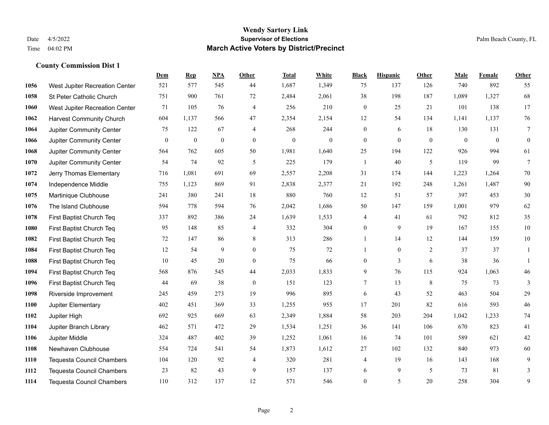## **Wendy Sartory Link** Date 4/5/2022 **Supervisor of Elections** Palm Beach County, FL Time 04:02 PM **March Active Voters by District/Precinct**

**Dem Rep NPA Other Total White Black Hispanic Other Male Female Other**

# West Jupiter Recreation Center 521 577 545 44 1,687 1,349 75 137 126 740 892 55 St Peter Catholic Church 751 900 761 72 2,484 2,061 38 198 187 1,089 1,327 68

| 1060 | <b>West Jupiter Recreation Center</b> | 71       | 105            | 76             | $\overline{4}$   | 256            | 210            | $\overline{0}$ | 25             | 21       | 101      | 138      | 17           |
|------|---------------------------------------|----------|----------------|----------------|------------------|----------------|----------------|----------------|----------------|----------|----------|----------|--------------|
| 1062 | <b>Harvest Community Church</b>       | 604      | 1,137          | 566            | 47               | 2,354          | 2,154          | 12             | 54             | 134      | 1,141    | 1,137    | 76           |
| 1064 | Jupiter Community Center              | 75       | 122            | 67             | $\overline{4}$   | 268            | 244            | $\overline{0}$ | 6              | 18       | 130      | 131      | 7            |
| 1066 | Jupiter Community Center              | $\theta$ | $\overline{0}$ | $\overline{0}$ | $\mathbf{0}$     | $\overline{0}$ | $\overline{0}$ | $\overline{0}$ | $\overline{0}$ | $\theta$ | $\theta$ | $\theta$ | $\mathbf{0}$ |
| 1068 | Jupiter Community Center              | 564      | 762            | 605            | 50               | 1,981          | 1,640          | 25             | 194            | 122      | 926      | 994      | 61           |
| 1070 | Jupiter Community Center              | 54       | 74             | 92             | 5                | 225            | 179            | $\mathbf{1}$   | 40             | 5        | 119      | 99       | $\tau$       |
| 1072 | Jerry Thomas Elementary               | 716      | 1,081          | 691            | 69               | 2,557          | 2,208          | 31             | 174            | 144      | 1,223    | 1,264    | 70           |
| 1074 | Independence Middle                   | 755      | 1,123          | 869            | 91               | 2,838          | 2,377          | 21             | 192            | 248      | 1,261    | 1,487    | 90           |
| 1075 | Martinique Clubhouse                  | 241      | 380            | 241            | 18               | 880            | 760            | 12             | 51             | 57       | 397      | 453      | $30\,$       |
| 1076 | The Island Clubhouse                  | 594      | 778            | 594            | 76               | 2,042          | 1,686          | 50             | 147            | 159      | 1,001    | 979      | 62           |
| 1078 | First Baptist Church Teq              | 337      | 892            | 386            | 24               | 1,639          | 1,533          | 4              | 41             | 61       | 792      | 812      | 35           |
| 1080 | First Baptist Church Teq              | 95       | 148            | 85             | $\overline{4}$   | 332            | 304            | $\overline{0}$ | 9              | 19       | 167      | 155      | $10\,$       |
| 1082 | First Baptist Church Teq              | 72       | 147            | 86             | 8                | 313            | 286            |                | 14             | 12       | 144      | 159      | $10\,$       |
| 1084 | First Baptist Church Teq              | 12       | 54             | 9              | $\mathbf{0}$     | 75             | 72             |                | $\overline{0}$ | 2        | 37       | 37       | 1            |
| 1088 | First Baptist Church Teq              | 10       | 45             | 20             | $\mathbf{0}$     | 75             | 66             | $\overline{0}$ | 3              | 6        | 38       | 36       |              |
| 1094 | First Baptist Church Teq              | 568      | 876            | 545            | 44               | 2,033          | 1,833          | 9              | 76             | 115      | 924      | 1,063    | 46           |
| 1096 | First Baptist Church Teq              | 44       | 69             | 38             | $\boldsymbol{0}$ | 151            | 123            | 7              | 13             | $\,8\,$  | 75       | 73       | 3            |
| 1098 | Riverside Improvement                 | 245      | 459            | 273            | 19               | 996            | 895            | 6              | 43             | 52       | 463      | 504      | $29\,$       |
| 1100 | Jupiter Elementary                    | 402      | 451            | 369            | 33               | 1,255          | 955            | 17             | 201            | 82       | 616      | 593      | $46\,$       |
| 1102 | Jupiter High                          | 692      | 925            | 669            | 63               | 2,349          | 1,884          | 58             | 203            | 204      | 1,042    | 1,233    | $74\,$       |
| 1104 | Jupiter Branch Library                | 462      | 571            | 472            | 29               | 1,534          | 1,251          | 36             | 141            | 106      | 670      | 823      | 41           |
| 1106 | Jupiter Middle                        | 324      | 487            | 402            | 39               | 1,252          | 1,061          | 16             | 74             | 101      | 589      | 621      | $42\,$       |
| 1108 | Newhaven Clubhouse                    | 554      | 724            | 541            | 54               | 1,873          | 1,612          | 27             | 102            | 132      | 840      | 973      | 60           |
| 1110 | <b>Tequesta Council Chambers</b>      | 104      | 120            | 92             | $\overline{4}$   | 320            | 281            | 4              | 19             | 16       | 143      | 168      | 9            |
| 1112 | <b>Tequesta Council Chambers</b>      | 23       | 82             | 43             | 9                | 157            | 137            | 6              | 9              | 5        | 73       | 81       | 3            |
| 1114 | <b>Tequesta Council Chambers</b>      | 110      | 312            | 137            | 12               | 571            | 546            | $\overline{0}$ | 5              | 20       | 258      | 304      | 9            |
|      |                                       |          |                |                |                  |                |                |                |                |          |          |          |              |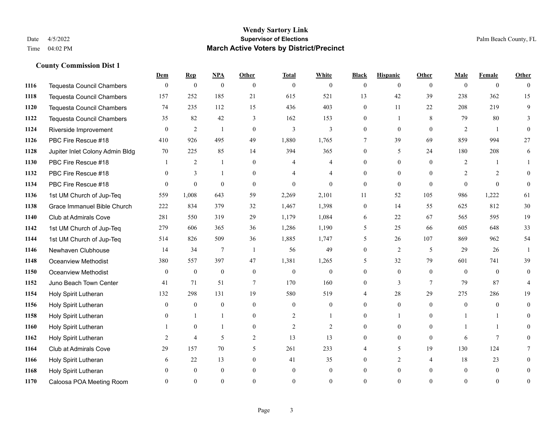|      |                                  | Dem            | <b>Rep</b>     | NPA              | <b>Other</b>   | <b>Total</b>   | <b>White</b>   | <b>Black</b>   | <b>Hispanic</b> | <b>Other</b>   | <b>Male</b>    | <b>Female</b>  | <b>Other</b>   |
|------|----------------------------------|----------------|----------------|------------------|----------------|----------------|----------------|----------------|-----------------|----------------|----------------|----------------|----------------|
| 1116 | <b>Tequesta Council Chambers</b> | $\mathbf{0}$   | $\mathbf{0}$   | $\boldsymbol{0}$ | $\theta$       | $\mathbf{0}$   | $\overline{0}$ | $\overline{0}$ | $\overline{0}$  | $\theta$       | $\theta$       | $\overline{0}$ | $\Omega$       |
| 1118 | Tequesta Council Chambers        | 157            | 252            | 185              | 21             | 615            | 521            | 13             | 42              | 39             | 238            | 362            | 15             |
| 1120 | <b>Tequesta Council Chambers</b> | 74             | 235            | 112              | 15             | 436            | 403            | $\overline{0}$ | 11              | 22             | 208            | 219            | 9              |
| 1122 | <b>Tequesta Council Chambers</b> | 35             | 82             | 42               | 3              | 162            | 153            | $\overline{0}$ | $\mathbf{1}$    | 8              | 79             | 80             | 3              |
| 1124 | Riverside Improvement            | $\theta$       | 2              | $\mathbf{1}$     | $\theta$       | 3              | 3              | $\Omega$       | $\Omega$        | $\Omega$       | 2              | $\overline{1}$ | $\Omega$       |
| 1126 | PBC Fire Rescue #18              | 410            | 926            | 495              | 49             | 1,880          | 1,765          | 7              | 39              | 69             | 859            | 994            | 27             |
| 1128 | Jupiter Inlet Colony Admin Bldg  | 70             | 225            | 85               | 14             | 394            | 365            | $\overline{0}$ | 5               | 24             | 180            | 208            | 6              |
| 1130 | PBC Fire Rescue #18              |                | 2              | $\mathbf{1}$     | $\Omega$       | 4              | 4              | $\Omega$       | $\Omega$        | $\Omega$       | $\overline{2}$ | 1              |                |
| 1132 | PBC Fire Rescue #18              | $\overline{0}$ | 3              |                  | $\mathbf{0}$   |                | 4              | $\overline{0}$ | $\overline{0}$  | $\theta$       | 2              | 2              | $\theta$       |
| 1134 | PBC Fire Rescue #18              | $\Omega$       | $\theta$       | $\theta$         | $\theta$       | $\theta$       | $\Omega$       | $\theta$       | $\Omega$        | $\theta$       | $\theta$       | $\theta$       | $\overline{0}$ |
| 1136 | 1st UM Church of Jup-Teq         | 559            | 1,008          | 643              | 59             | 2,269          | 2,101          | 11             | 52              | 105            | 986            | 1,222          | 61             |
| 1138 | Grace Immanuel Bible Church      | 222            | 834            | 379              | 32             | 1,467          | 1,398          | $\overline{0}$ | 14              | 55             | 625            | 812            | 30             |
| 1140 | <b>Club at Admirals Cove</b>     | 281            | 550            | 319              | 29             | 1,179          | 1,084          | 6              | 22              | 67             | 565            | 595            | 19             |
| 1142 | 1st UM Church of Jup-Teq         | 279            | 606            | 365              | 36             | 1,286          | 1,190          | 5              | 25              | 66             | 605            | 648            | 33             |
| 1144 | 1st UM Church of Jup-Teq         | 514            | 826            | 509              | 36             | 1,885          | 1,747          | 5              | 26              | 107            | 869            | 962            | 54             |
| 1146 | Newhaven Clubhouse               | 14             | 34             | $\tau$           | $\overline{1}$ | 56             | 49             | $\overline{0}$ | $\overline{c}$  | 5              | 29             | 26             | $\overline{1}$ |
| 1148 | Oceanview Methodist              | 380            | 557            | 397              | 47             | 1,381          | 1,265          | 5              | 32              | 79             | 601            | 741            | 39             |
| 1150 | Oceanview Methodist              | $\theta$       | $\mathbf{0}$   | $\mathbf{0}$     | $\theta$       | $\mathbf{0}$   | $\mathbf{0}$   | $\overline{0}$ | $\overline{0}$  | $\theta$       | $\theta$       | $\Omega$       | $\overline{0}$ |
| 1152 | Juno Beach Town Center           | 41             | 71             | 51               | 7              | 170            | 160            | $\Omega$       | 3               | $\tau$         | 79             | 87             | 4              |
| 1154 | Holy Spirit Lutheran             | 132            | 298            | 131              | 19             | 580            | 519            | 4              | 28              | 29             | 275            | 286            | 19             |
| 1156 | Holy Spirit Lutheran             | $\theta$       | $\mathbf{0}$   | $\mathbf{0}$     | $\theta$       | $\mathbf{0}$   | $\overline{0}$ | $\theta$       | $\overline{0}$  | $\Omega$       | $\theta$       | $\theta$       | $\Omega$       |
| 1158 | Holy Spirit Lutheran             | $\Omega$       | $\mathbf{1}$   |                  | $\mathbf{0}$   | $\overline{2}$ | 1              | $\theta$       | $\mathbf{1}$    | $\Omega$       | 1              | $\mathbf{1}$   | $\Omega$       |
| 1160 | Holy Spirit Lutheran             |                | $\mathbf{0}$   |                  | $\overline{0}$ | $\overline{c}$ | $\overline{c}$ | 0              | $\overline{0}$  | $\theta$       |                | -1             | 0              |
| 1162 | Holy Spirit Lutheran             | 2              | $\overline{4}$ | 5                | 2              | 13             | 13             | $\overline{0}$ | $\overline{0}$  | $\mathbf{0}$   | 6              | $\tau$         | 0              |
| 1164 | Club at Admirals Cove            | 29             | 157            | 70               | 5              | 261            | 233            | 4              | 5               | 19             | 130            | 124            |                |
| 1166 | Holy Spirit Lutheran             | 6              | 22             | 13               | $\theta$       | 41             | 35             | 0              | 2               | $\overline{4}$ | 18             | 23             | 0              |
| 1168 | Holy Spirit Lutheran             | $\theta$       | $\mathbf{0}$   | $\mathbf{0}$     | $\mathbf{0}$   | $\theta$       | $\overline{0}$ | $\overline{0}$ | $\overline{0}$  | $\theta$       | $\mathbf{0}$   | $\mathbf{0}$   | 0              |
| 1170 | Caloosa POA Meeting Room         | $\Omega$       | $\Omega$       | $\Omega$         | $\Omega$       | $\Omega$       | $\Omega$       | $\Omega$       | $\Omega$        | $\Omega$       | $\Omega$       | $\Omega$       | $\mathbf{0}$   |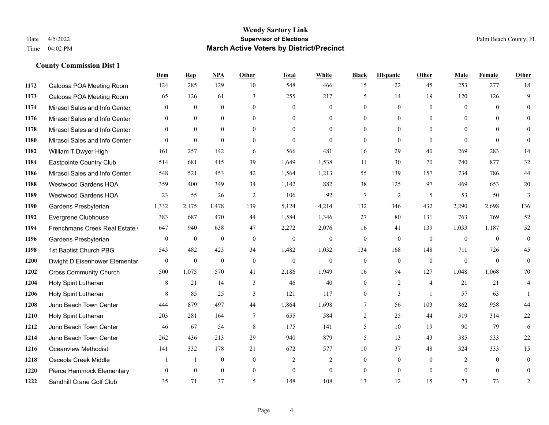|      |                               | Dem          | <b>Rep</b>   | NPA          | Other          | <b>Total</b>   | <b>White</b>     | <b>Black</b>   | <b>Hispanic</b> | Other          | <b>Male</b>    | <b>Female</b>  | <b>Other</b>   |
|------|-------------------------------|--------------|--------------|--------------|----------------|----------------|------------------|----------------|-----------------|----------------|----------------|----------------|----------------|
| 1172 | Caloosa POA Meeting Room      | 124          | 285          | 129          | 10             | 548            | 466              | 15             | 22              | 45             | 253            | 277            | 18             |
| 1173 | Caloosa POA Meeting Room      | 65           | 126          | 61           | 3              | 255            | 217              | 5              | 14              | 19             | 120            | 126            | 9              |
| 1174 | Mirasol Sales and Info Center | $\theta$     | $\theta$     | $\theta$     | $\Omega$       | $\theta$       | $\Omega$         | $\Omega$       | $\theta$        | $\Omega$       | $\theta$       | $\Omega$       | $\Omega$       |
| 1176 | Mirasol Sales and Info Center | $\mathbf{0}$ | $\mathbf{0}$ | $\mathbf{0}$ | $\mathbf{0}$   | $\mathbf{0}$   | $\overline{0}$   | $\overline{0}$ | $\overline{0}$  | $\mathbf{0}$   | $\overline{0}$ | $\overline{0}$ | $\theta$       |
| 1178 | Mirasol Sales and Info Center | $\theta$     | $\theta$     | $\theta$     | $\theta$       | $\Omega$       | $\theta$         | $\overline{0}$ | $\Omega$        | $\Omega$       | $\theta$       | $\Omega$       | $\theta$       |
| 1180 | Mirasol Sales and Info Center | $\theta$     | $\mathbf{0}$ | $\theta$     | $\theta$       | $\mathbf{0}$   | $\theta$         | $\theta$       | $\mathbf{0}$    | $\theta$       | $\Omega$       | $\theta$       | $\theta$       |
| 1182 | William T Dwyer High          | 161          | 257          | 142          | 6              | 566            | 481              | 16             | 29              | 40             | 269            | 283            | 14             |
| 1184 | Eastpointe Country Club       | 514          | 681          | 415          | 39             | 1,649          | 1,538            | 11             | 30              | 70             | 740            | 877            | 32             |
| 1186 | Mirasol Sales and Info Center | 548          | 521          | 453          | 42             | 1,564          | 1,213            | 55             | 139             | 157            | 734            | 786            | 44             |
| 1188 | <b>Westwood Gardens HOA</b>   | 359          | 400          | 349          | 34             | 1,142          | 882              | 38             | 125             | 97             | 469            | 653            | 20             |
| 1189 | Westwood Gardens HOA          | 23           | 55           | 26           | 2              | 106            | 92               | 7              | $\overline{2}$  | 5              | 53             | 50             | 3              |
| 1190 | Gardens Presbyterian          | 1,332        | 2,175        | 1,478        | 139            | 5,124          | 4,214            | 132            | 346             | 432            | 2,290          | 2,698          | 136            |
| 1192 | Evergrene Clubhouse           | 383          | 687          | 470          | 44             | 1,584          | 1,346            | 27             | 80              | 131            | 763            | 769            | 52             |
| 1194 | Frenchmans Creek Real Estate  | 647          | 940          | 638          | 47             | 2,272          | 2,076            | 16             | 41              | 139            | 1,033          | 1,187          | 52             |
| 1196 | Gardens Presbyterian          | $\mathbf{0}$ | $\mathbf{0}$ | $\mathbf{0}$ | $\mathbf{0}$   | $\mathbf{0}$   | $\boldsymbol{0}$ | $\mathbf{0}$   | $\overline{0}$  | $\mathbf{0}$   | $\overline{0}$ | $\mathbf{0}$   | $\overline{0}$ |
| 1198 | 1st Baptist Church PBG        | 543          | 482          | 423          | 34             | 1,482          | 1,032            | 134            | 168             | 148            | 711            | 726            | 45             |
| 1200 | Dwight D Eisenhower Elementar | $\mathbf{0}$ | $\mathbf{0}$ | $\mathbf{0}$ | $\mathbf{0}$   | $\mathbf{0}$   | $\theta$         | $\mathbf{0}$   | $\theta$        | $\theta$       | $\theta$       | $\theta$       | $\theta$       |
| 1202 | <b>Cross Community Church</b> | 500          | 1,075        | 570          | 41             | 2,186          | 1,949            | 16             | 94              | 127            | 1,048          | 1,068          | 70             |
| 1204 | Holy Spirit Lutheran          | 8            | 21           | 14           | 3              | 46             | 40               | $\overline{0}$ | 2               | $\overline{4}$ | 21             | 21             | 4              |
| 1206 | Holy Spirit Lutheran          | 8            | 85           | 25           | 3              | 121            | 117              | $\overline{0}$ | 3               | $\overline{1}$ | 57             | 63             |                |
| 1208 | Juno Beach Town Center        | 444          | 879          | 497          | 44             | 1,864          | 1,698            | 7              | 56              | 103            | 862            | 958            | 44             |
| 1210 | Holy Spirit Lutheran          | 203          | 281          | 164          | $\overline{7}$ | 655            | 584              | $\overline{c}$ | 25              | 44             | 319            | 314            | 22             |
| 1212 | Juno Beach Town Center        | 46           | 67           | 54           | 8              | 175            | 141              | 5              | 10              | 19             | 90             | 79             | 6              |
| 1214 | Juno Beach Town Center        | 262          | 436          | 213          | 29             | 940            | 879              | 5              | 13              | 43             | 385            | 533            | $22\,$         |
| 1216 | <b>Oceanview Methodist</b>    | 141          | 332          | 178          | 21             | 672            | 577              | $10\,$         | 37              | 48             | 324            | 333            | 15             |
| 1218 | Osceola Creek Middle          |              |              | $\mathbf{0}$ | $\mathbf{0}$   | $\overline{2}$ | 2                | $\overline{0}$ | $\overline{0}$  | $\theta$       | 2              | $\theta$       | $\mathbf{0}$   |
| 1220 | Pierce Hammock Elementary     | $\theta$     | $\theta$     | $\theta$     | $\mathbf{0}$   | $\mathbf{0}$   | $\theta$         | $\overline{0}$ | $\overline{0}$  | $\theta$       | $\Omega$       | $\theta$       | $\theta$       |
| 1222 | Sandhill Crane Golf Club      | 35           | 71           | 37           | 5              | 148            | 108              | 13             | 12              | 15             | 73             | 73             | $\overline{c}$ |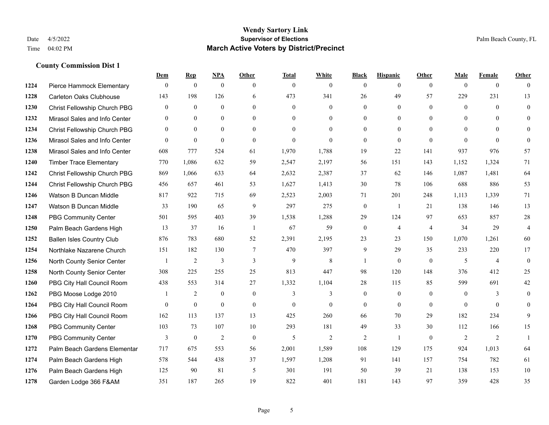|      |                                  | Dem          | <b>Rep</b>     | NPA              | <b>Other</b>   | <b>Total</b> | <b>White</b>   | <b>Black</b>     | <b>Hispanic</b> | <b>Other</b>   | <b>Male</b>    | <b>Female</b>  | <b>Other</b>   |
|------|----------------------------------|--------------|----------------|------------------|----------------|--------------|----------------|------------------|-----------------|----------------|----------------|----------------|----------------|
| 1224 | Pierce Hammock Elementary        | $\mathbf{0}$ | $\mathbf{0}$   | $\boldsymbol{0}$ | $\theta$       | $\mathbf{0}$ | $\overline{0}$ | $\mathbf{0}$     | $\overline{0}$  | $\theta$       | $\mathbf{0}$   | $\overline{0}$ | $\theta$       |
| 1228 | <b>Carleton Oaks Clubhouse</b>   | 143          | 198            | 126              | 6              | 473          | 341            | 26               | 49              | 57             | 229            | 231            | 13             |
| 1230 | Christ Fellowship Church PBG     | $\theta$     | $\mathbf{0}$   | $\theta$         | $\theta$       | $\theta$     | $\Omega$       | $\theta$         | $\theta$        | $\Omega$       | $\theta$       | $\theta$       | $\theta$       |
| 1232 | Mirasol Sales and Info Center    | $\mathbf{0}$ | $\mathbf{0}$   | $\mathbf{0}$     | $\overline{0}$ | $\mathbf{0}$ | $\overline{0}$ | $\boldsymbol{0}$ | $\mathbf{0}$    | $\overline{0}$ | $\mathbf{0}$   | $\theta$       | $\theta$       |
| 1234 | Christ Fellowship Church PBG     | $\theta$     | $\theta$       | $\mathbf{0}$     | $\theta$       | $\Omega$     | $\theta$       | $\mathbf{0}$     | $\theta$        | $\theta$       | $\theta$       | $\theta$       | $\mathbf{0}$   |
| 1236 | Mirasol Sales and Info Center    | $\theta$     | $\mathbf{0}$   | $\mathbf{0}$     | $\theta$       | $\mathbf{0}$ | $\theta$       | $\theta$         | $\theta$        | $\theta$       | $\theta$       | $\Omega$       | $\theta$       |
| 1238 | Mirasol Sales and Info Center    | 608          | 777            | 524              | 61             | 1,970        | 1,788          | 19               | 22              | 141            | 937            | 976            | 57             |
| 1240 | <b>Timber Trace Elementary</b>   | 770          | 1,086          | 632              | 59             | 2,547        | 2,197          | 56               | 151             | 143            | 1,152          | 1,324          | 71             |
| 1242 | Christ Fellowship Church PBG     | 869          | 1,066          | 633              | 64             | 2,632        | 2,387          | 37               | 62              | 146            | 1,087          | 1,481          | 64             |
| 1244 | Christ Fellowship Church PBG     | 456          | 657            | 461              | 53             | 1,627        | 1,413          | 30               | 78              | 106            | 688            | 886            | 53             |
| 1246 | Watson B Duncan Middle           | 817          | 922            | 715              | 69             | 2,523        | 2,003          | 71               | 201             | 248            | 1,113          | 1,339          | 71             |
| 1247 | Watson B Duncan Middle           | 33           | 190            | 65               | 9              | 297          | 275            | $\boldsymbol{0}$ | -1              | 21             | 138            | 146            | 13             |
| 1248 | <b>PBG Community Center</b>      | 501          | 595            | 403              | 39             | 1,538        | 1,288          | 29               | 124             | 97             | 653            | 857            | $28\,$         |
| 1250 | Palm Beach Gardens High          | 13           | 37             | 16               | -1             | 67           | 59             | $\boldsymbol{0}$ | $\overline{4}$  | $\overline{4}$ | 34             | 29             | $\overline{4}$ |
| 1252 | <b>Ballen Isles Country Club</b> | 876          | 783            | 680              | 52             | 2,391        | 2,195          | 23               | 23              | 150            | 1,070          | 1,261          | 60             |
| 1254 | Northlake Nazarene Church        | 151          | 182            | 130              | $\tau$         | 470          | 397            | 9                | 29              | 35             | 233            | 220            | 17             |
| 1256 | North County Senior Center       |              | $\overline{2}$ | $\mathfrak{Z}$   | 3              | 9            | 8              | 1                | $\mathbf{0}$    | $\theta$       | 5              | $\overline{4}$ | $\mathbf{0}$   |
| 1258 | North County Senior Center       | 308          | 225            | 255              | 25             | 813          | 447            | 98               | 120             | 148            | 376            | 412            | 25             |
| 1260 | PBG City Hall Council Room       | 438          | 553            | 314              | 27             | 1,332        | 1,104          | 28               | 115             | 85             | 599            | 691            | $42\,$         |
| 1262 | PBG Moose Lodge 2010             |              | 2              | $\mathbf{0}$     | $\mathbf{0}$   | 3            | 3              | $\mathbf{0}$     | $\mathbf{0}$    | $\mathbf{0}$   | $\overline{0}$ | 3              | $\mathbf{0}$   |
| 1264 | PBG City Hall Council Room       | $\Omega$     | $\mathbf{0}$   | $\theta$         | $\Omega$       | $\theta$     | $\mathbf{0}$   | $\theta$         | $\theta$        | $\theta$       | $\Omega$       | $\Omega$       | $\theta$       |
| 1266 | PBG City Hall Council Room       | 162          | 113            | 137              | 13             | 425          | 260            | 66               | 70              | 29             | 182            | 234            | 9              |
| 1268 | <b>PBG Community Center</b>      | 103          | 73             | 107              | 10             | 293          | 181            | 49               | 33              | 30             | 112            | 166            | 15             |
| 1270 | <b>PBG Community Center</b>      | 3            | $\mathbf{0}$   | 2                | $\theta$       | 5            | $\overline{2}$ | $\overline{2}$   | $\mathbf{1}$    | $\theta$       | 2              | 2              | $\mathbf{1}$   |
| 1272 | Palm Beach Gardens Elementar     | 717          | 675            | 553              | 56             | 2,001        | 1,589          | 108              | 129             | 175            | 924            | 1,013          | 64             |
| 1274 | Palm Beach Gardens High          | 578          | 544            | 438              | 37             | 1,597        | 1,208          | 91               | 141             | 157            | 754            | 782            | 61             |
| 1276 | Palm Beach Gardens High          | 125          | 90             | 81               | 5              | 301          | 191            | 50               | 39              | 21             | 138            | 153            | 10             |
| 1278 | Garden Lodge 366 F&AM            | 351          | 187            | 265              | 19             | 822          | 401            | 181              | 143             | 97             | 359            | 428            | 35             |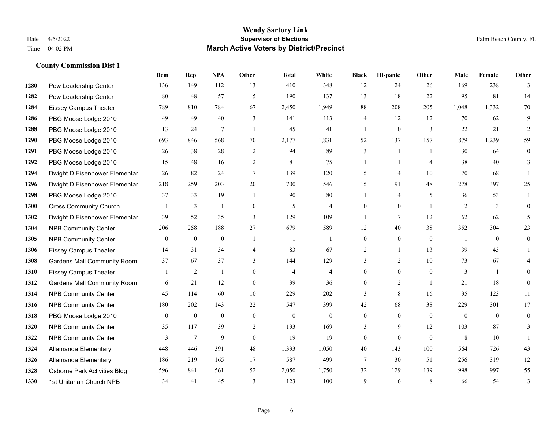|      |                                    | Dem            | <b>Rep</b>       | NPA            | <b>Other</b>   | <b>Total</b>   | <b>White</b>   | <b>Black</b>   | <b>Hispanic</b> | Other          | <b>Male</b>    | Female   | <b>Other</b> |
|------|------------------------------------|----------------|------------------|----------------|----------------|----------------|----------------|----------------|-----------------|----------------|----------------|----------|--------------|
| 1280 | Pew Leadership Center              | 136            | 149              | 112            | 13             | 410            | 348            | 12             | 24              | 26             | 169            | 238      | 3            |
| 1282 | Pew Leadership Center              | 80             | 48               | 57             | 5              | 190            | 137            | 13             | 18              | 22             | 95             | 81       | 14           |
| 1284 | <b>Eissey Campus Theater</b>       | 789            | 810              | 784            | 67             | 2,450          | 1,949          | 88             | 208             | 205            | 1,048          | 1,332    | 70           |
| 1286 | PBG Moose Lodge 2010               | 49             | 49               | 40             | 3              | 141            | 113            | 4              | 12              | 12             | 70             | 62       | 9            |
| 1288 | PBG Moose Lodge 2010               | 13             | 24               | $\tau$         | $\mathbf{1}$   | 45             | 41             | 1              | $\overline{0}$  | 3              | 22             | 21       | 2            |
| 1290 | PBG Moose Lodge 2010               | 693            | 846              | 568            | 70             | 2,177          | 1,831          | 52             | 137             | 157            | 879            | 1,239    | 59           |
| 1291 | PBG Moose Lodge 2010               | 26             | 38               | 28             | 2              | 94             | 89             | 3              | 1               | $\overline{1}$ | 30             | 64       | $\mathbf{0}$ |
| 1292 | PBG Moose Lodge 2010               | 15             | 48               | 16             | 2              | 81             | 75             | 1              | -1              | $\overline{4}$ | 38             | 40       | 3            |
| 1294 | Dwight D Eisenhower Elementar      | 26             | 82               | 24             | $\tau$         | 139            | 120            | 5              | 4               | 10             | 70             | 68       |              |
| 1296 | Dwight D Eisenhower Elementar      | 218            | 259              | 203            | 20             | 700            | 546            | 15             | 91              | 48             | 278            | 397      | 25           |
| 1298 | PBG Moose Lodge 2010               | 37             | 33               | 19             | $\overline{1}$ | 90             | 80             | 1              | 4               | 5              | 36             | 53       | 1            |
| 1300 | <b>Cross Community Church</b>      |                | 3                | $\overline{1}$ | $\mathbf{0}$   | 5              | 4              | $\overline{0}$ | $\overline{0}$  | $\overline{1}$ | 2              | 3        | $\theta$     |
| 1302 | Dwight D Eisenhower Elementar      | 39             | 52               | 35             | 3              | 129            | 109            | -1             | $\tau$          | 12             | 62             | 62       | 5            |
| 1304 | <b>NPB Community Center</b>        | 206            | 258              | 188            | 27             | 679            | 589            | 12             | $40\,$          | 38             | 352            | 304      | 23           |
| 1305 | <b>NPB Community Center</b>        | $\mathbf{0}$   | $\mathbf{0}$     | $\mathbf{0}$   |                | $\overline{1}$ |                | $\overline{0}$ | $\overline{0}$  | $\mathbf{0}$   | $\overline{1}$ | $\theta$ | $\mathbf{0}$ |
| 1306 | Eissey Campus Theater              | 14             | 31               | 34             | 4              | 83             | 67             | $\overline{2}$ | $\mathbf{1}$    | 13             | 39             | 43       |              |
| 1308 | <b>Gardens Mall Community Room</b> | 37             | 67               | 37             | 3              | 144            | 129            | 3              | $\overline{2}$  | 10             | 73             | 67       | 4            |
| 1310 | <b>Eissey Campus Theater</b>       |                | 2                |                | $\theta$       | $\overline{4}$ | 4              | $\overline{0}$ | $\overline{0}$  | $\theta$       | 3              |          | $\Omega$     |
| 1312 | <b>Gardens Mall Community Room</b> | 6              | 21               | 12             | $\Omega$       | 39             | 36             | 0              | $\overline{2}$  |                | 21             | 18       | $\theta$     |
| 1314 | <b>NPB Community Center</b>        | 45             | 114              | 60             | 10             | 229            | 202            | $\overline{3}$ | 8               | 16             | 95             | 123      | 11           |
| 1316 | <b>NPB Community Center</b>        | 180            | 202              | 143            | 22             | 547            | 399            | 42             | 68              | 38             | 229            | 301      | 17           |
| 1318 | PBG Moose Lodge 2010               | $\overline{0}$ | $\boldsymbol{0}$ | $\mathbf{0}$   | $\mathbf{0}$   | $\mathbf{0}$   | $\overline{0}$ | $\overline{0}$ | $\overline{0}$  | $\theta$       | $\mathbf{0}$   | $\theta$ | $\theta$     |
| 1320 | <b>NPB Community Center</b>        | 35             | 117              | 39             | 2              | 193            | 169            | 3              | 9               | 12             | 103            | 87       | 3            |
| 1322 | <b>NPB Community Center</b>        | 3              | $\tau$           | 9              | $\theta$       | 19             | 19             | $\overline{0}$ | $\overline{0}$  | $\theta$       | 8              | 10       |              |
| 1324 | Allamanda Elementary               | 448            | 446              | 391            | 48             | 1,333          | 1,050          | 40             | 143             | 100            | 564            | 726      | 43           |
| 1326 | Allamanda Elementary               | 186            | 219              | 165            | 17             | 587            | 499            | 7              | 30              | 51             | 256            | 319      | 12           |
| 1328 | Osborne Park Activities Bldg       | 596            | 841              | 561            | 52             | 2,050          | 1,750          | 32             | 129             | 139            | 998            | 997      | 55           |
| 1330 | 1st Unitarian Church NPB           | 34             | 41               | 45             | 3              | 123            | 100            | 9              | 6               | 8              | 66             | 54       | 3            |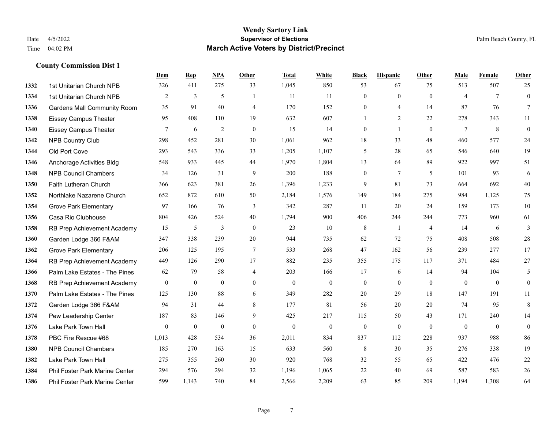|      |                                    | Dem          | <b>Rep</b>       | NPA            | <b>Other</b>   | <b>Total</b>     | <b>White</b>     | <b>Black</b>     | <b>Hispanic</b> | <b>Other</b>   | <b>Male</b>    | <b>Female</b>   | <b>Other</b>     |
|------|------------------------------------|--------------|------------------|----------------|----------------|------------------|------------------|------------------|-----------------|----------------|----------------|-----------------|------------------|
| 1332 | 1st Unitarian Church NPB           | 326          | 411              | 275            | 33             | 1,045            | 850              | 53               | 67              | 75             | 513            | 507             | 25               |
| 1334 | 1st Unitarian Church NPB           | 2            | 3                | 5              | $\mathbf{1}$   | 11               | 11               | $\mathbf{0}$     | $\mathbf{0}$    | $\theta$       | $\overline{4}$ | $7\phantom{.0}$ | $\mathbf{0}$     |
| 1336 | <b>Gardens Mall Community Room</b> | 35           | 91               | 40             | $\overline{4}$ | 170              | 152              | $\theta$         | 4               | 14             | 87             | 76              | $7\overline{ }$  |
| 1338 | <b>Eissey Campus Theater</b>       | 95           | 408              | 110            | 19             | 632              | 607              | $\mathbf{1}$     | 2               | 22             | 278            | 343             | 11               |
| 1340 | <b>Eissey Campus Theater</b>       | 7            | 6                | $\overline{c}$ | $\mathbf{0}$   | 15               | 14               | $\mathbf{0}$     | $\mathbf{1}$    | $\theta$       | $\tau$         | 8               | $\boldsymbol{0}$ |
| 1342 | <b>NPB Country Club</b>            | 298          | 452              | 281            | 30             | 1,061            | 962              | 18               | 33              | 48             | 460            | 577             | 24               |
| 1344 | Old Port Cove                      | 293          | 543              | 336            | 33             | 1,205            | 1,107            | 5                | 28              | 65             | 546            | 640             | 19               |
| 1346 | Anchorage Activities Bldg          | 548          | 933              | 445            | 44             | 1,970            | 1,804            | 13               | 64              | 89             | 922            | 997             | 51               |
| 1348 | <b>NPB Council Chambers</b>        | 34           | 126              | 31             | 9              | 200              | 188              | $\boldsymbol{0}$ | $7\phantom{.0}$ | 5              | 101            | 93              | 6                |
| 1350 | Faith Lutheran Church              | 366          | 623              | 381            | 26             | 1,396            | 1,233            | 9                | 81              | 73             | 664            | 692             | 40               |
| 1352 | Northlake Nazarene Church          | 652          | 872              | 610            | 50             | 2,184            | 1,576            | 149              | 184             | 275            | 984            | 1,125           | 75               |
| 1354 | <b>Grove Park Elementary</b>       | 97           | 166              | 76             | 3              | 342              | 287              | 11               | 20              | 24             | 159            | 173             | $10\,$           |
| 1356 | Casa Rio Clubhouse                 | 804          | 426              | 524            | 40             | 1,794            | 900              | 406              | 244             | 244            | 773            | 960             | 61               |
| 1358 | RB Prep Achievement Academy        | 15           | 5                | $\mathfrak{Z}$ | $\mathbf{0}$   | 23               | 10               | $\,8\,$          | 1               | $\overline{4}$ | 14             | 6               | 3                |
| 1360 | Garden Lodge 366 F&AM              | 347          | 338              | 239            | 20             | 944              | 735              | 62               | 72              | 75             | 408            | 508             | $28\,$           |
| 1362 | <b>Grove Park Elementary</b>       | 206          | 125              | 195            | $\tau$         | 533              | 268              | 47               | 162             | 56             | 239            | 277             | 17               |
| 1364 | RB Prep Achievement Academy        | 449          | 126              | 290            | 17             | 882              | 235              | 355              | 175             | 117            | 371            | 484             | $27\,$           |
| 1366 | Palm Lake Estates - The Pines      | 62           | 79               | 58             | $\overline{4}$ | 203              | 166              | 17               | 6               | 14             | 94             | 104             | 5                |
| 1368 | RB Prep Achievement Academy        | $\mathbf{0}$ | $\boldsymbol{0}$ | $\mathbf{0}$   | $\overline{0}$ | $\boldsymbol{0}$ | $\boldsymbol{0}$ | $\boldsymbol{0}$ | $\mathbf{0}$    | $\overline{0}$ | $\mathbf{0}$   | $\overline{0}$  | $\boldsymbol{0}$ |
| 1370 | Palm Lake Estates - The Pines      | 125          | 130              | 88             | 6              | 349              | 282              | 20               | 29              | 18             | 147            | 191             | 11               |
| 1372 | Garden Lodge 366 F&AM              | 94           | 31               | 44             | 8              | 177              | 81               | 56               | 20              | 20             | 74             | 95              | $\,8\,$          |
| 1374 | Pew Leadership Center              | 187          | 83               | 146            | 9              | 425              | 217              | 115              | 50              | 43             | 171            | 240             | 14               |
| 1376 | Lake Park Town Hall                | $\mathbf{0}$ | $\mathbf{0}$     | $\mathbf{0}$   | $\mathbf{0}$   | $\theta$         | $\boldsymbol{0}$ | $\boldsymbol{0}$ | $\mathbf{0}$    | $\mathbf{0}$   | $\mathbf{0}$   | $\overline{0}$  | $\boldsymbol{0}$ |
| 1378 | PBC Fire Rescue #68                | 1,013        | 428              | 534            | 36             | 2,011            | 834              | 837              | 112             | 228            | 937            | 988             | 86               |
| 1380 | <b>NPB Council Chambers</b>        | 185          | 270              | 163            | 15             | 633              | 560              | $\,8\,$          | 30              | 35             | 276            | 338             | 19               |
| 1382 | Lake Park Town Hall                | 275          | 355              | 260            | 30             | 920              | 768              | 32               | 55              | 65             | 422            | 476             | $22\,$           |
| 1384 | Phil Foster Park Marine Center     | 294          | 576              | 294            | 32             | 1,196            | 1,065            | 22               | 40              | 69             | 587            | 583             | $26\,$           |
| 1386 | Phil Foster Park Marine Center     | 599          | 1,143            | 740            | 84             | 2,566            | 2,209            | 63               | 85              | 209            | 1,194          | 1,308           | 64               |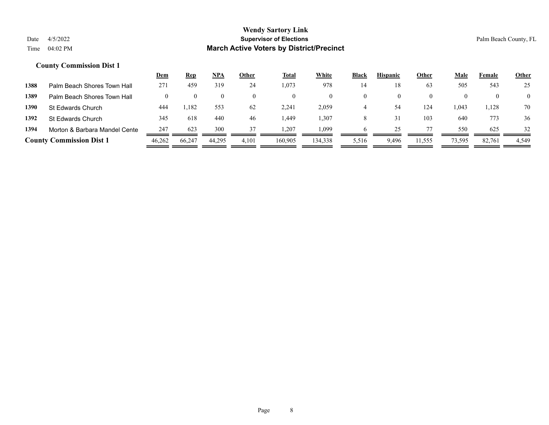|      |                                 | <u>Dem</u> | <u>Rep</u> | <u>NPA</u> | <b>Other</b> | <b>Total</b> | White    | Black | <b>Hispanic</b> | Other    | Male   | Female | <b>Other</b>   |
|------|---------------------------------|------------|------------|------------|--------------|--------------|----------|-------|-----------------|----------|--------|--------|----------------|
| 1388 | Palm Beach Shores Town Hall     | 271        | 459        | 319        | 24           | 1,073        | 978      | 14    |                 | 63       | 505    | 543    | 25             |
| 1389 | Palm Beach Shores Town Hall     |            |            |            |              |              | $\theta$ |       |                 | $\theta$ |        |        | $\overline{0}$ |
| 1390 | St Edwards Church               | 444        | 1,182      | 553        | 62           | 2,241        | 2,059    | 4     | 54              | 124      | 1,043  | 1,128  | 70             |
| 1392 | St Edwards Church               | 345        | 618        | 440        | 46           | 1,449        | .307     |       | 31              | 103      | 640    | 773    | 36             |
| 1394 | Morton & Barbara Mandel Cente   | 247        | 623        | 300        | 37           | 1.207        | 1.099    |       | 25              |          | 550    | 625    | 32             |
|      | <b>County Commission Dist 1</b> | 46,262     | 66,247     | 44,295     | 4,101        | 160,905      | 134,338  | 5,516 | 9,496           | 11,555   | 73,595 | 82,761 | 4,549          |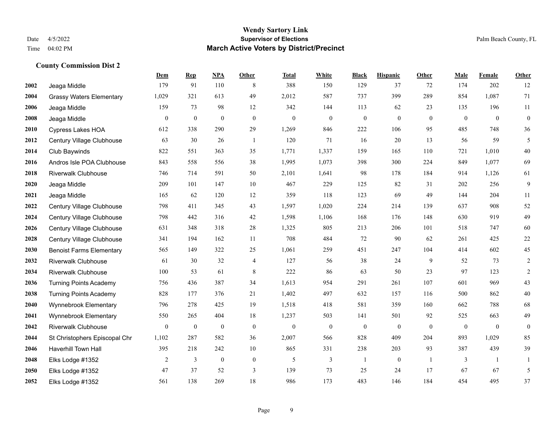#### **Wendy Sartory Link** Date 4/5/2022 **Supervisor of Elections** Palm Beach County, FL Time 04:02 PM **March Active Voters by District/Precinct**

Jeaga Middle 179 91 110 8 388 150 129 37 72 174 202 12

**Dem Rep NPA Other Total White Black Hispanic Other Male Female Other**

# Grassy Waters Elementary 1,029 321 613 49 2,012 587 737 399 289 854 1,087 71 Jeaga Middle 159 73 98 12 342 144 113 62 23 135 196 11 Jeaga Middle 0 0 0 0 0 0 0 0 0 0 0 0 Cypress Lakes HOA 612 338 290 29 1,269 846 222 106 95 485 748 36 Century Village Clubhouse 63 30 26 1 120 71 16 20 13 56 59 5 Club Baywinds 822 551 363 35 1,771 1,337 159 165 110 721 1,010 40 Andros Isle POA Clubhouse 843 558 556 38 1,995 1,073 398 300 224 849 1,077 69 Riverwalk Clubhouse 746 714 591 50 2,101 1,641 98 178 184 914 1,126 61 Jeaga Middle 209 101 147 10 467 229 125 82 31 202 256 9 Jeaga Middle 165 62 120 12 359 118 123 69 49 144 204 11 Century Village Clubhouse 798 411 345 43 1,597 1,020 224 214 139 637 908 52 Century Village Clubhouse 798 442 316 42 1,598 1,106 168 176 148 630 919 49 Century Village Clubhouse 631 348 318 28 1,325 805 213 206 101 518 747 60 Century Village Clubhouse 341 194 162 11 708 484 72 90 62 261 425 22 Benoist Farms Elementary 565 149 322 25 1,061 259 451 247 104 414 602 45 Riverwalk Clubhouse 61 30 32 4 127 56 38 24 9 52 73 2 Riverwalk Clubhouse 100 53 61 8 222 86 63 50 23 97 123 2 Turning Points Academy 756 436 387 34 1,613 954 291 261 107 601 969 43 Turning Points Academy 828 177 376 21 1,402 497 632 157 116 500 862 40

| 2040 | Wynnebrook Elementary         | 796   | 278 | 425 | 19       | 1,518    | 418            | 581          | 359 | 160          | 662          | 788  | 68 |
|------|-------------------------------|-------|-----|-----|----------|----------|----------------|--------------|-----|--------------|--------------|------|----|
| 2041 | Wynnebrook Elementary         | 550   | 265 | 404 | 18       | ,237     | 503            | 141          | 501 | 92           | 525          | 663  | 49 |
| 2042 | <b>Riverwalk Clubhouse</b>    | 0     |     | 0   | $\Omega$ | $\theta$ | $\overline{0}$ | $\mathbf{0}$ |     | $\mathbf{0}$ | $\mathbf{0}$ | 0    |    |
| 2044 | St Christophers Episcopal Chr | 1,102 | 287 | 582 | 36       | 2,007    | 566            | 828          | 409 | 204          | 893          | ,029 | 85 |
| 2046 | <b>Haverhill Town Hall</b>    | 395   | 218 | 242 | 10       | 865      | 331            | 238          | 203 | 93           | 387          | 439  | 39 |
| 2048 | Elks Lodge #1352              |       |     | 0   | $\Omega$ |          |                |              |     |              |              |      |    |
| 2050 | Elks Lodge #1352              | 47    | 37  | 52  |          | 139      | 73             | 25           | 24  |              | 67           | 67   |    |
| 2052 | Elks Lodge #1352              | 561   | 138 | 269 | 18       | 986      | 173            | 483          | 146 | 184          | 454          | 495  | 37 |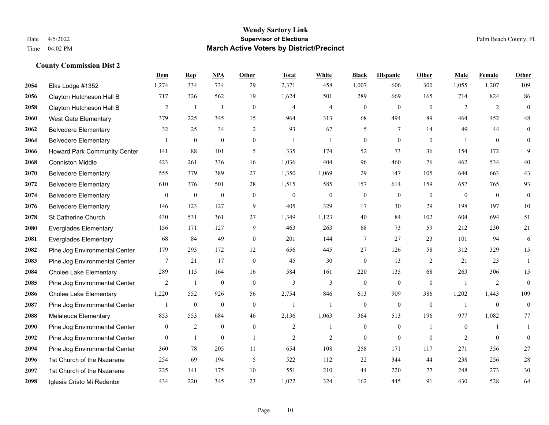#### **Wendy Sartory Link** Date 4/5/2022 **Supervisor of Elections** Palm Beach County, FL Time 04:02 PM **March Active Voters by District/Precinct**

Elks Lodge #1352 1,274 334 734 29 2,371 458 1,007 606 300 1,055 1,207 109

**Dem Rep NPA Other Total White Black Hispanic Other Male Female Other**

# Clayton Hutcheson Hall B 717 326 562 19 1,624 501 289 669 165 714 824 86 Clayton Hutcheson Hall B 2 1 1 0 4 4 0 0 0 2 2 0 West Gate Elementary 379 225 345 15 964 313 68 494 89 464 452 48 Belvedere Elementary 32 25 34 2 93 67 5 7 14 49 44 0 Belvedere Elementary 1 0 0 0 1 1 0 0 0 1 0 0 Howard Park Community Center 141 88 101 5 335 174 52 73 36 154 172 9 Conniston Middle 423 261 336 16 1,036 404 96 460 76 462 534 40 Belvedere Elementary 555 379 389 27 1,350 1,069 29 147 105 644 663 43 Belvedere Elementary 610 376 501 28 1,515 585 157 614 159 657 765 93 Belvedere Elementary 0 0 0 0 0 0 0 0 0 0 0 0 Belvedere Elementary 146 123 127 9 405 329 17 30 29 198 197 10 St Catherine Church 430 531 361 27 1,349 1,123 40 84 102 604 694 51 Everglades Elementary 156 171 127 9 463 263 68 73 59 212 230 21 Everglades Elementary 68 84 49 0 201 144 7 27 23 101 94 6 Pine Jog Environmental Center 179 293 172 12 656 445 27 126 58 312 329 15 Pine Jog Environmental Center 7 21 17 0 45 30 0 13 2 21 23 1 Cholee Lake Elementary 289 115 164 16 584 161 220 135 68 263 306 15 Pine Jog Environmental Center  $\begin{array}{ccccccccccccc}\n2 & 1 & 0 & 0 & 3 & 3 & 0 & 0 & 1 & 2 & 0\n\end{array}$  Cholee Lake Elementary 1,220 552 926 56 2,754 846 613 909 386 1,202 1,443 109 Pine Jog Environmental Center  $\begin{array}{cccccccc} 1 & 0 & 0 & 0 & 1 & 1 & 0 & 0 & 0 \end{array}$ Melaleuca Elementary 853 553 684 46 2,136 1,063 364 513 196 977 1,082 77

 Pine Jog Environmental Center  $\begin{array}{cccccccc} 0 & 2 & 0 & 0 & 2 & 1 & 0 & 1 & 0 & 1 \end{array}$  Pine Jog Environmental Center  $\begin{array}{cccccccc} 0 & 1 & 0 & 1 & 2 & 2 & 0 & 0 & 2 & 0 & 0 \end{array}$  Pine Jog Environmental Center 360 78 205 11 654 108 258 171 117 271 356 27 1st Church of the Nazarene 254 69 194 5 522 112 22 344 44 238 256 28 1st Church of the Nazarene 225 141 175 10 551 210 44 220 77 248 273 30 Iglesia Cristo Mi Redentor 434 220 345 23 1,022 324 162 445 91 430 528 64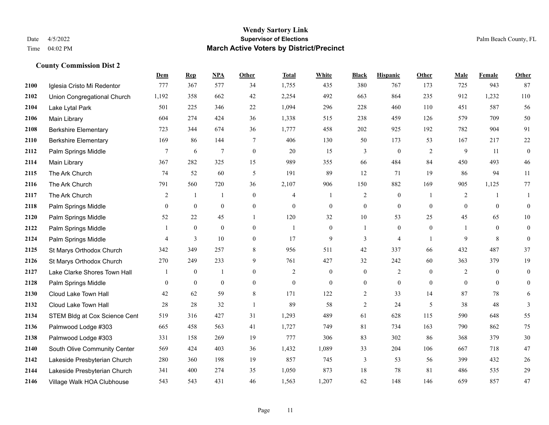#### **Wendy Sartory Link** Date 4/5/2022 **Supervisor of Elections** Palm Beach County, FL Time 04:02 PM **March Active Voters by District/Precinct**

# **Dem Rep NPA Other Total White Black Hispanic Other Male Female Other** Iglesia Cristo Mi Redentor 777 367 577 34 1,755 435 380 767 173 725 943 87 Union Congregational Church 1,192 358 662 42 2,254 492 663 864 235 912 1,232 110 Lake Lytal Park 501 225 346 22 1,094 296 228 460 110 451 587 56 Main Library 604 274 424 36 1,338 515 238 459 126 579 709 50 Berkshire Elementary 723 344 674 36 1,777 458 202 925 192 782 904 91 Berkshire Elementary 169 86 144 7 406 130 50 173 53 167 217 22 **2112** Palm Springs Middle  $\begin{array}{cccccccc} 7 & 6 & 7 & 0 & 20 & 15 & 3 & 0 & 2 & 9 & 11 & 0 \end{array}$  Main Library 367 282 325 15 989 355 66 484 84 450 493 46 The Ark Church 74 52 60 5 191 89 12 71 19 86 94 11 The Ark Church 791 560 720 36 2,107 906 150 882 169 905 1,125 77 The Ark Church 2 1 1 0 4 1 2 0 1 2 1 1 Palm Springs Middle 0 0 0 0 0 0 0 0 0 0 0 0 Palm Springs Middle 52 22 45 1 120 32 10 53 25 45 65 10 Palm Springs Middle 1 0 0 0 1 0 1 0 0 1 0 0 Palm Springs Middle 4 3 10 0 17 9 3 4 1 9 8 0 St Marys Orthodox Church 342 349 257 8 956 511 42 337 66 432 487 37 St Marys Orthodox Church 270 249 233 9 761 427 32 242 60 363 379 19 Lake Clarke Shores Town Hall  $\begin{array}{ccccccccc} 1 & 0 & 1 & 0 & 2 & 0 & 0 & 2 & 0 & 2 & 0 & 0 \end{array}$  Palm Springs Middle 0 0 0 0 0 0 0 0 0 0 0 0 Cloud Lake Town Hall 42 62 59 8 171 122 2 33 14 87 78 6 Cloud Lake Town Hall 28 28 32 1 89 58 2 24 5 38 48 3 2134 STEM Bldg at Cox Science Cent 519 316 427 31 1,293 489 61 628 115 590 648 55 Palmwood Lodge #303 665 458 563 41 1,727 749 81 734 163 790 862 75 Palmwood Lodge #303 331 158 269 19 777 306 83 302 86 368 379 30 South Olive Community Center 569 424 403 36 1,432 1,089 33 204 106 667 718 47 Lakeside Presbyterian Church 280 360 198 19 857 745 3 53 56 399 432 26 Lakeside Presbyterian Church 341 400 274 35 1,050 873 18 78 81 486 535 29 Village Walk HOA Clubhouse 543 543 431 46 1,563 1,207 62 148 146 659 857 47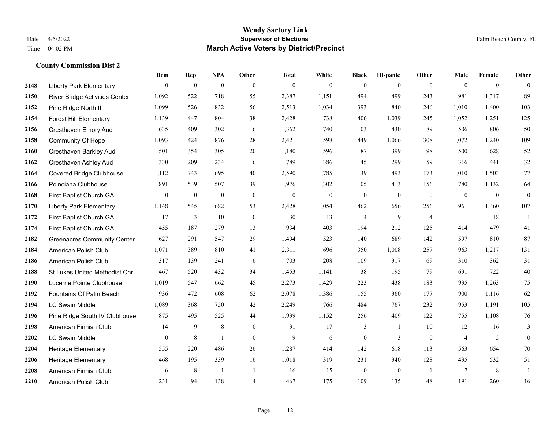#### **Wendy Sartory Link** Date 4/5/2022 **Supervisor of Elections** Palm Beach County, FL Time 04:02 PM **March Active Voters by District/Precinct**

# **Dem Rep NPA Other Total White Black Hispanic Other Male Female Other** Liberty Park Elementary 0 0 0 0 0 0 0 0 0 0 0 0 River Bridge Activities Center 1,092 522 718 55 2,387 1,151 494 499 243 981 1,317 89 Pine Ridge North II 1,099 526 832 56 2,513 1,034 393 840 246 1,010 1,400 103 Forest Hill Elementary 1,139 447 804 38 2,428 738 406 1,039 245 1,052 1,251 125 Cresthaven Emory Aud 635 409 302 16 1,362 740 103 430 89 506 806 50 Community Of Hope 1,093 424 876 28 2,421 598 449 1,066 308 1,072 1,240 109 Cresthaven Barkley Aud 501 354 305 20 1,180 596 87 399 98 500 628 52 Cresthaven Ashley Aud 330 209 234 16 789 386 45 299 59 316 441 32 Covered Bridge Clubhouse 1,112 743 695 40 2,590 1,785 139 493 173 1,010 1,503 77 Poinciana Clubhouse 891 539 507 39 1,976 1,302 105 413 156 780 1,132 64 First Baptist Church GA 0 0 0 0 0 0 0 0 0 0 0 0 Liberty Park Elementary 1,148 545 682 53 2,428 1,054 462 656 256 961 1,360 107 First Baptist Church GA 17 3 10 0 30 13 4 9 4 11 18 1 First Baptist Church GA 455 187 279 13 934 403 194 212 125 414 479 41 Greenacres Community Center 627 291 547 29 1,494 523 140 689 142 597 810 87 American Polish Club 1,071 389 810 41 2,311 696 350 1,008 257 963 1,217 131 American Polish Club 317 139 241 6 703 208 109 317 69 310 362 31 St Lukes United Methodist Chr 467 520 432 34 1,453 1,141 38 195 79 691 722 40 Lucerne Pointe Clubhouse 1,019 547 662 45 2,273 1,429 223 438 183 935 1,263 75 Fountains Of Palm Beach 936 472 608 62 2,078 1,386 155 360 177 900 1,116 62 LC Swain Middle 1,089 368 750 42 2,249 766 484 767 232 953 1,191 105 Pine Ridge South IV Clubhouse 875 495 525 44 1,939 1,152 256 409 122 755 1,108 76 American Finnish Club 14 9 8 0 31 17 3 1 10 12 16 3 LC Swain Middle 0 8 1 0 9 6 0 3 0 4 5 0 Heritage Elementary 555 220 486 26 1,287 414 142 618 113 563 654 70 Heritage Elementary 468 195 339 16 1,018 319 231 340 128 435 532 51 American Finnish Club 6 8 1 1 1 16 15 0 0 1 7 8 1 American Polish Club 231 94 138 4 467 175 109 135 48 191 260 16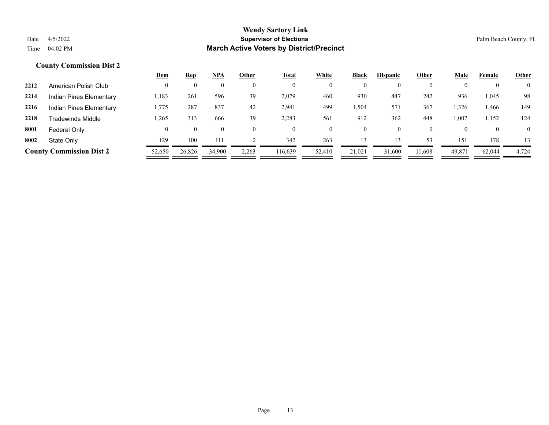| Female<br>Male<br><b>Other</b> |
|--------------------------------|
| $\overline{0}$                 |
| 936<br>98<br>1,045             |
| 326ء<br>149<br>1,466           |
| 1,007<br>124<br>1,152          |
| $\overline{0}$<br>$\theta$     |
| 151<br>178<br>13               |
| 4,724<br>49,871<br>62,044      |
|                                |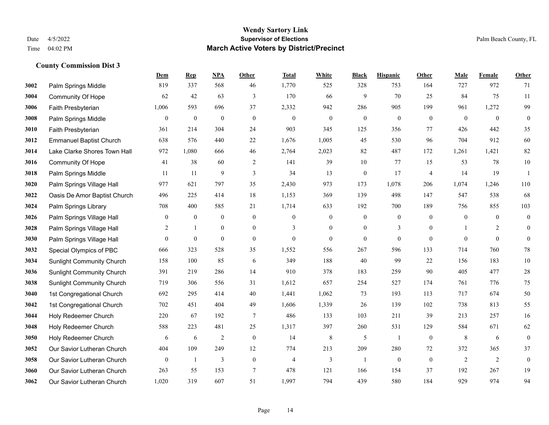|      |                                  | Dem            | <b>Rep</b>       | NPA              | <b>Other</b>     | <b>Total</b>   | <b>White</b>   | <b>Black</b>     | <b>Hispanic</b>  | <b>Other</b>   | <b>Male</b>    | Female       | Other            |
|------|----------------------------------|----------------|------------------|------------------|------------------|----------------|----------------|------------------|------------------|----------------|----------------|--------------|------------------|
| 3002 | Palm Springs Middle              | 819            | 337              | 568              | 46               | 1,770          | 525            | 328              | 753              | 164            | 727            | 972          | 71               |
| 3004 | <b>Community Of Hope</b>         | 62             | 42               | 63               | 3                | 170            | 66             | 9                | 70               | 25             | 84             | 75           | 11               |
| 3006 | Faith Presbyterian               | 1,006          | 593              | 696              | 37               | 2,332          | 942            | 286              | 905              | 199            | 961            | 1,272        | 99               |
| 3008 | Palm Springs Middle              | $\mathbf{0}$   | $\boldsymbol{0}$ | $\boldsymbol{0}$ | $\boldsymbol{0}$ | $\mathbf{0}$   | $\mathbf{0}$   | $\boldsymbol{0}$ | $\boldsymbol{0}$ | $\mathbf{0}$   | $\overline{0}$ | $\mathbf{0}$ | $\boldsymbol{0}$ |
| 3010 | Faith Presbyterian               | 361            | 214              | 304              | 24               | 903            | 345            | 125              | 356              | 77             | 426            | 442          | 35               |
| 3012 | <b>Emmanuel Baptist Church</b>   | 638            | 576              | 440              | 22               | 1,676          | 1,005          | 45               | 530              | 96             | 704            | 912          | 60               |
| 3014 | Lake Clarke Shores Town Hall     | 972            | 1,080            | 666              | 46               | 2,764          | 2,023          | 82               | 487              | 172            | 1,261          | 1,421        | 82               |
| 3016 | <b>Community Of Hope</b>         | 41             | 38               | 60               | 2                | 141            | 39             | 10               | 77               | 15             | 53             | 78           | $10\,$           |
| 3018 | Palm Springs Middle              | 11             | 11               | 9                | $\mathfrak{Z}$   | 34             | 13             | $\boldsymbol{0}$ | 17               | $\overline{4}$ | 14             | 19           | $\mathbf{1}$     |
| 3020 | Palm Springs Village Hall        | 977            | 621              | 797              | 35               | 2,430          | 973            | 173              | 1,078            | 206            | 1,074          | 1,246        | 110              |
| 3022 | Oasis De Amor Baptist Church     | 496            | 225              | 414              | 18               | 1,153          | 369            | 139              | 498              | 147            | 547            | 538          | 68               |
| 3024 | Palm Springs Library             | 708            | 400              | 585              | 21               | 1,714          | 633            | 192              | 700              | 189            | 756            | 855          | 103              |
| 3026 | Palm Springs Village Hall        | $\mathbf{0}$   | $\bf{0}$         | $\boldsymbol{0}$ | $\mathbf{0}$     | $\mathbf{0}$   | $\mathbf{0}$   | $\boldsymbol{0}$ | $\boldsymbol{0}$ | $\theta$       | $\mathbf{0}$   | $\theta$     | $\boldsymbol{0}$ |
| 3028 | Palm Springs Village Hall        | 2              | 1                | $\boldsymbol{0}$ | $\mathbf{0}$     | 3              | $\mathbf{0}$   | $\boldsymbol{0}$ | 3                | $\bf{0}$       |                | 2            | $\boldsymbol{0}$ |
| 3030 | Palm Springs Village Hall        | $\overline{0}$ | $\mathbf{0}$     | $\mathbf{0}$     | $\overline{0}$   | $\mathbf{0}$   | $\overline{0}$ | $\boldsymbol{0}$ | $\mathbf{0}$     | $\mathbf{0}$   | $\Omega$       | $\mathbf{0}$ | $\boldsymbol{0}$ |
| 3032 | Special Olympics of PBC          | 666            | 323              | 528              | 35               | 1,552          | 556            | 267              | 596              | 133            | 714            | 760          | $78\,$           |
| 3034 | <b>Sunlight Community Church</b> | 158            | 100              | 85               | 6                | 349            | 188            | 40               | 99               | 22             | 156            | 183          | $10\,$           |
| 3036 | <b>Sunlight Community Church</b> | 391            | 219              | 286              | 14               | 910            | 378            | 183              | 259              | 90             | 405            | 477          | $28\,$           |
| 3038 | <b>Sunlight Community Church</b> | 719            | 306              | 556              | 31               | 1,612          | 657            | 254              | 527              | 174            | 761            | 776          | $75\,$           |
| 3040 | 1st Congregational Church        | 692            | 295              | 414              | 40               | 1,441          | 1,062          | 73               | 193              | 113            | 717            | 674          | 50               |
| 3042 | 1st Congregational Church        | 702            | 451              | 404              | 49               | 1,606          | 1,339          | 26               | 139              | 102            | 738            | 813          | 55               |
| 3044 | Holy Redeemer Church             | 220            | 67               | 192              | $\overline{7}$   | 486            | 133            | 103              | 211              | 39             | 213            | 257          | 16               |
| 3048 | Holy Redeemer Church             | 588            | 223              | 481              | 25               | 1,317          | 397            | 260              | 531              | 129            | 584            | 671          | 62               |
| 3050 | Holy Redeemer Church             | 6              | 6                | $\overline{2}$   | $\mathbf{0}$     | 14             | $\,8\,$        | 5                | $\mathbf{1}$     | $\mathbf{0}$   | $\,8\,$        | 6            | $\boldsymbol{0}$ |
| 3052 | Our Savior Lutheran Church       | 404            | 109              | 249              | 12               | 774            | 213            | 209              | 280              | $72\,$         | 372            | 365          | 37               |
| 3058 | Our Savior Lutheran Church       | $\mathbf{0}$   | -1               | 3                | $\mathbf{0}$     | $\overline{4}$ | 3              | $\mathbf{1}$     | $\mathbf{0}$     | $\mathbf{0}$   | 2              | 2            | $\boldsymbol{0}$ |
| 3060 | Our Savior Lutheran Church       | 263            | 55               | 153              | 7                | 478            | 121            | 166              | 154              | 37             | 192            | 267          | 19               |
| 3062 | Our Savior Lutheran Church       | 1,020          | 319              | 607              | 51               | 1,997          | 794            | 439              | 580              | 184            | 929            | 974          | 94               |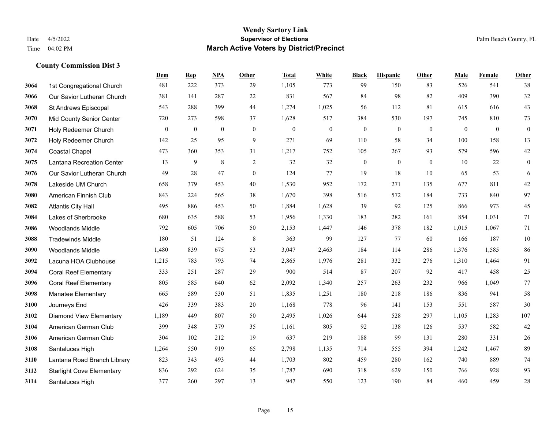|      |                                  | Dem          | <b>Rep</b> | NPA            | <b>Other</b>   | <b>Total</b> | <b>White</b>     | <b>Black</b>     | <b>Hispanic</b> | <b>Other</b>   | <b>Male</b>  | Female       | <b>Other</b>     |
|------|----------------------------------|--------------|------------|----------------|----------------|--------------|------------------|------------------|-----------------|----------------|--------------|--------------|------------------|
| 3064 | 1st Congregational Church        | 481          | 222        | 373            | 29             | 1,105        | 773              | 99               | 150             | 83             | 526          | 541          | 38               |
| 3066 | Our Savior Lutheran Church       | 381          | 141        | 287            | 22             | 831          | 567              | 84               | 98              | 82             | 409          | 390          | 32               |
| 3068 | St Andrews Episcopal             | 543          | 288        | 399            | 44             | 1,274        | 1,025            | 56               | 112             | 81             | 615          | 616          | 43               |
| 3070 | <b>Mid County Senior Center</b>  | 720          | 273        | 598            | 37             | 1,628        | 517              | 384              | 530             | 197            | 745          | 810          | 73               |
| 3071 | Holy Redeemer Church             | $\mathbf{0}$ | $\bf{0}$   | $\overline{0}$ | $\mathbf{0}$   | $\mathbf{0}$ | $\boldsymbol{0}$ | $\boldsymbol{0}$ | $\mathbf{0}$    | $\overline{0}$ | $\mathbf{0}$ | $\mathbf{0}$ | $\boldsymbol{0}$ |
| 3072 | Holy Redeemer Church             | 142          | 25         | 95             | 9              | 271          | 69               | 110              | 58              | 34             | 100          | 158          | 13               |
| 3074 | <b>Coastal Chapel</b>            | 473          | 360        | 353            | 31             | 1,217        | 752              | 105              | 267             | 93             | 579          | 596          | $42\,$           |
| 3075 | Lantana Recreation Center        | 13           | 9          | 8              | 2              | 32           | 32               | $\boldsymbol{0}$ | $\mathbf{0}$    | $\theta$       | 10           | 22           | $\mathbf{0}$     |
| 3076 | Our Savior Lutheran Church       | 49           | 28         | 47             | $\overline{0}$ | 124          | 77               | 19               | 18              | 10             | 65           | 53           | 6                |
| 3078 | Lakeside UM Church               | 658          | 379        | 453            | 40             | 1,530        | 952              | 172              | 271             | 135            | 677          | 811          | $42\,$           |
| 3080 | American Finnish Club            | 843          | 224        | 565            | 38             | 1,670        | 398              | 516              | 572             | 184            | 733          | 840          | 97               |
| 3082 | <b>Atlantis City Hall</b>        | 495          | 886        | 453            | 50             | 1,884        | 1,628            | 39               | 92              | 125            | 866          | 973          | 45               |
| 3084 | Lakes of Sherbrooke              | 680          | 635        | 588            | 53             | 1,956        | 1,330            | 183              | 282             | 161            | 854          | 1,031        | $71\,$           |
| 3086 | <b>Woodlands Middle</b>          | 792          | 605        | 706            | 50             | 2,153        | 1,447            | 146              | 378             | 182            | 1,015        | 1,067        | 71               |
| 3088 | <b>Tradewinds Middle</b>         | 180          | 51         | 124            | 8              | 363          | 99               | 127              | 77              | 60             | 166          | 187          | $10\,$           |
| 3090 | <b>Woodlands Middle</b>          | 1,480        | 839        | 675            | 53             | 3,047        | 2,463            | 184              | 114             | 286            | 1,376        | 1,585        | 86               |
| 3092 | Lacuna HOA Clubhouse             | 1,215        | 783        | 793            | 74             | 2,865        | 1,976            | 281              | 332             | 276            | 1,310        | 1,464        | 91               |
| 3094 | <b>Coral Reef Elementary</b>     | 333          | 251        | 287            | 29             | 900          | 514              | 87               | 207             | 92             | 417          | 458          | 25               |
| 3096 | <b>Coral Reef Elementary</b>     | 805          | 585        | 640            | 62             | 2,092        | 1,340            | 257              | 263             | 232            | 966          | 1,049        | $77\,$           |
| 3098 | Manatee Elementary               | 665          | 589        | 530            | 51             | 1,835        | 1,251            | 180              | 218             | 186            | 836          | 941          | 58               |
| 3100 | Journeys End                     | 426          | 339        | 383            | 20             | 1,168        | 778              | 96               | 141             | 153            | 551          | 587          | 30               |
| 3102 | <b>Diamond View Elementary</b>   | 1,189        | 449        | 807            | 50             | 2,495        | 1,026            | 644              | 528             | 297            | 1,105        | 1,283        | 107              |
| 3104 | American German Club             | 399          | 348        | 379            | 35             | 1,161        | 805              | 92               | 138             | 126            | 537          | 582          | 42               |
| 3106 | American German Club             | 304          | 102        | 212            | 19             | 637          | 219              | 188              | 99              | 131            | 280          | 331          | $26\,$           |
| 3108 | Santaluces High                  | 1,264        | 550        | 919            | 65             | 2,798        | 1,135            | 714              | 555             | 394            | 1,242        | 1,467        | 89               |
| 3110 | Lantana Road Branch Library      | 823          | 343        | 493            | 44             | 1,703        | 802              | 459              | 280             | 162            | 740          | 889          | $74\,$           |
| 3112 | <b>Starlight Cove Elementary</b> | 836          | 292        | 624            | 35             | 1,787        | 690              | 318              | 629             | 150            | 766          | 928          | 93               |
| 3114 | Santaluces High                  | 377          | 260        | 297            | 13             | 947          | 550              | 123              | 190             | 84             | 460          | 459          | $28\,$           |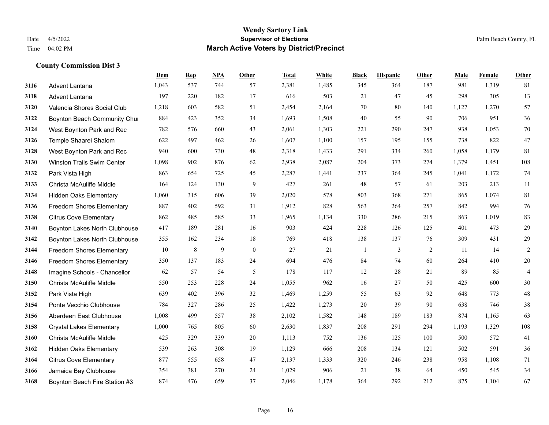|      |                                  | Dem   | <b>Rep</b> | NPA | <b>Other</b>   | <b>Total</b> | White | <b>Black</b> | <b>Hispanic</b> | Other | <b>Male</b> | Female | <b>Other</b> |
|------|----------------------------------|-------|------------|-----|----------------|--------------|-------|--------------|-----------------|-------|-------------|--------|--------------|
| 3116 | <b>Advent Lantana</b>            | 1,043 | 537        | 744 | 57             | 2,381        | 1,485 | 345          | 364             | 187   | 981         | 1,319  | 81           |
| 3118 | Advent Lantana                   | 197   | 220        | 182 | 17             | 616          | 503   | 21           | 47              | 45    | 298         | 305    | 13           |
| 3120 | Valencia Shores Social Club      | 1,218 | 603        | 582 | 51             | 2,454        | 2,164 | 70           | 80              | 140   | 1,127       | 1,270  | 57           |
| 3122 | Boynton Beach Community Chui     | 884   | 423        | 352 | 34             | 1,693        | 1,508 | 40           | 55              | 90    | 706         | 951    | 36           |
| 3124 | West Boynton Park and Rec        | 782   | 576        | 660 | 43             | 2,061        | 1,303 | 221          | 290             | 247   | 938         | 1.053  | 70           |
| 3126 | Temple Shaarei Shalom            | 622   | 497        | 462 | 26             | 1,607        | 1,100 | 157          | 195             | 155   | 738         | 822    | 47           |
| 3128 | West Boynton Park and Rec        | 940   | 600        | 730 | 48             | 2,318        | 1,433 | 291          | 334             | 260   | 1,058       | 1,179  | 81           |
| 3130 | Winston Trails Swim Center       | 1,098 | 902        | 876 | 62             | 2,938        | 2,087 | 204          | 373             | 274   | 1,379       | 1,451  | 108          |
| 3132 | Park Vista High                  | 863   | 654        | 725 | 45             | 2,287        | 1,441 | 237          | 364             | 245   | 1,041       | 1,172  | 74           |
| 3133 | Christa McAuliffe Middle         | 164   | 124        | 130 | 9              | 427          | 261   | 48           | 57              | 61    | 203         | 213    | 11           |
| 3134 | <b>Hidden Oaks Elementary</b>    | 1,060 | 315        | 606 | 39             | 2,020        | 578   | 803          | 368             | 271   | 865         | 1.074  | 81           |
| 3136 | Freedom Shores Elementary        | 887   | 402        | 592 | 31             | 1,912        | 828   | 563          | 264             | 257   | 842         | 994    | 76           |
| 3138 | <b>Citrus Cove Elementary</b>    | 862   | 485        | 585 | 33             | 1,965        | 1,134 | 330          | 286             | 215   | 863         | 1,019  | 83           |
| 3140 | Boynton Lakes North Clubhouse    | 417   | 189        | 281 | 16             | 903          | 424   | 228          | 126             | 125   | 401         | 473    | 29           |
| 3142 | Boynton Lakes North Clubhouse    | 355   | 162        | 234 | 18             | 769          | 418   | 138          | 137             | 76    | 309         | 431    | 29           |
| 3144 | <b>Freedom Shores Elementary</b> | 10    | 8          | 9   | $\overline{0}$ | 27           | 21    | $\mathbf{1}$ | 3               | 2     | 11          | 14     | $\sqrt{2}$   |
| 3146 | <b>Freedom Shores Elementary</b> | 350   | 137        | 183 | 24             | 694          | 476   | 84           | 74              | 60    | 264         | 410    | $20\,$       |
| 3148 | Imagine Schools - Chancellor     | 62    | 57         | 54  | 5              | 178          | 117   | 12           | 28              | 21    | 89          | 85     | 4            |
| 3150 | Christa McAuliffe Middle         | 550   | 253        | 228 | 24             | 1,055        | 962   | 16           | 27              | 50    | 425         | 600    | 30           |
| 3152 | Park Vista High                  | 639   | 402        | 396 | 32             | 1,469        | 1,259 | 55           | 63              | 92    | 648         | 773    | 48           |
| 3154 | Ponte Vecchio Clubhouse          | 784   | 327        | 286 | 25             | 1,422        | 1,273 | 20           | 39              | 90    | 638         | 746    | 38           |
| 3156 | Aberdeen East Clubhouse          | 1,008 | 499        | 557 | 38             | 2,102        | 1,582 | 148          | 189             | 183   | 874         | 1,165  | 63           |
| 3158 | <b>Crystal Lakes Elementary</b>  | 1,000 | 765        | 805 | 60             | 2,630        | 1,837 | 208          | 291             | 294   | 1,193       | 1,329  | $108\,$      |
| 3160 | Christa McAuliffe Middle         | 425   | 329        | 339 | 20             | 1,113        | 752   | 136          | 125             | 100   | 500         | 572    | 41           |
| 3162 | <b>Hidden Oaks Elementary</b>    | 539   | 263        | 308 | 19             | 1,129        | 666   | 208          | 134             | 121   | 502         | 591    | 36           |
| 3164 | <b>Citrus Cove Elementary</b>    | 877   | 555        | 658 | 47             | 2,137        | 1,333 | 320          | 246             | 238   | 958         | 1,108  | 71           |
| 3166 | Jamaica Bay Clubhouse            | 354   | 381        | 270 | 24             | 1,029        | 906   | 21           | 38              | 64    | 450         | 545    | 34           |
| 3168 | Boynton Beach Fire Station #3    | 874   | 476        | 659 | 37             | 2,046        | 1,178 | 364          | 292             | 212   | 875         | 1,104  | 67           |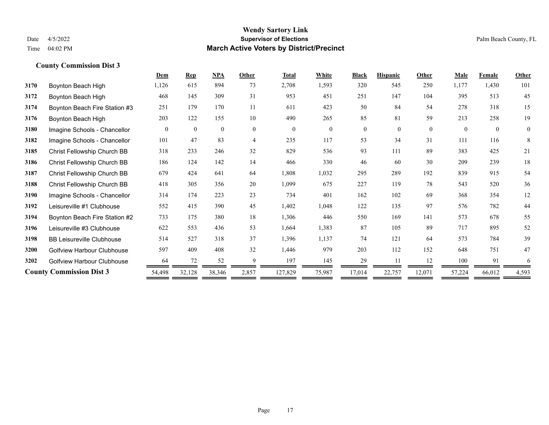|      |                                  | Dem      | <b>Rep</b>   | NPA          | Other          | <b>Total</b> | White    | <b>Black</b>   | <b>Hispanic</b> | Other    | <b>Male</b> | <b>Female</b> | <b>Other</b> |
|------|----------------------------------|----------|--------------|--------------|----------------|--------------|----------|----------------|-----------------|----------|-------------|---------------|--------------|
| 3170 | Boynton Beach High               | 1,126    | 615          | 894          | 73             | 2,708        | 1,593    | 320            | 545             | 250      | 1,177       | 1,430         | 101          |
| 3172 | Boynton Beach High               | 468      | 145          | 309          | 31             | 953          | 451      | 251            | 147             | 104      | 395         | 513           | 45           |
| 3174 | Boynton Beach Fire Station #3    | 251      | 179          | 170          | 11             | 611          | 423      | 50             | 84              | 54       | 278         | 318           | 15           |
| 3176 | Boynton Beach High               | 203      | 122          | 155          | 10             | 490          | 265      | 85             | 81              | 59       | 213         | 258           | 19           |
| 3180 | Imagine Schools - Chancellor     | $\theta$ | $\mathbf{0}$ | $\mathbf{0}$ | $\theta$       | $\theta$     | $\theta$ | $\overline{0}$ | $\overline{0}$  | $\theta$ | $\theta$    | $\theta$      | $\mathbf{0}$ |
| 3182 | Imagine Schools - Chancellor     | 101      | 47           | 83           | $\overline{4}$ | 235          | 117      | 53             | 34              | 31       | 111         | 116           | 8            |
| 3185 | Christ Fellowship Church BB      | 318      | 233          | 246          | 32             | 829          | 536      | 93             | 111             | 89       | 383         | 425           | 21           |
| 3186 | Christ Fellowship Church BB      | 186      | 124          | 142          | 14             | 466          | 330      | 46             | 60              | 30       | 209         | 239           | $18\,$       |
| 3187 | Christ Fellowship Church BB      | 679      | 424          | 641          | 64             | 1,808        | 1,032    | 295            | 289             | 192      | 839         | 915           | 54           |
| 3188 | Christ Fellowship Church BB      | 418      | 305          | 356          | 20             | 1,099        | 675      | 227            | 119             | 78       | 543         | 520           | 36           |
| 3190 | Imagine Schools - Chancellor     | 314      | 174          | 223          | 23             | 734          | 401      | 162            | 102             | 69       | 368         | 354           | 12           |
| 3192 | Leisureville #1 Clubhouse        | 552      | 415          | 390          | 45             | 1,402        | 1,048    | 122            | 135             | 97       | 576         | 782           | 44           |
| 3194 | Boynton Beach Fire Station #2    | 733      | 175          | 380          | 18             | 1,306        | 446      | 550            | 169             | 141      | 573         | 678           | 55           |
| 3196 | Leisureville #3 Clubhouse        | 622      | 553          | 436          | 53             | 1,664        | 1,383    | 87             | 105             | 89       | 717         | 895           | 52           |
| 3198 | <b>BB Leisureville Clubhouse</b> | 514      | 527          | 318          | 37             | 1,396        | 1,137    | 74             | 121             | 64       | 573         | 784           | 39           |
| 3200 | Golfview Harbour Clubhouse       | 597      | 409          | 408          | 32             | 1,446        | 979      | 203            | 112             | 152      | 648         | 751           | 47           |
| 3202 | Golfview Harbour Clubhouse       | 64       | 72           | 52           | 9              | 197          | 145      | 29             |                 | 12       | 100         | 91            | 6            |
|      | <b>County Commission Dist 3</b>  | 54,498   | 32,128       | 38,346       | 2,857          | 127,829      | 75,987   | 17,014         | 22,757          | 12,071   | 57,224      | 66,012        | 4,593        |
|      |                                  |          |              |              |                |              |          |                |                 |          |             |               |              |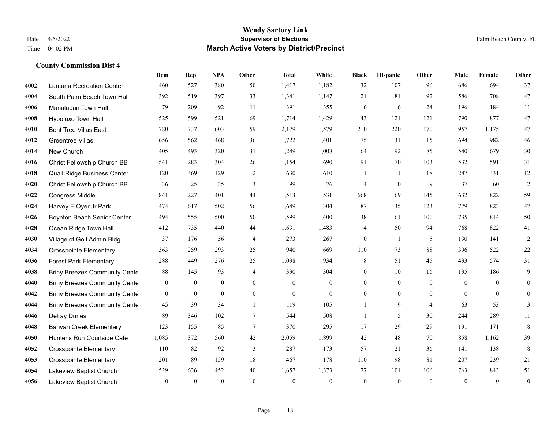#### **Wendy Sartory Link** Date 4/5/2022 **Supervisor of Elections** Palm Beach County, FL Time 04:02 PM **March Active Voters by District/Precinct**

# **Dem Rep NPA Other Total White Black Hispanic Other Male Female Other** Lantana Recreation Center 460 527 380 50 1,417 1,182 32 107 96 686 694 37 South Palm Beach Town Hall 392 519 397 33 1,341 1,147 21 81 92 586 708 47 Manalapan Town Hall 79 209 92 11 391 355 6 6 24 196 184 11 Hypoluxo Town Hall 525 599 521 69 1,714 1,429 43 121 121 790 877 47 Bent Tree Villas East 780 737 603 59 2,179 1,579 210 220 170 957 1,175 47 Greentree Villas 656 562 468 36 1,722 1,401 75 131 115 694 982 46 New Church 405 493 320 31 1,249 1,008 64 92 85 540 679 30 Christ Fellowship Church BB 541 283 304 26 1,154 690 191 170 103 532 591 31 Quail Ridge Business Center 120 369 129 12 630 610 1 1 18 287 331 12 Christ Fellowship Church BB 36 25 35 3 99 76 4 10 9 37 60 2 Congress Middle 841 227 401 44 1,513 531 668 169 145 632 822 59 Harvey E Oyer Jr Park 474 617 502 56 1,649 1,304 87 135 123 779 823 47 Boynton Beach Senior Center 494 555 500 50 1,599 1,400 38 61 100 735 814 50 Ocean Ridge Town Hall 412 735 440 44 1,631 1,483 4 50 94 768 822 41 Village of Golf Admin Bldg 37 176 56 4 273 267 0 1 5 130 141 2 Crosspointe Elementary 363 259 293 25 940 669 110 73 88 396 522 22 Forest Park Elementary 288 449 276 25 1,038 934 8 51 45 433 574 31 Briny Breezes Community Cente 88 145 93 4 330 304 0 10 16 135 186 9 Briny Breezes Community Center 0 0 0 0 0 0 0 0 0 0 0 0 Briny Breezes Community Center 0 0 0 0 0 0 0 0 0 0 0 0 Briny Breezes Community Cente  $\begin{array}{cccccc} 45 & 39 & 34 & 1 & 119 & 105 & 1 & 9 & 4 & 63 & 53 & 3 \end{array}$  Delray Dunes 89 346 102 7 544 508 1 5 30 244 289 11 Banyan Creek Elementary 123 155 85 7 370 295 17 29 29 191 171 8 Hunter's Run Courtside Cafe 1,085 372 560 42 2,059 1,899 42 48 70 858 1,162 39 Crosspointe Elementary 110 82 92 3 287 173 57 21 36 141 138 8 Crosspointe Elementary 201 89 159 18 467 178 110 98 81 207 239 21 Lakeview Baptist Church 529 636 452 40 1,657 1,373 77 101 106 763 843 51 Lakeview Baptist Church 0 0 0 0 0 0 0 0 0 0 0 0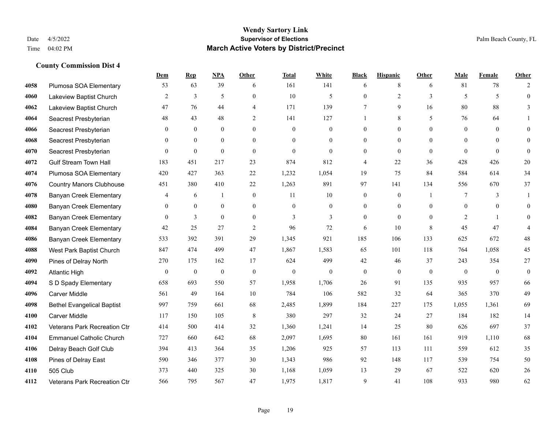|      |                                   | Dem            | <b>Rep</b>   | NPA              | <b>Other</b>   | <b>Total</b> | <b>White</b>   | <b>Black</b>     | <b>Hispanic</b> | <b>Other</b> | <b>Male</b>    | <b>Female</b> | <b>Other</b>     |
|------|-----------------------------------|----------------|--------------|------------------|----------------|--------------|----------------|------------------|-----------------|--------------|----------------|---------------|------------------|
| 4058 | Plumosa SOA Elementary            | 53             | 63           | 39               | 6              | 161          | 141            | 6                | 8               | 6            | 81             | 78            | 2                |
| 4060 | Lakeview Baptist Church           | 2              | 3            | 5                | $\Omega$       | 10           | 5              | $\mathbf{0}$     | $\overline{2}$  | 3            | 5              | 5             | $\mathbf{0}$     |
| 4062 | Lakeview Baptist Church           | 47             | 76           | 44               | 4              | 171          | 139            | 7                | 9               | 16           | 80             | 88            | 3                |
| 4064 | Seacrest Presbyterian             | 48             | 43           | 48               | $\overline{2}$ | 141          | 127            |                  | 8               | 5            | 76             | 64            |                  |
| 4066 | Seacrest Presbyterian             | $\theta$       | $\theta$     | $\theta$         | $\Omega$       | $\theta$     | $\overline{0}$ | $\mathbf{0}$     | $\theta$        | $\Omega$     | $\theta$       | $\theta$      | $\theta$         |
| 4068 | Seacrest Presbyterian             | $\overline{0}$ | $\mathbf{0}$ | $\mathbf{0}$     | $\theta$       | $\theta$     | $\overline{0}$ | $\mathbf{0}$     | $\mathbf{0}$    | $\theta$     | $\overline{0}$ | $\theta$      | $\mathbf{0}$     |
| 4070 | Seacrest Presbyterian             | $\Omega$       | $\mathbf{0}$ | $\mathbf{0}$     | $\Omega$       | $\theta$     | $\overline{0}$ | $\mathbf{0}$     | $\theta$        | $\theta$     | $\theta$       | $\theta$      | $\mathbf{0}$     |
| 4072 | <b>Gulf Stream Town Hall</b>      | 183            | 451          | 217              | 23             | 874          | 812            | 4                | 22              | 36           | 428            | 426           | 20               |
| 4074 | Plumosa SOA Elementary            | 420            | 427          | 363              | 22             | 1,232        | 1,054          | 19               | 75              | 84           | 584            | 614           | 34               |
| 4076 | <b>Country Manors Clubhouse</b>   | 451            | 380          | 410              | $22\,$         | 1,263        | 891            | 97               | 141             | 134          | 556            | 670           | 37               |
| 4078 | <b>Banyan Creek Elementary</b>    | 4              | 6            | -1               | $\theta$       | 11           | 10             | $\mathbf{0}$     | $\theta$        |              | 7              | 3             | -1               |
| 4080 | <b>Banyan Creek Elementary</b>    | $\overline{0}$ | $\mathbf{0}$ | $\mathbf{0}$     | $\overline{0}$ | $\theta$     | $\overline{0}$ | $\mathbf{0}$     | $\mathbf{0}$    | $\theta$     | $\theta$       | $\theta$      | $\mathbf{0}$     |
| 4082 | <b>Banyan Creek Elementary</b>    | $\Omega$       | 3            | $\overline{0}$   | $\theta$       | 3            | 3              | $\mathbf{0}$     | $\theta$        | $\Omega$     | 2              | $\mathbf{1}$  | $\mathbf{0}$     |
| 4084 | <b>Banyan Creek Elementary</b>    | 42             | 25           | 27               | $\overline{2}$ | 96           | 72             | 6                | 10              | 8            | 45             | 47            |                  |
| 4086 | <b>Banyan Creek Elementary</b>    | 533            | 392          | 391              | 29             | 1,345        | 921            | 185              | 106             | 133          | 625            | 672           | 48               |
| 4088 | West Park Baptist Church          | 847            | 474          | 499              | 47             | 1,867        | 1,583          | 65               | 101             | 118          | 764            | 1,058         | 45               |
| 4090 | Pines of Delray North             | 270            | 175          | 162              | 17             | 624          | 499            | 42               | 46              | 37           | 243            | 354           | 27               |
| 4092 | <b>Atlantic High</b>              | $\mathbf{0}$   | $\bf{0}$     | $\boldsymbol{0}$ | $\mathbf{0}$   | $\mathbf{0}$ | $\overline{0}$ | $\boldsymbol{0}$ | $\mathbf{0}$    | $\theta$     | $\mathbf{0}$   | $\mathbf{0}$  | $\boldsymbol{0}$ |
| 4094 | S D Spady Elementary              | 658            | 693          | 550              | 57             | 1,958        | 1,706          | 26               | 91              | 135          | 935            | 957           | 66               |
| 4096 | Carver Middle                     | 561            | 49           | 164              | 10             | 784          | 106            | 582              | 32              | 64           | 365            | 370           | 49               |
| 4098 | <b>Bethel Evangelical Baptist</b> | 997            | 759          | 661              | 68             | 2,485        | 1,899          | 184              | 227             | 175          | 1,055          | 1,361         | 69               |
| 4100 | <b>Carver Middle</b>              | 117            | 150          | 105              | 8              | 380          | 297            | 32               | 24              | 27           | 184            | 182           | 14               |
| 4102 | Veterans Park Recreation Ctr      | 414            | 500          | 414              | 32             | 1,360        | 1,241          | 14               | 25              | 80           | 626            | 697           | 37               |
| 4104 | <b>Emmanuel Catholic Church</b>   | 727            | 660          | 642              | 68             | 2,097        | 1,695          | 80               | 161             | 161          | 919            | 1,110         | 68               |
| 4106 | Delray Beach Golf Club            | 394            | 413          | 364              | 35             | 1,206        | 925            | 57               | 113             | 111          | 559            | 612           | 35               |
| 4108 | Pines of Delray East              | 590            | 346          | 377              | 30             | 1,343        | 986            | 92               | 148             | 117          | 539            | 754           | 50               |
| 4110 | 505 Club                          | 373            | 440          | 325              | 30             | 1,168        | 1,059          | 13               | 29              | 67           | 522            | 620           | 26               |
| 4112 | Veterans Park Recreation Ctr      | 566            | 795          | 567              | 47             | 1,975        | 1,817          | 9                | 41              | 108          | 933            | 980           | 62               |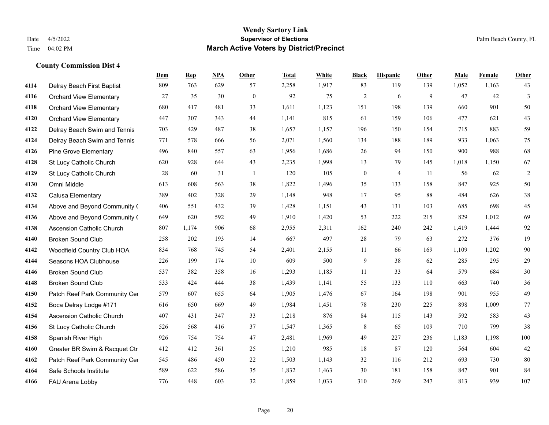|      |                                  | Dem | <b>Rep</b> | NPA | <b>Other</b> | <b>Total</b> | White | <b>Black</b>     | <b>Hispanic</b> | <b>Other</b> | <b>Male</b> | Female | <b>Other</b>   |
|------|----------------------------------|-----|------------|-----|--------------|--------------|-------|------------------|-----------------|--------------|-------------|--------|----------------|
| 4114 | Delray Beach First Baptist       | 809 | 763        | 629 | 57           | 2,258        | 1,917 | 83               | 119             | 139          | 1,052       | 1,163  | 43             |
| 4116 | <b>Orchard View Elementary</b>   | 27  | 35         | 30  | $\mathbf{0}$ | 92           | 75    | $\overline{2}$   | 6               | 9            | 47          | 42     | $\overline{3}$ |
| 4118 | <b>Orchard View Elementary</b>   | 680 | 417        | 481 | 33           | 1,611        | 1,123 | 151              | 198             | 139          | 660         | 901    | 50             |
| 4120 | <b>Orchard View Elementary</b>   | 447 | 307        | 343 | 44           | 1,141        | 815   | 61               | 159             | 106          | 477         | 621    | 43             |
| 4122 | Delray Beach Swim and Tennis     | 703 | 429        | 487 | 38           | 1.657        | 1,157 | 196              | 150             | 154          | 715         | 883    | 59             |
| 4124 | Delray Beach Swim and Tennis     | 771 | 578        | 666 | 56           | 2,071        | 1,560 | 134              | 188             | 189          | 933         | 1,063  | $75\,$         |
| 4126 | <b>Pine Grove Elementary</b>     | 496 | 840        | 557 | 63           | 1,956        | 1,686 | 26               | 94              | 150          | 900         | 988    | 68             |
| 4128 | St Lucy Catholic Church          | 620 | 928        | 644 | 43           | 2,235        | 1,998 | 13               | 79              | 145          | 1,018       | 1,150  | 67             |
| 4129 | St Lucy Catholic Church          | 28  | 60         | 31  | -1           | 120          | 105   | $\boldsymbol{0}$ | 4               | 11           | 56          | 62     | $\overline{c}$ |
| 4130 | Omni Middle                      | 613 | 608        | 563 | 38           | 1,822        | 1,496 | 35               | 133             | 158          | 847         | 925    | 50             |
| 4132 | Calusa Elementary                | 389 | 402        | 328 | 29           | 1,148        | 948   | 17               | 95              | 88           | 484         | 626    | $38\,$         |
| 4134 | Above and Beyond Community (     | 406 | 551        | 432 | 39           | 1,428        | 1,151 | 43               | 131             | 103          | 685         | 698    | 45             |
| 4136 | Above and Beyond Community (     | 649 | 620        | 592 | 49           | 1,910        | 1,420 | 53               | 222             | 215          | 829         | 1,012  | 69             |
| 4138 | <b>Ascension Catholic Church</b> | 807 | 1,174      | 906 | 68           | 2,955        | 2,311 | 162              | 240             | 242          | 1,419       | 1,444  | 92             |
| 4140 | <b>Broken Sound Club</b>         | 258 | 202        | 193 | 14           | 667          | 497   | 28               | 79              | 63           | 272         | 376    | 19             |
| 4142 | Woodfield Country Club HOA       | 834 | 768        | 745 | 54           | 2,401        | 2,155 | 11               | 66              | 169          | 1,109       | 1,202  | $90\,$         |
| 4144 | Seasons HOA Clubhouse            | 226 | 199        | 174 | 10           | 609          | 500   | 9                | 38              | 62           | 285         | 295    | $29\,$         |
| 4146 | <b>Broken Sound Club</b>         | 537 | 382        | 358 | 16           | 1,293        | 1,185 | 11               | 33              | 64           | 579         | 684    | $30\,$         |
| 4148 | <b>Broken Sound Club</b>         | 533 | 424        | 444 | 38           | 1,439        | 1,141 | 55               | 133             | 110          | 663         | 740    | 36             |
| 4150 | Patch Reef Park Community Cer    | 579 | 607        | 655 | 64           | 1,905        | 1,476 | 67               | 164             | 198          | 901         | 955    | 49             |
| 4152 | Boca Delray Lodge #171           | 616 | 650        | 669 | 49           | 1,984        | 1,451 | 78               | 230             | 225          | 898         | 1,009  | $77\,$         |
| 4154 | <b>Ascension Catholic Church</b> | 407 | 431        | 347 | 33           | 1,218        | 876   | 84               | 115             | 143          | 592         | 583    | 43             |
| 4156 | St Lucy Catholic Church          | 526 | 568        | 416 | 37           | 1,547        | 1,365 | 8                | 65              | 109          | 710         | 799    | 38             |
| 4158 | Spanish River High               | 926 | 754        | 754 | 47           | 2,481        | 1,969 | 49               | 227             | 236          | 1,183       | 1,198  | 100            |
| 4160 | Greater BR Swim & Racquet Ctr    | 412 | 412        | 361 | 25           | 1,210        | 985   | 18               | 87              | 120          | 564         | 604    | 42             |
| 4162 | Patch Reef Park Community Cer    | 545 | 486        | 450 | $22\,$       | 1,503        | 1,143 | 32               | 116             | 212          | 693         | 730    | 80             |
| 4164 | Safe Schools Institute           | 589 | 622        | 586 | 35           | 1,832        | 1,463 | 30               | 181             | 158          | 847         | 901    | 84             |
| 4166 | FAU Arena Lobby                  | 776 | 448        | 603 | 32           | 1,859        | 1,033 | 310              | 269             | 247          | 813         | 939    | 107            |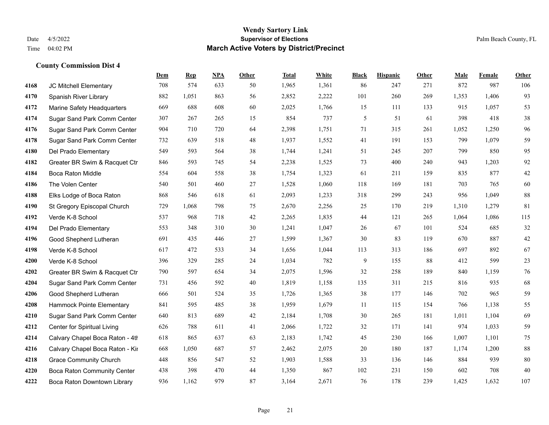#### **Wendy Sartory Link** Date 4/5/2022 **Supervisor of Elections** Palm Beach County, FL Time 04:02 PM **March Active Voters by District/Precinct**

# **Dem Rep NPA Other Total White Black Hispanic Other Male Female Other** JC Mitchell Elementary 708 574 633 50 1,965 1,361 86 247 271 872 987 106 Spanish River Library 882 1,051 863 56 2,852 2,222 101 260 269 1,353 1,406 93 Marine Safety Headquarters 669 688 608 60 2,025 1,766 15 111 133 915 1,057 53 Sugar Sand Park Comm Center 307 267 265 15 854 737 5 51 61 398 418 38 Sugar Sand Park Comm Center 904 710 720 64 2,398 1,751 71 315 261 1,052 1,250 96 Sugar Sand Park Comm Center 732 639 518 48 1,937 1,552 41 191 153 799 1,079 59 Del Prado Elementary 549 593 564 38 1,744 1,241 51 245 207 799 850 95 Greater BR Swim & Racquet Ctr 846 593 745 54 2,238 1,525 73 400 240 943 1,203 92 Boca Raton Middle 554 604 558 38 1,754 1,323 61 211 159 835 877 42 The Volen Center 540 501 460 27 1,528 1,060 118 169 181 703 765 60 Elks Lodge of Boca Raton 868 546 618 61 2,093 1,233 318 299 243 956 1,049 88 St Gregory Episcopal Church 729 1,068 798 75 2,670 2,256 25 170 219 1,310 1,279 81 Verde K-8 School 537 968 718 42 2,265 1,835 44 121 265 1,064 1,086 115 Del Prado Elementary 553 348 310 30 1,241 1,047 26 67 101 524 685 32 Good Shepherd Lutheran 691 435 446 27 1,599 1,367 30 83 119 670 887 42 Verde K-8 School 617 472 533 34 1,656 1,044 113 313 186 697 892 67 Verde K-8 School 396 329 285 24 1,034 782 9 155 88 412 599 23 Greater BR Swim & Racquet Ctr 790 597 654 34 2,075 1,596 32 258 189 840 1,159 76 Sugar Sand Park Comm Center 731 456 592 40 1,819 1,158 135 311 215 816 935 68 Good Shepherd Lutheran 666 501 524 35 1,726 1,365 38 177 146 702 965 59 Hammock Pointe Elementary 841 595 485 38 1,959 1,679 11 115 154 766 1,138 55 Sugar Sand Park Comm Center 640 813 689 42 2,184 1,708 30 265 181 1,011 1,104 69 Center for Spiritual Living 626 788 611 41 2,066 1,722 32 171 141 974 1,033 59 4214 Calvary Chapel Boca Raton - 4th $=618$   $=865$   $=637$   $=63$   $=2,183$   $=1,742$   $=45$   $=230$   $=166$   $=1,007$   $=1,101$   $=75$ 4216 Calvary Chapel Boca Raton - Kir 668 1,050 687 57 2,462 2,075 20 180 187 1,174 1,200 88 Grace Community Church 448 856 547 52 1,903 1,588 33 136 146 884 939 80 Boca Raton Community Center 438 398 470 44 1,350 867 102 231 150 602 708 40 Boca Raton Downtown Library 936 1,162 979 87 3,164 2,671 76 178 239 1,425 1,632 107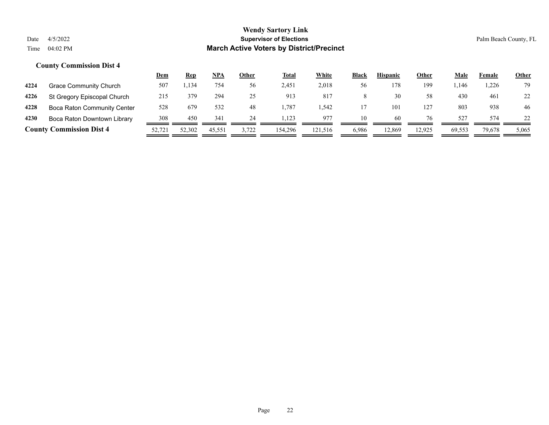|      |                                    | Dem    | <u>Rep</u> | NPA    | Other | <b>Total</b> | White   | <b>Black</b> | <b>Hispanic</b> | Other  | Male   | Female | <b>Other</b> |
|------|------------------------------------|--------|------------|--------|-------|--------------|---------|--------------|-----------------|--------|--------|--------|--------------|
| 4224 | Grace Community Church             | 507    | . 134      | 754    | 56    | 2,451        | 2,018   | 56           | 178             | 199    | .146   | ,226   | 79           |
| 4226 | St Gregory Episcopal Church        | 215    | 379        | 294    | 25    | 913          | 817     | 8            | 30              | 58     | 430    | 461    | 22           |
| 4228 | <b>Boca Raton Community Center</b> | 528    | 679        | 532    | 48    | 1.787        | .542    |              | 101             | 127    | 803    | 938    | 46           |
| 4230 | Boca Raton Downtown Library        | 308    | 450        | 341    | 24    | 1.123        | 977     | 10           | 60              | 76     | 527    | 574    | 22           |
|      | <b>County Commission Dist 4</b>    | 52,721 | 52,302     | 45,551 | 3,722 | 154,296      | 121.516 | 6,986        | 12.869          | 12,925 | 69,553 | 79,678 | 5,065        |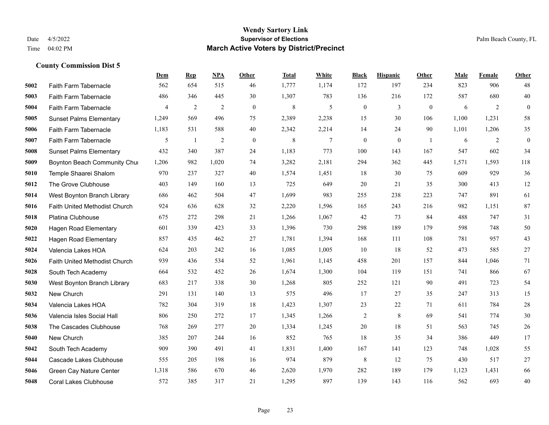#### **Wendy Sartory Link** Date 4/5/2022 **Supervisor of Elections** Palm Beach County, FL Time 04:02 PM **March Active Voters by District/Precinct**

# **Dem Rep NPA Other Total White Black Hispanic Other Male Female Other** Faith Farm Tabernacle 562 654 515 46 1,777 1,174 172 197 234 823 906 48 Faith Farm Tabernacle 486 346 445 30 1,307 783 136 216 172 587 680 40 Faith Farm Tabernacle 4 2 2 0 8 5 0 3 0 6 2 0 Sunset Palms Elementary 1,249 569 496 75 2,389 2,238 15 30 106 1,100 1,231 58 Faith Farm Tabernacle 1,183 531 588 40 2,342 2,214 14 24 90 1,101 1,206 35 Faith Farm Tabernacle 5 5 1 2 0 8 7 0 0 1 6 2 0 Sunset Palms Elementary 432 340 387 24 1,183 773 100 143 167 547 602 34 Boynton Beach Community Church 1,206 982 1,020 74 3,282 2,181 294 362 445 1,571 1,593 118 Temple Shaarei Shalom 970 237 327 40 1,574 1,451 18 30 75 609 929 36 The Grove Clubhouse 403 149 160 13 725 649 20 21 35 300 413 12 West Boynton Branch Library 686 462 504 47 1,699 983 255 238 223 747 891 61 Faith United Methodist Church 924 636 628 32 2,220 1,596 165 243 216 982 1,151 87 Platina Clubhouse 675 272 298 21 1,266 1,067 42 73 84 488 747 31 Hagen Road Elementary 601 339 423 33 1,396 730 298 189 179 598 748 50 Hagen Road Elementary 857 435 462 27 1,781 1,394 168 111 108 781 957 43 Valencia Lakes HOA 624 203 242 16 1,085 1,005 10 18 52 473 585 27 Faith United Methodist Church 939 436 534 52 1,961 1,145 458 201 157 844 1,046 71 South Tech Academy 664 532 452 26 1,674 1,300 104 119 151 741 866 67 West Boynton Branch Library 683 217 338 30 1,268 805 252 121 90 491 723 54 New Church 291 131 140 13 575 496 17 27 35 247 313 15 Valencia Lakes HOA 782 304 319 18 1,423 1,307 23 22 71 611 784 28 Valencia Isles Social Hall 806 250 272 17 1,345 1,266 2 8 69 541 774 30 The Cascades Clubhouse 768 269 277 20 1,334 1,245 20 18 51 563 745 26 New Church 385 207 244 16 852 765 18 35 34 386 449 17 South Tech Academy 909 390 491 41 1,831 1,400 167 141 123 748 1,028 55 Cascade Lakes Clubhouse 555 205 198 16 974 879 8 12 75 430 517 27 Green Cay Nature Center 1,318 586 670 46 2,620 1,970 282 189 179 1,123 1,431 66 Coral Lakes Clubhouse 572 385 317 21 1,295 897 139 143 116 562 693 40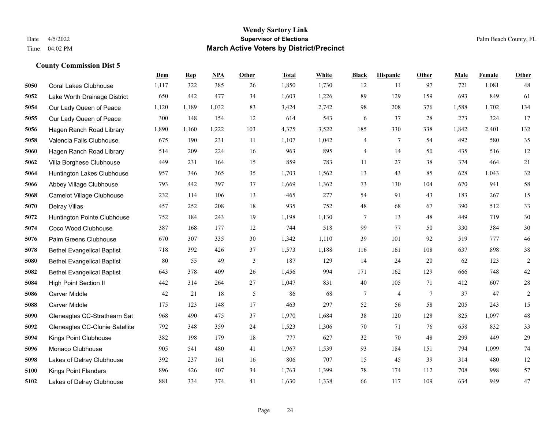|      |                                   | Dem   | <b>Rep</b> | NPA   | <b>Other</b> | <b>Total</b> | White | <b>Black</b>   | <b>Hispanic</b> | <b>Other</b> | <b>Male</b> | Female | <b>Other</b> |
|------|-----------------------------------|-------|------------|-------|--------------|--------------|-------|----------------|-----------------|--------------|-------------|--------|--------------|
| 5050 | <b>Coral Lakes Clubhouse</b>      | 1,117 | 322        | 385   | 26           | 1,850        | 1,730 | 12             | 11              | 97           | 721         | 1,081  | 48           |
| 5052 | Lake Worth Drainage District      | 650   | 442        | 477   | 34           | 1,603        | 1,226 | 89             | 129             | 159          | 693         | 849    | 61           |
| 5054 | Our Lady Queen of Peace           | 1,120 | 1,189      | 1,032 | 83           | 3,424        | 2,742 | 98             | 208             | 376          | 1,588       | 1,702  | 134          |
| 5055 | Our Lady Queen of Peace           | 300   | 148        | 154   | 12           | 614          | 543   | 6              | 37              | 28           | 273         | 324    | 17           |
| 5056 | Hagen Ranch Road Library          | 1,890 | 1,160      | 1,222 | 103          | 4,375        | 3,522 | 185            | 330             | 338          | 1,842       | 2,401  | 132          |
| 5058 | Valencia Falls Clubhouse          | 675   | 190        | 231   | 11           | 1,107        | 1,042 | 4              | 7               | 54           | 492         | 580    | 35           |
| 5060 | Hagen Ranch Road Library          | 514   | 209        | 224   | 16           | 963          | 895   | $\overline{4}$ | 14              | 50           | 435         | 516    | 12           |
| 5062 | Villa Borghese Clubhouse          | 449   | 231        | 164   | 15           | 859          | 783   | 11             | 27              | 38           | 374         | 464    | 21           |
| 5064 | Huntington Lakes Clubhouse        | 957   | 346        | 365   | 35           | 1,703        | 1,562 | 13             | 43              | 85           | 628         | 1,043  | 32           |
| 5066 | Abbey Village Clubhouse           | 793   | 442        | 397   | 37           | 1,669        | 1,362 | 73             | 130             | 104          | 670         | 941    | 58           |
| 5068 | <b>Camelot Village Clubhouse</b>  | 232   | 114        | 106   | 13           | 465          | 277   | 54             | 91              | 43           | 183         | 267    | 15           |
| 5070 | <b>Delray Villas</b>              | 457   | 252        | 208   | 18           | 935          | 752   | 48             | 68              | 67           | 390         | 512    | 33           |
| 5072 | Huntington Pointe Clubhouse       | 752   | 184        | 243   | 19           | 1,198        | 1,130 | 7              | 13              | 48           | 449         | 719    | $30\,$       |
| 5074 | Coco Wood Clubhouse               | 387   | 168        | 177   | 12           | 744          | 518   | 99             | 77              | 50           | 330         | 384    | $30\,$       |
| 5076 | Palm Greens Clubhouse             | 670   | 307        | 335   | 30           | 1,342        | 1,110 | 39             | 101             | 92           | 519         | 777    | $46\,$       |
| 5078 | <b>Bethel Evangelical Baptist</b> | 718   | 392        | 426   | 37           | 1,573        | 1,188 | 116            | 161             | 108          | 637         | 898    | 38           |
| 5080 | <b>Bethel Evangelical Baptist</b> | 80    | 55         | 49    | 3            | 187          | 129   | 14             | 24              | 20           | 62          | 123    | $\sqrt{2}$   |
| 5082 | <b>Bethel Evangelical Baptist</b> | 643   | 378        | 409   | 26           | 1,456        | 994   | 171            | 162             | 129          | 666         | 748    | $42\,$       |
| 5084 | High Point Section II             | 442   | 314        | 264   | 27           | 1,047        | 831   | 40             | 105             | 71           | 412         | 607    | $28\,$       |
| 5086 | Carver Middle                     | 42    | 21         | 18    | 5            | 86           | 68    | 7              | $\overline{4}$  | 7            | 37          | 47     | $\sqrt{2}$   |
| 5088 | Carver Middle                     | 175   | 123        | 148   | 17           | 463          | 297   | 52             | 56              | 58           | 205         | 243    | 15           |
| 5090 | Gleneagles CC-Strathearn Sat      | 968   | 490        | 475   | 37           | 1,970        | 1,684 | 38             | 120             | 128          | 825         | 1,097  | $48\,$       |
| 5092 | Gleneagles CC-Clunie Satellite    | 792   | 348        | 359   | 24           | 1,523        | 1,306 | 70             | 71              | 76           | 658         | 832    | 33           |
| 5094 | Kings Point Clubhouse             | 382   | 198        | 179   | $18\,$       | 777          | 627   | 32             | 70              | 48           | 299         | 449    | $29\,$       |
| 5096 | Monaco Clubhouse                  | 905   | 541        | 480   | 41           | 1,967        | 1,539 | 93             | 184             | 151          | 794         | 1,099  | $74\,$       |
| 5098 | Lakes of Delray Clubhouse         | 392   | 237        | 161   | 16           | 806          | 707   | 15             | 45              | 39           | 314         | 480    | $12\,$       |
| 5100 | <b>Kings Point Flanders</b>       | 896   | 426        | 407   | 34           | 1,763        | 1,399 | 78             | 174             | 112          | 708         | 998    | 57           |
| 5102 | Lakes of Delray Clubhouse         | 881   | 334        | 374   | 41           | 1,630        | 1,338 | 66             | 117             | 109          | 634         | 949    | 47           |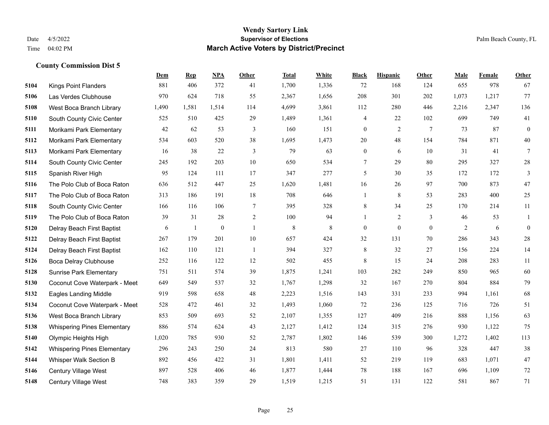|      |                                    | Dem   | <b>Rep</b>   | NPA              | <b>Other</b>   | <b>Total</b> | White       | <b>Black</b>     | <b>Hispanic</b>  | Other        | <b>Male</b> | Female | <b>Other</b>     |
|------|------------------------------------|-------|--------------|------------------|----------------|--------------|-------------|------------------|------------------|--------------|-------------|--------|------------------|
| 5104 | <b>Kings Point Flanders</b>        | 881   | 406          | 372              | 41             | 1,700        | 1,336       | 72               | 168              | 124          | 655         | 978    | 67               |
| 5106 | Las Verdes Clubhouse               | 970   | 624          | 718              | 55             | 2,367        | 1,656       | 208              | 301              | 202          | 1,073       | 1,217  | 77               |
| 5108 | West Boca Branch Library           | 1,490 | 1,581        | 1,514            | 114            | 4,699        | 3,861       | 112              | 280              | 446          | 2,216       | 2,347  | 136              |
| 5110 | South County Civic Center          | 525   | 510          | 425              | 29             | 1,489        | 1,361       | 4                | 22               | 102          | 699         | 749    | 41               |
| 5111 | Morikami Park Elementary           | 42    | 62           | 53               | 3              | 160          | 151         | $\boldsymbol{0}$ | $\overline{2}$   | 7            | 73          | 87     | $\boldsymbol{0}$ |
| 5112 | Morikami Park Elementary           | 534   | 603          | 520              | 38             | 1,695        | 1,473       | 20               | 48               | 154          | 784         | 871    | 40               |
| 5113 | Morikami Park Elementary           | 16    | 38           | 22               | $\mathfrak{Z}$ | 79           | 63          | $\boldsymbol{0}$ | 6                | 10           | 31          | 41     | $\tau$           |
| 5114 | South County Civic Center          | 245   | 192          | 203              | 10             | 650          | 534         | 7                | 29               | 80           | 295         | 327    | $28\,$           |
| 5115 | Spanish River High                 | 95    | 124          | 111              | 17             | 347          | 277         | 5                | 30               | 35           | 172         | 172    | 3                |
| 5116 | The Polo Club of Boca Raton        | 636   | 512          | 447              | 25             | 1,620        | 1,481       | 16               | 26               | 97           | 700         | 873    | $47\,$           |
| 5117 | The Polo Club of Boca Raton        | 313   | 186          | 191              | 18             | 708          | 646         | 1                | 8                | 53           | 283         | 400    | 25               |
| 5118 | South County Civic Center          | 166   | 116          | 106              | $\tau$         | 395          | 328         | 8                | 34               | 25           | 170         | 214    | 11               |
| 5119 | The Polo Club of Boca Raton        | 39    | 31           | 28               | $\overline{2}$ | 100          | 94          | $\mathbf{1}$     | $\overline{2}$   | 3            | 46          | 53     | 1                |
| 5120 | Delray Beach First Baptist         | 6     | $\mathbf{1}$ | $\boldsymbol{0}$ | $\mathbf{1}$   | 8            | $\,$ 8 $\,$ | $\boldsymbol{0}$ | $\boldsymbol{0}$ | $\mathbf{0}$ | 2           | 6      | $\boldsymbol{0}$ |
| 5122 | Delray Beach First Baptist         | 267   | 179          | 201              | 10             | 657          | 424         | 32               | 131              | 70           | 286         | 343    | $28\,$           |
| 5124 | Delray Beach First Baptist         | 162   | 110          | 121              | -1             | 394          | 327         | 8                | 32               | 27           | 156         | 224    | 14               |
| 5126 | Boca Delray Clubhouse              | 252   | 116          | 122              | 12             | 502          | 455         | 8                | 15               | 24           | 208         | 283    | 11               |
| 5128 | <b>Sunrise Park Elementary</b>     | 751   | 511          | 574              | 39             | 1,875        | 1,241       | 103              | 282              | 249          | 850         | 965    | 60               |
| 5130 | Coconut Cove Waterpark - Meet      | 649   | 549          | 537              | 32             | 1,767        | 1,298       | 32               | 167              | 270          | 804         | 884    | 79               |
| 5132 | <b>Eagles Landing Middle</b>       | 919   | 598          | 658              | 48             | 2,223        | 1,516       | 143              | 331              | 233          | 994         | 1,161  | 68               |
| 5134 | Coconut Cove Waterpark - Meet      | 528   | 472          | 461              | 32             | 1,493        | 1,060       | 72               | 236              | 125          | 716         | 726    | 51               |
| 5136 | West Boca Branch Library           | 853   | 509          | 693              | 52             | 2,107        | 1,355       | 127              | 409              | 216          | 888         | 1,156  | 63               |
| 5138 | <b>Whispering Pines Elementary</b> | 886   | 574          | 624              | 43             | 2,127        | 1,412       | 124              | 315              | 276          | 930         | 1,122  | 75               |
| 5140 | Olympic Heights High               | 1,020 | 785          | 930              | 52             | 2,787        | 1,802       | 146              | 539              | 300          | 1,272       | 1,402  | 113              |
| 5142 | <b>Whispering Pines Elementary</b> | 296   | 243          | 250              | 24             | 813          | 580         | 27               | 110              | 96           | 328         | 447    | 38               |
| 5144 | Whisper Walk Section B             | 892   | 456          | 422              | 31             | 1,801        | 1,411       | 52               | 219              | 119          | 683         | 1,071  | 47               |
| 5146 | Century Village West               | 897   | 528          | 406              | 46             | 1,877        | 1,444       | 78               | 188              | 167          | 696         | 1,109  | 72               |
| 5148 | <b>Century Village West</b>        | 748   | 383          | 359              | 29             | 1,519        | 1,215       | 51               | 131              | 122          | 581         | 867    | 71               |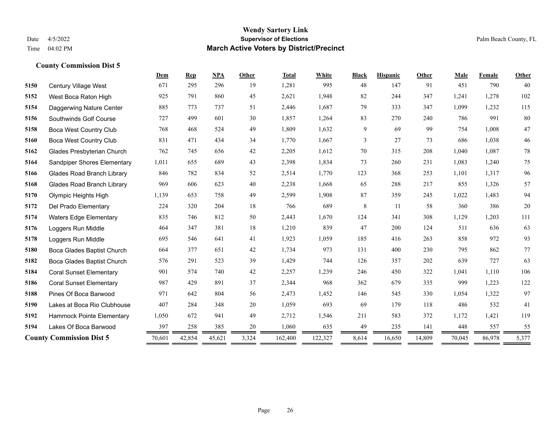#### **Wendy Sartory Link** Date 4/5/2022 **Supervisor of Elections** Palm Beach County, FL Time 04:02 PM **March Active Voters by District/Precinct**

# **Dem Rep NPA Other Total White Black Hispanic Other Male Female Other** Century Village West 671 295 296 19 1,281 995 48 147 91 451 790 40 West Boca Raton High 925 791 860 45 2,621 1,948 82 244 347 1,241 1,278 102 Daggerwing Nature Center 885 773 737 51 2,446 1,687 79 333 347 1,099 1,232 115 Southwinds Golf Course 727 499 601 30 1,857 1,264 83 270 240 786 991 80 Boca West Country Club 768 468 524 49 1,809 1,632 9 69 99 754 1,008 47 Boca West Country Club 831 471 434 34 1,770 1,667 3 27 73 686 1,038 46 Glades Presbyterian Church 762 745 656 42 2,205 1,612 70 315 208 1,040 1,087 78 Sandpiper Shores Elementary 1,011 655 689 43 2,398 1,834 73 260 231 1,083 1,240 75 Glades Road Branch Library 846 782 834 52 2,514 1,770 123 368 253 1,101 1,317 96 Glades Road Branch Library 969 606 623 40 2,238 1,668 65 288 217 855 1,326 57 Olympic Heights High 1,139 653 758 49 2,599 1,908 87 359 245 1,022 1,483 94 Del Prado Elementary 224 320 204 18 766 689 8 11 58 360 386 20 Waters Edge Elementary 835 746 812 50 2,443 1,670 124 341 308 1,129 1,203 111 Loggers Run Middle 464 347 381 18 1,210 839 47 200 124 511 636 63 Loggers Run Middle 695 546 641 41 1,923 1,059 185 416 263 858 972 93 Boca Glades Baptist Church 664 377 651 42 1,734 973 131 400 230 795 862 77 Boca Glades Baptist Church 576 291 523 39 1,429 744 126 357 202 639 727 63 Coral Sunset Elementary 901 574 740 42 2,257 1,239 246 450 322 1,041 1,110 106 Coral Sunset Elementary 987 429 891 37 2,344 968 362 679 335 999 1,223 122 Pines Of Boca Barwood 971 642 804 56 2,473 1,452 146 545 330 1,054 1,322 97 Lakes at Boca Rio Clubhouse 407 284 348 20 1,059 693 69 179 118 486 532 41 Hammock Pointe Elementary 1,050 672 941 49 2,712 1,546 211 583 372 1,172 1,421 119 Lakes Of Boca Barwood 397 258 385 20 1,060 635 49 235 141 448 557 55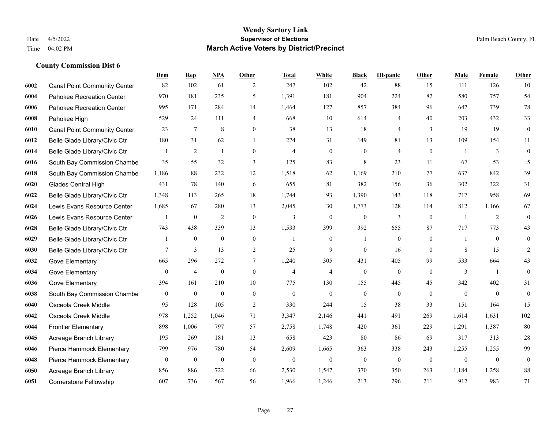|      |                                     | <b>Dem</b>       | <b>Rep</b>       | NPA              | <b>Other</b>     | Total          | <b>White</b>   | <b>Black</b>     | <b>Hispanic</b> | <b>Other</b>   | <b>Male</b>    | Female         | <b>Other</b>     |
|------|-------------------------------------|------------------|------------------|------------------|------------------|----------------|----------------|------------------|-----------------|----------------|----------------|----------------|------------------|
| 6002 | <b>Canal Point Community Center</b> | 82               | 102              | 61               | 2                | 247            | 102            | 42               | 88              | 15             | 111            | 126            | 10               |
| 6004 | Pahokee Recreation Center           | 970              | 181              | 235              | 5                | 1,391          | 181            | 904              | 224             | 82             | 580            | 757            | 54               |
| 6006 | Pahokee Recreation Center           | 995              | 171              | 284              | 14               | 1,464          | 127            | 857              | 384             | 96             | 647            | 739            | 78               |
| 6008 | Pahokee High                        | 529              | 24               | 111              | $\overline{4}$   | 668            | 10             | 614              | $\overline{4}$  | 40             | 203            | 432            | 33               |
| 6010 | <b>Canal Point Community Center</b> | 23               | $\tau$           | 8                | $\overline{0}$   | 38             | 13             | 18               | $\overline{4}$  | 3              | 19             | 19             | $\boldsymbol{0}$ |
| 6012 | Belle Glade Library/Civic Ctr       | 180              | 31               | 62               | $\mathbf{1}$     | 274            | 31             | 149              | 81              | 13             | 109            | 154            | 11               |
| 6014 | Belle Glade Library/Civic Ctr       | 1                | 2                | $\mathbf{1}$     | $\mathbf{0}$     | $\overline{4}$ | $\mathbf{0}$   | $\boldsymbol{0}$ | $\overline{4}$  | $\mathbf{0}$   | $\overline{1}$ | 3              | $\boldsymbol{0}$ |
| 6016 | South Bay Commission Chambe         | 35               | 55               | 32               | 3                | 125            | 83             | 8                | 23              | 11             | 67             | 53             | 5                |
| 6018 | South Bay Commission Chambe         | 1,186            | 88               | 232              | 12               | 1,518          | 62             | 1,169            | 210             | 77             | 637            | 842            | 39               |
| 6020 | <b>Glades Central High</b>          | 431              | 78               | 140              | 6                | 655            | 81             | 382              | 156             | 36             | 302            | 322            | 31               |
| 6022 | Belle Glade Library/Civic Ctr       | 1,348            | 113              | 265              | 18               | 1,744          | 93             | 1,390            | 143             | 118            | 717            | 958            | 69               |
| 6024 | Lewis Evans Resource Center         | 1,685            | 67               | 280              | 13               | 2,045          | 30             | 1,773            | 128             | 114            | 812            | 1,166          | 67               |
| 6026 | Lewis Evans Resource Center         | 1                | $\mathbf{0}$     | $\overline{2}$   | $\mathbf{0}$     | 3              | $\mathbf{0}$   | $\mathbf{0}$     | 3               | $\theta$       | $\overline{1}$ | $\overline{2}$ | $\mathbf{0}$     |
| 6028 | Belle Glade Library/Civic Ctr       | 743              | 438              | 339              | 13               | 1,533          | 399            | 392              | 655             | 87             | 717            | 773            | 43               |
| 6029 | Belle Glade Library/Civic Ctr       |                  | $\mathbf{0}$     | $\theta$         | $\mathbf{0}$     |                | $\overline{0}$ |                  | $\mathbf{0}$    | $\overline{0}$ |                | $\theta$       | $\mathbf{0}$     |
| 6030 | Belle Glade Library/Civic Ctr       | 7                | $\overline{3}$   | 13               | $\overline{2}$   | 25             | 9              | $\mathbf{0}$     | 16              | $\Omega$       | 8              | 15             | $\overline{2}$   |
| 6032 | Gove Elementary                     | 665              | 296              | 272              | $\overline{7}$   | 1,240          | 305            | 431              | 405             | 99             | 533            | 664            | 43               |
| 6034 | Gove Elementary                     | $\overline{0}$   | $\overline{4}$   | $\boldsymbol{0}$ | $\mathbf{0}$     | $\overline{4}$ | $\overline{4}$ | $\boldsymbol{0}$ | $\mathbf{0}$    | $\theta$       | 3              | $\overline{1}$ | $\mathbf{0}$     |
| 6036 | Gove Elementary                     | 394              | 161              | 210              | 10               | 775            | 130            | 155              | 445             | 45             | 342            | 402            | 31               |
| 6038 | South Bay Commission Chambe         | $\boldsymbol{0}$ | $\boldsymbol{0}$ | $\boldsymbol{0}$ | $\boldsymbol{0}$ | $\mathbf{0}$   | $\mathbf{0}$   | $\boldsymbol{0}$ | $\mathbf{0}$    | $\mathbf{0}$   | $\mathbf{0}$   | $\mathbf{0}$   | $\boldsymbol{0}$ |
| 6040 | Osceola Creek Middle                | 95               | 128              | 105              | $\overline{2}$   | 330            | 244            | 15               | 38              | 33             | 151            | 164            | 15               |
| 6042 | Osceola Creek Middle                | 978              | 1,252            | 1,046            | 71               | 3,347          | 2,146          | 441              | 491             | 269            | 1,614          | 1,631          | 102              |
| 6044 | <b>Frontier Elementary</b>          | 898              | 1,006            | 797              | 57               | 2,758          | 1,748          | 420              | 361             | 229            | 1,291          | 1,387          | 80               |
| 6045 | Acreage Branch Library              | 195              | 269              | 181              | 13               | 658            | 423            | 80               | 86              | 69             | 317            | 313            | 28               |
| 6046 | Pierce Hammock Elementary           | 799              | 976              | 780              | 54               | 2,609          | 1,665          | 363              | 338             | 243            | 1,255          | 1,255          | 99               |
| 6048 | Pierce Hammock Elementary           | $\boldsymbol{0}$ | $\mathbf{0}$     | $\boldsymbol{0}$ | $\mathbf{0}$     | $\theta$       | $\mathbf{0}$   | $\boldsymbol{0}$ | $\mathbf{0}$    | $\mathbf{0}$   | $\mathbf{0}$   | $\mathbf{0}$   | $\boldsymbol{0}$ |
| 6050 | Acreage Branch Library              | 856              | 886              | 722              | 66               | 2,530          | 1,547          | 370              | 350             | 263            | 1,184          | 1,258          | 88               |
| 6051 | <b>Cornerstone Fellowship</b>       | 607              | 736              | 567              | 56               | 1,966          | 1,246          | 213              | 296             | 211            | 912            | 983            | 71               |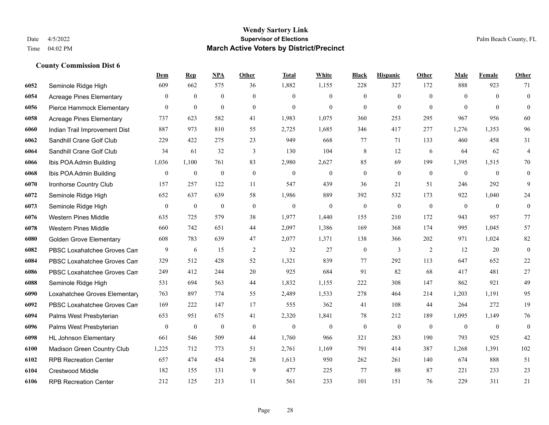|      |                                 | Dem              | <b>Rep</b>       | NPA              | <b>Other</b> | <b>Total</b>     | White          | <b>Black</b>     | <b>Hispanic</b> | <b>Other</b> | <b>Male</b>    | <b>Female</b> | <b>Other</b>     |
|------|---------------------------------|------------------|------------------|------------------|--------------|------------------|----------------|------------------|-----------------|--------------|----------------|---------------|------------------|
| 6052 | Seminole Ridge High             | 609              | 662              | 575              | 36           | 1,882            | 1,155          | 228              | 327             | 172          | 888            | 923           | 71               |
| 6054 | <b>Acreage Pines Elementary</b> | $\mathbf{0}$     | $\mathbf{0}$     | $\mathbf{0}$     | $\Omega$     | $\theta$         | $\overline{0}$ | $\mathbf{0}$     | $\mathbf{0}$    | $\theta$     | $\theta$       | $\theta$      | $\mathbf{0}$     |
| 6056 | Pierce Hammock Elementary       | $\theta$         | $\mathbf{0}$     | $\mathbf{0}$     | $\theta$     | $\theta$         | $\Omega$       | $\theta$         | $\theta$        | $\Omega$     | $\theta$       | $\Omega$      | $\theta$         |
| 6058 | <b>Acreage Pines Elementary</b> | 737              | 623              | 582              | 41           | 1,983            | 1,075          | 360              | 253             | 295          | 967            | 956           | 60               |
| 6060 | Indian Trail Improvement Dist   | 887              | 973              | 810              | 55           | 2,725            | 1,685          | 346              | 417             | 277          | 1,276          | 1,353         | 96               |
| 6062 | Sandhill Crane Golf Club        | 229              | 422              | 275              | 23           | 949              | 668            | 77               | 71              | 133          | 460            | 458           | 31               |
| 6064 | Sandhill Crane Golf Club        | 34               | 61               | 32               | 3            | 130              | 104            | $\,$ 8 $\,$      | 12              | 6            | 64             | 62            | $\overline{4}$   |
| 6066 | Ibis POA Admin Building         | 1,036            | 1,100            | 761              | 83           | 2,980            | 2,627          | 85               | 69              | 199          | 1,395          | 1,515         | $70\,$           |
| 6068 | Ibis POA Admin Building         | $\boldsymbol{0}$ | $\boldsymbol{0}$ | $\boldsymbol{0}$ | $\mathbf{0}$ | $\boldsymbol{0}$ | $\mathbf{0}$   | $\boldsymbol{0}$ | $\mathbf{0}$    | $\mathbf{0}$ | $\overline{0}$ | $\mathbf{0}$  | $\mathbf{0}$     |
| 6070 | Ironhorse Country Club          | 157              | 257              | 122              | 11           | 547              | 439            | 36               | 21              | 51           | 246            | 292           | 9                |
| 6072 | Seminole Ridge High             | 652              | 637              | 639              | 58           | 1,986            | 889            | 392              | 532             | 173          | 922            | 1,040         | 24               |
| 6073 | Seminole Ridge High             | $\mathbf{0}$     | $\boldsymbol{0}$ | $\boldsymbol{0}$ | $\mathbf{0}$ | $\mathbf{0}$     | $\overline{0}$ | $\mathbf{0}$     | $\mathbf{0}$    | $\mathbf{0}$ | $\overline{0}$ | $\mathbf{0}$  | $\mathbf{0}$     |
| 6076 | <b>Western Pines Middle</b>     | 635              | 725              | 579              | 38           | 1,977            | 1,440          | 155              | 210             | 172          | 943            | 957           | 77               |
| 6078 | <b>Western Pines Middle</b>     | 660              | 742              | 651              | 44           | 2,097            | 1,386          | 169              | 368             | 174          | 995            | 1,045         | 57               |
| 6080 | <b>Golden Grove Elementary</b>  | 608              | 783              | 639              | 47           | 2,077            | 1,371          | 138              | 366             | 202          | 971            | 1,024         | 82               |
| 6082 | PBSC Loxahatchee Groves Can     | 9                | 6                | 15               | 2            | 32               | 27             | $\boldsymbol{0}$ | 3               | 2            | 12             | 20            | $\mathbf{0}$     |
| 6084 | PBSC Loxahatchee Groves Can     | 329              | 512              | 428              | 52           | 1,321            | 839            | 77               | 292             | 113          | 647            | 652           | 22               |
| 6086 | PBSC Loxahatchee Groves Can     | 249              | 412              | 244              | 20           | 925              | 684            | 91               | 82              | 68           | 417            | 481           | 27               |
| 6088 | Seminole Ridge High             | 531              | 694              | 563              | 44           | 1,832            | 1,155          | 222              | 308             | 147          | 862            | 921           | 49               |
| 6090 | Loxahatchee Groves Elementary   | 763              | 897              | 774              | 55           | 2,489            | 1,533          | 278              | 464             | 214          | 1,203          | 1,191         | 95               |
| 6092 | PBSC Loxahatchee Groves Can     | 169              | 222              | 147              | 17           | 555              | 362            | 41               | 108             | 44           | 264            | 272           | 19               |
| 6094 | Palms West Presbyterian         | 653              | 951              | 675              | 41           | 2,320            | 1,841          | 78               | 212             | 189          | 1,095          | 1,149         | 76               |
| 6096 | Palms West Presbyterian         | $\mathbf{0}$     | $\bf{0}$         | $\boldsymbol{0}$ | $\mathbf{0}$ | $\mathbf{0}$     | $\overline{0}$ | $\boldsymbol{0}$ | $\mathbf{0}$    | $\theta$     | $\overline{0}$ | $\mathbf{0}$  | $\boldsymbol{0}$ |
| 6098 | <b>HL Johnson Elementary</b>    | 661              | 546              | 509              | 44           | 1,760            | 966            | 321              | 283             | 190          | 793            | 925           | 42               |
| 6100 | Madison Green Country Club      | 1,225            | 712              | 773              | 51           | 2,761            | 1,169          | 791              | 414             | 387          | 1,268          | 1,391         | 102              |
| 6102 | <b>RPB Recreation Center</b>    | 657              | 474              | 454              | 28           | 1,613            | 950            | 262              | 261             | 140          | 674            | 888           | 51               |
| 6104 | <b>Crestwood Middle</b>         | 182              | 155              | 131              | 9            | 477              | 225            | 77               | 88              | 87           | 221            | 233           | 23               |
| 6106 | <b>RPB Recreation Center</b>    | 212              | 125              | 213              | 11           | 561              | 233            | 101              | 151             | 76           | 229            | 311           | 21               |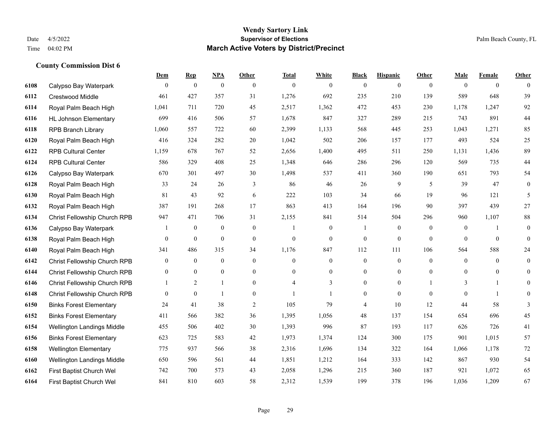|      |                                | Dem            | <b>Rep</b>       | NPA              | <b>Other</b>   | <b>Total</b>   | <b>White</b>     | <b>Black</b>     | <b>Hispanic</b>  | <b>Other</b> | <b>Male</b>      | <b>Female</b>  | <b>Other</b>     |
|------|--------------------------------|----------------|------------------|------------------|----------------|----------------|------------------|------------------|------------------|--------------|------------------|----------------|------------------|
| 6108 | Calypso Bay Waterpark          | $\mathbf{0}$   | $\mathbf{0}$     | $\boldsymbol{0}$ | $\theta$       | $\mathbf{0}$   | $\overline{0}$   | $\overline{0}$   | $\overline{0}$   | $\theta$     | $\theta$         | $\overline{0}$ | $\Omega$         |
| 6112 | Crestwood Middle               | 461            | 427              | 357              | 31             | 1,276          | 692              | 235              | 210              | 139          | 589              | 648            | 39               |
| 6114 | Royal Palm Beach High          | 1,041          | 711              | 720              | 45             | 2,517          | 1,362            | 472              | 453              | 230          | 1,178            | 1,247          | 92               |
| 6116 | <b>HL Johnson Elementary</b>   | 699            | 416              | 506              | 57             | 1,678          | 847              | 327              | 289              | 215          | 743              | 891            | 44               |
| 6118 | <b>RPB Branch Library</b>      | 1,060          | 557              | 722              | 60             | 2,399          | 1,133            | 568              | 445              | 253          | 1,043            | 1,271          | 85               |
| 6120 | Royal Palm Beach High          | 416            | 324              | 282              | 20             | 1,042          | 502              | 206              | 157              | 177          | 493              | 524            | $25\,$           |
| 6122 | <b>RPB Cultural Center</b>     | 1,159          | 678              | 767              | 52             | 2,656          | 1,400            | 495              | 511              | 250          | 1,131            | 1,436          | 89               |
| 6124 | <b>RPB Cultural Center</b>     | 586            | 329              | 408              | 25             | 1,348          | 646              | 286              | 296              | 120          | 569              | 735            | 44               |
| 6126 | Calypso Bay Waterpark          | 670            | 301              | 497              | 30             | 1,498          | 537              | 411              | 360              | 190          | 651              | 793            | 54               |
| 6128 | Royal Palm Beach High          | 33             | 24               | 26               | 3              | 86             | 46               | 26               | 9                | 5            | 39               | 47             | $\boldsymbol{0}$ |
| 6130 | Royal Palm Beach High          | 81             | 43               | 92               | 6              | 222            | 103              | 34               | 66               | 19           | 96               | 121            | 5                |
| 6132 | Royal Palm Beach High          | 387            | 191              | 268              | 17             | 863            | 413              | 164              | 196              | 90           | 397              | 439            | 27               |
| 6134 | Christ Fellowship Church RPB   | 947            | 471              | 706              | 31             | 2,155          | 841              | 514              | 504              | 296          | 960              | 1,107          | $88\,$           |
| 6136 | Calypso Bay Waterpark          |                | $\boldsymbol{0}$ | $\boldsymbol{0}$ | $\mathbf{0}$   | 1              | $\boldsymbol{0}$ |                  | $\boldsymbol{0}$ | $\mathbf{0}$ | $\boldsymbol{0}$ | $\mathbf{1}$   | $\overline{0}$   |
| 6138 | Royal Palm Beach High          | $\overline{0}$ | $\mathbf{0}$     | $\boldsymbol{0}$ | $\mathbf{0}$   | $\mathbf{0}$   | $\overline{0}$   | $\boldsymbol{0}$ | $\overline{0}$   | $\theta$     | $\theta$         | $\theta$       | $\overline{0}$   |
| 6140 | Royal Palm Beach High          | 341            | 486              | 315              | 34             | 1,176          | 847              | 112              | 111              | 106          | 564              | 588            | 24               |
| 6142 | Christ Fellowship Church RPB   | $\overline{0}$ | $\boldsymbol{0}$ | $\mathbf{0}$     | $\mathbf{0}$   | $\overline{0}$ | $\boldsymbol{0}$ | $\boldsymbol{0}$ | $\overline{0}$   | $\theta$     | $\overline{0}$   | $\theta$       | $\boldsymbol{0}$ |
| 6144 | Christ Fellowship Church RPB   | $\theta$       | $\mathbf{0}$     | $\mathbf{0}$     | $\theta$       | $\Omega$       | $\overline{0}$   | $\overline{0}$   | $\overline{0}$   | $\theta$     | $\theta$         | $\theta$       | $\overline{0}$   |
| 6146 | Christ Fellowship Church RPB   |                | $\overline{2}$   |                  | $\overline{0}$ | $\overline{4}$ | 3                | $\boldsymbol{0}$ | $\boldsymbol{0}$ |              | 3                | $\mathbf{1}$   | $\overline{0}$   |
| 6148 | Christ Fellowship Church RPB   | $\overline{0}$ | $\mathbf{0}$     |                  | $\mathbf{0}$   | 1              |                  | $\overline{0}$   | $\overline{0}$   | $\theta$     | $\theta$         | $\mathbf{1}$   | $\overline{0}$   |
| 6150 | <b>Binks Forest Elementary</b> | 24             | 41               | 38               | 2              | 105            | 79               | 4                | 10               | 12           | 44               | 58             | 3                |
| 6152 | <b>Binks Forest Elementary</b> | 411            | 566              | 382              | 36             | 1,395          | 1,056            | 48               | 137              | 154          | 654              | 696            | 45               |
| 6154 | Wellington Landings Middle     | 455            | 506              | 402              | 30             | 1,393          | 996              | 87               | 193              | 117          | 626              | 726            | 41               |
| 6156 | <b>Binks Forest Elementary</b> | 623            | 725              | 583              | 42             | 1,973          | 1,374            | 124              | 300              | 175          | 901              | 1,015          | 57               |
| 6158 | <b>Wellington Elementary</b>   | 775            | 937              | 566              | 38             | 2,316          | 1,696            | 134              | 322              | 164          | 1,066            | 1,178          | 72               |
| 6160 | Wellington Landings Middle     | 650            | 596              | 561              | 44             | 1,851          | 1,212            | 164              | 333              | 142          | 867              | 930            | 54               |
| 6162 | First Baptist Church Wel       | 742            | 700              | 573              | 43             | 2,058          | 1,296            | 215              | 360              | 187          | 921              | 1,072          | 65               |
| 6164 | First Baptist Church Wel       | 841            | 810              | 603              | 58             | 2,312          | 1,539            | 199              | 378              | 196          | 1,036            | 1,209          | 67               |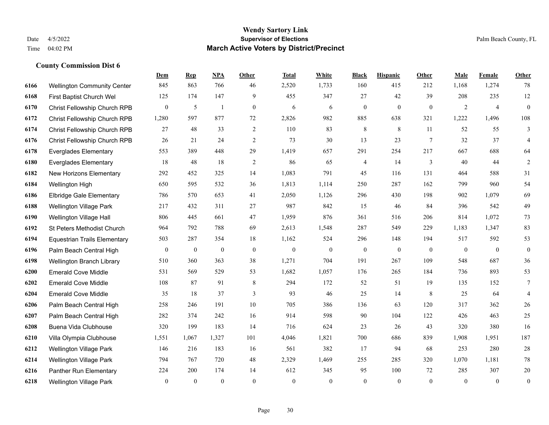|      |                                     | Dem            | <b>Rep</b>   | NPA          | <b>Other</b>   | <b>Total</b>     | <b>White</b> | <b>Black</b>     | <b>Hispanic</b> | <b>Other</b> | <b>Male</b>    | Female         | <b>Other</b>     |
|------|-------------------------------------|----------------|--------------|--------------|----------------|------------------|--------------|------------------|-----------------|--------------|----------------|----------------|------------------|
| 6166 | <b>Wellington Community Center</b>  | 845            | 863          | 766          | 46             | 2,520            | 1,733        | 160              | 415             | 212          | 1,168          | 1,274          | 78               |
| 6168 | First Baptist Church Wel            | 125            | 174          | 147          | 9              | 455              | 347          | 27               | 42              | 39           | 208            | 235            | $12\,$           |
| 6170 | Christ Fellowship Church RPB        | 0              | 5            | $\mathbf{1}$ | $\mathbf{0}$   | 6                | 6            | $\mathbf{0}$     | $\overline{0}$  | $\mathbf{0}$ | 2              | $\overline{4}$ | $\overline{0}$   |
| 6172 | Christ Fellowship Church RPB        | 1,280          | 597          | 877          | 72             | 2,826            | 982          | 885              | 638             | 321          | 1,222          | 1,496          | 108              |
| 6174 | Christ Fellowship Church RPB        | 27             | 48           | 33           | $\overline{2}$ | 110              | 83           | 8                | 8               | 11           | 52             | 55             | 3                |
| 6176 | Christ Fellowship Church RPB        | 26             | 21           | 24           | $\overline{2}$ | 73               | 30           | 13               | 23              | 7            | 32             | 37             | $\overline{4}$   |
| 6178 | <b>Everglades Elementary</b>        | 553            | 389          | 448          | 29             | 1,419            | 657          | 291              | 254             | 217          | 667            | 688            | 64               |
| 6180 | <b>Everglades Elementary</b>        | 18             | 48           | 18           | $\overline{2}$ | 86               | 65           | 4                | 14              | 3            | 40             | 44             | $\overline{2}$   |
| 6182 | New Horizons Elementary             | 292            | 452          | 325          | 14             | 1,083            | 791          | 45               | 116             | 131          | 464            | 588            | 31               |
| 6184 | Wellington High                     | 650            | 595          | 532          | 36             | 1,813            | 1,114        | 250              | 287             | 162          | 799            | 960            | 54               |
| 6186 | Elbridge Gale Elementary            | 786            | 570          | 653          | 41             | 2,050            | 1,126        | 296              | 430             | 198          | 902            | 1,079          | 69               |
| 6188 | Wellington Village Park             | 217            | 432          | 311          | 27             | 987              | 842          | 15               | 46              | 84           | 396            | 542            | 49               |
| 6190 | Wellington Village Hall             | 806            | 445          | 661          | 47             | 1,959            | 876          | 361              | 516             | 206          | 814            | 1,072          | 73               |
| 6192 | St Peters Methodist Church          | 964            | 792          | 788          | 69             | 2,613            | 1,548        | 287              | 549             | 229          | 1,183          | 1,347          | 83               |
| 6194 | <b>Equestrian Trails Elementary</b> | 503            | 287          | 354          | 18             | 1,162            | 524          | 296              | 148             | 194          | 517            | 592            | 53               |
| 6196 | Palm Beach Central High             | 0              | $\mathbf{0}$ | $\mathbf{0}$ | $\mathbf{0}$   | $\boldsymbol{0}$ | $\theta$     | $\boldsymbol{0}$ | $\overline{0}$  | $\mathbf{0}$ | $\overline{0}$ | $\mathbf{0}$   | $\overline{0}$   |
| 6198 | Wellington Branch Library           | 510            | 360          | 363          | 38             | 1,271            | 704          | 191              | 267             | 109          | 548            | 687            | 36               |
| 6200 | <b>Emerald Cove Middle</b>          | 531            | 569          | 529          | 53             | 1,682            | 1,057        | 176              | 265             | 184          | 736            | 893            | 53               |
| 6202 | <b>Emerald Cove Middle</b>          | 108            | 87           | 91           | $\,$ 8 $\,$    | 294              | 172          | 52               | 51              | 19           | 135            | 152            | $\tau$           |
| 6204 | <b>Emerald Cove Middle</b>          | 35             | 18           | 37           | 3              | 93               | 46           | 25               | 14              | 8            | 25             | 64             | 4                |
| 6206 | Palm Beach Central High             | 258            | 246          | 191          | 10             | 705              | 386          | 136              | 63              | 120          | 317            | 362            | 26               |
| 6207 | Palm Beach Central High             | 282            | 374          | 242          | 16             | 914              | 598          | 90               | 104             | 122          | 426            | 463            | 25               |
| 6208 | Buena Vida Clubhouse                | 320            | 199          | 183          | 14             | 716              | 624          | 23               | 26              | 43           | 320            | 380            | 16               |
| 6210 | Villa Olympia Clubhouse             | 1,551          | 1,067        | 1,327        | 101            | 4,046            | 1,821        | 700              | 686             | 839          | 1,908          | 1,951          | 187              |
| 6212 | <b>Wellington Village Park</b>      | 146            | 216          | 183          | 16             | 561              | 382          | 17               | 94              | 68           | 253            | 280            | 28               |
| 6214 | Wellington Village Park             | 794            | 767          | 720          | 48             | 2,329            | 1,469        | 255              | 285             | 320          | 1,070          | 1,181          | 78               |
| 6216 | Panther Run Elementary              | 224            | 200          | 174          | 14             | 612              | 345          | 95               | 100             | 72           | 285            | 307            | 20               |
| 6218 | <b>Wellington Village Park</b>      | $\overline{0}$ | $\mathbf{0}$ | $\mathbf{0}$ | $\theta$       | $\mathbf{0}$     | $\mathbf{0}$ | $\boldsymbol{0}$ | $\mathbf{0}$    | $\theta$     | $\theta$       | $\mathbf{0}$   | $\boldsymbol{0}$ |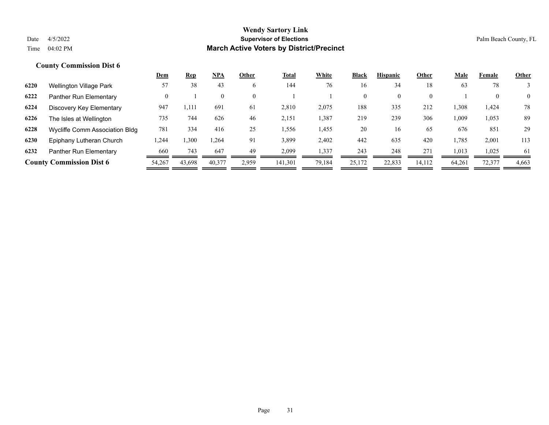|      |                                 | <u>Dem</u> | <u>Rep</u> | NPA      | Other    | <b>Total</b> | White  | <b>Black</b>   | <b>Hispanic</b> | Other    | <b>Male</b> | Female | <b>Other</b>   |
|------|---------------------------------|------------|------------|----------|----------|--------------|--------|----------------|-----------------|----------|-------------|--------|----------------|
| 6220 | Wellington Village Park         | 57         | 38         | 43       | 6        | 144          | 76     | 16             | 34              | 18       | 63          | 78     |                |
| 6222 | Panther Run Elementary          | 0          |            | $\theta$ | $\theta$ |              |        | $\overline{0}$ | $\theta$        | $\theta$ |             |        | $\overline{0}$ |
| 6224 | Discovery Key Elementary        | 947        | ـ 111,     | 691      | 61       | 2,810        | 2,075  | 188            | 335             | 212      | 1,308       | 1,424  | 78             |
| 6226 | The Isles at Wellington         | 735        | 744        | 626      | 46       | 2,151        | 1,387  | 219            | 239             | 306      | 1,009       | 1,053  | 89             |
| 6228 | Wycliffe Comm Association Bldg  | 781        | 334        | 416      | 25       | 1,556        | 1,455  | 20             | 16              | 65       | 676         | 851    | 29             |
| 6230 | Epiphany Lutheran Church        | .244       | ,300       | 1.264    | 91       | 3,899        | 2,402  | 442            | 635             | 420      | 1,785       | 2,001  | 113            |
| 6232 | Panther Run Elementary          | 660        | 743        | 647      | 49       | 2,099        | 1,337  | 243            | 248             | 271      | 1,013       | 1,025  | 61             |
|      | <b>County Commission Dist 6</b> | 54,267     | 43,698     | 40,377   | 2,959    | 141,301      | 79,184 | 25,172         | 22,833          | 14,112   | 64,261      | 72,377 | 4,663          |
|      |                                 |            |            |          |          |              |        |                |                 |          |             |        |                |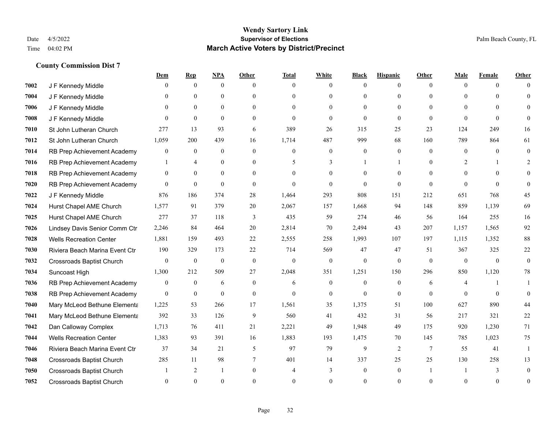|      |                                  | Dem              | <b>Rep</b>       | NPA              | <b>Other</b>   | <b>Total</b>   | <b>White</b>     | <b>Black</b>     | <b>Hispanic</b>  | <b>Other</b>    | <b>Male</b>  | <b>Female</b> | <b>Other</b>   |
|------|----------------------------------|------------------|------------------|------------------|----------------|----------------|------------------|------------------|------------------|-----------------|--------------|---------------|----------------|
| 7002 | J F Kennedy Middle               | $\mathbf{0}$     | $\mathbf{0}$     | $\mathbf{0}$     | $\theta$       | $\theta$       | $\overline{0}$   | $\Omega$         | $\overline{0}$   | $\theta$        | $\theta$     | $\theta$      | $\Omega$       |
| 7004 | J F Kennedy Middle               | $\Omega$         | $\theta$         | $\theta$         | $\Omega$       | $\Omega$       | $\overline{0}$   | $\theta$         | $\mathbf{0}$     | $\Omega$        | $\Omega$     | $\Omega$      | $\Omega$       |
| 7006 | J F Kennedy Middle               | $\theta$         | $\mathbf{0}$     | $\overline{0}$   | $\Omega$       | $\Omega$       | $\overline{0}$   | $\theta$         | $\theta$         | $\Omega$        | $\theta$     | $\Omega$      |                |
| 7008 | J F Kennedy Middle               | $\Omega$         | $\mathbf{0}$     | $\mathbf{0}$     | $\overline{0}$ | $\theta$       | $\overline{0}$   | $\mathbf{0}$     | $\mathbf{0}$     | $\theta$        | $\theta$     | $\theta$      |                |
| 7010 | St John Lutheran Church          | 277              | 13               | 93               | 6              | 389            | 26               | 315              | 25               | 23              | 124          | 249           | 16             |
| 7012 | St John Lutheran Church          | 1,059            | 200              | 439              | 16             | 1,714          | 487              | 999              | 68               | 160             | 789          | 864           | 61             |
| 7014 | RB Prep Achievement Academy      | $\boldsymbol{0}$ | $\bf{0}$         | $\mathbf{0}$     | $\overline{0}$ | $\mathbf{0}$   | $\boldsymbol{0}$ | $\boldsymbol{0}$ | $\mathbf{0}$     | $\theta$        | $\mathbf{0}$ | $\theta$      | $\mathbf{0}$   |
| 7016 | RB Prep Achievement Academy      | $\mathbf{1}$     | $\overline{4}$   | $\theta$         | $\Omega$       | 5              | 3                | 1                | $\mathbf{1}$     | $\theta$        | 2            |               | 2              |
| 7018 | RB Prep Achievement Academy      | $\overline{0}$   | $\mathbf{0}$     | $\overline{0}$   | $\Omega$       | $\Omega$       | $\overline{0}$   | $\theta$         | $\theta$         | $\Omega$        | $\Omega$     | $\Omega$      | $\Omega$       |
| 7020 | RB Prep Achievement Academy      | $\overline{0}$   | $\mathbf{0}$     | $\mathbf{0}$     | $\theta$       | $\theta$       | $\overline{0}$   | $\Omega$         | $\mathbf{0}$     | $\theta$        | $\theta$     | $\theta$      | $\theta$       |
| 7022 | J F Kennedy Middle               | 876              | 186              | 374              | 28             | 1,464          | 293              | 808              | 151              | 212             | 651          | 768           | 45             |
| 7024 | Hurst Chapel AME Church          | 1,577            | 91               | 379              | 20             | 2,067          | 157              | 1,668            | 94               | 148             | 859          | 1,139         | 69             |
| 7025 | Hurst Chapel AME Church          | 277              | 37               | 118              | 3              | 435            | 59               | 274              | 46               | 56              | 164          | 255           | 16             |
| 7026 | Lindsey Davis Senior Comm Ctr    | 2,246            | 84               | 464              | 20             | 2,814          | 70               | 2,494            | 43               | 207             | 1,157        | 1,565         | 92             |
| 7028 | <b>Wells Recreation Center</b>   | 1,881            | 159              | 493              | 22             | 2,555          | 258              | 1,993            | 107              | 197             | 1,115        | 1,352         | 88             |
| 7030 | Riviera Beach Marina Event Ctr   | 190              | 329              | 173              | 22             | 714            | 569              | 47               | 47               | 51              | 367          | 325           | $22\,$         |
| 7032 | Crossroads Baptist Church        | $\overline{0}$   | $\boldsymbol{0}$ | $\boldsymbol{0}$ | $\mathbf{0}$   | $\mathbf{0}$   | $\boldsymbol{0}$ | $\mathbf{0}$     | $\mathbf{0}$     | $\theta$        | $\mathbf{0}$ | $\theta$      | $\mathbf{0}$   |
| 7034 | Suncoast High                    | 1,300            | 212              | 509              | 27             | 2,048          | 351              | 1,251            | 150              | 296             | 850          | 1,120         | 78             |
| 7036 | RB Prep Achievement Academy      | $\overline{0}$   | $\bf{0}$         | 6                | $\overline{0}$ | 6              | $\boldsymbol{0}$ | $\boldsymbol{0}$ | $\boldsymbol{0}$ | 6               | 4            |               |                |
| 7038 | RB Prep Achievement Academy      | $\overline{0}$   | $\overline{0}$   | $\mathbf{0}$     | $\overline{0}$ | $\theta$       | $\overline{0}$   | $\mathbf{0}$     | $\mathbf{0}$     | $\theta$        | $\theta$     | $\theta$      | $\theta$       |
| 7040 | Mary McLeod Bethune Elementa     | 1,225            | 53               | 266              | 17             | 1,561          | 35               | 1,375            | 51               | 100             | 627          | 890           | 44             |
| 7041 | Mary McLeod Bethune Elementa     | 392              | 33               | 126              | 9              | 560            | 41               | 432              | 31               | 56              | 217          | 321           | 22             |
| 7042 | Dan Calloway Complex             | 1,713            | 76               | 411              | 21             | 2,221          | 49               | 1,948            | 49               | 175             | 920          | 1,230         | 71             |
| 7044 | <b>Wells Recreation Center</b>   | 1,383            | 93               | 391              | 16             | 1,883          | 193              | 1,475            | 70               | 145             | 785          | 1,023         | 75             |
| 7046 | Riviera Beach Marina Event Ctr   | 37               | 34               | 21               | 5              | 97             | 79               | 9                | 2                | $7\phantom{.0}$ | 55           | 41            | $\mathbf{1}$   |
| 7048 | <b>Crossroads Baptist Church</b> | 285              | 11               | 98               | 7              | 401            | 14               | 337              | 25               | 25              | 130          | 258           | 13             |
| 7050 | <b>Crossroads Baptist Church</b> |                  | 2                | $\mathbf{1}$     | $\theta$       | $\overline{4}$ | 3                | $\mathbf{0}$     | $\mathbf{0}$     |                 |              | 3             | $\theta$       |
| 7052 | <b>Crossroads Baptist Church</b> | 0                | $\Omega$         | $\theta$         | $\Omega$       |                | $\theta$         | $\theta$         | $\Omega$         | $\Omega$        | $\Omega$     | $\theta$      | $\overline{0}$ |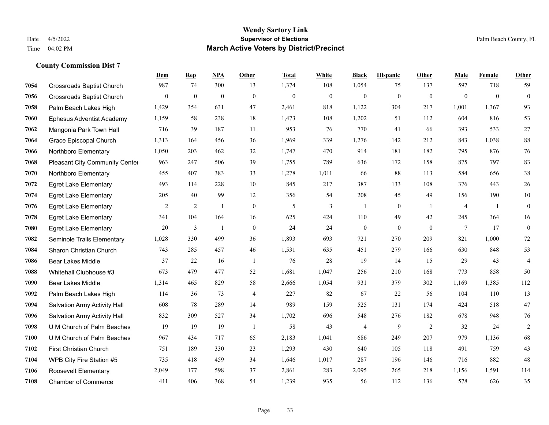|      |                                     | <b>Dem</b>     | <b>Rep</b>     | <u>NPA</u>   | <b>Other</b>     | <b>Total</b> | <b>White</b>     | <b>Black</b>     | <b>Hispanic</b>  | <b>Other</b>   | <b>Male</b>    | Female       | <b>Other</b>     |
|------|-------------------------------------|----------------|----------------|--------------|------------------|--------------|------------------|------------------|------------------|----------------|----------------|--------------|------------------|
| 7054 | Crossroads Baptist Church           | 987            | 74             | 300          | 13               | 1,374        | 108              | 1,054            | 75               | 137            | 597            | 718          | 59               |
| 7056 | <b>Crossroads Baptist Church</b>    | $\overline{0}$ | $\mathbf{0}$   | $\mathbf{0}$ | $\mathbf{0}$     | $\mathbf{0}$ | $\boldsymbol{0}$ | $\boldsymbol{0}$ | $\overline{0}$   | $\mathbf{0}$   | $\mathbf{0}$   | $\mathbf{0}$ | $\overline{0}$   |
| 7058 | Palm Beach Lakes High               | 1,429          | 354            | 631          | 47               | 2,461        | 818              | 1,122            | 304              | 217            | 1,001          | 1,367        | 93               |
| 7060 | <b>Ephesus Adventist Academy</b>    | 1,159          | 58             | 238          | 18               | 1,473        | 108              | 1,202            | 51               | 112            | 604            | 816          | 53               |
| 7062 | Mangonia Park Town Hall             | 716            | 39             | 187          | 11               | 953          | 76               | 770              | 41               | 66             | 393            | 533          | 27               |
| 7064 | Grace Episcopal Church              | 1,313          | 164            | 456          | 36               | 1,969        | 339              | 1,276            | 142              | 212            | 843            | 1,038        | 88               |
| 7066 | Northboro Elementary                | 1,050          | 203            | 462          | 32               | 1,747        | 470              | 914              | 181              | 182            | 795            | 876          | 76               |
| 7068 | Pleasant City Community Center      | 963            | 247            | 506          | 39               | 1,755        | 789              | 636              | 172              | 158            | 875            | 797          | 83               |
| 7070 | Northboro Elementary                | 455            | 407            | 383          | 33               | 1,278        | 1,011            | 66               | 88               | 113            | 584            | 656          | 38               |
| 7072 | <b>Egret Lake Elementary</b>        | 493            | 114            | 228          | 10               | 845          | 217              | 387              | 133              | 108            | 376            | 443          | 26               |
| 7074 | <b>Egret Lake Elementary</b>        | 205            | 40             | 99           | 12               | 356          | 54               | 208              | 45               | 49             | 156            | 190          | $10\,$           |
| 7076 | <b>Egret Lake Elementary</b>        | $\overline{2}$ | 2              | 1            | $\mathbf{0}$     | 5            | 3                | $\mathbf{1}$     | $\overline{0}$   | -1             | $\overline{4}$ | -1           | $\boldsymbol{0}$ |
| 7078 | <b>Egret Lake Elementary</b>        | 341            | 104            | 164          | 16               | 625          | 424              | 110              | 49               | 42             | 245            | 364          | 16               |
| 7080 | <b>Egret Lake Elementary</b>        | 20             | $\mathfrak{Z}$ | 1            | $\boldsymbol{0}$ | 24           | 24               | $\boldsymbol{0}$ | $\boldsymbol{0}$ | $\theta$       | $\tau$         | 17           | $\boldsymbol{0}$ |
| 7082 | Seminole Trails Elementary          | 1,028          | 330            | 499          | 36               | 1,893        | 693              | 721              | 270              | 209            | 821            | 1,000        | 72               |
| 7084 | Sharon Christian Church             | 743            | 285            | 457          | 46               | 1,531        | 635              | 451              | 279              | 166            | 630            | 848          | 53               |
| 7086 | <b>Bear Lakes Middle</b>            | 37             | 22             | 16           | $\overline{1}$   | 76           | 28               | 19               | 14               | 15             | 29             | 43           | $\overline{4}$   |
| 7088 | Whitehall Clubhouse #3              | 673            | 479            | 477          | 52               | 1,681        | 1,047            | 256              | 210              | 168            | 773            | 858          | 50               |
| 7090 | <b>Bear Lakes Middle</b>            | 1,314          | 465            | 829          | 58               | 2,666        | 1,054            | 931              | 379              | 302            | 1,169          | 1,385        | 112              |
| 7092 | Palm Beach Lakes High               | 114            | 36             | 73           | $\overline{4}$   | 227          | 82               | 67               | 22               | 56             | 104            | 110          | 13               |
| 7094 | <b>Salvation Army Activity Hall</b> | 608            | 78             | 289          | 14               | 989          | 159              | 525              | 131              | 174            | 424            | 518          | 47               |
| 7096 | Salvation Army Activity Hall        | 832            | 309            | 527          | 34               | 1,702        | 696              | 548              | 276              | 182            | 678            | 948          | 76               |
| 7098 | U M Church of Palm Beaches          | 19             | 19             | 19           | $\overline{1}$   | 58           | 43               | $\overline{4}$   | 9                | $\overline{2}$ | 32             | 24           | $\overline{c}$   |
| 7100 | U M Church of Palm Beaches          | 967            | 434            | 717          | 65               | 2,183        | 1,041            | 686              | 249              | 207            | 979            | 1.136        | 68               |
| 7102 | <b>First Christian Church</b>       | 751            | 189            | 330          | 23               | 1,293        | 430              | 640              | 105              | 118            | 491            | 759          | 43               |
| 7104 | WPB City Fire Station #5            | 735            | 418            | 459          | 34               | 1,646        | 1,017            | 287              | 196              | 146            | 716            | 882          | 48               |
| 7106 | <b>Roosevelt Elementary</b>         | 2,049          | 177            | 598          | 37               | 2,861        | 283              | 2,095            | 265              | 218            | 1,156          | 1,591        | 114              |
| 7108 | <b>Chamber of Commerce</b>          | 411            | 406            | 368          | 54               | 1,239        | 935              | 56               | 112              | 136            | 578            | 626          | 35               |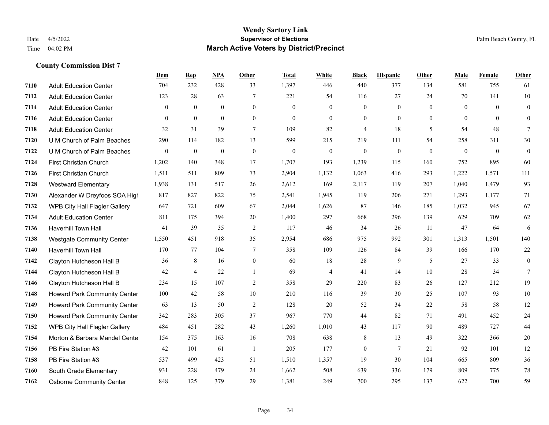|      |                                     | <b>Dem</b>       | <b>Rep</b>     | <u>NPA</u>   | <b>Other</b>     | <b>Total</b> | <b>White</b>   | <b>Black</b>     | <b>Hispanic</b> | <b>Other</b>   | <b>Male</b>    | Female       | <b>Other</b>     |
|------|-------------------------------------|------------------|----------------|--------------|------------------|--------------|----------------|------------------|-----------------|----------------|----------------|--------------|------------------|
| 7110 | <b>Adult Education Center</b>       | 704              | 232            | 428          | 33               | 1,397        | 446            | 440              | 377             | 134            | 581            | 755          | 61               |
| 7112 | <b>Adult Education Center</b>       | 123              | 28             | 63           | $\overline{7}$   | 221          | 54             | 116              | 27              | 24             | 70             | 141          | $10\,$           |
| 7114 | <b>Adult Education Center</b>       | $\overline{0}$   | $\overline{0}$ | $\mathbf{0}$ | $\overline{0}$   | $\theta$     | $\overline{0}$ | $\mathbf{0}$     | $\mathbf{0}$    | $\theta$       | $\overline{0}$ | $\theta$     | $\mathbf{0}$     |
| 7116 | <b>Adult Education Center</b>       | $\overline{0}$   | $\overline{0}$ | $\mathbf{0}$ | $\mathbf{0}$     | $\theta$     | $\mathbf{0}$   | $\boldsymbol{0}$ | $\mathbf{0}$    | $\overline{0}$ | $\mathbf{0}$   | $\theta$     | $\overline{0}$   |
| 7118 | <b>Adult Education Center</b>       | 32               | 31             | 39           | $\tau$           | 109          | 82             | $\overline{4}$   | 18              | 5              | 54             | 48           | $\tau$           |
| 7120 | U M Church of Palm Beaches          | 290              | 114            | 182          | 13               | 599          | 215            | 219              | 111             | 54             | 258            | 311          | 30               |
| 7122 | U M Church of Palm Beaches          | $\boldsymbol{0}$ | $\mathbf{0}$   | $\mathbf{0}$ | $\mathbf{0}$     | $\theta$     | $\mathbf{0}$   | $\boldsymbol{0}$ | $\mathbf{0}$    | $\mathbf{0}$   | $\mathbf{0}$   | $\mathbf{0}$ | $\boldsymbol{0}$ |
| 7124 | <b>First Christian Church</b>       | 1,202            | 140            | 348          | 17               | 1,707        | 193            | 1,239            | 115             | 160            | 752            | 895          | 60               |
| 7126 | <b>First Christian Church</b>       | 1,511            | 511            | 809          | 73               | 2,904        | 1,132          | 1,063            | 416             | 293            | 1,222          | 1,571        | 111              |
| 7128 | <b>Westward Elementary</b>          | 1,938            | 131            | 517          | 26               | 2,612        | 169            | 2,117            | 119             | 207            | 1,040          | 1,479        | 93               |
| 7130 | Alexander W Dreyfoos SOA High       | 817              | 827            | 822          | 75               | 2,541        | 1,945          | 119              | 206             | 271            | 1,293          | 1,177        | 71               |
| 7132 | WPB City Hall Flagler Gallery       | 647              | 721            | 609          | 67               | 2,044        | 1,626          | 87               | 146             | 185            | 1,032          | 945          | 67               |
| 7134 | <b>Adult Education Center</b>       | 811              | 175            | 394          | 20               | 1,400        | 297            | 668              | 296             | 139            | 629            | 709          | 62               |
| 7136 | Haverhill Town Hall                 | 41               | 39             | 35           | $\sqrt{2}$       | 117          | 46             | 34               | 26              | 11             | 47             | 64           | 6                |
| 7138 | <b>Westgate Community Center</b>    | 1,550            | 451            | 918          | 35               | 2,954        | 686            | 975              | 992             | 301            | 1,313          | 1,501        | 140              |
| 7140 | Haverhill Town Hall                 | 170              | 77             | 104          | 7                | 358          | 109            | 126              | 84              | 39             | 166            | 170          | 22               |
| 7142 | Clayton Hutcheson Hall B            | 36               | 8              | 16           | $\boldsymbol{0}$ | 60           | 18             | $28\,$           | 9               | 5              | 27             | 33           | $\boldsymbol{0}$ |
| 7144 | Clayton Hutcheson Hall B            | 42               | $\overline{4}$ | 22           | 1                | 69           | $\overline{4}$ | 41               | 14              | 10             | 28             | 34           | $\tau$           |
| 7146 | Clayton Hutcheson Hall B            | 234              | 15             | 107          | $\overline{2}$   | 358          | 29             | 220              | 83              | 26             | 127            | 212          | 19               |
| 7148 | Howard Park Community Center        | 100              | 42             | 58           | $10\,$           | 210          | 116            | 39               | 30              | 25             | 107            | 93           | 10               |
| 7149 | Howard Park Community Center        | 63               | 13             | 50           | 2                | 128          | 20             | 52               | 34              | 22             | 58             | 58           | 12               |
| 7150 | <b>Howard Park Community Center</b> | 342              | 283            | 305          | 37               | 967          | 770            | 44               | 82              | 71             | 491            | 452          | 24               |
| 7152 | WPB City Hall Flagler Gallery       | 484              | 451            | 282          | 43               | 1,260        | 1,010          | 43               | 117             | 90             | 489            | 727          | 44               |
| 7154 | Morton & Barbara Mandel Cente       | 154              | 375            | 163          | 16               | 708          | 638            | 8                | 13              | 49             | 322            | 366          | 20               |
| 7156 | PB Fire Station #3                  | 42               | 101            | 61           | $\overline{1}$   | 205          | 177            | $\boldsymbol{0}$ | $7\phantom{.0}$ | 21             | 92             | 101          | 12               |
| 7158 | PB Fire Station #3                  | 537              | 499            | 423          | 51               | 1,510        | 1,357          | 19               | 30              | 104            | 665            | 809          | 36               |
| 7160 | South Grade Elementary              | 931              | 228            | 479          | 24               | 1,662        | 508            | 639              | 336             | 179            | 809            | 775          | 78               |
| 7162 | <b>Osborne Community Center</b>     | 848              | 125            | 379          | 29               | 1,381        | 249            | 700              | 295             | 137            | 622            | 700          | 59               |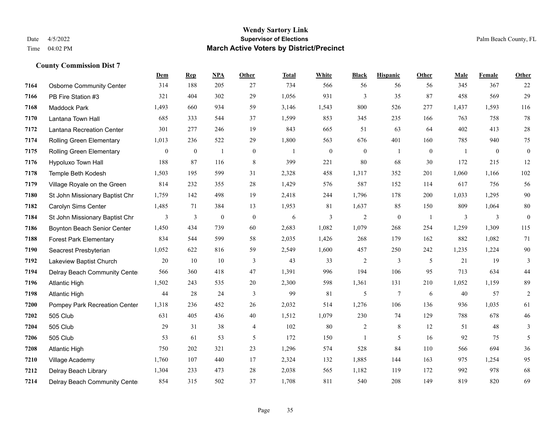|      |                                 | <b>Dem</b>   | <b>Rep</b>       | NPA              | <b>Other</b>     | <b>Total</b> | <b>White</b>     | <b>Black</b>     | <b>Hispanic</b>  | <b>Other</b>   | <b>Male</b> | Female       | <b>Other</b>     |
|------|---------------------------------|--------------|------------------|------------------|------------------|--------------|------------------|------------------|------------------|----------------|-------------|--------------|------------------|
| 7164 | <b>Osborne Community Center</b> | 314          | 188              | 205              | 27               | 734          | 566              | 56               | 56               | 56             | 345         | 367          | 22               |
| 7166 | PB Fire Station #3              | 321          | 404              | 302              | 29               | 1,056        | 931              | 3                | 35               | 87             | 458         | 569          | 29               |
| 7168 | Maddock Park                    | 1,493        | 660              | 934              | 59               | 3,146        | 1,543            | 800              | 526              | 277            | 1,437       | 1,593        | 116              |
| 7170 | Lantana Town Hall               | 685          | 333              | 544              | 37               | 1,599        | 853              | 345              | 235              | 166            | 763         | 758          | 78               |
| 7172 | Lantana Recreation Center       | 301          | 277              | 246              | 19               | 843          | 665              | 51               | 63               | 64             | 402         | 413          | 28               |
| 7174 | Rolling Green Elementary        | 1,013        | 236              | 522              | 29               | 1,800        | 563              | 676              | 401              | 160            | 785         | 940          | 75               |
| 7175 | Rolling Green Elementary        | $\mathbf{0}$ | $\boldsymbol{0}$ | $\mathbf{1}$     | $\boldsymbol{0}$ | $\mathbf{1}$ | $\boldsymbol{0}$ | $\boldsymbol{0}$ | $\mathbf{1}$     | $\overline{0}$ | -1          | $\mathbf{0}$ | $\boldsymbol{0}$ |
| 7176 | <b>Hypoluxo Town Hall</b>       | 188          | 87               | 116              | 8                | 399          | 221              | 80               | 68               | 30             | 172         | 215          | 12               |
| 7178 | Temple Beth Kodesh              | 1,503        | 195              | 599              | 31               | 2,328        | 458              | 1,317            | 352              | 201            | 1,060       | 1,166        | 102              |
| 7179 | Village Royale on the Green     | 814          | 232              | 355              | 28               | 1,429        | 576              | 587              | 152              | 114            | 617         | 756          | 56               |
| 7180 | St John Missionary Baptist Chr  | 1,759        | 142              | 498              | 19               | 2,418        | 244              | 1,796            | 178              | 200            | 1,033       | 1,295        | $90\,$           |
| 7182 | Carolyn Sims Center             | 1,485        | 71               | 384              | 13               | 1,953        | 81               | 1,637            | 85               | 150            | 809         | 1,064        | $80\,$           |
| 7184 | St John Missionary Baptist Chr  | 3            | 3                | $\boldsymbol{0}$ | $\boldsymbol{0}$ | 6            | 3                | $\overline{c}$   | $\boldsymbol{0}$ | -1             | 3           | 3            | $\boldsymbol{0}$ |
| 7186 | Boynton Beach Senior Center     | 1,450        | 434              | 739              | 60               | 2,683        | 1,082            | 1,079            | 268              | 254            | 1,259       | 1,309        | 115              |
| 7188 | <b>Forest Park Elementary</b>   | 834          | 544              | 599              | 58               | 2,035        | 1,426            | 268              | 179              | 162            | 882         | 1,082        | 71               |
| 7190 | Seacrest Presbyterian           | 1,052        | 622              | 816              | 59               | 2,549        | 1,600            | 457              | 250              | 242            | 1,235       | 1,224        | 90               |
| 7192 | Lakeview Baptist Church         | 20           | 10               | 10               | 3                | 43           | 33               | $\overline{2}$   | 3                | 5              | 21          | 19           | 3                |
| 7194 | Delray Beach Community Cente    | 566          | 360              | 418              | 47               | 1,391        | 996              | 194              | 106              | 95             | 713         | 634          | $44$             |
| 7196 | <b>Atlantic High</b>            | 1,502        | 243              | 535              | $20\,$           | 2,300        | 598              | 1,361            | 131              | 210            | 1,052       | 1,159        | 89               |
| 7198 | <b>Atlantic High</b>            | 44           | 28               | 24               | 3                | 99           | 81               | 5                | $7\phantom{.0}$  | 6              | 40          | 57           | $\overline{2}$   |
| 7200 | Pompey Park Recreation Center   | 1,318        | 236              | 452              | 26               | 2,032        | 514              | 1,276            | 106              | 136            | 936         | 1,035        | 61               |
| 7202 | 505 Club                        | 631          | 405              | 436              | $40\,$           | 1,512        | 1,079            | 230              | 74               | 129            | 788         | 678          | $46\,$           |
| 7204 | 505 Club                        | 29           | 31               | 38               | 4                | 102          | 80               | 2                | 8                | 12             | 51          | 48           | 3                |
| 7206 | 505 Club                        | 53           | 61               | 53               | 5                | 172          | 150              |                  | 5                | 16             | 92          | 75           | 5                |
| 7208 | <b>Atlantic High</b>            | 750          | 202              | 321              | 23               | 1,296        | 574              | 528              | 84               | 110            | 566         | 694          | 36               |
| 7210 | Village Academy                 | 1,760        | 107              | 440              | 17               | 2,324        | 132              | 1,885            | 144              | 163            | 975         | 1,254        | 95               |
| 7212 | Delray Beach Library            | 1,304        | 233              | 473              | 28               | 2,038        | 565              | 1,182            | 119              | 172            | 992         | 978          | 68               |
| 7214 | Delray Beach Community Cente    | 854          | 315              | 502              | 37               | 1,708        | 811              | 540              | 208              | 149            | 819         | 820          | 69               |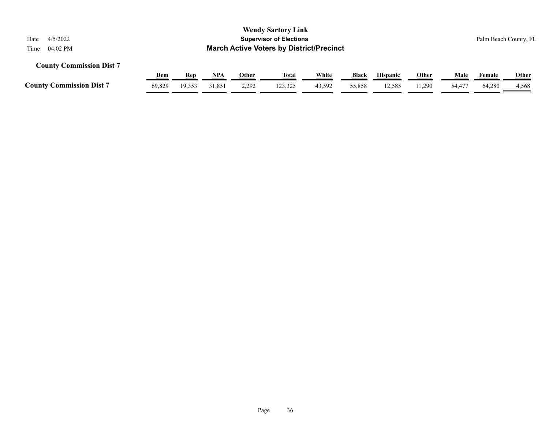| <b>Wendy Sartory Link</b><br>4/5/2022<br><b>Supervisor of Elections</b><br>Date<br><b>March Active Voters by District/Precinct</b><br>04:02 PM<br>Time |            |            |            |              |              |        |        |                 |              |        |        | Palm Beach County, FL |
|--------------------------------------------------------------------------------------------------------------------------------------------------------|------------|------------|------------|--------------|--------------|--------|--------|-----------------|--------------|--------|--------|-----------------------|
| <b>County Commission Dist 7</b>                                                                                                                        |            |            |            |              |              |        |        |                 |              |        |        |                       |
|                                                                                                                                                        | <u>Dem</u> | <b>Rep</b> | <u>NPA</u> | <b>Other</b> | <u>Total</u> | White  | Black  | <b>Hispanic</b> | <b>Other</b> | Male   | Female | <b>Other</b>          |
| <b>County Commission Dist 7</b>                                                                                                                        | 69.829     | 19,353     | 31,851     | 2.292        | 123,325      | 43,592 | 55,858 | 12,585          | 11.290       | 54,477 | 64.280 | 4,568                 |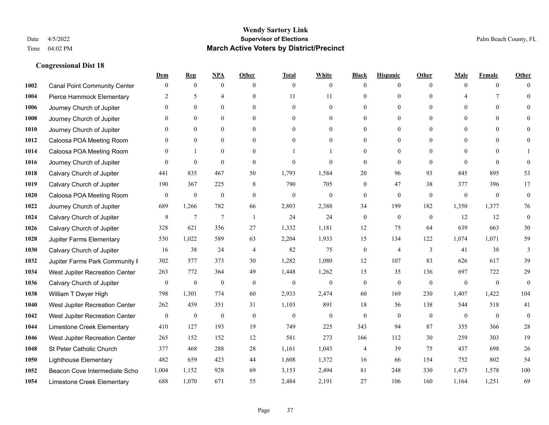|      |                                     | Dem              | <b>Rep</b>       | NPA              | <b>Other</b>   | <b>Total</b>     | <b>White</b>     | <b>Black</b>     | <b>Hispanic</b>  | <b>Other</b>   | <b>Male</b>              | <b>Female</b> | <b>Other</b>   |
|------|-------------------------------------|------------------|------------------|------------------|----------------|------------------|------------------|------------------|------------------|----------------|--------------------------|---------------|----------------|
| 1002 | <b>Canal Point Community Center</b> | $\mathbf{0}$     | $\mathbf{0}$     | $\boldsymbol{0}$ | $\Omega$       | $\theta$         | $\mathbf{0}$     | $\theta$         | $\mathbf{0}$     | $\theta$       | $\theta$                 | $\theta$      | $\Omega$       |
| 1004 | Pierce Hammock Elementary           | 2                | 5                | $\overline{4}$   | $\theta$       | 11               | 11               | $\theta$         | $\mathbf{0}$     | $\theta$       | $\overline{\mathcal{A}}$ | 7             | $\theta$       |
| 1006 | Journey Church of Jupiter           | $\Omega$         | $\theta$         | $\theta$         | $\Omega$       | $\Omega$         | $\Omega$         | $\Omega$         | $\theta$         | $\Omega$       | $\Omega$                 | $\Omega$      | $\Omega$       |
| 1008 | Journey Church of Jupiter           | $\mathbf{0}$     | $\mathbf{0}$     | $\boldsymbol{0}$ | $\overline{0}$ | $\mathbf{0}$     | $\boldsymbol{0}$ | $\mathbf{0}$     | $\boldsymbol{0}$ | $\mathbf{0}$   | $\mathbf{0}$             | $\mathbf{0}$  | $\theta$       |
| 1010 | Journey Church of Jupiter           | $\theta$         | $\mathbf{0}$     | $\mathbf{0}$     | $\theta$       | $\theta$         | $\mathbf{0}$     | $\mathbf{0}$     | $\mathbf{0}$     | $\theta$       | $\theta$                 | $\Omega$      | $\theta$       |
| 1012 | Caloosa POA Meeting Room            | $\mathbf{0}$     | $\mathbf{0}$     | $\mathbf{0}$     | $\theta$       | $\theta$         | $\mathbf{0}$     | $\theta$         | $\mathbf{0}$     | $\theta$       | $\overline{0}$           | $\Omega$      | $\mathbf{0}$   |
| 1014 | Caloosa POA Meeting Room            | $\Omega$         | $\mathbf{1}$     | $\theta$         | $\theta$       |                  | $\mathbf{1}$     | $\theta$         | $\theta$         | $\theta$       | $\theta$                 | $\Omega$      |                |
| 1016 | Journey Church of Jupiter           | $\Omega$         | $\boldsymbol{0}$ | $\mathbf{0}$     | $\Omega$       | $\theta$         | $\theta$         | $\mathbf{0}$     | $\overline{0}$   | $\theta$       | $\theta$                 | $\Omega$      | $\mathbf{0}$   |
| 1018 | Calvary Church of Jupiter           | 441              | 835              | 467              | 50             | 1,793            | 1,584            | $20\,$           | 96               | 93             | 845                      | 895           | 53             |
| 1019 | Calvary Church of Jupiter           | 190              | 367              | 225              | 8              | 790              | 705              | $\mathbf{0}$     | 47               | 38             | 377                      | 396           | 17             |
| 1020 | Caloosa POA Meeting Room            | $\overline{0}$   | $\boldsymbol{0}$ | $\mathbf{0}$     | $\theta$       | $\theta$         | $\mathbf{0}$     | $\mathbf{0}$     | $\overline{0}$   | $\theta$       | $\mathbf{0}$             | $\mathbf{0}$  | $\mathbf{0}$   |
| 1022 | Journey Church of Jupiter           | 689              | 1,266            | 782              | 66             | 2,803            | 2,388            | 34               | 199              | 182            | 1,350                    | 1,377         | 76             |
| 1024 | Calvary Church of Jupiter           | 9                | $\tau$           | 7                | -1             | 24               | 24               | $\boldsymbol{0}$ | $\mathbf{0}$     | $\overline{0}$ | 12                       | 12            | $\mathbf{0}$   |
| 1026 | Calvary Church of Jupiter           | 328              | 621              | 356              | 27             | 1,332            | 1,181            | 12               | 75               | 64             | 639                      | 663           | 30             |
| 1028 | Jupiter Farms Elementary            | 530              | 1,022            | 589              | 63             | 2,204            | 1,933            | 15               | 134              | 122            | 1,074                    | 1,071         | 59             |
| 1030 | Calvary Church of Jupiter           | 16               | 38               | 24               | 4              | 82               | 75               | $\boldsymbol{0}$ | $\overline{4}$   | 3              | 41                       | 38            | $\mathfrak{Z}$ |
| 1032 | Jupiter Farms Park Community I      | 302              | 577              | 373              | 30             | 1,282            | 1,080            | 12               | 107              | 83             | 626                      | 617           | 39             |
| 1034 | West Jupiter Recreation Center      | 263              | 772              | 364              | 49             | 1,448            | 1,262            | 15               | 35               | 136            | 697                      | 722           | 29             |
| 1036 | Calvary Church of Jupiter           | $\mathbf{0}$     | $\boldsymbol{0}$ | $\mathbf{0}$     | $\theta$       | $\mathbf{0}$     | $\mathbf{0}$     | $\mathbf{0}$     | $\mathbf{0}$     | $\theta$       | $\overline{0}$           | $\mathbf{0}$  | $\mathbf{0}$   |
| 1038 | William T Dwyer High                | 798              | 1,301            | 774              | 60             | 2,933            | 2,474            | 60               | 169              | 230            | 1,407                    | 1,422         | 104            |
| 1040 | West Jupiter Recreation Center      | 262              | 459              | 351              | 31             | 1,103            | 891              | 18               | 56               | 138            | 544                      | 518           | 41             |
| 1042 | West Jupiter Recreation Center      | $\boldsymbol{0}$ | $\boldsymbol{0}$ | $\boldsymbol{0}$ | $\mathbf{0}$   | $\boldsymbol{0}$ | $\boldsymbol{0}$ | $\boldsymbol{0}$ | $\mathbf{0}$     | $\mathbf{0}$   | $\overline{0}$           | $\mathbf{0}$  | $\mathbf{0}$   |
| 1044 | Limestone Creek Elementary          | 410              | 127              | 193              | 19             | 749              | 225              | 343              | 94               | 87             | 355                      | 366           | $28\,$         |
| 1046 | West Jupiter Recreation Center      | 265              | 152              | 152              | 12             | 581              | 273              | 166              | 112              | 30             | 259                      | 303           | 19             |
| 1048 | St Peter Catholic Church            | 377              | 468              | 288              | 28             | 1,161            | 1,043            | 4                | 39               | 75             | 437                      | 698           | $26\,$         |
| 1050 | <b>Lighthouse Elementary</b>        | 482              | 659              | 423              | 44             | 1,608            | 1,372            | 16               | 66               | 154            | 752                      | 802           | 54             |
| 1052 | Beacon Cove Intermediate Scho       | 1,004            | 1,152            | 928              | 69             | 3,153            | 2,494            | 81               | 248              | 330            | 1,475                    | 1,578         | 100            |
| 1054 | Limestone Creek Elementary          | 688              | 1,070            | 671              | 55             | 2,484            | 2,191            | 27               | 106              | 160            | 1.164                    | 1,251         | 69             |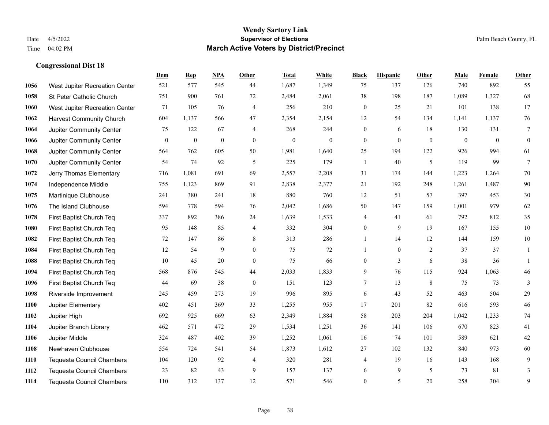|      |                                  | Dem          | <b>Rep</b>       | NPA              | <b>Other</b>     | <b>Total</b>     | <b>White</b>     | <b>Black</b>     | <b>Hispanic</b> | <b>Other</b>   | <b>Male</b>  | <b>Female</b> | Other            |
|------|----------------------------------|--------------|------------------|------------------|------------------|------------------|------------------|------------------|-----------------|----------------|--------------|---------------|------------------|
| 1056 | West Jupiter Recreation Center   | 521          | 577              | 545              | 44               | 1,687            | 1,349            | 75               | 137             | 126            | 740          | 892           | 55               |
| 1058 | St Peter Catholic Church         | 751          | 900              | 761              | 72               | 2,484            | 2,061            | 38               | 198             | 187            | 1,089        | 1,327         | 68               |
| 1060 | West Jupiter Recreation Center   | 71           | 105              | 76               | $\overline{4}$   | 256              | 210              | $\boldsymbol{0}$ | 25              | 21             | 101          | 138           | 17               |
| 1062 | <b>Harvest Community Church</b>  | 604          | 1,137            | 566              | 47               | 2,354            | 2,154            | 12               | 54              | 134            | 1,141        | 1,137         | 76               |
| 1064 | Jupiter Community Center         | 75           | 122              | 67               | $\overline{4}$   | 268              | 244              | $\mathbf{0}$     | 6               | 18             | 130          | 131           | $\overline{7}$   |
| 1066 | Jupiter Community Center         | $\mathbf{0}$ | $\boldsymbol{0}$ | $\boldsymbol{0}$ | $\boldsymbol{0}$ | $\boldsymbol{0}$ | $\boldsymbol{0}$ | $\boldsymbol{0}$ | $\mathbf{0}$    | $\overline{0}$ | $\mathbf{0}$ | $\mathbf{0}$  | $\boldsymbol{0}$ |
| 1068 | Jupiter Community Center         | 564          | 762              | 605              | 50               | 1,981            | 1,640            | 25               | 194             | 122            | 926          | 994           | 61               |
| 1070 | Jupiter Community Center         | 54           | 74               | 92               | 5                | 225              | 179              | $\mathbf{1}$     | 40              | 5              | 119          | 99            | $7\phantom{.0}$  |
| 1072 | Jerry Thomas Elementary          | 716          | 1,081            | 691              | 69               | 2,557            | 2,208            | 31               | 174             | 144            | 1,223        | 1,264         | 70               |
| 1074 | Independence Middle              | 755          | 1,123            | 869              | 91               | 2,838            | 2,377            | 21               | 192             | 248            | 1,261        | 1,487         | 90               |
| 1075 | Martinique Clubhouse             | 241          | 380              | 241              | 18               | 880              | 760              | 12               | 51              | 57             | 397          | 453           | $30\,$           |
| 1076 | The Island Clubhouse             | 594          | 778              | 594              | 76               | 2,042            | 1,686            | 50               | 147             | 159            | 1,001        | 979           | 62               |
| 1078 | First Baptist Church Teq         | 337          | 892              | 386              | 24               | 1,639            | 1,533            | 4                | 41              | 61             | 792          | 812           | 35               |
| 1080 | First Baptist Church Teq         | 95           | 148              | 85               | $\overline{4}$   | 332              | 304              | $\boldsymbol{0}$ | 9               | 19             | 167          | 155           | $10\,$           |
| 1082 | First Baptist Church Teq         | 72           | 147              | 86               | 8                | 313              | 286              | $\mathbf{1}$     | 14              | 12             | 144          | 159           | $10\,$           |
| 1084 | First Baptist Church Teq         | 12           | 54               | 9                | $\theta$         | 75               | 72               | $\mathbf{1}$     | $\mathbf{0}$    | 2              | 37           | 37            | 1                |
| 1088 | First Baptist Church Teq         | 10           | 45               | 20               | $\mathbf{0}$     | 75               | 66               | $\boldsymbol{0}$ | $\mathfrak{Z}$  | 6              | 38           | 36            | $\mathbf{1}$     |
| 1094 | First Baptist Church Teq         | 568          | 876              | 545              | 44               | 2,033            | 1,833            | 9                | 76              | 115            | 924          | 1,063         | $46\,$           |
| 1096 | First Baptist Church Teq         | 44           | 69               | 38               | $\mathbf{0}$     | 151              | 123              | 7                | 13              | 8              | 75           | 73            | 3                |
| 1098 | Riverside Improvement            | 245          | 459              | 273              | 19               | 996              | 895              | 6                | 43              | 52             | 463          | 504           | 29               |
| 1100 | Jupiter Elementary               | 402          | 451              | 369              | 33               | 1,255            | 955              | 17               | 201             | 82             | 616          | 593           | $46\,$           |
| 1102 | Jupiter High                     | 692          | 925              | 669              | 63               | 2,349            | 1,884            | 58               | 203             | 204            | 1,042        | 1,233         | $74\,$           |
| 1104 | Jupiter Branch Library           | 462          | 571              | 472              | 29               | 1,534            | 1,251            | 36               | 141             | 106            | 670          | 823           | 41               |
| 1106 | Jupiter Middle                   | 324          | 487              | 402              | 39               | 1,252            | 1,061            | 16               | 74              | 101            | 589          | 621           | $42\,$           |
| 1108 | Newhaven Clubhouse               | 554          | 724              | 541              | 54               | 1,873            | 1,612            | 27               | 102             | 132            | 840          | 973           | 60               |
| 1110 | Tequesta Council Chambers        | 104          | 120              | 92               | $\overline{4}$   | 320              | 281              | 4                | 19              | 16             | 143          | 168           | 9                |
| 1112 | <b>Tequesta Council Chambers</b> | 23           | 82               | 43               | 9                | 157              | 137              | 6                | 9               | 5              | 73           | 81            | 3                |
| 1114 | <b>Tequesta Council Chambers</b> | 110          | 312              | 137              | 12               | 571              | 546              | $\mathbf{0}$     | 5               | 20             | 258          | 304           | 9                |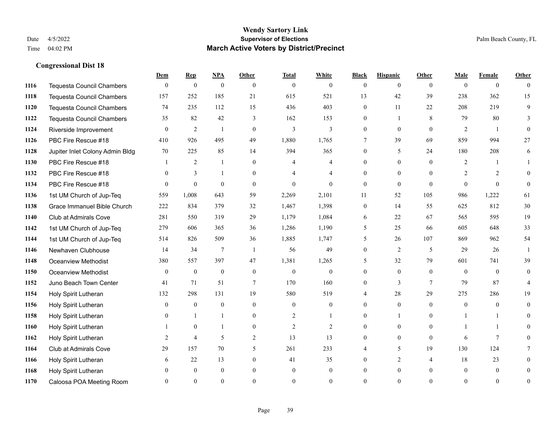|      |                                  | Dem          | <b>Rep</b>     | NPA              | <b>Other</b>   | <b>Total</b>   | <b>White</b>   | <b>Black</b>   | <b>Hispanic</b> | <b>Other</b>   | <b>Male</b>    | <b>Female</b>  | <b>Other</b>     |
|------|----------------------------------|--------------|----------------|------------------|----------------|----------------|----------------|----------------|-----------------|----------------|----------------|----------------|------------------|
| 1116 | <b>Tequesta Council Chambers</b> | $\mathbf{0}$ | $\mathbf{0}$   | $\boldsymbol{0}$ | $\theta$       | $\mathbf{0}$   | $\overline{0}$ | $\overline{0}$ | $\overline{0}$  | $\theta$       | $\theta$       | $\overline{0}$ | $\Omega$         |
| 1118 | <b>Tequesta Council Chambers</b> | 157          | 252            | 185              | 21             | 615            | 521            | 13             | 42              | 39             | 238            | 362            | 15               |
| 1120 | <b>Tequesta Council Chambers</b> | 74           | 235            | 112              | 15             | 436            | 403            | $\overline{0}$ | 11              | 22             | 208            | 219            | 9                |
| 1122 | Tequesta Council Chambers        | 35           | 82             | 42               | 3              | 162            | 153            | $\overline{0}$ | 1               | 8              | 79             | 80             | 3                |
| 1124 | Riverside Improvement            | $\theta$     | 2              | $\mathbf{1}$     | $\theta$       | 3              | 3              | $\overline{0}$ | $\Omega$        | $\theta$       | 2              | $\overline{1}$ | $\theta$         |
| 1126 | PBC Fire Rescue #18              | 410          | 926            | 495              | 49             | 1,880          | 1,765          | 7              | 39              | 69             | 859            | 994            | 27               |
| 1128 | Jupiter Inlet Colony Admin Bldg  | 70           | 225            | 85               | 14             | 394            | 365            | $\overline{0}$ | 5               | 24             | 180            | 208            | 6                |
| 1130 | PBC Fire Rescue #18              |              | 2              | $\mathbf{1}$     | $\theta$       | 4              | 4              | $\Omega$       | $\Omega$        | $\Omega$       | $\overline{2}$ | 1              |                  |
| 1132 | PBC Fire Rescue #18              | $\Omega$     | 3              |                  | $\Omega$       |                | $\overline{4}$ | $\theta$       | $\theta$        | $\Omega$       | $\overline{2}$ | 2              | 0                |
| 1134 | PBC Fire Rescue #18              | $\theta$     | $\overline{0}$ | $\theta$         | $\mathbf{0}$   | $\mathbf{0}$   | $\overline{0}$ | $\overline{0}$ | $\overline{0}$  | $\theta$       | $\theta$       | $\theta$       | $\overline{0}$   |
| 1136 | 1st UM Church of Jup-Teq         | 559          | 1,008          | 643              | 59             | 2,269          | 2,101          | 11             | 52              | 105            | 986            | 1,222          | 61               |
| 1138 | Grace Immanuel Bible Church      | 222          | 834            | 379              | 32             | 1,467          | 1,398          | $\overline{0}$ | 14              | 55             | 625            | 812            | 30               |
| 1140 | Club at Admirals Cove            | 281          | 550            | 319              | 29             | 1,179          | 1,084          | 6              | 22              | 67             | 565            | 595            | 19               |
| 1142 | 1st UM Church of Jup-Teq         | 279          | 606            | 365              | 36             | 1,286          | 1,190          | 5              | 25              | 66             | 605            | 648            | 33               |
| 1144 | 1st UM Church of Jup-Teq         | 514          | 826            | 509              | 36             | 1,885          | 1,747          | 5              | 26              | 107            | 869            | 962            | 54               |
| 1146 | Newhaven Clubhouse               | 14           | 34             | 7                | -1             | 56             | 49             | $\overline{0}$ | $\overline{2}$  | 5              | 29             | 26             | -1               |
| 1148 | Oceanview Methodist              | 380          | 557            | 397              | 47             | 1,381          | 1,265          | 5              | 32              | 79             | 601            | 741            | 39               |
| 1150 | Oceanview Methodist              | $\theta$     | $\mathbf{0}$   | $\mathbf{0}$     | $\theta$       | $\mathbf{0}$   | $\mathbf{0}$   | $\theta$       | $\theta$        | $\Omega$       | $\theta$       | $\Omega$       | $\overline{0}$   |
| 1152 | Juno Beach Town Center           | 41           | 71             | 51               | $\overline{7}$ | 170            | 160            | $\overline{0}$ | 3               | $\tau$         | 79             | 87             | 4                |
| 1154 | Holy Spirit Lutheran             | 132          | 298            | 131              | 19             | 580            | 519            | 4              | 28              | 29             | 275            | 286            | 19               |
| 1156 | Holy Spirit Lutheran             | $\theta$     | $\mathbf{0}$   | $\theta$         | $\theta$       | $\theta$       | $\mathbf{0}$   | $\Omega$       | $\Omega$        | $\Omega$       | $\theta$       | $\Omega$       | $\Omega$         |
| 1158 | Holy Spirit Lutheran             | $\mathbf{0}$ | 1              |                  | $\mathbf{0}$   | $\overline{c}$ | 1              | $\overline{0}$ | 1               | $\mathbf{0}$   |                |                | $\theta$         |
| 1160 | Holy Spirit Lutheran             |              | $\mathbf{0}$   |                  | $\overline{0}$ | 2              | 2              | $\theta$       | $\overline{0}$  | $\theta$       |                | $\mathbf{1}$   | 0                |
| 1162 | Holy Spirit Lutheran             | 2            | $\overline{4}$ | 5                | $\overline{2}$ | 13             | 13             | $\overline{0}$ | $\overline{0}$  | $\theta$       | 6              | $\tau$         | $\theta$         |
| 1164 | Club at Admirals Cove            | 29           | 157            | 70               | 5              | 261            | 233            | 4              | 5               | 19             | 130            | 124            |                  |
| 1166 | Holy Spirit Lutheran             | 6            | 22             | 13               | $\overline{0}$ | 41             | 35             | 0              | $\overline{2}$  | $\overline{4}$ | 18             | 23             | 0                |
| 1168 | Holy Spirit Lutheran             | $\Omega$     | $\mathbf{0}$   | $\mathbf{0}$     | $\theta$       | $\theta$       | $\overline{0}$ | $\theta$       | $\overline{0}$  | $\theta$       | $\theta$       | $\mathbf{0}$   | 0                |
| 1170 | Caloosa POA Meeting Room         | $\Omega$     | $\Omega$       | $\theta$         | $\Omega$       | $\Omega$       | $\Omega$       | $\theta$       | $\theta$        | $\Omega$       | $\Omega$       | $\Omega$       | $\boldsymbol{0}$ |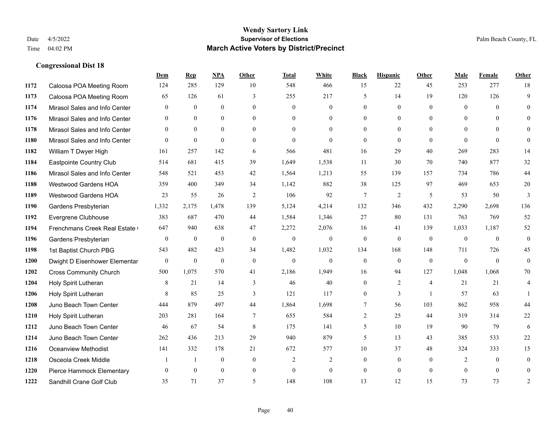|      |                               | Dem              | <b>Rep</b>   | NPA          | <b>Other</b>   | <b>Total</b> | <b>White</b>     | <b>Black</b>   | <b>Hispanic</b> | <b>Other</b>   | <b>Male</b>  | Female       | <b>Other</b>     |
|------|-------------------------------|------------------|--------------|--------------|----------------|--------------|------------------|----------------|-----------------|----------------|--------------|--------------|------------------|
| 1172 | Caloosa POA Meeting Room      | 124              | 285          | 129          | 10             | 548          | 466              | 15             | 22              | 45             | 253          | 277          | 18               |
| 1173 | Caloosa POA Meeting Room      | 65               | 126          | 61           | 3              | 255          | 217              | 5              | 14              | 19             | 120          | 126          | 9                |
| 1174 | Mirasol Sales and Info Center | $\theta$         | $\theta$     | $\theta$     | $\Omega$       | $\theta$     | $\mathbf{0}$     | $\theta$       | $\theta$        | $\Omega$       | $\theta$     | $\theta$     | $\Omega$         |
| 1176 | Mirasol Sales and Info Center | $\mathbf{0}$     | $\mathbf{0}$ | $\mathbf{0}$ | $\overline{0}$ | $\mathbf{0}$ | $\overline{0}$   | $\mathbf{0}$   | $\mathbf{0}$    | $\overline{0}$ | $\mathbf{0}$ | $\theta$     | $\theta$         |
| 1178 | Mirasol Sales and Info Center | $\theta$         | $\theta$     | $\Omega$     | $\theta$       | $\theta$     | $\theta$         | $\theta$       | $\theta$        | $\theta$       | $\theta$     | $\theta$     | $\theta$         |
| 1180 | Mirasol Sales and Info Center | $\theta$         | $\mathbf{0}$ | $\theta$     | $\theta$       | $\theta$     | $\theta$         | $\theta$       | $\theta$        | $\Omega$       | $\Omega$     | $\theta$     | $\theta$         |
| 1182 | William T Dwyer High          | 161              | 257          | 142          | 6              | 566          | 481              | 16             | 29              | 40             | 269          | 283          | 14               |
| 1184 | Eastpointe Country Club       | 514              | 681          | 415          | 39             | 1,649        | 1,538            | 11             | 30              | 70             | 740          | 877          | 32               |
| 1186 | Mirasol Sales and Info Center | 548              | 521          | 453          | 42             | 1,564        | 1,213            | 55             | 139             | 157            | 734          | 786          | 44               |
| 1188 | Westwood Gardens HOA          | 359              | 400          | 349          | 34             | 1,142        | 882              | 38             | 125             | 97             | 469          | 653          | 20               |
| 1189 | Westwood Gardens HOA          | 23               | 55           | 26           | 2              | 106          | 92               | 7              | 2               | 5              | 53           | 50           | 3                |
| 1190 | Gardens Presbyterian          | 1,332            | 2,175        | 1,478        | 139            | 5,124        | 4,214            | 132            | 346             | 432            | 2,290        | 2,698        | 136              |
| 1192 | Evergrene Clubhouse           | 383              | 687          | 470          | 44             | 1,584        | 1,346            | 27             | 80              | 131            | 763          | 769          | 52               |
| 1194 | Frenchmans Creek Real Estate  | 647              | 940          | 638          | 47             | 2,272        | 2,076            | 16             | 41              | 139            | 1,033        | 1,187        | 52               |
| 1196 | Gardens Presbyterian          | $\boldsymbol{0}$ | $\mathbf{0}$ | $\mathbf{0}$ | $\mathbf{0}$   | $\mathbf{0}$ | $\boldsymbol{0}$ | $\mathbf{0}$   | $\mathbf{0}$    | $\mathbf{0}$   | $\mathbf{0}$ | $\mathbf{0}$ | $\boldsymbol{0}$ |
| 1198 | 1st Baptist Church PBG        | 543              | 482          | 423          | 34             | 1,482        | 1,032            | 134            | 168             | 148            | 711          | 726          | 45               |
| 1200 | Dwight D Eisenhower Elementar | $\mathbf{0}$     | $\mathbf{0}$ | $\mathbf{0}$ | $\theta$       | $\mathbf{0}$ | $\overline{0}$   | $\mathbf{0}$   | $\theta$        | $\theta$       | $\theta$     | $\theta$     | $\mathbf{0}$     |
| 1202 | <b>Cross Community Church</b> | 500              | 1,075        | 570          | 41             | 2,186        | 1,949            | 16             | 94              | 127            | 1,048        | 1,068        | 70               |
| 1204 | Holy Spirit Lutheran          | 8                | 21           | 14           | 3              | 46           | 40               | $\mathbf{0}$   | 2               | $\overline{4}$ | 21           | 21           | 4                |
| 1206 | Holy Spirit Lutheran          | 8                | 85           | 25           | 3              | 121          | 117              | $\mathbf{0}$   | $\overline{3}$  | $\overline{1}$ | 57           | 63           | $\mathbf{1}$     |
| 1208 | Juno Beach Town Center        | 444              | 879          | 497          | 44             | 1,864        | 1,698            | $\tau$         | 56              | 103            | 862          | 958          | 44               |
| 1210 | Holy Spirit Lutheran          | 203              | 281          | 164          | 7              | 655          | 584              | $\overline{c}$ | 25              | 44             | 319          | 314          | $22\,$           |
| 1212 | Juno Beach Town Center        | 46               | 67           | 54           | 8              | 175          | 141              | 5              | 10              | 19             | 90           | 79           | 6                |
| 1214 | Juno Beach Town Center        | 262              | 436          | 213          | 29             | 940          | 879              | 5              | 13              | 43             | 385          | 533          | $22\,$           |
| 1216 | <b>Oceanview Methodist</b>    | 141              | 332          | 178          | 21             | 672          | 577              | $10\,$         | 37              | 48             | 324          | 333          | 15               |
| 1218 | Osceola Creek Middle          |                  | -1           | $\mathbf{0}$ | $\mathbf{0}$   | 2            | $\overline{2}$   | $\mathbf{0}$   | $\mathbf{0}$    | $\theta$       | 2            | $\theta$     | $\mathbf{0}$     |
| 1220 | Pierce Hammock Elementary     | $\theta$         | $\theta$     | $\theta$     | $\mathbf{0}$   | $\theta$     | $\mathbf{0}$     | $\mathbf{0}$   | $\theta$        | $\theta$       | $\theta$     | $\theta$     | $\Omega$         |
| 1222 | Sandhill Crane Golf Club      | 35               | 71           | 37           | 5              | 148          | 108              | 13             | 12              | 15             | 73           | 73           | $\overline{2}$   |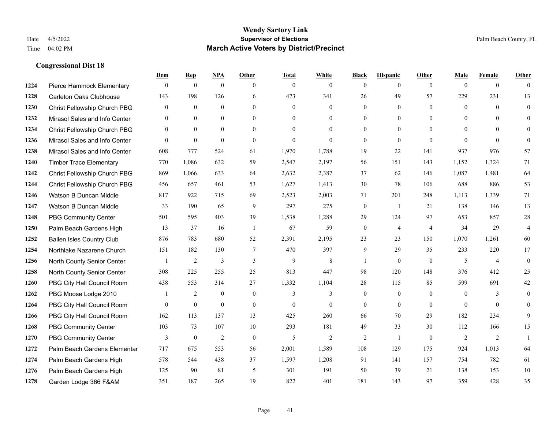|      |                                  | Dem              | <b>Rep</b>     | NPA              | <b>Other</b>    | <b>Total</b> | <b>White</b>   | <b>Black</b>     | <b>Hispanic</b> | <b>Other</b>   | <b>Male</b>    | <b>Female</b>  | <b>Other</b>   |
|------|----------------------------------|------------------|----------------|------------------|-----------------|--------------|----------------|------------------|-----------------|----------------|----------------|----------------|----------------|
| 1224 | Pierce Hammock Elementary        | $\mathbf{0}$     | $\mathbf{0}$   | $\mathbf{0}$     | $\theta$        | $\theta$     | $\overline{0}$ | $\mathbf{0}$     | $\mathbf{0}$    | $\theta$       | $\theta$       | $\overline{0}$ | $\Omega$       |
| 1228 | <b>Carleton Oaks Clubhouse</b>   | 143              | 198            | 126              | 6               | 473          | 341            | 26               | 49              | 57             | 229            | 231            | 13             |
| 1230 | Christ Fellowship Church PBG     | $\theta$         | $\mathbf{0}$   | $\theta$         | $\Omega$        | $\theta$     | $\Omega$       | $\theta$         | $\theta$        | $\Omega$       | $\theta$       | $\Omega$       | $\theta$       |
| 1232 | Mirasol Sales and Info Center    | $\boldsymbol{0}$ | $\mathbf{0}$   | $\boldsymbol{0}$ | $\overline{0}$  | $\mathbf{0}$ | $\mathbf{0}$   | $\mathbf{0}$     | $\mathbf{0}$    | $\overline{0}$ | $\overline{0}$ | $\theta$       | $\theta$       |
| 1234 | Christ Fellowship Church PBG     | $\overline{0}$   | $\theta$       | $\mathbf{0}$     | $\Omega$        | $\theta$     | $\Omega$       | $\overline{0}$   | $\mathbf{0}$    | $\theta$       | $\theta$       | $\theta$       | $\mathbf{0}$   |
| 1236 | Mirasol Sales and Info Center    | $\Omega$         | $\mathbf{0}$   | $\mathbf{0}$     | $\theta$        | $\theta$     | $\Omega$       | $\theta$         | $\theta$        | $\theta$       | $\theta$       | $\Omega$       | $\theta$       |
| 1238 | Mirasol Sales and Info Center    | 608              | 777            | 524              | 61              | 1,970        | 1,788          | 19               | 22              | 141            | 937            | 976            | 57             |
| 1240 | <b>Timber Trace Elementary</b>   | 770              | 1,086          | 632              | 59              | 2,547        | 2,197          | 56               | 151             | 143            | 1,152          | 1,324          | 71             |
| 1242 | Christ Fellowship Church PBG     | 869              | 1,066          | 633              | 64              | 2,632        | 2,387          | 37               | 62              | 146            | 1,087          | 1,481          | 64             |
| 1244 | Christ Fellowship Church PBG     | 456              | 657            | 461              | 53              | 1,627        | 1,413          | 30               | 78              | 106            | 688            | 886            | 53             |
| 1246 | Watson B Duncan Middle           | 817              | 922            | 715              | 69              | 2,523        | 2,003          | 71               | 201             | 248            | 1,113          | 1,339          | 71             |
| 1247 | Watson B Duncan Middle           | 33               | 190            | 65               | 9               | 297          | 275            | $\boldsymbol{0}$ | -1              | 21             | 138            | 146            | 13             |
| 1248 | <b>PBG Community Center</b>      | 501              | 595            | 403              | 39              | 1,538        | 1,288          | 29               | 124             | 97             | 653            | 857            | 28             |
| 1250 | Palm Beach Gardens High          | 13               | 37             | 16               | -1              | 67           | 59             | $\boldsymbol{0}$ | $\overline{4}$  | $\overline{4}$ | 34             | 29             | $\overline{4}$ |
| 1252 | <b>Ballen Isles Country Club</b> | 876              | 783            | 680              | 52              | 2,391        | 2,195          | 23               | 23              | 150            | 1,070          | 1,261          | 60             |
| 1254 | Northlake Nazarene Church        | 151              | 182            | 130              | $7\phantom{.0}$ | 470          | 397            | 9                | 29              | 35             | 233            | 220            | 17             |
| 1256 | North County Senior Center       |                  | $\overline{2}$ | 3                | 3               | 9            | $\,$ 8 $\,$    |                  | $\mathbf{0}$    | $\theta$       | 5              | $\overline{4}$ | $\mathbf{0}$   |
| 1258 | North County Senior Center       | 308              | 225            | 255              | 25              | 813          | 447            | 98               | 120             | 148            | 376            | 412            | 25             |
| 1260 | PBG City Hall Council Room       | 438              | 553            | 314              | 27              | 1,332        | 1,104          | 28               | 115             | 85             | 599            | 691            | 42             |
| 1262 | PBG Moose Lodge 2010             |                  | $\overline{2}$ | $\mathbf{0}$     | $\mathbf{0}$    | 3            | 3              | $\mathbf{0}$     | $\mathbf{0}$    | $\overline{0}$ | $\overline{0}$ | 3              | $\mathbf{0}$   |
| 1264 | PBG City Hall Council Room       | $\theta$         | $\mathbf{0}$   | $\mathbf{0}$     | $\theta$        | $\theta$     | $\Omega$       | $\theta$         | $\theta$        | $\theta$       | $\theta$       | $\Omega$       | $\Omega$       |
| 1266 | PBG City Hall Council Room       | 162              | 113            | 137              | 13              | 425          | 260            | 66               | 70              | 29             | 182            | 234            | 9              |
| 1268 | <b>PBG Community Center</b>      | 103              | 73             | 107              | 10              | 293          | 181            | 49               | 33              | 30             | 112            | 166            | 15             |
| 1270 | <b>PBG Community Center</b>      | 3                | $\mathbf{0}$   | $\overline{2}$   | $\theta$        | 5            | $\overline{2}$ | $\overline{c}$   | -1              | $\Omega$       | 2              | 2              | $\mathbf{1}$   |
| 1272 | Palm Beach Gardens Elementar     | 717              | 675            | 553              | 56              | 2,001        | 1,589          | 108              | 129             | 175            | 924            | 1,013          | 64             |
| 1274 | Palm Beach Gardens High          | 578              | 544            | 438              | 37              | 1,597        | 1,208          | 91               | 141             | 157            | 754            | 782            | 61             |
| 1276 | Palm Beach Gardens High          | 125              | 90             | 81               | 5               | 301          | 191            | 50               | 39              | 21             | 138            | 153            | 10             |
| 1278 | Garden Lodge 366 F&AM            | 351              | 187            | 265              | 19              | 822          | 401            | 181              | 143             | 97             | 359            | 428            | 35             |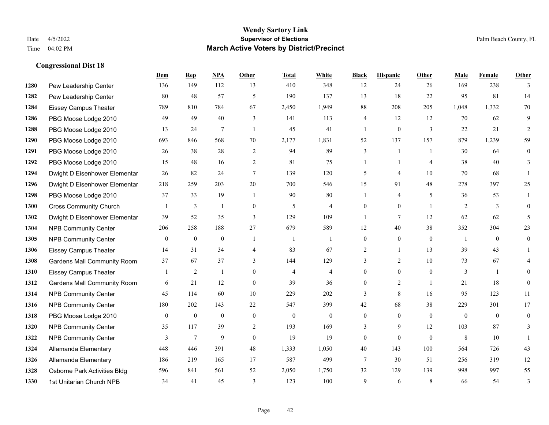|      |                                    | Dem            | <b>Rep</b>       | NPA            | <b>Other</b>   | <b>Total</b>   | <b>White</b>   | <b>Black</b>   | <b>Hispanic</b> | <b>Other</b>   | <b>Male</b>    | Female         | <b>Other</b>     |
|------|------------------------------------|----------------|------------------|----------------|----------------|----------------|----------------|----------------|-----------------|----------------|----------------|----------------|------------------|
| 1280 | Pew Leadership Center              | 136            | 149              | 112            | 13             | 410            | 348            | 12             | 24              | 26             | 169            | 238            | 3                |
| 1282 | Pew Leadership Center              | 80             | 48               | 57             | 5              | 190            | 137            | 13             | 18              | 22             | 95             | 81             | 14               |
| 1284 | <b>Eissey Campus Theater</b>       | 789            | 810              | 784            | 67             | 2,450          | 1,949          | 88             | 208             | 205            | 1,048          | 1,332          | 70               |
| 1286 | PBG Moose Lodge 2010               | 49             | 49               | 40             | 3              | 141            | 113            | 4              | 12              | 12             | 70             | 62             | 9                |
| 1288 | PBG Moose Lodge 2010               | 13             | 24               | $\tau$         | $\overline{1}$ | 45             | 41             | 1              | $\mathbf{0}$    | 3              | 22             | 21             | $\overline{2}$   |
| 1290 | PBG Moose Lodge 2010               | 693            | 846              | 568            | 70             | 2,177          | 1,831          | 52             | 137             | 157            | 879            | 1,239          | 59               |
| 1291 | PBG Moose Lodge 2010               | 26             | 38               | 28             | $\overline{2}$ | 94             | 89             | 3              | 1               | $\overline{1}$ | 30             | 64             | $\boldsymbol{0}$ |
| 1292 | PBG Moose Lodge 2010               | 15             | 48               | 16             | 2              | 81             | 75             | $\mathbf{1}$   | $\mathbf{1}$    | $\overline{4}$ | 38             | 40             | 3                |
| 1294 | Dwight D Eisenhower Elementar      | 26             | 82               | 24             | $\tau$         | 139            | 120            | 5              | 4               | 10             | 70             | 68             |                  |
| 1296 | Dwight D Eisenhower Elementar      | 218            | 259              | 203            | 20             | 700            | 546            | 15             | 91              | 48             | 278            | 397            | 25               |
| 1298 | PBG Moose Lodge 2010               | 37             | 33               | 19             | $\overline{1}$ | 90             | 80             | 1              | 4               | 5              | 36             | 53             | 1                |
| 1300 | <b>Cross Community Church</b>      |                | 3                | $\overline{1}$ | $\overline{0}$ | 5              | $\overline{4}$ | $\mathbf{0}$   | $\mathbf{0}$    | $\overline{1}$ | $\overline{2}$ | 3              | $\theta$         |
| 1302 | Dwight D Eisenhower Elementar      | 39             | 52               | 35             | 3              | 129            | 109            | $\mathbf{1}$   | $\tau$          | 12             | 62             | 62             | 5                |
| 1304 | <b>NPB Community Center</b>        | 206            | 258              | 188            | 27             | 679            | 589            | 12             | 40              | 38             | 352            | 304            | 23               |
| 1305 | <b>NPB Community Center</b>        | $\mathbf{0}$   | $\mathbf{0}$     | $\mathbf{0}$   |                |                |                | $\mathbf{0}$   | $\mathbf{0}$    | $\theta$       | -1             | $\theta$       | $\mathbf{0}$     |
| 1306 | <b>Eissey Campus Theater</b>       | 14             | 31               | 34             | 4              | 83             | 67             | $\overline{2}$ | $\mathbf{1}$    | 13             | 39             | 43             | 1                |
| 1308 | <b>Gardens Mall Community Room</b> | 37             | 67               | 37             | 3              | 144            | 129            | 3              | $\overline{c}$  | 10             | 73             | 67             | 4                |
| 1310 | <b>Eissey Campus Theater</b>       |                | 2                | -1             | $\theta$       | $\overline{4}$ | $\overline{4}$ | $\overline{0}$ | $\mathbf{0}$    | $\theta$       | 3              | $\overline{1}$ | $\theta$         |
| 1312 | <b>Gardens Mall Community Room</b> | 6              | 21               | 12             | $\theta$       | 39             | 36             | $\overline{0}$ | $\overline{c}$  | $\overline{1}$ | 21             | 18             | $\mathbf{0}$     |
| 1314 | NPB Community Center               | 45             | 114              | 60             | $10\,$         | 229            | 202            | 3              | 8               | 16             | 95             | 123            | 11               |
| 1316 | <b>NPB Community Center</b>        | 180            | 202              | 143            | 22             | 547            | 399            | 42             | 68              | 38             | 229            | 301            | 17               |
| 1318 | PBG Moose Lodge 2010               | $\overline{0}$ | $\boldsymbol{0}$ | $\mathbf{0}$   | $\overline{0}$ | $\theta$       | $\mathbf{0}$   | $\mathbf{0}$   | $\mathbf{0}$    | $\theta$       | $\mathbf{0}$   | $\theta$       | $\mathbf{0}$     |
| 1320 | <b>NPB Community Center</b>        | 35             | 117              | 39             | 2              | 193            | 169            | 3              | 9               | 12             | 103            | 87             | 3                |
| 1322 | <b>NPB Community Center</b>        | 3              | $\tau$           | 9              | $\theta$       | 19             | 19             | $\mathbf{0}$   | $\mathbf{0}$    | $\theta$       | 8              | 10             | 1                |
| 1324 | Allamanda Elementary               | 448            | 446              | 391            | 48             | 1,333          | 1.050          | 40             | 143             | 100            | 564            | 726            | 43               |
| 1326 | Allamanda Elementary               | 186            | 219              | 165            | 17             | 587            | 499            | 7              | 30              | 51             | 256            | 319            | 12               |
| 1328 | Osborne Park Activities Bldg       | 596            | 841              | 561            | 52             | 2,050          | 1,750          | 32             | 129             | 139            | 998            | 997            | 55               |
| 1330 | 1st Unitarian Church NPB           | 34             | 41               | 45             | 3              | 123            | 100            | 9              | 6               | 8              | 66             | 54             | 3                |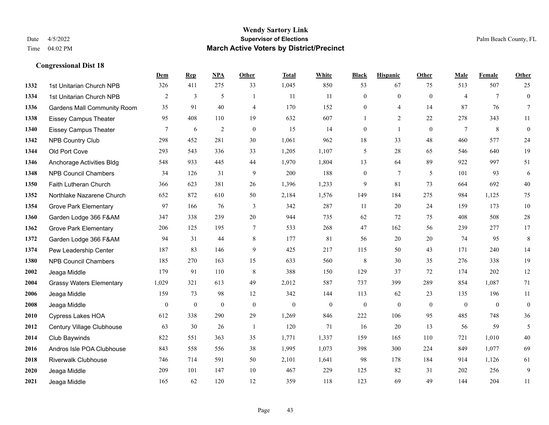|      |                                    | Dem            | <b>Rep</b>   | NPA            | <b>Other</b>   | <b>Total</b> | <b>White</b>   | <b>Black</b>     | <b>Hispanic</b>  | <b>Other</b>   | <b>Male</b>    | Female       | Other            |
|------|------------------------------------|----------------|--------------|----------------|----------------|--------------|----------------|------------------|------------------|----------------|----------------|--------------|------------------|
| 1332 | 1st Unitarian Church NPB           | 326            | 411          | 275            | 33             | 1,045        | 850            | 53               | 67               | 75             | 513            | 507          | 25               |
| 1334 | 1st Unitarian Church NPB           | $\overline{2}$ | 3            | 5              | -1             | 11           | 11             | $\boldsymbol{0}$ | $\boldsymbol{0}$ | $\overline{0}$ | $\overline{4}$ | $\tau$       | $\boldsymbol{0}$ |
| 1336 | <b>Gardens Mall Community Room</b> | 35             | 91           | 40             | $\overline{4}$ | 170          | 152            | $\mathbf{0}$     | $\overline{4}$   | 14             | 87             | 76           | $\tau$           |
| 1338 | <b>Eissey Campus Theater</b>       | 95             | 408          | 110            | 19             | 632          | 607            | $\mathbf{1}$     | $\overline{2}$   | 22             | 278            | 343          | 11               |
| 1340 | <b>Eissey Campus Theater</b>       | $\tau$         | 6            | $\overline{c}$ | $\mathbf{0}$   | 15           | 14             | $\boldsymbol{0}$ | $\mathbf{1}$     | $\overline{0}$ | $\tau$         | 8            | $\boldsymbol{0}$ |
| 1342 | <b>NPB Country Club</b>            | 298            | 452          | 281            | 30             | 1,061        | 962            | 18               | 33               | 48             | 460            | 577          | $24\,$           |
| 1344 | Old Port Cove                      | 293            | 543          | 336            | 33             | 1,205        | 1,107          | 5                | 28               | 65             | 546            | 640          | 19               |
| 1346 | Anchorage Activities Bldg          | 548            | 933          | 445            | 44             | 1,970        | 1,804          | 13               | 64               | 89             | 922            | 997          | 51               |
| 1348 | <b>NPB Council Chambers</b>        | 34             | 126          | 31             | 9              | 200          | 188            | $\boldsymbol{0}$ | $7\phantom{.0}$  | 5              | 101            | 93           | 6                |
| 1350 | Faith Lutheran Church              | 366            | 623          | 381            | 26             | 1,396        | 1,233          | 9                | 81               | 73             | 664            | 692          | $40\,$           |
| 1352 | Northlake Nazarene Church          | 652            | 872          | 610            | 50             | 2,184        | 1,576          | 149              | 184              | 275            | 984            | 1,125        | 75               |
| 1354 | <b>Grove Park Elementary</b>       | 97             | 166          | 76             | 3              | 342          | 287            | 11               | 20               | 24             | 159            | 173          | $10\,$           |
| 1360 | Garden Lodge 366 F&AM              | 347            | 338          | 239            | 20             | 944          | 735            | 62               | 72               | 75             | 408            | 508          | $28\,$           |
| 1362 | <b>Grove Park Elementary</b>       | 206            | 125          | 195            | $\tau$         | 533          | 268            | 47               | 162              | 56             | 239            | 277          | 17               |
| 1372 | Garden Lodge 366 F&AM              | 94             | 31           | 44             | 8              | 177          | 81             | 56               | 20               | 20             | 74             | 95           | $\,8\,$          |
| 1374 | Pew Leadership Center              | 187            | 83           | 146            | 9              | 425          | 217            | 115              | 50               | 43             | 171            | 240          | 14               |
| 1380 | <b>NPB Council Chambers</b>        | 185            | 270          | 163            | 15             | 633          | 560            | $\,$ 8 $\,$      | 30               | 35             | 276            | 338          | 19               |
| 2002 | Jeaga Middle                       | 179            | 91           | 110            | 8              | 388          | 150            | 129              | 37               | 72             | 174            | 202          | 12               |
| 2004 | <b>Grassy Waters Elementary</b>    | 1,029          | 321          | 613            | 49             | 2,012        | 587            | 737              | 399              | 289            | 854            | 1,087        | 71               |
| 2006 | Jeaga Middle                       | 159            | 73           | 98             | 12             | 342          | 144            | 113              | 62               | 23             | 135            | 196          | 11               |
| 2008 | Jeaga Middle                       | $\mathbf{0}$   | $\mathbf{0}$ | $\mathbf{0}$   | $\mathbf{0}$   | $\mathbf{0}$ | $\overline{0}$ | $\mathbf{0}$     | $\mathbf{0}$     | $\theta$       | $\mathbf{0}$   | $\mathbf{0}$ | $\boldsymbol{0}$ |
| 2010 | Cypress Lakes HOA                  | 612            | 338          | 290            | 29             | 1,269        | 846            | 222              | 106              | 95             | 485            | 748          | 36               |
| 2012 | Century Village Clubhouse          | 63             | 30           | 26             | $\mathbf{1}$   | 120          | 71             | 16               | 20               | 13             | 56             | 59           | 5                |
| 2014 | Club Baywinds                      | 822            | 551          | 363            | 35             | 1,771        | 1,337          | 159              | 165              | 110            | 721            | 1,010        | $40\,$           |
| 2016 | Andros Isle POA Clubhouse          | 843            | 558          | 556            | 38             | 1,995        | 1,073          | 398              | 300              | 224            | 849            | 1,077        | 69               |
| 2018 | Riverwalk Clubhouse                | 746            | 714          | 591            | 50             | 2,101        | 1,641          | 98               | 178              | 184            | 914            | 1,126        | 61               |
| 2020 | Jeaga Middle                       | 209            | 101          | 147            | 10             | 467          | 229            | 125              | 82               | 31             | 202            | 256          | 9                |
| 2021 | Jeaga Middle                       | 165            | 62           | 120            | 12             | 359          | 118            | 123              | 69               | 49             | 144            | 204          | 11               |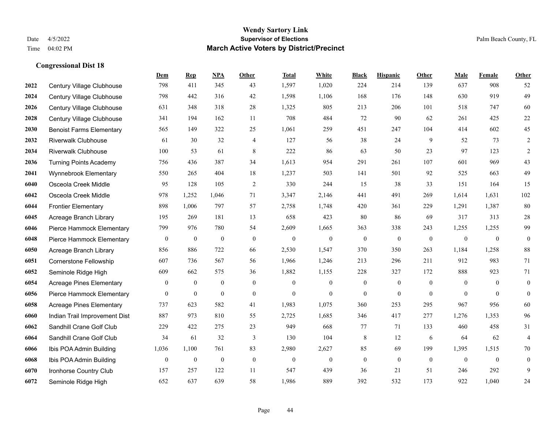|      |                                 | Dem              | <b>Rep</b>       | NPA              | <b>Other</b>     | <b>Total</b>     | White            | <b>Black</b>     | <b>Hispanic</b>  | <b>Other</b>     | <b>Male</b>      | Female           | Other            |
|------|---------------------------------|------------------|------------------|------------------|------------------|------------------|------------------|------------------|------------------|------------------|------------------|------------------|------------------|
| 2022 | Century Village Clubhouse       | 798              | 411              | 345              | 43               | 1,597            | 1,020            | 224              | 214              | 139              | 637              | 908              | 52               |
| 2024 | Century Village Clubhouse       | 798              | 442              | 316              | 42               | 1,598            | 1,106            | 168              | 176              | 148              | 630              | 919              | 49               |
| 2026 | Century Village Clubhouse       | 631              | 348              | 318              | 28               | 1,325            | 805              | 213              | 206              | 101              | 518              | 747              | 60               |
| 2028 | Century Village Clubhouse       | 341              | 194              | 162              | 11               | 708              | 484              | 72               | 90               | 62               | 261              | 425              | $22\,$           |
| 2030 | <b>Benoist Farms Elementary</b> | 565              | 149              | 322              | 25               | 1,061            | 259              | 451              | 247              | 104              | 414              | 602              | 45               |
| 2032 | <b>Riverwalk Clubhouse</b>      | 61               | 30               | 32               | 4                | 127              | 56               | 38               | 24               | 9                | 52               | 73               | 2                |
| 2034 | <b>Riverwalk Clubhouse</b>      | 100              | 53               | 61               | $\,$ 8 $\,$      | 222              | 86               | 63               | 50               | 23               | 97               | 123              | $\sqrt{2}$       |
| 2036 | <b>Turning Points Academy</b>   | 756              | 436              | 387              | 34               | 1,613            | 954              | 291              | 261              | 107              | 601              | 969              | 43               |
| 2041 | Wynnebrook Elementary           | 550              | 265              | 404              | 18               | 1,237            | 503              | 141              | 501              | 92               | 525              | 663              | 49               |
| 6040 | Osceola Creek Middle            | 95               | 128              | 105              | 2                | 330              | 244              | 15               | 38               | 33               | 151              | 164              | 15               |
| 6042 | Osceola Creek Middle            | 978              | 1,252            | 1,046            | 71               | 3,347            | 2,146            | 441              | 491              | 269              | 1,614            | 1,631            | 102              |
| 6044 | <b>Frontier Elementary</b>      | 898              | 1,006            | 797              | 57               | 2,758            | 1,748            | 420              | 361              | 229              | 1,291            | 1,387            | $80\,$           |
| 6045 | Acreage Branch Library          | 195              | 269              | 181              | 13               | 658              | 423              | 80               | 86               | 69               | 317              | 313              | $28\,$           |
| 6046 | Pierce Hammock Elementary       | 799              | 976              | 780              | 54               | 2,609            | 1,665            | 363              | 338              | 243              | 1,255            | 1,255            | 99               |
| 6048 | Pierce Hammock Elementary       | $\boldsymbol{0}$ | $\boldsymbol{0}$ | $\boldsymbol{0}$ | $\mathbf{0}$     | $\boldsymbol{0}$ | $\boldsymbol{0}$ | $\boldsymbol{0}$ | $\boldsymbol{0}$ | $\mathbf{0}$     | $\mathbf{0}$     | $\boldsymbol{0}$ | $\boldsymbol{0}$ |
| 6050 | Acreage Branch Library          | 856              | 886              | 722              | 66               | 2,530            | 1,547            | 370              | 350              | 263              | 1,184            | 1,258            | 88               |
| 6051 | Cornerstone Fellowship          | 607              | 736              | 567              | 56               | 1,966            | 1,246            | 213              | 296              | 211              | 912              | 983              | 71               |
| 6052 | Seminole Ridge High             | 609              | 662              | 575              | 36               | 1,882            | 1,155            | 228              | 327              | 172              | 888              | 923              | 71               |
| 6054 | <b>Acreage Pines Elementary</b> | $\boldsymbol{0}$ | $\boldsymbol{0}$ | $\boldsymbol{0}$ | $\mathbf{0}$     | $\boldsymbol{0}$ | $\boldsymbol{0}$ | $\boldsymbol{0}$ | $\boldsymbol{0}$ | $\boldsymbol{0}$ | $\mathbf{0}$     | $\mathbf{0}$     | $\boldsymbol{0}$ |
| 6056 | Pierce Hammock Elementary       | $\overline{0}$   | $\boldsymbol{0}$ | $\mathbf{0}$     | $\overline{0}$   | $\theta$         | $\overline{0}$   | $\mathbf{0}$     | $\mathbf{0}$     | $\theta$         | $\theta$         | $\theta$         | $\boldsymbol{0}$ |
| 6058 | <b>Acreage Pines Elementary</b> | 737              | 623              | 582              | 41               | 1,983            | 1,075            | 360              | 253              | 295              | 967              | 956              | 60               |
| 6060 | Indian Trail Improvement Dist   | 887              | 973              | 810              | 55               | 2,725            | 1,685            | 346              | 417              | 277              | 1,276            | 1,353            | 96               |
| 6062 | Sandhill Crane Golf Club        | 229              | 422              | 275              | 23               | 949              | 668              | 77               | 71               | 133              | 460              | 458              | 31               |
| 6064 | Sandhill Crane Golf Club        | 34               | 61               | 32               | 3                | 130              | 104              | 8                | 12               | 6                | 64               | 62               | $\overline{4}$   |
| 6066 | Ibis POA Admin Building         | 1,036            | 1,100            | 761              | 83               | 2,980            | 2,627            | 85               | 69               | 199              | 1,395            | 1,515            | 70               |
| 6068 | Ibis POA Admin Building         | $\boldsymbol{0}$ | $\boldsymbol{0}$ | $\boldsymbol{0}$ | $\boldsymbol{0}$ | $\boldsymbol{0}$ | $\boldsymbol{0}$ | $\boldsymbol{0}$ | $\mathbf{0}$     | $\mathbf{0}$     | $\boldsymbol{0}$ | $\boldsymbol{0}$ | $\boldsymbol{0}$ |
| 6070 | Ironhorse Country Club          | 157              | 257              | 122              | 11               | 547              | 439              | 36               | 21               | 51               | 246              | 292              | 9                |
| 6072 | Seminole Ridge High             | 652              | 637              | 639              | 58               | 1,986            | 889              | 392              | 532              | 173              | 922              | 1,040            | $24\,$           |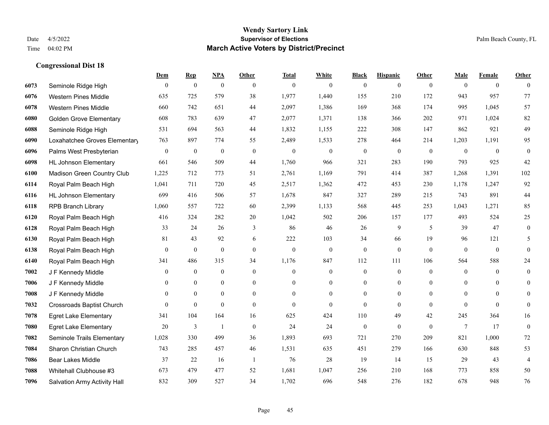|      |                                  | Dem              | <b>Rep</b>       | NPA              | <b>Other</b>   | <b>Total</b>     | <b>White</b>     | <b>Black</b>     | <b>Hispanic</b>  | <b>Other</b>   | <b>Male</b>    | <b>Female</b>  | <b>Other</b>     |
|------|----------------------------------|------------------|------------------|------------------|----------------|------------------|------------------|------------------|------------------|----------------|----------------|----------------|------------------|
| 6073 | Seminole Ridge High              | $\mathbf{0}$     | $\mathbf{0}$     | $\boldsymbol{0}$ | $\theta$       | $\mathbf{0}$     | $\overline{0}$   | $\mathbf{0}$     | $\mathbf{0}$     | $\theta$       | $\mathbf{0}$   | $\overline{0}$ | $\theta$         |
| 6076 | <b>Western Pines Middle</b>      | 635              | 725              | 579              | 38             | 1,977            | 1,440            | 155              | 210              | 172            | 943            | 957            | 77               |
| 6078 | <b>Western Pines Middle</b>      | 660              | 742              | 651              | 44             | 2,097            | 1,386            | 169              | 368              | 174            | 995            | 1,045          | 57               |
| 6080 | <b>Golden Grove Elementary</b>   | 608              | 783              | 639              | 47             | 2,077            | 1,371            | 138              | 366              | 202            | 971            | 1,024          | 82               |
| 6088 | Seminole Ridge High              | 531              | 694              | 563              | 44             | 1,832            | 1,155            | 222              | 308              | 147            | 862            | 921            | 49               |
| 6090 | Loxahatchee Groves Elementary    | 763              | 897              | 774              | 55             | 2,489            | 1,533            | 278              | 464              | 214            | 1,203          | 1,191          | 95               |
| 6096 | Palms West Presbyterian          | $\boldsymbol{0}$ | $\boldsymbol{0}$ | $\mathbf{0}$     | $\mathbf{0}$   | $\theta$         | $\overline{0}$   | $\boldsymbol{0}$ | $\mathbf{0}$     | $\mathbf{0}$   | $\theta$       | $\theta$       | $\boldsymbol{0}$ |
| 6098 | <b>HL Johnson Elementary</b>     | 661              | 546              | 509              | 44             | 1,760            | 966              | 321              | 283              | 190            | 793            | 925            | 42               |
| 6100 | Madison Green Country Club       | 1,225            | 712              | 773              | 51             | 2,761            | 1,169            | 791              | 414              | 387            | 1,268          | 1,391          | 102              |
| 6114 | Royal Palm Beach High            | 1,041            | 711              | 720              | 45             | 2,517            | 1,362            | 472              | 453              | 230            | 1,178          | 1,247          | 92               |
| 6116 | <b>HL Johnson Elementary</b>     | 699              | 416              | 506              | 57             | 1,678            | 847              | 327              | 289              | 215            | 743            | 891            | $44\,$           |
| 6118 | <b>RPB Branch Library</b>        | 1,060            | 557              | 722              | 60             | 2,399            | 1,133            | 568              | 445              | 253            | 1,043          | 1,271          | 85               |
| 6120 | Royal Palm Beach High            | 416              | 324              | 282              | $20\,$         | 1,042            | 502              | 206              | 157              | 177            | 493            | 524            | $25\,$           |
| 6128 | Royal Palm Beach High            | 33               | 24               | 26               | 3              | 86               | 46               | 26               | 9                | 5              | 39             | 47             | $\boldsymbol{0}$ |
| 6130 | Royal Palm Beach High            | 81               | 43               | 92               | 6              | 222              | 103              | 34               | 66               | 19             | 96             | 121            | 5                |
| 6138 | Royal Palm Beach High            | $\boldsymbol{0}$ | $\boldsymbol{0}$ | $\boldsymbol{0}$ | $\overline{0}$ | $\boldsymbol{0}$ | $\boldsymbol{0}$ | $\boldsymbol{0}$ | $\mathbf{0}$     | $\mathbf{0}$   | $\mathbf{0}$   | $\mathbf{0}$   | $\mathbf{0}$     |
| 6140 | Royal Palm Beach High            | 341              | 486              | 315              | 34             | 1,176            | 847              | 112              | 111              | 106            | 564            | 588            | $24\,$           |
| 7002 | J F Kennedy Middle               | $\mathbf{0}$     | $\boldsymbol{0}$ | $\mathbf{0}$     | $\theta$       | $\theta$         | $\overline{0}$   | $\boldsymbol{0}$ | $\mathbf{0}$     | $\theta$       | $\mathbf{0}$   | $\theta$       | $\boldsymbol{0}$ |
| 7006 | J F Kennedy Middle               | $\mathbf{0}$     | $\mathbf{0}$     | $\boldsymbol{0}$ | $\mathbf{0}$   | $\overline{0}$   | $\mathbf{0}$     | $\mathbf{0}$     | $\boldsymbol{0}$ | $\overline{0}$ | $\overline{0}$ | $\mathbf{0}$   | $\mathbf{0}$     |
| 7008 | J F Kennedy Middle               | $\Omega$         | $\mathbf{0}$     | $\mathbf{0}$     | $\theta$       | $\theta$         | $\overline{0}$   | $\mathbf{0}$     | $\mathbf{0}$     | $\Omega$       | $\Omega$       | $\theta$       | $\overline{0}$   |
| 7032 | <b>Crossroads Baptist Church</b> | $\theta$         | $\mathbf{0}$     | $\mathbf{0}$     | $\theta$       | $\mathbf{0}$     | $\mathbf{0}$     | $\mathbf{0}$     | $\mathbf{0}$     | $\theta$       | $\theta$       | $\theta$       | $\mathbf{0}$     |
| 7078 | <b>Egret Lake Elementary</b>     | 341              | 104              | 164              | 16             | 625              | 424              | 110              | 49               | 42             | 245            | 364            | 16               |
| 7080 | <b>Egret Lake Elementary</b>     | 20               | 3                | $\mathbf{1}$     | $\theta$       | 24               | 24               | $\mathbf{0}$     | $\mathbf{0}$     | $\theta$       | $\tau$         | 17             | $\mathbf{0}$     |
| 7082 | Seminole Trails Elementary       | 1,028            | 330              | 499              | 36             | 1,893            | 693              | 721              | 270              | 209            | 821            | 1,000          | 72               |
| 7084 | Sharon Christian Church          | 743              | 285              | 457              | 46             | 1,531            | 635              | 451              | 279              | 166            | 630            | 848            | 53               |
| 7086 | <b>Bear Lakes Middle</b>         | 37               | 22               | 16               | $\overline{1}$ | 76               | 28               | 19               | 14               | 15             | 29             | 43             | $\overline{4}$   |
| 7088 | Whitehall Clubhouse #3           | 673              | 479              | 477              | 52             | 1,681            | 1,047            | 256              | 210              | 168            | 773            | 858            | 50               |
| 7096 | Salvation Army Activity Hall     | 832              | 309              | 527              | 34             | 1,702            | 696              | 548              | 276              | 182            | 678            | 948            | 76               |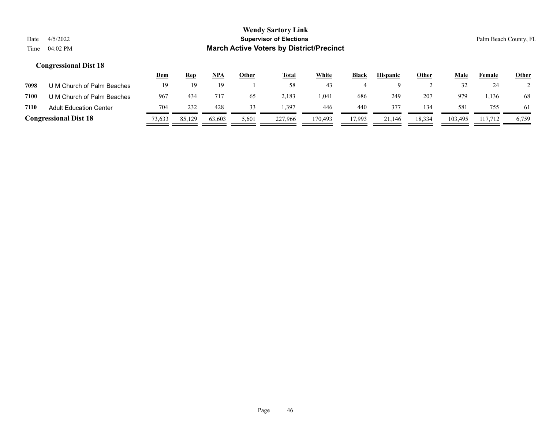|      |                               | <u>Dem</u> | Rep    | NPA    | Other | <u>Total</u> | <b>White</b> | <b>Black</b> | <b>Hispanic</b> | <b>Other</b> | Male    | Female  | <b>Other</b> |
|------|-------------------------------|------------|--------|--------|-------|--------------|--------------|--------------|-----------------|--------------|---------|---------|--------------|
| 7098 | U M Church of Palm Beaches    | 19         |        |        |       | 58           | 43           |              |                 |              |         | 24      |              |
| 7100 | U M Church of Palm Beaches    | 967        | 434    | 717    | 65    | 2,183        | 1,041        | 686          | 249             | 207          | 979     | . 136   | 68           |
| 7110 | <b>Adult Education Center</b> | 704        | 232    | 428    | 33    | . 397        | 446          | 440          | 377             | 134          | 581     | 755     | 61           |
|      | <b>Congressional Dist 18</b>  | 73,633     | 85,129 | 63,603 | 5,601 | 227,966      | 170.493      | 17.993       | 21.146          | 18,334       | 103,495 | 117.712 | 6,759        |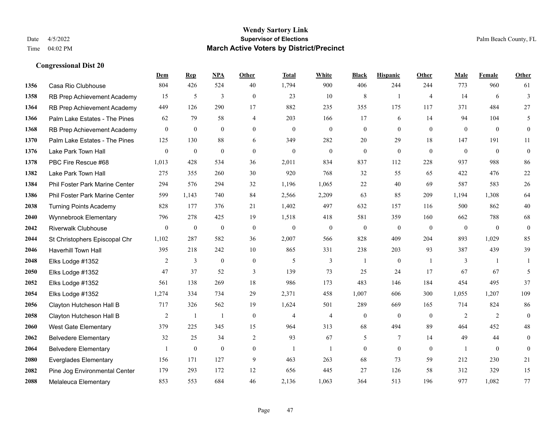|      |                                | Dem              | <b>Rep</b>       | NPA              | <b>Other</b>     | <b>Total</b>     | <b>White</b>     | <b>Black</b>     | <b>Hispanic</b>  | Other          | <b>Male</b>      | Female       | <b>Other</b>     |
|------|--------------------------------|------------------|------------------|------------------|------------------|------------------|------------------|------------------|------------------|----------------|------------------|--------------|------------------|
| 1356 | Casa Rio Clubhouse             | 804              | 426              | 524              | 40               | 1,794            | 900              | 406              | 244              | 244            | 773              | 960          | 61               |
| 1358 | RB Prep Achievement Academy    | 15               | 5                | 3                | $\theta$         | 23               | 10               | 8                | $\mathbf{1}$     | $\overline{4}$ | 14               | 6            | 3                |
| 1364 | RB Prep Achievement Academy    | 449              | 126              | 290              | 17               | 882              | 235              | 355              | 175              | 117            | 371              | 484          | 27               |
| 1366 | Palm Lake Estates - The Pines  | 62               | 79               | 58               | $\overline{4}$   | 203              | 166              | 17               | 6                | 14             | 94               | 104          | 5                |
| 1368 | RB Prep Achievement Academy    | $\theta$         | $\mathbf{0}$     | $\theta$         | $\Omega$         | $\theta$         | $\overline{0}$   | $\mathbf{0}$     | $\theta$         | $\Omega$       | $\theta$         | $\theta$     | $\mathbf{0}$     |
| 1370 | Palm Lake Estates - The Pines  | 125              | 130              | 88               | 6                | 349              | 282              | 20               | 29               | 18             | 147              | 191          | 11               |
| 1376 | Lake Park Town Hall            | $\overline{0}$   | $\mathbf{0}$     | $\mathbf{0}$     | $\Omega$         | $\mathbf{0}$     | $\overline{0}$   | $\mathbf{0}$     | $\mathbf{0}$     | $\theta$       | $\overline{0}$   | $\mathbf{0}$ | $\boldsymbol{0}$ |
| 1378 | PBC Fire Rescue #68            | 1,013            | 428              | 534              | 36               | 2,011            | 834              | 837              | 112              | 228            | 937              | 988          | 86               |
| 1382 | Lake Park Town Hall            | 275              | 355              | 260              | 30               | 920              | 768              | 32               | 55               | 65             | 422              | 476          | $22\,$           |
| 1384 | Phil Foster Park Marine Center | 294              | 576              | 294              | 32               | 1,196            | 1,065            | 22               | 40               | 69             | 587              | 583          | $26\,$           |
| 1386 | Phil Foster Park Marine Center | 599              | 1,143            | 740              | 84               | 2,566            | 2,209            | 63               | 85               | 209            | 1,194            | 1.308        | 64               |
| 2038 | <b>Turning Points Academy</b>  | 828              | 177              | 376              | 21               | 1,402            | 497              | 632              | 157              | 116            | 500              | 862          | $40\,$           |
| 2040 | Wynnebrook Elementary          | 796              | 278              | 425              | 19               | 1,518            | 418              | 581              | 359              | 160            | 662              | 788          | 68               |
| 2042 | <b>Riverwalk Clubhouse</b>     | $\boldsymbol{0}$ | $\boldsymbol{0}$ | $\boldsymbol{0}$ | $\mathbf{0}$     | $\boldsymbol{0}$ | $\boldsymbol{0}$ | $\boldsymbol{0}$ | $\boldsymbol{0}$ | $\mathbf{0}$   | $\boldsymbol{0}$ | $\mathbf{0}$ | $\boldsymbol{0}$ |
| 2044 | St Christophers Episcopal Chr  | 1,102            | 287              | 582              | 36               | 2,007            | 566              | 828              | 409              | 204            | 893              | 1,029        | 85               |
| 2046 | Haverhill Town Hall            | 395              | 218              | 242              | 10               | 865              | 331              | 238              | 203              | 93             | 387              | 439          | 39               |
| 2048 | Elks Lodge #1352               | 2                | $\mathfrak{Z}$   | $\boldsymbol{0}$ | $\boldsymbol{0}$ | 5                | 3                | $\overline{1}$   | $\boldsymbol{0}$ | -1             | 3                | -1           |                  |
| 2050 | Elks Lodge #1352               | 47               | 37               | 52               | 3                | 139              | 73               | 25               | 24               | 17             | 67               | 67           | 5                |
| 2052 | Elks Lodge #1352               | 561              | 138              | 269              | 18               | 986              | 173              | 483              | 146              | 184            | 454              | 495          | 37               |
| 2054 | Elks Lodge #1352               | 1,274            | 334              | 734              | 29               | 2,371            | 458              | 1,007            | 606              | 300            | 1,055            | 1,207        | 109              |
| 2056 | Clayton Hutcheson Hall B       | 717              | 326              | 562              | 19               | 1,624            | 501              | 289              | 669              | 165            | 714              | 824          | 86               |
| 2058 | Clayton Hutcheson Hall B       | $\overline{2}$   | 1                | $\mathbf{1}$     | $\overline{0}$   | $\overline{4}$   | $\overline{4}$   | $\mathbf{0}$     | $\mathbf{0}$     | $\theta$       | $\overline{2}$   | 2            | $\mathbf{0}$     |
| 2060 | West Gate Elementary           | 379              | 225              | 345              | 15               | 964              | 313              | 68               | 494              | 89             | 464              | 452          | $48\,$           |
| 2062 | <b>Belvedere Elementary</b>    | 32               | 25               | 34               | $\overline{2}$   | 93               | 67               | 5                | 7                | 14             | 49               | 44           | $\overline{0}$   |
| 2064 | <b>Belvedere Elementary</b>    | 1                | $\mathbf{0}$     | $\theta$         | $\overline{0}$   | $\mathbf{1}$     | $\mathbf{1}$     | $\boldsymbol{0}$ | $\theta$         | $\theta$       | $\mathbf{1}$     | $\theta$     | $\theta$         |
| 2080 | <b>Everglades Elementary</b>   | 156              | 171              | 127              | 9                | 463              | 263              | 68               | 73               | 59             | 212              | 230          | 21               |
| 2082 | Pine Jog Environmental Center  | 179              | 293              | 172              | 12               | 656              | 445              | 27               | 126              | 58             | 312              | 329          | 15               |
| 2088 | Melaleuca Elementary           | 853              | 553              | 684              | 46               | 2,136            | 1,063            | 364              | 513              | 196            | 977              | 1,082        | 77               |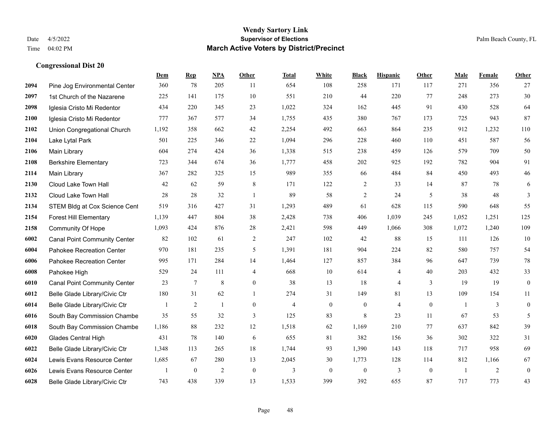|      |                                     | Dem   | <b>Rep</b> | NPA          | <b>Other</b>     | <b>Total</b>   | <b>White</b>   | <b>Black</b>     | <b>Hispanic</b> | Other        | <b>Male</b>    | Female | <b>Other</b>     |
|------|-------------------------------------|-------|------------|--------------|------------------|----------------|----------------|------------------|-----------------|--------------|----------------|--------|------------------|
| 2094 | Pine Jog Environmental Center       | 360   | 78         | 205          | 11               | 654            | 108            | 258              | 171             | 117          | 271            | 356    | 27               |
| 2097 | 1st Church of the Nazarene          | 225   | 141        | 175          | 10               | 551            | 210            | 44               | 220             | 77           | 248            | 273    | $30\,$           |
| 2098 | Iglesia Cristo Mi Redentor          | 434   | 220        | 345          | 23               | 1,022          | 324            | 162              | 445             | 91           | 430            | 528    | 64               |
| 2100 | Iglesia Cristo Mi Redentor          | 777   | 367        | 577          | 34               | 1,755          | 435            | 380              | 767             | 173          | 725            | 943    | 87               |
| 2102 | Union Congregational Church         | 1,192 | 358        | 662          | 42               | 2,254          | 492            | 663              | 864             | 235          | 912            | 1,232  | 110              |
| 2104 | Lake Lytal Park                     | 501   | 225        | 346          | 22               | 1,094          | 296            | 228              | 460             | 110          | 451            | 587    | 56               |
| 2106 | Main Library                        | 604   | 274        | 424          | 36               | 1,338          | 515            | 238              | 459             | 126          | 579            | 709    | $50\,$           |
| 2108 | <b>Berkshire Elementary</b>         | 723   | 344        | 674          | 36               | 1,777          | 458            | 202              | 925             | 192          | 782            | 904    | 91               |
| 2114 | Main Library                        | 367   | 282        | 325          | 15               | 989            | 355            | 66               | 484             | 84           | 450            | 493    | $46\,$           |
| 2130 | Cloud Lake Town Hall                | 42    | 62         | 59           | 8                | 171            | 122            | $\overline{c}$   | 33              | 14           | 87             | 78     | 6                |
| 2132 | Cloud Lake Town Hall                | 28    | 28         | 32           | $\overline{1}$   | 89             | 58             | $\overline{c}$   | 24              | 5            | 38             | 48     | 3                |
| 2134 | STEM Bldg at Cox Science Cent       | 519   | 316        | 427          | 31               | 1,293          | 489            | 61               | 628             | 115          | 590            | 648    | 55               |
| 2154 | <b>Forest Hill Elementary</b>       | 1,139 | 447        | 804          | 38               | 2,428          | 738            | 406              | 1,039           | 245          | 1,052          | 1,251  | 125              |
| 2158 | <b>Community Of Hope</b>            | 1,093 | 424        | 876          | 28               | 2,421          | 598            | 449              | 1,066           | 308          | 1,072          | 1,240  | 109              |
| 6002 | <b>Canal Point Community Center</b> | 82    | 102        | 61           | 2                | 247            | 102            | 42               | 88              | 15           | 111            | 126    | 10               |
| 6004 | Pahokee Recreation Center           | 970   | 181        | 235          | 5                | 1,391          | 181            | 904              | 224             | 82           | 580            | 757    | 54               |
| 6006 | Pahokee Recreation Center           | 995   | 171        | 284          | 14               | 1,464          | 127            | 857              | 384             | 96           | 647            | 739    | $78\,$           |
| 6008 | Pahokee High                        | 529   | 24         | 111          | $\overline{4}$   | 668            | 10             | 614              | 4               | 40           | 203            | 432    | 33               |
| 6010 | <b>Canal Point Community Center</b> | 23    | $\tau$     | 8            | $\overline{0}$   | 38             | 13             | 18               | $\overline{4}$  | $\mathbf{3}$ | 19             | 19     | $\boldsymbol{0}$ |
| 6012 | Belle Glade Library/Civic Ctr       | 180   | 31         | 62           | $\overline{1}$   | 274            | 31             | 149              | 81              | 13           | 109            | 154    | 11               |
| 6014 | Belle Glade Library/Civic Ctr       | 1     | 2          | $\mathbf{1}$ | $\Omega$         | $\overline{4}$ | $\overline{0}$ | $\mathbf{0}$     | $\overline{4}$  | $\theta$     | $\overline{1}$ | 3      | $\mathbf{0}$     |
| 6016 | South Bay Commission Chambe         | 35    | 55         | 32           | 3                | 125            | 83             | 8                | 23              | 11           | 67             | 53     | 5                |
| 6018 | South Bay Commission Chambe         | 1,186 | 88         | 232          | 12               | 1,518          | 62             | 1,169            | 210             | 77           | 637            | 842    | 39               |
| 6020 | <b>Glades Central High</b>          | 431   | 78         | 140          | 6                | 655            | 81             | 382              | 156             | 36           | 302            | 322    | 31               |
| 6022 | Belle Glade Library/Civic Ctr       | 1,348 | 113        | 265          | 18               | 1,744          | 93             | 1,390            | 143             | 118          | 717            | 958    | 69               |
| 6024 | Lewis Evans Resource Center         | 1,685 | 67         | 280          | 13               | 2,045          | 30             | 1,773            | 128             | 114          | 812            | 1,166  | 67               |
| 6026 | Lewis Evans Resource Center         |       | $\bf{0}$   | 2            | $\boldsymbol{0}$ | 3              | $\overline{0}$ | $\boldsymbol{0}$ | 3               | $\mathbf{0}$ | $\overline{1}$ | 2      | $\boldsymbol{0}$ |
| 6028 | Belle Glade Library/Civic Ctr       | 743   | 438        | 339          | 13               | 1,533          | 399            | 392              | 655             | 87           | 717            | 773    | 43               |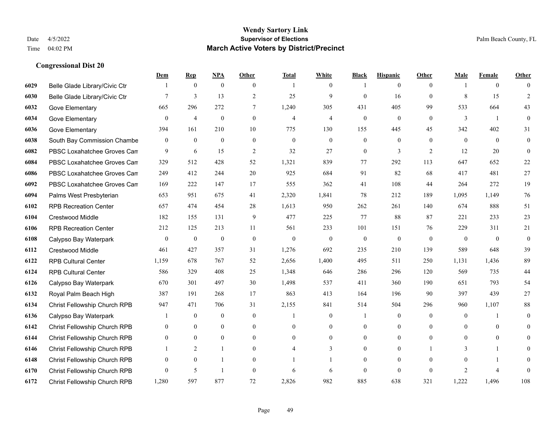|      |                               | Dem              | <b>Rep</b>     | NPA              | <b>Other</b>     | <b>Total</b>   | <b>White</b>     | <b>Black</b>     | <b>Hispanic</b>  | <b>Other</b>   | <b>Male</b>    | <b>Female</b>  | <b>Other</b>     |
|------|-------------------------------|------------------|----------------|------------------|------------------|----------------|------------------|------------------|------------------|----------------|----------------|----------------|------------------|
| 6029 | Belle Glade Library/Civic Ctr |                  | $\mathbf{0}$   | $\mathbf{0}$     | $\overline{0}$   |                | $\overline{0}$   |                  | $\mathbf{0}$     | $\theta$       |                | $\overline{0}$ | $\Omega$         |
| 6030 | Belle Glade Library/Civic Ctr | $7\phantom{.0}$  | $\overline{3}$ | 13               | $\overline{2}$   | 25             | 9                | $\mathbf{0}$     | 16               | $\theta$       | 8              | 15             | $\overline{2}$   |
| 6032 | Gove Elementary               | 665              | 296            | 272              | $\tau$           | 1,240          | 305              | 431              | 405              | 99             | 533            | 664            | 43               |
| 6034 | Gove Elementary               | $\mathbf{0}$     | $\overline{4}$ | $\boldsymbol{0}$ | $\boldsymbol{0}$ | $\overline{4}$ | $\overline{4}$   | $\boldsymbol{0}$ | $\boldsymbol{0}$ | $\mathbf{0}$   | 3              | -1             | $\mathbf{0}$     |
| 6036 | Gove Elementary               | 394              | 161            | 210              | 10               | 775            | 130              | 155              | 445              | 45             | 342            | 402            | 31               |
| 6038 | South Bay Commission Chambe   | $\mathbf{0}$     | $\bf{0}$       | $\mathbf{0}$     | $\mathbf{0}$     | $\mathbf{0}$   | $\overline{0}$   | $\boldsymbol{0}$ | $\mathbf{0}$     | $\theta$       | $\mathbf{0}$   | $\overline{0}$ | $\mathbf{0}$     |
| 6082 | PBSC Loxahatchee Groves Can   | 9                | 6              | 15               | $\sqrt{2}$       | 32             | 27               | $\boldsymbol{0}$ | 3                | 2              | 12             | 20             | $\boldsymbol{0}$ |
| 6084 | PBSC Loxahatchee Groves Can   | 329              | 512            | 428              | 52               | 1,321          | 839              | 77               | 292              | 113            | 647            | 652            | $22\,$           |
| 6086 | PBSC Loxahatchee Groves Can   | 249              | 412            | 244              | 20               | 925            | 684              | 91               | 82               | 68             | 417            | 481            | $27\,$           |
| 6092 | PBSC Loxahatchee Groves Can   | 169              | 222            | 147              | 17               | 555            | 362              | 41               | 108              | 44             | 264            | 272            | 19               |
| 6094 | Palms West Presbyterian       | 653              | 951            | 675              | 41               | 2,320          | 1,841            | 78               | 212              | 189            | 1,095          | 1,149          | 76               |
| 6102 | <b>RPB Recreation Center</b>  | 657              | 474            | 454              | 28               | 1,613          | 950              | 262              | 261              | 140            | 674            | 888            | 51               |
| 6104 | Crestwood Middle              | 182              | 155            | 131              | 9                | 477            | 225              | 77               | 88               | 87             | 221            | 233            | 23               |
| 6106 | <b>RPB Recreation Center</b>  | 212              | 125            | 213              | 11               | 561            | 233              | 101              | 151              | 76             | 229            | 311            | $21\,$           |
| 6108 | Calypso Bay Waterpark         | $\boldsymbol{0}$ | $\bf{0}$       | $\boldsymbol{0}$ | $\theta$         | $\mathbf{0}$   | $\boldsymbol{0}$ | $\boldsymbol{0}$ | $\boldsymbol{0}$ | $\theta$       | $\mathbf{0}$   | $\theta$       | $\boldsymbol{0}$ |
| 6112 | Crestwood Middle              | 461              | 427            | 357              | 31               | 1,276          | 692              | 235              | 210              | 139            | 589            | 648            | 39               |
| 6122 | <b>RPB Cultural Center</b>    | 1,159            | 678            | 767              | 52               | 2,656          | 1,400            | 495              | 511              | 250            | 1,131          | 1,436          | 89               |
| 6124 | <b>RPB Cultural Center</b>    | 586              | 329            | 408              | 25               | 1,348          | 646              | 286              | 296              | 120            | 569            | 735            | 44               |
| 6126 | Calypso Bay Waterpark         | 670              | 301            | 497              | 30               | 1,498          | 537              | 411              | 360              | 190            | 651            | 793            | 54               |
| 6132 | Royal Palm Beach High         | 387              | 191            | 268              | 17               | 863            | 413              | 164              | 196              | 90             | 397            | 439            | 27               |
| 6134 | Christ Fellowship Church RPB  | 947              | 471            | 706              | 31               | 2,155          | 841              | 514              | 504              | 296            | 960            | 1,107          | $\bf 88$         |
| 6136 | Calypso Bay Waterpark         |                  | $\bf{0}$       | $\boldsymbol{0}$ | $\boldsymbol{0}$ |                | $\boldsymbol{0}$ |                  | $\boldsymbol{0}$ | $\overline{0}$ | $\mathbf{0}$   | -1             | $\mathbf{0}$     |
| 6142 | Christ Fellowship Church RPB  | $\overline{0}$   | $\overline{0}$ | $\overline{0}$   | $\overline{0}$   | $\theta$       | $\boldsymbol{0}$ | $\mathbf{0}$     | $\mathbf{0}$     | $\theta$       | $\theta$       | $\overline{0}$ | $\overline{0}$   |
| 6144 | Christ Fellowship Church RPB  | $\overline{0}$   | $\theta$       | $\overline{0}$   | $\Omega$         | $\theta$       | $\overline{0}$   | $\mathbf{0}$     | $\mathbf{0}$     | $\theta$       | $\Omega$       | $\theta$       | $\Omega$         |
| 6146 | Christ Fellowship Church RPB  |                  | $\overline{2}$ | $\mathbf{1}$     | $\overline{0}$   |                | 3                | $\mathbf{0}$     | $\mathbf{0}$     |                | 3              |                | $\theta$         |
| 6148 | Christ Fellowship Church RPB  | $\mathbf{0}$     | $\mathbf{0}$   | $\mathbf{1}$     | $\theta$         |                |                  | $\mathbf{0}$     | $\mathbf{0}$     | $\theta$       | $\theta$       |                | $\theta$         |
| 6170 | Christ Fellowship Church RPB  | $\theta$         | 5              | $\overline{1}$   | $\theta$         | 6              | 6                | $\mathbf{0}$     | $\theta$         | $\theta$       | $\overline{2}$ | $\overline{4}$ | $\Omega$         |
| 6172 | Christ Fellowship Church RPB  | 1,280            | 597            | 877              | 72               | 2,826          | 982              | 885              | 638              | 321            | 1,222          | 1,496          | 108              |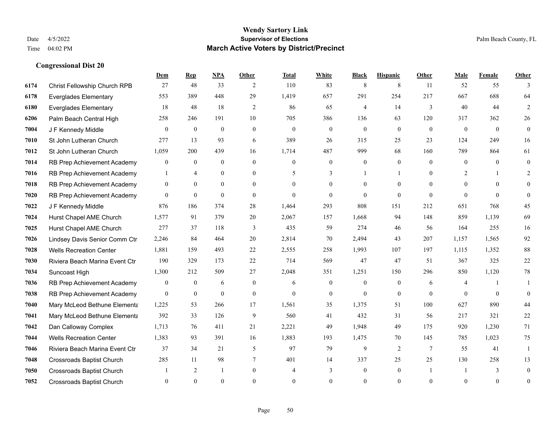|      |                                  | Dem            | <b>Rep</b>       | NPA              | <b>Other</b>   | <b>Total</b> | <b>White</b>     | <b>Black</b>     | <b>Hispanic</b> | <b>Other</b>    | <b>Male</b>    | <b>Female</b> | <b>Other</b> |
|------|----------------------------------|----------------|------------------|------------------|----------------|--------------|------------------|------------------|-----------------|-----------------|----------------|---------------|--------------|
| 6174 | Christ Fellowship Church RPB     | 27             | 48               | 33               | 2              | 110          | 83               | 8                | 8               | 11              | 52             | 55            | 3            |
| 6178 | <b>Everglades Elementary</b>     | 553            | 389              | 448              | 29             | 1,419        | 657              | 291              | 254             | 217             | 667            | 688           | 64           |
| 6180 | <b>Everglades Elementary</b>     | 18             | 48               | 18               | 2              | 86           | 65               | 4                | 14              | 3               | 40             | 44            | 2            |
| 6206 | Palm Beach Central High          | 258            | 246              | 191              | 10             | 705          | 386              | 136              | 63              | 120             | 317            | 362           | $26\,$       |
| 7004 | J F Kennedy Middle               | $\theta$       | $\overline{0}$   | $\mathbf{0}$     | $\Omega$       | $\theta$     | $\overline{0}$   | $\mathbf{0}$     | $\theta$        | $\Omega$        | $\theta$       | $\theta$      | $\mathbf{0}$ |
| 7010 | St John Lutheran Church          | 277            | 13               | 93               | 6              | 389          | 26               | 315              | 25              | 23              | 124            | 249           | 16           |
| 7012 | St John Lutheran Church          | 1,059          | 200              | 439              | 16             | 1,714        | 487              | 999              | 68              | 160             | 789            | 864           | 61           |
| 7014 | RB Prep Achievement Academy      | $\overline{0}$ | $\theta$         | $\theta$         | $\Omega$       | $\Omega$     | $\overline{0}$   | $\Omega$         | $\Omega$        | $\theta$        | $\Omega$       | $\theta$      | $\theta$     |
| 7016 | RB Prep Achievement Academy      | 1              | $\overline{4}$   | $\boldsymbol{0}$ | $\overline{0}$ | 5            | 3                |                  | 1               | $\theta$        | $\overline{2}$ |               | 2            |
| 7018 | RB Prep Achievement Academy      | $\overline{0}$ | $\overline{0}$   | $\overline{0}$   | $\theta$       | $\Omega$     | $\overline{0}$   | $\Omega$         | $\theta$        | $\Omega$        | $\theta$       | $\Omega$      | $\theta$     |
| 7020 | RB Prep Achievement Academy      | $\Omega$       | $\theta$         | $\theta$         | $\Omega$       | $\Omega$     | $\Omega$         | $\theta$         | $\theta$        | $\Omega$        | $\Omega$       | $\Omega$      | $\Omega$     |
| 7022 | J F Kennedy Middle               | 876            | 186              | 374              | 28             | 1,464        | 293              | 808              | 151             | 212             | 651            | 768           | 45           |
| 7024 | Hurst Chapel AME Church          | 1,577          | 91               | 379              | 20             | 2,067        | 157              | 1,668            | 94              | 148             | 859            | 1,139         | 69           |
| 7025 | Hurst Chapel AME Church          | 277            | 37               | 118              | 3              | 435          | 59               | 274              | 46              | 56              | 164            | 255           | 16           |
| 7026 | Lindsey Davis Senior Comm Ctr    | 2,246          | 84               | 464              | 20             | 2,814        | 70               | 2,494            | 43              | 207             | 1,157          | 1,565         | 92           |
| 7028 | <b>Wells Recreation Center</b>   | 1,881          | 159              | 493              | 22             | 2,555        | 258              | 1,993            | 107             | 197             | 1,115          | 1,352         | $88\,$       |
| 7030 | Riviera Beach Marina Event Ctr   | 190            | 329              | 173              | 22             | 714          | 569              | 47               | 47              | 51              | 367            | 325           | $22\,$       |
| 7034 | Suncoast High                    | 1,300          | 212              | 509              | 27             | 2,048        | 351              | 1,251            | 150             | 296             | 850            | 1,120         | $78\,$       |
| 7036 | RB Prep Achievement Academy      | $\overline{0}$ | $\boldsymbol{0}$ | 6                | $\overline{0}$ | 6            | $\boldsymbol{0}$ | $\mathbf{0}$     | $\mathbf{0}$    | 6               | 4              |               | 1            |
| 7038 | RB Prep Achievement Academy      | $\overline{0}$ | $\boldsymbol{0}$ | $\mathbf{0}$     | $\overline{0}$ | $\mathbf{0}$ | $\boldsymbol{0}$ | $\mathbf{0}$     | $\mathbf{0}$    | $\theta$        | $\theta$       | $\mathbf{0}$  | $\mathbf{0}$ |
| 7040 | Mary McLeod Bethune Elementa     | 1,225          | 53               | 266              | 17             | 1,561        | 35               | 1,375            | 51              | 100             | 627            | 890           | 44           |
| 7041 | Mary McLeod Bethune Elementa     | 392            | 33               | 126              | 9              | 560          | 41               | 432              | 31              | 56              | 217            | 321           | $22\,$       |
| 7042 | Dan Calloway Complex             | 1,713          | 76               | 411              | 21             | 2,221        | 49               | 1,948            | 49              | 175             | 920            | 1,230         | 71           |
| 7044 | <b>Wells Recreation Center</b>   | 1,383          | 93               | 391              | 16             | 1,883        | 193              | 1,475            | 70              | 145             | 785            | 1,023         | 75           |
| 7046 | Riviera Beach Marina Event Ctr   | 37             | 34               | 21               | 5              | 97           | 79               | 9                | 2               | $7\phantom{.0}$ | 55             | 41            | $\mathbf{1}$ |
| 7048 | <b>Crossroads Baptist Church</b> | 285            | 11               | 98               | 7              | 401          | 14               | 337              | 25              | 25              | 130            | 258           | 13           |
| 7050 | <b>Crossroads Baptist Church</b> |                | 2                | -1               | $\overline{0}$ | 4            | 3                | $\boldsymbol{0}$ | $\mathbf{0}$    |                 |                | 3             | $\mathbf{0}$ |
| 7052 | <b>Crossroads Baptist Church</b> | $\Omega$       | $\Omega$         | $\theta$         | $\Omega$       | $\Omega$     | $\theta$         | $\theta$         | $\Omega$        | $\Omega$        | $\Omega$       | $\theta$      | $\mathbf{0}$ |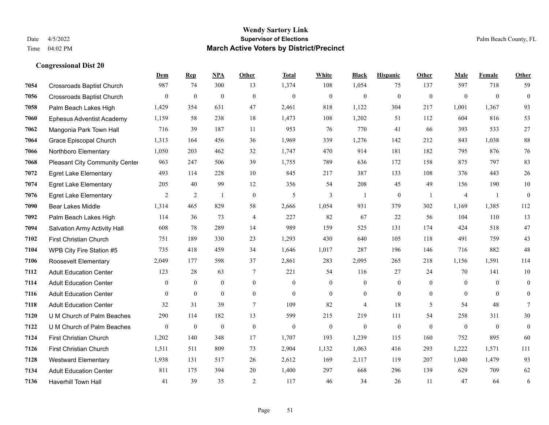|      |                                       | Dem              | <b>Rep</b>       | NPA              | <b>Other</b>   | <b>Total</b> | <b>White</b>     | <b>Black</b>     | <b>Hispanic</b>  | <b>Other</b>   | <b>Male</b>    | Female         | <b>Other</b>     |
|------|---------------------------------------|------------------|------------------|------------------|----------------|--------------|------------------|------------------|------------------|----------------|----------------|----------------|------------------|
| 7054 | <b>Crossroads Baptist Church</b>      | 987              | 74               | 300              | 13             | 1,374        | 108              | 1,054            | 75               | 137            | 597            | 718            | 59               |
| 7056 | <b>Crossroads Baptist Church</b>      | $\mathbf{0}$     | $\mathbf{0}$     | $\mathbf{0}$     | $\theta$       | $\mathbf{0}$ | $\overline{0}$   | $\mathbf{0}$     | $\mathbf{0}$     | $\mathbf{0}$   | $\mathbf{0}$   | $\mathbf{0}$   | $\mathbf{0}$     |
| 7058 | Palm Beach Lakes High                 | 1,429            | 354              | 631              | 47             | 2,461        | 818              | 1,122            | 304              | 217            | 1,001          | 1,367          | 93               |
| 7060 | <b>Ephesus Adventist Academy</b>      | 1,159            | 58               | 238              | 18             | 1,473        | 108              | 1,202            | 51               | 112            | 604            | 816            | 53               |
| 7062 | Mangonia Park Town Hall               | 716              | 39               | 187              | 11             | 953          | 76               | 770              | 41               | 66             | 393            | 533            | 27               |
| 7064 | Grace Episcopal Church                | 1,313            | 164              | 456              | 36             | 1,969        | 339              | 1,276            | 142              | 212            | 843            | 1,038          | $88\,$           |
| 7066 | Northboro Elementary                  | 1,050            | 203              | 462              | 32             | 1,747        | 470              | 914              | 181              | 182            | 795            | 876            | 76               |
| 7068 | <b>Pleasant City Community Center</b> | 963              | 247              | 506              | 39             | 1,755        | 789              | 636              | 172              | 158            | 875            | 797            | 83               |
| 7072 | <b>Egret Lake Elementary</b>          | 493              | 114              | 228              | 10             | 845          | 217              | 387              | 133              | 108            | 376            | 443            | 26               |
| 7074 | <b>Egret Lake Elementary</b>          | 205              | 40               | 99               | 12             | 356          | 54               | 208              | 45               | 49             | 156            | 190            | $10\,$           |
| 7076 | <b>Egret Lake Elementary</b>          | 2                | 2                | $\mathbf{1}$     | $\theta$       | 5            | $\overline{3}$   | $\overline{1}$   | $\mathbf{0}$     | $\overline{1}$ | $\overline{4}$ | $\overline{1}$ | $\mathbf{0}$     |
| 7090 | <b>Bear Lakes Middle</b>              | 1,314            | 465              | 829              | 58             | 2,666        | 1,054            | 931              | 379              | 302            | 1,169          | 1,385          | 112              |
| 7092 | Palm Beach Lakes High                 | 114              | 36               | 73               | $\overline{4}$ | 227          | 82               | 67               | 22               | 56             | 104            | 110            | 13               |
| 7094 | Salvation Army Activity Hall          | 608              | 78               | 289              | 14             | 989          | 159              | 525              | 131              | 174            | 424            | 518            | 47               |
| 7102 | First Christian Church                | 751              | 189              | 330              | 23             | 1,293        | 430              | 640              | 105              | 118            | 491            | 759            | 43               |
| 7104 | WPB City Fire Station #5              | 735              | 418              | 459              | 34             | 1,646        | 1,017            | 287              | 196              | 146            | 716            | 882            | 48               |
| 7106 | Roosevelt Elementary                  | 2,049            | 177              | 598              | 37             | 2,861        | 283              | 2,095            | 265              | 218            | 1,156          | 1,591          | 114              |
| 7112 | <b>Adult Education Center</b>         | 123              | 28               | 63               | 7              | 221          | 54               | 116              | 27               | 24             | 70             | 141            | 10               |
| 7114 | <b>Adult Education Center</b>         | $\mathbf{0}$     | $\mathbf{0}$     | $\overline{0}$   | $\overline{0}$ | $\mathbf{0}$ | $\overline{0}$   | $\mathbf{0}$     | $\overline{0}$   | $\overline{0}$ | $\overline{0}$ | $\overline{0}$ | $\mathbf{0}$     |
| 7116 | <b>Adult Education Center</b>         | $\mathbf{0}$     | $\mathbf{0}$     | $\mathbf{0}$     | $\overline{0}$ | $\mathbf{0}$ | $\boldsymbol{0}$ | $\boldsymbol{0}$ | $\mathbf{0}$     | $\overline{0}$ | $\overline{0}$ | $\mathbf{0}$   | $\boldsymbol{0}$ |
| 7118 | <b>Adult Education Center</b>         | 32               | 31               | 39               | $\tau$         | 109          | 82               | $\overline{4}$   | 18               | 5              | 54             | 48             | $\tau$           |
| 7120 | U M Church of Palm Beaches            | 290              | 114              | 182              | 13             | 599          | 215              | 219              | 111              | 54             | 258            | 311            | 30               |
| 7122 | U M Church of Palm Beaches            | $\boldsymbol{0}$ | $\boldsymbol{0}$ | $\boldsymbol{0}$ | $\mathbf{0}$   | $\mathbf{0}$ | $\boldsymbol{0}$ | $\boldsymbol{0}$ | $\boldsymbol{0}$ | $\theta$       | $\mathbf{0}$   | $\mathbf{0}$   | $\boldsymbol{0}$ |
| 7124 | First Christian Church                | 1,202            | 140              | 348              | 17             | 1,707        | 193              | 1,239            | 115              | 160            | 752            | 895            | 60               |
| 7126 | First Christian Church                | 1,511            | 511              | 809              | 73             | 2,904        | 1,132            | 1,063            | 416              | 293            | 1.222          | 1,571          | 111              |
| 7128 | <b>Westward Elementary</b>            | 1,938            | 131              | 517              | 26             | 2,612        | 169              | 2,117            | 119              | 207            | 1,040          | 1,479          | 93               |
| 7134 | <b>Adult Education Center</b>         | 811              | 175              | 394              | 20             | 1,400        | 297              | 668              | 296              | 139            | 629            | 709            | 62               |
| 7136 | <b>Haverhill Town Hall</b>            | 41               | 39               | 35               | $\overline{2}$ | 117          | 46               | 34               | 26               | 11             | 47             | 64             | 6                |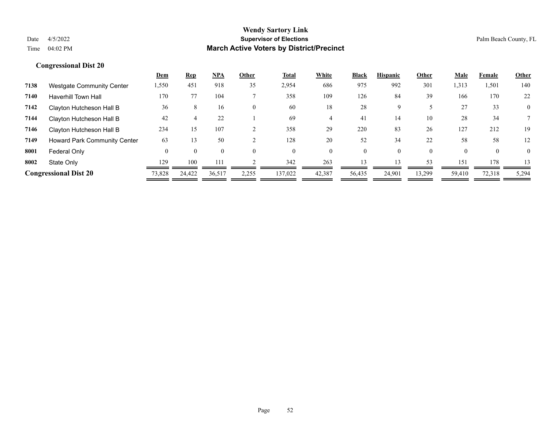|      |                                  | <b>Dem</b> | <u>Rep</u> | <b>NPA</b> | Other | <u>Total</u> | White    | <b>Black</b> | <b>Hispanic</b> | Other    | <u>Male</u> | Female   | <b>Other</b>   |
|------|----------------------------------|------------|------------|------------|-------|--------------|----------|--------------|-----------------|----------|-------------|----------|----------------|
| 7138 | <b>Westgate Community Center</b> | 1,550      | 451        | 918        | 35    | 2,954        | 686      | 975          | 992             | 301      | 1,313       | 1,501    | 140            |
| 7140 | <b>Haverhill Town Hall</b>       | 170        | 77         | 104        |       | 358          | 109      | 126          | 84              | 39       | 166         | 170      | 22             |
| 7142 | Clayton Hutcheson Hall B         | 36         | 8          | 16         |       | 60           | 18       | 28           | 9               |          | 27          | 33       | $\overline{0}$ |
| 7144 | Clayton Hutcheson Hall B         | 42         |            | 22         |       | 69           |          | 41           | 14              | 10       | 28          | 34       |                |
| 7146 | Clayton Hutcheson Hall B         | 234        | 15         | 107        |       | 358          | 29       | 220          | 83              | 26       | 127         | 212      | 19             |
| 7149 | Howard Park Community Center     | 63         | 13         | 50         |       | 128          | 20       | 52           | 34              | 22       | 58          | 58       | 12             |
| 8001 | Federal Only                     | $\Omega$   |            |            |       | $\Omega$     | $\theta$ | 0            | 0               | $\theta$ | $\Omega$    | $\Omega$ | 0              |
| 8002 | State Only                       | 129        | 100        | 11         |       | 342          | 263      | 13           | 13              | 53       | 151         | 178      | 13             |
|      | <b>Congressional Dist 20</b>     | 73,828     | 24,422     | 36,517     | 2,255 | 137,022      | 42,387   | 56,435       | 24.901          | 13.299   | 59.410      | 72,318   | 5,294          |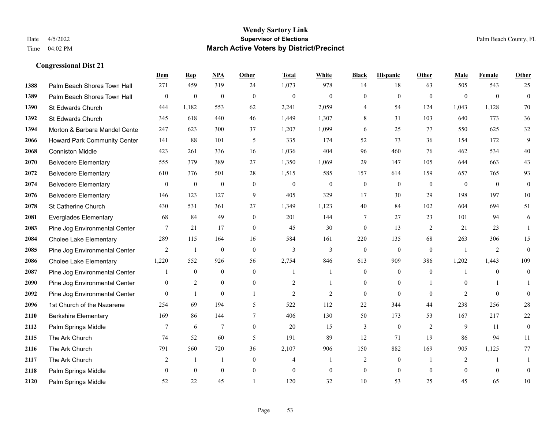|      |                                     | Dem              | <b>Rep</b>       | NPA              | <b>Other</b>     | <b>Total</b>   | <b>White</b>   | <b>Black</b>     | <b>Hispanic</b>  | <b>Other</b>   | <b>Male</b>    | Female         | <b>Other</b>     |
|------|-------------------------------------|------------------|------------------|------------------|------------------|----------------|----------------|------------------|------------------|----------------|----------------|----------------|------------------|
| 1388 | Palm Beach Shores Town Hall         | 271              | 459              | 319              | 24               | 1,073          | 978            | 14               | 18               | 63             | 505            | 543            | 25               |
| 1389 | Palm Beach Shores Town Hall         | $\boldsymbol{0}$ | $\mathbf{0}$     | $\overline{0}$   | $\theta$         | $\mathbf{0}$   | $\overline{0}$ | $\mathbf{0}$     | $\mathbf{0}$     | $\theta$       | $\theta$       | $\theta$       | $\mathbf{0}$     |
| 1390 | St Edwards Church                   | 444              | 1,182            | 553              | 62               | 2,241          | 2,059          | 4                | 54               | 124            | 1,043          | 1,128          | 70               |
| 1392 | St Edwards Church                   | 345              | 618              | 440              | 46               | 1,449          | 1,307          | 8                | 31               | 103            | 640            | 773            | $36\,$           |
| 1394 | Morton & Barbara Mandel Cente       | 247              | 623              | 300              | 37               | 1,207          | 1,099          | 6                | 25               | 77             | 550            | 625            | 32               |
| 2066 | <b>Howard Park Community Center</b> | 141              | 88               | 101              | 5                | 335            | 174            | 52               | 73               | 36             | 154            | 172            | 9                |
| 2068 | <b>Conniston Middle</b>             | 423              | 261              | 336              | 16               | 1,036          | 404            | 96               | 460              | 76             | 462            | 534            | $40\,$           |
| 2070 | <b>Belvedere Elementary</b>         | 555              | 379              | 389              | 27               | 1,350          | 1,069          | 29               | 147              | 105            | 644            | 663            | 43               |
| 2072 | <b>Belvedere Elementary</b>         | 610              | 376              | 501              | 28               | 1,515          | 585            | 157              | 614              | 159            | 657            | 765            | 93               |
| 2074 | <b>Belvedere Elementary</b>         | $\boldsymbol{0}$ | $\boldsymbol{0}$ | $\boldsymbol{0}$ | $\boldsymbol{0}$ | $\theta$       | $\mathbf{0}$   | $\boldsymbol{0}$ | $\boldsymbol{0}$ | $\mathbf{0}$   | $\mathbf{0}$   | $\overline{0}$ | $\boldsymbol{0}$ |
| 2076 | <b>Belvedere Elementary</b>         | 146              | 123              | 127              | 9                | 405            | 329            | 17               | 30               | 29             | 198            | 197            | 10               |
| 2078 | St Catherine Church                 | 430              | 531              | 361              | 27               | 1,349          | 1,123          | 40               | 84               | 102            | 604            | 694            | 51               |
| 2081 | <b>Everglades Elementary</b>        | 68               | 84               | 49               | $\mathbf{0}$     | 201            | 144            | 7                | 27               | 23             | 101            | 94             | 6                |
| 2083 | Pine Jog Environmental Center       | 7                | 21               | 17               | $\overline{0}$   | 45             | 30             | $\boldsymbol{0}$ | 13               | 2              | 21             | 23             | $\mathbf{1}$     |
| 2084 | <b>Cholee Lake Elementary</b>       | 289              | 115              | 164              | 16               | 584            | 161            | 220              | 135              | 68             | 263            | 306            | 15               |
| 2085 | Pine Jog Environmental Center       | 2                | $\mathbf{1}$     | $\boldsymbol{0}$ | $\overline{0}$   | 3              | 3              | $\boldsymbol{0}$ | $\boldsymbol{0}$ | $\theta$       | $\overline{1}$ | 2              | $\mathbf{0}$     |
| 2086 | <b>Cholee Lake Elementary</b>       | 1,220            | 552              | 926              | 56               | 2,754          | 846            | 613              | 909              | 386            | 1,202          | 1,443          | 109              |
| 2087 | Pine Jog Environmental Center       |                  | $\mathbf{0}$     | $\mathbf{0}$     | $\theta$         |                | $\mathbf{1}$   | $\mathbf{0}$     | $\mathbf{0}$     | $\theta$       |                | $\theta$       | $\mathbf{0}$     |
| 2090 | Pine Jog Environmental Center       | $\boldsymbol{0}$ | $\overline{2}$   | $\boldsymbol{0}$ | $\mathbf{0}$     | $\overline{2}$ |                | $\boldsymbol{0}$ | $\boldsymbol{0}$ |                | $\mathbf{0}$   |                |                  |
| 2092 | Pine Jog Environmental Center       | $\overline{0}$   | $\mathbf{1}$     | $\mathbf{0}$     | -1               | $\overline{2}$ | 2              | $\mathbf{0}$     | $\mathbf{0}$     | $\theta$       | 2              | $\theta$       | $\mathbf{0}$     |
| 2096 | 1st Church of the Nazarene          | 254              | 69               | 194              | 5                | 522            | 112            | 22               | 344              | 44             | 238            | 256            | $28\,$           |
| 2110 | <b>Berkshire Elementary</b>         | 169              | 86               | 144              | $\overline{7}$   | 406            | 130            | 50               | 173              | 53             | 167            | 217            | $22\,$           |
| 2112 | Palm Springs Middle                 | 7                | 6                | 7                | $\overline{0}$   | 20             | 15             | 3                | $\boldsymbol{0}$ | 2              | 9              | 11             | $\boldsymbol{0}$ |
| 2115 | The Ark Church                      | 74               | 52               | 60               | 5                | 191            | 89             | 12               | 71               | 19             | 86             | 94             | 11               |
| 2116 | The Ark Church                      | 791              | 560              | 720              | 36               | 2,107          | 906            | 150              | 882              | 169            | 905            | 1,125          | 77               |
| 2117 | The Ark Church                      | 2                | $\overline{1}$   |                  | $\mathbf{0}$     | $\overline{4}$ | 1              | $\overline{2}$   | $\mathbf{0}$     | $\overline{1}$ | 2              |                |                  |
| 2118 | Palm Springs Middle                 | $\mathbf{0}$     | $\mathbf{0}$     | $\mathbf{0}$     | $\mathbf{0}$     | $\theta$       | $\mathbf{0}$   | $\boldsymbol{0}$ | $\mathbf{0}$     | $\mathbf{0}$   | $\theta$       | $\overline{0}$ | $\mathbf{0}$     |
| 2120 | Palm Springs Middle                 | 52               | 22               | 45               |                  | 120            | 32             | 10               | 53               | 25             | 45             | 65             | 10               |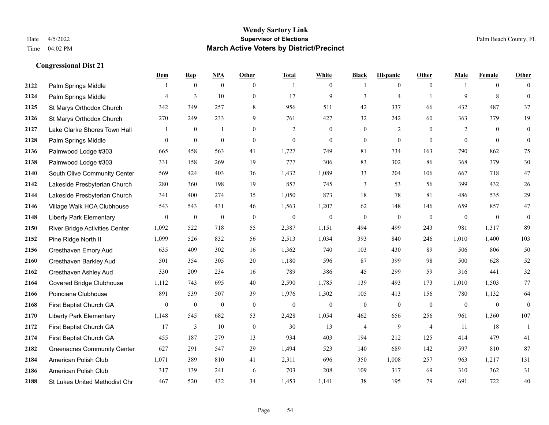|      |                                       | <b>Dem</b>       | <b>Rep</b>       | <u>NPA</u>       | Other            | <b>Total</b>     | <b>White</b>     | <b>Black</b>     | <b>Hispanic</b>  | <b>Other</b>   | <b>Male</b>    | <b>Female</b>  | <b>Other</b>     |
|------|---------------------------------------|------------------|------------------|------------------|------------------|------------------|------------------|------------------|------------------|----------------|----------------|----------------|------------------|
| 2122 | Palm Springs Middle                   |                  | $\mathbf{0}$     | $\mathbf{0}$     | $\mathbf{0}$     | $\overline{1}$   | $\boldsymbol{0}$ | 1                | $\mathbf{0}$     | $\theta$       |                | $\overline{0}$ | $\Omega$         |
| 2124 | Palm Springs Middle                   | 4                | $\overline{3}$   | 10               | $\mathbf{0}$     | 17               | 9                | 3                | $\overline{4}$   |                | $\mathbf{Q}$   | 8              | $\mathbf{0}$     |
| 2125 | St Marys Orthodox Church              | 342              | 349              | 257              | 8                | 956              | 511              | 42               | 337              | 66             | 432            | 487            | 37               |
| 2126 | St Marys Orthodox Church              | 270              | 249              | 233              | 9                | 761              | 427              | 32               | 242              | 60             | 363            | 379            | 19               |
| 2127 | Lake Clarke Shores Town Hall          |                  | $\mathbf{0}$     | $\mathbf{1}$     | $\overline{0}$   | 2                | $\mathbf{0}$     | $\mathbf{0}$     | 2                | $\theta$       | 2              | $\theta$       | $\boldsymbol{0}$ |
| 2128 | Palm Springs Middle                   | $\boldsymbol{0}$ | $\boldsymbol{0}$ | $\boldsymbol{0}$ | $\boldsymbol{0}$ | $\boldsymbol{0}$ | $\boldsymbol{0}$ | $\boldsymbol{0}$ | $\boldsymbol{0}$ | $\overline{0}$ | $\overline{0}$ | $\mathbf{0}$   | $\boldsymbol{0}$ |
| 2136 | Palmwood Lodge #303                   | 665              | 458              | 563              | 41               | 1,727            | 749              | 81               | 734              | 163            | 790            | 862            | 75               |
| 2138 | Palmwood Lodge #303                   | 331              | 158              | 269              | 19               | 777              | 306              | 83               | 302              | 86             | 368            | 379            | 30               |
| 2140 | South Olive Community Center          | 569              | 424              | 403              | 36               | 1,432            | 1,089            | 33               | 204              | 106            | 667            | 718            | 47               |
| 2142 | Lakeside Presbyterian Church          | 280              | 360              | 198              | 19               | 857              | 745              | 3                | 53               | 56             | 399            | 432            | 26               |
| 2144 | Lakeside Presbyterian Church          | 341              | 400              | 274              | 35               | 1,050            | 873              | 18               | 78               | 81             | 486            | 535            | 29               |
| 2146 | Village Walk HOA Clubhouse            | 543              | 543              | 431              | 46               | 1,563            | 1,207            | 62               | 148              | 146            | 659            | 857            | 47               |
| 2148 | <b>Liberty Park Elementary</b>        | $\overline{0}$   | $\mathbf{0}$     | $\boldsymbol{0}$ | $\mathbf{0}$     | $\boldsymbol{0}$ | $\boldsymbol{0}$ | $\boldsymbol{0}$ | $\boldsymbol{0}$ | $\mathbf{0}$   | $\mathbf{0}$   | $\mathbf{0}$   | $\mathbf{0}$     |
| 2150 | <b>River Bridge Activities Center</b> | 1,092            | 522              | 718              | 55               | 2,387            | 1,151            | 494              | 499              | 243            | 981            | 1,317          | 89               |
| 2152 | Pine Ridge North II                   | 1,099            | 526              | 832              | 56               | 2,513            | 1,034            | 393              | 840              | 246            | 1,010          | 1,400          | 103              |
| 2156 | Cresthaven Emory Aud                  | 635              | 409              | 302              | 16               | 1,362            | 740              | 103              | 430              | 89             | 506            | 806            | 50               |
| 2160 | Cresthaven Barkley Aud                | 501              | 354              | 305              | 20               | 1,180            | 596              | 87               | 399              | 98             | 500            | 628            | 52               |
| 2162 | <b>Cresthaven Ashley Aud</b>          | 330              | 209              | 234              | 16               | 789              | 386              | 45               | 299              | 59             | 316            | 441            | 32               |
| 2164 | <b>Covered Bridge Clubhouse</b>       | 1,112            | 743              | 695              | 40               | 2,590            | 1,785            | 139              | 493              | 173            | 1,010          | 1,503          | 77               |
| 2166 | Poinciana Clubhouse                   | 891              | 539              | 507              | 39               | 1,976            | 1,302            | 105              | 413              | 156            | 780            | 1,132          | 64               |
| 2168 | First Baptist Church GA               | $\overline{0}$   | $\mathbf{0}$     | $\mathbf{0}$     | $\mathbf{0}$     | $\Omega$         | $\mathbf{0}$     | $\mathbf{0}$     | $\overline{0}$   | $\theta$       | $\overline{0}$ | $\mathbf{0}$   | $\mathbf{0}$     |
| 2170 | <b>Liberty Park Elementary</b>        | 1,148            | 545              | 682              | 53               | 2,428            | 1,054            | 462              | 656              | 256            | 961            | 1,360          | 107              |
| 2172 | First Baptist Church GA               | 17               | 3                | 10               | $\mathbf{0}$     | 30               | 13               | 4                | 9                | $\overline{4}$ | 11             | 18             | 1                |
| 2174 | First Baptist Church GA               | 455              | 187              | 279              | 13               | 934              | 403              | 194              | 212              | 125            | 414            | 479            | 41               |
| 2182 | <b>Greenacres Community Center</b>    | 627              | 291              | 547              | 29               | 1,494            | 523              | 140              | 689              | 142            | 597            | 810            | 87               |
| 2184 | American Polish Club                  | 1,071            | 389              | 810              | 41               | 2,311            | 696              | 350              | 1,008            | 257            | 963            | 1,217          | 131              |
| 2186 | American Polish Club                  | 317              | 139              | 241              | 6                | 703              | 208              | 109              | 317              | 69             | 310            | 362            | 31               |
| 2188 | St Lukes United Methodist Chr         | 467              | 520              | 432              | 34               | 1,453            | 1,141            | 38               | 195              | 79             | 691            | 722            | 40               |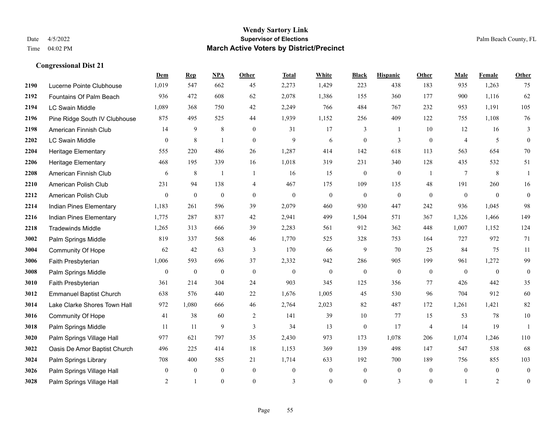|      |                                | Dem            | <b>Rep</b>       | NPA              | <b>Other</b>   | <b>Total</b>     | <b>White</b>     | <b>Black</b>     | <b>Hispanic</b>  | <b>Other</b>   | <b>Male</b>    | <b>Female</b>  | <b>Other</b>     |
|------|--------------------------------|----------------|------------------|------------------|----------------|------------------|------------------|------------------|------------------|----------------|----------------|----------------|------------------|
| 2190 | Lucerne Pointe Clubhouse       | 1,019          | 547              | 662              | 45             | 2,273            | 1,429            | 223              | 438              | 183            | 935            | 1,263          | 75               |
| 2192 | Fountains Of Palm Beach        | 936            | 472              | 608              | 62             | 2,078            | 1,386            | 155              | 360              | 177            | 900            | 1,116          | 62               |
| 2194 | LC Swain Middle                | 1,089          | 368              | 750              | 42             | 2,249            | 766              | 484              | 767              | 232            | 953            | 1,191          | 105              |
| 2196 | Pine Ridge South IV Clubhouse  | 875            | 495              | 525              | 44             | 1,939            | 1,152            | 256              | 409              | 122            | 755            | 1,108          | 76               |
| 2198 | American Finnish Club          | 14             | 9                | 8                | $\Omega$       | 31               | 17               | 3                | -1               | 10             | 12             | 16             | 3                |
| 2202 | <b>LC Swain Middle</b>         | $\overline{0}$ | $\,8\,$          | $\overline{1}$   | $\overline{0}$ | 9                | 6                | $\boldsymbol{0}$ | 3                | $\mathbf{0}$   | 4              | 5              | $\mathbf{0}$     |
| 2204 | <b>Heritage Elementary</b>     | 555            | 220              | 486              | 26             | 1,287            | 414              | 142              | 618              | 113            | 563            | 654            | 70               |
| 2206 | Heritage Elementary            | 468            | 195              | 339              | 16             | 1,018            | 319              | 231              | 340              | 128            | 435            | 532            | 51               |
| 2208 | American Finnish Club          | 6              | 8                | $\mathbf{1}$     | $\overline{1}$ | 16               | 15               | $\boldsymbol{0}$ | $\boldsymbol{0}$ | -1             | 7              | 8              | -1               |
| 2210 | American Polish Club           | 231            | 94               | 138              | $\overline{4}$ | 467              | 175              | 109              | 135              | 48             | 191            | 260            | 16               |
| 2212 | American Polish Club           | $\overline{0}$ | $\mathbf{0}$     | $\mathbf{0}$     | $\Omega$       | $\theta$         | $\overline{0}$   | $\mathbf{0}$     | $\mathbf{0}$     | $\theta$       | $\theta$       | $\theta$       | $\overline{0}$   |
| 2214 | Indian Pines Elementary        | 1,183          | 261              | 596              | 39             | 2,079            | 460              | 930              | 447              | 242            | 936            | 1,045          | 98               |
| 2216 | Indian Pines Elementary        | 1,775          | 287              | 837              | 42             | 2,941            | 499              | 1,504            | 571              | 367            | 1,326          | 1,466          | 149              |
| 2218 | <b>Tradewinds Middle</b>       | 1,265          | 313              | 666              | 39             | 2,283            | 561              | 912              | 362              | 448            | 1,007          | 1,152          | 124              |
| 3002 | Palm Springs Middle            | 819            | 337              | 568              | 46             | 1,770            | 525              | 328              | 753              | 164            | 727            | 972            | 71               |
| 3004 | Community Of Hope              | 62             | 42               | 63               | 3              | 170              | 66               | 9                | 70               | 25             | 84             | 75             | 11               |
| 3006 | Faith Presbyterian             | 1,006          | 593              | 696              | 37             | 2,332            | 942              | 286              | 905              | 199            | 961            | 1,272          | 99               |
| 3008 | Palm Springs Middle            | 0              | $\boldsymbol{0}$ | $\boldsymbol{0}$ | $\mathbf{0}$   | $\mathbf{0}$     | $\overline{0}$   | $\boldsymbol{0}$ | $\mathbf{0}$     | $\mathbf{0}$   | $\overline{0}$ | $\overline{0}$ | $\boldsymbol{0}$ |
| 3010 | Faith Presbyterian             | 361            | 214              | 304              | 24             | 903              | 345              | 125              | 356              | 77             | 426            | 442            | 35               |
| 3012 | <b>Emmanuel Baptist Church</b> | 638            | 576              | 440              | 22             | 1,676            | 1,005            | 45               | 530              | 96             | 704            | 912            | 60               |
| 3014 | Lake Clarke Shores Town Hall   | 972            | 1,080            | 666              | 46             | 2,764            | 2,023            | 82               | 487              | 172            | 1,261          | 1,421          | 82               |
| 3016 | Community Of Hope              | 41             | 38               | 60               | 2              | 141              | 39               | 10               | 77               | 15             | 53             | 78             | $10\,$           |
| 3018 | Palm Springs Middle            | 11             | 11               | 9                | 3              | 34               | 13               | $\boldsymbol{0}$ | 17               | $\overline{4}$ | 14             | 19             | $\overline{1}$   |
| 3020 | Palm Springs Village Hall      | 977            | 621              | 797              | 35             | 2,430            | 973              | 173              | 1,078            | 206            | 1,074          | 1,246          | 110              |
| 3022 | Oasis De Amor Baptist Church   | 496            | 225              | 414              | 18             | 1,153            | 369              | 139              | 498              | 147            | 547            | 538            | 68               |
| 3024 | Palm Springs Library           | 708            | 400              | 585              | 21             | 1,714            | 633              | 192              | 700              | 189            | 756            | 855            | 103              |
| 3026 | Palm Springs Village Hall      | 0              | $\boldsymbol{0}$ | $\boldsymbol{0}$ | $\mathbf{0}$   | $\boldsymbol{0}$ | $\boldsymbol{0}$ | $\boldsymbol{0}$ | $\mathbf{0}$     | $\mathbf{0}$   | $\mathbf{0}$   | $\mathbf{0}$   | $\overline{0}$   |
| 3028 | Palm Springs Village Hall      | $\overline{2}$ |                  | $\theta$         | $\Omega$       | 3                | $\theta$         | $\mathbf{0}$     | 3                | $\mathbf{0}$   |                | 2              | $\boldsymbol{0}$ |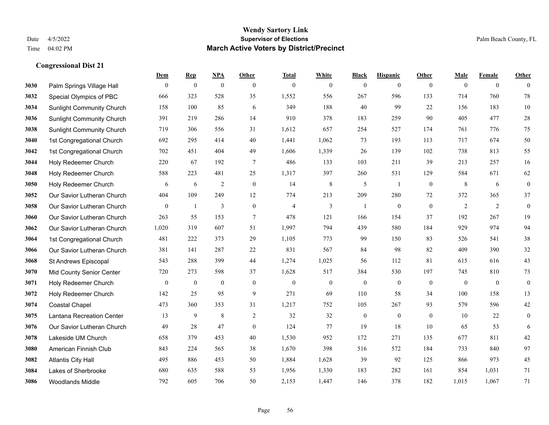|      |                                  | Dem              | <b>Rep</b>       | NPA              | <b>Other</b>   | <b>Total</b>   | <b>White</b>   | <b>Black</b>     | <b>Hispanic</b>  | <b>Other</b>   | <b>Male</b>  | <b>Female</b>  | <b>Other</b>     |
|------|----------------------------------|------------------|------------------|------------------|----------------|----------------|----------------|------------------|------------------|----------------|--------------|----------------|------------------|
| 3030 | Palm Springs Village Hall        | $\mathbf{0}$     | $\boldsymbol{0}$ | $\boldsymbol{0}$ | $\mathbf{0}$   | $\mathbf{0}$   | $\overline{0}$ | $\boldsymbol{0}$ | $\mathbf{0}$     | $\overline{0}$ | $\mathbf{0}$ | $\overline{0}$ | $\theta$         |
| 3032 | Special Olympics of PBC          | 666              | 323              | 528              | 35             | 1,552          | 556            | 267              | 596              | 133            | 714          | 760            | 78               |
| 3034 | <b>Sunlight Community Church</b> | 158              | 100              | 85               | 6              | 349            | 188            | 40               | 99               | 22             | 156          | 183            | 10               |
| 3036 | <b>Sunlight Community Church</b> | 391              | 219              | 286              | 14             | 910            | 378            | 183              | 259              | 90             | 405          | 477            | $28\,$           |
| 3038 | <b>Sunlight Community Church</b> | 719              | 306              | 556              | 31             | 1,612          | 657            | 254              | 527              | 174            | 761          | 776            | 75               |
| 3040 | 1st Congregational Church        | 692              | 295              | 414              | 40             | 1,441          | 1,062          | 73               | 193              | 113            | 717          | 674            | 50               |
| 3042 | 1st Congregational Church        | 702              | 451              | 404              | 49             | 1,606          | 1,339          | 26               | 139              | 102            | 738          | 813            | 55               |
| 3044 | Holy Redeemer Church             | 220              | 67               | 192              | $\tau$         | 486            | 133            | 103              | 211              | 39             | 213          | 257            | 16               |
| 3048 | Holy Redeemer Church             | 588              | 223              | 481              | 25             | 1,317          | 397            | 260              | 531              | 129            | 584          | 671            | 62               |
| 3050 | Holy Redeemer Church             | 6                | 6                | $\overline{2}$   | $\mathbf{0}$   | 14             | $\,8\,$        | 5                | 1                | $\mathbf{0}$   | 8            | 6              | $\boldsymbol{0}$ |
| 3052 | Our Savior Lutheran Church       | 404              | 109              | 249              | 12             | 774            | 213            | 209              | 280              | 72             | 372          | 365            | 37               |
| 3058 | Our Savior Lutheran Church       | $\boldsymbol{0}$ | $\mathbf{1}$     | 3                | $\mathbf{0}$   | $\overline{4}$ | 3              | 1                | $\mathbf{0}$     | $\mathbf{0}$   | 2            | 2              | $\boldsymbol{0}$ |
| 3060 | Our Savior Lutheran Church       | 263              | 55               | 153              | $\tau$         | 478            | 121            | 166              | 154              | 37             | 192          | 267            | 19               |
| 3062 | Our Savior Lutheran Church       | 1,020            | 319              | 607              | 51             | 1,997          | 794            | 439              | 580              | 184            | 929          | 974            | 94               |
| 3064 | 1st Congregational Church        | 481              | 222              | 373              | 29             | 1,105          | 773            | 99               | 150              | 83             | 526          | 541            | $38\,$           |
| 3066 | Our Savior Lutheran Church       | 381              | 141              | 287              | $22\,$         | 831            | 567            | 84               | 98               | 82             | 409          | 390            | 32               |
| 3068 | St Andrews Episcopal             | 543              | 288              | 399              | 44             | 1,274          | 1,025          | 56               | 112              | 81             | 615          | 616            | 43               |
| 3070 | Mid County Senior Center         | 720              | 273              | 598              | 37             | 1,628          | 517            | 384              | 530              | 197            | 745          | 810            | 73               |
| 3071 | Holy Redeemer Church             | $\boldsymbol{0}$ | $\boldsymbol{0}$ | $\boldsymbol{0}$ | $\mathbf{0}$   | $\mathbf{0}$   | $\mathbf{0}$   | $\boldsymbol{0}$ | $\boldsymbol{0}$ | $\overline{0}$ | $\mathbf{0}$ | $\mathbf{0}$   | $\boldsymbol{0}$ |
| 3072 | Holy Redeemer Church             | 142              | 25               | 95               | 9              | 271            | 69             | 110              | 58               | 34             | 100          | 158            | 13               |
| 3074 | <b>Coastal Chapel</b>            | 473              | 360              | 353              | 31             | 1,217          | 752            | 105              | 267              | 93             | 579          | 596            | $42\,$           |
| 3075 | Lantana Recreation Center        | 13               | 9                | 8                | $\overline{2}$ | 32             | 32             | $\boldsymbol{0}$ | $\boldsymbol{0}$ | $\mathbf{0}$   | 10           | 22             | $\boldsymbol{0}$ |
| 3076 | Our Savior Lutheran Church       | 49               | 28               | 47               | $\mathbf{0}$   | 124            | 77             | 19               | 18               | 10             | 65           | 53             | 6                |
| 3078 | Lakeside UM Church               | 658              | 379              | 453              | 40             | 1,530          | 952            | 172              | 271              | 135            | 677          | 811            | $42\,$           |
| 3080 | American Finnish Club            | 843              | 224              | 565              | 38             | 1,670          | 398            | 516              | 572              | 184            | 733          | 840            | 97               |
| 3082 | <b>Atlantis City Hall</b>        | 495              | 886              | 453              | 50             | 1,884          | 1,628          | 39               | 92               | 125            | 866          | 973            | 45               |
| 3084 | Lakes of Sherbrooke              | 680              | 635              | 588              | 53             | 1,956          | 1,330          | 183              | 282              | 161            | 854          | 1,031          | 71               |
| 3086 | <b>Woodlands Middle</b>          | 792              | 605              | 706              | 50             | 2,153          | 1,447          | 146              | 378              | 182            | 1,015        | 1,067          | 71               |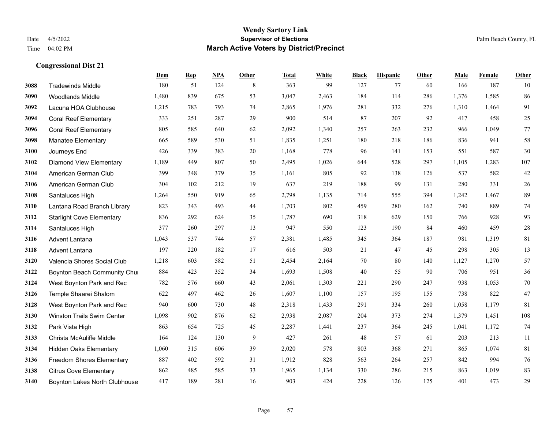**Congressional Dist 21**

#### **Wendy Sartory Link** Date 4/5/2022 **Supervisor of Elections** Palm Beach County, FL Time 04:02 PM **March Active Voters by District/Precinct**

**Dem Rep NPA Other Total White Black Hispanic Other Male Female Other**

# Tradewinds Middle 180 51 124 8 363 99 127 77 60 166 187 10 Woodlands Middle 1,480 839 675 53 3,047 2,463 184 114 286 1,376 1,585 86 Lacuna HOA Clubhouse 1,215 783 793 74 2,865 1,976 281 332 276 1,310 1,464 91 Coral Reef Elementary 333 251 287 29 900 514 87 207 92 417 458 25 Coral Reef Elementary 805 585 640 62 2,092 1,340 257 263 232 966 1,049 77 Manatee Elementary 665 589 530 51 1,835 1,251 180 218 186 836 941 58 Journeys End 426 339 383 20 1,168 778 96 141 153 551 587 30 Diamond View Elementary 1,189 449 807 50 2,495 1,026 644 528 297 1,105 1,283 107 American German Club 399 348 379 35 1,161 805 92 138 126 537 582 42 American German Club 304 102 212 19 637 219 188 99 131 280 331 26 Santaluces High 1,264 550 919 65 2,798 1,135 714 555 394 1,242 1,467 89 Lantana Road Branch Library 823 343 493 44 1,703 802 459 280 162 740 889 74 Starlight Cove Elementary 836 292 624 35 1,787 690 318 629 150 766 928 93 Santaluces High 377 260 297 13 947 550 123 190 84 460 459 28 Advent Lantana 1,043 537 744 57 2,381 1,485 345 364 187 981 1,319 81 Advent Lantana 197 220 182 17 616 503 21 47 45 298 305 13 Valencia Shores Social Club 1,218 603 582 51 2,454 2,164 70 80 140 1,127 1,270 57 **3122 Boynton Beach Community Chu**rch 884 423 352 34 1,693 1,508 40 55 90 706 951 36 West Boynton Park and Rec 782 576 660 43 2,061 1,303 221 290 247 938 1,053 70 Temple Shaarei Shalom 622 497 462 26 1,607 1,100 157 195 155 738 822 47 West Boynton Park and Rec 940 600 730 48 2,318 1,433 291 334 260 1,058 1,179 81 Winston Trails Swim Center 1,098 902 876 62 2,938 2,087 204 373 274 1,379 1,451 108 Park Vista High 863 654 725 45 2,287 1,441 237 364 245 1,041 1,172 74 Christa McAuliffe Middle 164 124 130 9 427 261 48 57 61 203 213 11

 Hidden Oaks Elementary 1,060 315 606 39 2,020 578 803 368 271 865 1,074 81 Freedom Shores Elementary 887 402 592 31 1,912 828 563 264 257 842 994 76 Citrus Cove Elementary 862 485 585 33 1,965 1,134 330 286 215 863 1,019 83 Boynton Lakes North Clubhouse 417 189 281 16 903 424 228 126 125 401 473 29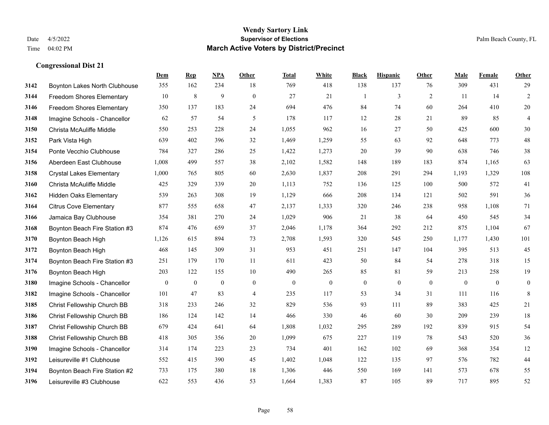|      |                                  | Dem              | <b>Rep</b> | NPA          | <b>Other</b>   | <b>Total</b> | <b>White</b>     | <b>Black</b>     | <b>Hispanic</b> | <b>Other</b> | <b>Male</b>  | Female       | <b>Other</b>     |
|------|----------------------------------|------------------|------------|--------------|----------------|--------------|------------------|------------------|-----------------|--------------|--------------|--------------|------------------|
| 3142 | Boynton Lakes North Clubhouse    | 355              | 162        | 234          | 18             | 769          | 418              | 138              | 137             | 76           | 309          | 431          | 29               |
| 3144 | <b>Freedom Shores Elementary</b> | 10               | 8          | 9            | $\mathbf{0}$   | 27           | 21               | 1                | 3               | 2            | 11           | 14           | $\overline{2}$   |
| 3146 | Freedom Shores Elementary        | 350              | 137        | 183          | 24             | 694          | 476              | 84               | 74              | 60           | 264          | 410          | $20\,$           |
| 3148 | Imagine Schools - Chancellor     | 62               | 57         | 54           | 5              | 178          | 117              | 12               | 28              | 21           | 89           | 85           | $\overline{4}$   |
| 3150 | Christa McAuliffe Middle         | 550              | 253        | 228          | 24             | 1,055        | 962              | 16               | 27              | 50           | 425          | 600          | 30               |
| 3152 | Park Vista High                  | 639              | 402        | 396          | 32             | 1,469        | 1,259            | 55               | 63              | 92           | 648          | 773          | $48\,$           |
| 3154 | Ponte Vecchio Clubhouse          | 784              | 327        | 286          | 25             | 1,422        | 1,273            | 20               | 39              | 90           | 638          | 746          | $38\,$           |
| 3156 | Aberdeen East Clubhouse          | 1,008            | 499        | 557          | 38             | 2,102        | 1,582            | 148              | 189             | 183          | 874          | 1,165        | 63               |
| 3158 | <b>Crystal Lakes Elementary</b>  | 1,000            | 765        | 805          | 60             | 2,630        | 1,837            | 208              | 291             | 294          | 1,193        | 1,329        | 108              |
| 3160 | Christa McAuliffe Middle         | 425              | 329        | 339          | 20             | 1,113        | 752              | 136              | 125             | 100          | 500          | 572          | 41               |
| 3162 | <b>Hidden Oaks Elementary</b>    | 539              | 263        | 308          | 19             | 1,129        | 666              | 208              | 134             | 121          | 502          | 591          | 36               |
| 3164 | <b>Citrus Cove Elementary</b>    | 877              | 555        | 658          | 47             | 2,137        | 1,333            | 320              | 246             | 238          | 958          | 1,108        | 71               |
| 3166 | Jamaica Bay Clubhouse            | 354              | 381        | 270          | 24             | 1,029        | 906              | 21               | 38              | 64           | 450          | 545          | 34               |
| 3168 | Boynton Beach Fire Station #3    | 874              | 476        | 659          | 37             | 2,046        | 1,178            | 364              | 292             | 212          | 875          | 1,104        | 67               |
| 3170 | Boynton Beach High               | 1,126            | 615        | 894          | 73             | 2,708        | 1,593            | 320              | 545             | 250          | 1,177        | 1,430        | 101              |
| 3172 | Boynton Beach High               | 468              | 145        | 309          | 31             | 953          | 451              | 251              | 147             | 104          | 395          | 513          | 45               |
| 3174 | Boynton Beach Fire Station #3    | 251              | 179        | 170          | 11             | 611          | 423              | 50               | 84              | 54           | 278          | 318          | 15               |
| 3176 | Boynton Beach High               | 203              | 122        | 155          | 10             | 490          | 265              | 85               | 81              | 59           | 213          | 258          | 19               |
| 3180 | Imagine Schools - Chancellor     | $\boldsymbol{0}$ | $\bf{0}$   | $\mathbf{0}$ | $\mathbf{0}$   | $\mathbf{0}$ | $\boldsymbol{0}$ | $\boldsymbol{0}$ | $\mathbf{0}$    | $\mathbf{0}$ | $\mathbf{0}$ | $\mathbf{0}$ | $\boldsymbol{0}$ |
| 3182 | Imagine Schools - Chancellor     | 101              | 47         | 83           | $\overline{4}$ | 235          | 117              | 53               | 34              | 31           | 111          | 116          | $\,8\,$          |
| 3185 | Christ Fellowship Church BB      | 318              | 233        | 246          | 32             | 829          | 536              | 93               | 111             | 89           | 383          | 425          | 21               |
| 3186 | Christ Fellowship Church BB      | 186              | 124        | 142          | 14             | 466          | 330              | 46               | 60              | 30           | 209          | 239          | 18               |
| 3187 | Christ Fellowship Church BB      | 679              | 424        | 641          | 64             | 1,808        | 1,032            | 295              | 289             | 192          | 839          | 915          | 54               |
| 3188 | Christ Fellowship Church BB      | 418              | 305        | 356          | 20             | 1,099        | 675              | 227              | 119             | 78           | 543          | 520          | 36               |
| 3190 | Imagine Schools - Chancellor     | 314              | 174        | 223          | 23             | 734          | 401              | 162              | 102             | 69           | 368          | 354          | 12               |
| 3192 | Leisureville #1 Clubhouse        | 552              | 415        | 390          | 45             | 1,402        | 1,048            | 122              | 135             | 97           | 576          | 782          | $44\,$           |
| 3194 | Boynton Beach Fire Station #2    | 733              | 175        | 380          | 18             | 1,306        | 446              | 550              | 169             | 141          | 573          | 678          | 55               |
| 3196 | Leisureville #3 Clubhouse        | 622              | 553        | 436          | 53             | 1,664        | 1,383            | 87               | 105             | 89           | 717          | 895          | 52               |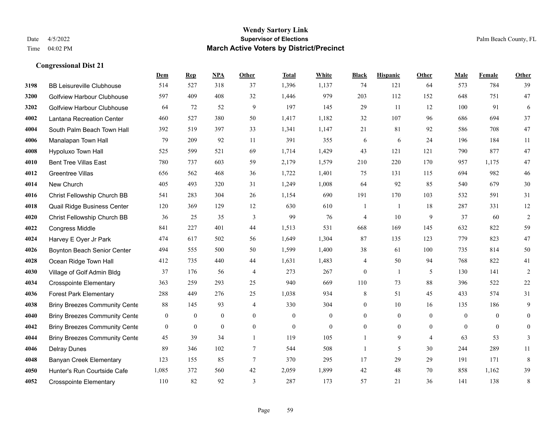|      |                                      | Dem              | <b>Rep</b>       | NPA              | <b>Other</b>   | <b>Total</b> | White            | <b>Black</b>             | <b>Hispanic</b> | <b>Other</b>   | <b>Male</b>    | Female         | <b>Other</b>     |
|------|--------------------------------------|------------------|------------------|------------------|----------------|--------------|------------------|--------------------------|-----------------|----------------|----------------|----------------|------------------|
| 3198 | <b>BB Leisureville Clubhouse</b>     | 514              | 527              | 318              | 37             | 1,396        | 1,137            | 74                       | 121             | 64             | 573            | 784            | 39               |
| 3200 | <b>Golfview Harbour Clubhouse</b>    | 597              | 409              | 408              | 32             | 1,446        | 979              | 203                      | 112             | 152            | 648            | 751            | 47               |
| 3202 | Golfview Harbour Clubhouse           | 64               | 72               | 52               | 9              | 197          | 145              | 29                       | 11              | 12             | 100            | 91             | 6                |
| 4002 | <b>Lantana Recreation Center</b>     | 460              | 527              | 380              | 50             | 1,417        | 1,182            | 32                       | 107             | 96             | 686            | 694            | 37               |
| 4004 | South Palm Beach Town Hall           | 392              | 519              | 397              | 33             | 1,341        | 1,147            | 21                       | 81              | 92             | 586            | 708            | 47               |
| 4006 | Manalapan Town Hall                  | 79               | 209              | 92               | 11             | 391          | 355              | 6                        | 6               | 24             | 196            | 184            | 11               |
| 4008 | Hypoluxo Town Hall                   | 525              | 599              | 521              | 69             | 1,714        | 1,429            | 43                       | 121             | 121            | 790            | 877            | 47               |
| 4010 | <b>Bent Tree Villas East</b>         | 780              | 737              | 603              | 59             | 2,179        | 1,579            | 210                      | 220             | 170            | 957            | 1.175          | 47               |
| 4012 | Greentree Villas                     | 656              | 562              | 468              | 36             | 1,722        | 1,401            | 75                       | 131             | 115            | 694            | 982            | $46\,$           |
| 4014 | New Church                           | 405              | 493              | 320              | 31             | 1,249        | 1,008            | 64                       | 92              | 85             | 540            | 679            | $30\,$           |
| 4016 | Christ Fellowship Church BB          | 541              | 283              | 304              | 26             | 1,154        | 690              | 191                      | 170             | 103            | 532            | 591            | 31               |
| 4018 | Quail Ridge Business Center          | 120              | 369              | 129              | 12             | 630          | 610              | $\mathbf{1}$             | 1               | 18             | 287            | 331            | 12               |
| 4020 | Christ Fellowship Church BB          | 36               | 25               | 35               | 3              | 99           | 76               | 4                        | 10              | 9              | 37             | 60             | $\sqrt{2}$       |
| 4022 | <b>Congress Middle</b>               | 841              | 227              | 401              | 44             | 1,513        | 531              | 668                      | 169             | 145            | 632            | 822            | 59               |
| 4024 | Harvey E Oyer Jr Park                | 474              | 617              | 502              | 56             | 1,649        | 1,304            | 87                       | 135             | 123            | 779            | 823            | 47               |
| 4026 | Boynton Beach Senior Center          | 494              | 555              | 500              | 50             | 1,599        | 1,400            | 38                       | 61              | 100            | 735            | 814            | 50               |
| 4028 | Ocean Ridge Town Hall                | 412              | 735              | 440              | 44             | 1,631        | 1,483            | $\overline{\mathcal{A}}$ | 50              | 94             | 768            | 822            | 41               |
| 4030 | Village of Golf Admin Bldg           | 37               | 176              | 56               | $\overline{4}$ | 273          | 267              | $\boldsymbol{0}$         | $\mathbf{1}$    | 5              | 130            | 141            | $\overline{c}$   |
| 4034 | <b>Crosspointe Elementary</b>        | 363              | 259              | 293              | 25             | 940          | 669              | 110                      | 73              | 88             | 396            | 522            | $22\,$           |
| 4036 | <b>Forest Park Elementary</b>        | 288              | 449              | 276              | 25             | 1,038        | 934              | $\,8\,$                  | 51              | 45             | 433            | 574            | 31               |
| 4038 | <b>Briny Breezes Community Cente</b> | 88               | 145              | 93               | $\overline{4}$ | 330          | 304              | $\boldsymbol{0}$         | 10              | 16             | 135            | 186            | 9                |
| 4040 | <b>Briny Breezes Community Cente</b> | $\boldsymbol{0}$ | $\boldsymbol{0}$ | $\boldsymbol{0}$ | $\overline{0}$ | $\mathbf{0}$ | $\mathbf{0}$     | $\mathbf{0}$             | $\mathbf{0}$    | $\theta$       | $\mathbf{0}$   | $\theta$       | $\mathbf{0}$     |
| 4042 | <b>Briny Breezes Community Cente</b> | $\mathbf{0}$     | $\boldsymbol{0}$ | $\boldsymbol{0}$ | $\overline{0}$ | $\mathbf{0}$ | $\boldsymbol{0}$ | $\boldsymbol{0}$         | $\overline{0}$  | $\overline{0}$ | $\overline{0}$ | $\overline{0}$ | $\boldsymbol{0}$ |
| 4044 | <b>Briny Breezes Community Cente</b> | 45               | 39               | 34               | $\overline{1}$ | 119          | 105              | 1                        | 9               | $\overline{4}$ | 63             | 53             | 3                |
| 4046 | <b>Delray Dunes</b>                  | 89               | 346              | 102              | $\tau$         | 544          | 508              | $\mathbf{1}$             | 5               | 30             | 244            | 289            | 11               |
| 4048 | <b>Banyan Creek Elementary</b>       | 123              | 155              | 85               | $\tau$         | 370          | 295              | 17                       | 29              | 29             | 191            | 171            | $\,8\,$          |
| 4050 | Hunter's Run Courtside Cafe          | 1,085            | 372              | 560              | 42             | 2,059        | 1,899            | 42                       | 48              | 70             | 858            | 1,162          | 39               |
| 4052 | <b>Crosspointe Elementary</b>        | 110              | 82               | 92               | 3              | 287          | 173              | 57                       | 21              | 36             | 141            | 138            | $\,8\,$          |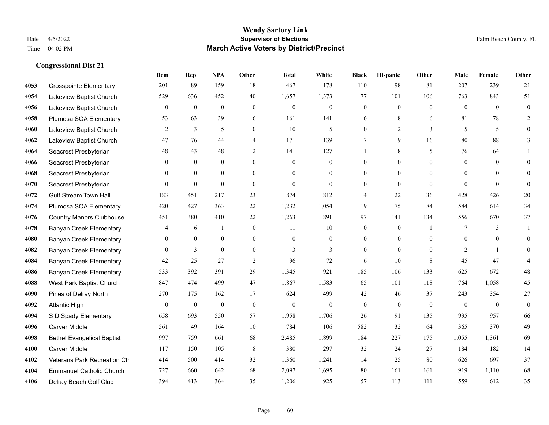|      |                                   | Dem            | <b>Rep</b>       | NPA          | <b>Other</b>     | <b>Total</b> | <b>White</b>     | <b>Black</b>     | <b>Hispanic</b>  | <b>Other</b> | <b>Male</b>    | Female         | <b>Other</b>     |
|------|-----------------------------------|----------------|------------------|--------------|------------------|--------------|------------------|------------------|------------------|--------------|----------------|----------------|------------------|
| 4053 | <b>Crosspointe Elementary</b>     | 201            | 89               | 159          | 18               | 467          | 178              | 110              | 98               | 81           | 207            | 239            | 21               |
| 4054 | Lakeview Baptist Church           | 529            | 636              | 452          | 40               | 1,657        | 1,373            | 77               | 101              | 106          | 763            | 843            | 51               |
| 4056 | Lakeview Baptist Church           | $\overline{0}$ | $\boldsymbol{0}$ | $\mathbf{0}$ | $\overline{0}$   | $\theta$     | $\boldsymbol{0}$ | $\boldsymbol{0}$ | $\mathbf{0}$     | $\theta$     | $\overline{0}$ | $\theta$       | $\boldsymbol{0}$ |
| 4058 | Plumosa SOA Elementary            | 53             | 63               | 39           | 6                | 161          | 141              | 6                | 8                | 6            | 81             | 78             | $\overline{2}$   |
| 4060 | Lakeview Baptist Church           | 2              | 3                | 5            | $\overline{0}$   | 10           | 5                | $\overline{0}$   | $\overline{2}$   | 3            | 5              | 5              | $\overline{0}$   |
| 4062 | Lakeview Baptist Church           | 47             | 76               | 44           | $\overline{4}$   | 171          | 139              | $\tau$           | 9                | 16           | 80             | 88             | 3                |
| 4064 | Seacrest Presbyterian             | 48             | 43               | 48           | $\overline{2}$   | 141          | 127              |                  | 8                | 5            | 76             | 64             |                  |
| 4066 | Seacrest Presbyterian             | $\theta$       | $\overline{0}$   | $\mathbf{0}$ | $\Omega$         | $\theta$     | $\mathbf{0}$     | $\overline{0}$   | $\theta$         | $\theta$     | $\theta$       | $\theta$       | $\Omega$         |
| 4068 | Seacrest Presbyterian             | $\theta$       | $\mathbf{0}$     | $\mathbf{0}$ | $\Omega$         | $\Omega$     | $\mathbf{0}$     | $\overline{0}$   | $\theta$         | $\Omega$     | $\Omega$       | $\Omega$       | $\theta$         |
| 4070 | Seacrest Presbyterian             | $\theta$       | $\mathbf{0}$     | $\mathbf{0}$ | $\theta$         | $\theta$     | $\overline{0}$   | $\overline{0}$   | $\mathbf{0}$     | $\theta$     | $\theta$       | $\theta$       | $\mathbf{0}$     |
| 4072 | <b>Gulf Stream Town Hall</b>      | 183            | 451              | 217          | 23               | 874          | 812              | 4                | 22               | 36           | 428            | 426            | 20               |
| 4074 | Plumosa SOA Elementary            | 420            | 427              | 363          | 22               | 1,232        | 1,054            | 19               | 75               | 84           | 584            | 614            | 34               |
| 4076 | <b>Country Manors Clubhouse</b>   | 451            | 380              | 410          | 22               | 1,263        | 891              | 97               | 141              | 134          | 556            | 670            | 37               |
| 4078 | <b>Banyan Creek Elementary</b>    | 4              | 6                | $\mathbf{1}$ | $\boldsymbol{0}$ | 11           | $10\,$           | $\boldsymbol{0}$ | $\boldsymbol{0}$ | -1           | 7              | 3              |                  |
| 4080 | <b>Banyan Creek Elementary</b>    | $\overline{0}$ | $\mathbf{0}$     | $\mathbf{0}$ | $\overline{0}$   | $\theta$     | $\overline{0}$   | $\overline{0}$   | $\mathbf{0}$     | $\theta$     | $\overline{0}$ | $\theta$       | $\theta$         |
| 4082 | <b>Banyan Creek Elementary</b>    | $\overline{0}$ | 3                | $\mathbf{0}$ | $\theta$         | 3            | $\overline{3}$   | $\mathbf{0}$     | $\theta$         | $\theta$     | 2              | $\overline{1}$ | $\theta$         |
| 4084 | <b>Banyan Creek Elementary</b>    | 42             | 25               | 27           | 2                | 96           | 72               | 6                | 10               | 8            | 45             | 47             | 4                |
| 4086 | <b>Banyan Creek Elementary</b>    | 533            | 392              | 391          | 29               | 1,345        | 921              | 185              | 106              | 133          | 625            | 672            | $48\,$           |
| 4088 | West Park Baptist Church          | 847            | 474              | 499          | 47               | 1,867        | 1,583            | 65               | 101              | 118          | 764            | 1,058          | 45               |
| 4090 | Pines of Delray North             | 270            | 175              | 162          | 17               | 624          | 499              | 42               | 46               | 37           | 243            | 354            | 27               |
| 4092 | <b>Atlantic High</b>              | $\mathbf{0}$   | $\mathbf{0}$     | $\mathbf{0}$ | $\theta$         | $\theta$     | $\mathbf{0}$     | $\mathbf{0}$     | $\mathbf{0}$     | $\theta$     | $\theta$       | $\theta$       | $\mathbf{0}$     |
| 4094 | S D Spady Elementary              | 658            | 693              | 550          | 57               | 1,958        | 1,706            | 26               | 91               | 135          | 935            | 957            | 66               |
| 4096 | <b>Carver Middle</b>              | 561            | 49               | 164          | 10               | 784          | 106              | 582              | 32               | 64           | 365            | 370            | 49               |
| 4098 | <b>Bethel Evangelical Baptist</b> | 997            | 759              | 661          | 68               | 2,485        | 1,899            | 184              | 227              | 175          | 1,055          | 1,361          | 69               |
| 4100 | <b>Carver Middle</b>              | 117            | 150              | 105          | 8                | 380          | 297              | 32               | 24               | 27           | 184            | 182            | 14               |
| 4102 | Veterans Park Recreation Ctr      | 414            | 500              | 414          | 32               | 1,360        | 1,241            | 14               | 25               | 80           | 626            | 697            | 37               |
| 4104 | <b>Emmanuel Catholic Church</b>   | 727            | 660              | 642          | 68               | 2,097        | 1,695            | 80               | 161              | 161          | 919            | 1,110          | 68               |
| 4106 | Delray Beach Golf Club            | 394            | 413              | 364          | 35               | 1,206        | 925              | 57               | 113              | 111          | 559            | 612            | 35               |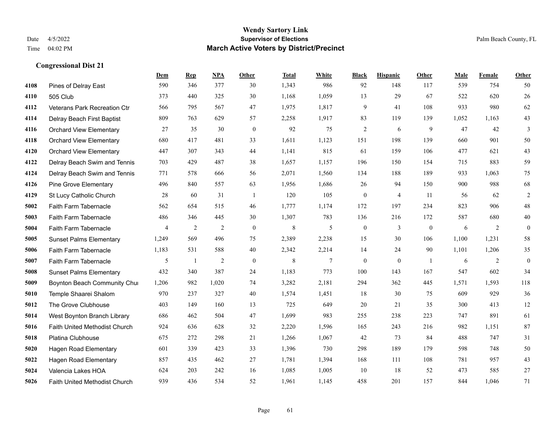|      |                                | Dem            | <b>Rep</b>     | NPA            | <b>Other</b> | <b>Total</b> | <b>White</b> | <b>Black</b>     | <b>Hispanic</b> | Other          | <b>Male</b> | Female | <b>Other</b> |
|------|--------------------------------|----------------|----------------|----------------|--------------|--------------|--------------|------------------|-----------------|----------------|-------------|--------|--------------|
| 4108 | Pines of Delray East           | 590            | 346            | 377            | 30           | 1,343        | 986          | 92               | 148             | 117            | 539         | 754    | 50           |
| 4110 | 505 Club                       | 373            | 440            | 325            | 30           | 1,168        | 1,059        | 13               | 29              | 67             | 522         | 620    | 26           |
| 4112 | Veterans Park Recreation Ctr   | 566            | 795            | 567            | 47           | 1,975        | 1,817        | 9                | 41              | 108            | 933         | 980    | 62           |
| 4114 | Delray Beach First Baptist     | 809            | 763            | 629            | 57           | 2,258        | 1,917        | 83               | 119             | 139            | 1,052       | 1,163  | $43\,$       |
| 4116 | <b>Orchard View Elementary</b> | 27             | 35             | 30             | $\mathbf{0}$ | 92           | 75           | $\overline{2}$   | 6               | 9              | 47          | 42     | 3            |
| 4118 | <b>Orchard View Elementary</b> | 680            | 417            | 481            | 33           | 1,611        | 1,123        | 151              | 198             | 139            | 660         | 901    | 50           |
| 4120 | <b>Orchard View Elementary</b> | 447            | 307            | 343            | 44           | 1,141        | 815          | 61               | 159             | 106            | 477         | 621    | $43\,$       |
| 4122 | Delray Beach Swim and Tennis   | 703            | 429            | 487            | 38           | 1,657        | 1,157        | 196              | 150             | 154            | 715         | 883    | 59           |
| 4124 | Delray Beach Swim and Tennis   | 771            | 578            | 666            | 56           | 2,071        | 1,560        | 134              | 188             | 189            | 933         | 1,063  | 75           |
| 4126 | <b>Pine Grove Elementary</b>   | 496            | 840            | 557            | 63           | 1,956        | 1,686        | 26               | 94              | 150            | 900         | 988    | 68           |
| 4129 | St Lucy Catholic Church        | 28             | 60             | 31             | -1           | 120          | 105          | $\boldsymbol{0}$ | $\overline{4}$  | 11             | 56          | 62     | $\sqrt{2}$   |
| 5002 | Faith Farm Tabernacle          | 562            | 654            | 515            | 46           | 1,777        | 1,174        | 172              | 197             | 234            | 823         | 906    | $48\,$       |
| 5003 | Faith Farm Tabernacle          | 486            | 346            | 445            | 30           | 1,307        | 783          | 136              | 216             | 172            | 587         | 680    | $40\,$       |
| 5004 | Faith Farm Tabernacle          | $\overline{4}$ | $\overline{2}$ | $\overline{2}$ | $\mathbf{0}$ | $\,$ 8 $\,$  | 5            | $\boldsymbol{0}$ | 3               | $\mathbf{0}$   | 6           | 2      | $\mathbf{0}$ |
| 5005 | <b>Sunset Palms Elementary</b> | 1,249          | 569            | 496            | 75           | 2,389        | 2,238        | 15               | 30              | 106            | 1.100       | 1,231  | 58           |
| 5006 | Faith Farm Tabernacle          | 1,183          | 531            | 588            | 40           | 2,342        | 2,214        | 14               | 24              | 90             | 1,101       | 1,206  | 35           |
| 5007 | Faith Farm Tabernacle          | 5              | -1             | 2              | $\mathbf{0}$ | 8            | $\tau$       | $\mathbf{0}$     | $\mathbf{0}$    | $\overline{1}$ | 6           | 2      | $\mathbf{0}$ |
| 5008 | <b>Sunset Palms Elementary</b> | 432            | 340            | 387            | 24           | 1,183        | 773          | 100              | 143             | 167            | 547         | 602    | 34           |
| 5009 | Boynton Beach Community Chur   | 1,206          | 982            | 1,020          | 74           | 3,282        | 2,181        | 294              | 362             | 445            | 1,571       | 1,593  | 118          |
| 5010 | Temple Shaarei Shalom          | 970            | 237            | 327            | 40           | 1,574        | 1,451        | 18               | 30              | 75             | 609         | 929    | 36           |
| 5012 | The Grove Clubhouse            | 403            | 149            | 160            | 13           | 725          | 649          | 20               | 21              | 35             | 300         | 413    | 12           |
| 5014 | West Boynton Branch Library    | 686            | 462            | 504            | 47           | 1,699        | 983          | 255              | 238             | 223            | 747         | 891    | 61           |
| 5016 | Faith United Methodist Church  | 924            | 636            | 628            | 32           | 2,220        | 1,596        | 165              | 243             | 216            | 982         | 1,151  | 87           |
| 5018 | Platina Clubhouse              | 675            | 272            | 298            | 21           | 1,266        | 1,067        | 42               | 73              | 84             | 488         | 747    | 31           |
| 5020 | <b>Hagen Road Elementary</b>   | 601            | 339            | 423            | 33           | 1,396        | 730          | 298              | 189             | 179            | 598         | 748    | 50           |
| 5022 | Hagen Road Elementary          | 857            | 435            | 462            | 27           | 1,781        | 1,394        | 168              | 111             | 108            | 781         | 957    | 43           |
| 5024 | Valencia Lakes HOA             | 624            | 203            | 242            | 16           | 1,085        | 1,005        | 10               | 18              | 52             | 473         | 585    | 27           |
| 5026 | Faith United Methodist Church  | 939            | 436            | 534            | 52           | 1,961        | 1,145        | 458              | 201             | 157            | 844         | 1,046  | 71           |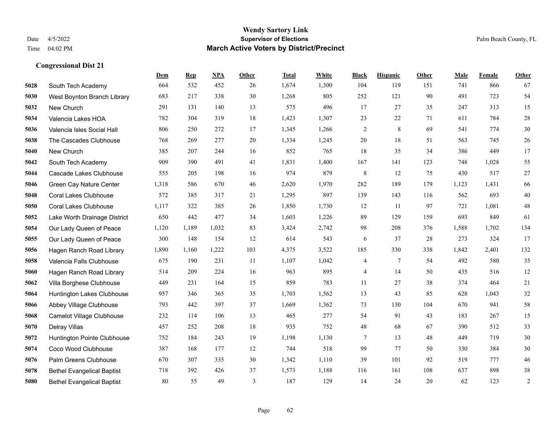|      |                                   | Dem   | <b>Rep</b> | NPA   | <b>Other</b> | <b>Total</b> | White | <b>Black</b>   | <b>Hispanic</b> | <b>Other</b> | <b>Male</b> | Female | <b>Other</b> |
|------|-----------------------------------|-------|------------|-------|--------------|--------------|-------|----------------|-----------------|--------------|-------------|--------|--------------|
| 5028 | South Tech Academy                | 664   | 532        | 452   | 26           | 1,674        | 1,300 | 104            | 119             | 151          | 741         | 866    | 67           |
| 5030 | West Boynton Branch Library       | 683   | 217        | 338   | 30           | 1,268        | 805   | 252            | 121             | 90           | 491         | 723    | 54           |
| 5032 | New Church                        | 291   | 131        | 140   | 13           | 575          | 496   | 17             | 27              | 35           | 247         | 313    | 15           |
| 5034 | Valencia Lakes HOA                | 782   | 304        | 319   | 18           | 1,423        | 1,307 | 23             | 22              | 71           | 611         | 784    | $28\,$       |
| 5036 | Valencia Isles Social Hall        | 806   | 250        | 272   | 17           | 1,345        | 1,266 | $\overline{c}$ | 8               | 69           | 541         | 774    | $30\,$       |
| 5038 | The Cascades Clubhouse            | 768   | 269        | 277   | 20           | 1,334        | 1,245 | $20\,$         | 18              | 51           | 563         | 745    | 26           |
| 5040 | New Church                        | 385   | 207        | 244   | 16           | 852          | 765   | $18\,$         | 35              | 34           | 386         | 449    | 17           |
| 5042 | South Tech Academy                | 909   | 390        | 491   | 41           | 1,831        | 1,400 | 167            | 141             | 123          | 748         | 1,028  | 55           |
| 5044 | Cascade Lakes Clubhouse           | 555   | 205        | 198   | 16           | 974          | 879   | $\,8\,$        | 12              | 75           | 430         | 517    | 27           |
| 5046 | Green Cay Nature Center           | 1,318 | 586        | 670   | 46           | 2,620        | 1,970 | 282            | 189             | 179          | 1,123       | 1,431  | 66           |
| 5048 | <b>Coral Lakes Clubhouse</b>      | 572   | 385        | 317   | 21           | 1,295        | 897   | 139            | 143             | 116          | 562         | 693    | $40\,$       |
| 5050 | <b>Coral Lakes Clubhouse</b>      | 1,117 | 322        | 385   | 26           | 1,850        | 1,730 | 12             | 11              | 97           | 721         | 1,081  | 48           |
| 5052 | Lake Worth Drainage District      | 650   | 442        | 477   | 34           | 1,603        | 1,226 | 89             | 129             | 159          | 693         | 849    | 61           |
| 5054 | Our Lady Queen of Peace           | 1,120 | 1,189      | 1,032 | 83           | 3,424        | 2,742 | 98             | 208             | 376          | 1,588       | 1,702  | 134          |
| 5055 | Our Lady Queen of Peace           | 300   | 148        | 154   | 12           | 614          | 543   | 6              | 37              | 28           | 273         | 324    | 17           |
| 5056 | Hagen Ranch Road Library          | 1,890 | 1,160      | 1,222 | 103          | 4,375        | 3,522 | 185            | 330             | 338          | 1,842       | 2,401  | 132          |
| 5058 | Valencia Falls Clubhouse          | 675   | 190        | 231   | 11           | 1,107        | 1,042 | 4              | 7               | 54           | 492         | 580    | 35           |
| 5060 | Hagen Ranch Road Library          | 514   | 209        | 224   | 16           | 963          | 895   | 4              | 14              | 50           | 435         | 516    | $12\,$       |
| 5062 | Villa Borghese Clubhouse          | 449   | 231        | 164   | 15           | 859          | 783   | 11             | 27              | 38           | 374         | 464    | $21\,$       |
| 5064 | Huntington Lakes Clubhouse        | 957   | 346        | 365   | 35           | 1,703        | 1,562 | 13             | 43              | 85           | 628         | 1,043  | $32\,$       |
| 5066 | Abbey Village Clubhouse           | 793   | 442        | 397   | 37           | 1,669        | 1,362 | 73             | 130             | 104          | 670         | 941    | 58           |
| 5068 | Camelot Village Clubhouse         | 232   | 114        | 106   | 13           | 465          | 277   | 54             | 91              | 43           | 183         | 267    | 15           |
| 5070 | Delray Villas                     | 457   | 252        | 208   | 18           | 935          | 752   | $48\,$         | 68              | 67           | 390         | 512    | 33           |
| 5072 | Huntington Pointe Clubhouse       | 752   | 184        | 243   | 19           | 1,198        | 1,130 | 7              | 13              | 48           | 449         | 719    | $30\,$       |
| 5074 | Coco Wood Clubhouse               | 387   | 168        | 177   | 12           | 744          | 518   | 99             | 77              | 50           | 330         | 384    | 30           |
| 5076 | Palm Greens Clubhouse             | 670   | 307        | 335   | 30           | 1,342        | 1,110 | 39             | 101             | 92           | 519         | 777    | 46           |
| 5078 | <b>Bethel Evangelical Baptist</b> | 718   | 392        | 426   | 37           | 1,573        | 1,188 | 116            | 161             | 108          | 637         | 898    | $38\,$       |
| 5080 | <b>Bethel Evangelical Baptist</b> | 80    | 55         | 49    | 3            | 187          | 129   | 14             | 24              | 20           | 62          | 123    | $\sqrt{2}$   |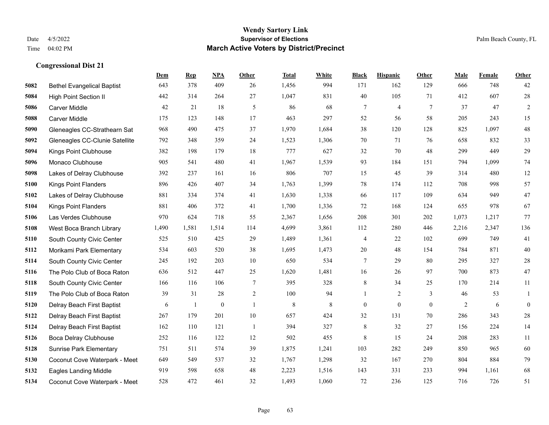|      |                                   | Dem   | <b>Rep</b> | NPA          | <b>Other</b>   | <b>Total</b> | <b>White</b> | <b>Black</b>     | <b>Hispanic</b> | <b>Other</b> | <b>Male</b>    | <b>Female</b> | <b>Other</b>     |
|------|-----------------------------------|-------|------------|--------------|----------------|--------------|--------------|------------------|-----------------|--------------|----------------|---------------|------------------|
| 5082 | <b>Bethel Evangelical Baptist</b> | 643   | 378        | 409          | 26             | 1,456        | 994          | 171              | 162             | 129          | 666            | 748           | 42               |
| 5084 | <b>High Point Section II</b>      | 442   | 314        | 264          | 27             | 1,047        | 831          | 40               | 105             | 71           | 412            | 607           | $28\,$           |
| 5086 | <b>Carver Middle</b>              | 42    | 21         | 18           | 5              | 86           | 68           | 7                | 4               | 7            | 37             | 47            | $\overline{c}$   |
| 5088 | <b>Carver Middle</b>              | 175   | 123        | 148          | 17             | 463          | 297          | 52               | 56              | 58           | 205            | 243           | 15               |
| 5090 | Gleneagles CC-Strathearn Sat      | 968   | 490        | 475          | 37             | 1,970        | 1,684        | 38               | 120             | 128          | 825            | 1.097         | $48\,$           |
| 5092 | Gleneagles CC-Clunie Satellite    | 792   | 348        | 359          | 24             | 1,523        | 1,306        | 70               | 71              | 76           | 658            | 832           | 33               |
| 5094 | Kings Point Clubhouse             | 382   | 198        | 179          | 18             | 777          | 627          | 32               | 70              | 48           | 299            | 449           | 29               |
| 5096 | Monaco Clubhouse                  | 905   | 541        | 480          | 41             | 1,967        | 1,539        | 93               | 184             | 151          | 794            | 1.099         | $74\,$           |
| 5098 | Lakes of Delray Clubhouse         | 392   | 237        | 161          | 16             | 806          | 707          | 15               | 45              | 39           | 314            | 480           | 12               |
| 5100 | <b>Kings Point Flanders</b>       | 896   | 426        | 407          | 34             | 1,763        | 1,399        | 78               | 174             | 112          | 708            | 998           | 57               |
| 5102 | Lakes of Delray Clubhouse         | 881   | 334        | 374          | 41             | 1,630        | 1,338        | 66               | 117             | 109          | 634            | 949           | 47               |
| 5104 | <b>Kings Point Flanders</b>       | 881   | 406        | 372          | 41             | 1,700        | 1,336        | 72               | 168             | 124          | 655            | 978           | 67               |
| 5106 | Las Verdes Clubhouse              | 970   | 624        | 718          | 55             | 2,367        | 1,656        | 208              | 301             | 202          | 1,073          | 1,217         | 77               |
| 5108 | West Boca Branch Library          | 1,490 | 1,581      | 1,514        | 114            | 4,699        | 3,861        | 112              | 280             | 446          | 2,216          | 2,347         | 136              |
| 5110 | South County Civic Center         | 525   | 510        | 425          | 29             | 1,489        | 1,361        | 4                | 22              | 102          | 699            | 749           | 41               |
| 5112 | Morikami Park Elementary          | 534   | 603        | 520          | 38             | 1,695        | 1,473        | 20               | 48              | 154          | 784            | 871           | $40\,$           |
| 5114 | South County Civic Center         | 245   | 192        | 203          | $10\,$         | 650          | 534          | 7                | 29              | 80           | 295            | 327           | $28\,$           |
| 5116 | The Polo Club of Boca Raton       | 636   | 512        | 447          | 25             | 1,620        | 1,481        | 16               | 26              | 97           | 700            | 873           | $47\,$           |
| 5118 | South County Civic Center         | 166   | 116        | 106          | $\overline{7}$ | 395          | 328          | 8                | 34              | 25           | 170            | 214           | 11               |
| 5119 | The Polo Club of Boca Raton       | 39    | 31         | 28           | $\sqrt{2}$     | 100          | 94           | 1                | $\overline{2}$  | 3            | 46             | 53            | $\mathbf{1}$     |
| 5120 | Delray Beach First Baptist        | 6     | 1          | $\mathbf{0}$ | $\overline{1}$ | 8            | 8            | $\boldsymbol{0}$ | $\mathbf{0}$    | $\theta$     | $\overline{2}$ | 6             | $\boldsymbol{0}$ |
| 5122 | Delray Beach First Baptist        | 267   | 179        | 201          | $10\,$         | 657          | 424          | 32               | 131             | 70           | 286            | 343           | $28\,$           |
| 5124 | Delray Beach First Baptist        | 162   | 110        | 121          | -1             | 394          | 327          | 8                | 32              | 27           | 156            | 224           | 14               |
| 5126 | Boca Delray Clubhouse             | 252   | 116        | 122          | 12             | 502          | 455          | 8                | 15              | 24           | 208            | 283           | 11               |
| 5128 | <b>Sunrise Park Elementary</b>    | 751   | 511        | 574          | 39             | 1,875        | 1,241        | 103              | 282             | 249          | 850            | 965           | 60               |
| 5130 | Coconut Cove Waterpark - Meet     | 649   | 549        | 537          | 32             | 1,767        | 1,298        | 32               | 167             | 270          | 804            | 884           | 79               |
| 5132 | <b>Eagles Landing Middle</b>      | 919   | 598        | 658          | 48             | 2,223        | 1,516        | 143              | 331             | 233          | 994            | 1,161         | 68               |
| 5134 | Coconut Cove Waterpark - Meet     | 528   | 472        | 461          | 32             | 1,493        | 1,060        | 72               | 236             | 125          | 716            | 726           | 51               |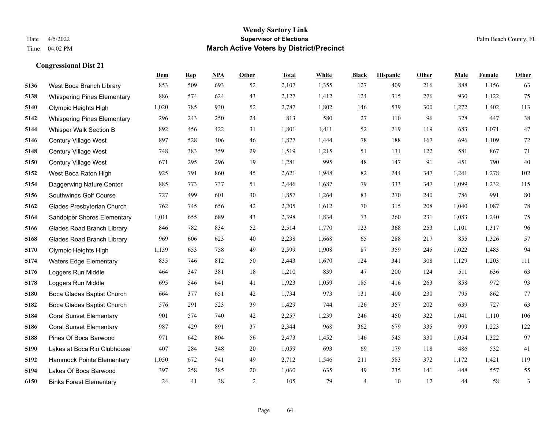|      |                                    | Dem   | <b>Rep</b> | NPA | <b>Other</b>   | <b>Total</b> | White | <b>Black</b>   | <b>Hispanic</b> | Other | <b>Male</b> | Female | <b>Other</b> |
|------|------------------------------------|-------|------------|-----|----------------|--------------|-------|----------------|-----------------|-------|-------------|--------|--------------|
| 5136 | West Boca Branch Library           | 853   | 509        | 693 | 52             | 2,107        | 1,355 | 127            | 409             | 216   | 888         | 1,156  | 63           |
| 5138 | <b>Whispering Pines Elementary</b> | 886   | 574        | 624 | 43             | 2,127        | 1,412 | 124            | 315             | 276   | 930         | 1,122  | 75           |
| 5140 | Olympic Heights High               | 1,020 | 785        | 930 | 52             | 2,787        | 1,802 | 146            | 539             | 300   | 1,272       | 1,402  | 113          |
| 5142 | <b>Whispering Pines Elementary</b> | 296   | 243        | 250 | 24             | 813          | 580   | 27             | 110             | 96    | 328         | 447    | 38           |
| 5144 | Whisper Walk Section B             | 892   | 456        | 422 | 31             | 1,801        | 1,411 | 52             | 219             | 119   | 683         | 1,071  | 47           |
| 5146 | Century Village West               | 897   | 528        | 406 | 46             | 1,877        | 1,444 | 78             | 188             | 167   | 696         | 1,109  | $72\,$       |
| 5148 | Century Village West               | 748   | 383        | 359 | 29             | 1,519        | 1,215 | 51             | 131             | 122   | 581         | 867    | 71           |
| 5150 | Century Village West               | 671   | 295        | 296 | 19             | 1,281        | 995   | 48             | 147             | 91    | 451         | 790    | 40           |
| 5152 | West Boca Raton High               | 925   | 791        | 860 | 45             | 2,621        | 1,948 | 82             | 244             | 347   | 1,241       | 1,278  | 102          |
| 5154 | Daggerwing Nature Center           | 885   | 773        | 737 | 51             | 2,446        | 1,687 | 79             | 333             | 347   | 1,099       | 1,232  | 115          |
| 5156 | Southwinds Golf Course             | 727   | 499        | 601 | 30             | 1,857        | 1,264 | 83             | 270             | 240   | 786         | 991    | 80           |
| 5162 | Glades Presbyterian Church         | 762   | 745        | 656 | 42             | 2,205        | 1,612 | 70             | 315             | 208   | 1,040       | 1,087  | $78\,$       |
| 5164 | Sandpiper Shores Elementary        | 1,011 | 655        | 689 | 43             | 2,398        | 1,834 | 73             | 260             | 231   | 1,083       | 1,240  | 75           |
| 5166 | <b>Glades Road Branch Library</b>  | 846   | 782        | 834 | 52             | 2,514        | 1,770 | 123            | 368             | 253   | 1,101       | 1,317  | 96           |
| 5168 | <b>Glades Road Branch Library</b>  | 969   | 606        | 623 | 40             | 2,238        | 1,668 | 65             | 288             | 217   | 855         | 1,326  | 57           |
| 5170 | Olympic Heights High               | 1,139 | 653        | 758 | 49             | 2,599        | 1,908 | 87             | 359             | 245   | 1,022       | 1,483  | 94           |
| 5174 | Waters Edge Elementary             | 835   | 746        | 812 | 50             | 2,443        | 1,670 | 124            | 341             | 308   | 1,129       | 1,203  | 111          |
| 5176 | Loggers Run Middle                 | 464   | 347        | 381 | 18             | 1,210        | 839   | 47             | 200             | 124   | 511         | 636    | 63           |
| 5178 | Loggers Run Middle                 | 695   | 546        | 641 | 41             | 1,923        | 1,059 | 185            | 416             | 263   | 858         | 972    | 93           |
| 5180 | Boca Glades Baptist Church         | 664   | 377        | 651 | 42             | 1,734        | 973   | 131            | 400             | 230   | 795         | 862    | 77           |
| 5182 | Boca Glades Baptist Church         | 576   | 291        | 523 | 39             | 1,429        | 744   | 126            | 357             | 202   | 639         | 727    | 63           |
| 5184 | <b>Coral Sunset Elementary</b>     | 901   | 574        | 740 | 42             | 2,257        | 1,239 | 246            | 450             | 322   | 1,041       | 1,110  | 106          |
| 5186 | <b>Coral Sunset Elementary</b>     | 987   | 429        | 891 | 37             | 2,344        | 968   | 362            | 679             | 335   | 999         | 1,223  | 122          |
| 5188 | Pines Of Boca Barwood              | 971   | 642        | 804 | 56             | 2,473        | 1,452 | 146            | 545             | 330   | 1,054       | 1,322  | 97           |
| 5190 | Lakes at Boca Rio Clubhouse        | 407   | 284        | 348 | 20             | 1,059        | 693   | 69             | 179             | 118   | 486         | 532    | 41           |
| 5192 | Hammock Pointe Elementary          | 1,050 | 672        | 941 | 49             | 2,712        | 1,546 | 211            | 583             | 372   | 1,172       | 1,421  | 119          |
| 5194 | Lakes Of Boca Barwood              | 397   | 258        | 385 | 20             | 1,060        | 635   | 49             | 235             | 141   | 448         | 557    | 55           |
| 6150 | <b>Binks Forest Elementary</b>     | 24    | 41         | 38  | $\overline{2}$ | 105          | 79    | $\overline{4}$ | 10              | 12    | 44          | 58     | 3            |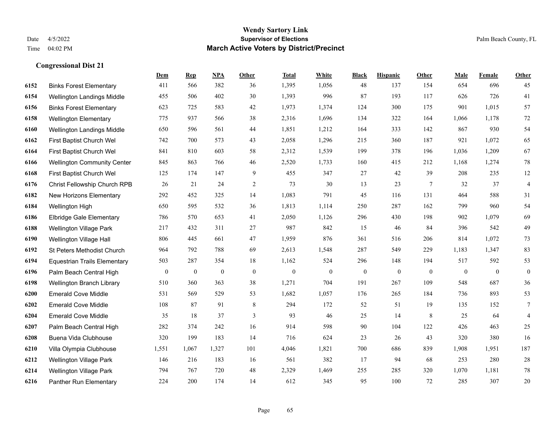|      |                                     | Dem              | <b>Rep</b>       | NPA          | <b>Other</b> | <b>Total</b> | White          | <b>Black</b>     | <b>Hispanic</b> | <b>Other</b> | <b>Male</b>    | Female       | <b>Other</b>   |
|------|-------------------------------------|------------------|------------------|--------------|--------------|--------------|----------------|------------------|-----------------|--------------|----------------|--------------|----------------|
| 6152 | <b>Binks Forest Elementary</b>      | 411              | 566              | 382          | 36           | 1,395        | 1,056          | 48               | 137             | 154          | 654            | 696          | 45             |
| 6154 | Wellington Landings Middle          | 455              | 506              | 402          | 30           | 1,393        | 996            | 87               | 193             | 117          | 626            | 726          | 41             |
| 6156 | <b>Binks Forest Elementary</b>      | 623              | 725              | 583          | 42           | 1,973        | 1,374          | 124              | 300             | 175          | 901            | 1,015        | 57             |
| 6158 | <b>Wellington Elementary</b>        | 775              | 937              | 566          | 38           | 2,316        | 1,696          | 134              | 322             | 164          | 1,066          | 1,178        | 72             |
| 6160 | Wellington Landings Middle          | 650              | 596              | 561          | 44           | 1,851        | 1,212          | 164              | 333             | 142          | 867            | 930          | 54             |
| 6162 | First Baptist Church Wel            | 742              | 700              | 573          | 43           | 2,058        | 1,296          | 215              | 360             | 187          | 921            | 1,072        | 65             |
| 6164 | First Baptist Church Wel            | 841              | 810              | 603          | 58           | 2,312        | 1,539          | 199              | 378             | 196          | 1,036          | 1,209        | 67             |
| 6166 | <b>Wellington Community Center</b>  | 845              | 863              | 766          | 46           | 2,520        | 1,733          | 160              | 415             | 212          | 1,168          | 1,274        | $78\,$         |
| 6168 | First Baptist Church Wel            | 125              | 174              | 147          | 9            | 455          | 347            | 27               | 42              | 39           | 208            | 235          | 12             |
| 6176 | Christ Fellowship Church RPB        | 26               | 21               | 24           | 2            | 73           | 30             | 13               | 23              | 7            | 32             | 37           | $\overline{4}$ |
| 6182 | New Horizons Elementary             | 292              | 452              | 325          | 14           | 1,083        | 791            | 45               | 116             | 131          | 464            | 588          | 31             |
| 6184 | Wellington High                     | 650              | 595              | 532          | 36           | 1,813        | 1,114          | 250              | 287             | 162          | 799            | 960          | 54             |
| 6186 | <b>Elbridge Gale Elementary</b>     | 786              | 570              | 653          | 41           | 2,050        | 1,126          | 296              | 430             | 198          | 902            | 1,079        | 69             |
| 6188 | <b>Wellington Village Park</b>      | 217              | 432              | 311          | $27\,$       | 987          | 842            | 15               | 46              | 84           | 396            | 542          | 49             |
| 6190 | Wellington Village Hall             | 806              | 445              | 661          | 47           | 1,959        | 876            | 361              | 516             | 206          | 814            | 1,072        | 73             |
| 6192 | St Peters Methodist Church          | 964              | 792              | 788          | 69           | 2,613        | 1,548          | 287              | 549             | 229          | 1,183          | 1,347        | 83             |
| 6194 | <b>Equestrian Trails Elementary</b> | 503              | 287              | 354          | 18           | 1,162        | 524            | 296              | 148             | 194          | 517            | 592          | 53             |
| 6196 | Palm Beach Central High             | $\boldsymbol{0}$ | $\boldsymbol{0}$ | $\mathbf{0}$ | $\mathbf{0}$ | $\mathbf{0}$ | $\overline{0}$ | $\boldsymbol{0}$ | $\mathbf{0}$    | $\theta$     | $\overline{0}$ | $\mathbf{0}$ | $\mathbf{0}$   |
| 6198 | Wellington Branch Library           | 510              | 360              | 363          | 38           | 1,271        | 704            | 191              | 267             | 109          | 548            | 687          | 36             |
| 6200 | <b>Emerald Cove Middle</b>          | 531              | 569              | 529          | 53           | 1,682        | 1,057          | 176              | 265             | 184          | 736            | 893          | 53             |
| 6202 | <b>Emerald Cove Middle</b>          | 108              | 87               | 91           | 8            | 294          | 172            | 52               | 51              | 19           | 135            | 152          | $\tau$         |
| 6204 | <b>Emerald Cove Middle</b>          | 35               | 18               | 37           | 3            | 93           | 46             | 25               | 14              | 8            | 25             | 64           | $\overline{4}$ |
| 6207 | Palm Beach Central High             | 282              | 374              | 242          | 16           | 914          | 598            | 90               | 104             | 122          | 426            | 463          | 25             |
| 6208 | Buena Vida Clubhouse                | 320              | 199              | 183          | 14           | 716          | 624            | 23               | 26              | 43           | 320            | 380          | 16             |
| 6210 | Villa Olympia Clubhouse             | 1,551            | 1,067            | 1,327        | 101          | 4,046        | 1,821          | 700              | 686             | 839          | 1,908          | 1,951        | 187            |
| 6212 | Wellington Village Park             | 146              | 216              | 183          | 16           | 561          | 382            | 17               | 94              | 68           | 253            | 280          | $28\,$         |
| 6214 | Wellington Village Park             | 794              | 767              | 720          | 48           | 2,329        | 1,469          | 255              | 285             | 320          | 1,070          | 1,181        | 78             |
| 6216 | Panther Run Elementary              | 224              | 200              | 174          | 14           | 612          | 345            | 95               | 100             | 72           | 285            | 307          | 20             |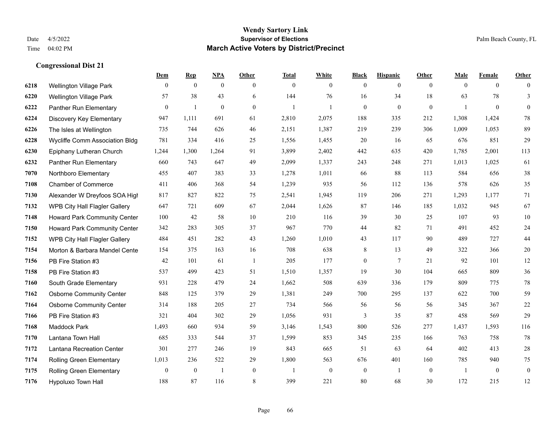|      |                                 | Dem            | <b>Rep</b>       | NPA              | <b>Other</b>   | <b>Total</b> | <b>White</b>     | <b>Black</b>     | <b>Hispanic</b> | <b>Other</b>   | <b>Male</b>  | <b>Female</b>  | <b>Other</b>     |
|------|---------------------------------|----------------|------------------|------------------|----------------|--------------|------------------|------------------|-----------------|----------------|--------------|----------------|------------------|
| 6218 | Wellington Village Park         | $\overline{0}$ | $\mathbf{0}$     | $\mathbf{0}$     | $\overline{0}$ | $\mathbf{0}$ | $\overline{0}$   | $\mathbf{0}$     | $\mathbf{0}$    | $\overline{0}$ | $\mathbf{0}$ | $\overline{0}$ | $\theta$         |
| 6220 | <b>Wellington Village Park</b>  | 57             | 38               | 43               | 6              | 144          | 76               | 16               | 34              | 18             | 63           | 78             | 3                |
| 6222 | Panther Run Elementary          | $\mathbf{0}$   | $\mathbf{1}$     | $\boldsymbol{0}$ | $\overline{0}$ | -1           | $\mathbf{1}$     | $\mathbf{0}$     | $\mathbf{0}$    | $\overline{0}$ | 1            | $\overline{0}$ | $\mathbf{0}$     |
| 6224 | Discovery Key Elementary        | 947            | 1,111            | 691              | 61             | 2,810        | 2,075            | 188              | 335             | 212            | 1,308        | 1,424          | $78\,$           |
| 6226 | The Isles at Wellington         | 735            | 744              | 626              | 46             | 2,151        | 1,387            | 219              | 239             | 306            | 1.009        | 1,053          | 89               |
| 6228 | Wycliffe Comm Association Bldg  | 781            | 334              | 416              | 25             | 1,556        | 1,455            | 20               | 16              | 65             | 676          | 851            | 29               |
| 6230 | Epiphany Lutheran Church        | 1,244          | 1,300            | 1,264            | 91             | 3,899        | 2,402            | 442              | 635             | 420            | 1,785        | 2,001          | 113              |
| 6232 | Panther Run Elementary          | 660            | 743              | 647              | 49             | 2,099        | 1,337            | 243              | 248             | 271            | 1,013        | 1,025          | 61               |
| 7070 | Northboro Elementary            | 455            | 407              | 383              | 33             | 1,278        | 1,011            | 66               | 88              | 113            | 584          | 656            | $38\,$           |
| 7108 | <b>Chamber of Commerce</b>      | 411            | 406              | 368              | 54             | 1,239        | 935              | 56               | 112             | 136            | 578          | 626            | 35               |
| 7130 | Alexander W Dreyfoos SOA High   | 817            | 827              | 822              | 75             | 2,541        | 1,945            | 119              | 206             | 271            | 1,293        | 1,177          | 71               |
| 7132 | WPB City Hall Flagler Gallery   | 647            | 721              | 609              | 67             | 2,044        | 1,626            | 87               | 146             | 185            | 1,032        | 945            | 67               |
| 7148 | Howard Park Community Center    | 100            | 42               | 58               | 10             | 210          | 116              | 39               | 30              | 25             | 107          | 93             | $10\,$           |
| 7150 | Howard Park Community Center    | 342            | 283              | 305              | 37             | 967          | 770              | 44               | 82              | 71             | 491          | 452            | $24\,$           |
| 7152 | WPB City Hall Flagler Gallery   | 484            | 451              | 282              | 43             | 1,260        | 1,010            | 43               | 117             | 90             | 489          | 727            | $44\,$           |
| 7154 | Morton & Barbara Mandel Cente   | 154            | 375              | 163              | 16             | 708          | 638              | 8                | 13              | 49             | 322          | 366            | $20\,$           |
| 7156 | PB Fire Station #3              | 42             | 101              | 61               | $\overline{1}$ | 205          | 177              | $\boldsymbol{0}$ | $\tau$          | 21             | 92           | 101            | $12\,$           |
| 7158 | PB Fire Station #3              | 537            | 499              | 423              | 51             | 1,510        | 1,357            | 19               | 30              | 104            | 665          | 809            | $36\,$           |
| 7160 | South Grade Elementary          | 931            | 228              | 479              | 24             | 1,662        | 508              | 639              | 336             | 179            | 809          | 775            | $78\,$           |
| 7162 | <b>Osborne Community Center</b> | 848            | 125              | 379              | 29             | 1,381        | 249              | 700              | 295             | 137            | 622          | 700            | 59               |
| 7164 | <b>Osborne Community Center</b> | 314            | 188              | 205              | 27             | 734          | 566              | 56               | 56              | 56             | 345          | 367            | $22\,$           |
| 7166 | PB Fire Station #3              | 321            | 404              | 302              | 29             | 1,056        | 931              | 3                | 35              | 87             | 458          | 569            | 29               |
| 7168 | <b>Maddock Park</b>             | 1,493          | 660              | 934              | 59             | 3,146        | 1,543            | 800              | 526             | 277            | 1,437        | 1,593          | 116              |
| 7170 | Lantana Town Hall               | 685            | 333              | 544              | 37             | 1,599        | 853              | 345              | 235             | 166            | 763          | 758            | 78               |
| 7172 | Lantana Recreation Center       | 301            | 277              | 246              | 19             | 843          | 665              | 51               | 63              | 64             | 402          | 413            | $28\,$           |
| 7174 | <b>Rolling Green Elementary</b> | 1,013          | 236              | 522              | 29             | 1,800        | 563              | 676              | 401             | 160            | 785          | 940            | 75               |
| 7175 | <b>Rolling Green Elementary</b> | $\mathbf{0}$   | $\boldsymbol{0}$ | $\overline{1}$   | $\mathbf{0}$   |              | $\boldsymbol{0}$ | $\boldsymbol{0}$ | 1               | $\mathbf{0}$   | -1           | $\mathbf{0}$   | $\boldsymbol{0}$ |
| 7176 | Hypoluxo Town Hall              | 188            | 87               | 116              | 8              | 399          | 221              | 80               | 68              | 30             | 172          | 215            | 12               |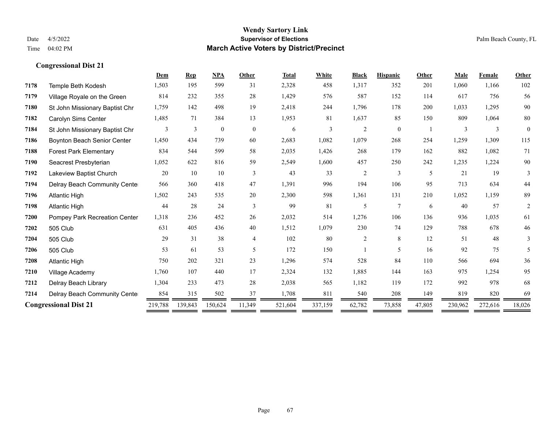|      |                                | Dem     | <b>Rep</b>     | <b>NPA</b>       | Other          | <b>Total</b> | White   | <b>Black</b> | <b>Hispanic</b> | Other  | <b>Male</b> | <b>Female</b> | <b>Other</b>   |
|------|--------------------------------|---------|----------------|------------------|----------------|--------------|---------|--------------|-----------------|--------|-------------|---------------|----------------|
| 7178 | Temple Beth Kodesh             | 1,503   | 195            | 599              | 31             | 2,328        | 458     | 1,317        | 352             | 201    | 1,060       | 1,166         | 102            |
| 7179 | Village Royale on the Green    | 814     | 232            | 355              | 28             | 1,429        | 576     | 587          | 152             | 114    | 617         | 756           | 56             |
| 7180 | St John Missionary Baptist Chr | 1,759   | 142            | 498              | 19             | 2,418        | 244     | 1,796        | 178             | 200    | 1,033       | 1,295         | 90             |
| 7182 | Carolyn Sims Center            | 1,485   | 71             | 384              | 13             | 1,953        | 81      | 1,637        | 85              | 150    | 809         | 1,064         | 80             |
| 7184 | St John Missionary Baptist Chr | 3       | $\overline{3}$ | $\boldsymbol{0}$ | $\overline{0}$ | 6            | 3       | 2            | $\theta$        |        | 3           | 3             | $\Omega$       |
| 7186 | Boynton Beach Senior Center    | 1,450   | 434            | 739              | 60             | 2,683        | 1,082   | 1,079        | 268             | 254    | 1,259       | 1,309         | 115            |
| 7188 | <b>Forest Park Elementary</b>  | 834     | 544            | 599              | 58             | 2,035        | 1,426   | 268          | 179             | 162    | 882         | 1,082         | 71             |
| 7190 | Seacrest Presbyterian          | 1,052   | 622            | 816              | 59             | 2,549        | 1,600   | 457          | 250             | 242    | 1,235       | 1,224         | 90             |
| 7192 | Lakeview Baptist Church        | 20      | 10             | 10               | 3              | 43           | 33      | 2            | 3               | 5      | 21          | 19            | 3              |
| 7194 | Delray Beach Community Cente   | 566     | 360            | 418              | 47             | 1,391        | 996     | 194          | 106             | 95     | 713         | 634           | 44             |
| 7196 | <b>Atlantic High</b>           | 1,502   | 243            | 535              | 20             | 2,300        | 598     | 1,361        | 131             | 210    | 1,052       | 1,159         | 89             |
| 7198 | <b>Atlantic High</b>           | 44      | 28             | 24               | 3              | 99           | 81      | 5            | $\tau$          | 6      | 40          | 57            | $\overline{c}$ |
| 7200 | Pompey Park Recreation Center  | 1,318   | 236            | 452              | 26             | 2,032        | 514     | 1,276        | 106             | 136    | 936         | 1,035         | 61             |
| 7202 | 505 Club                       | 631     | 405            | 436              | 40             | 1,512        | 1,079   | 230          | 74              | 129    | 788         | 678           | 46             |
| 7204 | 505 Club                       | 29      | 31             | 38               | 4              | 102          | 80      | 2            | 8               | 12     | 51          | 48            | 3              |
| 7206 | 505 Club                       | 53      | 61             | 53               | 5              | 172          | 150     |              | 5               | 16     | 92          | 75            | 5              |
| 7208 | <b>Atlantic High</b>           | 750     | 202            | 321              | 23             | 1,296        | 574     | 528          | 84              | 110    | 566         | 694           | 36             |
| 7210 | Village Academy                | 1,760   | 107            | 440              | 17             | 2,324        | 132     | 1,885        | 144             | 163    | 975         | 1,254         | 95             |
| 7212 | Delray Beach Library           | 1,304   | 233            | 473              | 28             | 2,038        | 565     | 1,182        | 119             | 172    | 992         | 978           | 68             |
| 7214 | Delray Beach Community Cente   | 854     | 315            | 502              | 37             | 1,708        | 811     | 540          | 208             | 149    | 819         | 820           | 69             |
|      | <b>Congressional Dist 21</b>   | 219,788 | 139,843        | 150,624          | 11,349         | 521,604      | 337,159 | 62,782       | 73,858          | 47,805 | 230,962     | 272,616       | 18,026         |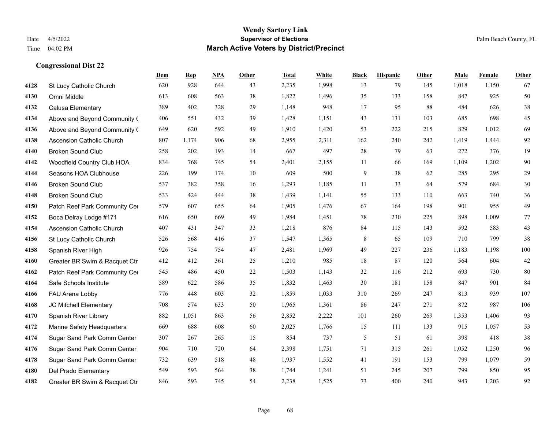|      |                                  | Dem | <b>Rep</b> | NPA | <b>Other</b> | <b>Total</b> | <b>White</b> | <b>Black</b> | <b>Hispanic</b> | <b>Other</b> | <b>Male</b> | Female | <b>Other</b> |
|------|----------------------------------|-----|------------|-----|--------------|--------------|--------------|--------------|-----------------|--------------|-------------|--------|--------------|
| 4128 | St Lucy Catholic Church          | 620 | 928        | 644 | 43           | 2,235        | 1,998        | 13           | 79              | 145          | 1,018       | 1,150  | 67           |
| 4130 | Omni Middle                      | 613 | 608        | 563 | 38           | 1,822        | 1,496        | 35           | 133             | 158          | 847         | 925    | 50           |
| 4132 | Calusa Elementary                | 389 | 402        | 328 | 29           | 1,148        | 948          | 17           | 95              | 88           | 484         | 626    | 38           |
| 4134 | Above and Beyond Community (     | 406 | 551        | 432 | 39           | 1,428        | 1,151        | 43           | 131             | 103          | 685         | 698    | 45           |
| 4136 | Above and Beyond Community (     | 649 | 620        | 592 | 49           | 1,910        | 1,420        | 53           | 222             | 215          | 829         | 1.012  | 69           |
| 4138 | <b>Ascension Catholic Church</b> | 807 | 1,174      | 906 | 68           | 2,955        | 2,311        | 162          | 240             | 242          | 1,419       | 1,444  | 92           |
| 4140 | <b>Broken Sound Club</b>         | 258 | 202        | 193 | 14           | 667          | 497          | 28           | 79              | 63           | 272         | 376    | 19           |
| 4142 | Woodfield Country Club HOA       | 834 | 768        | 745 | 54           | 2,401        | 2,155        | 11           | 66              | 169          | 1,109       | 1,202  | 90           |
| 4144 | Seasons HOA Clubhouse            | 226 | 199        | 174 | 10           | 609          | 500          | 9            | 38              | 62           | 285         | 295    | 29           |
| 4146 | <b>Broken Sound Club</b>         | 537 | 382        | 358 | 16           | 1,293        | 1,185        | 11           | 33              | 64           | 579         | 684    | 30           |
| 4148 | <b>Broken Sound Club</b>         | 533 | 424        | 444 | 38           | 1,439        | 1,141        | 55           | 133             | 110          | 663         | 740    | 36           |
| 4150 | Patch Reef Park Community Cer    | 579 | 607        | 655 | 64           | 1,905        | 1,476        | 67           | 164             | 198          | 901         | 955    | 49           |
| 4152 | Boca Delray Lodge #171           | 616 | 650        | 669 | 49           | 1,984        | 1,451        | 78           | 230             | 225          | 898         | 1,009  | 77           |
| 4154 | <b>Ascension Catholic Church</b> | 407 | 431        | 347 | 33           | 1,218        | 876          | 84           | 115             | 143          | 592         | 583    | 43           |
| 4156 | St Lucy Catholic Church          | 526 | 568        | 416 | 37           | 1,547        | 1,365        | 8            | 65              | 109          | 710         | 799    | 38           |
| 4158 | Spanish River High               | 926 | 754        | 754 | 47           | 2,481        | 1,969        | 49           | 227             | 236          | 1,183       | 1,198  | 100          |
| 4160 | Greater BR Swim & Racquet Ctr    | 412 | 412        | 361 | 25           | 1,210        | 985          | 18           | 87              | 120          | 564         | 604    | $42\,$       |
| 4162 | Patch Reef Park Community Cer    | 545 | 486        | 450 | 22           | 1,503        | 1,143        | 32           | 116             | 212          | 693         | 730    | 80           |
| 4164 | Safe Schools Institute           | 589 | 622        | 586 | 35           | 1,832        | 1,463        | 30           | 181             | 158          | 847         | 901    | 84           |
| 4166 | FAU Arena Lobby                  | 776 | 448        | 603 | 32           | 1,859        | 1,033        | 310          | 269             | 247          | 813         | 939    | 107          |
| 4168 | JC Mitchell Elementary           | 708 | 574        | 633 | 50           | 1,965        | 1,361        | 86           | 247             | 271          | 872         | 987    | 106          |
| 4170 | Spanish River Library            | 882 | 1,051      | 863 | 56           | 2,852        | 2,222        | 101          | 260             | 269          | 1,353       | 1,406  | 93           |
| 4172 | Marine Safety Headquarters       | 669 | 688        | 608 | 60           | 2,025        | 1,766        | 15           | 111             | 133          | 915         | 1,057  | 53           |
| 4174 | Sugar Sand Park Comm Center      | 307 | 267        | 265 | 15           | 854          | 737          | 5            | 51              | 61           | 398         | 418    | 38           |
| 4176 | Sugar Sand Park Comm Center      | 904 | 710        | 720 | 64           | 2,398        | 1,751        | 71           | 315             | 261          | 1,052       | 1,250  | 96           |
| 4178 | Sugar Sand Park Comm Center      | 732 | 639        | 518 | 48           | 1,937        | 1,552        | 41           | 191             | 153          | 799         | 1,079  | 59           |
| 4180 | Del Prado Elementary             | 549 | 593        | 564 | 38           | 1,744        | 1,241        | 51           | 245             | 207          | 799         | 850    | 95           |
| 4182 | Greater BR Swim & Racquet Ctr    | 846 | 593        | 745 | 54           | 2,238        | 1,525        | 73           | 400             | 240          | 943         | 1,203  | 92           |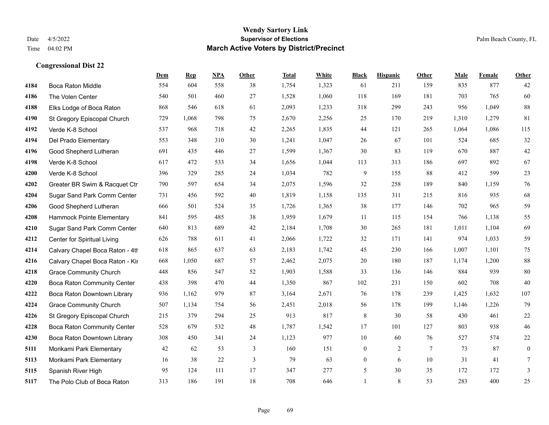|      |                                 | Dem | <b>Rep</b> | NPA | <b>Other</b> | <b>Total</b> | <b>White</b> | <b>Black</b>     | <b>Hispanic</b> | <b>Other</b> | <b>Male</b> | <b>Female</b> | <b>Other</b>     |
|------|---------------------------------|-----|------------|-----|--------------|--------------|--------------|------------------|-----------------|--------------|-------------|---------------|------------------|
| 4184 | Boca Raton Middle               | 554 | 604        | 558 | 38           | 1,754        | 1,323        | 61               | 211             | 159          | 835         | 877           | 42               |
| 4186 | The Volen Center                | 540 | 501        | 460 | 27           | 1,528        | 1,060        | 118              | 169             | 181          | 703         | 765           | 60               |
| 4188 | Elks Lodge of Boca Raton        | 868 | 546        | 618 | 61           | 2,093        | 1,233        | 318              | 299             | 243          | 956         | 1,049         | $88\,$           |
| 4190 | St Gregory Episcopal Church     | 729 | 1,068      | 798 | 75           | 2,670        | 2,256        | 25               | 170             | 219          | 1,310       | 1,279         | 81               |
| 4192 | Verde K-8 School                | 537 | 968        | 718 | 42           | 2,265        | 1,835        | 44               | 121             | 265          | 1,064       | 1.086         | 115              |
| 4194 | Del Prado Elementary            | 553 | 348        | 310 | 30           | 1,241        | 1,047        | 26               | 67              | 101          | 524         | 685           | 32               |
| 4196 | Good Shepherd Lutheran          | 691 | 435        | 446 | 27           | 1,599        | 1,367        | 30               | 83              | 119          | 670         | 887           | $42\,$           |
| 4198 | Verde K-8 School                | 617 | 472        | 533 | 34           | 1,656        | 1,044        | 113              | 313             | 186          | 697         | 892           | 67               |
| 4200 | Verde K-8 School                | 396 | 329        | 285 | 24           | 1,034        | 782          | 9                | 155             | 88           | 412         | 599           | $23\,$           |
| 4202 | Greater BR Swim & Racquet Ctr   | 790 | 597        | 654 | 34           | 2,075        | 1,596        | 32               | 258             | 189          | 840         | 1,159         | 76               |
| 4204 | Sugar Sand Park Comm Center     | 731 | 456        | 592 | 40           | 1,819        | 1,158        | 135              | 311             | 215          | 816         | 935           | 68               |
| 4206 | Good Shepherd Lutheran          | 666 | 501        | 524 | 35           | 1,726        | 1,365        | 38               | 177             | 146          | 702         | 965           | 59               |
| 4208 | Hammock Pointe Elementary       | 841 | 595        | 485 | 38           | 1,959        | 1,679        | 11               | 115             | 154          | 766         | 1,138         | 55               |
| 4210 | Sugar Sand Park Comm Center     | 640 | 813        | 689 | 42           | 2,184        | 1,708        | 30               | 265             | 181          | 1,011       | 1,104         | 69               |
| 4212 | Center for Spiritual Living     | 626 | 788        | 611 | 41           | 2,066        | 1,722        | 32               | 171             | 141          | 974         | 1,033         | 59               |
| 4214 | Calvary Chapel Boca Raton - 4th | 618 | 865        | 637 | 63           | 2,183        | 1,742        | 45               | 230             | 166          | 1,007       | 1,101         | 75               |
| 4216 | Calvary Chapel Boca Raton - Kir | 668 | 1,050      | 687 | 57           | 2,462        | 2,075        | $20\,$           | 180             | 187          | 1,174       | 1,200         | 88               |
| 4218 | <b>Grace Community Church</b>   | 448 | 856        | 547 | 52           | 1,903        | 1,588        | 33               | 136             | 146          | 884         | 939           | 80               |
| 4220 | Boca Raton Community Center     | 438 | 398        | 470 | 44           | 1,350        | 867          | 102              | 231             | 150          | 602         | 708           | 40               |
| 4222 | Boca Raton Downtown Library     | 936 | 1,162      | 979 | 87           | 3,164        | 2,671        | 76               | 178             | 239          | 1,425       | 1,632         | $107\,$          |
| 4224 | <b>Grace Community Church</b>   | 507 | 1,134      | 754 | 56           | 2,451        | 2,018        | 56               | 178             | 199          | 1,146       | 1,226         | 79               |
| 4226 | St Gregory Episcopal Church     | 215 | 379        | 294 | 25           | 913          | 817          | $\,8\,$          | 30              | 58           | 430         | 461           | $22\,$           |
| 4228 | Boca Raton Community Center     | 528 | 679        | 532 | 48           | 1,787        | 1,542        | 17               | 101             | 127          | 803         | 938           | 46               |
| 4230 | Boca Raton Downtown Library     | 308 | 450        | 341 | 24           | 1,123        | 977          | 10               | 60              | 76           | 527         | 574           | 22               |
| 5111 | Morikami Park Elementary        | 42  | 62         | 53  | 3            | 160          | 151          | $\overline{0}$   | $\overline{2}$  | $\tau$       | 73          | 87            | $\boldsymbol{0}$ |
| 5113 | Morikami Park Elementary        | 16  | 38         | 22  | 3            | 79           | 63           | $\boldsymbol{0}$ | 6               | 10           | 31          | 41            | 7                |
| 5115 | Spanish River High              | 95  | 124        | 111 | 17           | 347          | 277          | 5                | 30              | 35           | 172         | 172           | 3                |
| 5117 | The Polo Club of Boca Raton     | 313 | 186        | 191 | 18           | 708          | 646          | $\mathbf{1}$     | 8               | 53           | 283         | 400           | 25               |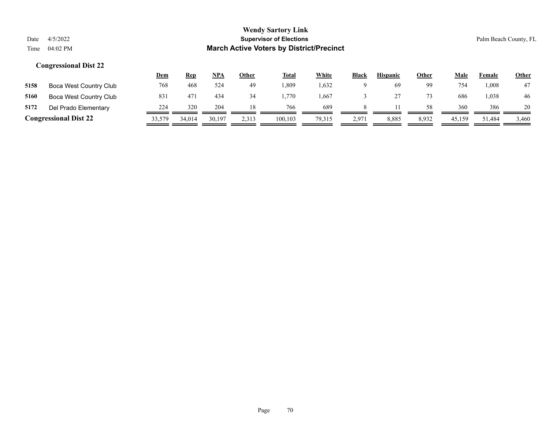|      |                              | <u>Dem</u> | <b>Rep</b> | <u>NPA</u> | Other | <b>Total</b> | White  | <b>Black</b> | <b>Hispanic</b> | <b>Other</b> | Male   | Female | <b>Other</b> |
|------|------------------------------|------------|------------|------------|-------|--------------|--------|--------------|-----------------|--------------|--------|--------|--------------|
| 5158 | Boca West Country Club       | 768        | 468        | 524        | 49    | .809         | 1,632  |              | 69              | 99           | 754    | 1.008  | 47           |
| 5160 | Boca West Country Club       | 831        | 471        | 434        | 34    | .770         | .667   |              |                 |              | 686    | 1,038  | 46           |
| 5172 | Del Prado Elementary         | 224        | 320        | 204        |       | 766          | 689    |              |                 | 58           | 360    | 386    | 20           |
|      | <b>Congressional Dist 22</b> |            | 34,014     | 30,197     | 2,313 | 100.103      | 79,315 | 2,971        | 8,885           | 8,932        | 45,159 | 51,484 | 3,460        |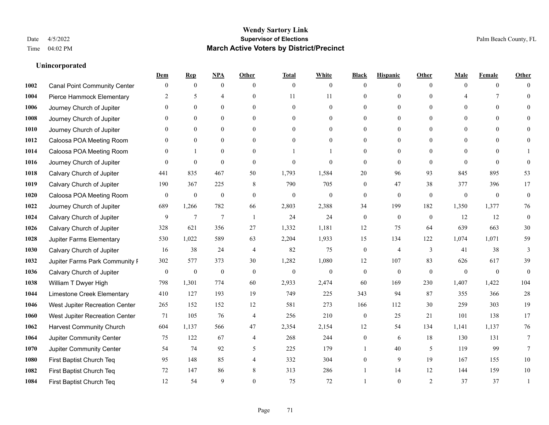### **Unincorporated**

|      |                                     | Dem            | <b>Rep</b>       | NPA              | <b>Other</b>   | <b>Total</b>     | <b>White</b>     | <b>Black</b>     | <b>Hispanic</b>  | <b>Other</b>   | <b>Male</b>    | <b>Female</b>  | <b>Other</b> |
|------|-------------------------------------|----------------|------------------|------------------|----------------|------------------|------------------|------------------|------------------|----------------|----------------|----------------|--------------|
| 1002 | <b>Canal Point Community Center</b> | $\mathbf{0}$   | $\mathbf{0}$     | $\boldsymbol{0}$ | $\theta$       | $\mathbf{0}$     | $\overline{0}$   | $\mathbf{0}$     | $\boldsymbol{0}$ | $\theta$       | $\theta$       | $\overline{0}$ | $\Omega$     |
| 1004 | Pierce Hammock Elementary           | 2              | 5                | $\overline{4}$   | $\theta$       | 11               | 11               | $\mathbf{0}$     | $\mathbf{0}$     | $\theta$       |                | 7              | $\theta$     |
| 1006 | Journey Church of Jupiter           | $\Omega$       | $\theta$         | $\theta$         | $\Omega$       | $\Omega$         | $\Omega$         | $\theta$         | $\theta$         | $\Omega$       | $\Omega$       | $\Omega$       | $\Omega$     |
| 1008 | Journey Church of Jupiter           | $\mathbf{0}$   | $\mathbf{0}$     | $\mathbf{0}$     | $\overline{0}$ | $\theta$         | $\boldsymbol{0}$ | $\mathbf{0}$     | $\mathbf{0}$     | $\mathbf{0}$   | $\mathbf{0}$   | $\mathbf{0}$   | $\Omega$     |
| 1010 | Journey Church of Jupiter           | $\theta$       | $\mathbf{0}$     | $\mathbf{0}$     | $\theta$       | $\theta$         | $\overline{0}$   | $\mathbf{0}$     | $\overline{0}$   | $\theta$       | $\theta$       | $\theta$       | $\theta$     |
| 1012 | Caloosa POA Meeting Room            | $\mathbf{0}$   | $\mathbf{0}$     | $\mathbf{0}$     | $\theta$       | $\theta$         | $\overline{0}$   | $\mathbf{0}$     | $\mathbf{0}$     | $\Omega$       | $\overline{0}$ | $\theta$       | $\mathbf{0}$ |
| 1014 | Caloosa POA Meeting Room            | $\Omega$       | $\mathbf{1}$     | $\theta$         | $\theta$       |                  | 1                | $\mathbf{0}$     | $\mathbf{0}$     | $\Omega$       | $\Omega$       | $\Omega$       |              |
| 1016 | Journey Church of Jupiter           | $\Omega$       | $\mathbf{0}$     | $\mathbf{0}$     | $\theta$       | $\theta$         | $\mathbf{0}$     | $\mathbf{0}$     | $\mathbf{0}$     | $\theta$       | $\theta$       | $\theta$       | $\theta$     |
| 1018 | Calvary Church of Jupiter           | 441            | 835              | 467              | 50             | 1,793            | 1,584            | 20               | 96               | 93             | 845            | 895            | 53           |
| 1019 | Calvary Church of Jupiter           | 190            | 367              | 225              | 8              | 790              | 705              | $\mathbf{0}$     | 47               | 38             | 377            | 396            | 17           |
| 1020 | Caloosa POA Meeting Room            | $\overline{0}$ | $\boldsymbol{0}$ | $\mathbf{0}$     | $\theta$       | $\theta$         | $\mathbf{0}$     | $\mathbf{0}$     | $\mathbf{0}$     | $\theta$       | $\theta$       | $\theta$       | $\theta$     |
| 1022 | Journey Church of Jupiter           | 689            | 1,266            | 782              | 66             | 2,803            | 2,388            | 34               | 199              | 182            | 1,350          | 1,377          | $76\,$       |
| 1024 | Calvary Church of Jupiter           | 9              | $\tau$           | $\overline{7}$   | -1             | 24               | 24               | $\boldsymbol{0}$ | $\mathbf{0}$     | $\overline{0}$ | 12             | 12             | $\mathbf{0}$ |
| 1026 | Calvary Church of Jupiter           | 328            | 621              | 356              | 27             | 1,332            | 1,181            | 12               | 75               | 64             | 639            | 663            | 30           |
| 1028 | Jupiter Farms Elementary            | 530            | 1,022            | 589              | 63             | 2,204            | 1,933            | 15               | 134              | 122            | 1,074          | 1.071          | 59           |
| 1030 | Calvary Church of Jupiter           | 16             | 38               | $24\,$           | $\overline{4}$ | 82               | 75               | $\boldsymbol{0}$ | $\overline{4}$   | 3              | 41             | 38             | 3            |
| 1032 | Jupiter Farms Park Community I      | 302            | 577              | 373              | $30\,$         | 1,282            | 1,080            | 12               | 107              | 83             | 626            | 617            | 39           |
| 1036 | Calvary Church of Jupiter           | $\mathbf{0}$   | $\boldsymbol{0}$ | $\boldsymbol{0}$ | $\mathbf{0}$   | $\boldsymbol{0}$ | $\mathbf{0}$     | $\mathbf{0}$     | $\mathbf{0}$     | $\theta$       | $\theta$       | $\mathbf{0}$   | $\theta$     |
| 1038 | William T Dwyer High                | 798            | 1,301            | 774              | 60             | 2,933            | 2,474            | 60               | 169              | 230            | 1,407          | 1,422          | 104          |
| 1044 | Limestone Creek Elementary          | 410            | 127              | 193              | 19             | 749              | 225              | 343              | 94               | 87             | 355            | 366            | 28           |
| 1046 | West Jupiter Recreation Center      | 265            | 152              | 152              | 12             | 581              | 273              | 166              | 112              | 30             | 259            | 303            | 19           |
| 1060 | West Jupiter Recreation Center      | 71             | 105              | 76               | 4              | 256              | 210              | $\boldsymbol{0}$ | 25               | 21             | 101            | 138            | 17           |
| 1062 | <b>Harvest Community Church</b>     | 604            | 1,137            | 566              | 47             | 2,354            | 2,154            | 12               | 54               | 134            | 1,141          | 1,137          | 76           |
| 1064 | Jupiter Community Center            | 75             | 122              | 67               | $\overline{4}$ | 268              | 244              | $\boldsymbol{0}$ | 6                | 18             | 130            | 131            | $\tau$       |
| 1070 | Jupiter Community Center            | 54             | 74               | 92               | 5              | 225              | 179              |                  | 40               | 5              | 119            | 99             | 7            |
| 1080 | First Baptist Church Teq            | 95             | 148              | 85               | 4              | 332              | 304              | $\mathbf{0}$     | 9                | 19             | 167            | 155            | $10\,$       |
| 1082 | First Baptist Church Teq            | 72             | 147              | 86               | 8              | 313              | 286              |                  | 14               | 12             | 144            | 159            | 10           |
| 1084 | First Baptist Church Teq            | 12             | 54               | 9                | $\Omega$       | 75               | 72               | $\mathbf{1}$     | $\theta$         | $\overline{2}$ | 37             | 37             | 1            |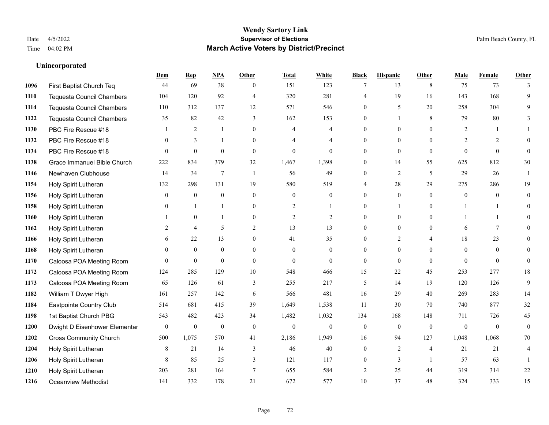### **Unincorporated**

|      |                                  | Dem              | <b>Rep</b>       | NPA              | <b>Other</b>    | <b>Total</b>   | <b>White</b>   | <b>Black</b>     | <b>Hispanic</b>  | <b>Other</b>   | <b>Male</b>    | <b>Female</b>  | <b>Other</b>   |
|------|----------------------------------|------------------|------------------|------------------|-----------------|----------------|----------------|------------------|------------------|----------------|----------------|----------------|----------------|
| 1096 | First Baptist Church Teq         | 44               | 69               | 38               | $\mathbf{0}$    | 151            | 123            | 7                | 13               | 8              | 75             | 73             | 3              |
| 1110 | <b>Tequesta Council Chambers</b> | 104              | 120              | 92               | $\overline{4}$  | 320            | 281            | 4                | 19               | 16             | 143            | 168            | 9              |
| 1114 | <b>Tequesta Council Chambers</b> | 110              | 312              | 137              | 12              | 571            | 546            | $\Omega$         | 5                | 20             | 258            | 304            | 9              |
| 1122 | Tequesta Council Chambers        | 35               | 82               | 42               | 3               | 162            | 153            | 0                | 1                | 8              | 79             | 80             | 3              |
| 1130 | PBC Fire Rescue #18              |                  | 2                | 1                | $\theta$        | 4              | $\overline{4}$ | $\overline{0}$   | $\overline{0}$   | $\Omega$       | 2              |                |                |
| 1132 | PBC Fire Rescue #18              | $\theta$         | 3                | -1               | $\theta$        | 4              | $\overline{4}$ | $\overline{0}$   | $\overline{0}$   | $\Omega$       | 2              | 2              | $\Omega$       |
| 1134 | PBC Fire Rescue #18              | $\theta$         | $\mathbf{0}$     | $\mathbf{0}$     | $\mathbf{0}$    | $\mathbf{0}$   | $\overline{0}$ | $\overline{0}$   | $\mathbf{0}$     | $\mathbf{0}$   | $\overline{0}$ | $\overline{0}$ | $\mathbf{0}$   |
| 1138 | Grace Immanuel Bible Church      | 222              | 834              | 379              | 32              | 1,467          | 1,398          | $\overline{0}$   | 14               | 55             | 625            | 812            | 30             |
| 1146 | Newhaven Clubhouse               | 14               | 34               | $\overline{7}$   | $\mathbf{1}$    | 56             | 49             | $\overline{0}$   | $\overline{c}$   | 5              | 29             | 26             |                |
| 1154 | Holy Spirit Lutheran             | 132              | 298              | 131              | 19              | 580            | 519            | 4                | 28               | 29             | 275            | 286            | 19             |
| 1156 | Holy Spirit Lutheran             | $\mathbf{0}$     | $\mathbf{0}$     | $\mathbf{0}$     | $\mathbf{0}$    | $\mathbf{0}$   | $\overline{0}$ | $\overline{0}$   | $\overline{0}$   | $\theta$       | $\mathbf{0}$   | $\overline{0}$ | $\mathbf{0}$   |
| 1158 | Holy Spirit Lutheran             | $\theta$         |                  | $\mathbf{1}$     | $\mathbf{0}$    | 2              | $\mathbf{1}$   | $\overline{0}$   | 1                | $\Omega$       |                |                | $\Omega$       |
| 1160 | Holy Spirit Lutheran             |                  | $\mathbf{0}$     | $\mathbf{1}$     | $\theta$        | $\overline{2}$ | 2              | $\Omega$         | $\overline{0}$   | $\Omega$       |                |                | 0              |
| 1162 | Holy Spirit Lutheran             | 2                | $\overline{4}$   | 5                | $\mathfrak{2}$  | 13             | 13             | $\boldsymbol{0}$ | $\boldsymbol{0}$ | $\mathbf{0}$   | 6              | $\tau$         | $\theta$       |
| 1166 | Holy Spirit Lutheran             | 6                | 22               | 13               | $\overline{0}$  | 41             | 35             | $\overline{0}$   | 2                |                | 18             | 23             | 0              |
| 1168 | Holy Spirit Lutheran             | $\theta$         | $\mathbf{0}$     | $\mathbf{0}$     | $\theta$        | $\Omega$       | $\overline{0}$ | $\theta$         | $\overline{0}$   | $\Omega$       | $\theta$       | $\theta$       | 0              |
| 1170 | Caloosa POA Meeting Room         | $\Omega$         | $\mathbf{0}$     | $\theta$         | $\theta$        | $\theta$       | $\theta$       | $\overline{0}$   | $\theta$         | $\theta$       | $\Omega$       | $\theta$       | $\theta$       |
| 1172 | Caloosa POA Meeting Room         | 124              | 285              | 129              | 10              | 548            | 466            | 15               | 22               | 45             | 253            | 277            | 18             |
| 1173 | Caloosa POA Meeting Room         | 65               | 126              | 61               | 3               | 255            | 217            | 5                | 14               | 19             | 120            | 126            | 9              |
| 1182 | William T Dwyer High             | 161              | 257              | 142              | 6               | 566            | 481            | 16               | 29               | 40             | 269            | 283            | 14             |
| 1184 | Eastpointe Country Club          | 514              | 681              | 415              | 39              | 1,649          | 1,538          | 11               | 30               | 70             | 740            | 877            | 32             |
| 1198 | 1st Baptist Church PBG           | 543              | 482              | 423              | 34              | 1,482          | 1,032          | 134              | 168              | 148            | 711            | 726            | 45             |
| 1200 | Dwight D Eisenhower Elementar    | $\boldsymbol{0}$ | $\boldsymbol{0}$ | $\boldsymbol{0}$ | $\mathbf{0}$    | $\overline{0}$ | $\overline{0}$ | $\mathbf{0}$     | $\mathbf{0}$     | $\mathbf{0}$   | $\mathbf{0}$   | $\theta$       | $\overline{0}$ |
| 1202 | <b>Cross Community Church</b>    | 500              | 1,075            | 570              | 41              | 2,186          | 1,949          | 16               | 94               | 127            | 1,048          | 1,068          | 70             |
| 1204 | Holy Spirit Lutheran             | 8                | 21               | 14               | $\mathfrak{Z}$  | 46             | 40             | $\boldsymbol{0}$ | $\overline{c}$   | $\overline{4}$ | 21             | 21             | 4              |
| 1206 | Holy Spirit Lutheran             | 8                | 85               | 25               | 3               | 121            | 117            | $\overline{0}$   | 3                | $\overline{1}$ | 57             | 63             |                |
| 1210 | Holy Spirit Lutheran             | 203              | 281              | 164              | $7\phantom{.0}$ | 655            | 584            | 2                | 25               | 44             | 319            | 314            | $22\,$         |
| 1216 | Oceanview Methodist              | 141              | 332              | 178              | 21              | 672            | 577            | 10               | 37               | 48             | 324            | 333            | 15             |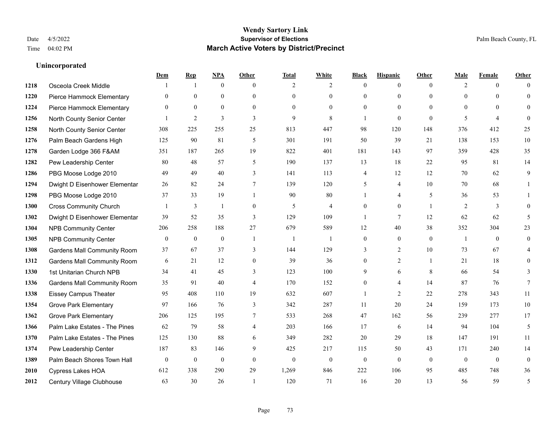|      |                                    | Dem          | <b>Rep</b>       | NPA          | <b>Other</b>   | <b>Total</b> | <b>White</b>   | <b>Black</b>   | <b>Hispanic</b> | <b>Other</b> | <b>Male</b>    | <b>Female</b>  | <b>Other</b>   |
|------|------------------------------------|--------------|------------------|--------------|----------------|--------------|----------------|----------------|-----------------|--------------|----------------|----------------|----------------|
| 1218 | Osceola Creek Middle               |              | -1               | $\mathbf{0}$ | $\theta$       | 2            | $\overline{2}$ | $\Omega$       | $\overline{0}$  | $\theta$     | 2              | $\overline{0}$ | $\Omega$       |
| 1220 | Pierce Hammock Elementary          | $\Omega$     | $\mathbf{0}$     | $\mathbf{0}$ | $\theta$       | $\theta$     | $\overline{0}$ | $\theta$       | $\overline{0}$  | $\theta$     | $\Omega$       | $\Omega$       | $\overline{0}$ |
| 1224 | Pierce Hammock Elementary          | $\Omega$     | $\theta$         | $\theta$     | $\Omega$       | $\Omega$     | $\theta$       | $\Omega$       | $\Omega$        | $\Omega$     | $\Omega$       | $\Omega$       | $\Omega$       |
| 1256 | North County Senior Center         |              | $\overline{c}$   | 3            | 3              | 9            | 8              | -1             | $\overline{0}$  | $\theta$     | 5              | $\overline{4}$ | $\Omega$       |
| 1258 | North County Senior Center         | 308          | 225              | 255          | 25             | 813          | 447            | 98             | 120             | 148          | 376            | 412            | 25             |
| 1276 | Palm Beach Gardens High            | 125          | 90               | 81           | 5              | 301          | 191            | 50             | 39              | 21           | 138            | 153            | $10\,$         |
| 1278 | Garden Lodge 366 F&AM              | 351          | 187              | 265          | 19             | 822          | 401            | 181            | 143             | 97           | 359            | 428            | 35             |
| 1282 | Pew Leadership Center              | 80           | 48               | 57           | 5              | 190          | 137            | 13             | 18              | 22           | 95             | 81             | 14             |
| 1286 | PBG Moose Lodge 2010               | 49           | 49               | 40           | $\overline{3}$ | 141          | 113            | 4              | 12              | 12           | 70             | 62             | 9              |
| 1294 | Dwight D Eisenhower Elementar      | 26           | 82               | 24           | $\tau$         | 139          | 120            | 5              | $\overline{4}$  | 10           | 70             | 68             |                |
| 1298 | PBG Moose Lodge 2010               | 37           | 33               | 19           | $\overline{1}$ | 90           | 80             | 1              | 4               | 5            | 36             | 53             | 1              |
| 1300 | <b>Cross Community Church</b>      |              | 3                | 1            | $\mathbf{0}$   | 5            | $\overline{4}$ | $\overline{0}$ | $\overline{0}$  |              | $\overline{2}$ | 3              | $\Omega$       |
| 1302 | Dwight D Eisenhower Elementar      | 39           | 52               | 35           | $\overline{3}$ | 129          | 109            | 1              | $\tau$          | 12           | 62             | 62             | 5              |
| 1304 | <b>NPB Community Center</b>        | 206          | 258              | 188          | 27             | 679          | 589            | 12             | 40              | 38           | 352            | 304            | 23             |
| 1305 | <b>NPB Community Center</b>        | $\mathbf{0}$ | $\mathbf{0}$     | $\mathbf{0}$ | $\overline{1}$ | $\mathbf{1}$ | $\mathbf{1}$   | $\mathbf{0}$   | $\overline{0}$  | $\theta$     | $\overline{1}$ | $\theta$       | $\mathbf{0}$   |
| 1308 | <b>Gardens Mall Community Room</b> | 37           | 67               | 37           | 3              | 144          | 129            | 3              | $\overline{2}$  | 10           | 73             | 67             | 4              |
| 1312 | <b>Gardens Mall Community Room</b> | 6            | 21               | 12           | $\mathbf{0}$   | 39           | 36             | $\overline{0}$ | $\overline{2}$  |              | 21             | 18             | $\Omega$       |
| 1330 | 1st Unitarian Church NPB           | 34           | 41               | 45           | 3              | 123          | 100            | 9              | 6               | 8            | 66             | 54             | 3              |
| 1336 | <b>Gardens Mall Community Room</b> | 35           | 91               | 40           | $\overline{4}$ | 170          | 152            | $\mathbf{0}$   | 4               | 14           | 87             | 76             | $\tau$         |
| 1338 | <b>Eissey Campus Theater</b>       | 95           | 408              | 110          | 19             | 632          | 607            | -1             | $\overline{2}$  | 22           | 278            | 343            | 11             |
| 1354 | <b>Grove Park Elementary</b>       | 97           | 166              | 76           | 3              | 342          | 287            | 11             | 20              | 24           | 159            | 173            | 10             |
| 1362 | <b>Grove Park Elementary</b>       | 206          | 125              | 195          | $\overline{7}$ | 533          | 268            | 47             | 162             | 56           | 239            | 277            | 17             |
| 1366 | Palm Lake Estates - The Pines      | 62           | 79               | 58           | $\overline{4}$ | 203          | 166            | 17             | 6               | 14           | 94             | 104            | 5              |
| 1370 | Palm Lake Estates - The Pines      | 125          | 130              | 88           | 6              | 349          | 282            | 20             | 29              | 18           | 147            | 191            | 11             |
| 1374 | Pew Leadership Center              | 187          | 83               | 146          | 9              | 425          | 217            | 115            | 50              | 43           | 171            | 240            | 14             |
| 1389 | Palm Beach Shores Town Hall        | $\mathbf{0}$ | $\boldsymbol{0}$ | $\mathbf{0}$ | $\theta$       | $\mathbf{0}$ | $\overline{0}$ | $\mathbf{0}$   | $\overline{0}$  | $\theta$     | $\mathbf{0}$   | $\theta$       | $\overline{0}$ |
| 2010 | Cypress Lakes HOA                  | 612          | 338              | 290          | 29             | 1,269        | 846            | 222            | 106             | 95           | 485            | 748            | 36             |
| 2012 | Century Village Clubhouse          | 63           | 30               | 26           |                | 120          | 71             | 16             | 20              | 13           | 56             | 59             | 5              |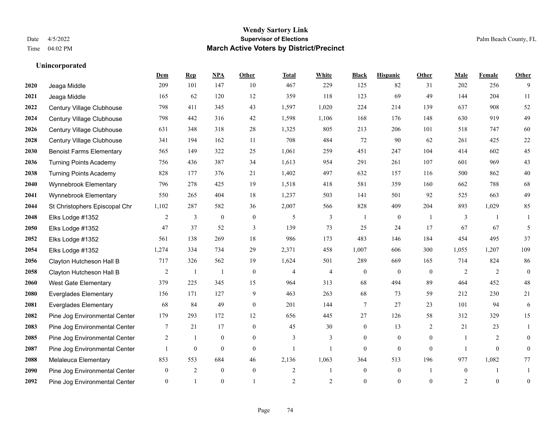|      |                                 | Dem            | <b>Rep</b>       | NPA              | <b>Other</b> | <b>Total</b>   | <b>White</b>             | <b>Black</b>     | <b>Hispanic</b>  | <b>Other</b>   | <b>Male</b>  | <b>Female</b>    | <b>Other</b>   |
|------|---------------------------------|----------------|------------------|------------------|--------------|----------------|--------------------------|------------------|------------------|----------------|--------------|------------------|----------------|
| 2020 | Jeaga Middle                    | 209            | 101              | 147              | 10           | 467            | 229                      | 125              | 82               | 31             | 202          | 256              | 9              |
| 2021 | Jeaga Middle                    | 165            | 62               | 120              | 12           | 359            | 118                      | 123              | 69               | 49             | 144          | 204              | 11             |
| 2022 | Century Village Clubhouse       | 798            | 411              | 345              | 43           | 1,597          | 1,020                    | 224              | 214              | 139            | 637          | 908              | 52             |
| 2024 | Century Village Clubhouse       | 798            | 442              | 316              | 42           | 1,598          | 1,106                    | 168              | 176              | 148            | 630          | 919              | 49             |
| 2026 | Century Village Clubhouse       | 631            | 348              | 318              | 28           | 1,325          | 805                      | 213              | 206              | 101            | 518          | 747              | 60             |
| 2028 | Century Village Clubhouse       | 341            | 194              | 162              | 11           | 708            | 484                      | 72               | 90               | 62             | 261          | 425              | $22\,$         |
| 2030 | <b>Benoist Farms Elementary</b> | 565            | 149              | 322              | 25           | 1,061          | 259                      | 451              | 247              | 104            | 414          | 602              | 45             |
| 2036 | <b>Turning Points Academy</b>   | 756            | 436              | 387              | 34           | 1,613          | 954                      | 291              | 261              | 107            | 601          | 969              | 43             |
| 2038 | <b>Turning Points Academy</b>   | 828            | 177              | 376              | 21           | 1,402          | 497                      | 632              | 157              | 116            | 500          | 862              | $40\,$         |
| 2040 | Wynnebrook Elementary           | 796            | 278              | 425              | 19           | 1,518          | 418                      | 581              | 359              | 160            | 662          | 788              | 68             |
| 2041 | Wynnebrook Elementary           | 550            | 265              | 404              | 18           | 1,237          | 503                      | 141              | 501              | 92             | 525          | 663              | 49             |
| 2044 | St Christophers Episcopal Chr   | 1,102          | 287              | 582              | 36           | 2,007          | 566                      | 828              | 409              | 204            | 893          | 1,029            | 85             |
| 2048 | Elks Lodge #1352                | 2              | 3                | $\mathbf{0}$     | $\mathbf{0}$ | 5              | 3                        | $\mathbf{1}$     | $\overline{0}$   | $\overline{1}$ | 3            | $\mathbf{1}$     | -1             |
| 2050 | Elks Lodge #1352                | 47             | 37               | 52               | 3            | 139            | 73                       | 25               | 24               | 17             | 67           | 67               | 5              |
| 2052 | Elks Lodge #1352                | 561            | 138              | 269              | 18           | 986            | 173                      | 483              | 146              | 184            | 454          | 495              | 37             |
| 2054 | Elks Lodge #1352                | 1,274          | 334              | 734              | 29           | 2,371          | 458                      | 1,007            | 606              | 300            | 1,055        | 1,207            | 109            |
| 2056 | Clayton Hutcheson Hall B        | 717            | 326              | 562              | 19           | 1,624          | 501                      | 289              | 669              | 165            | 714          | 824              | 86             |
| 2058 | Clayton Hutcheson Hall B        | $\overline{2}$ | 1                | -1               | $\mathbf{0}$ | 4              | $\overline{\mathcal{L}}$ | $\boldsymbol{0}$ | $\boldsymbol{0}$ | $\overline{0}$ | 2            | 2                | $\overline{0}$ |
| 2060 | <b>West Gate Elementary</b>     | 379            | 225              | 345              | 15           | 964            | 313                      | 68               | 494              | 89             | 464          | 452              | 48             |
| 2080 | <b>Everglades Elementary</b>    | 156            | 171              | 127              | 9            | 463            | 263                      | 68               | 73               | 59             | 212          | 230              | 21             |
| 2081 | <b>Everglades Elementary</b>    | 68             | 84               | 49               | $\theta$     | 201            | 144                      | 7                | 27               | 23             | 101          | 94               | 6              |
| 2082 | Pine Jog Environmental Center   | 179            | 293              | 172              | 12           | 656            | 445                      | 27               | 126              | 58             | 312          | 329              | 15             |
| 2083 | Pine Jog Environmental Center   | 7              | 21               | 17               | $\mathbf{0}$ | 45             | 30                       | $\boldsymbol{0}$ | 13               | 2              | 21           | 23               | 1              |
| 2085 | Pine Jog Environmental Center   | $\overline{2}$ | -1               | $\mathbf{0}$     | $\theta$     | 3              | 3                        | $\overline{0}$   | $\overline{0}$   | $\theta$       | -1           | 2                | $\overline{0}$ |
| 2087 | Pine Jog Environmental Center   |                | $\boldsymbol{0}$ | $\boldsymbol{0}$ | $\mathbf{0}$ | $\mathbf{1}$   |                          | $\mathbf{0}$     | $\boldsymbol{0}$ | $\mathbf{0}$   | $\mathbf{1}$ | $\boldsymbol{0}$ | $\overline{0}$ |
| 2088 | Melaleuca Elementary            | 853            | 553              | 684              | 46           | 2,136          | 1,063                    | 364              | 513              | 196            | 977          | 1,082            | 77             |
| 2090 | Pine Jog Environmental Center   | $\overline{0}$ | $\overline{2}$   | $\mathbf{0}$     | $\mathbf{0}$ | $\overline{c}$ | 1                        | $\overline{0}$   | $\overline{0}$   | $\mathbf{1}$   | $\mathbf{0}$ | $\mathbf{1}$     |                |
| 2092 | Pine Jog Environmental Center   | $\overline{0}$ | $\mathbf{1}$     | $\theta$         |              | $\overline{2}$ | $\overline{2}$           | $\theta$         | $\theta$         | $\theta$       | 2            | $\theta$         | $\mathbf{0}$   |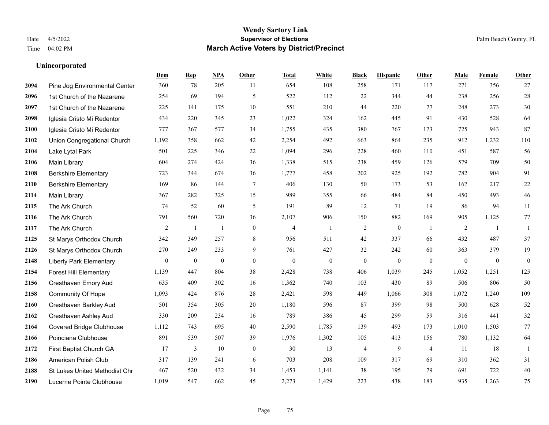|      |                                | Dem          | <b>Rep</b>       | NPA              | <b>Other</b>     | <b>Total</b>     | <b>White</b>     | <b>Black</b>     | <b>Hispanic</b>  | <b>Other</b>   | <b>Male</b>      | Female           | <b>Other</b>     |
|------|--------------------------------|--------------|------------------|------------------|------------------|------------------|------------------|------------------|------------------|----------------|------------------|------------------|------------------|
| 2094 | Pine Jog Environmental Center  | 360          | 78               | 205              | 11               | 654              | 108              | 258              | 171              | 117            | 271              | 356              | 27               |
| 2096 | 1st Church of the Nazarene     | 254          | 69               | 194              | 5                | 522              | 112              | 22               | 344              | 44             | 238              | 256              | $28\,$           |
| 2097 | 1st Church of the Nazarene     | 225          | 141              | 175              | 10               | 551              | 210              | 44               | 220              | 77             | 248              | 273              | $30\,$           |
| 2098 | Iglesia Cristo Mi Redentor     | 434          | 220              | 345              | 23               | 1,022            | 324              | 162              | 445              | 91             | 430              | 528              | 64               |
| 2100 | Iglesia Cristo Mi Redentor     | 777          | 367              | 577              | 34               | 1,755            | 435              | 380              | 767              | 173            | 725              | 943              | 87               |
| 2102 | Union Congregational Church    | 1,192        | 358              | 662              | 42               | 2,254            | 492              | 663              | 864              | 235            | 912              | 1,232            | $110\,$          |
| 2104 | Lake Lytal Park                | 501          | 225              | 346              | 22               | 1,094            | 296              | 228              | 460              | 110            | 451              | 587              | 56               |
| 2106 | Main Library                   | 604          | 274              | 424              | 36               | 1,338            | 515              | 238              | 459              | 126            | 579              | 709              | 50               |
| 2108 | <b>Berkshire Elementary</b>    | 723          | 344              | 674              | 36               | 1,777            | 458              | 202              | 925              | 192            | 782              | 904              | 91               |
| 2110 | <b>Berkshire Elementary</b>    | 169          | 86               | 144              | $\tau$           | 406              | 130              | 50               | 173              | 53             | 167              | 217              | $22\,$           |
| 2114 | Main Library                   | 367          | 282              | 325              | 15               | 989              | 355              | 66               | 484              | 84             | 450              | 493              | 46               |
| 2115 | The Ark Church                 | 74           | 52               | 60               | $\mathfrak{H}$   | 191              | 89               | 12               | 71               | 19             | 86               | 94               | $11\,$           |
| 2116 | The Ark Church                 | 791          | 560              | 720              | 36               | 2,107            | 906              | 150              | 882              | 169            | 905              | 1,125            | $77\,$           |
| 2117 | The Ark Church                 | 2            | $\mathbf{1}$     | $\mathbf{1}$     | $\mathbf{0}$     | $\overline{4}$   | $\mathbf{1}$     | $\sqrt{2}$       | $\boldsymbol{0}$ | -1             | $\sqrt{2}$       | -1               | 1                |
| 2125 | St Marys Orthodox Church       | 342          | 349              | 257              | 8                | 956              | 511              | 42               | 337              | 66             | 432              | 487              | 37               |
| 2126 | St Marys Orthodox Church       | 270          | 249              | 233              | 9                | 761              | 427              | 32               | 242              | 60             | 363              | 379              | 19               |
| 2148 | <b>Liberty Park Elementary</b> | $\mathbf{0}$ | $\boldsymbol{0}$ | $\boldsymbol{0}$ | $\boldsymbol{0}$ | $\boldsymbol{0}$ | $\boldsymbol{0}$ | $\boldsymbol{0}$ | $\mathbf{0}$     | $\mathbf{0}$   | $\boldsymbol{0}$ | $\boldsymbol{0}$ | $\boldsymbol{0}$ |
| 2154 | <b>Forest Hill Elementary</b>  | 1,139        | 447              | 804              | 38               | 2,428            | 738              | 406              | 1,039            | 245            | 1,052            | 1,251            | 125              |
| 2156 | Cresthaven Emory Aud           | 635          | 409              | 302              | 16               | 1,362            | 740              | 103              | 430              | 89             | 506              | 806              | 50               |
| 2158 | <b>Community Of Hope</b>       | 1,093        | 424              | 876              | 28               | 2,421            | 598              | 449              | 1,066            | 308            | 1,072            | 1,240            | 109              |
| 2160 | Cresthaven Barkley Aud         | 501          | 354              | 305              | 20               | 1,180            | 596              | 87               | 399              | 98             | 500              | 628              | $52\,$           |
| 2162 | Cresthaven Ashley Aud          | 330          | 209              | 234              | 16               | 789              | 386              | 45               | 299              | 59             | 316              | 441              | 32               |
| 2164 | Covered Bridge Clubhouse       | 1,112        | 743              | 695              | 40               | 2,590            | 1,785            | 139              | 493              | 173            | 1,010            | 1,503            | $77\,$           |
| 2166 | Poinciana Clubhouse            | 891          | 539              | 507              | 39               | 1,976            | 1,302            | 105              | 413              | 156            | 780              | 1,132            | 64               |
| 2172 | First Baptist Church GA        | 17           | 3                | 10               | $\overline{0}$   | 30               | 13               | $\overline{4}$   | 9                | $\overline{4}$ | 11               | 18               | -1               |
| 2186 | American Polish Club           | 317          | 139              | 241              | 6                | 703              | 208              | 109              | 317              | 69             | 310              | 362              | 31               |
| 2188 | St Lukes United Methodist Chr  | 467          | 520              | 432              | 34               | 1,453            | 1,141            | 38               | 195              | 79             | 691              | 722              | $40\,$           |
| 2190 | Lucerne Pointe Clubhouse       | 1,019        | 547              | 662              | 45               | 2,273            | 1,429            | 223              | 438              | 183            | 935              | 1,263            | 75               |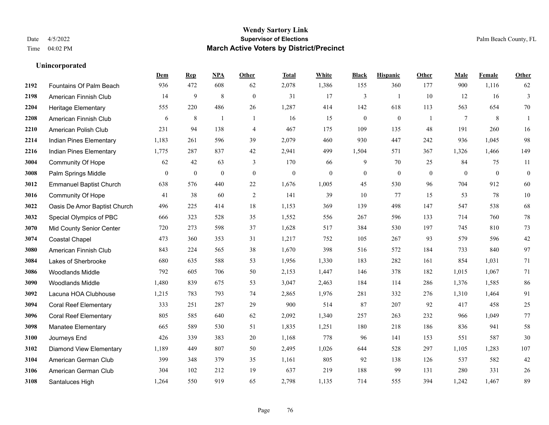**Unincorporated**

#### **Wendy Sartory Link** Date 4/5/2022 **Supervisor of Elections** Palm Beach County, FL Time 04:02 PM **March Active Voters by District/Precinct**

# **Dem Rep NPA Other Total White Black Hispanic Other Male Female Other** Fountains Of Palm Beach 936 472 608 62 2,078 1,386 155 360 177 900 1,116 62 American Finnish Club 14 9 8 0 31 17 3 1 10 12 16 3 Heritage Elementary 555 220 486 26 1,287 414 142 618 113 563 654 70 American Finnish Club 6 8 1 1 16 15 0 0 1 7 8 1 American Polish Club 231 94 138 4 467 175 109 135 48 191 260 16 Indian Pines Elementary 1,183 261 596 39 2,079 460 930 447 242 936 1,045 98 Indian Pines Elementary 1,775 287 837 42 2,941 499 1,504 571 367 1,326 1,466 149 Community Of Hope 62 42 63 3 170 66 9 70 25 84 75 11 Palm Springs Middle 0 0 0 0 0 0 0 0 0 0 0 0 Emmanuel Baptist Church 638 576 440 22 1,676 1,005 45 530 96 704 912 60 Community Of Hope 41 38 60 2 141 39 10 77 15 53 78 10 Oasis De Amor Baptist Church 496 225 414 18 1,153 369 139 498 147 547 538 68 Special Olympics of PBC 666 323 528 35 1,552 556 267 596 133 714 760 78 Mid County Senior Center 720 273 598 37 1,628 517 384 530 197 745 810 73 Coastal Chapel 473 360 353 31 1,217 752 105 267 93 579 596 42 American Finnish Club 843 224 565 38 1,670 398 516 572 184 733 840 97 Lakes of Sherbrooke 680 635 588 53 1,956 1,330 183 282 161 854 1,031 71 Woodlands Middle 792 605 706 50 2,153 1,447 146 378 182 1,015 1,067 71 Woodlands Middle 1,480 839 675 53 3,047 2,463 184 114 286 1,376 1,585 86 Lacuna HOA Clubhouse 1,215 783 793 74 2,865 1,976 281 332 276 1,310 1,464 91 Coral Reef Elementary 333 251 287 29 900 514 87 207 92 417 458 25 Coral Reef Elementary 805 585 640 62 2,092 1,340 257 263 232 966 1,049 77 Manatee Elementary 665 589 530 51 1,835 1,251 180 218 186 836 941 58 Journeys End 426 339 383 20 1,168 778 96 141 153 551 587 30 Diamond View Elementary 1,189 449 807 50 2,495 1,026 644 528 297 1,105 1,283 107 American German Club 399 348 379 35 1,161 805 92 138 126 537 582 42 American German Club 304 102 212 19 637 219 188 99 131 280 331 26

Santaluces High 1,264 550 919 65 2,798 1,135 714 555 394 1,242 1,467 89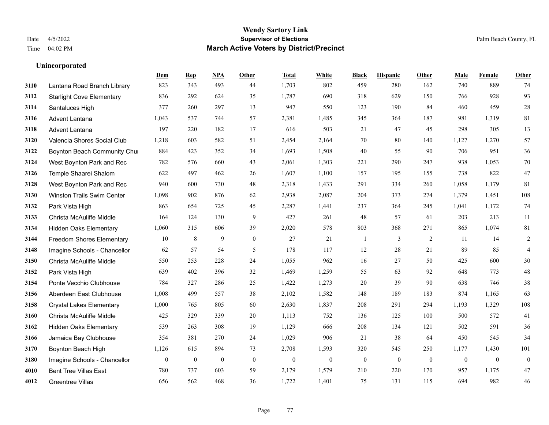**Unincorporated**

#### **Wendy Sartory Link** Date 4/5/2022 **Supervisor of Elections** Palm Beach County, FL Time 04:02 PM **March Active Voters by District/Precinct**

# **Dem Rep NPA Other Total White Black Hispanic Other Male Female Other** Lantana Road Branch Library 823 343 493 44 1,703 802 459 280 162 740 889 74 Starlight Cove Elementary 836 292 624 35 1,787 690 318 629 150 766 928 93 Santaluces High 377 260 297 13 947 550 123 190 84 460 459 28 Advent Lantana 1,043 537 744 57 2,381 1,485 345 364 187 981 1,319 81 Advent Lantana 197 220 182 17 616 503 21 47 45 298 305 13 Valencia Shores Social Club 1,218 603 582 51 2,454 2,164 70 80 140 1,127 1,270 57 **3122 Boynton Beach Community Chu**rch 884 423 352 34 1,693 1,508 40 55 90 706 951 36 West Boynton Park and Rec 782 576 660 43 2,061 1,303 221 290 247 938 1,053 70 Temple Shaarei Shalom 622 497 462 26 1,607 1,100 157 195 155 738 822 47 West Boynton Park and Rec 940 600 730 48 2,318 1,433 291 334 260 1,058 1,179 81 Winston Trails Swim Center 1,098 902 876 62 2,938 2,087 204 373 274 1,379 1,451 108 Park Vista High 863 654 725 45 2,287 1,441 237 364 245 1,041 1,172 74 Christa McAuliffe Middle 164 124 130 9 427 261 48 57 61 203 213 11 Hidden Oaks Elementary 1,060 315 606 39 2,020 578 803 368 271 865 1,074 81 Freedom Shores Elementary 10 8 9 0 27 21 1 3 2 11 14 2 Imagine Schools - Chancellor 62 57 54 5 178 117 12 28 21 89 85 4 Christa McAuliffe Middle 550 253 228 24 1,055 962 16 27 50 425 600 30 Park Vista High 639 402 396 32 1,469 1,259 55 63 92 648 773 48 Ponte Vecchio Clubhouse 784 327 286 25 1,422 1,273 20 39 90 638 746 38 Aberdeen East Clubhouse 1,008 499 557 38 2,102 1,582 148 189 183 874 1,165 63 Crystal Lakes Elementary 1,000 765 805 60 2,630 1,837 208 291 294 1,193 1,329 108 Christa McAuliffe Middle 425 329 339 20 1,113 752 136 125 100 500 572 41 Hidden Oaks Elementary 539 263 308 19 1,129 666 208 134 121 502 591 36 Jamaica Bay Clubhouse 354 381 270 24 1,029 906 21 38 64 450 545 34 Boynton Beach High 1,126 615 894 73 2,708 1,593 320 545 250 1,177 1,430 101 Imagine Schools - Chancellor 0 0 0 0 0 0 0 0 0 0 0 0 Bent Tree Villas East 780 737 603 59 2,179 1,579 210 220 170 957 1,175 47 Greentree Villas 656 562 468 36 1,722 1,401 75 131 115 694 982 46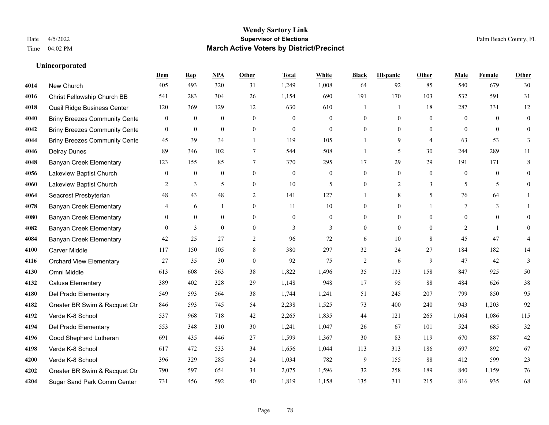|      |                                      | Dem              | <b>Rep</b>       | NPA              | <b>Other</b>   | <b>Total</b> | White            | <b>Black</b>     | <b>Hispanic</b>  | <b>Other</b>   | <b>Male</b>    | <b>Female</b> | <b>Other</b>     |
|------|--------------------------------------|------------------|------------------|------------------|----------------|--------------|------------------|------------------|------------------|----------------|----------------|---------------|------------------|
| 4014 | New Church                           | 405              | 493              | 320              | 31             | 1,249        | 1,008            | 64               | 92               | 85             | 540            | 679           | 30               |
| 4016 | Christ Fellowship Church BB          | 541              | 283              | 304              | 26             | 1,154        | 690              | 191              | 170              | 103            | 532            | 591           | 31               |
| 4018 | Quail Ridge Business Center          | 120              | 369              | 129              | 12             | 630          | 610              | 1                | $\mathbf{1}$     | 18             | 287            | 331           | 12               |
| 4040 | <b>Briny Breezes Community Cente</b> | $\bf{0}$         | $\boldsymbol{0}$ | $\boldsymbol{0}$ | $\overline{0}$ | $\theta$     | $\boldsymbol{0}$ | $\boldsymbol{0}$ | $\mathbf{0}$     | $\mathbf{0}$   | $\mathbf{0}$   | $\theta$      | $\boldsymbol{0}$ |
| 4042 | <b>Briny Breezes Community Cente</b> | $\overline{0}$   | $\mathbf{0}$     | $\mathbf{0}$     | $\theta$       | $\Omega$     | $\theta$         | $\overline{0}$   | $\theta$         | $\Omega$       | $\theta$       | $\Omega$      | $\mathbf{0}$     |
| 4044 | <b>Briny Breezes Community Cente</b> | 45               | 39               | 34               | $\mathbf{1}$   | 119          | 105              |                  | 9                | $\overline{4}$ | 63             | 53            | 3                |
| 4046 | <b>Delray Dunes</b>                  | 89               | 346              | 102              | 7              | 544          | 508              | 1                | 5                | 30             | 244            | 289           | 11               |
| 4048 | <b>Banyan Creek Elementary</b>       | 123              | 155              | 85               | 7              | 370          | 295              | 17               | 29               | 29             | 191            | 171           | 8                |
| 4056 | Lakeview Baptist Church              | $\boldsymbol{0}$ | $\boldsymbol{0}$ | $\boldsymbol{0}$ | $\overline{0}$ | $\theta$     | $\boldsymbol{0}$ | $\boldsymbol{0}$ | $\boldsymbol{0}$ | $\overline{0}$ | $\mathbf{0}$   | $\mathbf{0}$  | $\mathbf{0}$     |
| 4060 | Lakeview Baptist Church              | 2                | 3                | 5                | $\overline{0}$ | 10           | 5                | $\mathbf{0}$     | $\overline{2}$   | 3              | 5              | 5             | $\mathbf{0}$     |
| 4064 | Seacrest Presbyterian                | 48               | 43               | 48               | 2              | 141          | 127              | 1                | 8                | 5              | 76             | 64            | 1                |
| 4078 | <b>Banyan Creek Elementary</b>       | 4                | 6                | -1               | $\overline{0}$ | 11           | 10               | $\overline{0}$   | $\mathbf{0}$     |                | 7              | 3             |                  |
| 4080 | <b>Banyan Creek Elementary</b>       | $\mathbf{0}$     | $\mathbf{0}$     | $\mathbf{0}$     | $\Omega$       | $\Omega$     | $\mathbf{0}$     | $\overline{0}$   | $\mathbf{0}$     | $\Omega$       | $\Omega$       | $\theta$      | $\Omega$         |
| 4082 | <b>Banyan Creek Elementary</b>       | $\mathbf{0}$     | $\mathfrak{Z}$   | $\boldsymbol{0}$ | $\mathbf{0}$   | 3            | 3                | $\boldsymbol{0}$ | $\mathbf{0}$     | $\mathbf{0}$   | $\overline{2}$ | 1             | $\theta$         |
| 4084 | <b>Banyan Creek Elementary</b>       | 42               | 25               | 27               | $\overline{c}$ | 96           | 72               | 6                | 10               | 8              | 45             | 47            | 4                |
| 4100 | <b>Carver Middle</b>                 | 117              | 150              | 105              | 8              | 380          | 297              | 32               | 24               | 27             | 184            | 182           | 14               |
| 4116 | <b>Orchard View Elementary</b>       | 27               | 35               | 30               | $\overline{0}$ | 92           | 75               | $\overline{c}$   | 6                | 9              | 47             | 42            | 3                |
| 4130 | Omni Middle                          | 613              | 608              | 563              | 38             | 1,822        | 1,496            | 35               | 133              | 158            | 847            | 925           | 50               |
| 4132 | Calusa Elementary                    | 389              | 402              | 328              | 29             | 1,148        | 948              | 17               | 95               | 88             | 484            | 626           | 38               |
| 4180 | Del Prado Elementary                 | 549              | 593              | 564              | 38             | 1,744        | 1,241            | 51               | 245              | 207            | 799            | 850           | 95               |
| 4182 | Greater BR Swim & Racquet Ctr        | 846              | 593              | 745              | 54             | 2,238        | 1,525            | 73               | 400              | 240            | 943            | 1,203         | 92               |
| 4192 | Verde K-8 School                     | 537              | 968              | 718              | 42             | 2,265        | 1,835            | 44               | 121              | 265            | 1,064          | 1,086         | 115              |
| 4194 | Del Prado Elementary                 | 553              | 348              | 310              | 30             | 1,241        | 1,047            | $26\,$           | 67               | 101            | 524            | 685           | 32               |
| 4196 | Good Shepherd Lutheran               | 691              | 435              | 446              | 27             | 1,599        | 1,367            | 30               | 83               | 119            | 670            | 887           | $42\,$           |
| 4198 | Verde K-8 School                     | 617              | 472              | 533              | 34             | 1,656        | 1,044            | 113              | 313              | 186            | 697            | 892           | 67               |
| 4200 | Verde K-8 School                     | 396              | 329              | 285              | 24             | 1,034        | 782              | 9                | 155              | 88             | 412            | 599           | 23               |
| 4202 | Greater BR Swim & Racquet Ctr        | 790              | 597              | 654              | 34             | 2,075        | 1,596            | 32               | 258              | 189            | 840            | 1,159         | 76               |
| 4204 | Sugar Sand Park Comm Center          | 731              | 456              | 592              | 40             | 1,819        | 1,158            | 135              | 311              | 215            | 816            | 935           | 68               |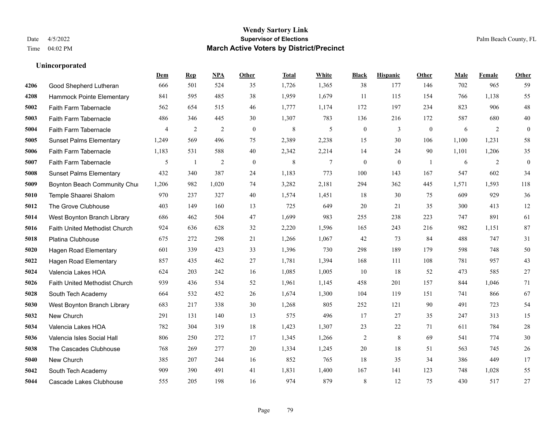|      |                                | Dem            | <b>Rep</b>   | NPA   | <b>Other</b> | <b>Total</b> | White  | <b>Black</b>     | <b>Hispanic</b> | Other          | <b>Male</b> | Female | <b>Other</b>     |
|------|--------------------------------|----------------|--------------|-------|--------------|--------------|--------|------------------|-----------------|----------------|-------------|--------|------------------|
| 4206 | Good Shepherd Lutheran         | 666            | 501          | 524   | 35           | 1,726        | 1,365  | 38               | 177             | 146            | 702         | 965    | 59               |
| 4208 | Hammock Pointe Elementary      | 841            | 595          | 485   | 38           | 1,959        | 1,679  | 11               | 115             | 154            | 766         | 1,138  | 55               |
| 5002 | Faith Farm Tabernacle          | 562            | 654          | 515   | 46           | 1,777        | 1,174  | 172              | 197             | 234            | 823         | 906    | $48\,$           |
| 5003 | Faith Farm Tabernacle          | 486            | 346          | 445   | 30           | 1,307        | 783    | 136              | 216             | 172            | 587         | 680    | $40\,$           |
| 5004 | Faith Farm Tabernacle          | $\overline{4}$ | 2            | 2     | $\theta$     | $\,$ 8 $\,$  | 5      | $\boldsymbol{0}$ | 3               | $\theta$       | 6           | 2      | $\mathbf{0}$     |
| 5005 | <b>Sunset Palms Elementary</b> | 1,249          | 569          | 496   | 75           | 2,389        | 2,238  | 15               | 30              | 106            | 1,100       | 1,231  | 58               |
| 5006 | Faith Farm Tabernacle          | 1,183          | 531          | 588   | 40           | 2,342        | 2,214  | 14               | 24              | 90             | 1,101       | 1,206  | 35               |
| 5007 | <b>Faith Farm Tabernacle</b>   | 5              | $\mathbf{1}$ | 2     | $\theta$     | 8            | $\tau$ | $\mathbf{0}$     | $\theta$        | $\overline{1}$ | 6           | 2      | $\boldsymbol{0}$ |
| 5008 | <b>Sunset Palms Elementary</b> | 432            | 340          | 387   | 24           | 1,183        | 773    | 100              | 143             | 167            | 547         | 602    | 34               |
| 5009 | Boynton Beach Community Chur   | 1,206          | 982          | 1,020 | 74           | 3,282        | 2,181  | 294              | 362             | 445            | 1,571       | 1,593  | 118              |
| 5010 | Temple Shaarei Shalom          | 970            | 237          | 327   | 40           | 1,574        | 1,451  | 18               | 30              | 75             | 609         | 929    | 36               |
| 5012 | The Grove Clubhouse            | 403            | 149          | 160   | 13           | 725          | 649    | 20               | 21              | 35             | 300         | 413    | 12               |
| 5014 | West Boynton Branch Library    | 686            | 462          | 504   | 47           | 1,699        | 983    | 255              | 238             | 223            | 747         | 891    | 61               |
| 5016 | Faith United Methodist Church  | 924            | 636          | 628   | 32           | 2,220        | 1,596  | 165              | 243             | 216            | 982         | 1,151  | 87               |
| 5018 | Platina Clubhouse              | 675            | 272          | 298   | 21           | 1,266        | 1,067  | 42               | 73              | 84             | 488         | 747    | 31               |
| 5020 | Hagen Road Elementary          | 601            | 339          | 423   | 33           | 1,396        | 730    | 298              | 189             | 179            | 598         | 748    | 50               |
| 5022 | <b>Hagen Road Elementary</b>   | 857            | 435          | 462   | 27           | 1,781        | 1,394  | 168              | 111             | 108            | 781         | 957    | 43               |
| 5024 | Valencia Lakes HOA             | 624            | 203          | 242   | 16           | 1,085        | 1,005  | 10               | 18              | 52             | 473         | 585    | $27\,$           |
| 5026 | Faith United Methodist Church  | 939            | 436          | 534   | 52           | 1,961        | 1,145  | 458              | 201             | 157            | 844         | 1,046  | 71               |
| 5028 | South Tech Academy             | 664            | 532          | 452   | 26           | 1,674        | 1,300  | 104              | 119             | 151            | 741         | 866    | 67               |
| 5030 | West Boynton Branch Library    | 683            | 217          | 338   | 30           | 1,268        | 805    | 252              | 121             | 90             | 491         | 723    | 54               |
| 5032 | New Church                     | 291            | 131          | 140   | 13           | 575          | 496    | 17               | 27              | 35             | 247         | 313    | 15               |
| 5034 | Valencia Lakes HOA             | 782            | 304          | 319   | 18           | 1,423        | 1,307  | 23               | $22\,$          | 71             | 611         | 784    | $28\,$           |
| 5036 | Valencia Isles Social Hall     | 806            | 250          | 272   | 17           | 1,345        | 1,266  | $\overline{c}$   | $\,$ 8 $\,$     | 69             | 541         | 774    | $30\,$           |
| 5038 | The Cascades Clubhouse         | 768            | 269          | 277   | 20           | 1,334        | 1,245  | 20               | 18              | 51             | 563         | 745    | $26\,$           |
| 5040 | New Church                     | 385            | 207          | 244   | 16           | 852          | 765    | 18               | 35              | 34             | 386         | 449    | 17               |
| 5042 | South Tech Academy             | 909            | 390          | 491   | 41           | 1,831        | 1,400  | 167              | 141             | 123            | 748         | 1,028  | 55               |
| 5044 | Cascade Lakes Clubhouse        | 555            | 205          | 198   | 16           | 974          | 879    | 8                | 12              | 75             | 430         | 517    | 27               |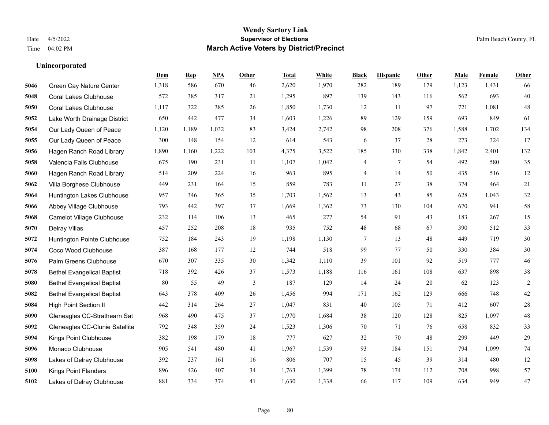**Unincorporated**

#### **Wendy Sartory Link** Date 4/5/2022 **Supervisor of Elections** Palm Beach County, FL Time 04:02 PM **March Active Voters by District/Precinct**

**Dem Rep NPA Other Total White Black Hispanic Other Male Female Other**

# Green Cay Nature Center 1,318 586 670 46 2,620 1,970 282 189 179 1,123 1,431 66 Coral Lakes Clubhouse 572 385 317 21 1,295 897 139 143 116 562 693 40 Coral Lakes Clubhouse 1,117 322 385 26 1,850 1,730 12 11 97 721 1,081 48 Lake Worth Drainage District 650 442 477 34 1,603 1,226 89 129 159 693 849 61 Our Lady Queen of Peace 1,120 1,189 1,032 83 3,424 2,742 98 208 376 1,588 1,702 134 Our Lady Queen of Peace 300 148 154 12 614 543 6 37 28 273 324 17 Hagen Ranch Road Library 1,890 1,160 1,222 103 4,375 3,522 185 330 338 1,842 2,401 132 Valencia Falls Clubhouse 675 190 231 11 1,107 1,042 4 7 54 492 580 35 Hagen Ranch Road Library 514 209 224 16 963 895 4 14 50 435 516 12 Villa Borghese Clubhouse 449 231 164 15 859 783 11 27 38 374 464 21 Huntington Lakes Clubhouse 957 346 365 35 1,703 1,562 13 43 85 628 1,043 32 Abbey Village Clubhouse 793 442 397 37 1,669 1,362 73 130 104 670 941 58 Camelot Village Clubhouse 232 114 106 13 465 277 54 91 43 183 267 15 Delray Villas 457 252 208 18 935 752 48 68 67 390 512 33 Huntington Pointe Clubhouse 752 184 243 19 1,198 1,130 7 13 48 449 719 30 Coco Wood Clubhouse 387 168 177 12 744 518 99 77 50 330 384 30 Palm Greens Clubhouse 670 307 335 30 1,342 1,110 39 101 92 519 777 46 Bethel Evangelical Baptist 718 392 426 37 1,573 1,188 116 161 108 637 898 38 Bethel Evangelical Baptist 80 55 49 3 187 129 14 24 20 62 123 2 Bethel Evangelical Baptist 643 378 409 26 1,456 994 171 162 129 666 748 42 High Point Section II 442 314 264 27 1,047 831 40 105 71 412 607 28 Gleneagles CC-Strathearn Sat 968 490 475 37 1,970 1,684 38 120 128 825 1,097 48 Gleneagles CC-Clunie Satellite 792 348 359 24 1,523 1,306 70 71 76 658 832 33 Kings Point Clubhouse 382 198 179 18 777 627 32 70 48 299 449 29 Monaco Clubhouse 905 541 480 41 1,967 1,539 93 184 151 794 1,099 74 Lakes of Delray Clubhouse 392 237 161 16 806 707 15 45 39 314 480 12

 Kings Point Flanders 896 426 407 34 1,763 1,399 78 174 112 708 998 57 Lakes of Delray Clubhouse 881 334 374 41 1,630 1,338 66 117 109 634 949 47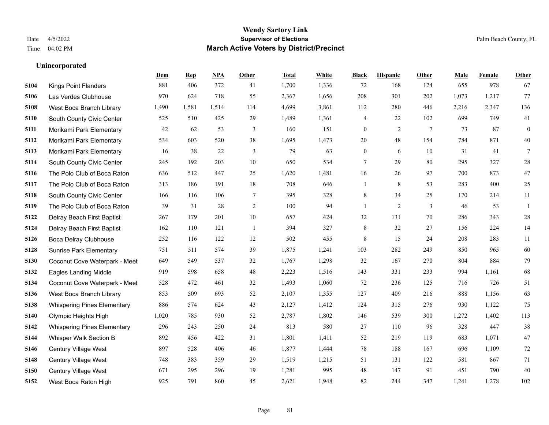**Unincorporated**

#### **Wendy Sartory Link** Date 4/5/2022 **Supervisor of Elections** Palm Beach County, FL Time 04:02 PM **March Active Voters by District/Precinct**

# **Dem Rep NPA Other Total White Black Hispanic Other Male Female Other** Kings Point Flanders 881 406 372 41 1,700 1,336 72 168 124 655 978 67 Las Verdes Clubhouse 970 624 718 55 2,367 1,656 208 301 202 1,073 1,217 77 West Boca Branch Library 1,490 1,581 1,514 114 4,699 3,861 112 280 446 2,216 2,347 136 South County Civic Center 525 510 425 29 1,489 1,361 4 22 102 699 749 41 Morikami Park Elementary 42 62 53 3 160 151 0 2 7 73 87 0 Morikami Park Elementary 534 603 520 38 1,695 1,473 20 48 154 784 871 40 Morikami Park Elementary 16 38 22 3 79 63 0 6 10 31 41 7 South County Civic Center 245 192 203 10 650 534 7 29 80 295 327 28 The Polo Club of Boca Raton 636 512 447 25 1,620 1,481 16 26 97 700 873 47 The Polo Club of Boca Raton 313 186 191 18 708 646 1 8 53 283 400 25 South County Civic Center 166 116 106 7 395 328 8 34 25 170 214 11 The Polo Club of Boca Raton 39 31 28 2 100 94 1 2 3 46 53 1 Delray Beach First Baptist 267 179 201 10 657 424 32 131 70 286 343 28 Delray Beach First Baptist 162 110 121 1 394 327 8 32 27 156 224 14 Boca Delray Clubhouse 252 116 122 12 502 455 8 15 24 208 283 11 Sunrise Park Elementary 751 511 574 39 1,875 1,241 103 282 249 850 965 60 Coconut Cove Waterpark - Meet 649 549 537 32 1,767 1,298 32 167 270 804 884 79 Eagles Landing Middle 919 598 658 48 2,223 1,516 143 331 233 994 1,161 68 Coconut Cove Waterpark - Meet 528 472 461 32 1,493 1,060 72 236 125 716 726 51 West Boca Branch Library 853 509 693 52 2,107 1,355 127 409 216 888 1,156 63 Whispering Pines Elementary 886 574 624 43 2,127 1,412 124 315 276 930 1,122 75 Olympic Heights High 1,020 785 930 52 2,787 1,802 146 539 300 1,272 1,402 113 Whispering Pines Elementary 296 243 250 24 813 580 27 110 96 328 447 38 Whisper Walk Section B 892 456 422 31 1,801 1,411 52 219 119 683 1,071 47 Century Village West 897 528 406 46 1,877 1,444 78 188 167 696 1,109 72 Century Village West 748 383 359 29 1,519 1,215 51 131 122 581 867 71 Century Village West 671 295 296 19 1,281 995 48 147 91 451 790 40 West Boca Raton High 925 791 860 45 2,621 1,948 82 244 347 1,241 1,278 102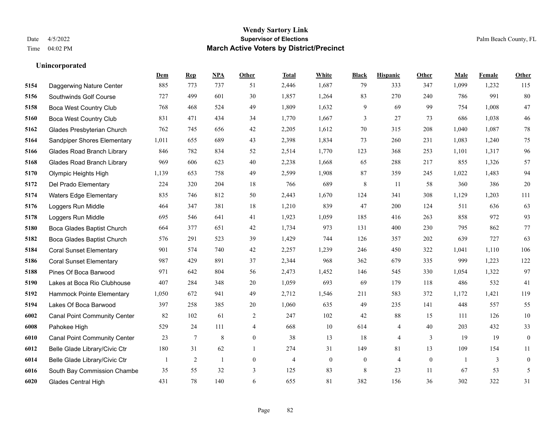|      |                                     | Dem   | <b>Rep</b>     | NPA     | <b>Other</b> | <b>Total</b> | <b>White</b> | <b>Black</b>     | <b>Hispanic</b> | Other        | <b>Male</b> | <b>Female</b> | <b>Other</b>     |
|------|-------------------------------------|-------|----------------|---------|--------------|--------------|--------------|------------------|-----------------|--------------|-------------|---------------|------------------|
| 5154 | Daggerwing Nature Center            | 885   | 773            | 737     | 51           | 2,446        | 1,687        | 79               | 333             | 347          | 1,099       | 1,232         | 115              |
| 5156 | Southwinds Golf Course              | 727   | 499            | 601     | 30           | 1,857        | 1,264        | 83               | 270             | 240          | 786         | 991           | 80               |
| 5158 | <b>Boca West Country Club</b>       | 768   | 468            | 524     | 49           | 1,809        | 1,632        | 9                | 69              | 99           | 754         | 1,008         | $47\,$           |
| 5160 | Boca West Country Club              | 831   | 471            | 434     | 34           | 1,770        | 1,667        | 3                | 27              | 73           | 686         | 1,038         | 46               |
| 5162 | Glades Presbyterian Church          | 762   | 745            | 656     | 42           | 2,205        | 1,612        | 70               | 315             | 208          | 1,040       | 1,087         | $78\,$           |
| 5164 | Sandpiper Shores Elementary         | 1,011 | 655            | 689     | 43           | 2,398        | 1,834        | 73               | 260             | 231          | 1,083       | 1,240         | $75\,$           |
| 5166 | <b>Glades Road Branch Library</b>   | 846   | 782            | 834     | 52           | 2,514        | 1,770        | 123              | 368             | 253          | 1,101       | 1,317         | 96               |
| 5168 | <b>Glades Road Branch Library</b>   | 969   | 606            | 623     | 40           | 2,238        | 1,668        | 65               | 288             | 217          | 855         | 1,326         | 57               |
| 5170 | Olympic Heights High                | 1,139 | 653            | 758     | 49           | 2,599        | 1,908        | 87               | 359             | 245          | 1,022       | 1,483         | 94               |
| 5172 | Del Prado Elementary                | 224   | 320            | 204     | $18\,$       | 766          | 689          | 8                | 11              | 58           | 360         | 386           | $20\,$           |
| 5174 | <b>Waters Edge Elementary</b>       | 835   | 746            | 812     | 50           | 2,443        | 1,670        | 124              | 341             | 308          | 1,129       | 1,203         | 111              |
| 5176 | Loggers Run Middle                  | 464   | 347            | 381     | 18           | 1,210        | 839          | 47               | 200             | 124          | 511         | 636           | 63               |
| 5178 | Loggers Run Middle                  | 695   | 546            | 641     | 41           | 1,923        | 1,059        | 185              | 416             | 263          | 858         | 972           | 93               |
| 5180 | Boca Glades Baptist Church          | 664   | 377            | 651     | 42           | 1,734        | 973          | 131              | 400             | 230          | 795         | 862           | 77               |
| 5182 | Boca Glades Baptist Church          | 576   | 291            | 523     | 39           | 1,429        | 744          | 126              | 357             | 202          | 639         | 727           | 63               |
| 5184 | <b>Coral Sunset Elementary</b>      | 901   | 574            | 740     | 42           | 2,257        | 1,239        | 246              | 450             | 322          | 1,041       | 1,110         | 106              |
| 5186 | <b>Coral Sunset Elementary</b>      | 987   | 429            | 891     | 37           | 2,344        | 968          | 362              | 679             | 335          | 999         | 1,223         | 122              |
| 5188 | Pines Of Boca Barwood               | 971   | 642            | 804     | 56           | 2,473        | 1,452        | 146              | 545             | 330          | 1,054       | 1,322         | 97               |
| 5190 | Lakes at Boca Rio Clubhouse         | 407   | 284            | 348     | $20\,$       | 1,059        | 693          | 69               | 179             | 118          | 486         | 532           | 41               |
| 5192 | Hammock Pointe Elementary           | 1,050 | 672            | 941     | 49           | 2,712        | 1,546        | 211              | 583             | 372          | 1,172       | 1,421         | 119              |
| 5194 | Lakes Of Boca Barwood               | 397   | 258            | 385     | 20           | 1,060        | 635          | 49               | 235             | 141          | 448         | 557           | 55               |
| 6002 | <b>Canal Point Community Center</b> | 82    | 102            | 61      | $\sqrt{2}$   | 247          | 102          | 42               | $88\,$          | 15           | 111         | 126           | $10\,$           |
| 6008 | Pahokee High                        | 529   | 24             | 111     | 4            | 668          | 10           | 614              | 4               | 40           | 203         | 432           | 33               |
| 6010 | <b>Canal Point Community Center</b> | 23    | $\tau$         | $\,8\,$ | $\mathbf{0}$ | 38           | 13           | 18               | 4               | 3            | 19          | 19            | $\overline{0}$   |
| 6012 | Belle Glade Library/Civic Ctr       | 180   | 31             | 62      | $\mathbf{1}$ | 274          | 31           | 149              | 81              | 13           | 109         | 154           | 11               |
| 6014 | Belle Glade Library/Civic Ctr       |       | $\overline{c}$ | 1       | $\mathbf{0}$ | 4            | $\mathbf{0}$ | $\boldsymbol{0}$ | 4               | $\mathbf{0}$ | -1          | 3             | $\boldsymbol{0}$ |
| 6016 | South Bay Commission Chambe         | 35    | 55             | 32      | 3            | 125          | 83           | 8                | 23              | 11           | 67          | 53            | 5                |
| 6020 | <b>Glades Central High</b>          | 431   | 78             | 140     | 6            | 655          | 81           | 382              | 156             | 36           | 302         | 322           | 31               |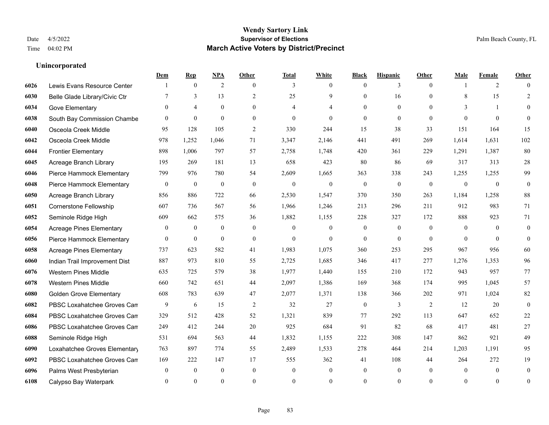|      |                                 | Dem            | <b>Rep</b>       | NPA              | <b>Other</b>   | <b>Total</b>   | <b>White</b>   | <b>Black</b>     | <b>Hispanic</b>  | <b>Other</b>   | <b>Male</b>    | <b>Female</b>  | <b>Other</b>     |
|------|---------------------------------|----------------|------------------|------------------|----------------|----------------|----------------|------------------|------------------|----------------|----------------|----------------|------------------|
| 6026 | Lewis Evans Resource Center     |                | $\mathbf{0}$     | 2                | $\theta$       | 3              | $\overline{0}$ | $\mathbf{0}$     | 3                | $\theta$       |                | 2              | $\Omega$         |
| 6030 | Belle Glade Library/Civic Ctr   | 7              | 3                | 13               | 2              | 25             | 9              | $\mathbf{0}$     | 16               | $\theta$       | 8              | 15             | $\overline{2}$   |
| 6034 | Gove Elementary                 | $\Omega$       | $\overline{4}$   | $\theta$         | $\Omega$       | $\overline{4}$ | 4              | $\theta$         | $\theta$         | $\Omega$       | $\mathcal{E}$  | $\overline{1}$ | $\Omega$         |
| 6038 | South Bay Commission Chambe     | $\mathbf{0}$   | $\mathbf{0}$     | $\mathbf{0}$     | $\overline{0}$ | $\mathbf{0}$   | $\overline{0}$ | $\mathbf{0}$     | $\mathbf{0}$     | $\mathbf{0}$   | $\theta$       | $\mathbf{0}$   | $\Omega$         |
| 6040 | Osceola Creek Middle            | 95             | 128              | 105              | 2              | 330            | 244            | 15               | 38               | 33             | 151            | 164            | 15               |
| 6042 | Osceola Creek Middle            | 978            | 1,252            | 1,046            | 71             | 3,347          | 2,146          | 441              | 491              | 269            | 1,614          | 1,631          | 102              |
| 6044 | <b>Frontier Elementary</b>      | 898            | 1,006            | 797              | 57             | 2,758          | 1,748          | 420              | 361              | 229            | 1,291          | 1,387          | 80               |
| 6045 | Acreage Branch Library          | 195            | 269              | 181              | 13             | 658            | 423            | 80               | 86               | 69             | 317            | 313            | $28\,$           |
| 6046 | Pierce Hammock Elementary       | 799            | 976              | 780              | 54             | 2,609          | 1,665          | 363              | 338              | 243            | 1,255          | 1,255          | 99               |
| 6048 | Pierce Hammock Elementary       | $\mathbf{0}$   | $\mathbf{0}$     | $\mathbf{0}$     | $\Omega$       | $\mathbf{0}$   | $\mathbf{0}$   | $\mathbf{0}$     | $\mathbf{0}$     | $\theta$       | $\overline{0}$ | $\mathbf{0}$   | $\mathbf{0}$     |
| 6050 | Acreage Branch Library          | 856            | 886              | 722              | 66             | 2,530          | 1,547          | 370              | 350              | 263            | 1,184          | 1,258          | 88               |
| 6051 | Cornerstone Fellowship          | 607            | 736              | 567              | 56             | 1,966          | 1,246          | 213              | 296              | 211            | 912            | 983            | 71               |
| 6052 | Seminole Ridge High             | 609            | 662              | 575              | 36             | 1,882          | 1,155          | 228              | 327              | 172            | 888            | 923            | 71               |
| 6054 | <b>Acreage Pines Elementary</b> | $\mathbf{0}$   | $\boldsymbol{0}$ | $\boldsymbol{0}$ | $\overline{0}$ | $\mathbf{0}$   | $\mathbf{0}$   | $\boldsymbol{0}$ | $\boldsymbol{0}$ | $\overline{0}$ | $\overline{0}$ | $\mathbf{0}$   | $\mathbf{0}$     |
| 6056 | Pierce Hammock Elementary       | $\overline{0}$ | $\mathbf{0}$     | $\mathbf{0}$     | $\overline{0}$ | $\mathbf{0}$   | $\overline{0}$ | $\mathbf{0}$     | $\mathbf{0}$     | $\theta$       | $\theta$       | $\theta$       | $\mathbf{0}$     |
| 6058 | <b>Acreage Pines Elementary</b> | 737            | 623              | 582              | 41             | 1,983          | 1,075          | 360              | 253              | 295            | 967            | 956            | 60               |
| 6060 | Indian Trail Improvement Dist   | 887            | 973              | 810              | 55             | 2,725          | 1,685          | 346              | 417              | 277            | 1,276          | 1.353          | 96               |
| 6076 | <b>Western Pines Middle</b>     | 635            | 725              | 579              | 38             | 1,977          | 1,440          | 155              | 210              | 172            | 943            | 957            | 77               |
| 6078 | <b>Western Pines Middle</b>     | 660            | 742              | 651              | 44             | 2,097          | 1,386          | 169              | 368              | 174            | 995            | 1,045          | 57               |
| 6080 | <b>Golden Grove Elementary</b>  | 608            | 783              | 639              | 47             | 2,077          | 1,371          | 138              | 366              | 202            | 971            | 1,024          | 82               |
| 6082 | PBSC Loxahatchee Groves Can     | 9              | 6                | 15               | $\overline{2}$ | 32             | 27             | $\mathbf{0}$     | 3                | 2              | 12             | 20             | $\theta$         |
| 6084 | PBSC Loxahatchee Groves Can     | 329            | 512              | 428              | 52             | 1,321          | 839            | 77               | 292              | 113            | 647            | 652            | 22               |
| 6086 | PBSC Loxahatchee Groves Can     | 249            | 412              | 244              | 20             | 925            | 684            | 91               | 82               | 68             | 417            | 481            | 27               |
| 6088 | Seminole Ridge High             | 531            | 694              | 563              | 44             | 1,832          | 1,155          | 222              | 308              | 147            | 862            | 921            | 49               |
| 6090 | Loxahatchee Groves Elementary   | 763            | 897              | 774              | 55             | 2,489          | 1,533          | 278              | 464              | 214            | 1,203          | 1,191          | 95               |
| 6092 | PBSC Loxahatchee Groves Can     | 169            | 222              | 147              | 17             | 555            | 362            | 41               | 108              | 44             | 264            | 272            | 19               |
| 6096 | Palms West Presbyterian         | $\mathbf{0}$   | $\mathbf{0}$     | $\mathbf{0}$     | $\overline{0}$ | $\mathbf{0}$   | $\overline{0}$ | $\mathbf{0}$     | $\mathbf{0}$     | $\theta$       | $\theta$       | $\mathbf{0}$   | $\mathbf{0}$     |
| 6108 | Calypso Bay Waterpark           | $\theta$       | $\Omega$         | $\theta$         | $\Omega$       | $\Omega$       | $\Omega$       | $\theta$         | $\theta$         | $\theta$       | $\Omega$       | $\theta$       | $\boldsymbol{0}$ |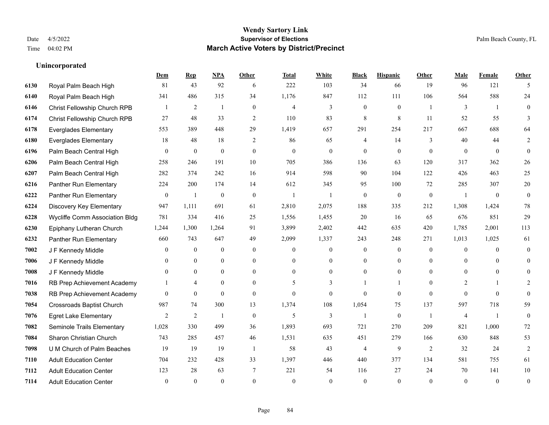|      |                                  | Dem            | <b>Rep</b>       | NPA              | <b>Other</b>   | <b>Total</b>   | <b>White</b>     | <b>Black</b>     | <b>Hispanic</b>  | <b>Other</b>   | <b>Male</b>    | Female         | <b>Other</b>     |
|------|----------------------------------|----------------|------------------|------------------|----------------|----------------|------------------|------------------|------------------|----------------|----------------|----------------|------------------|
| 6130 | Royal Palm Beach High            | 81             | 43               | 92               | 6              | 222            | 103              | 34               | 66               | 19             | 96             | 121            | 5                |
| 6140 | Royal Palm Beach High            | 341            | 486              | 315              | 34             | 1,176          | 847              | 112              | 111              | 106            | 564            | 588            | 24               |
| 6146 | Christ Fellowship Church RPB     |                | $\overline{2}$   | 1                | $\overline{0}$ | $\overline{4}$ | 3                | $\boldsymbol{0}$ | $\mathbf{0}$     | $\overline{1}$ | 3              | $\overline{1}$ | $\overline{0}$   |
| 6174 | Christ Fellowship Church RPB     | 27             | 48               | 33               | $\overline{2}$ | 110            | 83               | 8                | 8                | 11             | 52             | 55             | 3                |
| 6178 | <b>Everglades Elementary</b>     | 553            | 389              | 448              | 29             | 1,419          | 657              | 291              | 254              | 217            | 667            | 688            | 64               |
| 6180 | <b>Everglades Elementary</b>     | 18             | 48               | 18               | $\overline{2}$ | 86             | 65               | 4                | 14               | 3              | 40             | 44             | 2                |
| 6196 | Palm Beach Central High          | $\mathbf{0}$   | $\mathbf{0}$     | $\mathbf{0}$     | $\overline{0}$ | $\theta$       | $\overline{0}$   | $\mathbf{0}$     | $\mathbf{0}$     | $\overline{0}$ | $\theta$       | $\overline{0}$ | $\mathbf{0}$     |
| 6206 | Palm Beach Central High          | 258            | 246              | 191              | 10             | 705            | 386              | 136              | 63               | 120            | 317            | 362            | $26\,$           |
| 6207 | Palm Beach Central High          | 282            | 374              | 242              | 16             | 914            | 598              | 90               | 104              | 122            | 426            | 463            | 25               |
| 6216 | Panther Run Elementary           | 224            | 200              | 174              | 14             | 612            | 345              | 95               | 100              | 72             | 285            | 307            | $20\,$           |
| 6222 | Panther Run Elementary           | $\overline{0}$ | $\mathbf{1}$     | $\mathbf{0}$     | $\theta$       | $\overline{1}$ | $\mathbf{1}$     | $\mathbf{0}$     | $\mathbf{0}$     | $\theta$       | $\overline{1}$ | $\overline{0}$ | $\mathbf{0}$     |
| 6224 | Discovery Key Elementary         | 947            | 1,111            | 691              | 61             | 2,810          | 2,075            | 188              | 335              | 212            | 1,308          | 1,424          | $78\,$           |
| 6228 | Wycliffe Comm Association Bldg   | 781            | 334              | 416              | 25             | 1,556          | 1,455            | 20               | 16               | 65             | 676            | 851            | 29               |
| 6230 | Epiphany Lutheran Church         | 1,244          | 1,300            | 1,264            | 91             | 3,899          | 2,402            | 442              | 635              | 420            | 1,785          | 2,001          | 113              |
| 6232 | Panther Run Elementary           | 660            | 743              | 647              | 49             | 2,099          | 1,337            | 243              | 248              | 271            | 1,013          | 1,025          | 61               |
| 7002 | J F Kennedy Middle               | $\theta$       | $\boldsymbol{0}$ | $\boldsymbol{0}$ | $\overline{0}$ | $\mathbf{0}$   | $\boldsymbol{0}$ | $\mathbf{0}$     | $\mathbf{0}$     | $\theta$       | $\overline{0}$ | $\theta$       | $\mathbf{0}$     |
| 7006 | J F Kennedy Middle               | $\mathbf{0}$   | $\mathbf{0}$     | $\mathbf{0}$     | $\overline{0}$ | $\theta$       | $\overline{0}$   | $\overline{0}$   | $\mathbf{0}$     | $\theta$       | $\overline{0}$ | $\theta$       | $\theta$         |
| 7008 | J F Kennedy Middle               | $\theta$       | $\theta$         | $\mathbf{0}$     | $\theta$       | $\theta$       | $\theta$         | $\overline{0}$   | $\theta$         | $\Omega$       | $\Omega$       | $\theta$       | $\theta$         |
| 7016 | RB Prep Achievement Academy      |                | $\overline{4}$   | $\boldsymbol{0}$ | $\Omega$       | 5              | 3                |                  | 1                | $\Omega$       | $\overline{2}$ |                | 2                |
| 7038 | RB Prep Achievement Academy      | $\overline{0}$ | $\mathbf{0}$     | $\theta$         | $\theta$       | $\theta$       | $\overline{0}$   | $\theta$         | $\theta$         | $\theta$       | $\theta$       | $\theta$       | $\theta$         |
| 7054 | <b>Crossroads Baptist Church</b> | 987            | 74               | 300              | 13             | 1,374          | 108              | 1,054            | 75               | 137            | 597            | 718            | 59               |
| 7076 | <b>Egret Lake Elementary</b>     | $\overline{2}$ | $\sqrt{2}$       | $\overline{1}$   | $\mathbf{0}$   | 5              | 3                | $\mathbf{1}$     | $\boldsymbol{0}$ | -1             | $\overline{4}$ | -1             | $\boldsymbol{0}$ |
| 7082 | Seminole Trails Elementary       | 1,028          | 330              | 499              | 36             | 1,893          | 693              | 721              | 270              | 209            | 821            | 1,000          | 72               |
| 7084 | Sharon Christian Church          | 743            | 285              | 457              | 46             | 1,531          | 635              | 451              | 279              | 166            | 630            | 848            | 53               |
| 7098 | U M Church of Palm Beaches       | 19             | 19               | 19               | -1             | 58             | 43               | $\overline{4}$   | 9                | 2              | 32             | 24             | $\overline{2}$   |
| 7110 | <b>Adult Education Center</b>    | 704            | 232              | 428              | 33             | 1,397          | 446              | 440              | 377              | 134            | 581            | 755            | 61               |
| 7112 | <b>Adult Education Center</b>    | 123            | 28               | 63               | 7              | 221            | 54               | 116              | 27               | 24             | 70             | 141            | 10               |
| 7114 | <b>Adult Education Center</b>    | $\mathbf{0}$   | $\theta$         | $\theta$         | $\theta$       | $\theta$       | $\theta$         | $\theta$         | $\theta$         | $\Omega$       | $\Omega$       | $\theta$       | $\boldsymbol{0}$ |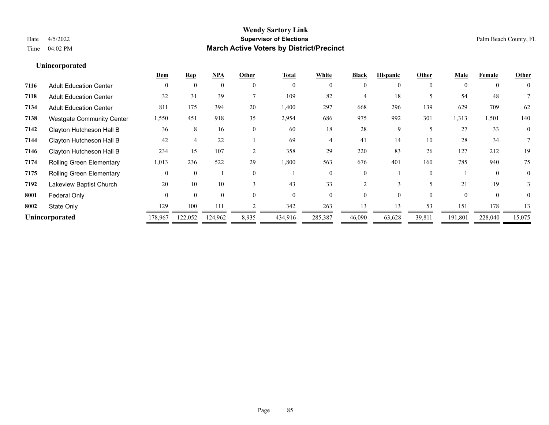# **Dem Rep NPA Other Total White Black Hispanic Other Male Female Other Unincorporated 7116** Adult Education Center 0 0 0 0 0 0 0 0 0 0 0 0 **7118** Adult Education Center 32 31 39 7 109 82 4 18 5 54 48 7 **7134** Adult Education Center 811 175 394 20 1,400 297 668 296 139 629 709 62 **7138** Westgate Community Center 1,550 451 918 35 2,954 686 975 992 301 1,313 1,501 140 **7142** Clayton Hutcheson Hall B 36 8 16 0 60 18 28 9 5 27 33 0 **7144** Clayton Hutcheson Hall B 42 4 22 1 69 4 41 14 10 28 34 7 **7146** Clayton Hutcheson Hall B 234 15 107 2 358 29 220 83 26 127 212 19 **7174** Rolling Green Elementary 1,013 236 522 29 1,800 563 676 401 160 785 940 75 **7175** Rolling Green Elementary 0 0 1 0 1 0 0 1 0 1 0 0 **7192** Lakeview Baptist Church 20 10 10 3 43 33 2 3 5 21 19 3 **8001 Federal Only 0 0 0 0 0 0 0 0 0** 0 **8002** State Only 129 100 111 2 342 263 13 13 53 151 178 13

**Unincorporated** 178,967 122,052 124,962 8,935 434,916 285,387 46,090 63,628 39,811 191,801 228,040 15,075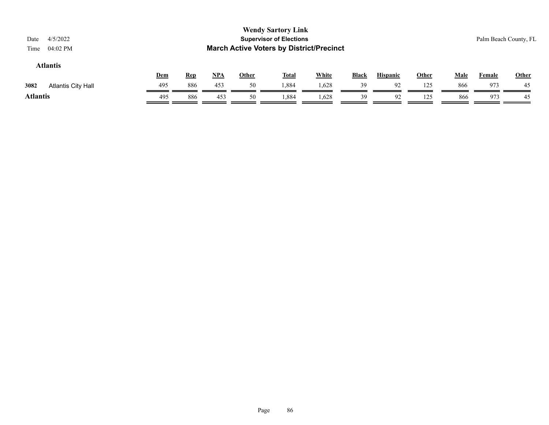| 4/5/2022<br>Date<br>04:02 PM<br>Time |     |            |            |              | <b>Wendy Sartory Link</b><br><b>Supervisor of Elections</b><br><b>March Active Voters by District/Precinct</b> |              |              |                 |              |             |               | Palm Beach County, FL |
|--------------------------------------|-----|------------|------------|--------------|----------------------------------------------------------------------------------------------------------------|--------------|--------------|-----------------|--------------|-------------|---------------|-----------------------|
| <b>Atlantis</b>                      | Dem | <b>Rep</b> | <u>NPA</u> | <u>Other</u> | <b>Total</b>                                                                                                   | <b>White</b> | <b>Black</b> | <b>Hispanic</b> | <b>Other</b> | <b>Male</b> | <b>Female</b> | Other                 |
| 3082<br><b>Atlantis City Hall</b>    | 495 | 886        | 453        | 50           | 1,884                                                                                                          | 1,628        | 39           | 92              | 125          | 866         | 973           | 45                    |
| <b>Atlantis</b>                      | 495 | 886        | 453        | 50           | 1,884                                                                                                          | 1,628        | 39           | 92              | 125          | 866         | 973           | 45                    |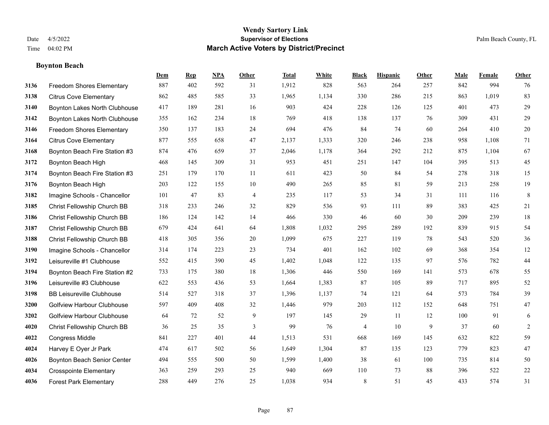# **Boynton Beach**

|      |                                   | Dem | <b>Rep</b> | NPA | <b>Other</b>   | <b>Total</b> | <b>White</b> | <b>Black</b> | <b>Hispanic</b> | <b>Other</b> | <b>Male</b> | <b>Female</b> | <b>Other</b>   |
|------|-----------------------------------|-----|------------|-----|----------------|--------------|--------------|--------------|-----------------|--------------|-------------|---------------|----------------|
| 3136 | <b>Freedom Shores Elementary</b>  | 887 | 402        | 592 | 31             | 1,912        | 828          | 563          | 264             | 257          | 842         | 994           | 76             |
| 3138 | <b>Citrus Cove Elementary</b>     | 862 | 485        | 585 | 33             | 1,965        | 1,134        | 330          | 286             | 215          | 863         | 1,019         | 83             |
| 3140 | Boynton Lakes North Clubhouse     | 417 | 189        | 281 | 16             | 903          | 424          | 228          | 126             | 125          | 401         | 473           | 29             |
| 3142 | Boynton Lakes North Clubhouse     | 355 | 162        | 234 | 18             | 769          | 418          | 138          | 137             | 76           | 309         | 431           | 29             |
| 3146 | <b>Freedom Shores Elementary</b>  | 350 | 137        | 183 | 24             | 694          | 476          | 84           | 74              | 60           | 264         | 410           | $20\,$         |
| 3164 | <b>Citrus Cove Elementary</b>     | 877 | 555        | 658 | 47             | 2,137        | 1,333        | 320          | 246             | 238          | 958         | 1,108         | 71             |
| 3168 | Boynton Beach Fire Station #3     | 874 | 476        | 659 | 37             | 2,046        | 1,178        | 364          | 292             | 212          | 875         | 1,104         | 67             |
| 3172 | Boynton Beach High                | 468 | 145        | 309 | 31             | 953          | 451          | 251          | 147             | 104          | 395         | 513           | 45             |
| 3174 | Boynton Beach Fire Station #3     | 251 | 179        | 170 | 11             | 611          | 423          | 50           | 84              | 54           | 278         | 318           | 15             |
| 3176 | Boynton Beach High                | 203 | 122        | 155 | $10\,$         | 490          | 265          | 85           | 81              | 59           | 213         | 258           | $19\,$         |
| 3182 | Imagine Schools - Chancellor      | 101 | 47         | 83  | $\overline{4}$ | 235          | 117          | 53           | 34              | 31           | 111         | 116           | $\,8\,$        |
| 3185 | Christ Fellowship Church BB       | 318 | 233        | 246 | 32             | 829          | 536          | 93           | 111             | 89           | 383         | 425           | 21             |
| 3186 | Christ Fellowship Church BB       | 186 | 124        | 142 | 14             | 466          | 330          | 46           | 60              | 30           | 209         | 239           | $18\,$         |
| 3187 | Christ Fellowship Church BB       | 679 | 424        | 641 | 64             | 1,808        | 1,032        | 295          | 289             | 192          | 839         | 915           | 54             |
| 3188 | Christ Fellowship Church BB       | 418 | 305        | 356 | 20             | 1,099        | 675          | 227          | 119             | 78           | 543         | 520           | 36             |
| 3190 | Imagine Schools - Chancellor      | 314 | 174        | 223 | 23             | 734          | 401          | 162          | 102             | 69           | 368         | 354           | 12             |
| 3192 | Leisureville #1 Clubhouse         | 552 | 415        | 390 | 45             | 1,402        | 1,048        | 122          | 135             | 97           | 576         | 782           | 44             |
| 3194 | Boynton Beach Fire Station #2     | 733 | 175        | 380 | 18             | 1,306        | 446          | 550          | 169             | 141          | 573         | 678           | 55             |
| 3196 | Leisureville #3 Clubhouse         | 622 | 553        | 436 | 53             | 1,664        | 1,383        | 87           | 105             | 89           | 717         | 895           | 52             |
| 3198 | <b>BB Leisureville Clubhouse</b>  | 514 | 527        | 318 | 37             | 1,396        | 1,137        | 74           | 121             | 64           | 573         | 784           | 39             |
| 3200 | <b>Golfview Harbour Clubhouse</b> | 597 | 409        | 408 | 32             | 1,446        | 979          | 203          | 112             | 152          | 648         | 751           | 47             |
| 3202 | <b>Golfview Harbour Clubhouse</b> | 64  | 72         | 52  | 9              | 197          | 145          | 29           | 11              | 12           | 100         | 91            | 6              |
| 4020 | Christ Fellowship Church BB       | 36  | 25         | 35  | 3              | 99           | 76           | 4            | 10              | 9            | 37          | 60            | $\overline{2}$ |
| 4022 | <b>Congress Middle</b>            | 841 | 227        | 401 | 44             | 1,513        | 531          | 668          | 169             | 145          | 632         | 822           | 59             |
| 4024 | Harvey E Oyer Jr Park             | 474 | 617        | 502 | 56             | 1,649        | 1,304        | 87           | 135             | 123          | 779         | 823           | 47             |
| 4026 | Boynton Beach Senior Center       | 494 | 555        | 500 | 50             | 1,599        | 1,400        | 38           | 61              | 100          | 735         | 814           | 50             |
| 4034 | <b>Crosspointe Elementary</b>     | 363 | 259        | 293 | 25             | 940          | 669          | 110          | 73              | 88           | 396         | 522           | 22             |
| 4036 | <b>Forest Park Elementary</b>     | 288 | 449        | 276 | 25             | 1,038        | 934          | $\,$ 8 $\,$  | 51              | 45           | 433         | 574           | 31             |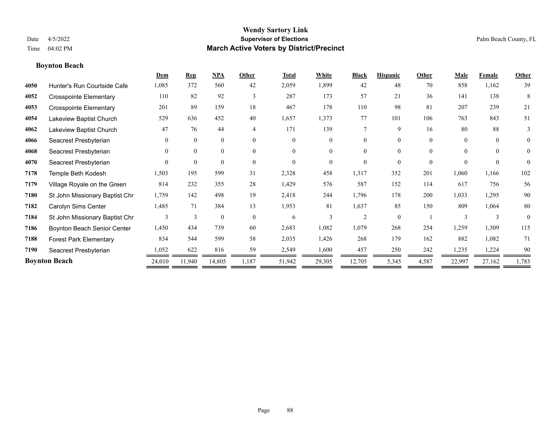**Boynton Beach**

#### **Wendy Sartory Link** Date 4/5/2022 **Supervisor of Elections** Palm Beach County, FL Time 04:02 PM **March Active Voters by District/Precinct**

# **Dem Rep NPA Other Total White Black Hispanic Other Male Female Other** Hunter's Run Courtside Cafe 1,085 372 560 42 2,059 1,899 42 48 70 858 1,162 39 Crosspointe Elementary 110 82 92 3 287 173 57 21 36 141 138 8 Crosspointe Elementary 201 89 159 18 467 178 110 98 81 207 239 21 Lakeview Baptist Church 529 636 452 40 1,657 1,373 77 101 106 763 843 51 Lakeview Baptist Church 47 76 44 4 171 139 7 9 16 80 88 3 Seacrest Presbyterian 0 0 0 0 0 0 0 0 0 0 0 0 Seacrest Presbyterian 0 0 0 0 0 0 0 0 0 0 0 0 Seacrest Presbyterian 0 0 0 0 0 0 0 0 0 0 0 0 Temple Beth Kodesh 1,503 195 599 31 2,328 458 1,317 352 201 1,060 1,166 102 Village Royale on the Green 814 232 355 28 1,429 576 587 152 114 617 756 56 St John Missionary Baptist Chr 1,759 142 498 19 2,418 244 1,796 178 200 1,033 1,295 90 Carolyn Sims Center 1,485 71 384 13 1,953 81 1,637 85 150 809 1,064 80 St John Missionary Baptist Chr 3 3 0 0 6 3 2 0 1 3 3 0 Boynton Beach Senior Center 1,450 434 739 60 2,683 1,082 1,079 268 254 1,259 1,309 115 Forest Park Elementary 834 544 599 58 2,035 1,426 268 179 162 882 1,082 71 Seacrest Presbyterian 1,052 622 816 59 2,549 1,600 457 250 242 1,235 1,224 90 **Boynton Beach** 24,010 11,940 14,805 1,187 51,942 29,305 12,705 5,345 4,587 22,997 27,162 1,783

—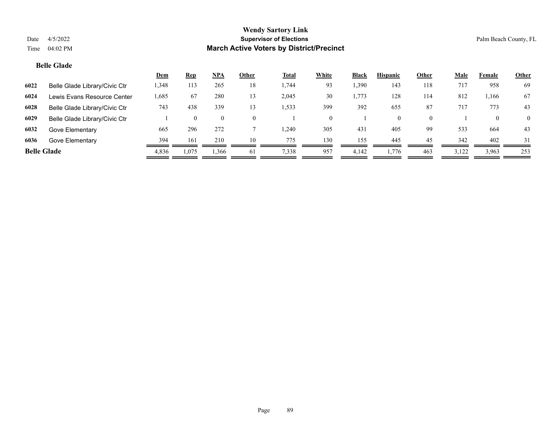# **Belle Glade**

|                    |                               | <u>Dem</u> | <b>Rep</b> | <b>NPA</b>     | Other    | <b>Total</b> | White | <b>Black</b> | <b>Hispanic</b> | Other    | Male  | Female | <b>Other</b>   |
|--------------------|-------------------------------|------------|------------|----------------|----------|--------------|-------|--------------|-----------------|----------|-------|--------|----------------|
| 6022               | Belle Glade Library/Civic Ctr | 1,348      | 113        | 265            | 18       | 1,744        | 93    | 1,390        | 143             | 118      | 717   | 958    | 69             |
| 6024               | Lewis Evans Resource Center   | .685       | 67         | 280            | 13       | 2,045        | 30    | 1,773        | 128             | 114      | 812   | 1.166  | 67             |
| 6028               | Belle Glade Library/Civic Ctr | 743        | 438        | 339            | 13       | .533         | 399   | 392          | 655             | 87       | 717   | 773    | 43             |
| 6029               | Belle Glade Library/Civic Ctr |            | $\theta$   | $\overline{0}$ | $\Omega$ |              |       |              | $\theta$        | $\Omega$ |       |        | $\overline{0}$ |
| 6032               | Gove Elementary               | 665        | 296        | 272            |          | .240         | 305   | 431          | 405             | 99       | 533   | 664    | 43             |
| 6036               | Gove Elementary               | 394        | 161        | 210            | 10       | 775          | 130   | 155          | 445             | 45       | 342   | 402    | 31             |
| <b>Belle Glade</b> |                               | 4,836      | 1,075      | 1,366          | 61       | 7,338        | 957   | 4.142        | 1.776           | 463      | 3,122 | 3,963  | 253            |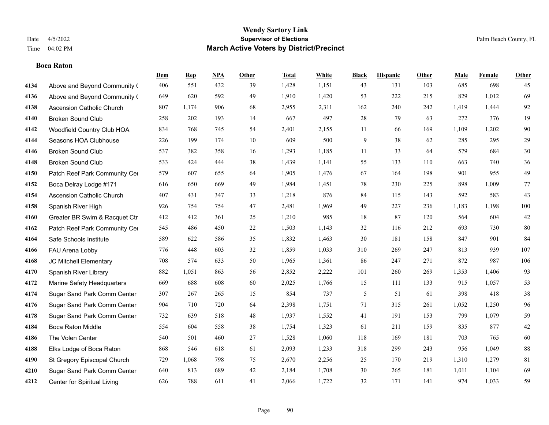#### **Boca Raton**

|      |                               | Dem | <b>Rep</b> | NPA | <b>Other</b> | <b>Total</b> | <b>White</b> | <b>Black</b>   | <b>Hispanic</b> | <b>Other</b> | <b>Male</b> | <b>Female</b> | <b>Other</b> |
|------|-------------------------------|-----|------------|-----|--------------|--------------|--------------|----------------|-----------------|--------------|-------------|---------------|--------------|
| 4134 | Above and Beyond Community (  | 406 | 551        | 432 | 39           | 1,428        | 1,151        | 43             | 131             | 103          | 685         | 698           | 45           |
| 4136 | Above and Beyond Community (  | 649 | 620        | 592 | 49           | 1,910        | 1,420        | 53             | 222             | 215          | 829         | 1,012         | 69           |
| 4138 | Ascension Catholic Church     | 807 | 1,174      | 906 | 68           | 2,955        | 2,311        | 162            | 240             | 242          | 1,419       | 1,444         | 92           |
| 4140 | <b>Broken Sound Club</b>      | 258 | 202        | 193 | 14           | 667          | 497          | $28\,$         | 79              | 63           | 272         | 376           | 19           |
| 4142 | Woodfield Country Club HOA    | 834 | 768        | 745 | 54           | 2,401        | 2,155        | 11             | 66              | 169          | 1,109       | 1,202         | 90           |
| 4144 | Seasons HOA Clubhouse         | 226 | 199        | 174 | 10           | 609          | 500          | 9              | 38              | 62           | 285         | 295           | $29\,$       |
| 4146 | <b>Broken Sound Club</b>      | 537 | 382        | 358 | 16           | 1,293        | 1,185        | 11             | 33              | 64           | 579         | 684           | 30           |
| 4148 | <b>Broken Sound Club</b>      | 533 | 424        | 444 | 38           | 1,439        | 1,141        | 55             | 133             | 110          | 663         | 740           | 36           |
| 4150 | Patch Reef Park Community Cer | 579 | 607        | 655 | 64           | 1,905        | 1,476        | 67             | 164             | 198          | 901         | 955           | 49           |
| 4152 | Boca Delray Lodge #171        | 616 | 650        | 669 | 49           | 1,984        | 1,451        | 78             | 230             | 225          | 898         | 1,009         | 77           |
| 4154 | Ascension Catholic Church     | 407 | 431        | 347 | 33           | 1,218        | 876          | 84             | 115             | 143          | 592         | 583           | 43           |
| 4158 | Spanish River High            | 926 | 754        | 754 | 47           | 2,481        | 1,969        | 49             | 227             | 236          | 1,183       | 1,198         | 100          |
| 4160 | Greater BR Swim & Racquet Ctr | 412 | 412        | 361 | 25           | 1,210        | 985          | 18             | 87              | 120          | 564         | 604           | $42\,$       |
| 4162 | Patch Reef Park Community Cer | 545 | 486        | 450 | $22\,$       | 1,503        | 1,143        | 32             | 116             | 212          | 693         | 730           | 80           |
| 4164 | Safe Schools Institute        | 589 | 622        | 586 | 35           | 1,832        | 1,463        | 30             | 181             | 158          | 847         | 901           | 84           |
| 4166 | FAU Arena Lobby               | 776 | 448        | 603 | 32           | 1,859        | 1,033        | 310            | 269             | 247          | 813         | 939           | 107          |
| 4168 | JC Mitchell Elementary        | 708 | 574        | 633 | 50           | 1,965        | 1,361        | 86             | 247             | 271          | 872         | 987           | 106          |
| 4170 | Spanish River Library         | 882 | 1,051      | 863 | 56           | 2,852        | 2,222        | 101            | 260             | 269          | 1,353       | 1,406         | 93           |
| 4172 | Marine Safety Headquarters    | 669 | 688        | 608 | 60           | 2,025        | 1,766        | 15             | 111             | 133          | 915         | 1,057         | 53           |
| 4174 | Sugar Sand Park Comm Center   | 307 | 267        | 265 | 15           | 854          | 737          | $\mathfrak{S}$ | 51              | 61           | 398         | 418           | $38\,$       |
| 4176 | Sugar Sand Park Comm Center   | 904 | 710        | 720 | 64           | 2,398        | 1,751        | 71             | 315             | 261          | 1,052       | 1,250         | 96           |
| 4178 | Sugar Sand Park Comm Center   | 732 | 639        | 518 | 48           | 1,937        | 1,552        | 41             | 191             | 153          | 799         | 1,079         | 59           |
| 4184 | <b>Boca Raton Middle</b>      | 554 | 604        | 558 | 38           | 1,754        | 1,323        | 61             | 211             | 159          | 835         | 877           | $42\,$       |
| 4186 | The Volen Center              | 540 | 501        | 460 | 27           | 1,528        | 1,060        | 118            | 169             | 181          | 703         | 765           | 60           |
| 4188 | Elks Lodge of Boca Raton      | 868 | 546        | 618 | 61           | 2,093        | 1,233        | 318            | 299             | 243          | 956         | 1.049         | $88\,$       |
| 4190 | St Gregory Episcopal Church   | 729 | 1,068      | 798 | 75           | 2,670        | 2,256        | 25             | 170             | 219          | 1,310       | 1,279         | 81           |
| 4210 | Sugar Sand Park Comm Center   | 640 | 813        | 689 | 42           | 2,184        | 1,708        | 30             | 265             | 181          | 1,011       | 1,104         | 69           |
| 4212 | Center for Spiritual Living   | 626 | 788        | 611 | 41           | 2,066        | 1,722        | 32             | 171             | 141          | 974         | 1,033         | 59           |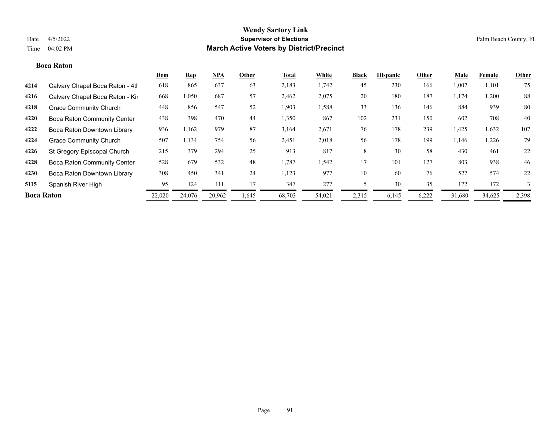#### **Boca Raton**

|                   |                                    | <u>Dem</u> | <b>Rep</b> | $NPA$  | Other | Total  | White  | <b>Black</b> | <b>Hispanic</b> | Other | <u>Male</u> | Female | Other |
|-------------------|------------------------------------|------------|------------|--------|-------|--------|--------|--------------|-----------------|-------|-------------|--------|-------|
| 4214              | Calvary Chapel Boca Raton - 4th    | 618        | 865        | 637    | 63    | 2,183  | 1,742  | 45           | 230             | 166   | 1,007       | 1,101  | 75    |
| 4216              | Calvary Chapel Boca Raton - Kir    | 668        | 1,050      | 687    | 57    | 2,462  | 2,075  | 20           | 180             | 187   | 1,174       | 1,200  | 88    |
| 4218              | <b>Grace Community Church</b>      | 448        | 856        | 547    | 52    | 1,903  | 1,588  | 33           | 136             | 146   | 884         | 939    | 80    |
| 4220              | <b>Boca Raton Community Center</b> | 438        | 398        | 470    | 44    | 1,350  | 867    | 102          | 231             | 150   | 602         | 708    | 40    |
| 4222              | Boca Raton Downtown Library        | 936        | 1,162      | 979    | 87    | 3,164  | 2,671  | 76           | 178             | 239   | 1,425       | 1,632  | 107   |
| 4224              | <b>Grace Community Church</b>      | 507        | 1,134      | 754    | 56    | 2,451  | 2,018  | 56           | 178             | 199   | 1,146       | 1,226  | 79    |
| 4226              | St Gregory Episcopal Church        | 215        | 379        | 294    | 25    | 913    | 817    | 8            | 30              | 58    | 430         | 461    | 22    |
| 4228              | <b>Boca Raton Community Center</b> | 528        | 679        | 532    | 48    | 1,787  | 1,542  | 17           | 101             | 127   | 803         | 938    | 46    |
| 4230              | Boca Raton Downtown Library        | 308        | 450        | 341    | 24    | 1,123  | 977    | 10           | 60              | 76    | 527         | 574    | 22    |
| 5115              | Spanish River High                 | 95         | 124        | 111    | 17    | 347    | 277    |              | 30              | 35    | 172         | 172    | 3     |
| <b>Boca Raton</b> |                                    | 22,020     | 24,076     | 20,962 | 1,645 | 68,703 | 54,021 | 2,315        | 6,145           | 6,222 | 31,680      | 34,625 | 2,398 |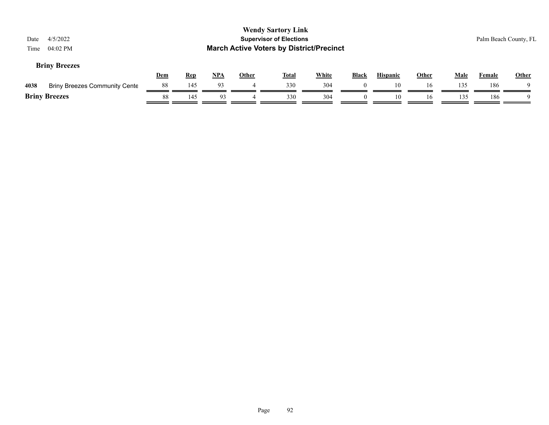| Date<br>Time         | 4/5/2022<br>04:02 PM                 |            |            |     |              | <b>Wendy Sartory Link</b><br><b>Supervisor of Elections</b><br><b>March Active Voters by District/Precinct</b> |              |          |                 |              |             | Palm Beach County, FL |              |
|----------------------|--------------------------------------|------------|------------|-----|--------------|----------------------------------------------------------------------------------------------------------------|--------------|----------|-----------------|--------------|-------------|-----------------------|--------------|
|                      | <b>Briny Breezes</b>                 | <u>Dem</u> | <b>Rep</b> | NPA | <b>Other</b> | <u>Total</u>                                                                                                   | <b>White</b> | Black    | <b>Hispanic</b> | <b>Other</b> | <b>Male</b> | Female                | <b>Other</b> |
| 4038                 | <b>Briny Breezes Community Cente</b> | 88         | 145        | 93  | 4            | 330                                                                                                            | 304          |          | 10              | 16           | 135         | 186                   |              |
| <b>Briny Breezes</b> |                                      | 88         | 145        | 93  |              | 330                                                                                                            | 304          | $\theta$ | 10              | 16           | 135         | 186                   |              |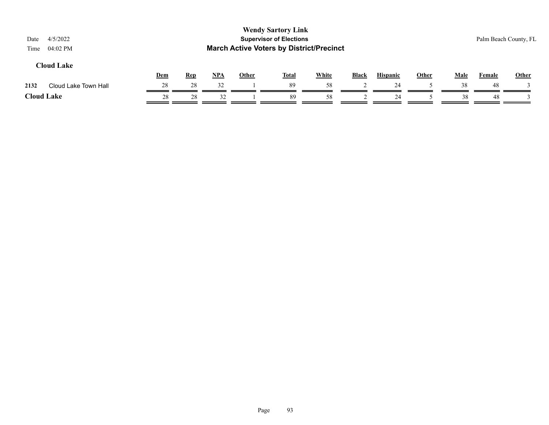|    |            |            |              |    |              |                                                             |                                                 |              |             | Palm Beach County, FL |       |
|----|------------|------------|--------------|----|--------------|-------------------------------------------------------------|-------------------------------------------------|--------------|-------------|-----------------------|-------|
|    |            |            | <b>Other</b> |    | <b>White</b> | Black                                                       | <b>Hispanic</b>                                 | <b>Other</b> | <b>Male</b> | <b>Female</b>         | Other |
| 28 | 28         | 32         |              | 89 | 58           |                                                             | 24                                              |              | 38          | 48                    |       |
| 28 | 28         | 32         |              | 89 | 58           |                                                             | 24                                              |              | 38          | 48                    |       |
|    | <b>Dem</b> | <b>Rep</b> | NPA          |    | <b>Total</b> | <b>Wendy Sartory Link</b><br><b>Supervisor of Elections</b> | <b>March Active Voters by District/Precinct</b> |              |             |                       |       |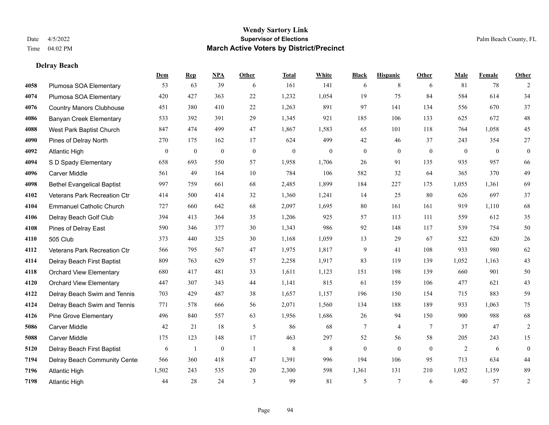# **Delray Beach**

|      |                                   | Dem      | <b>Rep</b>       | NPA          | <b>Other</b> | <b>Total</b>     | <b>White</b>     | <b>Black</b>     | <b>Hispanic</b> | <b>Other</b>   | <b>Male</b>    | Female         | <b>Other</b>     |
|------|-----------------------------------|----------|------------------|--------------|--------------|------------------|------------------|------------------|-----------------|----------------|----------------|----------------|------------------|
| 4058 | Plumosa SOA Elementary            | 53       | 63               | 39           | 6            | 161              | 141              | 6                | 8               | 6              | 81             | 78             | 2                |
| 4074 | Plumosa SOA Elementary            | 420      | 427              | 363          | 22           | 1,232            | 1,054            | 19               | 75              | 84             | 584            | 614            | 34               |
| 4076 | <b>Country Manors Clubhouse</b>   | 451      | 380              | 410          | 22           | 1,263            | 891              | 97               | 141             | 134            | 556            | 670            | 37               |
| 4086 | <b>Banyan Creek Elementary</b>    | 533      | 392              | 391          | 29           | 1,345            | 921              | 185              | 106             | 133            | 625            | 672            | $48\,$           |
| 4088 | West Park Baptist Church          | 847      | 474              | 499          | 47           | 1,867            | 1,583            | 65               | 101             | 118            | 764            | 1.058          | 45               |
| 4090 | Pines of Delray North             | 270      | 175              | 162          | 17           | 624              | 499              | 42               | 46              | 37             | 243            | 354            | 27               |
| 4092 | <b>Atlantic High</b>              | $\bf{0}$ | $\boldsymbol{0}$ | $\mathbf{0}$ | $\mathbf{0}$ | $\boldsymbol{0}$ | $\boldsymbol{0}$ | $\boldsymbol{0}$ | $\bf{0}$        | $\mathbf{0}$   | $\mathbf{0}$   | $\overline{0}$ | $\mathbf{0}$     |
| 4094 | S D Spady Elementary              | 658      | 693              | 550          | 57           | 1,958            | 1,706            | 26               | 91              | 135            | 935            | 957            | 66               |
| 4096 | <b>Carver Middle</b>              | 561      | 49               | 164          | 10           | 784              | 106              | 582              | 32              | 64             | 365            | 370            | 49               |
| 4098 | <b>Bethel Evangelical Baptist</b> | 997      | 759              | 661          | 68           | 2,485            | 1,899            | 184              | 227             | 175            | 1,055          | 1,361          | 69               |
| 4102 | Veterans Park Recreation Ctr      | 414      | 500              | 414          | 32           | 1,360            | 1,241            | 14               | 25              | 80             | 626            | 697            | $37\,$           |
| 4104 | <b>Emmanuel Catholic Church</b>   | 727      | 660              | 642          | 68           | 2,097            | 1,695            | 80               | 161             | 161            | 919            | 1,110          | 68               |
| 4106 | Delray Beach Golf Club            | 394      | 413              | 364          | 35           | 1,206            | 925              | 57               | 113             | 111            | 559            | 612            | 35               |
| 4108 | Pines of Delray East              | 590      | 346              | 377          | $30\,$       | 1,343            | 986              | 92               | 148             | 117            | 539            | 754            | $50\,$           |
| 4110 | 505 Club                          | 373      | 440              | 325          | 30           | 1,168            | 1,059            | 13               | 29              | 67             | 522            | 620            | $26\,$           |
| 4112 | Veterans Park Recreation Ctr      | 566      | 795              | 567          | 47           | 1,975            | 1,817            | 9                | 41              | 108            | 933            | 980            | 62               |
| 4114 | Delray Beach First Baptist        | 809      | 763              | 629          | 57           | 2,258            | 1,917            | 83               | 119             | 139            | 1,052          | 1,163          | 43               |
| 4118 | <b>Orchard View Elementary</b>    | 680      | 417              | 481          | 33           | 1,611            | 1,123            | 151              | 198             | 139            | 660            | 901            | 50               |
| 4120 | <b>Orchard View Elementary</b>    | 447      | 307              | 343          | 44           | 1,141            | 815              | 61               | 159             | 106            | 477            | 621            | 43               |
| 4122 | Delray Beach Swim and Tennis      | 703      | 429              | 487          | 38           | 1,657            | 1,157            | 196              | 150             | 154            | 715            | 883            | 59               |
| 4124 | Delray Beach Swim and Tennis      | 771      | 578              | 666          | 56           | 2,071            | 1,560            | 134              | 188             | 189            | 933            | 1,063          | 75               |
| 4126 | Pine Grove Elementary             | 496      | 840              | 557          | 63           | 1,956            | 1,686            | 26               | 94              | 150            | 900            | 988            | 68               |
| 5086 | <b>Carver Middle</b>              | 42       | 21               | 18           | 5            | 86               | 68               | 7                | 4               | $\overline{7}$ | 37             | 47             | $\overline{c}$   |
| 5088 | <b>Carver Middle</b>              | 175      | 123              | 148          | 17           | 463              | 297              | 52               | 56              | 58             | 205            | 243            | 15               |
| 5120 | Delray Beach First Baptist        | 6        | 1                | $\mathbf{0}$ | -1           | 8                | $\,$ 8 $\,$      | $\overline{0}$   | $\mathbf{0}$    | $\theta$       | $\overline{2}$ | 6              | $\boldsymbol{0}$ |
| 7194 | Delray Beach Community Cente      | 566      | 360              | 418          | 47           | 1,391            | 996              | 194              | 106             | 95             | 713            | 634            | 44               |
| 7196 | <b>Atlantic High</b>              | 1,502    | 243              | 535          | $20\,$       | 2,300            | 598              | 1,361            | 131             | 210            | 1,052          | 1,159          | 89               |
| 7198 | <b>Atlantic High</b>              | 44       | 28               | 24           | 3            | 99               | 81               | 5                | 7               | 6              | 40             | 57             | $\overline{c}$   |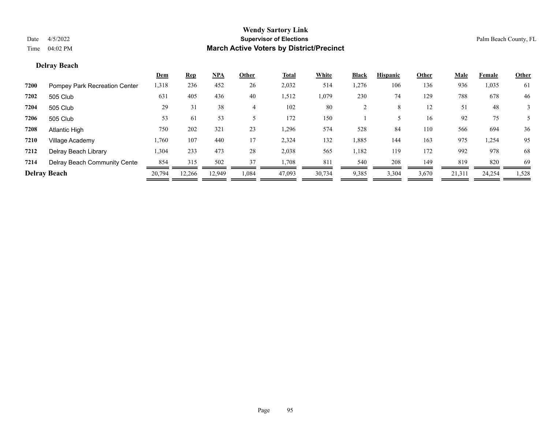# **Delray Beach**

|      |                               | <u>Dem</u> | <b>Rep</b> | <u>NPA</u> | Other  | <b>Total</b> | White  | <b>Black</b> | <b>Hispanic</b> | Other | <u>Male</u> | Female | <b>Other</b> |
|------|-------------------------------|------------|------------|------------|--------|--------------|--------|--------------|-----------------|-------|-------------|--------|--------------|
| 7200 | Pompey Park Recreation Center | 1,318      | 236        | 452        | 26     | 2,032        | 514    | 1,276        | 106             | 136   | 936         | 1,035  | 61           |
| 7202 | 505 Club                      | 631        | 405        | 436        | 40     | 1,512        | 1,079  | 230          | 74              | 129   | 788         | 678    | 46           |
| 7204 | 505 Club                      | 29         | 31         | 38         | 4      | 102          | 80     |              | 8               | 12    | 51          | 48     |              |
| 7206 | 505 Club                      | 53         | 61         | 53         |        | 172          | 150    |              |                 | 16    | 92          | 75     |              |
| 7208 | Atlantic High                 | 750        | 202        | 321        | 23     | 1,296        | 574    | 528          | 84              | 110   | 566         | 694    | 36           |
| 7210 | Village Academy               | 1,760      | 107        | 440        | 17     | 2,324        | 132    | 1,885        | 144             | 163   | 975         | 1,254  | 95           |
| 7212 | Delray Beach Library          | 1,304      | 233        | 473        | 28     | 2,038        | 565    | 1,182        | 119             | 172   | 992         | 978    | 68           |
| 7214 | Delray Beach Community Cente  | 854        | 315        | 502        | 37     | 1,708        | 811    | 540          | 208             | 149   | 819         | 820    | 69           |
|      | <b>Delray Beach</b>           | 20,794     | 12,266     | 12.949     | 084. ا | 47,093       | 30,734 | 9,385        | 3,304           | 3,670 | 21,311      | 24,254 | 1,528        |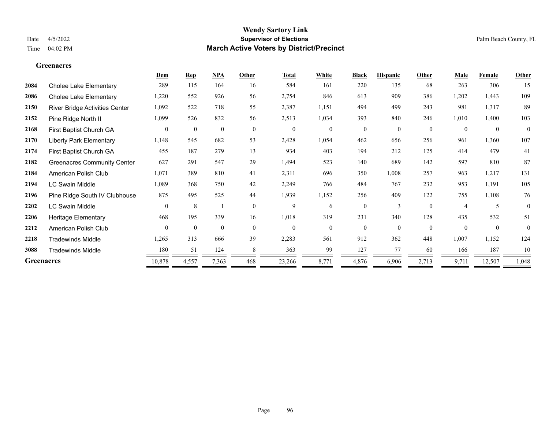#### **Greenacres**

|                   |                                    | Dem            | <b>Rep</b>       | NPA              | Other        | <b>Total</b>     | White        | <b>Black</b>     | <b>Hispanic</b> | Other          | Male     | Female       | Other    |
|-------------------|------------------------------------|----------------|------------------|------------------|--------------|------------------|--------------|------------------|-----------------|----------------|----------|--------------|----------|
| 2084              | Cholee Lake Elementary             | 289            | 115              | 164              | 16           | 584              | 161          | 220              | 135             | 68             | 263      | 306          | 15       |
| 2086              | <b>Cholee Lake Elementary</b>      | 1,220          | 552              | 926              | 56           | 2,754            | 846          | 613              | 909             | 386            | 1,202    | 1,443        | 109      |
| 2150              | River Bridge Activities Center     | 1,092          | 522              | 718              | 55           | 2,387            | 1,151        | 494              | 499             | 243            | 981      | 1,317        | 89       |
| 2152              | Pine Ridge North II                | 1,099          | 526              | 832              | 56           | 2,513            | 1,034        | 393              | 840             | 246            | 1,010    | 1,400        | 103      |
| 2168              | First Baptist Church GA            | $\overline{0}$ | $\boldsymbol{0}$ | $\boldsymbol{0}$ | $\mathbf{0}$ | $\boldsymbol{0}$ | $\mathbf{0}$ | $\boldsymbol{0}$ | $\overline{0}$  | $\overline{0}$ | $\theta$ | $\mathbf{0}$ | $\theta$ |
| 2170              | <b>Liberty Park Elementary</b>     | 1,148          | 545              | 682              | 53           | 2,428            | 1,054        | 462              | 656             | 256            | 961      | 1,360        | 107      |
| 2174              | First Baptist Church GA            | 455            | 187              | 279              | 13           | 934              | 403          | 194              | 212             | 125            | 414      | 479          | 41       |
| 2182              | <b>Greenacres Community Center</b> | 627            | 291              | 547              | 29           | 1,494            | 523          | 140              | 689             | 142            | 597      | 810          | 87       |
| 2184              | American Polish Club               | 1,071          | 389              | 810              | 41           | 2,311            | 696          | 350              | 1,008           | 257            | 963      | 1,217        | 131      |
| 2194              | <b>LC Swain Middle</b>             | 1,089          | 368              | 750              | 42           | 2,249            | 766          | 484              | 767             | 232            | 953      | 1,191        | 105      |
| 2196              | Pine Ridge South IV Clubhouse      | 875            | 495              | 525              | 44           | 1,939            | 1,152        | 256              | 409             | 122            | 755      | 1,108        | 76       |
| 2202              | <b>LC Swain Middle</b>             | $\theta$       | 8                |                  | $\theta$     | 9                | 6            | $\mathbf{0}$     | 3               | $\theta$       | 4        | 5            | $\theta$ |
| 2206              | Heritage Elementary                | 468            | 195              | 339              | 16           | 1,018            | 319          | 231              | 340             | 128            | 435      | 532          | 51       |
| 2212              | American Polish Club               | $\theta$       | $\mathbf{0}$     | $\mathbf{0}$     | $\theta$     | $\theta$         | $\theta$     | $\theta$         | $\theta$        | $\theta$       | $\theta$ | $\theta$     | $\theta$ |
| 2218              | <b>Tradewinds Middle</b>           | 1,265          | 313              | 666              | 39           | 2,283            | 561          | 912              | 362             | 448            | 1,007    | 1,152        | 124      |
| 3088              | <b>Tradewinds Middle</b>           | 180            | 51               | 124              | 8            | 363              | 99           | 127              | 77              | 60             | 166      | 187          | 10       |
| <b>Greenacres</b> |                                    | 10,878         | 4,557            | 7,363            | 468          | 23,266           | 8,771        | 4,876            | 6,906           | 2,713          | 9,711    | 12,507       | 1,048    |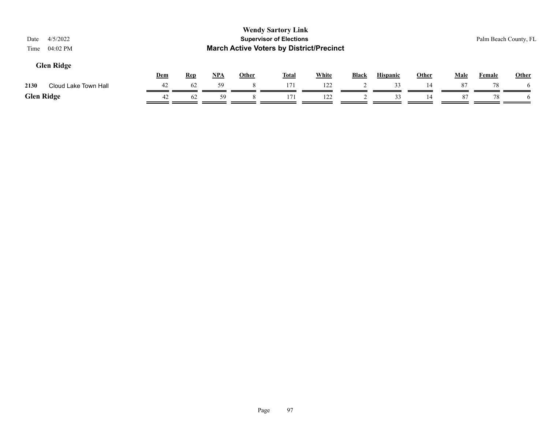| 4/5/2022<br>Date<br>04:02 PM<br>Time |     |            |     |              | <b>Wendy Sartory Link</b><br><b>Supervisor of Elections</b><br><b>March Active Voters by District/Precinct</b> |              |       |                 |              |             | Palm Beach County, FL |       |
|--------------------------------------|-----|------------|-----|--------------|----------------------------------------------------------------------------------------------------------------|--------------|-------|-----------------|--------------|-------------|-----------------------|-------|
| <b>Glen Ridge</b>                    | Dem | <b>Rep</b> | NPA | <b>Other</b> | <b>Total</b>                                                                                                   | <b>White</b> | Black | <b>Hispanic</b> | <b>Other</b> | <u>Male</u> | Female                | Other |
| 2130<br>Cloud Lake Town Hall         | 42  | 62         | 59  |              | 171                                                                                                            | 122          |       | 33              | 14           | 87          | 78                    |       |
| <b>Glen Ridge</b>                    | 42  | 62         | 59  |              | 171                                                                                                            | 122          |       | 33              | 14           | 87          | 78                    |       |
|                                      |     |            |     |              |                                                                                                                |              |       |                 |              |             |                       |       |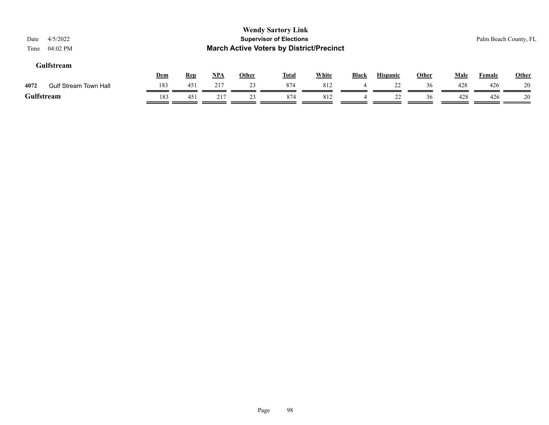| 4/5/2022<br>Date<br>$04:02$ PM<br>Time |     |            |     |              | <b>Wendy Sartory Link</b><br><b>Supervisor of Elections</b><br><b>March Active Voters by District/Precinct</b> |              |                |                 |              |             | Palm Beach County, FL |              |
|----------------------------------------|-----|------------|-----|--------------|----------------------------------------------------------------------------------------------------------------|--------------|----------------|-----------------|--------------|-------------|-----------------------|--------------|
| <b>Gulfstream</b>                      | Dem | <b>Rep</b> | NPA | <b>Other</b> | <b>Total</b>                                                                                                   | <b>White</b> | <b>Black</b>   | <b>Hispanic</b> | <b>Other</b> | <b>Male</b> | Female                | <b>Other</b> |
| 4072<br><b>Gulf Stream Town Hall</b>   | 183 | 451        | 217 | 23           | 874                                                                                                            | 812          | $\overline{4}$ | 22              | 36           | 428         | 426                   | 20           |
| Gulfstream                             | 183 | 451        | 217 | 23           | 874                                                                                                            | 812          | 4              | 22              | 36           | 428         | 426                   | 20           |
|                                        |     |            |     |              |                                                                                                                |              |                |                 |              |             |                       |              |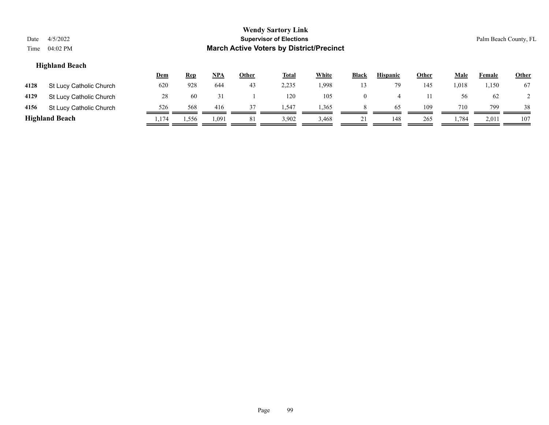| Date<br>Time | 4/5/2022<br>04:02 PM    |            |            |       |              | <b>Wendy Sartory Link</b><br><b>Supervisor of Elections</b><br><b>March Active Voters by District/Precinct</b> |              |                |                 |              |             |               | Palm Beach County, FL |
|--------------|-------------------------|------------|------------|-------|--------------|----------------------------------------------------------------------------------------------------------------|--------------|----------------|-----------------|--------------|-------------|---------------|-----------------------|
|              | <b>Highland Beach</b>   |            |            |       |              |                                                                                                                |              |                |                 |              |             |               |                       |
|              |                         | <u>Dem</u> | <b>Rep</b> | NPA   | <b>Other</b> | <b>Total</b>                                                                                                   | <b>White</b> | <b>Black</b>   | <b>Hispanic</b> | <b>Other</b> | <b>Male</b> | <b>Female</b> | <b>Other</b>          |
| 4128         | St Lucy Catholic Church | 620        | 928        | 644   | 43           | 2,235                                                                                                          | 1,998        | 13             | 79              | 145          | 1,018       | 1,150         | 67                    |
| 4129         | St Lucy Catholic Church | 28         | 60         | 31    |              | 120                                                                                                            | 105          | $\overline{0}$ | 4               | 11           | 56          | 62            |                       |
| 4156         | St Lucy Catholic Church | 526        | 568        | 416   | 37           | 1,547                                                                                                          | 1,365        | 8              | 65              | 109          | 710         | 799           | 38                    |
|              | <b>Highland Beach</b>   | 1.174      | 1,556      | 1,091 | 81           | 3,902                                                                                                          | 3,468        | 21             | 148             | 265          | 1,784       | 2,011         | 107                   |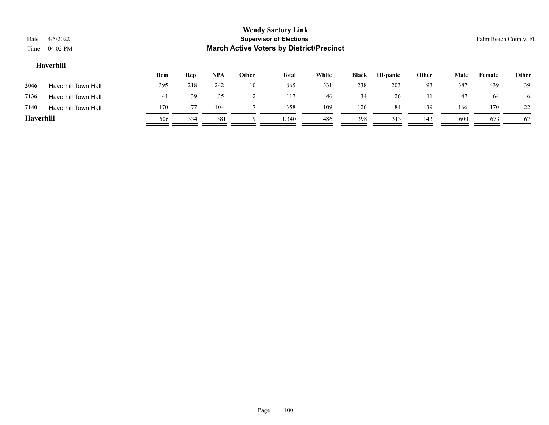| Date<br>Time | 4/5/2022<br>04:02 PM       |            |            |            |                | <b>Wendy Sartory Link</b><br><b>Supervisor of Elections</b><br><b>March Active Voters by District/Precinct</b> |              |              |                 |              |             |        | Palm Beach County, FL |
|--------------|----------------------------|------------|------------|------------|----------------|----------------------------------------------------------------------------------------------------------------|--------------|--------------|-----------------|--------------|-------------|--------|-----------------------|
|              | Haverhill                  | <u>Dem</u> | <u>Rep</u> | <u>NPA</u> | <b>Other</b>   | <b>Total</b>                                                                                                   | <b>White</b> | <b>Black</b> | <b>Hispanic</b> | <b>Other</b> | <b>Male</b> | Female | Other                 |
| 2046         | <b>Haverhill Town Hall</b> | 395        | 218        | 242        | 10             | 865                                                                                                            | 331          | 238          | 203             | 93           | 387         | 439    | 39                    |
| 7136         | <b>Haverhill Town Hall</b> | 41         | 39         | 35         | $\overline{c}$ | 117                                                                                                            | 46           | 34           | 26              | 11           | 47          | 64     | 6                     |
| 7140         | <b>Haverhill Town Hall</b> | 170        | 77         | 104        |                | 358                                                                                                            | 109          | 126          | 84              | 39           | 166         | 170    | 22                    |
| Haverhill    |                            | 606        | 334        | 381        | 19             | 1,340                                                                                                          | 486          | 398          | 313             | 143          | 600         | 673    | 67                    |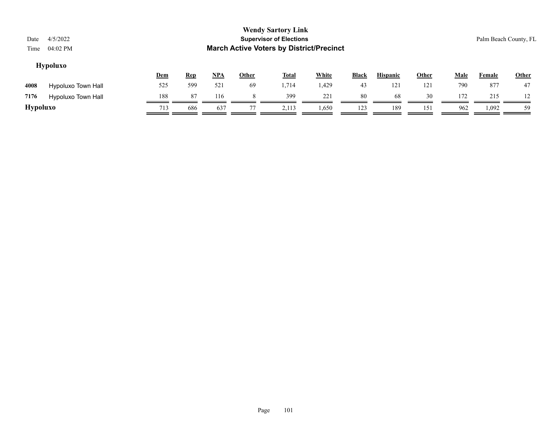| Date<br>Time    | 4/5/2022<br>04:02 PM |     |            |            |              | <b>Wendy Sartory Link</b><br><b>Supervisor of Elections</b><br><b>March Active Voters by District/Precinct</b> |              |              |                 |       |             | Palm Beach County, FL |       |
|-----------------|----------------------|-----|------------|------------|--------------|----------------------------------------------------------------------------------------------------------------|--------------|--------------|-----------------|-------|-------------|-----------------------|-------|
|                 | <b>Hypoluxo</b>      | Dem | <b>Rep</b> | <u>NPA</u> | <b>Other</b> | <b>Total</b>                                                                                                   | <b>White</b> | <b>Black</b> | <b>Hispanic</b> | Other | <b>Male</b> | <b>Female</b>         | Other |
| 4008            | Hypoluxo Town Hall   | 525 | 599        | 521        | 69           | 1,714                                                                                                          | 1,429        | 43           | 121             | 121   | 790         | 877                   | 47    |
| 7176            | Hypoluxo Town Hall   | 188 | 87         | 116        | 8            | 399                                                                                                            | 221          | 80           | 68              | 30    | 172         | 215                   | 12    |
| <b>Hypoluxo</b> |                      | 713 | 686        | 637        | 77           | 2,113                                                                                                          | 1,650        | 123          | 189             | 151   | 962         | 1,092                 | 59    |
|                 |                      |     |            |            |              |                                                                                                                |              |              |                 |       |             |                       |       |

#### Page 101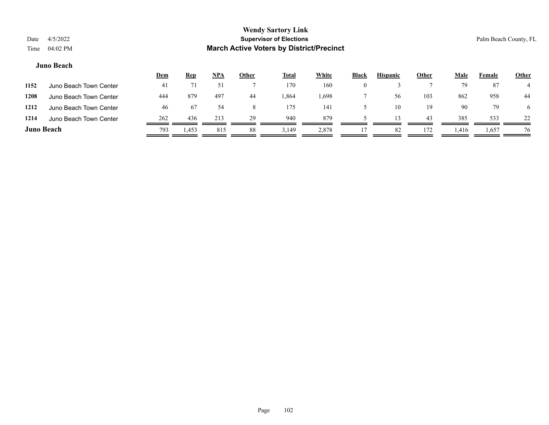#### **Juno Beach**

|                   |                        | <u>Dem</u> | <u>Rep</u> | <u>NPA</u> | <u>Other</u> | <u>Total</u> | <b>White</b> | <b>Black</b> | <b>Hispanic</b> | <b>Other</b> | Male  | Female | <b>Other</b> |
|-------------------|------------------------|------------|------------|------------|--------------|--------------|--------------|--------------|-----------------|--------------|-------|--------|--------------|
| 1152              | Juno Beach Town Center | -41        |            |            |              | 170          | 160          |              |                 |              | 79    | 87     |              |
| 1208              | Juno Beach Town Center | 444        | 879        | 497        | 44           | .864         | .698         |              | 56              | 103          | 862   | 958    | 44           |
| 1212              | Juno Beach Town Center | 46         | 67         | 54         |              | 175          | 141          |              | 10              | 19           | 90    | 79     | 6            |
| 1214              | Juno Beach Town Center | 262        | 436        | 213        | 29           | 940          | 879          |              | 13.             | 43           | 385   | 533    | 22           |
| <b>Juno Beach</b> |                        | 793        | 1,453      | 815        | 88           | 3,149        | 2,878        |              | 82              | 172          | 1,416 | 1,657  | 76           |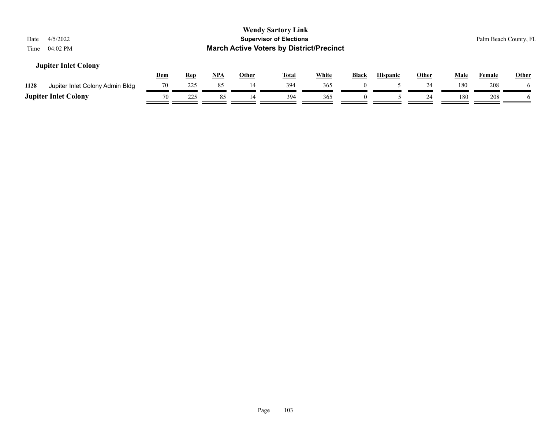| 4/5/2022<br>Date<br>04:02 PM<br>Time    |            |            |            |              | <b>Wendy Sartory Link</b><br><b>Supervisor of Elections</b><br><b>March Active Voters by District/Precinct</b> |              |              |                 |              |             |               | Palm Beach County, FL |
|-----------------------------------------|------------|------------|------------|--------------|----------------------------------------------------------------------------------------------------------------|--------------|--------------|-----------------|--------------|-------------|---------------|-----------------------|
| <b>Jupiter Inlet Colony</b>             | <u>Dem</u> | <u>Rep</u> | <u>NPA</u> | <b>Other</b> | <u>Total</u>                                                                                                   | <b>White</b> | <b>Black</b> | <b>Hispanic</b> | <b>Other</b> | <b>Male</b> | <b>Female</b> | <b>Other</b>          |
| 1128<br>Jupiter Inlet Colony Admin Bldg | 70         | 225        | 85         | 14           | 394                                                                                                            | 365          |              |                 | 24           | 180         | 208           |                       |
| <b>Jupiter Inlet Colony</b>             | 70         | 225        | 85         | 14           | 394                                                                                                            | 365          | $\theta$     |                 | 24           | 180         | 208           |                       |
|                                         |            |            |            |              |                                                                                                                |              |              |                 |              |             |               |                       |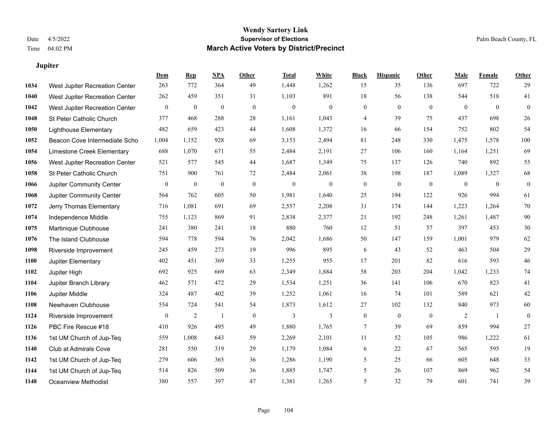**Jupiter**

# **Wendy Sartory Link** Date 4/5/2022 **Supervisor of Elections** Palm Beach County, FL Time 04:02 PM **March Active Voters by District/Precinct**

|      |                                | Dem          | <b>Rep</b>       | NPA              | Other        | <b>Total</b>     | White        | <b>Black</b>     | <b>Hispanic</b>  | Other          | Male         | Female       | <b>Other</b>     |
|------|--------------------------------|--------------|------------------|------------------|--------------|------------------|--------------|------------------|------------------|----------------|--------------|--------------|------------------|
| 1034 | West Jupiter Recreation Center | 263          | 772              | 364              | 49           | 1,448            | 1,262        | 15               | 35               | 136            | 697          | 722          | 29               |
| 1040 | West Jupiter Recreation Center | 262          | 459              | 351              | 31           | 1,103            | 891          | 18               | 56               | 138            | 544          | 518          | 41               |
| 1042 | West Jupiter Recreation Center | $\mathbf{0}$ | $\boldsymbol{0}$ | $\boldsymbol{0}$ | $\mathbf{0}$ | $\mathbf{0}$     | $\mathbf{0}$ | $\boldsymbol{0}$ | $\overline{0}$   | $\theta$       | $\mathbf{0}$ | $\theta$     | $\boldsymbol{0}$ |
| 1048 | St Peter Catholic Church       | 377          | 468              | 288              | 28           | 1,161            | 1,043        | 4                | 39               | 75             | 437          | 698          | 26               |
| 1050 | <b>Lighthouse Elementary</b>   | 482          | 659              | 423              | 44           | 1,608            | 1,372        | 16               | 66               | 154            | 752          | 802          | 54               |
| 1052 | Beacon Cove Intermediate Scho  | 1,004        | 1,152            | 928              | 69           | 3,153            | 2,494        | 81               | 248              | 330            | 1,475        | 1,578        | 100              |
| 1054 | Limestone Creek Elementary     | 688          | 1,070            | 671              | 55           | 2,484            | 2,191        | $27\,$           | 106              | 160            | 1,164        | 1,251        | 69               |
| 1056 | West Jupiter Recreation Center | 521          | 577              | 545              | 44           | 1,687            | 1,349        | 75               | 137              | 126            | 740          | 892          | 55               |
| 1058 | St Peter Catholic Church       | 751          | 900              | 761              | 72           | 2,484            | 2,061        | 38               | 198              | 187            | 1,089        | 1,327        | 68               |
| 1066 | Jupiter Community Center       | $\mathbf{0}$ | $\boldsymbol{0}$ | $\boldsymbol{0}$ | $\mathbf{0}$ | $\boldsymbol{0}$ | $\mathbf{0}$ | $\boldsymbol{0}$ | $\mathbf{0}$     | $\mathbf{0}$   | $\mathbf{0}$ | $\mathbf{0}$ | $\boldsymbol{0}$ |
| 1068 | Jupiter Community Center       | 564          | 762              | 605              | 50           | 1,981            | 1,640        | 25               | 194              | 122            | 926          | 994          | 61               |
| 1072 | Jerry Thomas Elementary        | 716          | 1,081            | 691              | 69           | 2,557            | 2,208        | 31               | 174              | 144            | 1,223        | 1,264        | 70               |
| 1074 | Independence Middle            | 755          | 1,123            | 869              | 91           | 2,838            | 2,377        | 21               | 192              | 248            | 1,261        | 1,487        | $90\,$           |
| 1075 | Martinique Clubhouse           | 241          | 380              | 241              | 18           | 880              | 760          | 12               | 51               | 57             | 397          | 453          | $30\,$           |
| 1076 | The Island Clubhouse           | 594          | 778              | 594              | 76           | 2,042            | 1,686        | 50               | 147              | 159            | 1,001        | 979          | 62               |
| 1098 | Riverside Improvement          | 245          | 459              | 273              | 19           | 996              | 895          | 6                | 43               | 52             | 463          | 504          | 29               |
| 1100 | Jupiter Elementary             | 402          | 451              | 369              | 33           | 1,255            | 955          | 17               | 201              | 82             | 616          | 593          | 46               |
| 1102 | Jupiter High                   | 692          | 925              | 669              | 63           | 2,349            | 1,884        | 58               | 203              | 204            | 1,042        | 1,233        | 74               |
| 1104 | Jupiter Branch Library         | 462          | 571              | 472              | 29           | 1,534            | 1,251        | 36               | 141              | 106            | 670          | 823          | 41               |
| 1106 | Jupiter Middle                 | 324          | 487              | 402              | 39           | 1,252            | 1,061        | 16               | 74               | 101            | 589          | 621          | $42\,$           |
| 1108 | Newhaven Clubhouse             | 554          | 724              | 541              | 54           | 1,873            | 1,612        | $27\,$           | 102              | 132            | 840          | 973          | $60\,$           |
| 1124 | Riverside Improvement          | $\mathbf{0}$ | $\overline{c}$   | -1               | $\mathbf{0}$ | 3                | 3            | $\boldsymbol{0}$ | $\boldsymbol{0}$ | $\overline{0}$ | 2            | -1           | $\boldsymbol{0}$ |
| 1126 | PBC Fire Rescue #18            | 410          | 926              | 495              | 49           | 1,880            | 1,765        | $\tau$           | 39               | 69             | 859          | 994          | 27               |
| 1136 | 1st UM Church of Jup-Teq       | 559          | 1,008            | 643              | 59           | 2,269            | 2,101        | 11               | 52               | 105            | 986          | 1,222        | 61               |
| 1140 | Club at Admirals Cove          | 281          | 550              | 319              | 29           | 1,179            | 1,084        | 6                | $22\,$           | 67             | 565          | 595          | 19               |
| 1142 | 1st UM Church of Jup-Teq       | 279          | 606              | 365              | 36           | 1,286            | 1,190        | 5                | 25               | 66             | 605          | 648          | 33               |
| 1144 | 1st UM Church of Jup-Teq       | 514          | 826              | 509              | 36           | 1,885            | 1,747        | 5                | 26               | 107            | 869          | 962          | 54               |
| 1148 | <b>Oceanview Methodist</b>     | 380          | 557              | 397              | 47           | 1,381            | 1,265        | 5                | 32               | 79             | 601          | 741          | 39               |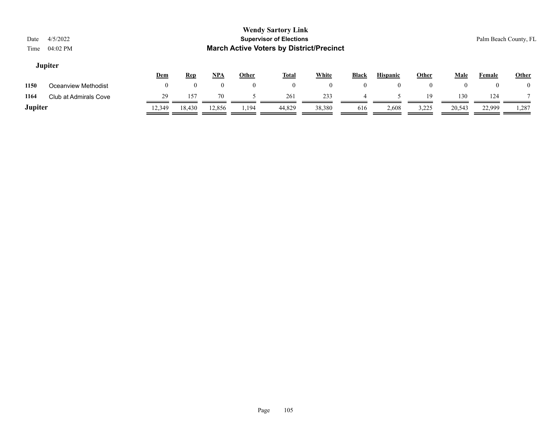|                         | <b>Wendy Sartory Link</b>                       |                       |
|-------------------------|-------------------------------------------------|-----------------------|
| 4/5/2022<br>Date        | <b>Supervisor of Elections</b>                  | Palm Beach County, FL |
| Time $04:02 \text{ PM}$ | <b>March Active Voters by District/Precinct</b> |                       |
| <b>Jupiter</b>          |                                                 |                       |

|         |                       | Dem    | <b>Rep</b> | <u>NPA</u> | Other | <b>Total</b> | White  | <b>Black</b> | <b>Hispanic</b> | Other | Male   | Female | <b>Other</b> |
|---------|-----------------------|--------|------------|------------|-------|--------------|--------|--------------|-----------------|-------|--------|--------|--------------|
| 1150    | Oceanview Methodist   |        |            |            |       |              |        |              |                 |       |        |        |              |
| 1164    | Club at Admirals Cove | 29     | 157        | 70         |       | 261          | 233    |              |                 | 1 Q   | 130    | 124    |              |
| Jupiter |                       | 12,349 | 18,430     | 12,856     | 1,194 | 44,829       | 38,380 | 616          | 2,608           | 3,225 | 20,543 | 22,999 | 1,287        |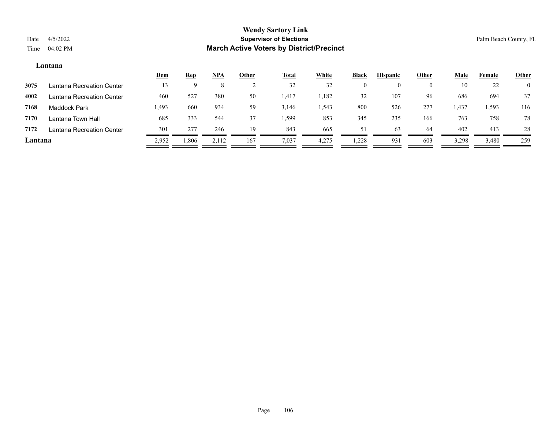#### **Lantana**

|         |                           | <u>Dem</u> | <b>Rep</b> | NPA   | <u>Other</u> | <u>Total</u> | White | <b>Black</b> | <b>Hispanic</b> | Other    | Male  | Female | <b>Other</b>   |
|---------|---------------------------|------------|------------|-------|--------------|--------------|-------|--------------|-----------------|----------|-------|--------|----------------|
| 3075    | Lantana Recreation Center | 13         |            |       |              | 32           | 32    |              |                 | $\theta$ | 10    | 22     | $\overline{0}$ |
| 4002    | Lantana Recreation Center | 460        | 527        | 380   | 50           | 1,417        | 1,182 | 32           | 107             | 96       | 686   | 694    | 37             |
| 7168    | <b>Maddock Park</b>       | 1,493      | 660        | 934   | 59           | 3,146        | 1,543 | 800          | 526             | 277      | 1,437 | 1,593  | 116            |
| 7170    | Lantana Town Hall         | 685        | 333        | 544   | 37           | .599         | 853   | 345          | 235             | 166      | 763   | 758    | 78             |
| 7172    | Lantana Recreation Center | 301        | 277        | 246   | 19           | 843          | 665   | 51           | 63              | 64       | 402   | 413    | 28             |
| Lantana |                           | 2,952      | .806       | 2,112 | 167          | 7,037        | 4,275 | .228         | 931             | 603      | 3,298 | 3,480  | 259            |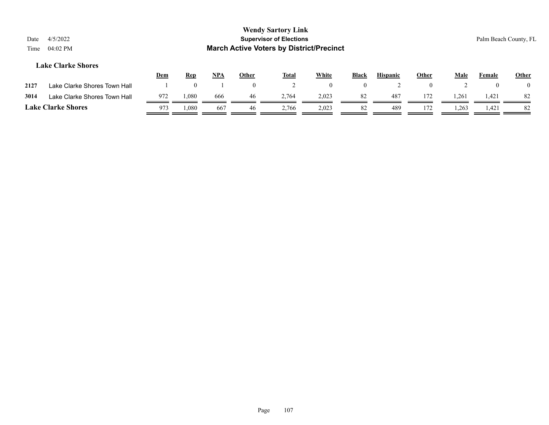| Date<br>Time | 4/5/2022<br>$04:02$ PM       |            |            |       |                | <b>Wendy Sartory Link</b><br><b>Supervisor of Elections</b><br><b>March Active Voters by District/Precinct</b> |          |              |                 |              |                |          | Palm Beach County, FL |
|--------------|------------------------------|------------|------------|-------|----------------|----------------------------------------------------------------------------------------------------------------|----------|--------------|-----------------|--------------|----------------|----------|-----------------------|
|              | <b>Lake Clarke Shores</b>    | <b>Dem</b> | <b>Rep</b> | $NPA$ | Other          | <u>Total</u>                                                                                                   | White    | <b>Black</b> | <b>Hispanic</b> | <b>Other</b> | Male           | Female   | <b>Other</b>          |
| 2127         | Lake Clarke Shores Town Hall |            | 0          |       | $\overline{0}$ |                                                                                                                | $\theta$ | $\theta$     |                 | $\Omega$     | $\overline{2}$ | $\left($ |                       |
| 3014         | Lake Clarke Shores Town Hall | 972        | 1,080      | 666   | 46             | 2.764                                                                                                          | 2,023    | 82           | 487             | 172          | 1,261          | 1,421    | -82                   |
|              | <b>Lake Clarke Shores</b>    | 973        | 080,       | 667   | 46             | 2,766                                                                                                          | 2,023    | 82           | 489             | 172          | 1,263          | 1,421    | 82                    |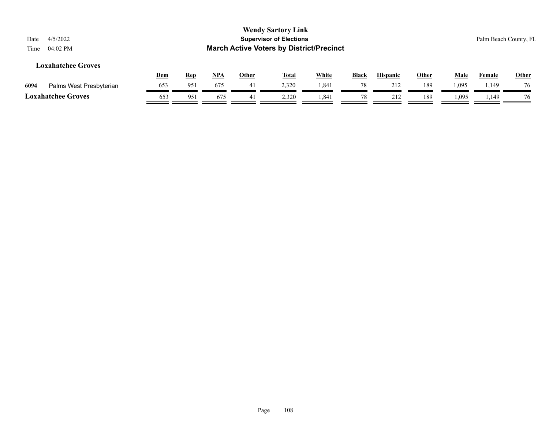| Date<br>Time | 4/5/2022<br>04:02 PM      |            |            |            |              | <b>Wendy Sartory Link</b><br><b>Supervisor of Elections</b><br><b>March Active Voters by District/Precinct</b> |              |              |                 |       |      |        | Palm Beach County, FL |
|--------------|---------------------------|------------|------------|------------|--------------|----------------------------------------------------------------------------------------------------------------|--------------|--------------|-----------------|-------|------|--------|-----------------------|
|              | <b>Loxahatchee Groves</b> | <u>Dem</u> | <b>Rep</b> | <u>NPA</u> | <b>Other</b> | <u>Total</u>                                                                                                   | <b>White</b> | <b>Black</b> | <b>Hispanic</b> | Other | Male | Female | <b>Other</b>          |
| 6094         | Palms West Presbyterian   | 653        | 951        | 675        | 41           | 2,320                                                                                                          | 1,841        | 78           | 212             | 189   | .095 | 1,149  | 76                    |
|              | <b>Loxahatchee Groves</b> | 653        | 951        | 675        | 41           | 2,320                                                                                                          | 1,841        | 78           | 212             | 189   | .095 | 1,149  | 76                    |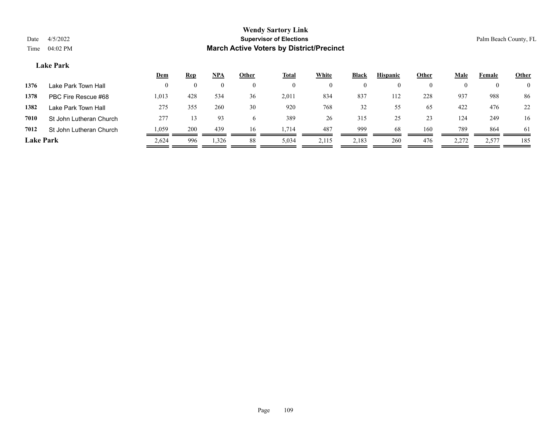#### **Lake Park**

|                  |                         | <u>Dem</u> | <b>Rep</b> | NPA   | Other    | <u>Total</u> | <b>White</b> | <b>Black</b> | <b>Hispanic</b> | Other    | Male  | Female | <b>Other</b>   |
|------------------|-------------------------|------------|------------|-------|----------|--------------|--------------|--------------|-----------------|----------|-------|--------|----------------|
| 1376             | Lake Park Town Hall     |            |            |       |          |              | $\theta$     |              |                 | $\theta$ |       |        | $\overline{0}$ |
| 1378             | PBC Fire Rescue #68     | 1,013      | 428        | 534   | 36       | 2,011        | 834          | 837          | 112             | 228      | 937   | 988    | 86             |
| 1382             | Lake Park Town Hall     | 275        | 355        | 260   | 30       | 920          | 768          | 32           | 55              | 65       | 422   | 476    | 22             |
| 7010             | St John Lutheran Church | 277        |            | 93    | $\sigma$ | 389          | 26           | 315          | 25              | 23       | 124   | 249    | 16             |
| 7012             | St John Lutheran Church | 1,059      | 200        | 439   | 16       | 1.714        | 487          | 999          | 68              | 160      | 789   | 864    | 61             |
| <b>Lake Park</b> |                         | 2,624      | 996        | 1,326 | 88       | 5,034        | 2,115        | 2,183        | 260             | 476      | 2,272 | 2,577  | 185            |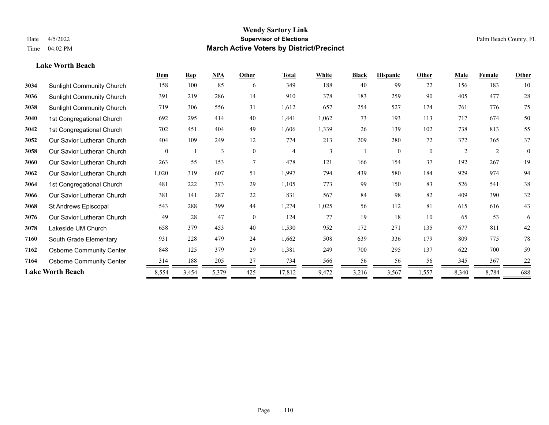#### **Lake Worth Beach**

|      |                                  | Dem      | <b>Rep</b> | NPA   | Other          | <b>Total</b>   | White          | <b>Black</b> | <b>Hispanic</b> | Other    | <b>Male</b> | <b>Female</b> | Other        |
|------|----------------------------------|----------|------------|-------|----------------|----------------|----------------|--------------|-----------------|----------|-------------|---------------|--------------|
| 3034 | <b>Sunlight Community Church</b> | 158      | 100        | 85    | 6              | 349            | 188            | 40           | 99              | 22       | 156         | 183           | 10           |
| 3036 | <b>Sunlight Community Church</b> | 391      | 219        | 286   | 14             | 910            | 378            | 183          | 259             | 90       | 405         | 477           | 28           |
| 3038 | <b>Sunlight Community Church</b> | 719      | 306        | 556   | 31             | 1,612          | 657            | 254          | 527             | 174      | 761         | 776           | 75           |
| 3040 | 1st Congregational Church        | 692      | 295        | 414   | 40             | 1,441          | 1,062          | 73           | 193             | 113      | 717         | 674           | 50           |
| 3042 | 1st Congregational Church        | 702      | 451        | 404   | 49             | 1,606          | 1,339          | 26           | 139             | 102      | 738         | 813           | 55           |
| 3052 | Our Savior Lutheran Church       | 404      | 109        | 249   | 12             | 774            | 213            | 209          | 280             | 72       | 372         | 365           | 37           |
| 3058 | Our Savior Lutheran Church       | $\theta$ |            | 3     | $\theta$       | $\overline{4}$ | $\mathfrak{Z}$ |              | $\mathbf{0}$    | $\theta$ | 2           | 2             | $\mathbf{0}$ |
| 3060 | Our Savior Lutheran Church       | 263      | 55         | 153   | $\overline{7}$ | 478            | 121            | 166          | 154             | 37       | 192         | 267           | 19           |
| 3062 | Our Savior Lutheran Church       | 1,020    | 319        | 607   | 51             | 1,997          | 794            | 439          | 580             | 184      | 929         | 974           | 94           |
| 3064 | 1st Congregational Church        | 481      | 222        | 373   | 29             | 1,105          | 773            | 99           | 150             | 83       | 526         | 541           | 38           |
| 3066 | Our Savior Lutheran Church       | 381      | 141        | 287   | 22             | 831            | 567            | 84           | 98              | 82       | 409         | 390           | 32           |
| 3068 | St Andrews Episcopal             | 543      | 288        | 399   | 44             | 1,274          | 1,025          | 56           | 112             | 81       | 615         | 616           | 43           |
| 3076 | Our Savior Lutheran Church       | 49       | 28         | 47    | $\theta$       | 124            | 77             | 19           | 18              | 10       | 65          | 53            | 6            |
| 3078 | Lakeside UM Church               | 658      | 379        | 453   | 40             | 1,530          | 952            | 172          | 271             | 135      | 677         | 811           | 42           |
| 7160 | South Grade Elementary           | 931      | 228        | 479   | 24             | 1,662          | 508            | 639          | 336             | 179      | 809         | 775           | 78           |
| 7162 | <b>Osborne Community Center</b>  | 848      | 125        | 379   | 29             | 1,381          | 249            | 700          | 295             | 137      | 622         | 700           | 59           |
| 7164 | <b>Osborne Community Center</b>  | 314      | 188        | 205   | 27             | 734            | 566            | 56           | 56              | 56       | 345         | 367           | 22           |
|      | <b>Lake Worth Beach</b>          | 8,554    | 3,454      | 5,379 | 425            | 17,812         | 9,472          | 3,216        | 3,567           | 1,557    | 8,340       | 8,784         | 688          |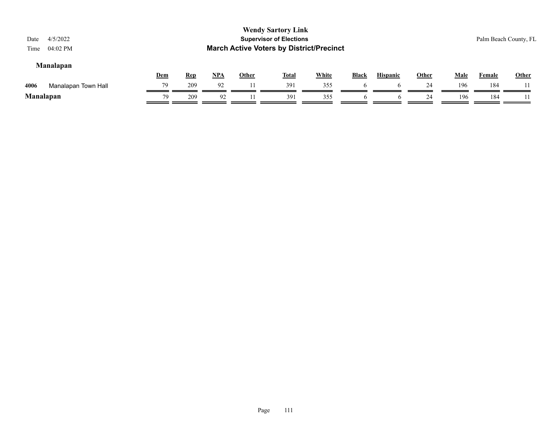| Date<br>Time | 4/5/2022<br>04:02 PM |     |            |       |       | <b>Wendy Sartory Link</b><br><b>Supervisor of Elections</b><br><b>March Active Voters by District/Precinct</b> |              |              |                 |       |             |               | Palm Beach County, FL |
|--------------|----------------------|-----|------------|-------|-------|----------------------------------------------------------------------------------------------------------------|--------------|--------------|-----------------|-------|-------------|---------------|-----------------------|
|              | <b>Manalapan</b>     | Dem | <b>Rep</b> | $NPA$ | Other | <b>Total</b>                                                                                                   | <b>White</b> | <b>Black</b> | <b>Hispanic</b> | Other | <b>Male</b> | <b>Female</b> | <b>Other</b>          |
| 4006         | Manalapan Town Hall  | 79  | 209        | 92    | 11    | 391                                                                                                            | 355          |              |                 | 24    | 196         | 184           |                       |
|              | <b>Manalapan</b>     | 79  | 209        | 92    |       | 391                                                                                                            | 355          | $\mathbf{p}$ | O               | 24    | 196         | 184           |                       |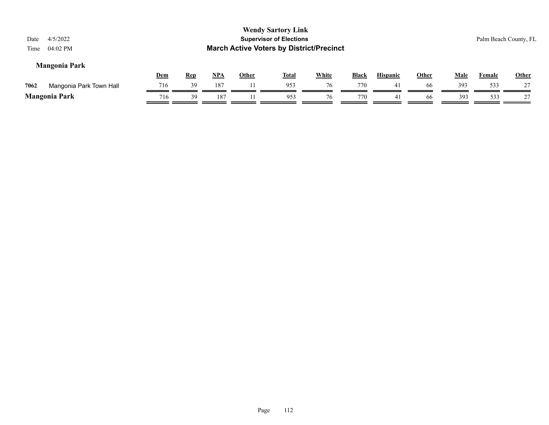| 4/5/2022<br>Date<br>$04:02$ PM<br>Time |            |            |            |              | <b>Wendy Sartory Link</b><br><b>Supervisor of Elections</b><br><b>March Active Voters by District/Precinct</b> |              |              |                 |              |             |               | Palm Beach County, FL |
|----------------------------------------|------------|------------|------------|--------------|----------------------------------------------------------------------------------------------------------------|--------------|--------------|-----------------|--------------|-------------|---------------|-----------------------|
| <b>Mangonia Park</b>                   | <u>Dem</u> | <b>Rep</b> | <u>NPA</u> | <b>Other</b> | <b>Total</b>                                                                                                   | <b>White</b> | <b>Black</b> | <b>Hispanic</b> | <b>Other</b> | <u>Male</u> | <b>Female</b> | <b>Other</b>          |
| 7062<br>Mangonia Park Town Hall        | 716        | 39         | 187        |              | 953                                                                                                            | 76           | 770          | 41              | -66          | 393         | 533           |                       |
| <b>Mangonia Park</b>                   | 716        | 39         | 187        |              | 953                                                                                                            | 76           | 770          | 41              | 66           | 393         | 533           |                       |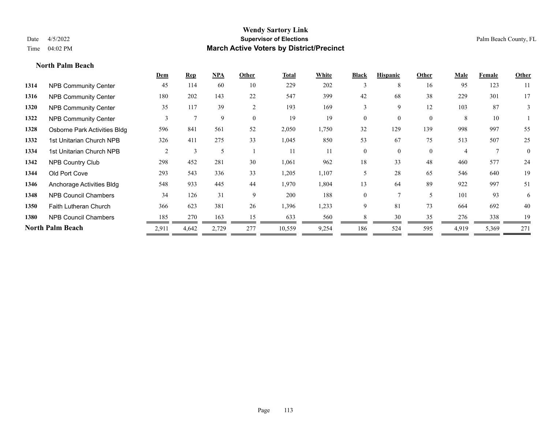**North Palm Beach**

#### **Wendy Sartory Link** Date 4/5/2022 **Supervisor of Elections** Palm Beach County, FL Time 04:02 PM **March Active Voters by District/Precinct**

|      |                              | Dem   | <b>Rep</b> | NPA   | Other          | <b>Total</b> | White | <b>Black</b>   | <b>Hispanic</b> | Other          | Male  | Female | <b>Other</b> |
|------|------------------------------|-------|------------|-------|----------------|--------------|-------|----------------|-----------------|----------------|-------|--------|--------------|
| 1314 | <b>NPB Community Center</b>  | 45    | 114        | 60    | 10             | 229          | 202   | 3              | 8               | 16             | 95    | 123    | 11           |
| 1316 | <b>NPB Community Center</b>  | 180   | 202        | 143   | 22             | 547          | 399   | 42             | 68              | 38             | 229   | 301    | 17           |
| 1320 | <b>NPB Community Center</b>  | 35    | 117        | 39    | $\overline{2}$ | 193          | 169   | 3              | 9               | 12             | 103   | 87     | 3            |
| 1322 | <b>NPB Community Center</b>  | 3     |            | 9     | $\theta$       | 19           | 19    | 0              | $\theta$        | $\overline{0}$ | 8     | 10     |              |
| 1328 | Osborne Park Activities Bldg | 596   | 841        | 561   | 52             | 2,050        | 1,750 | 32             | 129             | 139            | 998   | 997    | 55           |
| 1332 | 1st Unitarian Church NPB     | 326   | 411        | 275   | 33             | 1,045        | 850   | 53             | 67              | 75             | 513   | 507    | 25           |
| 1334 | 1st Unitarian Church NPB     | 2     | 3          | 5     |                | 11           | 11    | $\overline{0}$ | $\theta$        | $\theta$       | 4     | $\tau$ | $\mathbf{0}$ |
| 1342 | <b>NPB Country Club</b>      | 298   | 452        | 281   | 30             | 1,061        | 962   | 18             | 33              | 48             | 460   | 577    | 24           |
| 1344 | Old Port Cove                | 293   | 543        | 336   | 33             | 1,205        | 1,107 | 5              | 28              | 65             | 546   | 640    | 19           |
| 1346 | Anchorage Activities Bldg    | 548   | 933        | 445   | 44             | 1,970        | 1,804 | 13             | 64              | 89             | 922   | 997    | 51           |
| 1348 | <b>NPB Council Chambers</b>  | 34    | 126        | 31    | 9              | 200          | 188   | $\Omega$       | $\mathbf{7}$    | .5             | 101   | 93     | 6            |
| 1350 | <b>Faith Lutheran Church</b> | 366   | 623        | 381   | 26             | 1,396        | 1,233 | 9.             | 81              | 73             | 664   | 692    | 40           |
| 1380 | <b>NPB Council Chambers</b>  | 185   | 270        | 163   | 15             | 633          | 560   | 8              | 30              | 35             | 276   | 338    | 19           |
|      | North Palm Beach             | 2,911 | 4,642      | 2,729 | 277            | 10,559       | 9,254 | 186            | 524             | 595            | 4,919 | 5,369  | 271          |
|      |                              |       |            |       |                |              |       |                |                 |                |       |        |              |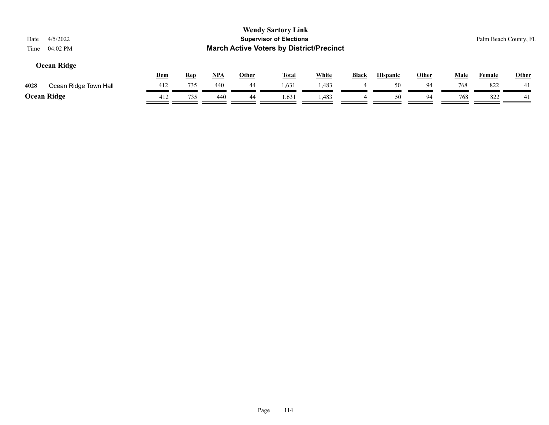| 4/5/2022<br>Date<br>04:02 PM<br>Time |            |            |            |              | <b>Wendy Sartory Link</b><br><b>Supervisor of Elections</b><br><b>March Active Voters by District/Precinct</b> |              |       |                 |       |             |               | Palm Beach County, FL |
|--------------------------------------|------------|------------|------------|--------------|----------------------------------------------------------------------------------------------------------------|--------------|-------|-----------------|-------|-------------|---------------|-----------------------|
| Ocean Ridge                          | <b>Dem</b> | <u>Rep</u> | <u>NPA</u> | <b>Other</b> | <u>Total</u>                                                                                                   | <b>White</b> | Black | <b>Hispanic</b> | Other | <u>Male</u> | <b>Female</b> | <b>Other</b>          |
| 4028<br>Ocean Ridge Town Hall        | 412        | 735        | 440        | 44           | 1,631                                                                                                          | 1,483        |       | 50              | -94   | 768         | 822           | 41                    |
| Ocean Ridge                          | 412        | 735        | 440        | 44           | 1,631                                                                                                          | 1,483        |       | 50              | 94    | 768         | 822           | 41                    |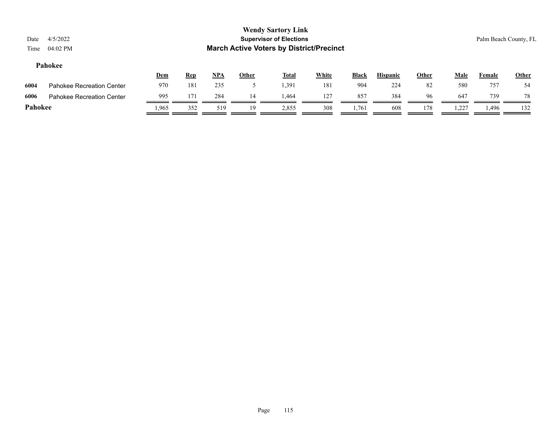| Date<br>Time | 4/5/2022<br>04:02 PM             |            |            |            |              | <b>Wendy Sartory Link</b><br><b>Supervisor of Elections</b><br><b>March Active Voters by District/Precinct</b> |              |       |                 |              |      |        | Palm Beach County, FL |
|--------------|----------------------------------|------------|------------|------------|--------------|----------------------------------------------------------------------------------------------------------------|--------------|-------|-----------------|--------------|------|--------|-----------------------|
|              | Pahokee                          | <b>Dem</b> | <b>Rep</b> | <u>NPA</u> | <b>Other</b> | <u>Total</u>                                                                                                   | <b>White</b> | Black | <b>Hispanic</b> | <b>Other</b> | Male | Female | <b>Other</b>          |
| 6004         | Pahokee Recreation Center        | 970        | 181        | 235        |              | 1,391                                                                                                          | 181          | 904   | 224             | 82           | 580  | 757    | 54                    |
| 6006         | <b>Pahokee Recreation Center</b> | 995        | 171        | 284        | 14           | 1.464                                                                                                          | 127          | 857   | 384             | 96           | 647  | 739    | 78                    |
| Pahokee      |                                  | .965       | 352        | 519        | 19           | 2,855                                                                                                          | 308          | 1,761 | 608             | 178          | .227 | 1,496  | 132                   |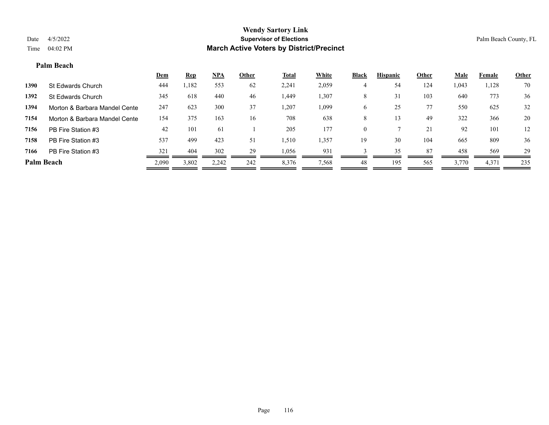#### **Palm Beach**

|                   |                               | <b>Dem</b> | <b>Rep</b> | <u>NPA</u> | Other | <b>Total</b> | White | <b>Black</b> | <b>Hispanic</b> | Other | <b>Male</b> | Female | <b>Other</b> |
|-------------------|-------------------------------|------------|------------|------------|-------|--------------|-------|--------------|-----------------|-------|-------------|--------|--------------|
| 1390              | St Edwards Church             | 444        | 1,182      | 553        | 62    | 2,241        | 2,059 |              | 54              | 124   | 1,043       | 1,128  | 70           |
| 1392              | St Edwards Church             | 345        | 618        | 440        | 46    | 1,449        | .,307 | 8            | 31              | 103   | 640         | 773    | 36           |
| 1394              | Morton & Barbara Mandel Cente | 247        | 623        | 300        | 37    | 1,207        | 1,099 | <sub>0</sub> | 25              | 77    | 550         | 625    | 32           |
| 7154              | Morton & Barbara Mandel Cente | 154        | 375        | 163        | 16    | 708          | 638   | 8            |                 | 49    | 322         | 366    | 20           |
| 7156              | PB Fire Station #3            | 42         | 101        | 61         |       | 205          | 177   | $\mathbf{0}$ |                 | 21    | 92          | 101    | 12           |
| 7158              | PB Fire Station #3            | 537        | 499        | 423        | 51    | 1,510        | 1,357 | 19           | 30              | 104   | 665         | 809    | 36           |
| 7166              | PB Fire Station #3            | 321        | 404        | 302        | 29    | 1,056        | 93    |              | 35              | 87    | 458         | 569    | 29           |
| <b>Palm Beach</b> |                               | 2,090      | 3,802      | 2,242      | 242   | 8,376        | 7,568 | 48           | 195             | 565   | 3,770       | 4,371  | 235          |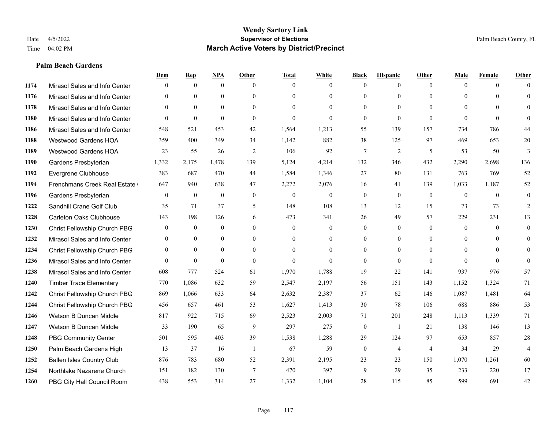#### **Palm Beach Gardens**

|      |                                  | Dem              | <b>Rep</b>       | NPA              | <b>Other</b>   | <b>Total</b>     | <b>White</b>     | <b>Black</b>     | <b>Hispanic</b>  | <b>Other</b>   | <b>Male</b>  | <b>Female</b> | <b>Other</b>   |
|------|----------------------------------|------------------|------------------|------------------|----------------|------------------|------------------|------------------|------------------|----------------|--------------|---------------|----------------|
| 1174 | Mirasol Sales and Info Center    | $\theta$         | $\mathbf{0}$     | $\mathbf{0}$     | $\theta$       | $\theta$         | $\overline{0}$   | $\Omega$         | $\mathbf{0}$     | $\theta$       | $\theta$     | $\theta$      | $\Omega$       |
| 1176 | Mirasol Sales and Info Center    | $\Omega$         | $\theta$         | $\theta$         | $\Omega$       | $\Omega$         | $\overline{0}$   | $\Omega$         | $\theta$         | $\Omega$       | $\theta$     | $\Omega$      | $\theta$       |
| 1178 | Mirasol Sales and Info Center    | $\theta$         | $\mathbf{0}$     | $\mathbf{0}$     | $\theta$       | $\Omega$         | $\Omega$         | $\theta$         | $\theta$         | $\Omega$       | $\theta$     | $\Omega$      | $\Omega$       |
| 1180 | Mirasol Sales and Info Center    | $\theta$         | $\theta$         | $\theta$         | $\theta$       | $\mathbf{0}$     | $\Omega$         | $\overline{0}$   | $\theta$         | $\theta$       | $\theta$     | $\theta$      | $\Omega$       |
| 1186 | Mirasol Sales and Info Center    | 548              | 521              | 453              | 42             | 1,564            | 1,213            | 55               | 139              | 157            | 734          | 786           | 44             |
| 1188 | <b>Westwood Gardens HOA</b>      | 359              | 400              | 349              | 34             | 1,142            | 882              | 38               | 125              | 97             | 469          | 653           | $20\,$         |
| 1189 | Westwood Gardens HOA             | 23               | 55               | 26               | 2              | 106              | 92               | $\overline{7}$   | $\overline{2}$   | 5              | 53           | 50            | 3              |
| 1190 | Gardens Presbyterian             | 1,332            | 2,175            | 1,478            | 139            | 5,124            | 4,214            | 132              | 346              | 432            | 2,290        | 2,698         | 136            |
| 1192 | Evergrene Clubhouse              | 383              | 687              | 470              | 44             | 1,584            | 1,346            | 27               | 80               | 131            | 763          | 769           | 52             |
| 1194 | Frenchmans Creek Real Estate     | 647              | 940              | 638              | 47             | 2,272            | 2,076            | 16               | 41               | 139            | 1,033        | 1,187         | 52             |
| 1196 | Gardens Presbyterian             | $\Omega$         | $\theta$         | $\theta$         | $\theta$       | $\theta$         | $\overline{0}$   | $\overline{0}$   | $\theta$         | $\theta$       | $\theta$     | $\theta$      | $\theta$       |
| 1222 | Sandhill Crane Golf Club         | 35               | 71               | 37               | 5              | 148              | 108              | 13               | 12               | 15             | 73           | 73            | $\overline{2}$ |
| 1228 | Carleton Oaks Clubhouse          | 143              | 198              | 126              | 6              | 473              | 341              | 26               | 49               | 57             | 229          | 231           | 13             |
| 1230 | Christ Fellowship Church PBG     | $\boldsymbol{0}$ | $\boldsymbol{0}$ | $\boldsymbol{0}$ | $\mathbf{0}$   | $\boldsymbol{0}$ | $\boldsymbol{0}$ | $\boldsymbol{0}$ | $\boldsymbol{0}$ | $\mathbf{0}$   | $\mathbf{0}$ | $\mathbf{0}$  | $\mathbf{0}$   |
| 1232 | Mirasol Sales and Info Center    | $\theta$         | $\mathbf{0}$     | $\mathbf{0}$     | $\theta$       | $\theta$         | $\overline{0}$   | $\overline{0}$   | $\mathbf{0}$     | $\theta$       | $\theta$     | $\theta$      | $\mathbf{0}$   |
| 1234 | Christ Fellowship Church PBG     | $\mathbf{0}$     | $\theta$         | $\theta$         | $\theta$       | $\theta$         | $\theta$         | $\Omega$         | $\theta$         | $\Omega$       | $\theta$     | $\Omega$      | $\theta$       |
| 1236 | Mirasol Sales and Info Center    | $\theta$         | $\mathbf{0}$     | $\mathbf{0}$     | $\theta$       | $\theta$         | $\Omega$         | $\overline{0}$   | $\mathbf{0}$     | $\theta$       | $\theta$     | $\theta$      | $\theta$       |
| 1238 | Mirasol Sales and Info Center    | 608              | 777              | 524              | 61             | 1,970            | 1,788            | 19               | 22               | 141            | 937          | 976           | 57             |
| 1240 | <b>Timber Trace Elementary</b>   | 770              | 1,086            | 632              | 59             | 2,547            | 2,197            | 56               | 151              | 143            | 1,152        | 1,324         | 71             |
| 1242 | Christ Fellowship Church PBG     | 869              | 1,066            | 633              | 64             | 2,632            | 2,387            | 37               | 62               | 146            | 1,087        | 1,481         | 64             |
| 1244 | Christ Fellowship Church PBG     | 456              | 657              | 461              | 53             | 1,627            | 1,413            | 30               | 78               | 106            | 688          | 886           | 53             |
| 1246 | Watson B Duncan Middle           | 817              | 922              | 715              | 69             | 2,523            | 2,003            | 71               | 201              | 248            | 1,113        | 1,339         | 71             |
| 1247 | Watson B Duncan Middle           | 33               | 190              | 65               | 9              | 297              | 275              | $\boldsymbol{0}$ | -1               | 21             | 138          | 146           | 13             |
| 1248 | <b>PBG Community Center</b>      | 501              | 595              | 403              | 39             | 1,538            | 1,288            | 29               | 124              | 97             | 653          | 857           | $28\,$         |
| 1250 | Palm Beach Gardens High          | 13               | 37               | 16               | $\overline{1}$ | 67               | 59               | $\overline{0}$   | $\overline{4}$   | $\overline{4}$ | 34           | 29            | $\overline{4}$ |
| 1252 | <b>Ballen Isles Country Club</b> | 876              | 783              | 680              | 52             | 2,391            | 2,195            | 23               | 23               | 150            | 1,070        | 1,261         | 60             |
| 1254 | Northlake Nazarene Church        | 151              | 182              | 130              | $\overline{7}$ | 470              | 397              | 9                | 29               | 35             | 233          | 220           | 17             |
| 1260 | PBG City Hall Council Room       | 438              | 553              | 314              | 27             | 1,332            | 1,104            | 28               | 115              | 85             | 599          | 691           | 42             |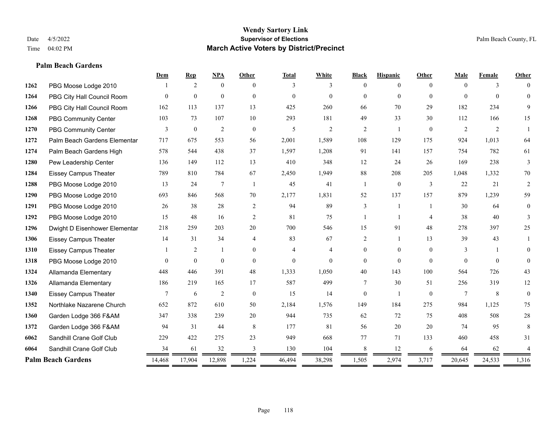#### **Palm Beach Gardens**

|      |                               | Dem      | <b>Rep</b>     | NPA            | <b>Other</b>   | <b>Total</b> | White          | <b>Black</b>   | <b>Hispanic</b> | Other          | Male     | Female   | Other          |
|------|-------------------------------|----------|----------------|----------------|----------------|--------------|----------------|----------------|-----------------|----------------|----------|----------|----------------|
| 1262 | PBG Moose Lodge 2010          |          | $\overline{2}$ | $\theta$       | $\Omega$       | 3            | 3              | $\theta$       | $\theta$        | $\Omega$       | $\Omega$ | 3        | $\Omega$       |
| 1264 | PBG City Hall Council Room    |          | $\mathbf{0}$   | $\theta$       | $\theta$       | $\theta$     | $\Omega$       | $\Omega$       | $\theta$        | $\Omega$       | $\theta$ | $\Omega$ | $\theta$       |
| 1266 | PBG City Hall Council Room    | 162      | 113            | 137            | 13             | 425          | 260            | 66             | 70              | 29             | 182      | 234      | 9              |
| 1268 | <b>PBG Community Center</b>   | 103      | 73             | 107            | 10             | 293          | 181            | 49             | 33              | 30             | 112      | 166      | 15             |
| 1270 | <b>PBG Community Center</b>   | 3        | $\mathbf{0}$   | $\mathfrak{2}$ | $\theta$       | 5            | $\overline{2}$ | 2              | $\overline{1}$  | $\theta$       | 2        | 2        |                |
| 1272 | Palm Beach Gardens Elementar  | 717      | 675            | 553            | 56             | 2,001        | 1,589          | 108            | 129             | 175            | 924      | 1.013    | 64             |
| 1274 | Palm Beach Gardens High       | 578      | 544            | 438            | 37             | 1,597        | 1,208          | 91             | 141             | 157            | 754      | 782      | 61             |
| 1280 | Pew Leadership Center         | 136      | 149            | 112            | 13             | 410          | 348            | 12             | 24              | 26             | 169      | 238      | 3              |
| 1284 | <b>Eissey Campus Theater</b>  | 789      | 810            | 784            | 67             | 2,450        | 1,949          | 88             | 208             | 205            | 1,048    | 1,332    | 70             |
| 1288 | PBG Moose Lodge 2010          | 13       | 24             | 7              | $\overline{1}$ | 45           | 41             | $\mathbf{1}$   | $\mathbf{0}$    | 3              | 22       | 21       | 2              |
| 1290 | PBG Moose Lodge 2010          | 693      | 846            | 568            | 70             | 2,177        | 1,831          | 52             | 137             | 157            | 879      | 1,239    | 59             |
| 1291 | PBG Moose Lodge 2010          | 26       | 38             | 28             | 2              | 94           | 89             | 3              |                 |                | 30       | 64       | $\overline{0}$ |
| 1292 | PBG Moose Lodge 2010          | 15       | 48             | 16             | 2              | 81           | 75             |                | $\overline{1}$  | $\overline{4}$ | 38       | 40       | 3              |
| 1296 | Dwight D Eisenhower Elementar | 218      | 259            | 203            | 20             | 700          | 546            | 15             | 91              | 48             | 278      | 397      | 25             |
| 1306 | <b>Eissey Campus Theater</b>  | 14       | 31             | 34             | $\overline{4}$ | 83           | 67             | 2              | $\mathbf{1}$    | 13             | 39       | 43       | 1              |
| 1310 | <b>Eissey Campus Theater</b>  |          | $\overline{c}$ | 1              | $\theta$       | 4            | 4              | $\overline{0}$ | $\mathbf{0}$    | $\theta$       | 3        | -1       | $\Omega$       |
| 1318 | PBG Moose Lodge 2010          | $\Omega$ | $\mathbf{0}$   | $\theta$       | $\theta$       | $\mathbf{0}$ | $\theta$       | $\Omega$       | $\theta$        | $\Omega$       | $\Omega$ | $\Omega$ | $\Omega$       |
| 1324 | Allamanda Elementary          | 448      | 446            | 391            | 48             | 1,333        | 1,050          | 40             | 143             | 100            | 564      | 726      | 43             |
| 1326 | Allamanda Elementary          | 186      | 219            | 165            | 17             | 587          | 499            | $\tau$         | 30              | 51             | 256      | 319      | 12             |
| 1340 | <b>Eissey Campus Theater</b>  | 7        | 6              | $\sqrt{2}$     | $\theta$       | 15           | 14             | $\overline{0}$ | $\mathbf{1}$    | $\theta$       | 7        | 8        | $\mathbf{0}$   |
| 1352 | Northlake Nazarene Church     | 652      | 872            | 610            | 50             | 2,184        | 1,576          | 149            | 184             | 275            | 984      | 1,125    | 75             |
| 1360 | Garden Lodge 366 F&AM         | 347      | 338            | 239            | 20             | 944          | 735            | 62             | 72              | 75             | 408      | 508      | $28\,$         |
| 1372 | Garden Lodge 366 F&AM         | 94       | 31             | 44             | 8              | 177          | 81             | 56             | 20              | 20             | 74       | 95       | 8              |
| 6062 | Sandhill Crane Golf Club      | 229      | 422            | 275            | 23             | 949          | 668            | 77             | 71              | 133            | 460      | 458      | 31             |
| 6064 | Sandhill Crane Golf Club      | 34       | 61             | 32             | 3              | 130          | 104            | 8              | 12              | 6              | 64       | 62       |                |
|      | <b>Palm Beach Gardens</b>     | 14,468   | 17,904         | 12,898         | 1,224          | 46,494       | 38,298         | 1,505          | 2,974           | 3,717          | 20,645   | 24,533   | 1,316          |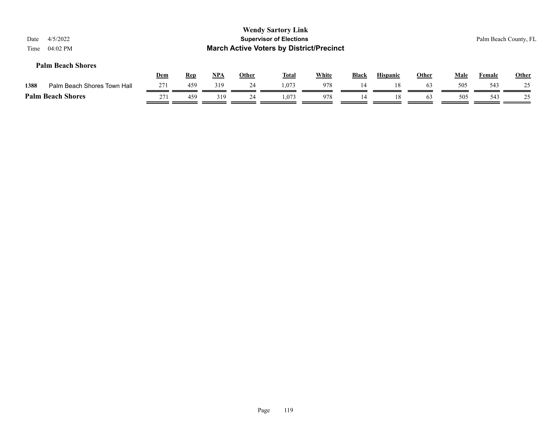| 4/5/2022<br>04:02 PM        |                                                      |            |            |       |              |              |                                                                      |                                                 |                 |              | Palm Beach County, FL |              |
|-----------------------------|------------------------------------------------------|------------|------------|-------|--------------|--------------|----------------------------------------------------------------------|-------------------------------------------------|-----------------|--------------|-----------------------|--------------|
|                             |                                                      |            |            |       |              |              | <b>Black</b>                                                         |                                                 |                 |              |                       | <b>Other</b> |
| Palm Beach Shores Town Hall | 271                                                  | 459        | 319        | 24    | 1.073        | 978          | 14                                                                   | 18                                              | 63              | 505          | 543                   | 25           |
|                             | 271                                                  | 459        | 319        | 24    | 1.073        | 978          | 14                                                                   | 18                                              | 63              | 505          | 543                   | 25           |
|                             | <b>Palm Beach Shores</b><br><b>Palm Beach Shores</b> | <u>Dem</u> | <b>Rep</b> | $NPA$ | <b>Other</b> | <u>Total</u> | <b>Wendy Sartory Link</b><br><b>Supervisor of Elections</b><br>White | <b>March Active Voters by District/Precinct</b> | <b>Hispanic</b> | <b>Other</b> | Male                  | Female       |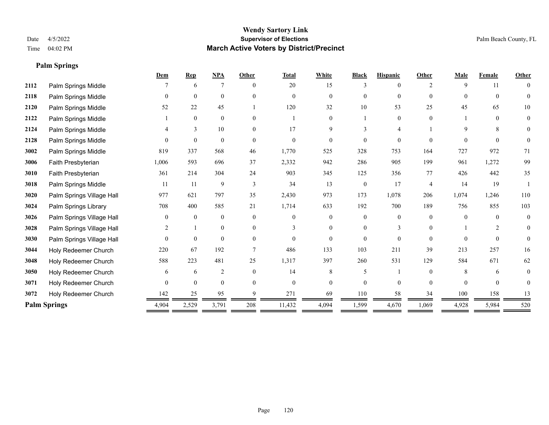**Palm Springs**

#### **Wendy Sartory Link** Date 4/5/2022 **Supervisor of Elections** Palm Beach County, FL Time 04:02 PM **March Active Voters by District/Precinct**

# **Dem Rep NPA Other Total White Black Hispanic Other Male Female Other 2112** Palm Springs Middle  $\begin{array}{cccccccc} 7 & 6 & 7 & 0 & 20 & 15 & 3 & 0 & 2 & 9 & 11 & 0 \end{array}$  Palm Springs Middle 0 0 0 0 0 0 0 0 0 0 0 0 Palm Springs Middle 52 22 45 1 120 32 10 53 25 45 65 10 Palm Springs Middle 1 0 0 0 1 0 1 0 0 1 0 0 Palm Springs Middle 4 3 10 0 17 9 3 4 1 9 8 0 Palm Springs Middle 0 0 0 0 0 0 0 0 0 0 0 0 Palm Springs Middle 819 337 568 46 1,770 525 328 753 164 727 972 71 Faith Presbyterian 1,006 593 696 37 2,332 942 286 905 199 961 1,272 99 Faith Presbyterian 361 214 304 24 903 345 125 356 77 426 442 35 Palm Springs Middle 1 11 11 9 3 34 13 0 17 4 14 19 1 Palm Springs Village Hall 977 621 797 35 2,430 973 173 1,078 206 1,074 1,246 110 Palm Springs Library 708 400 585 21 1,714 633 192 700 189 756 855 103 **3026** Palm Springs Village Hall  $\begin{pmatrix} 0 & 0 & 0 & 0 \\ 0 & 0 & 0 & 0 \\ 0 & 0 & 0 & 0 \end{pmatrix}$  Palm Springs Village Hall 2 1 0 0 3 0 0 3 0 1 2 0 Palm Springs Village Hall 0 0 0 0 0 0 0 0 0 0 0 0 Holy Redeemer Church 220 67 192 7 486 133 103 211 39 213 257 16 Holy Redeemer Church 588 223 481 25 1,317 397 260 531 129 584 671 62 Holy Redeemer Church 6 6 6 2 0 14 8 5 1 0 8 6 0 Holy Redeemer Church 0 0 0 0 0 0 0 0 0 0 0 0 Holy Redeemer Church 142 25 95 9 271 69 110 58 34 100 158 13 **Palm Springs** 2,529 4,904 2,529 3,791 208 11,432 4,094 1,599 4,670 1,069 4,928 5,984 520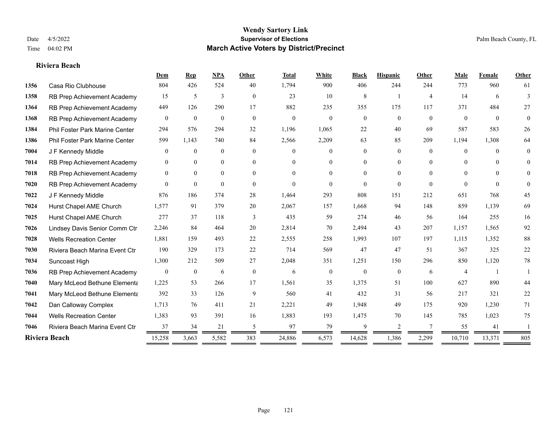#### **Riviera Beach**

|      |                                | Dem              | <b>Rep</b>       | <b>NPA</b>   | Other          | <b>Total</b> | White            | <b>Black</b>   | <b>Hispanic</b> | Other          | Male           | Female         | Other          |
|------|--------------------------------|------------------|------------------|--------------|----------------|--------------|------------------|----------------|-----------------|----------------|----------------|----------------|----------------|
| 1356 | Casa Rio Clubhouse             | 804              | 426              | 524          | 40             | 1,794        | 900              | 406            | 244             | 244            | 773            | 960            | 61             |
| 1358 | RB Prep Achievement Academy    | 15               | 5                | 3            | $\overline{0}$ | 23           | 10               | 8              |                 | $\overline{4}$ | 14             | 6              | 3              |
| 1364 | RB Prep Achievement Academy    | 449              | 126              | 290          | 17             | 882          | 235              | 355            | 175             | 117            | 371            | 484            | 27             |
| 1368 | RB Prep Achievement Academy    | $\overline{0}$   | $\mathbf{0}$     | $\mathbf{0}$ | $\mathbf{0}$   | $\mathbf{0}$ | $\overline{0}$   | $\mathbf{0}$   | $\overline{0}$  | $\mathbf{0}$   | $\overline{0}$ | $\overline{0}$ | $\overline{0}$ |
| 1384 | Phil Foster Park Marine Center | 294              | 576              | 294          | 32             | 1,196        | 1,065            | 22             | 40              | 69             | 587            | 583            | 26             |
| 1386 | Phil Foster Park Marine Center | 599              | 1,143            | 740          | 84             | 2,566        | 2,209            | 63             | 85              | 209            | 1,194          | 1,308          | 64             |
| 7004 | J F Kennedy Middle             | $\mathbf{0}$     | $\mathbf{0}$     | $\mathbf{0}$ | $\overline{0}$ | $\Omega$     | $\overline{0}$   | $\overline{0}$ | $\overline{0}$  | $\Omega$       | $\overline{0}$ | $\Omega$       | 0              |
| 7014 | RB Prep Achievement Academy    | $\mathbf{0}$     | $\theta$         | $\mathbf{0}$ | $\overline{0}$ | $\Omega$     | $\overline{0}$   | 0              | $\overline{0}$  | $\Omega$       | $\theta$       | $\Omega$       | $\theta$       |
| 7018 | RB Prep Achievement Academy    | $\mathbf{0}$     | $\overline{0}$   | $\mathbf{0}$ | $\theta$       | $\Omega$     | $\overline{0}$   | $\Omega$       | $\overline{0}$  | $\Omega$       | $\theta$       | $\Omega$       | $\Omega$       |
| 7020 | RB Prep Achievement Academy    | $\theta$         | $\theta$         | $\theta$     | $\theta$       | $\Omega$     | $\theta$         | $\Omega$       | $\Omega$        | $\theta$       | $\theta$       | $\theta$       | $\theta$       |
| 7022 | J F Kennedy Middle             | 876              | 186              | 374          | 28             | 1,464        | 293              | 808            | 151             | 212            | 651            | 768            | 45             |
| 7024 | Hurst Chapel AME Church        | 1,577            | 91               | 379          | 20             | 2,067        | 157              | 1,668          | 94              | 148            | 859            | 1,139          | 69             |
| 7025 | Hurst Chapel AME Church        | 277              | 37               | 118          | 3              | 435          | 59               | 274            | 46              | 56             | 164            | 255            | 16             |
| 7026 | Lindsey Davis Senior Comm Ctr  | 2,246            | 84               | 464          | 20             | 2,814        | 70               | 2,494          | 43              | 207            | 1,157          | 1,565          | 92             |
| 7028 | <b>Wells Recreation Center</b> | 1,881            | 159              | 493          | 22             | 2,555        | 258              | 1,993          | 107             | 197            | 1,115          | 1,352          | $88\,$         |
| 7030 | Riviera Beach Marina Event Ctr | 190              | 329              | 173          | 22             | 714          | 569              | 47             | 47              | 51             | 367            | 325            | $22\,$         |
| 7034 | Suncoast High                  | 1,300            | 212              | 509          | 27             | 2,048        | 351              | 1,251          | 150             | 296            | 850            | 1,120          | 78             |
| 7036 | RB Prep Achievement Academy    | $\boldsymbol{0}$ | $\boldsymbol{0}$ | 6            | $\mathbf{0}$   | 6            | $\boldsymbol{0}$ | $\mathbf{0}$   | $\mathbf{0}$    | 6              | $\overline{4}$ |                |                |
| 7040 | Mary McLeod Bethune Elementa   | 1,225            | 53               | 266          | 17             | 1,561        | 35               | 1,375          | 51              | 100            | 627            | 890            | 44             |
| 7041 | Mary McLeod Bethune Elementa   | 392              | 33               | 126          | 9              | 560          | 41               | 432            | 31              | -56            | 217            | 321            | $22\,$         |
| 7042 | Dan Calloway Complex           | 1,713            | 76               | 411          | 21             | 2,221        | 49               | 1,948          | 49              | 175            | 920            | 1,230          | 71             |
| 7044 | <b>Wells Recreation Center</b> | 1,383            | 93               | 391          | 16             | 1,883        | 193              | 1,475          | 70              | 145            | 785            | 1,023          | 75             |
| 7046 | Riviera Beach Marina Event Ctr | 37               | 34               | 21           | 5              | 97           | 79               | 9              | 2               | 7              | 55             | 41             |                |
|      | Riviera Beach                  | 15,258           | 3,663            | 5,582        | 383            | 24,886       | 6,573            | 14,628         | 1,386           | 2,299          | 10,710         | 13,371         | 805            |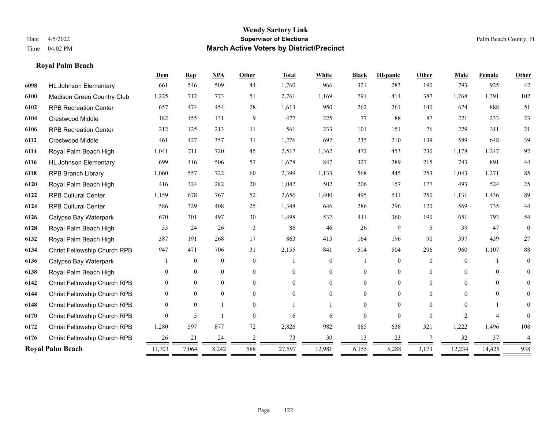**Royal Palm Beach**

#### **Wendy Sartory Link** Date 4/5/2022 **Supervisor of Elections** Palm Beach County, FL Time 04:02 PM **March Active Voters by District/Precinct**

# **Dem Rep NPA Other Total White Black Hispanic Other Male Female Other** HL Johnson Elementary 661 546 509 44 1,760 966 321 283 190 793 925 42 Madison Green Country Club 1,225 712 773 51 2,761 1,169 791 414 387 1,268 1,391 102 RPB Recreation Center 657 474 454 28 1,613 950 262 261 140 674 888 51 Crestwood Middle 182 155 131 9 477 225 77 88 87 221 233 23 RPB Recreation Center 212 125 213 11 561 233 101 151 76 229 311 21 Crestwood Middle 461 427 357 31 1,276 692 235 210 139 589 648 39 Royal Palm Beach High 1,041 711 720 45 2,517 1,362 472 453 230 1,178 1,247 92 HL Johnson Elementary 699 416 506 57 1,678 847 327 289 215 743 891 44 RPB Branch Library 1,060 557 722 60 2,399 1,133 568 445 253 1,043 1,271 85 Royal Palm Beach High 416 324 282 20 1,042 502 206 157 177 493 524 25 RPB Cultural Center 1,159 678 767 52 2,656 1,400 495 511 250 1,131 1,436 89 RPB Cultural Center 586 329 408 25 1,348 646 286 296 120 569 735 44 Calypso Bay Waterpark 670 301 497 30 1,498 537 411 360 190 651 793 54 Royal Palm Beach High 33 24 26 3 86 46 26 9 5 39 47 0 Royal Palm Beach High 387 191 268 17 863 413 164 196 90 397 439 27 Christ Fellowship Church RPB 947 471 706 31 2,155 841 514 504 296 960 1,107 88 Calypso Bay Waterpark 1 0 0 0 1 0 1 0 0 0 1 0 Royal Palm Beach High 0 0 0 0 0 0 0 0 0 0 0 0 Christ Fellowship Church RPB 0 0 0 0 0 0 0 0 0 0 0 0 Christ Fellowship Church RPB 0 0 0 0 0 0 0 0 0 0 0 0 Christ Fellowship Church RPB 0 0 1 0 1 1 0 0 0 0 1 0 Christ Fellowship Church RPB 0 5 1 0 6 6 0 0 0 2 4 0 Christ Fellowship Church RPB 1,280 597 877 72 2,826 982 885 638 321 1,222 1,496 108 Christ Fellowship Church RPB 26 21 24 2 73 30 13 23 7 32 37 4 **Royal Palm Beach** 11,703 7,064 8,242 588 27,597 12,981 6,155 5,288 3,173 12,234 14,425 938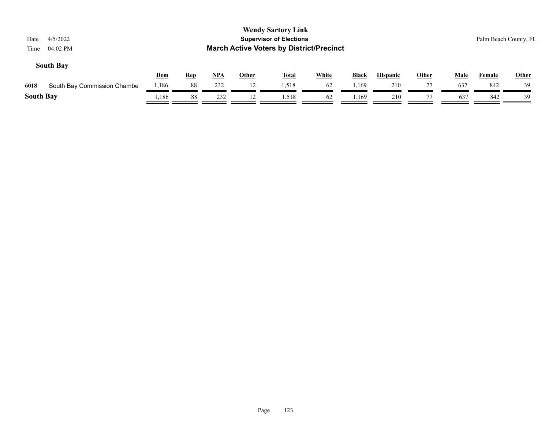| 4/5/2022<br>Date<br>04:02 PM<br>Time |            |            |            |              | <b>Wendy Sartory Link</b><br><b>Supervisor of Elections</b><br><b>March Active Voters by District/Precinct</b> |              |       |                 |              |             | Palm Beach County, FL |              |
|--------------------------------------|------------|------------|------------|--------------|----------------------------------------------------------------------------------------------------------------|--------------|-------|-----------------|--------------|-------------|-----------------------|--------------|
| <b>South Bay</b>                     | <b>Dem</b> | <b>Rep</b> | <u>NPA</u> | <b>Other</b> | <u>Total</u>                                                                                                   | <b>White</b> | Black | <b>Hispanic</b> | <b>Other</b> | <b>Male</b> | Female                | <b>Other</b> |
| 6018<br>South Bay Commission Chambe  | 1,186      | 88         | 232        | 12           | 1,518                                                                                                          | 62           | 1,169 | 210             |              | 637         | 842                   | 39           |
| <b>South Bay</b>                     | 1,186      | 88         | 232        | 12           | 1,518                                                                                                          | 62           | 1,169 | 210             |              | 637         | 842                   | 39           |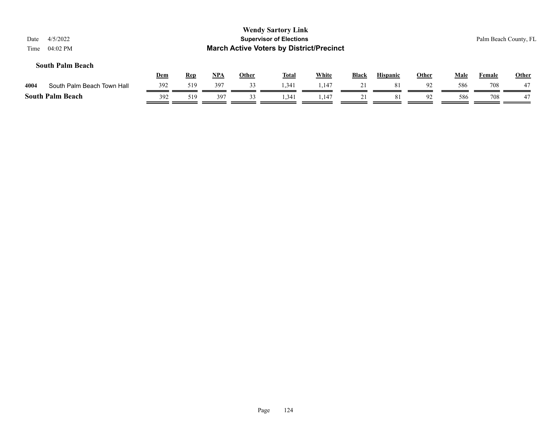| Date<br>Time | 4/5/2022<br>04:02 PM       |     |            |            |              | <b>Wendy Sartory Link</b><br><b>Supervisor of Elections</b><br><b>March Active Voters by District/Precinct</b> |       |              |                 |              |             |        | Palm Beach County, FL |
|--------------|----------------------------|-----|------------|------------|--------------|----------------------------------------------------------------------------------------------------------------|-------|--------------|-----------------|--------------|-------------|--------|-----------------------|
|              | <b>South Palm Beach</b>    | Dem | <u>Rep</u> | <u>NPA</u> | <b>Other</b> | <b>Total</b>                                                                                                   | White | <b>Black</b> | <b>Hispanic</b> | <b>Other</b> | <b>Male</b> | Female | <b>Other</b>          |
| 4004         | South Palm Beach Town Hall | 392 | 519        | 397        | 33           | 1.341                                                                                                          | 1.147 | 21           | -81             | 92           | 586         | 708    | 47                    |
|              | <b>South Palm Beach</b>    | 392 | 519        | 397        | 33           | 1,341                                                                                                          | 1,147 | 21           | 81              | 92           | 586         | 708    | 47                    |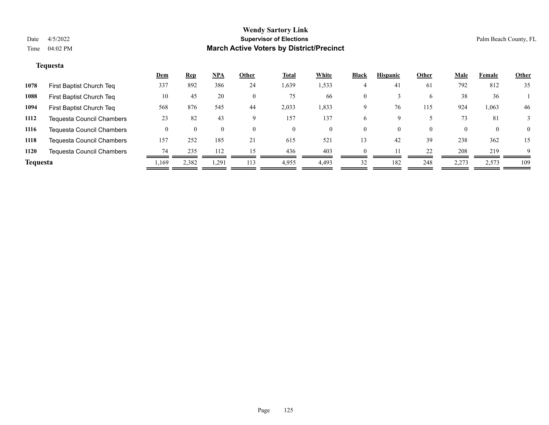#### **Tequesta**

|                 |                                  | <u>Dem</u> | <u>Rep</u> | <u>NPA</u> | Other | <b>Total</b> | White | <b>Black</b> | <b>Hispanic</b> | Other    | Male  | Female       | <b>Other</b> |
|-----------------|----------------------------------|------------|------------|------------|-------|--------------|-------|--------------|-----------------|----------|-------|--------------|--------------|
| 1078            | First Baptist Church Teq         | 337        | 892        | 386        | 24    | 1,639        | 1,533 |              | 41              | 61       | 792   | 812          | 35           |
| 1088            | First Baptist Church Teq         | 10         | 45         | 20         |       | 75           | 66    | $\Omega$     |                 | 6        | 38    | 36           |              |
| 1094            | First Baptist Church Teq         | 568        | 876        | 545        | 44    | 2,033        | 1,833 | 9            | 76              | 115      | 924   | 1,063        | 46           |
| 1112            | <b>Tequesta Council Chambers</b> | 23         | 82         | 43         |       | 157          | 137   | <sub>0</sub> |                 |          | 73    | 81           |              |
| 1116            | <b>Tequesta Council Chambers</b> |            |            |            |       |              | 0     | $\Omega$     |                 | $\theta$ |       | $\mathbf{0}$ | $\Omega$     |
| 1118            | <b>Tequesta Council Chambers</b> | 157        | 252        | 185        | 21    | 615          | 521   | 13           | 42              | 39       | 238   | 362          | 15           |
| 1120            | <b>Tequesta Council Chambers</b> | 74         | 235        | 112        | 15    | 436          | 403   |              |                 | 22       | 208   | 219          | $\mathbf Q$  |
| <b>Tequesta</b> |                                  | 1,169      | 2,382      | 1,291      | 113   | 4,955        | 4,493 | 32           | 182             | 248      | 2,273 | 2,573        | 109          |
|                 |                                  |            |            |            |       |              |       |              |                 |          |       |              |              |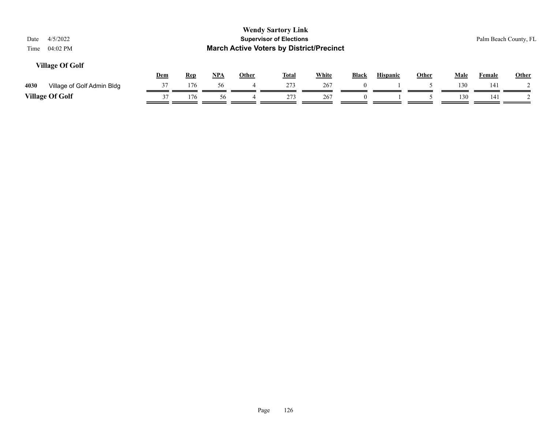| 4/5/2022<br>Date<br>04:02 PM<br>Time |            |            |       |       | <b>Wendy Sartory Link</b><br><b>Supervisor of Elections</b><br><b>March Active Voters by District/Precinct</b> |              |              |                 |              |      |               | Palm Beach County, FL |
|--------------------------------------|------------|------------|-------|-------|----------------------------------------------------------------------------------------------------------------|--------------|--------------|-----------------|--------------|------|---------------|-----------------------|
| <b>Village Of Golf</b>               | <u>Dem</u> | <b>Rep</b> | $NPA$ | Other | <u>Total</u>                                                                                                   | <b>White</b> | <b>Black</b> | <b>Hispanic</b> | <u>Other</u> | Male | <b>Female</b> | Other                 |
| 4030<br>Village of Golf Admin Bldg   | 37         | 176        | 56    |       | 273                                                                                                            | 267          |              |                 |              | 130  | 141           |                       |
| <b>Village Of Golf</b>               | 37         | 176        | 56    |       | 273                                                                                                            | 267          |              |                 |              | 130  | 141           |                       |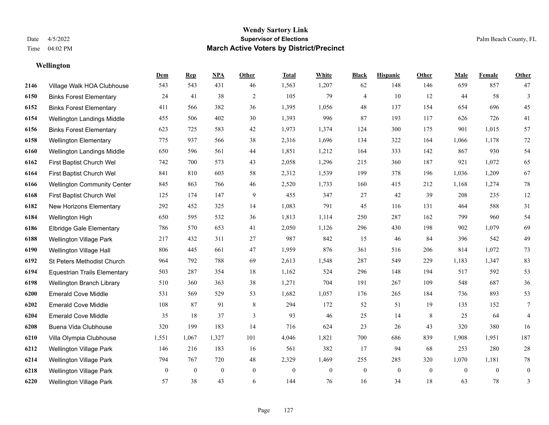**Wellington**

#### **Wendy Sartory Link** Date 4/5/2022 **Supervisor of Elections** Palm Beach County, FL Time 04:02 PM **March Active Voters by District/Precinct**

**Dem Rep NPA Other Total White Black Hispanic Other Male Female Other**

# Village Walk HOA Clubhouse 543 543 431 46 1,563 1,207 62 148 146 659 857 47

| 6150 | <b>Binks Forest Elementary</b>      | 24               | 41           | 38       | $\mathfrak{2}$   | 105              | 79             | $\overline{4}$ | 10           | 12               | 44           | 58           | 3              |
|------|-------------------------------------|------------------|--------------|----------|------------------|------------------|----------------|----------------|--------------|------------------|--------------|--------------|----------------|
| 6152 | <b>Binks Forest Elementary</b>      | 411              | 566          | 382      | 36               | 1,395            | 1,056          | 48             | 137          | 154              | 654          | 696          | 45             |
| 6154 | Wellington Landings Middle          | 455              | 506          | 402      | 30               | 1,393            | 996            | 87             | 193          | 117              | 626          | 726          | 41             |
| 6156 | <b>Binks Forest Elementary</b>      | 623              | 725          | 583      | 42               | 1,973            | 1,374          | 124            | 300          | 175              | 901          | 1,015        | 57             |
| 6158 | <b>Wellington Elementary</b>        | 775              | 937          | 566      | 38               | 2,316            | 1,696          | 134            | 322          | 164              | 1,066        | 1,178        | $72\,$         |
| 6160 | Wellington Landings Middle          | 650              | 596          | 561      | 44               | 1,851            | 1,212          | 164            | 333          | 142              | 867          | 930          | 54             |
| 6162 | First Baptist Church Wel            | 742              | 700          | 573      | 43               | 2,058            | 1,296          | 215            | 360          | 187              | 921          | 1,072        | 65             |
| 6164 | First Baptist Church Wel            | 841              | 810          | 603      | 58               | 2,312            | 1,539          | 199            | 378          | 196              | 1,036        | 1,209        | 67             |
| 6166 | <b>Wellington Community Center</b>  | 845              | 863          | 766      | 46               | 2,520            | 1,733          | 160            | 415          | 212              | 1,168        | 1,274        | 78             |
| 6168 | First Baptist Church Wel            | 125              | 174          | 147      | 9                | 455              | 347            | 27             | 42           | 39               | 208          | 235          | 12             |
| 6182 | New Horizons Elementary             | 292              | 452          | 325      | 14               | 1,083            | 791            | 45             | 116          | 131              | 464          | 588          | 31             |
| 6184 | Wellington High                     | 650              | 595          | 532      | 36               | 1,813            | 1,114          | 250            | 287          | 162              | 799          | 960          | 54             |
| 6186 | <b>Elbridge Gale Elementary</b>     | 786              | 570          | 653      | 41               | 2,050            | 1,126          | 296            | 430          | 198              | 902          | 1,079        | 69             |
| 6188 | Wellington Village Park             | 217              | 432          | 311      | 27               | 987              | 842            | 15             | 46           | 84               | 396          | 542          | 49             |
| 6190 | Wellington Village Hall             | 806              | 445          | 661      | 47               | 1,959            | 876            | 361            | 516          | 206              | 814          | 1,072        | 73             |
| 6192 | St Peters Methodist Church          | 964              | 792          | 788      | 69               | 2,613            | 1,548          | 287            | 549          | 229              | 1,183        | 1,347        | 83             |
| 6194 | <b>Equestrian Trails Elementary</b> | 503              | 287          | 354      | 18               | 1,162            | 524            | 296            | 148          | 194              | 517          | 592          | 53             |
| 6198 | Wellington Branch Library           | 510              | 360          | 363      | 38               | 1,271            | 704            | 191            | 267          | 109              | 548          | 687          | 36             |
| 6200 | <b>Emerald Cove Middle</b>          | 531              | 569          | 529      | 53               | 1,682            | 1,057          | 176            | 265          | 184              | 736          | 893          | 53             |
| 6202 | <b>Emerald Cove Middle</b>          | 108              | 87           | 91       | 8                | 294              | 172            | 52             | 51           | 19               | 135          | 152          | 7              |
| 6204 | <b>Emerald Cove Middle</b>          | 35               | 18           | 37       | 3                | 93               | 46             | 25             | 14           | $\,8\,$          | 25           | 64           | $\overline{4}$ |
| 6208 | Buena Vida Clubhouse                | 320              | 199          | 183      | 14               | 716              | 624            | 23             | 26           | 43               | 320          | 380          | 16             |
| 6210 | Villa Olympia Clubhouse             | 1,551            | 1,067        | 1,327    | 101              | 4,046            | 1,821          | 700            | 686          | 839              | 1,908        | 1,951        | 187            |
| 6212 | Wellington Village Park             | 146              | 216          | 183      | 16               | 561              | 382            | 17             | 94           | 68               | 253          | 280          | $28\,$         |
| 6214 | Wellington Village Park             | 794              | 767          | 720      | 48               | 2,329            | 1,469          | 255            | 285          | 320              | 1,070        | 1,181        | 78             |
| 6218 | Wellington Village Park             | $\boldsymbol{0}$ | $\mathbf{0}$ | $\bf{0}$ | $\boldsymbol{0}$ | $\boldsymbol{0}$ | $\overline{0}$ | $\mathbf{0}$   | $\mathbf{0}$ | $\boldsymbol{0}$ | $\mathbf{0}$ | $\mathbf{0}$ | $\mathbf{0}$   |
| 6220 | Wellington Village Park             | 57               | 38           | 43       | 6                | 144              | 76             | 16             | 34           | 18               | 63           | 78           | 3              |
|      |                                     |                  |              |          |                  |                  |                |                |              |                  |              |              |                |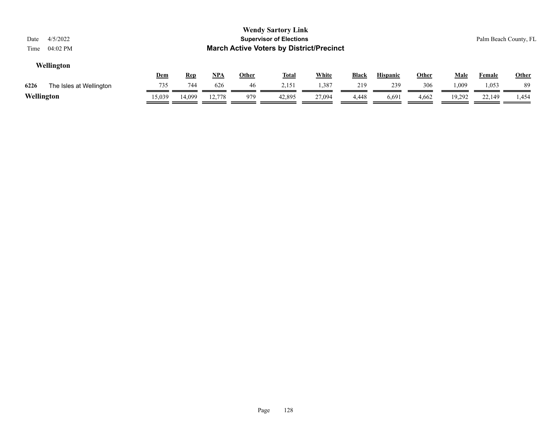| 4/5/2022<br>Date<br>$04:02$ PM<br>Time |        |            |        |              | <b>Wendy Sartory Link</b><br><b>Supervisor of Elections</b><br><b>March Active Voters by District/Precinct</b> |              |       |                 |       |             |               | Palm Beach County, FL |
|----------------------------------------|--------|------------|--------|--------------|----------------------------------------------------------------------------------------------------------------|--------------|-------|-----------------|-------|-------------|---------------|-----------------------|
| Wellington                             | Dem    | <u>Rep</u> | NPA    | <b>Other</b> | <u>Total</u>                                                                                                   | <b>White</b> | Black | <b>Hispanic</b> | Other | <b>Male</b> | <b>Female</b> | Other                 |
| 6226<br>The Isles at Wellington        | 735    | 744        | 626    | 46           | 2,151                                                                                                          | 1,387        | 219   | 239             | 306   | .009        | 1,053         | 89                    |
| Wellington                             | 15,039 | 14,099     | 12,778 | 979          | 42,895                                                                                                         | 27,094       | 4,448 | 6,691           | 4,662 | 19.292      | 22,149        | 1,454                 |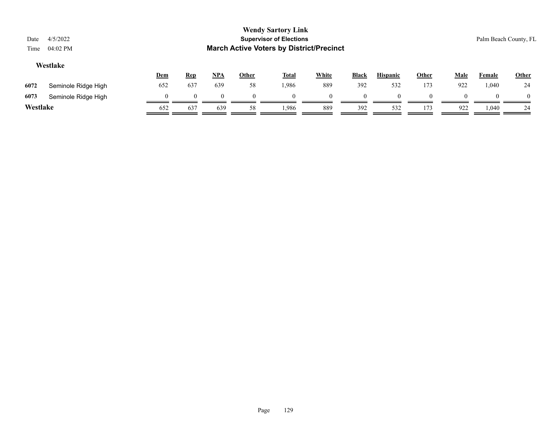| Date<br>Time                                                                                                                                                            | 4/5/2022<br>04:02 PM |          |          |          |    | <b>Wendy Sartory Link</b><br><b>Supervisor of Elections</b><br><b>March Active Voters by District/Precinct</b> |     |          |     |     |     |       | Palm Beach County, FL |
|-------------------------------------------------------------------------------------------------------------------------------------------------------------------------|----------------------|----------|----------|----------|----|----------------------------------------------------------------------------------------------------------------|-----|----------|-----|-----|-----|-------|-----------------------|
| Westlake<br><b>White</b><br><u>NPA</u><br><b>Hispanic</b><br>Other<br><b>Other</b><br><b>Total</b><br><b>Black</b><br><u>Male</u><br>Dem<br><b>Rep</b><br><b>Female</b> |                      |          |          |          |    |                                                                                                                |     |          |     |     |     | Other |                       |
| 6072                                                                                                                                                                    | Seminole Ridge High  | 652      | 637      | 639      | 58 | 1,986                                                                                                          | 889 | 392      | 532 | 173 | 922 | 1,040 | 24                    |
| 6073                                                                                                                                                                    | Seminole Ridge High  | $\theta$ | $\theta$ | $\theta$ |    | $\Omega$                                                                                                       |     | $\Omega$ |     |     |     |       | $\theta$              |
| Westlake                                                                                                                                                                |                      | 652      | 637      | 639      | 58 | 1.986                                                                                                          | 889 | 392      | 532 | 173 | 922 | 1,040 | 24                    |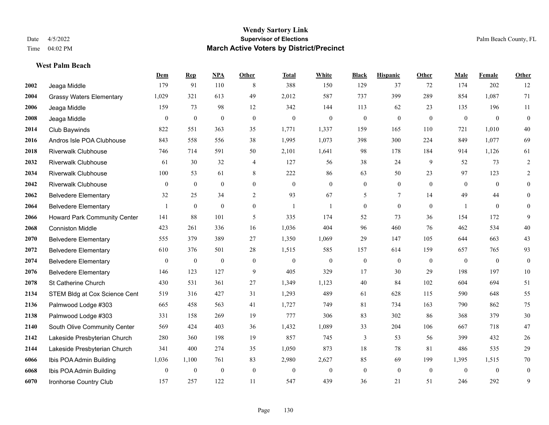#### **West Palm Beach**

|      |                                     | Dem              | <b>Rep</b>       | NPA              | <b>Other</b>   | <b>Total</b>     | <b>White</b>     | <b>Black</b>     | <b>Hispanic</b>  | <b>Other</b> | <b>Male</b>      | Female         | <b>Other</b>     |
|------|-------------------------------------|------------------|------------------|------------------|----------------|------------------|------------------|------------------|------------------|--------------|------------------|----------------|------------------|
| 2002 | Jeaga Middle                        | 179              | 91               | 110              | 8              | 388              | 150              | 129              | 37               | 72           | 174              | 202            | 12               |
| 2004 | <b>Grassy Waters Elementary</b>     | 1,029            | 321              | 613              | 49             | 2,012            | 587              | 737              | 399              | 289          | 854              | 1,087          | 71               |
| 2006 | Jeaga Middle                        | 159              | 73               | 98               | 12             | 342              | 144              | 113              | 62               | 23           | 135              | 196            | 11               |
| 2008 | Jeaga Middle                        | $\mathbf{0}$     | $\boldsymbol{0}$ | $\mathbf{0}$     | $\mathbf{0}$   | $\boldsymbol{0}$ | $\mathbf{0}$     | $\boldsymbol{0}$ | $\mathbf{0}$     | $\mathbf{0}$ | $\overline{0}$   | $\mathbf{0}$   | $\boldsymbol{0}$ |
| 2014 | Club Baywinds                       | 822              | 551              | 363              | 35             | 1,771            | 1,337            | 159              | 165              | 110          | 721              | 1.010          | 40               |
| 2016 | Andros Isle POA Clubhouse           | 843              | 558              | 556              | 38             | 1,995            | 1,073            | 398              | 300              | 224          | 849              | 1,077          | 69               |
| 2018 | <b>Riverwalk Clubhouse</b>          | 746              | 714              | 591              | 50             | 2,101            | 1,641            | 98               | 178              | 184          | 914              | 1,126          | 61               |
| 2032 | <b>Riverwalk Clubhouse</b>          | 61               | 30               | 32               | $\overline{4}$ | 127              | 56               | 38               | 24               | 9            | 52               | 73             | $\overline{2}$   |
| 2034 | <b>Riverwalk Clubhouse</b>          | 100              | 53               | 61               | 8              | 222              | 86               | 63               | 50               | 23           | 97               | 123            | $\overline{2}$   |
| 2042 | <b>Riverwalk Clubhouse</b>          | $\mathbf{0}$     | $\mathbf{0}$     | $\mathbf{0}$     | $\overline{0}$ | $\mathbf{0}$     | $\overline{0}$   | $\overline{0}$   | $\overline{0}$   | $\theta$     | $\theta$         | $\theta$       | $\overline{0}$   |
| 2062 | <b>Belvedere Elementary</b>         | 32               | 25               | 34               | 2              | 93               | 67               | 5                | $\tau$           | 14           | 49               | 44             | $\Omega$         |
| 2064 | <b>Belvedere Elementary</b>         |                  | $\overline{0}$   | $\mathbf{0}$     | $\overline{0}$ | $\mathbf{1}$     | 1                | $\overline{0}$   | $\overline{0}$   | $\mathbf{0}$ | $\mathbf{1}$     | $\overline{0}$ | $\Omega$         |
| 2066 | <b>Howard Park Community Center</b> | 141              | 88               | 101              | 5              | 335              | 174              | 52               | 73               | 36           | 154              | 172            | 9                |
| 2068 | <b>Conniston Middle</b>             | 423              | 261              | 336              | 16             | 1,036            | 404              | 96               | 460              | 76           | 462              | 534            | $40\,$           |
| 2070 | <b>Belvedere Elementary</b>         | 555              | 379              | 389              | 27             | 1,350            | 1,069            | 29               | 147              | 105          | 644              | 663            | 43               |
| 2072 | <b>Belvedere Elementary</b>         | 610              | 376              | 501              | 28             | 1,515            | 585              | 157              | 614              | 159          | 657              | 765            | 93               |
| 2074 | <b>Belvedere Elementary</b>         | $\boldsymbol{0}$ | $\boldsymbol{0}$ | $\boldsymbol{0}$ | $\mathbf{0}$   | $\mathbf{0}$     | $\boldsymbol{0}$ | $\boldsymbol{0}$ | $\boldsymbol{0}$ | $\mathbf{0}$ | $\boldsymbol{0}$ | $\overline{0}$ | $\boldsymbol{0}$ |
| 2076 | <b>Belvedere Elementary</b>         | 146              | 123              | 127              | 9              | 405              | 329              | 17               | 30               | 29           | 198              | 197            | $10\,$           |
| 2078 | St Catherine Church                 | 430              | 531              | 361              | 27             | 1,349            | 1,123            | 40               | 84               | 102          | 604              | 694            | 51               |
| 2134 | STEM Bldg at Cox Science Cent       | 519              | 316              | 427              | 31             | 1,293            | 489              | 61               | 628              | 115          | 590              | 648            | 55               |
| 2136 | Palmwood Lodge #303                 | 665              | 458              | 563              | 41             | 1,727            | 749              | 81               | 734              | 163          | 790              | 862            | 75               |
| 2138 | Palmwood Lodge #303                 | 331              | 158              | 269              | 19             | 777              | 306              | 83               | 302              | 86           | 368              | 379            | $30\,$           |
| 2140 | South Olive Community Center        | 569              | 424              | 403              | 36             | 1,432            | 1,089            | 33               | 204              | 106          | 667              | 718            | 47               |
| 2142 | Lakeside Presbyterian Church        | 280              | 360              | 198              | 19             | 857              | 745              | 3                | 53               | 56           | 399              | 432            | 26               |
| 2144 | Lakeside Presbyterian Church        | 341              | 400              | 274              | 35             | 1,050            | 873              | 18               | 78               | 81           | 486              | 535            | 29               |
| 6066 | Ibis POA Admin Building             | 1,036            | 1,100            | 761              | 83             | 2,980            | 2,627            | 85               | 69               | 199          | 1,395            | 1,515          | $70\,$           |
| 6068 | Ibis POA Admin Building             | $\mathbf{0}$     | $\boldsymbol{0}$ | $\boldsymbol{0}$ | $\mathbf{0}$   | $\mathbf{0}$     | $\mathbf{0}$     | $\boldsymbol{0}$ | $\overline{0}$   | $\mathbf{0}$ | $\mathbf{0}$     | $\overline{0}$ | $\overline{0}$   |
| 6070 | Ironhorse Country Club              | 157              | 257              | 122              | 11             | 547              | 439              | 36               | 21               | 51           | 246              | 292            | 9                |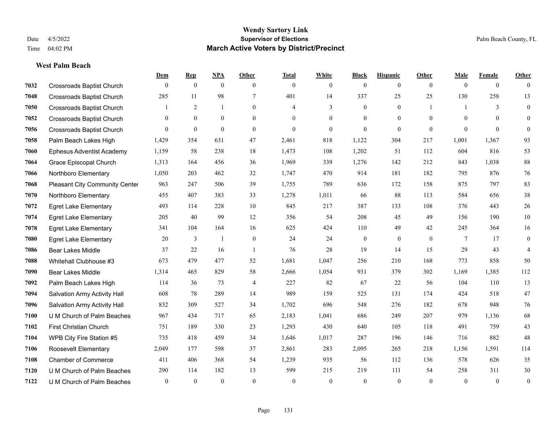#### **West Palm Beach**

|      |                                  | Dem          | <b>Rep</b>       | NPA            | <b>Other</b>   | <b>Total</b> | <b>White</b>   | <b>Black</b>     | <b>Hispanic</b> | <b>Other</b>   | <b>Male</b>  | <b>Female</b>  | <b>Other</b>     |
|------|----------------------------------|--------------|------------------|----------------|----------------|--------------|----------------|------------------|-----------------|----------------|--------------|----------------|------------------|
| 7032 | <b>Crossroads Baptist Church</b> | $\mathbf{0}$ | $\mathbf{0}$     | $\overline{0}$ | $\theta$       | $\theta$     | $\overline{0}$ | $\mathbf{0}$     | $\mathbf{0}$    | $\theta$       | $\theta$     | $\overline{0}$ | $\theta$         |
| 7048 | <b>Crossroads Baptist Church</b> | 285          | 11               | 98             | $\overline{7}$ | 401          | 14             | 337              | 25              | 25             | 130          | 258            | 13               |
| 7050 | <b>Crossroads Baptist Church</b> | 1            | 2                | 1              | $\theta$       | 4            | 3              | $\mathbf{0}$     | $\mathbf{0}$    | $\overline{1}$ | $\mathbf{1}$ | 3              | $\mathbf{0}$     |
| 7052 | <b>Crossroads Baptist Church</b> | $\mathbf{0}$ | $\mathbf{0}$     | $\mathbf{0}$   | $\overline{0}$ | $\theta$     | $\overline{0}$ | $\mathbf{0}$     | $\mathbf{0}$    | $\mathbf{0}$   | $\theta$     | $\theta$       | $\theta$         |
| 7056 | <b>Crossroads Baptist Church</b> | $\theta$     | $\boldsymbol{0}$ | $\theta$       | $\Omega$       | $\theta$     | $\overline{0}$ | $\mathbf{0}$     | $\Omega$        | $\theta$       | $\theta$     | $\Omega$       | $\mathbf{0}$     |
| 7058 | Palm Beach Lakes High            | 1,429        | 354              | 631            | 47             | 2,461        | 818            | 1,122            | 304             | 217            | 1,001        | 1,367          | 93               |
| 7060 | <b>Ephesus Adventist Academy</b> | 1,159        | 58               | 238            | 18             | 1,473        | 108            | 1,202            | 51              | 112            | 604          | 816            | 53               |
| 7064 | Grace Episcopal Church           | 1,313        | 164              | 456            | 36             | 1,969        | 339            | 1,276            | 142             | 212            | 843          | 1,038          | 88               |
| 7066 | Northboro Elementary             | 1,050        | 203              | 462            | 32             | 1,747        | 470            | 914              | 181             | 182            | 795          | 876            | 76               |
| 7068 | Pleasant City Community Center   | 963          | 247              | 506            | 39             | 1,755        | 789            | 636              | 172             | 158            | 875          | 797            | 83               |
| 7070 | Northboro Elementary             | 455          | 407              | 383            | 33             | 1,278        | 1,011          | 66               | 88              | 113            | 584          | 656            | 38               |
| 7072 | <b>Egret Lake Elementary</b>     | 493          | 114              | 228            | 10             | 845          | 217            | 387              | 133             | 108            | 376          | 443            | 26               |
| 7074 | <b>Egret Lake Elementary</b>     | 205          | 40               | 99             | 12             | 356          | 54             | 208              | 45              | 49             | 156          | 190            | 10               |
| 7078 | <b>Egret Lake Elementary</b>     | 341          | 104              | 164            | 16             | 625          | 424            | 110              | 49              | 42             | 245          | 364            | 16               |
| 7080 | <b>Egret Lake Elementary</b>     | 20           | 3                | $\overline{1}$ | $\overline{0}$ | 24           | 24             | $\boldsymbol{0}$ | $\overline{0}$  | $\theta$       | 7            | 17             | $\boldsymbol{0}$ |
| 7086 | <b>Bear Lakes Middle</b>         | 37           | 22               | 16             | $\overline{1}$ | 76           | 28             | 19               | 14              | 15             | 29           | 43             | 4                |
| 7088 | Whitehall Clubhouse #3           | 673          | 479              | 477            | 52             | 1,681        | 1,047          | 256              | 210             | 168            | 773          | 858            | 50               |
| 7090 | <b>Bear Lakes Middle</b>         | 1,314        | 465              | 829            | 58             | 2,666        | 1,054          | 931              | 379             | 302            | 1,169        | 1,385          | 112              |
| 7092 | Palm Beach Lakes High            | 114          | 36               | 73             | 4              | 227          | 82             | 67               | 22              | 56             | 104          | 110            | 13               |
| 7094 | Salvation Army Activity Hall     | 608          | 78               | 289            | 14             | 989          | 159            | 525              | 131             | 174            | 424          | 518            | 47               |
| 7096 | Salvation Army Activity Hall     | 832          | 309              | 527            | 34             | 1,702        | 696            | 548              | 276             | 182            | 678          | 948            | 76               |
| 7100 | U M Church of Palm Beaches       | 967          | 434              | 717            | 65             | 2,183        | 1,041          | 686              | 249             | 207            | 979          | 1,136          | 68               |
| 7102 | First Christian Church           | 751          | 189              | 330            | 23             | 1,293        | 430            | 640              | 105             | 118            | 491          | 759            | 43               |
| 7104 | WPB City Fire Station #5         | 735          | 418              | 459            | 34             | 1,646        | 1,017          | 287              | 196             | 146            | 716          | 882            | 48               |
| 7106 | Roosevelt Elementary             | 2,049        | 177              | 598            | 37             | 2,861        | 283            | 2,095            | 265             | 218            | 1.156        | 1,591          | 114              |
| 7108 | <b>Chamber of Commerce</b>       | 411          | 406              | 368            | 54             | 1,239        | 935            | 56               | 112             | 136            | 578          | 626            | 35               |
| 7120 | U M Church of Palm Beaches       | 290          | 114              | 182            | 13             | 599          | 215            | 219              | 111             | 54             | 258          | 311            | 30               |
| 7122 | U M Church of Palm Beaches       | $\mathbf{0}$ | $\theta$         | $\theta$       | $\theta$       | $\theta$     | $\Omega$       | $\theta$         | $\theta$        | $\theta$       | $\theta$     | $\mathbf{0}$   | $\boldsymbol{0}$ |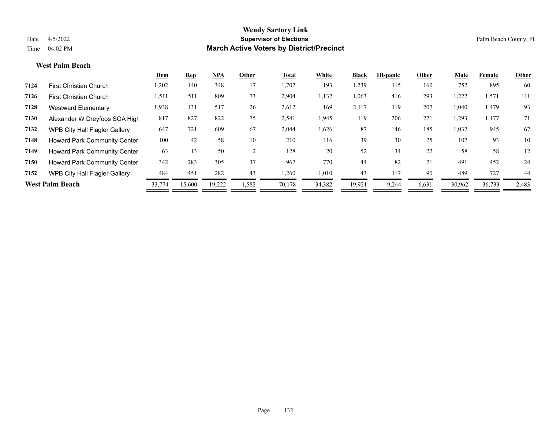#### **West Palm Beach**

|      |                                      | Dem    | <b>Rep</b> | <b>NPA</b> | Other | Total  | White  | <b>Black</b> | <b>Hispanic</b> | Other | Male   | Female | Other |
|------|--------------------------------------|--------|------------|------------|-------|--------|--------|--------------|-----------------|-------|--------|--------|-------|
| 7124 | <b>First Christian Church</b>        | 1,202  | 140        | 348        | 17    | 1,707  | 193    | 1,239        | 115             | 160   | 752    | 895    | 60    |
| 7126 | <b>First Christian Church</b>        | 1,511  | 511        | 809        | 73    | 2,904  | 1,132  | 1,063        | 416             | 293   | 1,222  | 1,571  | 111   |
| 7128 | Westward Elementary                  | 1,938  | 131        | 517        | 26    | 2,612  | 169    | 2,117        | 119             | 207   | 1,040  | 1,479  | 93    |
| 7130 | Alexander W Dreyfoos SOA High        | 817    | 827        | 822        | 75    | 2,541  | 1,945  | 119          | 206             | 271   | 1,293  | 1,177  | 71    |
| 7132 | <b>WPB City Hall Flagler Gallery</b> | 647    | 721        | 609        | 67    | 2,044  | 1,626  | 87           | 146             | 185   | 1,032  | 945    | 67    |
| 7148 | <b>Howard Park Community Center</b>  | 100    | 42         | 58         | 10    | 210    | 116    | 39           | 30              | 25    | 107    | 93     | 10    |
| 7149 | <b>Howard Park Community Center</b>  | 63     | 13         | 50         | 2     | 128    | 20     | 52           | 34              | 22    | 58     | 58     | 12    |
| 7150 | <b>Howard Park Community Center</b>  | 342    | 283        | 305        | 37    | 967    | 770    | 44           | 82              | 71    | 491    | 452    | 24    |
| 7152 | WPB City Hall Flagler Gallery        | 484    | 451        | 282        | 43    | 1,260  | 1,010  | 43           | 117             | 90    | 489    | 727    | 44    |
|      | <b>West Palm Beach</b>               | 33,774 | 15,600     | 19,222     | 1,582 | 70,178 | 34,382 | 19,921       | 9,244           | 6,631 | 30,962 | 36,733 | 2,483 |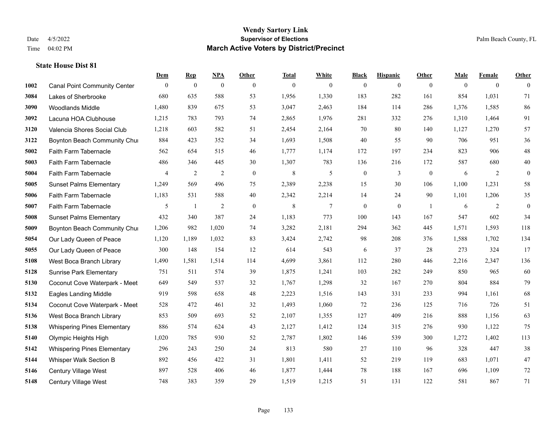|      |                                     | Dem          | <b>Rep</b>       | NPA              | <b>Other</b>     | <b>Total</b> | <b>White</b>   | <b>Black</b>     | <b>Hispanic</b>  | <b>Other</b>   | <b>Male</b> | <b>Female</b>  | <b>Other</b> |
|------|-------------------------------------|--------------|------------------|------------------|------------------|--------------|----------------|------------------|------------------|----------------|-------------|----------------|--------------|
| 1002 | <b>Canal Point Community Center</b> | $\mathbf{0}$ | $\boldsymbol{0}$ | $\boldsymbol{0}$ | $\theta$         | $\mathbf{0}$ | $\overline{0}$ | $\overline{0}$   | $\overline{0}$   | $\overline{0}$ | $\theta$    | $\overline{0}$ | $\Omega$     |
| 3084 | Lakes of Sherbrooke                 | 680          | 635              | 588              | 53               | 1,956        | 1,330          | 183              | 282              | 161            | 854         | 1,031          | 71           |
| 3090 | <b>Woodlands Middle</b>             | 1,480        | 839              | 675              | 53               | 3,047        | 2,463          | 184              | 114              | 286            | 1,376       | 1,585          | 86           |
| 3092 | Lacuna HOA Clubhouse                | 1,215        | 783              | 793              | 74               | 2,865        | 1,976          | 281              | 332              | 276            | 1,310       | 1,464          | 91           |
| 3120 | Valencia Shores Social Club         | 1,218        | 603              | 582              | 51               | 2,454        | 2,164          | 70               | 80               | 140            | 1,127       | 1,270          | 57           |
| 3122 | Boynton Beach Community Chur        | 884          | 423              | 352              | 34               | 1,693        | 1,508          | $40\,$           | 55               | 90             | 706         | 951            | 36           |
| 5002 | Faith Farm Tabernacle               | 562          | 654              | 515              | 46               | 1,777        | 1,174          | 172              | 197              | 234            | 823         | 906            | 48           |
| 5003 | Faith Farm Tabernacle               | 486          | 346              | 445              | 30               | 1,307        | 783            | 136              | 216              | 172            | 587         | 680            | 40           |
| 5004 | Faith Farm Tabernacle               | 4            | $\overline{c}$   | $\sqrt{2}$       | $\mathbf{0}$     | 8            | 5              | $\boldsymbol{0}$ | 3                | $\mathbf{0}$   | 6           | 2              | $\mathbf{0}$ |
| 5005 | <b>Sunset Palms Elementary</b>      | 1,249        | 569              | 496              | 75               | 2,389        | 2,238          | 15               | 30               | 106            | 1,100       | 1,231          | 58           |
| 5006 | Faith Farm Tabernacle               | 1,183        | 531              | 588              | 40               | 2,342        | 2,214          | 14               | 24               | 90             | 1,101       | 1,206          | 35           |
| 5007 | Faith Farm Tabernacle               | 5            | -1               | $\overline{2}$   | $\boldsymbol{0}$ | 8            | $\tau$         | $\boldsymbol{0}$ | $\boldsymbol{0}$ | -1             | 6           | 2              | $\mathbf{0}$ |
| 5008 | <b>Sunset Palms Elementary</b>      | 432          | 340              | 387              | 24               | 1,183        | 773            | 100              | 143              | 167            | 547         | 602            | 34           |
| 5009 | Boynton Beach Community Chur        | 1,206        | 982              | 1,020            | 74               | 3,282        | 2,181          | 294              | 362              | 445            | 1,571       | 1,593          | 118          |
| 5054 | Our Lady Queen of Peace             | 1,120        | 1,189            | 1,032            | 83               | 3,424        | 2,742          | 98               | 208              | 376            | 1,588       | 1,702          | 134          |
| 5055 | Our Lady Queen of Peace             | 300          | 148              | 154              | 12               | 614          | 543            | 6                | 37               | 28             | 273         | 324            | 17           |
| 5108 | West Boca Branch Library            | 1,490        | 1,581            | 1,514            | 114              | 4,699        | 3,861          | 112              | 280              | 446            | 2,216       | 2,347          | 136          |
| 5128 | <b>Sunrise Park Elementary</b>      | 751          | 511              | 574              | 39               | 1,875        | 1,241          | 103              | 282              | 249            | 850         | 965            | 60           |
| 5130 | Coconut Cove Waterpark - Meet       | 649          | 549              | 537              | 32               | 1,767        | 1,298          | 32               | 167              | 270            | 804         | 884            | 79           |
| 5132 | Eagles Landing Middle               | 919          | 598              | 658              | 48               | 2,223        | 1,516          | 143              | 331              | 233            | 994         | 1,161          | 68           |
| 5134 | Coconut Cove Waterpark - Meet       | 528          | 472              | 461              | 32               | 1,493        | 1,060          | 72               | 236              | 125            | 716         | 726            | 51           |
| 5136 | West Boca Branch Library            | 853          | 509              | 693              | 52               | 2,107        | 1,355          | 127              | 409              | 216            | 888         | 1,156          | 63           |
| 5138 | <b>Whispering Pines Elementary</b>  | 886          | 574              | 624              | 43               | 2,127        | 1,412          | 124              | 315              | 276            | 930         | 1,122          | 75           |
| 5140 | Olympic Heights High                | 1,020        | 785              | 930              | 52               | 2,787        | 1,802          | 146              | 539              | 300            | 1,272       | 1,402          | 113          |
| 5142 | <b>Whispering Pines Elementary</b>  | 296          | 243              | 250              | 24               | 813          | 580            | 27               | 110              | 96             | 328         | 447            | 38           |
| 5144 | Whisper Walk Section B              | 892          | 456              | 422              | 31               | 1,801        | 1,411          | 52               | 219              | 119            | 683         | 1,071          | 47           |
| 5146 | <b>Century Village West</b>         | 897          | 528              | 406              | 46               | 1,877        | 1,444          | 78               | 188              | 167            | 696         | 1,109          | $72\,$       |
| 5148 | <b>Century Village West</b>         | 748          | 383              | 359              | 29               | 1,519        | 1,215          | 51               | 131              | 122            | 581         | 867            | 71           |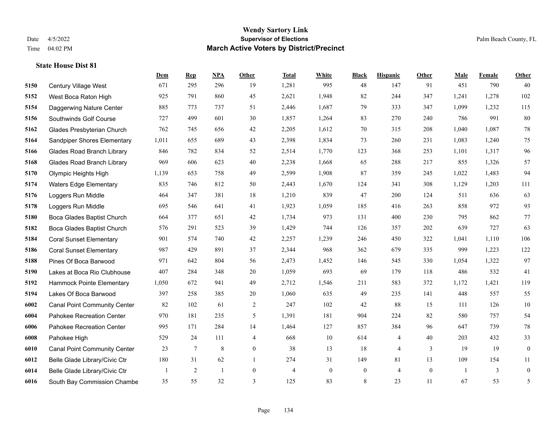**State House Dist 81**

#### **Wendy Sartory Link** Date 4/5/2022 **Supervisor of Elections** Palm Beach County, FL Time 04:02 PM **March Active Voters by District/Precinct**

# **Dem Rep NPA Other Total White Black Hispanic Other Male Female Other** Century Village West 671 295 296 19 1,281 995 48 147 91 451 790 40 West Boca Raton High 925 791 860 45 2,621 1,948 82 244 347 1,241 1,278 102 Daggerwing Nature Center 885 773 737 51 2,446 1,687 79 333 347 1,099 1,232 115 Southwinds Golf Course 727 499 601 30 1,857 1,264 83 270 240 786 991 80 Glades Presbyterian Church 762 745 656 42 2,205 1,612 70 315 208 1,040 1,087 78 Sandpiper Shores Elementary 1,011 655 689 43 2,398 1,834 73 260 231 1,083 1,240 75 Glades Road Branch Library 846 782 834 52 2,514 1,770 123 368 253 1,101 1,317 96 Glades Road Branch Library 969 606 623 40 2,238 1,668 65 288 217 855 1,326 57 Olympic Heights High 1,139 653 758 49 2,599 1,908 87 359 245 1,022 1,483 94 Waters Edge Elementary 835 746 812 50 2,443 1,670 124 341 308 1,129 1,203 111 Loggers Run Middle 464 347 381 18 1,210 839 47 200 124 511 636 63 Loggers Run Middle 695 546 641 41 1,923 1,059 185 416 263 858 972 93 Boca Glades Baptist Church 664 377 651 42 1,734 973 131 400 230 795 862 77 Boca Glades Baptist Church 576 291 523 39 1,429 744 126 357 202 639 727 63 Coral Sunset Elementary 901 574 740 42 2,257 1,239 246 450 322 1,041 1,110 106 Coral Sunset Elementary 987 429 891 37 2,344 968 362 679 335 999 1,223 122 Pines Of Boca Barwood 971 642 804 56 2,473 1,452 146 545 330 1,054 1,322 97 Lakes at Boca Rio Clubhouse 407 284 348 20 1,059 693 69 179 118 486 532 41 Hammock Pointe Elementary 1,050 672 941 49 2,712 1,546 211 583 372 1,172 1,421 119 Lakes Of Boca Barwood 397 258 385 20 1,060 635 49 235 141 448 557 55 Canal Point Community Center 82 102 61 2 247 102 42 88 15 111 126 10 Pahokee Recreation Center 970 181 235 5 1,391 181 904 224 82 580 757 54 Pahokee Recreation Center 995 171 284 14 1,464 127 857 384 96 647 739 78 Pahokee High 529 24 111 4 668 10 614 4 40 203 432 33 Canal Point Community Center 23 7 8 0 38 13 18 4 3 19 19 0 Belle Glade Library/Civic Ctr 180 31 62 1 274 31 149 81 13 109 154 11 Belle Glade Library/Civic Ctr  $\begin{array}{cccccccc} 1 & 2 & 1 & 0 & 4 & 0 & 0 & 4 & 0 & 1 & 3 & 0 \end{array}$

South Bay Commission Chambe 35 55 32 3 125 83 8 23 11 67 53 5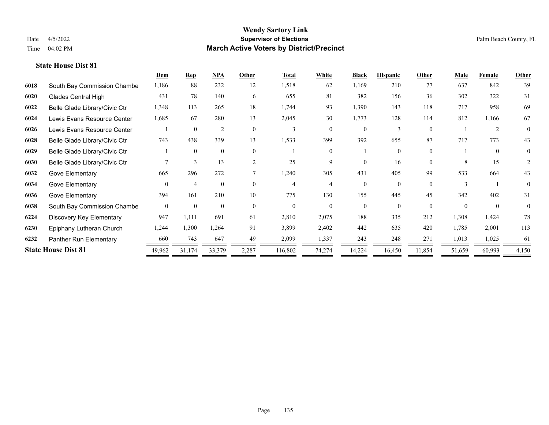|      |                               | Dem      | $\mathbf{Rep}$ | NPA            | Other    | <b>Total</b> | White    | <b>Black</b> | <b>Hispanic</b> | Other    | <b>Male</b> | Female         | Other    |
|------|-------------------------------|----------|----------------|----------------|----------|--------------|----------|--------------|-----------------|----------|-------------|----------------|----------|
| 6018 | South Bay Commission Chambe   | 1,186    | 88             | 232            | 12       | 1,518        | 62       | 1,169        | 210             | 77       | 637         | 842            | 39       |
| 6020 | <b>Glades Central High</b>    | 431      | 78             | 140            | 6        | 655          | 81       | 382          | 156             | 36       | 302         | 322            | 31       |
| 6022 | Belle Glade Library/Civic Ctr | 1,348    | 113            | 265            | 18       | 1,744        | 93       | 1,390        | 143             | 118      | 717         | 958            | 69       |
| 6024 | Lewis Evans Resource Center   | 1,685    | 67             | 280            | 13       | 2,045        | 30       | 1,773        | 128             | 114      | 812         | 1,166          | 67       |
| 6026 | Lewis Evans Resource Center   |          | $\theta$       | $\overline{2}$ | $\Omega$ | 3            | $\Omega$ | $\Omega$     | 3               | $\Omega$ |             | $\overline{2}$ | $\Omega$ |
| 6028 | Belle Glade Library/Civic Ctr | 743      | 438            | 339            | 13       | 1,533        | 399      | 392          | 655             | 87       | 717         | 773            | 43       |
| 6029 | Belle Glade Library/Civic Ctr |          | $\Omega$       | $\mathbf{0}$   | $\theta$ |              | $\Omega$ |              | 0               | $\theta$ |             | $\theta$       | $\Omega$ |
| 6030 | Belle Glade Library/Civic Ctr |          | 3              | 13             | 2        | 25           | 9        | 0            | 16              | $\Omega$ | 8           | 15             | 2        |
| 6032 | Gove Elementary               | 665      | 296            | 272            |          | 1,240        | 305      | 431          | 405             | 99       | 533         | 664            | 43       |
| 6034 | Gove Elementary               | $\Omega$ | $\overline{4}$ | $\theta$       | $\Omega$ | 4            | 4        | 0            | $\Omega$        | $\Omega$ |             |                | $\theta$ |
| 6036 | Gove Elementary               | 394      | 161            | 210            | 10       | 775          | 130      | 155          | 445             | 45       | 342         | 402            | 31       |
| 6038 | South Bay Commission Chambe   | $\theta$ | $\theta$       | $\theta$       | $\Omega$ | $\Omega$     | $\Omega$ | $\theta$     | $\theta$        | $\Omega$ | $\Omega$    | $\theta$       | $\theta$ |
| 6224 | Discovery Key Elementary      | 947      | 1,111          | 691            | 61       | 2,810        | 2,075    | 188          | 335             | 212      | 1,308       | 1,424          | 78       |
| 6230 | Epiphany Lutheran Church      | 1,244    | 1,300          | 1,264          | 91       | 3,899        | 2,402    | 442          | 635             | 420      | 1,785       | 2,001          | 113      |
| 6232 | Panther Run Elementary        | 660      | 743            | 647            | 49       | 2,099        | 1,337    | 243          | 248             | 271      | 1,013       | 1,025          | 61       |
|      | <b>State House Dist 81</b>    | 49,962   | 31,174         | 33,379         | 2,287    | 116,802      | 74,274   | 14,224       | 16,450          | 11,854   | 51,659      | 60,993         | 4,150    |
|      |                               |          |                |                |          |              |          |              |                 |          |             |                |          |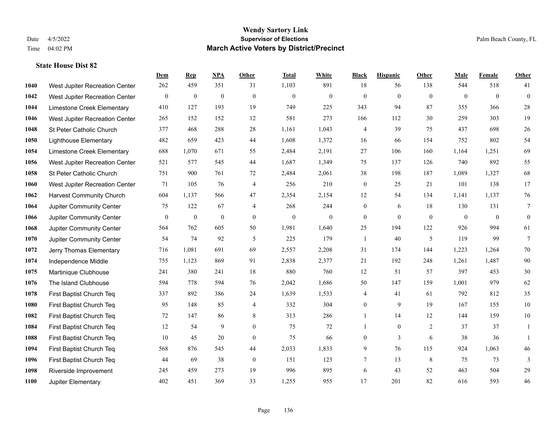|      |                                 | Dem            | <b>Rep</b>       | NPA              | <b>Other</b>   | <b>Total</b>     | <b>White</b> | <b>Black</b>     | <b>Hispanic</b> | <b>Other</b>   | <b>Male</b>  | <b>Female</b> | <b>Other</b>     |
|------|---------------------------------|----------------|------------------|------------------|----------------|------------------|--------------|------------------|-----------------|----------------|--------------|---------------|------------------|
| 1040 | West Jupiter Recreation Center  | 262            | 459              | 351              | 31             | 1,103            | 891          | 18               | 56              | 138            | 544          | 518           | 41               |
| 1042 | West Jupiter Recreation Center  | $\mathbf{0}$   | $\mathbf{0}$     | $\mathbf{0}$     | $\theta$       | $\mathbf{0}$     | $\mathbf{0}$ | $\mathbf{0}$     | $\mathbf{0}$    | $\theta$       | $\mathbf{0}$ | $\theta$      | $\mathbf{0}$     |
| 1044 | Limestone Creek Elementary      | 410            | 127              | 193              | 19             | 749              | 225          | 343              | 94              | 87             | 355          | 366           | $28\,$           |
| 1046 | West Jupiter Recreation Center  | 265            | 152              | 152              | 12             | 581              | 273          | 166              | 112             | 30             | 259          | 303           | 19               |
| 1048 | St Peter Catholic Church        | 377            | 468              | 288              | 28             | 1,161            | 1,043        | 4                | 39              | 75             | 437          | 698           | $26\,$           |
| 1050 | <b>Lighthouse Elementary</b>    | 482            | 659              | 423              | 44             | 1,608            | 1,372        | 16               | 66              | 154            | 752          | 802           | 54               |
| 1054 | Limestone Creek Elementary      | 688            | 1,070            | 671              | 55             | 2,484            | 2,191        | 27               | 106             | 160            | 1,164        | 1,251         | 69               |
| 1056 | West Jupiter Recreation Center  | 521            | 577              | 545              | 44             | 1,687            | 1,349        | 75               | 137             | 126            | 740          | 892           | 55               |
| 1058 | St Peter Catholic Church        | 751            | 900              | 761              | 72             | 2,484            | 2,061        | 38               | 198             | 187            | 1,089        | 1,327         | 68               |
| 1060 | West Jupiter Recreation Center  | 71             | 105              | 76               | $\overline{4}$ | 256              | 210          | $\boldsymbol{0}$ | 25              | 21             | 101          | 138           | 17               |
| 1062 | <b>Harvest Community Church</b> | 604            | 1,137            | 566              | 47             | 2,354            | 2,154        | 12               | 54              | 134            | 1,141        | 1,137         | 76               |
| 1064 | Jupiter Community Center        | 75             | 122              | 67               | $\overline{4}$ | 268              | 244          | $\mathbf{0}$     | 6               | 18             | 130          | 131           | $7\phantom{.0}$  |
| 1066 | Jupiter Community Center        | $\overline{0}$ | $\boldsymbol{0}$ | $\boldsymbol{0}$ | $\mathbf{0}$   | $\boldsymbol{0}$ | $\mathbf{0}$ | $\boldsymbol{0}$ | $\mathbf{0}$    | $\overline{0}$ | $\mathbf{0}$ | $\mathbf{0}$  | $\boldsymbol{0}$ |
| 1068 | Jupiter Community Center        | 564            | 762              | 605              | 50             | 1,981            | 1,640        | 25               | 194             | 122            | 926          | 994           | 61               |
| 1070 | Jupiter Community Center        | 54             | 74               | 92               | 5              | 225              | 179          | $\mathbf{1}$     | 40              | 5              | 119          | 99            | $\tau$           |
| 1072 | Jerry Thomas Elementary         | 716            | 1,081            | 691              | 69             | 2,557            | 2,208        | 31               | 174             | 144            | 1,223        | 1,264         | 70               |
| 1074 | Independence Middle             | 755            | 1,123            | 869              | 91             | 2,838            | 2,377        | 21               | 192             | 248            | 1,261        | 1,487         | 90               |
| 1075 | Martinique Clubhouse            | 241            | 380              | 241              | 18             | 880              | 760          | 12               | 51              | 57             | 397          | 453           | $30\,$           |
| 1076 | The Island Clubhouse            | 594            | 778              | 594              | 76             | 2,042            | 1,686        | 50               | 147             | 159            | 1,001        | 979           | 62               |
| 1078 | First Baptist Church Teq        | 337            | 892              | 386              | 24             | 1,639            | 1,533        | 4                | 41              | 61             | 792          | 812           | 35               |
| 1080 | First Baptist Church Teq        | 95             | 148              | 85               | $\overline{4}$ | 332              | 304          | $\mathbf{0}$     | 9               | 19             | 167          | 155           | 10               |
| 1082 | First Baptist Church Teq        | 72             | 147              | 86               | $\,$ 8 $\,$    | 313              | 286          | $\mathbf{1}$     | 14              | 12             | 144          | 159           | $10\,$           |
| 1084 | First Baptist Church Teq        | 12             | 54               | 9                | $\overline{0}$ | 75               | 72           | $\mathbf{1}$     | $\overline{0}$  | 2              | 37           | 37            | 1                |
| 1088 | First Baptist Church Teq        | 10             | 45               | 20               | $\mathbf{0}$   | 75               | 66           | $\boldsymbol{0}$ | $\overline{3}$  | 6              | 38           | 36            | $\mathbf{1}$     |
| 1094 | First Baptist Church Teq        | 568            | 876              | 545              | 44             | 2,033            | 1,833        | 9                | 76              | 115            | 924          | 1.063         | 46               |
| 1096 | First Baptist Church Teq        | 44             | 69               | 38               | $\mathbf{0}$   | 151              | 123          | $\tau$           | 13              | 8              | 75           | 73            | 3                |
| 1098 | Riverside Improvement           | 245            | 459              | 273              | 19             | 996              | 895          | 6                | 43              | 52             | 463          | 504           | 29               |
| 1100 | Jupiter Elementary              | 402            | 451              | 369              | 33             | 1,255            | 955          | 17               | 201             | 82             | 616          | 593           | 46               |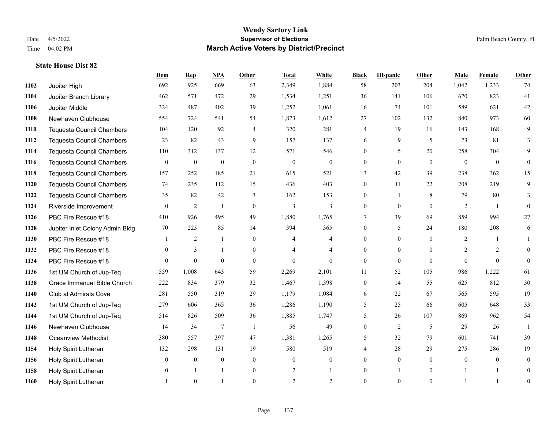**State House Dist 82**

#### **Wendy Sartory Link** Date 4/5/2022 **Supervisor of Elections** Palm Beach County, FL Time 04:02 PM **March Active Voters by District/Precinct**

**Dem Rep NPA Other Total White Black Hispanic Other Male Female Other**

# Jupiter High 692 925 669 63 2,349 1,884 58 203 204 1,042 1,233 74 Jupiter Branch Library 462 571 472 29 1,534 1,251 36 141 106 670 823 41 Jupiter Middle 324 487 402 39 1,252 1,061 16 74 101 589 621 42 Newhaven Clubhouse 554 724 541 54 1,873 1,612 27 102 132 840 973 60 Tequesta Council Chambers 104 120 92 4 320 281 4 19 16 143 168 9 Tequesta Council Chambers 23 82 43 9 157 137 6 9 5 73 81 3 Tequesta Council Chambers 110 312 137 12 571 546 0 5 20 258 304 9 Tequesta Council Chambers 0 0 0 0 0 0 0 0 0 0 0 0 Tequesta Council Chambers 157 252 185 21 615 521 13 42 39 238 362 15 Tequesta Council Chambers 74 235 112 15 436 403 0 11 22 208 219 9 Tequesta Council Chambers 35 82 42 3 162 153 0 1 8 79 80 3 Riverside Improvement 0 0 2 1 0 3 3 0 0 0 2 1 0 PBC Fire Rescue #18 410 926 495 49 1,880 1,765 7 39 69 859 994 27 Jupiter Inlet Colony Admin Bldg 70 225 85 14 394 365 0 5 24 180 208 6 PBC Fire Rescue #18 **1** 1 2 1 0 4 4 0 0 0 2 1 1 PBC Fire Rescue #18 0 3 1 0 4 4 0 0 0 2 2 0 PBC Fire Rescue #18 0 0 0 0 0 0 0 0 0 0 0 0 1st UM Church of Jup-Teq 559 1,008 643 59 2,269 2,101 11 52 105 986 1,222 61 Grace Immanuel Bible Church 222 834 379 32 1,467 1,398 0 14 55 625 812 30 Club at Admirals Cove 281 550 319 29 1,179 1,084 6 22 67 565 595 19 1st UM Church of Jup-Teq 279 606 365 36 1,286 1,190 5 25 66 605 648 33 1st UM Church of Jup-Teq 514 826 509 36 1,885 1,747 5 26 107 869 962 54 Newhaven Clubhouse 14 34 7 1 56 49 0 2 5 29 26 1 Oceanview Methodist 380 557 397 47 1,381 1,265 5 32 79 601 741 39 Holy Spirit Lutheran 132 298 131 19 580 519 4 28 29 275 286 19 Holy Spirit Lutheran 0 0 0 0 0 0 0 0 0 0 0 0

 Holy Spirit Lutheran **0** 1 1 0 2 1 0 1 0 1 1 0 Holy Spirit Lutheran **1** 0 1 0 2 2 0 0 0 1 1 0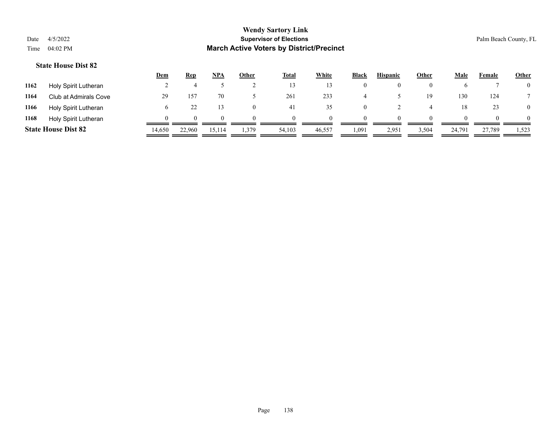|                            |                       | Dem    | Rep          | <b>NPA</b> | Other | <b>Total</b> | White  | <b>Black</b> | <b>Hispanic</b> | Other | Male   | Female | <b>Other</b>   |
|----------------------------|-----------------------|--------|--------------|------------|-------|--------------|--------|--------------|-----------------|-------|--------|--------|----------------|
| 1162                       | Holy Spirit Lutheran  |        |              |            |       | 13           |        | $\theta$     | $\theta$        |       |        |        | $\overline{0}$ |
| 1164                       | Club at Admirals Cove | 29     | $15^{7}$     | 70         |       | 261          | 233    |              |                 | 19    | 130    | 124    |                |
| 1166                       | Holy Spirit Lutheran  |        |              |            |       | 41           | 35     | 0            |                 |       | 18     | 23     | $\overline{0}$ |
| 1168                       | Holy Spirit Lutheran  |        | $\mathbf{U}$ | 0          |       | $\theta$     |        | $\Omega$     | $\Omega$        |       |        |        | $\Omega$       |
| <b>State House Dist 82</b> |                       | 14,650 | 22.960       | 15,114     | .379  | 54,103       | 46,557 | 1,091        | 2,951           | 3,504 | 24,791 | 27,789 | 1,523          |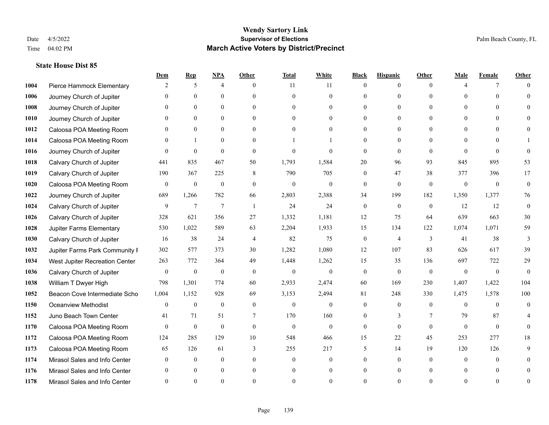|      |                                | Dem            | <b>Rep</b>       | NPA              | <b>Other</b> | <b>Total</b>   | <b>White</b>     | <b>Black</b>     | <b>Hispanic</b>  | <b>Other</b> | <b>Male</b>  | <b>Female</b>  | <b>Other</b> |
|------|--------------------------------|----------------|------------------|------------------|--------------|----------------|------------------|------------------|------------------|--------------|--------------|----------------|--------------|
| 1004 | Pierce Hammock Elementary      | 2              | 5                | $\overline{4}$   | $\theta$     | 11             | 11               | $\mathbf{0}$     | $\mathbf{0}$     | $\theta$     | 4            | 7              | $\Omega$     |
| 1006 | Journey Church of Jupiter      | $\theta$       | $\theta$         | $\mathbf{0}$     | $\Omega$     | $\theta$       | $\overline{0}$   | $\theta$         | $\mathbf{0}$     | $\Omega$     | $\theta$     | $\Omega$       | $\Omega$     |
| 1008 | Journey Church of Jupiter      | $\Omega$       | $\theta$         | $\theta$         | $\Omega$     | $\Omega$       | $\Omega$         | $\Omega$         | $\theta$         | $\Omega$     | $\Omega$     | $\Omega$       |              |
| 1010 | Journey Church of Jupiter      | $\theta$       | $\mathbf{0}$     | $\mathbf{0}$     | $\mathbf{0}$ | $\theta$       | $\overline{0}$   | $\overline{0}$   | $\mathbf{0}$     | $\Omega$     | $\mathbf{0}$ | $\theta$       |              |
| 1012 | Caloosa POA Meeting Room       | $\Omega$       | $\theta$         | $\mathbf{0}$     | $\Omega$     | $\Omega$       | $\theta$         | $\Omega$         | $\mathbf{0}$     | $\Omega$     | $\theta$     | $\Omega$       | $\Omega$     |
| 1014 | Caloosa POA Meeting Room       | $\mathbf{0}$   | -1               | $\mathbf{0}$     | $\Omega$     |                |                  | $\Omega$         | $\mathbf{0}$     | $\Omega$     | $\theta$     | 0              |              |
| 1016 | Journey Church of Jupiter      | $\Omega$       | $\theta$         | $\theta$         | $\theta$     | $\Omega$       | $\theta$         | $\theta$         | $\theta$         | $\theta$     | $\Omega$     | $\Omega$       | $\Omega$     |
| 1018 | Calvary Church of Jupiter      | 441            | 835              | 467              | 50           | 1,793          | 1,584            | 20               | 96               | 93           | 845          | 895            | 53           |
| 1019 | Calvary Church of Jupiter      | 190            | 367              | 225              | 8            | 790            | 705              | $\mathbf{0}$     | 47               | 38           | 377          | 396            | 17           |
| 1020 | Caloosa POA Meeting Room       | $\mathbf{0}$   | $\mathbf{0}$     | $\mathbf{0}$     | $\theta$     | $\mathbf{0}$   | $\boldsymbol{0}$ | $\mathbf{0}$     | $\mathbf{0}$     | $\mathbf{0}$ | $\mathbf{0}$ | $\mathbf{0}$   | $\mathbf{0}$ |
| 1022 | Journey Church of Jupiter      | 689            | 1,266            | 782              | 66           | 2,803          | 2,388            | 34               | 199              | 182          | 1,350        | 1,377          | 76           |
| 1024 | Calvary Church of Jupiter      | 9              | $\tau$           | $\boldsymbol{7}$ | $\mathbf{1}$ | 24             | 24               | $\boldsymbol{0}$ | $\boldsymbol{0}$ | $\mathbf{0}$ | 12           | 12             | $\mathbf{0}$ |
| 1026 | Calvary Church of Jupiter      | 328            | 621              | 356              | 27           | 1,332          | 1,181            | 12               | 75               | 64           | 639          | 663            | $30\,$       |
| 1028 | Jupiter Farms Elementary       | 530            | 1,022            | 589              | 63           | 2,204          | 1,933            | 15               | 134              | 122          | 1,074        | 1,071          | 59           |
| 1030 | Calvary Church of Jupiter      | 16             | 38               | 24               | 4            | 82             | 75               | $\boldsymbol{0}$ | $\overline{4}$   | 3            | 41           | 38             | 3            |
| 1032 | Jupiter Farms Park Community I | 302            | 577              | 373              | 30           | 1,282          | 1,080            | 12               | 107              | 83           | 626          | 617            | 39           |
| 1034 | West Jupiter Recreation Center | 263            | 772              | 364              | 49           | 1,448          | 1,262            | 15               | 35               | 136          | 697          | 722            | 29           |
| 1036 | Calvary Church of Jupiter      | $\mathbf{0}$   | $\boldsymbol{0}$ | $\mathbf{0}$     | $\theta$     | $\mathbf{0}$   | $\mathbf{0}$     | $\mathbf{0}$     | $\mathbf{0}$     | $\theta$     | $\theta$     | $\overline{0}$ | $\theta$     |
| 1038 | William T Dwyer High           | 798            | 1,301            | 774              | 60           | 2,933          | 2,474            | 60               | 169              | 230          | 1,407        | 1,422          | 104          |
| 1052 | Beacon Cove Intermediate Scho  | 1,004          | 1,152            | 928              | 69           | 3,153          | 2,494            | 81               | 248              | 330          | 1,475        | 1,578          | 100          |
| 1150 | <b>Oceanview Methodist</b>     | $\overline{0}$ | $\boldsymbol{0}$ | $\mathbf{0}$     | $\theta$     | $\mathbf{0}$   | $\mathbf{0}$     | $\overline{0}$   | $\mathbf{0}$     | $\theta$     | $\theta$     | $\theta$       | $\mathbf{0}$ |
| 1152 | Juno Beach Town Center         | 41             | 71               | 51               | 7            | 170            | 160              | $\overline{0}$   | 3                | 7            | 79           | 87             |              |
| 1170 | Caloosa POA Meeting Room       | $\theta$       | $\mathbf{0}$     | $\mathbf{0}$     | $\mathbf{0}$ | $\mathbf{0}$   | $\mathbf{0}$     | $\mathbf{0}$     | $\theta$         | $\theta$     | $\theta$     | $\theta$       | $\theta$     |
| 1172 | Caloosa POA Meeting Room       | 124            | 285              | 129              | 10           | 548            | 466              | 15               | 22               | 45           | 253          | 277            | 18           |
| 1173 | Caloosa POA Meeting Room       | 65             | 126              | 61               | 3            | 255            | 217              | 5                | 14               | 19           | 120          | 126            | 9            |
| 1174 | Mirasol Sales and Info Center  | $\Omega$       | $\mathbf{0}$     | $\mathbf{0}$     | $\theta$     | $\overline{0}$ | $\overline{0}$   | $\overline{0}$   | $\overline{0}$   | $\Omega$     | $\theta$     | $\theta$       | $\Omega$     |
| 1176 | Mirasol Sales and Info Center  |                | $\theta$         | $\theta$         | $\theta$     | $\theta$       | $\overline{0}$   | $\overline{0}$   | $\theta$         | $\Omega$     |              | $\theta$       |              |
| 1178 | Mirasol Sales and Info Center  | $\Omega$       | $\Omega$         | $\Omega$         | $\Omega$     | $\Omega$       | $\Omega$         | $\Omega$         | $\Omega$         | $\Omega$     |              | $\Omega$       | $\theta$     |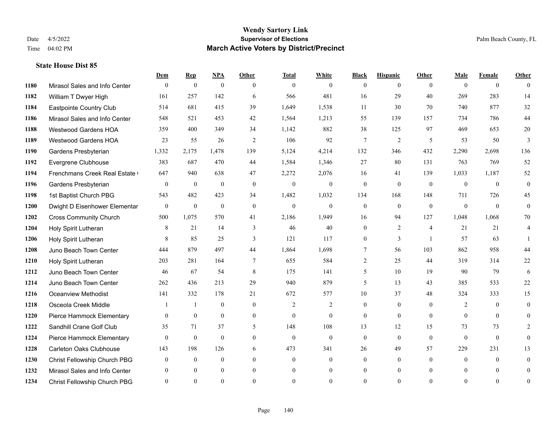|      |                                | Dem          | <b>Rep</b>       | $NPA$        | <b>Other</b> | <b>Total</b>   | <b>White</b>   | <b>Black</b>     | <b>Hispanic</b> | Other          | <b>Male</b>  | <b>Female</b>  | <b>Other</b>   |
|------|--------------------------------|--------------|------------------|--------------|--------------|----------------|----------------|------------------|-----------------|----------------|--------------|----------------|----------------|
| 1180 | Mirasol Sales and Info Center  | $\mathbf{0}$ | $\boldsymbol{0}$ | $\mathbf{0}$ | $\theta$     | $\overline{0}$ | $\overline{0}$ | $\theta$         | $\overline{0}$  | $\theta$       | $\theta$     | $\overline{0}$ | $\theta$       |
| 1182 | William T Dwyer High           | 161          | 257              | 142          | 6            | 566            | 481            | 16               | 29              | 40             | 269          | 283            | 14             |
| 1184 | Eastpointe Country Club        | 514          | 681              | 415          | 39           | 1,649          | 1,538          | 11               | 30              | 70             | 740          | 877            | 32             |
| 1186 | Mirasol Sales and Info Center  | 548          | 521              | 453          | 42           | 1,564          | 1,213          | 55               | 139             | 157            | 734          | 786            | $44\,$         |
| 1188 | Westwood Gardens HOA           | 359          | 400              | 349          | 34           | 1,142          | 882            | 38               | 125             | 97             | 469          | 653            | $20\,$         |
| 1189 | <b>Westwood Gardens HOA</b>    | 23           | 55               | 26           | 2            | 106            | 92             | $\tau$           | $\overline{2}$  | 5              | 53           | 50             | 3              |
| 1190 | Gardens Presbyterian           | 1,332        | 2,175            | 1,478        | 139          | 5,124          | 4,214          | 132              | 346             | 432            | 2,290        | 2,698          | 136            |
| 1192 | Evergrene Clubhouse            | 383          | 687              | 470          | 44           | 1,584          | 1,346          | 27               | 80              | 131            | 763          | 769            | 52             |
| 1194 | Frenchmans Creek Real Estate   | 647          | 940              | 638          | 47           | 2,272          | 2,076          | 16               | 41              | 139            | 1,033        | 1,187          | 52             |
| 1196 | Gardens Presbyterian           | $\mathbf{0}$ | $\mathbf{0}$     | $\mathbf{0}$ | $\mathbf{0}$ | $\mathbf{0}$   | $\overline{0}$ | $\mathbf{0}$     | $\mathbf{0}$    | $\Omega$       | $\theta$     | $\theta$       | $\mathbf{0}$   |
| 1198 | 1st Baptist Church PBG         | 543          | 482              | 423          | 34           | 1,482          | 1,032          | 134              | 168             | 148            | 711          | 726            | 45             |
| 1200 | Dwight D Eisenhower Elementar  | $\mathbf{0}$ | $\mathbf{0}$     | $\mathbf{0}$ | $\mathbf{0}$ | $\overline{0}$ | $\overline{0}$ | $\boldsymbol{0}$ | $\mathbf{0}$    | $\mathbf{0}$   | $\mathbf{0}$ | $\theta$       | $\mathbf{0}$   |
| 1202 | <b>Cross Community Church</b>  | 500          | 1,075            | 570          | 41           | 2,186          | 1,949          | 16               | 94              | 127            | 1,048        | 1,068          | 70             |
| 1204 | Holy Spirit Lutheran           | 8            | 21               | 14           | 3            | 46             | 40             | $\boldsymbol{0}$ | $\overline{c}$  | $\overline{4}$ | 21           | 21             | $\overline{4}$ |
| 1206 | Holy Spirit Lutheran           | 8            | 85               | 25           | 3            | 121            | 117            | 0                | 3               | $\overline{1}$ | 57           | 63             |                |
| 1208 | Juno Beach Town Center         | 444          | 879              | 497          | 44           | 1,864          | 1,698          | 7                | 56              | 103            | 862          | 958            | 44             |
| 1210 | Holy Spirit Lutheran           | 203          | 281              | 164          | $\tau$       | 655            | 584            | $\overline{2}$   | 25              | 44             | 319          | 314            | 22             |
| 1212 | Juno Beach Town Center         | 46           | 67               | 54           | 8            | 175            | 141            | 5                | 10              | 19             | 90           | 79             | 6              |
| 1214 | Juno Beach Town Center         | 262          | 436              | 213          | 29           | 940            | 879            | 5                | 13              | 43             | 385          | 533            | $22\,$         |
| 1216 | <b>Oceanview Methodist</b>     | 141          | 332              | 178          | 21           | 672            | 577            | 10               | 37              | 48             | 324          | 333            | 15             |
| 1218 | Osceola Creek Middle           |              |                  | $\theta$     | $\theta$     | $\overline{2}$ | $\overline{2}$ | $\overline{0}$   | $\theta$        | $\Omega$       | 2            | $\Omega$       | $\theta$       |
| 1220 | Pierce Hammock Elementary      | $\mathbf{0}$ | $\boldsymbol{0}$ | $\mathbf{0}$ | $\mathbf{0}$ | $\mathbf{0}$   | $\overline{0}$ | $\overline{0}$   | $\mathbf{0}$    | $\mathbf{0}$   | $\mathbf{0}$ | $\overline{0}$ | $\theta$       |
| 1222 | Sandhill Crane Golf Club       | 35           | 71               | 37           | 5            | 148            | 108            | 13               | 12              | 15             | 73           | 73             | $\overline{2}$ |
| 1224 | Pierce Hammock Elementary      | $\theta$     | $\mathbf{0}$     | $\mathbf{0}$ | $\theta$     | $\theta$       | $\overline{0}$ | $\mathbf{0}$     | $\mathbf{0}$    | $\theta$       | $\theta$     | $\mathbf{0}$   | $\theta$       |
| 1228 | <b>Carleton Oaks Clubhouse</b> | 143          | 198              | 126          | 6            | 473            | 341            | 26               | 49              | 57             | 229          | 231            | 13             |
| 1230 | Christ Fellowship Church PBG   | $\theta$     | $\mathbf{0}$     | $\mathbf{0}$ | $\theta$     | $\overline{0}$ | $\overline{0}$ | $\overline{0}$   | $\overline{0}$  | $\theta$       | $\theta$     | $\theta$       | $\mathbf{0}$   |
| 1232 | Mirasol Sales and Info Center  | $\Omega$     | $\Omega$         | $\theta$     | $\theta$     | $\theta$       | $\overline{0}$ | $\overline{0}$   | $\overline{0}$  | $\Omega$       | $\Omega$     | $\theta$       | $\mathbf{0}$   |
| 1234 | Christ Fellowship Church PBG   | $\Omega$     | $\Omega$         | $\theta$     | $\Omega$     | $\Omega$       | $\theta$       | $\theta$         | $\theta$        | $\Omega$       | $\Omega$     | $\Omega$       | $\mathbf{0}$   |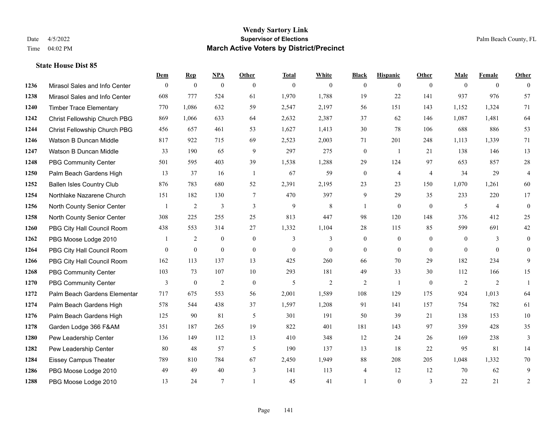|      |                                  | Dem          | <b>Rep</b>       | $NPA$          | <b>Other</b>   | <b>Total</b> | <b>White</b>   | <b>Black</b>     | <b>Hispanic</b> | <b>Other</b>   | <b>Male</b> | <b>Female</b>  | Other          |
|------|----------------------------------|--------------|------------------|----------------|----------------|--------------|----------------|------------------|-----------------|----------------|-------------|----------------|----------------|
| 1236 | Mirasol Sales and Info Center    | $\mathbf{0}$ | $\mathbf{0}$     | $\mathbf{0}$   | $\theta$       | $\mathbf{0}$ | $\mathbf{0}$   | $\Omega$         | $\overline{0}$  | $\theta$       | $\theta$    | $\overline{0}$ | $\Omega$       |
| 1238 | Mirasol Sales and Info Center    | 608          | 777              | 524            | 61             | 1,970        | 1,788          | 19               | 22              | 141            | 937         | 976            | 57             |
| 1240 | <b>Timber Trace Elementary</b>   | 770          | 1,086            | 632            | 59             | 2,547        | 2,197          | 56               | 151             | 143            | 1,152       | 1,324          | 71             |
| 1242 | Christ Fellowship Church PBG     | 869          | 1,066            | 633            | 64             | 2,632        | 2,387          | 37               | 62              | 146            | 1,087       | 1,481          | 64             |
| 1244 | Christ Fellowship Church PBG     | 456          | 657              | 461            | 53             | 1,627        | 1,413          | 30               | 78              | 106            | 688         | 886            | 53             |
| 1246 | Watson B Duncan Middle           | 817          | 922              | 715            | 69             | 2,523        | 2,003          | 71               | 201             | 248            | 1,113       | 1,339          | 71             |
| 1247 | Watson B Duncan Middle           | 33           | 190              | 65             | 9              | 297          | 275            | $\boldsymbol{0}$ | -1              | 21             | 138         | 146            | 13             |
| 1248 | <b>PBG Community Center</b>      | 501          | 595              | 403            | 39             | 1,538        | 1,288          | 29               | 124             | 97             | 653         | 857            | $28\,$         |
| 1250 | Palm Beach Gardens High          | 13           | 37               | 16             | -1             | 67           | 59             | $\overline{0}$   | 4               | $\overline{4}$ | 34          | 29             | 4              |
| 1252 | <b>Ballen Isles Country Club</b> | 876          | 783              | 680            | 52             | 2,391        | 2,195          | 23               | 23              | 150            | 1,070       | 1,261          | 60             |
| 1254 | Northlake Nazarene Church        | 151          | 182              | 130            | $\tau$         | 470          | 397            | 9                | 29              | 35             | 233         | 220            | 17             |
| 1256 | North County Senior Center       |              | $\sqrt{2}$       | 3              | 3              | 9            | 8              |                  | $\overline{0}$  | $\mathbf{0}$   | 5           | $\overline{4}$ | $\overline{0}$ |
| 1258 | North County Senior Center       | 308          | 225              | 255            | 25             | 813          | 447            | 98               | 120             | 148            | 376         | 412            | 25             |
| 1260 | PBG City Hall Council Room       | 438          | 553              | 314            | 27             | 1,332        | 1,104          | 28               | 115             | 85             | 599         | 691            | $42\,$         |
| 1262 | PBG Moose Lodge 2010             |              | $\overline{c}$   | $\mathbf{0}$   | $\overline{0}$ | 3            | 3              | $\overline{0}$   | $\overline{0}$  | $\theta$       | $\theta$    | 3              | $\overline{0}$ |
| 1264 | PBG City Hall Council Room       | $\Omega$     | $\mathbf{0}$     | $\mathbf{0}$   | $\theta$       | $\mathbf{0}$ | $\overline{0}$ | $\overline{0}$   | $\mathbf{0}$    | $\theta$       | $\theta$    | $\theta$       | $\overline{0}$ |
| 1266 | PBG City Hall Council Room       | 162          | 113              | 137            | 13             | 425          | 260            | 66               | 70              | 29             | 182         | 234            | 9              |
| 1268 | <b>PBG Community Center</b>      | 103          | 73               | 107            | 10             | 293          | 181            | 49               | 33              | 30             | 112         | 166            | 15             |
| 1270 | <b>PBG Community Center</b>      | 3            | $\boldsymbol{0}$ | $\overline{2}$ | $\mathbf{0}$   | 5            | $\mathbf{2}$   | $\overline{c}$   | $\mathbf{1}$    | $\theta$       | 2           | 2              | $\overline{1}$ |
| 1272 | Palm Beach Gardens Elementar     | 717          | 675              | 553            | 56             | 2,001        | 1,589          | 108              | 129             | 175            | 924         | 1,013          | 64             |
| 1274 | Palm Beach Gardens High          | 578          | 544              | 438            | 37             | 1,597        | 1,208          | 91               | 141             | 157            | 754         | 782            | 61             |
| 1276 | Palm Beach Gardens High          | 125          | 90               | 81             | 5              | 301          | 191            | 50               | 39              | 21             | 138         | 153            | $10\,$         |
| 1278 | Garden Lodge 366 F&AM            | 351          | 187              | 265            | 19             | 822          | 401            | 181              | 143             | 97             | 359         | 428            | 35             |
| 1280 | Pew Leadership Center            | 136          | 149              | 112            | 13             | 410          | 348            | 12               | 24              | 26             | 169         | 238            | 3              |
| 1282 | Pew Leadership Center            | 80           | 48               | 57             | 5              | 190          | 137            | 13               | 18              | 22             | 95          | 81             | 14             |
| 1284 | <b>Eissey Campus Theater</b>     | 789          | 810              | 784            | 67             | 2,450        | 1,949          | $88\,$           | 208             | 205            | 1,048       | 1,332          | $70\,$         |
| 1286 | PBG Moose Lodge 2010             | 49           | 49               | 40             | 3              | 141          | 113            | 4                | 12              | 12             | 70          | 62             | 9              |
| 1288 | PBG Moose Lodge 2010             | 13           | 24               | 7              |                | 45           | 41             |                  | $\Omega$        | 3              | 22          | 21             | $\overline{2}$ |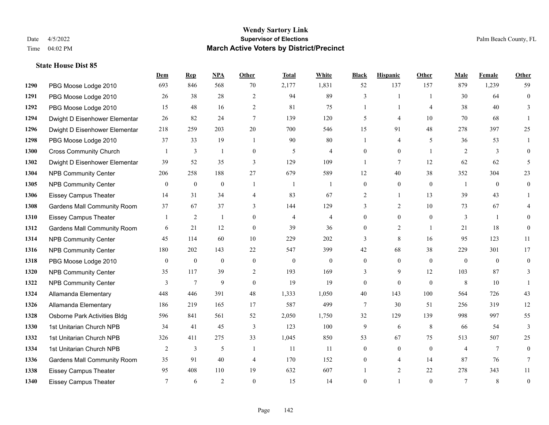|      |                                    | Dem            | <b>Rep</b>       | NPA              | <b>Other</b>     | <b>Total</b>     | <b>White</b>   | <b>Black</b>     | <b>Hispanic</b>  | Other          | <b>Male</b>    | <b>Female</b>  | <b>Other</b>     |
|------|------------------------------------|----------------|------------------|------------------|------------------|------------------|----------------|------------------|------------------|----------------|----------------|----------------|------------------|
| 1290 | PBG Moose Lodge 2010               | 693            | 846              | 568              | 70               | 2,177            | 1,831          | 52               | 137              | 157            | 879            | 1,239          | 59               |
| 1291 | PBG Moose Lodge 2010               | 26             | 38               | 28               | $\overline{2}$   | 94               | 89             | 3                | 1                | $\overline{1}$ | 30             | 64             | $\mathbf{0}$     |
| 1292 | PBG Moose Lodge 2010               | 15             | 48               | 16               | 2                | 81               | 75             | 1                | $\mathbf{1}$     | $\overline{4}$ | 38             | 40             | 3                |
| 1294 | Dwight D Eisenhower Elementar      | 26             | 82               | 24               | $7\phantom{.0}$  | 139              | 120            | 5                | 4                | 10             | 70             | 68             |                  |
| 1296 | Dwight D Eisenhower Elementar      | 218            | 259              | 203              | 20               | 700              | 546            | 15               | 91               | 48             | 278            | 397            | 25               |
| 1298 | PBG Moose Lodge 2010               | 37             | 33               | 19               | $\overline{1}$   | 90               | $80\,$         | 1                | 4                | 5              | 36             | 53             |                  |
| 1300 | <b>Cross Community Church</b>      |                | 3                | $\mathbf{1}$     | $\boldsymbol{0}$ | 5                | $\overline{4}$ | $\overline{0}$   | $\overline{0}$   | $\overline{1}$ | 2              | 3              | $\overline{0}$   |
| 1302 | Dwight D Eisenhower Elementar      | 39             | 52               | 35               | 3                | 129              | 109            | $\mathbf{1}$     | $\tau$           | 12             | 62             | 62             | 5                |
| 1304 | <b>NPB Community Center</b>        | 206            | 258              | 188              | 27               | 679              | 589            | 12               | 40               | 38             | 352            | 304            | 23               |
| 1305 | <b>NPB Community Center</b>        | $\mathbf{0}$   | $\mathbf{0}$     | $\boldsymbol{0}$ | $\mathbf{1}$     | -1               | $\mathbf{1}$   | 0                | $\overline{0}$   | $\mathbf{0}$   | -1             | $\overline{0}$ | $\mathbf{0}$     |
| 1306 | <b>Eissey Campus Theater</b>       | 14             | 31               | 34               | $\overline{4}$   | 83               | 67             | 2                | $\mathbf{1}$     | 13             | 39             | 43             |                  |
| 1308 | <b>Gardens Mall Community Room</b> | 37             | 67               | 37               | 3                | 144              | 129            | 3                | $\overline{2}$   | 10             | 73             | 67             |                  |
| 1310 | <b>Eissey Campus Theater</b>       |                | $\overline{c}$   | 1                | $\theta$         | $\overline{4}$   | $\overline{4}$ | $\overline{0}$   | $\overline{0}$   | $\mathbf{0}$   | 3              | $\mathbf{1}$   | 0                |
| 1312 | <b>Gardens Mall Community Room</b> | 6              | 21               | 12               | $\mathbf{0}$     | 39               | 36             | $\overline{0}$   | $\overline{c}$   | $\overline{1}$ | 21             | 18             | $\theta$         |
| 1314 | <b>NPB Community Center</b>        | 45             | 114              | 60               | 10               | 229              | 202            | 3                | 8                | 16             | 95             | 123            | 11               |
| 1316 | <b>NPB Community Center</b>        | 180            | 202              | 143              | 22               | 547              | 399            | 42               | 68               | 38             | 229            | 301            | 17               |
| 1318 | PBG Moose Lodge 2010               | $\mathbf{0}$   | $\boldsymbol{0}$ | $\mathbf{0}$     | $\mathbf{0}$     | $\boldsymbol{0}$ | $\mathbf{0}$   | $\overline{0}$   | $\mathbf{0}$     | $\mathbf{0}$   | $\mathbf{0}$   | $\mathbf{0}$   | $\overline{0}$   |
| 1320 | <b>NPB Community Center</b>        | 35             | 117              | 39               | 2                | 193              | 169            | 3                | 9                | 12             | 103            | 87             | 3                |
| 1322 | <b>NPB Community Center</b>        | $\overline{3}$ | $\overline{7}$   | $\mathbf{9}$     | $\mathbf{0}$     | 19               | 19             | $\boldsymbol{0}$ | $\boldsymbol{0}$ | $\mathbf{0}$   | 8              | $10\,$         |                  |
| 1324 | Allamanda Elementary               | 448            | 446              | 391              | 48               | 1,333            | 1,050          | 40               | 143              | 100            | 564            | 726            | 43               |
| 1326 | Allamanda Elementary               | 186            | 219              | 165              | 17               | 587              | 499            | $\tau$           | 30               | 51             | 256            | 319            | 12               |
| 1328 | Osborne Park Activities Bldg       | 596            | 841              | 561              | 52               | 2,050            | 1,750          | 32               | 129              | 139            | 998            | 997            | 55               |
| 1330 | 1st Unitarian Church NPB           | 34             | 41               | 45               | 3                | 123              | 100            | 9                | 6                | 8              | 66             | 54             | 3                |
| 1332 | 1st Unitarian Church NPB           | 326            | 411              | 275              | 33               | 1,045            | 850            | 53               | 67               | 75             | 513            | 507            | 25               |
| 1334 | 1st Unitarian Church NPB           | 2              | 3                | 5                | $\overline{1}$   | 11               | 11             | $\overline{0}$   | $\overline{0}$   | $\Omega$       | $\overline{4}$ | $\tau$         | $\theta$         |
| 1336 | <b>Gardens Mall Community Room</b> | 35             | 91               | 40               | $\overline{4}$   | 170              | 152            | 0                | 4                | 14             | 87             | 76             | 7                |
| 1338 | <b>Eissey Campus Theater</b>       | 95             | 408              | 110              | 19               | 632              | 607            |                  | $\overline{2}$   | 22             | 278            | 343            | 11               |
| 1340 | <b>Eissey Campus Theater</b>       | 7              | 6                | $\overline{2}$   | $\Omega$         | 15               | 14             | $\overline{0}$   |                  | $\theta$       | $\tau$         | 8              | $\boldsymbol{0}$ |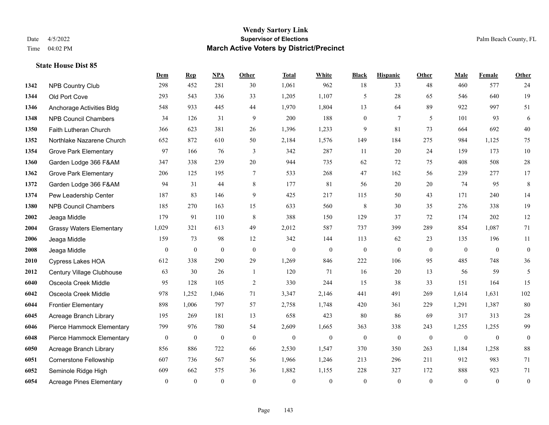|      |                                 | Dem              | <b>Rep</b>       | NPA              | Other           | <b>Total</b>     | <b>White</b>     | <b>Black</b>     | <b>Hispanic</b> | Other          | <b>Male</b>  | <b>Female</b>    | <b>Other</b>     |
|------|---------------------------------|------------------|------------------|------------------|-----------------|------------------|------------------|------------------|-----------------|----------------|--------------|------------------|------------------|
| 1342 | <b>NPB Country Club</b>         | 298              | 452              | 281              | 30              | 1,061            | 962              | 18               | 33              | 48             | 460          | 577              | 24               |
| 1344 | Old Port Cove                   | 293              | 543              | 336              | 33              | 1,205            | 1,107            | 5                | 28              | 65             | 546          | 640              | 19               |
| 1346 | Anchorage Activities Bldg       | 548              | 933              | 445              | 44              | 1,970            | 1,804            | 13               | 64              | 89             | 922          | 997              | 51               |
| 1348 | <b>NPB Council Chambers</b>     | 34               | 126              | 31               | 9               | 200              | 188              | $\boldsymbol{0}$ | $7\phantom{.0}$ | 5              | 101          | 93               | 6                |
| 1350 | Faith Lutheran Church           | 366              | 623              | 381              | 26              | 1,396            | 1,233            | 9                | 81              | 73             | 664          | 692              | 40               |
| 1352 | Northlake Nazarene Church       | 652              | 872              | 610              | 50              | 2,184            | 1,576            | 149              | 184             | 275            | 984          | 1,125            | 75               |
| 1354 | <b>Grove Park Elementary</b>    | 97               | 166              | 76               | $\mathfrak{Z}$  | 342              | 287              | 11               | 20              | 24             | 159          | 173              | $10\,$           |
| 1360 | Garden Lodge 366 F&AM           | 347              | 338              | 239              | 20              | 944              | 735              | 62               | 72              | 75             | 408          | 508              | $28\,$           |
| 1362 | <b>Grove Park Elementary</b>    | 206              | 125              | 195              | $7\phantom{.0}$ | 533              | 268              | 47               | 162             | 56             | 239          | 277              | 17               |
| 1372 | Garden Lodge 366 F&AM           | 94               | 31               | 44               | 8               | 177              | 81               | 56               | 20              | 20             | 74           | 95               | 8                |
| 1374 | Pew Leadership Center           | 187              | 83               | 146              | 9               | 425              | 217              | 115              | 50              | 43             | 171          | 240              | 14               |
| 1380 | <b>NPB Council Chambers</b>     | 185              | 270              | 163              | 15              | 633              | 560              | 8                | 30              | 35             | 276          | 338              | 19               |
| 2002 | Jeaga Middle                    | 179              | 91               | 110              | 8               | 388              | 150              | 129              | 37              | 72             | 174          | 202              | 12               |
| 2004 | <b>Grassy Waters Elementary</b> | 1,029            | 321              | 613              | 49              | 2,012            | 587              | 737              | 399             | 289            | 854          | 1,087            | 71               |
| 2006 | Jeaga Middle                    | 159              | 73               | 98               | 12              | 342              | 144              | 113              | 62              | 23             | 135          | 196              | 11               |
| 2008 | Jeaga Middle                    | $\mathbf{0}$     | $\boldsymbol{0}$ | $\mathbf{0}$     | $\mathbf{0}$    | $\boldsymbol{0}$ | $\boldsymbol{0}$ | $\boldsymbol{0}$ | $\mathbf{0}$    | $\overline{0}$ | $\mathbf{0}$ | $\overline{0}$   | $\mathbf{0}$     |
| 2010 | <b>Cypress Lakes HOA</b>        | 612              | 338              | 290              | 29              | 1,269            | 846              | 222              | 106             | 95             | 485          | 748              | 36               |
| 2012 | Century Village Clubhouse       | 63               | 30               | 26               | $\overline{1}$  | 120              | 71               | 16               | 20              | 13             | 56           | 59               | 5                |
| 6040 | Osceola Creek Middle            | 95               | 128              | 105              | $\sqrt{2}$      | 330              | 244              | 15               | 38              | 33             | 151          | 164              | 15               |
| 6042 | Osceola Creek Middle            | 978              | 1,252            | 1,046            | 71              | 3,347            | 2,146            | 441              | 491             | 269            | 1,614        | 1,631            | 102              |
| 6044 | <b>Frontier Elementary</b>      | 898              | 1,006            | 797              | 57              | 2,758            | 1,748            | 420              | 361             | 229            | 1,291        | 1,387            | 80               |
| 6045 | Acreage Branch Library          | 195              | 269              | 181              | 13              | 658              | 423              | 80               | 86              | 69             | 317          | 313              | $28\,$           |
| 6046 | Pierce Hammock Elementary       | 799              | 976              | 780              | 54              | 2,609            | 1,665            | 363              | 338             | 243            | 1,255        | 1,255            | 99               |
| 6048 | Pierce Hammock Elementary       | $\boldsymbol{0}$ | $\boldsymbol{0}$ | $\boldsymbol{0}$ | $\mathbf{0}$    | $\boldsymbol{0}$ | $\mathbf{0}$     | $\boldsymbol{0}$ | $\mathbf{0}$    | $\mathbf{0}$   | $\mathbf{0}$ | $\boldsymbol{0}$ | $\boldsymbol{0}$ |
| 6050 | Acreage Branch Library          | 856              | 886              | 722              | 66              | 2,530            | 1,547            | 370              | 350             | 263            | 1,184        | 1,258            | $88\,$           |
| 6051 | <b>Cornerstone Fellowship</b>   | 607              | 736              | 567              | 56              | 1,966            | 1,246            | 213              | 296             | 211            | 912          | 983              | 71               |
| 6052 | Seminole Ridge High             | 609              | 662              | 575              | 36              | 1,882            | 1,155            | 228              | 327             | 172            | 888          | 923              | 71               |
| 6054 | <b>Acreage Pines Elementary</b> | $\mathbf{0}$     | $\mathbf{0}$     | $\mathbf{0}$     | $\theta$        | $\mathbf{0}$     | $\overline{0}$   | $\overline{0}$   | $\overline{0}$  | $\overline{0}$ | $\theta$     | $\mathbf{0}$     | $\boldsymbol{0}$ |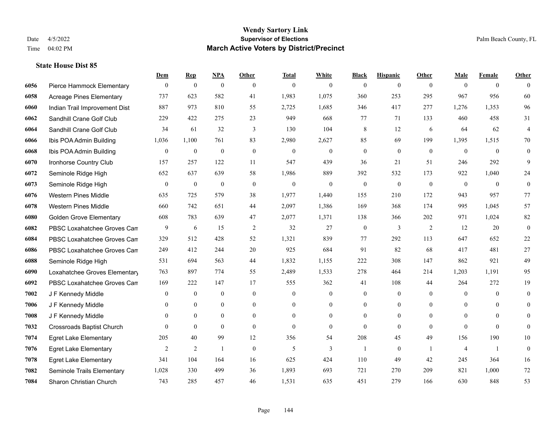|      |                                  | Dem            | <b>Rep</b>       | NPA              | <b>Other</b>   | <b>Total</b>     | <b>White</b>     | <b>Black</b>     | <b>Hispanic</b>  | <b>Other</b>   | <b>Male</b>    | <b>Female</b>  | <b>Other</b>     |
|------|----------------------------------|----------------|------------------|------------------|----------------|------------------|------------------|------------------|------------------|----------------|----------------|----------------|------------------|
| 6056 | Pierce Hammock Elementary        | $\mathbf{0}$   | $\boldsymbol{0}$ | $\boldsymbol{0}$ | $\theta$       | $\theta$         | $\overline{0}$   | $\mathbf{0}$     | $\mathbf{0}$     | $\theta$       | $\theta$       | $\overline{0}$ | $\Omega$         |
| 6058 | <b>Acreage Pines Elementary</b>  | 737            | 623              | 582              | 41             | 1,983            | 1,075            | 360              | 253              | 295            | 967            | 956            | 60               |
| 6060 | Indian Trail Improvement Dist    | 887            | 973              | 810              | 55             | 2,725            | 1,685            | 346              | 417              | 277            | 1,276          | 1,353          | 96               |
| 6062 | Sandhill Crane Golf Club         | 229            | 422              | 275              | 23             | 949              | 668              | 77               | 71               | 133            | 460            | 458            | 31               |
| 6064 | Sandhill Crane Golf Club         | 34             | 61               | 32               | 3              | 130              | 104              | 8                | 12               | 6              | 64             | 62             | $\overline{4}$   |
| 6066 | Ibis POA Admin Building          | 1,036          | 1,100            | 761              | 83             | 2,980            | 2,627            | 85               | 69               | 199            | 1,395          | 1,515          | $70\,$           |
| 6068 | Ibis POA Admin Building          | $\mathbf{0}$   | $\boldsymbol{0}$ | $\mathbf{0}$     | $\mathbf{0}$   | $\theta$         | $\boldsymbol{0}$ | $\boldsymbol{0}$ | $\mathbf{0}$     | $\overline{0}$ | $\mathbf{0}$   | $\mathbf{0}$   | $\boldsymbol{0}$ |
| 6070 | Ironhorse Country Club           | 157            | 257              | 122              | 11             | 547              | 439              | 36               | 21               | 51             | 246            | 292            | 9                |
| 6072 | Seminole Ridge High              | 652            | 637              | 639              | 58             | 1,986            | 889              | 392              | 532              | 173            | 922            | 1,040          | 24               |
| 6073 | Seminole Ridge High              | $\bf{0}$       | $\boldsymbol{0}$ | $\boldsymbol{0}$ | $\mathbf{0}$   | $\boldsymbol{0}$ | $\boldsymbol{0}$ | $\boldsymbol{0}$ | $\boldsymbol{0}$ | $\mathbf{0}$   | $\mathbf{0}$   | $\overline{0}$ | $\boldsymbol{0}$ |
| 6076 | <b>Western Pines Middle</b>      | 635            | 725              | 579              | 38             | 1,977            | 1,440            | 155              | 210              | 172            | 943            | 957            | 77               |
| 6078 | <b>Western Pines Middle</b>      | 660            | 742              | 651              | 44             | 2,097            | 1,386            | 169              | 368              | 174            | 995            | 1.045          | 57               |
| 6080 | <b>Golden Grove Elementary</b>   | 608            | 783              | 639              | 47             | 2,077            | 1,371            | 138              | 366              | 202            | 971            | 1,024          | 82               |
| 6082 | PBSC Loxahatchee Groves Can      | 9              | 6                | 15               | $\overline{2}$ | 32               | 27               | $\boldsymbol{0}$ | 3                | 2              | 12             | 20             | $\mathbf{0}$     |
| 6084 | PBSC Loxahatchee Groves Can      | 329            | 512              | 428              | 52             | 1,321            | 839              | 77               | 292              | 113            | 647            | 652            | $22\,$           |
| 6086 | PBSC Loxahatchee Groves Can      | 249            | 412              | 244              | 20             | 925              | 684              | 91               | 82               | 68             | 417            | 481            | $27\,$           |
| 6088 | Seminole Ridge High              | 531            | 694              | 563              | 44             | 1,832            | 1,155            | 222              | 308              | 147            | 862            | 921            | 49               |
| 6090 | Loxahatchee Groves Elementary    | 763            | 897              | 774              | 55             | 2,489            | 1,533            | 278              | 464              | 214            | 1,203          | 1,191          | 95               |
| 6092 | PBSC Loxahatchee Groves Can      | 169            | 222              | 147              | 17             | 555              | 362              | 41               | 108              | 44             | 264            | 272            | 19               |
| 7002 | J F Kennedy Middle               | $\mathbf{0}$   | $\mathbf{0}$     | $\mathbf{0}$     | $\mathbf{0}$   | $\mathbf{0}$     | $\boldsymbol{0}$ | $\mathbf{0}$     | $\mathbf{0}$     | $\theta$       | $\overline{0}$ | $\theta$       | $\boldsymbol{0}$ |
| 7006 | J F Kennedy Middle               | $\Omega$       | $\theta$         | $\theta$         | $\theta$       | $\Omega$         | $\overline{0}$   | $\mathbf{0}$     | $\theta$         | $\theta$       | $\theta$       | $\Omega$       | $\theta$         |
| 7008 | J F Kennedy Middle               | $\mathbf{0}$   | $\boldsymbol{0}$ | $\boldsymbol{0}$ | $\overline{0}$ | $\theta$         | $\boldsymbol{0}$ | $\boldsymbol{0}$ | $\boldsymbol{0}$ | $\overline{0}$ | $\mathbf{0}$   | $\theta$       | $\mathbf{0}$     |
| 7032 | <b>Crossroads Baptist Church</b> | $\theta$       | $\mathbf{0}$     | $\mathbf{0}$     | $\overline{0}$ | $\theta$         | $\overline{0}$   | $\mathbf{0}$     | $\mathbf{0}$     | $\theta$       | $\theta$       | $\theta$       | $\mathbf{0}$     |
| 7074 | <b>Egret Lake Elementary</b>     | 205            | 40               | 99               | 12             | 356              | 54               | 208              | 45               | 49             | 156            | 190            | 10               |
| 7076 | <b>Egret Lake Elementary</b>     | $\overline{2}$ | $\overline{2}$   | $\mathbf{1}$     | $\theta$       | 5                | 3                | $\mathbf{1}$     | $\theta$         | $\overline{1}$ | $\overline{4}$ | -1             | $\mathbf{0}$     |
| 7078 | <b>Egret Lake Elementary</b>     | 341            | 104              | 164              | 16             | 625              | 424              | 110              | 49               | 42             | 245            | 364            | 16               |
| 7082 | Seminole Trails Elementary       | 1,028          | 330              | 499              | 36             | 1,893            | 693              | 721              | 270              | 209            | 821            | 1.000          | 72               |
| 7084 | <b>Sharon Christian Church</b>   | 743            | 285              | 457              | 46             | 1,531            | 635              | 451              | 279              | 166            | 630            | 848            | 53               |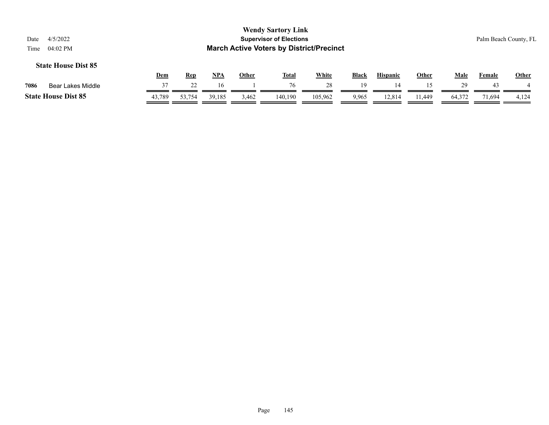|      |                            | Dem    | Rep    | NP <sub>A</sub> | Other | <b>Total</b> | White   | <b>Black</b> | <b>Hispanic</b> | Other | Male   | Female | Other |
|------|----------------------------|--------|--------|-----------------|-------|--------------|---------|--------------|-----------------|-------|--------|--------|-------|
| 7086 | Bear Lakes Middle          |        |        | 16              |       |              |         | 1 Q          |                 |       |        |        |       |
|      | <b>State House Dist 85</b> | 43.789 | 53.754 | 39,185          | 3,462 | 140,190      | 105,962 | 9.965        | 12.814          | . 449 | 64,372 | 1.694  | 4,124 |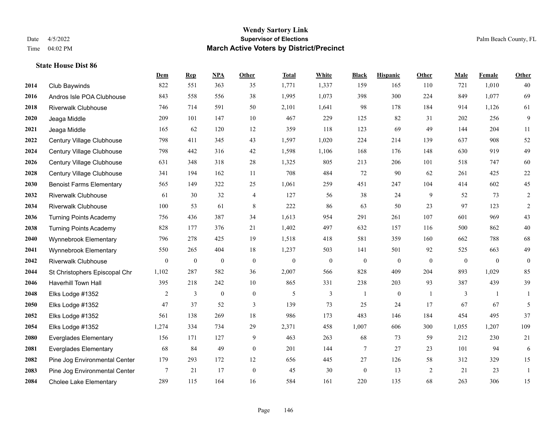#### **Wendy Sartory Link** Date 4/5/2022 **Supervisor of Elections** Palm Beach County, FL Time 04:02 PM **March Active Voters by District/Precinct**

# **Dem Rep NPA Other Total White Black Hispanic Other Male Female Other** Club Baywinds 822 551 363 35 1,771 1,337 159 165 110 721 1,010 40 Andros Isle POA Clubhouse 843 558 556 38 1,995 1,073 398 300 224 849 1,077 69 Riverwalk Clubhouse 746 714 591 50 2,101 1,641 98 178 184 914 1,126 61 Jeaga Middle 209 101 147 10 467 229 125 82 31 202 256 9 Jeaga Middle 165 62 120 12 359 118 123 69 49 144 204 11 Century Village Clubhouse 798 411 345 43 1,597 1,020 224 214 139 637 908 52 Century Village Clubhouse 798 442 316 42 1,598 1,106 168 176 148 630 919 49 Century Village Clubhouse 631 348 318 28 1,325 805 213 206 101 518 747 60 Century Village Clubhouse 341 194 162 11 708 484 72 90 62 261 425 22 Benoist Farms Elementary 565 149 322 25 1,061 259 451 247 104 414 602 45 Riverwalk Clubhouse 61 30 32 4 127 56 38 24 9 52 73 2 Riverwalk Clubhouse 100 53 61 8 222 86 63 50 23 97 123 2 Turning Points Academy 756 436 387 34 1,613 954 291 261 107 601 969 43 Turning Points Academy 828 177 376 21 1,402 497 632 157 116 500 862 40 Wynnebrook Elementary 796 278 425 19 1,518 418 581 359 160 662 788 68 Wynnebrook Elementary 550 265 404 18 1,237 503 141 501 92 525 663 49 Riverwalk Clubhouse 0 0 0 0 0 0 0 0 0 0 0 0 St Christophers Episcopal Chr 1,102 287 582 36 2,007 566 828 409 204 893 1,029 85 Haverhill Town Hall 395 218 242 10 865 331 238 203 93 387 439 39 Elks Lodge #1352 2 3 0 0 5 3 1 0 1 3 1 1 Elks Lodge #1352 47 37 52 3 139 73 25 24 17 67 67 5 Elks Lodge #1352 561 138 269 18 986 173 483 146 184 454 495 37 Elks Lodge #1352 1,274 334 734 29 2,371 458 1,007 606 300 1,055 1,207 109 Everglades Elementary 156 171 127 9 463 263 68 73 59 212 230 21 Everglades Elementary 68 84 49 0 201 144 7 27 23 101 94 6 Pine Jog Environmental Center 179 293 172 12 656 445 27 126 58 312 329 15 Pine Jog Environmental Center 7 21 17 0 45 30 0 13 2 21 23 1 Cholee Lake Elementary 289 115 164 16 584 161 220 135 68 263 306 15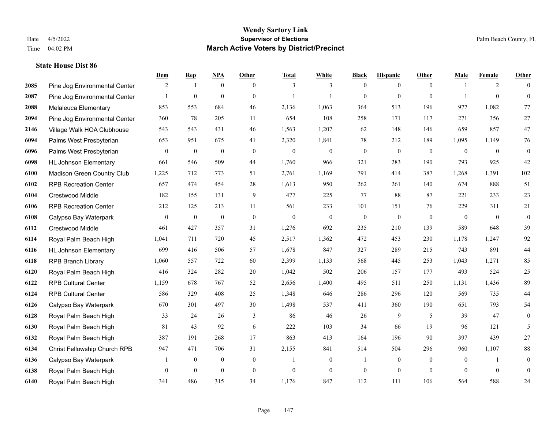|      |                               | Dem          | <b>Rep</b>       | NPA              | <b>Other</b> | <b>Total</b>     | <b>White</b>     | <b>Black</b>     | <b>Hispanic</b>  | <b>Other</b>   | <b>Male</b>    | <b>Female</b>  | <b>Other</b>   |
|------|-------------------------------|--------------|------------------|------------------|--------------|------------------|------------------|------------------|------------------|----------------|----------------|----------------|----------------|
| 2085 | Pine Jog Environmental Center | 2            | $\mathbf{1}$     | $\boldsymbol{0}$ | $\theta$     | 3                | 3                | $\mathbf{0}$     | $\overline{0}$   | $\overline{0}$ | $\overline{1}$ | 2              | $\theta$       |
| 2087 | Pine Jog Environmental Center |              | $\mathbf{0}$     | $\mathbf{0}$     | $\theta$     | $\mathbf{1}$     | 1                | $\mathbf{0}$     | $\overline{0}$   | $\theta$       |                | $\theta$       | $\overline{0}$ |
| 2088 | Melaleuca Elementary          | 853          | 553              | 684              | 46           | 2,136            | 1,063            | 364              | 513              | 196            | 977            | 1,082          | 77             |
| 2094 | Pine Jog Environmental Center | 360          | 78               | 205              | 11           | 654              | 108              | 258              | 171              | 117            | 271            | 356            | $27\,$         |
| 2146 | Village Walk HOA Clubhouse    | 543          | 543              | 431              | 46           | 1,563            | 1,207            | 62               | 148              | 146            | 659            | 857            | $47\,$         |
| 6094 | Palms West Presbyterian       | 653          | 951              | 675              | 41           | 2,320            | 1,841            | 78               | 212              | 189            | 1,095          | 1,149          | 76             |
| 6096 | Palms West Presbyterian       | $\bf{0}$     | $\boldsymbol{0}$ | $\boldsymbol{0}$ | $\mathbf{0}$ | $\boldsymbol{0}$ | $\boldsymbol{0}$ | $\boldsymbol{0}$ | $\boldsymbol{0}$ | $\mathbf{0}$   | $\mathbf{0}$   | $\overline{0}$ | $\mathbf{0}$   |
| 6098 | <b>HL Johnson Elementary</b>  | 661          | 546              | 509              | 44           | 1,760            | 966              | 321              | 283              | 190            | 793            | 925            | $42\,$         |
| 6100 | Madison Green Country Club    | 1,225        | 712              | 773              | 51           | 2,761            | 1,169            | 791              | 414              | 387            | 1,268          | 1,391          | 102            |
| 6102 | <b>RPB Recreation Center</b>  | 657          | 474              | 454              | 28           | 1,613            | 950              | 262              | 261              | 140            | 674            | 888            | 51             |
| 6104 | Crestwood Middle              | 182          | 155              | 131              | 9            | 477              | 225              | 77               | 88               | 87             | 221            | 233            | 23             |
| 6106 | <b>RPB Recreation Center</b>  | 212          | 125              | 213              | 11           | 561              | 233              | 101              | 151              | 76             | 229            | 311            | 21             |
| 6108 | Calypso Bay Waterpark         | $\mathbf{0}$ | $\boldsymbol{0}$ | $\boldsymbol{0}$ | $\mathbf{0}$ | $\overline{0}$   | $\overline{0}$   | $\mathbf{0}$     | $\overline{0}$   | $\theta$       | $\overline{0}$ | $\overline{0}$ | $\mathbf{0}$   |
| 6112 | Crestwood Middle              | 461          | 427              | 357              | 31           | 1,276            | 692              | 235              | 210              | 139            | 589            | 648            | 39             |
| 6114 | Royal Palm Beach High         | 1,041        | 711              | 720              | 45           | 2,517            | 1,362            | 472              | 453              | 230            | 1,178          | 1,247          | 92             |
| 6116 | <b>HL Johnson Elementary</b>  | 699          | 416              | 506              | 57           | 1,678            | 847              | 327              | 289              | 215            | 743            | 891            | 44             |
| 6118 | <b>RPB Branch Library</b>     | 1,060        | 557              | 722              | 60           | 2,399            | 1,133            | 568              | 445              | 253            | 1,043          | 1,271          | 85             |
| 6120 | Royal Palm Beach High         | 416          | 324              | 282              | 20           | 1,042            | 502              | 206              | 157              | 177            | 493            | 524            | $25\,$         |
| 6122 | <b>RPB Cultural Center</b>    | 1,159        | 678              | 767              | 52           | 2,656            | 1,400            | 495              | 511              | 250            | 1,131          | 1,436          | 89             |
| 6124 | <b>RPB Cultural Center</b>    | 586          | 329              | 408              | 25           | 1,348            | 646              | 286              | 296              | 120            | 569            | 735            | 44             |
| 6126 | Calypso Bay Waterpark         | 670          | 301              | 497              | 30           | 1,498            | 537              | 411              | 360              | 190            | 651            | 793            | 54             |
| 6128 | Royal Palm Beach High         | 33           | 24               | 26               | 3            | 86               | 46               | 26               | 9                | 5              | 39             | 47             | $\overline{0}$ |
| 6130 | Royal Palm Beach High         | 81           | 43               | 92               | 6            | 222              | 103              | 34               | 66               | 19             | 96             | 121            | 5              |
| 6132 | Royal Palm Beach High         | 387          | 191              | 268              | 17           | 863              | 413              | 164              | 196              | 90             | 397            | 439            | 27             |
| 6134 | Christ Fellowship Church RPB  | 947          | 471              | 706              | 31           | 2,155            | 841              | 514              | 504              | 296            | 960            | 1,107          | $88\,$         |
| 6136 | Calypso Bay Waterpark         |              | $\boldsymbol{0}$ | $\boldsymbol{0}$ | $\mathbf{0}$ | 1                | $\overline{0}$   |                  | $\overline{0}$   | $\theta$       | $\overline{0}$ |                | $\mathbf{0}$   |
| 6138 | Royal Palm Beach High         | $\mathbf{0}$ | $\mathbf{0}$     | $\mathbf{0}$     | $\mathbf{0}$ | $\theta$         | $\overline{0}$   | $\boldsymbol{0}$ | $\overline{0}$   | $\mathbf{0}$   | $\Omega$       | $\mathbf{0}$   | $\mathbf{0}$   |
| 6140 | Royal Palm Beach High         | 341          | 486              | 315              | 34           | 1,176            | 847              | 112              | 111              | 106            | 564            | 588            | 24             |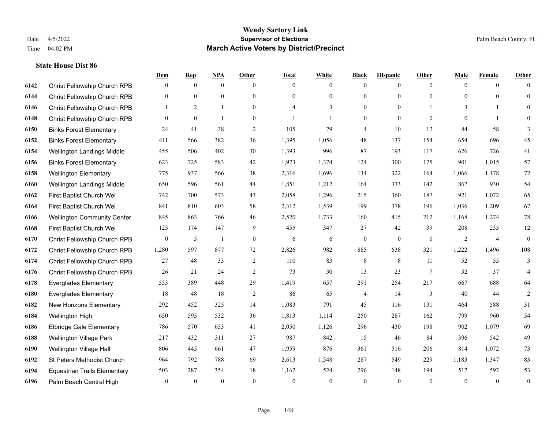|      |                                     | Dem              | <b>Rep</b>     | NPA            | <b>Other</b>     | <b>Total</b> | <b>White</b> | <b>Black</b>     | <b>Hispanic</b> | <b>Other</b>   | <b>Male</b>  | <b>Female</b>  | <b>Other</b>     |
|------|-------------------------------------|------------------|----------------|----------------|------------------|--------------|--------------|------------------|-----------------|----------------|--------------|----------------|------------------|
| 6142 | Christ Fellowship Church RPB        | $\overline{0}$   | $\overline{0}$ | $\mathbf{0}$   | $\mathbf{0}$     | $\theta$     | $\mathbf{0}$ | $\mathbf{0}$     | $\mathbf{0}$    | $\overline{0}$ | $\theta$     | $\overline{0}$ | $\Omega$         |
| 6144 | Christ Fellowship Church RPB        | $\overline{0}$   | $\mathbf{0}$   | $\mathbf{0}$   | $\mathbf{0}$     | $\Omega$     | $\mathbf{0}$ | $\mathbf{0}$     | $\mathbf{0}$    | $\Omega$       | $\theta$     | $\theta$       | $\overline{0}$   |
| 6146 | Christ Fellowship Church RPB        | $\mathbf{1}$     | 2              | $\mathbf{1}$   | $\theta$         | $\Delta$     | 3            | $\theta$         | $\theta$        |                | 3            | $\mathbf{1}$   | $\Omega$         |
| 6148 | Christ Fellowship Church RPB        | $\overline{0}$   | $\mathbf{0}$   | $\mathbf{1}$   | $\boldsymbol{0}$ |              | 1            | $\mathbf{0}$     | $\mathbf{0}$    | $\overline{0}$ | $\mathbf{0}$ | $\mathbf{1}$   | $\theta$         |
| 6150 | <b>Binks Forest Elementary</b>      | 24               | 41             | 38             | $\overline{c}$   | 105          | 79           | $\overline{4}$   | 10              | 12             | 44           | 58             | 3                |
| 6152 | <b>Binks Forest Elementary</b>      | 411              | 566            | 382            | 36               | 1,395        | 1,056        | 48               | 137             | 154            | 654          | 696            | 45               |
| 6154 | Wellington Landings Middle          | 455              | 506            | 402            | 30               | 1,393        | 996          | 87               | 193             | 117            | 626          | 726            | 41               |
| 6156 | <b>Binks Forest Elementary</b>      | 623              | 725            | 583            | 42               | 1,973        | 1,374        | 124              | 300             | 175            | 901          | 1,015          | 57               |
| 6158 | <b>Wellington Elementary</b>        | 775              | 937            | 566            | 38               | 2,316        | 1,696        | 134              | 322             | 164            | 1,066        | 1,178          | 72               |
| 6160 | Wellington Landings Middle          | 650              | 596            | 561            | 44               | 1,851        | 1,212        | 164              | 333             | 142            | 867          | 930            | 54               |
| 6162 | First Baptist Church Wel            | 742              | 700            | 573            | 43               | 2,058        | 1,296        | 215              | 360             | 187            | 921          | 1,072          | 65               |
| 6164 | First Baptist Church Wel            | 841              | 810            | 603            | 58               | 2,312        | 1,539        | 199              | 378             | 196            | 1,036        | 1,209          | 67               |
| 6166 | <b>Wellington Community Center</b>  | 845              | 863            | 766            | 46               | 2,520        | 1,733        | 160              | 415             | 212            | 1,168        | 1,274          | 78               |
| 6168 | First Baptist Church Wel            | 125              | 174            | 147            | 9                | 455          | 347          | 27               | 42              | 39             | 208          | 235            | $12\,$           |
| 6170 | Christ Fellowship Church RPB        | $\boldsymbol{0}$ | 5              | $\overline{1}$ | $\boldsymbol{0}$ | 6            | 6            | $\boldsymbol{0}$ | $\mathbf{0}$    | $\mathbf{0}$   | 2            | 4              | $\overline{0}$   |
| 6172 | Christ Fellowship Church RPB        | 1,280            | 597            | 877            | 72               | 2,826        | 982          | 885              | 638             | 321            | 1,222        | 1,496          | 108              |
| 6174 | Christ Fellowship Church RPB        | 27               | 48             | 33             | $\sqrt{2}$       | 110          | 83           | $\,$ 8 $\,$      | 8               | 11             | 52           | 55             | 3                |
| 6176 | Christ Fellowship Church RPB        | 26               | 21             | 24             | 2                | 73           | 30           | 13               | 23              | 7              | 32           | 37             | 4                |
| 6178 | <b>Everglades Elementary</b>        | 553              | 389            | 448            | 29               | 1,419        | 657          | 291              | 254             | 217            | 667          | 688            | 64               |
| 6180 | <b>Everglades Elementary</b>        | 18               | 48             | 18             | $\sqrt{2}$       | 86           | 65           | 4                | 14              | 3              | 40           | 44             | $\mathfrak{2}$   |
| 6182 | New Horizons Elementary             | 292              | 452            | 325            | 14               | 1,083        | 791          | 45               | 116             | 131            | 464          | 588            | 31               |
| 6184 | Wellington High                     | 650              | 595            | 532            | 36               | 1,813        | 1,114        | 250              | 287             | 162            | 799          | 960            | 54               |
| 6186 | <b>Elbridge Gale Elementary</b>     | 786              | 570            | 653            | 41               | 2,050        | 1,126        | 296              | 430             | 198            | 902          | 1,079          | 69               |
| 6188 | <b>Wellington Village Park</b>      | 217              | 432            | 311            | 27               | 987          | 842          | 15               | 46              | 84             | 396          | 542            | 49               |
| 6190 | Wellington Village Hall             | 806              | 445            | 661            | 47               | 1,959        | 876          | 361              | 516             | 206            | 814          | 1,072          | 73               |
| 6192 | St Peters Methodist Church          | 964              | 792            | 788            | 69               | 2,613        | 1,548        | 287              | 549             | 229            | 1,183        | 1,347          | 83               |
| 6194 | <b>Equestrian Trails Elementary</b> | 503              | 287            | 354            | 18               | 1,162        | 524          | 296              | 148             | 194            | 517          | 592            | 53               |
| 6196 | Palm Beach Central High             | $\overline{0}$   | $\mathbf{0}$   | $\mathbf{0}$   | $\theta$         | $\theta$     | $\mathbf{0}$ | $\theta$         | $\theta$        | $\theta$       | $\theta$     | $\mathbf{0}$   | $\boldsymbol{0}$ |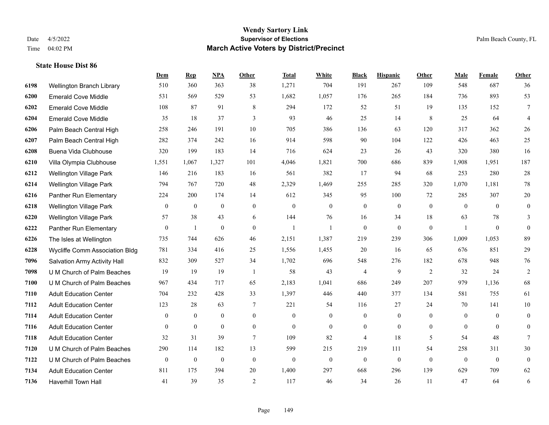#### **Wendy Sartory Link** Date 4/5/2022 **Supervisor of Elections** Palm Beach County, FL Time 04:02 PM **March Active Voters by District/Precinct**

# **Dem Rep NPA Other Total White Black Hispanic Other Male Female Other** Wellington Branch Library 510 360 363 38 1,271 704 191 267 109 548 687 36 Emerald Cove Middle 531 569 529 53 1,682 1,057 176 265 184 736 893 53 Emerald Cove Middle 108 87 91 8 294 172 52 51 19 135 152 7 Emerald Cove Middle 35 18 37 3 93 46 25 14 8 25 64 4 Palm Beach Central High 258 246 191 10 705 386 136 63 120 317 362 26 Palm Beach Central High 282 374 242 16 914 598 90 104 122 426 463 25 Buena Vida Clubhouse 320 199 183 14 716 624 23 26 43 320 380 16 Villa Olympia Clubhouse 1,551 1,067 1,327 101 4,046 1,821 700 686 839 1,908 1,951 187 Wellington Village Park 146 216 183 16 561 382 17 94 68 253 280 28 Wellington Village Park 794 767 720 48 2,329 1,469 255 285 320 1,070 1,181 78 Panther Run Elementary 224 200 174 14 612 345 95 100 72 285 307 20 Wellington Village Park 0 0 0 0 0 0 0 0 0 0 0 0 Wellington Village Park 57 38 43 6 144 76 16 34 18 63 78 3 Panther Run Elementary 0 1 0 0 1 1 0 0 0 1 0 0 The Isles at Wellington 735 744 626 46 2,151 1,387 219 239 306 1,009 1,053 89 Wycliffe Comm Association Bldg 781 334 416 25 1,556 1,455 20 16 65 676 851 29 Salvation Army Activity Hall 832 309 527 34 1,702 696 548 276 182 678 948 76 U M Church of Palm Beaches 19 19 19 1 58 43 4 9 2 32 24 2 U M Church of Palm Beaches 967 434 717 65 2,183 1,041 686 249 207 979 1,136 68 Adult Education Center 704 232 428 33 1,397 446 440 377 134 581 755 61 Adult Education Center 123 28 63 7 221 54 116 27 24 70 141 10 Adult Education Center 0 0 0 0 0 0 0 0 0 0 0 0 Adult Education Center 0 0 0 0 0 0 0 0 0 0 0 0 Adult Education Center 32 31 39 7 109 82 4 18 5 54 48 7 U M Church of Palm Beaches 290 114 182 13 599 215 219 111 54 258 311 30 U M Church of Palm Beaches 0 0 0 0 0 0 0 0 0 0 0 0 Adult Education Center 811 175 394 20 1,400 297 668 296 139 629 709 62 Haverhill Town Hall 41 39 35 2 117 46 34 26 11 47 64 6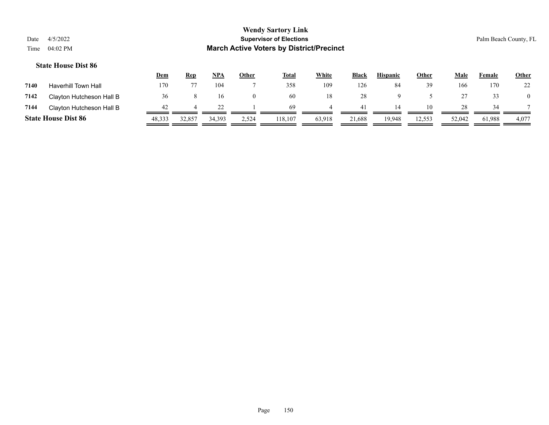|      |                            | <u>Dem</u> | Rep    | <b>NPA</b> | <u>Other</u> | <b>Total</b> | <u>White</u> | <b>Black</b> | <b>Hispanic</b> | <u>Other</u> | Male   | Female | <b>Other</b> |
|------|----------------------------|------------|--------|------------|--------------|--------------|--------------|--------------|-----------------|--------------|--------|--------|--------------|
| 7140 | <b>Haverhill Town Hall</b> | 170        |        | 104        |              | 358          | 109          | 126          | 84              | 39           | 166    | 170    | 22           |
| 7142 | Clayton Hutcheson Hall B   | 36         |        | 16         | $\theta$     | -60          | 18           | 28           |                 |              |        | 33     |              |
| 7144 | Clayton Hutcheson Hall B   | 42         |        |            |              | -69          |              |              | 14              | 10           | 28     | 34     |              |
|      | <b>State House Dist 86</b> | 48,333     | 32,857 | 34,393     | 2,524        | 118,107      | 63,918       | 21,688       | 19,948          | 12,553       | 52,042 | 61,988 | 4,077        |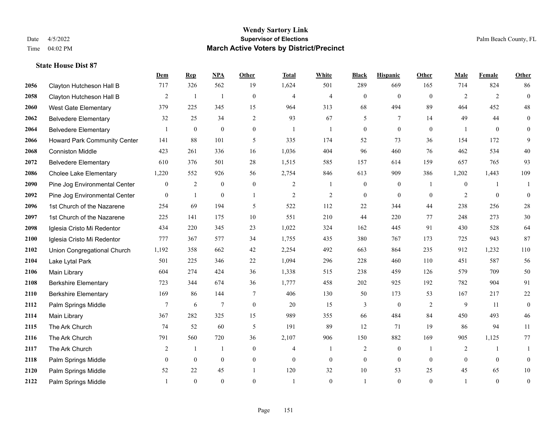|      |                               | Dem            | <b>Rep</b>   | NPA            | <b>Other</b>   | <b>Total</b>   | <b>White</b>     | <b>Black</b>     | <b>Hispanic</b>  | <b>Other</b>   | <b>Male</b>    | Female       | <b>Other</b>     |
|------|-------------------------------|----------------|--------------|----------------|----------------|----------------|------------------|------------------|------------------|----------------|----------------|--------------|------------------|
| 2056 | Clayton Hutcheson Hall B      | 717            | 326          | 562            | 19             | 1,624          | 501              | 289              | 669              | 165            | 714            | 824          | 86               |
| 2058 | Clayton Hutcheson Hall B      | $\overline{2}$ | $\mathbf{1}$ | $\overline{1}$ | $\mathbf{0}$   | $\overline{4}$ | $\overline{4}$   | $\mathbf{0}$     | $\mathbf{0}$     | $\theta$       | 2              | 2            | $\mathbf{0}$     |
| 2060 | <b>West Gate Elementary</b>   | 379            | 225          | 345            | 15             | 964            | 313              | 68               | 494              | 89             | 464            | 452          | $48\,$           |
| 2062 | <b>Belvedere Elementary</b>   | 32             | 25           | 34             | $\overline{2}$ | 93             | 67               | 5                | 7                | 14             | 49             | 44           | $\boldsymbol{0}$ |
| 2064 | <b>Belvedere Elementary</b>   |                | $\mathbf{0}$ | $\theta$       | $\Omega$       | $\mathbf{1}$   | $\mathbf{1}$     | $\mathbf{0}$     | $\theta$         | $\Omega$       |                | $\theta$     | $\overline{0}$   |
| 2066 | Howard Park Community Center  | 141            | 88           | 101            | 5              | 335            | 174              | 52               | 73               | 36             | 154            | 172          | 9                |
| 2068 | <b>Conniston Middle</b>       | 423            | 261          | 336            | 16             | 1,036          | 404              | 96               | 460              | 76             | 462            | 534          | 40               |
| 2072 | <b>Belvedere Elementary</b>   | 610            | 376          | 501            | 28             | 1,515          | 585              | 157              | 614              | 159            | 657            | 765          | 93               |
| 2086 | <b>Cholee Lake Elementary</b> | 1,220          | 552          | 926            | 56             | 2,754          | 846              | 613              | 909              | 386            | 1,202          | 1,443        | 109              |
| 2090 | Pine Jog Environmental Center | $\mathbf{0}$   | 2            | $\mathbf{0}$   | $\overline{0}$ | 2              | $\mathbf{1}$     | $\boldsymbol{0}$ | $\boldsymbol{0}$ | $\overline{1}$ | $\overline{0}$ | $\mathbf{1}$ | 1                |
| 2092 | Pine Jog Environmental Center | $\overline{0}$ | $\mathbf{1}$ | $\mathbf{0}$   | $\mathbf{1}$   | $\overline{2}$ | $\mathfrak{2}$   | $\mathbf{0}$     | $\theta$         | $\theta$       | 2              | $\theta$     | $\mathbf{0}$     |
| 2096 | 1st Church of the Nazarene    | 254            | 69           | 194            | 5              | 522            | 112              | 22               | 344              | 44             | 238            | 256          | $28\,$           |
| 2097 | 1st Church of the Nazarene    | 225            | 141          | 175            | 10             | 551            | 210              | 44               | 220              | 77             | 248            | 273          | $30\,$           |
| 2098 | Iglesia Cristo Mi Redentor    | 434            | 220          | 345            | 23             | 1,022          | 324              | 162              | 445              | 91             | 430            | 528          | 64               |
| 2100 | Iglesia Cristo Mi Redentor    | 777            | 367          | 577            | 34             | 1,755          | 435              | 380              | 767              | 173            | 725            | 943          | 87               |
| 2102 | Union Congregational Church   | 1,192          | 358          | 662            | 42             | 2,254          | 492              | 663              | 864              | 235            | 912            | 1,232        | 110              |
| 2104 | Lake Lytal Park               | 501            | 225          | 346            | 22             | 1,094          | 296              | 228              | 460              | 110            | 451            | 587          | 56               |
| 2106 | Main Library                  | 604            | 274          | 424            | 36             | 1,338          | 515              | 238              | 459              | 126            | 579            | 709          | 50               |
| 2108 | <b>Berkshire Elementary</b>   | 723            | 344          | 674            | 36             | 1,777          | 458              | 202              | 925              | 192            | 782            | 904          | 91               |
| 2110 | <b>Berkshire Elementary</b>   | 169            | 86           | 144            | 7              | 406            | 130              | 50               | 173              | 53             | 167            | 217          | $22\,$           |
| 2112 | Palm Springs Middle           | 7              | 6            | $\overline{7}$ | $\overline{0}$ | 20             | 15               | 3                | $\mathbf{0}$     | 2              | 9              | 11           | $\mathbf{0}$     |
| 2114 | Main Library                  | 367            | 282          | 325            | 15             | 989            | 355              | 66               | 484              | 84             | 450            | 493          | 46               |
| 2115 | The Ark Church                | 74             | 52           | 60             | 5              | 191            | 89               | 12               | 71               | 19             | 86             | 94           | 11               |
| 2116 | The Ark Church                | 791            | 560          | 720            | 36             | 2,107          | 906              | 150              | 882              | 169            | 905            | 1,125        | 77               |
| 2117 | The Ark Church                | 2              | $\mathbf{1}$ | $\mathbf{1}$   | $\Omega$       | $\overline{4}$ | $\mathbf{1}$     | $\overline{c}$   | $\mathbf{0}$     | $\overline{1}$ | $\overline{2}$ | $\mathbf{1}$ | $\mathbf{1}$     |
| 2118 | Palm Springs Middle           | $\mathbf{0}$   | $\mathbf{0}$ | $\mathbf{0}$   | $\overline{0}$ | $\theta$       | $\boldsymbol{0}$ | $\boldsymbol{0}$ | $\mathbf{0}$     | $\theta$       | $\theta$       | $\theta$     | $\boldsymbol{0}$ |
| 2120 | Palm Springs Middle           | 52             | 22           | 45             | $\mathbf{1}$   | 120            | 32               | 10               | 53               | 25             | 45             | 65           | $10\,$           |
| 2122 | Palm Springs Middle           |                | $\theta$     | $\theta$       | $\Omega$       |                | $\Omega$         |                  | $\theta$         | $\theta$       |                | $\theta$     | $\boldsymbol{0}$ |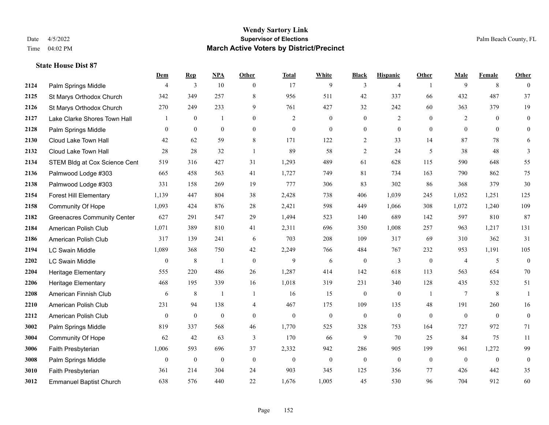#### **Wendy Sartory Link** Date 4/5/2022 **Supervisor of Elections** Palm Beach County, FL Time 04:02 PM **March Active Voters by District/Precinct**

# **Dem Rep NPA Other Total White Black Hispanic Other Male Female Other**

| 2124 | Palm Springs Middle                | 4                | 3                | 10               | $\theta$         | 17               | 9                | 3                | 4                |              | 9              | 8              | $\theta$         |
|------|------------------------------------|------------------|------------------|------------------|------------------|------------------|------------------|------------------|------------------|--------------|----------------|----------------|------------------|
| 2125 | St Marys Orthodox Church           | 342              | 349              | 257              | 8                | 956              | 511              | 42               | 337              | 66           | 432            | 487            | 37               |
| 2126 | St Marys Orthodox Church           | 270              | 249              | 233              | 9                | 761              | 427              | 32               | 242              | 60           | 363            | 379            | 19               |
| 2127 | Lake Clarke Shores Town Hall       |                  | $\boldsymbol{0}$ | $\mathbf{1}$     | $\boldsymbol{0}$ | $\overline{2}$   | $\boldsymbol{0}$ | $\boldsymbol{0}$ | $\overline{2}$   | $\mathbf{0}$ | $\overline{2}$ | $\overline{0}$ | $\boldsymbol{0}$ |
| 2128 | Palm Springs Middle                | $\theta$         | $\mathbf{0}$     | $\mathbf{0}$     | $\theta$         | $\theta$         | $\overline{0}$   | $\mathbf{0}$     | $\mathbf{0}$     | $\theta$     | $\theta$       | $\theta$       | $\boldsymbol{0}$ |
| 2130 | Cloud Lake Town Hall               | 42               | 62               | 59               | $\,$ 8 $\,$      | 171              | 122              | $\overline{c}$   | 33               | 14           | 87             | 78             | 6                |
| 2132 | Cloud Lake Town Hall               | 28               | 28               | 32               | $\mathbf{1}$     | 89               | 58               | 2                | 24               | 5            | 38             | 48             | 3                |
| 2134 | STEM Bldg at Cox Science Cent      | 519              | 316              | 427              | 31               | 1,293            | 489              | 61               | 628              | 115          | 590            | 648            | 55               |
| 2136 | Palmwood Lodge #303                | 665              | 458              | 563              | 41               | 1,727            | 749              | 81               | 734              | 163          | 790            | 862            | 75               |
| 2138 | Palmwood Lodge #303                | 331              | 158              | 269              | 19               | 777              | 306              | 83               | 302              | 86           | 368            | 379            | 30               |
| 2154 | <b>Forest Hill Elementary</b>      | 1,139            | 447              | 804              | 38               | 2,428            | 738              | 406              | 1,039            | 245          | 1,052          | 1,251          | 125              |
| 2158 | Community Of Hope                  | 1,093            | 424              | 876              | 28               | 2,421            | 598              | 449              | 1,066            | 308          | 1,072          | 1,240          | 109              |
| 2182 | <b>Greenacres Community Center</b> | 627              | 291              | 547              | 29               | 1,494            | 523              | 140              | 689              | 142          | 597            | 810            | 87               |
| 2184 | American Polish Club               | 1,071            | 389              | 810              | 41               | 2,311            | 696              | 350              | 1,008            | 257          | 963            | 1,217          | 131              |
| 2186 | American Polish Club               | 317              | 139              | 241              | 6                | 703              | 208              | 109              | 317              | 69           | 310            | 362            | 31               |
| 2194 | <b>LC Swain Middle</b>             | 1,089            | 368              | 750              | 42               | 2,249            | 766              | 484              | 767              | 232          | 953            | 1,191          | 105              |
| 2202 | <b>LC Swain Middle</b>             | $\mathbf{0}$     | $\,$ 8 $\,$      | $\mathbf{1}$     | $\theta$         | 9                | 6                | $\mathbf{0}$     | $\overline{3}$   | $\mathbf{0}$ | $\overline{4}$ | 5              | $\boldsymbol{0}$ |
| 2204 | <b>Heritage Elementary</b>         | 555              | 220              | 486              | 26               | 1,287            | 414              | 142              | 618              | 113          | 563            | 654            | 70               |
| 2206 | <b>Heritage Elementary</b>         | 468              | 195              | 339              | 16               | 1,018            | 319              | 231              | 340              | 128          | 435            | 532            | 51               |
| 2208 | American Finnish Club              | 6                | 8                | $\mathbf{1}$     | $\overline{1}$   | 16               | 15               | $\mathbf{0}$     | $\mathbf{0}$     | -1           | $\tau$         | 8              | 1                |
| 2210 | American Polish Club               | 231              | 94               | 138              | $\overline{4}$   | 467              | 175              | 109              | 135              | 48           | 191            | 260            | 16               |
| 2212 | American Polish Club               | $\overline{0}$   | $\boldsymbol{0}$ | $\boldsymbol{0}$ | $\mathbf{0}$     | $\boldsymbol{0}$ | $\boldsymbol{0}$ | $\boldsymbol{0}$ | $\mathbf{0}$     | $\mathbf{0}$ | $\mathbf{0}$   | $\mathbf{0}$   | $\boldsymbol{0}$ |
| 3002 | Palm Springs Middle                | 819              | 337              | 568              | 46               | 1,770            | 525              | 328              | 753              | 164          | 727            | 972            | 71               |
| 3004 | <b>Community Of Hope</b>           | 62               | 42               | 63               | 3                | 170              | 66               | 9                | 70               | 25           | 84             | 75             | 11               |
| 3006 | Faith Presbyterian                 | 1,006            | 593              | 696              | 37               | 2,332            | 942              | 286              | 905              | 199          | 961            | 1,272          | 99               |
| 3008 | Palm Springs Middle                | $\boldsymbol{0}$ | $\boldsymbol{0}$ | $\boldsymbol{0}$ | $\mathbf{0}$     | $\boldsymbol{0}$ | $\boldsymbol{0}$ | $\boldsymbol{0}$ | $\boldsymbol{0}$ | $\mathbf{0}$ | $\mathbf{0}$   | $\mathbf{0}$   | $\boldsymbol{0}$ |
| 3010 | Faith Presbyterian                 | 361              | 214              | 304              | 24               | 903              | 345              | 125              | 356              | 77           | 426            | 442            | 35               |
| 3012 | <b>Emmanuel Baptist Church</b>     | 638              | 576              | 440              | 22               | 1,676            | 1,005            | 45               | 530              | 96           | 704            | 912            | 60               |
|      |                                    |                  |                  |                  |                  |                  |                  |                  |                  |              |                |                |                  |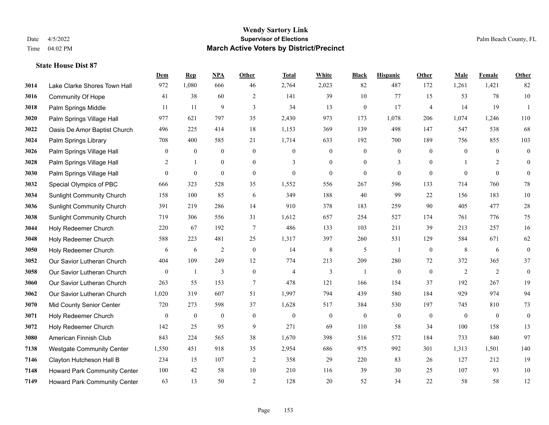|      |                                     | Dem              | <b>Rep</b>       | NPA              | <b>Other</b>     | <b>Total</b>     | White            | <b>Black</b>     | <b>Hispanic</b>  | <b>Other</b>   | <b>Male</b>      | <b>Female</b>  | <b>Other</b>     |
|------|-------------------------------------|------------------|------------------|------------------|------------------|------------------|------------------|------------------|------------------|----------------|------------------|----------------|------------------|
| 3014 | Lake Clarke Shores Town Hall        | 972              | 1,080            | 666              | 46               | 2,764            | 2,023            | 82               | 487              | 172            | 1,261            | 1,421          | 82               |
| 3016 | <b>Community Of Hope</b>            | 41               | 38               | 60               | 2                | 141              | 39               | 10               | 77               | 15             | 53               | 78             | $10\,$           |
| 3018 | Palm Springs Middle                 | 11               | 11               | 9                | 3                | 34               | 13               | $\boldsymbol{0}$ | 17               | $\overline{4}$ | 14               | 19             | $\mathbf{1}$     |
| 3020 | Palm Springs Village Hall           | 977              | 621              | 797              | 35               | 2,430            | 973              | 173              | 1,078            | 206            | 1,074            | 1,246          | 110              |
| 3022 | Oasis De Amor Baptist Church        | 496              | 225              | 414              | 18               | 1,153            | 369              | 139              | 498              | 147            | 547              | 538            | 68               |
| 3024 | Palm Springs Library                | 708              | 400              | 585              | 21               | 1,714            | 633              | 192              | 700              | 189            | 756              | 855            | 103              |
| 3026 | Palm Springs Village Hall           | $\mathbf{0}$     | $\boldsymbol{0}$ | $\boldsymbol{0}$ | $\mathbf{0}$     | $\boldsymbol{0}$ | $\mathbf{0}$     | $\boldsymbol{0}$ | $\boldsymbol{0}$ | $\overline{0}$ | $\mathbf{0}$     | $\overline{0}$ | $\boldsymbol{0}$ |
| 3028 | Palm Springs Village Hall           | 2                | $\mathbf{1}$     | $\overline{0}$   | $\Omega$         | 3                | $\overline{0}$   | $\mathbf{0}$     | 3                | $\theta$       |                  | 2              | $\mathbf{0}$     |
| 3030 | Palm Springs Village Hall           | $\overline{0}$   | $\mathbf{0}$     | $\mathbf{0}$     | $\mathbf{0}$     | $\mathbf{0}$     | $\mathbf{0}$     | $\mathbf{0}$     | $\mathbf{0}$     | $\theta$       | $\theta$         | $\theta$       | $\theta$         |
| 3032 | Special Olympics of PBC             | 666              | 323              | 528              | 35               | 1,552            | 556              | 267              | 596              | 133            | 714              | 760            | 78               |
| 3034 | <b>Sunlight Community Church</b>    | 158              | 100              | 85               | 6                | 349              | 188              | 40               | 99               | 22             | 156              | 183            | $10\,$           |
| 3036 | <b>Sunlight Community Church</b>    | 391              | 219              | 286              | 14               | 910              | 378              | 183              | 259              | 90             | 405              | 477            | $28\,$           |
| 3038 | <b>Sunlight Community Church</b>    | 719              | 306              | 556              | 31               | 1,612            | 657              | 254              | 527              | 174            | 761              | 776            | 75               |
| 3044 | Holy Redeemer Church                | 220              | 67               | 192              | $\overline{7}$   | 486              | 133              | 103              | 211              | 39             | 213              | 257            | 16               |
| 3048 | Holy Redeemer Church                | 588              | 223              | 481              | 25               | 1,317            | 397              | 260              | 531              | 129            | 584              | 671            | 62               |
| 3050 | Holy Redeemer Church                | 6                | 6                | $\overline{2}$   | $\mathbf{0}$     | 14               | 8                | 5                | 1                | $\overline{0}$ | 8                | 6              | $\boldsymbol{0}$ |
| 3052 | Our Savior Lutheran Church          | 404              | 109              | 249              | 12               | 774              | 213              | 209              | 280              | 72             | 372              | 365            | 37               |
| 3058 | Our Savior Lutheran Church          | $\mathbf{0}$     | 1                | 3                | $\overline{0}$   | $\overline{4}$   | 3                | 1                | $\mathbf{0}$     | $\theta$       | 2                | 2              | $\mathbf{0}$     |
| 3060 | Our Savior Lutheran Church          | 263              | 55               | 153              | $\tau$           | 478              | 121              | 166              | 154              | 37             | 192              | 267            | 19               |
| 3062 | Our Savior Lutheran Church          | 1,020            | 319              | 607              | 51               | 1,997            | 794              | 439              | 580              | 184            | 929              | 974            | 94               |
| 3070 | Mid County Senior Center            | 720              | 273              | 598              | 37               | 1,628            | 517              | 384              | 530              | 197            | 745              | 810            | 73               |
| 3071 | Holy Redeemer Church                | $\boldsymbol{0}$ | $\boldsymbol{0}$ | $\boldsymbol{0}$ | $\boldsymbol{0}$ | $\boldsymbol{0}$ | $\boldsymbol{0}$ | $\boldsymbol{0}$ | $\boldsymbol{0}$ | $\mathbf{0}$   | $\boldsymbol{0}$ | $\mathbf{0}$   | $\boldsymbol{0}$ |
| 3072 | Holy Redeemer Church                | 142              | 25               | 95               | 9                | 271              | 69               | 110              | 58               | 34             | 100              | 158            | 13               |
| 3080 | American Finnish Club               | 843              | 224              | 565              | 38               | 1,670            | 398              | 516              | 572              | 184            | 733              | 840            | 97               |
| 7138 | <b>Westgate Community Center</b>    | 1,550            | 451              | 918              | 35               | 2,954            | 686              | 975              | 992              | 301            | 1,313            | 1,501          | 140              |
| 7146 | Clayton Hutcheson Hall B            | 234              | 15               | 107              | $\overline{2}$   | 358              | 29               | 220              | 83               | 26             | 127              | 212            | 19               |
| 7148 | Howard Park Community Center        | 100              | 42               | 58               | 10               | 210              | 116              | 39               | 30               | 25             | 107              | 93             | 10               |
| 7149 | <b>Howard Park Community Center</b> | 63               | 13               | 50               | $\overline{2}$   | 128              | 20               | 52               | 34               | 22             | 58               | 58             | 12               |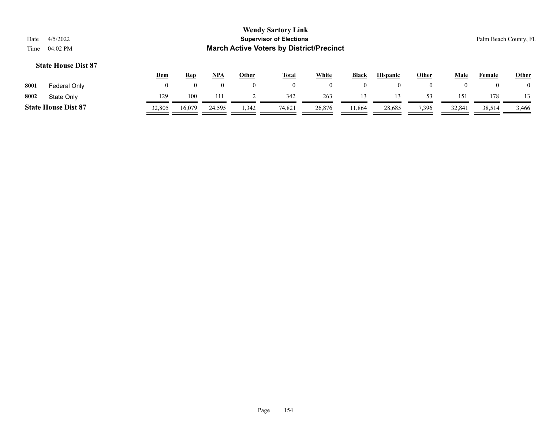| Date | 4/5/2022                   |              |            |          |              | <b>Wendy Sartory Link</b><br><b>Supervisor of Elections</b> |              |              |                 |              |          |               | Palm Beach County, FL |
|------|----------------------------|--------------|------------|----------|--------------|-------------------------------------------------------------|--------------|--------------|-----------------|--------------|----------|---------------|-----------------------|
| Time | 04:02 PM                   |              |            |          |              | <b>March Active Voters by District/Precinct</b>             |              |              |                 |              |          |               |                       |
|      | <b>State House Dist 87</b> |              |            |          |              |                                                             |              |              |                 |              |          |               |                       |
|      |                            | <u>Dem</u>   | <b>Rep</b> | $NPA$    | <u>Other</u> | <u>Total</u>                                                | <b>White</b> | <b>Black</b> | <b>Hispanic</b> | <b>Other</b> | Male     | <b>Female</b> | <b>Other</b>          |
| 8001 | Federal Only               | $\mathbf{0}$ | $\theta$   | $\theta$ | $\Omega$     | $\left($                                                    | $\mathbf{0}$ | $\theta$     | $\theta$        |              | $\theta$ |               |                       |
| 8002 | State Only                 | 129          | 100        | 111      |              | 342                                                         | 263          | 13           | 13              |              | 151      | 178           |                       |

**State House Dist 87** 32,805 16,079 24,595 1,342 74,821 26,876 11,864 28,685 7,396 32,841 38,514 3466

 $\equiv$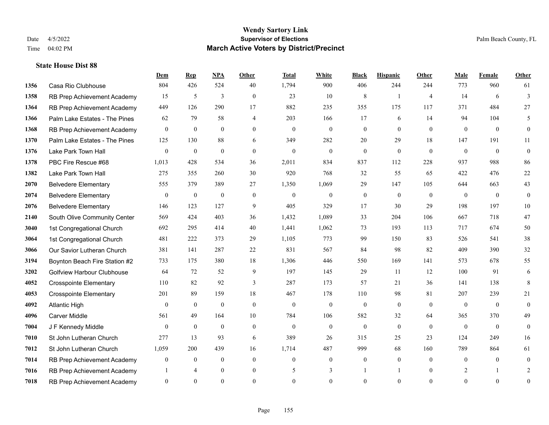|      |                                   | Dem              | <b>Rep</b>       | NPA              | <b>Other</b>   | <b>Total</b> | <b>White</b>   | <b>Black</b>     | <b>Hispanic</b> | Other          | <b>Male</b>  | Female         | <b>Other</b>     |
|------|-----------------------------------|------------------|------------------|------------------|----------------|--------------|----------------|------------------|-----------------|----------------|--------------|----------------|------------------|
| 1356 | Casa Rio Clubhouse                | 804              | 426              | 524              | 40             | 1,794        | 900            | 406              | 244             | 244            | 773          | 960            | 61               |
| 1358 | RB Prep Achievement Academy       | 15               | 5                | $\overline{3}$   | $\mathbf{0}$   | 23           | 10             | $\,$ 8 $\,$      | $\mathbf{1}$    | $\overline{4}$ | 14           | 6              | $\overline{3}$   |
| 1364 | RB Prep Achievement Academy       | 449              | 126              | 290              | 17             | 882          | 235            | 355              | 175             | 117            | 371          | 484            | 27               |
| 1366 | Palm Lake Estates - The Pines     | 62               | 79               | 58               | 4              | 203          | 166            | 17               | 6               | 14             | 94           | 104            | 5                |
| 1368 | RB Prep Achievement Academy       | $\overline{0}$   | $\mathbf{0}$     | $\theta$         | $\Omega$       | $\mathbf{0}$ | $\overline{0}$ | $\mathbf{0}$     | $\mathbf{0}$    | $\theta$       | $\theta$     | $\theta$       | $\mathbf{0}$     |
| 1370 | Palm Lake Estates - The Pines     | 125              | 130              | 88               | 6              | 349          | 282            | 20               | 29              | 18             | 147          | 191            | 11               |
| 1376 | Lake Park Town Hall               | $\boldsymbol{0}$ | $\boldsymbol{0}$ | $\mathbf{0}$     | $\overline{0}$ | $\mathbf{0}$ | $\mathbf{0}$   | $\boldsymbol{0}$ | $\mathbf{0}$    | $\mathbf{0}$   | $\mathbf{0}$ | $\mathbf{0}$   | $\boldsymbol{0}$ |
| 1378 | PBC Fire Rescue #68               | 1,013            | 428              | 534              | 36             | 2,011        | 834            | 837              | 112             | 228            | 937          | 988            | 86               |
| 1382 | Lake Park Town Hall               | 275              | 355              | 260              | 30             | 920          | 768            | 32               | 55              | 65             | 422          | 476            | $22\,$           |
| 2070 | <b>Belvedere Elementary</b>       | 555              | 379              | 389              | 27             | 1,350        | 1,069          | 29               | 147             | 105            | 644          | 663            | 43               |
| 2074 | <b>Belvedere Elementary</b>       | $\mathbf{0}$     | $\boldsymbol{0}$ | $\boldsymbol{0}$ | $\overline{0}$ | $\mathbf{0}$ | $\mathbf{0}$   | $\boldsymbol{0}$ | $\mathbf{0}$    | $\theta$       | $\mathbf{0}$ | $\overline{0}$ | $\mathbf{0}$     |
| 2076 | <b>Belvedere Elementary</b>       | 146              | 123              | 127              | 9              | 405          | 329            | 17               | 30              | 29             | 198          | 197            | 10               |
| 2140 | South Olive Community Center      | 569              | 424              | 403              | 36             | 1,432        | 1,089          | 33               | 204             | 106            | 667          | 718            | 47               |
| 3040 | 1st Congregational Church         | 692              | 295              | 414              | 40             | 1,441        | 1,062          | 73               | 193             | 113            | 717          | 674            | 50               |
| 3064 | 1st Congregational Church         | 481              | 222              | 373              | 29             | 1,105        | 773            | 99               | 150             | 83             | 526          | 541            | 38               |
| 3066 | Our Savior Lutheran Church        | 381              | 141              | 287              | 22             | 831          | 567            | 84               | 98              | 82             | 409          | 390            | $32\,$           |
| 3194 | Boynton Beach Fire Station #2     | 733              | 175              | 380              | 18             | 1,306        | 446            | 550              | 169             | 141            | 573          | 678            | 55               |
| 3202 | <b>Golfview Harbour Clubhouse</b> | 64               | 72               | 52               | 9              | 197          | 145            | 29               | 11              | 12             | 100          | 91             | 6                |
| 4052 | <b>Crosspointe Elementary</b>     | 110              | 82               | 92               | 3              | 287          | 173            | 57               | 21              | 36             | 141          | 138            | 8                |
| 4053 | <b>Crosspointe Elementary</b>     | 201              | 89               | 159              | 18             | 467          | 178            | 110              | 98              | 81             | 207          | 239            | 21               |
| 4092 | <b>Atlantic High</b>              | $\theta$         | $\overline{0}$   | $\mathbf{0}$     | $\Omega$       | $\theta$     | $\mathbf{0}$   | $\mathbf{0}$     | $\mathbf{0}$    | $\theta$       | $\theta$     | $\theta$       | $\mathbf{0}$     |
| 4096 | <b>Carver Middle</b>              | 561              | 49               | 164              | 10             | 784          | 106            | 582              | 32              | 64             | 365          | 370            | 49               |
| 7004 | J F Kennedy Middle                | $\mathbf{0}$     | $\mathbf{0}$     | $\mathbf{0}$     | $\overline{0}$ | $\mathbf{0}$ | $\overline{0}$ | $\mathbf{0}$     | $\mathbf{0}$    | $\theta$       | $\mathbf{0}$ | $\overline{0}$ | $\mathbf{0}$     |
| 7010 | St John Lutheran Church           | 277              | 13               | 93               | 6              | 389          | 26             | 315              | 25              | 23             | 124          | 249            | 16               |
| 7012 | St John Lutheran Church           | 1,059            | 200              | 439              | 16             | 1,714        | 487            | 999              | 68              | 160            | 789          | 864            | 61               |
| 7014 | RB Prep Achievement Academy       | $\mathbf{0}$     | $\boldsymbol{0}$ | $\mathbf{0}$     | $\overline{0}$ | $\mathbf{0}$ | $\overline{0}$ | $\boldsymbol{0}$ | $\mathbf{0}$    | $\theta$       | $\theta$     | $\mathbf{0}$   | $\boldsymbol{0}$ |
| 7016 | RB Prep Achievement Academy       |                  | $\overline{4}$   | $\mathbf{0}$     | $\overline{0}$ | 5            | 3              | -1               | -1              | $\theta$       | 2            | -1             | 2                |
| 7018 | RB Prep Achievement Academy       | $\overline{0}$   | $\Omega$         | $\Omega$         | $\Omega$       | $\Omega$     | $\Omega$       | $\theta$         | $\Omega$        | $\Omega$       | $\Omega$     | $\theta$       | $\mathbf{0}$     |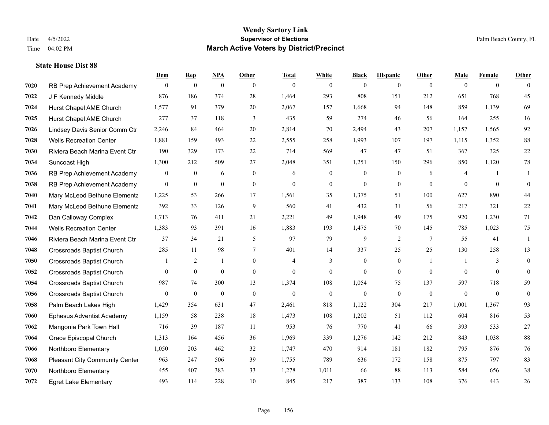|      |                                  | Dem              | <b>Rep</b>       | NPA              | <b>Other</b>   | <b>Total</b>   | <b>White</b>     | <b>Black</b>     | <b>Hispanic</b>  | <b>Other</b>   | <b>Male</b>    | <b>Female</b>  | <b>Other</b> |
|------|----------------------------------|------------------|------------------|------------------|----------------|----------------|------------------|------------------|------------------|----------------|----------------|----------------|--------------|
| 7020 | RB Prep Achievement Academy      | $\overline{0}$   | $\boldsymbol{0}$ | $\boldsymbol{0}$ | $\theta$       | $\theta$       | $\overline{0}$   | $\mathbf{0}$     | $\mathbf{0}$     | $\theta$       | $\mathbf{0}$   | $\overline{0}$ | $\theta$     |
| 7022 | J F Kennedy Middle               | 876              | 186              | 374              | 28             | 1,464          | 293              | 808              | 151              | 212            | 651            | 768            | 45           |
| 7024 | Hurst Chapel AME Church          | 1,577            | 91               | 379              | 20             | 2,067          | 157              | 1,668            | 94               | 148            | 859            | 1.139          | 69           |
| 7025 | Hurst Chapel AME Church          | 277              | 37               | 118              | 3              | 435            | 59               | 274              | 46               | 56             | 164            | 255            | 16           |
| 7026 | Lindsey Davis Senior Comm Ctr    | 2,246            | 84               | 464              | 20             | 2,814          | 70               | 2,494            | 43               | 207            | 1,157          | 1,565          | 92           |
| 7028 | <b>Wells Recreation Center</b>   | 1,881            | 159              | 493              | 22             | 2,555          | 258              | 1,993            | 107              | 197            | 1,115          | 1,352          | 88           |
| 7030 | Riviera Beach Marina Event Ctr   | 190              | 329              | 173              | 22             | 714            | 569              | 47               | 47               | 51             | 367            | 325            | $22\,$       |
| 7034 | Suncoast High                    | 1,300            | 212              | 509              | 27             | 2,048          | 351              | 1,251            | 150              | 296            | 850            | 1,120          | $78\,$       |
| 7036 | RB Prep Achievement Academy      | $\boldsymbol{0}$ | $\boldsymbol{0}$ | 6                | $\mathbf{0}$   | 6              | $\boldsymbol{0}$ | $\boldsymbol{0}$ | $\boldsymbol{0}$ | 6              | 4              | 1              | -1           |
| 7038 | RB Prep Achievement Academy      | $\mathbf{0}$     | $\mathbf{0}$     | $\mathbf{0}$     | $\overline{0}$ | $\theta$       | $\mathbf{0}$     | $\mathbf{0}$     | $\mathbf{0}$     | $\theta$       | $\theta$       | $\theta$       | $\mathbf{0}$ |
| 7040 | Mary McLeod Bethune Elementa     | 1,225            | 53               | 266              | 17             | 1,561          | 35               | 1,375            | 51               | 100            | 627            | 890            | $44\,$       |
| 7041 | Mary McLeod Bethune Elementa     | 392              | 33               | 126              | 9              | 560            | 41               | 432              | 31               | 56             | 217            | 321            | $22\,$       |
| 7042 | Dan Calloway Complex             | 1,713            | 76               | 411              | 21             | 2,221          | 49               | 1,948            | 49               | 175            | 920            | 1,230          | 71           |
| 7044 | <b>Wells Recreation Center</b>   | 1,383            | 93               | 391              | 16             | 1,883          | 193              | 1,475            | 70               | 145            | 785            | 1,023          | 75           |
| 7046 | Riviera Beach Marina Event Ctr   | 37               | 34               | 21               | 5              | 97             | 79               | 9                | 2                | 7              | 55             | 41             | 1            |
| 7048 | <b>Crossroads Baptist Church</b> | 285              | 11               | 98               | 7              | 401            | 14               | 337              | 25               | 25             | 130            | 258            | 13           |
| 7050 | <b>Crossroads Baptist Church</b> |                  | 2                | -1               | $\overline{0}$ | $\overline{4}$ | 3                | $\boldsymbol{0}$ | $\mathbf{0}$     | $\overline{1}$ | -1             | 3              | $\mathbf{0}$ |
| 7052 | <b>Crossroads Baptist Church</b> | $\overline{0}$   | $\mathbf{0}$     | $\mathbf{0}$     | $\overline{0}$ | $\mathbf{0}$   | $\boldsymbol{0}$ | $\mathbf{0}$     | $\mathbf{0}$     | $\overline{0}$ | $\overline{0}$ | $\overline{0}$ | $\mathbf{0}$ |
| 7054 | <b>Crossroads Baptist Church</b> | 987              | 74               | 300              | 13             | 1,374          | 108              | 1,054            | 75               | 137            | 597            | 718            | 59           |
| 7056 | <b>Crossroads Baptist Church</b> | $\overline{0}$   | $\mathbf{0}$     | $\mathbf{0}$     | $\mathbf{0}$   | $\theta$       | $\mathbf{0}$     | $\mathbf{0}$     | $\theta$         | $\theta$       | $\mathbf{0}$   | $\theta$       | $\mathbf{0}$ |
| 7058 | Palm Beach Lakes High            | 1,429            | 354              | 631              | 47             | 2,461          | 818              | 1,122            | 304              | 217            | 1,001          | 1,367          | 93           |
| 7060 | Ephesus Adventist Academy        | 1,159            | 58               | 238              | 18             | 1,473          | 108              | 1,202            | 51               | 112            | 604            | 816            | 53           |
| 7062 | Mangonia Park Town Hall          | 716              | 39               | 187              | 11             | 953            | 76               | 770              | 41               | 66             | 393            | 533            | $27\,$       |
| 7064 | Grace Episcopal Church           | 1,313            | 164              | 456              | 36             | 1,969          | 339              | 1,276            | 142              | 212            | 843            | 1,038          | $88\,$       |
| 7066 | Northboro Elementary             | 1,050            | 203              | 462              | 32             | 1,747          | 470              | 914              | 181              | 182            | 795            | 876            | $76\,$       |
| 7068 | Pleasant City Community Center   | 963              | 247              | 506              | 39             | 1,755          | 789              | 636              | 172              | 158            | 875            | 797            | 83           |
| 7070 | Northboro Elementary             | 455              | 407              | 383              | 33             | 1,278          | 1,011            | 66               | 88               | 113            | 584            | 656            | 38           |
| 7072 | <b>Egret Lake Elementary</b>     | 493              | 114              | 228              | 10             | 845            | 217              | 387              | 133              | 108            | 376            | 443            | 26           |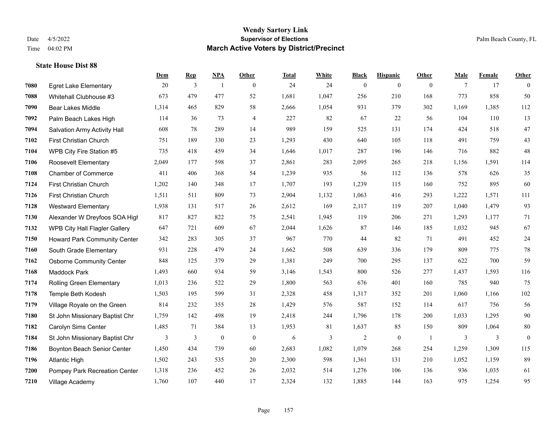|      |                                     | Dem   | <b>Rep</b> | NPA              | <b>Other</b>   | <b>Total</b> | <b>White</b> | <b>Black</b> | <b>Hispanic</b> | <b>Other</b>   | <b>Male</b> | Female | <b>Other</b> |
|------|-------------------------------------|-------|------------|------------------|----------------|--------------|--------------|--------------|-----------------|----------------|-------------|--------|--------------|
| 7080 | <b>Egret Lake Elementary</b>        | 20    | 3          | $\overline{1}$   | $\mathbf{0}$   | 24           | 24           | $\mathbf{0}$ | $\overline{0}$  | $\overline{0}$ | 7           | 17     | $\theta$     |
| 7088 | Whitehall Clubhouse #3              | 673   | 479        | 477              | 52             | 1,681        | 1,047        | 256          | 210             | 168            | 773         | 858    | 50           |
| 7090 | <b>Bear Lakes Middle</b>            | 1,314 | 465        | 829              | 58             | 2,666        | 1,054        | 931          | 379             | 302            | 1,169       | 1,385  | 112          |
| 7092 | Palm Beach Lakes High               | 114   | 36         | 73               | $\overline{4}$ | 227          | 82           | 67           | 22              | 56             | 104         | 110    | 13           |
| 7094 | <b>Salvation Army Activity Hall</b> | 608   | 78         | 289              | 14             | 989          | 159          | 525          | 131             | 174            | 424         | 518    | 47           |
| 7102 | First Christian Church              | 751   | 189        | 330              | 23             | 1,293        | 430          | 640          | 105             | 118            | 491         | 759    | $43\,$       |
| 7104 | WPB City Fire Station #5            | 735   | 418        | 459              | 34             | 1,646        | 1,017        | 287          | 196             | 146            | 716         | 882    | 48           |
| 7106 | <b>Roosevelt Elementary</b>         | 2,049 | 177        | 598              | 37             | 2,861        | 283          | 2,095        | 265             | 218            | 1,156       | 1,591  | 114          |
| 7108 | <b>Chamber of Commerce</b>          | 411   | 406        | 368              | 54             | 1,239        | 935          | 56           | 112             | 136            | 578         | 626    | 35           |
| 7124 | First Christian Church              | 1,202 | 140        | 348              | 17             | 1,707        | 193          | 1,239        | 115             | 160            | 752         | 895    | 60           |
| 7126 | First Christian Church              | 1,511 | 511        | 809              | 73             | 2,904        | 1,132        | 1,063        | 416             | 293            | 1,222       | 1,571  | 111          |
| 7128 | <b>Westward Elementary</b>          | 1,938 | 131        | 517              | 26             | 2,612        | 169          | 2,117        | 119             | 207            | 1,040       | 1,479  | 93           |
| 7130 | Alexander W Dreyfoos SOA High       | 817   | 827        | 822              | 75             | 2,541        | 1,945        | 119          | 206             | 271            | 1,293       | 1,177  | 71           |
| 7132 | WPB City Hall Flagler Gallery       | 647   | 721        | 609              | 67             | 2,044        | 1,626        | 87           | 146             | 185            | 1,032       | 945    | 67           |
| 7150 | Howard Park Community Center        | 342   | 283        | 305              | 37             | 967          | 770          | 44           | 82              | 71             | 491         | 452    | $24\,$       |
| 7160 | South Grade Elementary              | 931   | 228        | 479              | 24             | 1,662        | 508          | 639          | 336             | 179            | 809         | 775    | $78\,$       |
| 7162 | <b>Osborne Community Center</b>     | 848   | 125        | 379              | 29             | 1,381        | 249          | 700          | 295             | 137            | 622         | 700    | 59           |
| 7168 | Maddock Park                        | 1,493 | 660        | 934              | 59             | 3,146        | 1,543        | 800          | 526             | 277            | 1,437       | 1,593  | 116          |
| 7174 | <b>Rolling Green Elementary</b>     | 1,013 | 236        | 522              | 29             | 1,800        | 563          | 676          | 401             | 160            | 785         | 940    | 75           |
| 7178 | Temple Beth Kodesh                  | 1,503 | 195        | 599              | 31             | 2,328        | 458          | 1,317        | 352             | 201            | 1,060       | 1,166  | 102          |
| 7179 | Village Royale on the Green         | 814   | 232        | 355              | 28             | 1,429        | 576          | 587          | 152             | 114            | 617         | 756    | 56           |
| 7180 | St John Missionary Baptist Chr      | 1,759 | 142        | 498              | 19             | 2,418        | 244          | 1,796        | 178             | 200            | 1,033       | 1,295  | 90           |
| 7182 | Carolyn Sims Center                 | 1,485 | 71         | 384              | 13             | 1,953        | 81           | 1,637        | 85              | 150            | 809         | 1,064  | $80\,$       |
| 7184 | St John Missionary Baptist Chr      | 3     | 3          | $\boldsymbol{0}$ | $\mathbf{0}$   | 6            | 3            | 2            | $\mathbf{0}$    | -1             | 3           | 3      | $\mathbf{0}$ |
| 7186 | Boynton Beach Senior Center         | 1,450 | 434        | 739              | 60             | 2,683        | 1,082        | 1,079        | 268             | 254            | 1.259       | 1,309  | 115          |
| 7196 | <b>Atlantic High</b>                | 1,502 | 243        | 535              | 20             | 2,300        | 598          | 1,361        | 131             | 210            | 1,052       | 1,159  | 89           |
| 7200 | Pompey Park Recreation Center       | 1,318 | 236        | 452              | 26             | 2,032        | 514          | 1,276        | 106             | 136            | 936         | 1,035  | 61           |
| 7210 | Village Academy                     | 1,760 | 107        | 440              | 17             | 2,324        | 132          | 1,885        | 144             | 163            | 975         | 1,254  | 95           |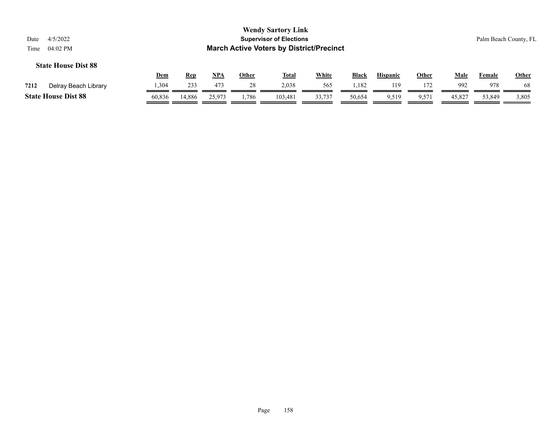| Date<br>Time | 4/5/2022<br>04:02 PM       |            |            |     |              | <b>Wendy Sartory Link</b><br><b>Supervisor of Elections</b><br><b>March Active Voters by District/Precinct</b> |              |              |                 |              |             |               | Palm Beach County, FL |
|--------------|----------------------------|------------|------------|-----|--------------|----------------------------------------------------------------------------------------------------------------|--------------|--------------|-----------------|--------------|-------------|---------------|-----------------------|
|              | <b>State House Dist 88</b> | <u>Dem</u> | <u>Rep</u> | NPA | <b>Other</b> | <b>Total</b>                                                                                                   | <b>White</b> | <b>Black</b> | <b>Hispanic</b> | <b>Other</b> | <b>Male</b> | <b>Female</b> | <b>Other</b>          |
| 7212         | Delray Beach Library       | 1,304      | 233        | 473 | 28           | 2.038                                                                                                          | 565          | 1.182        | 119             | 172          | 992         | 978           | 68                    |

**State House Dist 88** 60,836 14,886 25,973 1,786 103,481 33,737 50,654 9,519 9,571 45,827 53,849 3,805

 $\overline{\phantom{a}}$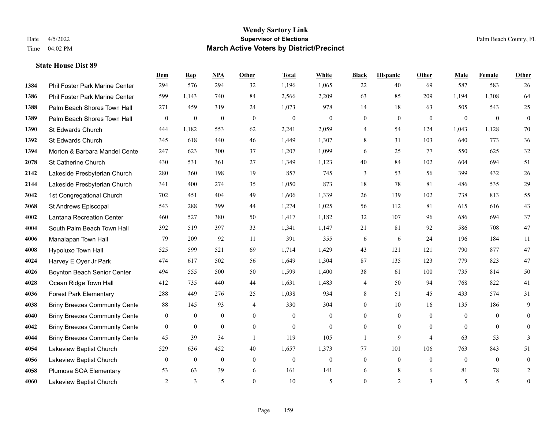|      |                                      | Dem            | <b>Rep</b>       | NPA              | <b>Other</b>   | <b>Total</b>     | White            | <b>Black</b>     | <b>Hispanic</b> | <b>Other</b>   | <b>Male</b>    | Female         | <b>Other</b>     |
|------|--------------------------------------|----------------|------------------|------------------|----------------|------------------|------------------|------------------|-----------------|----------------|----------------|----------------|------------------|
| 1384 | Phil Foster Park Marine Center       | 294            | 576              | 294              | 32             | 1,196            | 1,065            | 22               | 40              | 69             | 587            | 583            | 26               |
| 1386 | Phil Foster Park Marine Center       | 599            | 1.143            | 740              | 84             | 2,566            | 2,209            | 63               | 85              | 209            | 1,194          | 1,308          | 64               |
| 1388 | Palm Beach Shores Town Hall          | 271            | 459              | 319              | 24             | 1,073            | 978              | 14               | 18              | 63             | 505            | 543            | 25               |
| 1389 | Palm Beach Shores Town Hall          | $\bf{0}$       | $\boldsymbol{0}$ | $\boldsymbol{0}$ | $\mathbf{0}$   | $\boldsymbol{0}$ | $\boldsymbol{0}$ | $\boldsymbol{0}$ | $\mathbf{0}$    | $\mathbf{0}$   | $\mathbf{0}$   | $\mathbf{0}$   | $\boldsymbol{0}$ |
| 1390 | St Edwards Church                    | 444            | 1,182            | 553              | 62             | 2,241            | 2,059            | 4                | 54              | 124            | 1,043          | 1,128          | 70               |
| 1392 | St Edwards Church                    | 345            | 618              | 440              | 46             | 1,449            | 1,307            | 8                | 31              | 103            | 640            | 773            | 36               |
| 1394 | Morton & Barbara Mandel Cente        | 247            | 623              | 300              | 37             | 1,207            | 1,099            | 6                | 25              | 77             | 550            | 625            | $32\,$           |
| 2078 | St Catherine Church                  | 430            | 531              | 361              | 27             | 1,349            | 1,123            | 40               | 84              | 102            | 604            | 694            | 51               |
| 2142 | Lakeside Presbyterian Church         | 280            | 360              | 198              | 19             | 857              | 745              | 3                | 53              | 56             | 399            | 432            | $26\,$           |
| 2144 | Lakeside Presbyterian Church         | 341            | 400              | 274              | 35             | 1,050            | 873              | 18               | 78              | 81             | 486            | 535            | 29               |
| 3042 | 1st Congregational Church            | 702            | 451              | 404              | 49             | 1,606            | 1,339            | 26               | 139             | 102            | 738            | 813            | 55               |
| 3068 | St Andrews Episcopal                 | 543            | 288              | 399              | 44             | 1,274            | 1,025            | 56               | 112             | 81             | 615            | 616            | 43               |
| 4002 | Lantana Recreation Center            | 460            | 527              | 380              | 50             | 1,417            | 1,182            | 32               | 107             | 96             | 686            | 694            | 37               |
| 4004 | South Palm Beach Town Hall           | 392            | 519              | 397              | 33             | 1,341            | 1,147            | 21               | 81              | 92             | 586            | 708            | 47               |
| 4006 | Manalapan Town Hall                  | 79             | 209              | 92               | 11             | 391              | 355              | 6                | 6               | 24             | 196            | 184            | 11               |
| 4008 | Hypoluxo Town Hall                   | 525            | 599              | 521              | 69             | 1,714            | 1,429            | 43               | 121             | 121            | 790            | 877            | 47               |
| 4024 | Harvey E Oyer Jr Park                | 474            | 617              | 502              | 56             | 1,649            | 1,304            | 87               | 135             | 123            | 779            | 823            | 47               |
| 4026 | Boynton Beach Senior Center          | 494            | 555              | 500              | 50             | 1,599            | 1,400            | 38               | 61              | 100            | 735            | 814            | 50               |
| 4028 | Ocean Ridge Town Hall                | 412            | 735              | 440              | 44             | 1,631            | 1,483            | 4                | 50              | 94             | 768            | 822            | 41               |
| 4036 | <b>Forest Park Elementary</b>        | 288            | 449              | 276              | 25             | 1,038            | 934              | 8                | 51              | 45             | 433            | 574            | 31               |
| 4038 | <b>Briny Breezes Community Cente</b> | 88             | 145              | 93               | 4              | 330              | 304              | $\mathbf{0}$     | 10              | 16             | 135            | 186            | 9                |
| 4040 | <b>Briny Breezes Community Cente</b> | $\bf{0}$       | $\boldsymbol{0}$ | $\mathbf{0}$     | $\overline{0}$ | $\Omega$         | $\mathbf{0}$     | $\overline{0}$   | $\mathbf{0}$    | $\theta$       | $\mathbf{0}$   | $\theta$       | $\mathbf{0}$     |
| 4042 | <b>Briny Breezes Community Cente</b> | $\mathbf{0}$   | $\bf{0}$         | $\boldsymbol{0}$ | $\overline{0}$ | $\theta$         | $\overline{0}$   | $\boldsymbol{0}$ | $\mathbf{0}$    | $\overline{0}$ | $\overline{0}$ | $\overline{0}$ | $\boldsymbol{0}$ |
| 4044 | <b>Briny Breezes Community Cente</b> | 45             | 39               | 34               | $\overline{1}$ | 119              | 105              | 1                | 9               | $\overline{4}$ | 63             | 53             | 3                |
| 4054 | Lakeview Baptist Church              | 529            | 636              | 452              | 40             | 1,657            | 1,373            | 77               | 101             | 106            | 763            | 843            | 51               |
| 4056 | Lakeview Baptist Church              | $\overline{0}$ | $\boldsymbol{0}$ | $\mathbf{0}$     | $\overline{0}$ | $\theta$         | $\boldsymbol{0}$ | $\boldsymbol{0}$ | $\mathbf{0}$    | $\theta$       | $\overline{0}$ | $\overline{0}$ | $\boldsymbol{0}$ |
| 4058 | Plumosa SOA Elementary               | 53             | 63               | 39               | 6              | 161              | 141              | 6                | 8               | 6              | 81             | 78             | 2                |
| 4060 | Lakeview Baptist Church              | 2              | 3                | 5                | $\theta$       | 10               | 5                | $\overline{0}$   | $\overline{2}$  | 3              | 5              | 5              | $\boldsymbol{0}$ |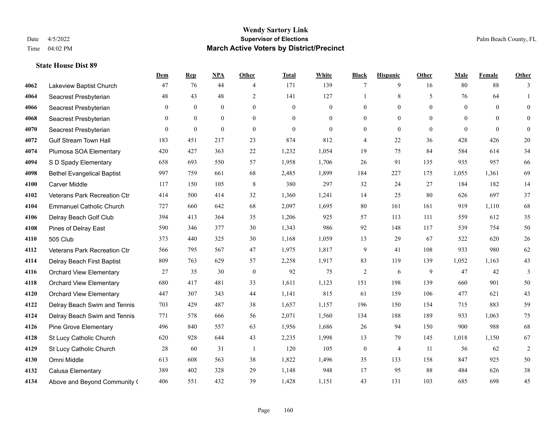#### **Wendy Sartory Link** Date 4/5/2022 **Supervisor of Elections** Palm Beach County, FL Time 04:02 PM **March Active Voters by District/Precinct**

**Dem Rep NPA Other Total White Black Hispanic Other Male Female Other**

# Lakeview Baptist Church 47 76 44 4 171 139 7 9 16 80 88 3 Seacrest Presbyterian **48** 43 48 2 141 127 1 8 5 76 64 1 Seacrest Presbyterian 0 0 0 0 0 0 0 0 0 0 0 0 Seacrest Presbyterian 0 0 0 0 0 0 0 0 0 0 0 0 Seacrest Presbyterian 0 0 0 0 0 0 0 0 0 0 0 0 Gulf Stream Town Hall 183 451 217 23 874 812 4 22 36 428 426 20 Plumosa SOA Elementary 420 427 363 22 1,232 1,054 19 75 84 584 614 34 S D Spady Elementary 658 693 550 57 1,958 1,706 26 91 135 935 957 66 Bethel Evangelical Baptist 997 759 661 68 2,485 1,899 184 227 175 1,055 1,361 69 Carver Middle 117 150 105 8 380 297 32 24 27 184 182 14 Veterans Park Recreation Ctr 414 500 414 32 1,360 1,241 14 25 80 626 697 37 Emmanuel Catholic Church 727 660 642 68 2,097 1,695 80 161 161 919 1,110 68 Delray Beach Golf Club 394 413 364 35 1,206 925 57 113 111 559 612 35 Pines of Delray East 590 346 377 30 1,343 986 92 148 117 539 754 50 505 Club 373 440 325 30 1,168 1,059 13 29 67 522 620 26 Veterans Park Recreation Ctr 566 795 567 47 1,975 1,817 9 41 108 933 980 62 Delray Beach First Baptist 809 763 629 57 2,258 1,917 83 119 139 1,052 1,163 43 Orchard View Elementary 27 35 30 0 92 75 2 6 9 47 42 3 Orchard View Elementary 680 417 481 33 1,611 1,123 151 198 139 660 901 50 Orchard View Elementary 447 307 343 44 1,141 815 61 159 106 477 621 43 Delray Beach Swim and Tennis 703 429 487 38 1,657 1,157 196 150 154 715 883 59 Delray Beach Swim and Tennis 771 578 666 56 2,071 1,560 134 188 189 933 1,063 75 Pine Grove Elementary 496 840 557 63 1,956 1,686 26 94 150 900 988 68 St Lucy Catholic Church 620 928 644 43 2,235 1,998 13 79 145 1,018 1,150 67 St Lucy Catholic Church 28 60 31 1 120 105 0 4 11 56 62 2 Omni Middle 613 608 563 38 1,822 1,496 35 133 158 847 925 50 Calusa Elementary 389 402 328 29 1,148 948 17 95 88 484 626 38

Above and Beyond Community Church 406 551 432 39 1,428 1,151 43 131 103 685 698 45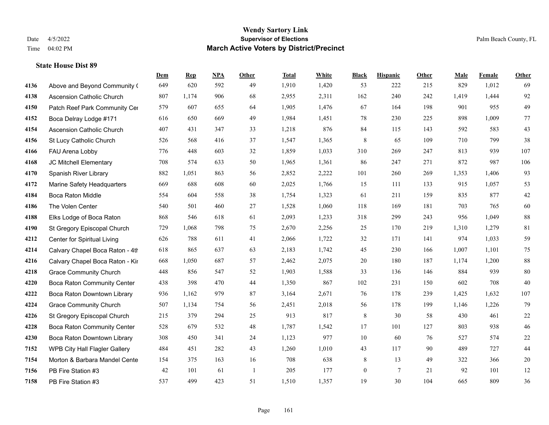|      |                                    | Dem | <b>Rep</b> | NPA | <b>Other</b> | <b>Total</b> | <b>White</b> | <b>Black</b>     | <b>Hispanic</b> | Other | <b>Male</b> | <b>Female</b> | <b>Other</b> |
|------|------------------------------------|-----|------------|-----|--------------|--------------|--------------|------------------|-----------------|-------|-------------|---------------|--------------|
| 4136 | Above and Beyond Community (       | 649 | 620        | 592 | 49           | 1,910        | 1,420        | 53               | 222             | 215   | 829         | 1,012         | 69           |
| 4138 | Ascension Catholic Church          | 807 | 1,174      | 906 | 68           | 2,955        | 2,311        | 162              | 240             | 242   | 1,419       | 1,444         | 92           |
| 4150 | Patch Reef Park Community Cer      | 579 | 607        | 655 | 64           | 1,905        | 1,476        | 67               | 164             | 198   | 901         | 955           | 49           |
| 4152 | Boca Delray Lodge #171             | 616 | 650        | 669 | 49           | 1,984        | 1,451        | 78               | 230             | 225   | 898         | 1,009         | 77           |
| 4154 | <b>Ascension Catholic Church</b>   | 407 | 431        | 347 | 33           | 1,218        | 876          | 84               | 115             | 143   | 592         | 583           | 43           |
| 4156 | St Lucy Catholic Church            | 526 | 568        | 416 | 37           | 1,547        | 1,365        | $\,$ 8 $\,$      | 65              | 109   | 710         | 799           | 38           |
| 4166 | FAU Arena Lobby                    | 776 | 448        | 603 | 32           | 1,859        | 1,033        | 310              | 269             | 247   | 813         | 939           | 107          |
| 4168 | JC Mitchell Elementary             | 708 | 574        | 633 | 50           | 1,965        | 1,361        | 86               | 247             | 271   | 872         | 987           | 106          |
| 4170 | Spanish River Library              | 882 | 1,051      | 863 | 56           | 2,852        | 2,222        | 101              | 260             | 269   | 1,353       | 1,406         | 93           |
| 4172 | Marine Safety Headquarters         | 669 | 688        | 608 | 60           | 2,025        | 1,766        | 15               | 111             | 133   | 915         | 1,057         | 53           |
| 4184 | <b>Boca Raton Middle</b>           | 554 | 604        | 558 | 38           | 1,754        | 1,323        | 61               | 211             | 159   | 835         | 877           | $42\,$       |
| 4186 | The Volen Center                   | 540 | 501        | 460 | 27           | 1,528        | 1,060        | 118              | 169             | 181   | 703         | 765           | 60           |
| 4188 | Elks Lodge of Boca Raton           | 868 | 546        | 618 | 61           | 2,093        | 1,233        | 318              | 299             | 243   | 956         | 1,049         | 88           |
| 4190 | St Gregory Episcopal Church        | 729 | 1,068      | 798 | 75           | 2,670        | 2,256        | 25               | 170             | 219   | 1,310       | 1,279         | 81           |
| 4212 | Center for Spiritual Living        | 626 | 788        | 611 | 41           | 2,066        | 1,722        | 32               | 171             | 141   | 974         | 1,033         | 59           |
| 4214 | Calvary Chapel Boca Raton - 4th    | 618 | 865        | 637 | 63           | 2,183        | 1,742        | 45               | 230             | 166   | 1,007       | 1,101         | 75           |
| 4216 | Calvary Chapel Boca Raton - Kir    | 668 | 1,050      | 687 | 57           | 2,462        | 2,075        | 20               | 180             | 187   | 1,174       | 1,200         | $88\,$       |
| 4218 | <b>Grace Community Church</b>      | 448 | 856        | 547 | 52           | 1,903        | 1,588        | 33               | 136             | 146   | 884         | 939           | 80           |
| 4220 | <b>Boca Raton Community Center</b> | 438 | 398        | 470 | 44           | 1,350        | 867          | 102              | 231             | 150   | 602         | 708           | 40           |
| 4222 | Boca Raton Downtown Library        | 936 | 1,162      | 979 | 87           | 3,164        | 2,671        | 76               | 178             | 239   | 1,425       | 1,632         | 107          |
| 4224 | <b>Grace Community Church</b>      | 507 | 1,134      | 754 | 56           | 2,451        | 2,018        | 56               | 178             | 199   | 1,146       | 1,226         | 79           |
| 4226 | St Gregory Episcopal Church        | 215 | 379        | 294 | 25           | 913          | 817          | $\,$ 8 $\,$      | 30              | 58    | 430         | 461           | $22\,$       |
| 4228 | Boca Raton Community Center        | 528 | 679        | 532 | 48           | 1,787        | 1,542        | 17               | 101             | 127   | 803         | 938           | 46           |
| 4230 | Boca Raton Downtown Library        | 308 | 450        | 341 | 24           | 1,123        | 977          | 10               | 60              | 76    | 527         | 574           | $22\,$       |
| 7152 | WPB City Hall Flagler Gallery      | 484 | 451        | 282 | 43           | 1,260        | 1,010        | 43               | 117             | 90    | 489         | 727           | 44           |
| 7154 | Morton & Barbara Mandel Cente      | 154 | 375        | 163 | 16           | 708          | 638          | $8\,$            | 13              | 49    | 322         | 366           | $20\,$       |
| 7156 | PB Fire Station #3                 | 42  | 101        | 61  | -1           | 205          | 177          | $\boldsymbol{0}$ | $\tau$          | 21    | 92          | 101           | 12           |
| 7158 | PB Fire Station #3                 | 537 | 499        | 423 | 51           | 1,510        | 1,357        | 19               | 30              | 104   | 665         | 809           | 36           |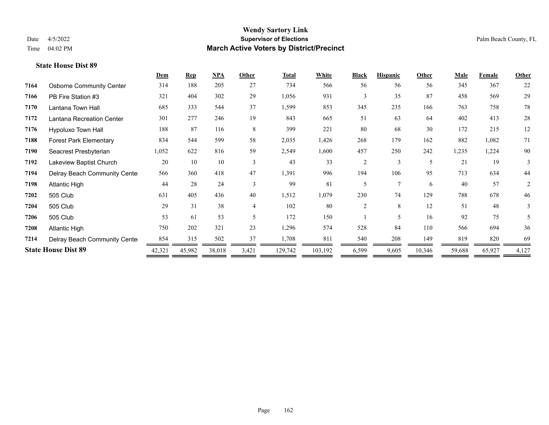|      |                                 | Dem    | <b>Rep</b> | $NPA$  | Other                    | <b>Total</b> | White   | <b>Black</b> | <b>Hispanic</b> | Other                    | <b>Male</b> | <b>Female</b> | <b>Other</b> |
|------|---------------------------------|--------|------------|--------|--------------------------|--------------|---------|--------------|-----------------|--------------------------|-------------|---------------|--------------|
| 7164 | <b>Osborne Community Center</b> | 314    | 188        | 205    | 27                       | 734          | 566     | 56           | 56              | 56                       | 345         | 367           | 22           |
| 7166 | PB Fire Station #3              | 321    | 404        | 302    | 29                       | 1,056        | 931     | 3            | 35              | 87                       | 458         | 569           | 29           |
| 7170 | Lantana Town Hall               | 685    | 333        | 544    | 37                       | 1,599        | 853     | 345          | 235             | 166                      | 763         | 758           | 78           |
| 7172 | Lantana Recreation Center       | 301    | 277        | 246    | 19                       | 843          | 665     | 51           | 63              | 64                       | 402         | 413           | 28           |
| 7176 | Hypoluxo Town Hall              | 188    | 87         | 116    | 8                        | 399          | 221     | 80           | 68              | 30                       | 172         | 215           | 12           |
| 7188 | <b>Forest Park Elementary</b>   | 834    | 544        | 599    | 58                       | 2,035        | 1,426   | 268          | 179             | 162                      | 882         | 1,082         | 71           |
| 7190 | Seacrest Presbyterian           | 1,052  | 622        | 816    | 59                       | 2,549        | 1,600   | 457          | 250             | 242                      | 1,235       | 1,224         | 90           |
| 7192 | Lakeview Baptist Church         | 20     | 10         | 10     | 3                        | 43           | 33      | 2            | 3               | $\overline{\phantom{0}}$ | 21          | 19            | 3            |
| 7194 | Delray Beach Community Cente    | 566    | 360        | 418    | 47                       | 1,391        | 996     | 194          | 106             | 95                       | 713         | 634           | 44           |
| 7198 | Atlantic High                   | 44     | 28         | 24     | $\mathcal{E}$            | 99           | 81      | 5            | $\mathcal{I}$   | 6                        | 40          | 57            | 2            |
| 7202 | 505 Club                        | 631    | 405        | 436    | 40                       | 1,512        | 1,079   | 230          | 74              | 129                      | 788         | 678           | 46           |
| 7204 | 505 Club                        | 29     | 31         | 38     | $\overline{4}$           | 102          | 80      | 2            | 8               | 12                       | 51          | 48            | 3            |
| 7206 | 505 Club                        | 53     | 61         | 53     | $\overline{\phantom{0}}$ | 172          | 150     |              | 5               | 16                       | 92          | 75            | 5            |
| 7208 | Atlantic High                   | 750    | 202        | 321    | 23                       | 1,296        | 574     | 528          | 84              | 110                      | 566         | 694           | 36           |
| 7214 | Delray Beach Community Cente    | 854    | 315        | 502    | 37                       | 1,708        | 811     | 540          | 208             | 149                      | 819         | 820           | 69           |
|      | <b>State House Dist 89</b>      | 42,321 | 45,982     | 38,018 | 3,421                    | 129,742      | 103,192 | 6,599        | 9,605           | 10,346                   | 59,688      | 65,927        | 4,127        |
|      |                                 |        |            |        |                          |              |         |              |                 |                          |             |               |              |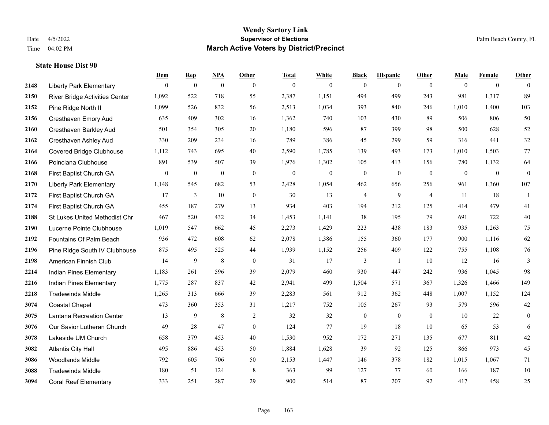#### **Wendy Sartory Link** Date 4/5/2022 **Supervisor of Elections** Palm Beach County, FL Time 04:02 PM **March Active Voters by District/Precinct**

# **Dem Rep NPA Other Total White Black Hispanic Other Male Female Other** Liberty Park Elementary 0 0 0 0 0 0 0 0 0 0 0 0 River Bridge Activities Center 1,092 522 718 55 2,387 1,151 494 499 243 981 1,317 89 Pine Ridge North II 1,099 526 832 56 2,513 1,034 393 840 246 1,010 1,400 103 Cresthaven Emory Aud 635 409 302 16 1,362 740 103 430 89 506 806 50 Cresthaven Barkley Aud 501 354 305 20 1,180 596 87 399 98 500 628 52 Cresthaven Ashley Aud 330 209 234 16 789 386 45 299 59 316 441 32 Covered Bridge Clubhouse 1,112 743 695 40 2,590 1,785 139 493 173 1,010 1,503 77 Poinciana Clubhouse 891 539 507 39 1,976 1,302 105 413 156 780 1,132 64 First Baptist Church GA 0 0 0 0 0 0 0 0 0 0 0 0 Liberty Park Elementary 1,148 545 682 53 2,428 1,054 462 656 256 961 1,360 107 First Baptist Church GA 17 3 10 0 30 13 4 9 4 11 18 1 First Baptist Church GA 455 187 279 13 934 403 194 212 125 414 479 41 St Lukes United Methodist Chr 467 520 432 34 1,453 1,141 38 195 79 691 722 40 Lucerne Pointe Clubhouse 1,019 547 662 45 2,273 1,429 223 438 183 935 1,263 75 Fountains Of Palm Beach 936 472 608 62 2,078 1,386 155 360 177 900 1,116 62 Pine Ridge South IV Clubhouse 875 495 525 44 1,939 1,152 256 409 122 755 1,108 76 American Finnish Club 14 9 8 0 31 17 3 1 10 12 16 3 Indian Pines Elementary 1,183 261 596 39 2,079 460 930 447 242 936 1,045 98 Indian Pines Elementary 1,775 287 837 42 2,941 499 1,504 571 367 1,326 1,466 149 Tradewinds Middle 1,265 313 666 39 2,283 561 912 362 448 1,007 1,152 124 Coastal Chapel 473 360 353 31 1,217 752 105 267 93 579 596 42 Lantana Recreation Center 13 9 8 2 32 32 0 0 0 10 22 0 Our Savior Lutheran Church 49 28 47 0 124 77 19 18 10 65 53 6 Lakeside UM Church 658 379 453 40 1,530 952 172 271 135 677 811 42 Atlantis City Hall 495 886 453 50 1,884 1,628 39 92 125 866 973 45 Woodlands Middle 792 605 706 50 2,153 1,447 146 378 182 1,015 1,067 71

 Tradewinds Middle 180 51 124 8 363 99 127 77 60 166 187 10 Coral Reef Elementary 333 251 287 29 900 514 87 207 92 417 458 25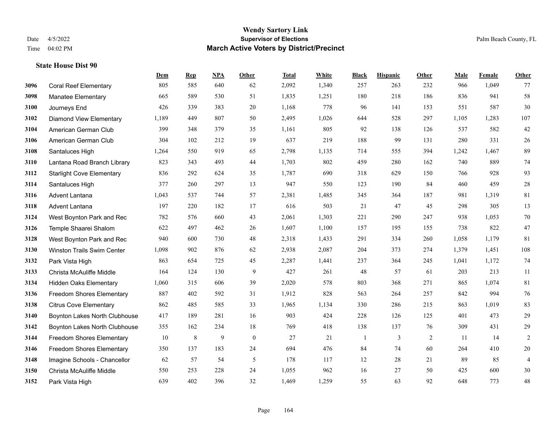|      |                                   | Dem   | <b>Rep</b> | NPA | <b>Other</b>     | <b>Total</b> | White | <b>Black</b> | <b>Hispanic</b> | Other | <b>Male</b> | Female | <b>Other</b>   |
|------|-----------------------------------|-------|------------|-----|------------------|--------------|-------|--------------|-----------------|-------|-------------|--------|----------------|
| 3096 | <b>Coral Reef Elementary</b>      | 805   | 585        | 640 | 62               | 2,092        | 1,340 | 257          | 263             | 232   | 966         | 1,049  | 77             |
| 3098 | <b>Manatee Elementary</b>         | 665   | 589        | 530 | 51               | 1,835        | 1,251 | 180          | 218             | 186   | 836         | 941    | 58             |
| 3100 | Journeys End                      | 426   | 339        | 383 | 20               | 1,168        | 778   | 96           | 141             | 153   | 551         | 587    | $30\,$         |
| 3102 | <b>Diamond View Elementary</b>    | 1,189 | 449        | 807 | 50               | 2,495        | 1,026 | 644          | 528             | 297   | 1,105       | 1,283  | 107            |
| 3104 | American German Club              | 399   | 348        | 379 | 35               | 1,161        | 805   | 92           | 138             | 126   | 537         | 582    | $42\,$         |
| 3106 | American German Club              | 304   | 102        | 212 | 19               | 637          | 219   | 188          | 99              | 131   | 280         | 331    | 26             |
| 3108 | Santaluces High                   | 1,264 | 550        | 919 | 65               | 2,798        | 1,135 | 714          | 555             | 394   | 1,242       | 1,467  | 89             |
| 3110 | Lantana Road Branch Library       | 823   | 343        | 493 | 44               | 1,703        | 802   | 459          | 280             | 162   | 740         | 889    | $74\,$         |
| 3112 | <b>Starlight Cove Elementary</b>  | 836   | 292        | 624 | 35               | 1,787        | 690   | 318          | 629             | 150   | 766         | 928    | 93             |
| 3114 | Santaluces High                   | 377   | 260        | 297 | 13               | 947          | 550   | 123          | 190             | 84    | 460         | 459    | $28\,$         |
| 3116 | Advent Lantana                    | 1,043 | 537        | 744 | 57               | 2,381        | 1,485 | 345          | 364             | 187   | 981         | 1,319  | 81             |
| 3118 | Advent Lantana                    | 197   | 220        | 182 | 17               | 616          | 503   | 21           | 47              | 45    | 298         | 305    | 13             |
| 3124 | West Boynton Park and Rec         | 782   | 576        | 660 | 43               | 2,061        | 1,303 | 221          | 290             | 247   | 938         | 1,053  | $70\,$         |
| 3126 | Temple Shaarei Shalom             | 622   | 497        | 462 | 26               | 1,607        | 1,100 | 157          | 195             | 155   | 738         | 822    | 47             |
| 3128 | West Boynton Park and Rec         | 940   | 600        | 730 | 48               | 2,318        | 1,433 | 291          | 334             | 260   | 1,058       | 1,179  | 81             |
| 3130 | <b>Winston Trails Swim Center</b> | 1,098 | 902        | 876 | 62               | 2,938        | 2,087 | 204          | 373             | 274   | 1,379       | 1,451  | 108            |
| 3132 | Park Vista High                   | 863   | 654        | 725 | 45               | 2,287        | 1,441 | 237          | 364             | 245   | 1,041       | 1,172  | 74             |
| 3133 | Christa McAuliffe Middle          | 164   | 124        | 130 | 9                | 427          | 261   | 48           | 57              | 61    | 203         | 213    | 11             |
| 3134 | <b>Hidden Oaks Elementary</b>     | 1,060 | 315        | 606 | 39               | 2,020        | 578   | 803          | 368             | 271   | 865         | 1,074  | 81             |
| 3136 | <b>Freedom Shores Elementary</b>  | 887   | 402        | 592 | 31               | 1,912        | 828   | 563          | 264             | 257   | 842         | 994    | 76             |
| 3138 | <b>Citrus Cove Elementary</b>     | 862   | 485        | 585 | 33               | 1,965        | 1,134 | 330          | 286             | 215   | 863         | 1.019  | 83             |
| 3140 | Boynton Lakes North Clubhouse     | 417   | 189        | 281 | 16               | 903          | 424   | 228          | 126             | 125   | 401         | 473    | $29\,$         |
| 3142 | Boynton Lakes North Clubhouse     | 355   | 162        | 234 | 18               | 769          | 418   | 138          | 137             | 76    | 309         | 431    | 29             |
| 3144 | Freedom Shores Elementary         | 10    | $\,8\,$    | 9   | $\boldsymbol{0}$ | 27           | 21    | 1            | 3               | 2     | 11          | 14     | $\overline{c}$ |
| 3146 | <b>Freedom Shores Elementary</b>  | 350   | 137        | 183 | 24               | 694          | 476   | 84           | 74              | 60    | 264         | 410    | $20\,$         |
| 3148 | Imagine Schools - Chancellor      | 62    | 57         | 54  | 5                | 178          | 117   | 12           | 28              | 21    | 89          | 85     | $\overline{4}$ |
| 3150 | Christa McAuliffe Middle          | 550   | 253        | 228 | 24               | 1,055        | 962   | 16           | 27              | 50    | 425         | 600    | $30\,$         |
| 3152 | Park Vista High                   | 639   | 402        | 396 | 32               | 1,469        | 1,259 | 55           | 63              | 92    | 648         | 773    | $48\,$         |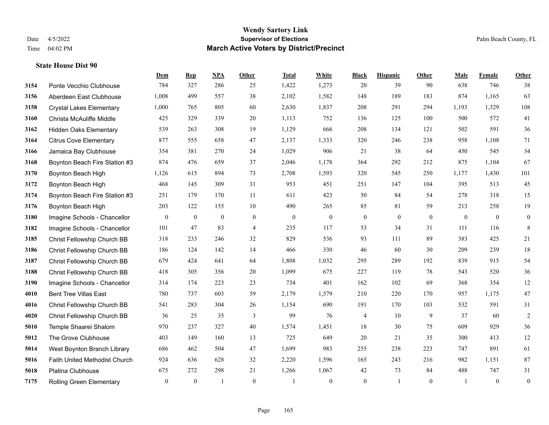|      |                                 | Dem            | <b>Rep</b>       | NPA              | <b>Other</b>     | <b>Total</b>     | White            | <b>Black</b>     | <b>Hispanic</b>  | <b>Other</b> | <b>Male</b>  | Female       | <b>Other</b>     |
|------|---------------------------------|----------------|------------------|------------------|------------------|------------------|------------------|------------------|------------------|--------------|--------------|--------------|------------------|
| 3154 | Ponte Vecchio Clubhouse         | 784            | 327              | 286              | 25               | 1,422            | 1,273            | 20               | 39               | 90           | 638          | 746          | 38               |
| 3156 | Aberdeen East Clubhouse         | 1,008          | 499              | 557              | 38               | 2,102            | 1,582            | 148              | 189              | 183          | 874          | 1,165        | 63               |
| 3158 | <b>Crystal Lakes Elementary</b> | 1,000          | 765              | 805              | 60               | 2,630            | 1,837            | 208              | 291              | 294          | 1,193        | 1,329        | 108              |
| 3160 | Christa McAuliffe Middle        | 425            | 329              | 339              | 20               | 1,113            | 752              | 136              | 125              | 100          | 500          | 572          | 41               |
| 3162 | Hidden Oaks Elementary          | 539            | 263              | 308              | 19               | 1,129            | 666              | 208              | 134              | 121          | 502          | 591          | $36\,$           |
| 3164 | <b>Citrus Cove Elementary</b>   | 877            | 555              | 658              | 47               | 2,137            | 1,333            | 320              | 246              | 238          | 958          | 1,108        | 71               |
| 3166 | Jamaica Bay Clubhouse           | 354            | 381              | 270              | 24               | 1,029            | 906              | 21               | 38               | 64           | 450          | 545          | 34               |
| 3168 | Boynton Beach Fire Station #3   | 874            | 476              | 659              | 37               | 2,046            | 1,178            | 364              | 292              | 212          | 875          | 1,104        | 67               |
| 3170 | Boynton Beach High              | 1,126          | 615              | 894              | 73               | 2,708            | 1,593            | 320              | 545              | 250          | 1,177        | 1,430        | 101              |
| 3172 | Boynton Beach High              | 468            | 145              | 309              | 31               | 953              | 451              | 251              | 147              | 104          | 395          | 513          | 45               |
| 3174 | Boynton Beach Fire Station #3   | 251            | 179              | 170              | 11               | 611              | 423              | 50               | 84               | 54           | 278          | 318          | 15               |
| 3176 | Boynton Beach High              | 203            | 122              | 155              | 10               | 490              | 265              | 85               | 81               | 59           | 213          | 258          | 19               |
| 3180 | Imagine Schools - Chancellor    | $\mathbf{0}$   | $\boldsymbol{0}$ | $\boldsymbol{0}$ | $\boldsymbol{0}$ | $\boldsymbol{0}$ | $\boldsymbol{0}$ | $\boldsymbol{0}$ | $\boldsymbol{0}$ | $\mathbf{0}$ | $\mathbf{0}$ | $\mathbf{0}$ | $\boldsymbol{0}$ |
| 3182 | Imagine Schools - Chancellor    | 101            | 47               | 83               | $\overline{4}$   | 235              | 117              | 53               | 34               | 31           | 111          | 116          | 8                |
| 3185 | Christ Fellowship Church BB     | 318            | 233              | 246              | 32               | 829              | 536              | 93               | 111              | 89           | 383          | 425          | 21               |
| 3186 | Christ Fellowship Church BB     | 186            | 124              | 142              | 14               | 466              | 330              | 46               | 60               | 30           | 209          | 239          | 18               |
| 3187 | Christ Fellowship Church BB     | 679            | 424              | 641              | 64               | 1,808            | 1,032            | 295              | 289              | 192          | 839          | 915          | 54               |
| 3188 | Christ Fellowship Church BB     | 418            | 305              | 356              | 20               | 1,099            | 675              | 227              | 119              | 78           | 543          | 520          | 36               |
| 3190 | Imagine Schools - Chancellor    | 314            | 174              | 223              | 23               | 734              | 401              | 162              | 102              | 69           | 368          | 354          | 12               |
| 4010 | <b>Bent Tree Villas East</b>    | 780            | 737              | 603              | 59               | 2,179            | 1,579            | 210              | 220              | 170          | 957          | 1,175        | 47               |
| 4016 | Christ Fellowship Church BB     | 541            | 283              | 304              | 26               | 1,154            | 690              | 191              | 170              | 103          | 532          | 591          | 31               |
| 4020 | Christ Fellowship Church BB     | 36             | 25               | 35               | 3                | 99               | 76               | 4                | 10               | 9            | 37           | 60           | $\sqrt{2}$       |
| 5010 | Temple Shaarei Shalom           | 970            | 237              | 327              | 40               | 1,574            | 1,451            | 18               | 30               | 75           | 609          | 929          | 36               |
| 5012 | The Grove Clubhouse             | 403            | 149              | 160              | 13               | 725              | 649              | 20               | 21               | 35           | 300          | 413          | 12               |
| 5014 | West Boynton Branch Library     | 686            | 462              | 504              | 47               | 1,699            | 983              | 255              | 238              | 223          | 747          | 891          | 61               |
| 5016 | Faith United Methodist Church   | 924            | 636              | 628              | 32               | 2,220            | 1,596            | 165              | 243              | 216          | 982          | 1,151        | 87               |
| 5018 | Platina Clubhouse               | 675            | 272              | 298              | 21               | 1,266            | 1,067            | 42               | 73               | 84           | 488          | 747          | 31               |
| 7175 | <b>Rolling Green Elementary</b> | $\overline{0}$ | $\mathbf{0}$     | $\overline{1}$   | $\Omega$         |                  | $\overline{0}$   | $\boldsymbol{0}$ | $\mathbf{1}$     | $\theta$     |              | $\mathbf{0}$ | $\boldsymbol{0}$ |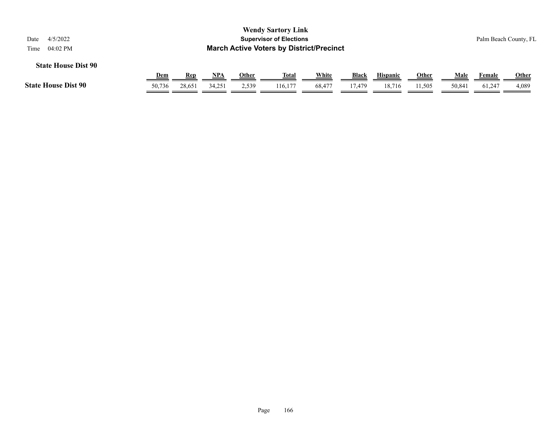| 4/5/2022<br>Date           |                                                                     |            |            |              | <b>Wendy Sartory Link</b><br><b>Supervisor of Elections</b> |        |        |                 |              |             |        | Palm Beach County, FL |  |
|----------------------------|---------------------------------------------------------------------|------------|------------|--------------|-------------------------------------------------------------|--------|--------|-----------------|--------------|-------------|--------|-----------------------|--|
| <b>State House Dist 90</b> | <b>March Active Voters by District/Precinct</b><br>04:02 PM<br>Time |            |            |              |                                                             |        |        |                 |              |             |        |                       |  |
|                            | <u>Dem</u>                                                          | <b>Rep</b> | <u>NPA</u> | <u>Other</u> | <u>Total</u>                                                | White  | Black  | <b>Hispanic</b> | <b>Other</b> | <b>Male</b> | Female | <b>Other</b>          |  |
| <b>State House Dist 90</b> | 50,736                                                              | 28,651     | 34,251     | 2,539        | 116,177                                                     | 68,477 | 17,479 | 18,716          | 11,505       | 50,841      | 61,247 | 4,089                 |  |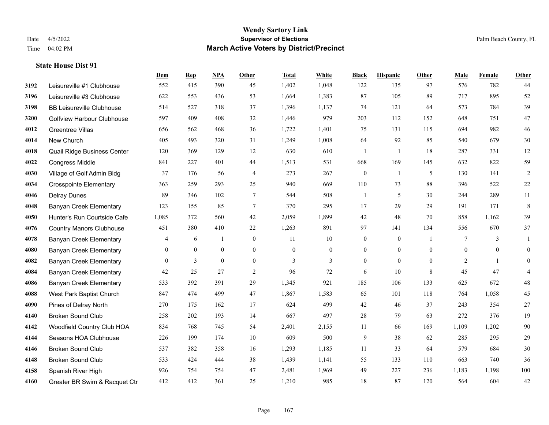#### **Wendy Sartory Link** Date 4/5/2022 **Supervisor of Elections** Palm Beach County, FL Time 04:02 PM **March Active Voters by District/Precinct**

# **Dem Rep NPA Other Total White Black Hispanic Other Male Female Other** Leisureville #1 Clubhouse 552 415 390 45 1,402 1,048 122 135 97 576 782 44 Leisureville #3 Clubhouse 622 553 436 53 1,664 1,383 87 105 89 717 895 52 BB Leisureville Clubhouse 514 527 318 37 1,396 1,137 74 121 64 573 784 39 Golfview Harbour Clubhouse 597 409 408 32 1,446 979 203 112 152 648 751 47 Greentree Villas 656 562 468 36 1,722 1,401 75 131 115 694 982 46 New Church 405 493 320 31 1,249 1,008 64 92 85 540 679 30 Quail Ridge Business Center 120 369 129 12 630 610 1 1 18 287 331 12 Congress Middle 841 227 401 44 1,513 531 668 169 145 632 822 59 Village of Golf Admin Bldg 37 176 56 4 273 267 0 1 5 130 141 2 Crosspointe Elementary 363 259 293 25 940 669 110 73 88 396 522 22 Delray Dunes 89 346 102 7 544 508 1 5 30 244 289 11 Banyan Creek Elementary 123 155 85 7 370 295 17 29 29 191 171 8 Hunter's Run Courtside Cafe 1,085 372 560 42 2,059 1,899 42 48 70 858 1,162 39 Country Manors Clubhouse 451 380 410 22 1,263 891 97 141 134 556 670 37 Banyan Creek Elementary 4 6 1 0 11 10 0 0 1 7 3 1 Banyan Creek Elementary 0 0 0 0 0 0 0 0 0 0 0 0 **4082 Banyan Creek Elementary 0 3 0 0 3 3 3 0 0 0 2 1 0**  Banyan Creek Elementary 42 25 27 2 96 72 6 10 8 45 47 4 Banyan Creek Elementary 533 392 391 29 1,345 921 185 106 133 625 672 48 West Park Baptist Church 847 474 499 47 1,867 1,583 65 101 118 764 1,058 45 Pines of Delray North 270 175 162 17 624 499 42 46 37 243 354 27 Broken Sound Club 258 202 193 14 667 497 28 79 63 272 376 19 Woodfield Country Club HOA 834 768 745 54 2,401 2,155 11 66 169 1,109 1,202 90 Seasons HOA Clubhouse 226 199 174 10 609 500 9 38 62 285 295 29 Broken Sound Club 537 382 358 16 1,293 1,185 11 33 64 579 684 30 Broken Sound Club 533 424 444 38 1,439 1,141 55 133 110 663 740 36 Spanish River High 926 754 754 47 2,481 1,969 49 227 236 1,183 1,198 100 Greater BR Swim & Racquet Ctr 412 412 361 25 1,210 985 18 87 120 564 604 42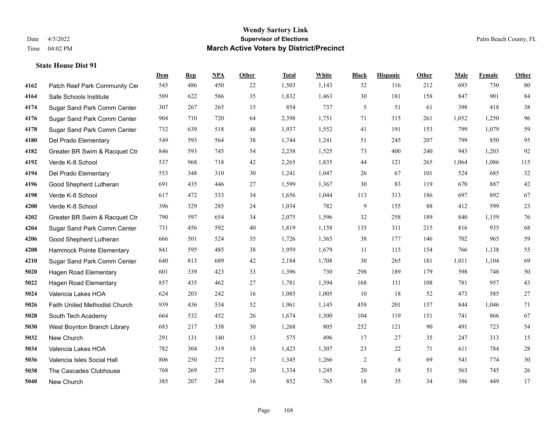|      |                               | Dem | <b>Rep</b> | NPA | <b>Other</b> | <b>Total</b> | White | <b>Black</b>   | <b>Hispanic</b> | <b>Other</b> | <b>Male</b> | <b>Female</b> | <b>Other</b> |
|------|-------------------------------|-----|------------|-----|--------------|--------------|-------|----------------|-----------------|--------------|-------------|---------------|--------------|
| 4162 | Patch Reef Park Community Cer | 545 | 486        | 450 | 22           | 1,503        | 1,143 | 32             | 116             | 212          | 693         | 730           | 80           |
| 4164 | Safe Schools Institute        | 589 | 622        | 586 | 35           | 1,832        | 1,463 | 30             | 181             | 158          | 847         | 901           | 84           |
| 4174 | Sugar Sand Park Comm Center   | 307 | 267        | 265 | 15           | 854          | 737   | 5              | 51              | 61           | 398         | 418           | $38\,$       |
| 4176 | Sugar Sand Park Comm Center   | 904 | 710        | 720 | 64           | 2,398        | 1,751 | 71             | 315             | 261          | 1,052       | 1,250         | 96           |
| 4178 | Sugar Sand Park Comm Center   | 732 | 639        | 518 | 48           | 1,937        | 1,552 | 41             | 191             | 153          | 799         | 1.079         | 59           |
| 4180 | Del Prado Elementary          | 549 | 593        | 564 | 38           | 1,744        | 1,241 | 51             | 245             | 207          | 799         | 850           | 95           |
| 4182 | Greater BR Swim & Racquet Ctr | 846 | 593        | 745 | 54           | 2,238        | 1,525 | 73             | 400             | 240          | 943         | 1,203         | 92           |
| 4192 | Verde K-8 School              | 537 | 968        | 718 | 42           | 2,265        | 1,835 | 44             | 121             | 265          | 1,064       | 1,086         | 115          |
| 4194 | Del Prado Elementary          | 553 | 348        | 310 | 30           | 1,241        | 1,047 | 26             | 67              | 101          | 524         | 685           | $32\,$       |
| 4196 | Good Shepherd Lutheran        | 691 | 435        | 446 | 27           | 1,599        | 1,367 | 30             | 83              | 119          | 670         | 887           | $42\,$       |
| 4198 | Verde K-8 School              | 617 | 472        | 533 | 34           | 1,656        | 1,044 | 113            | 313             | 186          | 697         | 892           | 67           |
| 4200 | Verde K-8 School              | 396 | 329        | 285 | 24           | 1,034        | 782   | 9              | 155             | 88           | 412         | 599           | $23\,$       |
| 4202 | Greater BR Swim & Racquet Ctr | 790 | 597        | 654 | 34           | 2,075        | 1,596 | 32             | 258             | 189          | 840         | 1,159         | 76           |
| 4204 | Sugar Sand Park Comm Center   | 731 | 456        | 592 | $40\,$       | 1,819        | 1,158 | 135            | 311             | 215          | 816         | 935           | 68           |
| 4206 | Good Shepherd Lutheran        | 666 | 501        | 524 | 35           | 1,726        | 1,365 | 38             | 177             | 146          | 702         | 965           | 59           |
| 4208 | Hammock Pointe Elementary     | 841 | 595        | 485 | 38           | 1,959        | 1,679 | 11             | 115             | 154          | 766         | 1,138         | 55           |
| 4210 | Sugar Sand Park Comm Center   | 640 | 813        | 689 | $42\,$       | 2,184        | 1,708 | 30             | 265             | 181          | 1,011       | 1,104         | 69           |
| 5020 | <b>Hagen Road Elementary</b>  | 601 | 339        | 423 | 33           | 1,396        | 730   | 298            | 189             | 179          | 598         | 748           | $50\,$       |
| 5022 | <b>Hagen Road Elementary</b>  | 857 | 435        | 462 | 27           | 1,781        | 1,394 | 168            | 111             | 108          | 781         | 957           | 43           |
| 5024 | Valencia Lakes HOA            | 624 | 203        | 242 | 16           | 1,085        | 1,005 | 10             | 18              | 52           | 473         | 585           | $27\,$       |
| 5026 | Faith United Methodist Church | 939 | 436        | 534 | 52           | 1,961        | 1,145 | 458            | 201             | 157          | 844         | 1,046         | 71           |
| 5028 | South Tech Academy            | 664 | 532        | 452 | 26           | 1,674        | 1,300 | 104            | 119             | 151          | 741         | 866           | 67           |
| 5030 | West Boynton Branch Library   | 683 | 217        | 338 | 30           | 1,268        | 805   | 252            | 121             | 90           | 491         | 723           | 54           |
| 5032 | New Church                    | 291 | 131        | 140 | 13           | 575          | 496   | 17             | 27              | 35           | 247         | 313           | 15           |
| 5034 | Valencia Lakes HOA            | 782 | 304        | 319 | 18           | 1,423        | 1,307 | 23             | 22              | 71           | 611         | 784           | $28\,$       |
| 5036 | Valencia Isles Social Hall    | 806 | 250        | 272 | 17           | 1,345        | 1,266 | $\overline{c}$ | 8               | 69           | 541         | 774           | $30\,$       |
| 5038 | The Cascades Clubhouse        | 768 | 269        | 277 | 20           | 1,334        | 1,245 | $20\,$         | 18              | 51           | 563         | 745           | $26\,$       |
| 5040 | New Church                    | 385 | 207        | 244 | 16           | 852          | 765   | 18             | 35              | 34           | 386         | 449           | 17           |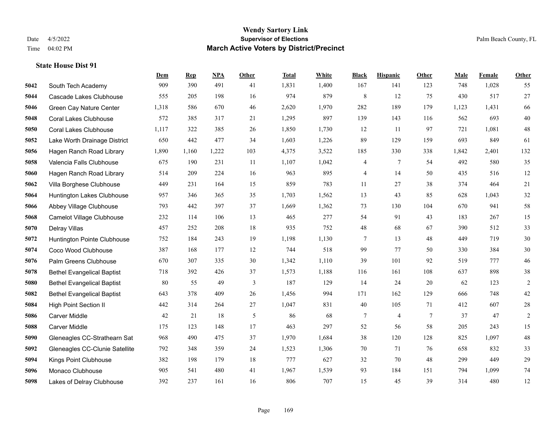#### **Wendy Sartory Link** Date 4/5/2022 **Supervisor of Elections** Palm Beach County, FL Time 04:02 PM **March Active Voters by District/Precinct**

# **Dem Rep NPA Other Total White Black Hispanic Other Male Female Other** South Tech Academy 909 390 491 41 1,831 1,400 167 141 123 748 1,028 55 Cascade Lakes Clubhouse 555 205 198 16 974 879 8 12 75 430 517 27 Green Cay Nature Center 1,318 586 670 46 2,620 1,970 282 189 179 1,123 1,431 66 Coral Lakes Clubhouse 572 385 317 21 1,295 897 139 143 116 562 693 40 Coral Lakes Clubhouse 1,117 322 385 26 1,850 1,730 12 11 97 721 1,081 48 Lake Worth Drainage District 650 442 477 34 1,603 1,226 89 129 159 693 849 61 Hagen Ranch Road Library 1,890 1,160 1,222 103 4,375 3,522 185 330 338 1,842 2,401 132 Valencia Falls Clubhouse 675 190 231 11 1,107 1,042 4 7 54 492 580 35 Hagen Ranch Road Library 514 209 224 16 963 895 4 14 50 435 516 12 Villa Borghese Clubhouse 449 231 164 15 859 783 11 27 38 374 464 21 Huntington Lakes Clubhouse 957 346 365 35 1,703 1,562 13 43 85 628 1,043 32 Abbey Village Clubhouse 793 442 397 37 1,669 1,362 73 130 104 670 941 58 Camelot Village Clubhouse 232 114 106 13 465 277 54 91 43 183 267 15 Delray Villas 457 252 208 18 935 752 48 68 67 390 512 33 Huntington Pointe Clubhouse 752 184 243 19 1,198 1,130 7 13 48 449 719 30 Coco Wood Clubhouse 387 168 177 12 744 518 99 77 50 330 384 30 Palm Greens Clubhouse 670 307 335 30 1,342 1,110 39 101 92 519 777 46 Bethel Evangelical Baptist 718 392 426 37 1,573 1,188 116 161 108 637 898 38 Bethel Evangelical Baptist 80 55 49 3 187 129 14 24 20 62 123 2 Bethel Evangelical Baptist 643 378 409 26 1,456 994 171 162 129 666 748 42 High Point Section II 442 314 264 27 1,047 831 40 105 71 412 607 28 Carver Middle 42 21 18 5 86 68 7 4 7 37 47 2 Carver Middle 175 123 148 17 463 297 52 56 58 205 243 15 Gleneagles CC-Strathearn Sat 968 490 475 37 1,970 1,684 38 120 128 825 1,097 48 Gleneagles CC-Clunie Satellite 792 348 359 24 1,523 1,306 70 71 76 658 832 33 Kings Point Clubhouse 382 198 179 18 777 627 32 70 48 299 449 29 Monaco Clubhouse 905 541 480 41 1,967 1,539 93 184 151 794 1,099 74 Lakes of Delray Clubhouse 392 237 161 16 806 707 15 45 39 314 480 12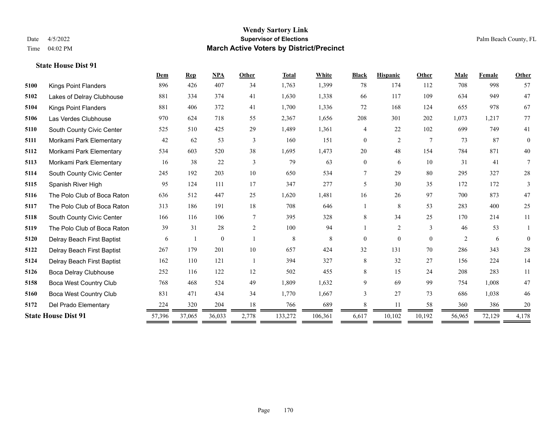#### **Wendy Sartory Link** Date 4/5/2022 **Supervisor of Elections** Palm Beach County, FL Time 04:02 PM **March Active Voters by District/Precinct**

# **Dem Rep NPA Other Total White Black Hispanic Other Male Female Other** Kings Point Flanders 896 426 407 34 1,763 1,399 78 174 112 708 998 57 Lakes of Delray Clubhouse 881 334 374 41 1,630 1,338 66 117 109 634 949 47 Kings Point Flanders 881 406 372 41 1,700 1,336 72 168 124 655 978 67 Las Verdes Clubhouse 970 624 718 55 2,367 1,656 208 301 202 1,073 1,217 77 South County Civic Center 525 510 425 29 1,489 1,361 4 22 102 699 749 41 Morikami Park Elementary 42 62 53 3 160 151 0 2 7 73 87 0 Morikami Park Elementary 534 603 520 38 1,695 1,473 20 48 154 784 871 40 Morikami Park Elementary 16 38 22 3 79 63 0 6 10 31 41 7 South County Civic Center 245 192 203 10 650 534 7 29 80 295 327 28 Spanish River High 95 124 111 17 347 277 5 30 35 172 172 3 The Polo Club of Boca Raton 636 512 447 25 1,620 1,481 16 26 97 700 873 47 The Polo Club of Boca Raton 313 186 191 18 708 646 1 8 53 283 400 25 South County Civic Center 166 116 106 7 395 328 8 34 25 170 214 11 The Polo Club of Boca Raton 39 31 28 2 100 94 1 2 3 46 53 1 Delray Beach First Baptist 6 1 0 1 8 8 0 0 0 2 6 0 Delray Beach First Baptist 267 179 201 10 657 424 32 131 70 286 343 28 Delray Beach First Baptist 162 110 121 1 394 327 8 32 27 156 224 14 Boca Delray Clubhouse 252 116 122 12 502 455 8 15 24 208 283 11 Boca West Country Club 768 468 524 49 1,809 1,632 9 69 99 754 1,008 47 Boca West Country Club 831 471 434 34 1,770 1,667 3 27 73 686 1,038 46 Del Prado Elementary 224 320 204 18 766 689 8 11 58 360 386 20 **State House Dist 91** 57,396 37,065 36,033 2,778 133,272 106,361 6,617 10,102 10,192 56,965 72,129 4,178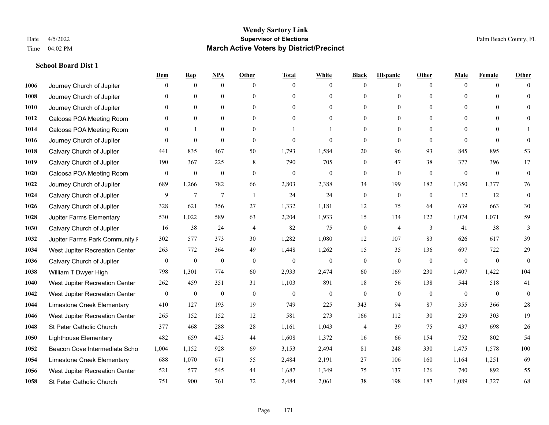|      |                                | Dem            | <b>Rep</b>       | NPA              | <b>Other</b>   | <b>Total</b>     | <b>White</b>   | <b>Black</b>     | <b>Hispanic</b> | <b>Other</b>   | <b>Male</b>  | <b>Female</b> | <b>Other</b> |
|------|--------------------------------|----------------|------------------|------------------|----------------|------------------|----------------|------------------|-----------------|----------------|--------------|---------------|--------------|
| 1006 | Journey Church of Jupiter      | $\Omega$       | $\mathbf{0}$     | $\boldsymbol{0}$ | $\Omega$       | $\Omega$         | $\overline{0}$ | $\mathbf{0}$     | $\mathbf{0}$    | $\theta$       | $\mathbf{0}$ | $\theta$      | $\Omega$     |
| 1008 | Journey Church of Jupiter      | $\Omega$       | $\theta$         | $\mathbf{0}$     | $\theta$       | $\Omega$         | $\overline{0}$ | $\theta$         | $\mathbf{0}$    | $\Omega$       | $\theta$     | $\Omega$      | $\theta$     |
| 1010 | Journey Church of Jupiter      | $\Omega$       | $\theta$         | $\theta$         | $\Omega$       | $\Omega$         | $\Omega$       | $\Omega$         | $\theta$        | $\Omega$       | $\Omega$     | $\Omega$      | $\Omega$     |
| 1012 | Caloosa POA Meeting Room       | $\mathbf{0}$   | $\mathbf{0}$     | $\mathbf{0}$     | $\mathbf{0}$   | $\theta$         | $\overline{0}$ | $\overline{0}$   | $\mathbf{0}$    | $\Omega$       | $\mathbf{0}$ | $\theta$      | $\Omega$     |
| 1014 | Caloosa POA Meeting Room       | $\theta$       | 1                | $\mathbf{0}$     | $\theta$       |                  |                | $\mathbf{0}$     | $\mathbf{0}$    | $\theta$       | $\theta$     | $\theta$      |              |
| 1016 | Journey Church of Jupiter      | $\Omega$       | $\mathbf{0}$     | $\mathbf{0}$     | $\theta$       | $\theta$         | $\mathbf{0}$   | $\theta$         | $\theta$        | $\Omega$       | $\theta$     | $\theta$      | $\theta$     |
| 1018 | Calvary Church of Jupiter      | 441            | 835              | 467              | 50             | 1,793            | 1,584          | 20               | 96              | 93             | 845          | 895           | 53           |
| 1019 | Calvary Church of Jupiter      | 190            | 367              | 225              | 8              | 790              | 705            | $\mathbf{0}$     | 47              | 38             | 377          | 396           | 17           |
| 1020 | Caloosa POA Meeting Room       | $\mathbf{0}$   | $\boldsymbol{0}$ | $\boldsymbol{0}$ | $\mathbf{0}$   | $\boldsymbol{0}$ | $\mathbf{0}$   | $\boldsymbol{0}$ | $\mathbf{0}$    | $\overline{0}$ | $\mathbf{0}$ | $\mathbf{0}$  | $\mathbf{0}$ |
| 1022 | Journey Church of Jupiter      | 689            | 1,266            | 782              | 66             | 2,803            | 2,388          | 34               | 199             | 182            | 1,350        | 1,377         | 76           |
| 1024 | Calvary Church of Jupiter      | 9              | 7                | 7                | $\overline{1}$ | 24               | 24             | $\boldsymbol{0}$ | $\mathbf{0}$    | $\overline{0}$ | 12           | 12            | $\mathbf{0}$ |
| 1026 | Calvary Church of Jupiter      | 328            | 621              | 356              | 27             | 1,332            | 1,181          | 12               | 75              | 64             | 639          | 663           | $30\,$       |
| 1028 | Jupiter Farms Elementary       | 530            | 1,022            | 589              | 63             | 2,204            | 1,933          | 15               | 134             | 122            | 1,074        | 1,071         | 59           |
| 1030 | Calvary Church of Jupiter      | 16             | 38               | 24               | $\overline{4}$ | 82               | 75             | $\boldsymbol{0}$ | $\overline{4}$  | 3              | 41           | 38            | 3            |
| 1032 | Jupiter Farms Park Community F | 302            | 577              | 373              | 30             | 1,282            | 1,080          | 12               | 107             | 83             | 626          | 617           | 39           |
| 1034 | West Jupiter Recreation Center | 263            | 772              | 364              | 49             | 1,448            | 1,262          | 15               | 35              | 136            | 697          | 722           | 29           |
| 1036 | Calvary Church of Jupiter      | $\overline{0}$ | $\boldsymbol{0}$ | $\mathbf{0}$     | $\mathbf{0}$   | $\mathbf{0}$     | $\mathbf{0}$   | $\boldsymbol{0}$ | $\mathbf{0}$    | $\theta$       | $\mathbf{0}$ | $\mathbf{0}$  | $\theta$     |
| 1038 | William T Dwyer High           | 798            | 1,301            | 774              | 60             | 2,933            | 2,474          | 60               | 169             | 230            | 1,407        | 1,422         | 104          |
| 1040 | West Jupiter Recreation Center | 262            | 459              | 351              | 31             | 1,103            | 891            | 18               | 56              | 138            | 544          | 518           | 41           |
| 1042 | West Jupiter Recreation Center | $\mathbf{0}$   | $\boldsymbol{0}$ | $\mathbf{0}$     | $\mathbf{0}$   | $\theta$         | $\mathbf{0}$   | $\mathbf{0}$     | $\theta$        | $\theta$       | $\theta$     | $\theta$      | $\mathbf{0}$ |
| 1044 | Limestone Creek Elementary     | 410            | 127              | 193              | 19             | 749              | 225            | 343              | 94              | 87             | 355          | 366           | $28\,$       |
| 1046 | West Jupiter Recreation Center | 265            | 152              | 152              | 12             | 581              | 273            | 166              | 112             | 30             | 259          | 303           | 19           |
| 1048 | St Peter Catholic Church       | 377            | 468              | 288              | 28             | 1,161            | 1,043          | 4                | 39              | 75             | 437          | 698           | $26\,$       |
| 1050 | <b>Lighthouse Elementary</b>   | 482            | 659              | 423              | 44             | 1,608            | 1,372          | 16               | 66              | 154            | 752          | 802           | 54           |
| 1052 | Beacon Cove Intermediate Scho  | 1,004          | 1,152            | 928              | 69             | 3,153            | 2,494          | $81\,$           | 248             | 330            | 1,475        | 1,578         | 100          |
| 1054 | Limestone Creek Elementary     | 688            | 1,070            | 671              | 55             | 2,484            | 2,191          | 27               | 106             | 160            | 1,164        | 1,251         | 69           |
| 1056 | West Jupiter Recreation Center | 521            | 577              | 545              | 44             | 1,687            | 1,349          | 75               | 137             | 126            | 740          | 892           | 55           |
| 1058 | St Peter Catholic Church       | 751            | 900              | 761              | 72             | 2,484            | 2,061          | 38               | 198             | 187            | 1,089        | 1,327         | 68           |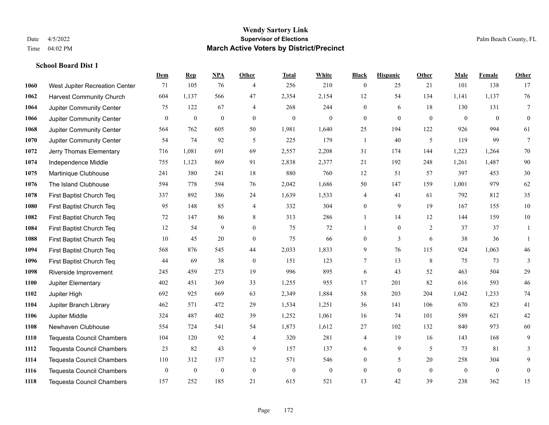|      |                                  | Dem          | <b>Rep</b>       | NPA          | <b>Other</b>   | <b>Total</b>     | <b>White</b>     | <b>Black</b>     | <b>Hispanic</b>  | <b>Other</b>    | <b>Male</b>  | Female       | <b>Other</b>     |
|------|----------------------------------|--------------|------------------|--------------|----------------|------------------|------------------|------------------|------------------|-----------------|--------------|--------------|------------------|
| 1060 | West Jupiter Recreation Center   | 71           | 105              | 76           | $\overline{4}$ | 256              | 210              | $\boldsymbol{0}$ | 25               | 21              | 101          | 138          | 17               |
| 1062 | <b>Harvest Community Church</b>  | 604          | 1.137            | 566          | 47             | 2,354            | 2,154            | 12               | 54               | 134             | 1,141        | 1,137        | 76               |
| 1064 | Jupiter Community Center         | 75           | 122              | 67           | 4              | 268              | 244              | $\overline{0}$   | 6                | 18              | 130          | 131          | $\tau$           |
| 1066 | Jupiter Community Center         | $\mathbf{0}$ | $\boldsymbol{0}$ | $\mathbf{0}$ | $\mathbf{0}$   | $\boldsymbol{0}$ | $\boldsymbol{0}$ | $\boldsymbol{0}$ | $\mathbf{0}$     | $\overline{0}$  | $\mathbf{0}$ | $\mathbf{0}$ | $\boldsymbol{0}$ |
| 1068 | Jupiter Community Center         | 564          | 762              | 605          | 50             | 1,981            | 1,640            | 25               | 194              | 122             | 926          | 994          | 61               |
| 1070 | Jupiter Community Center         | 54           | 74               | 92           | 5              | 225              | 179              | $\mathbf{1}$     | 40               | 5               | 119          | 99           | $7\phantom{.0}$  |
| 1072 | Jerry Thomas Elementary          | 716          | 1,081            | 691          | 69             | 2,557            | 2,208            | 31               | 174              | 144             | 1,223        | 1,264        | 70               |
| 1074 | Independence Middle              | 755          | 1,123            | 869          | 91             | 2,838            | 2,377            | 21               | 192              | 248             | 1,261        | 1,487        | 90               |
| 1075 | Martinique Clubhouse             | 241          | 380              | 241          | 18             | 880              | 760              | 12               | 51               | 57              | 397          | 453          | $30\,$           |
| 1076 | The Island Clubhouse             | 594          | 778              | 594          | 76             | 2,042            | 1,686            | 50               | 147              | 159             | 1,001        | 979          | 62               |
| 1078 | First Baptist Church Teq         | 337          | 892              | 386          | 24             | 1,639            | 1,533            | 4                | 41               | 61              | 792          | 812          | 35               |
| 1080 | First Baptist Church Teq         | 95           | 148              | 85           | 4              | 332              | 304              | $\boldsymbol{0}$ | 9                | 19              | 167          | 155          | $10\,$           |
| 1082 | First Baptist Church Teq         | 72           | 147              | 86           | 8              | 313              | 286              | $\mathbf{1}$     | 14               | 12              | 144          | 159          | $10\,$           |
| 1084 | First Baptist Church Teq         | 12           | 54               | 9            | $\mathbf{0}$   | 75               | 72               | 1                | $\boldsymbol{0}$ | 2               | 37           | 37           | 1                |
| 1088 | First Baptist Church Teq         | 10           | 45               | 20           | $\mathbf{0}$   | 75               | 66               | $\boldsymbol{0}$ | 3                | 6               | 38           | 36           | -1               |
| 1094 | First Baptist Church Teq         | 568          | 876              | 545          | 44             | 2,033            | 1,833            | 9                | 76               | 115             | 924          | 1,063        | 46               |
| 1096 | First Baptist Church Teq         | 44           | 69               | 38           | $\mathbf{0}$   | 151              | 123              | 7                | 13               | $8\phantom{.0}$ | 75           | 73           | 3                |
| 1098 | Riverside Improvement            | 245          | 459              | 273          | 19             | 996              | 895              | 6                | 43               | 52              | 463          | 504          | 29               |
| 1100 | Jupiter Elementary               | 402          | 451              | 369          | 33             | 1,255            | 955              | 17               | 201              | 82              | 616          | 593          | $46\,$           |
| 1102 | Jupiter High                     | 692          | 925              | 669          | 63             | 2,349            | 1,884            | 58               | 203              | 204             | 1,042        | 1,233        | $74\,$           |
| 1104 | Jupiter Branch Library           | 462          | 571              | 472          | 29             | 1,534            | 1,251            | 36               | 141              | 106             | 670          | 823          | 41               |
| 1106 | Jupiter Middle                   | 324          | 487              | 402          | 39             | 1,252            | 1,061            | 16               | 74               | 101             | 589          | 621          | $42\,$           |
| 1108 | Newhaven Clubhouse               | 554          | 724              | 541          | 54             | 1,873            | 1,612            | $27\,$           | 102              | 132             | 840          | 973          | $60\,$           |
| 1110 | <b>Tequesta Council Chambers</b> | 104          | 120              | 92           | $\overline{4}$ | 320              | 281              | 4                | 19               | 16              | 143          | 168          | 9                |
| 1112 | <b>Tequesta Council Chambers</b> | 23           | 82               | 43           | 9              | 157              | 137              | 6                | 9                | 5               | 73           | 81           | 3                |
| 1114 | <b>Tequesta Council Chambers</b> | 110          | 312              | 137          | 12             | 571              | 546              | $\mathbf{0}$     | 5                | 20              | 258          | 304          | 9                |
| 1116 | <b>Tequesta Council Chambers</b> | $\mathbf{0}$ | $\boldsymbol{0}$ | $\mathbf{0}$ | $\mathbf{0}$   | $\mathbf{0}$     | $\boldsymbol{0}$ | $\boldsymbol{0}$ | $\mathbf{0}$     | $\overline{0}$  | $\mathbf{0}$ | $\mathbf{0}$ | $\boldsymbol{0}$ |
| 1118 | <b>Tequesta Council Chambers</b> | 157          | 252              | 185          | 21             | 615              | 521              | 13               | 42               | 39              | 238          | 362          | 15               |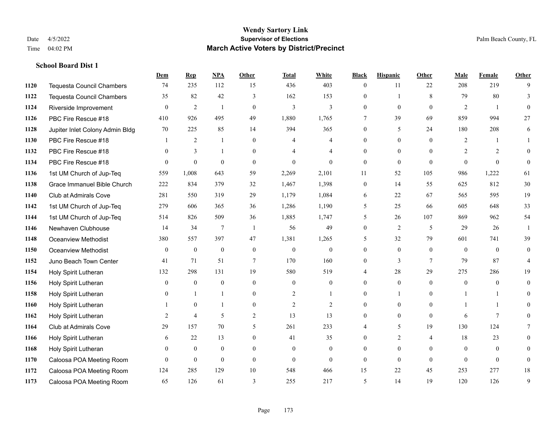|      |                                  | Dem          | <b>Rep</b>       | NPA          | <b>Other</b>   | <b>Total</b>   | <b>White</b>     | <b>Black</b>             | <b>Hispanic</b> | <b>Other</b>   | <b>Male</b>    | <b>Female</b>  | <b>Other</b>   |
|------|----------------------------------|--------------|------------------|--------------|----------------|----------------|------------------|--------------------------|-----------------|----------------|----------------|----------------|----------------|
| 1120 | <b>Tequesta Council Chambers</b> | 74           | 235              | 112          | 15             | 436            | 403              | $\boldsymbol{0}$         | 11              | 22             | 208            | 219            | 9              |
| 1122 | <b>Tequesta Council Chambers</b> | 35           | 82               | 42           | 3              | 162            | 153              | $\overline{0}$           | 1               | 8              | 79             | 80             | 3              |
| 1124 | Riverside Improvement            | $\theta$     | $\overline{2}$   | $\mathbf{1}$ | $\theta$       | 3              | 3                | $\theta$                 | $\theta$        | $\Omega$       | 2              | $\overline{1}$ | $\theta$       |
| 1126 | PBC Fire Rescue #18              | 410          | 926              | 495          | 49             | 1,880          | 1,765            | $\tau$                   | 39              | 69             | 859            | 994            | 27             |
| 1128 | Jupiter Inlet Colony Admin Bldg  | 70           | 225              | 85           | 14             | 394            | 365              | $\theta$                 | 5               | 24             | 180            | 208            | 6              |
| 1130 | PBC Fire Rescue #18              |              | 2                | -1           | $\overline{0}$ | 4              | 4                | $\overline{0}$           | $\mathbf{0}$    | $\theta$       | 2              | 1              | 1              |
| 1132 | PBC Fire Rescue #18              | $\theta$     | 3                | $\mathbf{1}$ | $\overline{0}$ | 4              | 4                | $\overline{0}$           | $\mathbf{0}$    | $\theta$       | 2              | 2              | $\Omega$       |
| 1134 | PBC Fire Rescue #18              | $\theta$     | $\mathbf{0}$     | $\theta$     | $\theta$       | $\Omega$       | $\theta$         | $\mathbf{0}$             | $\theta$        | $\Omega$       | $\Omega$       | $\Omega$       | $\theta$       |
| 1136 | 1st UM Church of Jup-Teq         | 559          | 1,008            | 643          | 59             | 2,269          | 2,101            | 11                       | 52              | 105            | 986            | 1,222          | 61             |
| 1138 | Grace Immanuel Bible Church      | 222          | 834              | 379          | 32             | 1,467          | 1,398            | $\mathbf{0}$             | 14              | 55             | 625            | 812            | 30             |
| 1140 | Club at Admirals Cove            | 281          | 550              | 319          | 29             | 1,179          | 1,084            | 6                        | 22              | 67             | 565            | 595            | 19             |
| 1142 | 1st UM Church of Jup-Teq         | 279          | 606              | 365          | 36             | 1,286          | 1,190            | 5                        | 25              | 66             | 605            | 648            | 33             |
| 1144 | 1st UM Church of Jup-Teq         | 514          | 826              | 509          | 36             | 1,885          | 1,747            | 5                        | 26              | 107            | 869            | 962            | 54             |
| 1146 | Newhaven Clubhouse               | 14           | 34               | 7            | $\overline{1}$ | 56             | 49               | $\mathbf{0}$             | 2               | 5              | 29             | 26             | $\mathbf{1}$   |
| 1148 | Oceanview Methodist              | 380          | 557              | 397          | 47             | 1,381          | 1,265            | 5                        | 32              | 79             | 601            | 741            | 39             |
| 1150 | <b>Oceanview Methodist</b>       | $\theta$     | $\mathbf{0}$     | $\mathbf{0}$ | $\theta$       | $\theta$       | $\mathbf{0}$     | $\theta$                 | $\theta$        | $\Omega$       | $\theta$       | $\theta$       | $\overline{0}$ |
| 1152 | Juno Beach Town Center           | 41           | 71               | 51           | $\overline{7}$ | 170            | 160              | $\boldsymbol{0}$         | $\overline{3}$  | $\tau$         | 79             | 87             | $\overline{4}$ |
| 1154 | Holy Spirit Lutheran             | 132          | 298              | 131          | 19             | 580            | 519              | 4                        | 28              | 29             | 275            | 286            | 19             |
| 1156 | Holy Spirit Lutheran             | $\theta$     | $\boldsymbol{0}$ | $\mathbf{0}$ | $\theta$       | $\theta$       | $\overline{0}$   | $\theta$                 | $\mathbf{0}$    | $\theta$       | $\overline{0}$ | $\theta$       | $\mathbf{0}$   |
| 1158 | Holy Spirit Lutheran             | $\mathbf{0}$ | $\mathbf{1}$     | $\mathbf{1}$ | $\overline{0}$ | $\overline{2}$ |                  | $\overline{0}$           | 1               | $\theta$       |                |                | $\Omega$       |
| 1160 | Holy Spirit Lutheran             |              | $\theta$         | 1            | $\Omega$       | $\overline{2}$ | $\overline{2}$   | $\theta$                 | $\theta$        | $\theta$       |                | $\mathbf{1}$   | $\Omega$       |
| 1162 | Holy Spirit Lutheran             | 2            | $\overline{4}$   | 5            | $\overline{2}$ | 13             | 13               | $\theta$                 | $\theta$        | $\theta$       | 6              | $\tau$         | $\Omega$       |
| 1164 | Club at Admirals Cove            | 29           | 157              | 70           | 5              | 261            | 233              | 4                        | 5               | 19             | 130            | 124            | 7              |
| 1166 | Holy Spirit Lutheran             | 6            | 22               | 13           | $\Omega$       | 41             | 35               | $\overline{0}$           | $\overline{2}$  | $\overline{4}$ | 18             | 23             | $\Omega$       |
| 1168 | Holy Spirit Lutheran             | $\mathbf{0}$ | $\mathbf{0}$     | $\mathbf{0}$ | $\theta$       | $\mathbf{0}$   | $\boldsymbol{0}$ | $\overline{0}$           | $\mathbf{0}$    | $\theta$       | $\mathbf{0}$   | $\mathbf{0}$   | $\Omega$       |
| 1170 | Caloosa POA Meeting Room         | $\mathbf{0}$ | $\mathbf{0}$     | $\mathbf{0}$ | $\overline{0}$ | $\Omega$       | $\overline{0}$   | $\mathbf{0}$             | $\theta$        | $\theta$       | $\theta$       | $\theta$       | $\mathbf{0}$   |
| 1172 | Caloosa POA Meeting Room         | 124          | 285              | 129          | 10             | 548            | 466              | 15                       | 22              | 45             | 253            | 277            | 18             |
| 1173 | Caloosa POA Meeting Room         | 65           | 126              | 61           | 3              | 255            | 217              | $\overline{\phantom{0}}$ | 14              | 19             | 120            | 126            | 9              |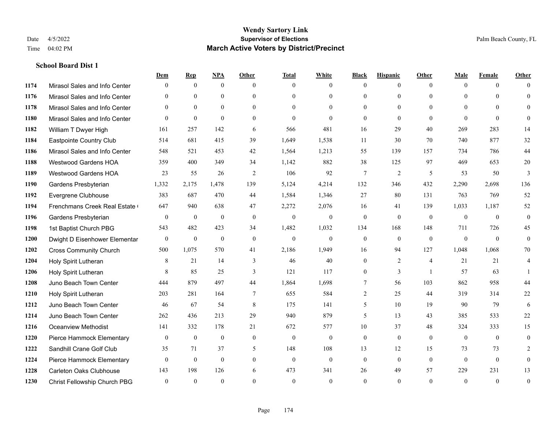|      |                                | Dem          | <b>Rep</b>       | NPA          | <b>Other</b> | <b>Total</b> | <b>White</b>   | <b>Black</b>   | <b>Hispanic</b> | <b>Other</b>   | <b>Male</b>  | <b>Female</b> | <b>Other</b>     |
|------|--------------------------------|--------------|------------------|--------------|--------------|--------------|----------------|----------------|-----------------|----------------|--------------|---------------|------------------|
| 1174 | Mirasol Sales and Info Center  | $\Omega$     | $\mathbf{0}$     | $\mathbf{0}$ | $\Omega$     | $\Omega$     | $\overline{0}$ | $\mathbf{0}$   | $\overline{0}$  | $\theta$       | $\theta$     | $\theta$      | $\Omega$         |
| 1176 | Mirasol Sales and Info Center  | $\Omega$     | $\theta$         | $\theta$     | $\Omega$     | $\Omega$     | $\overline{0}$ | $\theta$       | $\theta$        | $\Omega$       | $\theta$     | $\Omega$      | $\theta$         |
| 1178 | Mirasol Sales and Info Center  | $\theta$     | $\overline{0}$   | $\mathbf{0}$ | $\theta$     | $\theta$     | $\overline{0}$ | $\theta$       | $\theta$        | $\Omega$       | $\Omega$     | $\Omega$      | $\Omega$         |
| 1180 | Mirasol Sales and Info Center  | $\theta$     | $\mathbf{0}$     | $\theta$     | $\theta$     | $\theta$     | $\mathbf{0}$   | $\mathbf{0}$   | $\theta$        | $\theta$       | $\theta$     | $\theta$      | $\Omega$         |
| 1182 | William T Dwyer High           | 161          | 257              | 142          | 6            | 566          | 481            | 16             | 29              | 40             | 269          | 283           | 14               |
| 1184 | Eastpointe Country Club        | 514          | 681              | 415          | 39           | 1,649        | 1,538          | 11             | 30              | 70             | 740          | 877           | $32\,$           |
| 1186 | Mirasol Sales and Info Center  | 548          | 521              | 453          | 42           | 1,564        | 1,213          | 55             | 139             | 157            | 734          | 786           | 44               |
| 1188 | <b>Westwood Gardens HOA</b>    | 359          | 400              | 349          | 34           | 1,142        | 882            | 38             | 125             | 97             | 469          | 653           | $20\,$           |
| 1189 | <b>Westwood Gardens HOA</b>    | 23           | 55               | 26           | 2            | 106          | 92             | $\tau$         | $\overline{2}$  | 5              | 53           | 50            | $\overline{3}$   |
| 1190 | Gardens Presbyterian           | 1,332        | 2,175            | 1,478        | 139          | 5,124        | 4,214          | 132            | 346             | 432            | 2,290        | 2,698         | 136              |
| 1192 | Evergrene Clubhouse            | 383          | 687              | 470          | 44           | 1,584        | 1,346          | 27             | 80              | 131            | 763          | 769           | 52               |
| 1194 | Frenchmans Creek Real Estate   | 647          | 940              | 638          | 47           | 2,272        | 2,076          | 16             | 41              | 139            | 1,033        | 1,187         | 52               |
| 1196 | Gardens Presbyterian           | $\mathbf{0}$ | $\boldsymbol{0}$ | $\mathbf{0}$ | $\mathbf{0}$ | $\mathbf{0}$ | $\mathbf{0}$   | $\mathbf{0}$   | $\mathbf{0}$    | $\mathbf{0}$   | $\mathbf{0}$ | $\mathbf{0}$  | $\boldsymbol{0}$ |
| 1198 | 1st Baptist Church PBG         | 543          | 482              | 423          | 34           | 1,482        | 1,032          | 134            | 168             | 148            | 711          | 726           | 45               |
| 1200 | Dwight D Eisenhower Elementar  | $\mathbf{0}$ | $\mathbf{0}$     | $\mathbf{0}$ | $\theta$     | $\mathbf{0}$ | $\mathbf{0}$   | $\mathbf{0}$   | $\theta$        | $\theta$       | $\theta$     | $\theta$      | $\mathbf{0}$     |
| 1202 | <b>Cross Community Church</b>  | 500          | 1,075            | 570          | 41           | 2,186        | 1,949          | 16             | 94              | 127            | 1,048        | 1,068         | 70               |
| 1204 | Holy Spirit Lutheran           | 8            | 21               | 14           | 3            | 46           | 40             | $\mathbf{0}$   | 2               | $\overline{4}$ | 21           | 21            | 4                |
| 1206 | Holy Spirit Lutheran           | 8            | 85               | 25           | 3            | 121          | 117            | $\overline{0}$ | 3               | $\overline{1}$ | 57           | 63            |                  |
| 1208 | Juno Beach Town Center         | 444          | 879              | 497          | 44           | 1,864        | 1,698          | 7              | 56              | 103            | 862          | 958           | 44               |
| 1210 | Holy Spirit Lutheran           | 203          | 281              | 164          | $\tau$       | 655          | 584            | 2              | 25              | 44             | 319          | 314           | 22               |
| 1212 | Juno Beach Town Center         | 46           | 67               | 54           | 8            | 175          | 141            | 5              | 10              | 19             | 90           | 79            | 6                |
| 1214 | Juno Beach Town Center         | 262          | 436              | 213          | 29           | 940          | 879            | 5              | 13              | 43             | 385          | 533           | $22\,$           |
| 1216 | <b>Oceanview Methodist</b>     | 141          | 332              | 178          | 21           | 672          | 577            | 10             | 37              | 48             | 324          | 333           | 15               |
| 1220 | Pierce Hammock Elementary      | $\mathbf{0}$ | $\mathbf{0}$     | $\mathbf{0}$ | $\mathbf{0}$ | $\mathbf{0}$ | $\mathbf{0}$   | $\mathbf{0}$   | $\mathbf{0}$    | $\theta$       | $\theta$     | $\mathbf{0}$  | $\mathbf{0}$     |
| 1222 | Sandhill Crane Golf Club       | 35           | 71               | 37           | 5            | 148          | 108            | 13             | 12              | 15             | 73           | 73            | 2                |
| 1224 | Pierce Hammock Elementary      | $\mathbf{0}$ | $\mathbf{0}$     | $\mathbf{0}$ | $\theta$     | $\mathbf{0}$ | $\mathbf{0}$   | $\mathbf{0}$   | $\mathbf{0}$    | $\theta$       | $\theta$     | $\theta$      | $\mathbf{0}$     |
| 1228 | <b>Carleton Oaks Clubhouse</b> | 143          | 198              | 126          | 6            | 473          | 341            | 26             | 49              | 57             | 229          | 231           | 13               |
| 1230 | Christ Fellowship Church PBG   | $\theta$     | $\theta$         | $\theta$     | $\Omega$     | $\theta$     | $\theta$       | $\theta$       | $\theta$        | $\Omega$       | $\theta$     | $\theta$      | $\boldsymbol{0}$ |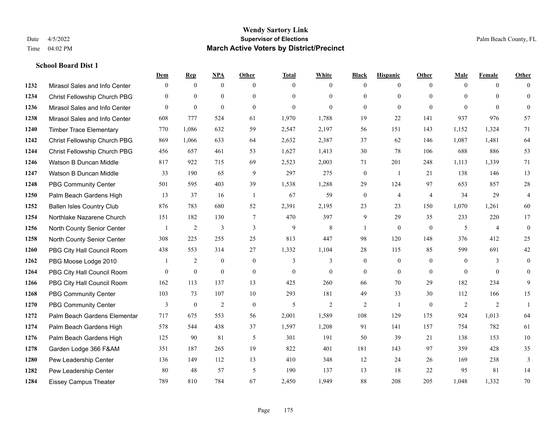|      |                                  | Dem          | <b>Rep</b>       | NPA              | <b>Other</b>   | <b>Total</b> | <b>White</b>   | <b>Black</b>     | <b>Hispanic</b>  | <b>Other</b>   | <b>Male</b>    | <b>Female</b>  | <b>Other</b>     |
|------|----------------------------------|--------------|------------------|------------------|----------------|--------------|----------------|------------------|------------------|----------------|----------------|----------------|------------------|
| 1232 | Mirasol Sales and Info Center    | $\mathbf{0}$ | $\mathbf{0}$     | $\mathbf{0}$     | $\theta$       | $\Omega$     | $\overline{0}$ | $\mathbf{0}$     | $\mathbf{0}$     | $\theta$       | $\mathbf{0}$   | $\overline{0}$ | $\Omega$         |
| 1234 | Christ Fellowship Church PBG     | $\theta$     | $\mathbf{0}$     | $\mathbf{0}$     | $\theta$       | $\Omega$     | $\overline{0}$ | $\theta$         | $\mathbf{0}$     | $\Omega$       | $\theta$       | $\Omega$       | $\mathbf{0}$     |
| 1236 | Mirasol Sales and Info Center    | $\Omega$     | $\mathbf{0}$     | $\theta$         | $\Omega$       | $\theta$     | $\Omega$       | $\Omega$         | $\theta$         | $\Omega$       | $\Omega$       | $\Omega$       | $\Omega$         |
| 1238 | Mirasol Sales and Info Center    | 608          | 777              | 524              | 61             | 1,970        | 1,788          | 19               | 22               | 141            | 937            | 976            | 57               |
| 1240 | <b>Timber Trace Elementary</b>   | 770          | 1,086            | 632              | 59             | 2,547        | 2,197          | 56               | 151              | 143            | 1,152          | 1,324          | 71               |
| 1242 | Christ Fellowship Church PBG     | 869          | 1,066            | 633              | 64             | 2,632        | 2,387          | 37               | 62               | 146            | 1,087          | 1,481          | 64               |
| 1244 | Christ Fellowship Church PBG     | 456          | 657              | 461              | 53             | 1,627        | 1,413          | $30\,$           | 78               | 106            | 688            | 886            | 53               |
| 1246 | Watson B Duncan Middle           | 817          | 922              | 715              | 69             | 2,523        | 2,003          | 71               | 201              | 248            | 1,113          | 1,339          | 71               |
| 1247 | Watson B Duncan Middle           | 33           | 190              | 65               | 9              | 297          | 275            | $\boldsymbol{0}$ | -1               | 21             | 138            | 146            | 13               |
| 1248 | <b>PBG Community Center</b>      | 501          | 595              | 403              | 39             | 1,538        | 1,288          | 29               | 124              | 97             | 653            | 857            | $28\,$           |
| 1250 | Palm Beach Gardens High          | 13           | 37               | 16               | -1             | 67           | 59             | $\boldsymbol{0}$ | 4                | $\overline{4}$ | 34             | 29             | $\overline{4}$   |
| 1252 | <b>Ballen Isles Country Club</b> | 876          | 783              | 680              | 52             | 2,391        | 2,195          | 23               | 23               | 150            | 1,070          | 1,261          | 60               |
| 1254 | Northlake Nazarene Church        | 151          | 182              | 130              | $\overline{7}$ | 470          | 397            | 9                | 29               | 35             | 233            | 220            | 17               |
| 1256 | North County Senior Center       |              | $\overline{c}$   | 3                | $\mathfrak{Z}$ | $\mathbf{9}$ | $8\,$          | $\mathbf{1}$     | $\boldsymbol{0}$ | $\mathbf{0}$   | 5              | $\overline{4}$ | $\boldsymbol{0}$ |
| 1258 | North County Senior Center       | 308          | 225              | 255              | 25             | 813          | 447            | 98               | 120              | 148            | 376            | 412            | 25               |
| 1260 | PBG City Hall Council Room       | 438          | 553              | 314              | 27             | 1,332        | 1,104          | 28               | 115              | 85             | 599            | 691            | $42\,$           |
| 1262 | PBG Moose Lodge 2010             |              | $\overline{2}$   | $\mathbf{0}$     | $\mathbf{0}$   | 3            | 3              | $\mathbf{0}$     | $\mathbf{0}$     | $\overline{0}$ | $\mathbf{0}$   | 3              | $\mathbf{0}$     |
| 1264 | PBG City Hall Council Room       | $\theta$     | $\boldsymbol{0}$ | $\boldsymbol{0}$ | $\mathbf{0}$   | $\mathbf{0}$ | $\overline{0}$ | $\mathbf{0}$     | $\overline{0}$   | $\overline{0}$ | $\overline{0}$ | $\theta$       | $\mathbf{0}$     |
| 1266 | PBG City Hall Council Room       | 162          | 113              | 137              | 13             | 425          | 260            | 66               | 70               | 29             | 182            | 234            | 9                |
| 1268 | <b>PBG Community Center</b>      | 103          | 73               | 107              | 10             | 293          | 181            | 49               | 33               | 30             | 112            | 166            | 15               |
| 1270 | <b>PBG Community Center</b>      | 3            | $\mathbf{0}$     | 2                | $\theta$       | 5            | $\overline{2}$ | 2                | $\mathbf{1}$     | $\Omega$       | 2              | 2              | $\mathbf{1}$     |
| 1272 | Palm Beach Gardens Elementar     | 717          | 675              | 553              | 56             | 2,001        | 1,589          | 108              | 129              | 175            | 924            | 1,013          | 64               |
| 1274 | Palm Beach Gardens High          | 578          | 544              | 438              | 37             | 1,597        | 1,208          | 91               | 141              | 157            | 754            | 782            | 61               |
| 1276 | Palm Beach Gardens High          | 125          | 90               | 81               | 5              | 301          | 191            | 50               | 39               | 21             | 138            | 153            | 10               |
| 1278 | Garden Lodge 366 F&AM            | 351          | 187              | 265              | 19             | 822          | 401            | 181              | 143              | 97             | 359            | 428            | 35               |
| 1280 | Pew Leadership Center            | 136          | 149              | 112              | 13             | 410          | 348            | 12               | 24               | 26             | 169            | 238            | 3                |
| 1282 | Pew Leadership Center            | 80           | 48               | 57               | 5              | 190          | 137            | 13               | 18               | 22             | 95             | 81             | 14               |
| 1284 | <b>Eissey Campus Theater</b>     | 789          | 810              | 784              | 67             | 2,450        | 1,949          | 88               | 208              | 205            | 1,048          | 1,332          | 70               |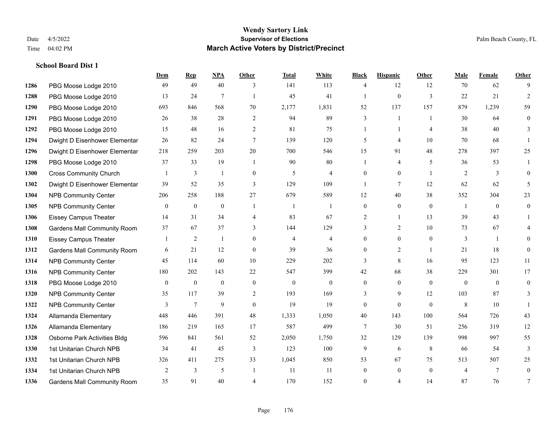|      |                                    | Dem          | <b>Rep</b>       | NPA            | <b>Other</b>     | <b>Total</b>   | <b>White</b>   | <b>Black</b>   | <b>Hispanic</b> | Other          | <b>Male</b>    | <b>Female</b>  | <b>Other</b>   |
|------|------------------------------------|--------------|------------------|----------------|------------------|----------------|----------------|----------------|-----------------|----------------|----------------|----------------|----------------|
| 1286 | PBG Moose Lodge 2010               | 49           | 49               | 40             | 3                | 141            | 113            | 4              | 12              | 12             | 70             | 62             | 9              |
| 1288 | PBG Moose Lodge 2010               | 13           | 24               | $\overline{7}$ | $\overline{1}$   | 45             | 41             | 1              | $\overline{0}$  | $\overline{3}$ | 22             | 21             | 2              |
| 1290 | PBG Moose Lodge 2010               | 693          | 846              | 568            | 70               | 2,177          | 1,831          | 52             | 137             | 157            | 879            | 1,239          | 59             |
| 1291 | PBG Moose Lodge 2010               | 26           | 38               | 28             | $\overline{2}$   | 94             | 89             | 3              | 1               | $\overline{1}$ | 30             | 64             | $\mathbf{0}$   |
| 1292 | PBG Moose Lodge 2010               | 15           | 48               | 16             | 2                | 81             | 75             |                | $\mathbf{1}$    | $\overline{4}$ | 38             | 40             | 3              |
| 1294 | Dwight D Eisenhower Elementar      | 26           | 82               | 24             | $\tau$           | 139            | 120            | 5              | $\overline{4}$  | 10             | 70             | 68             |                |
| 1296 | Dwight D Eisenhower Elementar      | 218          | 259              | 203            | 20               | 700            | 546            | 15             | 91              | 48             | 278            | 397            | 25             |
| 1298 | PBG Moose Lodge 2010               | 37           | 33               | 19             | $\overline{1}$   | 90             | 80             | $\mathbf{1}$   | 4               | 5              | 36             | 53             |                |
| 1300 | <b>Cross Community Church</b>      |              | 3                | $\mathbf{1}$   | $\boldsymbol{0}$ | 5              | 4              | $\overline{0}$ | $\overline{0}$  | $\overline{1}$ | $\overline{2}$ | 3              | $\theta$       |
| 1302 | Dwight D Eisenhower Elementar      | 39           | 52               | 35             | 3                | 129            | 109            | $\mathbf{1}$   | $\tau$          | 12             | 62             | 62             | 5              |
| 1304 | NPB Community Center               | 206          | 258              | 188            | 27               | 679            | 589            | 12             | 40              | 38             | 352            | 304            | 23             |
| 1305 | <b>NPB Community Center</b>        | $\mathbf{0}$ | $\mathbf{0}$     | $\mathbf{0}$   | $\overline{1}$   | -1             | $\overline{1}$ | $\overline{0}$ | $\mathbf{0}$    | $\theta$       | -1             | $\theta$       | $\mathbf{0}$   |
| 1306 | <b>Eissey Campus Theater</b>       | 14           | 31               | 34             | $\overline{4}$   | 83             | 67             | 2              | $\mathbf{1}$    | 13             | 39             | 43             |                |
| 1308 | Gardens Mall Community Room        | 37           | 67               | 37             | 3                | 144            | 129            | 3              | $\overline{c}$  | 10             | 73             | 67             |                |
| 1310 | <b>Eissey Campus Theater</b>       |              | $\overline{2}$   | 1              | $\theta$         | $\overline{4}$ | $\overline{4}$ | $\overline{0}$ | $\overline{0}$  | $\theta$       | 3              | $\overline{1}$ | 0              |
| 1312 | <b>Gardens Mall Community Room</b> | 6            | 21               | 12             | $\theta$         | 39             | 36             | $\Omega$       | $\overline{2}$  | $\overline{1}$ | 21             | 18             | $\theta$       |
| 1314 | <b>NPB Community Center</b>        | 45           | 114              | 60             | $10\,$           | 229            | 202            | 3              | 8               | 16             | 95             | 123            | 11             |
| 1316 | <b>NPB Community Center</b>        | 180          | 202              | 143            | 22               | 547            | 399            | 42             | 68              | 38             | 229            | 301            | 17             |
| 1318 | PBG Moose Lodge 2010               | $\mathbf{0}$ | $\boldsymbol{0}$ | $\mathbf{0}$   | $\mathbf{0}$     | $\theta$       | $\overline{0}$ | $\overline{0}$ | $\mathbf{0}$    | $\theta$       | $\mathbf{0}$   | $\theta$       | $\theta$       |
| 1320 | NPB Community Center               | 35           | 117              | 39             | $\mathbf{2}$     | 193            | 169            | 3              | 9               | 12             | 103            | 87             | 3              |
| 1322 | <b>NPB Community Center</b>        | 3            | $7\phantom{.0}$  | 9              | $\theta$         | 19             | 19             | $\overline{0}$ | $\mathbf{0}$    | $\theta$       | 8              | 10             |                |
| 1324 | Allamanda Elementary               | 448          | 446              | 391            | 48               | 1,333          | 1,050          | 40             | 143             | 100            | 564            | 726            | 43             |
| 1326 | Allamanda Elementary               | 186          | 219              | 165            | 17               | 587            | 499            | 7              | 30              | 51             | 256            | 319            | 12             |
| 1328 | Osborne Park Activities Bldg       | 596          | 841              | 561            | 52               | 2,050          | 1,750          | 32             | 129             | 139            | 998            | 997            | 55             |
| 1330 | 1st Unitarian Church NPB           | 34           | 41               | 45             | $\overline{3}$   | 123            | 100            | 9              | 6               | 8              | 66             | 54             | $\overline{3}$ |
| 1332 | 1st Unitarian Church NPB           | 326          | 411              | 275            | 33               | 1,045          | 850            | 53             | 67              | 75             | 513            | 507            | 25             |
| 1334 | 1st Unitarian Church NPB           | 2            | 3                | 5              | $\overline{1}$   | 11             | -11            | $\overline{0}$ | $\mathbf{0}$    | $\mathbf{0}$   | $\overline{4}$ | $\tau$         | $\mathbf{0}$   |
| 1336 | <b>Gardens Mall Community Room</b> | 35           | 91               | 40             | $\overline{4}$   | 170            | 152            | $\theta$       | 4               | 14             | 87             | 76             | 7              |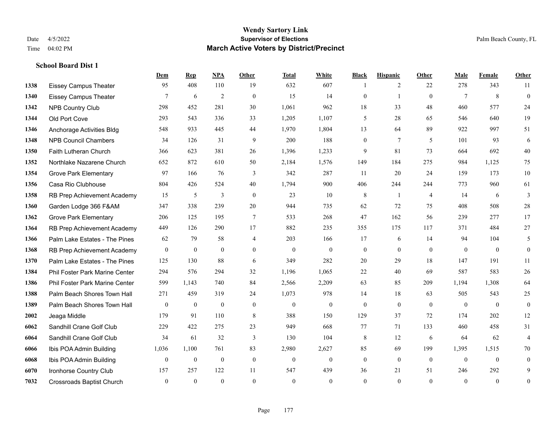|      |                                  | Dem              | <b>Rep</b>       | NPA              | Other            | <b>Total</b>     | <b>White</b>     | <b>Black</b>     | <b>Hispanic</b> | Other          | <b>Male</b>    | <b>Female</b>  | <b>Other</b>     |
|------|----------------------------------|------------------|------------------|------------------|------------------|------------------|------------------|------------------|-----------------|----------------|----------------|----------------|------------------|
| 1338 | <b>Eissey Campus Theater</b>     | 95               | 408              | 110              | 19               | 632              | 607              | 1                | 2               | 22             | 278            | 343            | 11               |
| 1340 | <b>Eissey Campus Theater</b>     | 7                | 6                | $\mathfrak{2}$   | $\mathbf{0}$     | 15               | 14               | $\boldsymbol{0}$ | $\mathbf{1}$    | $\overline{0}$ | $\overline{7}$ | $\,8\,$        | $\mathbf{0}$     |
| 1342 | NPB Country Club                 | 298              | 452              | 281              | 30               | 1,061            | 962              | 18               | 33              | 48             | 460            | 577            | 24               |
| 1344 | Old Port Cove                    | 293              | 543              | 336              | 33               | 1,205            | 1,107            | 5                | 28              | 65             | 546            | 640            | 19               |
| 1346 | Anchorage Activities Bldg        | 548              | 933              | 445              | 44               | 1,970            | 1,804            | 13               | 64              | 89             | 922            | 997            | 51               |
| 1348 | <b>NPB Council Chambers</b>      | 34               | 126              | 31               | 9                | 200              | 188              | 0                | $\tau$          | 5              | 101            | 93             | 6                |
| 1350 | Faith Lutheran Church            | 366              | 623              | 381              | 26               | 1,396            | 1,233            | 9                | 81              | 73             | 664            | 692            | 40               |
| 1352 | Northlake Nazarene Church        | 652              | 872              | 610              | 50               | 2,184            | 1,576            | 149              | 184             | 275            | 984            | 1,125          | 75               |
| 1354 | <b>Grove Park Elementary</b>     | 97               | 166              | 76               | 3                | 342              | 287              | 11               | 20              | 24             | 159            | 173            | $10\,$           |
| 1356 | Casa Rio Clubhouse               | 804              | 426              | 524              | 40               | 1,794            | 900              | 406              | 244             | 244            | 773            | 960            | 61               |
| 1358 | RB Prep Achievement Academy      | 15               | 5                | 3                | $\theta$         | 23               | 10               | 8                | $\overline{1}$  | $\overline{4}$ | 14             | 6              | $\mathfrak{Z}$   |
| 1360 | Garden Lodge 366 F&AM            | 347              | 338              | 239              | 20               | 944              | 735              | 62               | 72              | 75             | 408            | 508            | $28\,$           |
| 1362 | <b>Grove Park Elementary</b>     | 206              | 125              | 195              | $\tau$           | 533              | 268              | 47               | 162             | 56             | 239            | 277            | 17               |
| 1364 | RB Prep Achievement Academy      | 449              | 126              | 290              | 17               | 882              | 235              | 355              | 175             | 117            | 371            | 484            | $27\,$           |
| 1366 | Palm Lake Estates - The Pines    | 62               | 79               | 58               | $\overline{4}$   | 203              | 166              | 17               | 6               | 14             | 94             | 104            | 5                |
| 1368 | RB Prep Achievement Academy      | $\overline{0}$   | $\mathbf{0}$     | $\mathbf{0}$     | $\mathbf{0}$     | $\mathbf{0}$     | $\mathbf{0}$     | $\mathbf{0}$     | $\mathbf{0}$    | $\theta$       | $\theta$       | $\mathbf{0}$   | $\mathbf{0}$     |
| 1370 | Palm Lake Estates - The Pines    | 125              | 130              | 88               | 6                | 349              | 282              | $20\,$           | 29              | 18             | 147            | 191            | 11               |
| 1384 | Phil Foster Park Marine Center   | 294              | 576              | 294              | 32               | 1,196            | 1,065            | 22               | 40              | 69             | 587            | 583            | $26\,$           |
| 1386 | Phil Foster Park Marine Center   | 599              | 1,143            | 740              | 84               | 2,566            | 2,209            | 63               | 85              | 209            | 1,194          | 1,308          | 64               |
| 1388 | Palm Beach Shores Town Hall      | 271              | 459              | 319              | 24               | 1,073            | 978              | 14               | 18              | 63             | 505            | 543            | 25               |
| 1389 | Palm Beach Shores Town Hall      | $\mathbf{0}$     | $\mathbf{0}$     | $\mathbf{0}$     | $\theta$         | $\mathbf{0}$     | $\overline{0}$   | $\mathbf{0}$     | $\mathbf{0}$    | $\theta$       | $\theta$       | $\overline{0}$ | $\theta$         |
| 2002 | Jeaga Middle                     | 179              | 91               | 110              | 8                | 388              | 150              | 129              | 37              | 72             | 174            | 202            | 12               |
| 6062 | Sandhill Crane Golf Club         | 229              | 422              | 275              | 23               | 949              | 668              | 77               | 71              | 133            | 460            | 458            | 31               |
| 6064 | Sandhill Crane Golf Club         | 34               | 61               | 32               | 3                | 130              | 104              | 8                | 12              | 6              | 64             | 62             | $\overline{4}$   |
| 6066 | Ibis POA Admin Building          | 1,036            | 1,100            | 761              | 83               | 2,980            | 2,627            | 85               | 69              | 199            | 1,395          | 1,515          | 70               |
| 6068 | Ibis POA Admin Building          | $\boldsymbol{0}$ | $\boldsymbol{0}$ | $\boldsymbol{0}$ | $\boldsymbol{0}$ | $\boldsymbol{0}$ | $\boldsymbol{0}$ | $\mathbf{0}$     | $\mathbf{0}$    | $\mathbf{0}$   | $\mathbf{0}$   | $\mathbf{0}$   | $\mathbf{0}$     |
| 6070 | Ironhorse Country Club           | 157              | 257              | 122              | 11               | 547              | 439              | 36               | 21              | 51             | 246            | 292            | 9                |
| 7032 | <b>Crossroads Baptist Church</b> | $\overline{0}$   | $\mathbf{0}$     | $\mathbf{0}$     | $\theta$         | $\mathbf{0}$     | $\theta$         | $\overline{0}$   | $\Omega$        | $\overline{0}$ | $\theta$       | $\mathbf{0}$   | $\boldsymbol{0}$ |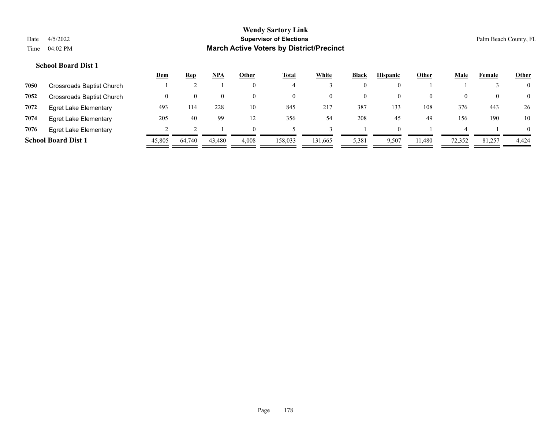|      |                              | <u>Dem</u> | <b>Rep</b> | <u>NPA</u> | Other | <u>Total</u> | White    | <b>Black</b> | <b>Hispanic</b> | Other    | <b>Male</b> | Female | <b>Other</b>   |
|------|------------------------------|------------|------------|------------|-------|--------------|----------|--------------|-----------------|----------|-------------|--------|----------------|
| 7050 | Crossroads Baptist Church    |            |            |            |       |              |          |              |                 |          |             |        | $\overline{0}$ |
| 7052 | Crossroads Baptist Church    |            |            |            |       |              | $\theta$ |              |                 | $\theta$ |             |        | $\overline{0}$ |
| 7072 | <b>Egret Lake Elementary</b> | 493        | 114        | 228        | 10    | 845          | 217      | 387          | 133             | 108      | 376         | 443    | 26             |
| 7074 | Egret Lake Elementary        | 205        | 40         | 99         | 12    | 356          | 54       | 208          | 45              | 49       | 156         | 190    | 10             |
| 7076 | <b>Egret Lake Elementary</b> |            |            |            |       |              |          |              |                 |          |             |        | $\Omega$       |
|      | <b>School Board Dist 1</b>   | 45,805     | 64,740     | 43,480     | 4,008 | 158.033      | 131,665  | 5,381        | 9,507           | 11.480   | 72,352      | 81,257 | 4,424          |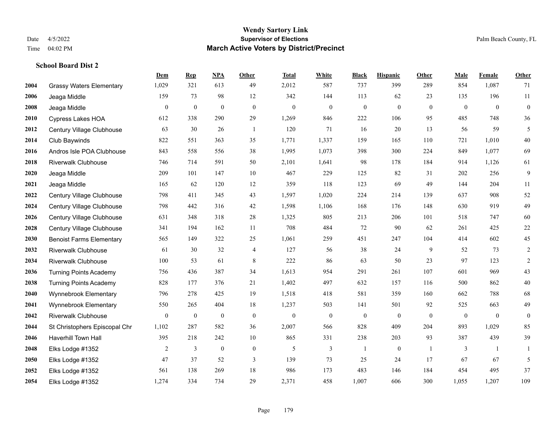|      |                                 | Dem            | <b>Rep</b>       | NPA              | <b>Other</b>   | <b>Total</b>     | <b>White</b>     | <b>Black</b>     | <b>Hispanic</b>  | <b>Other</b>   | <b>Male</b>  | Female         | Other            |
|------|---------------------------------|----------------|------------------|------------------|----------------|------------------|------------------|------------------|------------------|----------------|--------------|----------------|------------------|
| 2004 | <b>Grassy Waters Elementary</b> | 1,029          | 321              | 613              | 49             | 2,012            | 587              | 737              | 399              | 289            | 854          | 1,087          | 71               |
| 2006 | Jeaga Middle                    | 159            | 73               | 98               | 12             | 342              | 144              | 113              | 62               | 23             | 135          | 196            | 11               |
| 2008 | Jeaga Middle                    | $\mathbf{0}$   | $\boldsymbol{0}$ | $\boldsymbol{0}$ | $\overline{0}$ | $\boldsymbol{0}$ | $\mathbf{0}$     | $\boldsymbol{0}$ | $\boldsymbol{0}$ | $\overline{0}$ | $\mathbf{0}$ | $\overline{0}$ | $\boldsymbol{0}$ |
| 2010 | <b>Cypress Lakes HOA</b>        | 612            | 338              | 290              | 29             | 1,269            | 846              | 222              | 106              | 95             | 485          | 748            | $36\,$           |
| 2012 | Century Village Clubhouse       | 63             | 30               | 26               | $\overline{1}$ | 120              | 71               | 16               | 20               | 13             | 56           | 59             | 5                |
| 2014 | Club Baywinds                   | 822            | 551              | 363              | 35             | 1,771            | 1,337            | 159              | 165              | 110            | 721          | 1,010          | $40\,$           |
| 2016 | Andros Isle POA Clubhouse       | 843            | 558              | 556              | 38             | 1,995            | 1,073            | 398              | 300              | 224            | 849          | 1,077          | 69               |
| 2018 | <b>Riverwalk Clubhouse</b>      | 746            | 714              | 591              | 50             | 2,101            | 1,641            | 98               | 178              | 184            | 914          | 1,126          | 61               |
| 2020 | Jeaga Middle                    | 209            | 101              | 147              | 10             | 467              | 229              | 125              | 82               | 31             | 202          | 256            | $\mathbf{9}$     |
| 2021 | Jeaga Middle                    | 165            | 62               | 120              | 12             | 359              | 118              | 123              | 69               | 49             | 144          | 204            | 11               |
| 2022 | Century Village Clubhouse       | 798            | 411              | 345              | 43             | 1,597            | 1,020            | 224              | 214              | 139            | 637          | 908            | $52\,$           |
| 2024 | Century Village Clubhouse       | 798            | 442              | 316              | 42             | 1,598            | 1,106            | 168              | 176              | 148            | 630          | 919            | 49               |
| 2026 | Century Village Clubhouse       | 631            | 348              | 318              | 28             | 1,325            | 805              | 213              | 206              | 101            | 518          | 747            | 60               |
| 2028 | Century Village Clubhouse       | 341            | 194              | 162              | $11\,$         | 708              | 484              | 72               | 90               | 62             | 261          | 425            | $22\,$           |
| 2030 | <b>Benoist Farms Elementary</b> | 565            | 149              | 322              | 25             | 1,061            | 259              | 451              | 247              | 104            | 414          | 602            | 45               |
| 2032 | <b>Riverwalk Clubhouse</b>      | 61             | 30               | 32               | $\overline{4}$ | 127              | 56               | 38               | 24               | 9              | 52           | 73             | $\overline{c}$   |
| 2034 | <b>Riverwalk Clubhouse</b>      | 100            | 53               | 61               | $\,$ 8 $\,$    | 222              | 86               | 63               | 50               | 23             | 97           | 123            | $\sqrt{2}$       |
| 2036 | <b>Turning Points Academy</b>   | 756            | 436              | 387              | 34             | 1,613            | 954              | 291              | 261              | 107            | 601          | 969            | 43               |
| 2038 | <b>Turning Points Academy</b>   | 828            | 177              | 376              | 21             | 1,402            | 497              | 632              | 157              | 116            | 500          | 862            | $40\,$           |
| 2040 | Wynnebrook Elementary           | 796            | 278              | 425              | 19             | 1,518            | 418              | 581              | 359              | 160            | 662          | 788            | 68               |
| 2041 | Wynnebrook Elementary           | 550            | 265              | 404              | 18             | 1,237            | 503              | 141              | 501              | 92             | 525          | 663            | 49               |
| 2042 | <b>Riverwalk Clubhouse</b>      | $\mathbf{0}$   | $\boldsymbol{0}$ | $\boldsymbol{0}$ | $\mathbf{0}$   | $\boldsymbol{0}$ | $\boldsymbol{0}$ | $\boldsymbol{0}$ | $\boldsymbol{0}$ | $\mathbf{0}$   | $\mathbf{0}$ | $\mathbf{0}$   | $\boldsymbol{0}$ |
| 2044 | St Christophers Episcopal Chr   | 1,102          | 287              | 582              | 36             | 2,007            | 566              | 828              | 409              | 204            | 893          | 1,029          | 85               |
| 2046 | <b>Haverhill Town Hall</b>      | 395            | 218              | 242              | 10             | 865              | 331              | 238              | 203              | 93             | 387          | 439            | 39               |
| 2048 | Elks Lodge #1352                | $\overline{2}$ | 3                | $\mathbf{0}$     | $\mathbf{0}$   | 5                | 3                | $\mathbf{1}$     | $\mathbf{0}$     | $\overline{1}$ | 3            | $\overline{1}$ | 1                |
| 2050 | Elks Lodge #1352                | 47             | 37               | 52               | 3              | 139              | 73               | 25               | 24               | 17             | 67           | 67             | 5                |
| 2052 | Elks Lodge #1352                | 561            | 138              | 269              | 18             | 986              | 173              | 483              | 146              | 184            | 454          | 495            | 37               |
| 2054 | Elks Lodge #1352                | 1,274          | 334              | 734              | 29             | 2,371            | 458              | 1,007            | 606              | 300            | 1,055        | 1,207          | 109              |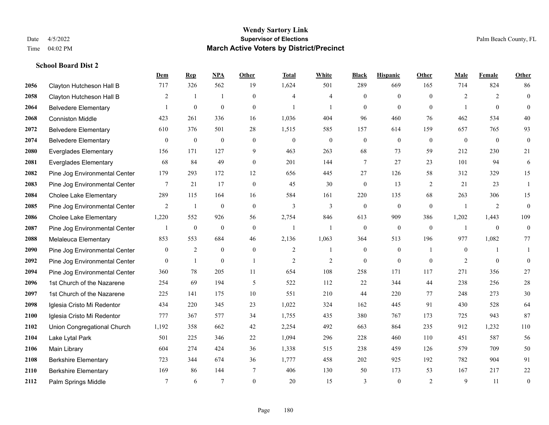|      |                               | Dem          | <b>Rep</b>       | NPA              | <b>Other</b>   | <b>Total</b>   | <b>White</b>     | <b>Black</b>     | <b>Hispanic</b>  | <b>Other</b>   | <b>Male</b>      | Female         | <b>Other</b>     |
|------|-------------------------------|--------------|------------------|------------------|----------------|----------------|------------------|------------------|------------------|----------------|------------------|----------------|------------------|
| 2056 | Clayton Hutcheson Hall B      | 717          | 326              | 562              | 19             | 1,624          | 501              | 289              | 669              | 165            | 714              | 824            | 86               |
| 2058 | Clayton Hutcheson Hall B      | 2            | $\overline{1}$   | $\mathbf{1}$     | $\Omega$       | $\overline{4}$ | $\overline{4}$   | $\mathbf{0}$     | $\mathbf{0}$     | $\Omega$       | 2                | 2              | $\mathbf{0}$     |
| 2064 | <b>Belvedere Elementary</b>   | 1            | $\boldsymbol{0}$ | $\boldsymbol{0}$ | $\overline{0}$ | $\mathbf{1}$   | $\mathbf{1}$     | $\mathbf{0}$     | $\mathbf{0}$     | $\theta$       | 1                | $\theta$       | $\mathbf{0}$     |
| 2068 | <b>Conniston Middle</b>       | 423          | 261              | 336              | 16             | 1,036          | 404              | 96               | 460              | 76             | 462              | 534            | 40               |
| 2072 | <b>Belvedere Elementary</b>   | 610          | 376              | 501              | 28             | 1,515          | 585              | 157              | 614              | 159            | 657              | 765            | 93               |
| 2074 | <b>Belvedere Elementary</b>   | $\mathbf{0}$ | $\boldsymbol{0}$ | $\boldsymbol{0}$ | $\overline{0}$ | $\mathbf{0}$   | $\boldsymbol{0}$ | $\boldsymbol{0}$ | $\boldsymbol{0}$ | $\overline{0}$ | $\mathbf{0}$     | $\overline{0}$ | $\mathbf{0}$     |
| 2080 | <b>Everglades Elementary</b>  | 156          | 171              | 127              | 9              | 463            | 263              | 68               | 73               | 59             | 212              | 230            | 21               |
| 2081 | <b>Everglades Elementary</b>  | 68           | 84               | 49               | $\Omega$       | 201            | 144              | 7                | 27               | 23             | 101              | 94             | 6                |
| 2082 | Pine Jog Environmental Center | 179          | 293              | 172              | 12             | 656            | 445              | 27               | 126              | 58             | 312              | 329            | 15               |
| 2083 | Pine Jog Environmental Center | $\tau$       | 21               | 17               | $\theta$       | 45             | 30               | $\mathbf{0}$     | 13               | 2              | 21               | 23             | $\mathbf{1}$     |
| 2084 | <b>Cholee Lake Elementary</b> | 289          | 115              | 164              | 16             | 584            | 161              | 220              | 135              | 68             | 263              | 306            | 15               |
| 2085 | Pine Jog Environmental Center | 2            | $\mathbf{1}$     | $\mathbf{0}$     | $\overline{0}$ | 3              | $\overline{3}$   | $\mathbf{0}$     | $\mathbf{0}$     | $\theta$       | $\overline{1}$   | 2              | $\mathbf{0}$     |
| 2086 | <b>Cholee Lake Elementary</b> | 1,220        | 552              | 926              | 56             | 2,754          | 846              | 613              | 909              | 386            | 1,202            | 1,443          | 109              |
| 2087 | Pine Jog Environmental Center |              | $\boldsymbol{0}$ | $\boldsymbol{0}$ | $\mathbf{0}$   |                | $\mathbf{1}$     | $\boldsymbol{0}$ | $\mathbf{0}$     | $\mathbf{0}$   |                  | $\mathbf{0}$   | $\mathbf{0}$     |
| 2088 | Melaleuca Elementary          | 853          | 553              | 684              | 46             | 2,136          | 1,063            | 364              | 513              | 196            | 977              | 1,082          | 77               |
| 2090 | Pine Jog Environmental Center | $\mathbf{0}$ | 2                | $\boldsymbol{0}$ | $\overline{0}$ | 2              | -1               | $\boldsymbol{0}$ | $\boldsymbol{0}$ | -1             | $\boldsymbol{0}$ | -1             | 1                |
| 2092 | Pine Jog Environmental Center | $\theta$     | 1                | $\mathbf{0}$     | $\overline{1}$ | $\overline{2}$ | 2                | $\mathbf{0}$     | $\theta$         | $\theta$       | 2                | $\theta$       | $\mathbf{0}$     |
| 2094 | Pine Jog Environmental Center | 360          | 78               | 205              | 11             | 654            | 108              | 258              | 171              | 117            | 271              | 356            | $27\,$           |
| 2096 | 1st Church of the Nazarene    | 254          | 69               | 194              | 5              | 522            | 112              | 22               | 344              | 44             | 238              | 256            | $28\,$           |
| 2097 | 1st Church of the Nazarene    | 225          | 141              | 175              | 10             | 551            | 210              | 44               | 220              | 77             | 248              | 273            | $30\,$           |
| 2098 | Iglesia Cristo Mi Redentor    | 434          | 220              | 345              | 23             | 1,022          | 324              | 162              | 445              | 91             | 430              | 528            | 64               |
| 2100 | Iglesia Cristo Mi Redentor    | 777          | 367              | 577              | 34             | 1,755          | 435              | 380              | 767              | 173            | 725              | 943            | 87               |
| 2102 | Union Congregational Church   | 1,192        | 358              | 662              | 42             | 2,254          | 492              | 663              | 864              | 235            | 912              | 1,232          | 110              |
| 2104 | Lake Lytal Park               | 501          | 225              | 346              | $22\,$         | 1,094          | 296              | 228              | 460              | 110            | 451              | 587            | 56               |
| 2106 | Main Library                  | 604          | 274              | 424              | 36             | 1,338          | 515              | 238              | 459              | 126            | 579              | 709            | 50               |
| 2108 | <b>Berkshire Elementary</b>   | 723          | 344              | 674              | 36             | 1,777          | 458              | 202              | 925              | 192            | 782              | 904            | 91               |
| 2110 | <b>Berkshire Elementary</b>   | 169          | 86               | 144              | 7              | 406            | 130              | 50               | 173              | 53             | 167              | 217            | 22               |
| 2112 | Palm Springs Middle           | 7            | 6                | $7\phantom{.0}$  | $\overline{0}$ | 20             | 15               | 3                | $\mathbf{0}$     | $\overline{2}$ | 9                | 11             | $\boldsymbol{0}$ |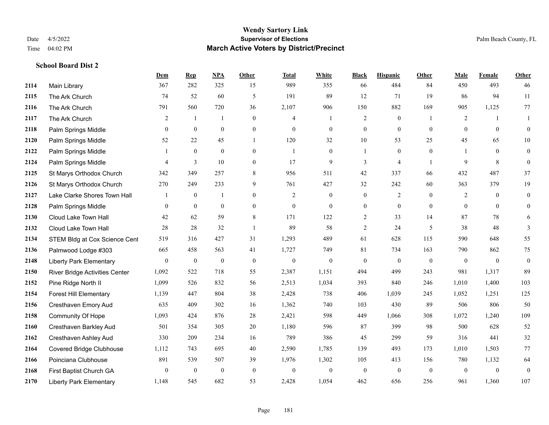**School Board Dist 2**

### **Wendy Sartory Link** Date 4/5/2022 **Supervisor of Elections** Palm Beach County, FL Time 04:02 PM **March Active Voters by District/Precinct**

# **Dem Rep NPA Other Total White Black Hispanic Other Male Female Other** Main Library 367 282 325 15 989 355 66 484 84 450 493 46 The Ark Church 74 52 60 5 191 89 12 71 19 86 94 11 The Ark Church 791 560 720 36 2,107 906 150 882 169 905 1,125 77 The Ark Church 2 1 1 0 4 1 2 0 1 2 1 1 Palm Springs Middle 0 0 0 0 0 0 0 0 0 0 0 0 Palm Springs Middle 52 22 45 1 120 32 10 53 25 45 65 10 Palm Springs Middle 1 0 0 0 1 0 1 0 0 1 0 0 Palm Springs Middle 4 3 10 0 17 9 3 4 1 9 8 0 St Marys Orthodox Church 342 349 257 8 956 511 42 337 66 432 487 37 St Marys Orthodox Church 270 249 233 9 761 427 32 242 60 363 379 19 Lake Clarke Shores Town Hall  $\begin{array}{ccccccccc} 1 & 0 & 1 & 0 & 2 & 0 & 0 & 2 & 0 & 2 & 0 & 0 \end{array}$  Palm Springs Middle 0 0 0 0 0 0 0 0 0 0 0 0 Cloud Lake Town Hall 42 62 59 8 171 122 2 33 14 87 78 6 Cloud Lake Town Hall 28 28 32 1 89 58 2 24 5 38 48 3 2134 STEM Bldg at Cox Science Cent 519 316 427 31 1,293 489 61 628 115 590 648 55 Palmwood Lodge #303 665 458 563 41 1,727 749 81 734 163 790 862 75 Liberty Park Elementary 0 0 0 0 0 0 0 0 0 0 0 0 River Bridge Activities Center 1,092 522 718 55 2,387 1,151 494 499 243 981 1,317 89 Pine Ridge North II 1,099 526 832 56 2,513 1,034 393 840 246 1,010 1,400 103 Forest Hill Elementary 1,139 447 804 38 2,428 738 406 1,039 245 1,052 1,251 125 Cresthaven Emory Aud 635 409 302 16 1,362 740 103 430 89 506 806 50 Community Of Hope 1,093 424 876 28 2,421 598 449 1,066 308 1,072 1,240 109 Cresthaven Barkley Aud 501 354 305 20 1,180 596 87 399 98 500 628 52 Cresthaven Ashley Aud 330 209 234 16 789 386 45 299 59 316 441 32 Covered Bridge Clubhouse 1,112 743 695 40 2,590 1,785 139 493 173 1,010 1,503 77 Poinciana Clubhouse 891 539 507 39 1,976 1,302 105 413 156 780 1,132 64 First Baptist Church GA 0 0 0 0 0 0 0 0 0 0 0 0 Liberty Park Elementary 1,148 545 682 53 2,428 1,054 462 656 256 961 1,360 107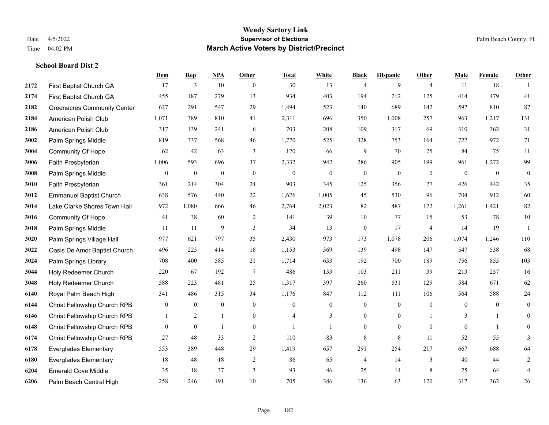|      |                                    | Dem            | <b>Rep</b>       | NPA              | <b>Other</b>     | <b>Total</b>     | <b>White</b>   | <b>Black</b>     | <b>Hispanic</b>  | <b>Other</b>   | <b>Male</b>  | Female         | <b>Other</b>     |
|------|------------------------------------|----------------|------------------|------------------|------------------|------------------|----------------|------------------|------------------|----------------|--------------|----------------|------------------|
| 2172 | First Baptist Church GA            | 17             | 3                | 10               | $\overline{0}$   | 30               | 13             | $\overline{4}$   | 9                | $\overline{4}$ | 11           | 18             | $\mathbf{1}$     |
| 2174 | First Baptist Church GA            | 455            | 187              | 279              | 13               | 934              | 403            | 194              | 212              | 125            | 414          | 479            | 41               |
| 2182 | <b>Greenacres Community Center</b> | 627            | 291              | 547              | 29               | 1,494            | 523            | 140              | 689              | 142            | 597          | 810            | 87               |
| 2184 | American Polish Club               | 1,071          | 389              | 810              | 41               | 2,311            | 696            | 350              | 1,008            | 257            | 963          | 1,217          | 131              |
| 2186 | American Polish Club               | 317            | 139              | 241              | 6                | 703              | 208            | 109              | 317              | 69             | 310          | 362            | 31               |
| 3002 | Palm Springs Middle                | 819            | 337              | 568              | 46               | 1,770            | 525            | 328              | 753              | 164            | 727          | 972            | 71               |
| 3004 | <b>Community Of Hope</b>           | 62             | 42               | 63               | 3                | 170              | 66             | 9                | 70               | 25             | 84           | 75             | 11               |
| 3006 | Faith Presbyterian                 | 1,006          | 593              | 696              | 37               | 2,332            | 942            | 286              | 905              | 199            | 961          | 1,272          | 99               |
| 3008 | Palm Springs Middle                | $\overline{0}$ | $\boldsymbol{0}$ | $\boldsymbol{0}$ | $\boldsymbol{0}$ | $\boldsymbol{0}$ | $\mathbf{0}$   | $\boldsymbol{0}$ | $\boldsymbol{0}$ | $\mathbf{0}$   | $\mathbf{0}$ | $\bf{0}$       | $\boldsymbol{0}$ |
| 3010 | Faith Presbyterian                 | 361            | 214              | 304              | 24               | 903              | 345            | 125              | 356              | 77             | 426          | 442            | 35               |
| 3012 | <b>Emmanuel Baptist Church</b>     | 638            | 576              | 440              | 22               | 1,676            | 1,005          | 45               | 530              | 96             | 704          | 912            | 60               |
| 3014 | Lake Clarke Shores Town Hall       | 972            | 1,080            | 666              | 46               | 2,764            | 2,023          | 82               | 487              | 172            | 1,261        | 1,421          | $82\,$           |
| 3016 | <b>Community Of Hope</b>           | 41             | 38               | 60               | 2                | 141              | 39             | 10               | 77               | 15             | 53           | 78             | $10\,$           |
| 3018 | Palm Springs Middle                | 11             | 11               | 9                | $\mathfrak{Z}$   | 34               | 13             | $\boldsymbol{0}$ | 17               | $\overline{4}$ | 14           | 19             | 1                |
| 3020 | Palm Springs Village Hall          | 977            | 621              | 797              | 35               | 2,430            | 973            | 173              | 1,078            | 206            | 1,074        | 1,246          | 110              |
| 3022 | Oasis De Amor Baptist Church       | 496            | 225              | 414              | 18               | 1,153            | 369            | 139              | 498              | 147            | 547          | 538            | 68               |
| 3024 | Palm Springs Library               | 708            | 400              | 585              | 21               | 1,714            | 633            | 192              | 700              | 189            | 756          | 855            | 103              |
| 3044 | Holy Redeemer Church               | 220            | 67               | 192              | $\tau$           | 486              | 133            | 103              | 211              | 39             | 213          | 257            | 16               |
| 3048 | Holy Redeemer Church               | 588            | 223              | 481              | 25               | 1,317            | 397            | 260              | 531              | 129            | 584          | 671            | 62               |
| 6140 | Royal Palm Beach High              | 341            | 486              | 315              | 34               | 1,176            | 847            | 112              | 111              | 106            | 564          | 588            | $24\,$           |
| 6144 | Christ Fellowship Church RPB       | $\overline{0}$ | $\mathbf{0}$     | $\mathbf{0}$     | $\overline{0}$   | $\theta$         | $\overline{0}$ | $\boldsymbol{0}$ | $\mathbf{0}$     | $\overline{0}$ | $\theta$     | $\overline{0}$ | $\mathbf{0}$     |
| 6146 | Christ Fellowship Church RPB       |                | 2                | $\mathbf{1}$     | $\overline{0}$   | $\overline{4}$   | 3              | $\mathbf{0}$     | $\mathbf{0}$     |                | 3            | $\mathbf{1}$   | $\mathbf{0}$     |
| 6148 | Christ Fellowship Church RPB       | $\overline{0}$ | $\bf{0}$         | -1               | $\overline{0}$   |                  | $\mathbf{1}$   | $\mathbf{0}$     | $\mathbf{0}$     | $\overline{0}$ | $\mathbf{0}$ | $\mathbf{1}$   | 0                |
| 6174 | Christ Fellowship Church RPB       | 27             | 48               | 33               | $\overline{2}$   | 110              | 83             | 8                | $\,$ 8 $\,$      | 11             | 52           | 55             | 3                |
| 6178 | <b>Everglades Elementary</b>       | 553            | 389              | 448              | 29               | 1,419            | 657            | 291              | 254              | 217            | 667          | 688            | 64               |
| 6180 | <b>Everglades Elementary</b>       | 18             | 48               | 18               | 2                | 86               | 65             | $\overline{4}$   | 14               | 3              | 40           | 44             | $\overline{c}$   |
| 6204 | <b>Emerald Cove Middle</b>         | 35             | 18               | 37               | 3                | 93               | 46             | 25               | 14               | 8              | 25           | 64             | $\overline{4}$   |
| 6206 | Palm Beach Central High            | 258            | 246              | 191              | 10               | 705              | 386            | 136              | 63               | 120            | 317          | 362            | 26               |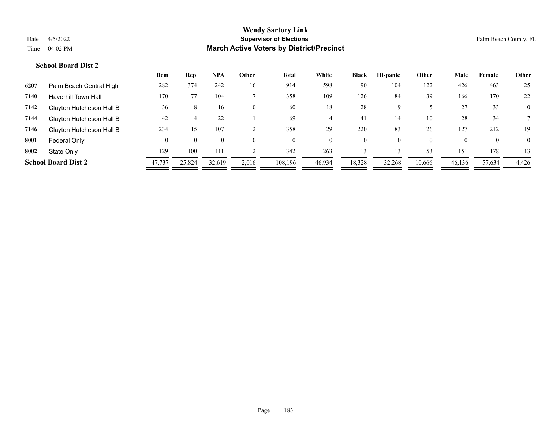|      |                            | <u>Dem</u> | <u>Rep</u>     | <u>NPA</u>     | Other          | <u>Total</u> | White          | <b>Black</b> | <b>Hispanic</b> | Other    | <u>Male</u> | Female         | <b>Other</b>   |
|------|----------------------------|------------|----------------|----------------|----------------|--------------|----------------|--------------|-----------------|----------|-------------|----------------|----------------|
| 6207 | Palm Beach Central High    | 282        | 374            | 242            | 16             | 914          | 598            | 90           | 104             | 122      | 426         | 463            | 25             |
| 7140 | <b>Haverhill Town Hall</b> | 170        | 77             | 104            |                | 358          | 109            | 126          | 84              | 39       | 166         | 170            | 22             |
| 7142 | Clayton Hutcheson Hall B   | 36         | 8              | 16             | $\overline{0}$ | 60           | 18             | 28           | Q               |          | 27          | 33             | $\mathbf{0}$   |
| 7144 | Clayton Hutcheson Hall B   | 42         |                | 22             |                | 69           |                | 41           | 14              | 10       | 28          | 34             |                |
| 7146 | Clayton Hutcheson Hall B   | 234        | 15             | 107            |                | 358          | 29             | 220          | 83              | 26       | 127         | 212            | 19             |
| 8001 | Federal Only               | $\theta$   | $\overline{0}$ | $\overline{0}$ | $\theta$       | $\theta$     | $\overline{0}$ | $\mathbf{0}$ | $\theta$        | $\theta$ | $\Omega$    | $\overline{0}$ | $\overline{0}$ |
| 8002 | State Only                 | 129        | 100            | 111            |                | 342          | 263            | 13           | 13              | 53       | 151         | 178            | 13             |
|      | <b>School Board Dist 2</b> | 47,737     | 25,824         | 32.619         | 2,016          | 108.196      | 46,934         | 18,328       | 32,268          | 10,666   | 46,136      | 57,634         | 4,426          |
|      |                            |            |                |                |                |              |                |              |                 |          |             |                |                |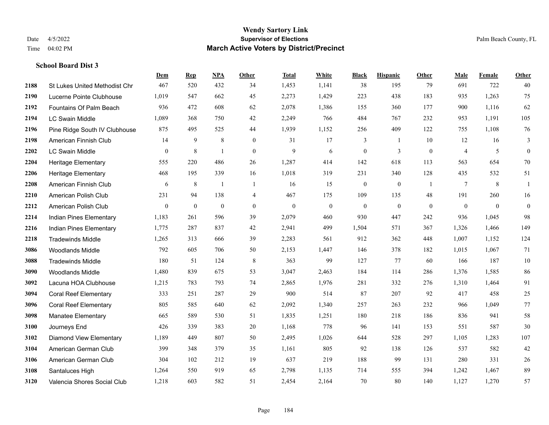|      |                                      | Dem              | <b>Rep</b>       | NPA              | <b>Other</b>   | <b>Total</b> | White            | <b>Black</b>     | <b>Hispanic</b> | <b>Other</b>   | <b>Male</b>    | <b>Female</b> | <b>Other</b>     |
|------|--------------------------------------|------------------|------------------|------------------|----------------|--------------|------------------|------------------|-----------------|----------------|----------------|---------------|------------------|
| 2188 | <b>St Lukes United Methodist Chr</b> | 467              | 520              | 432              | 34             | 1,453        | 1,141            | 38               | 195             | 79             | 691            | 722           | 40               |
| 2190 | Lucerne Pointe Clubhouse             | 1,019            | 547              | 662              | 45             | 2,273        | 1,429            | 223              | 438             | 183            | 935            | 1,263         | 75               |
| 2192 | Fountains Of Palm Beach              | 936              | 472              | 608              | 62             | 2,078        | 1,386            | 155              | 360             | 177            | 900            | 1,116         | 62               |
| 2194 | <b>LC Swain Middle</b>               | 1,089            | 368              | 750              | 42             | 2,249        | 766              | 484              | 767             | 232            | 953            | 1,191         | 105              |
| 2196 | Pine Ridge South IV Clubhouse        | 875              | 495              | 525              | 44             | 1,939        | 1,152            | 256              | 409             | 122            | 755            | 1,108         | 76               |
| 2198 | American Finnish Club                | 14               | 9                | $\,$ 8 $\,$      | $\overline{0}$ | 31           | 17               | 3                | -1              | 10             | 12             | 16            | 3                |
| 2202 | LC Swain Middle                      | $\overline{0}$   | 8                | 1                | $\mathbf{0}$   | 9            | 6                | $\boldsymbol{0}$ | 3               | $\mathbf{0}$   | $\overline{4}$ | 5             | $\boldsymbol{0}$ |
| 2204 | <b>Heritage Elementary</b>           | 555              | 220              | 486              | 26             | 1,287        | 414              | 142              | 618             | 113            | 563            | 654           | 70               |
| 2206 | <b>Heritage Elementary</b>           | 468              | 195              | 339              | 16             | 1,018        | 319              | 231              | 340             | 128            | 435            | 532           | 51               |
| 2208 | American Finnish Club                | 6                | $\,8\,$          | $\overline{1}$   | -1             | 16           | 15               | $\boldsymbol{0}$ | $\mathbf{0}$    | $\overline{1}$ | $\tau$         | 8             | 1                |
| 2210 | American Polish Club                 | 231              | 94               | 138              | $\overline{4}$ | 467          | 175              | 109              | 135             | 48             | 191            | 260           | 16               |
| 2212 | American Polish Club                 | $\boldsymbol{0}$ | $\boldsymbol{0}$ | $\boldsymbol{0}$ | $\overline{0}$ | $\mathbf{0}$ | $\boldsymbol{0}$ | $\boldsymbol{0}$ | $\mathbf{0}$    | $\mathbf{0}$   | $\overline{0}$ | $\mathbf{0}$  | $\mathbf{0}$     |
| 2214 | Indian Pines Elementary              | 1,183            | 261              | 596              | 39             | 2,079        | 460              | 930              | 447             | 242            | 936            | 1,045         | 98               |
| 2216 | Indian Pines Elementary              | 1,775            | 287              | 837              | 42             | 2,941        | 499              | 1,504            | 571             | 367            | 1,326          | 1,466         | 149              |
| 2218 | <b>Tradewinds Middle</b>             | 1,265            | 313              | 666              | 39             | 2,283        | 561              | 912              | 362             | 448            | 1,007          | 1,152         | 124              |
| 3086 | <b>Woodlands Middle</b>              | 792              | 605              | 706              | 50             | 2,153        | 1,447            | 146              | 378             | 182            | 1,015          | 1,067         | 71               |
| 3088 | <b>Tradewinds Middle</b>             | 180              | 51               | 124              | $\,8\,$        | 363          | 99               | 127              | 77              | 60             | 166            | 187           | $10\,$           |
| 3090 | <b>Woodlands Middle</b>              | 1,480            | 839              | 675              | 53             | 3,047        | 2,463            | 184              | 114             | 286            | 1,376          | 1,585         | 86               |
| 3092 | Lacuna HOA Clubhouse                 | 1,215            | 783              | 793              | 74             | 2,865        | 1,976            | 281              | 332             | 276            | 1,310          | 1,464         | 91               |
| 3094 | <b>Coral Reef Elementary</b>         | 333              | 251              | 287              | 29             | 900          | 514              | 87               | 207             | 92             | 417            | 458           | 25               |
| 3096 | <b>Coral Reef Elementary</b>         | 805              | 585              | 640              | 62             | 2,092        | 1,340            | 257              | 263             | 232            | 966            | 1,049         | 77               |
| 3098 | Manatee Elementary                   | 665              | 589              | 530              | 51             | 1,835        | 1,251            | 180              | 218             | 186            | 836            | 941           | 58               |
| 3100 | Journeys End                         | 426              | 339              | 383              | 20             | 1,168        | 778              | 96               | 141             | 153            | 551            | 587           | 30               |
| 3102 | <b>Diamond View Elementary</b>       | 1,189            | 449              | 807              | 50             | 2,495        | 1,026            | 644              | 528             | 297            | 1,105          | 1,283         | 107              |
| 3104 | American German Club                 | 399              | 348              | 379              | 35             | 1,161        | 805              | 92               | 138             | 126            | 537            | 582           | 42               |
| 3106 | American German Club                 | 304              | 102              | 212              | 19             | 637          | 219              | 188              | 99              | 131            | 280            | 331           | $26\,$           |
| 3108 | Santaluces High                      | 1,264            | 550              | 919              | 65             | 2,798        | 1,135            | 714              | 555             | 394            | 1,242          | 1,467         | 89               |
| 3120 | Valencia Shores Social Club          | 1,218            | 603              | 582              | 51             | 2,454        | 2,164            | 70               | 80              | 140            | 1,127          | 1,270         | 57               |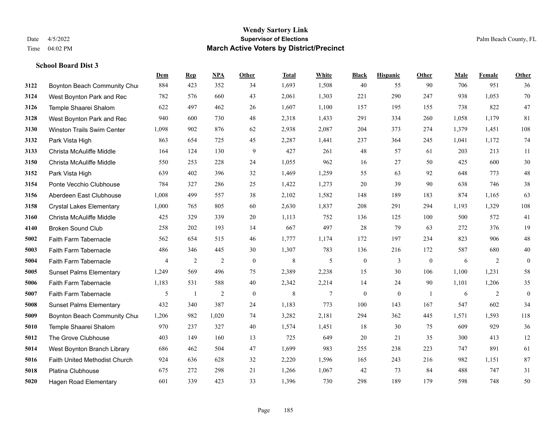|      |                                   | Dem            | <b>Rep</b>     | NPA            | <b>Other</b>     | <b>Total</b> | White          | <b>Black</b>     | <b>Hispanic</b>  | <b>Other</b> | <b>Male</b> | Female | <b>Other</b>     |
|------|-----------------------------------|----------------|----------------|----------------|------------------|--------------|----------------|------------------|------------------|--------------|-------------|--------|------------------|
| 3122 | Boynton Beach Community Chur      | 884            | 423            | 352            | 34               | 1,693        | 1,508          | 40               | 55               | 90           | 706         | 951    | 36               |
| 3124 | West Boynton Park and Rec         | 782            | 576            | 660            | 43               | 2,061        | 1,303          | 221              | 290              | 247          | 938         | 1.053  | 70               |
| 3126 | Temple Shaarei Shalom             | 622            | 497            | 462            | 26               | 1,607        | 1,100          | 157              | 195              | 155          | 738         | 822    | 47               |
| 3128 | West Boynton Park and Rec         | 940            | 600            | 730            | 48               | 2,318        | 1,433          | 291              | 334              | 260          | 1,058       | 1,179  | 81               |
| 3130 | <b>Winston Trails Swim Center</b> | 1,098          | 902            | 876            | 62               | 2,938        | 2,087          | 204              | 373              | 274          | 1.379       | 1,451  | 108              |
| 3132 | Park Vista High                   | 863            | 654            | 725            | 45               | 2,287        | 1,441          | 237              | 364              | 245          | 1,041       | 1,172  | 74               |
| 3133 | Christa McAuliffe Middle          | 164            | 124            | 130            | 9                | 427          | 261            | 48               | 57               | 61           | 203         | 213    | 11               |
| 3150 | Christa McAuliffe Middle          | 550            | 253            | 228            | 24               | 1,055        | 962            | 16               | 27               | 50           | 425         | 600    | 30               |
| 3152 | Park Vista High                   | 639            | 402            | 396            | 32               | 1,469        | 1,259          | 55               | 63               | 92           | 648         | 773    | $48\,$           |
| 3154 | Ponte Vecchio Clubhouse           | 784            | 327            | 286            | 25               | 1,422        | 1,273          | 20               | 39               | 90           | 638         | 746    | 38               |
| 3156 | Aberdeen East Clubhouse           | 1,008          | 499            | 557            | 38               | 2,102        | 1,582          | 148              | 189              | 183          | 874         | 1,165  | 63               |
| 3158 | <b>Crystal Lakes Elementary</b>   | 1,000          | 765            | 805            | 60               | 2,630        | 1,837          | 208              | 291              | 294          | 1,193       | 1,329  | 108              |
| 3160 | Christa McAuliffe Middle          | 425            | 329            | 339            | 20               | 1,113        | 752            | 136              | 125              | 100          | 500         | 572    | 41               |
| 4140 | <b>Broken Sound Club</b>          | 258            | 202            | 193            | 14               | 667          | 497            | 28               | 79               | 63           | 272         | 376    | 19               |
| 5002 | Faith Farm Tabernacle             | 562            | 654            | 515            | 46               | 1,777        | 1,174          | 172              | 197              | 234          | 823         | 906    | $48\,$           |
| 5003 | Faith Farm Tabernacle             | 486            | 346            | 445            | 30               | 1,307        | 783            | 136              | 216              | 172          | 587         | 680    | 40               |
| 5004 | Faith Farm Tabernacle             | $\overline{4}$ | $\overline{2}$ | $\overline{2}$ | $\boldsymbol{0}$ | $\,8\,$      | 5              | $\boldsymbol{0}$ | 3                | $\mathbf{0}$ | 6           | 2      | $\boldsymbol{0}$ |
| 5005 | <b>Sunset Palms Elementary</b>    | 1,249          | 569            | 496            | 75               | 2,389        | 2,238          | 15               | 30               | 106          | 1,100       | 1,231  | 58               |
| 5006 | Faith Farm Tabernacle             | 1,183          | 531            | 588            | 40               | 2,342        | 2,214          | 14               | 24               | 90           | 1,101       | 1,206  | 35               |
| 5007 | Faith Farm Tabernacle             | 5              | $\mathbf{1}$   | $\overline{2}$ | $\mathbf{0}$     | $\,8\,$      | $\overline{7}$ | $\boldsymbol{0}$ | $\boldsymbol{0}$ | -1           | 6           | 2      | $\boldsymbol{0}$ |
| 5008 | <b>Sunset Palms Elementary</b>    | 432            | 340            | 387            | 24               | 1,183        | 773            | 100              | 143              | 167          | 547         | 602    | 34               |
| 5009 | Boynton Beach Community Chur      | 1,206          | 982            | 1,020          | 74               | 3,282        | 2,181          | 294              | 362              | 445          | 1,571       | 1,593  | 118              |
| 5010 | Temple Shaarei Shalom             | 970            | 237            | 327            | 40               | 1,574        | 1,451          | 18               | 30               | 75           | 609         | 929    | 36               |
| 5012 | The Grove Clubhouse               | 403            | 149            | 160            | 13               | 725          | 649            | 20               | 21               | 35           | 300         | 413    | 12               |
| 5014 | West Boynton Branch Library       | 686            | 462            | 504            | 47               | 1,699        | 983            | 255              | 238              | 223          | 747         | 891    | 61               |
| 5016 | Faith United Methodist Church     | 924            | 636            | 628            | 32               | 2,220        | 1,596          | 165              | 243              | 216          | 982         | 1,151  | 87               |
| 5018 | <b>Platina Clubhouse</b>          | 675            | 272            | 298            | 21               | 1,266        | 1,067          | 42               | 73               | 84           | 488         | 747    | 31               |
| 5020 | <b>Hagen Road Elementary</b>      | 601            | 339            | 423            | 33               | 1,396        | 730            | 298              | 189              | 179          | 598         | 748    | 50               |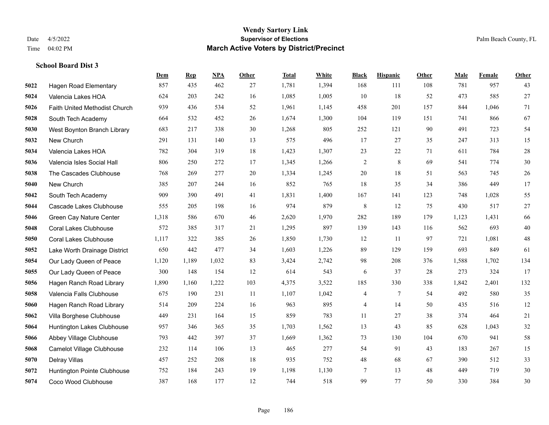|      |                               | Dem   | <b>Rep</b> | NPA   | <b>Other</b> | <b>Total</b> | White | <b>Black</b>   | <b>Hispanic</b> | Other | <b>Male</b> | Female | <b>Other</b> |
|------|-------------------------------|-------|------------|-------|--------------|--------------|-------|----------------|-----------------|-------|-------------|--------|--------------|
| 5022 | <b>Hagen Road Elementary</b>  | 857   | 435        | 462   | 27           | 1,781        | 1,394 | 168            | 111             | 108   | 781         | 957    | 43           |
| 5024 | Valencia Lakes HOA            | 624   | 203        | 242   | 16           | 1,085        | 1,005 | 10             | 18              | 52    | 473         | 585    | 27           |
| 5026 | Faith United Methodist Church | 939   | 436        | 534   | 52           | 1,961        | 1,145 | 458            | 201             | 157   | 844         | 1,046  | 71           |
| 5028 | South Tech Academy            | 664   | 532        | 452   | 26           | 1,674        | 1,300 | 104            | 119             | 151   | 741         | 866    | 67           |
| 5030 | West Boynton Branch Library   | 683   | 217        | 338   | 30           | 1,268        | 805   | 252            | 121             | 90    | 491         | 723    | 54           |
| 5032 | New Church                    | 291   | 131        | 140   | 13           | 575          | 496   | 17             | 27              | 35    | 247         | 313    | 15           |
| 5034 | Valencia Lakes HOA            | 782   | 304        | 319   | 18           | 1,423        | 1,307 | 23             | 22              | 71    | 611         | 784    | 28           |
| 5036 | Valencia Isles Social Hall    | 806   | 250        | 272   | 17           | 1,345        | 1,266 | $\overline{c}$ | 8               | 69    | 541         | 774    | 30           |
| 5038 | The Cascades Clubhouse        | 768   | 269        | 277   | 20           | 1,334        | 1,245 | 20             | 18              | 51    | 563         | 745    | 26           |
| 5040 | New Church                    | 385   | 207        | 244   | 16           | 852          | 765   | 18             | 35              | 34    | 386         | 449    | 17           |
| 5042 | South Tech Academy            | 909   | 390        | 491   | 41           | 1,831        | 1,400 | 167            | 141             | 123   | 748         | 1,028  | 55           |
| 5044 | Cascade Lakes Clubhouse       | 555   | 205        | 198   | 16           | 974          | 879   | 8              | 12              | 75    | 430         | 517    | 27           |
| 5046 | Green Cay Nature Center       | 1,318 | 586        | 670   | 46           | 2,620        | 1,970 | 282            | 189             | 179   | 1,123       | 1,431  | 66           |
| 5048 | <b>Coral Lakes Clubhouse</b>  | 572   | 385        | 317   | 21           | 1,295        | 897   | 139            | 143             | 116   | 562         | 693    | $40\,$       |
| 5050 | <b>Coral Lakes Clubhouse</b>  | 1,117 | 322        | 385   | 26           | 1,850        | 1,730 | 12             | 11              | 97    | 721         | 1,081  | $48\,$       |
| 5052 | Lake Worth Drainage District  | 650   | 442        | 477   | 34           | 1,603        | 1,226 | 89             | 129             | 159   | 693         | 849    | 61           |
| 5054 | Our Lady Queen of Peace       | 1,120 | 1,189      | 1,032 | 83           | 3,424        | 2,742 | 98             | 208             | 376   | 1,588       | 1,702  | 134          |
| 5055 | Our Lady Queen of Peace       | 300   | 148        | 154   | 12           | 614          | 543   | 6              | 37              | 28    | 273         | 324    | 17           |
| 5056 | Hagen Ranch Road Library      | 1,890 | 1,160      | 1,222 | 103          | 4,375        | 3,522 | 185            | 330             | 338   | 1,842       | 2,401  | 132          |
| 5058 | Valencia Falls Clubhouse      | 675   | 190        | 231   | 11           | 1,107        | 1,042 | 4              | 7               | 54    | 492         | 580    | 35           |
| 5060 | Hagen Ranch Road Library      | 514   | 209        | 224   | 16           | 963          | 895   | 4              | 14              | 50    | 435         | 516    | 12           |
| 5062 | Villa Borghese Clubhouse      | 449   | 231        | 164   | 15           | 859          | 783   | 11             | 27              | 38    | 374         | 464    | 21           |
| 5064 | Huntington Lakes Clubhouse    | 957   | 346        | 365   | 35           | 1,703        | 1,562 | 13             | 43              | 85    | 628         | 1,043  | 32           |
| 5066 | Abbey Village Clubhouse       | 793   | 442        | 397   | 37           | 1,669        | 1,362 | 73             | 130             | 104   | 670         | 941    | 58           |
| 5068 | Camelot Village Clubhouse     | 232   | 114        | 106   | 13           | 465          | 277   | 54             | 91              | 43    | 183         | 267    | 15           |
| 5070 | Delray Villas                 | 457   | 252        | 208   | 18           | 935          | 752   | 48             | 68              | 67    | 390         | 512    | 33           |
| 5072 | Huntington Pointe Clubhouse   | 752   | 184        | 243   | 19           | 1,198        | 1,130 | 7              | 13              | 48    | 449         | 719    | 30           |
| 5074 | Coco Wood Clubhouse           | 387   | 168        | 177   | 12           | 744          | 518   | 99             | 77              | 50    | 330         | 384    | 30           |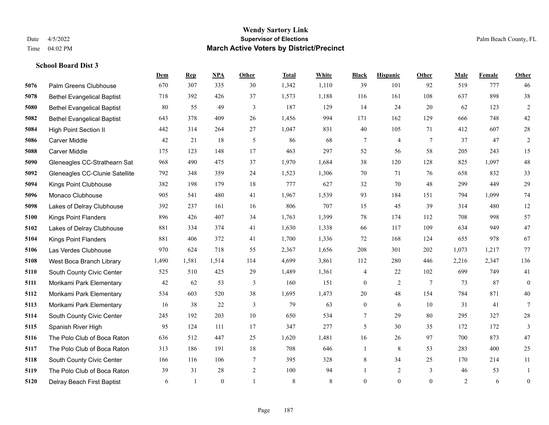**School Board Dist 3**

#### **Wendy Sartory Link** Date 4/5/2022 **Supervisor of Elections** Palm Beach County, FL Time 04:02 PM **March Active Voters by District/Precinct**

Palm Greens Clubhouse 670 307 335 30 1,342 1,110 39 101 92 519 777 46

**Dem Rep NPA Other Total White Black Hispanic Other Male Female Other**

# Bethel Evangelical Baptist 718 392 426 37 1,573 1,188 116 161 108 637 898 38 Bethel Evangelical Baptist 80 55 49 3 187 129 14 24 20 62 123 2 Bethel Evangelical Baptist 643 378 409 26 1,456 994 171 162 129 666 748 42 High Point Section II 442 314 264 27 1,047 831 40 105 71 412 607 28 Carver Middle 42 21 18 5 86 68 7 4 7 37 47 2 Carver Middle 175 123 148 17 463 297 52 56 58 205 243 15 Gleneagles CC-Strathearn Sat 968 490 475 37 1,970 1,684 38 120 128 825 1,097 48 Gleneagles CC-Clunie Satellite 792 348 359 24 1,523 1,306 70 71 76 658 832 33 Kings Point Clubhouse 382 198 179 18 777 627 32 70 48 299 449 29 Monaco Clubhouse 905 541 480 41 1,967 1,539 93 184 151 794 1,099 74 Lakes of Delray Clubhouse 392 237 161 16 806 707 15 45 39 314 480 12 Kings Point Flanders 896 426 407 34 1,763 1,399 78 174 112 708 998 57 Lakes of Delray Clubhouse 881 334 374 41 1,630 1,338 66 117 109 634 949 47 Kings Point Flanders 881 406 372 41 1,700 1,336 72 168 124 655 978 67 Las Verdes Clubhouse 970 624 718 55 2,367 1,656 208 301 202 1,073 1,217 77 West Boca Branch Library 1,490 1,581 1,514 114 4,699 3,861 112 280 446 2,216 2,347 136 South County Civic Center 525 510 425 29 1,489 1,361 4 22 102 699 749 41 Morikami Park Elementary 42 62 53 3 160 151 0 2 7 73 87 0 Morikami Park Elementary 534 603 520 38 1,695 1,473 20 48 154 784 871 40 Morikami Park Elementary 16 38 22 3 79 63 0 6 10 31 41 7 South County Civic Center 245 192 203 10 650 534 7 29 80 295 327 28 Spanish River High 95 124 111 17 347 277 5 30 35 172 172 3 The Polo Club of Boca Raton 636 512 447 25 1,620 1,481 16 26 97 700 873 47

 The Polo Club of Boca Raton 313 186 191 18 708 646 1 8 53 283 400 25 South County Civic Center 166 116 106 7 395 328 8 34 25 170 214 11 The Polo Club of Boca Raton 39 31 28 2 100 94 1 2 3 46 53 1 Delray Beach First Baptist 6 1 0 1 8 8 0 0 0 2 6 0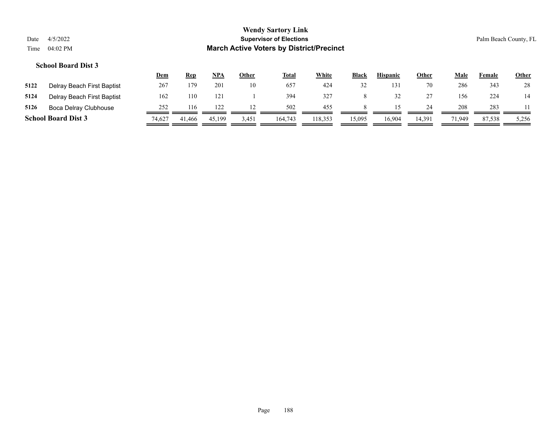|      |                            | <u>Dem</u> | Rep    | NPA    | <b>Other</b> | <b>Total</b> | <u>White</u> | <b>Black</b> | <b>Hispanic</b> | <b>Other</b> | Male   | Female | <b>Other</b> |
|------|----------------------------|------------|--------|--------|--------------|--------------|--------------|--------------|-----------------|--------------|--------|--------|--------------|
| 5122 | Delray Beach First Baptist | 267        | 179    | 201    | 10           | 657          | 424          | 32           | 131             | 70           | 286    | 343    | 28           |
| 5124 | Delray Beach First Baptist | 162        | 110    | 121    |              | 394          | 327          | 8            |                 | 27           | 156    | 224    | 14           |
| 5126 | Boca Delray Clubhouse      | 252        | 116    |        |              | 502          | 455          |              |                 | 24           | 208    | 283    |              |
|      | <b>School Board Dist 3</b> | 74.627     | 41,466 | 45,199 | 3,451        | 164,743      | 118,353      | 5.095        | 16,904          | 14,391       | 71.949 | 87.538 | 5,256        |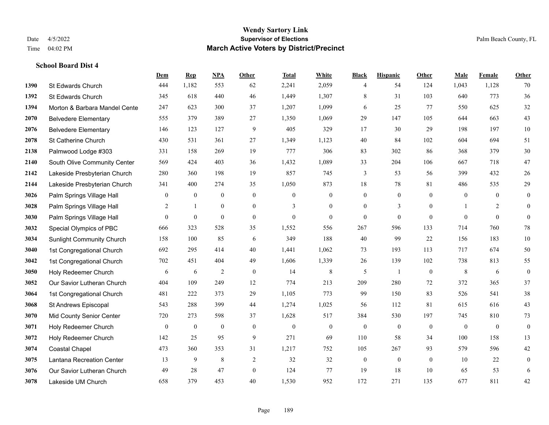|      |                                  | Dem            | <b>Rep</b>   | NPA            | <b>Other</b>   | <b>Total</b> | White          | <b>Black</b>     | <b>Hispanic</b>  | Other          | <b>Male</b>  | Female         | <b>Other</b>     |
|------|----------------------------------|----------------|--------------|----------------|----------------|--------------|----------------|------------------|------------------|----------------|--------------|----------------|------------------|
| 1390 | St Edwards Church                | 444            | 1,182        | 553            | 62             | 2,241        | 2,059          | 4                | 54               | 124            | 1,043        | 1,128          | 70               |
| 1392 | St Edwards Church                | 345            | 618          | 440            | 46             | 1,449        | 1,307          | $\,8\,$          | 31               | 103            | 640          | 773            | 36               |
| 1394 | Morton & Barbara Mandel Cente    | 247            | 623          | 300            | 37             | 1,207        | 1,099          | 6                | 25               | 77             | 550          | 625            | $32\,$           |
| 2070 | <b>Belvedere Elementary</b>      | 555            | 379          | 389            | 27             | 1,350        | 1,069          | 29               | 147              | 105            | 644          | 663            | 43               |
| 2076 | <b>Belvedere Elementary</b>      | 146            | 123          | 127            | 9              | 405          | 329            | 17               | 30               | 29             | 198          | 197            | $10\,$           |
| 2078 | St Catherine Church              | 430            | 531          | 361            | 27             | 1,349        | 1,123          | 40               | 84               | 102            | 604          | 694            | 51               |
| 2138 | Palmwood Lodge #303              | 331            | 158          | 269            | 19             | 777          | 306            | 83               | 302              | 86             | 368          | 379            | $30\,$           |
| 2140 | South Olive Community Center     | 569            | 424          | 403            | 36             | 1,432        | 1,089          | 33               | 204              | 106            | 667          | 718            | $47\,$           |
| 2142 | Lakeside Presbyterian Church     | 280            | 360          | 198            | 19             | 857          | 745            | 3                | 53               | 56             | 399          | 432            | $26\,$           |
| 2144 | Lakeside Presbyterian Church     | 341            | 400          | 274            | 35             | 1,050        | 873            | 18               | 78               | 81             | 486          | 535            | 29               |
| 3026 | Palm Springs Village Hall        | $\overline{0}$ | $\mathbf{0}$ | $\mathbf{0}$   | $\mathbf{0}$   | $\mathbf{0}$ | $\mathbf{0}$   | $\boldsymbol{0}$ | $\mathbf{0}$     | $\theta$       | $\mathbf{0}$ | $\overline{0}$ | $\mathbf{0}$     |
| 3028 | Palm Springs Village Hall        | 2              | $\mathbf{1}$ | $\overline{0}$ | $\overline{0}$ | 3            | $\mathbf{0}$   | $\boldsymbol{0}$ | 3                | $\overline{0}$ |              | 2              | $\boldsymbol{0}$ |
| 3030 | Palm Springs Village Hall        | $\overline{0}$ | $\mathbf{0}$ | $\mathbf{0}$   | $\Omega$       | $\theta$     | $\overline{0}$ | $\mathbf{0}$     | $\mathbf{0}$     | $\theta$       | $\Omega$     | $\theta$       | $\mathbf{0}$     |
| 3032 | Special Olympics of PBC          | 666            | 323          | 528            | 35             | 1,552        | 556            | 267              | 596              | 133            | 714          | 760            | $78\,$           |
| 3034 | <b>Sunlight Community Church</b> | 158            | 100          | 85             | 6              | 349          | 188            | 40               | 99               | 22             | 156          | 183            | $10\,$           |
| 3040 | 1st Congregational Church        | 692            | 295          | 414            | 40             | 1,441        | 1,062          | 73               | 193              | 113            | 717          | 674            | 50               |
| 3042 | 1st Congregational Church        | 702            | 451          | 404            | 49             | 1,606        | 1,339          | 26               | 139              | 102            | 738          | 813            | 55               |
| 3050 | Holy Redeemer Church             | 6              | 6            | $\overline{2}$ | $\mathbf{0}$   | 14           | $\,$ 8 $\,$    | 5                | $\mathbf{1}$     | $\theta$       | 8            | 6              | $\boldsymbol{0}$ |
| 3052 | Our Savior Lutheran Church       | 404            | 109          | 249            | 12             | 774          | 213            | 209              | 280              | 72             | 372          | 365            | 37               |
| 3064 | 1st Congregational Church        | 481            | 222          | 373            | 29             | 1,105        | 773            | 99               | 150              | 83             | 526          | 541            | $38\,$           |
| 3068 | St Andrews Episcopal             | 543            | 288          | 399            | 44             | 1,274        | 1,025          | 56               | 112              | 81             | 615          | 616            | 43               |
| 3070 | Mid County Senior Center         | 720            | 273          | 598            | 37             | 1,628        | 517            | 384              | 530              | 197            | 745          | 810            | 73               |
| 3071 | Holy Redeemer Church             | $\mathbf{0}$   | $\bf{0}$     | $\mathbf{0}$   | $\mathbf{0}$   | $\mathbf{0}$ | $\mathbf{0}$   | $\boldsymbol{0}$ | $\mathbf{0}$     | $\theta$       | $\mathbf{0}$ | $\mathbf{0}$   | $\boldsymbol{0}$ |
| 3072 | Holy Redeemer Church             | 142            | 25           | 95             | 9              | 271          | 69             | 110              | 58               | 34             | 100          | 158            | 13               |
| 3074 | <b>Coastal Chapel</b>            | 473            | 360          | 353            | 31             | 1,217        | 752            | 105              | 267              | 93             | 579          | 596            | $42\,$           |
| 3075 | Lantana Recreation Center        | 13             | 9            | $\,8\,$        | $\sqrt{2}$     | 32           | 32             | $\boldsymbol{0}$ | $\boldsymbol{0}$ | $\mathbf{0}$   | 10           | 22             | $\boldsymbol{0}$ |
| 3076 | Our Savior Lutheran Church       | 49             | 28           | 47             | $\overline{0}$ | 124          | 77             | 19               | 18               | 10             | 65           | 53             | 6                |
| 3078 | Lakeside UM Church               | 658            | 379          | 453            | 40             | 1,530        | 952            | 172              | 271              | 135            | 677          | 811            | 42               |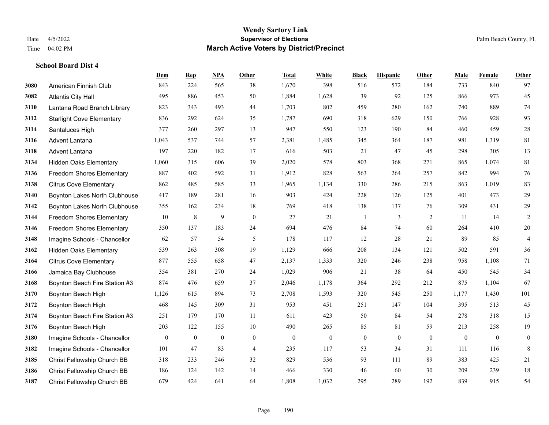|      |                                  | Dem          | <b>Rep</b>       | NPA              | <b>Other</b>   | <b>Total</b> | <b>White</b> | <b>Black</b>     | <b>Hispanic</b>  | Other        | <b>Male</b>      | Female       | <b>Other</b>     |
|------|----------------------------------|--------------|------------------|------------------|----------------|--------------|--------------|------------------|------------------|--------------|------------------|--------------|------------------|
| 3080 | American Finnish Club            | 843          | 224              | 565              | 38             | 1,670        | 398          | 516              | 572              | 184          | 733              | 840          | 97               |
| 3082 | <b>Atlantis City Hall</b>        | 495          | 886              | 453              | 50             | 1,884        | 1,628        | 39               | 92               | 125          | 866              | 973          | 45               |
| 3110 | Lantana Road Branch Library      | 823          | 343              | 493              | 44             | 1,703        | 802          | 459              | 280              | 162          | 740              | 889          | 74               |
| 3112 | <b>Starlight Cove Elementary</b> | 836          | 292              | 624              | 35             | 1,787        | 690          | 318              | 629              | 150          | 766              | 928          | 93               |
| 3114 | Santaluces High                  | 377          | 260              | 297              | 13             | 947          | 550          | 123              | 190              | 84           | 460              | 459          | $28\,$           |
| 3116 | Advent Lantana                   | 1,043        | 537              | 744              | 57             | 2,381        | 1,485        | 345              | 364              | 187          | 981              | 1,319        | 81               |
| 3118 | Advent Lantana                   | 197          | 220              | 182              | 17             | 616          | 503          | 21               | 47               | 45           | 298              | 305          | 13               |
| 3134 | <b>Hidden Oaks Elementary</b>    | 1,060        | 315              | 606              | 39             | 2,020        | 578          | 803              | 368              | 271          | 865              | 1,074        | 81               |
| 3136 | <b>Freedom Shores Elementary</b> | 887          | 402              | 592              | 31             | 1,912        | 828          | 563              | 264              | 257          | 842              | 994          | 76               |
| 3138 | <b>Citrus Cove Elementary</b>    | 862          | 485              | 585              | 33             | 1,965        | 1,134        | 330              | 286              | 215          | 863              | 1,019        | 83               |
| 3140 | Boynton Lakes North Clubhouse    | 417          | 189              | 281              | 16             | 903          | 424          | 228              | 126              | 125          | 401              | 473          | 29               |
| 3142 | Boynton Lakes North Clubhouse    | 355          | 162              | 234              | 18             | 769          | 418          | 138              | 137              | 76           | 309              | 431          | 29               |
| 3144 | <b>Freedom Shores Elementary</b> | 10           | $\,8\,$          | 9                | $\mathbf{0}$   | 27           | 21           | 1                | 3                | 2            | 11               | 14           | $\overline{c}$   |
| 3146 | <b>Freedom Shores Elementary</b> | 350          | 137              | 183              | 24             | 694          | 476          | 84               | 74               | 60           | 264              | 410          | $20\,$           |
| 3148 | Imagine Schools - Chancellor     | 62           | 57               | 54               | 5              | 178          | 117          | 12               | 28               | 21           | 89               | 85           | $\overline{4}$   |
| 3162 | <b>Hidden Oaks Elementary</b>    | 539          | 263              | 308              | 19             | 1,129        | 666          | 208              | 134              | 121          | 502              | 591          | 36               |
| 3164 | <b>Citrus Cove Elementary</b>    | 877          | 555              | 658              | 47             | 2,137        | 1,333        | 320              | 246              | 238          | 958              | 1,108        | 71               |
| 3166 | Jamaica Bay Clubhouse            | 354          | 381              | 270              | 24             | 1,029        | 906          | 21               | 38               | 64           | 450              | 545          | 34               |
| 3168 | Boynton Beach Fire Station #3    | 874          | 476              | 659              | 37             | 2,046        | 1,178        | 364              | 292              | 212          | 875              | 1,104        | 67               |
| 3170 | Boynton Beach High               | 1,126        | 615              | 894              | 73             | 2,708        | 1,593        | 320              | 545              | 250          | 1,177            | 1,430        | 101              |
| 3172 | Boynton Beach High               | 468          | 145              | 309              | 31             | 953          | 451          | 251              | 147              | 104          | 395              | 513          | 45               |
| 3174 | Boynton Beach Fire Station #3    | 251          | 179              | 170              | 11             | 611          | 423          | 50               | 84               | 54           | 278              | 318          | 15               |
| 3176 | Boynton Beach High               | 203          | 122              | 155              | 10             | 490          | 265          | 85               | 81               | 59           | 213              | 258          | 19               |
| 3180 | Imagine Schools - Chancellor     | $\mathbf{0}$ | $\boldsymbol{0}$ | $\boldsymbol{0}$ | $\mathbf{0}$   | $\mathbf{0}$ | $\mathbf{0}$ | $\boldsymbol{0}$ | $\boldsymbol{0}$ | $\mathbf{0}$ | $\boldsymbol{0}$ | $\mathbf{0}$ | $\boldsymbol{0}$ |
| 3182 | Imagine Schools - Chancellor     | 101          | 47               | 83               | $\overline{4}$ | 235          | 117          | 53               | 34               | 31           | 111              | 116          | 8                |
| 3185 | Christ Fellowship Church BB      | 318          | 233              | 246              | 32             | 829          | 536          | 93               | 111              | 89           | 383              | 425          | 21               |
| 3186 | Christ Fellowship Church BB      | 186          | 124              | 142              | 14             | 466          | 330          | 46               | 60               | 30           | 209              | 239          | 18               |
| 3187 | Christ Fellowship Church BB      | 679          | 424              | 641              | 64             | 1,808        | 1,032        | 295              | 289              | 192          | 839              | 915          | 54               |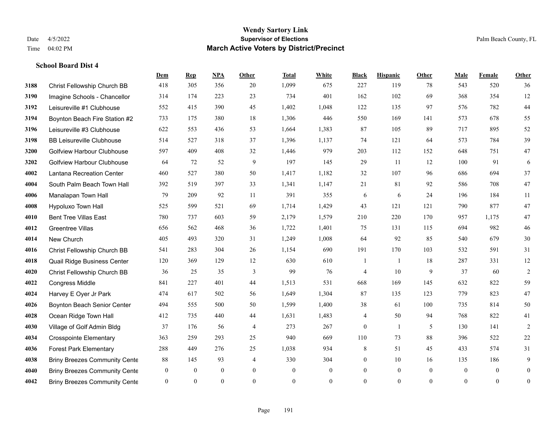|      |                                      | Dem              | <b>Rep</b>   | NPA              | <b>Other</b>   | <b>Total</b> | <b>White</b>     | <b>Black</b>     | <b>Hispanic</b> | <b>Other</b>   | <b>Male</b>    | Female         | <b>Other</b>     |
|------|--------------------------------------|------------------|--------------|------------------|----------------|--------------|------------------|------------------|-----------------|----------------|----------------|----------------|------------------|
| 3188 | Christ Fellowship Church BB          | 418              | 305          | 356              | 20             | 1,099        | 675              | 227              | 119             | 78             | 543            | 520            | 36               |
| 3190 | Imagine Schools - Chancellor         | 314              | 174          | 223              | 23             | 734          | 401              | 162              | 102             | 69             | 368            | 354            | 12               |
| 3192 | Leisureville #1 Clubhouse            | 552              | 415          | 390              | 45             | 1,402        | 1,048            | 122              | 135             | 97             | 576            | 782            | 44               |
| 3194 | Boynton Beach Fire Station #2        | 733              | 175          | 380              | 18             | 1,306        | 446              | 550              | 169             | 141            | 573            | 678            | 55               |
| 3196 | Leisureville #3 Clubhouse            | 622              | 553          | 436              | 53             | 1,664        | 1,383            | 87               | 105             | 89             | 717            | 895            | 52               |
| 3198 | <b>BB Leisureville Clubhouse</b>     | 514              | 527          | 318              | 37             | 1,396        | 1,137            | 74               | 121             | 64             | 573            | 784            | 39               |
| 3200 | <b>Golfview Harbour Clubhouse</b>    | 597              | 409          | 408              | 32             | 1,446        | 979              | 203              | 112             | 152            | 648            | 751            | 47               |
| 3202 | <b>Golfview Harbour Clubhouse</b>    | 64               | 72           | 52               | 9              | 197          | 145              | 29               | 11              | 12             | 100            | 91             | 6                |
| 4002 | Lantana Recreation Center            | 460              | 527          | 380              | 50             | 1,417        | 1,182            | 32               | 107             | 96             | 686            | 694            | 37               |
| 4004 | South Palm Beach Town Hall           | 392              | 519          | 397              | 33             | 1,341        | 1,147            | 21               | 81              | 92             | 586            | 708            | $47\,$           |
| 4006 | Manalapan Town Hall                  | 79               | 209          | 92               | 11             | 391          | 355              | 6                | 6               | 24             | 196            | 184            | 11               |
| 4008 | Hypoluxo Town Hall                   | 525              | 599          | 521              | 69             | 1,714        | 1,429            | 43               | 121             | 121            | 790            | 877            | 47               |
| 4010 | <b>Bent Tree Villas East</b>         | 780              | 737          | 603              | 59             | 2,179        | 1,579            | 210              | 220             | 170            | 957            | 1,175          | 47               |
| 4012 | <b>Greentree Villas</b>              | 656              | 562          | 468              | 36             | 1,722        | 1,401            | 75               | 131             | 115            | 694            | 982            | $46\,$           |
| 4014 | New Church                           | 405              | 493          | 320              | 31             | 1,249        | 1,008            | 64               | 92              | 85             | 540            | 679            | $30\,$           |
| 4016 | Christ Fellowship Church BB          | 541              | 283          | 304              | 26             | 1,154        | 690              | 191              | 170             | 103            | 532            | 591            | 31               |
| 4018 | Quail Ridge Business Center          | 120              | 369          | 129              | 12             | 630          | 610              | 1                | 1               | 18             | 287            | 331            | 12               |
| 4020 | Christ Fellowship Church BB          | 36               | 25           | 35               | 3              | 99           | 76               | 4                | 10              | 9              | 37             | 60             | $\sqrt{2}$       |
| 4022 | <b>Congress Middle</b>               | 841              | 227          | 401              | 44             | 1,513        | 531              | 668              | 169             | 145            | 632            | 822            | 59               |
| 4024 | Harvey E Oyer Jr Park                | 474              | 617          | 502              | 56             | 1,649        | 1,304            | 87               | 135             | 123            | 779            | 823            | $47\,$           |
| 4026 | <b>Boynton Beach Senior Center</b>   | 494              | 555          | 500              | 50             | 1,599        | 1,400            | 38               | 61              | 100            | 735            | 814            | 50               |
| 4028 | Ocean Ridge Town Hall                | 412              | 735          | 440              | 44             | 1,631        | 1,483            | 4                | 50              | 94             | 768            | 822            | 41               |
| 4030 | Village of Golf Admin Bldg           | 37               | 176          | 56               | $\overline{4}$ | 273          | 267              | $\mathbf{0}$     | $\mathbf{1}$    | 5              | 130            | 141            | $\overline{2}$   |
| 4034 | <b>Crosspointe Elementary</b>        | 363              | 259          | 293              | 25             | 940          | 669              | 110              | 73              | 88             | 396            | 522            | $22\,$           |
| 4036 | <b>Forest Park Elementary</b>        | 288              | 449          | 276              | 25             | 1,038        | 934              | 8                | 51              | 45             | 433            | 574            | 31               |
| 4038 | <b>Briny Breezes Community Cente</b> | 88               | 145          | 93               | 4              | 330          | 304              | $\boldsymbol{0}$ | 10              | 16             | 135            | 186            | 9                |
| 4040 | <b>Briny Breezes Community Cente</b> | $\boldsymbol{0}$ | $\mathbf{0}$ | $\boldsymbol{0}$ | $\overline{0}$ | $\mathbf{0}$ | $\boldsymbol{0}$ | $\boldsymbol{0}$ | $\mathbf{0}$    | $\overline{0}$ | $\overline{0}$ | $\overline{0}$ | $\boldsymbol{0}$ |
| 4042 | <b>Briny Breezes Community Cente</b> | $\overline{0}$   | $\theta$     | $\mathbf{0}$     | $\Omega$       | $\mathbf{0}$ | $\overline{0}$   | $\mathbf{0}$     | $\theta$        | $\theta$       | $\theta$       | $\mathbf{0}$   | $\boldsymbol{0}$ |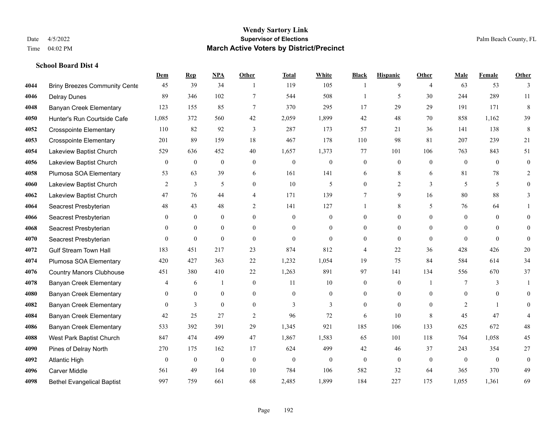|      |                                      | Dem            | <b>Rep</b>       | <u>NPA</u>       | Other            | Total    | <b>White</b>     | <b>Black</b>     | <b>Hispanic</b>  | <b>Other</b>   | <b>Male</b>    | <b>Female</b>  | <b>Other</b>     |
|------|--------------------------------------|----------------|------------------|------------------|------------------|----------|------------------|------------------|------------------|----------------|----------------|----------------|------------------|
| 4044 | <b>Briny Breezes Community Cente</b> | 45             | 39               | 34               | $\mathbf{1}$     | 119      | 105              | -1               | 9                | $\overline{4}$ | 63             | 53             | 3                |
| 4046 | <b>Delray Dunes</b>                  | 89             | 346              | 102              | $\overline{7}$   | 544      | 508              | $\mathbf{1}$     | 5                | 30             | 244            | 289            | 11               |
| 4048 | Banyan Creek Elementary              | 123            | 155              | 85               | $\tau$           | 370      | 295              | 17               | 29               | 29             | 191            | 171            | 8                |
| 4050 | Hunter's Run Courtside Cafe          | 1,085          | 372              | 560              | 42               | 2,059    | 1,899            | 42               | 48               | 70             | 858            | 1,162          | 39               |
| 4052 | <b>Crosspointe Elementary</b>        | 110            | 82               | 92               | 3                | 287      | 173              | 57               | 21               | 36             | 141            | 138            | 8                |
| 4053 | <b>Crosspointe Elementary</b>        | 201            | 89               | 159              | 18               | 467      | 178              | 110              | 98               | 81             | 207            | 239            | 21               |
| 4054 | Lakeview Baptist Church              | 529            | 636              | 452              | 40               | 1,657    | 1,373            | 77               | 101              | 106            | 763            | 843            | 51               |
| 4056 | Lakeview Baptist Church              | $\overline{0}$ | $\mathbf{0}$     | $\mathbf{0}$     | $\Omega$         | $\theta$ | $\overline{0}$   | $\mathbf{0}$     | $\mathbf{0}$     | $\theta$       | $\theta$       | $\theta$       | $\mathbf{0}$     |
| 4058 | Plumosa SOA Elementary               | 53             | 63               | 39               | 6                | 161      | 141              | 6                | 8                | 6              | 81             | 78             | $\overline{2}$   |
| 4060 | Lakeview Baptist Church              | 2              | 3                | 5                | $\overline{0}$   | 10       | 5                | $\overline{0}$   | $\overline{2}$   | 3              | 5              | 5              | $\overline{0}$   |
| 4062 | Lakeview Baptist Church              | 47             | 76               | 44               | 4                | 171      | 139              | $7\phantom{.0}$  | 9                | 16             | 80             | 88             | 3                |
| 4064 | Seacrest Presbyterian                | 48             | 43               | 48               | 2                | 141      | 127              | 1                | 8                | 5              | 76             | 64             |                  |
| 4066 | Seacrest Presbyterian                | $\theta$       | $\mathbf{0}$     | $\mathbf{0}$     | $\theta$         | $\theta$ | $\overline{0}$   | $\Omega$         | $\theta$         | $\Omega$       | $\theta$       | $\theta$       | $\Omega$         |
| 4068 | Seacrest Presbyterian                | $\overline{0}$ | $\overline{0}$   | $\boldsymbol{0}$ | $\boldsymbol{0}$ | $\theta$ | $\boldsymbol{0}$ | $\boldsymbol{0}$ | $\boldsymbol{0}$ | $\mathbf{0}$   | $\mathbf{0}$   | $\mathbf{0}$   | $\Omega$         |
| 4070 | Seacrest Presbyterian                | $\overline{0}$ | $\mathbf{0}$     | $\mathbf{0}$     | $\theta$         | $\theta$ | $\overline{0}$   | $\mathbf{0}$     | $\overline{0}$   | $\theta$       | $\theta$       | $\theta$       | $\theta$         |
| 4072 | <b>Gulf Stream Town Hall</b>         | 183            | 451              | 217              | 23               | 874      | 812              | 4                | 22               | 36             | 428            | 426            | 20               |
| 4074 | Plumosa SOA Elementary               | 420            | 427              | 363              | 22               | 1,232    | 1,054            | 19               | 75               | 84             | 584            | 614            | 34               |
| 4076 | <b>Country Manors Clubhouse</b>      | 451            | 380              | 410              | 22               | 1,263    | 891              | 97               | 141              | 134            | 556            | 670            | 37               |
| 4078 | <b>Banyan Creek Elementary</b>       | 4              | 6                | -1               | $\boldsymbol{0}$ | 11       | $10\,$           | $\boldsymbol{0}$ | $\boldsymbol{0}$ |                | 7              | 3              | 1                |
| 4080 | Banyan Creek Elementary              | 0              | $\mathbf{0}$     | $\boldsymbol{0}$ | $\overline{0}$   | $\theta$ | $\overline{0}$   | $\mathbf{0}$     | $\mathbf{0}$     | $\theta$       | $\overline{0}$ | $\theta$       | $\overline{0}$   |
| 4082 | <b>Banyan Creek Elementary</b>       | $\theta$       | 3                | $\theta$         | $\overline{0}$   | 3        | $\overline{3}$   | $\mathbf{0}$     | $\theta$         | $\Omega$       | 2              | $\overline{1}$ | $\Omega$         |
| 4084 | <b>Banyan Creek Elementary</b>       | 42             | 25               | 27               | 2                | 96       | 72               | 6                | 10               | 8              | 45             | 47             |                  |
| 4086 | Banyan Creek Elementary              | 533            | 392              | 391              | 29               | 1,345    | 921              | 185              | 106              | 133            | 625            | 672            | $48\,$           |
| 4088 | West Park Baptist Church             | 847            | 474              | 499              | 47               | 1,867    | 1,583            | 65               | 101              | 118            | 764            | 1,058          | 45               |
| 4090 | Pines of Delray North                | 270            | 175              | 162              | 17               | 624      | 499              | 42               | 46               | 37             | 243            | 354            | 27               |
| 4092 | <b>Atlantic High</b>                 | $\overline{0}$ | $\boldsymbol{0}$ | $\boldsymbol{0}$ | $\mathbf{0}$     | $\theta$ | $\boldsymbol{0}$ | $\boldsymbol{0}$ | $\mathbf{0}$     | $\mathbf{0}$   | $\mathbf{0}$   | $\mathbf{0}$   | $\boldsymbol{0}$ |
| 4096 | Carver Middle                        | 561            | 49               | 164              | 10               | 784      | 106              | 582              | 32               | 64             | 365            | 370            | 49               |
| 4098 | <b>Bethel Evangelical Baptist</b>    | 997            | 759              | 661              | 68               | 2,485    | 1,899            | 184              | 227              | 175            | 1,055          | 1,361          | 69               |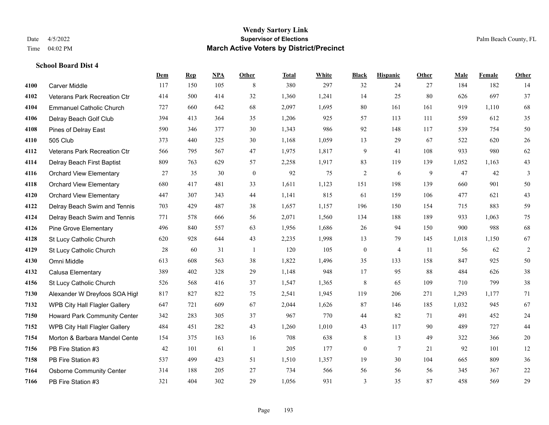|      |                                      | <b>Dem</b> | <b>Rep</b> | NPA | Other            | <b>Total</b> | <b>White</b> | <b>Black</b>     | <b>Hispanic</b> | <b>Other</b> | <b>Male</b> | Female | <b>Other</b> |
|------|--------------------------------------|------------|------------|-----|------------------|--------------|--------------|------------------|-----------------|--------------|-------------|--------|--------------|
| 4100 | <b>Carver Middle</b>                 | 117        | 150        | 105 | 8                | 380          | 297          | 32               | 24              | 27           | 184         | 182    | 14           |
| 4102 | Veterans Park Recreation Ctr         | 414        | 500        | 414 | 32               | 1,360        | 1,241        | 14               | 25              | 80           | 626         | 697    | 37           |
| 4104 | <b>Emmanuel Catholic Church</b>      | 727        | 660        | 642 | 68               | 2,097        | 1,695        | 80               | 161             | 161          | 919         | 1.110  | 68           |
| 4106 | Delray Beach Golf Club               | 394        | 413        | 364 | 35               | 1,206        | 925          | 57               | 113             | 111          | 559         | 612    | 35           |
| 4108 | Pines of Delray East                 | 590        | 346        | 377 | 30               | 1,343        | 986          | 92               | 148             | 117          | 539         | 754    | 50           |
| 4110 | 505 Club                             | 373        | 440        | 325 | 30               | 1,168        | 1,059        | 13               | 29              | 67           | 522         | 620    | 26           |
| 4112 | Veterans Park Recreation Ctr         | 566        | 795        | 567 | 47               | 1,975        | 1,817        | 9                | 41              | 108          | 933         | 980    | 62           |
| 4114 | Delray Beach First Baptist           | 809        | 763        | 629 | 57               | 2,258        | 1,917        | 83               | 119             | 139          | 1,052       | 1.163  | 43           |
| 4116 | <b>Orchard View Elementary</b>       | 27         | 35         | 30  | $\boldsymbol{0}$ | 92           | 75           | $\overline{c}$   | 6               | 9            | 47          | 42     | 3            |
| 4118 | <b>Orchard View Elementary</b>       | 680        | 417        | 481 | 33               | 1,611        | 1,123        | 151              | 198             | 139          | 660         | 901    | 50           |
| 4120 | <b>Orchard View Elementary</b>       | 447        | 307        | 343 | 44               | 1,141        | 815          | 61               | 159             | 106          | 477         | 621    | 43           |
| 4122 | Delray Beach Swim and Tennis         | 703        | 429        | 487 | 38               | 1,657        | 1,157        | 196              | 150             | 154          | 715         | 883    | 59           |
| 4124 | Delray Beach Swim and Tennis         | 771        | 578        | 666 | 56               | 2,071        | 1,560        | 134              | 188             | 189          | 933         | 1,063  | 75           |
| 4126 | <b>Pine Grove Elementary</b>         | 496        | 840        | 557 | 63               | 1,956        | 1,686        | 26               | 94              | 150          | 900         | 988    | 68           |
| 4128 | St Lucy Catholic Church              | 620        | 928        | 644 | 43               | 2,235        | 1,998        | 13               | 79              | 145          | 1,018       | 1.150  | 67           |
| 4129 | St Lucy Catholic Church              | 28         | 60         | 31  | -1               | 120          | 105          | $\boldsymbol{0}$ | $\overline{4}$  | 11           | 56          | 62     | $\sqrt{2}$   |
| 4130 | Omni Middle                          | 613        | 608        | 563 | 38               | 1,822        | 1,496        | 35               | 133             | 158          | 847         | 925    | 50           |
| 4132 | Calusa Elementary                    | 389        | 402        | 328 | 29               | 1,148        | 948          | 17               | 95              | 88           | 484         | 626    | 38           |
| 4156 | St Lucy Catholic Church              | 526        | 568        | 416 | 37               | 1,547        | 1,365        | $\,$ 8 $\,$      | 65              | 109          | 710         | 799    | 38           |
| 7130 | Alexander W Dreyfoos SOA High        | 817        | 827        | 822 | 75               | 2,541        | 1,945        | 119              | 206             | 271          | 1,293       | 1,177  | 71           |
| 7132 | <b>WPB City Hall Flagler Gallery</b> | 647        | 721        | 609 | 67               | 2,044        | 1,626        | 87               | 146             | 185          | 1,032       | 945    | 67           |
| 7150 | <b>Howard Park Community Center</b>  | 342        | 283        | 305 | 37               | 967          | 770          | 44               | 82              | 71           | 491         | 452    | 24           |
| 7152 | WPB City Hall Flagler Gallery        | 484        | 451        | 282 | 43               | 1,260        | 1,010        | 43               | 117             | 90           | 489         | 727    | 44           |
| 7154 | Morton & Barbara Mandel Cente        | 154        | 375        | 163 | 16               | 708          | 638          | $\,$ $\,$        | 13              | 49           | 322         | 366    | $20\,$       |
| 7156 | PB Fire Station #3                   | 42         | 101        | 61  | $\mathbf{1}$     | 205          | 177          | $\boldsymbol{0}$ | 7               | 21           | 92          | 101    | 12           |
| 7158 | PB Fire Station #3                   | 537        | 499        | 423 | 51               | 1,510        | 1,357        | 19               | 30              | 104          | 665         | 809    | 36           |
| 7164 | <b>Osborne Community Center</b>      | 314        | 188        | 205 | 27               | 734          | 566          | 56               | 56              | 56           | 345         | 367    | $22\,$       |
| 7166 | PB Fire Station #3                   | 321        | 404        | 302 | 29               | 1,056        | 931          | 3                | 35              | 87           | 458         | 569    | 29           |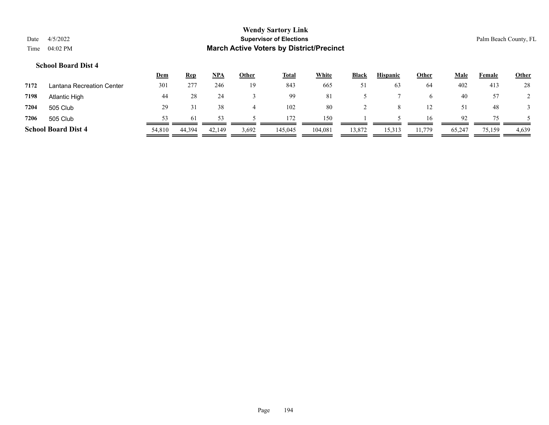|      |            | <b>Wendy Sartory Link</b>                       |
|------|------------|-------------------------------------------------|
| Date | 4/5/2022   | <b>Supervisor of Elections</b>                  |
| Time | $04:02$ PM | <b>March Active Voters by District/Precinct</b> |

Palm Beach County, FL

|      |                            | <u>Dem</u> | <b>Rep</b> | NPA    | <u>Other</u> | <b>Total</b> | <b>White</b> | <b>Black</b> | <b>Hispanic</b> | <b>Other</b> | <u>Male</u> | Female | <b>Other</b> |
|------|----------------------------|------------|------------|--------|--------------|--------------|--------------|--------------|-----------------|--------------|-------------|--------|--------------|
| 7172 | Lantana Recreation Center  | 301        | 277        | 246    | 19           | 843          | 665          | 51           | 63              | 64           | 402         | 413    | 28           |
| 7198 | Atlantic High              | 44         | 28         | 24     |              | 99           | 81           |              |                 | b.           | 40          | 57     |              |
| 7204 | 505 Club                   | 29         |            | 38     |              | 102          | 80           |              |                 | 12           | 51          | 48     |              |
| 7206 | 505 Club                   | 53         | 61         |        |              | 172          | 150          |              |                 | 16           | 92          | 75.    |              |
|      | <b>School Board Dist 4</b> | 54,810     | 44,394     | 42,149 | 3,692        | 145,045      | 104,081      | 13,872       | 15,313          | 11,779       | 65,247      | 75,159 | 4,639        |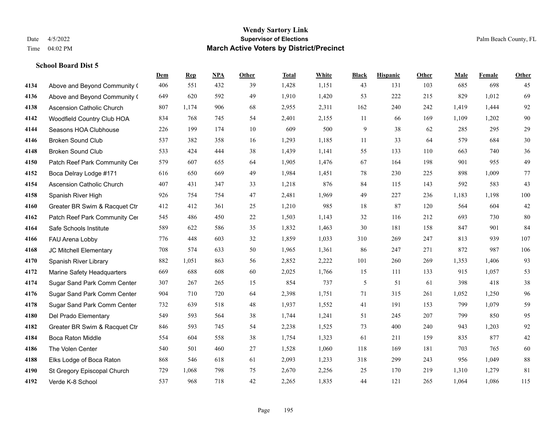|      |                                  | Dem | <b>Rep</b> | NPA | <b>Other</b> | <b>Total</b> | <b>White</b> | <b>Black</b> | <b>Hispanic</b> | <b>Other</b> | <b>Male</b> | <b>Female</b> | Other  |
|------|----------------------------------|-----|------------|-----|--------------|--------------|--------------|--------------|-----------------|--------------|-------------|---------------|--------|
| 4134 | Above and Beyond Community (     | 406 | 551        | 432 | 39           | 1,428        | 1,151        | 43           | 131             | 103          | 685         | 698           | 45     |
| 4136 | Above and Beyond Community (     | 649 | 620        | 592 | 49           | 1,910        | 1,420        | 53           | 222             | 215          | 829         | 1,012         | 69     |
| 4138 | <b>Ascension Catholic Church</b> | 807 | 1,174      | 906 | 68           | 2,955        | 2,311        | 162          | 240             | 242          | 1,419       | 1,444         | 92     |
| 4142 | Woodfield Country Club HOA       | 834 | 768        | 745 | 54           | 2,401        | 2,155        | 11           | 66              | 169          | 1,109       | 1,202         | 90     |
| 4144 | Seasons HOA Clubhouse            | 226 | 199        | 174 | 10           | 609          | 500          | 9            | 38              | 62           | 285         | 295           | 29     |
| 4146 | <b>Broken Sound Club</b>         | 537 | 382        | 358 | 16           | 1,293        | 1,185        | 11           | 33              | 64           | 579         | 684           | $30\,$ |
| 4148 | <b>Broken Sound Club</b>         | 533 | 424        | 444 | 38           | 1,439        | 1,141        | 55           | 133             | 110          | 663         | 740           | 36     |
| 4150 | Patch Reef Park Community Cer    | 579 | 607        | 655 | 64           | 1,905        | 1,476        | 67           | 164             | 198          | 901         | 955           | 49     |
| 4152 | Boca Delray Lodge #171           | 616 | 650        | 669 | 49           | 1,984        | 1,451        | 78           | 230             | 225          | 898         | 1,009         | 77     |
| 4154 | <b>Ascension Catholic Church</b> | 407 | 431        | 347 | 33           | 1,218        | 876          | 84           | 115             | 143          | 592         | 583           | 43     |
| 4158 | Spanish River High               | 926 | 754        | 754 | 47           | 2,481        | 1,969        | 49           | 227             | 236          | 1,183       | 1,198         | 100    |
| 4160 | Greater BR Swim & Racquet Ctr    | 412 | 412        | 361 | 25           | 1,210        | 985          | 18           | 87              | 120          | 564         | 604           | $42\,$ |
| 4162 | Patch Reef Park Community Cer    | 545 | 486        | 450 | 22           | 1,503        | 1,143        | 32           | 116             | 212          | 693         | 730           | 80     |
| 4164 | Safe Schools Institute           | 589 | 622        | 586 | 35           | 1,832        | 1,463        | 30           | 181             | 158          | 847         | 901           | 84     |
| 4166 | FAU Arena Lobby                  | 776 | 448        | 603 | 32           | 1,859        | 1,033        | 310          | 269             | 247          | 813         | 939           | 107    |
| 4168 | JC Mitchell Elementary           | 708 | 574        | 633 | 50           | 1,965        | 1,361        | 86           | 247             | 271          | 872         | 987           | 106    |
| 4170 | Spanish River Library            | 882 | 1,051      | 863 | 56           | 2,852        | 2,222        | 101          | 260             | 269          | 1,353       | 1,406         | 93     |
| 4172 | Marine Safety Headquarters       | 669 | 688        | 608 | 60           | 2,025        | 1,766        | 15           | 111             | 133          | 915         | 1,057         | 53     |
| 4174 | Sugar Sand Park Comm Center      | 307 | 267        | 265 | 15           | 854          | 737          | 5            | 51              | 61           | 398         | 418           | 38     |
| 4176 | Sugar Sand Park Comm Center      | 904 | 710        | 720 | 64           | 2,398        | 1,751        | 71           | 315             | 261          | 1,052       | 1,250         | 96     |
| 4178 | Sugar Sand Park Comm Center      | 732 | 639        | 518 | 48           | 1,937        | 1,552        | 41           | 191             | 153          | 799         | 1,079         | 59     |
| 4180 | Del Prado Elementary             | 549 | 593        | 564 | 38           | 1,744        | 1,241        | 51           | 245             | 207          | 799         | 850           | 95     |
| 4182 | Greater BR Swim & Racquet Ctr    | 846 | 593        | 745 | 54           | 2,238        | 1,525        | 73           | 400             | 240          | 943         | 1,203         | 92     |
| 4184 | <b>Boca Raton Middle</b>         | 554 | 604        | 558 | 38           | 1,754        | 1,323        | 61           | 211             | 159          | 835         | 877           | $42\,$ |
| 4186 | The Volen Center                 | 540 | 501        | 460 | 27           | 1,528        | 1,060        | 118          | 169             | 181          | 703         | 765           | 60     |
| 4188 | Elks Lodge of Boca Raton         | 868 | 546        | 618 | 61           | 2,093        | 1,233        | 318          | 299             | 243          | 956         | 1,049         | $88\,$ |
| 4190 | St Gregory Episcopal Church      | 729 | 1,068      | 798 | 75           | 2,670        | 2,256        | 25           | 170             | 219          | 1,310       | 1,279         | 81     |
| 4192 | Verde K-8 School                 | 537 | 968        | 718 | 42           | 2,265        | 1,835        | 44           | 121             | 265          | 1,064       | 1,086         | 115    |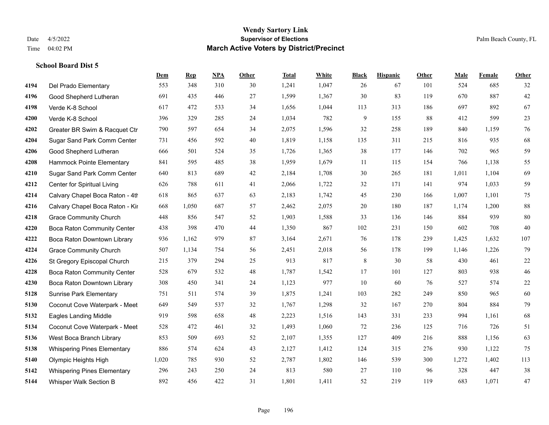|      |                                    | Dem   | <b>Rep</b> | NPA | <b>Other</b> | <b>Total</b> | White | <b>Black</b> | <b>Hispanic</b> | <b>Other</b> | <b>Male</b> | <b>Female</b> | <b>Other</b> |
|------|------------------------------------|-------|------------|-----|--------------|--------------|-------|--------------|-----------------|--------------|-------------|---------------|--------------|
| 4194 | Del Prado Elementary               | 553   | 348        | 310 | 30           | 1,241        | 1,047 | 26           | 67              | 101          | 524         | 685           | 32           |
| 4196 | Good Shepherd Lutheran             | 691   | 435        | 446 | 27           | 1,599        | 1,367 | 30           | 83              | 119          | 670         | 887           | 42           |
| 4198 | Verde K-8 School                   | 617   | 472        | 533 | 34           | 1,656        | 1,044 | 113          | 313             | 186          | 697         | 892           | 67           |
| 4200 | Verde K-8 School                   | 396   | 329        | 285 | 24           | 1,034        | 782   | 9            | 155             | 88           | 412         | 599           | $23\,$       |
| 4202 | Greater BR Swim & Racquet Ctr      | 790   | 597        | 654 | 34           | 2,075        | 1,596 | 32           | 258             | 189          | 840         | 1.159         | 76           |
| 4204 | Sugar Sand Park Comm Center        | 731   | 456        | 592 | 40           | 1,819        | 1,158 | 135          | 311             | 215          | 816         | 935           | 68           |
| 4206 | Good Shepherd Lutheran             | 666   | 501        | 524 | 35           | 1,726        | 1,365 | 38           | 177             | 146          | 702         | 965           | 59           |
| 4208 | Hammock Pointe Elementary          | 841   | 595        | 485 | 38           | 1,959        | 1,679 | 11           | 115             | 154          | 766         | 1,138         | 55           |
| 4210 | Sugar Sand Park Comm Center        | 640   | 813        | 689 | 42           | 2,184        | 1,708 | 30           | 265             | 181          | 1,011       | 1,104         | 69           |
| 4212 | Center for Spiritual Living        | 626   | 788        | 611 | 41           | 2,066        | 1,722 | 32           | 171             | 141          | 974         | 1,033         | 59           |
| 4214 | Calvary Chapel Boca Raton - 4th    | 618   | 865        | 637 | 63           | 2,183        | 1,742 | 45           | 230             | 166          | 1,007       | 1,101         | 75           |
| 4216 | Calvary Chapel Boca Raton - Kir    | 668   | 1,050      | 687 | 57           | 2,462        | 2,075 | 20           | 180             | 187          | 1,174       | 1,200         | $88\,$       |
| 4218 | <b>Grace Community Church</b>      | 448   | 856        | 547 | 52           | 1,903        | 1,588 | 33           | 136             | 146          | 884         | 939           | 80           |
| 4220 | Boca Raton Community Center        | 438   | 398        | 470 | 44           | 1,350        | 867   | 102          | 231             | 150          | 602         | 708           | 40           |
| 4222 | Boca Raton Downtown Library        | 936   | 1,162      | 979 | 87           | 3,164        | 2,671 | 76           | 178             | 239          | 1,425       | 1,632         | 107          |
| 4224 | <b>Grace Community Church</b>      | 507   | 1,134      | 754 | 56           | 2,451        | 2,018 | 56           | 178             | 199          | 1,146       | 1,226         | 79           |
| 4226 | St Gregory Episcopal Church        | 215   | 379        | 294 | 25           | 913          | 817   | $8\,$        | 30              | 58           | 430         | 461           | $22\,$       |
| 4228 | Boca Raton Community Center        | 528   | 679        | 532 | 48           | 1,787        | 1,542 | 17           | 101             | 127          | 803         | 938           | 46           |
| 4230 | Boca Raton Downtown Library        | 308   | 450        | 341 | 24           | 1,123        | 977   | $10\,$       | 60              | 76           | 527         | 574           | $22\,$       |
| 5128 | <b>Sunrise Park Elementary</b>     | 751   | 511        | 574 | 39           | 1,875        | 1,241 | 103          | 282             | 249          | 850         | 965           | 60           |
| 5130 | Coconut Cove Waterpark - Meet      | 649   | 549        | 537 | 32           | 1,767        | 1,298 | 32           | 167             | 270          | 804         | 884           | 79           |
| 5132 | <b>Eagles Landing Middle</b>       | 919   | 598        | 658 | 48           | 2,223        | 1,516 | 143          | 331             | 233          | 994         | 1,161         | 68           |
| 5134 | Coconut Cove Waterpark - Meet      | 528   | 472        | 461 | 32           | 1,493        | 1,060 | 72           | 236             | 125          | 716         | 726           | 51           |
| 5136 | West Boca Branch Library           | 853   | 509        | 693 | 52           | 2,107        | 1,355 | 127          | 409             | 216          | 888         | 1,156         | 63           |
| 5138 | <b>Whispering Pines Elementary</b> | 886   | 574        | 624 | 43           | 2,127        | 1,412 | 124          | 315             | 276          | 930         | 1,122         | 75           |
| 5140 | Olympic Heights High               | 1,020 | 785        | 930 | 52           | 2,787        | 1,802 | 146          | 539             | 300          | 1,272       | 1,402         | 113          |
| 5142 | <b>Whispering Pines Elementary</b> | 296   | 243        | 250 | 24           | 813          | 580   | 27           | 110             | 96           | 328         | 447           | 38           |
| 5144 | <b>Whisper Walk Section B</b>      | 892   | 456        | 422 | 31           | 1,801        | 1,411 | 52           | 219             | 119          | 683         | 1,071         | 47           |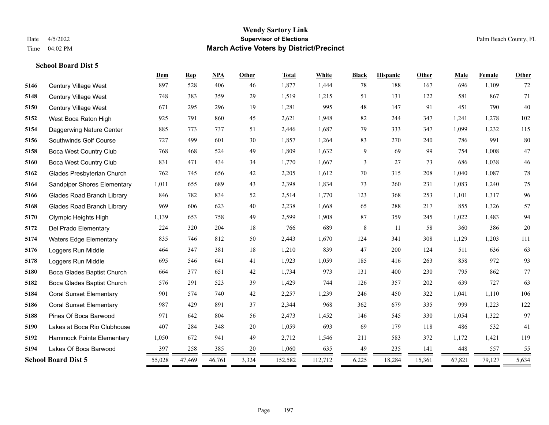|      |                                   | Dem          | <b>Rep</b>  | NPA    | Other      | <b>Total</b>   | White   | <b>Black</b> | <b>Hispanic</b>    | Other  | Male   | Female | Other  |
|------|-----------------------------------|--------------|-------------|--------|------------|----------------|---------|--------------|--------------------|--------|--------|--------|--------|
| 5146 | <b>Century Village West</b>       | 897          | 528         | 406    | 46         | 1,877          | 1,444   | 78           | 188                | 167    | 696    | 1,109  | 72     |
| 5148 | Century Village West              | 748          | 383         | 359    | 29         | 1,519          | 1,215   | 51           | 131                | 122    | 581    | 867    | 71     |
| 5150 | Century Village West              | 671          | 295         | 296    | 19         | 1,281          | 995     | 48           | 147                | 91     | 451    | 790    | 40     |
| 5152 | West Boca Raton High              | 925          | 791         | 860    | 45         | 2,621          | 1,948   | 82           | 244                | 347    | 1,241  | 1,278  | 102    |
| 5154 | Daggerwing Nature Center          | 885          | 773         | 737    | 51         | 2,446          | 1,687   | 79           | 333                | 347    | 1,099  | 1,232  | 115    |
| 5156 | Southwinds Golf Course            | 727          | 499         | 601    | 30         | 1,857          | 1,264   | 83           | 270                | 240    | 786    | 991    | $80\,$ |
| 5158 | <b>Boca West Country Club</b>     | 768          | 468         | 524    | 49         | 1,809          | 1,632   | 9            | 69                 | 99     | 754    | 1,008  | 47     |
| 5160 | <b>Boca West Country Club</b>     | 831          | 471         | 434    | 34         | 1,770          | 1,667   | 3            | 27                 | 73     | 686    | 1,038  | $46\,$ |
| 5162 | Glades Presbyterian Church        | 762          | 745         | 656    | 42         | 2,205          | 1,612   | 70           | 315                | 208    | 1,040  | 1,087  | 78     |
| 5164 | Sandpiper Shores Elementary       | 1,011        | 655         | 689    | 43         | 2,398          | 1,834   | 73           | 260                | 231    | 1,083  | 1,240  | 75     |
| 5166 | <b>Glades Road Branch Library</b> | 846          | 782         | 834    | 52         | 2,514          | 1,770   | 123          | 368                | 253    | 1,101  | 1,317  | 96     |
| 5168 | <b>Glades Road Branch Library</b> | 969          | 606         | 623    | 40         | 2,238          | 1,668   | 65           | 288                | 217    | 855    | 1,326  | 57     |
| 5170 | Olympic Heights High              | 1,139        | 653         | 758    | 49         | 2,599          | 1,908   | 87           | 359                | 245    | 1,022  | 1,483  | 94     |
| 5172 | Del Prado Elementary              | 224          | 320         | 204    | 18         | 766            | 689     | 8            | -11                | 58     | 360    | 386    | $20\,$ |
| 5174 | <b>Waters Edge Elementary</b>     | 835          | 746         | 812    | 50         | 2,443          | 1,670   | 124          | 341                | 308    | 1,129  | 1,203  | 111    |
| 5176 | Loggers Run Middle                | 464          | 347         | 381    | 18         | 1,210          | 839     | 47           | 200                | 124    | 511    | 636    | 63     |
| 5178 | Loggers Run Middle                | 695          | 546         | 641    | 41         | 1,923          | 1,059   | 185          | 416                | 263    | 858    | 972    | 93     |
| 5180 | Boca Glades Baptist Church        | 664          | 377         | 651    | 42         | 1,734          | 973     | 131          | 400                | 230    | 795    | 862    | 77     |
| 5182 | Boca Glades Baptist Church        | 576          | 291         | 523    | 39         | 1,429          | 744     | 126          | 357                | 202    | 639    | 727    | 63     |
| 5184 | <b>Coral Sunset Elementary</b>    | 901          | 574         | 740    | 42         | 2,257          | 1,239   | 246          | 450                | 322    | 1,041  | 1,110  | 106    |
| 5186 | <b>Coral Sunset Elementary</b>    | 987          | 429         | 891    | 37         | 2,344          | 968     | 362          | 679                | 335    | 999    | 1,223  | 122    |
| 5188 | Pines Of Boca Barwood             | 971          | 642         | 804    | 56         | 2,473          | 1,452   | 146          | 545                | 330    | 1,054  | 1,322  | 97     |
| 5190 | Lakes at Boca Rio Clubhouse       | 407          | 284         | 348    | 20         | 1,059          | 693     | 69           | 179                | 118    | 486    | 532    | 41     |
| 5192 | Hammock Pointe Elementary         | 1,050        | 672         | 941    | 49         | 2,712          | 1,546   | 211          | 583                | 372    | 1,172  | 1,421  | 119    |
| 5194 | Lakes Of Boca Barwood             | 397          | 258         | 385    | 20         | 1,060          | 635     | 49           | 235                | 141    | 448    | 557    | 55     |
|      | <b>School Board Dist 5</b>        | 55,028<br>== | 47,469<br>= | 46,761 | 3,324<br>= | 152,582<br>$=$ | 112,712 | 6,225<br>=   | 18,284<br>$\equiv$ | 15,361 | 67,821 | 79,127 | 5,634  |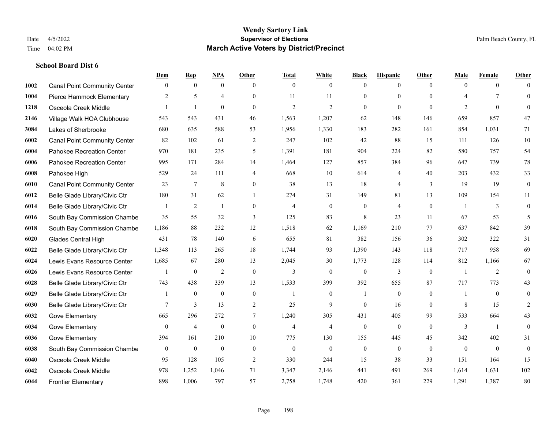|      |                                     | Dem            | <b>Rep</b>       | NPA              | <b>Other</b>     | <b>Total</b>     | <b>White</b>     | <b>Black</b>     | <b>Hispanic</b> | <b>Other</b>   | <b>Male</b>    | <b>Female</b>    | <b>Other</b>     |
|------|-------------------------------------|----------------|------------------|------------------|------------------|------------------|------------------|------------------|-----------------|----------------|----------------|------------------|------------------|
| 1002 | <b>Canal Point Community Center</b> | $\mathbf{0}$   | $\mathbf{0}$     | $\mathbf{0}$     | $\theta$         | $\mathbf{0}$     | $\overline{0}$   | $\mathbf{0}$     | $\overline{0}$  | $\theta$       | $\theta$       | $\overline{0}$   | $\Omega$         |
| 1004 | Pierce Hammock Elementary           | 2              | 5                | $\overline{4}$   | $\Omega$         | 11               | 11               | $\mathbf{0}$     | $\mathbf{0}$    | $\theta$       | $\overline{4}$ | $7\phantom{.0}$  | $\mathbf{0}$     |
| 1218 | Osceola Creek Middle                | 1              | $\mathbf{1}$     | $\theta$         | $\Omega$         | $\overline{2}$   | $\overline{2}$   | $\theta$         | $\theta$        | $\Omega$       | 2              | $\theta$         | $\Omega$         |
| 2146 | Village Walk HOA Clubhouse          | 543            | 543              | 431              | 46               | 1,563            | 1,207            | 62               | 148             | 146            | 659            | 857              | 47               |
| 3084 | Lakes of Sherbrooke                 | 680            | 635              | 588              | 53               | 1,956            | 1,330            | 183              | 282             | 161            | 854            | 1.031            | 71               |
| 6002 | <b>Canal Point Community Center</b> | 82             | 102              | 61               | $\overline{2}$   | 247              | 102              | 42               | 88              | 15             | 111            | 126              | 10               |
| 6004 | Pahokee Recreation Center           | 970            | 181              | 235              | 5                | 1,391            | 181              | 904              | 224             | 82             | 580            | 757              | 54               |
| 6006 | Pahokee Recreation Center           | 995            | 171              | 284              | 14               | 1,464            | 127              | 857              | 384             | 96             | 647            | 739              | 78               |
| 6008 | Pahokee High                        | 529            | 24               | 111              | $\overline{4}$   | 668              | 10               | 614              | $\overline{4}$  | 40             | 203            | 432              | 33               |
| 6010 | <b>Canal Point Community Center</b> | 23             | $\tau$           | 8                | $\overline{0}$   | 38               | 13               | 18               | $\overline{4}$  | 3              | 19             | 19               | $\boldsymbol{0}$ |
| 6012 | Belle Glade Library/Civic Ctr       | 180            | 31               | 62               | -1               | 274              | 31               | 149              | 81              | 13             | 109            | 154              | 11               |
| 6014 | Belle Glade Library/Civic Ctr       |                | $\overline{2}$   | 1                | $\overline{0}$   | $\overline{4}$   | $\overline{0}$   | $\mathbf{0}$     | $\overline{4}$  | $\mathbf{0}$   |                | 3                | $\mathbf{0}$     |
| 6016 | South Bay Commission Chambe         | 35             | 55               | 32               | 3                | 125              | 83               | 8                | 23              | 11             | 67             | 53               | 5                |
| 6018 | South Bay Commission Chambe         | 1,186          | 88               | 232              | 12               | 1,518            | 62               | 1,169            | 210             | 77             | 637            | 842              | 39               |
| 6020 | Glades Central High                 | 431            | 78               | 140              | 6                | 655              | 81               | 382              | 156             | 36             | 302            | 322              | 31               |
| 6022 | Belle Glade Library/Civic Ctr       | 1,348          | 113              | 265              | 18               | 1,744            | 93               | 1,390            | 143             | 118            | 717            | 958              | 69               |
| 6024 | Lewis Evans Resource Center         | 1,685          | 67               | 280              | 13               | 2,045            | 30               | 1,773            | 128             | 114            | 812            | 1,166            | 67               |
| 6026 | Lewis Evans Resource Center         |                | $\bf{0}$         | $\overline{2}$   | $\mathbf{0}$     | 3                | $\boldsymbol{0}$ | $\mathbf{0}$     | 3               | $\overline{0}$ |                | 2                | $\boldsymbol{0}$ |
| 6028 | Belle Glade Library/Civic Ctr       | 743            | 438              | 339              | 13               | 1,533            | 399              | 392              | 655             | 87             | 717            | 773              | 43               |
| 6029 | Belle Glade Library/Civic Ctr       |                | $\mathbf{0}$     | $\mathbf{0}$     | $\mathbf{0}$     | $\mathbf{1}$     | $\overline{0}$   | $\mathbf{1}$     | $\mathbf{0}$    | $\theta$       | 1              | $\theta$         | $\mathbf{0}$     |
| 6030 | Belle Glade Library/Civic Ctr       | 7              | 3                | 13               | 2                | 25               | 9                | $\theta$         | 16              | $\Omega$       | 8              | 15               | $\overline{2}$   |
| 6032 | Gove Elementary                     | 665            | 296              | 272              | 7                | 1,240            | 305              | 431              | 405             | 99             | 533            | 664              | 43               |
| 6034 | Gove Elementary                     | $\overline{0}$ | $\overline{4}$   | $\mathbf{0}$     | $\mathbf{0}$     | $\overline{4}$   | $\overline{4}$   | $\mathbf{0}$     | $\mathbf{0}$    | $\theta$       | 3              | -1               | $\mathbf{0}$     |
| 6036 | Gove Elementary                     | 394            | 161              | 210              | 10               | 775              | 130              | 155              | 445             | 45             | 342            | 402              | 31               |
| 6038 | South Bay Commission Chambe         | $\mathbf{0}$   | $\boldsymbol{0}$ | $\boldsymbol{0}$ | $\boldsymbol{0}$ | $\boldsymbol{0}$ | $\boldsymbol{0}$ | $\boldsymbol{0}$ | $\mathbf{0}$    | $\mathbf{0}$   | $\overline{0}$ | $\boldsymbol{0}$ | $\boldsymbol{0}$ |
| 6040 | Osceola Creek Middle                | 95             | 128              | 105              | $\overline{2}$   | 330              | 244              | 15               | 38              | 33             | 151            | 164              | 15               |
| 6042 | Osceola Creek Middle                | 978            | 1,252            | 1,046            | 71               | 3,347            | 2,146            | 441              | 491             | 269            | 1,614          | 1,631            | 102              |
| 6044 | <b>Frontier Elementary</b>          | 898            | 1,006            | 797              | 57               | 2,758            | 1,748            | 420              | 361             | 229            | 1,291          | 1,387            | 80               |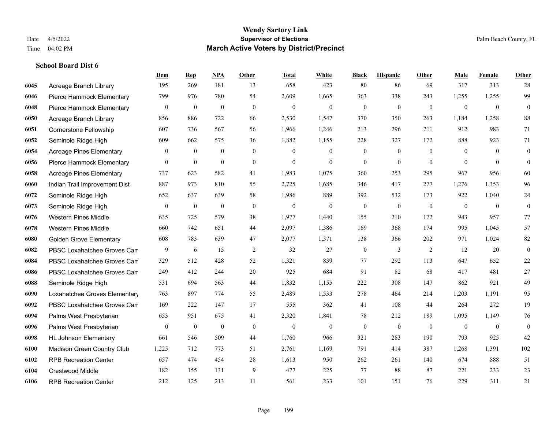|      |                                 | Dem            | <b>Rep</b>       | NPA              | <b>Other</b>   | <b>Total</b> | <b>White</b>     | <b>Black</b>     | <b>Hispanic</b>  | Other          | <b>Male</b>    | <b>Female</b> | <b>Other</b>     |
|------|---------------------------------|----------------|------------------|------------------|----------------|--------------|------------------|------------------|------------------|----------------|----------------|---------------|------------------|
| 6045 | Acreage Branch Library          | 195            | 269              | 181              | 13             | 658          | 423              | 80               | 86               | 69             | 317            | 313           | 28               |
| 6046 | Pierce Hammock Elementary       | 799            | 976              | 780              | 54             | 2,609        | 1,665            | 363              | 338              | 243            | 1,255          | 1,255         | 99               |
| 6048 | Pierce Hammock Elementary       | $\bf{0}$       | $\boldsymbol{0}$ | $\boldsymbol{0}$ | $\mathbf{0}$   | $\mathbf{0}$ | $\boldsymbol{0}$ | $\boldsymbol{0}$ | $\boldsymbol{0}$ | $\mathbf{0}$   | $\mathbf{0}$   | $\mathbf{0}$  | $\mathbf{0}$     |
| 6050 | Acreage Branch Library          | 856            | 886              | 722              | 66             | 2,530        | 1,547            | 370              | 350              | 263            | 1,184          | 1,258         | 88               |
| 6051 | <b>Cornerstone Fellowship</b>   | 607            | 736              | 567              | 56             | 1,966        | 1,246            | 213              | 296              | 211            | 912            | 983           | 71               |
| 6052 | Seminole Ridge High             | 609            | 662              | 575              | 36             | 1,882        | 1,155            | 228              | 327              | 172            | 888            | 923           | 71               |
| 6054 | <b>Acreage Pines Elementary</b> | $\overline{0}$ | $\bf{0}$         | $\boldsymbol{0}$ | $\overline{0}$ | $\mathbf{0}$ | $\boldsymbol{0}$ | $\boldsymbol{0}$ | $\mathbf{0}$     | $\overline{0}$ | $\overline{0}$ | $\theta$      | $\boldsymbol{0}$ |
| 6056 | Pierce Hammock Elementary       | $\theta$       | $\mathbf{0}$     | $\overline{0}$   | $\theta$       | $\theta$     | $\Omega$         | $\mathbf{0}$     | $\theta$         | $\Omega$       | $\Omega$       | $\theta$      | $\theta$         |
| 6058 | <b>Acreage Pines Elementary</b> | 737            | 623              | 582              | 41             | 1,983        | 1,075            | 360              | 253              | 295            | 967            | 956           | 60               |
| 6060 | Indian Trail Improvement Dist   | 887            | 973              | 810              | 55             | 2,725        | 1,685            | 346              | 417              | 277            | 1,276          | 1,353         | 96               |
| 6072 | Seminole Ridge High             | 652            | 637              | 639              | 58             | 1,986        | 889              | 392              | 532              | 173            | 922            | 1,040         | $24\,$           |
| 6073 | Seminole Ridge High             | $\mathbf{0}$   | $\boldsymbol{0}$ | $\mathbf{0}$     | $\mathbf{0}$   | $\mathbf{0}$ | $\overline{0}$   | $\mathbf{0}$     | $\mathbf{0}$     | $\theta$       | $\theta$       | $\theta$      | $\mathbf{0}$     |
| 6076 | <b>Western Pines Middle</b>     | 635            | 725              | 579              | 38             | 1,977        | 1,440            | 155              | 210              | 172            | 943            | 957           | 77               |
| 6078 | <b>Western Pines Middle</b>     | 660            | 742              | 651              | 44             | 2,097        | 1,386            | 169              | 368              | 174            | 995            | 1,045         | 57               |
| 6080 | <b>Golden Grove Elementary</b>  | 608            | 783              | 639              | 47             | 2,077        | 1,371            | 138              | 366              | 202            | 971            | 1.024         | 82               |
| 6082 | PBSC Loxahatchee Groves Can     | 9              | 6                | 15               | 2              | 32           | 27               | $\boldsymbol{0}$ | 3                | 2              | 12             | 20            | $\boldsymbol{0}$ |
| 6084 | PBSC Loxahatchee Groves Can     | 329            | 512              | 428              | 52             | 1,321        | 839              | 77               | 292              | 113            | 647            | 652           | 22               |
| 6086 | PBSC Loxahatchee Groves Can     | 249            | 412              | 244              | 20             | 925          | 684              | 91               | 82               | 68             | 417            | 481           | 27               |
| 6088 | Seminole Ridge High             | 531            | 694              | 563              | 44             | 1,832        | 1,155            | 222              | 308              | 147            | 862            | 921           | 49               |
| 6090 | Loxahatchee Groves Elementary   | 763            | 897              | 774              | 55             | 2,489        | 1,533            | 278              | 464              | 214            | 1,203          | 1,191         | 95               |
| 6092 | PBSC Loxahatchee Groves Can     | 169            | 222              | 147              | 17             | 555          | 362              | 41               | 108              | 44             | 264            | 272           | 19               |
| 6094 | Palms West Presbyterian         | 653            | 951              | 675              | 41             | 2,320        | 1,841            | $78\,$           | 212              | 189            | 1,095          | 1,149         | 76               |
| 6096 | Palms West Presbyterian         | $\mathbf{0}$   | $\boldsymbol{0}$ | $\boldsymbol{0}$ | $\overline{0}$ | $\mathbf{0}$ | $\overline{0}$   | $\boldsymbol{0}$ | $\mathbf{0}$     | $\theta$       | $\overline{0}$ | $\mathbf{0}$  | $\boldsymbol{0}$ |
| 6098 | <b>HL Johnson Elementary</b>    | 661            | 546              | 509              | 44             | 1,760        | 966              | 321              | 283              | 190            | 793            | 925           | 42               |
| 6100 | Madison Green Country Club      | 1,225          | 712              | 773              | 51             | 2,761        | 1,169            | 791              | 414              | 387            | 1,268          | 1,391         | 102              |
| 6102 | <b>RPB Recreation Center</b>    | 657            | 474              | 454              | 28             | 1,613        | 950              | 262              | 261              | 140            | 674            | 888           | 51               |
| 6104 | <b>Crestwood Middle</b>         | 182            | 155              | 131              | 9              | 477          | 225              | 77               | 88               | 87             | 221            | 233           | 23               |
| 6106 | <b>RPB Recreation Center</b>    | 212            | 125              | 213              | 11             | 561          | 233              | 101              | 151              | 76             | 229            | 311           | 21               |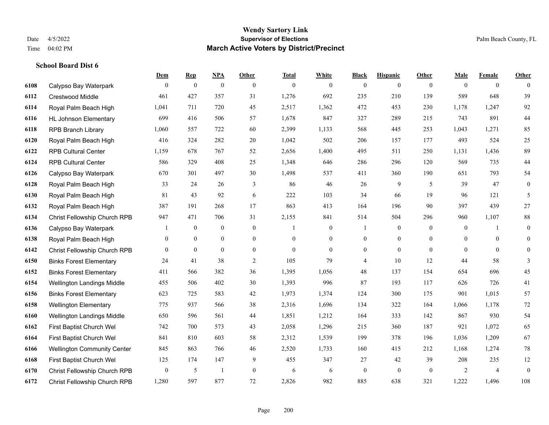**School Board Dist 6**

#### **Wendy Sartory Link** Date 4/5/2022 **Supervisor of Elections** Palm Beach County, FL Time 04:02 PM **March Active Voters by District/Precinct**

# **Dem Rep NPA Other Total White Black Hispanic Other Male Female Other** Calypso Bay Waterpark 0 0 0 0 0 0 0 0 0 0 0 0 Crestwood Middle 461 427 357 31 1,276 692 235 210 139 589 648 39 Royal Palm Beach High 1,041 711 720 45 2,517 1,362 472 453 230 1,178 1,247 92 HL Johnson Elementary 699 416 506 57 1,678 847 327 289 215 743 891 44 RPB Branch Library 1,060 557 722 60 2,399 1,133 568 445 253 1,043 1,271 85 Royal Palm Beach High 416 324 282 20 1,042 502 206 157 177 493 524 25 RPB Cultural Center 1,159 678 767 52 2,656 1,400 495 511 250 1,131 1,436 89 RPB Cultural Center 586 329 408 25 1,348 646 286 296 120 569 735 44 Calypso Bay Waterpark 670 301 497 30 1,498 537 411 360 190 651 793 54 Royal Palm Beach High 33 24 26 3 86 46 26 9 5 39 47 0 Royal Palm Beach High 81 43 92 6 222 103 34 66 19 96 121 5 Royal Palm Beach High 387 191 268 17 863 413 164 196 90 397 439 27 Christ Fellowship Church RPB 947 471 706 31 2,155 841 514 504 296 960 1,107 88 Calypso Bay Waterpark 1 0 0 0 1 0 1 0 0 0 1 0 Royal Palm Beach High 0 0 0 0 0 0 0 0 0 0 0 0 Christ Fellowship Church RPB 0 0 0 0 0 0 0 0 0 0 0 0 Binks Forest Elementary 24 41 38 2 105 79 4 10 12 44 58 3 Binks Forest Elementary 411 566 382 36 1,395 1,056 48 137 154 654 696 45 Wellington Landings Middle 455 506 402 30 1,393 996 87 193 117 626 726 41 Binks Forest Elementary 623 725 583 42 1,973 1,374 124 300 175 901 1,015 57 Wellington Elementary 775 937 566 38 2,316 1,696 134 322 164 1,066 1,178 72 Wellington Landings Middle 650 596 561 44 1,851 1,212 164 333 142 867 930 54 First Baptist Church Wel 742 700 573 43 2,058 1,296 215 360 187 921 1,072 65 First Baptist Church Wel 841 810 603 58 2,312 1,539 199 378 196 1,036 1,209 67 Wellington Community Center 845 863 766 46 2,520 1,733 160 415 212 1,168 1,274 78 First Baptist Church Wel 125 174 147 9 455 347 27 42 39 208 235 12 Christ Fellowship Church RPB 0 5 1 0 6 6 0 0 0 2 4 0 Christ Fellowship Church RPB 1,280 597 877 72 2,826 982 885 638 321 1,222 1,496 108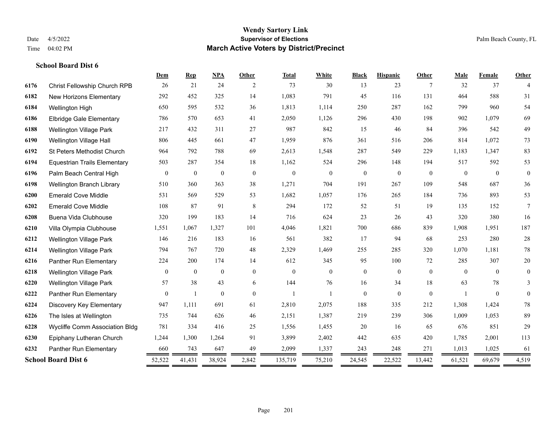|      |                                     | Dem              | <b>Rep</b>       | <b>NPA</b>       | <b>Other</b>   | <b>Total</b> | White        | <b>Black</b>     | <b>Hispanic</b> | Other    | Male         | Female   | <b>Other</b>   |
|------|-------------------------------------|------------------|------------------|------------------|----------------|--------------|--------------|------------------|-----------------|----------|--------------|----------|----------------|
| 6176 | <b>Christ Fellowship Church RPB</b> | 26               | 21               | 24               | 2              | 73           | 30           | 13               | 23              | 7        | 32           | 37       | 4              |
| 6182 | New Horizons Elementary             | 292              | 452              | 325              | 14             | 1,083        | 791          | 45               | 116             | 131      | 464          | 588      | 31             |
| 6184 | Wellington High                     | 650              | 595              | 532              | 36             | 1,813        | 1,114        | 250              | 287             | 162      | 799          | 960      | 54             |
| 6186 | <b>Elbridge Gale Elementary</b>     | 786              | 570              | 653              | 41             | 2,050        | 1,126        | 296              | 430             | 198      | 902          | 1,079    | 69             |
| 6188 | <b>Wellington Village Park</b>      | 217              | 432              | 311              | 27             | 987          | 842          | 15               | 46              | 84       | 396          | 542      | 49             |
| 6190 | Wellington Village Hall             | 806              | 445              | 661              | 47             | 1,959        | 876          | 361              | 516             | 206      | 814          | 1,072    | 73             |
| 6192 | <b>St Peters Methodist Church</b>   | 964              | 792              | 788              | 69             | 2,613        | 1,548        | 287              | 549             | 229      | 1,183        | 1,347    | 83             |
| 6194 | <b>Equestrian Trails Elementary</b> | 503              | 287              | 354              | 18             | 1,162        | 524          | 296              | 148             | 194      | 517          | 592      | 53             |
| 6196 | Palm Beach Central High             | $\boldsymbol{0}$ | $\boldsymbol{0}$ | $\boldsymbol{0}$ | $\mathbf{0}$   | $\mathbf{0}$ | $\mathbf{0}$ | $\boldsymbol{0}$ | $\overline{0}$  | $\theta$ | $\theta$     | $\theta$ | $\overline{0}$ |
| 6198 | Wellington Branch Library           | 510              | 360              | 363              | 38             | 1,271        | 704          | 191              | 267             | 109      | 548          | 687      | 36             |
| 6200 | <b>Emerald Cove Middle</b>          | 531              | 569              | 529              | 53             | 1,682        | 1,057        | 176              | 265             | 184      | 736          | 893      | 53             |
| 6202 | <b>Emerald Cove Middle</b>          | 108              | 87               | 91               | 8              | 294          | 172          | 52               | 51              | 19       | 135          | 152      | 7              |
| 6208 | Buena Vida Clubhouse                | 320              | 199              | 183              | 14             | 716          | 624          | 23               | 26              | 43       | 320          | 380      | 16             |
| 6210 | Villa Olympia Clubhouse             | 1,551            | 1,067            | 1,327            | 101            | 4,046        | 1,821        | 700              | 686             | 839      | 1,908        | 1,951    | 187            |
| 6212 | <b>Wellington Village Park</b>      | 146              | 216              | 183              | 16             | 561          | 382          | 17               | 94              | 68       | 253          | 280      | $28\,$         |
| 6214 | <b>Wellington Village Park</b>      | 794              | 767              | 720              | 48             | 2,329        | 1,469        | 255              | 285             | 320      | 1,070        | 1,181    | 78             |
| 6216 | Panther Run Elementary              | 224              | 200              | 174              | 14             | 612          | 345          | 95               | 100             | 72       | 285          | 307      | 20             |
| 6218 | <b>Wellington Village Park</b>      | $\overline{0}$   | $\mathbf{0}$     | $\mathbf{0}$     | $\overline{0}$ | $\mathbf{0}$ | $\mathbf{0}$ | $\boldsymbol{0}$ | $\overline{0}$  | $\theta$ | $\theta$     | $\theta$ | $\overline{0}$ |
| 6220 | Wellington Village Park             | 57               | 38               | 43               | 6              | 144          | 76           | 16               | 34              | 18       | 63           | 78       | 3              |
| 6222 | Panther Run Elementary              | $\mathbf{0}$     | $\mathbf{1}$     | $\mathbf{0}$     | $\theta$       | $\mathbf{1}$ |              | $\overline{0}$   | $\overline{0}$  | $\theta$ | $\mathbf{1}$ | $\theta$ | $\overline{0}$ |
| 6224 | Discovery Key Elementary            | 947              | 1,111            | 691              | 61             | 2,810        | 2,075        | 188              | 335             | 212      | 1,308        | 1,424    | $78\,$         |
| 6226 | The Isles at Wellington             | 735              | 744              | 626              | 46             | 2,151        | 1,387        | 219              | 239             | 306      | 1,009        | 1,053    | 89             |
| 6228 | Wycliffe Comm Association Bldg      | 781              | 334              | 416              | 25             | 1,556        | 1,455        | 20               | 16              | 65       | 676          | 851      | 29             |
| 6230 | Epiphany Lutheran Church            | 1,244            | 1,300            | 1,264            | 91             | 3,899        | 2,402        | 442              | 635             | 420      | 1,785        | 2,001    | 113            |
| 6232 | Panther Run Elementary              | 660              | 743              | 647              | 49             | 2,099        | 1,337        | 243              | 248             | 271      | 1,013        | 1,025    | 61             |
|      | <b>School Board Dist 6</b>          | 52,522<br>═      | 41,431<br>=      | 38,924           | 2,842<br>=     | 135,719      | 75,210       | 24,545<br>=      | 22,522          | 13,442   | 61,521       | 69,679   | 4,519          |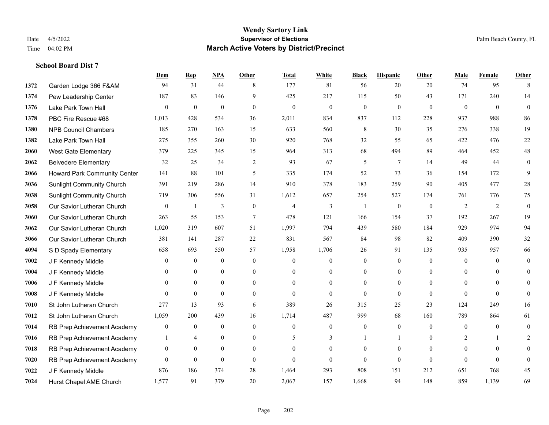|      |                                  | Dem              | <b>Rep</b>       | NPA              | <b>Other</b> | <b>Total</b> | <b>White</b>     | <b>Black</b>             | <b>Hispanic</b>  | <b>Other</b> | <b>Male</b>    | <b>Female</b> | Other            |
|------|----------------------------------|------------------|------------------|------------------|--------------|--------------|------------------|--------------------------|------------------|--------------|----------------|---------------|------------------|
| 1372 | Garden Lodge 366 F&AM            | 94               | 31               | 44               | 8            | 177          | 81               | 56                       | 20               | 20           | 74             | 95            | 8                |
| 1374 | Pew Leadership Center            | 187              | 83               | 146              | 9            | 425          | 217              | 115                      | 50               | 43           | 171            | 240           | 14               |
| 1376 | Lake Park Town Hall              | $\theta$         | $\mathbf{0}$     | $\mathbf{0}$     | $\theta$     | $\mathbf{0}$ | $\mathbf{0}$     | $\overline{0}$           | $\mathbf{0}$     | $\theta$     | $\theta$       | $\theta$      | $\Omega$         |
| 1378 | PBC Fire Rescue #68              | 1,013            | 428              | 534              | 36           | 2,011        | 834              | 837                      | 112              | 228          | 937            | 988           | 86               |
| 1380 | <b>NPB Council Chambers</b>      | 185              | 270              | 163              | 15           | 633          | 560              | 8                        | 30               | 35           | 276            | 338           | 19               |
| 1382 | Lake Park Town Hall              | 275              | 355              | 260              | 30           | 920          | 768              | 32                       | 55               | 65           | 422            | 476           | 22               |
| 2060 | West Gate Elementary             | 379              | 225              | 345              | 15           | 964          | 313              | 68                       | 494              | 89           | 464            | 452           | 48               |
| 2062 | <b>Belvedere Elementary</b>      | 32               | 25               | 34               | 2            | 93           | 67               | 5                        | 7                | 14           | 49             | 44            | $\overline{0}$   |
| 2066 | Howard Park Community Center     | 141              | 88               | 101              | 5            | 335          | 174              | 52                       | 73               | 36           | 154            | 172           | 9                |
| 3036 | <b>Sunlight Community Church</b> | 391              | 219              | 286              | 14           | 910          | 378              | 183                      | 259              | 90           | 405            | 477           | 28               |
| 3038 | <b>Sunlight Community Church</b> | 719              | 306              | 556              | 31           | 1,612        | 657              | 254                      | 527              | 174          | 761            | 776           | 75               |
| 3058 | Our Savior Lutheran Church       | $\mathbf{0}$     | $\mathbf{1}$     | 3                | $\mathbf{0}$ | 4            | 3                | $\overline{\phantom{a}}$ | $\boldsymbol{0}$ | $\mathbf{0}$ | 2              | 2             | $\overline{0}$   |
| 3060 | Our Savior Lutheran Church       | 263              | 55               | 153              | $\tau$       | 478          | 121              | 166                      | 154              | 37           | 192            | 267           | 19               |
| 3062 | Our Savior Lutheran Church       | 1,020            | 319              | 607              | 51           | 1,997        | 794              | 439                      | 580              | 184          | 929            | 974           | 94               |
| 3066 | Our Savior Lutheran Church       | 381              | 141              | 287              | 22           | 831          | 567              | 84                       | 98               | 82           | 409            | 390           | 32               |
| 4094 | S D Spady Elementary             | 658              | 693              | 550              | 57           | 1,958        | 1,706            | 26                       | 91               | 135          | 935            | 957           | 66               |
| 7002 | J F Kennedy Middle               | $\mathbf{0}$     | $\boldsymbol{0}$ | $\boldsymbol{0}$ | $\mathbf{0}$ | $\theta$     | $\mathbf{0}$     | $\overline{0}$           | $\mathbf{0}$     | $\mathbf{0}$ | $\mathbf{0}$   | $\mathbf{0}$  | $\overline{0}$   |
| 7004 | J F Kennedy Middle               | $\theta$         | $\overline{0}$   | $\boldsymbol{0}$ | $\mathbf{0}$ | $\Omega$     | $\mathbf{0}$     | $\overline{0}$           | $\overline{0}$   | $\theta$     | $\overline{0}$ | $\theta$      | $\overline{0}$   |
| 7006 | J F Kennedy Middle               | $\overline{0}$   | $\mathbf{0}$     | $\mathbf{0}$     | $\theta$     | $\theta$     | $\overline{0}$   | $\overline{0}$           | $\overline{0}$   | $\theta$     | $\mathbf{0}$   | $\Omega$      | $\mathbf{0}$     |
| 7008 | J F Kennedy Middle               | $\Omega$         | $\theta$         | $\theta$         | $\theta$     | $\theta$     | $\mathbf{0}$     | $\Omega$                 | $\Omega$         | $\theta$     | $\theta$       | $\theta$      | $\overline{0}$   |
| 7010 | St John Lutheran Church          | 277              | 13               | 93               | 6            | 389          | 26               | 315                      | 25               | 23           | 124            | 249           | 16               |
| 7012 | St John Lutheran Church          | 1,059            | 200              | 439              | 16           | 1,714        | 487              | 999                      | 68               | 160          | 789            | 864           | 61               |
| 7014 | RB Prep Achievement Academy      | $\boldsymbol{0}$ | $\boldsymbol{0}$ | $\mathbf{0}$     | $\mathbf{0}$ | $\theta$     | $\boldsymbol{0}$ | $\boldsymbol{0}$         | $\overline{0}$   | $\theta$     | $\mathbf{0}$   | $\theta$      | $\boldsymbol{0}$ |
| 7016 | RB Prep Achievement Academy      |                  | $\overline{4}$   | $\mathbf{0}$     | $\theta$     | 5            | 3                |                          | $\mathbf{1}$     | $\theta$     | 2              | $\mathbf{1}$  | 2                |
| 7018 | RB Prep Achievement Academy      | $\boldsymbol{0}$ | $\boldsymbol{0}$ | $\mathbf{0}$     | $\mathbf{0}$ | $\Omega$     | $\boldsymbol{0}$ | $\overline{0}$           | $\mathbf{0}$     | $\theta$     | $\mathbf{0}$   | $\Omega$      | $\Omega$         |
| 7020 | RB Prep Achievement Academy      | $\mathbf{0}$     | $\mathbf{0}$     | $\mathbf{0}$     | $\theta$     | $\theta$     | $\mathbf{0}$     | $\Omega$                 | $\overline{0}$   | $\theta$     | $\theta$       | $\theta$      | $\mathbf{0}$     |
| 7022 | J F Kennedy Middle               | 876              | 186              | 374              | 28           | 1,464        | 293              | 808                      | 151              | 212          | 651            | 768           | 45               |
| 7024 | Hurst Chapel AME Church          | 1,577            | 91               | 379              | 20           | 2,067        | 157              | 1,668                    | 94               | 148          | 859            | 1,139         | 69               |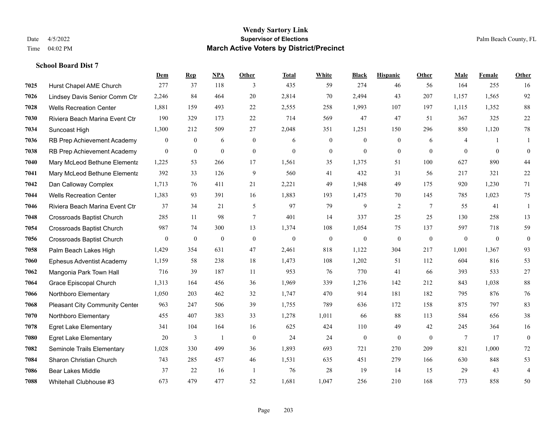|      |                                  | Dem          | <b>Rep</b>       | NPA            | <b>Other</b>   | <b>Total</b> | <b>White</b>     | <b>Black</b>     | <b>Hispanic</b> | Other           | <b>Male</b>  | Female         | <b>Other</b>     |
|------|----------------------------------|--------------|------------------|----------------|----------------|--------------|------------------|------------------|-----------------|-----------------|--------------|----------------|------------------|
| 7025 | Hurst Chapel AME Church          | 277          | 37               | 118            | 3              | 435          | 59               | 274              | 46              | 56              | 164          | 255            | 16               |
| 7026 | Lindsey Davis Senior Comm Ctr    | 2,246        | 84               | 464            | 20             | 2,814        | 70               | 2,494            | 43              | 207             | 1,157        | 1,565          | 92               |
| 7028 | <b>Wells Recreation Center</b>   | 1,881        | 159              | 493            | 22             | 2,555        | 258              | 1,993            | 107             | 197             | 1,115        | 1,352          | $88\,$           |
| 7030 | Riviera Beach Marina Event Ctr   | 190          | 329              | 173            | 22             | 714          | 569              | 47               | 47              | 51              | 367          | 325            | $22\,$           |
| 7034 | Suncoast High                    | 1,300        | 212              | 509            | 27             | 2,048        | 351              | 1.251            | 150             | 296             | 850          | 1,120          | $78\,$           |
| 7036 | RB Prep Achievement Academy      | $\mathbf{0}$ | $\bf{0}$         | 6              | $\overline{0}$ | 6            | $\boldsymbol{0}$ | $\mathbf{0}$     | $\mathbf{0}$    | 6               | 4            | -1             | 1                |
| 7038 | RB Prep Achievement Academy      | $\mathbf{0}$ | $\mathbf{0}$     | $\mathbf{0}$   | $\overline{0}$ | $\theta$     | $\mathbf{0}$     | $\mathbf{0}$     | $\mathbf{0}$    | $\theta$        | $\theta$     | $\mathbf{0}$   | $\boldsymbol{0}$ |
| 7040 | Mary McLeod Bethune Elementa     | 1,225        | 53               | 266            | 17             | 1,561        | 35               | 1.375            | 51              | 100             | 627          | 890            | 44               |
| 7041 | Mary McLeod Bethune Elementa     | 392          | 33               | 126            | 9              | 560          | 41               | 432              | 31              | 56              | 217          | 321            | $22\,$           |
| 7042 | Dan Calloway Complex             | 1,713        | 76               | 411            | 21             | 2,221        | 49               | 1,948            | 49              | 175             | 920          | 1,230          | 71               |
| 7044 | <b>Wells Recreation Center</b>   | 1,383        | 93               | 391            | 16             | 1,883        | 193              | 1,475            | 70              | 145             | 785          | 1,023          | 75               |
| 7046 | Riviera Beach Marina Event Ctr   | 37           | 34               | 21             | 5              | 97           | 79               | 9                | $\overline{2}$  | $7\phantom{.0}$ | 55           | 41             | 1                |
| 7048 | <b>Crossroads Baptist Church</b> | 285          | 11               | 98             | $\tau$         | 401          | 14               | 337              | 25              | 25              | 130          | 258            | 13               |
| 7054 | <b>Crossroads Baptist Church</b> | 987          | 74               | 300            | 13             | 1,374        | 108              | 1,054            | 75              | 137             | 597          | 718            | 59               |
| 7056 | <b>Crossroads Baptist Church</b> | $\mathbf{0}$ | $\boldsymbol{0}$ | $\mathbf{0}$   | $\theta$       | $\theta$     | $\boldsymbol{0}$ | $\boldsymbol{0}$ | $\mathbf{0}$    | $\overline{0}$  | $\mathbf{0}$ | $\overline{0}$ | $\boldsymbol{0}$ |
| 7058 | Palm Beach Lakes High            | 1,429        | 354              | 631            | 47             | 2,461        | 818              | 1,122            | 304             | 217             | 1,001        | 1,367          | 93               |
| 7060 | <b>Ephesus Adventist Academy</b> | 1,159        | 58               | 238            | 18             | 1,473        | 108              | 1,202            | 51              | 112             | 604          | 816            | 53               |
| 7062 | Mangonia Park Town Hall          | 716          | 39               | 187            | 11             | 953          | 76               | 770              | 41              | 66              | 393          | 533            | 27               |
| 7064 | Grace Episcopal Church           | 1,313        | 164              | 456            | 36             | 1,969        | 339              | 1,276            | 142             | 212             | 843          | 1,038          | 88               |
| 7066 | Northboro Elementary             | 1,050        | 203              | 462            | 32             | 1,747        | 470              | 914              | 181             | 182             | 795          | 876            | 76               |
| 7068 | Pleasant City Community Center   | 963          | 247              | 506            | 39             | 1,755        | 789              | 636              | 172             | 158             | 875          | 797            | 83               |
| 7070 | Northboro Elementary             | 455          | 407              | 383            | 33             | 1,278        | 1,011            | 66               | 88              | 113             | 584          | 656            | 38               |
| 7078 | <b>Egret Lake Elementary</b>     | 341          | 104              | 164            | 16             | 625          | 424              | 110              | 49              | 42              | 245          | 364            | 16               |
| 7080 | <b>Egret Lake Elementary</b>     | 20           | 3                | $\overline{1}$ | $\overline{0}$ | 24           | 24               | $\mathbf{0}$     | $\mathbf{0}$    | $\theta$        | 7            | 17             | $\mathbf{0}$     |
| 7082 | Seminole Trails Elementary       | 1,028        | 330              | 499            | 36             | 1,893        | 693              | 721              | 270             | 209             | 821          | 1.000          | 72               |
| 7084 | Sharon Christian Church          | 743          | 285              | 457            | 46             | 1,531        | 635              | 451              | 279             | 166             | 630          | 848            | 53               |
| 7086 | <b>Bear Lakes Middle</b>         | 37           | 22               | 16             | -1             | 76           | 28               | 19               | 14              | 15              | 29           | 43             | $\overline{4}$   |
| 7088 | Whitehall Clubhouse #3           | 673          | 479              | 477            | 52             | 1,681        | 1,047            | 256              | 210             | 168             | 773          | 858            | 50               |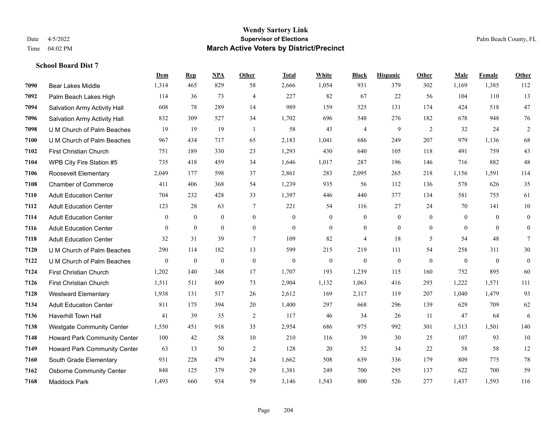|      |                                  | Dem              | <b>Rep</b>       | NPA              | <b>Other</b>     | <b>Total</b>     | White            | <b>Black</b>     | <b>Hispanic</b>  | Other            | <b>Male</b>  | Female       | <b>Other</b>     |
|------|----------------------------------|------------------|------------------|------------------|------------------|------------------|------------------|------------------|------------------|------------------|--------------|--------------|------------------|
| 7090 | Bear Lakes Middle                | 1,314            | 465              | 829              | 58               | 2,666            | 1,054            | 931              | 379              | 302              | 1,169        | 1,385        | 112              |
| 7092 | Palm Beach Lakes High            | 114              | 36               | 73               | $\overline{4}$   | 227              | 82               | 67               | 22               | 56               | 104          | 110          | 13               |
| 7094 | Salvation Army Activity Hall     | 608              | 78               | 289              | 14               | 989              | 159              | 525              | 131              | 174              | 424          | 518          | 47               |
| 7096 | Salvation Army Activity Hall     | 832              | 309              | 527              | 34               | 1,702            | 696              | 548              | 276              | 182              | 678          | 948          | 76               |
| 7098 | U M Church of Palm Beaches       | 19               | 19               | 19               | $\overline{1}$   | 58               | 43               | $\overline{4}$   | 9                | 2                | 32           | 24           | $\overline{2}$   |
| 7100 | U M Church of Palm Beaches       | 967              | 434              | 717              | 65               | 2,183            | 1,041            | 686              | 249              | 207              | 979          | 1,136        | 68               |
| 7102 | First Christian Church           | 751              | 189              | 330              | 23               | 1,293            | 430              | 640              | 105              | 118              | 491          | 759          | 43               |
| 7104 | WPB City Fire Station #5         | 735              | 418              | 459              | 34               | 1,646            | 1,017            | 287              | 196              | 146              | 716          | 882          | 48               |
| 7106 | <b>Roosevelt Elementary</b>      | 2,049            | 177              | 598              | 37               | 2,861            | 283              | 2,095            | 265              | 218              | 1,156        | 1,591        | 114              |
| 7108 | <b>Chamber of Commerce</b>       | 411              | 406              | 368              | 54               | 1,239            | 935              | 56               | 112              | 136              | 578          | 626          | 35               |
| 7110 | <b>Adult Education Center</b>    | 704              | 232              | 428              | 33               | 1,397            | 446              | 440              | 377              | 134              | 581          | 755          | 61               |
| 7112 | <b>Adult Education Center</b>    | 123              | 28               | 63               | 7                | 221              | 54               | 116              | 27               | 24               | 70           | 141          | 10               |
| 7114 | <b>Adult Education Center</b>    | $\mathbf{0}$     | $\mathbf{0}$     | $\overline{0}$   | $\overline{0}$   | $\theta$         | $\overline{0}$   | $\mathbf{0}$     | $\mathbf{0}$     | $\theta$         | $\theta$     | $\theta$     | $\boldsymbol{0}$ |
| 7116 | <b>Adult Education Center</b>    | $\mathbf{0}$     | $\overline{0}$   | $\overline{0}$   | $\boldsymbol{0}$ | $\boldsymbol{0}$ | $\boldsymbol{0}$ | $\boldsymbol{0}$ | $\boldsymbol{0}$ | $\boldsymbol{0}$ | $\mathbf{0}$ | $\mathbf{0}$ | $\overline{0}$   |
| 7118 | <b>Adult Education Center</b>    | 32               | 31               | 39               | 7                | 109              | 82               | 4                | 18               | 5                | 54           | 48           | $\tau$           |
| 7120 | U M Church of Palm Beaches       | 290              | 114              | 182              | 13               | 599              | 215              | 219              | 111              | 54               | 258          | 311          | 30               |
| 7122 | U M Church of Palm Beaches       | $\boldsymbol{0}$ | $\boldsymbol{0}$ | $\boldsymbol{0}$ | $\boldsymbol{0}$ | $\boldsymbol{0}$ | $\boldsymbol{0}$ | $\boldsymbol{0}$ | $\mathbf{0}$     | $\mathbf{0}$     | $\mathbf{0}$ | $\mathbf{0}$ | $\boldsymbol{0}$ |
| 7124 | First Christian Church           | 1,202            | 140              | 348              | 17               | 1,707            | 193              | 1,239            | 115              | 160              | 752          | 895          | 60               |
| 7126 | <b>First Christian Church</b>    | 1,511            | 511              | 809              | 73               | 2,904            | 1,132            | 1,063            | 416              | 293              | 1,222        | 1,571        | 111              |
| 7128 | <b>Westward Elementary</b>       | 1,938            | 131              | 517              | 26               | 2,612            | 169              | 2,117            | 119              | 207              | 1,040        | 1,479        | 93               |
| 7134 | <b>Adult Education Center</b>    | 811              | 175              | 394              | 20               | 1,400            | 297              | 668              | 296              | 139              | 629          | 709          | 62               |
| 7136 | <b>Haverhill Town Hall</b>       | 41               | 39               | 35               | 2                | 117              | 46               | 34               | 26               | 11               | 47           | 64           | 6                |
| 7138 | <b>Westgate Community Center</b> | 1,550            | 451              | 918              | 35               | 2,954            | 686              | 975              | 992              | 301              | 1,313        | 1,501        | 140              |
| 7148 | Howard Park Community Center     | 100              | 42               | 58               | 10               | 210              | 116              | 39               | 30               | 25               | 107          | 93           | 10               |
| 7149 | Howard Park Community Center     | 63               | 13               | 50               | $\overline{2}$   | 128              | 20               | 52               | 34               | 22               | 58           | 58           | 12               |
| 7160 | South Grade Elementary           | 931              | 228              | 479              | 24               | 1,662            | 508              | 639              | 336              | 179              | 809          | 775          | $78\,$           |
| 7162 | <b>Osborne Community Center</b>  | 848              | 125              | 379              | 29               | 1,381            | 249              | 700              | 295              | 137              | 622          | 700          | 59               |
| 7168 | <b>Maddock Park</b>              | 1,493            | 660              | 934              | 59               | 3,146            | 1,543            | 800              | 526              | 277              | 1,437        | 1,593        | 116              |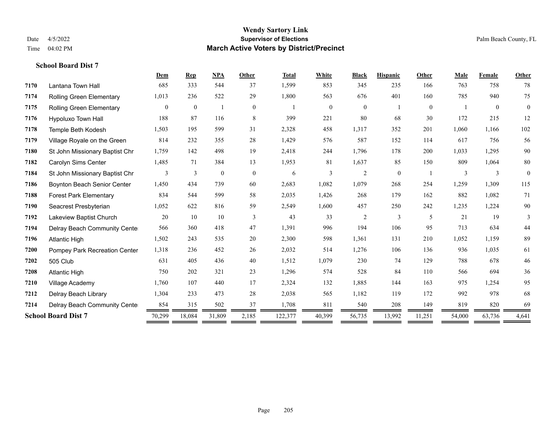|      |                                 | Dem            | <b>Rep</b>     | <b>NPA</b>   | Other          | <b>Total</b> | White          | <b>Black</b>   | <b>Hispanic</b> | Other          | Male   | Female         | Other          |
|------|---------------------------------|----------------|----------------|--------------|----------------|--------------|----------------|----------------|-----------------|----------------|--------|----------------|----------------|
| 7170 | Lantana Town Hall               | 685            | 333            | 544          | 37             | 1,599        | 853            | 345            | 235             | 166            | 763    | 758            | 78             |
| 7174 | <b>Rolling Green Elementary</b> | 1,013          | 236            | 522          | 29             | 1,800        | 563            | 676            | 401             | 160            | 785    | 940            | 75             |
| 7175 | <b>Rolling Green Elementary</b> | $\overline{0}$ | $\overline{0}$ |              | $\overline{0}$ |              | $\overline{0}$ | $\overline{0}$ |                 | $\overline{0}$ |        | $\overline{0}$ | $\overline{0}$ |
| 7176 | Hypoluxo Town Hall              | 188            | 87             | 116          | 8              | 399          | 221            | 80             | 68              | 30             | 172    | 215            | 12             |
| 7178 | Temple Beth Kodesh              | 1,503          | 195            | 599          | 31             | 2,328        | 458            | 1,317          | 352             | 201            | 1,060  | 1,166          | 102            |
| 7179 | Village Royale on the Green     | 814            | 232            | 355          | 28             | 1,429        | 576            | 587            | 152             | 114            | 617    | 756            | 56             |
| 7180 | St John Missionary Baptist Chr  | 1,759          | 142            | 498          | 19             | 2,418        | 244            | 1,796          | 178             | 200            | 1,033  | 1,295          | 90             |
| 7182 | Carolyn Sims Center             | 1,485          | 71             | 384          | 13             | 1,953        | 81             | 1,637          | 85              | 150            | 809    | 1,064          | 80             |
| 7184 | St John Missionary Baptist Chr  | 3              | $\overline{3}$ | $\mathbf{0}$ | $\overline{0}$ | 6            | 3              | $\overline{c}$ | $\overline{0}$  |                | 3      | 3              | $\theta$       |
| 7186 | Boynton Beach Senior Center     | 1,450          | 434            | 739          | 60             | 2,683        | 1,082          | 1,079          | 268             | 254            | 1,259  | 1,309          | 115            |
| 7188 | <b>Forest Park Elementary</b>   | 834            | 544            | 599          | 58             | 2,035        | 1,426          | 268            | 179             | 162            | 882    | 1,082          | 71             |
| 7190 | Seacrest Presbyterian           | 1,052          | 622            | 816          | 59             | 2,549        | 1,600          | 457            | 250             | 242            | 1,235  | 1,224          | $90\,$         |
| 7192 | Lakeview Baptist Church         | 20             | 10             | 10           | 3              | 43           | 33             | $\overline{c}$ | 3               | 5              | 21     | 19             | 3              |
| 7194 | Delray Beach Community Cente    | 566            | 360            | 418          | 47             | 1,391        | 996            | 194            | 106             | 95             | 713    | 634            | 44             |
| 7196 | <b>Atlantic High</b>            | 1,502          | 243            | 535          | 20             | 2,300        | 598            | 1,361          | 131             | 210            | 1,052  | 1,159          | 89             |
| 7200 | Pompey Park Recreation Center   | 1,318          | 236            | 452          | 26             | 2,032        | 514            | 1,276          | 106             | 136            | 936    | 1,035          | 61             |
| 7202 | 505 Club                        | 631            | 405            | 436          | 40             | 1,512        | 1,079          | 230            | 74              | 129            | 788    | 678            | 46             |
| 7208 | <b>Atlantic High</b>            | 750            | 202            | 321          | 23             | 1,296        | 574            | 528            | 84              | 110            | 566    | 694            | 36             |
| 7210 | Village Academy                 | 1,760          | 107            | 440          | 17             | 2,324        | 132            | 1,885          | 144             | 163            | 975    | 1,254          | 95             |
| 7212 | Delray Beach Library            | 1,304          | 233            | 473          | 28             | 2,038        | 565            | 1,182          | 119             | 172            | 992    | 978            | 68             |
| 7214 | Delray Beach Community Cente    | 854            | 315            | 502          | 37             | 1,708        | 811            | 540            | 208             | 149            | 819    | 820            | 69             |
|      | <b>School Board Dist 7</b>      | 70,299         | 18,084         | 31,809       | 2,185          | 122,377      | 40,399         | 56,735         | 13,992          | 11,251         | 54,000 | 63,736         | 4,641          |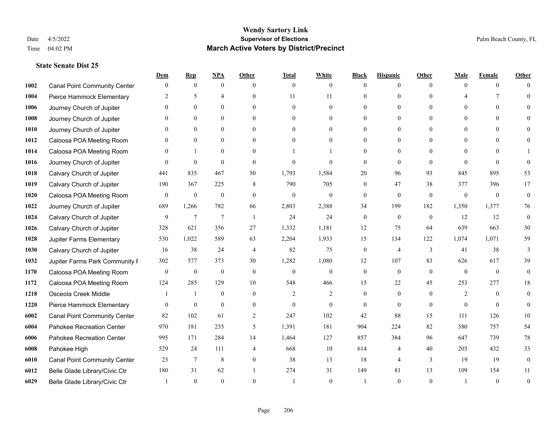|      |                                     | Dem              | <b>Rep</b>       | NPA              | <b>Other</b>   | <b>Total</b>   | <b>White</b>     | <b>Black</b>     | <b>Hispanic</b> | <b>Other</b> | <b>Male</b>    | <b>Female</b>  | <b>Other</b>     |
|------|-------------------------------------|------------------|------------------|------------------|----------------|----------------|------------------|------------------|-----------------|--------------|----------------|----------------|------------------|
| 1002 | <b>Canal Point Community Center</b> | $\mathbf{0}$     | $\mathbf{0}$     | $\boldsymbol{0}$ | $\Omega$       | $\mathbf{0}$   | $\overline{0}$   | $\theta$         | $\mathbf{0}$    | $\Omega$     | $\theta$       | $\theta$       | $\Omega$         |
| 1004 | Pierce Hammock Elementary           | 2                | 5                | $\overline{4}$   | $\theta$       | 11             | 11               | $\theta$         | $\mathbf{0}$    | $\Omega$     |                | 7              | $\Omega$         |
| 1006 | Journey Church of Jupiter           | $\Omega$         | $\theta$         | $\theta$         | $\Omega$       | $\Omega$       | $\Omega$         | $\Omega$         | $\theta$        | $\Omega$     | $\Omega$       | $\Omega$       |                  |
| 1008 | Journey Church of Jupiter           | $\theta$         | $\mathbf{0}$     | $\mathbf{0}$     | $\mathbf{0}$   | $\theta$       | $\mathbf{0}$     | $\overline{0}$   | $\mathbf{0}$    | $\Omega$     | $\mathbf{0}$   | $\theta$       |                  |
| 1010 | Journey Church of Jupiter           | 0                | $\theta$         | $\mathbf{0}$     | $\Omega$       | $\Omega$       | $\overline{0}$   | $\theta$         | $\theta$        | $\Omega$     | $\theta$       | $\Omega$       | $\Omega$         |
| 1012 | Caloosa POA Meeting Room            |                  | $\mathbf{0}$     | $\mathbf{0}$     | $\Omega$       | $\theta$       | $\mathbf{0}$     | $\theta$         | $\mathbf{0}$    | $\Omega$     | $\theta$       | $\Omega$       |                  |
| 1014 | Caloosa POA Meeting Room            | $\Omega$         | $\mathbf{1}$     | $\mathbf{0}$     | $\theta$       |                |                  | $\overline{0}$   | $\mathbf{0}$    | $\theta$     | $\theta$       | $\theta$       |                  |
| 1016 | Journey Church of Jupiter           | $\Omega$         | $\mathbf{0}$     | $\theta$         | $\Omega$       | $\theta$       | $\theta$         | $\theta$         | $\theta$        | $\Omega$     | $\Omega$       | $\Omega$       | $\Omega$         |
| 1018 | Calvary Church of Jupiter           | 441              | 835              | 467              | 50             | 1,793          | 1,584            | 20               | 96              | 93           | 845            | 895            | 53               |
| 1019 | Calvary Church of Jupiter           | 190              | 367              | 225              | 8              | 790            | 705              | $\mathbf{0}$     | 47              | 38           | 377            | 396            | 17               |
| 1020 | Caloosa POA Meeting Room            | $\mathbf{0}$     | $\boldsymbol{0}$ | $\boldsymbol{0}$ | $\theta$       | $\mathbf{0}$   | $\mathbf{0}$     | $\mathbf{0}$     | $\mathbf{0}$    | $\theta$     | $\mathbf{0}$   | $\overline{0}$ | $\mathbf{0}$     |
| 1022 | Journey Church of Jupiter           | 689              | 1,266            | 782              | 66             | 2,803          | 2,388            | 34               | 199             | 182          | 1,350          | 1,377          | 76               |
| 1024 | Calvary Church of Jupiter           | 9                | $\overline{7}$   | $\overline{7}$   | $\overline{1}$ | 24             | 24               | $\mathbf{0}$     | $\mathbf{0}$    | $\theta$     | 12             | 12             | $\mathbf{0}$     |
| 1026 | Calvary Church of Jupiter           | 328              | 621              | 356              | 27             | 1,332          | 1,181            | 12               | 75              | 64           | 639            | 663            | $30\,$           |
| 1028 | Jupiter Farms Elementary            | 530              | 1,022            | 589              | 63             | 2,204          | 1,933            | 15               | 134             | 122          | 1,074          | 1,071          | 59               |
| 1030 | Calvary Church of Jupiter           | 16               | 38               | 24               | $\overline{4}$ | 82             | 75               | $\mathbf{0}$     | $\overline{4}$  | 3            | 41             | 38             | 3                |
| 1032 | Jupiter Farms Park Community I      | 302              | 577              | 373              | 30             | 1,282          | 1,080            | 12               | 107             | 83           | 626            | 617            | 39               |
| 1170 | Caloosa POA Meeting Room            | $\boldsymbol{0}$ | $\boldsymbol{0}$ | $\boldsymbol{0}$ | $\mathbf{0}$   | $\mathbf{0}$   | $\boldsymbol{0}$ | $\boldsymbol{0}$ | $\mathbf{0}$    | $\theta$     | $\mathbf{0}$   | $\theta$       | $\mathbf{0}$     |
| 1172 | Caloosa POA Meeting Room            | 124              | 285              | 129              | 10             | 548            | 466              | 15               | 22              | 45           | 253            | 277            | 18               |
| 1218 | Osceola Creek Middle                |                  | $\mathbf{1}$     | $\mathbf{0}$     | $\theta$       | $\overline{2}$ | $\overline{c}$   | $\mathbf{0}$     | $\mathbf{0}$    | $\theta$     | $\overline{2}$ | $\theta$       | $\theta$         |
| 1220 | Pierce Hammock Elementary           | $\theta$         | $\mathbf{0}$     | $\theta$         | $\Omega$       | $\theta$       | $\theta$         | $\theta$         | $\theta$        | $\Omega$     | $\Omega$       | $\Omega$       | $\theta$         |
| 6002 | <b>Canal Point Community Center</b> | 82               | 102              | 61               | $\overline{2}$ | 247            | 102              | 42               | 88              | 15           | 111            | 126            | $10\,$           |
| 6004 | Pahokee Recreation Center           | 970              | 181              | 235              | 5              | 1,391          | 181              | 904              | 224             | 82           | 580            | 757            | 54               |
| 6006 | Pahokee Recreation Center           | 995              | 171              | 284              | 14             | 1,464          | 127              | 857              | 384             | 96           | 647            | 739            | 78               |
| 6008 | Pahokee High                        | 529              | 24               | 111              | $\overline{4}$ | 668            | $10\,$           | 614              | 4               | 40           | 203            | 432            | 33               |
| 6010 | <b>Canal Point Community Center</b> | 23               | 7                | $\,$ 8 $\,$      | $\mathbf{0}$   | 38             | 13               | 18               | $\overline{4}$  | 3            | 19             | 19             | $\boldsymbol{0}$ |
| 6012 | Belle Glade Library/Civic Ctr       | 180              | 31               | 62               |                | 274            | 31               | 149              | 81              | 13           | 109            | 154            | 11               |
| 6029 | Belle Glade Library/Civic Ctr       |                  | $\Omega$         | $\Omega$         | $\Omega$       |                | $\theta$         |                  | $\Omega$        | $\Omega$     |                | $\Omega$       | $\theta$         |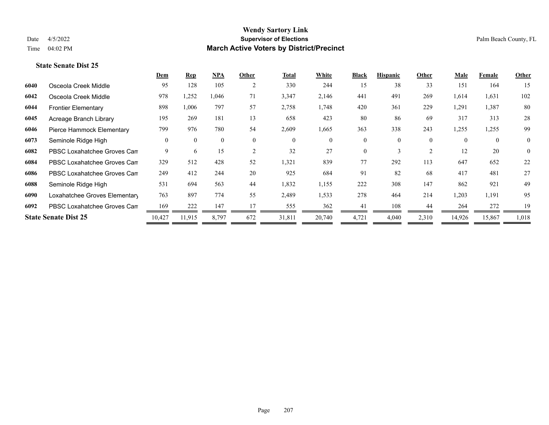|                               | Dem                         | <b>Rep</b>   | <u>NPA</u>   | Other          | <b>Total</b> | White    | <b>Black</b> | <b>Hispanic</b> | Other    | Male     | Female         | Other        |
|-------------------------------|-----------------------------|--------------|--------------|----------------|--------------|----------|--------------|-----------------|----------|----------|----------------|--------------|
| Osceola Creek Middle          | 95                          | 128          | 105          | $\overline{2}$ | 330          | 244      | 15           | 38              | 33       | 151      | 164            | 15           |
| Osceola Creek Middle          | 978                         | 1,252        | 1,046        | 71             | 3,347        | 2,146    | 441          | 491             | 269      | 1,614    | 1,631          | 102          |
| <b>Frontier Elementary</b>    | 898                         | 1,006        | 797          | 57             | 2,758        | 1,748    | 420          | 361             | 229      | 1,291    | 1,387          | 80           |
| Acreage Branch Library        | 195                         | 269          | 181          | 13             | 658          | 423      | 80           | 86              | 69       | 317      | 313            | 28           |
| Pierce Hammock Elementary     | 799                         | 976          | 780          | 54             | 2,609        | 1,665    | 363          | 338             | 243      | 1,255    | 1,255          | 99           |
| Seminole Ridge High           | $\theta$                    | $\mathbf{0}$ | $\mathbf{0}$ | $\theta$       | $\theta$     | $\Omega$ | $\mathbf{0}$ | $\theta$        | $\theta$ | $\Omega$ | $\overline{0}$ | $\mathbf{0}$ |
| PBSC Loxahatchee Groves Can   | 9                           | 6            | 15           | $\overline{c}$ | 32           | 27       | $\theta$     |                 | 2        | 12       | 20             | $\mathbf{0}$ |
| PBSC Loxahatchee Groves Can   | 329                         | 512          | 428          | 52             | 1,321        | 839      | 77           | 292             | 113      | 647      | 652            | 22           |
| PBSC Loxahatchee Groves Can   | 249                         | 412          | 244          | 20             | 925          | 684      | 91           | 82              | 68       | 417      | 481            | 27           |
| Seminole Ridge High           | 531                         | 694          | 563          | 44             | 1,832        | 1,155    | 222          | 308             | 147      | 862      | 921            | 49           |
| Loxahatchee Groves Elementary | 763                         | 897          | 774          | 55             | 2,489        | 1,533    | 278          | 464             | 214      | 1,203    | 1,191          | 95           |
| PBSC Loxahatchee Groves Can   | 169                         | 222          | 147          | 17             | 555          | 362      | 41           | 108             | 44       | 264      | 272            | 19           |
|                               | 10,427                      | 11,915       | 8,797        | 672            | 31,811       | 20,740   | 4,721        | 4,040           | 2,310    | 14,926   | 15,867         | 1,018        |
|                               | <b>State Senate Dist 25</b> |              |              |                |              |          |              |                 |          |          |                |              |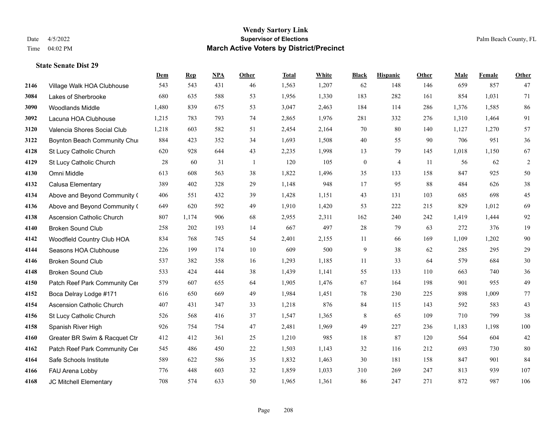|      |                                  | Dem   | <b>Rep</b> | NPA | <b>Other</b>   | <b>Total</b> | <b>White</b> | <b>Black</b>     | <b>Hispanic</b> | <b>Other</b> | <b>Male</b> | <b>Female</b> | <b>Other</b> |
|------|----------------------------------|-------|------------|-----|----------------|--------------|--------------|------------------|-----------------|--------------|-------------|---------------|--------------|
| 2146 | Village Walk HOA Clubhouse       | 543   | 543        | 431 | 46             | 1,563        | 1,207        | 62               | 148             | 146          | 659         | 857           | 47           |
| 3084 | Lakes of Sherbrooke              | 680   | 635        | 588 | 53             | 1,956        | 1,330        | 183              | 282             | 161          | 854         | 1,031         | 71           |
| 3090 | <b>Woodlands Middle</b>          | 1,480 | 839        | 675 | 53             | 3,047        | 2,463        | 184              | 114             | 286          | 1,376       | 1,585         | 86           |
| 3092 | Lacuna HOA Clubhouse             | 1,215 | 783        | 793 | 74             | 2,865        | 1,976        | 281              | 332             | 276          | 1,310       | 1,464         | 91           |
| 3120 | Valencia Shores Social Club      | 1,218 | 603        | 582 | 51             | 2,454        | 2,164        | 70               | 80              | 140          | 1,127       | 1,270         | 57           |
| 3122 | Boynton Beach Community Chur     | 884   | 423        | 352 | 34             | 1,693        | 1,508        | 40               | 55              | 90           | 706         | 951           | 36           |
| 4128 | St Lucy Catholic Church          | 620   | 928        | 644 | 43             | 2,235        | 1,998        | 13               | 79              | 145          | 1,018       | 1,150         | 67           |
| 4129 | St Lucy Catholic Church          | 28    | 60         | 31  | $\overline{1}$ | 120          | 105          | $\boldsymbol{0}$ | $\overline{4}$  | 11           | 56          | 62            | $\sqrt{2}$   |
| 4130 | Omni Middle                      | 613   | 608        | 563 | 38             | 1,822        | 1,496        | 35               | 133             | 158          | 847         | 925           | 50           |
| 4132 | Calusa Elementary                | 389   | 402        | 328 | 29             | 1,148        | 948          | 17               | 95              | 88           | 484         | 626           | 38           |
| 4134 | Above and Beyond Community (     | 406   | 551        | 432 | 39             | 1,428        | 1,151        | 43               | 131             | 103          | 685         | 698           | 45           |
| 4136 | Above and Beyond Community (     | 649   | 620        | 592 | 49             | 1,910        | 1,420        | 53               | 222             | 215          | 829         | 1,012         | 69           |
| 4138 | Ascension Catholic Church        | 807   | 1,174      | 906 | 68             | 2,955        | 2,311        | 162              | 240             | 242          | 1,419       | 1,444         | 92           |
| 4140 | <b>Broken Sound Club</b>         | 258   | 202        | 193 | 14             | 667          | 497          | 28               | 79              | 63           | 272         | 376           | 19           |
| 4142 | Woodfield Country Club HOA       | 834   | 768        | 745 | 54             | 2,401        | 2,155        | 11               | 66              | 169          | 1,109       | 1,202         | $90\,$       |
| 4144 | Seasons HOA Clubhouse            | 226   | 199        | 174 | 10             | 609          | 500          | 9                | 38              | 62           | 285         | 295           | 29           |
| 4146 | <b>Broken Sound Club</b>         | 537   | 382        | 358 | 16             | 1,293        | 1,185        | 11               | 33              | 64           | 579         | 684           | 30           |
| 4148 | <b>Broken Sound Club</b>         | 533   | 424        | 444 | 38             | 1,439        | 1,141        | 55               | 133             | 110          | 663         | 740           | $36\,$       |
| 4150 | Patch Reef Park Community Cer    | 579   | 607        | 655 | 64             | 1,905        | 1,476        | 67               | 164             | 198          | 901         | 955           | 49           |
| 4152 | Boca Delray Lodge #171           | 616   | 650        | 669 | 49             | 1,984        | 1,451        | 78               | 230             | 225          | 898         | 1.009         | 77           |
| 4154 | <b>Ascension Catholic Church</b> | 407   | 431        | 347 | 33             | 1,218        | 876          | 84               | 115             | 143          | 592         | 583           | 43           |
| 4156 | St Lucy Catholic Church          | 526   | 568        | 416 | 37             | 1,547        | 1,365        | 8                | 65              | 109          | 710         | 799           | 38           |
| 4158 | Spanish River High               | 926   | 754        | 754 | 47             | 2,481        | 1,969        | 49               | 227             | 236          | 1,183       | 1,198         | 100          |
| 4160 | Greater BR Swim & Racquet Ctr    | 412   | 412        | 361 | 25             | 1,210        | 985          | 18               | 87              | 120          | 564         | 604           | $42\,$       |
| 4162 | Patch Reef Park Community Cer    | 545   | 486        | 450 | 22             | 1,503        | 1,143        | 32               | 116             | 212          | 693         | 730           | 80           |
| 4164 | Safe Schools Institute           | 589   | 622        | 586 | 35             | 1,832        | 1,463        | 30               | 181             | 158          | 847         | 901           | 84           |
| 4166 | FAU Arena Lobby                  | 776   | 448        | 603 | 32             | 1,859        | 1,033        | 310              | 269             | 247          | 813         | 939           | 107          |
| 4168 | JC Mitchell Elementary           | 708   | 574        | 633 | 50             | 1,965        | 1,361        | 86               | 247             | 271          | 872         | 987           | 106          |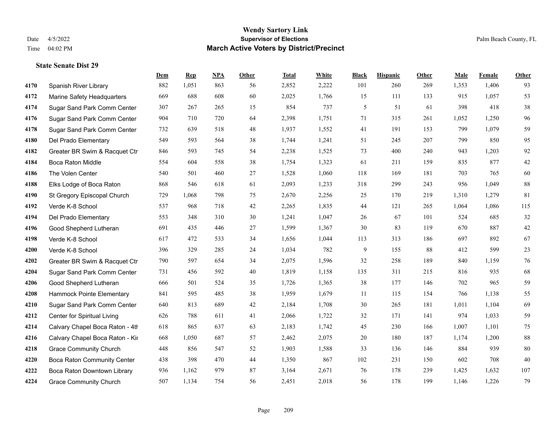|      |                                    | Dem | <b>Rep</b> | NPA | <b>Other</b> | <b>Total</b> | <b>White</b> | <b>Black</b> | <b>Hispanic</b> | <b>Other</b> | <b>Male</b> | <b>Female</b> | Other  |
|------|------------------------------------|-----|------------|-----|--------------|--------------|--------------|--------------|-----------------|--------------|-------------|---------------|--------|
| 4170 | Spanish River Library              | 882 | 1,051      | 863 | 56           | 2,852        | 2,222        | 101          | 260             | 269          | 1,353       | 1,406         | 93     |
| 4172 | Marine Safety Headquarters         | 669 | 688        | 608 | 60           | 2,025        | 1,766        | 15           | 111             | 133          | 915         | 1,057         | 53     |
| 4174 | Sugar Sand Park Comm Center        | 307 | 267        | 265 | 15           | 854          | 737          | 5            | 51              | 61           | 398         | 418           | $38\,$ |
| 4176 | Sugar Sand Park Comm Center        | 904 | 710        | 720 | 64           | 2,398        | 1,751        | 71           | 315             | 261          | 1,052       | 1,250         | 96     |
| 4178 | Sugar Sand Park Comm Center        | 732 | 639        | 518 | 48           | 1,937        | 1,552        | 41           | 191             | 153          | 799         | 1,079         | 59     |
| 4180 | Del Prado Elementary               | 549 | 593        | 564 | 38           | 1,744        | 1,241        | 51           | 245             | 207          | 799         | 850           | 95     |
| 4182 | Greater BR Swim & Racquet Ctr      | 846 | 593        | 745 | 54           | 2,238        | 1,525        | 73           | 400             | 240          | 943         | 1,203         | 92     |
| 4184 | <b>Boca Raton Middle</b>           | 554 | 604        | 558 | 38           | 1,754        | 1,323        | 61           | 211             | 159          | 835         | 877           | $42\,$ |
| 4186 | The Volen Center                   | 540 | 501        | 460 | 27           | 1,528        | 1,060        | 118          | 169             | 181          | 703         | 765           | 60     |
| 4188 | Elks Lodge of Boca Raton           | 868 | 546        | 618 | 61           | 2,093        | 1,233        | 318          | 299             | 243          | 956         | 1,049         | $88\,$ |
| 4190 | St Gregory Episcopal Church        | 729 | 1,068      | 798 | 75           | 2,670        | 2,256        | 25           | 170             | 219          | 1,310       | 1,279         | 81     |
| 4192 | Verde K-8 School                   | 537 | 968        | 718 | 42           | 2,265        | 1,835        | $44\,$       | 121             | 265          | 1,064       | 1,086         | 115    |
| 4194 | Del Prado Elementary               | 553 | 348        | 310 | 30           | 1,241        | 1,047        | 26           | 67              | 101          | 524         | 685           | 32     |
| 4196 | Good Shepherd Lutheran             | 691 | 435        | 446 | $27\,$       | 1,599        | 1,367        | $30\,$       | 83              | 119          | 670         | 887           | $42\,$ |
| 4198 | Verde K-8 School                   | 617 | 472        | 533 | 34           | 1,656        | 1,044        | 113          | 313             | 186          | 697         | 892           | 67     |
| 4200 | Verde K-8 School                   | 396 | 329        | 285 | 24           | 1,034        | 782          | 9            | 155             | 88           | 412         | 599           | 23     |
| 4202 | Greater BR Swim & Racquet Ctr      | 790 | 597        | 654 | 34           | 2,075        | 1,596        | 32           | 258             | 189          | 840         | 1,159         | 76     |
| 4204 | Sugar Sand Park Comm Center        | 731 | 456        | 592 | 40           | 1,819        | 1,158        | 135          | 311             | 215          | 816         | 935           | 68     |
| 4206 | Good Shepherd Lutheran             | 666 | 501        | 524 | 35           | 1,726        | 1,365        | $38\,$       | 177             | 146          | 702         | 965           | 59     |
| 4208 | Hammock Pointe Elementary          | 841 | 595        | 485 | 38           | 1,959        | 1,679        | 11           | 115             | 154          | 766         | 1,138         | 55     |
| 4210 | Sugar Sand Park Comm Center        | 640 | 813        | 689 | 42           | 2,184        | 1,708        | 30           | 265             | 181          | 1,011       | 1,104         | 69     |
| 4212 | Center for Spiritual Living        | 626 | 788        | 611 | 41           | 2,066        | 1,722        | 32           | 171             | 141          | 974         | 1,033         | 59     |
| 4214 | Calvary Chapel Boca Raton - 4th    | 618 | 865        | 637 | 63           | 2,183        | 1,742        | 45           | 230             | 166          | 1,007       | 1,101         | $75\,$ |
| 4216 | Calvary Chapel Boca Raton - Kir    | 668 | 1,050      | 687 | 57           | 2,462        | 2,075        | $20\,$       | 180             | 187          | 1,174       | 1,200         | $88\,$ |
| 4218 | <b>Grace Community Church</b>      | 448 | 856        | 547 | 52           | 1,903        | 1,588        | 33           | 136             | 146          | 884         | 939           | 80     |
| 4220 | <b>Boca Raton Community Center</b> | 438 | 398        | 470 | 44           | 1,350        | 867          | 102          | 231             | 150          | 602         | 708           | $40\,$ |
| 4222 | Boca Raton Downtown Library        | 936 | 1,162      | 979 | 87           | 3,164        | 2,671        | 76           | 178             | 239          | 1,425       | 1,632         | 107    |
| 4224 | <b>Grace Community Church</b>      | 507 | 1,134      | 754 | 56           | 2,451        | 2,018        | 56           | 178             | 199          | 1,146       | 1,226         | 79     |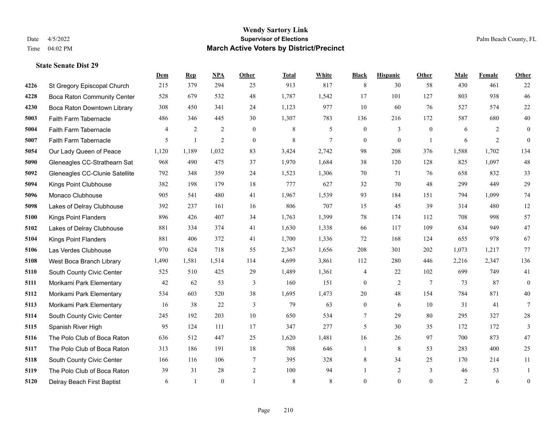|      |                                    | Dem            | <b>Rep</b>   | NPA            | <b>Other</b> | <b>Total</b> | <b>White</b> | <b>Black</b>     | <b>Hispanic</b>  | <b>Other</b>    | <b>Male</b> | Female | Other            |
|------|------------------------------------|----------------|--------------|----------------|--------------|--------------|--------------|------------------|------------------|-----------------|-------------|--------|------------------|
| 4226 | St Gregory Episcopal Church        | 215            | 379          | 294            | 25           | 913          | 817          | $\,$ 8 $\,$      | 30               | 58              | 430         | 461    | 22               |
| 4228 | <b>Boca Raton Community Center</b> | 528            | 679          | 532            | 48           | 1,787        | 1,542        | 17               | 101              | 127             | 803         | 938    | 46               |
| 4230 | Boca Raton Downtown Library        | 308            | 450          | 341            | 24           | 1,123        | 977          | 10               | 60               | 76              | 527         | 574    | $22\,$           |
| 5003 | Faith Farm Tabernacle              | 486            | 346          | 445            | 30           | 1,307        | 783          | 136              | 216              | 172             | 587         | 680    | $40\,$           |
| 5004 | Faith Farm Tabernacle              | $\overline{4}$ | 2            | 2              | $\theta$     | 8            | 5            | $\mathbf{0}$     | 3                | $\theta$        | 6           | 2      | $\mathbf{0}$     |
| 5007 | Faith Farm Tabernacle              | 5              | $\mathbf{1}$ | $\overline{2}$ | $\mathbf{0}$ | $\,$ 8 $\,$  | 7            | $\boldsymbol{0}$ | $\boldsymbol{0}$ | -1              | 6           | 2      | $\mathbf{0}$     |
| 5054 | Our Lady Queen of Peace            | 1,120          | 1,189        | 1,032          | 83           | 3,424        | 2,742        | 98               | 208              | 376             | 1,588       | 1,702  | 134              |
| 5090 | Gleneagles CC-Strathearn Sat       | 968            | 490          | 475            | 37           | 1,970        | 1,684        | 38               | 120              | 128             | 825         | 1,097  | $48\,$           |
| 5092 | Gleneagles CC-Clunie Satellite     | 792            | 348          | 359            | 24           | 1,523        | 1,306        | 70               | 71               | 76              | 658         | 832    | 33               |
| 5094 | Kings Point Clubhouse              | 382            | 198          | 179            | 18           | 777          | 627          | 32               | 70               | 48              | 299         | 449    | 29               |
| 5096 | Monaco Clubhouse                   | 905            | 541          | 480            | 41           | 1,967        | 1,539        | 93               | 184              | 151             | 794         | 1,099  | $74\,$           |
| 5098 | Lakes of Delray Clubhouse          | 392            | 237          | 161            | 16           | 806          | 707          | 15               | 45               | 39              | 314         | 480    | 12               |
| 5100 | <b>Kings Point Flanders</b>        | 896            | 426          | 407            | 34           | 1,763        | 1,399        | 78               | 174              | 112             | 708         | 998    | 57               |
| 5102 | Lakes of Delray Clubhouse          | 881            | 334          | 374            | 41           | 1,630        | 1,338        | 66               | 117              | 109             | 634         | 949    | 47               |
| 5104 | <b>Kings Point Flanders</b>        | 881            | 406          | 372            | 41           | 1,700        | 1,336        | 72               | 168              | 124             | 655         | 978    | 67               |
| 5106 | Las Verdes Clubhouse               | 970            | 624          | 718            | 55           | 2,367        | 1,656        | 208              | 301              | 202             | 1,073       | 1,217  | 77               |
| 5108 | West Boca Branch Library           | 1,490          | 1,581        | 1,514          | 114          | 4,699        | 3,861        | 112              | 280              | 446             | 2,216       | 2,347  | 136              |
| 5110 | South County Civic Center          | 525            | 510          | 425            | 29           | 1,489        | 1,361        | 4                | 22               | 102             | 699         | 749    | 41               |
| 5111 | Morikami Park Elementary           | 42             | 62           | 53             | 3            | 160          | 151          | $\boldsymbol{0}$ | $\overline{2}$   | $7\phantom{.0}$ | 73          | 87     | $\mathbf{0}$     |
| 5112 | Morikami Park Elementary           | 534            | 603          | 520            | 38           | 1,695        | 1,473        | $20\,$           | 48               | 154             | 784         | 871    | $40\,$           |
| 5113 | Morikami Park Elementary           | 16             | 38           | 22             | 3            | 79           | 63           | $\boldsymbol{0}$ | 6                | 10              | 31          | 41     | $7\phantom{.0}$  |
| 5114 | South County Civic Center          | 245            | 192          | 203            | $10\,$       | 650          | 534          | $\tau$           | 29               | 80              | 295         | 327    | $28\,$           |
| 5115 | Spanish River High                 | 95             | 124          | 111            | 17           | 347          | 277          | 5                | 30               | 35              | 172         | 172    | 3                |
| 5116 | The Polo Club of Boca Raton        | 636            | 512          | 447            | 25           | 1,620        | 1,481        | 16               | 26               | 97              | 700         | 873    | 47               |
| 5117 | The Polo Club of Boca Raton        | 313            | 186          | 191            | 18           | 708          | 646          | $\mathbf{1}$     | $\,$ 8 $\,$      | 53              | 283         | 400    | 25               |
| 5118 | South County Civic Center          | 166            | 116          | 106            | 7            | 395          | 328          | 8                | 34               | 25              | 170         | 214    | 11               |
| 5119 | The Polo Club of Boca Raton        | 39             | 31           | 28             | $\sqrt{2}$   | 100          | 94           | 1                | $\overline{c}$   | 3               | 46          | 53     | 1                |
| 5120 | Delray Beach First Baptist         | 6              | $\mathbf{1}$ | $\mathbf{0}$   |              | 8            | 8            | $\mathbf{0}$     | $\theta$         | $\mathbf{0}$    | 2           | 6      | $\boldsymbol{0}$ |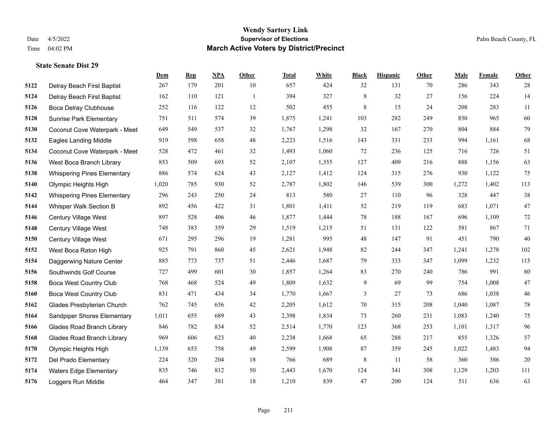|      |                                    | Dem   | <b>Rep</b> | NPA | <b>Other</b> | <b>Total</b> | <b>White</b> | <b>Black</b> | <b>Hispanic</b> | <b>Other</b> | <b>Male</b> | Female | <b>Other</b> |
|------|------------------------------------|-------|------------|-----|--------------|--------------|--------------|--------------|-----------------|--------------|-------------|--------|--------------|
| 5122 | Delray Beach First Baptist         | 267   | 179        | 201 | 10           | 657          | 424          | 32           | 131             | 70           | 286         | 343    | 28           |
| 5124 | Delray Beach First Baptist         | 162   | 110        | 121 | -1           | 394          | 327          | $\,8\,$      | 32              | 27           | 156         | 224    | 14           |
| 5126 | Boca Delray Clubhouse              | 252   | 116        | 122 | 12           | 502          | 455          | 8            | 15              | 24           | 208         | 283    | 11           |
| 5128 | <b>Sunrise Park Elementary</b>     | 751   | 511        | 574 | 39           | 1,875        | 1,241        | 103          | 282             | 249          | 850         | 965    | 60           |
| 5130 | Coconut Cove Waterpark - Meet      | 649   | 549        | 537 | 32           | 1,767        | 1,298        | 32           | 167             | 270          | 804         | 884    | 79           |
| 5132 | <b>Eagles Landing Middle</b>       | 919   | 598        | 658 | 48           | 2,223        | 1,516        | 143          | 331             | 233          | 994         | 1,161  | 68           |
| 5134 | Coconut Cove Waterpark - Meet      | 528   | 472        | 461 | 32           | 1,493        | 1,060        | $72\,$       | 236             | 125          | 716         | 726    | 51           |
| 5136 | West Boca Branch Library           | 853   | 509        | 693 | 52           | 2,107        | 1,355        | 127          | 409             | 216          | 888         | 1,156  | 63           |
| 5138 | <b>Whispering Pines Elementary</b> | 886   | 574        | 624 | 43           | 2,127        | 1,412        | 124          | 315             | 276          | 930         | 1,122  | 75           |
| 5140 | Olympic Heights High               | 1,020 | 785        | 930 | 52           | 2,787        | 1,802        | 146          | 539             | 300          | 1,272       | 1,402  | 113          |
| 5142 | <b>Whispering Pines Elementary</b> | 296   | 243        | 250 | 24           | 813          | 580          | 27           | 110             | 96           | 328         | 447    | 38           |
| 5144 | Whisper Walk Section B             | 892   | 456        | 422 | 31           | 1,801        | 1,411        | 52           | 219             | 119          | 683         | 1,071  | $47\,$       |
| 5146 | Century Village West               | 897   | 528        | 406 | 46           | 1,877        | 1,444        | 78           | 188             | 167          | 696         | 1,109  | $72\,$       |
| 5148 | Century Village West               | 748   | 383        | 359 | 29           | 1,519        | 1,215        | 51           | 131             | 122          | 581         | 867    | 71           |
| 5150 | Century Village West               | 671   | 295        | 296 | 19           | 1,281        | 995          | 48           | 147             | 91           | 451         | 790    | $40\,$       |
| 5152 | West Boca Raton High               | 925   | 791        | 860 | 45           | 2,621        | 1,948        | 82           | 244             | 347          | 1,241       | 1,278  | 102          |
| 5154 | Daggerwing Nature Center           | 885   | 773        | 737 | 51           | 2,446        | 1,687        | 79           | 333             | 347          | 1,099       | 1,232  | 115          |
| 5156 | Southwinds Golf Course             | 727   | 499        | 601 | 30           | 1,857        | 1,264        | 83           | 270             | 240          | 786         | 991    | 80           |
| 5158 | <b>Boca West Country Club</b>      | 768   | 468        | 524 | 49           | 1,809        | 1,632        | $\mathbf{9}$ | 69              | 99           | 754         | 1,008  | $47\,$       |
| 5160 | <b>Boca West Country Club</b>      | 831   | 471        | 434 | 34           | 1,770        | 1,667        | 3            | 27              | 73           | 686         | 1,038  | $46\,$       |
| 5162 | Glades Presbyterian Church         | 762   | 745        | 656 | 42           | 2,205        | 1,612        | 70           | 315             | 208          | 1,040       | 1,087  | $78\,$       |
| 5164 | Sandpiper Shores Elementary        | 1,011 | 655        | 689 | 43           | 2,398        | 1,834        | 73           | 260             | 231          | 1,083       | 1,240  | $75\,$       |
| 5166 | <b>Glades Road Branch Library</b>  | 846   | 782        | 834 | 52           | 2,514        | 1,770        | 123          | 368             | 253          | 1,101       | 1,317  | 96           |
| 5168 | <b>Glades Road Branch Library</b>  | 969   | 606        | 623 | $40\,$       | 2,238        | 1,668        | 65           | 288             | 217          | 855         | 1,326  | 57           |
| 5170 | Olympic Heights High               | 1,139 | 653        | 758 | 49           | 2,599        | 1,908        | 87           | 359             | 245          | 1,022       | 1,483  | 94           |
| 5172 | Del Prado Elementary               | 224   | 320        | 204 | 18           | 766          | 689          | $\,8\,$      | 11              | 58           | 360         | 386    | $20\,$       |
| 5174 | <b>Waters Edge Elementary</b>      | 835   | 746        | 812 | 50           | 2,443        | 1,670        | 124          | 341             | 308          | 1,129       | 1,203  | 111          |
| 5176 | Loggers Run Middle                 | 464   | 347        | 381 | 18           | 1,210        | 839          | 47           | 200             | 124          | 511         | 636    | 63           |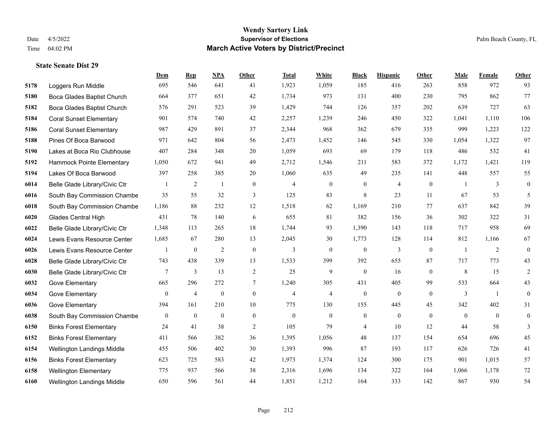|      |                                | Dem              | <b>Rep</b>       | <b>NPA</b>       | <b>Other</b>     | <b>Total</b>     | White            | <b>Black</b>     | <b>Hispanic</b>  | Other          | Male           | Female         | Other            |
|------|--------------------------------|------------------|------------------|------------------|------------------|------------------|------------------|------------------|------------------|----------------|----------------|----------------|------------------|
| 5178 | Loggers Run Middle             | 695              | 546              | 641              | 41               | 1,923            | 1,059            | 185              | 416              | 263            | 858            | 972            | 93               |
| 5180 | Boca Glades Baptist Church     | 664              | 377              | 651              | 42               | 1,734            | 973              | 131              | 400              | 230            | 795            | 862            | 77               |
| 5182 | Boca Glades Baptist Church     | 576              | 291              | 523              | 39               | 1,429            | 744              | 126              | 357              | 202            | 639            | 727            | 63               |
| 5184 | <b>Coral Sunset Elementary</b> | 901              | 574              | 740              | 42               | 2,257            | 1,239            | 246              | 450              | 322            | 1,041          | 1.110          | 106              |
| 5186 | <b>Coral Sunset Elementary</b> | 987              | 429              | 891              | 37               | 2,344            | 968              | 362              | 679              | 335            | 999            | 1,223          | 122              |
| 5188 | Pines Of Boca Barwood          | 971              | 642              | 804              | 56               | 2,473            | 1,452            | 146              | 545              | 330            | 1,054          | 1,322          | 97               |
| 5190 | Lakes at Boca Rio Clubhouse    | 407              | 284              | 348              | 20               | 1,059            | 693              | 69               | 179              | 118            | 486            | 532            | 41               |
| 5192 | Hammock Pointe Elementary      | 1,050            | 672              | 941              | 49               | 2,712            | 1,546            | 211              | 583              | 372            | 1,172          | 1,421          | 119              |
| 5194 | Lakes Of Boca Barwood          | 397              | 258              | 385              | 20               | 1,060            | 635              | 49               | 235              | 141            | 448            | 557            | 55               |
| 6014 | Belle Glade Library/Civic Ctr  | $\mathbf{1}$     | 2                | 1                | $\overline{0}$   | $\overline{4}$   | $\boldsymbol{0}$ | $\boldsymbol{0}$ | $\overline{4}$   | $\mathbf{0}$   | $\overline{1}$ | 3              | $\boldsymbol{0}$ |
| 6016 | South Bay Commission Chambe    | 35               | 55               | 32               | 3                | 125              | 83               | $\,$ 8 $\,$      | 23               | 11             | 67             | 53             | 5                |
| 6018 | South Bay Commission Chambe    | 1,186            | 88               | 232              | 12               | 1,518            | 62               | 1.169            | 210              | 77             | 637            | 842            | 39               |
| 6020 | Glades Central High            | 431              | 78               | 140              | 6                | 655              | 81               | 382              | 156              | 36             | 302            | 322            | 31               |
| 6022 | Belle Glade Library/Civic Ctr  | 1,348            | 113              | 265              | 18               | 1,744            | 93               | 1,390            | 143              | 118            | 717            | 958            | 69               |
| 6024 | Lewis Evans Resource Center    | 1,685            | 67               | 280              | 13               | 2,045            | 30               | 1.773            | 128              | 114            | 812            | 1,166          | 67               |
| 6026 | Lewis Evans Resource Center    | 1                | $\boldsymbol{0}$ | $\overline{2}$   | $\mathbf{0}$     | 3                | $\overline{0}$   | $\mathbf{0}$     | 3                | $\theta$       | $\overline{1}$ | 2              | $\boldsymbol{0}$ |
| 6028 | Belle Glade Library/Civic Ctr  | 743              | 438              | 339              | 13               | 1,533            | 399              | 392              | 655              | 87             | 717            | 773            | 43               |
| 6030 | Belle Glade Library/Civic Ctr  | 7                | 3                | 13               | $\overline{2}$   | 25               | 9                | $\mathbf{0}$     | 16               | $\overline{0}$ | 8              | 15             | 2                |
| 6032 | Gove Elementary                | 665              | 296              | 272              | $\tau$           | 1,240            | 305              | 431              | 405              | 99             | 533            | 664            | 43               |
| 6034 | Gove Elementary                | $\mathbf{0}$     | $\overline{4}$   | $\overline{0}$   | $\overline{0}$   | $\overline{4}$   | $\overline{4}$   | $\mathbf{0}$     | $\mathbf{0}$     | $\theta$       | 3              | $\overline{1}$ | $\mathbf{0}$     |
| 6036 | Gove Elementary                | 394              | 161              | 210              | 10               | 775              | 130              | 155              | 445              | 45             | 342            | 402            | 31               |
| 6038 | South Bay Commission Chambe    | $\boldsymbol{0}$ | $\boldsymbol{0}$ | $\boldsymbol{0}$ | $\boldsymbol{0}$ | $\boldsymbol{0}$ | $\boldsymbol{0}$ | $\boldsymbol{0}$ | $\boldsymbol{0}$ | $\mathbf{0}$   | $\mathbf{0}$   | $\mathbf{0}$   | $\boldsymbol{0}$ |
| 6150 | <b>Binks Forest Elementary</b> | 24               | 41               | 38               | 2                | 105              | 79               | 4                | 10               | 12             | 44             | 58             | 3                |
| 6152 | <b>Binks Forest Elementary</b> | 411              | 566              | 382              | 36               | 1,395            | 1,056            | 48               | 137              | 154            | 654            | 696            | 45               |
| 6154 | Wellington Landings Middle     | 455              | 506              | 402              | 30               | 1,393            | 996              | 87               | 193              | 117            | 626            | 726            | 41               |
| 6156 | <b>Binks Forest Elementary</b> | 623              | 725              | 583              | 42               | 1,973            | 1,374            | 124              | 300              | 175            | 901            | 1,015          | 57               |
| 6158 | <b>Wellington Elementary</b>   | 775              | 937              | 566              | 38               | 2,316            | 1,696            | 134              | 322              | 164            | 1,066          | 1,178          | 72               |
| 6160 | Wellington Landings Middle     | 650              | 596              | 561              | 44               | 1,851            | 1,212            | 164              | 333              | 142            | 867            | 930            | 54               |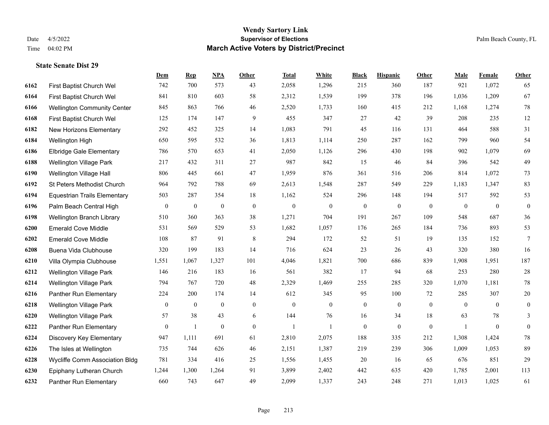|      |                                     | Dem              | <b>Rep</b>       | NPA              | <b>Other</b>     | <b>Total</b>     | <b>White</b>     | <b>Black</b>     | <b>Hispanic</b>  | <b>Other</b>   | <b>Male</b>  | Female         | <b>Other</b>     |
|------|-------------------------------------|------------------|------------------|------------------|------------------|------------------|------------------|------------------|------------------|----------------|--------------|----------------|------------------|
| 6162 | First Baptist Church Wel            | 742              | 700              | 573              | 43               | 2,058            | 1,296            | 215              | 360              | 187            | 921          | 1,072          | 65               |
| 6164 | First Baptist Church Wel            | 841              | 810              | 603              | 58               | 2,312            | 1,539            | 199              | 378              | 196            | 1,036        | 1,209          | 67               |
| 6166 | <b>Wellington Community Center</b>  | 845              | 863              | 766              | 46               | 2,520            | 1,733            | 160              | 415              | 212            | 1,168        | 1,274          | $78\,$           |
| 6168 | First Baptist Church Wel            | 125              | 174              | 147              | 9                | 455              | 347              | 27               | 42               | 39             | 208          | 235            | 12               |
| 6182 | New Horizons Elementary             | 292              | 452              | 325              | 14               | 1,083            | 791              | 45               | 116              | 131            | 464          | 588            | 31               |
| 6184 | Wellington High                     | 650              | 595              | 532              | 36               | 1,813            | 1,114            | 250              | 287              | 162            | 799          | 960            | 54               |
| 6186 | <b>Elbridge Gale Elementary</b>     | 786              | 570              | 653              | 41               | 2,050            | 1,126            | 296              | 430              | 198            | 902          | 1,079          | 69               |
| 6188 | <b>Wellington Village Park</b>      | 217              | 432              | 311              | 27               | 987              | 842              | 15               | 46               | 84             | 396          | 542            | 49               |
| 6190 | Wellington Village Hall             | 806              | 445              | 661              | 47               | 1,959            | 876              | 361              | 516              | 206            | 814          | 1,072          | 73               |
| 6192 | St Peters Methodist Church          | 964              | 792              | 788              | 69               | 2,613            | 1,548            | 287              | 549              | 229            | 1,183        | 1,347          | 83               |
| 6194 | <b>Equestrian Trails Elementary</b> | 503              | 287              | 354              | 18               | 1,162            | 524              | 296              | 148              | 194            | 517          | 592            | 53               |
| 6196 | Palm Beach Central High             | $\boldsymbol{0}$ | $\boldsymbol{0}$ | $\boldsymbol{0}$ | $\boldsymbol{0}$ | $\boldsymbol{0}$ | $\boldsymbol{0}$ | $\boldsymbol{0}$ | $\boldsymbol{0}$ | $\overline{0}$ | $\mathbf{0}$ | $\overline{0}$ | $\boldsymbol{0}$ |
| 6198 | Wellington Branch Library           | 510              | 360              | 363              | 38               | 1,271            | 704              | 191              | 267              | 109            | 548          | 687            | 36               |
| 6200 | <b>Emerald Cove Middle</b>          | 531              | 569              | 529              | 53               | 1,682            | 1,057            | 176              | 265              | 184            | 736          | 893            | 53               |
| 6202 | <b>Emerald Cove Middle</b>          | 108              | 87               | 91               | 8                | 294              | 172              | 52               | 51               | 19             | 135          | 152            | $\overline{7}$   |
| 6208 | Buena Vida Clubhouse                | 320              | 199              | 183              | 14               | 716              | 624              | 23               | 26               | 43             | 320          | 380            | 16               |
| 6210 | Villa Olympia Clubhouse             | 1,551            | 1,067            | 1,327            | 101              | 4,046            | 1,821            | 700              | 686              | 839            | 1,908        | 1,951          | 187              |
| 6212 | <b>Wellington Village Park</b>      | 146              | 216              | 183              | 16               | 561              | 382              | 17               | 94               | 68             | 253          | 280            | $28\,$           |
| 6214 | Wellington Village Park             | 794              | 767              | 720              | 48               | 2,329            | 1,469            | 255              | 285              | 320            | 1,070        | 1,181          | $78\,$           |
| 6216 | Panther Run Elementary              | 224              | 200              | 174              | 14               | 612              | 345              | 95               | 100              | 72             | 285          | 307            | $20\,$           |
| 6218 | <b>Wellington Village Park</b>      | $\mathbf{0}$     | $\mathbf{0}$     | $\mathbf{0}$     | $\overline{0}$   | $\theta$         | $\mathbf{0}$     | $\boldsymbol{0}$ | $\mathbf{0}$     | $\theta$       | $\mathbf{0}$ | $\theta$       | $\mathbf{0}$     |
| 6220 | Wellington Village Park             | 57               | 38               | 43               | 6                | 144              | 76               | 16               | 34               | 18             | 63           | 78             | 3                |
| 6222 | Panther Run Elementary              | $\mathbf{0}$     | $\mathbf{1}$     | $\mathbf{0}$     | $\theta$         | $\overline{1}$   | $\mathbf{1}$     | $\mathbf{0}$     | $\mathbf{0}$     | $\theta$       | $\mathbf{1}$ | $\mathbf{0}$   | $\mathbf{0}$     |
| 6224 | Discovery Key Elementary            | 947              | 1,111            | 691              | 61               | 2,810            | 2,075            | 188              | 335              | 212            | 1,308        | 1,424          | $78\,$           |
| 6226 | The Isles at Wellington             | 735              | 744              | 626              | 46               | 2,151            | 1,387            | 219              | 239              | 306            | 1,009        | 1,053          | 89               |
| 6228 | Wycliffe Comm Association Bldg      | 781              | 334              | 416              | 25               | 1,556            | 1,455            | $20\,$           | 16               | 65             | 676          | 851            | 29               |
| 6230 | Epiphany Lutheran Church            | 1,244            | 1,300            | 1,264            | 91               | 3,899            | 2,402            | 442              | 635              | 420            | 1,785        | 2,001          | 113              |
| 6232 | Panther Run Elementary              | 660              | 743              | 647              | 49               | 2,099            | 1,337            | 243              | 248              | 271            | 1,013        | 1,025          | 61               |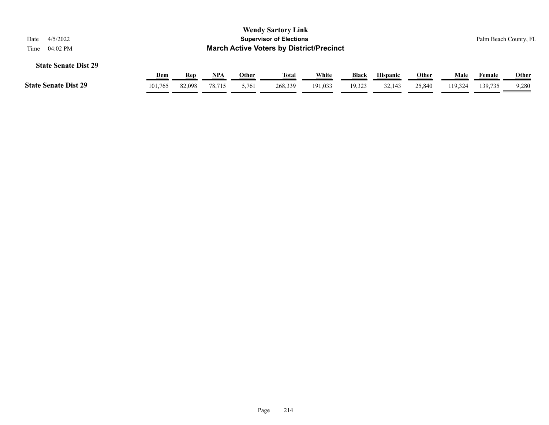| <b>Wendy Sartory Link</b><br><b>Supervisor of Elections</b><br>4/5/2022<br>Date<br><b>March Active Voters by District/Precinct</b><br>04:02 PM<br>Time      |         |        |        |       |         |         |        |        |        |         |         | Palm Beach County, FL |
|-------------------------------------------------------------------------------------------------------------------------------------------------------------|---------|--------|--------|-------|---------|---------|--------|--------|--------|---------|---------|-----------------------|
| <b>State Senate Dist 29</b><br>White<br>NPA<br><b>Black</b><br><b>Other</b><br>Male<br><u>Dem</u><br>Other<br><u>Total</u><br><b>Hispanic</b><br><b>Rep</b> |         |        |        |       |         |         |        |        |        |         | Female  | <b>Other</b>          |
| <b>State Senate Dist 29</b>                                                                                                                                 | 101,765 | 82,098 | 78.715 | 5,761 | 268,339 | 191,033 | 19,323 | 32,143 | 25,840 | 119.324 | 139.735 | 9,280                 |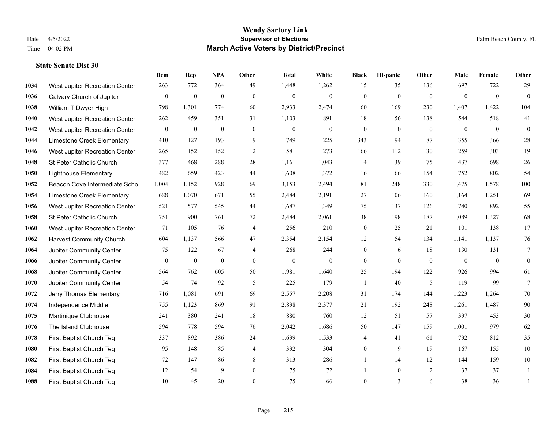|      |                                 | Dem              | <b>Rep</b>       | NPA          | <b>Other</b>   | <b>Total</b> | <b>White</b>   | <b>Black</b>     | <b>Hispanic</b> | Other          | <b>Male</b>    | Female         | <b>Other</b>   |
|------|---------------------------------|------------------|------------------|--------------|----------------|--------------|----------------|------------------|-----------------|----------------|----------------|----------------|----------------|
| 1034 | West Jupiter Recreation Center  | 263              | 772              | 364          | 49             | 1,448        | 1,262          | 15               | 35              | 136            | 697            | 722            | 29             |
| 1036 | Calvary Church of Jupiter       | $\boldsymbol{0}$ | $\boldsymbol{0}$ | $\mathbf{0}$ | $\mathbf{0}$   | $\mathbf{0}$ | $\overline{0}$ | $\mathbf{0}$     | $\mathbf{0}$    | $\overline{0}$ | $\mathbf{0}$   | $\overline{0}$ | $\overline{0}$ |
| 1038 | William T Dwyer High            | 798              | 1,301            | 774          | 60             | 2,933        | 2,474          | 60               | 169             | 230            | 1,407          | 1,422          | 104            |
| 1040 | West Jupiter Recreation Center  | 262              | 459              | 351          | 31             | 1,103        | 891            | 18               | 56              | 138            | 544            | 518            | 41             |
| 1042 | West Jupiter Recreation Center  | $\mathbf{0}$     | $\boldsymbol{0}$ | $\mathbf{0}$ | $\mathbf{0}$   | $\mathbf{0}$ | $\overline{0}$ | $\overline{0}$   | $\mathbf{0}$    | $\theta$       | $\theta$       | $\theta$       | $\mathbf{0}$   |
| 1044 | Limestone Creek Elementary      | 410              | 127              | 193          | 19             | 749          | 225            | 343              | 94              | 87             | 355            | 366            | $28\,$         |
| 1046 | West Jupiter Recreation Center  | 265              | 152              | 152          | 12             | 581          | 273            | 166              | 112             | 30             | 259            | 303            | 19             |
| 1048 | St Peter Catholic Church        | 377              | 468              | 288          | 28             | 1,161        | 1,043          | 4                | 39              | 75             | 437            | 698            | $26\,$         |
| 1050 | <b>Lighthouse Elementary</b>    | 482              | 659              | 423          | 44             | 1,608        | 1,372          | 16               | 66              | 154            | 752            | 802            | 54             |
| 1052 | Beacon Cove Intermediate Scho   | 1,004            | 1,152            | 928          | 69             | 3,153        | 2,494          | 81               | 248             | 330            | 1,475          | 1,578          | 100            |
| 1054 | Limestone Creek Elementary      | 688              | 1,070            | 671          | 55             | 2,484        | 2,191          | 27               | 106             | 160            | 1,164          | 1,251          | 69             |
| 1056 | West Jupiter Recreation Center  | 521              | 577              | 545          | 44             | 1,687        | 1,349          | 75               | 137             | 126            | 740            | 892            | 55             |
| 1058 | St Peter Catholic Church        | 751              | 900              | 761          | 72             | 2,484        | 2,061          | 38               | 198             | 187            | 1,089          | 1,327          | 68             |
| 1060 | West Jupiter Recreation Center  | 71               | 105              | 76           | $\overline{4}$ | 256          | 210            | $\boldsymbol{0}$ | 25              | 21             | 101            | 138            | 17             |
| 1062 | <b>Harvest Community Church</b> | 604              | 1,137            | 566          | 47             | 2,354        | 2,154          | 12               | 54              | 134            | 1,141          | 1,137          | 76             |
| 1064 | Jupiter Community Center        | 75               | 122              | 67           | $\overline{4}$ | 268          | 244            | $\overline{0}$   | 6               | 18             | 130            | 131            | $\tau$         |
| 1066 | Jupiter Community Center        | $\mathbf{0}$     | $\boldsymbol{0}$ | $\mathbf{0}$ | $\mathbf{0}$   | $\mathbf{0}$ | $\overline{0}$ | $\overline{0}$   | $\Omega$        | $\mathbf{0}$   | $\overline{0}$ | $\overline{0}$ | $\overline{0}$ |
| 1068 | Jupiter Community Center        | 564              | 762              | 605          | 50             | 1,981        | 1,640          | 25               | 194             | 122            | 926            | 994            | 61             |
| 1070 | Jupiter Community Center        | 54               | 74               | 92           | 5              | 225          | 179            | -1               | 40              | 5              | 119            | 99             | $\tau$         |
| 1072 | Jerry Thomas Elementary         | 716              | 1.081            | 691          | 69             | 2,557        | 2,208          | 31               | 174             | 144            | 1,223          | 1,264          | 70             |
| 1074 | Independence Middle             | 755              | 1,123            | 869          | 91             | 2,838        | 2,377          | 21               | 192             | 248            | 1,261          | 1,487          | 90             |
| 1075 | Martinique Clubhouse            | 241              | 380              | 241          | $18\,$         | 880          | 760            | 12               | 51              | 57             | 397            | 453            | $30\,$         |
| 1076 | The Island Clubhouse            | 594              | 778              | 594          | 76             | 2,042        | 1,686          | 50               | 147             | 159            | 1,001          | 979            | 62             |
| 1078 | First Baptist Church Teq        | 337              | 892              | 386          | 24             | 1,639        | 1,533          | 4                | 41              | 61             | 792            | 812            | 35             |
| 1080 | First Baptist Church Teq        | 95               | 148              | 85           | $\overline{4}$ | 332          | 304            | $\overline{0}$   | 9               | 19             | 167            | 155            | $10\,$         |
| 1082 | First Baptist Church Teq        | 72               | 147              | 86           | 8              | 313          | 286            | 1                | 14              | 12             | 144            | 159            | $10\,$         |
| 1084 | First Baptist Church Teq        | 12               | 54               | 9            | $\mathbf{0}$   | 75           | 72             |                  | $\overline{0}$  | 2              | 37             | 37             | -1             |
| 1088 | First Baptist Church Teq        | 10               | 45               | 20           | $\theta$       | 75           | 66             | $\mathbf{0}$     | $\overline{3}$  | 6              | 38             | 36             | $\mathbf{1}$   |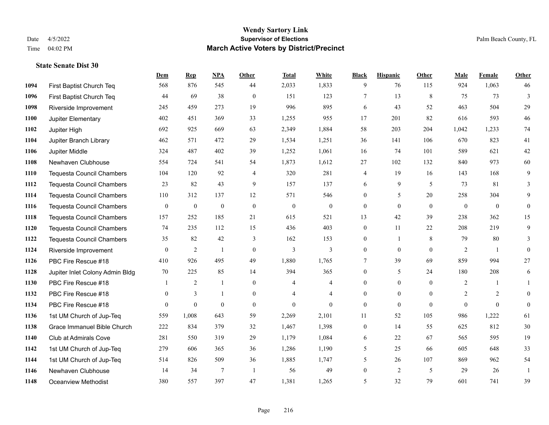|      |                                  | Dem          | <b>Rep</b>       | NPA          | <b>Other</b>   | <b>Total</b>   | White          | <b>Black</b>     | <b>Hispanic</b> | <b>Other</b> | <b>Male</b>    | <b>Female</b>  | <b>Other</b>     |
|------|----------------------------------|--------------|------------------|--------------|----------------|----------------|----------------|------------------|-----------------|--------------|----------------|----------------|------------------|
| 1094 | First Baptist Church Teq         | 568          | 876              | 545          | 44             | 2,033          | 1,833          | 9                | 76              | 115          | 924            | 1,063          | 46               |
| 1096 | First Baptist Church Teq         | 44           | 69               | 38           | $\Omega$       | 151            | 123            | $7\phantom{.0}$  | 13              | 8            | 75             | 73             | 3                |
| 1098 | Riverside Improvement            | 245          | 459              | 273          | 19             | 996            | 895            | 6                | 43              | 52           | 463            | 504            | 29               |
| 1100 | Jupiter Elementary               | 402          | 451              | 369          | 33             | 1,255          | 955            | 17               | 201             | 82           | 616            | 593            | 46               |
| 1102 | Jupiter High                     | 692          | 925              | 669          | 63             | 2,349          | 1,884          | 58               | 203             | 204          | 1,042          | 1.233          | 74               |
| 1104 | Jupiter Branch Library           | 462          | 571              | 472          | 29             | 1,534          | 1,251          | 36               | 141             | 106          | 670            | 823            | 41               |
| 1106 | Jupiter Middle                   | 324          | 487              | 402          | 39             | 1,252          | 1,061          | 16               | 74              | 101          | 589            | 621            | 42               |
| 1108 | Newhaven Clubhouse               | 554          | 724              | 541          | 54             | 1,873          | 1,612          | 27               | 102             | 132          | 840            | 973            | 60               |
| 1110 | <b>Tequesta Council Chambers</b> | 104          | 120              | 92           | $\overline{4}$ | 320            | 281            | 4                | 19              | 16           | 143            | 168            | 9                |
| 1112 | Tequesta Council Chambers        | 23           | 82               | 43           | 9              | 157            | 137            | 6                | 9               | 5            | 73             | 81             | 3                |
| 1114 | <b>Tequesta Council Chambers</b> | 110          | 312              | 137          | 12             | 571            | 546            | $\mathbf{0}$     | 5               | 20           | 258            | 304            | 9                |
| 1116 | <b>Tequesta Council Chambers</b> | $\mathbf{0}$ | $\boldsymbol{0}$ | $\mathbf{0}$ | $\mathbf{0}$   | $\mathbf{0}$   | $\overline{0}$ | $\boldsymbol{0}$ | $\mathbf{0}$    | $\theta$     | $\overline{0}$ | $\overline{0}$ | $\mathbf{0}$     |
| 1118 | <b>Tequesta Council Chambers</b> | 157          | 252              | 185          | 21             | 615            | 521            | 13               | 42              | 39           | 238            | 362            | 15               |
| 1120 | Tequesta Council Chambers        | 74           | 235              | 112          | 15             | 436            | 403            | $\boldsymbol{0}$ | 11              | 22           | 208            | 219            | 9                |
| 1122 | <b>Tequesta Council Chambers</b> | 35           | 82               | 42           | 3              | 162            | 153            | $\mathbf{0}$     | $\mathbf{1}$    | 8            | 79             | 80             | 3                |
| 1124 | Riverside Improvement            | $\mathbf{0}$ | 2                | $\mathbf{1}$ | $\mathbf{0}$   | 3              | 3              | $\overline{0}$   | $\mathbf{0}$    | $\theta$     | 2              | $\overline{1}$ | $\mathbf{0}$     |
| 1126 | PBC Fire Rescue #18              | 410          | 926              | 495          | 49             | 1,880          | 1,765          | $\tau$           | 39              | 69           | 859            | 994            | 27               |
| 1128 | Jupiter Inlet Colony Admin Bldg  | 70           | 225              | 85           | 14             | 394            | 365            | $\overline{0}$   | 5               | 24           | 180            | 208            | 6                |
| 1130 | PBC Fire Rescue #18              |              | $\overline{2}$   | $\mathbf{1}$ | $\overline{0}$ | $\overline{4}$ | 4              | $\overline{0}$   | $\overline{0}$  | $\theta$     | 2              | $\overline{1}$ | $\mathbf{1}$     |
| 1132 | PBC Fire Rescue #18              | $\mathbf{0}$ | 3                | $\mathbf{1}$ | $\overline{0}$ | $\overline{4}$ | 4              | $\boldsymbol{0}$ | $\overline{0}$  | $\mathbf{0}$ | 2              | 2              | $\boldsymbol{0}$ |
| 1134 | PBC Fire Rescue #18              | $\theta$     | $\mathbf{0}$     | $\theta$     | $\Omega$       | $\theta$       | $\Omega$       | $\mathbf{0}$     | $\theta$        | $\theta$     | $\theta$       | $\theta$       | $\mathbf{0}$     |
| 1136 | 1st UM Church of Jup-Teq         | 559          | 1,008            | 643          | 59             | 2,269          | 2,101          | 11               | 52              | 105          | 986            | 1,222          | 61               |
| 1138 | Grace Immanuel Bible Church      | 222          | 834              | 379          | 32             | 1,467          | 1,398          | $\boldsymbol{0}$ | 14              | 55           | 625            | 812            | 30               |
| 1140 | <b>Club at Admirals Cove</b>     | 281          | 550              | 319          | 29             | 1,179          | 1,084          | 6                | 22              | 67           | 565            | 595            | 19               |
| 1142 | 1st UM Church of Jup-Teq         | 279          | 606              | 365          | 36             | 1,286          | 1,190          | 5                | 25              | 66           | 605            | 648            | 33               |
| 1144 | 1st UM Church of Jup-Teq         | 514          | 826              | 509          | 36             | 1,885          | 1,747          | 5                | 26              | 107          | 869            | 962            | 54               |
| 1146 | Newhaven Clubhouse               | 14           | 34               | $\tau$       | $\overline{1}$ | 56             | 49             | $\boldsymbol{0}$ | $\overline{c}$  | 5            | 29             | 26             |                  |
| 1148 | Oceanview Methodist              | 380          | 557              | 397          | 47             | 1,381          | 1,265          | 5                | 32              | 79           | 601            | 741            | 39               |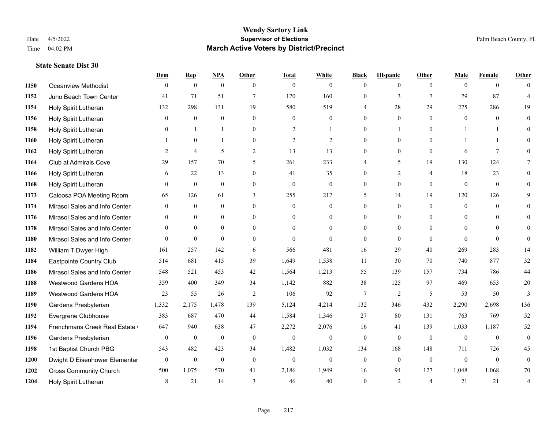#### **Wendy Sartory Link** Date 4/5/2022 **Supervisor of Elections** Palm Beach County, FL Time 04:02 PM **March Active Voters by District/Precinct**

# **Dem Rep NPA Other Total White Black Hispanic Other Male Female Other** Oceanview Methodist 0 0 0 0 0 0 0 0 0 0 0 0 Juno Beach Town Center 41 71 51 7 170 160 0 3 7 79 87 4 Holy Spirit Lutheran 132 298 131 19 580 519 4 28 29 275 286 19 Holy Spirit Lutheran 0 0 0 0 0 0 0 0 0 0 0 0 Holy Spirit Lutheran **0** 1 1 0 2 1 0 1 0 1 1 0 Holy Spirit Lutheran **1** 0 1 0 2 2 0 0 0 1 1 0 Holy Spirit Lutheran **2** 4 5 2 13 13 0 0 0 6 7 0 Club at Admirals Cove 29 157 70 5 261 233 4 5 19 130 124 7 Holy Spirit Lutheran **6** 22 13 0 41 35 0 2 4 18 23 0 Holy Spirit Lutheran 0 0 0 0 0 0 0 0 0 0 0 0 Caloosa POA Meeting Room 65 126 61 3 255 217 5 14 19 120 126 9 Mirasol Sales and Info Center 0 0 0 0 0 0 0 0 0 0 0 0 Mirasol Sales and Info Center 0 0 0 0 0 0 0 0 0 0 0 0 Mirasol Sales and Info Center 0 0 0 0 0 0 0 0 0 0 0 0 Mirasol Sales and Info Center 0 0 0 0 0 0 0 0 0 0 0 0 William T Dwyer High 161 257 142 6 566 481 16 29 40 269 283 14 Eastpointe Country Club 514 681 415 39 1,649 1,538 11 30 70 740 877 32 Mirasol Sales and Info Center 548 521 453 42 1,564 1,213 55 139 157 734 786 44 Westwood Gardens HOA 359 400 349 34 1,142 882 38 125 97 469 653 20 Westwood Gardens HOA 23 55 26 2 106 92 7 2 5 53 50 3 Gardens Presbyterian 1,332 2,175 1,478 139 5,124 4,214 132 346 432 2,290 2,698 136 Evergrene Clubhouse 383 687 470 44 1,584 1,346 27 80 131 763 769 52 1194 Frenchmans Creek Real Estate 647 940 638 47 2,272 2,076 16 41 139 1,033 1,187 52 Gardens Presbyterian 0 0 0 0 0 0 0 0 0 0 0 0 1st Baptist Church PBG 543 482 423 34 1,482 1,032 134 168 148 711 726 45 Dwight D Eisenhower Elementary 0 0 0 0 0 0 0 0 0 0 0 0 Cross Community Church 500 1,075 570 41 2,186 1,949 16 94 127 1,048 1,068 70 Holy Spirit Lutheran 8 21 14 3 46 40 0 2 4 21 21 4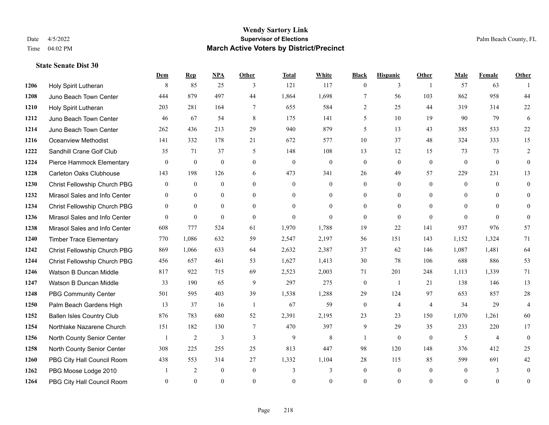#### **Wendy Sartory Link** Date 4/5/2022 **Supervisor of Elections** Palm Beach County, FL Time 04:02 PM **March Active Voters by District/Precinct**

# **Dem Rep NPA Other Total White Black Hispanic Other Male Female Other** Holy Spirit Lutheran 8 85 25 3 121 117 0 3 1 57 63 1 Juno Beach Town Center 444 879 497 44 1,864 1,698 7 56 103 862 958 44 Holy Spirit Lutheran 203 281 164 7 655 584 2 25 44 319 314 22 Juno Beach Town Center 46 67 54 8 175 141 5 10 19 90 79 6 Juno Beach Town Center 262 436 213 29 940 879 5 13 43 385 533 22 Oceanview Methodist 141 332 178 21 672 577 10 37 48 324 333 15 Sandhill Crane Golf Club 35 71 37 5 148 108 13 12 15 73 73 2 Pierce Hammock Elementary 0 0 0 0 0 0 0 0 0 0 0 0 Carleton Oaks Clubhouse 143 198 126 6 473 341 26 49 57 229 231 13 Christ Fellowship Church PBG 0 0 0 0 0 0 0 0 0 0 0 0 Mirasol Sales and Info Center 0 0 0 0 0 0 0 0 0 0 0 0 Christ Fellowship Church PBG 0 0 0 0 0 0 0 0 0 0 0 0 Mirasol Sales and Info Center 0 0 0 0 0 0 0 0 0 0 0 0 Mirasol Sales and Info Center 608 777 524 61 1,970 1,788 19 22 141 937 976 57 Timber Trace Elementary 770 1,086 632 59 2,547 2,197 56 151 143 1,152 1,324 71 Christ Fellowship Church PBG 869 1,066 633 64 2,632 2,387 37 62 146 1,087 1,481 64 Christ Fellowship Church PBG 456 657 461 53 1,627 1,413 30 78 106 688 886 53 Watson B Duncan Middle 817 922 715 69 2,523 2,003 71 201 248 1,113 1,339 71 Watson B Duncan Middle 33 190 65 9 297 275 0 1 21 138 146 13 PBG Community Center 501 595 403 39 1,538 1,288 29 124 97 653 857 28 Palm Beach Gardens High 13 37 16 1 67 59 0 4 4 34 29 4 Ballen Isles Country Club 876 783 680 52 2,391 2,195 23 23 150 1,070 1,261 60 Northlake Nazarene Church 151 182 130 7 470 397 9 29 35 233 220 17 North County Senior Center 1 2 3 3 3 9 8 1 0 0 5 4 0 North County Senior Center 308 225 255 25 813 447 98 120 148 376 412 25 PBG City Hall Council Room 438 553 314 27 1,332 1,104 28 115 85 599 691 42 1262 PBG Moose Lodge 2010 1 2 0 0 3 3 0 0 0 0 3 0 PBG City Hall Council Room 0 0 0 0 0 0 0 0 0 0 0 0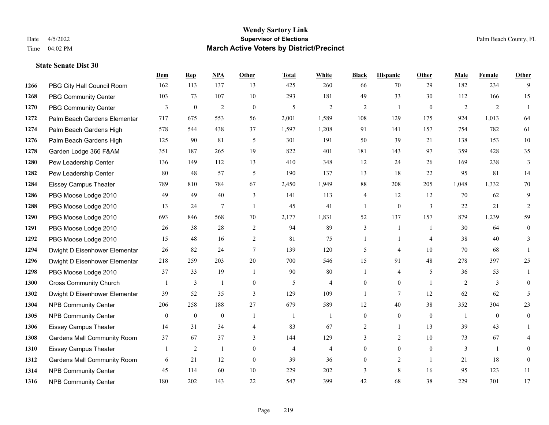|      |                                    | Dem          | <b>Rep</b>       | NPA              | <b>Other</b>   | <b>Total</b>   | <b>White</b>   | <b>Black</b>   | <b>Hispanic</b>  | <b>Other</b>     | <b>Male</b> | <b>Female</b>  | <b>Other</b>     |
|------|------------------------------------|--------------|------------------|------------------|----------------|----------------|----------------|----------------|------------------|------------------|-------------|----------------|------------------|
| 1266 | PBG City Hall Council Room         | 162          | 113              | 137              | 13             | 425            | 260            | 66             | 70               | 29               | 182         | 234            | 9                |
| 1268 | <b>PBG Community Center</b>        | 103          | 73               | 107              | 10             | 293            | 181            | 49             | 33               | 30               | 112         | 166            | 15               |
| 1270 | <b>PBG Community Center</b>        | 3            | $\mathbf{0}$     | $\overline{2}$   | $\theta$       | 5              | 2              | $\overline{2}$ | $\mathbf{1}$     | $\theta$         | 2           | $\overline{2}$ | $\mathbf{1}$     |
| 1272 | Palm Beach Gardens Elementar       | 717          | 675              | 553              | 56             | 2,001          | 1,589          | 108            | 129              | 175              | 924         | 1,013          | 64               |
| 1274 | Palm Beach Gardens High            | 578          | 544              | 438              | 37             | 1,597          | 1,208          | 91             | 141              | 157              | 754         | 782            | 61               |
| 1276 | Palm Beach Gardens High            | 125          | 90               | 81               | 5              | 301            | 191            | 50             | 39               | 21               | 138         | 153            | 10               |
| 1278 | Garden Lodge 366 F&AM              | 351          | 187              | 265              | 19             | 822            | 401            | 181            | 143              | 97               | 359         | 428            | 35               |
| 1280 | Pew Leadership Center              | 136          | 149              | 112              | 13             | 410            | 348            | 12             | 24               | 26               | 169         | 238            | 3                |
| 1282 | Pew Leadership Center              | 80           | 48               | 57               | 5              | 190            | 137            | 13             | 18               | 22               | 95          | 81             | 14               |
| 1284 | <b>Eissey Campus Theater</b>       | 789          | 810              | 784              | 67             | 2,450          | 1,949          | 88             | 208              | 205              | 1,048       | 1,332          | $70\,$           |
| 1286 | PBG Moose Lodge 2010               | 49           | 49               | 40               | 3              | 141            | 113            | 4              | 12               | 12               | 70          | 62             | 9                |
| 1288 | PBG Moose Lodge 2010               | 13           | 24               | 7                | $\overline{1}$ | 45             | 41             | 1              | $\mathbf{0}$     | 3                | 22          | 21             | 2                |
| 1290 | PBG Moose Lodge 2010               | 693          | 846              | 568              | 70             | 2,177          | 1,831          | 52             | 137              | 157              | 879         | 1,239          | 59               |
| 1291 | PBG Moose Lodge 2010               | 26           | 38               | 28               | $\sqrt{2}$     | 94             | 89             | 3              | 1                | $\overline{1}$   | 30          | 64             | $\boldsymbol{0}$ |
| 1292 | PBG Moose Lodge 2010               | 15           | 48               | 16               | 2              | 81             | 75             | 1              | 1                | $\overline{4}$   | 38          | 40             | 3                |
| 1294 | Dwight D Eisenhower Elementar      | 26           | 82               | 24               | $\tau$         | 139            | 120            | 5              | 4                | 10               | 70          | 68             | $\mathbf{1}$     |
| 1296 | Dwight D Eisenhower Elementar      | 218          | 259              | 203              | 20             | 700            | 546            | 15             | 91               | 48               | 278         | 397            | 25               |
| 1298 | PBG Moose Lodge 2010               | 37           | 33               | 19               |                | 90             | 80             |                | 4                | 5                | 36          | 53             |                  |
| 1300 | <b>Cross Community Church</b>      |              | 3                | 1                | $\overline{0}$ | 5              | $\overline{4}$ | $\mathbf{0}$   | $\overline{0}$   | $\overline{1}$   | 2           | 3              | $\theta$         |
| 1302 | Dwight D Eisenhower Elementar      | 39           | 52               | 35               | 3              | 129            | 109            | 1              | $\tau$           | 12               | 62          | 62             | 5                |
| 1304 | <b>NPB Community Center</b>        | 206          | 258              | 188              | 27             | 679            | 589            | 12             | 40               | 38               | 352         | 304            | 23               |
| 1305 | <b>NPB Community Center</b>        | $\mathbf{0}$ | $\boldsymbol{0}$ | $\boldsymbol{0}$ | -1             | $\mathbf{1}$   | 1              | $\overline{0}$ | $\overline{0}$   | $\boldsymbol{0}$ | -1          | $\mathbf{0}$   | $\mathbf{0}$     |
| 1306 | <b>Eissey Campus Theater</b>       | 14           | 31               | 34               | 4              | 83             | 67             | 2              | 1                | 13               | 39          | 43             |                  |
| 1308 | <b>Gardens Mall Community Room</b> | 37           | 67               | 37               | 3              | 144            | 129            | $\overline{3}$ | 2                | 10               | 73          | 67             |                  |
| 1310 | <b>Eissey Campus Theater</b>       |              | $\sqrt{2}$       | $\mathbf{1}$     | $\mathbf{0}$   | $\overline{4}$ | $\overline{4}$ | $\overline{0}$ | $\boldsymbol{0}$ | $\mathbf{0}$     | 3           | $\mathbf{1}$   | $\theta$         |
| 1312 | <b>Gardens Mall Community Room</b> | 6            | 21               | 12               | $\overline{0}$ | 39             | 36             | $\overline{0}$ | 2                | $\overline{1}$   | 21          | 18             | $\overline{0}$   |
| 1314 | <b>NPB Community Center</b>        | 45           | 114              | 60               | 10             | 229            | 202            | 3              | 8                | 16               | 95          | 123            | 11               |
| 1316 | <b>NPB Community Center</b>        | 180          | 202              | 143              | 22             | 547            | 399            | 42             | 68               | 38               | 229         | 301            | 17               |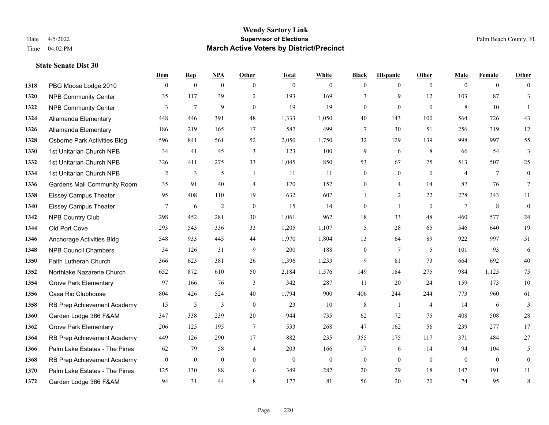#### **Wendy Sartory Link** Date 4/5/2022 **Supervisor of Elections** Palm Beach County, FL Time 04:02 PM **March Active Voters by District/Precinct**

# **Dem Rep NPA Other Total White Black Hispanic Other Male Female Other** PBG Moose Lodge 2010 0 0 0 0 0 0 0 0 0 0 0 0 NPB Community Center 35 117 39 2 193 169 3 9 12 103 87 3 **1322 NPB Community Center** 3 7 9 0 19 19 0 0 0 8 10 1 Allamanda Elementary 448 446 391 48 1,333 1,050 40 143 100 564 726 43 Allamanda Elementary 186 219 165 17 587 499 7 30 51 256 319 12 Osborne Park Activities Bldg 596 841 561 52 2,050 1,750 32 129 139 998 997 55 1st Unitarian Church NPB 34 41 45 3 123 100 9 6 8 66 54 3 1st Unitarian Church NPB 326 411 275 33 1,045 850 53 67 75 513 507 25 1334 1st Unitarian Church NPB 2 3 5 1 11 11 0 0 0 4 7 0 Gardens Mall Community Room 35 91 40 4 170 152 0 4 14 87 76 7 Eissey Campus Theater 95 408 110 19 632 607 1 2 22 278 343 11 Eissey Campus Theater  $\begin{array}{cccccccc} 7 & 6 & 2 & 0 & 15 & 14 & 0 & 1 & 0 & 7 & 8 & 0 \end{array}$  NPB Country Club 298 452 281 30 1,061 962 18 33 48 460 577 24 Old Port Cove 293 543 336 33 1,205 1,107 5 28 65 546 640 19 Anchorage Activities Bldg 548 933 445 44 1,970 1,804 13 64 89 922 997 51 1348 NPB Council Chambers 34 126 31 9 200 188 0 7 5 101 93 6 Faith Lutheran Church 366 623 381 26 1,396 1,233 9 81 73 664 692 40 Northlake Nazarene Church 652 872 610 50 2,184 1,576 149 184 275 984 1,125 75 Grove Park Elementary 97 166 76 3 342 287 11 20 24 159 173 10 Casa Rio Clubhouse 804 426 524 40 1,794 900 406 244 244 773 960 61 RB Prep Achievement Academy 15 5 3 0 23 10 8 1 4 14 6 3 Garden Lodge 366 F&AM 347 338 239 20 944 735 62 72 75 408 508 28 Grove Park Elementary 206 125 195 7 533 268 47 162 56 239 277 17 RB Prep Achievement Academy 449 126 290 17 882 235 355 175 117 371 484 27 Palm Lake Estates - The Pines 62 79 58 4 203 166 17 6 14 94 104 5 RB Prep Achievement Academy 0 0 0 0 0 0 0 0 0 0 0 0 Palm Lake Estates - The Pines 125 130 88 6 349 282 20 29 18 147 191 11 Garden Lodge 366 F&AM 94 31 44 8 177 81 56 20 20 74 95 8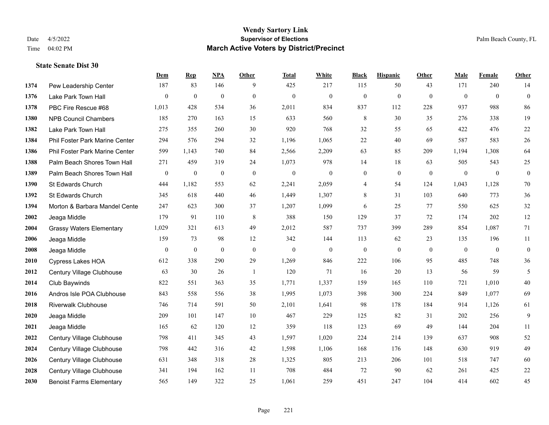|      |                                 | Dem            | <b>Rep</b>       | NPA              | <b>Other</b>   | <b>Total</b>     | <b>White</b>     | <b>Black</b>     | <b>Hispanic</b>  | <b>Other</b> | <b>Male</b>  | Female       | <b>Other</b>     |
|------|---------------------------------|----------------|------------------|------------------|----------------|------------------|------------------|------------------|------------------|--------------|--------------|--------------|------------------|
| 1374 | Pew Leadership Center           | 187            | 83               | 146              | 9              | 425              | 217              | 115              | 50               | 43           | 171          | 240          | 14               |
| 1376 | Lake Park Town Hall             | $\overline{0}$ | $\mathbf{0}$     | $\mathbf{0}$     | $\overline{0}$ | $\mathbf{0}$     | $\mathbf{0}$     | $\mathbf{0}$     | $\mathbf{0}$     | $\theta$     | $\theta$     | $\theta$     | $\mathbf{0}$     |
| 1378 | PBC Fire Rescue #68             | 1,013          | 428              | 534              | 36             | 2,011            | 834              | 837              | 112              | 228          | 937          | 988          | 86               |
| 1380 | <b>NPB Council Chambers</b>     | 185            | 270              | 163              | 15             | 633              | 560              | $\,$ 8 $\,$      | 30               | 35           | 276          | 338          | 19               |
| 1382 | Lake Park Town Hall             | 275            | 355              | 260              | 30             | 920              | 768              | 32               | 55               | 65           | 422          | 476          | $22\,$           |
| 1384 | Phil Foster Park Marine Center  | 294            | 576              | 294              | 32             | 1,196            | 1,065            | 22               | 40               | 69           | 587          | 583          | $26\,$           |
| 1386 | Phil Foster Park Marine Center  | 599            | 1,143            | 740              | 84             | 2,566            | 2,209            | 63               | 85               | 209          | 1,194        | 1,308        | 64               |
| 1388 | Palm Beach Shores Town Hall     | 271            | 459              | 319              | 24             | 1,073            | 978              | 14               | 18               | 63           | 505          | 543          | 25               |
| 1389 | Palm Beach Shores Town Hall     | $\mathbf{0}$   | $\boldsymbol{0}$ | $\boldsymbol{0}$ | $\mathbf{0}$   | $\boldsymbol{0}$ | $\boldsymbol{0}$ | $\boldsymbol{0}$ | $\boldsymbol{0}$ | $\mathbf{0}$ | $\mathbf{0}$ | $\mathbf{0}$ | $\boldsymbol{0}$ |
| 1390 | St Edwards Church               | 444            | 1,182            | 553              | 62             | 2,241            | 2,059            | 4                | 54               | 124          | 1,043        | 1,128        | $70\,$           |
| 1392 | St Edwards Church               | 345            | 618              | 440              | 46             | 1,449            | 1,307            | $\,8\,$          | 31               | 103          | 640          | 773          | 36               |
| 1394 | Morton & Barbara Mandel Cente   | 247            | 623              | 300              | 37             | 1,207            | 1,099            | 6                | 25               | 77           | 550          | 625          | $32\,$           |
| 2002 | Jeaga Middle                    | 179            | 91               | 110              | 8              | 388              | 150              | 129              | 37               | 72           | 174          | 202          | $12\,$           |
| 2004 | <b>Grassy Waters Elementary</b> | 1,029          | 321              | 613              | 49             | 2,012            | 587              | 737              | 399              | 289          | 854          | 1,087        | 71               |
| 2006 | Jeaga Middle                    | 159            | 73               | 98               | 12             | 342              | 144              | 113              | 62               | 23           | 135          | 196          | 11               |
| 2008 | Jeaga Middle                    | $\mathbf{0}$   | $\boldsymbol{0}$ | $\mathbf{0}$     | $\mathbf{0}$   | $\mathbf{0}$     | $\boldsymbol{0}$ | $\boldsymbol{0}$ | $\mathbf{0}$     | $\mathbf{0}$ | $\mathbf{0}$ | $\mathbf{0}$ | $\boldsymbol{0}$ |
| 2010 | Cypress Lakes HOA               | 612            | 338              | 290              | 29             | 1,269            | 846              | 222              | 106              | 95           | 485          | 748          | 36               |
| 2012 | Century Village Clubhouse       | 63             | 30               | 26               | $\overline{1}$ | 120              | 71               | 16               | 20               | 13           | 56           | 59           | 5                |
| 2014 | Club Baywinds                   | 822            | 551              | 363              | 35             | 1,771            | 1,337            | 159              | 165              | 110          | 721          | 1,010        | 40               |
| 2016 | Andros Isle POA Clubhouse       | 843            | 558              | 556              | 38             | 1,995            | 1,073            | 398              | 300              | 224          | 849          | 1,077        | 69               |
| 2018 | <b>Riverwalk Clubhouse</b>      | 746            | 714              | 591              | 50             | 2,101            | 1,641            | 98               | 178              | 184          | 914          | 1,126        | 61               |
| 2020 | Jeaga Middle                    | 209            | 101              | 147              | 10             | 467              | 229              | 125              | 82               | 31           | 202          | 256          | 9                |
| 2021 | Jeaga Middle                    | 165            | 62               | 120              | 12             | 359              | 118              | 123              | 69               | 49           | 144          | 204          | $11\,$           |
| 2022 | Century Village Clubhouse       | 798            | 411              | 345              | 43             | 1,597            | 1,020            | 224              | 214              | 139          | 637          | 908          | 52               |
| 2024 | Century Village Clubhouse       | 798            | 442              | 316              | 42             | 1,598            | 1,106            | 168              | 176              | 148          | 630          | 919          | 49               |
| 2026 | Century Village Clubhouse       | 631            | 348              | 318              | 28             | 1,325            | 805              | 213              | 206              | 101          | 518          | 747          | 60               |
| 2028 | Century Village Clubhouse       | 341            | 194              | 162              | 11             | 708              | 484              | 72               | 90               | 62           | 261          | 425          | $22\,$           |
| 2030 | <b>Benoist Farms Elementary</b> | 565            | 149              | 322              | 25             | 1,061            | 259              | 451              | 247              | 104          | 414          | 602          | 45               |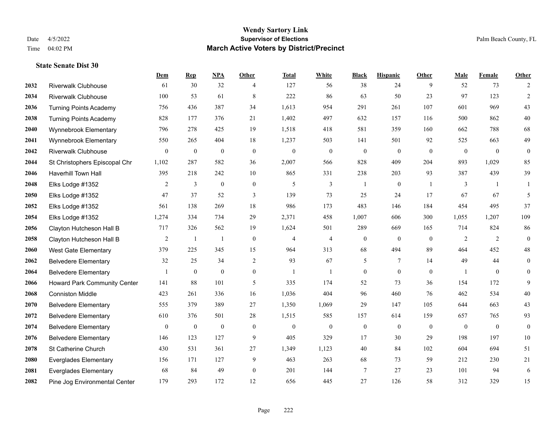|      |                               | Dem              | <b>Rep</b>       | NPA              | <b>Other</b>     | <b>Total</b>     | <b>White</b>     | <b>Black</b>     | <b>Hispanic</b>  | <b>Other</b>   | <b>Male</b>      | <b>Female</b>  | <b>Other</b>     |
|------|-------------------------------|------------------|------------------|------------------|------------------|------------------|------------------|------------------|------------------|----------------|------------------|----------------|------------------|
| 2032 | <b>Riverwalk Clubhouse</b>    | 61               | 30               | 32               | 4                | 127              | 56               | 38               | 24               | 9              | 52               | 73             | 2                |
| 2034 | <b>Riverwalk Clubhouse</b>    | 100              | 53               | 61               | 8                | 222              | 86               | 63               | 50               | 23             | 97               | 123            | $\overline{2}$   |
| 2036 | <b>Turning Points Academy</b> | 756              | 436              | 387              | 34               | 1,613            | 954              | 291              | 261              | 107            | 601              | 969            | 43               |
| 2038 | <b>Turning Points Academy</b> | 828              | 177              | 376              | 21               | 1,402            | 497              | 632              | 157              | 116            | 500              | 862            | $40\,$           |
| 2040 | Wynnebrook Elementary         | 796              | 278              | 425              | 19               | 1,518            | 418              | 581              | 359              | 160            | 662              | 788            | 68               |
| 2041 | Wynnebrook Elementary         | 550              | 265              | 404              | 18               | 1,237            | 503              | 141              | 501              | 92             | 525              | 663            | 49               |
| 2042 | Riverwalk Clubhouse           | $\boldsymbol{0}$ | $\boldsymbol{0}$ | $\boldsymbol{0}$ | $\boldsymbol{0}$ | $\boldsymbol{0}$ | $\boldsymbol{0}$ | $\boldsymbol{0}$ | $\boldsymbol{0}$ | $\mathbf{0}$   | $\boldsymbol{0}$ | $\mathbf{0}$   | $\boldsymbol{0}$ |
| 2044 | St Christophers Episcopal Chr | 1,102            | 287              | 582              | 36               | 2,007            | 566              | 828              | 409              | 204            | 893              | 1,029          | 85               |
| 2046 | <b>Haverhill Town Hall</b>    | 395              | 218              | 242              | 10               | 865              | 331              | 238              | 203              | 93             | 387              | 439            | 39               |
| 2048 | Elks Lodge #1352              | 2                | 3                | $\mathbf{0}$     | $\mathbf{0}$     | 5                | $\overline{3}$   | 1                | $\mathbf{0}$     | $\overline{1}$ | 3                | $\overline{1}$ | 1                |
| 2050 | Elks Lodge #1352              | 47               | 37               | 52               | 3                | 139              | 73               | 25               | 24               | 17             | 67               | 67             | 5                |
| 2052 | Elks Lodge #1352              | 561              | 138              | 269              | 18               | 986              | 173              | 483              | 146              | 184            | 454              | 495            | 37               |
| 2054 | Elks Lodge #1352              | 1,274            | 334              | 734              | 29               | 2,371            | 458              | 1,007            | 606              | 300            | 1,055            | 1,207          | 109              |
| 2056 | Clayton Hutcheson Hall B      | 717              | 326              | 562              | 19               | 1,624            | 501              | 289              | 669              | 165            | 714              | 824            | 86               |
| 2058 | Clayton Hutcheson Hall B      | 2                | 1                | $\overline{1}$   | $\mathbf{0}$     | $\overline{4}$   | $\overline{4}$   | $\boldsymbol{0}$ | $\mathbf{0}$     | $\overline{0}$ | 2                | 2              | $\boldsymbol{0}$ |
| 2060 | <b>West Gate Elementary</b>   | 379              | 225              | 345              | 15               | 964              | 313              | 68               | 494              | 89             | 464              | 452            | $48\,$           |
| 2062 | <b>Belvedere Elementary</b>   | 32               | 25               | 34               | $\overline{2}$   | 93               | 67               | 5                | 7                | 14             | 49               | 44             | $\mathbf{0}$     |
| 2064 | <b>Belvedere Elementary</b>   |                  | $\boldsymbol{0}$ | $\mathbf{0}$     | $\overline{0}$   |                  | $\mathbf{1}$     | $\boldsymbol{0}$ | $\mathbf{0}$     | $\theta$       |                  | $\overline{0}$ | $\mathbf{0}$     |
| 2066 | Howard Park Community Center  | 141              | 88               | 101              | 5                | 335              | 174              | 52               | 73               | 36             | 154              | 172            | 9                |
| 2068 | <b>Conniston Middle</b>       | 423              | 261              | 336              | 16               | 1,036            | 404              | 96               | 460              | 76             | 462              | 534            | 40               |
| 2070 | <b>Belvedere Elementary</b>   | 555              | 379              | 389              | 27               | 1,350            | 1,069            | 29               | 147              | 105            | 644              | 663            | 43               |
| 2072 | <b>Belvedere Elementary</b>   | 610              | 376              | 501              | 28               | 1,515            | 585              | 157              | 614              | 159            | 657              | 765            | 93               |
| 2074 | <b>Belvedere Elementary</b>   | $\overline{0}$   | $\boldsymbol{0}$ | $\boldsymbol{0}$ | $\overline{0}$   | $\mathbf{0}$     | $\boldsymbol{0}$ | $\boldsymbol{0}$ | $\mathbf{0}$     | $\overline{0}$ | $\mathbf{0}$     | $\overline{0}$ | $\boldsymbol{0}$ |
| 2076 | <b>Belvedere Elementary</b>   | 146              | 123              | 127              | 9                | 405              | 329              | 17               | 30               | 29             | 198              | 197            | 10               |
| 2078 | St Catherine Church           | 430              | 531              | 361              | 27               | 1,349            | 1,123            | $40\,$           | 84               | 102            | 604              | 694            | 51               |
| 2080 | <b>Everglades Elementary</b>  | 156              | 171              | 127              | 9                | 463              | 263              | 68               | 73               | 59             | 212              | 230            | 21               |
| 2081 | <b>Everglades Elementary</b>  | 68               | 84               | 49               | $\overline{0}$   | 201              | 144              | 7                | 27               | 23             | 101              | 94             | 6                |
| 2082 | Pine Jog Environmental Center | 179              | 293              | 172              | 12               | 656              | 445              | 27               | 126              | 58             | 312              | 329            | 15               |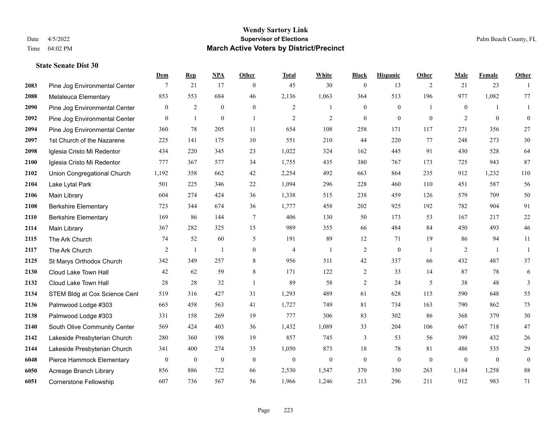|      |                               | Dem              | <b>Rep</b>     | NPA              | <b>Other</b>     | <b>Total</b>   | <b>White</b>   | <b>Black</b>     | <b>Hispanic</b> | <b>Other</b>   | <b>Male</b>  | Female         | <b>Other</b>     |
|------|-------------------------------|------------------|----------------|------------------|------------------|----------------|----------------|------------------|-----------------|----------------|--------------|----------------|------------------|
| 2083 | Pine Jog Environmental Center | 7                | 21             | 17               | $\mathbf{0}$     | 45             | 30             | $\boldsymbol{0}$ | 13              | 2              | 21           | 23             | $\overline{1}$   |
| 2088 | Melaleuca Elementary          | 853              | 553            | 684              | 46               | 2,136          | 1,063          | 364              | 513             | 196            | 977          | 1,082          | 77               |
| 2090 | Pine Jog Environmental Center | $\overline{0}$   | 2              | $\mathbf{0}$     | $\boldsymbol{0}$ | 2              | $\mathbf{1}$   | $\boldsymbol{0}$ | $\mathbf{0}$    | $\overline{1}$ | $\mathbf{0}$ | -1             | 1                |
| 2092 | Pine Jog Environmental Center | $\overline{0}$   | 1              | $\boldsymbol{0}$ | 1                | $\overline{2}$ | $\overline{2}$ | $\boldsymbol{0}$ | $\mathbf{0}$    | $\mathbf{0}$   | 2            | $\mathbf{0}$   | $\boldsymbol{0}$ |
| 2094 | Pine Jog Environmental Center | 360              | 78             | 205              | 11               | 654            | 108            | 258              | 171             | 117            | 271          | 356            | 27               |
| 2097 | 1st Church of the Nazarene    | 225              | 141            | 175              | 10               | 551            | 210            | 44               | 220             | 77             | 248          | 273            | $30\,$           |
| 2098 | Iglesia Cristo Mi Redentor    | 434              | 220            | 345              | 23               | 1,022          | 324            | 162              | 445             | 91             | 430          | 528            | 64               |
| 2100 | Iglesia Cristo Mi Redentor    | 777              | 367            | 577              | 34               | 1,755          | 435            | 380              | 767             | 173            | 725          | 943            | 87               |
| 2102 | Union Congregational Church   | 1,192            | 358            | 662              | 42               | 2,254          | 492            | 663              | 864             | 235            | 912          | 1,232          | 110              |
| 2104 | Lake Lytal Park               | 501              | 225            | 346              | 22               | 1,094          | 296            | 228              | 460             | 110            | 451          | 587            | 56               |
| 2106 | Main Library                  | 604              | 274            | 424              | 36               | 1,338          | 515            | 238              | 459             | 126            | 579          | 709            | 50               |
| 2108 | <b>Berkshire Elementary</b>   | 723              | 344            | 674              | 36               | 1,777          | 458            | 202              | 925             | 192            | 782          | 904            | 91               |
| 2110 | <b>Berkshire Elementary</b>   | 169              | 86             | 144              | $\tau$           | 406            | 130            | 50               | 173             | 53             | 167          | 217            | 22               |
| 2114 | Main Library                  | 367              | 282            | 325              | 15               | 989            | 355            | 66               | 484             | 84             | 450          | 493            | $46\,$           |
| 2115 | The Ark Church                | 74               | 52             | 60               | 5                | 191            | 89             | 12               | 71              | 19             | 86           | 94             | 11               |
| 2117 | The Ark Church                | 2                | $\overline{1}$ | $\mathbf{1}$     | $\boldsymbol{0}$ | $\overline{4}$ | 1              | 2                | $\overline{0}$  | $\overline{1}$ | 2            | $\overline{1}$ | 1                |
| 2125 | St Marys Orthodox Church      | 342              | 349            | 257              | $\,$ 8 $\,$      | 956            | 511            | $42\,$           | 337             | 66             | 432          | 487            | 37               |
| 2130 | Cloud Lake Town Hall          | 42               | 62             | 59               | 8                | 171            | 122            | $\overline{2}$   | 33              | 14             | 87           | 78             | 6                |
| 2132 | Cloud Lake Town Hall          | 28               | 28             | 32               | $\mathbf{1}$     | 89             | 58             | $\overline{c}$   | 24              | 5              | 38           | 48             | $\mathfrak{Z}$   |
| 2134 | STEM Bldg at Cox Science Cent | 519              | 316            | 427              | 31               | 1,293          | 489            | 61               | 628             | 115            | 590          | 648            | 55               |
| 2136 | Palmwood Lodge #303           | 665              | 458            | 563              | 41               | 1,727          | 749            | 81               | 734             | 163            | 790          | 862            | 75               |
| 2138 | Palmwood Lodge #303           | 331              | 158            | 269              | 19               | 777            | 306            | 83               | 302             | 86             | 368          | 379            | $30\,$           |
| 2140 | South Olive Community Center  | 569              | 424            | 403              | 36               | 1,432          | 1,089          | 33               | 204             | 106            | 667          | 718            | 47               |
| 2142 | Lakeside Presbyterian Church  | 280              | 360            | 198              | 19               | 857            | 745            | 3                | 53              | 56             | 399          | 432            | 26               |
| 2144 | Lakeside Presbyterian Church  | 341              | 400            | 274              | 35               | 1,050          | 873            | 18               | 78              | 81             | 486          | 535            | 29               |
| 6048 | Pierce Hammock Elementary     | $\boldsymbol{0}$ | $\mathbf{0}$   | $\boldsymbol{0}$ | $\mathbf{0}$     | $\theta$       | $\mathbf{0}$   | $\boldsymbol{0}$ | $\mathbf{0}$    | $\mathbf{0}$   | $\mathbf{0}$ | $\mathbf{0}$   | $\boldsymbol{0}$ |
| 6050 | Acreage Branch Library        | 856              | 886            | 722              | 66               | 2,530          | 1,547          | 370              | 350             | 263            | 1,184        | 1,258          | 88               |
| 6051 | <b>Cornerstone Fellowship</b> | 607              | 736            | 567              | 56               | 1,966          | 1,246          | 213              | 296             | 211            | 912          | 983            | 71               |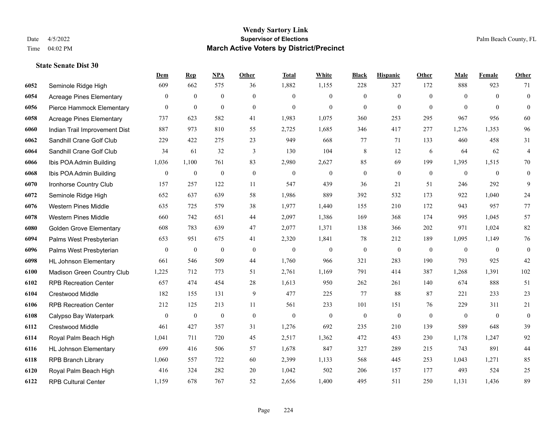|      |                                 | Dem            | <b>Rep</b>       | NPA              | <b>Other</b>     | <b>Total</b>     | White            | <b>Black</b>     | <b>Hispanic</b>  | <b>Other</b> | <b>Male</b>      | Female         | <b>Other</b>     |
|------|---------------------------------|----------------|------------------|------------------|------------------|------------------|------------------|------------------|------------------|--------------|------------------|----------------|------------------|
| 6052 | Seminole Ridge High             | 609            | 662              | 575              | 36               | 1,882            | 1,155            | 228              | 327              | 172          | 888              | 923            | 71               |
| 6054 | Acreage Pines Elementary        | $\mathbf{0}$   | $\mathbf{0}$     | $\mathbf{0}$     | $\overline{0}$   | $\theta$         | $\overline{0}$   | $\mathbf{0}$     | $\mathbf{0}$     | $\theta$     | $\theta$         | $\theta$       | $\boldsymbol{0}$ |
| 6056 | Pierce Hammock Elementary       | $\overline{0}$ | $\mathbf{0}$     | $\mathbf{0}$     | $\theta$         | $\theta$         | $\Omega$         | $\theta$         | $\mathbf{0}$     | $\theta$     | $\theta$         | $\Omega$       | $\theta$         |
| 6058 | <b>Acreage Pines Elementary</b> | 737            | 623              | 582              | 41               | 1,983            | 1,075            | 360              | 253              | 295          | 967              | 956            | 60               |
| 6060 | Indian Trail Improvement Dist   | 887            | 973              | 810              | 55               | 2,725            | 1,685            | 346              | 417              | 277          | 1,276            | 1,353          | 96               |
| 6062 | Sandhill Crane Golf Club        | 229            | 422              | 275              | 23               | 949              | 668              | 77               | 71               | 133          | 460              | 458            | 31               |
| 6064 | Sandhill Crane Golf Club        | 34             | 61               | 32               | 3                | 130              | 104              | $\,$ 8 $\,$      | 12               | 6            | 64               | 62             | $\overline{4}$   |
| 6066 | Ibis POA Admin Building         | 1,036          | 1,100            | 761              | 83               | 2,980            | 2,627            | 85               | 69               | 199          | 1,395            | 1,515          | 70               |
| 6068 | Ibis POA Admin Building         | $\mathbf{0}$   | $\boldsymbol{0}$ | $\boldsymbol{0}$ | $\boldsymbol{0}$ | $\boldsymbol{0}$ | $\boldsymbol{0}$ | $\boldsymbol{0}$ | $\mathbf{0}$     | $\mathbf{0}$ | $\mathbf{0}$     | $\mathbf{0}$   | $\mathbf{0}$     |
| 6070 | Ironhorse Country Club          | 157            | 257              | 122              | 11               | 547              | 439              | 36               | 21               | 51           | 246              | 292            | 9                |
| 6072 | Seminole Ridge High             | 652            | 637              | 639              | 58               | 1,986            | 889              | 392              | 532              | 173          | 922              | 1,040          | $24\,$           |
| 6076 | <b>Western Pines Middle</b>     | 635            | 725              | 579              | 38               | 1,977            | 1,440            | 155              | 210              | 172          | 943              | 957            | $77\,$           |
| 6078 | <b>Western Pines Middle</b>     | 660            | 742              | 651              | 44               | 2,097            | 1,386            | 169              | 368              | 174          | 995              | 1,045          | 57               |
| 6080 | <b>Golden Grove Elementary</b>  | 608            | 783              | 639              | 47               | 2,077            | 1,371            | 138              | 366              | 202          | 971              | 1,024          | 82               |
| 6094 | Palms West Presbyterian         | 653            | 951              | 675              | 41               | 2,320            | 1,841            | 78               | 212              | 189          | 1,095            | 1,149          | 76               |
| 6096 | Palms West Presbyterian         | $\mathbf{0}$   | $\boldsymbol{0}$ | $\boldsymbol{0}$ | $\mathbf{0}$     | $\mathbf{0}$     | $\boldsymbol{0}$ | $\boldsymbol{0}$ | $\boldsymbol{0}$ | $\theta$     | $\mathbf{0}$     | $\overline{0}$ | $\mathbf{0}$     |
| 6098 | <b>HL Johnson Elementary</b>    | 661            | 546              | 509              | 44               | 1,760            | 966              | 321              | 283              | 190          | 793              | 925            | 42               |
| 6100 | Madison Green Country Club      | 1,225          | 712              | 773              | 51               | 2,761            | 1,169            | 791              | 414              | 387          | 1,268            | 1,391          | 102              |
| 6102 | <b>RPB Recreation Center</b>    | 657            | 474              | 454              | 28               | 1,613            | 950              | 262              | 261              | 140          | 674              | 888            | 51               |
| 6104 | <b>Crestwood Middle</b>         | 182            | 155              | 131              | 9                | 477              | 225              | 77               | 88               | 87           | 221              | 233            | 23               |
| 6106 | <b>RPB Recreation Center</b>    | 212            | 125              | 213              | 11               | 561              | 233              | 101              | 151              | 76           | 229              | 311            | 21               |
| 6108 | Calypso Bay Waterpark           | $\mathbf{0}$   | $\boldsymbol{0}$ | $\boldsymbol{0}$ | $\mathbf{0}$     | $\mathbf{0}$     | $\boldsymbol{0}$ | $\boldsymbol{0}$ | $\boldsymbol{0}$ | $\mathbf{0}$ | $\boldsymbol{0}$ | $\mathbf{0}$   | $\boldsymbol{0}$ |
| 6112 | <b>Crestwood Middle</b>         | 461            | 427              | 357              | 31               | 1,276            | 692              | 235              | 210              | 139          | 589              | 648            | 39               |
| 6114 | Royal Palm Beach High           | 1,041          | 711              | 720              | 45               | 2,517            | 1,362            | 472              | 453              | 230          | 1,178            | 1,247          | 92               |
| 6116 | <b>HL Johnson Elementary</b>    | 699            | 416              | 506              | 57               | 1,678            | 847              | 327              | 289              | 215          | 743              | 891            | $44\,$           |
| 6118 | <b>RPB Branch Library</b>       | 1,060          | 557              | 722              | 60               | 2,399            | 1,133            | 568              | 445              | 253          | 1,043            | 1,271          | 85               |
| 6120 | Royal Palm Beach High           | 416            | 324              | 282              | 20               | 1,042            | 502              | 206              | 157              | 177          | 493              | 524            | 25               |
| 6122 | <b>RPB Cultural Center</b>      | 1,159          | 678              | 767              | 52               | 2,656            | 1,400            | 495              | 511              | 250          | 1,131            | 1,436          | 89               |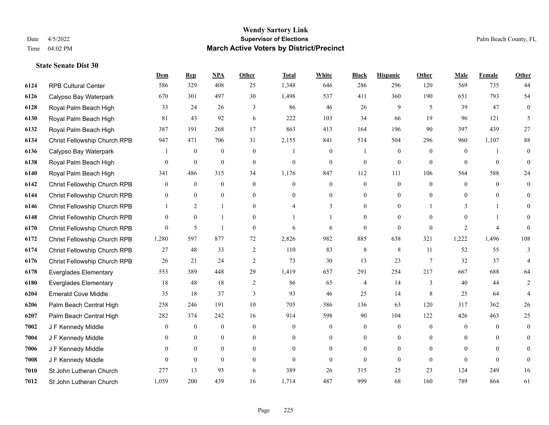#### **Wendy Sartory Link** Date 4/5/2022 **Supervisor of Elections** Palm Beach County, FL Time 04:02 PM **March Active Voters by District/Precinct**

RPB Cultural Center 586 329 408 25 1,348 646 286 296 120 569 735 44

**Dem Rep NPA Other Total White Black Hispanic Other Male Female Other**

# Calypso Bay Waterpark 670 301 497 30 1,498 537 411 360 190 651 793 54 Royal Palm Beach High 33 24 26 3 86 46 26 9 5 39 47 0 Royal Palm Beach High 81 43 92 6 222 103 34 66 19 96 121 5 Royal Palm Beach High 387 191 268 17 863 413 164 196 90 397 439 27 Christ Fellowship Church RPB 947 471 706 31 2,155 841 514 504 296 960 1,107 88

| 6136 | Calypso Bay Waterpark        |                | $\theta$         | 0                | $\Omega$       |          | $\Omega$       |                | $\Omega$       | $\Omega$      |                |          | $\theta$       |
|------|------------------------------|----------------|------------------|------------------|----------------|----------|----------------|----------------|----------------|---------------|----------------|----------|----------------|
| 6138 | Royal Palm Beach High        | $\Omega$       | $\overline{0}$   | 0                | $\Omega$       | $\Omega$ | $\Omega$       | $\Omega$       | $\Omega$       | $\Omega$      | $\Omega$       | $\theta$ | $\Omega$       |
| 6140 | Royal Palm Beach High        | 341            | 486              | 315              | 34             | 1,176    | 847            | 112            | 111            | 106           | 564            | 588      | 24             |
| 6142 | Christ Fellowship Church RPB | $\theta$       | $\overline{0}$   | 0                | $\Omega$       | $\Omega$ | $\Omega$       | $\Omega$       | $\Omega$       | $\theta$      | $\theta$       | $\Omega$ | $\mathbf{0}$   |
| 6144 | Christ Fellowship Church RPB | $\Omega$       | $\Omega$         | 0                | $\theta$       | $\Omega$ | $\Omega$       | 0              | $\Omega$       | $\Omega$      | $\Omega$       | $\theta$ | $\overline{0}$ |
| 6146 | Christ Fellowship Church RPB |                | 2                |                  | $\theta$       | 4        | 3              | 0              | $\overline{0}$ |               | 3              |          | $\overline{0}$ |
| 6148 | Christ Fellowship Church RPB | $\overline{0}$ | $\overline{0}$   |                  | $\theta$       |          |                |                | $\overline{0}$ | $\Omega$      | $\theta$       |          | $\theta$       |
| 6170 | Christ Fellowship Church RPB | $\theta$       | 5                |                  | $\Omega$       | 6        | 6              | $\Omega$       | $\theta$       | $\theta$      | 2              | 4        | $\theta$       |
| 6172 | Christ Fellowship Church RPB | 1,280          | 597              | 877              | 72             | 2,826    | 982            | 885            | 638            | 321           | 1,222          | 1,496    | 108            |
| 6174 | Christ Fellowship Church RPB | 27             | 48               | 33               | $\overline{2}$ | 110      | 83             | 8              | 8              | 11            | 52             | 55       | 3              |
| 6176 | Christ Fellowship Church RPB | 26             | 21               | 24               | 2              | 73       | 30             | 13             | 23             | 7             | 32             | 37       |                |
| 6178 | <b>Everglades Elementary</b> | 553            | 389              | 448              | 29             | 1,419    | 657            | 291            | 254            | 217           | 667            | 688      | 64             |
| 6180 | <b>Everglades Elementary</b> | 18             | 48               | 18               | $\overline{2}$ | 86       | 65             | 4              | 14             | $\mathcal{F}$ | 40             | 44       | 2              |
| 6204 | <b>Emerald Cove Middle</b>   | 35             | 18               | 37               | 3              | 93       | 46             | 25             | 14             | 8             | 25             | 64       |                |
| 6206 | Palm Beach Central High      | 258            | 246              | 191              | 10             | 705      | 386            | 136            | 63             | 120           | 317            | 362      | 26             |
| 6207 | Palm Beach Central High      | 282            | 374              | 242              | 16             | 914      | 598            | 90             | 104            | 122           | 426            | 463      | 25             |
| 7002 | J F Kennedy Middle           | $\theta$       | $\boldsymbol{0}$ | 0                | $\overline{0}$ | $\theta$ | $\overline{0}$ | $\overline{0}$ | $\overline{0}$ | $\theta$      | $\overline{0}$ | $\Omega$ | $\overline{0}$ |
| 7004 | J F Kennedy Middle           | $\theta$       | $\overline{0}$   | $\boldsymbol{0}$ | $\mathbf{0}$   | $\Omega$ | $\overline{0}$ |                | $\overline{0}$ | $\Omega$      | $\theta$       | $\theta$ | $\overline{0}$ |
| 7006 | J F Kennedy Middle           | $\theta$       | $\theta$         | 0                | $\theta$       | $\Omega$ | $\theta$       | 0              | $\theta$       | $\Omega$      | $\Omega$       | $\theta$ | $\overline{0}$ |
| 7008 | J F Kennedy Middle           | $\Omega$       | $\overline{0}$   | 0                | $\theta$       | $\theta$ | $\theta$       | $\Omega$       | $\Omega$       | $\Omega$      | $\Omega$       | $\Omega$ | $\overline{0}$ |
| 7010 | St John Lutheran Church      | 277            | 13               | 93               | 6              | 389      | 26             | 315            | 25             | 23            | 124            | 249      | 16             |
| 7012 | St John Lutheran Church      | 1,059          | 200              | 439              | 16             | 1,714    | 487            | 999            | 68             | 160           | 789            | 864      | 61             |
|      |                              |                |                  |                  |                |          |                |                |                |               |                |          |                |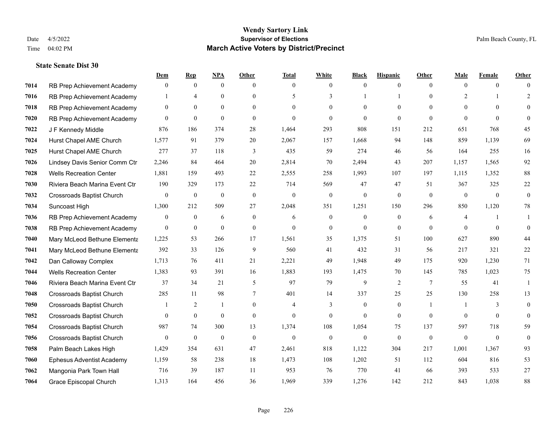|      |                                  | Dem            | <b>Rep</b>       | NPA              | <b>Other</b>   | <b>Total</b>   | <b>White</b>     | <b>Black</b> | <b>Hispanic</b> | <b>Other</b>   | <b>Male</b>    | Female         | <b>Other</b> |
|------|----------------------------------|----------------|------------------|------------------|----------------|----------------|------------------|--------------|-----------------|----------------|----------------|----------------|--------------|
| 7014 | RB Prep Achievement Academy      | $\mathbf{0}$   | $\mathbf{0}$     | $\mathbf{0}$     | $\theta$       | $\theta$       | $\mathbf{0}$     | $\theta$     | $\mathbf{0}$    | $\theta$       | $\theta$       | $\theta$       | $\Omega$     |
| 7016 | RB Prep Achievement Academy      |                | $\overline{4}$   | $\theta$         | $\Omega$       | $\sim$         | 3                |              |                 | $\Omega$       | 2              |                | 2            |
| 7018 | RB Prep Achievement Academy      | $\Omega$       | $\theta$         | $\theta$         | $\Omega$       | $\Omega$       | $\theta$         | $\Omega$     | $\Omega$        | 0              | $\Omega$       | $\Omega$       | $\Omega$     |
| 7020 | RB Prep Achievement Academy      | $\mathbf{0}$   | $\mathbf{0}$     | $\mathbf{0}$     | $\overline{0}$ | $\theta$       | $\mathbf{0}$     | $\theta$     | $\theta$        | $\theta$       | $\theta$       | $\theta$       | $\Omega$     |
| 7022 | J F Kennedy Middle               | 876            | 186              | 374              | 28             | 1,464          | 293              | 808          | 151             | 212            | 651            | 768            | 45           |
| 7024 | Hurst Chapel AME Church          | 1,577          | 91               | 379              | 20             | 2,067          | 157              | 1,668        | 94              | 148            | 859            | 1,139          | 69           |
| 7025 | Hurst Chapel AME Church          | 277            | 37               | 118              | 3              | 435            | 59               | 274          | 46              | 56             | 164            | 255            | 16           |
| 7026 | Lindsey Davis Senior Comm Ctr    | 2,246          | 84               | 464              | 20             | 2,814          | 70               | 2,494        | 43              | 207            | 1,157          | 1,565          | 92           |
| 7028 | <b>Wells Recreation Center</b>   | 1,881          | 159              | 493              | 22             | 2,555          | 258              | 1,993        | 107             | 197            | 1,115          | 1,352          | 88           |
| 7030 | Riviera Beach Marina Event Ctr   | 190            | 329              | 173              | 22             | 714            | 569              | 47           | 47              | 51             | 367            | 325            | $22\,$       |
| 7032 | <b>Crossroads Baptist Church</b> | $\overline{0}$ | $\boldsymbol{0}$ | $\boldsymbol{0}$ | $\mathbf{0}$   | $\mathbf{0}$   | $\boldsymbol{0}$ | $\mathbf{0}$ | $\mathbf{0}$    | $\theta$       | $\overline{0}$ | $\overline{0}$ | $\mathbf{0}$ |
| 7034 | Suncoast High                    | 1,300          | 212              | 509              | 27             | 2,048          | 351              | 1,251        | 150             | 296            | 850            | 1,120          | 78           |
| 7036 | RB Prep Achievement Academy      | $\mathbf{0}$   | $\overline{0}$   | 6                | $\overline{0}$ | 6              | $\mathbf{0}$     | $\mathbf{0}$ | $\mathbf{0}$    | 6              | $\overline{4}$ |                | 1            |
| 7038 | RB Prep Achievement Academy      | $\mathbf{0}$   | $\boldsymbol{0}$ | $\mathbf{0}$     | $\overline{0}$ | $\theta$       | $\boldsymbol{0}$ | $\mathbf{0}$ | $\mathbf{0}$    | $\Omega$       | $\theta$       | $\theta$       | $\theta$     |
| 7040 | Mary McLeod Bethune Elementa     | 1,225          | 53               | 266              | 17             | 1,561          | 35               | 1,375        | 51              | 100            | 627            | 890            | 44           |
| 7041 | Mary McLeod Bethune Elementa     | 392            | 33               | 126              | 9              | 560            | 41               | 432          | 31              | 56             | 217            | 321            | 22           |
| 7042 | Dan Calloway Complex             | 1,713          | 76               | 411              | 21             | 2,221          | 49               | 1,948        | 49              | 175            | 920            | 1.230          | 71           |
| 7044 | <b>Wells Recreation Center</b>   | 1,383          | 93               | 391              | 16             | 1,883          | 193              | 1,475        | 70              | 145            | 785            | 1,023          | 75           |
| 7046 | Riviera Beach Marina Event Ctr   | 37             | 34               | 21               | 5              | 97             | 79               | 9            | 2               | 7              | 55             | 41             | -1           |
| 7048 | <b>Crossroads Baptist Church</b> | 285            | 11               | 98               | $\tau$         | 401            | 14               | 337          | 25              | 25             | 130            | 258            | 13           |
| 7050 | Crossroads Baptist Church        | 1              | 2                | $\mathbf{1}$     | $\Omega$       | $\overline{4}$ | 3                | $\Omega$     | $\theta$        | $\overline{1}$ |                | $\mathcal{E}$  | $\theta$     |
| 7052 | <b>Crossroads Baptist Church</b> | 0              | $\boldsymbol{0}$ | $\mathbf{0}$     | $\overline{0}$ | $\theta$       | $\mathbf{0}$     | $\mathbf{0}$ | $\mathbf{0}$    | $\Omega$       | $\overline{0}$ | $\mathbf{0}$   | $\theta$     |
| 7054 | <b>Crossroads Baptist Church</b> | 987            | 74               | 300              | 13             | 1,374          | 108              | 1,054        | 75              | 137            | 597            | 718            | 59           |
| 7056 | <b>Crossroads Baptist Church</b> | $\mathbf{0}$   | $\mathbf{0}$     | $\mathbf{0}$     | $\theta$       | $\theta$       | $\mathbf{0}$     | $\theta$     | $\theta$        | $\theta$       | $\mathbf{0}$   | $\theta$       | $\theta$     |
| 7058 | Palm Beach Lakes High            | 1,429          | 354              | 631              | 47             | 2,461          | 818              | 1,122        | 304             | 217            | 1,001          | 1,367          | 93           |
| 7060 | <b>Ephesus Adventist Academy</b> | 1,159          | 58               | 238              | 18             | 1,473          | 108              | 1,202        | 51              | 112            | 604            | 816            | 53           |
| 7062 | Mangonia Park Town Hall          | 716            | 39               | 187              | 11             | 953            | 76               | 770          | 41              | 66             | 393            | 533            | 27           |
| 7064 | Grace Episcopal Church           | 1,313          | 164              | 456              | 36             | 1,969          | 339              | 1,276        | 142             | 212            | 843            | 1,038          | 88           |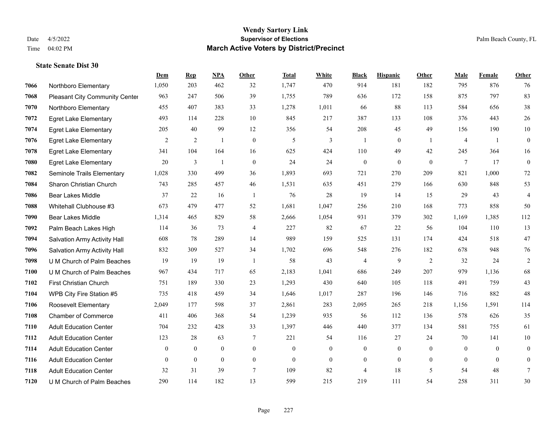|      |                                       | Dem            | <b>Rep</b>   | NPA          | <b>Other</b>   | <b>Total</b> | <b>White</b>   | <b>Black</b>     | <b>Hispanic</b>  | Other          | <b>Male</b>    | Female   | <b>Other</b>     |
|------|---------------------------------------|----------------|--------------|--------------|----------------|--------------|----------------|------------------|------------------|----------------|----------------|----------|------------------|
| 7066 | Northboro Elementary                  | 1,050          | 203          | 462          | 32             | 1,747        | 470            | 914              | 181              | 182            | 795            | 876      | 76               |
| 7068 | <b>Pleasant City Community Center</b> | 963            | 247          | 506          | 39             | 1,755        | 789            | 636              | 172              | 158            | 875            | 797      | 83               |
| 7070 | Northboro Elementary                  | 455            | 407          | 383          | 33             | 1,278        | 1,011          | 66               | 88               | 113            | 584            | 656      | $38\,$           |
| 7072 | <b>Egret Lake Elementary</b>          | 493            | 114          | 228          | 10             | 845          | 217            | 387              | 133              | 108            | 376            | 443      | 26               |
| 7074 | <b>Egret Lake Elementary</b>          | 205            | 40           | 99           | 12             | 356          | 54             | 208              | 45               | 49             | 156            | 190      | $10\,$           |
| 7076 | <b>Egret Lake Elementary</b>          | $\overline{2}$ | $\sqrt{2}$   | $\mathbf{1}$ | $\mathbf{0}$   | 5            | 3              | $\mathbf{1}$     | $\boldsymbol{0}$ | -1             | $\overline{4}$ | -1       | $\boldsymbol{0}$ |
| 7078 | <b>Egret Lake Elementary</b>          | 341            | 104          | 164          | 16             | 625          | 424            | 110              | 49               | 42             | 245            | 364      | 16               |
| 7080 | <b>Egret Lake Elementary</b>          | 20             | 3            | $\mathbf{1}$ | $\theta$       | 24           | 24             | $\overline{0}$   | $\Omega$         | $\Omega$       | $\tau$         | 17       | $\overline{0}$   |
| 7082 | Seminole Trails Elementary            | 1,028          | 330          | 499          | 36             | 1,893        | 693            | 721              | 270              | 209            | 821            | 1,000    | 72               |
| 7084 | Sharon Christian Church               | 743            | 285          | 457          | 46             | 1,531        | 635            | 451              | 279              | 166            | 630            | 848      | 53               |
| 7086 | <b>Bear Lakes Middle</b>              | 37             | 22           | 16           | $\overline{1}$ | 76           | 28             | 19               | 14               | 15             | 29             | 43       | 4                |
| 7088 | Whitehall Clubhouse #3                | 673            | 479          | 477          | 52             | 1,681        | 1,047          | 256              | 210              | 168            | 773            | 858      | 50               |
| 7090 | <b>Bear Lakes Middle</b>              | 1,314          | 465          | 829          | 58             | 2,666        | 1,054          | 931              | 379              | 302            | 1,169          | 1,385    | 112              |
| 7092 | Palm Beach Lakes High                 | 114            | 36           | 73           | $\overline{4}$ | 227          | 82             | 67               | 22               | 56             | 104            | 110      | 13               |
| 7094 | Salvation Army Activity Hall          | 608            | 78           | 289          | 14             | 989          | 159            | 525              | 131              | 174            | 424            | 518      | 47               |
| 7096 | Salvation Army Activity Hall          | 832            | 309          | 527          | 34             | 1,702        | 696            | 548              | 276              | 182            | 678            | 948      | 76               |
| 7098 | U M Church of Palm Beaches            | 19             | 19           | 19           | -1             | 58           | 43             | 4                | 9                | 2              | 32             | 24       | 2                |
| 7100 | U M Church of Palm Beaches            | 967            | 434          | 717          | 65             | 2,183        | 1,041          | 686              | 249              | 207            | 979            | 1,136    | 68               |
| 7102 | First Christian Church                | 751            | 189          | 330          | 23             | 1,293        | 430            | 640              | 105              | 118            | 491            | 759      | 43               |
| 7104 | WPB City Fire Station #5              | 735            | 418          | 459          | 34             | 1,646        | 1,017          | 287              | 196              | 146            | 716            | 882      | 48               |
| 7106 | Roosevelt Elementary                  | 2,049          | 177          | 598          | 37             | 2,861        | 283            | 2,095            | 265              | 218            | 1,156          | 1,591    | 114              |
| 7108 | <b>Chamber of Commerce</b>            | 411            | 406          | 368          | 54             | 1,239        | 935            | 56               | 112              | 136            | 578            | 626      | 35               |
| 7110 | <b>Adult Education Center</b>         | 704            | 232          | 428          | 33             | 1,397        | 446            | 440              | 377              | 134            | 581            | 755      | 61               |
| 7112 | <b>Adult Education Center</b>         | 123            | 28           | 63           | 7              | 221          | 54             | 116              | 27               | 24             | 70             | 141      | 10               |
| 7114 | <b>Adult Education Center</b>         | $\Omega$       | $\theta$     | $\theta$     | $\mathbf{0}$   | $\theta$     | $\overline{0}$ | $\overline{0}$   | $\mathbf{0}$     | $\theta$       | $\theta$       | $\Omega$ | $\overline{0}$   |
| 7116 | <b>Adult Education Center</b>         | $\overline{0}$ | $\mathbf{0}$ | $\mathbf{0}$ | $\overline{0}$ | $\mathbf{0}$ | $\overline{0}$ | $\boldsymbol{0}$ | $\overline{0}$   | $\overline{0}$ | $\mathbf{0}$   | $\theta$ | $\overline{0}$   |
| 7118 | <b>Adult Education Center</b>         | 32             | 31           | 39           | $\overline{7}$ | 109          | 82             | 4                | 18               | 5              | 54             | 48       | 7                |
| 7120 | U M Church of Palm Beaches            | 290            | 114          | 182          | 13             | 599          | 215            | 219              | 111              | 54             | 258            | 311      | 30               |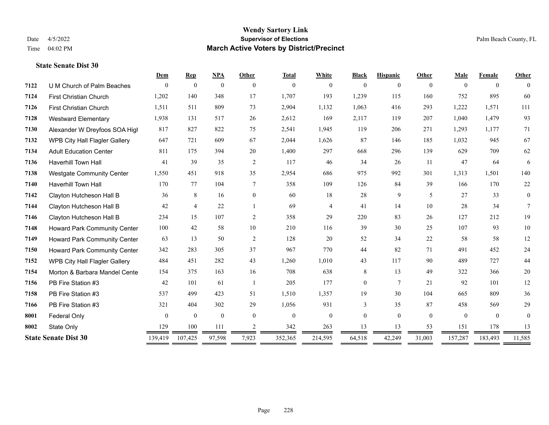#### **Wendy Sartory Link** Date 4/5/2022 **Supervisor of Elections** Palm Beach County, FL Time 04:02 PM **March Active Voters by District/Precinct**

# **Dem Rep NPA Other Total White Black Hispanic Other Male Female Other** U M Church of Palm Beaches 0 0 0 0 0 0 0 0 0 0 0 0 First Christian Church 1,202 140 348 17 1,707 193 1,239 115 160 752 895 60 First Christian Church 1,511 511 809 73 2,904 1,132 1,063 416 293 1,222 1,571 111 Westward Elementary 1,938 131 517 26 2,612 169 2,117 119 207 1,040 1,479 93 Alexander W Dreyfoos SOA High 817 827 822 75 2,541 1,945 119 206 271 1,293 1,177 71 WPB City Hall Flagler Gallery 647 721 609 67 2,044 1,626 87 146 185 1,032 945 67 Adult Education Center 811 175 394 20 1,400 297 668 296 139 629 709 62 Haverhill Town Hall 41 39 35 2 117 46 34 26 11 47 64 6 Westgate Community Center 1,550 451 918 35 2,954 686 975 992 301 1,313 1,501 140 Haverhill Town Hall 170 77 104 7 358 109 126 84 39 166 170 22 Clayton Hutcheson Hall B 36 8 16 0 60 18 28 9 5 27 33 0 Clayton Hutcheson Hall B 42 4 22 1 69 4 41 14 10 28 34 7 Clayton Hutcheson Hall B 234 15 107 2 358 29 220 83 26 127 212 19 Howard Park Community Center 100 42 58 10 210 116 39 30 25 107 93 10 Howard Park Community Center 63 13 50 2 128 20 52 34 22 58 58 12 Howard Park Community Center 342 283 305 37 967 770 44 82 71 491 452 24 WPB City Hall Flagler Gallery 484 451 282 43 1,260 1,010 43 117 90 489 727 44 **7154 Morton & Barbara Mandel Cente** 154 375 163 16 708 638 8 13 49 322 366 20 PB Fire Station #3 42 101 61 1 205 177 0 7 21 92 101 12 PB Fire Station #3 537 499 423 51 1,510 1,357 19 30 104 665 809 36 PB Fire Station #3 321 404 302 29 1,056 931 3 35 87 458 569 29 **8001 Federal Only 0 0 0 0 0 0 0 0 0** 0 State Only 129 100 111 2 342 263 13 13 53 151 178 13 **State Senate Dist 30** 139,419 107,425 97,598 7,923 352,365 214,595 64,518 42,249 31,003 157,287 183,493 11,585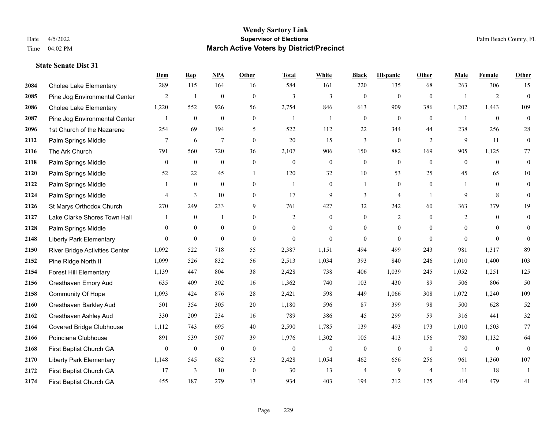|      |                                 | Dem            | <b>Rep</b>     | NPA              | <b>Other</b>     | <b>Total</b>   | <b>White</b>     | <b>Black</b>     | <b>Hispanic</b>  | <b>Other</b>   | <b>Male</b>  | Female         | <b>Other</b> |
|------|---------------------------------|----------------|----------------|------------------|------------------|----------------|------------------|------------------|------------------|----------------|--------------|----------------|--------------|
| 2084 | <b>Cholee Lake Elementary</b>   | 289            | 115            | 164              | 16               | 584            | 161              | 220              | 135              | 68             | 263          | 306            | 15           |
| 2085 | Pine Jog Environmental Center   | $\overline{c}$ | -1             | $\mathbf{0}$     | $\mathbf{0}$     | 3              | 3                | $\mathbf{0}$     | $\mathbf{0}$     | $\theta$       |              | $\overline{2}$ | $\theta$     |
| 2086 | <b>Cholee Lake Elementary</b>   | 1,220          | 552            | 926              | 56               | 2,754          | 846              | 613              | 909              | 386            | 1,202        | 1,443          | 109          |
| 2087 | Pine Jog Environmental Center   | 1              | $\mathbf{0}$   | $\mathbf{0}$     | $\mathbf{0}$     | $\overline{1}$ | -1               | $\boldsymbol{0}$ | $\mathbf{0}$     | $\mathbf{0}$   |              | $\mathbf{0}$   | $\mathbf{0}$ |
| 2096 | 1st Church of the Nazarene      | 254            | 69             | 194              | 5                | 522            | 112              | 22               | 344              | 44             | 238          | 256            | $28\,$       |
| 2112 | Palm Springs Middle             | 7              | 6              | $7\phantom{.0}$  | $\overline{0}$   | 20             | 15               | 3                | $\mathbf{0}$     | 2              | 9            | 11             | $\mathbf{0}$ |
| 2116 | The Ark Church                  | 791            | 560            | 720              | 36               | 2,107          | 906              | 150              | 882              | 169            | 905          | 1,125          | 77           |
| 2118 | Palm Springs Middle             | $\mathbf{0}$   | $\theta$       | $\mathbf{0}$     | $\theta$         | $\theta$       | $\mathbf{0}$     | $\overline{0}$   | $\theta$         | $\Omega$       | $\theta$     | $\theta$       | $\theta$     |
| 2120 | Palm Springs Middle             | 52             | 22             | 45               |                  | 120            | 32               | $10\,$           | 53               | 25             | 45           | 65             | 10           |
| 2122 | Palm Springs Middle             | 1              | $\mathbf{0}$   | $\mathbf{0}$     | $\overline{0}$   | $\overline{1}$ | $\mathbf{0}$     | $\mathbf{1}$     | $\theta$         | $\theta$       |              | $\theta$       | $\mathbf{0}$ |
| 2124 | Palm Springs Middle             | 4              | $\overline{3}$ | 10               | $\overline{0}$   | 17             | 9                | 3                | $\overline{4}$   | $\overline{1}$ | 9            | 8              | $\theta$     |
| 2126 | St Marys Orthodox Church        | 270            | 249            | 233              | 9                | 761            | 427              | 32               | 242              | 60             | 363          | 379            | 19           |
| 2127 | Lake Clarke Shores Town Hall    | 1              | $\mathbf{0}$   | $\mathbf{1}$     | $\theta$         | 2              | $\mathbf{0}$     | $\mathbf{0}$     | 2                | $\theta$       | 2            | $\Omega$       | $\mathbf{0}$ |
| 2128 | Palm Springs Middle             | $\overline{0}$ | $\mathbf{0}$   | $\boldsymbol{0}$ | $\boldsymbol{0}$ | $\mathbf{0}$   | $\boldsymbol{0}$ | $\boldsymbol{0}$ | $\boldsymbol{0}$ | $\mathbf{0}$   | $\mathbf{0}$ | $\mathbf{0}$   | $\mathbf{0}$ |
| 2148 | <b>Liberty Park Elementary</b>  | $\overline{0}$ | $\mathbf{0}$   | $\mathbf{0}$     | $\overline{0}$   | $\theta$       | $\theta$         | $\mathbf{0}$     | $\theta$         | $\Omega$       | $\theta$     | $\theta$       | $\theta$     |
| 2150 | River Bridge Activities Center  | 1,092          | 522            | 718              | 55               | 2,387          | 1,151            | 494              | 499              | 243            | 981          | 1,317          | 89           |
| 2152 | Pine Ridge North II             | 1,099          | 526            | 832              | 56               | 2,513          | 1,034            | 393              | 840              | 246            | 1,010        | 1,400          | 103          |
| 2154 | <b>Forest Hill Elementary</b>   | 1,139          | 447            | 804              | 38               | 2,428          | 738              | 406              | 1,039            | 245            | 1,052        | 1,251          | 125          |
| 2156 | Cresthaven Emory Aud            | 635            | 409            | 302              | 16               | 1,362          | 740              | 103              | 430              | 89             | 506          | 806            | 50           |
| 2158 | Community Of Hope               | 1,093          | 424            | 876              | 28               | 2,421          | 598              | 449              | 1,066            | 308            | 1,072        | 1,240          | 109          |
| 2160 | Cresthaven Barkley Aud          | 501            | 354            | 305              | 20               | 1,180          | 596              | 87               | 399              | 98             | 500          | 628            | 52           |
| 2162 | Cresthaven Ashley Aud           | 330            | 209            | 234              | 16               | 789            | 386              | 45               | 299              | 59             | 316          | 441            | 32           |
| 2164 | <b>Covered Bridge Clubhouse</b> | 1,112          | 743            | 695              | 40               | 2,590          | 1,785            | 139              | 493              | 173            | 1,010        | 1,503          | 77           |
| 2166 | Poinciana Clubhouse             | 891            | 539            | 507              | 39               | 1,976          | 1,302            | 105              | 413              | 156            | 780          | 1,132          | 64           |
| 2168 | First Baptist Church GA         | $\overline{0}$ | $\mathbf{0}$   | $\mathbf{0}$     | $\mathbf{0}$     | $\mathbf{0}$   | $\mathbf{0}$     | $\mathbf{0}$     | $\mathbf{0}$     | $\theta$       | $\theta$     | $\mathbf{0}$   | $\theta$     |
| 2170 | <b>Liberty Park Elementary</b>  | 1,148          | 545            | 682              | 53               | 2,428          | 1,054            | 462              | 656              | 256            | 961          | 1,360          | 107          |
| 2172 | First Baptist Church GA         | 17             | $\mathfrak{Z}$ | 10               | $\boldsymbol{0}$ | 30             | 13               | $\overline{4}$   | 9                | $\overline{4}$ | 11           | 18             | -1           |
| 2174 | First Baptist Church GA         | 455            | 187            | 279              | 13               | 934            | 403              | 194              | 212              | 125            | 414          | 479            | 41           |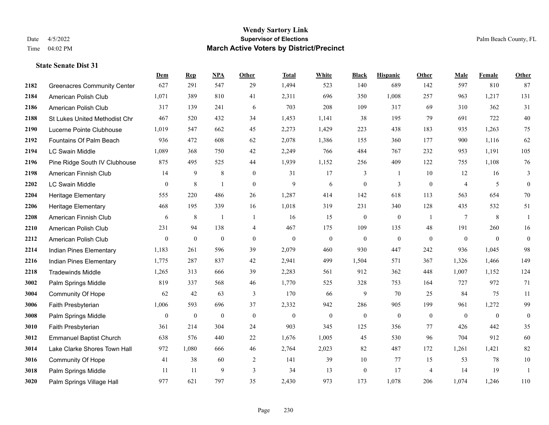|      |                                    | Dem              | <b>Rep</b>       | NPA              | <b>Other</b> | <b>Total</b>     | <b>White</b>     | <b>Black</b>     | <b>Hispanic</b>  | <b>Other</b>     | <b>Male</b>    | <b>Female</b>  | Other                    |
|------|------------------------------------|------------------|------------------|------------------|--------------|------------------|------------------|------------------|------------------|------------------|----------------|----------------|--------------------------|
| 2182 | <b>Greenacres Community Center</b> | 627              | 291              | 547              | 29           | 1,494            | 523              | 140              | 689              | 142              | 597            | 810            | 87                       |
| 2184 | American Polish Club               | 1,071            | 389              | 810              | 41           | 2,311            | 696              | 350              | 1,008            | 257              | 963            | 1,217          | 131                      |
| 2186 | American Polish Club               | 317              | 139              | 241              | 6            | 703              | 208              | 109              | 317              | 69               | 310            | 362            | 31                       |
| 2188 | St Lukes United Methodist Chr      | 467              | 520              | 432              | 34           | 1,453            | 1,141            | 38               | 195              | 79               | 691            | 722            | $40\,$                   |
| 2190 | Lucerne Pointe Clubhouse           | 1,019            | 547              | 662              | 45           | 2,273            | 1,429            | 223              | 438              | 183              | 935            | 1,263          | 75                       |
| 2192 | Fountains Of Palm Beach            | 936              | 472              | 608              | 62           | 2,078            | 1,386            | 155              | 360              | 177              | 900            | 1,116          | 62                       |
| 2194 | LC Swain Middle                    | 1,089            | 368              | 750              | $42\,$       | 2,249            | 766              | 484              | 767              | 232              | 953            | 1,191          | 105                      |
| 2196 | Pine Ridge South IV Clubhouse      | 875              | 495              | 525              | 44           | 1,939            | 1,152            | 256              | 409              | 122              | 755            | 1,108          | $76\,$                   |
| 2198 | American Finnish Club              | 14               | 9                | $\,$ 8 $\,$      | $\mathbf{0}$ | 31               | 17               | 3                | -1               | 10               | 12             | 16             | 3                        |
| 2202 | <b>LC Swain Middle</b>             | $\mathbf{0}$     | $\,$ 8 $\,$      | $\mathbf{1}$     | $\mathbf{0}$ | 9                | 6                | $\boldsymbol{0}$ | 3                | $\mathbf{0}$     | $\overline{4}$ | 5              | $\boldsymbol{0}$         |
| 2204 | <b>Heritage Elementary</b>         | 555              | 220              | 486              | 26           | 1,287            | 414              | 142              | 618              | 113              | 563            | 654            | 70                       |
| 2206 | <b>Heritage Elementary</b>         | 468              | 195              | 339              | 16           | 1,018            | 319              | 231              | 340              | 128              | 435            | 532            | 51                       |
| 2208 | American Finnish Club              | 6                | $\,$ 8 $\,$      |                  | -1           | 16               | 15               | $\boldsymbol{0}$ | $\overline{0}$   | $\overline{1}$   | $\tau$         | 8              | $\overline{1}$           |
| 2210 | American Polish Club               | 231              | 94               | 138              | 4            | 467              | 175              | 109              | 135              | 48               | 191            | 260            | 16                       |
| 2212 | American Polish Club               | $\boldsymbol{0}$ | $\boldsymbol{0}$ | $\theta$         | $\mathbf{0}$ | $\boldsymbol{0}$ | $\boldsymbol{0}$ | $\mathbf{0}$     | $\boldsymbol{0}$ | $\mathbf{0}$     | $\mathbf{0}$   | $\overline{0}$ | $\boldsymbol{0}$         |
| 2214 | Indian Pines Elementary            | 1,183            | 261              | 596              | 39           | 2,079            | 460              | 930              | 447              | 242              | 936            | 1,045          | 98                       |
| 2216 | Indian Pines Elementary            | 1,775            | 287              | 837              | 42           | 2,941            | 499              | 1,504            | 571              | 367              | 1,326          | 1,466          | 149                      |
| 2218 | <b>Tradewinds Middle</b>           | 1,265            | 313              | 666              | 39           | 2,283            | 561              | 912              | 362              | 448              | 1,007          | 1,152          | 124                      |
| 3002 | Palm Springs Middle                | 819              | 337              | 568              | 46           | 1,770            | 525              | 328              | 753              | 164              | 727            | 972            | 71                       |
| 3004 | <b>Community Of Hope</b>           | 62               | 42               | 63               | 3            | 170              | 66               | 9                | 70               | 25               | 84             | 75             | 11                       |
| 3006 | Faith Presbyterian                 | 1,006            | 593              | 696              | 37           | 2,332            | 942              | 286              | 905              | 199              | 961            | 1,272          | 99                       |
| 3008 | Palm Springs Middle                | $\boldsymbol{0}$ | $\boldsymbol{0}$ | $\boldsymbol{0}$ | $\mathbf{0}$ | $\boldsymbol{0}$ | $\boldsymbol{0}$ | $\boldsymbol{0}$ | $\boldsymbol{0}$ | $\boldsymbol{0}$ | $\mathbf{0}$   | $\mathbf{0}$   | $\boldsymbol{0}$         |
| 3010 | Faith Presbyterian                 | 361              | 214              | 304              | 24           | 903              | 345              | 125              | 356              | 77               | 426            | 442            | 35                       |
| 3012 | <b>Emmanuel Baptist Church</b>     | 638              | 576              | 440              | 22           | 1,676            | 1,005            | 45               | 530              | 96               | 704            | 912            | 60                       |
| 3014 | Lake Clarke Shores Town Hall       | 972              | 1,080            | 666              | 46           | 2,764            | 2,023            | 82               | 487              | 172              | 1,261          | 1,421          | 82                       |
| 3016 | <b>Community Of Hope</b>           | 41               | 38               | 60               | 2            | 141              | 39               | 10               | 77               | 15               | 53             | 78             | $10\,$                   |
| 3018 | Palm Springs Middle                | 11               | 11               | 9                | 3            | 34               | 13               | $\boldsymbol{0}$ | 17               | $\overline{4}$   | 14             | 19             | $\overline{\phantom{a}}$ |
| 3020 | Palm Springs Village Hall          | 977              | 621              | 797              | 35           | 2,430            | 973              | 173              | 1,078            | 206              | 1,074          | 1,246          | 110                      |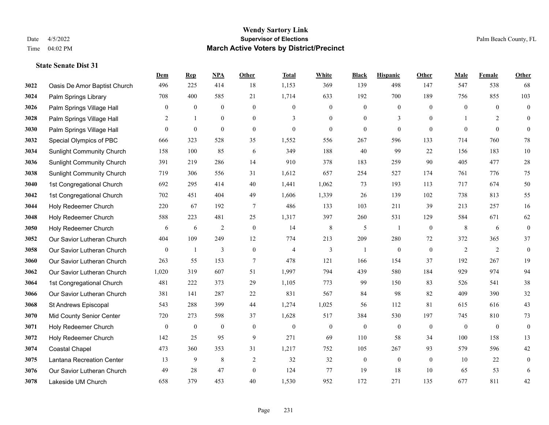|      |                                  | Dem              | <b>Rep</b>       | NPA              | <b>Other</b>     | <b>Total</b>   | <b>White</b>     | <b>Black</b>     | <b>Hispanic</b>  | <b>Other</b>   | <b>Male</b>      | Female         | <b>Other</b>     |
|------|----------------------------------|------------------|------------------|------------------|------------------|----------------|------------------|------------------|------------------|----------------|------------------|----------------|------------------|
| 3022 | Oasis De Amor Baptist Church     | 496              | 225              | 414              | 18               | 1,153          | 369              | 139              | 498              | 147            | 547              | 538            | 68               |
| 3024 | Palm Springs Library             | 708              | 400              | 585              | 21               | 1,714          | 633              | 192              | 700              | 189            | 756              | 855            | 103              |
| 3026 | Palm Springs Village Hall        | $\mathbf{0}$     | $\boldsymbol{0}$ | $\boldsymbol{0}$ | $\overline{0}$   | $\mathbf{0}$   | $\mathbf{0}$     | $\boldsymbol{0}$ | $\boldsymbol{0}$ | $\theta$       | $\overline{0}$   | $\theta$       | $\boldsymbol{0}$ |
| 3028 | Palm Springs Village Hall        | $\overline{c}$   | $\mathbf{1}$     | $\boldsymbol{0}$ | $\overline{0}$   | 3              | $\boldsymbol{0}$ | $\boldsymbol{0}$ | 3                | $\mathbf{0}$   |                  | 2              | $\mathbf{0}$     |
| 3030 | Palm Springs Village Hall        | $\Omega$         | $\mathbf{0}$     | $\mathbf{0}$     | $\overline{0}$   | $\theta$       | $\overline{0}$   | $\mathbf{0}$     | $\mathbf{0}$     | $\theta$       | $\theta$         | $\theta$       | $\mathbf{0}$     |
| 3032 | Special Olympics of PBC          | 666              | 323              | 528              | 35               | 1,552          | 556              | 267              | 596              | 133            | 714              | 760            | $78\,$           |
| 3034 | <b>Sunlight Community Church</b> | 158              | 100              | 85               | 6                | 349            | 188              | 40               | 99               | 22             | 156              | 183            | $10\,$           |
| 3036 | <b>Sunlight Community Church</b> | 391              | 219              | 286              | 14               | 910            | 378              | 183              | 259              | 90             | 405              | 477            | $28\,$           |
| 3038 | <b>Sunlight Community Church</b> | 719              | 306              | 556              | 31               | 1,612          | 657              | 254              | 527              | 174            | 761              | 776            | $75\,$           |
| 3040 | 1st Congregational Church        | 692              | 295              | 414              | 40               | 1,441          | 1,062            | 73               | 193              | 113            | 717              | 674            | 50               |
| 3042 | 1st Congregational Church        | 702              | 451              | 404              | 49               | 1,606          | 1,339            | 26               | 139              | 102            | 738              | 813            | 55               |
| 3044 | Holy Redeemer Church             | 220              | 67               | 192              | $\tau$           | 486            | 133              | 103              | 211              | 39             | 213              | 257            | 16               |
| 3048 | Holy Redeemer Church             | 588              | 223              | 481              | 25               | 1,317          | 397              | 260              | 531              | 129            | 584              | 671            | 62               |
| 3050 | Holy Redeemer Church             | 6                | 6                | $\overline{2}$   | $\boldsymbol{0}$ | 14             | $\,$ 8 $\,$      | $\mathfrak s$    | 1                | $\mathbf{0}$   | $\,8\,$          | 6              | $\boldsymbol{0}$ |
| 3052 | Our Savior Lutheran Church       | 404              | 109              | 249              | 12               | 774            | 213              | 209              | 280              | 72             | 372              | 365            | 37               |
| 3058 | Our Savior Lutheran Church       | $\mathbf{0}$     | -1               | 3                | $\mathbf{0}$     | $\overline{4}$ | 3                | 1                | $\mathbf{0}$     | $\mathbf{0}$   | 2                | $\overline{2}$ | $\boldsymbol{0}$ |
| 3060 | Our Savior Lutheran Church       | 263              | 55               | 153              | $\tau$           | 478            | 121              | 166              | 154              | 37             | 192              | 267            | 19               |
| 3062 | Our Savior Lutheran Church       | 1,020            | 319              | 607              | 51               | 1,997          | 794              | 439              | 580              | 184            | 929              | 974            | 94               |
| 3064 | 1st Congregational Church        | 481              | 222              | 373              | 29               | 1,105          | 773              | 99               | 150              | 83             | 526              | 541            | 38               |
| 3066 | Our Savior Lutheran Church       | 381              | 141              | 287              | 22               | 831            | 567              | 84               | 98               | 82             | 409              | 390            | 32               |
| 3068 | St Andrews Episcopal             | 543              | 288              | 399              | 44               | 1,274          | 1,025            | 56               | 112              | 81             | 615              | 616            | 43               |
| 3070 | Mid County Senior Center         | 720              | 273              | 598              | 37               | 1,628          | 517              | 384              | 530              | 197            | 745              | 810            | 73               |
| 3071 | Holy Redeemer Church             | $\boldsymbol{0}$ | $\boldsymbol{0}$ | $\boldsymbol{0}$ | $\mathbf{0}$     | $\overline{0}$ | $\boldsymbol{0}$ | $\boldsymbol{0}$ | $\boldsymbol{0}$ | $\overline{0}$ | $\boldsymbol{0}$ | $\mathbf{0}$   | $\boldsymbol{0}$ |
| 3072 | Holy Redeemer Church             | 142              | 25               | 95               | 9                | 271            | 69               | 110              | 58               | 34             | 100              | 158            | 13               |
| 3074 | <b>Coastal Chapel</b>            | 473              | 360              | 353              | 31               | 1,217          | 752              | 105              | 267              | 93             | 579              | 596            | 42               |
| 3075 | Lantana Recreation Center        | 13               | 9                | 8                | 2                | 32             | 32               | $\boldsymbol{0}$ | $\boldsymbol{0}$ | $\overline{0}$ | 10               | 22             | $\boldsymbol{0}$ |
| 3076 | Our Savior Lutheran Church       | 49               | 28               | 47               | $\overline{0}$   | 124            | 77               | 19               | 18               | 10             | 65               | 53             | 6                |
| 3078 | Lakeside UM Church               | 658              | 379              | 453              | 40               | 1,530          | 952              | 172              | 271              | 135            | 677              | 811            | $42\,$           |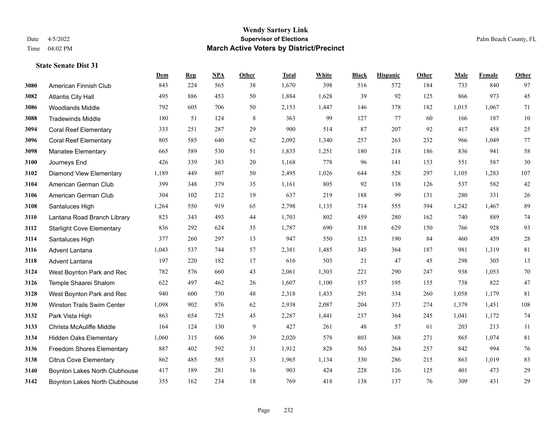#### **Wendy Sartory Link** Date 4/5/2022 **Supervisor of Elections** Palm Beach County, FL Time 04:02 PM **March Active Voters by District/Precinct**

# **Dem Rep NPA Other Total White Black Hispanic Other Male Female Other** American Finnish Club 843 224 565 38 1,670 398 516 572 184 733 840 97 Atlantis City Hall 495 886 453 50 1,884 1,628 39 92 125 866 973 45 Woodlands Middle 792 605 706 50 2,153 1,447 146 378 182 1,015 1,067 71 Tradewinds Middle 180 51 124 8 363 99 127 77 60 166 187 10 Coral Reef Elementary 333 251 287 29 900 514 87 207 92 417 458 25 Coral Reef Elementary 805 585 640 62 2,092 1,340 257 263 232 966 1,049 77 Manatee Elementary 665 589 530 51 1,835 1,251 180 218 186 836 941 58 Journeys End 426 339 383 20 1,168 778 96 141 153 551 587 30 Diamond View Elementary 1,189 449 807 50 2,495 1,026 644 528 297 1,105 1,283 107 American German Club 399 348 379 35 1,161 805 92 138 126 537 582 42 American German Club 304 102 212 19 637 219 188 99 131 280 331 26 Santaluces High 1,264 550 919 65 2,798 1,135 714 555 394 1,242 1,467 89 Lantana Road Branch Library 823 343 493 44 1,703 802 459 280 162 740 889 74 Starlight Cove Elementary 836 292 624 35 1,787 690 318 629 150 766 928 93 Santaluces High 377 260 297 13 947 550 123 190 84 460 459 28 Advent Lantana 1,043 537 744 57 2,381 1,485 345 364 187 981 1,319 81 Advent Lantana 197 220 182 17 616 503 21 47 45 298 305 13 West Boynton Park and Rec 782 576 660 43 2,061 1,303 221 290 247 938 1,053 70 Temple Shaarei Shalom 622 497 462 26 1,607 1,100 157 195 155 738 822 47 West Boynton Park and Rec 940 600 730 48 2,318 1,433 291 334 260 1,058 1,179 81 Winston Trails Swim Center 1,098 902 876 62 2,938 2,087 204 373 274 1,379 1,451 108 Park Vista High 863 654 725 45 2,287 1,441 237 364 245 1,041 1,172 74 Christa McAuliffe Middle 164 124 130 9 427 261 48 57 61 203 213 11 Hidden Oaks Elementary 1,060 315 606 39 2,020 578 803 368 271 865 1,074 81 Freedom Shores Elementary 887 402 592 31 1,912 828 563 264 257 842 994 76 Citrus Cove Elementary 862 485 585 33 1,965 1,134 330 286 215 863 1,019 83 Boynton Lakes North Clubhouse 417 189 281 16 903 424 228 126 125 401 473 29

Boynton Lakes North Clubhouse 355 162 234 18 769 418 138 137 76 309 431 29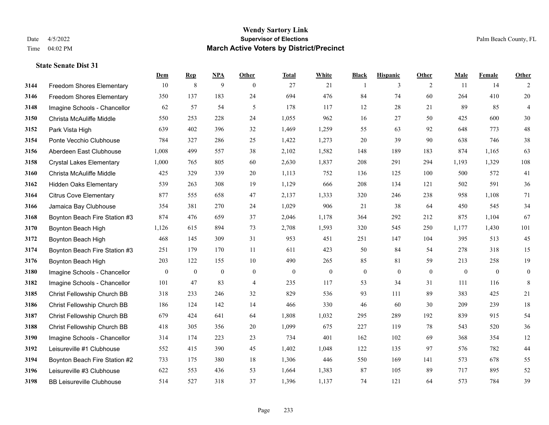|      |                                  | Dem          | <b>Rep</b>   | NPA            | <b>Other</b>   | <b>Total</b> | <b>White</b>   | <b>Black</b>     | <b>Hispanic</b> | <b>Other</b> | <b>Male</b> | Female   | <b>Other</b>     |
|------|----------------------------------|--------------|--------------|----------------|----------------|--------------|----------------|------------------|-----------------|--------------|-------------|----------|------------------|
| 3144 | <b>Freedom Shores Elementary</b> | 10           | $\,8\,$      | 9              | $\theta$       | 27           | 21             | $\mathbf{1}$     | 3               | 2            | 11          | 14       | 2                |
| 3146 | <b>Freedom Shores Elementary</b> | 350          | 137          | 183            | 24             | 694          | 476            | 84               | 74              | 60           | 264         | 410      | $20\,$           |
| 3148 | Imagine Schools - Chancellor     | 62           | 57           | 54             | 5              | 178          | 117            | 12               | 28              | 21           | 89          | 85       | $\overline{4}$   |
| 3150 | Christa McAuliffe Middle         | 550          | 253          | 228            | 24             | 1,055        | 962            | 16               | 27              | 50           | 425         | 600      | $30\,$           |
| 3152 | Park Vista High                  | 639          | 402          | 396            | 32             | 1,469        | 1,259          | 55               | 63              | 92           | 648         | 773      | $48\,$           |
| 3154 | Ponte Vecchio Clubhouse          | 784          | 327          | 286            | 25             | 1,422        | 1,273          | 20               | 39              | 90           | 638         | 746      | 38               |
| 3156 | Aberdeen East Clubhouse          | 1,008        | 499          | 557            | 38             | 2,102        | 1,582          | 148              | 189             | 183          | 874         | 1,165    | 63               |
| 3158 | <b>Crystal Lakes Elementary</b>  | 1,000        | 765          | 805            | 60             | 2,630        | 1,837          | 208              | 291             | 294          | 1,193       | 1,329    | 108              |
| 3160 | Christa McAuliffe Middle         | 425          | 329          | 339            | 20             | 1,113        | 752            | 136              | 125             | 100          | 500         | 572      | 41               |
| 3162 | <b>Hidden Oaks Elementary</b>    | 539          | 263          | 308            | 19             | 1,129        | 666            | 208              | 134             | 121          | 502         | 591      | 36               |
| 3164 | <b>Citrus Cove Elementary</b>    | 877          | 555          | 658            | 47             | 2,137        | 1,333          | 320              | 246             | 238          | 958         | 1,108    | 71               |
| 3166 | Jamaica Bay Clubhouse            | 354          | 381          | 270            | 24             | 1,029        | 906            | 21               | 38              | 64           | 450         | 545      | 34               |
| 3168 | Boynton Beach Fire Station #3    | 874          | 476          | 659            | 37             | 2,046        | 1,178          | 364              | 292             | 212          | 875         | 1,104    | 67               |
| 3170 | Boynton Beach High               | 1,126        | 615          | 894            | 73             | 2,708        | 1,593          | 320              | 545             | 250          | 1,177       | 1,430    | 101              |
| 3172 | Boynton Beach High               | 468          | 145          | 309            | 31             | 953          | 451            | 251              | 147             | 104          | 395         | 513      | 45               |
| 3174 | Boynton Beach Fire Station #3    | 251          | 179          | 170            | 11             | 611          | 423            | 50               | 84              | 54           | 278         | 318      | 15               |
| 3176 | Boynton Beach High               | 203          | 122          | 155            | 10             | 490          | 265            | 85               | 81              | 59           | 213         | 258      | 19               |
| 3180 | Imagine Schools - Chancellor     | $\mathbf{0}$ | $\mathbf{0}$ | $\overline{0}$ | $\overline{0}$ | $\mathbf{0}$ | $\overline{0}$ | $\boldsymbol{0}$ | $\mathbf{0}$    | $\theta$     | $\theta$    | $\theta$ | $\boldsymbol{0}$ |
| 3182 | Imagine Schools - Chancellor     | 101          | 47           | 83             | $\overline{4}$ | 235          | 117            | 53               | 34              | 31           | 111         | 116      | 8                |
| 3185 | Christ Fellowship Church BB      | 318          | 233          | 246            | 32             | 829          | 536            | 93               | 111             | 89           | 383         | 425      | 21               |
| 3186 | Christ Fellowship Church BB      | 186          | 124          | 142            | 14             | 466          | 330            | 46               | 60              | 30           | 209         | 239      | 18               |
| 3187 | Christ Fellowship Church BB      | 679          | 424          | 641            | 64             | 1,808        | 1,032          | 295              | 289             | 192          | 839         | 915      | 54               |
| 3188 | Christ Fellowship Church BB      | 418          | 305          | 356            | 20             | 1,099        | 675            | 227              | 119             | 78           | 543         | 520      | 36               |
| 3190 | Imagine Schools - Chancellor     | 314          | 174          | 223            | 23             | 734          | 401            | 162              | 102             | 69           | 368         | 354      | $12\,$           |
| 3192 | Leisureville #1 Clubhouse        | 552          | 415          | 390            | 45             | 1,402        | 1,048          | 122              | 135             | 97           | 576         | 782      | $44\,$           |
| 3194 | Boynton Beach Fire Station #2    | 733          | 175          | 380            | 18             | 1,306        | 446            | 550              | 169             | 141          | 573         | 678      | 55               |
| 3196 | Leisureville #3 Clubhouse        | 622          | 553          | 436            | 53             | 1,664        | 1,383          | 87               | 105             | 89           | 717         | 895      | $52\,$           |
| 3198 | <b>BB Leisureville Clubhouse</b> | 514          | 527          | 318            | 37             | 1,396        | 1,137          | 74               | 121             | 64           | 573         | 784      | 39               |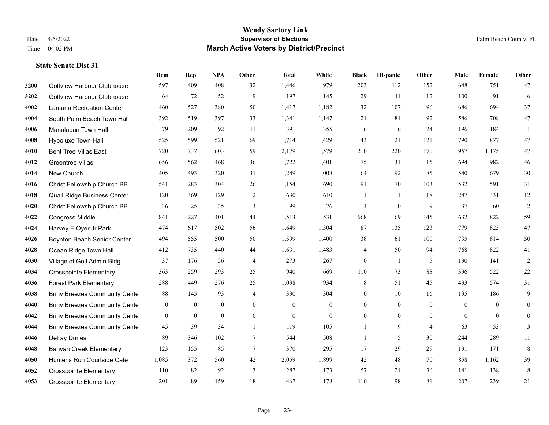#### **Wendy Sartory Link** Date 4/5/2022 **Supervisor of Elections** Palm Beach County, FL Time 04:02 PM **March Active Voters by District/Precinct**

Golfview Harbour Clubhouse 597 409 408 32 1,446 979 203 112 152 648 751 47

**Dem Rep NPA Other Total White Black Hispanic Other Male Female Other**

# Golfview Harbour Clubhouse 64 72 52 9 197 145 29 11 12 100 91 6 Lantana Recreation Center 460 527 380 50 1,417 1,182 32 107 96 686 694 37 South Palm Beach Town Hall 392 519 397 33 1,341 1,147 21 81 92 586 708 47 Manalapan Town Hall 79 209 92 11 391 355 6 6 24 196 184 11 Hypoluxo Town Hall 525 599 521 69 1,714 1,429 43 121 121 790 877 47

| TUVU | <b>TIY PUILLAU TUWITTION</b>         | ر ےر             | J J J          | ⊥ ک ک          | $\cup$         | 1,717          | ⊥, ⊤∠ ノ      | ᠇              | 1/1          | 1/1            | 1,0            | 011      |          |
|------|--------------------------------------|------------------|----------------|----------------|----------------|----------------|--------------|----------------|--------------|----------------|----------------|----------|----------|
| 4010 | <b>Bent Tree Villas East</b>         | 780              | 737            | 603            | 59             | 2,179          | 1,579        | 210            | 220          | 170            | 957            | 1,175    | 47       |
| 4012 | Greentree Villas                     | 656              | 562            | 468            | 36             | 1,722          | 1,401        | 75             | 131          | 115            | 694            | 982      | 46       |
| 4014 | New Church                           | 405              | 493            | 320            | 31             | 1,249          | 1,008        | 64             | 92           | 85             | 540            | 679      | 30       |
| 4016 | Christ Fellowship Church BB          | 541              | 283            | 304            | 26             | 1,154          | 690          | 191            | 170          | 103            | 532            | 591      | 31       |
| 4018 | Quail Ridge Business Center          | 120              | 369            | 129            | 12             | 630            | 610          |                |              | 18             | 287            | 331      | 12       |
| 4020 | Christ Fellowship Church BB          | 36               | 25             | 35             | 3              | 99             | 76           | $\overline{4}$ | 10           | 9              | 37             | 60       |          |
| 4022 | <b>Congress Middle</b>               | 841              | 227            | 401            | 44             | 1,513          | 531          | 668            | 169          | 145            | 632            | 822      | 59       |
| 4024 | Harvey E Oyer Jr Park                | 474              | 617            | 502            | 56             | 1,649          | 1,304        | 87             | 135          | 123            | 779            | 823      | 47       |
| 4026 | Boynton Beach Senior Center          | 494              | 555            | 500            | 50             | 1,599          | 1,400        | 38             | 61           | 100            | 735            | 814      | 50       |
| 4028 | Ocean Ridge Town Hall                | 412              | 735            | 440            | 44             | 1,631          | 1,483        | $\overline{4}$ | 50           | 94             | 768            | 822      | 41       |
| 4030 | Village of Golf Admin Bldg           | 37               | 176            | 56             | $\overline{4}$ | 273            | 267          | $\theta$       |              | 5              | 130            | 141      | 2        |
| 4034 | <b>Crosspointe Elementary</b>        | 363              | 259            | 293            | 25             | 940            | 669          | 110            | 73           | 88             | 396            | 522      | 22       |
| 4036 | <b>Forest Park Elementary</b>        | 288              | 449            | 276            | 25             | 1,038          | 934          | 8              | 51           | 45             | 433            | 574      | 31       |
| 4038 | <b>Briny Breezes Community Cente</b> | 88               | 145            | 93             | $\overline{4}$ | 330            | 304          | $\theta$       | 10           | 16             | 135            | 186      | 9        |
| 4040 | <b>Briny Breezes Community Cente</b> | $\boldsymbol{0}$ | $\overline{0}$ | $\overline{0}$ | $\overline{0}$ | $\overline{0}$ | $\mathbf{0}$ | $\theta$       | $\mathbf{0}$ | $\mathbf{0}$   | $\overline{0}$ | $\Omega$ | $\theta$ |
| 4042 | <b>Briny Breezes Community Cente</b> | $\mathbf{0}$     | $\overline{0}$ | $\overline{0}$ | $\mathbf{0}$   | $\mathbf{0}$   | $\theta$     | $\Omega$       | $\mathbf{0}$ | $\overline{0}$ | $\mathbf{0}$   | 0        | $\theta$ |
| 4044 | <b>Briny Breezes Community Cente</b> | 45               | 39             | 34             |                | 119            | 105          |                | 9            | $\overline{4}$ | 63             | 53       | 3        |
| 4046 | <b>Delray Dunes</b>                  | 89               | 346            | 102            |                | 544            | 508          |                | 5            | 30             | 244            | 289      | 11       |
| 4048 | <b>Banyan Creek Elementary</b>       | 123              | 155            | 85             | 7              | 370            | 295          | 17             | 29           | 29             | 191            | 171      | 8        |
| 4050 | Hunter's Run Courtside Cafe          | 1,085            | 372            | 560            | 42             | 2,059          | 1,899        | 42             | 48           | 70             | 858            | 1,162    | 39       |
| 4052 | <b>Crosspointe Elementary</b>        | 110              | 82             | 92             | $\overline{3}$ | 287            | 173          | 57             | 21           | 36             | 141            | 138      | 8        |
| 4053 | <b>Crosspointe Elementary</b>        | 201              | 89             | 159            | 18             | 467            | 178          | 110            | 98           | 81             | 207            | 239      | 21       |
|      |                                      |                  |                |                |                |                |              |                |              |                |                |          |          |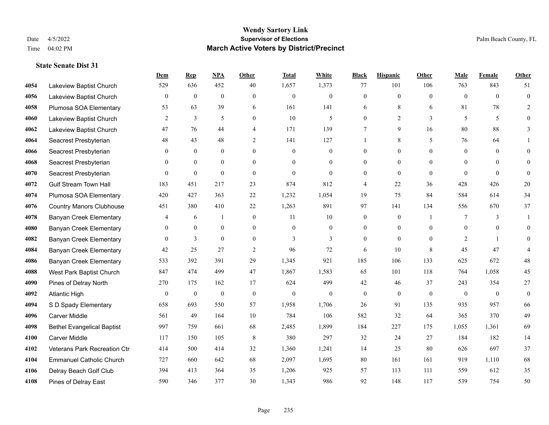|      |                                   | Dem              | <b>Rep</b>       | NPA              | <b>Other</b>   | <b>Total</b>     | <b>White</b>     | <b>Black</b>     | <b>Hispanic</b>  | <b>Other</b>   | <b>Male</b>  | Female         | <b>Other</b>     |
|------|-----------------------------------|------------------|------------------|------------------|----------------|------------------|------------------|------------------|------------------|----------------|--------------|----------------|------------------|
| 4054 | Lakeview Baptist Church           | 529              | 636              | 452              | 40             | 1,657            | 1,373            | 77               | 101              | 106            | 763          | 843            | 51               |
| 4056 | Lakeview Baptist Church           | $\boldsymbol{0}$ | $\boldsymbol{0}$ | $\boldsymbol{0}$ | $\overline{0}$ | $\mathbf{0}$     | $\boldsymbol{0}$ | $\boldsymbol{0}$ | $\boldsymbol{0}$ | $\theta$       | $\mathbf{0}$ | $\mathbf{0}$   | $\boldsymbol{0}$ |
| 4058 | Plumosa SOA Elementary            | 53               | 63               | 39               | 6              | 161              | 141              | 6                | 8                | 6              | 81           | 78             | 2                |
| 4060 | Lakeview Baptist Church           | $\overline{2}$   | 3                | 5                | $\overline{0}$ | 10               | 5                | $\mathbf{0}$     | $\overline{2}$   | 3              | 5            | 5              | $\theta$         |
| 4062 | Lakeview Baptist Church           | 47               | 76               | 44               | 4              | 171              | 139              | $\tau$           | 9                | 16             | 80           | 88             | 3                |
| 4064 | Seacrest Presbyterian             | 48               | 43               | 48               | 2              | 141              | 127              |                  | 8                | 5              | 76           | 64             |                  |
| 4066 | Seacrest Presbyterian             | $\mathbf{0}$     | $\mathbf{0}$     | $\boldsymbol{0}$ | $\overline{0}$ | $\theta$         | $\boldsymbol{0}$ | $\boldsymbol{0}$ | $\mathbf{0}$     | $\overline{0}$ | $\mathbf{0}$ | $\overline{0}$ | $\overline{0}$   |
| 4068 | Seacrest Presbyterian             | $\theta$         | $\theta$         | $\theta$         | $\theta$       | $\theta$         | $\overline{0}$   | $\mathbf{0}$     | $\theta$         | $\theta$       | $\theta$     | $\theta$       | $\theta$         |
| 4070 | Seacrest Presbyterian             | $\theta$         | $\boldsymbol{0}$ | $\theta$         | $\theta$       | $\theta$         | $\theta$         | $\overline{0}$   | $\theta$         | $\theta$       | $\Omega$     | $\Omega$       | $\Omega$         |
| 4072 | <b>Gulf Stream Town Hall</b>      | 183              | 451              | 217              | 23             | 874              | 812              | 4                | 22               | 36             | 428          | 426            | $20\,$           |
| 4074 | Plumosa SOA Elementary            | 420              | 427              | 363              | 22             | 1,232            | 1,054            | 19               | 75               | 84             | 584          | 614            | 34               |
| 4076 | <b>Country Manors Clubhouse</b>   | 451              | 380              | 410              | 22             | 1,263            | 891              | 97               | 141              | 134            | 556          | 670            | 37               |
| 4078 | <b>Banyan Creek Elementary</b>    | $\overline{4}$   | 6                | $\mathbf{1}$     | $\overline{0}$ | 11               | 10               | $\mathbf{0}$     | $\mathbf{0}$     | $\overline{1}$ | 7            | 3              | 1                |
| 4080 | <b>Banyan Creek Elementary</b>    | $\mathbf{0}$     | $\boldsymbol{0}$ | $\boldsymbol{0}$ | $\overline{0}$ | $\boldsymbol{0}$ | $\boldsymbol{0}$ | $\boldsymbol{0}$ | $\boldsymbol{0}$ | $\mathbf{0}$   | $\mathbf{0}$ | $\mathbf{0}$   | $\overline{0}$   |
| 4082 | <b>Banyan Creek Elementary</b>    | $\theta$         | 3                | $\mathbf{0}$     | $\theta$       | $\mathbf{3}$     | 3                | $\mathbf{0}$     | $\mathbf{0}$     | $\theta$       | 2            |                | $\overline{0}$   |
| 4084 | <b>Banyan Creek Elementary</b>    | 42               | 25               | 27               | 2              | 96               | 72               | 6                | 10               | 8              | 45           | 47             |                  |
| 4086 | <b>Banyan Creek Elementary</b>    | 533              | 392              | 391              | 29             | 1,345            | 921              | 185              | 106              | 133            | 625          | 672            | $48\,$           |
| 4088 | West Park Baptist Church          | 847              | 474              | 499              | 47             | 1,867            | 1,583            | 65               | 101              | 118            | 764          | 1,058          | 45               |
| 4090 | Pines of Delray North             | 270              | 175              | 162              | 17             | 624              | 499              | $42\,$           | 46               | 37             | 243          | 354            | $27\,$           |
| 4092 | <b>Atlantic High</b>              | $\mathbf{0}$     | $\boldsymbol{0}$ | $\mathbf{0}$     | $\mathbf{0}$   | $\theta$         | $\mathbf{0}$     | $\mathbf{0}$     | $\mathbf{0}$     | $\mathbf{0}$   | $\mathbf{0}$ | $\overline{0}$ | $\boldsymbol{0}$ |
| 4094 | S D Spady Elementary              | 658              | 693              | 550              | 57             | 1,958            | 1,706            | 26               | 91               | 135            | 935          | 957            | 66               |
| 4096 | Carver Middle                     | 561              | 49               | 164              | 10             | 784              | 106              | 582              | 32               | 64             | 365          | 370            | 49               |
| 4098 | <b>Bethel Evangelical Baptist</b> | 997              | 759              | 661              | 68             | 2,485            | 1,899            | 184              | 227              | 175            | 1,055        | 1,361          | 69               |
| 4100 | Carver Middle                     | 117              | 150              | 105              | 8              | 380              | 297              | 32               | 24               | 27             | 184          | 182            | 14               |
| 4102 | Veterans Park Recreation Ctr      | 414              | 500              | 414              | 32             | 1,360            | 1,241            | 14               | 25               | 80             | 626          | 697            | 37               |
| 4104 | <b>Emmanuel Catholic Church</b>   | 727              | 660              | 642              | 68             | 2,097            | 1,695            | 80               | 161              | 161            | 919          | 1,110          | 68               |
| 4106 | Delray Beach Golf Club            | 394              | 413              | 364              | 35             | 1,206            | 925              | 57               | 113              | 111            | 559          | 612            | 35               |
| 4108 | Pines of Delray East              | 590              | 346              | 377              | 30             | 1,343            | 986              | 92               | 148              | 117            | 539          | 754            | 50               |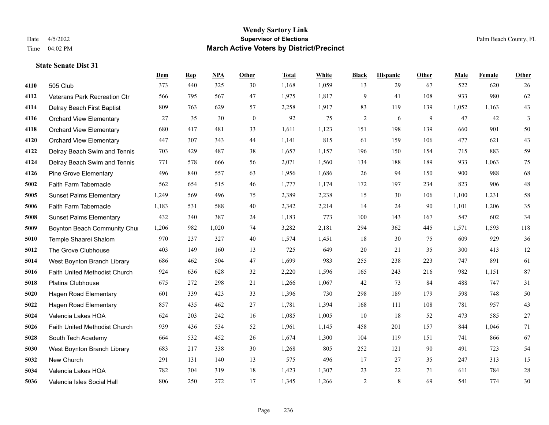|      |                                | Dem   | <b>Rep</b> | NPA   | <b>Other</b> | <b>Total</b> | White | <b>Black</b> | <b>Hispanic</b> | <b>Other</b> | <b>Male</b> | Female | <b>Other</b> |
|------|--------------------------------|-------|------------|-------|--------------|--------------|-------|--------------|-----------------|--------------|-------------|--------|--------------|
| 4110 | 505 Club                       | 373   | 440        | 325   | 30           | 1,168        | 1,059 | 13           | 29              | 67           | 522         | 620    | 26           |
| 4112 | Veterans Park Recreation Ctr   | 566   | 795        | 567   | 47           | 1,975        | 1,817 | 9            | 41              | 108          | 933         | 980    | 62           |
| 4114 | Delray Beach First Baptist     | 809   | 763        | 629   | 57           | 2,258        | 1,917 | 83           | 119             | 139          | 1,052       | 1,163  | 43           |
| 4116 | <b>Orchard View Elementary</b> | 27    | 35         | 30    | $\mathbf{0}$ | 92           | 75    | $\sqrt{2}$   | 6               | 9            | 47          | 42     | 3            |
| 4118 | <b>Orchard View Elementary</b> | 680   | 417        | 481   | 33           | 1,611        | 1,123 | 151          | 198             | 139          | 660         | 901    | 50           |
| 4120 | <b>Orchard View Elementary</b> | 447   | 307        | 343   | 44           | 1,141        | 815   | 61           | 159             | 106          | 477         | 621    | $43\,$       |
| 4122 | Delray Beach Swim and Tennis   | 703   | 429        | 487   | 38           | 1,657        | 1,157 | 196          | 150             | 154          | 715         | 883    | 59           |
| 4124 | Delray Beach Swim and Tennis   | 771   | 578        | 666   | 56           | 2,071        | 1,560 | 134          | 188             | 189          | 933         | 1.063  | 75           |
| 4126 | <b>Pine Grove Elementary</b>   | 496   | 840        | 557   | 63           | 1,956        | 1,686 | 26           | 94              | 150          | 900         | 988    | 68           |
| 5002 | Faith Farm Tabernacle          | 562   | 654        | 515   | 46           | 1,777        | 1,174 | 172          | 197             | 234          | 823         | 906    | $48\,$       |
| 5005 | <b>Sunset Palms Elementary</b> | 1,249 | 569        | 496   | 75           | 2,389        | 2,238 | 15           | 30              | 106          | 1,100       | 1,231  | $58\,$       |
| 5006 | Faith Farm Tabernacle          | 1,183 | 531        | 588   | 40           | 2,342        | 2,214 | 14           | 24              | 90           | 1,101       | 1,206  | 35           |
| 5008 | <b>Sunset Palms Elementary</b> | 432   | 340        | 387   | 24           | 1,183        | 773   | 100          | 143             | 167          | 547         | 602    | 34           |
| 5009 | Boynton Beach Community Chur   | 1,206 | 982        | 1,020 | 74           | 3,282        | 2,181 | 294          | 362             | 445          | 1,571       | 1,593  | 118          |
| 5010 | Temple Shaarei Shalom          | 970   | 237        | 327   | 40           | 1,574        | 1,451 | 18           | 30              | 75           | 609         | 929    | 36           |
| 5012 | The Grove Clubhouse            | 403   | 149        | 160   | 13           | 725          | 649   | 20           | 21              | 35           | 300         | 413    | 12           |
| 5014 | West Boynton Branch Library    | 686   | 462        | 504   | 47           | 1,699        | 983   | 255          | 238             | 223          | 747         | 891    | 61           |
| 5016 | Faith United Methodist Church  | 924   | 636        | 628   | 32           | 2,220        | 1,596 | 165          | 243             | 216          | 982         | 1,151  | 87           |
| 5018 | Platina Clubhouse              | 675   | 272        | 298   | 21           | 1,266        | 1,067 | 42           | 73              | 84           | 488         | 747    | 31           |
| 5020 | Hagen Road Elementary          | 601   | 339        | 423   | 33           | 1,396        | 730   | 298          | 189             | 179          | 598         | 748    | $50\,$       |
| 5022 | Hagen Road Elementary          | 857   | 435        | 462   | 27           | 1,781        | 1,394 | 168          | 111             | 108          | 781         | 957    | 43           |
| 5024 | Valencia Lakes HOA             | 624   | 203        | 242   | 16           | 1,085        | 1,005 | 10           | 18              | 52           | 473         | 585    | $27\,$       |
| 5026 | Faith United Methodist Church  | 939   | 436        | 534   | 52           | 1,961        | 1,145 | 458          | 201             | 157          | 844         | 1,046  | 71           |
| 5028 | South Tech Academy             | 664   | 532        | 452   | 26           | 1,674        | 1,300 | 104          | 119             | 151          | 741         | 866    | 67           |
| 5030 | West Boynton Branch Library    | 683   | 217        | 338   | 30           | 1,268        | 805   | 252          | 121             | 90           | 491         | 723    | 54           |
| 5032 | New Church                     | 291   | 131        | 140   | 13           | 575          | 496   | 17           | 27              | 35           | 247         | 313    | 15           |
| 5034 | Valencia Lakes HOA             | 782   | 304        | 319   | 18           | 1,423        | 1,307 | 23           | 22              | 71           | 611         | 784    | $28\,$       |
| 5036 | Valencia Isles Social Hall     | 806   | 250        | 272   | 17           | 1,345        | 1,266 | 2            | 8               | 69           | 541         | 774    | 30           |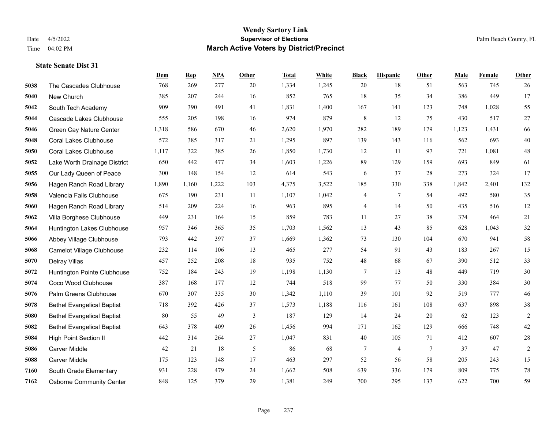|      |                                   | Dem   | <b>Rep</b> | NPA   | <b>Other</b> | <b>Total</b> | White | <b>Black</b> | <b>Hispanic</b> | <b>Other</b>    | <b>Male</b> | Female | <b>Other</b>   |
|------|-----------------------------------|-------|------------|-------|--------------|--------------|-------|--------------|-----------------|-----------------|-------------|--------|----------------|
| 5038 | The Cascades Clubhouse            | 768   | 269        | 277   | 20           | 1,334        | 1,245 | 20           | 18              | 51              | 563         | 745    | 26             |
| 5040 | New Church                        | 385   | 207        | 244   | 16           | 852          | 765   | 18           | 35              | 34              | 386         | 449    | 17             |
| 5042 | South Tech Academy                | 909   | 390        | 491   | 41           | 1,831        | 1,400 | 167          | 141             | 123             | 748         | 1,028  | 55             |
| 5044 | Cascade Lakes Clubhouse           | 555   | 205        | 198   | 16           | 974          | 879   | $\,$ 8 $\,$  | 12              | 75              | 430         | 517    | 27             |
| 5046 | Green Cay Nature Center           | 1,318 | 586        | 670   | 46           | 2,620        | 1,970 | 282          | 189             | 179             | 1,123       | 1,431  | 66             |
| 5048 | <b>Coral Lakes Clubhouse</b>      | 572   | 385        | 317   | 21           | 1,295        | 897   | 139          | 143             | 116             | 562         | 693    | $40\,$         |
| 5050 | <b>Coral Lakes Clubhouse</b>      | 1,117 | 322        | 385   | 26           | 1,850        | 1,730 | 12           | 11              | 97              | 721         | 1,081  | $48\,$         |
| 5052 | Lake Worth Drainage District      | 650   | 442        | 477   | 34           | 1,603        | 1,226 | 89           | 129             | 159             | 693         | 849    | 61             |
| 5055 | Our Lady Queen of Peace           | 300   | 148        | 154   | 12           | 614          | 543   | 6            | 37              | 28              | 273         | 324    | 17             |
| 5056 | Hagen Ranch Road Library          | 1,890 | 1,160      | 1,222 | 103          | 4,375        | 3,522 | 185          | 330             | 338             | 1,842       | 2,401  | 132            |
| 5058 | Valencia Falls Clubhouse          | 675   | 190        | 231   | 11           | 1,107        | 1,042 | 4            | $\tau$          | 54              | 492         | 580    | 35             |
| 5060 | Hagen Ranch Road Library          | 514   | 209        | 224   | 16           | 963          | 895   | 4            | 14              | 50              | 435         | 516    | 12             |
| 5062 | Villa Borghese Clubhouse          | 449   | 231        | 164   | 15           | 859          | 783   | 11           | 27              | 38              | 374         | 464    | 21             |
| 5064 | Huntington Lakes Clubhouse        | 957   | 346        | 365   | 35           | 1,703        | 1,562 | 13           | 43              | 85              | 628         | 1,043  | 32             |
| 5066 | Abbey Village Clubhouse           | 793   | 442        | 397   | 37           | 1,669        | 1,362 | 73           | 130             | 104             | 670         | 941    | 58             |
| 5068 | Camelot Village Clubhouse         | 232   | 114        | 106   | 13           | 465          | 277   | 54           | 91              | 43              | 183         | 267    | 15             |
| 5070 | Delray Villas                     | 457   | 252        | 208   | 18           | 935          | 752   | 48           | 68              | 67              | 390         | 512    | 33             |
| 5072 | Huntington Pointe Clubhouse       | 752   | 184        | 243   | 19           | 1,198        | 1,130 | 7            | 13              | 48              | 449         | 719    | $30\,$         |
| 5074 | Coco Wood Clubhouse               | 387   | 168        | 177   | 12           | 744          | 518   | 99           | 77              | 50              | 330         | 384    | $30\,$         |
| 5076 | Palm Greens Clubhouse             | 670   | 307        | 335   | 30           | 1,342        | 1,110 | 39           | 101             | 92              | 519         | 777    | $46\,$         |
| 5078 | <b>Bethel Evangelical Baptist</b> | 718   | 392        | 426   | 37           | 1,573        | 1,188 | 116          | 161             | 108             | 637         | 898    | 38             |
| 5080 | <b>Bethel Evangelical Baptist</b> | 80    | 55         | 49    | 3            | 187          | 129   | 14           | 24              | 20              | 62          | 123    | $\sqrt{2}$     |
| 5082 | <b>Bethel Evangelical Baptist</b> | 643   | 378        | 409   | 26           | 1,456        | 994   | 171          | 162             | 129             | 666         | 748    | $42\,$         |
| 5084 | <b>High Point Section II</b>      | 442   | 314        | 264   | 27           | 1,047        | 831   | 40           | 105             | 71              | 412         | 607    | $28\,$         |
| 5086 | <b>Carver Middle</b>              | 42    | 21         | 18    | 5            | 86           | 68    | 7            | 4               | $7\phantom{.0}$ | 37          | 47     | $\overline{2}$ |
| 5088 | <b>Carver Middle</b>              | 175   | 123        | 148   | 17           | 463          | 297   | 52           | 56              | 58              | 205         | 243    | 15             |
| 7160 | South Grade Elementary            | 931   | 228        | 479   | 24           | 1,662        | 508   | 639          | 336             | 179             | 809         | 775    | $78\,$         |
| 7162 | <b>Osborne Community Center</b>   | 848   | 125        | 379   | 29           | 1,381        | 249   | 700          | 295             | 137             | 622         | 700    | 59             |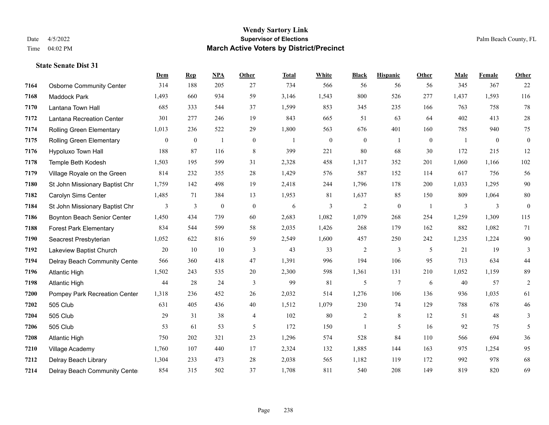|      |                                  | Dem          | <b>Rep</b>       | <b>NPA</b>       | <b>Other</b> | <b>Total</b> | White        | <b>Black</b>     | <b>Hispanic</b> | Other    | Male  | Female         | Other            |
|------|----------------------------------|--------------|------------------|------------------|--------------|--------------|--------------|------------------|-----------------|----------|-------|----------------|------------------|
| 7164 | <b>Osborne Community Center</b>  | 314          | 188              | 205              | 27           | 734          | 566          | 56               | 56              | 56       | 345   | 367            | 22               |
| 7168 | Maddock Park                     | 1,493        | 660              | 934              | 59           | 3,146        | 1,543        | 800              | 526             | 277      | 1,437 | 1,593          | 116              |
| 7170 | Lantana Town Hall                | 685          | 333              | 544              | 37           | 1,599        | 853          | 345              | 235             | 166      | 763   | 758            | 78               |
| 7172 | <b>Lantana Recreation Center</b> | 301          | 277              | 246              | 19           | 843          | 665          | 51               | 63              | 64       | 402   | 413            | $28\,$           |
| 7174 | <b>Rolling Green Elementary</b>  | 1,013        | 236              | 522              | 29           | 1,800        | 563          | 676              | 401             | 160      | 785   | 940            | 75               |
| 7175 | <b>Rolling Green Elementary</b>  | $\mathbf{0}$ | $\boldsymbol{0}$ | -1               | $\mathbf{0}$ | -1           | $\mathbf{0}$ | $\boldsymbol{0}$ | 1               | $\theta$ | -1    | $\overline{0}$ | $\boldsymbol{0}$ |
| 7176 | Hypoluxo Town Hall               | 188          | 87               | 116              | 8            | 399          | 221          | 80               | 68              | 30       | 172   | 215            | 12               |
| 7178 | Temple Beth Kodesh               | 1,503        | 195              | 599              | 31           | 2,328        | 458          | 1,317            | 352             | 201      | 1,060 | 1,166          | 102              |
| 7179 | Village Royale on the Green      | 814          | 232              | 355              | 28           | 1,429        | 576          | 587              | 152             | 114      | 617   | 756            | 56               |
| 7180 | St John Missionary Baptist Chr   | 1,759        | 142              | 498              | 19           | 2,418        | 244          | 1,796            | 178             | 200      | 1,033 | 1,295          | $90\,$           |
| 7182 | Carolyn Sims Center              | 1,485        | 71               | 384              | 13           | 1,953        | 81           | 1,637            | 85              | 150      | 809   | 1,064          | $80\,$           |
| 7184 | St John Missionary Baptist Chr   | 3            | 3                | $\boldsymbol{0}$ | $\mathbf{0}$ | 6            | 3            | $\overline{2}$   | $\mathbf{0}$    | -1       | 3     | 3              | $\boldsymbol{0}$ |
| 7186 | Boynton Beach Senior Center      | 1,450        | 434              | 739              | 60           | 2,683        | 1,082        | 1,079            | 268             | 254      | 1,259 | 1,309          | 115              |
| 7188 | <b>Forest Park Elementary</b>    | 834          | 544              | 599              | 58           | 2,035        | 1,426        | 268              | 179             | 162      | 882   | 1,082          | 71               |
| 7190 | Seacrest Presbyterian            | 1,052        | 622              | 816              | 59           | 2,549        | 1,600        | 457              | 250             | 242      | 1,235 | 1,224          | $90\,$           |
| 7192 | Lakeview Baptist Church          | 20           | 10               | 10               | 3            | 43           | 33           | $\overline{c}$   | 3               | 5        | 21    | 19             | 3                |
| 7194 | Delray Beach Community Cente     | 566          | 360              | 418              | 47           | 1,391        | 996          | 194              | 106             | 95       | 713   | 634            | $44\,$           |
| 7196 | <b>Atlantic High</b>             | 1,502        | 243              | 535              | 20           | 2,300        | 598          | 1,361            | 131             | 210      | 1,052 | 1,159          | 89               |
| 7198 | <b>Atlantic High</b>             | 44           | 28               | 24               | 3            | 99           | 81           | 5                | 7               | 6        | 40    | 57             | $\overline{c}$   |
| 7200 | Pompey Park Recreation Center    | 1,318        | 236              | 452              | 26           | 2,032        | 514          | 1,276            | 106             | 136      | 936   | 1,035          | 61               |
| 7202 | 505 Club                         | 631          | 405              | 436              | 40           | 1,512        | 1,079        | 230              | 74              | 129      | 788   | 678            | $46\,$           |
| 7204 | 505 Club                         | 29           | 31               | 38               | 4            | 102          | $80\,$       | $\overline{c}$   | $8\,$           | 12       | 51    | 48             | 3                |
| 7206 | 505 Club                         | 53           | 61               | 53               | 5            | 172          | 150          | $\mathbf{1}$     | 5               | 16       | 92    | 75             | 5                |
| 7208 | <b>Atlantic High</b>             | 750          | 202              | 321              | 23           | 1,296        | 574          | 528              | 84              | 110      | 566   | 694            | 36               |
| 7210 | Village Academy                  | 1,760        | 107              | 440              | 17           | 2,324        | 132          | 1,885            | 144             | 163      | 975   | 1,254          | 95               |
| 7212 | Delray Beach Library             | 1,304        | 233              | 473              | 28           | 2,038        | 565          | 1,182            | 119             | 172      | 992   | 978            | 68               |
| 7214 | Delray Beach Community Cente     | 854          | 315              | 502              | 37           | 1,708        | 811          | 540              | 208             | 149      | 819   | 820            | 69               |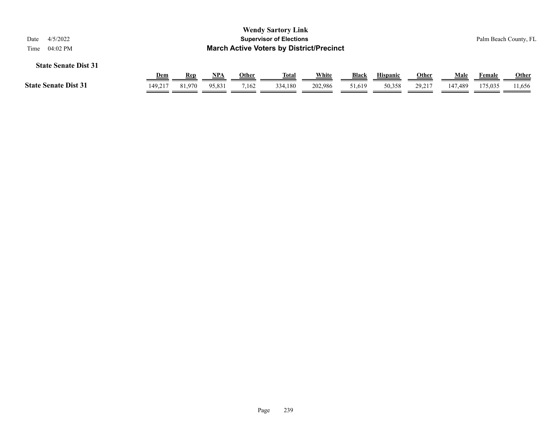| 4/5/2022<br>Date            |                                                                     |                      |                      |                | <b>Wendy Sartory Link</b><br><b>Supervisor of Elections</b> |                  |                 |                           |                        |                 |                   | Palm Beach County, FL  |
|-----------------------------|---------------------------------------------------------------------|----------------------|----------------------|----------------|-------------------------------------------------------------|------------------|-----------------|---------------------------|------------------------|-----------------|-------------------|------------------------|
| <b>State Senate Dist 31</b> | <b>March Active Voters by District/Precinct</b><br>04:02 PM<br>Time |                      |                      |                |                                                             |                  |                 |                           |                        |                 |                   |                        |
| <b>State Senate Dist 31</b> | <b>Dem</b><br>149.217                                               | <b>Rep</b><br>81,970 | <u>NPA</u><br>95,831 | Other<br>7,162 | <u>Total</u><br>334,180                                     | White<br>202,986 | Black<br>51,619 | <b>Hispanic</b><br>50,358 | <u>Other</u><br>29,217 | Male<br>147.489 | Female<br>175,035 | <b>Other</b><br>11.656 |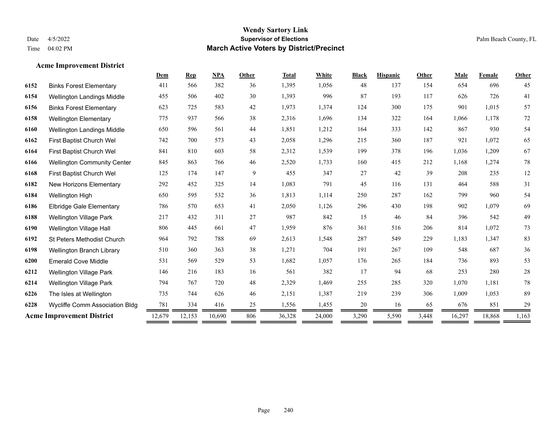**Acme Improvement District**

#### **Wendy Sartory Link** Date 4/5/2022 **Supervisor of Elections** Palm Beach County, FL Time 04:02 PM **March Active Voters by District/Precinct**

# **Dem Rep NPA Other Total White Black Hispanic Other Male Female Other** Binks Forest Elementary 411 566 382 36 1,395 1,056 48 137 154 654 696 45 Wellington Landings Middle 455 506 402 30 1,393 996 87 193 117 626 726 41 Binks Forest Elementary 623 725 583 42 1,973 1,374 124 300 175 901 1,015 57 Wellington Elementary 775 937 566 38 2,316 1,696 134 322 164 1,066 1,178 72 Wellington Landings Middle 650 596 561 44 1,851 1,212 164 333 142 867 930 54 First Baptist Church Wel 742 700 573 43 2,058 1,296 215 360 187 921 1,072 65 First Baptist Church Wel 841 810 603 58 2,312 1,539 199 378 196 1,036 1,209 67 Wellington Community Center 845 863 766 46 2,520 1,733 160 415 212 1,168 1,274 78 First Baptist Church Wel 125 174 147 9 455 347 27 42 39 208 235 12 New Horizons Elementary 292 452 325 14 1,083 791 45 116 131 464 588 31 Wellington High 650 595 532 36 1,813 1,114 250 287 162 799 960 54 Elbridge Gale Elementary 786 570 653 41 2,050 1,126 296 430 198 902 1,079 69 Wellington Village Park 217 432 311 27 987 842 15 46 84 396 542 49 Wellington Village Hall 806 445 661 47 1,959 876 361 516 206 814 1,072 73 St Peters Methodist Church 964 792 788 69 2,613 1,548 287 549 229 1,183 1,347 83 Wellington Branch Library 510 360 363 38 1,271 704 191 267 109 548 687 36 Emerald Cove Middle 531 569 529 53 1,682 1,057 176 265 184 736 893 53 Wellington Village Park 146 216 183 16 561 382 17 94 68 253 280 28 Wellington Village Park 794 767 720 48 2,329 1,469 255 285 320 1,070 1,181 78 The Isles at Wellington 735 744 626 46 2,151 1,387 219 239 306 1,009 1,053 89 **6228** Wycliffe Comm Association Bldg  $\frac{781}{2} \frac{334}{2} \frac{416}{2} \frac{25}{2} \frac{25}{2} \frac{1,556}{2} \frac{1,455}{2} \frac{20}{2} \frac{16}{2} \frac{65}{2} \frac{65}{2} \frac{676}{2} \frac{851}{2} \frac{29}{2} \frac{20}{2} \frac{25}{2} \frac{1,6}{2} \frac{25}{2} \frac{25}{2} \frac{25}{2} \frac{1,65}{2} \$ **Acme Improvement District** 12,679 12,153 10,690 806 36,328 24,000 3,290 5,590 3,448 16,297 18,868 1,163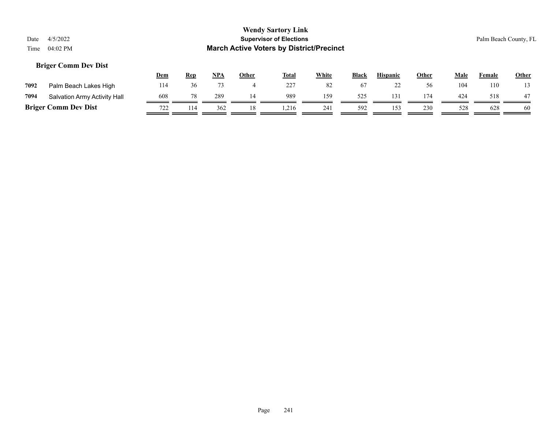#### **Briger Comm Dev Dist**

|      |                              | <u>Dem</u>              | Rep | <b>NPA</b> | Other | <b>Total</b> | White | <b>Black</b> | <b>Hispanic</b> | Other | Male | Female | <b>Other</b> |
|------|------------------------------|-------------------------|-----|------------|-------|--------------|-------|--------------|-----------------|-------|------|--------|--------------|
| 7092 | Palm Beach Lakes High        | 114                     |     |            |       | 227          | 82    | 67           | ∼               |       | 104  | 110    |              |
| 7094 | Salvation Army Activity Hall | 608                     |     | 289        |       | 989          | 159   | 525          | 131             | 174   | 424  | 518    | 47           |
|      | <b>Briger Comm Dev Dist</b>  | 722<br>$1 \overline{2}$ | 114 | 362        |       | ,216         | 241   | 592          | 153             | 230   | 528  | 628    | 60           |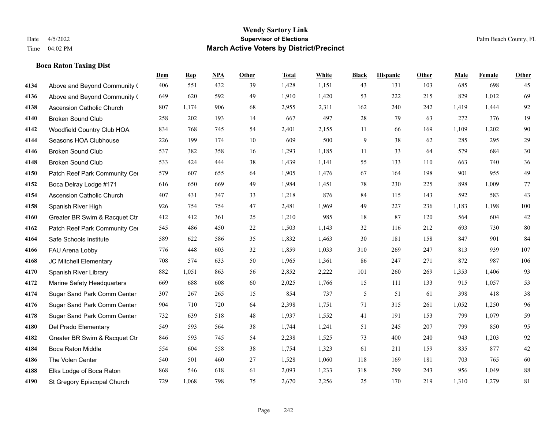#### **Boca Raton Taxing Dist**

|      |                                  | Dem | <b>Rep</b> | <b>NPA</b> | <b>Other</b> | <b>Total</b> | White | <b>Black</b> | <b>Hispanic</b> | Other | Male  | Female | Other  |
|------|----------------------------------|-----|------------|------------|--------------|--------------|-------|--------------|-----------------|-------|-------|--------|--------|
| 4134 | Above and Beyond Community (     | 406 | 551        | 432        | 39           | 1,428        | 1,151 | 43           | 131             | 103   | 685   | 698    | 45     |
| 4136 | Above and Beyond Community (     | 649 | 620        | 592        | 49           | 1,910        | 1,420 | 53           | 222             | 215   | 829   | 1,012  | 69     |
| 4138 | <b>Ascension Catholic Church</b> | 807 | 1,174      | 906        | 68           | 2,955        | 2,311 | 162          | 240             | 242   | 1,419 | 1,444  | 92     |
| 4140 | <b>Broken Sound Club</b>         | 258 | 202        | 193        | 14           | 667          | 497   | 28           | 79              | 63    | 272   | 376    | 19     |
| 4142 | Woodfield Country Club HOA       | 834 | 768        | 745        | 54           | 2,401        | 2,155 | 11           | 66              | 169   | 1,109 | 1,202  | $90\,$ |
| 4144 | Seasons HOA Clubhouse            | 226 | 199        | 174        | $10\,$       | 609          | 500   | 9            | 38              | 62    | 285   | 295    | 29     |
| 4146 | <b>Broken Sound Club</b>         | 537 | 382        | 358        | 16           | 1,293        | 1,185 | 11           | 33              | 64    | 579   | 684    | $30\,$ |
| 4148 | <b>Broken Sound Club</b>         | 533 | 424        | 444        | 38           | 1,439        | 1,141 | 55           | 133             | 110   | 663   | 740    | 36     |
| 4150 | Patch Reef Park Community Cer    | 579 | 607        | 655        | 64           | 1,905        | 1,476 | 67           | 164             | 198   | 901   | 955    | 49     |
| 4152 | Boca Delray Lodge #171           | 616 | 650        | 669        | 49           | 1,984        | 1,451 | 78           | 230             | 225   | 898   | 1,009  | $77\,$ |
| 4154 | <b>Ascension Catholic Church</b> | 407 | 431        | 347        | 33           | 1,218        | 876   | 84           | 115             | 143   | 592   | 583    | 43     |
| 4158 | Spanish River High               | 926 | 754        | 754        | 47           | 2,481        | 1,969 | 49           | 227             | 236   | 1,183 | 1,198  | 100    |
| 4160 | Greater BR Swim & Racquet Ctr    | 412 | 412        | 361        | 25           | 1,210        | 985   | 18           | 87              | 120   | 564   | 604    | $42\,$ |
| 4162 | Patch Reef Park Community Cer    | 545 | 486        | 450        | 22           | 1,503        | 1,143 | 32           | 116             | 212   | 693   | 730    | 80     |
| 4164 | Safe Schools Institute           | 589 | 622        | 586        | 35           | 1,832        | 1,463 | 30           | 181             | 158   | 847   | 901    | 84     |
| 4166 | FAU Arena Lobby                  | 776 | 448        | 603        | 32           | 1,859        | 1,033 | 310          | 269             | 247   | 813   | 939    | 107    |
| 4168 | JC Mitchell Elementary           | 708 | 574        | 633        | 50           | 1,965        | 1,361 | 86           | 247             | 271   | 872   | 987    | 106    |
| 4170 | Spanish River Library            | 882 | 1,051      | 863        | 56           | 2,852        | 2,222 | 101          | 260             | 269   | 1,353 | 1.406  | 93     |
| 4172 | Marine Safety Headquarters       | 669 | 688        | 608        | 60           | 2,025        | 1,766 | 15           | 111             | 133   | 915   | 1,057  | 53     |
| 4174 | Sugar Sand Park Comm Center      | 307 | 267        | 265        | 15           | 854          | 737   | 5            | 51              | 61    | 398   | 418    | $38\,$ |
| 4176 | Sugar Sand Park Comm Center      | 904 | 710        | 720        | 64           | 2,398        | 1,751 | 71           | 315             | 261   | 1,052 | 1,250  | 96     |
| 4178 | Sugar Sand Park Comm Center      | 732 | 639        | 518        | 48           | 1,937        | 1,552 | 41           | 191             | 153   | 799   | 1,079  | 59     |
| 4180 | Del Prado Elementary             | 549 | 593        | 564        | 38           | 1,744        | 1,241 | 51           | 245             | 207   | 799   | 850    | 95     |
| 4182 | Greater BR Swim & Racquet Ctr    | 846 | 593        | 745        | 54           | 2,238        | 1,525 | 73           | 400             | 240   | 943   | 1,203  | 92     |
| 4184 | Boca Raton Middle                | 554 | 604        | 558        | 38           | 1,754        | 1,323 | 61           | 211             | 159   | 835   | 877    | 42     |
| 4186 | The Volen Center                 | 540 | 501        | 460        | 27           | 1,528        | 1,060 | 118          | 169             | 181   | 703   | 765    | 60     |
| 4188 | Elks Lodge of Boca Raton         | 868 | 546        | 618        | 61           | 2,093        | 1,233 | 318          | 299             | 243   | 956   | 1,049  | 88     |
| 4190 | St Gregory Episcopal Church      | 729 | 1,068      | 798        | 75           | 2,670        | 2,256 | 25           | 170             | 219   | 1,310 | 1,279  | 81     |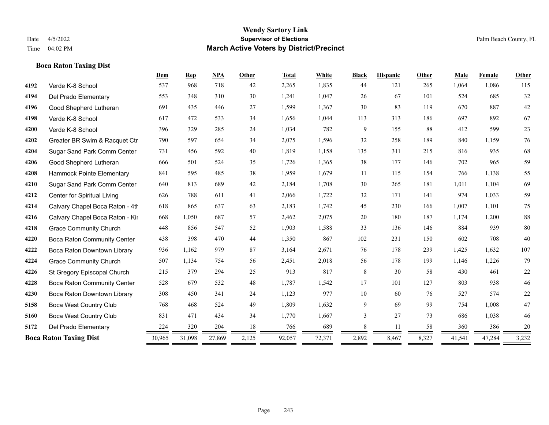### **Boca Raton Taxing Dist**

|      |                                 | Dem    | Rep    | <b>NPA</b> | <b>Other</b> | <b>Total</b> | White  | <b>Black</b> | <b>Hispanic</b> | Other | Male   | Female | Other  |
|------|---------------------------------|--------|--------|------------|--------------|--------------|--------|--------------|-----------------|-------|--------|--------|--------|
| 4192 | Verde K-8 School                | 537    | 968    | 718        | 42           | 2,265        | 1,835  | 44           | 121             | 265   | 1,064  | 1,086  | 115    |
| 4194 | Del Prado Elementary            | 553    | 348    | 310        | 30           | 1,241        | 1,047  | 26           | 67              | 101   | 524    | 685    | 32     |
| 4196 | Good Shepherd Lutheran          | 691    | 435    | 446        | 27           | 1,599        | 1,367  | 30           | 83              | 119   | 670    | 887    | $42\,$ |
| 4198 | Verde K-8 School                | 617    | 472    | 533        | 34           | 1,656        | 1,044  | 113          | 313             | 186   | 697    | 892    | 67     |
| 4200 | Verde K-8 School                | 396    | 329    | 285        | 24           | 1,034        | 782    | 9            | 155             | 88    | 412    | 599    | 23     |
| 4202 | Greater BR Swim & Racquet Ctr   | 790    | 597    | 654        | 34           | 2,075        | 1,596  | 32           | 258             | 189   | 840    | 1,159  | 76     |
| 4204 | Sugar Sand Park Comm Center     | 731    | 456    | 592        | 40           | 1,819        | 1,158  | 135          | 311             | 215   | 816    | 935    | 68     |
| 4206 | Good Shepherd Lutheran          | 666    | 501    | 524        | 35           | 1,726        | 1,365  | 38           | 177             | 146   | 702    | 965    | 59     |
| 4208 | Hammock Pointe Elementary       | 841    | 595    | 485        | 38           | 1,959        | 1,679  | 11           | 115             | 154   | 766    | 1,138  | 55     |
| 4210 | Sugar Sand Park Comm Center     | 640    | 813    | 689        | 42           | 2,184        | 1,708  | 30           | 265             | 181   | 1,011  | 1,104  | 69     |
| 4212 | Center for Spiritual Living     | 626    | 788    | 611        | 41           | 2,066        | 1,722  | 32           | 171             | 141   | 974    | 1,033  | 59     |
| 4214 | Calvary Chapel Boca Raton - 4th | 618    | 865    | 637        | 63           | 2,183        | 1,742  | 45           | 230             | 166   | 1,007  | 1,101  | 75     |
| 4216 | Calvary Chapel Boca Raton - Kir | 668    | 1,050  | 687        | 57           | 2,462        | 2,075  | 20           | 180             | 187   | 1,174  | 1,200  | $88\,$ |
| 4218 | <b>Grace Community Church</b>   | 448    | 856    | 547        | 52           | 1,903        | 1,588  | 33           | 136             | 146   | 884    | 939    | $80\,$ |
| 4220 | Boca Raton Community Center     | 438    | 398    | 470        | 44           | 1,350        | 867    | 102          | 231             | 150   | 602    | 708    | 40     |
| 4222 | Boca Raton Downtown Library     | 936    | 1,162  | 979        | 87           | 3,164        | 2,671  | 76           | 178             | 239   | 1,425  | 1,632  | 107    |
| 4224 | <b>Grace Community Church</b>   | 507    | 1,134  | 754        | 56           | 2,451        | 2,018  | 56           | 178             | 199   | 1,146  | 1,226  | 79     |
| 4226 | St Gregory Episcopal Church     | 215    | 379    | 294        | 25           | 913          | 817    | 8            | 30              | 58    | 430    | 461    | $22\,$ |
| 4228 | Boca Raton Community Center     | 528    | 679    | 532        | 48           | 1,787        | 1,542  | 17           | 101             | 127   | 803    | 938    | $46\,$ |
| 4230 | Boca Raton Downtown Library     | 308    | 450    | 341        | 24           | 1,123        | 977    | 10           | 60              | 76    | 527    | 574    | 22     |
| 5158 | <b>Boca West Country Club</b>   | 768    | 468    | 524        | 49           | 1,809        | 1,632  | 9            | 69              | 99    | 754    | 1,008  | 47     |
| 5160 | <b>Boca West Country Club</b>   | 831    | 471    | 434        | 34           | 1,770        | 1,667  | 3            | 27              | 73    | 686    | 1,038  | 46     |
| 5172 | Del Prado Elementary            | 224    | 320    | 204        | 18           | 766          | 689    | 8            | 11              | 58    | 360    | 386    | $20\,$ |
|      | <b>Boca Raton Taxing Dist</b>   | 30,965 | 31,098 | 27,869     | 2,125        | 92,057       | 72,371 | 2,892        | 8,467           | 8,327 | 41,541 | 47,284 | 3,232  |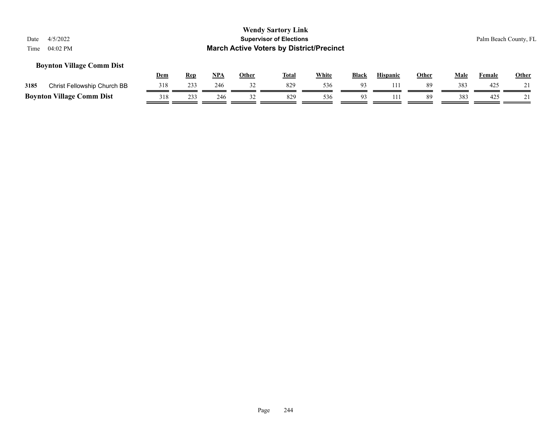#### **Boynton Village Comm Dist**

|      |                                  | Dem | Rep | NPA | Other | <b>Total</b> | White | <b>Black</b> | <b>Hispanic</b> | Other | Male | Female | <b>Other</b> |
|------|----------------------------------|-----|-----|-----|-------|--------------|-------|--------------|-----------------|-------|------|--------|--------------|
| 3185 | Christ Fellowship Church BB      |     | 233 | 246 |       | 829          | 536   | $^{\alpha}$  |                 | 89    | 383  | 425    | $^{\sim}$ 1  |
|      | <b>Boynton Village Comm Dist</b> | 318 | 233 | 246 |       |              | 536   |              |                 | 89    | 383  | 425    |              |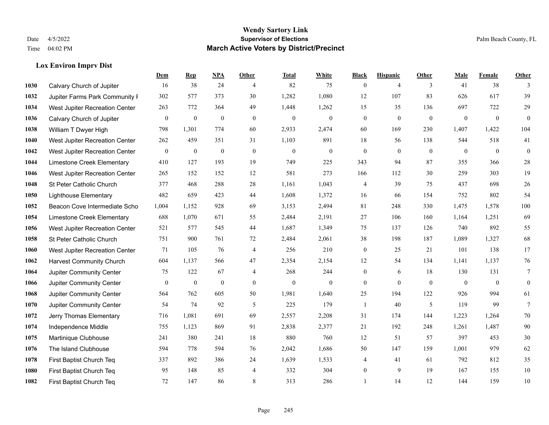#### **Lox Environ Imprv Dist**

|      |                                 | Dem              | <b>Rep</b>       | NPA              | <b>Other</b>   | <b>Total</b>     | <b>White</b>     | <b>Black</b>     | <b>Hispanic</b> | <b>Other</b>   | <b>Male</b>  | Female       | <b>Other</b>   |
|------|---------------------------------|------------------|------------------|------------------|----------------|------------------|------------------|------------------|-----------------|----------------|--------------|--------------|----------------|
| 1030 | Calvary Church of Jupiter       | 16               | 38               | 24               | $\overline{4}$ | 82               | 75               | $\boldsymbol{0}$ | $\overline{4}$  | 3              | 41           | 38           | 3              |
| 1032 | Jupiter Farms Park Community I  | 302              | 577              | 373              | 30             | 1,282            | 1,080            | 12               | 107             | 83             | 626          | 617          | 39             |
| 1034 | West Jupiter Recreation Center  | 263              | 772              | 364              | 49             | 1,448            | 1,262            | 15               | 35              | 136            | 697          | 722          | 29             |
| 1036 | Calvary Church of Jupiter       | $\boldsymbol{0}$ | $\boldsymbol{0}$ | $\boldsymbol{0}$ | $\mathbf{0}$   | $\mathbf{0}$     | $\boldsymbol{0}$ | $\boldsymbol{0}$ | $\mathbf{0}$    | $\mathbf{0}$   | $\mathbf{0}$ | $\mathbf{0}$ | $\overline{0}$ |
| 1038 | William T Dwyer High            | 798              | 1,301            | 774              | 60             | 2,933            | 2,474            | 60               | 169             | 230            | 1,407        | 1,422        | 104            |
| 1040 | West Jupiter Recreation Center  | 262              | 459              | 351              | 31             | 1,103            | 891              | 18               | 56              | 138            | 544          | 518          | 41             |
| 1042 | West Jupiter Recreation Center  | $\mathbf{0}$     | $\boldsymbol{0}$ | $\overline{0}$   | $\mathbf{0}$   | $\theta$         | $\boldsymbol{0}$ | $\boldsymbol{0}$ | $\mathbf{0}$    | $\overline{0}$ | $\mathbf{0}$ | $\mathbf{0}$ | $\mathbf{0}$   |
| 1044 | Limestone Creek Elementary      | 410              | 127              | 193              | 19             | 749              | 225              | 343              | 94              | 87             | 355          | 366          | 28             |
| 1046 | West Jupiter Recreation Center  | 265              | 152              | 152              | 12             | 581              | 273              | 166              | 112             | 30             | 259          | 303          | 19             |
| 1048 | St Peter Catholic Church        | 377              | 468              | 288              | 28             | 1,161            | 1,043            | 4                | 39              | 75             | 437          | 698          | 26             |
| 1050 | <b>Lighthouse Elementary</b>    | 482              | 659              | 423              | 44             | 1,608            | 1,372            | 16               | 66              | 154            | 752          | 802          | 54             |
| 1052 | Beacon Cove Intermediate Scho   | 1,004            | 1,152            | 928              | 69             | 3,153            | 2,494            | 81               | 248             | 330            | 1,475        | 1,578        | 100            |
| 1054 | Limestone Creek Elementary      | 688              | 1,070            | 671              | 55             | 2,484            | 2,191            | 27               | 106             | 160            | 1,164        | 1,251        | 69             |
| 1056 | West Jupiter Recreation Center  | 521              | 577              | 545              | 44             | 1,687            | 1,349            | 75               | 137             | 126            | 740          | 892          | 55             |
| 1058 | St Peter Catholic Church        | 751              | 900              | 761              | 72             | 2,484            | 2,061            | 38               | 198             | 187            | 1,089        | 1,327        | 68             |
| 1060 | West Jupiter Recreation Center  | 71               | 105              | 76               | $\overline{4}$ | 256              | 210              | $\boldsymbol{0}$ | 25              | 21             | 101          | 138          | 17             |
| 1062 | <b>Harvest Community Church</b> | 604              | 1,137            | 566              | 47             | 2,354            | 2,154            | 12               | 54              | 134            | 1,141        | 1,137        | 76             |
| 1064 | Jupiter Community Center        | 75               | 122              | 67               | $\overline{4}$ | 268              | 244              | $\overline{0}$   | 6               | 18             | 130          | 131          | $\tau$         |
| 1066 | Jupiter Community Center        | $\mathbf{0}$     | $\boldsymbol{0}$ | $\boldsymbol{0}$ | $\mathbf{0}$   | $\boldsymbol{0}$ | $\overline{0}$   | $\boldsymbol{0}$ | $\mathbf{0}$    | $\overline{0}$ | $\mathbf{0}$ | $\mathbf{0}$ | $\overline{0}$ |
| 1068 | Jupiter Community Center        | 564              | 762              | 605              | 50             | 1,981            | 1,640            | 25               | 194             | 122            | 926          | 994          | 61             |
| 1070 | <b>Jupiter Community Center</b> | 54               | 74               | 92               | 5              | 225              | 179              | $\mathbf{1}$     | 40              | 5              | 119          | 99           | $\tau$         |
| 1072 | Jerry Thomas Elementary         | 716              | 1,081            | 691              | 69             | 2,557            | 2,208            | 31               | 174             | 144            | 1,223        | 1,264        | $70\,$         |
| 1074 | Independence Middle             | 755              | 1,123            | 869              | 91             | 2,838            | 2,377            | 21               | 192             | 248            | 1,261        | 1,487        | 90             |
| 1075 | Martinique Clubhouse            | 241              | 380              | 241              | 18             | 880              | 760              | 12               | 51              | 57             | 397          | 453          | 30             |
| 1076 | The Island Clubhouse            | 594              | 778              | 594              | 76             | 2,042            | 1,686            | 50               | 147             | 159            | 1.001        | 979          | 62             |
| 1078 | First Baptist Church Teq        | 337              | 892              | 386              | 24             | 1,639            | 1,533            | 4                | 41              | 61             | 792          | 812          | 35             |
| 1080 | First Baptist Church Teq        | 95               | 148              | 85               | $\overline{4}$ | 332              | 304              | $\boldsymbol{0}$ | 9               | 19             | 167          | 155          | 10             |
| 1082 | First Baptist Church Teq        | 72               | 147              | 86               | 8              | 313              | 286              | $\mathbf{1}$     | 14              | 12             | 144          | 159          | $10\,$         |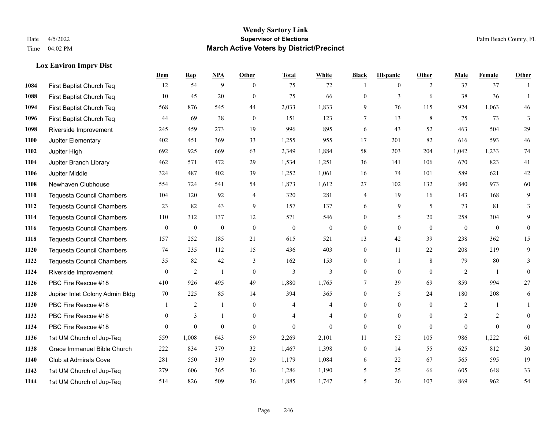#### **Lox Environ Imprv Dist**

|      |                                  | Dem          | <b>Rep</b>       | NPA              | <b>Other</b>   | <b>Total</b>     | <b>White</b>     | <b>Black</b>     | <b>Hispanic</b> | <b>Other</b> | <b>Male</b>    | <b>Female</b>  | <b>Other</b> |
|------|----------------------------------|--------------|------------------|------------------|----------------|------------------|------------------|------------------|-----------------|--------------|----------------|----------------|--------------|
| 1084 | First Baptist Church Teq         | 12           | 54               | 9                | $\theta$       | 75               | 72               | 1                | $\mathbf{0}$    | 2            | 37             | 37             | $\mathbf{1}$ |
| 1088 | First Baptist Church Teq         | 10           | 45               | 20               | $\theta$       | 75               | 66               | $\mathbf{0}$     | 3               | 6            | 38             | 36             | $\mathbf{1}$ |
| 1094 | First Baptist Church Teq         | 568          | 876              | 545              | 44             | 2,033            | 1,833            | 9                | 76              | 115          | 924            | 1,063          | 46           |
| 1096 | First Baptist Church Teq         | 44           | 69               | 38               | $\mathbf{0}$   | 151              | 123              | 7                | 13              | 8            | 75             | 73             | 3            |
| 1098 | Riverside Improvement            | 245          | 459              | 273              | 19             | 996              | 895              | 6                | 43              | 52           | 463            | 504            | 29           |
| 1100 | Jupiter Elementary               | 402          | 451              | 369              | 33             | 1,255            | 955              | 17               | 201             | 82           | 616            | 593            | $46\,$       |
| 1102 | Jupiter High                     | 692          | 925              | 669              | 63             | 2,349            | 1,884            | 58               | 203             | 204          | 1,042          | 1,233          | $74\,$       |
| 1104 | Jupiter Branch Library           | 462          | 571              | 472              | 29             | 1,534            | 1,251            | 36               | 141             | 106          | 670            | 823            | 41           |
| 1106 | Jupiter Middle                   | 324          | 487              | 402              | 39             | 1,252            | 1,061            | 16               | 74              | 101          | 589            | 621            | $42\,$       |
| 1108 | Newhaven Clubhouse               | 554          | 724              | 541              | 54             | 1,873            | 1,612            | 27               | 102             | 132          | 840            | 973            | $60\,$       |
| 1110 | <b>Tequesta Council Chambers</b> | 104          | 120              | 92               | $\overline{4}$ | 320              | 281              | 4                | 19              | 16           | 143            | 168            | 9            |
| 1112 | <b>Tequesta Council Chambers</b> | 23           | 82               | 43               | 9              | 157              | 137              | 6                | 9               | 5            | 73             | 81             | 3            |
| 1114 | <b>Tequesta Council Chambers</b> | 110          | 312              | 137              | 12             | 571              | 546              | $\overline{0}$   | 5               | 20           | 258            | 304            | 9            |
| 1116 | <b>Tequesta Council Chambers</b> | $\mathbf{0}$ | $\boldsymbol{0}$ | $\boldsymbol{0}$ | $\mathbf{0}$   | $\boldsymbol{0}$ | $\boldsymbol{0}$ | $\boldsymbol{0}$ | $\mathbf{0}$    | $\mathbf{0}$ | $\mathbf{0}$   | $\mathbf{0}$   | $\mathbf{0}$ |
| 1118 | <b>Tequesta Council Chambers</b> | 157          | 252              | 185              | 21             | 615              | 521              | 13               | 42              | 39           | 238            | 362            | 15           |
| 1120 | <b>Tequesta Council Chambers</b> | 74           | 235              | 112              | 15             | 436              | 403              | $\mathbf{0}$     | 11              | 22           | 208            | 219            | 9            |
| 1122 | <b>Tequesta Council Chambers</b> | 35           | 82               | 42               | 3              | 162              | 153              | $\mathbf{0}$     | $\mathbf{1}$    | 8            | 79             | 80             | 3            |
| 1124 | Riverside Improvement            | $\mathbf{0}$ | $\sqrt{2}$       | $\mathbf{1}$     | $\overline{0}$ | $\mathfrak{Z}$   | 3                | $\boldsymbol{0}$ | $\mathbf{0}$    | $\theta$     | $\overline{2}$ | $\overline{1}$ | $\mathbf{0}$ |
| 1126 | PBC Fire Rescue #18              | 410          | 926              | 495              | 49             | 1,880            | 1,765            | 7                | 39              | 69           | 859            | 994            | 27           |
| 1128 | Jupiter Inlet Colony Admin Bldg  | 70           | 225              | 85               | 14             | 394              | 365              | $\mathbf{0}$     | 5               | 24           | 180            | 208            | 6            |
| 1130 | PBC Fire Rescue #18              |              | $\overline{2}$   | -1               | $\overline{0}$ | 4                | 4                | $\mathbf{0}$     | $\mathbf{0}$    | $\theta$     | 2              | 1              | $\mathbf{1}$ |
| 1132 | PBC Fire Rescue #18              | $\theta$     | 3                | $\mathbf{1}$     | $\overline{0}$ | $\overline{4}$   | $\overline{4}$   | $\overline{0}$   | $\theta$        | $\theta$     | 2              | 2              | $\theta$     |
| 1134 | PBC Fire Rescue #18              | $\theta$     | $\mathbf{0}$     | $\mathbf{0}$     | $\theta$       | $\theta$         | $\theta$         | $\mathbf{0}$     | $\theta$        | $\Omega$     | $\Omega$       | $\theta$       | $\mathbf{0}$ |
| 1136 | 1st UM Church of Jup-Teq         | 559          | 1,008            | 643              | 59             | 2,269            | 2,101            | 11               | 52              | 105          | 986            | 1,222          | 61           |
| 1138 | Grace Immanuel Bible Church      | 222          | 834              | 379              | 32             | 1,467            | 1,398            | $\mathbf{0}$     | 14              | 55           | 625            | 812            | $30\,$       |
| 1140 | Club at Admirals Cove            | 281          | 550              | 319              | 29             | 1,179            | 1,084            | 6                | 22              | 67           | 565            | 595            | 19           |
| 1142 | 1st UM Church of Jup-Teq         | 279          | 606              | 365              | 36             | 1,286            | 1,190            | 5                | 25              | 66           | 605            | 648            | 33           |
| 1144 | 1st UM Church of Jup-Teq         | 514          | 826              | 509              | 36             | 1,885            | 1,747            | 5                | 26              | 107          | 869            | 962            | 54           |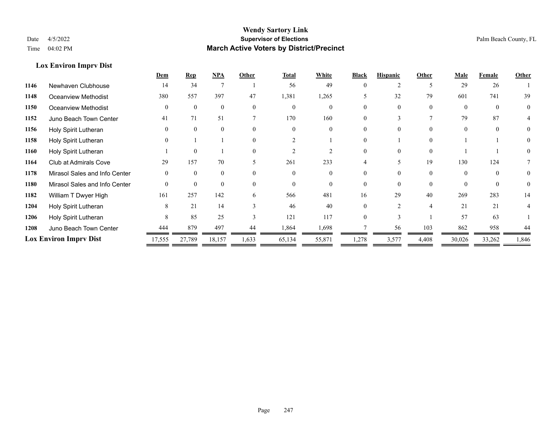#### **Lox Environ Imprv Dist**

|                               |                               | Dem      | <b>Rep</b>   | <b>NPA</b> | Other                    | <b>Total</b> | White  | <b>Black</b> | <b>Hispanic</b> | Other    | Male     | Female   | Other    |
|-------------------------------|-------------------------------|----------|--------------|------------|--------------------------|--------------|--------|--------------|-----------------|----------|----------|----------|----------|
| 1146                          | Newhaven Clubhouse            | 14       | 34           |            |                          | 56           | 49     |              |                 |          | 29       | 26       |          |
| 1148                          | Oceanview Methodist           | 380      | 557          | 397        | 47                       | 1,381        | 1,265  |              | 32              | 79       | 601      | 741      | 39       |
| 1150                          | <b>Oceanview Methodist</b>    | $\Omega$ | $\theta$     | $\Omega$   | $\theta$                 | $\Omega$     |        |              |                 | $\Omega$ | $\Omega$ | $\Omega$ | $\theta$ |
| 1152                          | Juno Beach Town Center        | 41       | 71           | 51         |                          | 170          | 160    |              |                 |          | 79       | 87       |          |
| 1156                          | Holy Spirit Lutheran          | $\Omega$ | $\theta$     | $\Omega$   | $\Omega$                 | $\Omega$     |        |              |                 | $\Omega$ | $\Omega$ | $\Omega$ | $\theta$ |
| 1158                          | Holy Spirit Lutheran          |          |              |            |                          |              |        |              |                 | $\theta$ |          |          |          |
| 1160                          | Holy Spirit Lutheran          |          | $\mathbf{0}$ |            |                          |              |        |              |                 | $\Omega$ |          |          |          |
| 1164                          | <b>Club at Admirals Cove</b>  | 29       | 157          | 70         | $\overline{\phantom{1}}$ | 261          | 233    |              |                 | 19       | 130      | 124      |          |
| 1178                          | Mirasol Sales and Info Center | $\Omega$ | $\Omega$     | $\Omega$   | $\Omega$                 | $\Omega$     |        |              |                 | $\Omega$ |          | $\Omega$ | $\theta$ |
| 1180                          | Mirasol Sales and Info Center | $\Omega$ | $\theta$     | $\Omega$   | $\Omega$                 | $\Omega$     |        |              |                 | $\Omega$ |          | $\Omega$ | $\theta$ |
| 1182                          | William T Dwyer High          | 161      | 257          | 142        | 6                        | 566          | 481    | 16           | 29              | 40       | 269      | 283      | 14       |
| 1204                          | Holy Spirit Lutheran          | 8        | 21           | 14         |                          | 46           | 40     |              |                 | 4        | 21       | 21       |          |
| 1206                          | Holy Spirit Lutheran          | 8        | 85           | 25         |                          | 121          | 117    |              |                 |          | 57       | 63       |          |
| 1208                          | Juno Beach Town Center        | 444      | 879          | 497        | 44                       | 1,864        | 1,698  |              | 56              | 103      | 862      | 958      | 44       |
| <b>Lox Environ Imprv Dist</b> |                               | 17,555   | 27,789       | 18,157     | 1,633                    | 65,134       | 55,871 | 1,278        | 3,577           | 4,408    | 30,026   | 33,262   | 1,846    |
|                               |                               |          |              |            |                          |              |        |              |                 |          |          |          |          |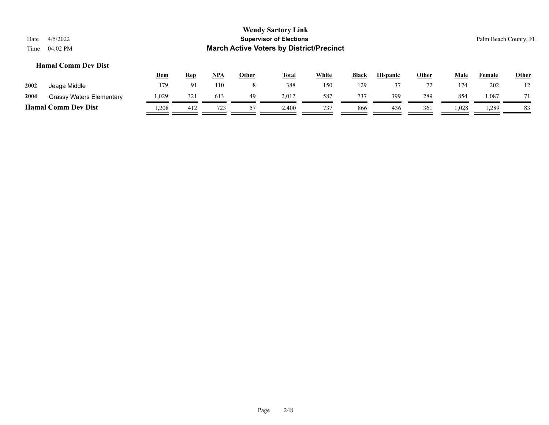#### **Hamal Comm Dev Dist**

|      |                                 | <b>Dem</b> | <u>Rep</u>             | <u>NPA</u> | <u>Other</u> | <b>Total</b> | White | <b>Black</b> | <b>Hispanic</b> | <b>Other</b> | Male  | Female | <u>Other</u> |
|------|---------------------------------|------------|------------------------|------------|--------------|--------------|-------|--------------|-----------------|--------------|-------|--------|--------------|
| 2002 | Jeaga Middle                    | 179        | $\Omega$ <sup>-1</sup> | 110        |              | 388          | 150   | 129          |                 |              | 174   | 202    | ⊥∠           |
| 2004 | <b>Grassy Waters Elementary</b> | 1,029      | 321                    | 613        | 49           | 2,012        | 587   | 737          | 399             | 289          | 854   | 1,087  | 71           |
|      | <b>Hamal Comm Dev Dist</b>      | 1,208      | 412                    | 723        | 57           | 2,400        | 737   | 866          | 436             | 361          | 1,028 | .289   | 83           |
|      |                                 |            |                        |            |              |              |       |              |                 |              |       |        |              |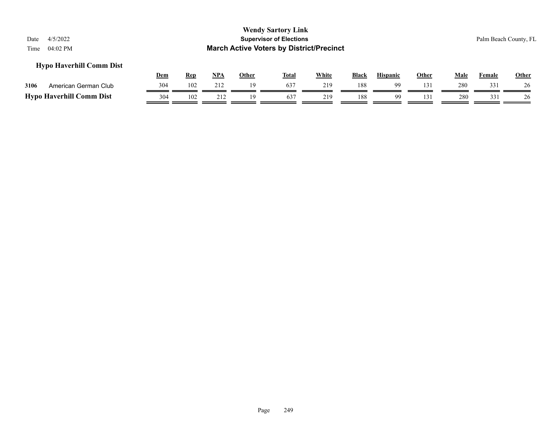#### **Hypo Haverhill Comm Dist**

|                                 | <u>Dem</u> | Rep | NPA             | Other | <b>Total</b>    | White | <b>Black</b> | <b>Hispanic</b> | Other    | Male | ID.<br>Female | Other |
|---------------------------------|------------|-----|-----------------|-------|-----------------|-------|--------------|-----------------|----------|------|---------------|-------|
| 3106<br>American German Club    | 304        | 102 | 212             |       | 63 <sup>2</sup> | 219   | 188          | QQ              | $13^{1}$ | 280  | 331           |       |
| <b>Hypo Haverhill Comm Dist</b> | 304        | 102 | <del>∠</del> ⊥∠ |       | 637             | 219   | 188          | oο              | 131      | 280  |               |       |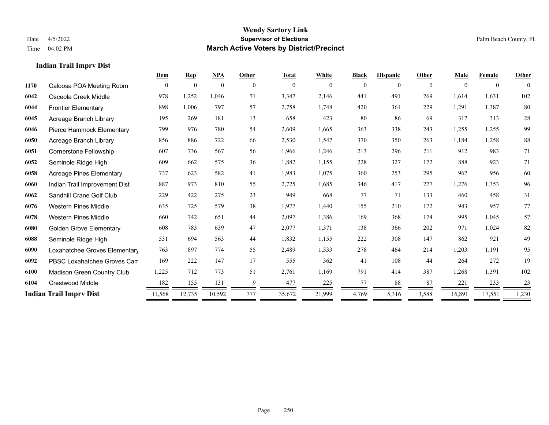#### **Indian Trail Imprv Dist**

|      |                                 | Dem      | <b>Rep</b>       | <b>NPA</b>   | Other    | <b>Total</b> | White    | <b>Black</b> | <b>Hispanic</b> | Other    | Male     | Female         | Other          |
|------|---------------------------------|----------|------------------|--------------|----------|--------------|----------|--------------|-----------------|----------|----------|----------------|----------------|
| 1170 | Caloosa POA Meeting Room        | $\theta$ | $\boldsymbol{0}$ | $\mathbf{0}$ | $\theta$ | $\mathbf{0}$ | $\theta$ | $\mathbf{0}$ | $\theta$        | $\theta$ | $\Omega$ | $\overline{0}$ | $\overline{0}$ |
| 6042 | Osceola Creek Middle            | 978      | 1,252            | 1,046        | 71       | 3,347        | 2,146    | 441          | 491             | 269      | 1,614    | 1,631          | 102            |
| 6044 | <b>Frontier Elementary</b>      | 898      | 1.006            | 797          | 57       | 2,758        | 1,748    | 420          | 361             | 229      | 1,291    | 1.387          | 80             |
| 6045 | Acreage Branch Library          | 195      | 269              | 181          | 13       | 658          | 423      | 80           | 86              | 69       | 317      | 313            | 28             |
| 6046 | Pierce Hammock Elementary       | 799      | 976              | 780          | 54       | 2,609        | 1,665    | 363          | 338             | 243      | 1,255    | 1,255          | 99             |
| 6050 | Acreage Branch Library          | 856      | 886              | 722          | 66       | 2,530        | 1,547    | 370          | 350             | 263      | 1,184    | 1,258          | 88             |
| 6051 | <b>Cornerstone Fellowship</b>   | 607      | 736              | 567          | 56       | 1,966        | 1,246    | 213          | 296             | 211      | 912      | 983            | 71             |
| 6052 | Seminole Ridge High             | 609      | 662              | 575          | 36       | 1,882        | 1,155    | 228          | 327             | 172      | 888      | 923            | 71             |
| 6058 | <b>Acreage Pines Elementary</b> | 737      | 623              | 582          | 41       | 1,983        | 1,075    | 360          | 253             | 295      | 967      | 956            | 60             |
| 6060 | Indian Trail Improvement Dist   | 887      | 973              | 810          | 55       | 2,725        | 1,685    | 346          | 417             | 277      | 1,276    | 1,353          | 96             |
| 6062 | Sandhill Crane Golf Club        | 229      | 422              | 275          | 23       | 949          | 668      | 77           | 71              | 133      | 460      | 458            | 31             |
| 6076 | <b>Western Pines Middle</b>     | 635      | 725              | 579          | 38       | 1,977        | 1,440    | 155          | 210             | 172      | 943      | 957            | 77             |
| 6078 | <b>Western Pines Middle</b>     | 660      | 742              | 651          | 44       | 2,097        | 1,386    | 169          | 368             | 174      | 995      | 1,045          | 57             |
| 6080 | <b>Golden Grove Elementary</b>  | 608      | 783              | 639          | 47       | 2,077        | 1,371    | 138          | 366             | 202      | 971      | 1.024          | 82             |
| 6088 | Seminole Ridge High             | 531      | 694              | 563          | 44       | 1,832        | 1,155    | 222          | 308             | 147      | 862      | 921            | 49             |
| 6090 | Loxahatchee Groves Elementary   | 763      | 897              | 774          | 55       | 2,489        | 1,533    | 278          | 464             | 214      | 1,203    | 1,191          | 95             |
| 6092 | PBSC Loxahatchee Groves Can     | 169      | 222              | 147          | 17       | 555          | 362      | 41           | 108             | 44       | 264      | 272            | 19             |
| 6100 | Madison Green Country Club      | 1,225    | 712              | 773          | 51       | 2,761        | 1,169    | 791          | 414             | 387      | 1,268    | 1,391          | 102            |
| 6104 | <b>Crestwood Middle</b>         | 182      | 155              | 131          | 9        | 477          | 225      | 77           | 88              | 87       | 221      | 233            | 23             |
|      | <b>Indian Trail Imprv Dist</b>  | 11,568   | 12,735           | 10,592       | 777      | 35,672       | 21,999   | 4,769        | 5,316           | 3,588    | 16,891   | 17,551         | 1,230          |
|      |                                 |          |                  |              |          |              |          |              |                 |          |          |                |                |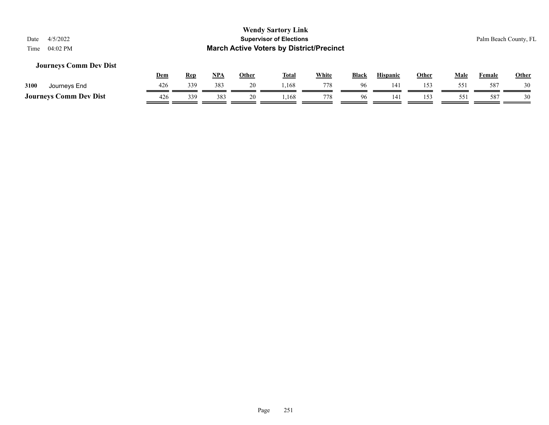#### **Journeys Comm Dev Dist**

|                               | <u>Dem</u> | Rep | NPA | Other | Total | <b>White</b> | Black | Hispanic | Other | Male | Female | <b>Other</b> |
|-------------------------------|------------|-----|-----|-------|-------|--------------|-------|----------|-------|------|--------|--------------|
| 3100<br>Journeys End          | 426        | 339 | 383 | 20    | .168  | 778          | 96    | 14       |       |      | 587    | 30           |
| <b>Journeys Comm Dev Dist</b> | 426        | 339 |     | 20    | ,168  | 778          | 96    | 141      |       |      | 587    |              |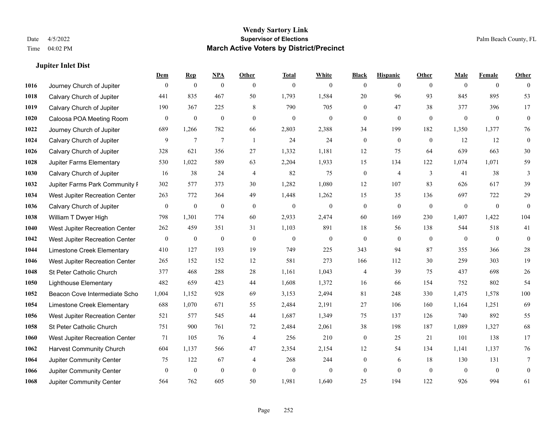#### **Jupiter Inlet Dist**

|      |                                 | Dem              | <b>Rep</b>       | NPA              | <b>Other</b>   | <b>Total</b>     | <b>White</b>     | <b>Black</b>     | <b>Hispanic</b>  | Other          | <b>Male</b>  | <b>Female</b>    | <b>Other</b> |
|------|---------------------------------|------------------|------------------|------------------|----------------|------------------|------------------|------------------|------------------|----------------|--------------|------------------|--------------|
| 1016 | Journey Church of Jupiter       | $\mathbf{0}$     | $\mathbf{0}$     | $\overline{0}$   | $\theta$       | $\mathbf{0}$     | $\theta$         | $\overline{0}$   | $\overline{0}$   | $\theta$       | $\theta$     | $\overline{0}$   | $\theta$     |
| 1018 | Calvary Church of Jupiter       | 441              | 835              | 467              | 50             | 1,793            | 1,584            | 20               | 96               | 93             | 845          | 895              | 53           |
| 1019 | Calvary Church of Jupiter       | 190              | 367              | 225              | 8              | 790              | 705              | $\overline{0}$   | 47               | 38             | 377          | 396              | 17           |
| 1020 | Caloosa POA Meeting Room        | $\boldsymbol{0}$ | $\boldsymbol{0}$ | $\boldsymbol{0}$ | $\mathbf{0}$   | $\boldsymbol{0}$ | $\boldsymbol{0}$ | $\overline{0}$   | $\mathbf{0}$     | $\mathbf{0}$   | $\mathbf{0}$ | $\boldsymbol{0}$ | $\mathbf{0}$ |
| 1022 | Journey Church of Jupiter       | 689              | 1,266            | 782              | 66             | 2,803            | 2,388            | 34               | 199              | 182            | 1,350        | 1,377            | 76           |
| 1024 | Calvary Church of Jupiter       | 9                | $\tau$           | $\tau$           | -1             | 24               | 24               | $\boldsymbol{0}$ | $\boldsymbol{0}$ | $\overline{0}$ | 12           | 12               | $\mathbf{0}$ |
| 1026 | Calvary Church of Jupiter       | 328              | 621              | 356              | 27             | 1,332            | 1,181            | 12               | 75               | 64             | 639          | 663              | $30\,$       |
| 1028 | <b>Jupiter Farms Elementary</b> | 530              | 1,022            | 589              | 63             | 2,204            | 1,933            | 15               | 134              | 122            | 1,074        | 1,071            | 59           |
| 1030 | Calvary Church of Jupiter       | 16               | 38               | 24               | $\overline{4}$ | 82               | 75               | $\boldsymbol{0}$ | $\overline{4}$   | 3              | 41           | 38               | 3            |
| 1032 | Jupiter Farms Park Community I  | 302              | 577              | 373              | 30             | 1,282            | 1,080            | 12               | 107              | 83             | 626          | 617              | 39           |
| 1034 | West Jupiter Recreation Center  | 263              | 772              | 364              | 49             | 1,448            | 1,262            | 15               | 35               | 136            | 697          | 722              | 29           |
| 1036 | Calvary Church of Jupiter       | $\mathbf{0}$     | $\mathbf{0}$     | $\boldsymbol{0}$ | $\theta$       | $\boldsymbol{0}$ | $\overline{0}$   | $\mathbf{0}$     | $\mathbf{0}$     | $\mathbf{0}$   | $\mathbf{0}$ | $\overline{0}$   | $\theta$     |
| 1038 | William T Dwyer High            | 798              | 1,301            | 774              | 60             | 2,933            | 2,474            | 60               | 169              | 230            | 1,407        | 1,422            | 104          |
| 1040 | West Jupiter Recreation Center  | 262              | 459              | 351              | 31             | 1,103            | 891              | 18               | 56               | 138            | 544          | 518              | 41           |
| 1042 | West Jupiter Recreation Center  | $\mathbf{0}$     | $\mathbf{0}$     | $\mathbf{0}$     | $\mathbf{0}$   | $\mathbf{0}$     | $\mathbf{0}$     | $\overline{0}$   | $\mathbf{0}$     | $\theta$       | $\theta$     | $\theta$         | $\mathbf{0}$ |
| 1044 | Limestone Creek Elementary      | 410              | 127              | 193              | 19             | 749              | 225              | 343              | 94               | 87             | 355          | 366              | $28\,$       |
| 1046 | West Jupiter Recreation Center  | 265              | 152              | 152              | 12             | 581              | 273              | 166              | 112              | 30             | 259          | 303              | 19           |
| 1048 | St Peter Catholic Church        | 377              | 468              | 288              | 28             | 1,161            | 1,043            | $\overline{4}$   | 39               | 75             | 437          | 698              | 26           |
| 1050 | <b>Lighthouse Elementary</b>    | 482              | 659              | 423              | 44             | 1,608            | 1,372            | 16               | 66               | 154            | 752          | 802              | 54           |
| 1052 | Beacon Cove Intermediate Scho   | 1,004            | 1,152            | 928              | 69             | 3,153            | 2,494            | 81               | 248              | 330            | 1,475        | 1,578            | $100\,$      |
| 1054 | Limestone Creek Elementary      | 688              | 1,070            | 671              | 55             | 2,484            | 2,191            | 27               | 106              | 160            | 1,164        | 1,251            | 69           |
| 1056 | West Jupiter Recreation Center  | 521              | 577              | 545              | 44             | 1,687            | 1,349            | 75               | 137              | 126            | 740          | 892              | 55           |
| 1058 | St Peter Catholic Church        | 751              | 900              | 761              | 72             | 2,484            | 2,061            | 38               | 198              | 187            | 1,089        | 1,327            | 68           |
| 1060 | West Jupiter Recreation Center  | 71               | 105              | 76               | $\overline{4}$ | 256              | 210              | $\boldsymbol{0}$ | 25               | 21             | 101          | 138              | 17           |
| 1062 | <b>Harvest Community Church</b> | 604              | 1,137            | 566              | 47             | 2,354            | 2,154            | 12               | 54               | 134            | 1,141        | 1,137            | 76           |
| 1064 | Jupiter Community Center        | 75               | 122              | 67               | $\overline{4}$ | 268              | 244              | $\overline{0}$   | 6                | 18             | 130          | 131              | 7            |
| 1066 | Jupiter Community Center        | $\mathbf{0}$     | $\mathbf{0}$     | $\mathbf{0}$     | $\theta$       | $\mathbf{0}$     | $\mathbf{0}$     | $\boldsymbol{0}$ | $\Omega$         | $\mathbf{0}$   | $\theta$     | $\mathbf{0}$     | $\mathbf{0}$ |
| 1068 | Jupiter Community Center        | 564              | 762              | 605              | 50             | 1,981            | 1,640            | 25               | 194              | 122            | 926          | 994              | 61           |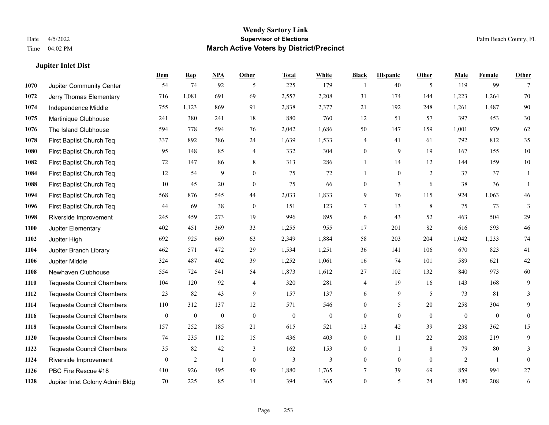**Jupiter Inlet Dist**

#### **Wendy Sartory Link** Date 4/5/2022 **Supervisor of Elections** Palm Beach County, FL Time 04:02 PM **March Active Voters by District/Precinct**

# **Dem Rep NPA Other Total White Black Hispanic Other Male Female Other** Jupiter Community Center 54 74 92 5 225 179 1 40 5 119 99 7 Jerry Thomas Elementary 716 1,081 691 69 2,557 2,208 31 174 144 1,223 1,264 70 Independence Middle 755 1,123 869 91 2,838 2,377 21 192 248 1,261 1,487 90 Martinique Clubhouse 241 380 241 18 880 760 12 51 57 397 453 30 The Island Clubhouse 594 778 594 76 2,042 1,686 50 147 159 1,001 979 62 First Baptist Church Teq 337 892 386 24 1,639 1,533 4 41 61 792 812 35 First Baptist Church Teq 95 148 85 4 332 304 0 9 19 167 155 10 First Baptist Church Teq 72 147 86 8 313 286 1 14 12 144 159 10 First Baptist Church Teq 12 54 9 0 75 72 1 0 2 37 37 1 First Baptist Church Teq 10 45 20 0 75 66 0 3 6 38 36 1 First Baptist Church Teq 568 876 545 44 2,033 1,833 9 76 115 924 1,063 46 First Baptist Church Teq 44 69 38 0 151 123 7 13 8 75 73 3 Riverside Improvement 245 459 273 19 996 895 6 43 52 463 504 29 Jupiter Elementary 402 451 369 33 1,255 955 17 201 82 616 593 46 Jupiter High 692 925 669 63 2,349 1,884 58 203 204 1,042 1,233 74 Jupiter Branch Library 462 571 472 29 1,534 1,251 36 141 106 670 823 41 Jupiter Middle 324 487 402 39 1,252 1,061 16 74 101 589 621 42 Newhaven Clubhouse 554 724 541 54 1,873 1,612 27 102 132 840 973 60 Tequesta Council Chambers 104 120 92 4 320 281 4 19 16 143 168 9 Tequesta Council Chambers 23 82 43 9 157 137 6 9 5 73 81 3 Tequesta Council Chambers 110 312 137 12 571 546 0 5 20 258 304 9 Tequesta Council Chambers 0 0 0 0 0 0 0 0 0 0 0 0 Tequesta Council Chambers 157 252 185 21 615 521 13 42 39 238 362 15 Tequesta Council Chambers 74 235 112 15 436 403 0 11 22 208 219 9 Tequesta Council Chambers 35 82 42 3 162 153 0 1 8 79 80 3 Riverside Improvement 0 0 2 1 0 3 3 0 0 0 2 1 0 PBC Fire Rescue #18 410 926 495 49 1,880 1,765 7 39 69 859 994 27 Jupiter Inlet Colony Admin Bldg 70 225 85 14 394 365 0 5 24 180 208 6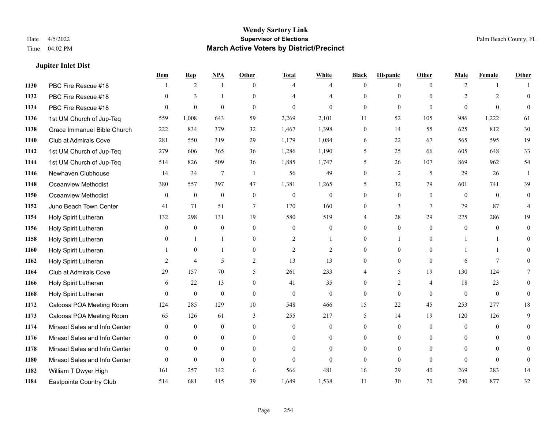#### **Jupiter Inlet Dist**

|      |                               | Dem            | <b>Rep</b>     | NPA             | <b>Other</b> | <b>Total</b>   | <b>White</b>     | <b>Black</b>     | <b>Hispanic</b> | <b>Other</b>   | <b>Male</b>  | Female         | Other          |
|------|-------------------------------|----------------|----------------|-----------------|--------------|----------------|------------------|------------------|-----------------|----------------|--------------|----------------|----------------|
| 1130 | PBC Fire Rescue #18           |                | 2              | 1               | $\theta$     | $\overline{4}$ | $\overline{4}$   | $\mathbf{0}$     | $\overline{0}$  | $\theta$       | 2            | -1             |                |
| 1132 | PBC Fire Rescue #18           | $\theta$       | 3              | -1              | $\Omega$     |                | 4                | $\theta$         | $\mathbf{0}$    | $\Omega$       | 2            | $\overline{2}$ | $\mathbf{0}$   |
| 1134 | PBC Fire Rescue #18           | $\theta$       | $\theta$       | $\theta$        | $\Omega$     | $\theta$       | $\Omega$         | $\Omega$         | $\theta$        | $\Omega$       | $\Omega$     | $\Omega$       | $\theta$       |
| 1136 | 1st UM Church of Jup-Teq      | 559            | 1,008          | 643             | 59           | 2,269          | 2,101            | 11               | 52              | 105            | 986          | 1,222          | 61             |
| 1138 | Grace Immanuel Bible Church   | 222            | 834            | 379             | 32           | 1,467          | 1,398            | $\mathbf{0}$     | 14              | 55             | 625          | 812            | 30             |
| 1140 | <b>Club at Admirals Cove</b>  | 281            | 550            | 319             | 29           | 1,179          | 1,084            | 6                | 22              | 67             | 565          | 595            | 19             |
| 1142 | 1st UM Church of Jup-Teq      | 279            | 606            | 365             | 36           | 1,286          | 1,190            | 5                | 25              | 66             | 605          | 648            | 33             |
| 1144 | 1st UM Church of Jup-Teq      | 514            | 826            | 509             | 36           | 1,885          | 1,747            | 5                | 26              | 107            | 869          | 962            | 54             |
| 1146 | Newhaven Clubhouse            | 14             | 34             | $7\phantom{.0}$ | -1           | 56             | 49               | $\boldsymbol{0}$ | $\overline{2}$  | 5              | 29           | 26             |                |
| 1148 | <b>Oceanview Methodist</b>    | 380            | 557            | 397             | 47           | 1,381          | 1,265            | 5                | 32              | 79             | 601          | 741            | 39             |
| 1150 | <b>Oceanview Methodist</b>    | $\theta$       | $\mathbf{0}$   | $\mathbf{0}$    | $\theta$     | $\mathbf{0}$   | $\overline{0}$   | $\theta$         | $\theta$        | $\Omega$       | $\theta$     | $\theta$       | $\theta$       |
| 1152 | Juno Beach Town Center        | 41             | 71             | 51              | $\tau$       | 170            | 160              | $\overline{0}$   | 3               | $\tau$         | 79           | 87             | $\overline{4}$ |
| 1154 | Holy Spirit Lutheran          | 132            | 298            | 131             | 19           | 580            | 519              | 4                | 28              | 29             | 275          | 286            | 19             |
| 1156 | Holy Spirit Lutheran          | $\mathbf{0}$   | $\mathbf{0}$   | $\mathbf{0}$    | $\mathbf{0}$ | $\mathbf{0}$   | $\boldsymbol{0}$ | $\mathbf{0}$     | $\mathbf{0}$    | $\theta$       | $\mathbf{0}$ | $\overline{0}$ | $\Omega$       |
| 1158 | Holy Spirit Lutheran          | 0              | $\mathbf{1}$   | $\mathbf{1}$    | $\theta$     | $\overline{c}$ | $\mathbf{1}$     | $\overline{0}$   | 1               | $\Omega$       |              | -1             | $\Omega$       |
| 1160 | Holy Spirit Lutheran          |                | $\mathbf{0}$   | $\mathbf{1}$    | $\theta$     | $\overline{c}$ | $\overline{c}$   | $\theta$         | $\mathbf{0}$    | $\Omega$       |              | $\mathbf{1}$   | $\Omega$       |
| 1162 | Holy Spirit Lutheran          | 2              | $\overline{4}$ | 5               | 2            | 13             | 13               | $\overline{0}$   | $\mathbf{0}$    | $\mathbf{0}$   | 6            | $\tau$         | $\Omega$       |
| 1164 | Club at Admirals Cove         | 29             | 157            | 70              | 5            | 261            | 233              | 4                | 5               | 19             | 130          | 124            |                |
| 1166 | Holy Spirit Lutheran          | 6              | 22             | 13              | $\Omega$     | 41             | 35               | $\Omega$         | $\overline{2}$  | $\overline{4}$ | 18           | 23             | $\Omega$       |
| 1168 | Holy Spirit Lutheran          | $\Omega$       | $\theta$       | $\theta$        | $\theta$     | $\theta$       | $\mathbf{0}$     | $\theta$         | $\theta$        | $\Omega$       | $\theta$     | $\theta$       | $\Omega$       |
| 1172 | Caloosa POA Meeting Room      | 124            | 285            | 129             | 10           | 548            | 466              | 15               | 22              | 45             | 253          | 277            | 18             |
| 1173 | Caloosa POA Meeting Room      | 65             | 126            | 61              | 3            | 255            | 217              | 5                | 14              | 19             | 120          | 126            | 9              |
| 1174 | Mirasol Sales and Info Center | $\theta$       | $\mathbf{0}$   | $\mathbf{0}$    | $\theta$     | $\theta$       | $\boldsymbol{0}$ | $\overline{0}$   | $\mathbf{0}$    | $\theta$       | $\theta$     | $\theta$       | $\Omega$       |
| 1176 | Mirasol Sales and Info Center | $\theta$       | $\theta$       | $\theta$        | $\theta$     | $\theta$       | $\Omega$         | $\theta$         | $\theta$        | $\theta$       | $\theta$     | $\Omega$       | $\Omega$       |
| 1178 | Mirasol Sales and Info Center | $\overline{0}$ | $\mathbf{0}$   | $\mathbf{0}$    | $\theta$     | $\Omega$       | $\overline{0}$   | $\overline{0}$   | $\mathbf{0}$    | $\theta$       | $\theta$     | $\Omega$       | $\Omega$       |
| 1180 | Mirasol Sales and Info Center | $\theta$       | $\mathbf{0}$   | $\mathbf{0}$    | $\theta$     | $\theta$       | $\Omega$         | $\theta$         | $\mathbf{0}$    | $\theta$       | $\theta$     | $\theta$       | $\Omega$       |
| 1182 | William T Dwyer High          | 161            | 257            | 142             | 6            | 566            | 481              | 16               | 29              | 40             | 269          | 283            | 14             |
| 1184 | Eastpointe Country Club       | 514            | 681            | 415             | 39           | 1,649          | 1,538            | 11               | 30              | 70             | 740          | 877            | 32             |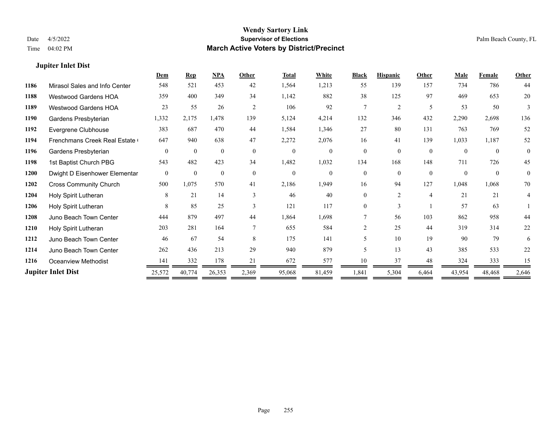#### **Jupiter Inlet Dist**

|      |                               | Dem            | <b>Rep</b>   | NPA          | Other         | <b>Total</b> | White          | <b>Black</b>   | <b>Hispanic</b> | Other          | Male     | <b>Female</b> | <b>Other</b>   |
|------|-------------------------------|----------------|--------------|--------------|---------------|--------------|----------------|----------------|-----------------|----------------|----------|---------------|----------------|
| 1186 | Mirasol Sales and Info Center | 548            | 521          | 453          | 42            | 1,564        | 1,213          | 55             | 139             | 157            | 734      | 786           | 44             |
| 1188 | Westwood Gardens HOA          | 359            | 400          | 349          | 34            | 1,142        | 882            | 38             | 125             | 97             | 469      | 653           | 20             |
| 1189 | <b>Westwood Gardens HOA</b>   | 23             | 55           | 26           | 2             | 106          | 92             | 7              | 2               | 5              | 53       | 50            | 3              |
| 1190 | Gardens Presbyterian          | 1,332          | 2,175        | 1,478        | 139           | 5,124        | 4,214          | 132            | 346             | 432            | 2,290    | 2,698         | 136            |
| 1192 | Evergrene Clubhouse           | 383            | 687          | 470          | 44            | 1,584        | 1,346          | 27             | 80              | 131            | 763      | 769           | 52             |
| 1194 | Frenchmans Creek Real Estate  | 647            | 940          | 638          | 47            | 2,272        | 2,076          | 16             | 41              | 139            | 1,033    | 1,187         | 52             |
| 1196 | Gardens Presbyterian          | $\theta$       | $\theta$     | $\mathbf{0}$ | $\theta$      | $\theta$     | $\theta$       | $\theta$       | $\theta$        | $\theta$       | $\theta$ | $\theta$      | $\theta$       |
| 1198 | 1st Baptist Church PBG        | 543            | 482          | 423          | 34            | 1,482        | 1,032          | 134            | 168             | 148            | 711      | 726           | 45             |
| 1200 | Dwight D Eisenhower Elementar | $\overline{0}$ | $\mathbf{0}$ | $\mathbf{0}$ | $\mathbf{0}$  | $\mathbf{0}$ | $\overline{0}$ | $\theta$       | $\theta$        | $\theta$       | $\Omega$ | $\theta$      | $\overline{0}$ |
| 1202 | <b>Cross Community Church</b> | 500            | 1,075        | 570          | 41            | 2,186        | 1,949          | 16             | 94              | 127            | 1,048    | 1,068         | 70             |
| 1204 | Holy Spirit Lutheran          | 8              | 21           | 14           | $\mathcal{E}$ | 46           | 40             | 0              | $\overline{2}$  | $\overline{4}$ | 21       | 21            | 4              |
| 1206 | Holy Spirit Lutheran          | 8              | 85           | 25           | $\mathbf{3}$  | 121          | 117            | 0              | 3               |                | 57       | 63            |                |
| 1208 | Juno Beach Town Center        | 444            | 879          | 497          | 44            | 1,864        | 1,698          |                | 56              | 103            | 862      | 958           | 44             |
| 1210 | Holy Spirit Lutheran          | 203            | 281          | 164          |               | 655          | 584            | $\overline{2}$ | 25              | 44             | 319      | 314           | 22             |
| 1212 | Juno Beach Town Center        | 46             | 67           | 54           | 8             | 175          | 141            | 5              | 10              | 19             | 90       | 79            | 6              |
| 1214 | Juno Beach Town Center        | 262            | 436          | 213          | 29            | 940          | 879            | 5              | 13              | 43             | 385      | 533           | 22             |
| 1216 | Oceanview Methodist           | 141            | 332          | 178          | 21            | 672          | 577            | 10             | 37              | 48             | 324      | 333           | 15             |
|      | <b>Jupiter Inlet Dist</b>     | 25,572         | 40,774       | 26,353       | 2,369         | 95,068       | 81,459         | 1,841          | 5,304           | 6,464          | 43,954   | 48,468        | 2,646          |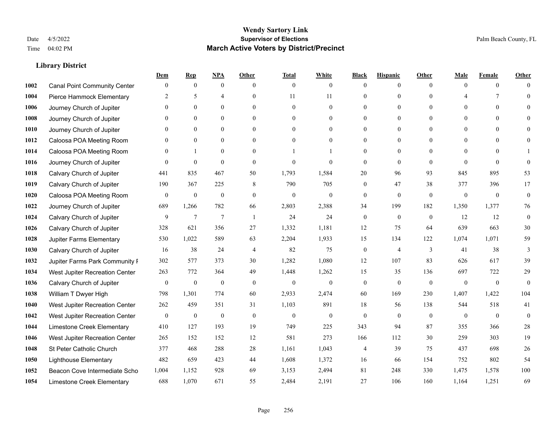|      |                                     | Dem              | <b>Rep</b>       | NPA              | <b>Other</b>   | <b>Total</b>     | <b>White</b>     | <b>Black</b>     | <b>Hispanic</b>  | <b>Other</b> | <b>Male</b>              | <b>Female</b>  | <b>Other</b>   |
|------|-------------------------------------|------------------|------------------|------------------|----------------|------------------|------------------|------------------|------------------|--------------|--------------------------|----------------|----------------|
| 1002 | <b>Canal Point Community Center</b> | $\mathbf{0}$     | $\mathbf{0}$     | $\boldsymbol{0}$ | $\theta$       | $\theta$         | $\overline{0}$   | $\mathbf{0}$     | $\boldsymbol{0}$ | $\theta$     | $\theta$                 | $\overline{0}$ | $\Omega$       |
| 1004 | Pierce Hammock Elementary           | 2                | 5                | $\overline{4}$   | $\Omega$       | 11               | 11               | $\mathbf{0}$     | $\mathbf{0}$     | $\theta$     | $\boldsymbol{\varDelta}$ | 7              | $\theta$       |
| 1006 | Journey Church of Jupiter           | $\Omega$         | $\theta$         | $\theta$         | $\Omega$       | $\Omega$         | $\Omega$         | $\theta$         | $\theta$         | $\Omega$     | $\Omega$                 | $\Omega$       | $\Omega$       |
| 1008 | Journey Church of Jupiter           | $\mathbf{0}$     | $\mathbf{0}$     | $\mathbf{0}$     | $\overline{0}$ | $\theta$         | $\boldsymbol{0}$ | $\boldsymbol{0}$ | $\mathbf{0}$     | $\mathbf{0}$ | $\mathbf{0}$             | $\mathbf{0}$   | $\theta$       |
| 1010 | Journey Church of Jupiter           | $\Omega$         | $\mathbf{0}$     | $\mathbf{0}$     | $\theta$       | $\theta$         | $\overline{0}$   | $\mathbf{0}$     | $\overline{0}$   | $\theta$     | $\theta$                 | $\theta$       | $\theta$       |
| 1012 | Caloosa POA Meeting Room            | $\mathbf{0}$     | $\mathbf{0}$     | $\mathbf{0}$     | $\theta$       | $\theta$         | $\overline{0}$   | $\mathbf{0}$     | $\mathbf{0}$     | $\Omega$     | $\mathbf{0}$             | $\theta$       | $\mathbf{0}$   |
| 1014 | Caloosa POA Meeting Room            | $\Omega$         | $\mathbf{1}$     | $\theta$         | $\theta$       |                  | 1                | $\mathbf{0}$     | $\mathbf{0}$     | $\Omega$     | $\theta$                 | $\Omega$       |                |
| 1016 | Journey Church of Jupiter           | $\Omega$         | $\mathbf{0}$     | $\mathbf{0}$     | $\theta$       | $\theta$         | $\mathbf{0}$     | $\mathbf{0}$     | $\mathbf{0}$     | $\theta$     | $\theta$                 | $\theta$       | $\theta$       |
| 1018 | Calvary Church of Jupiter           | 441              | 835              | 467              | 50             | 1,793            | 1,584            | 20               | 96               | 93           | 845                      | 895            | 53             |
| 1019 | Calvary Church of Jupiter           | 190              | 367              | 225              | 8              | 790              | 705              | $\mathbf{0}$     | 47               | 38           | 377                      | 396            | 17             |
| 1020 | Caloosa POA Meeting Room            | $\mathbf{0}$     | $\mathbf{0}$     | $\mathbf{0}$     | $\theta$       | $\Omega$         | $\mathbf{0}$     | $\mathbf{0}$     | $\theta$         | $\theta$     | $\theta$                 | $\theta$       | $\overline{0}$ |
| 1022 | Journey Church of Jupiter           | 689              | 1,266            | 782              | 66             | 2,803            | 2,388            | 34               | 199              | 182          | 1,350                    | 1,377          | 76             |
| 1024 | Calvary Church of Jupiter           | 9                | $\tau$           | 7                | -1             | 24               | 24               | $\boldsymbol{0}$ | $\mathbf{0}$     | $\mathbf{0}$ | 12                       | 12             | $\mathbf{0}$   |
| 1026 | Calvary Church of Jupiter           | 328              | 621              | 356              | 27             | 1,332            | 1,181            | 12               | 75               | 64           | 639                      | 663            | 30             |
| 1028 | Jupiter Farms Elementary            | 530              | 1,022            | 589              | 63             | 2,204            | 1,933            | 15               | 134              | 122          | 1,074                    | 1,071          | 59             |
| 1030 | Calvary Church of Jupiter           | 16               | 38               | 24               | $\overline{4}$ | 82               | 75               | $\boldsymbol{0}$ | $\overline{4}$   | 3            | 41                       | 38             | 3              |
| 1032 | Jupiter Farms Park Community I      | 302              | 577              | 373              | 30             | 1,282            | 1,080            | 12               | 107              | 83           | 626                      | 617            | 39             |
| 1034 | West Jupiter Recreation Center      | 263              | 772              | 364              | 49             | 1,448            | 1,262            | 15               | 35               | 136          | 697                      | 722            | 29             |
| 1036 | Calvary Church of Jupiter           | $\boldsymbol{0}$ | $\boldsymbol{0}$ | $\mathbf{0}$     | $\theta$       | $\mathbf{0}$     | $\mathbf{0}$     | $\boldsymbol{0}$ | $\mathbf{0}$     | $\theta$     | $\mathbf{0}$             | $\mathbf{0}$   | $\mathbf{0}$   |
| 1038 | William T Dwyer High                | 798              | 1,301            | 774              | 60             | 2,933            | 2,474            | 60               | 169              | 230          | 1,407                    | 1,422          | 104            |
| 1040 | West Jupiter Recreation Center      | 262              | 459              | 351              | 31             | 1,103            | 891              | 18               | 56               | 138          | 544                      | 518            | 41             |
| 1042 | West Jupiter Recreation Center      | $\boldsymbol{0}$ | $\boldsymbol{0}$ | $\boldsymbol{0}$ | $\mathbf{0}$   | $\boldsymbol{0}$ | $\boldsymbol{0}$ | $\boldsymbol{0}$ | $\mathbf{0}$     | $\mathbf{0}$ | $\mathbf{0}$             | $\mathbf{0}$   | $\mathbf{0}$   |
| 1044 | Limestone Creek Elementary          | 410              | 127              | 193              | 19             | 749              | 225              | 343              | 94               | 87           | 355                      | 366            | 28             |
| 1046 | West Jupiter Recreation Center      | 265              | 152              | 152              | 12             | 581              | 273              | 166              | 112              | 30           | 259                      | 303            | 19             |
| 1048 | St Peter Catholic Church            | 377              | 468              | 288              | 28             | 1,161            | 1,043            | 4                | 39               | 75           | 437                      | 698            | $26\,$         |
| 1050 | <b>Lighthouse Elementary</b>        | 482              | 659              | 423              | 44             | 1,608            | 1,372            | 16               | 66               | 154          | 752                      | 802            | 54             |
| 1052 | Beacon Cove Intermediate Scho       | 1,004            | 1,152            | 928              | 69             | 3,153            | 2,494            | 81               | 248              | 330          | 1,475                    | 1,578          | 100            |
| 1054 | Limestone Creek Elementary          | 688              | 1,070            | 671              | 55             | 2,484            | 2,191            | 27               | 106              | 160          | 1.164                    | 1,251          | 69             |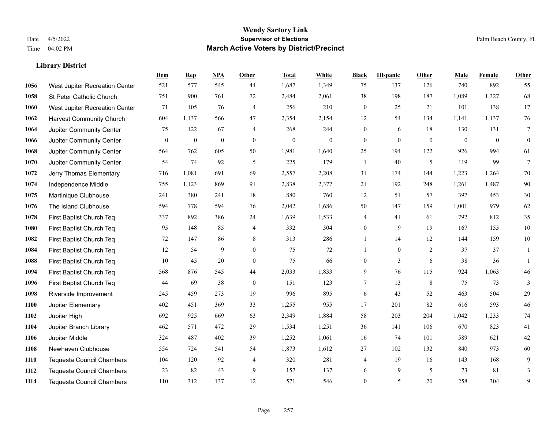|      |                                  | Dem          | <b>Rep</b>       | NPA              | <b>Other</b>   | <b>Total</b>     | <b>White</b>     | <b>Black</b>     | <b>Hispanic</b> | Other          | <b>Male</b>    | <b>Female</b> | <b>Other</b>    |
|------|----------------------------------|--------------|------------------|------------------|----------------|------------------|------------------|------------------|-----------------|----------------|----------------|---------------|-----------------|
| 1056 | West Jupiter Recreation Center   | 521          | 577              | 545              | 44             | 1,687            | 1,349            | 75               | 137             | 126            | 740            | 892           | 55              |
| 1058 | St Peter Catholic Church         | 751          | 900              | 761              | 72             | 2,484            | 2,061            | 38               | 198             | 187            | 1,089          | 1,327         | 68              |
| 1060 | West Jupiter Recreation Center   | 71           | 105              | 76               | $\overline{4}$ | 256              | 210              | $\mathbf{0}$     | 25              | 21             | 101            | 138           | 17              |
| 1062 | <b>Harvest Community Church</b>  | 604          | 1,137            | 566              | 47             | 2,354            | 2,154            | 12               | 54              | 134            | 1,141          | 1,137         | $76\,$          |
| 1064 | Jupiter Community Center         | 75           | 122              | 67               | $\overline{4}$ | 268              | 244              | 0                | 6               | 18             | 130            | 131           | 7               |
| 1066 | Jupiter Community Center         | $\mathbf{0}$ | $\boldsymbol{0}$ | $\boldsymbol{0}$ | $\mathbf{0}$   | $\boldsymbol{0}$ | $\boldsymbol{0}$ | $\mathbf{0}$     | $\mathbf{0}$    | $\overline{0}$ | $\overline{0}$ | $\mathbf{0}$  | $\mathbf{0}$    |
| 1068 | Jupiter Community Center         | 564          | 762              | 605              | 50             | 1,981            | 1,640            | 25               | 194             | 122            | 926            | 994           | 61              |
| 1070 | Jupiter Community Center         | 54           | 74               | 92               | 5              | 225              | 179              | 1                | 40              | 5              | 119            | 99            | $7\phantom{.0}$ |
| 1072 | Jerry Thomas Elementary          | 716          | 1,081            | 691              | 69             | 2,557            | 2,208            | 31               | 174             | 144            | 1,223          | 1,264         | $70\,$          |
| 1074 | Independence Middle              | 755          | 1,123            | 869              | 91             | 2,838            | 2,377            | 21               | 192             | 248            | 1,261          | 1,487         | $90\,$          |
| 1075 | Martinique Clubhouse             | 241          | 380              | 241              | 18             | 880              | 760              | 12               | 51              | 57             | 397            | 453           | $30\,$          |
| 1076 | The Island Clubhouse             | 594          | 778              | 594              | 76             | 2,042            | 1,686            | 50               | 147             | 159            | 1,001          | 979           | 62              |
| 1078 | First Baptist Church Teq         | 337          | 892              | 386              | 24             | 1,639            | 1,533            | 4                | 41              | 61             | 792            | 812           | 35              |
| 1080 | First Baptist Church Teq         | 95           | 148              | 85               | $\overline{4}$ | 332              | 304              | $\boldsymbol{0}$ | 9               | 19             | 167            | 155           | $10\,$          |
| 1082 | First Baptist Church Teq         | 72           | 147              | 86               | 8              | 313              | 286              | $\mathbf{1}$     | 14              | 12             | 144            | 159           | $10\,$          |
| 1084 | First Baptist Church Teq         | 12           | 54               | 9                | $\mathbf{0}$   | 75               | 72               | $\mathbf{1}$     | $\mathbf{0}$    | $\overline{2}$ | 37             | 37            | 1               |
| 1088 | First Baptist Church Teq         | 10           | 45               | 20               | $\mathbf{0}$   | 75               | 66               | $\overline{0}$   | $\overline{3}$  | 6              | 38             | 36            | $\mathbf{1}$    |
| 1094 | First Baptist Church Teq         | 568          | 876              | 545              | 44             | 2,033            | 1,833            | 9                | 76              | 115            | 924            | 1,063         | $46\,$          |
| 1096 | First Baptist Church Teq         | 44           | 69               | 38               | $\mathbf{0}$   | 151              | 123              | 7                | 13              | 8              | 75             | 73            | 3               |
| 1098 | Riverside Improvement            | 245          | 459              | 273              | 19             | 996              | 895              | 6                | 43              | 52             | 463            | 504           | 29              |
| 1100 | Jupiter Elementary               | 402          | 451              | 369              | 33             | 1,255            | 955              | 17               | 201             | 82             | 616            | 593           | $46\,$          |
| 1102 | Jupiter High                     | 692          | 925              | 669              | 63             | 2,349            | 1,884            | 58               | 203             | 204            | 1,042          | 1,233         | 74              |
| 1104 | Jupiter Branch Library           | 462          | 571              | 472              | 29             | 1,534            | 1,251            | 36               | 141             | 106            | 670            | 823           | 41              |
| 1106 | Jupiter Middle                   | 324          | 487              | 402              | 39             | 1,252            | 1,061            | 16               | 74              | 101            | 589            | 621           | $42\,$          |
| 1108 | Newhaven Clubhouse               | 554          | 724              | 541              | 54             | 1,873            | 1,612            | $27\,$           | 102             | 132            | 840            | 973           | 60              |
| 1110 | <b>Tequesta Council Chambers</b> | 104          | 120              | 92               | $\overline{4}$ | 320              | 281              | 4                | 19              | 16             | 143            | 168           | 9               |
| 1112 | <b>Tequesta Council Chambers</b> | 23           | 82               | 43               | 9              | 157              | 137              | 6                | 9               | 5              | 73             | 81            | 3               |
| 1114 | Tequesta Council Chambers        | 110          | 312              | 137              | 12             | 571              | 546              | $\overline{0}$   | 5               | 20             | 258            | 304           | 9               |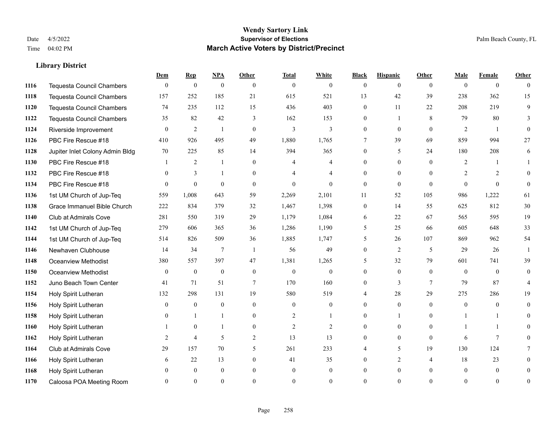|      |                                  | Dem          | <b>Rep</b>       | $NPA$            | <b>Other</b>   | <b>Total</b>     | <b>White</b>   | <b>Black</b>     | <b>Hispanic</b> | <b>Other</b>   | <b>Male</b>    | <b>Female</b>  | Other          |
|------|----------------------------------|--------------|------------------|------------------|----------------|------------------|----------------|------------------|-----------------|----------------|----------------|----------------|----------------|
| 1116 | <b>Tequesta Council Chambers</b> | $\mathbf{0}$ | $\boldsymbol{0}$ | $\boldsymbol{0}$ | $\theta$       | $\overline{0}$   | $\overline{0}$ | $\overline{0}$   | $\overline{0}$  | $\theta$       | $\theta$       | $\overline{0}$ | $\theta$       |
| 1118 | <b>Tequesta Council Chambers</b> | 157          | 252              | 185              | 21             | 615              | 521            | 13               | 42              | 39             | 238            | 362            | 15             |
| 1120 | <b>Tequesta Council Chambers</b> | 74           | 235              | 112              | 15             | 436              | 403            | $\overline{0}$   | 11              | 22             | 208            | 219            | 9              |
| 1122 | Tequesta Council Chambers        | 35           | 82               | 42               | 3              | 162              | 153            | $\overline{0}$   | 1               | 8              | 79             | 80             | 3              |
| 1124 | Riverside Improvement            | $\theta$     | $\overline{2}$   | 1                | $\theta$       | 3                | 3              | $\overline{0}$   | $\theta$        | $\theta$       | 2              |                | $\Omega$       |
| 1126 | PBC Fire Rescue #18              | 410          | 926              | 495              | 49             | 1,880            | 1,765          | 7                | 39              | 69             | 859            | 994            | 27             |
| 1128 | Jupiter Inlet Colony Admin Bldg  | 70           | 225              | 85               | 14             | 394              | 365            | $\overline{0}$   | 5               | 24             | 180            | 208            | 6              |
| 1130 | PBC Fire Rescue #18              |              | $\overline{2}$   | $\mathbf{1}$     | $\theta$       | 4                | 4              | $\Omega$         | $\theta$        | $\Omega$       | 2              |                |                |
| 1132 | PBC Fire Rescue #18              | $\theta$     | 3                | $\mathbf{1}$     | $\mathbf{0}$   |                  | $\overline{4}$ | $\overline{0}$   | $\overline{0}$  | $\Omega$       | $\overline{2}$ | 2              | $\Omega$       |
| 1134 | PBC Fire Rescue #18              | $\Omega$     | $\theta$         | $\theta$         | $\theta$       | $\Omega$         | $\theta$       | $\mathbf{0}$     | $\mathbf{0}$    | $\theta$       | $\Omega$       | $\theta$       | $\theta$       |
| 1136 | 1st UM Church of Jup-Teq         | 559          | 1,008            | 643              | 59             | 2,269            | 2,101          | 11               | 52              | 105            | 986            | 1,222          | 61             |
| 1138 | Grace Immanuel Bible Church      | 222          | 834              | 379              | 32             | 1,467            | 1,398          | $\boldsymbol{0}$ | 14              | 55             | 625            | 812            | $30\,$         |
| 1140 | Club at Admirals Cove            | 281          | 550              | 319              | 29             | 1,179            | 1,084          | 6                | 22              | 67             | 565            | 595            | 19             |
| 1142 | 1st UM Church of Jup-Teq         | 279          | 606              | 365              | 36             | 1,286            | 1,190          | 5                | 25              | 66             | 605            | 648            | 33             |
| 1144 | 1st UM Church of Jup-Teq         | 514          | 826              | 509              | 36             | 1,885            | 1,747          | 5                | 26              | 107            | 869            | 962            | 54             |
| 1146 | Newhaven Clubhouse               | 14           | 34               | $7\phantom{.0}$  | $\overline{1}$ | 56               | 49             | $\overline{0}$   | $\overline{2}$  | 5              | 29             | 26             |                |
| 1148 | <b>Oceanview Methodist</b>       | 380          | 557              | 397              | 47             | 1,381            | 1,265          | 5                | 32              | 79             | 601            | 741            | 39             |
| 1150 | <b>Oceanview Methodist</b>       | $\mathbf{0}$ | $\boldsymbol{0}$ | $\boldsymbol{0}$ | $\mathbf{0}$   | $\boldsymbol{0}$ | $\overline{0}$ | $\overline{0}$   | $\overline{0}$  | $\theta$       | $\theta$       | $\theta$       | $\overline{0}$ |
| 1152 | Juno Beach Town Center           | 41           | 71               | 51               | $\overline{7}$ | 170              | 160            | 0                | 3               | 7              | 79             | 87             |                |
| 1154 | Holy Spirit Lutheran             | 132          | 298              | 131              | 19             | 580              | 519            | 4                | 28              | 29             | 275            | 286            | 19             |
| 1156 | Holy Spirit Lutheran             | $\Omega$     | $\mathbf{0}$     | $\mathbf{0}$     | $\Omega$       | $\theta$         | $\theta$       | $\Omega$         | $\Omega$        | $\Omega$       | $\theta$       | $\Omega$       | $\Omega$       |
| 1158 | Holy Spirit Lutheran             |              |                  | 1                | $\mathbf{0}$   | $\overline{2}$   | 1              | 0                | 1               | $\Omega$       |                |                | 0              |
| 1160 | Holy Spirit Lutheran             |              | $\mathbf{0}$     | -1               | $\overline{0}$ | $\overline{2}$   | $\overline{2}$ | 0                | $\overline{0}$  | $\Omega$       |                |                |                |
| 1162 | Holy Spirit Lutheran             | 2            | $\overline{4}$   | 5                | 2              | 13               | 13             | $\theta$         | $\overline{0}$  | $\theta$       | 6              | $\overline{7}$ |                |
| 1164 | Club at Admirals Cove            | 29           | 157              | 70               | 5              | 261              | 233            |                  | 5               | 19             | 130            | 124            |                |
| 1166 | Holy Spirit Lutheran             | 6            | 22               | 13               | $\overline{0}$ | 41               | 35             | 0                | $\overline{2}$  | $\overline{4}$ | 18             | 23             | 0              |
| 1168 | Holy Spirit Lutheran             |              | $\mathbf{0}$     | $\theta$         | $\theta$       | $\mathbf{0}$     | $\overline{0}$ | 0                | $\overline{0}$  | $\Omega$       | $\theta$       | $\mathbf{0}$   | 0              |
| 1170 | Caloosa POA Meeting Room         |              | $\Omega$         | $\theta$         | $\Omega$       | $\Omega$         | $\theta$       | $\Omega$         | $\Omega$        | $\Omega$       | $\Omega$       | $\Omega$       | $\overline{0}$ |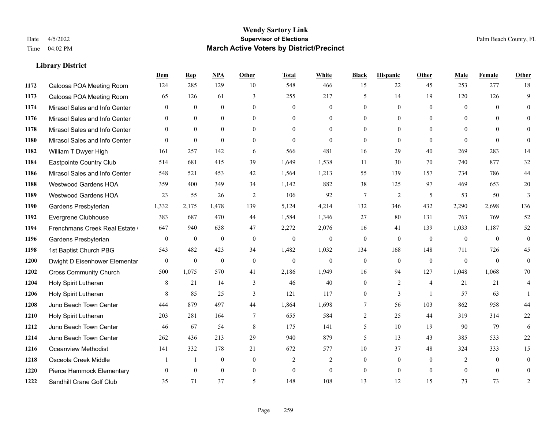|      |                               | Dem          | <b>Rep</b>   | NPA          | Other          | <b>Total</b>   | <b>White</b>     | <b>Black</b>   | <b>Hispanic</b> | Other          | <b>Male</b>    | <b>Female</b>  | <b>Other</b>   |
|------|-------------------------------|--------------|--------------|--------------|----------------|----------------|------------------|----------------|-----------------|----------------|----------------|----------------|----------------|
| 1172 | Caloosa POA Meeting Room      | 124          | 285          | 129          | 10             | 548            | 466              | 15             | 22              | 45             | 253            | 277            | 18             |
| 1173 | Caloosa POA Meeting Room      | 65           | 126          | 61           | 3              | 255            | 217              | 5              | 14              | 19             | 120            | 126            | 9              |
| 1174 | Mirasol Sales and Info Center | $\theta$     | $\theta$     | $\theta$     | $\Omega$       | $\theta$       | $\Omega$         | $\Omega$       | $\theta$        | $\Omega$       | $\theta$       | $\Omega$       | $\Omega$       |
| 1176 | Mirasol Sales and Info Center | $\mathbf{0}$ | $\mathbf{0}$ | $\mathbf{0}$ | $\mathbf{0}$   | $\mathbf{0}$   | $\overline{0}$   | $\overline{0}$ | $\overline{0}$  | $\mathbf{0}$   | $\overline{0}$ | $\overline{0}$ | $\theta$       |
| 1178 | Mirasol Sales and Info Center | $\theta$     | $\theta$     | $\theta$     | $\theta$       | $\Omega$       | $\Omega$         | $\overline{0}$ | $\Omega$        | $\Omega$       | $\theta$       | $\Omega$       | $\theta$       |
| 1180 | Mirasol Sales and Info Center | $\theta$     | $\mathbf{0}$ | $\theta$     | $\theta$       | $\mathbf{0}$   | $\Omega$         | $\theta$       | $\mathbf{0}$    | $\theta$       | $\Omega$       | $\theta$       | $\theta$       |
| 1182 | William T Dwyer High          | 161          | 257          | 142          | 6              | 566            | 481              | 16             | 29              | 40             | 269            | 283            | 14             |
| 1184 | Eastpointe Country Club       | 514          | 681          | 415          | 39             | 1,649          | 1,538            | 11             | 30              | 70             | 740            | 877            | 32             |
| 1186 | Mirasol Sales and Info Center | 548          | 521          | 453          | 42             | 1,564          | 1,213            | 55             | 139             | 157            | 734            | 786            | 44             |
| 1188 | <b>Westwood Gardens HOA</b>   | 359          | 400          | 349          | 34             | 1,142          | 882              | 38             | 125             | 97             | 469            | 653            | 20             |
| 1189 | Westwood Gardens HOA          | 23           | 55           | 26           | 2              | 106            | 92               | 7              | $\overline{2}$  | 5              | 53             | 50             | 3              |
| 1190 | Gardens Presbyterian          | 1,332        | 2,175        | 1,478        | 139            | 5,124          | 4,214            | 132            | 346             | 432            | 2,290          | 2,698          | 136            |
| 1192 | Evergrene Clubhouse           | 383          | 687          | 470          | 44             | 1,584          | 1,346            | 27             | 80              | 131            | 763            | 769            | 52             |
| 1194 | Frenchmans Creek Real Estate  | 647          | 940          | 638          | 47             | 2,272          | 2,076            | 16             | 41              | 139            | 1,033          | 1,187          | 52             |
| 1196 | Gardens Presbyterian          | $\mathbf{0}$ | $\mathbf{0}$ | $\mathbf{0}$ | $\mathbf{0}$   | $\mathbf{0}$   | $\boldsymbol{0}$ | $\mathbf{0}$   | $\overline{0}$  | $\mathbf{0}$   | $\mathbf{0}$   | $\mathbf{0}$   | $\overline{0}$ |
| 1198 | 1st Baptist Church PBG        | 543          | 482          | 423          | 34             | 1,482          | 1,032            | 134            | 168             | 148            | 711            | 726            | 45             |
| 1200 | Dwight D Eisenhower Elementar | $\mathbf{0}$ | $\mathbf{0}$ | $\mathbf{0}$ | $\mathbf{0}$   | $\overline{0}$ | $\theta$         | $\mathbf{0}$   | $\theta$        | $\theta$       | $\theta$       | $\theta$       | $\theta$       |
| 1202 | <b>Cross Community Church</b> | 500          | 1,075        | 570          | 41             | 2,186          | 1,949            | 16             | 94              | 127            | 1,048          | 1,068          | 70             |
| 1204 | Holy Spirit Lutheran          | 8            | 21           | 14           | 3              | 46             | 40               | $\overline{0}$ | 2               | $\overline{4}$ | 21             | 21             | 4              |
| 1206 | Holy Spirit Lutheran          | 8            | 85           | 25           | 3              | 121            | 117              | $\overline{0}$ | 3               | $\overline{1}$ | 57             | 63             |                |
| 1208 | Juno Beach Town Center        | 444          | 879          | 497          | 44             | 1,864          | 1,698            | 7              | 56              | 103            | 862            | 958            | 44             |
| 1210 | Holy Spirit Lutheran          | 203          | 281          | 164          | $\overline{7}$ | 655            | 584              | $\overline{c}$ | 25              | 44             | 319            | 314            | 22             |
| 1212 | Juno Beach Town Center        | 46           | 67           | 54           | 8              | 175            | 141              | 5              | 10              | 19             | 90             | 79             | 6              |
| 1214 | Juno Beach Town Center        | 262          | 436          | 213          | 29             | 940            | 879              | 5              | 13              | 43             | 385            | 533            | $22\,$         |
| 1216 | Oceanview Methodist           | 141          | 332          | 178          | 21             | 672            | 577              | $10\,$         | 37              | 48             | 324            | 333            | 15             |
| 1218 | Osceola Creek Middle          |              |              | $\mathbf{0}$ | $\mathbf{0}$   | $\overline{2}$ | $\overline{2}$   | $\overline{0}$ | $\overline{0}$  | $\theta$       | 2              | $\theta$       | $\mathbf{0}$   |
| 1220 | Pierce Hammock Elementary     | $\theta$     | $\theta$     | $\theta$     | $\mathbf{0}$   | $\mathbf{0}$   | $\Omega$         | $\overline{0}$ | $\overline{0}$  | $\theta$       | $\Omega$       | $\theta$       | $\theta$       |
| 1222 | Sandhill Crane Golf Club      | 35           | 71           | 37           | 5              | 148            | 108              | 13             | 12              | 15             | 73             | 73             | $\overline{c}$ |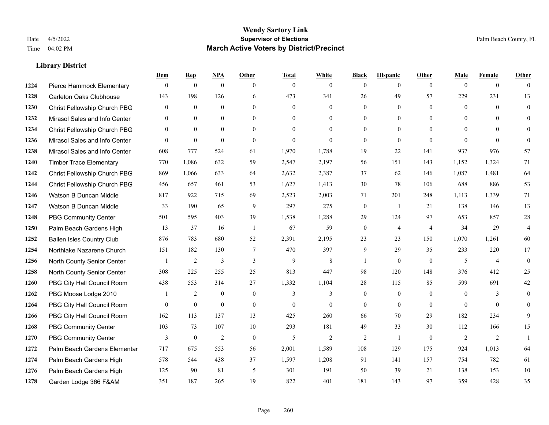|      |                                  | Dem            | <b>Rep</b>       | NPA              | <b>Other</b>   | <b>Total</b> | <b>White</b>   | <b>Black</b>     | <b>Hispanic</b>  | <b>Other</b>   | <b>Male</b>  | <b>Female</b>  | <b>Other</b>   |
|------|----------------------------------|----------------|------------------|------------------|----------------|--------------|----------------|------------------|------------------|----------------|--------------|----------------|----------------|
| 1224 | Pierce Hammock Elementary        | $\mathbf{0}$   | $\theta$         | $\boldsymbol{0}$ | $\theta$       | $\mathbf{0}$ | $\overline{0}$ | $\mathbf{0}$     | $\mathbf{0}$     | $\theta$       | $\theta$     | $\overline{0}$ | $\Omega$       |
| 1228 | <b>Carleton Oaks Clubhouse</b>   | 143            | 198              | 126              | 6              | 473          | 341            | 26               | 49               | 57             | 229          | 231            | 13             |
| 1230 | Christ Fellowship Church PBG     | $\theta$       | $\mathbf{0}$     | $\theta$         | $\theta$       | $\theta$     | $\Omega$       | $\theta$         | $\theta$         | $\Omega$       | $\theta$     | $\Omega$       | $\theta$       |
| 1232 | Mirasol Sales and Info Center    | $\mathbf{0}$   | $\boldsymbol{0}$ | $\mathbf{0}$     | $\overline{0}$ | $\mathbf{0}$ | $\overline{0}$ | $\boldsymbol{0}$ | $\boldsymbol{0}$ | $\mathbf{0}$   | $\mathbf{0}$ | $\mathbf{0}$   | $\theta$       |
| 1234 | Christ Fellowship Church PBG     | $\overline{0}$ | $\mathbf{0}$     | $\overline{0}$   | $\theta$       | $\Omega$     | $\overline{0}$ | $\mathbf{0}$     | $\mathbf{0}$     | $\theta$       | $\theta$     | $\theta$       | $\overline{0}$ |
| 1236 | Mirasol Sales and Info Center    | $\theta$       | $\mathbf{0}$     | $\mathbf{0}$     | $\theta$       | $\mathbf{0}$ | $\theta$       | $\mathbf{0}$     | $\mathbf{0}$     | $\theta$       | $\theta$     | $\theta$       | $\theta$       |
| 1238 | Mirasol Sales and Info Center    | 608            | 777              | 524              | 61             | 1,970        | 1,788          | 19               | 22               | 141            | 937          | 976            | 57             |
| 1240 | <b>Timber Trace Elementary</b>   | 770            | 1,086            | 632              | 59             | 2,547        | 2,197          | 56               | 151              | 143            | 1,152        | 1,324          | 71             |
| 1242 | Christ Fellowship Church PBG     | 869            | 1,066            | 633              | 64             | 2,632        | 2,387          | 37               | 62               | 146            | 1,087        | 1,481          | 64             |
| 1244 | Christ Fellowship Church PBG     | 456            | 657              | 461              | 53             | 1,627        | 1,413          | 30               | 78               | 106            | 688          | 886            | 53             |
| 1246 | Watson B Duncan Middle           | 817            | 922              | 715              | 69             | 2,523        | 2,003          | 71               | 201              | 248            | 1.113        | 1,339          | 71             |
| 1247 | Watson B Duncan Middle           | 33             | 190              | 65               | 9              | 297          | 275            | $\boldsymbol{0}$ | $\mathbf{1}$     | 21             | 138          | 146            | 13             |
| 1248 | <b>PBG Community Center</b>      | 501            | 595              | 403              | 39             | 1,538        | 1,288          | 29               | 124              | 97             | 653          | 857            | $28\,$         |
| 1250 | Palm Beach Gardens High          | 13             | 37               | 16               | -1             | 67           | 59             | $\boldsymbol{0}$ | 4                | $\overline{4}$ | 34           | 29             | $\overline{4}$ |
| 1252 | <b>Ballen Isles Country Club</b> | 876            | 783              | 680              | 52             | 2,391        | 2,195          | 23               | 23               | 150            | 1,070        | 1,261          | 60             |
| 1254 | Northlake Nazarene Church        | 151            | 182              | 130              | $\tau$         | 470          | 397            | 9                | 29               | 35             | 233          | 220            | 17             |
| 1256 | North County Senior Center       |                | 2                | 3                | 3              | 9            | $\,8\,$        | 1                | $\mathbf{0}$     | $\mathbf{0}$   | 5            | $\overline{4}$ | $\mathbf{0}$   |
| 1258 | North County Senior Center       | 308            | 225              | 255              | 25             | 813          | 447            | 98               | 120              | 148            | 376          | 412            | 25             |
| 1260 | PBG City Hall Council Room       | 438            | 553              | 314              | 27             | 1,332        | 1,104          | 28               | 115              | 85             | 599          | 691            | 42             |
| 1262 | PBG Moose Lodge 2010             |                | $\overline{2}$   | $\mathbf{0}$     | $\theta$       | 3            | 3              | $\mathbf{0}$     | $\mathbf{0}$     | $\theta$       | $\theta$     | 3              | $\theta$       |
| 1264 | PBG City Hall Council Room       | $\theta$       | $\boldsymbol{0}$ | $\mathbf{0}$     | $\theta$       | $\theta$     | $\overline{0}$ | $\mathbf{0}$     | $\mathbf{0}$     | $\theta$       | $\theta$     | $\theta$       | $\theta$       |
| 1266 | PBG City Hall Council Room       | 162            | 113              | 137              | 13             | 425          | 260            | 66               | 70               | 29             | 182          | 234            | 9              |
| 1268 | <b>PBG Community Center</b>      | 103            | 73               | 107              | 10             | 293          | 181            | 49               | 33               | 30             | 112          | 166            | 15             |
| 1270 | <b>PBG Community Center</b>      | 3              | $\mathbf{0}$     | $\overline{2}$   | $\theta$       | 5            | $\overline{2}$ | $\overline{2}$   | $\mathbf{1}$     | $\theta$       | 2            | 2              | $\overline{1}$ |
| 1272 | Palm Beach Gardens Elementar     | 717            | 675              | 553              | 56             | 2,001        | 1,589          | 108              | 129              | 175            | 924          | 1,013          | 64             |
| 1274 | Palm Beach Gardens High          | 578            | 544              | 438              | 37             | 1,597        | 1,208          | 91               | 141              | 157            | 754          | 782            | 61             |
| 1276 | Palm Beach Gardens High          | 125            | 90               | 81               | 5              | 301          | 191            | 50               | 39               | 21             | 138          | 153            | 10             |
| 1278 | Garden Lodge 366 F&AM            | 351            | 187              | 265              | 19             | 822          | 401            | 181              | 143              | 97             | 359          | 428            | 35             |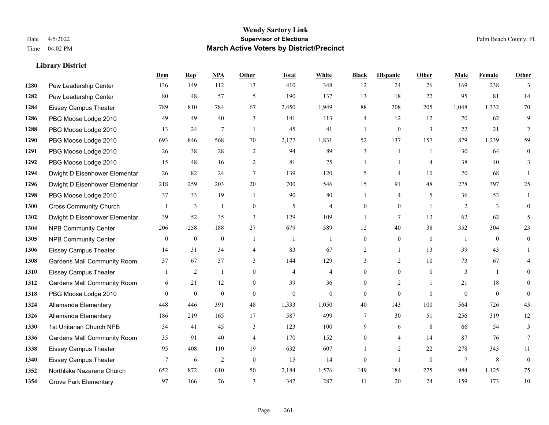**Library District**

#### **Wendy Sartory Link** Date 4/5/2022 **Supervisor of Elections** Palm Beach County, FL Time 04:02 PM **March Active Voters by District/Precinct**

# **Dem Rep NPA Other Total White Black Hispanic Other Male Female Other**

| 1280 | Pew Leadership Center              | 136              | 149          | 112              | 13             | 410              | 348            | 12             | 24               | 26           | 169            | 238            | 3              |
|------|------------------------------------|------------------|--------------|------------------|----------------|------------------|----------------|----------------|------------------|--------------|----------------|----------------|----------------|
| 1282 | Pew Leadership Center              | 80               | 48           | 57               | 5              | 190              | 137            | 13             | 18               | 22           | 95             | 81             | 14             |
| 1284 | <b>Eissey Campus Theater</b>       | 789              | 810          | 784              | 67             | 2,450            | 1,949          | 88             | 208              | 205          | 1,048          | 1,332          | 70             |
| 1286 | PBG Moose Lodge 2010               | 49               | 49           | 40               | 3              | 141              | 113            | $\overline{4}$ | 12               | 12           | 70             | 62             | 9              |
| 1288 | PBG Moose Lodge 2010               | 13               | 24           | 7                | $\mathbf{1}$   | 45               | 41             |                | $\boldsymbol{0}$ | 3            | 22             | 21             |                |
| 1290 | PBG Moose Lodge 2010               | 693              | 846          | 568              | 70             | 2,177            | 1,831          | 52             | 137              | 157          | 879            | 1,239          | 59             |
| 1291 | PBG Moose Lodge 2010               | 26               | 38           | 28               | 2              | 94               | 89             | 3              | 1                | $\mathbf{1}$ | 30             | 64             | $\theta$       |
| 1292 | PBG Moose Lodge 2010               | 15               | 48           | 16               | $\overline{2}$ | 81               | 75             |                |                  | 4            | 38             | 40             | 3              |
| 1294 | Dwight D Eisenhower Elementar      | 26               | 82           | 24               | $\tau$         | 139              | 120            | 5              | 4                | 10           | 70             | 68             | $\overline{1}$ |
| 1296 | Dwight D Eisenhower Elementar      | 218              | 259          | 203              | 20             | 700              | 546            | 15             | 91               | 48           | 278            | 397            | 25             |
| 1298 | PBG Moose Lodge 2010               | 37               | 33           | 19               | $\mathbf{1}$   | 90               | 80             |                | 4                | 5            | 36             | 53             |                |
| 1300 | <b>Cross Community Church</b>      | $\overline{1}$   | 3            | $\mathbf{1}$     | $\mathbf{0}$   | 5                | 4              | $\theta$       | $\theta$         | $\mathbf{1}$ | 2              | 3              | $\theta$       |
| 1302 | Dwight D Eisenhower Elementar      | 39               | 52           | 35               | 3              | 129              | 109            |                | 7                | 12           | 62             | 62             | 5              |
| 1304 | <b>NPB Community Center</b>        | 206              | 258          | 188              | 27             | 679              | 589            | 12             | 40               | 38           | 352            | 304            | 23             |
| 1305 | <b>NPB Community Center</b>        | $\boldsymbol{0}$ | $\mathbf{0}$ | $\mathbf{0}$     | 1              | $\overline{1}$   | -1             | $\mathbf{0}$   | $\mathbf{0}$     | $\mathbf{0}$ | $\overline{1}$ | $\overline{0}$ | $\overline{0}$ |
| 1306 | <b>Eissey Campus Theater</b>       | 14               | 31           | 34               | $\overline{4}$ | 83               | 67             | $\overline{c}$ |                  | 13           | 39             | 43             |                |
| 1308 | <b>Gardens Mall Community Room</b> | 37               | 67           | 37               | 3              | 144              | 129            | 3              | $\overline{2}$   | 10           | 73             | 67             |                |
| 1310 | <b>Eissey Campus Theater</b>       | $\overline{1}$   | 2            | $\overline{1}$   | $\mathbf{0}$   | $\overline{4}$   | $\overline{4}$ | $\Omega$       | $\overline{0}$   | $\mathbf{0}$ | 3              | -1             | $\Omega$       |
| 1312 | <b>Gardens Mall Community Room</b> | 6                | 21           | 12               | $\Omega$       | 39               | 36             | $\Omega$       | $\overline{2}$   | 1            | 21             | 18             | $\theta$       |
| 1318 | PBG Moose Lodge 2010               | $\mathbf{0}$     | $\mathbf{0}$ | $\boldsymbol{0}$ | $\mathbf{0}$   | $\boldsymbol{0}$ | $\overline{0}$ | $\Omega$       | $\mathbf{0}$     | $\mathbf{0}$ | $\mathbf{0}$   | $\overline{0}$ | $\overline{0}$ |
| 1324 | Allamanda Elementary               | 448              | 446          | 391              | 48             | 1,333            | 1,050          | 40             | 143              | 100          | 564            | 726            | 43             |
| 1326 | Allamanda Elementary               | 186              | 219          | 165              | 17             | 587              | 499            | 7              | 30               | 51           | 256            | 319            | 12             |
| 1330 | 1st Unitarian Church NPB           | 34               | 41           | 45               | 3              | 123              | 100            | 9              | 6                | 8            | 66             | 54             | 3              |
| 1336 | <b>Gardens Mall Community Room</b> | 35               | 91           | 40               | $\overline{4}$ | 170              | 152            | $\Omega$       | 4                | 14           | 87             | 76             | $\tau$         |
| 1338 | <b>Eissey Campus Theater</b>       | 95               | 408          | 110              | 19             | 632              | 607            |                | $\overline{2}$   | 22           | 278            | 343            | 11             |
| 1340 | <b>Eissey Campus Theater</b>       | $7\phantom{.0}$  | 6            | $\overline{2}$   | $\mathbf{0}$   | 15               | 14             | $\theta$       | -1               | $\mathbf{0}$ | 7              | 8              | $\overline{0}$ |
| 1352 | Northlake Nazarene Church          | 652              | 872          | 610              | 50             | 2,184            | 1,576          | 149            | 184              | 275          | 984            | 1,125          | 75             |
| 1354 | <b>Grove Park Elementary</b>       | 97               | 166          | 76               | 3              | 342              | 287            | 11             | 20               | 24           | 159            | 173            | $10\,$         |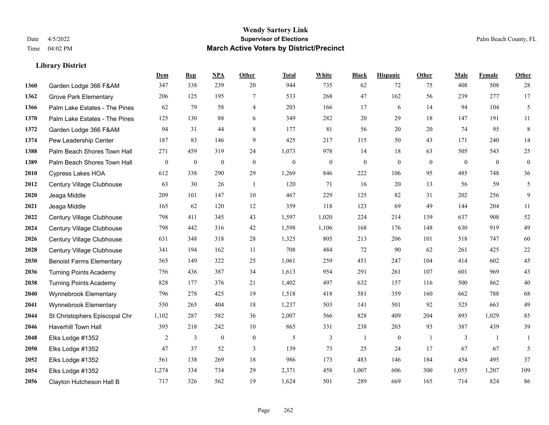|      |                                 | Dem            | <b>Rep</b>       | NPA              | <b>Other</b>     | <b>Total</b> | <b>White</b>   | <b>Black</b> | <b>Hispanic</b>  | <b>Other</b>   | <b>Male</b> | <b>Female</b> | <b>Other</b>     |
|------|---------------------------------|----------------|------------------|------------------|------------------|--------------|----------------|--------------|------------------|----------------|-------------|---------------|------------------|
| 1360 | Garden Lodge 366 F&AM           | 347            | 338              | 239              | 20               | 944          | 735            | 62           | 72               | 75             | 408         | 508           | 28               |
| 1362 | <b>Grove Park Elementary</b>    | 206            | 125              | 195              | $\tau$           | 533          | 268            | 47           | 162              | 56             | 239         | 277           | 17               |
| 1366 | Palm Lake Estates - The Pines   | 62             | 79               | 58               | 4                | 203          | 166            | 17           | 6                | 14             | 94          | 104           | $\mathfrak{H}$   |
| 1370 | Palm Lake Estates - The Pines   | 125            | 130              | 88               | 6                | 349          | 282            | $20\,$       | 29               | 18             | 147         | 191           | 11               |
| 1372 | Garden Lodge 366 F&AM           | 94             | 31               | 44               | 8                | 177          | 81             | 56           | 20               | 20             | 74          | 95            | $8\,$            |
| 1374 | Pew Leadership Center           | 187            | 83               | 146              | 9                | 425          | 217            | 115          | 50               | 43             | 171         | 240           | 14               |
| 1388 | Palm Beach Shores Town Hall     | 271            | 459              | 319              | 24               | 1,073        | 978            | 14           | 18               | 63             | 505         | 543           | 25               |
| 1389 | Palm Beach Shores Town Hall     | $\overline{0}$ | $\boldsymbol{0}$ | $\mathbf{0}$     | $\theta$         | $\mathbf{0}$ | $\overline{0}$ | $\mathbf{0}$ | $\theta$         | $\theta$       | $\theta$    | $\theta$      | $\boldsymbol{0}$ |
| 2010 | <b>Cypress Lakes HOA</b>        | 612            | 338              | 290              | 29               | 1,269        | 846            | 222          | 106              | 95             | 485         | 748           | 36               |
| 2012 | Century Village Clubhouse       | 63             | 30               | 26               | -1               | 120          | 71             | 16           | 20               | 13             | 56          | 59            | $\mathfrak{H}$   |
| 2020 | Jeaga Middle                    | 209            | 101              | 147              | 10               | 467          | 229            | 125          | 82               | 31             | 202         | 256           | 9                |
| 2021 | Jeaga Middle                    | 165            | 62               | 120              | 12               | 359          | 118            | 123          | 69               | 49             | 144         | 204           | 11               |
| 2022 | Century Village Clubhouse       | 798            | 411              | 345              | 43               | 1,597        | 1,020          | 224          | 214              | 139            | 637         | 908           | $52\,$           |
| 2024 | Century Village Clubhouse       | 798            | 442              | 316              | $42\,$           | 1,598        | 1,106          | 168          | 176              | 148            | 630         | 919           | 49               |
| 2026 | Century Village Clubhouse       | 631            | 348              | 318              | 28               | 1,325        | 805            | 213          | 206              | 101            | 518         | 747           | 60               |
| 2028 | Century Village Clubhouse       | 341            | 194              | 162              | 11               | 708          | 484            | 72           | 90               | 62             | 261         | 425           | $22\,$           |
| 2030 | <b>Benoist Farms Elementary</b> | 565            | 149              | 322              | 25               | 1,061        | 259            | 451          | 247              | 104            | 414         | 602           | $45\,$           |
| 2036 | <b>Turning Points Academy</b>   | 756            | 436              | 387              | 34               | 1,613        | 954            | 291          | 261              | 107            | 601         | 969           | 43               |
| 2038 | <b>Turning Points Academy</b>   | 828            | 177              | 376              | 21               | 1,402        | 497            | 632          | 157              | 116            | 500         | 862           | $40\,$           |
| 2040 | Wynnebrook Elementary           | 796            | 278              | 425              | 19               | 1,518        | 418            | 581          | 359              | 160            | 662         | 788           | 68               |
| 2041 | Wynnebrook Elementary           | 550            | 265              | 404              | 18               | 1,237        | 503            | 141          | 501              | 92             | 525         | 663           | 49               |
| 2044 | St Christophers Episcopal Chr   | 1,102          | 287              | 582              | 36               | 2,007        | 566            | 828          | 409              | 204            | 893         | 1,029         | 85               |
| 2046 | Haverhill Town Hall             | 395            | 218              | 242              | 10               | 865          | 331            | 238          | 203              | 93             | 387         | 439           | 39               |
| 2048 | Elks Lodge #1352                | 2              | 3                | $\boldsymbol{0}$ | $\boldsymbol{0}$ | 5            | 3              | -1           | $\boldsymbol{0}$ | $\overline{1}$ | 3           | -1            | 1                |
| 2050 | Elks Lodge #1352                | 47             | 37               | 52               | 3                | 139          | 73             | 25           | 24               | 17             | 67          | 67            | 5                |
| 2052 | Elks Lodge #1352                | 561            | 138              | 269              | 18               | 986          | 173            | 483          | 146              | 184            | 454         | 495           | 37               |
| 2054 | Elks Lodge #1352                | 1,274          | 334              | 734              | 29               | 2,371        | 458            | 1,007        | 606              | 300            | 1,055       | 1,207         | 109              |
| 2056 | Clayton Hutcheson Hall B        | 717            | 326              | 562              | 19               | 1,624        | 501            | 289          | 669              | 165            | 714         | 824           | 86               |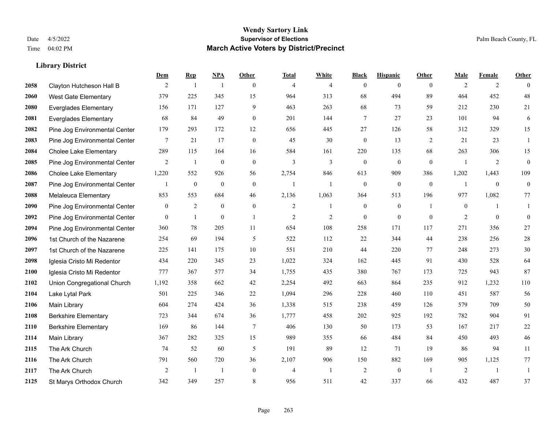|      |                               | Dem            | <b>Rep</b>     | NPA            | <b>Other</b>   | <b>Total</b>   | <b>White</b>   | <b>Black</b>     | <b>Hispanic</b> | <b>Other</b>   | <b>Male</b>    | <b>Female</b> | <b>Other</b>     |
|------|-------------------------------|----------------|----------------|----------------|----------------|----------------|----------------|------------------|-----------------|----------------|----------------|---------------|------------------|
| 2058 | Clayton Hutcheson Hall B      | 2              | $\mathbf{1}$   | $\overline{1}$ | $\theta$       | $\overline{4}$ | $\overline{4}$ | $\mathbf{0}$     | $\mathbf{0}$    | $\theta$       | 2              | 2             | $\theta$         |
| 2060 | <b>West Gate Elementary</b>   | 379            | 225            | 345            | 15             | 964            | 313            | 68               | 494             | 89             | 464            | 452           | $48\,$           |
| 2080 | <b>Everglades Elementary</b>  | 156            | 171            | 127            | 9              | 463            | 263            | 68               | 73              | 59             | 212            | 230           | 21               |
| 2081 | <b>Everglades Elementary</b>  | 68             | 84             | 49             | $\mathbf{0}$   | 201            | 144            | 7                | 27              | 23             | 101            | 94            | 6                |
| 2082 | Pine Jog Environmental Center | 179            | 293            | 172            | 12             | 656            | 445            | 27               | 126             | 58             | 312            | 329           | 15               |
| 2083 | Pine Jog Environmental Center | 7              | 21             | 17             | $\overline{0}$ | 45             | 30             | $\mathbf{0}$     | 13              | 2              | 21             | 23            | -1               |
| 2084 | <b>Cholee Lake Elementary</b> | 289            | 115            | 164            | 16             | 584            | 161            | 220              | 135             | 68             | 263            | 306           | 15               |
| 2085 | Pine Jog Environmental Center | $\overline{2}$ | 1              | $\mathbf{0}$   | $\theta$       | 3              | 3              | $\mathbf{0}$     | $\mathbf{0}$    | $\theta$       | $\mathbf{1}$   | 2             | $\boldsymbol{0}$ |
| 2086 | <b>Cholee Lake Elementary</b> | 1,220          | 552            | 926            | 56             | 2,754          | 846            | 613              | 909             | 386            | 1,202          | 1,443         | 109              |
| 2087 | Pine Jog Environmental Center |                | $\mathbf{0}$   | $\mathbf{0}$   | $\mathbf{0}$   | $\overline{1}$ | $\mathbf{1}$   | $\mathbf{0}$     | $\mathbf{0}$    | $\mathbf{0}$   | $\mathbf{1}$   | $\mathbf{0}$  | $\boldsymbol{0}$ |
| 2088 | Melaleuca Elementary          | 853            | 553            | 684            | 46             | 2,136          | 1,063          | 364              | 513             | 196            | 977            | 1,082         | 77               |
| 2090 | Pine Jog Environmental Center | $\mathbf{0}$   | $\sqrt{2}$     | $\mathbf{0}$   | $\mathbf{0}$   | $\overline{c}$ | 1              | $\boldsymbol{0}$ | $\mathbf{0}$    | $\overline{1}$ | $\mathbf{0}$   |               | 1                |
| 2092 | Pine Jog Environmental Center | $\mathbf{0}$   | 1              | $\mathbf{0}$   | $\overline{1}$ | $\overline{2}$ | $\overline{2}$ | $\mathbf{0}$     | $\mathbf{0}$    | $\theta$       | $\overline{2}$ | $\theta$      | $\mathbf{0}$     |
| 2094 | Pine Jog Environmental Center | 360            | 78             | 205            | 11             | 654            | 108            | 258              | 171             | 117            | 271            | 356           | $27\,$           |
| 2096 | 1st Church of the Nazarene    | 254            | 69             | 194            | 5              | 522            | 112            | 22               | 344             | 44             | 238            | 256           | $28\,$           |
| 2097 | 1st Church of the Nazarene    | 225            | 141            | 175            | 10             | 551            | 210            | 44               | 220             | 77             | 248            | 273           | $30\,$           |
| 2098 | Iglesia Cristo Mi Redentor    | 434            | 220            | 345            | 23             | 1,022          | 324            | 162              | 445             | 91             | 430            | 528           | 64               |
| 2100 | Iglesia Cristo Mi Redentor    | 777            | 367            | 577            | 34             | 1,755          | 435            | 380              | 767             | 173            | 725            | 943           | 87               |
| 2102 | Union Congregational Church   | 1,192          | 358            | 662            | 42             | 2,254          | 492            | 663              | 864             | 235            | 912            | 1,232         | 110              |
| 2104 | Lake Lytal Park               | 501            | 225            | 346            | 22             | 1,094          | 296            | 228              | 460             | 110            | 451            | 587           | 56               |
| 2106 | <b>Main Library</b>           | 604            | 274            | 424            | 36             | 1,338          | 515            | 238              | 459             | 126            | 579            | 709           | 50               |
| 2108 | <b>Berkshire Elementary</b>   | 723            | 344            | 674            | 36             | 1,777          | 458            | 202              | 925             | 192            | 782            | 904           | 91               |
| 2110 | <b>Berkshire Elementary</b>   | 169            | 86             | 144            | $\overline{7}$ | 406            | 130            | 50               | 173             | 53             | 167            | 217           | $22\,$           |
| 2114 | <b>Main Library</b>           | 367            | 282            | 325            | 15             | 989            | 355            | 66               | 484             | 84             | 450            | 493           | $46\,$           |
| 2115 | The Ark Church                | 74             | 52             | 60             | 5              | 191            | 89             | 12               | 71              | 19             | 86             | 94            | $11\,$           |
| 2116 | The Ark Church                | 791            | 560            | 720            | 36             | 2,107          | 906            | 150              | 882             | 169            | 905            | 1,125         | 77               |
| 2117 | The Ark Church                | 2              | $\overline{1}$ | $\overline{1}$ | $\mathbf{0}$   | $\overline{4}$ | $\mathbf{1}$   | 2                | $\mathbf{0}$    | $\overline{1}$ | $\overline{2}$ | -1            | 1                |
| 2125 | St Marys Orthodox Church      | 342            | 349            | 257            | 8              | 956            | 511            | 42               | 337             | 66             | 432            | 487           | 37               |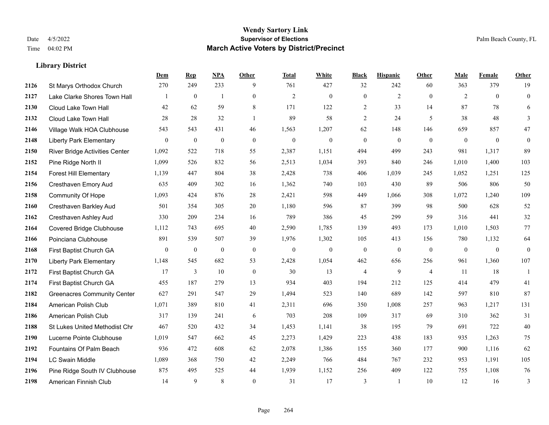|      |                                       | Dem              | <b>Rep</b>       | NPA              | <b>Other</b>     | <b>Total</b>     | <b>White</b>     | <b>Black</b>     | <b>Hispanic</b>  | <b>Other</b>   | <b>Male</b>  | Female       | <b>Other</b>     |
|------|---------------------------------------|------------------|------------------|------------------|------------------|------------------|------------------|------------------|------------------|----------------|--------------|--------------|------------------|
| 2126 | St Marys Orthodox Church              | 270              | 249              | 233              | 9                | 761              | 427              | 32               | 242              | 60             | 363          | 379          | 19               |
| 2127 | Lake Clarke Shores Town Hall          |                  | $\mathbf{0}$     | $\overline{1}$   | $\overline{0}$   | $\overline{2}$   | $\mathbf{0}$     | $\mathbf{0}$     | $\overline{2}$   | $\theta$       | 2            | $\theta$     | $\mathbf{0}$     |
| 2130 | Cloud Lake Town Hall                  | 42               | 62               | 59               | 8                | 171              | 122              | 2                | 33               | 14             | 87           | 78           | 6                |
| 2132 | Cloud Lake Town Hall                  | 28               | 28               | 32               | $\mathbf{1}$     | 89               | 58               | $\overline{c}$   | 24               | 5              | 38           | 48           | 3                |
| 2146 | Village Walk HOA Clubhouse            | 543              | 543              | 431              | 46               | 1,563            | 1,207            | 62               | 148              | 146            | 659          | 857          | 47               |
| 2148 | <b>Liberty Park Elementary</b>        | $\boldsymbol{0}$ | $\bf{0}$         | $\boldsymbol{0}$ | $\boldsymbol{0}$ | $\boldsymbol{0}$ | $\boldsymbol{0}$ | $\boldsymbol{0}$ | $\boldsymbol{0}$ | $\mathbf{0}$   | $\mathbf{0}$ | $\mathbf{0}$ | $\boldsymbol{0}$ |
| 2150 | <b>River Bridge Activities Center</b> | 1,092            | 522              | 718              | 55               | 2,387            | 1,151            | 494              | 499              | 243            | 981          | 1,317        | 89               |
| 2152 | Pine Ridge North II                   | 1,099            | 526              | 832              | 56               | 2,513            | 1,034            | 393              | 840              | 246            | 1,010        | 1,400        | 103              |
| 2154 | <b>Forest Hill Elementary</b>         | 1,139            | 447              | 804              | 38               | 2,428            | 738              | 406              | 1,039            | 245            | 1,052        | 1,251        | 125              |
| 2156 | Cresthaven Emory Aud                  | 635              | 409              | 302              | 16               | 1,362            | 740              | 103              | 430              | 89             | 506          | 806          | 50               |
| 2158 | Community Of Hope                     | 1,093            | 424              | 876              | 28               | 2,421            | 598              | 449              | 1,066            | 308            | 1,072        | 1,240        | 109              |
| 2160 | Cresthaven Barkley Aud                | 501              | 354              | 305              | 20               | 1,180            | 596              | 87               | 399              | 98             | 500          | 628          | 52               |
| 2162 | Cresthaven Ashley Aud                 | 330              | 209              | 234              | 16               | 789              | 386              | 45               | 299              | 59             | 316          | 441          | $32\,$           |
| 2164 | Covered Bridge Clubhouse              | 1,112            | 743              | 695              | 40               | 2,590            | 1,785            | 139              | 493              | 173            | 1,010        | 1,503        | $77\,$           |
| 2166 | Poinciana Clubhouse                   | 891              | 539              | 507              | 39               | 1,976            | 1,302            | 105              | 413              | 156            | 780          | 1,132        | 64               |
| 2168 | First Baptist Church GA               | $\mathbf{0}$     | $\boldsymbol{0}$ | $\boldsymbol{0}$ | $\mathbf{0}$     | $\mathbf{0}$     | $\boldsymbol{0}$ | $\boldsymbol{0}$ | $\mathbf{0}$     | $\mathbf{0}$   | $\mathbf{0}$ | $\mathbf{0}$ | $\mathbf{0}$     |
| 2170 | <b>Liberty Park Elementary</b>        | 1,148            | 545              | 682              | 53               | 2,428            | 1,054            | 462              | 656              | 256            | 961          | 1,360        | 107              |
| 2172 | First Baptist Church GA               | 17               | 3                | 10               | $\mathbf{0}$     | 30               | 13               | $\overline{4}$   | 9                | $\overline{4}$ | 11           | 18           | $\mathbf{1}$     |
| 2174 | First Baptist Church GA               | 455              | 187              | 279              | 13               | 934              | 403              | 194              | 212              | 125            | 414          | 479          | 41               |
| 2182 | <b>Greenacres Community Center</b>    | 627              | 291              | 547              | 29               | 1,494            | 523              | 140              | 689              | 142            | 597          | 810          | 87               |
| 2184 | American Polish Club                  | 1,071            | 389              | 810              | 41               | 2,311            | 696              | 350              | 1,008            | 257            | 963          | 1,217        | 131              |
| 2186 | American Polish Club                  | 317              | 139              | 241              | 6                | 703              | 208              | 109              | 317              | 69             | 310          | 362          | 31               |
| 2188 | St Lukes United Methodist Chr         | 467              | 520              | 432              | 34               | 1,453            | 1,141            | 38               | 195              | 79             | 691          | 722          | $40\,$           |
| 2190 | Lucerne Pointe Clubhouse              | 1,019            | 547              | 662              | 45               | 2,273            | 1,429            | 223              | 438              | 183            | 935          | 1,263        | 75               |
| 2192 | Fountains Of Palm Beach               | 936              | 472              | 608              | 62               | 2,078            | 1,386            | 155              | 360              | 177            | 900          | 1,116        | 62               |
| 2194 | <b>LC Swain Middle</b>                | 1,089            | 368              | 750              | 42               | 2,249            | 766              | 484              | 767              | 232            | 953          | 1,191        | 105              |
| 2196 | Pine Ridge South IV Clubhouse         | 875              | 495              | 525              | 44               | 1,939            | 1,152            | 256              | 409              | 122            | 755          | 1,108        | 76               |
| 2198 | American Finnish Club                 | 14               | 9                | 8                | $\theta$         | 31               | 17               | 3                | 1                | 10             | 12           | 16           | 3                |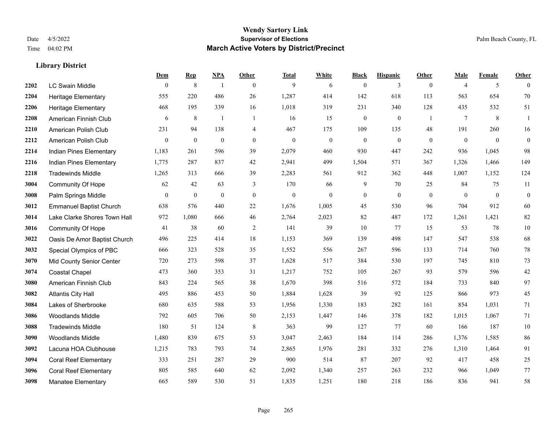|      |                                | Dem          | <b>Rep</b>       | NPA              | <b>Other</b>   | <b>Total</b>     | <b>White</b>     | <b>Black</b>     | <b>Hispanic</b> | <b>Other</b>   | <b>Male</b>    | <b>Female</b> | <b>Other</b>     |
|------|--------------------------------|--------------|------------------|------------------|----------------|------------------|------------------|------------------|-----------------|----------------|----------------|---------------|------------------|
| 2202 | <b>LC Swain Middle</b>         | $\mathbf{0}$ | $\,$ 8 $\,$      | $\overline{1}$   | $\theta$       | 9                | 6                | $\mathbf{0}$     | 3               | $\overline{0}$ | $\overline{4}$ | 5             | $\theta$         |
| 2204 | <b>Heritage Elementary</b>     | 555          | 220              | 486              | 26             | 1,287            | 414              | 142              | 618             | 113            | 563            | 654           | 70               |
| 2206 | <b>Heritage Elementary</b>     | 468          | 195              | 339              | 16             | 1,018            | 319              | 231              | 340             | 128            | 435            | 532           | 51               |
| 2208 | American Finnish Club          | 6            | $\,$ 8 $\,$      | 1                | $\mathbf{1}$   | 16               | 15               | $\boldsymbol{0}$ | $\mathbf{0}$    | -1             | $\tau$         | 8             | 1                |
| 2210 | American Polish Club           | 231          | 94               | 138              | $\overline{4}$ | 467              | 175              | 109              | 135             | 48             | 191            | 260           | 16               |
| 2212 | American Polish Club           | $\mathbf{0}$ | $\boldsymbol{0}$ | $\boldsymbol{0}$ | $\mathbf{0}$   | $\boldsymbol{0}$ | $\boldsymbol{0}$ | $\boldsymbol{0}$ | $\bf{0}$        | $\overline{0}$ | $\mathbf{0}$   | $\mathbf{0}$  | $\boldsymbol{0}$ |
| 2214 | Indian Pines Elementary        | 1,183        | 261              | 596              | 39             | 2,079            | 460              | 930              | 447             | 242            | 936            | 1,045         | 98               |
| 2216 | Indian Pines Elementary        | 1,775        | 287              | 837              | 42             | 2,941            | 499              | 1,504            | 571             | 367            | 1,326          | 1,466         | 149              |
| 2218 | <b>Tradewinds Middle</b>       | 1,265        | 313              | 666              | 39             | 2,283            | 561              | 912              | 362             | 448            | 1,007          | 1,152         | 124              |
| 3004 | Community Of Hope              | 62           | 42               | 63               | 3              | 170              | 66               | 9                | 70              | 25             | 84             | 75            | 11               |
| 3008 | Palm Springs Middle            | $\mathbf{0}$ | $\boldsymbol{0}$ | $\mathbf{0}$     | $\mathbf{0}$   | $\boldsymbol{0}$ | $\mathbf{0}$     | $\boldsymbol{0}$ | $\mathbf{0}$    | $\overline{0}$ | $\mathbf{0}$   | $\mathbf{0}$  | $\boldsymbol{0}$ |
| 3012 | <b>Emmanuel Baptist Church</b> | 638          | 576              | 440              | 22             | 1,676            | 1,005            | 45               | 530             | 96             | 704            | 912           | 60               |
| 3014 | Lake Clarke Shores Town Hall   | 972          | 1,080            | 666              | 46             | 2,764            | 2,023            | 82               | 487             | 172            | 1,261          | 1,421         | $82\,$           |
| 3016 | <b>Community Of Hope</b>       | 41           | 38               | 60               | 2              | 141              | 39               | 10               | 77              | 15             | 53             | 78            | $10\,$           |
| 3022 | Oasis De Amor Baptist Church   | 496          | 225              | 414              | 18             | 1,153            | 369              | 139              | 498             | 147            | 547            | 538           | 68               |
| 3032 | Special Olympics of PBC        | 666          | 323              | 528              | 35             | 1,552            | 556              | 267              | 596             | 133            | 714            | 760           | $78\,$           |
| 3070 | Mid County Senior Center       | 720          | 273              | 598              | 37             | 1,628            | 517              | 384              | 530             | 197            | 745            | 810           | 73               |
| 3074 | Coastal Chapel                 | 473          | 360              | 353              | 31             | 1,217            | 752              | 105              | 267             | 93             | 579            | 596           | $42\,$           |
| 3080 | American Finnish Club          | 843          | 224              | 565              | 38             | 1,670            | 398              | 516              | 572             | 184            | 733            | 840           | 97               |
| 3082 | <b>Atlantis City Hall</b>      | 495          | 886              | 453              | 50             | 1,884            | 1,628            | 39               | 92              | 125            | 866            | 973           | 45               |
| 3084 | Lakes of Sherbrooke            | 680          | 635              | 588              | 53             | 1,956            | 1,330            | 183              | 282             | 161            | 854            | 1,031         | 71               |
| 3086 | <b>Woodlands Middle</b>        | 792          | 605              | 706              | 50             | 2,153            | 1,447            | 146              | 378             | 182            | 1,015          | 1,067         | 71               |
| 3088 | <b>Tradewinds Middle</b>       | 180          | 51               | 124              | $\,8\,$        | 363              | 99               | 127              | 77              | 60             | 166            | 187           | $10\,$           |
| 3090 | <b>Woodlands Middle</b>        | 1,480        | 839              | 675              | 53             | 3,047            | 2,463            | 184              | 114             | 286            | 1,376          | 1,585         | 86               |
| 3092 | Lacuna HOA Clubhouse           | 1,215        | 783              | 793              | 74             | 2,865            | 1,976            | 281              | 332             | 276            | 1,310          | 1,464         | 91               |
| 3094 | <b>Coral Reef Elementary</b>   | 333          | 251              | 287              | 29             | 900              | 514              | 87               | 207             | 92             | 417            | 458           | $25\,$           |
| 3096 | <b>Coral Reef Elementary</b>   | 805          | 585              | 640              | 62             | 2,092            | 1,340            | 257              | 263             | 232            | 966            | 1,049         | 77               |
| 3098 | <b>Manatee Elementary</b>      | 665          | 589              | 530              | 51             | 1,835            | 1,251            | 180              | 218             | 186            | 836            | 941           | 58               |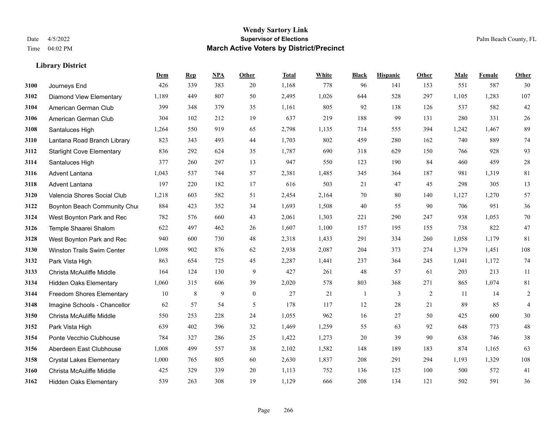**Library District**

#### **Wendy Sartory Link** Date 4/5/2022 **Supervisor of Elections** Palm Beach County, FL Time 04:02 PM **March Active Voters by District/Precinct**

**Dem Rep NPA Other Total White Black Hispanic Other Male Female Other**

# Journeys End 426 339 383 20 1,168 778 96 141 153 551 587 30 Diamond View Elementary 1,189 449 807 50 2,495 1,026 644 528 297 1,105 1,283 107 American German Club 399 348 379 35 1,161 805 92 138 126 537 582 42 American German Club 304 102 212 19 637 219 188 99 131 280 331 26 Santaluces High 1,264 550 919 65 2,798 1,135 714 555 394 1,242 1,467 89 Lantana Road Branch Library 823 343 493 44 1,703 802 459 280 162 740 889 74 Starlight Cove Elementary 836 292 624 35 1,787 690 318 629 150 766 928 93 Santaluces High 377 260 297 13 947 550 123 190 84 460 459 28 Advent Lantana 1,043 537 744 57 2,381 1,485 345 364 187 981 1,319 81 Advent Lantana 197 220 182 17 616 503 21 47 45 298 305 13 Valencia Shores Social Club 1,218 603 582 51 2,454 2,164 70 80 140 1,127 1,270 57 **3122 Boynton Beach Community Chu**rch 884 423 352 34 1,693 1,508 40 55 90 706 951 36 West Boynton Park and Rec 782 576 660 43 2,061 1,303 221 290 247 938 1,053 70 Temple Shaarei Shalom 622 497 462 26 1,607 1,100 157 195 155 738 822 47 West Boynton Park and Rec 940 600 730 48 2,318 1,433 291 334 260 1,058 1,179 81 Winston Trails Swim Center 1,098 902 876 62 2,938 2,087 204 373 274 1,379 1,451 108 Park Vista High 863 654 725 45 2,287 1,441 237 364 245 1,041 1,172 74 Christa McAuliffe Middle 164 124 130 9 427 261 48 57 61 203 213 11 Hidden Oaks Elementary 1,060 315 606 39 2,020 578 803 368 271 865 1,074 81 Freedom Shores Elementary 10 8 9 0 27 21 1 3 2 11 14 2 Imagine Schools - Chancellor 62 57 54 5 178 117 12 28 21 89 85 4 Christa McAuliffe Middle 550 253 228 24 1,055 962 16 27 50 425 600 30 Park Vista High 639 402 396 32 1,469 1,259 55 63 92 648 773 48 Ponte Vecchio Clubhouse 784 327 286 25 1,422 1,273 20 39 90 638 746 38 Aberdeen East Clubhouse 1,008 499 557 38 2,102 1,582 148 189 183 874 1,165 63 Crystal Lakes Elementary 1,000 765 805 60 2,630 1,837 208 291 294 1,193 1,329 108 Christa McAuliffe Middle 425 329 339 20 1,113 752 136 125 100 500 572 41

Hidden Oaks Elementary 539 263 308 19 1,129 666 208 134 121 502 591 36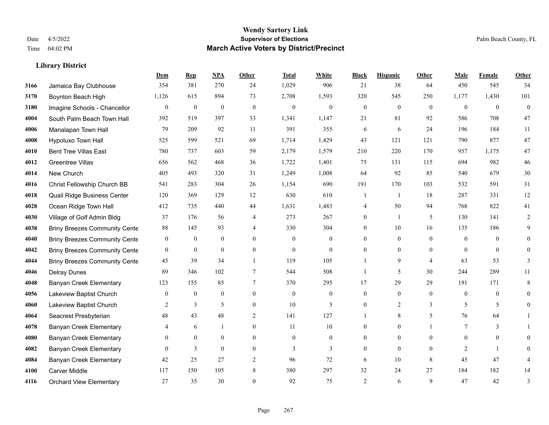|      |                                      | Dem            | <b>Rep</b>       | NPA              | <b>Other</b>   | <b>Total</b>     | <b>White</b>   | <b>Black</b>     | <b>Hispanic</b> | <b>Other</b>   | <b>Male</b>    | <b>Female</b>  | <b>Other</b>   |
|------|--------------------------------------|----------------|------------------|------------------|----------------|------------------|----------------|------------------|-----------------|----------------|----------------|----------------|----------------|
| 3166 | Jamaica Bay Clubhouse                | 354            | 381              | 270              | 24             | 1,029            | 906            | 21               | 38              | 64             | 450            | 545            | 34             |
| 3170 | Boynton Beach High                   | 1,126          | 615              | 894              | 73             | 2,708            | 1,593          | 320              | 545             | 250            | 1,177          | 1,430          | 101            |
| 3180 | Imagine Schools - Chancellor         | $\mathbf{0}$   | $\boldsymbol{0}$ | $\boldsymbol{0}$ | $\mathbf{0}$   | $\boldsymbol{0}$ | $\mathbf{0}$   | $\boldsymbol{0}$ | $\mathbf{0}$    | $\theta$       | $\overline{0}$ | $\mathbf{0}$   | $\overline{0}$ |
| 4004 | South Palm Beach Town Hall           | 392            | 519              | 397              | 33             | 1,341            | 1,147          | 21               | 81              | 92             | 586            | 708            | 47             |
| 4006 | Manalapan Town Hall                  | 79             | 209              | 92               | 11             | 391              | 355            | 6                | 6               | 24             | 196            | 184            | 11             |
| 4008 | Hypoluxo Town Hall                   | 525            | 599              | 521              | 69             | 1,714            | 1,429          | 43               | 121             | 121            | 790            | 877            | 47             |
| 4010 | <b>Bent Tree Villas East</b>         | 780            | 737              | 603              | 59             | 2,179            | 1,579          | 210              | 220             | 170            | 957            | 1,175          | $47\,$         |
| 4012 | Greentree Villas                     | 656            | 562              | 468              | 36             | 1,722            | 1,401          | 75               | 131             | 115            | 694            | 982            | $46\,$         |
| 4014 | New Church                           | 405            | 493              | 320              | 31             | 1,249            | 1,008          | 64               | 92              | 85             | 540            | 679            | $30\,$         |
| 4016 | Christ Fellowship Church BB          | 541            | 283              | 304              | $26\,$         | 1,154            | 690            | 191              | 170             | 103            | 532            | 591            | 31             |
| 4018 | Quail Ridge Business Center          | 120            | 369              | 129              | 12             | 630              | 610            | -1               | -1              | 18             | 287            | 331            | 12             |
| 4028 | Ocean Ridge Town Hall                | 412            | 735              | 440              | 44             | 1,631            | 1,483          | 4                | 50              | 94             | 768            | 822            | 41             |
| 4030 | Village of Golf Admin Bldg           | 37             | 176              | 56               | $\overline{4}$ | 273              | 267            | $\overline{0}$   | 1               | 5              | 130            | 141            | $\overline{2}$ |
| 4038 | <b>Briny Breezes Community Cente</b> | $88\,$         | 145              | 93               | $\overline{4}$ | 330              | 304            | $\overline{0}$   | 10              | 16             | 135            | 186            | 9              |
| 4040 | <b>Briny Breezes Community Cente</b> | $\overline{0}$ | $\overline{0}$   | $\mathbf{0}$     | $\Omega$       | $\theta$         | $\overline{0}$ | 0                | $\overline{0}$  | $\Omega$       | $\Omega$       | $\Omega$       | 0              |
| 4042 | <b>Briny Breezes Community Cente</b> | $\mathbf{0}$   | $\boldsymbol{0}$ | $\mathbf{0}$     | $\mathbf{0}$   | $\boldsymbol{0}$ | $\overline{0}$ | 0                | $\overline{0}$  | $\theta$       | $\theta$       | $\overline{0}$ | 0              |
| 4044 | <b>Briny Breezes Community Cente</b> | 45             | 39               | 34               | $\mathbf{1}$   | 119              | 105            |                  | 9               | $\overline{4}$ | 63             | 53             | 3              |
| 4046 | <b>Delray Dunes</b>                  | 89             | 346              | 102              | $\tau$         | 544              | 508            | 1                | 5               | 30             | 244            | 289            | 11             |
| 4048 | <b>Banyan Creek Elementary</b>       | 123            | 155              | 85               | 7              | 370              | 295            | 17               | 29              | 29             | 191            | 171            | 8              |
| 4056 | Lakeview Baptist Church              | $\mathbf{0}$   | $\mathbf{0}$     | $\mathbf{0}$     | $\mathbf{0}$   | $\theta$         | $\overline{0}$ | $\mathbf{0}$     | $\overline{0}$  | $\mathbf{0}$   | $\overline{0}$ | $\mathbf{0}$   | 0              |
| 4060 | Lakeview Baptist Church              | 2              | 3                | 5                | $\overline{0}$ | 10               | 5              | $\mathbf{0}$     | $\overline{2}$  | 3              | 5              | 5              | 0              |
| 4064 | Seacrest Presbyterian                | 48             | 43               | 48               | 2              | 141              | 127            |                  | 8               | .5             | 76             | 64             |                |
| 4078 | <b>Banyan Creek Elementary</b>       | 4              | 6                | $\mathbf{1}$     | $\theta$       | 11               | 10             | $\theta$         | $\overline{0}$  |                | $\tau$         | 3              |                |
| 4080 | <b>Banyan Creek Elementary</b>       | $\overline{0}$ | $\mathbf{0}$     | $\boldsymbol{0}$ | $\mathbf{0}$   | $\boldsymbol{0}$ | 0              | 0                | $\overline{0}$  | $\mathbf{0}$   | $\overline{0}$ | $\bf{0}$       | 0              |
| 4082 | <b>Banyan Creek Elementary</b>       | $\theta$       | 3                | $\mathbf{0}$     | $\mathbf{0}$   | 3                | $\overline{3}$ | $\overline{0}$   | $\overline{0}$  | $\theta$       | 2              |                | 0              |
| 4084 | <b>Banyan Creek Elementary</b>       | 42             | 25               | 27               | $\overline{2}$ | 96               | 72             | 6                | 10              | 8              | 45             | 47             | 4              |
| 4100 | <b>Carver Middle</b>                 | 117            | 150              | 105              | 8              | 380              | 297            | 32               | 24              | 27             | 184            | 182            | 14             |
| 4116 | <b>Orchard View Elementary</b>       | 27             | 35               | 30               | $\Omega$       | 92               | 75             | $\overline{c}$   | 6               | 9              | 47             | 42             | 3              |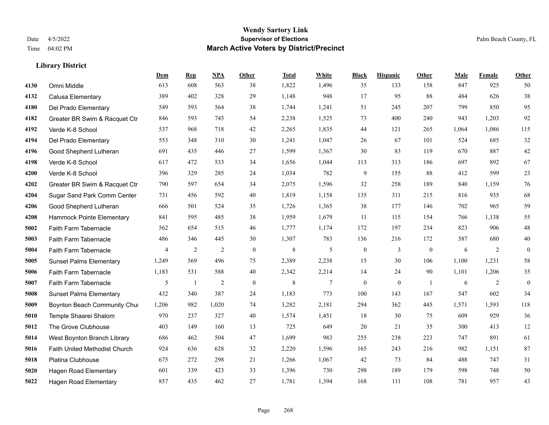|      |                                | Dem   | <b>Rep</b>   | NPA            | <b>Other</b> | <b>Total</b> | <b>White</b> | <b>Black</b>     | <b>Hispanic</b> | <b>Other</b>   | <b>Male</b> | <b>Female</b> | <b>Other</b>     |
|------|--------------------------------|-------|--------------|----------------|--------------|--------------|--------------|------------------|-----------------|----------------|-------------|---------------|------------------|
| 4130 | Omni Middle                    | 613   | 608          | 563            | 38           | 1,822        | 1,496        | 35               | 133             | 158            | 847         | 925           | 50               |
| 4132 | Calusa Elementary              | 389   | 402          | 328            | 29           | 1,148        | 948          | 17               | 95              | 88             | 484         | 626           | 38               |
| 4180 | Del Prado Elementary           | 549   | 593          | 564            | 38           | 1,744        | 1,241        | 51               | 245             | 207            | 799         | 850           | 95               |
| 4182 | Greater BR Swim & Racquet Ctr  | 846   | 593          | 745            | 54           | 2,238        | 1,525        | 73               | 400             | 240            | 943         | 1,203         | 92               |
| 4192 | Verde K-8 School               | 537   | 968          | 718            | 42           | 2,265        | 1,835        | 44               | 121             | 265            | 1,064       | 1,086         | 115              |
| 4194 | Del Prado Elementary           | 553   | 348          | 310            | 30           | 1,241        | 1,047        | 26               | 67              | 101            | 524         | 685           | $32\,$           |
| 4196 | Good Shepherd Lutheran         | 691   | 435          | 446            | 27           | 1,599        | 1,367        | 30               | 83              | 119            | 670         | 887           | $42\,$           |
| 4198 | Verde K-8 School               | 617   | 472          | 533            | 34           | 1,656        | 1,044        | 113              | 313             | 186            | 697         | 892           | 67               |
| 4200 | Verde K-8 School               | 396   | 329          | 285            | 24           | 1,034        | 782          | 9                | 155             | 88             | 412         | 599           | $23\,$           |
| 4202 | Greater BR Swim & Racquet Ctr  | 790   | 597          | 654            | 34           | 2,075        | 1,596        | 32               | 258             | 189            | 840         | 1,159         | 76               |
| 4204 | Sugar Sand Park Comm Center    | 731   | 456          | 592            | 40           | 1,819        | 1,158        | 135              | 311             | 215            | 816         | 935           | 68               |
| 4206 | Good Shepherd Lutheran         | 666   | 501          | 524            | 35           | 1,726        | 1,365        | 38               | 177             | 146            | 702         | 965           | 59               |
| 4208 | Hammock Pointe Elementary      | 841   | 595          | 485            | 38           | 1,959        | 1,679        | 11               | 115             | 154            | 766         | 1,138         | 55               |
| 5002 | Faith Farm Tabernacle          | 562   | 654          | 515            | 46           | 1,777        | 1,174        | 172              | 197             | 234            | 823         | 906           | $48\,$           |
| 5003 | Faith Farm Tabernacle          | 486   | 346          | 445            | 30           | 1,307        | 783          | 136              | 216             | 172            | 587         | 680           | $40\,$           |
| 5004 | Faith Farm Tabernacle          | 4     | 2            | $\overline{c}$ | $\mathbf{0}$ | $\,8\,$      | 5            | $\bf{0}$         | 3               | $\overline{0}$ | 6           | 2             | $\mathbf{0}$     |
| 5005 | <b>Sunset Palms Elementary</b> | 1,249 | 569          | 496            | 75           | 2,389        | 2,238        | 15               | 30              | 106            | 1,100       | 1,231         | 58               |
| 5006 | Faith Farm Tabernacle          | 1,183 | 531          | 588            | 40           | 2,342        | 2,214        | 14               | 24              | 90             | 1,101       | 1,206         | 35               |
| 5007 | Faith Farm Tabernacle          | 5     | $\mathbf{1}$ | $\overline{c}$ | $\mathbf{0}$ | $\,8\,$      | 7            | $\boldsymbol{0}$ | $\mathbf{0}$    | $\overline{1}$ | 6           | 2             | $\boldsymbol{0}$ |
| 5008 | <b>Sunset Palms Elementary</b> | 432   | 340          | 387            | 24           | 1,183        | 773          | 100              | 143             | 167            | 547         | 602           | 34               |
| 5009 | Boynton Beach Community Chur   | 1,206 | 982          | 1,020          | 74           | 3,282        | 2,181        | 294              | 362             | 445            | 1,571       | 1,593         | 118              |
| 5010 | Temple Shaarei Shalom          | 970   | 237          | 327            | 40           | 1,574        | 1,451        | 18               | 30              | 75             | 609         | 929           | 36               |
| 5012 | The Grove Clubhouse            | 403   | 149          | 160            | 13           | 725          | 649          | 20               | 21              | 35             | 300         | 413           | 12               |
| 5014 | West Boynton Branch Library    | 686   | 462          | 504            | 47           | 1,699        | 983          | 255              | 238             | 223            | 747         | 891           | 61               |
| 5016 | Faith United Methodist Church  | 924   | 636          | 628            | 32           | 2,220        | 1,596        | 165              | 243             | 216            | 982         | 1.151         | 87               |
| 5018 | Platina Clubhouse              | 675   | 272          | 298            | 21           | 1,266        | 1,067        | 42               | 73              | 84             | 488         | 747           | 31               |
| 5020 | <b>Hagen Road Elementary</b>   | 601   | 339          | 423            | 33           | 1,396        | 730          | 298              | 189             | 179            | 598         | 748           | 50               |
| 5022 | <b>Hagen Road Elementary</b>   | 857   | 435          | 462            | 27           | 1,781        | 1,394        | 168              | 111             | 108            | 781         | 957           | 43               |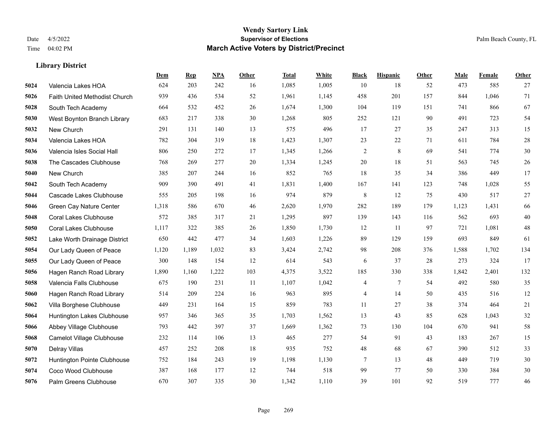|      |                               | Dem   | <b>Rep</b> | NPA   | <b>Other</b> | <b>Total</b> | White | <b>Black</b>   | <b>Hispanic</b> | <b>Other</b> | <b>Male</b> | Female | Other  |
|------|-------------------------------|-------|------------|-------|--------------|--------------|-------|----------------|-----------------|--------------|-------------|--------|--------|
| 5024 | Valencia Lakes HOA            | 624   | 203        | 242   | 16           | 1,085        | 1,005 | 10             | 18              | 52           | 473         | 585    | 27     |
| 5026 | Faith United Methodist Church | 939   | 436        | 534   | 52           | 1,961        | 1,145 | 458            | 201             | 157          | 844         | 1,046  | 71     |
| 5028 | South Tech Academy            | 664   | 532        | 452   | 26           | 1,674        | 1,300 | 104            | 119             | 151          | 741         | 866    | 67     |
| 5030 | West Boynton Branch Library   | 683   | 217        | 338   | 30           | 1,268        | 805   | 252            | 121             | 90           | 491         | 723    | 54     |
| 5032 | New Church                    | 291   | 131        | 140   | 13           | 575          | 496   | 17             | 27              | 35           | 247         | 313    | 15     |
| 5034 | Valencia Lakes HOA            | 782   | 304        | 319   | 18           | 1,423        | 1,307 | 23             | $22\,$          | 71           | 611         | 784    | $28\,$ |
| 5036 | Valencia Isles Social Hall    | 806   | 250        | 272   | 17           | 1,345        | 1,266 | $\overline{c}$ | 8               | 69           | 541         | 774    | 30     |
| 5038 | The Cascades Clubhouse        | 768   | 269        | 277   | 20           | 1,334        | 1,245 | 20             | 18              | 51           | 563         | 745    | 26     |
| 5040 | New Church                    | 385   | 207        | 244   | 16           | 852          | 765   | 18             | 35              | 34           | 386         | 449    | 17     |
| 5042 | South Tech Academy            | 909   | 390        | 491   | 41           | 1,831        | 1,400 | 167            | 141             | 123          | 748         | 1,028  | 55     |
| 5044 | Cascade Lakes Clubhouse       | 555   | 205        | 198   | 16           | 974          | 879   | $\,8\,$        | 12              | 75           | 430         | 517    | 27     |
| 5046 | Green Cay Nature Center       | 1,318 | 586        | 670   | 46           | 2,620        | 1,970 | 282            | 189             | 179          | 1,123       | 1,431  | 66     |
| 5048 | <b>Coral Lakes Clubhouse</b>  | 572   | 385        | 317   | 21           | 1,295        | 897   | 139            | 143             | 116          | 562         | 693    | $40\,$ |
| 5050 | <b>Coral Lakes Clubhouse</b>  | 1,117 | 322        | 385   | 26           | 1,850        | 1,730 | 12             | 11              | 97           | 721         | 1,081  | $48\,$ |
| 5052 | Lake Worth Drainage District  | 650   | 442        | 477   | 34           | 1,603        | 1,226 | 89             | 129             | 159          | 693         | 849    | 61     |
| 5054 | Our Lady Queen of Peace       | 1,120 | 1,189      | 1,032 | 83           | 3,424        | 2,742 | 98             | 208             | 376          | 1,588       | 1,702  | 134    |
| 5055 | Our Lady Queen of Peace       | 300   | 148        | 154   | 12           | 614          | 543   | 6              | 37              | 28           | 273         | 324    | 17     |
| 5056 | Hagen Ranch Road Library      | 1,890 | 1,160      | 1,222 | 103          | 4,375        | 3,522 | 185            | 330             | 338          | 1,842       | 2,401  | 132    |
| 5058 | Valencia Falls Clubhouse      | 675   | 190        | 231   | 11           | 1,107        | 1,042 | 4              | 7               | 54           | 492         | 580    | 35     |
| 5060 | Hagen Ranch Road Library      | 514   | 209        | 224   | 16           | 963          | 895   | $\overline{4}$ | 14              | 50           | 435         | 516    | 12     |
| 5062 | Villa Borghese Clubhouse      | 449   | 231        | 164   | 15           | 859          | 783   | 11             | 27              | 38           | 374         | 464    | 21     |
| 5064 | Huntington Lakes Clubhouse    | 957   | 346        | 365   | 35           | 1,703        | 1,562 | 13             | 43              | 85           | 628         | 1,043  | 32     |
| 5066 | Abbey Village Clubhouse       | 793   | 442        | 397   | 37           | 1,669        | 1,362 | 73             | 130             | 104          | 670         | 941    | 58     |
| 5068 | Camelot Village Clubhouse     | 232   | 114        | 106   | 13           | 465          | 277   | 54             | 91              | 43           | 183         | 267    | 15     |
| 5070 | Delray Villas                 | 457   | 252        | 208   | 18           | 935          | 752   | 48             | 68              | 67           | 390         | 512    | 33     |
| 5072 | Huntington Pointe Clubhouse   | 752   | 184        | 243   | 19           | 1,198        | 1,130 | 7              | 13              | 48           | 449         | 719    | 30     |
| 5074 | Coco Wood Clubhouse           | 387   | 168        | 177   | 12           | 744          | 518   | 99             | 77              | 50           | 330         | 384    | 30     |
| 5076 | Palm Greens Clubhouse         | 670   | 307        | 335   | 30           | 1,342        | 1,110 | 39             | 101             | 92           | 519         | 777    | 46     |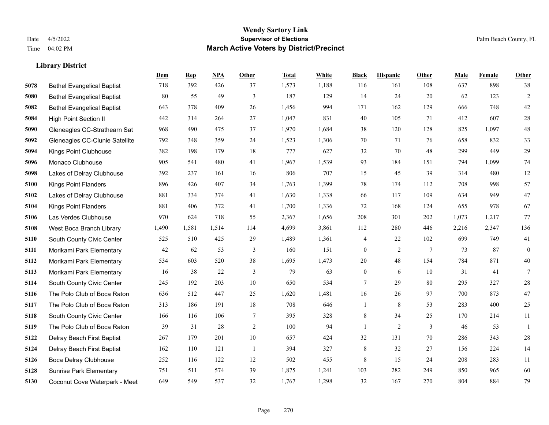|      |                                   | Dem   | <b>Rep</b> | NPA   | <b>Other</b>   | <b>Total</b> | White | <b>Black</b>     | <b>Hispanic</b> | <b>Other</b>    | <b>Male</b> | <b>Female</b> | <b>Other</b>     |
|------|-----------------------------------|-------|------------|-------|----------------|--------------|-------|------------------|-----------------|-----------------|-------------|---------------|------------------|
| 5078 | <b>Bethel Evangelical Baptist</b> | 718   | 392        | 426   | 37             | 1,573        | 1,188 | 116              | 161             | 108             | 637         | 898           | 38               |
| 5080 | <b>Bethel Evangelical Baptist</b> | 80    | 55         | 49    | 3              | 187          | 129   | 14               | 24              | 20              | 62          | 123           | $\overline{2}$   |
| 5082 | <b>Bethel Evangelical Baptist</b> | 643   | 378        | 409   | 26             | 1,456        | 994   | 171              | 162             | 129             | 666         | 748           | $42\,$           |
| 5084 | <b>High Point Section II</b>      | 442   | 314        | 264   | 27             | 1,047        | 831   | 40               | 105             | 71              | 412         | 607           | $28\,$           |
| 5090 | Gleneagles CC-Strathearn Sat      | 968   | 490        | 475   | 37             | 1,970        | 1,684 | 38               | 120             | 128             | 825         | 1.097         | $48\,$           |
| 5092 | Gleneagles CC-Clunie Satellite    | 792   | 348        | 359   | 24             | 1,523        | 1,306 | 70               | 71              | 76              | 658         | 832           | 33               |
| 5094 | Kings Point Clubhouse             | 382   | 198        | 179   | 18             | 777          | 627   | 32               | 70              | 48              | 299         | 449           | $29\,$           |
| 5096 | Monaco Clubhouse                  | 905   | 541        | 480   | 41             | 1,967        | 1,539 | 93               | 184             | 151             | 794         | 1,099         | $74\,$           |
| 5098 | Lakes of Delray Clubhouse         | 392   | 237        | 161   | 16             | 806          | 707   | 15               | 45              | 39              | 314         | 480           | $12\,$           |
| 5100 | <b>Kings Point Flanders</b>       | 896   | 426        | 407   | 34             | 1,763        | 1,399 | 78               | 174             | 112             | 708         | 998           | 57               |
| 5102 | Lakes of Delray Clubhouse         | 881   | 334        | 374   | 41             | 1,630        | 1,338 | 66               | 117             | 109             | 634         | 949           | 47               |
| 5104 | <b>Kings Point Flanders</b>       | 881   | 406        | 372   | 41             | 1,700        | 1,336 | 72               | 168             | 124             | 655         | 978           | 67               |
| 5106 | Las Verdes Clubhouse              | 970   | 624        | 718   | 55             | 2,367        | 1,656 | 208              | 301             | 202             | 1,073       | 1,217         | 77               |
| 5108 | West Boca Branch Library          | 1,490 | 1,581      | 1,514 | 114            | 4,699        | 3,861 | 112              | 280             | 446             | 2,216       | 2,347         | 136              |
| 5110 | South County Civic Center         | 525   | 510        | 425   | 29             | 1,489        | 1,361 | 4                | 22              | 102             | 699         | 749           | 41               |
| 5111 | Morikami Park Elementary          | 42    | 62         | 53    | 3              | 160          | 151   | $\boldsymbol{0}$ | 2               | $7\phantom{.0}$ | 73          | 87            | $\boldsymbol{0}$ |
| 5112 | Morikami Park Elementary          | 534   | 603        | 520   | 38             | 1,695        | 1,473 | 20               | 48              | 154             | 784         | 871           | 40               |
| 5113 | Morikami Park Elementary          | 16    | 38         | 22    | 3              | 79           | 63    | $\mathbf{0}$     | 6               | 10              | 31          | 41            | $7\phantom{.0}$  |
| 5114 | South County Civic Center         | 245   | 192        | 203   | 10             | 650          | 534   | 7                | 29              | 80              | 295         | 327           | $28\,$           |
| 5116 | The Polo Club of Boca Raton       | 636   | 512        | 447   | 25             | 1,620        | 1,481 | 16               | 26              | 97              | 700         | 873           | 47               |
| 5117 | The Polo Club of Boca Raton       | 313   | 186        | 191   | 18             | 708          | 646   | $\mathbf{1}$     | 8               | 53              | 283         | 400           | 25               |
| 5118 | South County Civic Center         | 166   | 116        | 106   | $\tau$         | 395          | 328   | 8                | 34              | 25              | 170         | 214           | 11               |
| 5119 | The Polo Club of Boca Raton       | 39    | 31         | 28    | 2              | 100          | 94    | $\mathbf{1}$     | $\overline{2}$  | 3               | 46          | 53            | $\mathbf{1}$     |
| 5122 | Delray Beach First Baptist        | 267   | 179        | 201   | $10\,$         | 657          | 424   | 32               | 131             | 70              | 286         | 343           | $28\,$           |
| 5124 | Delray Beach First Baptist        | 162   | 110        | 121   | $\overline{1}$ | 394          | 327   | $\,$ 8 $\,$      | 32              | 27              | 156         | 224           | 14               |
| 5126 | <b>Boca Delray Clubhouse</b>      | 252   | 116        | 122   | 12             | 502          | 455   | $\,8\,$          | 15              | 24              | 208         | 283           | 11               |
| 5128 | <b>Sunrise Park Elementary</b>    | 751   | 511        | 574   | 39             | 1,875        | 1,241 | 103              | 282             | 249             | 850         | 965           | 60               |
| 5130 | Coconut Cove Waterpark - Meet     | 649   | 549        | 537   | 32             | 1,767        | 1,298 | 32               | 167             | 270             | 804         | 884           | 79               |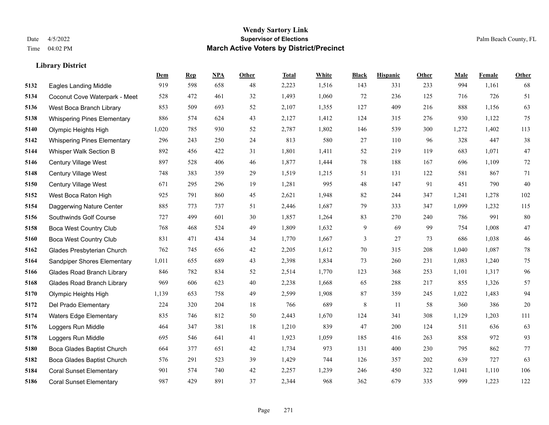|      |                                    | Dem   | <b>Rep</b> | NPA | <b>Other</b> | <b>Total</b> | <b>White</b> | <b>Black</b> | <b>Hispanic</b> | <b>Other</b> | <b>Male</b> | <b>Female</b> | <b>Other</b> |
|------|------------------------------------|-------|------------|-----|--------------|--------------|--------------|--------------|-----------------|--------------|-------------|---------------|--------------|
| 5132 | <b>Eagles Landing Middle</b>       | 919   | 598        | 658 | 48           | 2,223        | 1,516        | 143          | 331             | 233          | 994         | 1,161         | 68           |
| 5134 | Coconut Cove Waterpark - Meet      | 528   | 472        | 461 | 32           | 1,493        | 1,060        | 72           | 236             | 125          | 716         | 726           | 51           |
| 5136 | West Boca Branch Library           | 853   | 509        | 693 | 52           | 2,107        | 1,355        | 127          | 409             | 216          | 888         | 1,156         | 63           |
| 5138 | <b>Whispering Pines Elementary</b> | 886   | 574        | 624 | 43           | 2,127        | 1,412        | 124          | 315             | 276          | 930         | 1,122         | 75           |
| 5140 | Olympic Heights High               | 1,020 | 785        | 930 | 52           | 2,787        | 1,802        | 146          | 539             | 300          | 1,272       | 1,402         | 113          |
| 5142 | <b>Whispering Pines Elementary</b> | 296   | 243        | 250 | 24           | 813          | 580          | 27           | 110             | 96           | 328         | 447           | $38\,$       |
| 5144 | Whisper Walk Section B             | 892   | 456        | 422 | 31           | 1,801        | 1,411        | 52           | 219             | 119          | 683         | 1,071         | 47           |
| 5146 | <b>Century Village West</b>        | 897   | 528        | 406 | 46           | 1,877        | 1,444        | 78           | 188             | 167          | 696         | 1,109         | $72\,$       |
| 5148 | Century Village West               | 748   | 383        | 359 | 29           | 1,519        | 1,215        | 51           | 131             | 122          | 581         | 867           | 71           |
| 5150 | Century Village West               | 671   | 295        | 296 | 19           | 1,281        | 995          | 48           | 147             | 91           | 451         | 790           | $40\,$       |
| 5152 | West Boca Raton High               | 925   | 791        | 860 | 45           | 2,621        | 1,948        | 82           | 244             | 347          | 1,241       | 1,278         | 102          |
| 5154 | Daggerwing Nature Center           | 885   | 773        | 737 | 51           | 2,446        | 1,687        | 79           | 333             | 347          | 1,099       | 1,232         | 115          |
| 5156 | Southwinds Golf Course             | 727   | 499        | 601 | 30           | 1,857        | 1,264        | 83           | 270             | 240          | 786         | 991           | 80           |
| 5158 | <b>Boca West Country Club</b>      | 768   | 468        | 524 | 49           | 1,809        | 1,632        | 9            | 69              | 99           | 754         | 1,008         | $47\,$       |
| 5160 | <b>Boca West Country Club</b>      | 831   | 471        | 434 | 34           | 1,770        | 1,667        | 3            | 27              | 73           | 686         | 1,038         | $46\,$       |
| 5162 | Glades Presbyterian Church         | 762   | 745        | 656 | 42           | 2,205        | 1,612        | 70           | 315             | 208          | 1,040       | 1,087         | $78\,$       |
| 5164 | Sandpiper Shores Elementary        | 1,011 | 655        | 689 | 43           | 2,398        | 1,834        | 73           | 260             | 231          | 1,083       | 1,240         | $75\,$       |
| 5166 | <b>Glades Road Branch Library</b>  | 846   | 782        | 834 | 52           | 2,514        | 1,770        | 123          | 368             | 253          | 1,101       | 1,317         | 96           |
| 5168 | <b>Glades Road Branch Library</b>  | 969   | 606        | 623 | 40           | 2,238        | 1,668        | 65           | 288             | 217          | 855         | 1,326         | 57           |
| 5170 | Olympic Heights High               | 1,139 | 653        | 758 | 49           | 2,599        | 1,908        | 87           | 359             | 245          | 1,022       | 1,483         | 94           |
| 5172 | Del Prado Elementary               | 224   | 320        | 204 | 18           | 766          | 689          | 8            | 11              | 58           | 360         | 386           | $20\,$       |
| 5174 | <b>Waters Edge Elementary</b>      | 835   | 746        | 812 | 50           | 2,443        | 1,670        | 124          | 341             | 308          | 1,129       | 1,203         | 111          |
| 5176 | Loggers Run Middle                 | 464   | 347        | 381 | 18           | 1,210        | 839          | 47           | 200             | 124          | 511         | 636           | 63           |
| 5178 | Loggers Run Middle                 | 695   | 546        | 641 | 41           | 1,923        | 1,059        | 185          | 416             | 263          | 858         | 972           | 93           |
| 5180 | Boca Glades Baptist Church         | 664   | 377        | 651 | 42           | 1,734        | 973          | 131          | 400             | 230          | 795         | 862           | 77           |
| 5182 | Boca Glades Baptist Church         | 576   | 291        | 523 | 39           | 1,429        | 744          | 126          | 357             | 202          | 639         | 727           | 63           |
| 5184 | <b>Coral Sunset Elementary</b>     | 901   | 574        | 740 | 42           | 2,257        | 1,239        | 246          | 450             | 322          | 1,041       | 1,110         | 106          |
| 5186 | <b>Coral Sunset Elementary</b>     | 987   | 429        | 891 | 37           | 2,344        | 968          | 362          | 679             | 335          | 999         | 1,223         | 122          |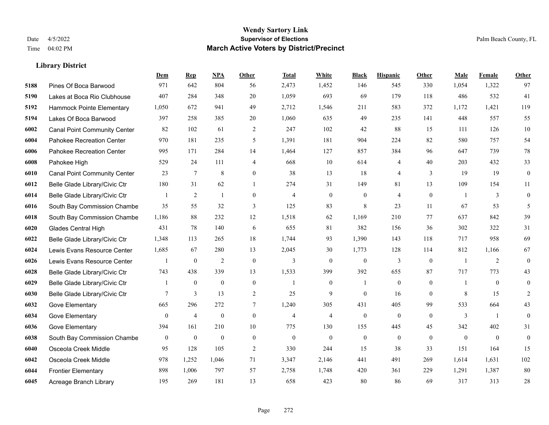|      |                                     | Dem          | <b>Rep</b>       | NPA              | <b>Other</b>   | <b>Total</b>   | <b>White</b>             | <b>Black</b>     | <b>Hispanic</b>  | Other        | <b>Male</b>    | <b>Female</b>  | Other            |
|------|-------------------------------------|--------------|------------------|------------------|----------------|----------------|--------------------------|------------------|------------------|--------------|----------------|----------------|------------------|
| 5188 | Pines Of Boca Barwood               | 971          | 642              | 804              | 56             | 2,473          | 1,452                    | 146              | 545              | 330          | 1,054          | 1,322          | 97               |
| 5190 | Lakes at Boca Rio Clubhouse         | 407          | 284              | 348              | 20             | 1,059          | 693                      | 69               | 179              | 118          | 486            | 532            | 41               |
| 5192 | Hammock Pointe Elementary           | 1,050        | 672              | 941              | 49             | 2,712          | 1,546                    | 211              | 583              | 372          | 1,172          | 1,421          | 119              |
| 5194 | Lakes Of Boca Barwood               | 397          | 258              | 385              | $20\,$         | 1,060          | 635                      | 49               | 235              | 141          | 448            | 557            | 55               |
| 6002 | <b>Canal Point Community Center</b> | 82           | 102              | 61               | 2              | 247            | 102                      | 42               | 88               | 15           | 111            | 126            | $10\,$           |
| 6004 | Pahokee Recreation Center           | 970          | 181              | 235              | 5              | 1,391          | 181                      | 904              | 224              | 82           | 580            | 757            | 54               |
| 6006 | Pahokee Recreation Center           | 995          | 171              | 284              | 14             | 1,464          | 127                      | 857              | 384              | 96           | 647            | 739            | 78               |
| 6008 | Pahokee High                        | 529          | 24               | 111              | $\overline{4}$ | 668            | 10                       | 614              | 4                | 40           | 203            | 432            | 33               |
| 6010 | <b>Canal Point Community Center</b> | 23           | $\tau$           | $\,$ 8 $\,$      | $\mathbf{0}$   | 38             | 13                       | 18               | 4                | 3            | 19             | 19             | $\boldsymbol{0}$ |
| 6012 | Belle Glade Library/Civic Ctr       | 180          | 31               | 62               | $\mathbf{1}$   | 274            | 31                       | 149              | 81               | 13           | 109            | 154            | 11               |
| 6014 | Belle Glade Library/Civic Ctr       |              | 2                | $\mathbf{1}$     | $\mathbf{0}$   | $\overline{4}$ | $\overline{0}$           | $\boldsymbol{0}$ | 4                | $\mathbf{0}$ | $\overline{1}$ | 3              | $\overline{0}$   |
| 6016 | South Bay Commission Chambe         | 35           | 55               | 32               | 3              | 125            | 83                       | 8                | 23               | 11           | 67             | 53             | 5                |
| 6018 | South Bay Commission Chambe         | 1,186        | 88               | 232              | 12             | 1,518          | 62                       | 1.169            | 210              | 77           | 637            | 842            | 39               |
| 6020 | Glades Central High                 | 431          | 78               | 140              | 6              | 655            | 81                       | 382              | 156              | 36           | 302            | 322            | 31               |
| 6022 | Belle Glade Library/Civic Ctr       | 1,348        | 113              | 265              | 18             | 1,744          | 93                       | 1,390            | 143              | 118          | 717            | 958            | 69               |
| 6024 | Lewis Evans Resource Center         | 1,685        | 67               | 280              | 13             | 2,045          | 30                       | 1,773            | 128              | 114          | 812            | 1,166          | 67               |
| 6026 | Lewis Evans Resource Center         |              | $\mathbf{0}$     | $\overline{2}$   | $\mathbf{0}$   | $\overline{3}$ | $\theta$                 | $\mathbf{0}$     | 3                | $\mathbf{0}$ | $\overline{1}$ | 2              | $\overline{0}$   |
| 6028 | Belle Glade Library/Civic Ctr       | 743          | 438              | 339              | 13             | 1,533          | 399                      | 392              | 655              | 87           | 717            | 773            | 43               |
| 6029 | Belle Glade Library/Civic Ctr       |              | $\boldsymbol{0}$ | $\theta$         | $\mathbf{0}$   | $\mathbf{1}$   | $\mathbf{0}$             | $\mathbf{1}$     | $\overline{0}$   | $\mathbf{0}$ | -1             | $\overline{0}$ | $\mathbf{0}$     |
| 6030 | Belle Glade Library/Civic Ctr       | 7            | 3                | 13               | $\overline{2}$ | 25             | 9                        | $\overline{0}$   | 16               | $\theta$     | 8              | 15             | 2                |
| 6032 | Gove Elementary                     | 665          | 296              | 272              | $\tau$         | 1,240          | 305                      | 431              | 405              | 99           | 533            | 664            | 43               |
| 6034 | Gove Elementary                     | $\mathbf{0}$ | $\overline{4}$   | $\boldsymbol{0}$ | $\mathbf{0}$   | $\overline{4}$ | $\overline{\mathcal{L}}$ | $\boldsymbol{0}$ | $\boldsymbol{0}$ | $\mathbf{0}$ | 3              | -1             | $\overline{0}$   |
| 6036 | Gove Elementary                     | 394          | 161              | 210              | 10             | 775            | 130                      | 155              | 445              | 45           | 342            | 402            | 31               |
| 6038 | South Bay Commission Chambe         | $\mathbf{0}$ | $\mathbf{0}$     | $\mathbf{0}$     | $\theta$       | $\mathbf{0}$   | $\mathbf{0}$             | $\mathbf{0}$     | $\overline{0}$   | $\theta$     | $\theta$       | $\theta$       | $\mathbf{0}$     |
| 6040 | Osceola Creek Middle                | 95           | 128              | 105              | $\overline{2}$ | 330            | 244                      | 15               | 38               | 33           | 151            | 164            | 15               |
| 6042 | Osceola Creek Middle                | 978          | 1,252            | 1,046            | 71             | 3,347          | 2,146                    | 441              | 491              | 269          | 1,614          | 1,631          | 102              |
| 6044 | <b>Frontier Elementary</b>          | 898          | 1,006            | 797              | 57             | 2,758          | 1,748                    | 420              | 361              | 229          | 1,291          | 1,387          | 80               |
| 6045 | Acreage Branch Library              | 195          | 269              | 181              | 13             | 658            | 423                      | 80               | 86               | 69           | 317            | 313            | 28               |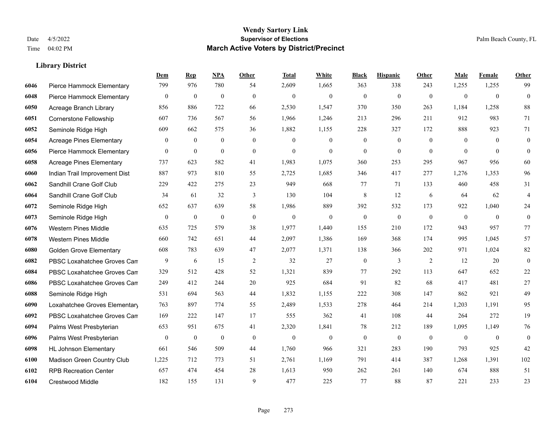|      |                                 | <b>Dem</b>       | <b>Rep</b>       | NPA              | <b>Other</b> | <b>Total</b>   | <b>White</b>     | <b>Black</b>     | <b>Hispanic</b> | Other          | <b>Male</b>    | Female         | <b>Other</b>     |
|------|---------------------------------|------------------|------------------|------------------|--------------|----------------|------------------|------------------|-----------------|----------------|----------------|----------------|------------------|
| 6046 | Pierce Hammock Elementary       | 799              | 976              | 780              | 54           | 2,609          | 1,665            | 363              | 338             | 243            | 1,255          | 1,255          | 99               |
| 6048 | Pierce Hammock Elementary       | $\boldsymbol{0}$ | $\mathbf{0}$     | $\mathbf{0}$     | $\mathbf{0}$ | $\mathbf{0}$   | $\mathbf{0}$     | $\mathbf{0}$     | $\mathbf{0}$    | $\theta$       | $\overline{0}$ | $\mathbf{0}$   | $\overline{0}$   |
| 6050 | Acreage Branch Library          | 856              | 886              | 722              | 66           | 2,530          | 1,547            | 370              | 350             | 263            | 1,184          | 1,258          | 88               |
| 6051 | Cornerstone Fellowship          | 607              | 736              | 567              | 56           | 1,966          | 1,246            | 213              | 296             | 211            | 912            | 983            | 71               |
| 6052 | Seminole Ridge High             | 609              | 662              | 575              | 36           | 1,882          | 1,155            | 228              | 327             | 172            | 888            | 923            | 71               |
| 6054 | <b>Acreage Pines Elementary</b> | 0                | $\boldsymbol{0}$ | $\boldsymbol{0}$ | $\mathbf{0}$ | $\overline{0}$ | $\boldsymbol{0}$ | $\mathbf{0}$     | $\mathbf{0}$    | $\overline{0}$ | $\overline{0}$ | $\overline{0}$ | $\mathbf{0}$     |
| 6056 | Pierce Hammock Elementary       | $\overline{0}$   | $\mathbf{0}$     | $\mathbf{0}$     | $\mathbf{0}$ | $\mathbf{0}$   | $\overline{0}$   | $\mathbf{0}$     | $\overline{0}$  | $\theta$       | $\theta$       | $\theta$       | $\mathbf{0}$     |
| 6058 | <b>Acreage Pines Elementary</b> | 737              | 623              | 582              | 41           | 1,983          | 1,075            | 360              | 253             | 295            | 967            | 956            | 60               |
| 6060 | Indian Trail Improvement Dist   | 887              | 973              | 810              | 55           | 2,725          | 1,685            | 346              | 417             | 277            | 1,276          | 1,353          | 96               |
| 6062 | Sandhill Crane Golf Club        | 229              | 422              | 275              | 23           | 949            | 668              | 77               | 71              | 133            | 460            | 458            | 31               |
| 6064 | Sandhill Crane Golf Club        | 34               | 61               | 32               | 3            | 130            | 104              | $\,$ 8 $\,$      | 12              | 6              | 64             | 62             | $\overline{4}$   |
| 6072 | Seminole Ridge High             | 652              | 637              | 639              | 58           | 1,986          | 889              | 392              | 532             | 173            | 922            | 1,040          | 24               |
| 6073 | Seminole Ridge High             | $\overline{0}$   | $\mathbf{0}$     | $\boldsymbol{0}$ | $\mathbf{0}$ | $\mathbf{0}$   | $\mathbf{0}$     | $\boldsymbol{0}$ | $\mathbf{0}$    | $\theta$       | $\mathbf{0}$   | $\mathbf{0}$   | $\overline{0}$   |
| 6076 | Western Pines Middle            | 635              | 725              | 579              | 38           | 1,977          | 1,440            | 155              | 210             | 172            | 943            | 957            | 77               |
| 6078 | <b>Western Pines Middle</b>     | 660              | 742              | 651              | 44           | 2,097          | 1,386            | 169              | 368             | 174            | 995            | 1,045          | 57               |
| 6080 | <b>Golden Grove Elementary</b>  | 608              | 783              | 639              | 47           | 2,077          | 1,371            | 138              | 366             | 202            | 971            | 1,024          | 82               |
| 6082 | PBSC Loxahatchee Groves Can     | 9                | 6                | 15               | $\sqrt{2}$   | 32             | 27               | $\boldsymbol{0}$ | 3               | $\overline{2}$ | 12             | 20             | $\boldsymbol{0}$ |
| 6084 | PBSC Loxahatchee Groves Can     | 329              | 512              | 428              | 52           | 1,321          | 839              | 77               | 292             | 113            | 647            | 652            | 22               |
| 6086 | PBSC Loxahatchee Groves Can     | 249              | 412              | 244              | 20           | 925            | 684              | 91               | 82              | 68             | 417            | 481            | 27               |
| 6088 | Seminole Ridge High             | 531              | 694              | 563              | 44           | 1,832          | 1,155            | 222              | 308             | 147            | 862            | 921            | 49               |
| 6090 | Loxahatchee Groves Elementary   | 763              | 897              | 774              | 55           | 2,489          | 1,533            | 278              | 464             | 214            | 1,203          | 1.191          | 95               |
| 6092 | PBSC Loxahatchee Groves Can     | 169              | 222              | 147              | 17           | 555            | 362              | 41               | 108             | 44             | 264            | 272            | 19               |
| 6094 | Palms West Presbyterian         | 653              | 951              | 675              | 41           | 2,320          | 1,841            | $78\,$           | 212             | 189            | 1,095          | 1,149          | 76               |
| 6096 | Palms West Presbyterian         | $\boldsymbol{0}$ | $\mathbf{0}$     | $\boldsymbol{0}$ | $\mathbf{0}$ | $\theta$       | $\mathbf{0}$     | $\boldsymbol{0}$ | $\mathbf{0}$    | $\theta$       | $\overline{0}$ | $\overline{0}$ | $\mathbf{0}$     |
| 6098 | <b>HL Johnson Elementary</b>    | 661              | 546              | 509              | 44           | 1.760          | 966              | 321              | 283             | 190            | 793            | 925            | 42               |
| 6100 | Madison Green Country Club      | 1,225            | 712              | 773              | 51           | 2,761          | 1,169            | 791              | 414             | 387            | 1,268          | 1,391          | 102              |
| 6102 | <b>RPB Recreation Center</b>    | 657              | 474              | 454              | 28           | 1,613          | 950              | 262              | 261             | 140            | 674            | 888            | 51               |
| 6104 | <b>Crestwood Middle</b>         | 182              | 155              | 131              | 9            | 477            | 225              | 77               | 88              | 87             | 221            | 233            | 23               |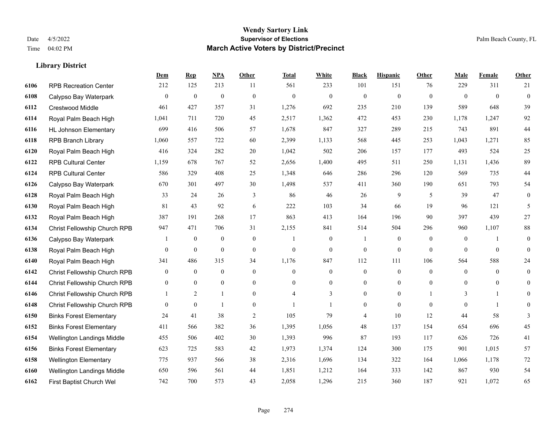|      |                                | Dem              | <b>Rep</b>       | NPA          | <b>Other</b>   | <b>Total</b>   | <b>White</b>     | <b>Black</b>     | <b>Hispanic</b>  | <b>Other</b> | <b>Male</b>    | <b>Female</b>  | <b>Other</b>     |
|------|--------------------------------|------------------|------------------|--------------|----------------|----------------|------------------|------------------|------------------|--------------|----------------|----------------|------------------|
| 6106 | <b>RPB Recreation Center</b>   | 212              | 125              | 213          | 11             | 561            | 233              | 101              | 151              | 76           | 229            | 311            | 21               |
| 6108 | Calypso Bay Waterpark          | $\overline{0}$   | $\mathbf{0}$     | $\mathbf{0}$ | $\mathbf{0}$   | $\theta$       | $\overline{0}$   | $\mathbf{0}$     | $\mathbf{0}$     | $\theta$     | $\theta$       | $\theta$       | $\mathbf{0}$     |
| 6112 | Crestwood Middle               | 461              | 427              | 357          | 31             | 1,276          | 692              | 235              | 210              | 139          | 589            | 648            | 39               |
| 6114 | Royal Palm Beach High          | 1,041            | 711              | 720          | 45             | 2,517          | 1,362            | 472              | 453              | 230          | 1,178          | 1,247          | 92               |
| 6116 | <b>HL Johnson Elementary</b>   | 699              | 416              | 506          | 57             | 1,678          | 847              | 327              | 289              | 215          | 743            | 891            | $44\,$           |
| 6118 | <b>RPB Branch Library</b>      | 1,060            | 557              | 722          | 60             | 2,399          | 1,133            | 568              | 445              | 253          | 1,043          | 1,271          | 85               |
| 6120 | Royal Palm Beach High          | 416              | 324              | 282          | 20             | 1,042          | 502              | 206              | 157              | 177          | 493            | 524            | 25               |
| 6122 | <b>RPB Cultural Center</b>     | 1,159            | 678              | 767          | 52             | 2,656          | 1,400            | 495              | 511              | 250          | 1,131          | 1,436          | 89               |
| 6124 | <b>RPB Cultural Center</b>     | 586              | 329              | 408          | 25             | 1,348          | 646              | 286              | 296              | 120          | 569            | 735            | $44\,$           |
| 6126 | Calypso Bay Waterpark          | 670              | 301              | 497          | 30             | 1,498          | 537              | 411              | 360              | 190          | 651            | 793            | 54               |
| 6128 | Royal Palm Beach High          | 33               | 24               | 26           | 3              | 86             | 46               | 26               | 9                | 5            | 39             | 47             | $\mathbf{0}$     |
| 6130 | Royal Palm Beach High          | 81               | 43               | 92           | 6              | 222            | 103              | 34               | 66               | 19           | 96             | 121            | 5                |
| 6132 | Royal Palm Beach High          | 387              | 191              | 268          | 17             | 863            | 413              | 164              | 196              | 90           | 397            | 439            | 27               |
| 6134 | Christ Fellowship Church RPB   | 947              | 471              | 706          | 31             | 2,155          | 841              | 514              | 504              | 296          | 960            | 1,107          | $88\,$           |
| 6136 | Calypso Bay Waterpark          |                  | $\boldsymbol{0}$ | $\mathbf{0}$ | $\overline{0}$ |                | $\boldsymbol{0}$ | 1                | $\mathbf{0}$     | $\theta$     | $\overline{0}$ |                | $\boldsymbol{0}$ |
| 6138 | Royal Palm Beach High          | $\mathbf{0}$     | $\mathbf{0}$     | $\mathbf{0}$ | $\overline{0}$ | $\mathbf{0}$   | $\overline{0}$   | $\boldsymbol{0}$ | $\mathbf{0}$     | $\theta$     | $\Omega$       | $\theta$       | $\mathbf{0}$     |
| 6140 | Royal Palm Beach High          | 341              | 486              | 315          | 34             | 1,176          | 847              | 112              | 111              | 106          | 564            | 588            | $24\,$           |
| 6142 | Christ Fellowship Church RPB   | $\overline{0}$   | $\overline{0}$   | $\mathbf{0}$ | $\overline{0}$ | $\theta$       | $\overline{0}$   | $\boldsymbol{0}$ | $\mathbf{0}$     | $\theta$     | $\mathbf{0}$   | $\theta$       | $\mathbf{0}$     |
| 6144 | Christ Fellowship Church RPB   | $\boldsymbol{0}$ | $\mathbf{0}$     | $\mathbf{0}$ | $\overline{0}$ | $\theta$       | $\overline{0}$   | $\mathbf{0}$     | $\mathbf{0}$     | $\theta$     | $\mathbf{0}$   | $\mathbf{0}$   | $\mathbf{0}$     |
| 6146 | Christ Fellowship Church RPB   | 1                | $\overline{2}$   | $\mathbf{1}$ | $\overline{0}$ | $\overline{4}$ | 3                | $\boldsymbol{0}$ | $\boldsymbol{0}$ |              | 3              | 1              | $\mathbf{0}$     |
| 6148 | Christ Fellowship Church RPB   | $\theta$         | $\mathbf{0}$     | $\mathbf{1}$ | $\Omega$       |                | $\mathbf{1}$     | $\boldsymbol{0}$ | $\mathbf{0}$     | $\theta$     | $\theta$       | $\overline{1}$ | $\theta$         |
| 6150 | <b>Binks Forest Elementary</b> | 24               | 41               | 38           | 2              | 105            | 79               | $\overline{4}$   | 10               | 12           | 44             | 58             | 3                |
| 6152 | <b>Binks Forest Elementary</b> | 411              | 566              | 382          | 36             | 1,395          | 1,056            | 48               | 137              | 154          | 654            | 696            | 45               |
| 6154 | Wellington Landings Middle     | 455              | 506              | 402          | 30             | 1,393          | 996              | 87               | 193              | 117          | 626            | 726            | 41               |
| 6156 | <b>Binks Forest Elementary</b> | 623              | 725              | 583          | 42             | 1,973          | 1,374            | 124              | 300              | 175          | 901            | 1.015          | 57               |
| 6158 | <b>Wellington Elementary</b>   | 775              | 937              | 566          | 38             | 2,316          | 1,696            | 134              | 322              | 164          | 1,066          | 1,178          | $72\,$           |
| 6160 | Wellington Landings Middle     | 650              | 596              | 561          | 44             | 1,851          | 1,212            | 164              | 333              | 142          | 867            | 930            | 54               |
| 6162 | First Baptist Church Wel       | 742              | 700              | 573          | 43             | 2,058          | 1,296            | 215              | 360              | 187          | 921            | 1,072          | 65               |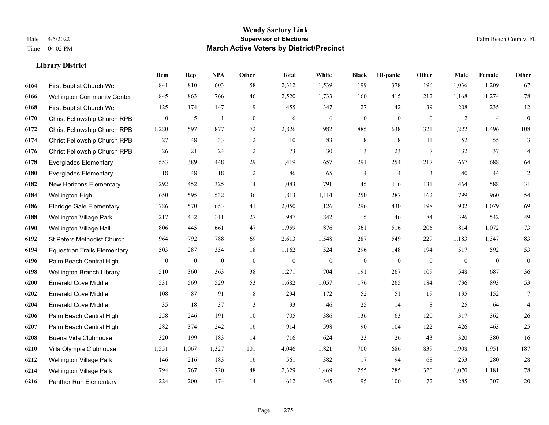|      |                                     | Dem              | <b>Rep</b>       | NPA              | <b>Other</b>   | <b>Total</b> | White            | <b>Black</b>     | <b>Hispanic</b> | Other           | <b>Male</b>    | <b>Female</b>  | <b>Other</b>     |
|------|-------------------------------------|------------------|------------------|------------------|----------------|--------------|------------------|------------------|-----------------|-----------------|----------------|----------------|------------------|
| 6164 | First Baptist Church Wel            | 841              | 810              | 603              | 58             | 2,312        | 1,539            | 199              | 378             | 196             | 1,036          | 1,209          | 67               |
| 6166 | <b>Wellington Community Center</b>  | 845              | 863              | 766              | 46             | 2,520        | 1,733            | 160              | 415             | 212             | 1,168          | 1,274          | $78\,$           |
| 6168 | First Baptist Church Wel            | 125              | 174              | 147              | 9              | 455          | 347              | 27               | 42              | 39              | 208            | 235            | $12\,$           |
| 6170 | Christ Fellowship Church RPB        | $\boldsymbol{0}$ | 5                | $\overline{1}$   | $\mathbf{0}$   | 6            | 6                | $\boldsymbol{0}$ | $\mathbf{0}$    | $\mathbf{0}$    | $\overline{c}$ | $\overline{4}$ | $\boldsymbol{0}$ |
| 6172 | <b>Christ Fellowship Church RPB</b> | 1,280            | 597              | 877              | 72             | 2,826        | 982              | 885              | 638             | 321             | 1,222          | 1,496          | 108              |
| 6174 | Christ Fellowship Church RPB        | 27               | 48               | 33               | $\overline{c}$ | 110          | 83               | $\,$ 8 $\,$      | $\,$ 8 $\,$     | 11              | 52             | 55             | 3                |
| 6176 | Christ Fellowship Church RPB        | 26               | 21               | 24               | $\overline{c}$ | 73           | 30               | 13               | 23              | $7\phantom{.0}$ | 32             | 37             | 4                |
| 6178 | <b>Everglades Elementary</b>        | 553              | 389              | 448              | 29             | 1,419        | 657              | 291              | 254             | 217             | 667            | 688            | 64               |
| 6180 | <b>Everglades Elementary</b>        | 18               | 48               | 18               | $\mathbf{2}$   | 86           | 65               | 4                | 14              | 3               | 40             | 44             | 2                |
| 6182 | New Horizons Elementary             | 292              | 452              | 325              | 14             | 1,083        | 791              | 45               | 116             | 131             | 464            | 588            | 31               |
| 6184 | Wellington High                     | 650              | 595              | 532              | 36             | 1,813        | 1,114            | 250              | 287             | 162             | 799            | 960            | 54               |
| 6186 | Elbridge Gale Elementary            | 786              | 570              | 653              | 41             | 2,050        | 1,126            | 296              | 430             | 198             | 902            | 1.079          | 69               |
| 6188 | Wellington Village Park             | 217              | 432              | 311              | 27             | 987          | 842              | 15               | 46              | 84              | 396            | 542            | 49               |
| 6190 | Wellington Village Hall             | 806              | 445              | 661              | 47             | 1,959        | 876              | 361              | 516             | 206             | 814            | 1,072          | 73               |
| 6192 | St Peters Methodist Church          | 964              | 792              | 788              | 69             | 2,613        | 1,548            | 287              | 549             | 229             | 1,183          | 1,347          | 83               |
| 6194 | <b>Equestrian Trails Elementary</b> | 503              | 287              | 354              | 18             | 1,162        | 524              | 296              | 148             | 194             | 517            | 592            | 53               |
| 6196 | Palm Beach Central High             | $\mathbf{0}$     | $\boldsymbol{0}$ | $\boldsymbol{0}$ | $\mathbf{0}$   | $\mathbf{0}$ | $\boldsymbol{0}$ | $\boldsymbol{0}$ | $\mathbf{0}$    | $\mathbf{0}$    | $\mathbf{0}$   | $\mathbf{0}$   | $\boldsymbol{0}$ |
| 6198 | <b>Wellington Branch Library</b>    | 510              | 360              | 363              | 38             | 1,271        | 704              | 191              | 267             | 109             | 548            | 687            | 36               |
| 6200 | <b>Emerald Cove Middle</b>          | 531              | 569              | 529              | 53             | 1,682        | 1,057            | 176              | 265             | 184             | 736            | 893            | 53               |
| 6202 | <b>Emerald Cove Middle</b>          | 108              | 87               | 91               | 8              | 294          | 172              | 52               | 51              | 19              | 135            | 152            | $\tau$           |
| 6204 | <b>Emerald Cove Middle</b>          | 35               | 18               | 37               | 3              | 93           | 46               | 25               | 14              | 8               | 25             | 64             | $\overline{4}$   |
| 6206 | Palm Beach Central High             | 258              | 246              | 191              | $10\,$         | 705          | 386              | 136              | 63              | 120             | 317            | 362            | $26\,$           |
| 6207 | Palm Beach Central High             | 282              | 374              | 242              | 16             | 914          | 598              | 90               | 104             | 122             | 426            | 463            | 25               |
| 6208 | Buena Vida Clubhouse                | 320              | 199              | 183              | 14             | 716          | 624              | 23               | 26              | 43              | 320            | 380            | 16               |
| 6210 | Villa Olympia Clubhouse             | 1,551            | 1,067            | 1,327            | 101            | 4,046        | 1,821            | 700              | 686             | 839             | 1,908          | 1.951          | 187              |
| 6212 | Wellington Village Park             | 146              | 216              | 183              | 16             | 561          | 382              | 17               | 94              | 68              | 253            | 280            | $28\,$           |
| 6214 | <b>Wellington Village Park</b>      | 794              | 767              | 720              | 48             | 2,329        | 1,469            | 255              | 285             | 320             | 1,070          | 1,181          | $78\,$           |
| 6216 | Panther Run Elementary              | 224              | 200              | 174              | 14             | 612          | 345              | 95               | 100             | 72              | 285            | 307            | 20               |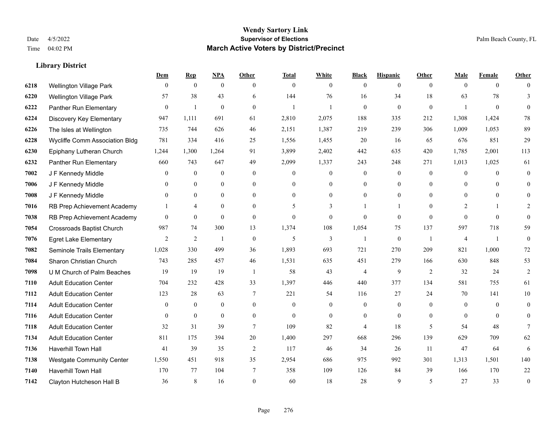|      |                                       | Dem            | <b>Rep</b>       | NPA              | <b>Other</b>   | <b>Total</b>             | <b>White</b>     | <b>Black</b>     | <b>Hispanic</b>  | <b>Other</b>   | <b>Male</b>    | <b>Female</b>  | <b>Other</b>    |
|------|---------------------------------------|----------------|------------------|------------------|----------------|--------------------------|------------------|------------------|------------------|----------------|----------------|----------------|-----------------|
| 6218 | Wellington Village Park               | $\mathbf{0}$   | $\mathbf{0}$     | $\boldsymbol{0}$ | $\theta$       | $\mathbf{0}$             | $\overline{0}$   | $\overline{0}$   | $\overline{0}$   | $\theta$       | $\theta$       | $\overline{0}$ | $\Omega$        |
| 6220 | <b>Wellington Village Park</b>        | 57             | 38               | 43               | 6              | 144                      | 76               | 16               | 34               | 18             | 63             | 78             | $\overline{3}$  |
| 6222 | Panther Run Elementary                | $\Omega$       | $\mathbf{1}$     | $\theta$         | $\Omega$       | $\mathbf{1}$             | $\mathbf{1}$     | $\Omega$         | $\overline{0}$   | $\theta$       | $\mathbf{1}$   | $\theta$       | $\Omega$        |
| 6224 | Discovery Key Elementary              | 947            | 1,111            | 691              | 61             | 2,810                    | 2,075            | 188              | 335              | 212            | 1,308          | 1,424          | $78\,$          |
| 6226 | The Isles at Wellington               | 735            | 744              | 626              | 46             | 2,151                    | 1,387            | 219              | 239              | 306            | 1,009          | 1,053          | 89              |
| 6228 | <b>Wycliffe Comm Association Bldg</b> | 781            | 334              | 416              | 25             | 1,556                    | 1,455            | 20               | 16               | 65             | 676            | 851            | 29              |
| 6230 | Epiphany Lutheran Church              | 1,244          | 1,300            | 1,264            | 91             | 3,899                    | 2,402            | 442              | 635              | 420            | 1,785          | 2,001          | 113             |
| 6232 | Panther Run Elementary                | 660            | 743              | 647              | 49             | 2,099                    | 1,337            | 243              | 248              | 271            | 1,013          | 1,025          | 61              |
| 7002 | J F Kennedy Middle                    | $\overline{0}$ | $\boldsymbol{0}$ | $\boldsymbol{0}$ | $\mathbf{0}$   | $\overline{0}$           | $\overline{0}$   | $\boldsymbol{0}$ | $\boldsymbol{0}$ | $\mathbf{0}$   | $\overline{0}$ | $\theta$       | $\overline{0}$  |
| 7006 | J F Kennedy Middle                    | $\overline{0}$ | $\mathbf{0}$     | $\mathbf{0}$     | $\mathbf{0}$   | $\Omega$                 | $\boldsymbol{0}$ | $\overline{0}$   | $\overline{0}$   | $\theta$       | $\overline{0}$ | $\theta$       | $\overline{0}$  |
| 7008 | J F Kennedy Middle                    | $\theta$       | $\theta$         | $\theta$         | $\theta$       | $\theta$                 | $\Omega$         | $\Omega$         | $\Omega$         | $\Omega$       | $\theta$       | $\Omega$       | $\Omega$        |
| 7016 | RB Prep Achievement Academy           |                | $\overline{4}$   | $\mathbf{0}$     | $\mathbf{0}$   | $\overline{\phantom{0}}$ | 3                |                  | 1                | $\theta$       | $\overline{2}$ | $\mathbf{1}$   | 2               |
| 7038 | RB Prep Achievement Academy           | $\overline{0}$ | $\mathbf{0}$     | $\mathbf{0}$     | $\theta$       | $\mathbf{0}$             | $\mathbf{0}$     | $\Omega$         | $\overline{0}$   | $\theta$       | $\theta$       | $\theta$       | $\overline{0}$  |
| 7054 | <b>Crossroads Baptist Church</b>      | 987            | 74               | 300              | 13             | 1,374                    | 108              | 1,054            | 75               | 137            | 597            | 718            | 59              |
| 7076 | <b>Egret Lake Elementary</b>          | $\overline{2}$ | $\overline{2}$   | $\mathbf{1}$     | $\theta$       | 5                        | $\overline{3}$   | $\mathbf{1}$     | $\overline{0}$   | $\overline{1}$ | $\overline{4}$ | $\overline{1}$ | $\mathbf{0}$    |
| 7082 | Seminole Trails Elementary            | 1,028          | 330              | 499              | 36             | 1,893                    | 693              | 721              | 270              | 209            | 821            | 1,000          | $72\,$          |
| 7084 | Sharon Christian Church               | 743            | 285              | 457              | 46             | 1,531                    | 635              | 451              | 279              | 166            | 630            | 848            | 53              |
| 7098 | U M Church of Palm Beaches            | 19             | 19               | 19               | $\overline{1}$ | 58                       | 43               | 4                | 9                | 2              | 32             | 24             | $\overline{2}$  |
| 7110 | <b>Adult Education Center</b>         | 704            | 232              | 428              | 33             | 1,397                    | 446              | 440              | 377              | 134            | 581            | 755            | 61              |
| 7112 | <b>Adult Education Center</b>         | 123            | 28               | 63               | 7              | 221                      | 54               | 116              | 27               | 24             | 70             | 141            | $10\,$          |
| 7114 | <b>Adult Education Center</b>         | $\overline{0}$ | $\mathbf{0}$     | $\mathbf{0}$     | $\theta$       | $\theta$                 | $\overline{0}$   | $\mathbf{0}$     | $\overline{0}$   | $\theta$       | $\theta$       | $\theta$       | $\overline{0}$  |
| 7116 | <b>Adult Education Center</b>         | $\mathbf{0}$   | $\mathbf{0}$     | $\mathbf{0}$     | $\mathbf{0}$   | $\theta$                 | $\overline{0}$   | $\overline{0}$   | $\overline{0}$   | $\theta$       | $\theta$       | $\theta$       | $\Omega$        |
| 7118 | <b>Adult Education Center</b>         | 32             | 31               | 39               | $\tau$         | 109                      | 82               | 4                | 18               | 5              | 54             | 48             | $7\phantom{.0}$ |
| 7134 | <b>Adult Education Center</b>         | 811            | 175              | 394              | 20             | 1,400                    | 297              | 668              | 296              | 139            | 629            | 709            | 62              |
| 7136 | Haverhill Town Hall                   | 41             | 39               | 35               | 2              | 117                      | 46               | 34               | 26               | 11             | 47             | 64             | 6               |
| 7138 | <b>Westgate Community Center</b>      | 1,550          | 451              | 918              | 35             | 2,954                    | 686              | 975              | 992              | 301            | 1,313          | 1,501          | 140             |
| 7140 | <b>Haverhill Town Hall</b>            | 170            | 77               | 104              | 7              | 358                      | 109              | 126              | 84               | 39             | 166            | 170            | $22\,$          |
| 7142 | Clayton Hutcheson Hall B              | 36             | 8                | 16               | $\Omega$       | 60                       | 18               | 28               | 9                | 5              | 27             | 33             | $\mathbf{0}$    |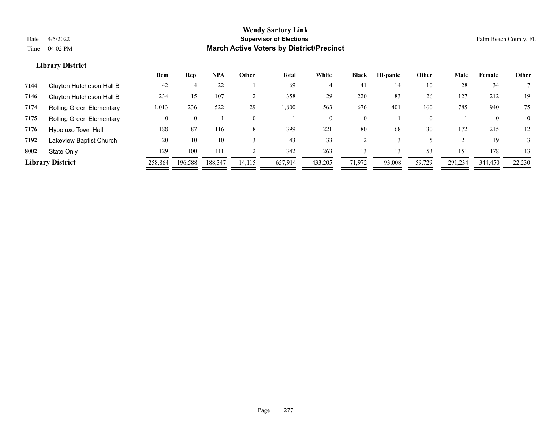|      |                                 | <u>Dem</u> | <b>Rep</b> | NPA     | Other    | <b>Total</b> | White    | <b>Black</b> | <b>Hispanic</b> | Other    | <u>Male</u> | Female       | <b>Other</b> |
|------|---------------------------------|------------|------------|---------|----------|--------------|----------|--------------|-----------------|----------|-------------|--------------|--------------|
| 7144 | Clayton Hutcheson Hall B        | 42         |            | 22      |          | 69           |          | 41           | 14              | 10       | 28          | 34           |              |
| 7146 | Clayton Hutcheson Hall B        | 234        | 15         | 107     |          | 358          | 29       | 220          | 83              | 26       | 127         | 212          | 19           |
| 7174 | <b>Rolling Green Elementary</b> | 1,013      | 236        | 522     | 29       | .800         | 563      | 676          | 401             | 160      | 785         | 940          | 75           |
| 7175 | <b>Rolling Green Elementary</b> | 0          |            |         | $\Omega$ |              | $\theta$ | $\mathbf{0}$ |                 | $\Omega$ |             | $\mathbf{0}$ | $\Omega$     |
| 7176 | Hypoluxo Town Hall              | 188        | 87         | 116     | 8        | 399          | 221      | 80           | 68              | 30       | 172         | 215          | 12           |
| 7192 | Lakeview Baptist Church         | 20         | 10         | 10      |          | 43           | 33       |              |                 |          | 21          | 19           |              |
| 8002 | State Only                      | 129        | 100        | 111     |          | 342          | 263      | 13           | 12              | 53       | 151         | 178          | 13           |
|      | <b>Library District</b>         | 258,864    | 196,588    | 188,347 | 14,115   | 657,914      | 433,205  | 71,972       | 93,008          | 59,729   | 291,234     | 344,450      | 22,230       |
|      |                                 |            |            |         |          |              |          |              |                 |          |             |              |              |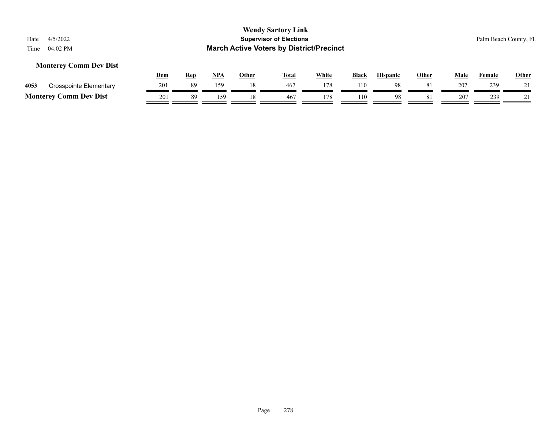#### **Monterey Comm Dev Dist**

|      |                               | Dem | Rep | NPA | Other | <b>Total</b> | White | <b>Black</b> | <b>Hispanic</b> | Other | Male | Female | <b>Other</b> |
|------|-------------------------------|-----|-----|-----|-------|--------------|-------|--------------|-----------------|-------|------|--------|--------------|
| 4053 | Crosspointe Elementary        | 201 | 89  | 159 | l8    | 467          |       | 110          | 98              |       | 207  | 239    |              |
|      | <b>Monterey Comm Dev Dist</b> | 201 | 89  | 159 |       | 467          |       | 110          | 98              |       | 207  | 239    |              |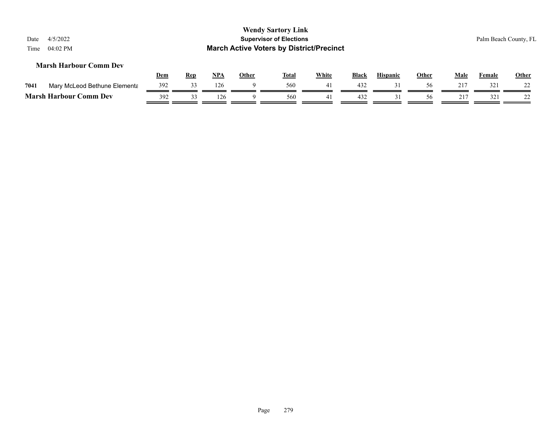| Date<br>Time | 4/5/2022<br>04:02 PM          |     |            |            |              | <b>Wendy Sartory Link</b><br><b>Supervisor of Elections</b><br><b>March Active Voters by District/Precinct</b> |              |              |                 |              |      |        | Palm Beach County, FL |
|--------------|-------------------------------|-----|------------|------------|--------------|----------------------------------------------------------------------------------------------------------------|--------------|--------------|-----------------|--------------|------|--------|-----------------------|
|              | <b>Marsh Harbour Comm Dev</b> | Dem | <b>Rep</b> | <u>NPA</u> | <b>Other</b> | <b>Total</b>                                                                                                   | <b>White</b> | <b>Black</b> | <b>Hispanic</b> | <b>Other</b> | Male | Female | <b>Other</b>          |
| 7041         | Mary McLeod Bethune Elementa  | 392 | 33         | 126        | 9            | 560                                                                                                            | 41           | 432          | 31              | 56           | 217  | 321    |                       |
|              | <b>Marsh Harbour Comm Dev</b> | 392 | 33         | 126        | Q            | 560                                                                                                            | 41           | 432          | 31              | 56           | 217  | 321    | າາ                    |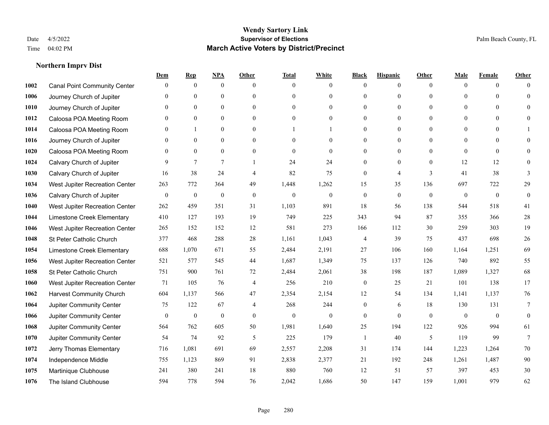|      |                                     | Dem          | <b>Rep</b>       | NPA              | <b>Other</b>   | <b>Total</b>     | <b>White</b>     | <b>Black</b>     | <b>Hispanic</b>  | <b>Other</b> | <b>Male</b>    | <b>Female</b>  | Other           |
|------|-------------------------------------|--------------|------------------|------------------|----------------|------------------|------------------|------------------|------------------|--------------|----------------|----------------|-----------------|
| 1002 | <b>Canal Point Community Center</b> | $\mathbf{0}$ | $\mathbf{0}$     | $\boldsymbol{0}$ | $\Omega$       | $\Omega$         | $\overline{0}$   | $\mathbf{0}$     | $\boldsymbol{0}$ | $\theta$     | $\theta$       | $\overline{0}$ | $\Omega$        |
| 1006 | Journey Church of Jupiter           | $\theta$     | $\theta$         | $\mathbf{0}$     | $\theta$       | $\Omega$         | $\overline{0}$   | $\theta$         | $\mathbf{0}$     | $\Omega$     | $\theta$       | $\theta$       | $\theta$        |
| 1010 | Journey Church of Jupiter           | 0            | $\theta$         | $\theta$         | $\Omega$       | $\Omega$         | $\Omega$         | $\Omega$         | $\theta$         | $\Omega$     | $\Omega$       | $\Omega$       | $\Omega$        |
| 1012 | Caloosa POA Meeting Room            | 0            | $\mathbf{0}$     | $\mathbf{0}$     | $\overline{0}$ | $\theta$         | $\overline{0}$   | $\overline{0}$   | $\mathbf{0}$     | $\theta$     | $\mathbf{0}$   | $\mathbf{0}$   | $\Omega$        |
| 1014 | Caloosa POA Meeting Room            | 0            |                  | $\mathbf{0}$     | $\theta$       |                  |                  | $\overline{0}$   | $\mathbf{0}$     | $\theta$     | $\theta$       | $\Omega$       |                 |
| 1016 | Journey Church of Jupiter           | 0            | $\mathbf{0}$     | $\mathbf{0}$     | $\theta$       | $\Omega$         | $\mathbf{0}$     | $\overline{0}$   | $\mathbf{0}$     | $\Omega$     | $\theta$       | $\theta$       | $\Omega$        |
| 1020 | Caloosa POA Meeting Room            | $\theta$     | $\mathbf{0}$     | $\mathbf{0}$     | $\overline{0}$ | $\theta$         | $\mathbf{0}$     | $\boldsymbol{0}$ | $\boldsymbol{0}$ | $\mathbf{0}$ | $\theta$       | $\mathbf{0}$   | $\mathbf{0}$    |
| 1024 | Calvary Church of Jupiter           | 9            | 7                | $\overline{7}$   |                | 24               | 24               | $\overline{0}$   | $\mathbf{0}$     | $\theta$     | 12             | 12             | $\Omega$        |
| 1030 | Calvary Church of Jupiter           | 16           | 38               | 24               | $\overline{4}$ | 82               | 75               | $\overline{0}$   | $\overline{4}$   | 3            | 41             | 38             | 3               |
| 1034 | West Jupiter Recreation Center      | 263          | 772              | 364              | 49             | 1,448            | 1,262            | 15               | 35               | 136          | 697            | 722            | 29              |
| 1036 | Calvary Church of Jupiter           | $\mathbf{0}$ | $\boldsymbol{0}$ | $\boldsymbol{0}$ | $\overline{0}$ | $\theta$         | $\boldsymbol{0}$ | $\boldsymbol{0}$ | $\mathbf{0}$     | $\theta$     | $\overline{0}$ | $\overline{0}$ | $\mathbf{0}$    |
| 1040 | West Jupiter Recreation Center      | 262          | 459              | 351              | 31             | 1,103            | 891              | 18               | 56               | 138          | 544            | 518            | 41              |
| 1044 | Limestone Creek Elementary          | 410          | 127              | 193              | 19             | 749              | 225              | 343              | 94               | 87           | 355            | 366            | 28              |
| 1046 | West Jupiter Recreation Center      | 265          | 152              | 152              | 12             | 581              | 273              | 166              | 112              | 30           | 259            | 303            | 19              |
| 1048 | St Peter Catholic Church            | 377          | 468              | 288              | 28             | 1,161            | 1,043            | 4                | 39               | 75           | 437            | 698            | 26              |
| 1054 | Limestone Creek Elementary          | 688          | 1,070            | 671              | 55             | 2,484            | 2,191            | 27               | 106              | 160          | 1,164          | 1,251          | 69              |
| 1056 | West Jupiter Recreation Center      | 521          | 577              | 545              | 44             | 1,687            | 1,349            | 75               | 137              | 126          | 740            | 892            | 55              |
| 1058 | St Peter Catholic Church            | 751          | 900              | 761              | 72             | 2,484            | 2,061            | 38               | 198              | 187          | 1,089          | 1,327          | 68              |
| 1060 | West Jupiter Recreation Center      | 71           | 105              | 76               | $\overline{4}$ | 256              | 210              | $\boldsymbol{0}$ | 25               | 21           | 101            | 138            | 17              |
| 1062 | <b>Harvest Community Church</b>     | 604          | 1,137            | 566              | 47             | 2,354            | 2,154            | 12               | 54               | 134          | 1,141          | 1,137          | 76              |
| 1064 | Jupiter Community Center            | 75           | 122              | 67               | $\overline{4}$ | 268              | 244              | $\overline{0}$   | 6                | 18           | 130            | 131            | $7\phantom{.0}$ |
| 1066 | Jupiter Community Center            | $\mathbf{0}$ | $\boldsymbol{0}$ | $\boldsymbol{0}$ | $\mathbf{0}$   | $\boldsymbol{0}$ | $\boldsymbol{0}$ | $\boldsymbol{0}$ | $\mathbf{0}$     | $\mathbf{0}$ | $\mathbf{0}$   | $\mathbf{0}$   | $\mathbf{0}$    |
| 1068 | Jupiter Community Center            | 564          | 762              | 605              | 50             | 1,981            | 1,640            | 25               | 194              | 122          | 926            | 994            | 61              |
| 1070 | Jupiter Community Center            | 54           | 74               | 92               | 5              | 225              | 179              | 1                | 40               | 5            | 119            | 99             | $7\phantom{.0}$ |
| 1072 | Jerry Thomas Elementary             | 716          | 1,081            | 691              | 69             | 2,557            | 2,208            | 31               | 174              | 144          | 1,223          | 1,264          | 70              |
| 1074 | Independence Middle                 | 755          | 1,123            | 869              | 91             | 2,838            | 2,377            | 21               | 192              | 248          | 1,261          | 1,487          | 90              |
| 1075 | Martinique Clubhouse                | 241          | 380              | 241              | 18             | 880              | 760              | 12               | 51               | 57           | 397            | 453            | 30              |
| 1076 | The Island Clubhouse                | 594          | 778              | 594              | 76             | 2,042            | 1,686            | 50               | 147              | 159          | 1,001          | 979            | 62              |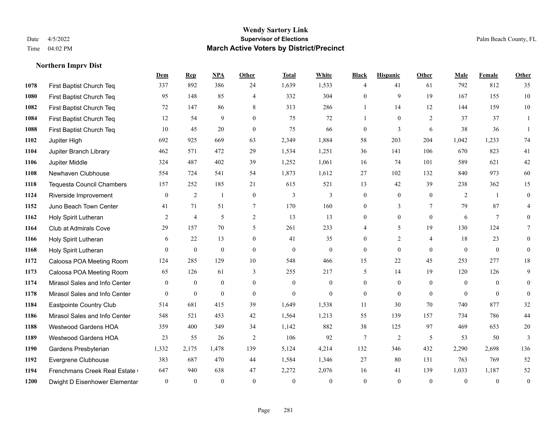**Northern Imprv Dist**

#### **Wendy Sartory Link** Date 4/5/2022 **Supervisor of Elections** Palm Beach County, FL Time 04:02 PM **March Active Voters by District/Precinct**

# **Dem Rep NPA Other Total White Black Hispanic Other Male Female Other** First Baptist Church Teq 337 892 386 24 1,639 1,533 4 41 61 792 812 35 First Baptist Church Teq 95 148 85 4 332 304 0 9 19 167 155 10 First Baptist Church Teq 72 147 86 8 313 286 1 14 12 144 159 10 First Baptist Church Teq **12** 54 9 0 75 72 1 0 2 37 37 1 First Baptist Church Teq 10 45 20 0 75 66 0 3 6 38 36 1 Jupiter High 692 925 669 63 2,349 1,884 58 203 204 1,042 1,233 74 Jupiter Branch Library 462 571 472 29 1,534 1,251 36 141 106 670 823 41 Jupiter Middle 324 487 402 39 1,252 1,061 16 74 101 589 621 42 Newhaven Clubhouse 554 724 541 54 1,873 1,612 27 102 132 840 973 60 Tequesta Council Chambers 157 252 185 21 615 521 13 42 39 238 362 15 Riverside Improvement 0 0 2 1 0 3 3 0 0 0 2 1 0 **1152 Juno Beach Town Center 41** 71 51 7 170 160 0 3 7 79 87 4 Holy Spirit Lutheran **2** 4 5 2 13 13 0 0 0 6 7 0 Club at Admirals Cove 29 157 70 5 261 233 4 5 19 130 124 7 1166 Holy Spirit Lutheran 6 22 13 0 41 35 0 2 4 18 23 0 Holy Spirit Lutheran 0 0 0 0 0 0 0 0 0 0 0 0 Caloosa POA Meeting Room 124 285 129 10 548 466 15 22 45 253 277 18 Caloosa POA Meeting Room 65 126 61 3 255 217 5 14 19 120 126 9 Mirasol Sales and Info Center 0 0 0 0 0 0 0 0 0 0 0 0 Mirasol Sales and Info Center 0 0 0 0 0 0 0 0 0 0 0 0 Eastpointe Country Club 514 681 415 39 1,649 1,538 11 30 70 740 877 32 Mirasol Sales and Info Center 548 521 453 42 1,564 1,213 55 139 157 734 786 44 Westwood Gardens HOA 359 400 349 34 1,142 882 38 125 97 469 653 20 Westwood Gardens HOA 23 55 26 2 106 92 7 2 5 53 50 3 Gardens Presbyterian 1,332 2,175 1,478 139 5,124 4,214 132 346 432 2,290 2,698 136 Evergrene Clubhouse 383 687 470 44 1,584 1,346 27 80 131 763 769 52 Frenchmans Creek Real Estate 647 940 638 47 2,272 2,076 16 41 139 1,033 1,187 52 Dwight D Eisenhower Elementary 0 0 0 0 0 0 0 0 0 0 0 0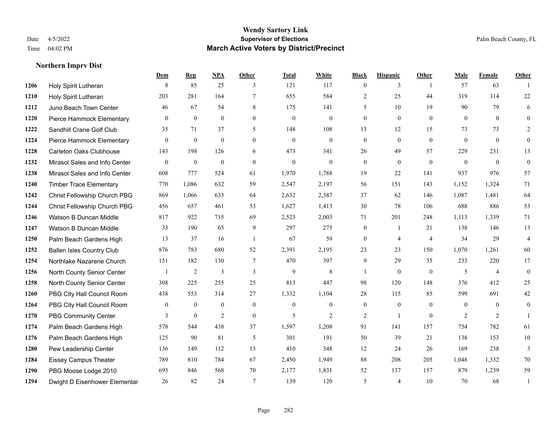**Northern Imprv Dist**

#### **Wendy Sartory Link** Date 4/5/2022 **Supervisor of Elections** Palm Beach County, FL Time 04:02 PM **March Active Voters by District/Precinct**

# **Dem Rep NPA Other Total White Black Hispanic Other Male Female Other** Holy Spirit Lutheran 8 85 25 3 121 117 0 3 1 57 63 1 Holy Spirit Lutheran 203 281 164 7 655 584 2 25 44 319 314 22 Juno Beach Town Center 46 67 54 8 175 141 5 10 19 90 79 6 Pierce Hammock Elementary 0 0 0 0 0 0 0 0 0 0 0 0 Sandhill Crane Golf Club 35 71 37 5 148 108 13 12 15 73 73 2 Pierce Hammock Elementary 0 0 0 0 0 0 0 0 0 0 0 0 Carleton Oaks Clubhouse 143 198 126 6 473 341 26 49 57 229 231 13 Mirasol Sales and Info Center 0 0 0 0 0 0 0 0 0 0 0 0 Mirasol Sales and Info Center 608 777 524 61 1,970 1,788 19 22 141 937 976 57 Timber Trace Elementary 770 1,086 632 59 2,547 2,197 56 151 143 1,152 1,324 71 Christ Fellowship Church PBG 869 1,066 633 64 2,632 2,387 37 62 146 1,087 1,481 64 Christ Fellowship Church PBG 456 657 461 53 1,627 1,413 30 78 106 688 886 53 Watson B Duncan Middle 817 922 715 69 2,523 2,003 71 201 248 1,113 1,339 71 Watson B Duncan Middle 33 190 65 9 297 275 0 1 21 138 146 13 Palm Beach Gardens High 13 37 16 1 67 59 0 4 4 34 29 4 Ballen Isles Country Club 876 783 680 52 2,391 2,195 23 23 150 1,070 1,261 60 Northlake Nazarene Church 151 182 130 7 470 397 9 29 35 233 220 17 North County Senior Center 1 2 3 3 3 9 8 1 0 0 5 4 0 North County Senior Center 308 225 255 25 813 447 98 120 148 376 412 25 PBG City Hall Council Room 438 553 314 27 1,332 1,104 28 115 85 599 691 42 PBG City Hall Council Room 0 0 0 0 0 0 0 0 0 0 0 0 PBG Community Center **3** 0 2 0 5 2 2 1 0 2 2 1 Palm Beach Gardens High 578 544 438 37 1,597 1,208 91 141 157 754 782 61 Palm Beach Gardens High 125 90 81 5 301 191 50 39 21 138 153 10 Pew Leadership Center 136 149 112 13 410 348 12 24 26 169 238 3 Eissey Campus Theater 789 810 784 67 2,450 1,949 88 208 205 1,048 1,332 70 PBG Moose Lodge 2010 693 846 568 70 2,177 1,831 52 137 157 879 1,239 59 Dwight D Eisenhower Elementar 26 82 24 7 139 120 5 4 10 70 68 1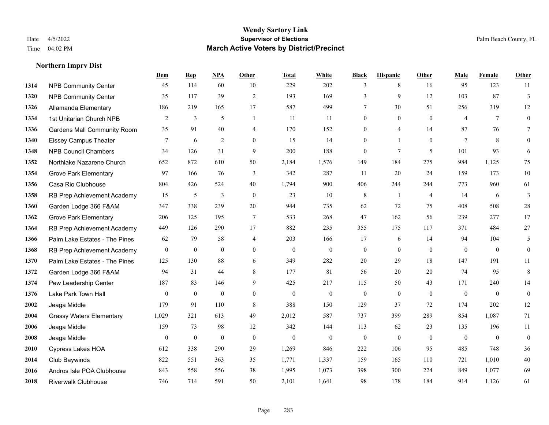|      |                                    | Dem            | <b>Rep</b>     | NPA              | <b>Other</b>     | <b>Total</b> | <b>White</b>     | <b>Black</b>     | <b>Hispanic</b> | <b>Other</b>   | <b>Male</b>    | Female         | <b>Other</b>     |
|------|------------------------------------|----------------|----------------|------------------|------------------|--------------|------------------|------------------|-----------------|----------------|----------------|----------------|------------------|
| 1314 | <b>NPB Community Center</b>        | 45             | 114            | 60               | 10               | 229          | 202              | 3                | 8               | 16             | 95             | 123            | 11               |
| 1320 | <b>NPB Community Center</b>        | 35             | 117            | 39               | $\overline{2}$   | 193          | 169              | 3                | 9               | 12             | 103            | 87             | 3                |
| 1326 | Allamanda Elementary               | 186            | 219            | 165              | 17               | 587          | 499              | $\tau$           | 30              | 51             | 256            | 319            | 12               |
| 1334 | 1st Unitarian Church NPB           | $\overline{2}$ | $\mathfrak{Z}$ | 5                | $\overline{1}$   | 11           | 11               | $\boldsymbol{0}$ | $\mathbf{0}$    | $\theta$       | $\overline{4}$ | $\tau$         | $\mathbf{0}$     |
| 1336 | <b>Gardens Mall Community Room</b> | 35             | 91             | 40               | $\overline{4}$   | 170          | 152              | $\mathbf{0}$     | 4               | 14             | 87             | 76             | 7                |
| 1340 | <b>Eissey Campus Theater</b>       | 7              | 6              | $\overline{2}$   | $\overline{0}$   | 15           | 14               | $\boldsymbol{0}$ | $\mathbf{1}$    | $\mathbf{0}$   | 7              | 8              | $\mathbf{0}$     |
| 1348 | <b>NPB Council Chambers</b>        | 34             | 126            | 31               | 9                | 200          | 188              | $\boldsymbol{0}$ | $7\phantom{.0}$ | 5              | 101            | 93             | 6                |
| 1352 | Northlake Nazarene Church          | 652            | 872            | 610              | 50               | 2,184        | 1,576            | 149              | 184             | 275            | 984            | 1,125          | 75               |
| 1354 | <b>Grove Park Elementary</b>       | 97             | 166            | 76               | 3                | 342          | 287              | 11               | 20              | 24             | 159            | 173            | $10\,$           |
| 1356 | Casa Rio Clubhouse                 | 804            | 426            | 524              | 40               | 1,794        | 900              | 406              | 244             | 244            | 773            | 960            | 61               |
| 1358 | RB Prep Achievement Academy        | 15             | 5              | $\overline{3}$   | $\theta$         | 23           | 10               | 8                | $\mathbf{1}$    | $\overline{4}$ | 14             | 6              | 3                |
| 1360 | Garden Lodge 366 F&AM              | 347            | 338            | 239              | 20               | 944          | 735              | 62               | 72              | 75             | 408            | 508            | $28\,$           |
| 1362 | <b>Grove Park Elementary</b>       | 206            | 125            | 195              | $\tau$           | 533          | 268              | 47               | 162             | 56             | 239            | 277            | 17               |
| 1364 | RB Prep Achievement Academy        | 449            | 126            | 290              | 17               | 882          | 235              | 355              | 175             | 117            | 371            | 484            | $27\,$           |
| 1366 | Palm Lake Estates - The Pines      | 62             | 79             | 58               | $\overline{4}$   | 203          | 166              | 17               | 6               | 14             | 94             | 104            | 5                |
| 1368 | RB Prep Achievement Academy        | $\mathbf{0}$   | $\bf{0}$       | $\overline{0}$   | $\overline{0}$   | $\mathbf{0}$ | $\overline{0}$   | $\boldsymbol{0}$ | $\mathbf{0}$    | $\mathbf{0}$   | $\mathbf{0}$   | $\mathbf{0}$   | $\boldsymbol{0}$ |
| 1370 | Palm Lake Estates - The Pines      | 125            | 130            | 88               | 6                | 349          | 282              | 20               | 29              | 18             | 147            | 191            | 11               |
| 1372 | Garden Lodge 366 F&AM              | 94             | 31             | 44               | 8                | 177          | 81               | 56               | 20              | 20             | 74             | 95             | $\,8\,$          |
| 1374 | Pew Leadership Center              | 187            | 83             | 146              | 9                | 425          | 217              | 115              | 50              | 43             | 171            | 240            | 14               |
| 1376 | Lake Park Town Hall                | $\mathbf{0}$   | $\bf{0}$       | $\theta$         | $\overline{0}$   | $\mathbf{0}$ | $\boldsymbol{0}$ | $\boldsymbol{0}$ | $\mathbf{0}$    | $\overline{0}$ | $\mathbf{0}$   | $\overline{0}$ | $\boldsymbol{0}$ |
| 2002 | Jeaga Middle                       | 179            | 91             | 110              | 8                | 388          | 150              | 129              | 37              | 72             | 174            | 202            | 12               |
| 2004 | <b>Grassy Waters Elementary</b>    | 1,029          | 321            | 613              | 49               | 2,012        | 587              | 737              | 399             | 289            | 854            | 1,087          | 71               |
| 2006 | Jeaga Middle                       | 159            | 73             | 98               | 12               | 342          | 144              | 113              | 62              | 23             | 135            | 196            | 11               |
| 2008 | Jeaga Middle                       | $\mathbf{0}$   | $\bf{0}$       | $\boldsymbol{0}$ | $\boldsymbol{0}$ | $\mathbf{0}$ | $\boldsymbol{0}$ | $\boldsymbol{0}$ | $\mathbf{0}$    | $\mathbf{0}$   | $\mathbf{0}$   | $\mathbf{0}$   | $\boldsymbol{0}$ |
| 2010 | Cypress Lakes HOA                  | 612            | 338            | 290              | 29               | 1,269        | 846              | 222              | 106             | 95             | 485            | 748            | 36               |
| 2014 | Club Baywinds                      | 822            | 551            | 363              | 35               | 1,771        | 1,337            | 159              | 165             | 110            | 721            | 1,010          | $40\,$           |
| 2016 | Andros Isle POA Clubhouse          | 843            | 558            | 556              | 38               | 1,995        | 1,073            | 398              | 300             | 224            | 849            | 1,077          | 69               |
| 2018 | <b>Riverwalk Clubhouse</b>         | 746            | 714            | 591              | 50               | 2,101        | 1,641            | 98               | 178             | 184            | 914            | 1,126          | 61               |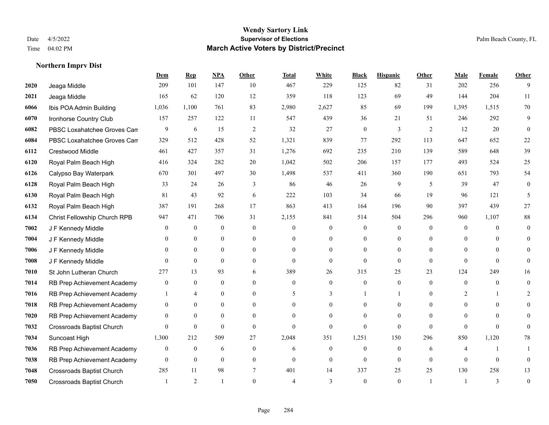|      |                                  | Dem              | <b>Rep</b>       | NPA              | <b>Other</b>     | <b>Total</b>   | <b>White</b>     | <b>Black</b>     | <b>Hispanic</b>  | Other        | <b>Male</b>      | <b>Female</b> | <b>Other</b>   |
|------|----------------------------------|------------------|------------------|------------------|------------------|----------------|------------------|------------------|------------------|--------------|------------------|---------------|----------------|
| 2020 | Jeaga Middle                     | 209              | 101              | 147              | 10               | 467            | 229              | 125              | 82               | 31           | 202              | 256           | 9              |
| 2021 | Jeaga Middle                     | 165              | 62               | 120              | 12               | 359            | 118              | 123              | 69               | 49           | 144              | 204           | 11             |
| 6066 | Ibis POA Admin Building          | 1,036            | 1,100            | 761              | 83               | 2,980          | 2,627            | 85               | 69               | 199          | 1,395            | 1,515         | 70             |
| 6070 | Ironhorse Country Club           | 157              | 257              | 122              | 11               | 547            | 439              | 36               | 21               | 51           | 246              | 292           | 9              |
| 6082 | PBSC Loxahatchee Groves Can      | 9                | 6                | 15               | 2                | 32             | 27               | $\overline{0}$   | 3                | 2            | 12               | 20            | $\mathbf{0}$   |
| 6084 | PBSC Loxahatchee Groves Can      | 329              | 512              | 428              | 52               | 1,321          | 839              | 77               | 292              | 113          | 647              | 652           | 22             |
| 6112 | Crestwood Middle                 | 461              | 427              | 357              | 31               | 1,276          | 692              | 235              | 210              | 139          | 589              | 648           | 39             |
| 6120 | Royal Palm Beach High            | 416              | 324              | 282              | 20               | 1,042          | 502              | 206              | 157              | 177          | 493              | 524           | 25             |
| 6126 | Calypso Bay Waterpark            | 670              | 301              | 497              | 30               | 1,498          | 537              | 411              | 360              | 190          | 651              | 793           | 54             |
| 6128 | Royal Palm Beach High            | 33               | 24               | 26               | 3                | 86             | 46               | 26               | 9                | 5            | 39               | 47            | 0              |
| 6130 | Royal Palm Beach High            | 81               | 43               | 92               | 6                | 222            | 103              | 34               | 66               | 19           | 96               | 121           | 5              |
| 6132 | Royal Palm Beach High            | 387              | 191              | 268              | 17               | 863            | 413              | 164              | 196              | 90           | 397              | 439           | 27             |
| 6134 | Christ Fellowship Church RPB     | 947              | 471              | 706              | 31               | 2,155          | 841              | 514              | 504              | 296          | 960              | 1,107         | $88\,$         |
| 7002 | J F Kennedy Middle               | $\boldsymbol{0}$ | $\boldsymbol{0}$ | $\boldsymbol{0}$ | $\boldsymbol{0}$ | $\overline{0}$ | $\boldsymbol{0}$ | $\boldsymbol{0}$ | $\overline{0}$   | $\mathbf{0}$ | $\boldsymbol{0}$ | $\mathbf{0}$  | $\mathbf{0}$   |
| 7004 | J F Kennedy Middle               | $\theta$         | $\overline{0}$   | $\mathbf{0}$     | $\Omega$         | $\Omega$       | $\overline{0}$   | $\theta$         | $\overline{0}$   | $\Omega$     | $\theta$         | $\Omega$      | 0              |
| 7006 | J F Kennedy Middle               | $\theta$         | $\overline{0}$   | $\mathbf{0}$     | $\theta$         | $\theta$       | $\overline{0}$   | $\theta$         | $\overline{0}$   | $\Omega$     | $\theta$         | $\Omega$      |                |
| 7008 | J F Kennedy Middle               | $\theta$         | $\overline{0}$   | $\mathbf{0}$     | $\overline{0}$   | $\mathbf{0}$   | $\overline{0}$   | $\mathbf{0}$     | $\overline{0}$   | $\theta$     | $\theta$         | $\theta$      | $\theta$       |
| 7010 | St John Lutheran Church          | 277              | 13               | 93               | 6                | 389            | 26               | 315              | 25               | 23           | 124              | 249           | 16             |
| 7014 | RB Prep Achievement Academy      | $\boldsymbol{0}$ | $\boldsymbol{0}$ | $\boldsymbol{0}$ | $\overline{0}$   | $\theta$       | $\boldsymbol{0}$ | $\overline{0}$   | $\boldsymbol{0}$ | $\theta$     | $\mathbf{0}$     | $\mathbf{0}$  | $\theta$       |
| 7016 | RB Prep Achievement Academy      |                  | $\overline{4}$   | $\mathbf{0}$     | $\theta$         | 5              | 3                |                  |                  | $\Omega$     | 2                |               | 2              |
| 7018 | RB Prep Achievement Academy      | $\mathbf{0}$     | $\theta$         | $\theta$         | $\theta$         | $\theta$       | $\theta$         | $\theta$         | $\Omega$         | $\Omega$     | $\Omega$         | $\theta$      |                |
| 7020 | RB Prep Achievement Academy      | $\mathbf{0}$     | $\mathbf{0}$     | $\mathbf{0}$     | $\Omega$         | $\Omega$       | $\Omega$         | $\theta$         | $\Omega$         | $\Omega$     | $\theta$         | $\Omega$      | 0              |
| 7032 | <b>Crossroads Baptist Church</b> | $\theta$         | $\mathbf{0}$     | $\theta$         | $\Omega$         | $\Omega$       | $\theta$         | $\Omega$         | $\theta$         | $\Omega$     | $\Omega$         | $\Omega$      | $\Omega$       |
| 7034 | Suncoast High                    | 1,300            | 212              | 509              | 27               | 2,048          | 351              | 1,251            | 150              | 296          | 850              | 1,120         | $78\,$         |
| 7036 | RB Prep Achievement Academy      | $\mathbf{0}$     | $\overline{0}$   | 6                | $\theta$         | 6              | $\overline{0}$   | $\mathbf{0}$     | $\overline{0}$   | 6            | 4                |               |                |
| 7038 | RB Prep Achievement Academy      | $\mathbf{0}$     | $\mathbf{0}$     | $\mathbf{0}$     | $\theta$         | $\mathbf{0}$   | $\overline{0}$   | $\mathbf{0}$     | $\overline{0}$   | $\theta$     | $\theta$         | $\theta$      | $\mathbf{0}$   |
| 7048 | Crossroads Baptist Church        | 285              | 11               | 98               | 7                | 401            | 14               | 337              | 25               | 25           | 130              | 258           | 13             |
| 7050 | <b>Crossroads Baptist Church</b> |                  | 2                |                  | $\theta$         | 4              | 3                | $\Omega$         | $\theta$         |              | -1               | 3             | $\overline{0}$ |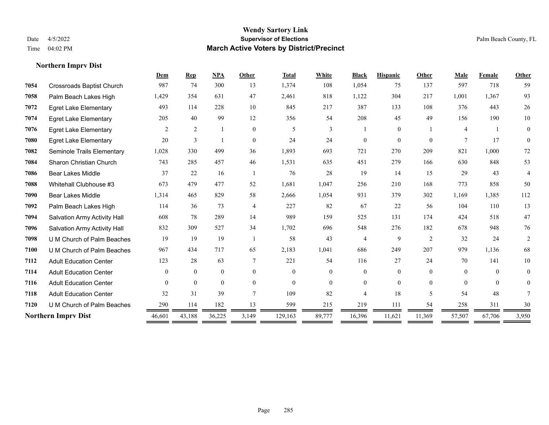|                                  | Dem            | Rep            | <b>NPA</b>   | Other          | <b>Total</b> | White          | <b>Black</b>   | <b>Hispanic</b> | Other    | Male           | Female   | Other          |
|----------------------------------|----------------|----------------|--------------|----------------|--------------|----------------|----------------|-----------------|----------|----------------|----------|----------------|
| <b>Crossroads Baptist Church</b> | 987            | 74             | 300          | 13             | 1,374        | 108            | 1,054          | 75              | 137      | 597            | 718      | 59             |
| Palm Beach Lakes High            | 1,429          | 354            | 631          | 47             | 2,461        | 818            | 1,122          | 304             | 217      | 1,001          | 1,367    | 93             |
| <b>Egret Lake Elementary</b>     | 493            | 114            | 228          | 10             | 845          | 217            | 387            | 133             | 108      | 376            | 443      | 26             |
| <b>Egret Lake Elementary</b>     | 205            | 40             | 99           | 12             | 356          | 54             | 208            | 45              | 49       | 156            | 190      | 10             |
| <b>Egret Lake Elementary</b>     | 2              | $\overline{c}$ |              | $\mathbf{0}$   | 5            | 3              |                | $\overline{0}$  |          | $\overline{4}$ |          | $\overline{0}$ |
| <b>Egret Lake Elementary</b>     | 20             | 3              |              | $\theta$       | 24           | 24             | $\theta$       | $\theta$        | $\Omega$ | 7              | 17       | $\theta$       |
| Seminole Trails Elementary       | 1,028          | 330            | 499          | 36             | 1,893        | 693            | 721            | 270             | 209      | 821            | 1,000    | $72\,$         |
| Sharon Christian Church          | 743            | 285            | 457          | 46             | 1,531        | 635            | 451            | 279             | 166      | 630            | 848      | 53             |
| <b>Bear Lakes Middle</b>         | 37             | 22             | 16           |                | 76           | 28             | 19             | 14              | 15       | 29             | 43       | 4              |
| Whitehall Clubhouse #3           | 673            | 479            | 477          | 52             | 1,681        | 1,047          | 256            | 210             | 168      | 773            | 858      | 50             |
| <b>Bear Lakes Middle</b>         | 1,314          | 465            | 829          | 58             | 2,666        | 1,054          | 931            | 379             | 302      | 1,169          | 1,385    | 112            |
| Palm Beach Lakes High            | 114            | 36             | 73           | $\overline{4}$ | 227          | 82             | 67             | 22              | 56       | 104            | 110      | 13             |
| Salvation Army Activity Hall     | 608            | 78             | 289          | 14             | 989          | 159            | 525            | 131             | 174      | 424            | 518      | 47             |
| Salvation Army Activity Hall     | 832            | 309            | 527          | 34             | 1,702        | 696            | 548            | 276             | 182      | 678            | 948      | 76             |
| U M Church of Palm Beaches       | 19             | 19             | 19           |                | 58           | 43             | 4              | 9               | 2        | 32             | 24       | 2              |
| U M Church of Palm Beaches       | 967            | 434            | 717          | 65             | 2,183        | 1,041          | 686            | 249             | 207      | 979            | 1,136    | 68             |
| <b>Adult Education Center</b>    | 123            | 28             | 63           | $\tau$         | 221          | 54             | 116            | 27              | 24       | 70             | 141      | 10             |
| <b>Adult Education Center</b>    | $\overline{0}$ | $\overline{0}$ | $\mathbf{0}$ | $\theta$       | $\theta$     | $\overline{0}$ | $\overline{0}$ | $\overline{0}$  | $\theta$ | $\theta$       | $\theta$ | $\overline{0}$ |
| <b>Adult Education Center</b>    | $\theta$       | $\theta$       | $\theta$     | $\theta$       | $\theta$     | $\theta$       | $\Omega$       | $\Omega$        | $\theta$ | $\theta$       | $\theta$ | $\theta$       |
| <b>Adult Education Center</b>    | 32             | 31             | 39           | $\tau$         | 109          | 82             | 4              | 18              | 5        | 54             | 48       |                |
| U M Church of Palm Beaches       | 290            | 114            | 182          | 13             | 599          | 215            | 219            | 111             | 54       | 258            | 311      | 30             |
| <b>Northern Imprv Dist</b>       | 46,601         | 43,188         | 36,225       | 3,149          | 129,163      | 89,777         | 16,396         | 11,621          | 11,369   | 57,507         | 67,706   | 3,950          |
|                                  |                |                |              |                |              |                |                |                 |          |                |          |                |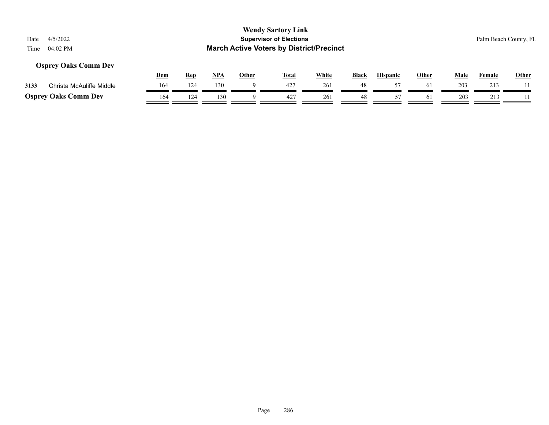### **Osprey Oaks Comm Dev**

|      |                             | Dem | Rep | NP/ | Other | <b>Total</b> | White | <b>Black</b> | <b>Hispanic</b> | Other | Male | Female     | <b>Other</b> |
|------|-----------------------------|-----|-----|-----|-------|--------------|-------|--------------|-----------------|-------|------|------------|--------------|
| 3133 | Christa McAuliffe Middle    |     | 124 | 130 |       |              | 261   | 48           |                 | 61    | 203  | 213        |              |
|      | <b>Osprey Oaks Comm Dev</b> | 164 | 124 | 130 |       |              | 261   | 48           |                 |       | 203  | <u> 1.</u> |              |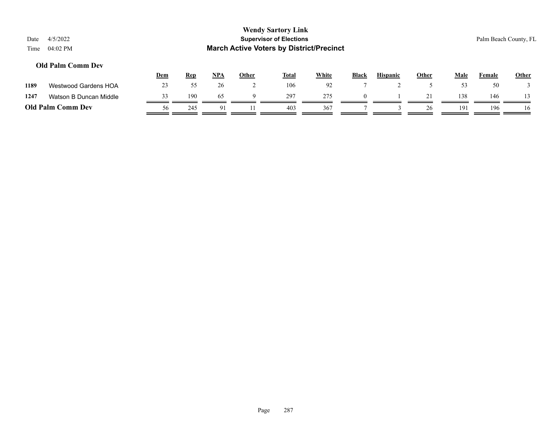| Date<br>Time | 4/5/2022<br>04:02 PM     |     |            |            |          | <b>Wendy Sartory Link</b><br><b>Supervisor of Elections</b><br><b>March Active Voters by District/Precinct</b> |       |              |                 |       |      |        | Palm Beach County, FL |
|--------------|--------------------------|-----|------------|------------|----------|----------------------------------------------------------------------------------------------------------------|-------|--------------|-----------------|-------|------|--------|-----------------------|
|              | <b>Old Palm Comm Dev</b> | Dem | <b>Rep</b> | <u>NPA</u> | Other    | <u>Total</u>                                                                                                   | White | <b>Black</b> | <b>Hispanic</b> | Other | Male | Female | <b>Other</b>          |
| 1189         | Westwood Gardens HOA     | 23  | 55         | 26         | ∠        | 106                                                                                                            | 92    |              |                 |       | 53   | 50     |                       |
| 1247         | Watson B Duncan Middle   | 33  | 190        | 65         | $\Omega$ | 297                                                                                                            | 275   | $\Omega$     |                 | 21    | 138  | 146    |                       |

**Old Palm Comm Dev**  $\frac{56}{\sqrt{245}} \frac{245}{\sqrt{91}} \frac{91}{\sqrt{11}} \frac{11}{\sqrt{403}} \frac{403}{\sqrt{367}} \frac{367}{\sqrt{17}} \frac{7}{\sqrt{13}} \frac{3}{\sqrt{126}} \frac{26}{\sqrt{191}} \frac{191}{\sqrt{196}} \frac{1}{\sqrt{10}} \frac{1}{\sqrt{10}} \frac{1}{\sqrt{10}} \frac{1}{\sqrt{10}} \frac{1}{\sqrt{10}} \frac{1}{\sqrt{10}} \frac{1}{\$ 

 $\overline{a}$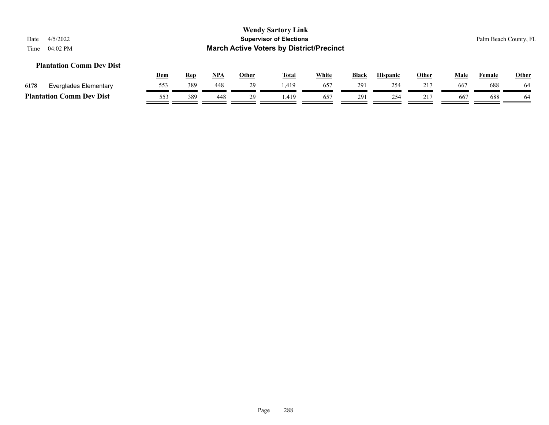#### **Plantation Comm Dev Dist**

|      |                                 | <u>Dem</u> | Rep | <b>NPA</b> | Other | <b>Total</b> | <u>White</u> | <b>Black</b> | <b>Hispanic</b> | Other | Male | Female | <b>Other</b> |
|------|---------------------------------|------------|-----|------------|-------|--------------|--------------|--------------|-----------------|-------|------|--------|--------------|
| 6178 | Everglades Elementary           | 553        | 389 | 448        | 29    | 1.419        | $65^{\circ}$ | 291          | 254             |       | 667  | 688    | 64           |
|      | <b>Plantation Comm Dev Dist</b> | 553        | 389 | 448        | າດ    | .419         | -657         | 291          | 254             |       | 66   | 688    | -64          |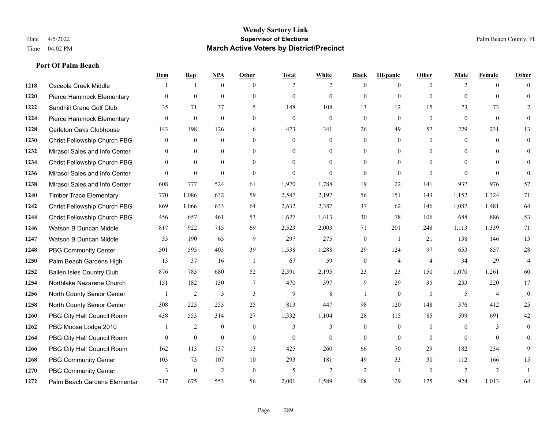|      |                                  | Dem            | <b>Rep</b>     | NPA            | <b>Other</b> | <b>Total</b> | <b>White</b>   | <b>Black</b>     | <b>Hispanic</b> | <b>Other</b>   | <b>Male</b>    | <b>Female</b>  | <b>Other</b>   |
|------|----------------------------------|----------------|----------------|----------------|--------------|--------------|----------------|------------------|-----------------|----------------|----------------|----------------|----------------|
| 1218 | Osceola Creek Middle             |                | -1             | $\mathbf{0}$   | $\theta$     | 2            | $\overline{2}$ | $\mathbf{0}$     | $\overline{0}$  | $\theta$       | 2              | $\theta$       | $\Omega$       |
| 1220 | Pierce Hammock Elementary        | $\theta$       | $\mathbf{0}$   | $\mathbf{0}$   | $\Omega$     | $\mathbf{0}$ | $\overline{0}$ | $\mathbf{0}$     | $\mathbf{0}$    | $\theta$       | $\theta$       | $\theta$       | $\theta$       |
| 1222 | Sandhill Crane Golf Club         | 35             | 71             | 37             | 5            | 148          | 108            | 13               | 12              | 15             | 73             | 73             | 2              |
| 1224 | Pierce Hammock Elementary        | $\mathbf{0}$   | $\mathbf{0}$   | $\mathbf{0}$   | $\mathbf{0}$ | $\mathbf{0}$ | $\mathbf{0}$   | $\boldsymbol{0}$ | $\mathbf{0}$    | $\mathbf{0}$   | $\mathbf{0}$   | $\mathbf{0}$   | $\theta$       |
| 1228 | <b>Carleton Oaks Clubhouse</b>   | 143            | 198            | 126            | 6            | 473          | 341            | 26               | 49              | 57             | 229            | 231            | 13             |
| 1230 | Christ Fellowship Church PBG     | $\overline{0}$ | $\mathbf{0}$   | $\mathbf{0}$   | $\theta$     | $\mathbf{0}$ | $\mathbf{0}$   | $\mathbf{0}$     | $\mathbf{0}$    | $\theta$       | $\overline{0}$ | $\theta$       | $\mathbf{0}$   |
| 1232 | Mirasol Sales and Info Center    | $\theta$       | $\theta$       | $\mathbf{0}$   | $\theta$     | $\Omega$     | $\overline{0}$ | $\mathbf{0}$     | $\mathbf{0}$    | $\theta$       | $\theta$       | $\Omega$       | $\Omega$       |
| 1234 | Christ Fellowship Church PBG     | $\Omega$       | $\theta$       | $\theta$       | $\Omega$     | $\Omega$     | $\overline{0}$ | $\mathbf{0}$     | $\theta$        | $\Omega$       | $\theta$       | $\Omega$       | $\Omega$       |
| 1236 | Mirasol Sales and Info Center    | $\theta$       | $\mathbf{0}$   | $\mathbf{0}$   | $\mathbf{0}$ | $\theta$     | $\Omega$       | $\mathbf{0}$     | $\mathbf{0}$    | $\mathbf{0}$   | $\theta$       | $\theta$       | $\Omega$       |
| 1238 | Mirasol Sales and Info Center    | 608            | 777            | 524            | 61           | 1,970        | 1,788          | 19               | 22              | 141            | 937            | 976            | 57             |
| 1240 | <b>Timber Trace Elementary</b>   | 770            | 1,086          | 632            | 59           | 2,547        | 2,197          | 56               | 151             | 143            | 1,152          | 1,324          | 71             |
| 1242 | Christ Fellowship Church PBG     | 869            | 1,066          | 633            | 64           | 2,632        | 2,387          | 37               | 62              | 146            | 1,087          | 1,481          | 64             |
| 1244 | Christ Fellowship Church PBG     | 456            | 657            | 461            | 53           | 1,627        | 1,413          | 30               | 78              | 106            | 688            | 886            | 53             |
| 1246 | Watson B Duncan Middle           | 817            | 922            | 715            | 69           | 2,523        | 2,003          | 71               | 201             | 248            | 1,113          | 1,339          | 71             |
| 1247 | Watson B Duncan Middle           | 33             | 190            | 65             | 9            | 297          | 275            | $\boldsymbol{0}$ | $\overline{1}$  | 21             | 138            | 146            | 13             |
| 1248 | <b>PBG Community Center</b>      | 501            | 595            | 403            | 39           | 1,538        | 1,288          | 29               | 124             | 97             | 653            | 857            | $28\,$         |
| 1250 | Palm Beach Gardens High          | 13             | 37             | 16             | -1           | 67           | 59             | $\boldsymbol{0}$ | $\overline{4}$  | $\overline{4}$ | 34             | 29             | $\overline{4}$ |
| 1252 | <b>Ballen Isles Country Club</b> | 876            | 783            | 680            | 52           | 2,391        | 2,195          | 23               | 23              | 150            | 1,070          | 1,261          | 60             |
| 1254 | Northlake Nazarene Church        | 151            | 182            | 130            | $\tau$       | 470          | 397            | 9                | 29              | 35             | 233            | 220            | 17             |
| 1256 | North County Senior Center       | $\mathbf{1}$   | $\overline{2}$ | 3              | 3            | 9            | 8              | $\mathbf{1}$     | $\theta$        | $\theta$       | 5              | $\overline{4}$ | $\theta$       |
| 1258 | North County Senior Center       | 308            | 225            | 255            | 25           | 813          | 447            | 98               | 120             | 148            | 376            | 412            | 25             |
| 1260 | PBG City Hall Council Room       | 438            | 553            | 314            | 27           | 1,332        | 1,104          | 28               | 115             | 85             | 599            | 691            | $42\,$         |
| 1262 | PBG Moose Lodge 2010             |                | 2              | $\mathbf{0}$   | $\mathbf{0}$ | 3            | 3              | $\mathbf{0}$     | $\mathbf{0}$    | $\theta$       | $\theta$       | 3              | $\overline{0}$ |
| 1264 | PBG City Hall Council Room       | $\theta$       | $\mathbf{0}$   | $\theta$       | $\theta$     | $\theta$     | $\theta$       | $\theta$         | $\theta$        | $\theta$       | $\theta$       | $\Omega$       | $\Omega$       |
| 1266 | PBG City Hall Council Room       | 162            | 113            | 137            | 13           | 425          | 260            | 66               | 70              | 29             | 182            | 234            | 9              |
| 1268 | <b>PBG Community Center</b>      | 103            | 73             | 107            | 10           | 293          | 181            | 49               | 33              | 30             | 112            | 166            | 15             |
| 1270 | <b>PBG Community Center</b>      | 3              | $\mathbf{0}$   | $\overline{2}$ | $\theta$     | 5            | 2              | $\overline{2}$   | $\overline{1}$  | $\theta$       | 2              | 2              |                |
| 1272 | Palm Beach Gardens Elementar     | 717            | 675            | 553            | 56           | 2,001        | 1,589          | 108              | 129             | 175            | 924            | 1,013          | 64             |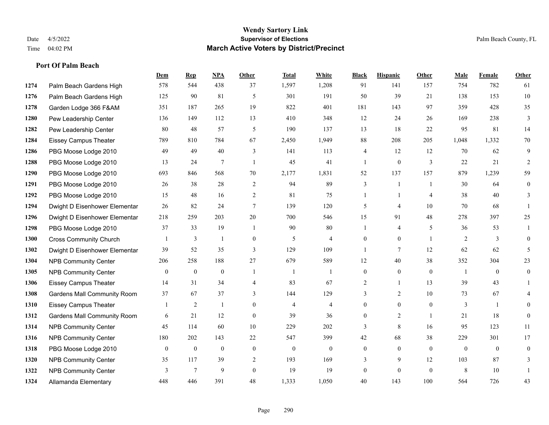|      |                                    | Dem          | <b>Rep</b>     | NPA            | <b>Other</b>     | <b>Total</b>   | <b>White</b>   | <b>Black</b>     | <b>Hispanic</b> | Other          | <b>Male</b>    | <b>Female</b> | <b>Other</b> |
|------|------------------------------------|--------------|----------------|----------------|------------------|----------------|----------------|------------------|-----------------|----------------|----------------|---------------|--------------|
| 1274 | Palm Beach Gardens High            | 578          | 544            | 438            | 37               | 1,597          | 1,208          | 91               | 141             | 157            | 754            | 782           | 61           |
| 1276 | Palm Beach Gardens High            | 125          | 90             | 81             | 5                | 301            | 191            | 50               | 39              | 21             | 138            | 153           | 10           |
| 1278 | Garden Lodge 366 F&AM              | 351          | 187            | 265            | 19               | 822            | 401            | 181              | 143             | 97             | 359            | 428           | 35           |
| 1280 | Pew Leadership Center              | 136          | 149            | 112            | 13               | 410            | 348            | 12               | 24              | 26             | 169            | 238           | 3            |
| 1282 | Pew Leadership Center              | 80           | 48             | 57             | 5                | 190            | 137            | 13               | 18              | 22             | 95             | 81            | 14           |
| 1284 | <b>Eissey Campus Theater</b>       | 789          | 810            | 784            | 67               | 2,450          | 1,949          | $88\,$           | 208             | 205            | 1,048          | 1,332         | $70\,$       |
| 1286 | PBG Moose Lodge 2010               | 49           | 49             | 40             | 3                | 141            | 113            | 4                | 12              | 12             | 70             | 62            | 9            |
| 1288 | PBG Moose Lodge 2010               | 13           | 24             | $\overline{7}$ | $\overline{1}$   | 45             | 41             | $\mathbf{1}$     | $\mathbf{0}$    | 3              | 22             | 21            | 2            |
| 1290 | PBG Moose Lodge 2010               | 693          | 846            | 568            | 70               | 2,177          | 1,831          | 52               | 137             | 157            | 879            | 1,239         | 59           |
| 1291 | PBG Moose Lodge 2010               | 26           | 38             | 28             | 2                | 94             | 89             | 3                | $\mathbf{1}$    | $\overline{1}$ | 30             | 64            | $\mathbf{0}$ |
| 1292 | PBG Moose Lodge 2010               | 15           | 48             | 16             | 2                | 81             | 75             | $\mathbf{1}$     | $\mathbf{1}$    | $\overline{4}$ | 38             | 40            | 3            |
| 1294 | Dwight D Eisenhower Elementar      | 26           | 82             | 24             | $\tau$           | 139            | 120            | 5                | 4               | 10             | 70             | 68            |              |
| 1296 | Dwight D Eisenhower Elementar      | 218          | 259            | 203            | $20\,$           | 700            | 546            | 15               | 91              | 48             | 278            | 397           | 25           |
| 1298 | PBG Moose Lodge 2010               | 37           | 33             | 19             | $\overline{1}$   | 90             | 80             |                  | 4               | 5              | 36             | 53            |              |
| 1300 | <b>Cross Community Church</b>      |              | 3              | 1              | $\mathbf{0}$     | 5              | $\overline{4}$ | $\overline{0}$   | $\overline{0}$  | $\overline{1}$ | 2              | 3             | $\theta$     |
| 1302 | Dwight D Eisenhower Elementar      | 39           | 52             | 35             | 3                | 129            | 109            | $\mathbf{1}$     | 7               | 12             | 62             | 62            | 5            |
| 1304 | <b>NPB Community Center</b>        | 206          | 258            | 188            | 27               | 679            | 589            | 12               | 40              | 38             | 352            | 304           | 23           |
| 1305 | <b>NPB Community Center</b>        | $\theta$     | $\mathbf{0}$   | $\mathbf{0}$   | $\overline{1}$   | $\overline{1}$ | $\mathbf{1}$   | $\overline{0}$   | $\overline{0}$  | $\theta$       | $\overline{1}$ | $\theta$      | $\mathbf{0}$ |
| 1306 | <b>Eissey Campus Theater</b>       | 14           | 31             | 34             | $\overline{4}$   | 83             | 67             | 2                | $\mathbf{1}$    | 13             | 39             | 43            |              |
| 1308 | <b>Gardens Mall Community Room</b> | 37           | 67             | 37             | 3                | 144            | 129            | 3                | 2               | 10             | 73             | 67            |              |
| 1310 | <b>Eissey Campus Theater</b>       |              | $\overline{c}$ | $\mathbf{1}$   | $\theta$         | $\overline{4}$ | $\overline{4}$ | $\overline{0}$   | $\Omega$        | $\Omega$       | 3              | $\mathbf{1}$  | $\Omega$     |
| 1312 | Gardens Mall Community Room        | 6            | 21             | 12             | $\boldsymbol{0}$ | 39             | 36             | $\boldsymbol{0}$ | $\overline{c}$  | $\overline{1}$ | 21             | 18            | $\mathbf{0}$ |
| 1314 | <b>NPB Community Center</b>        | 45           | 114            | 60             | 10               | 229            | 202            | 3                | 8               | 16             | 95             | 123           | 11           |
| 1316 | <b>NPB Community Center</b>        | 180          | 202            | 143            | 22               | 547            | 399            | 42               | 68              | 38             | 229            | 301           | 17           |
| 1318 | PBG Moose Lodge 2010               | $\mathbf{0}$ | $\mathbf{0}$   | $\mathbf{0}$   | $\mathbf{0}$     | $\mathbf{0}$   | $\overline{0}$ | $\overline{0}$   | $\theta$        | $\Omega$       | $\theta$       | $\theta$      | $\theta$     |
| 1320 | <b>NPB Community Center</b>        | 35           | 117            | 39             | 2                | 193            | 169            | 3                | 9               | 12             | 103            | 87            | 3            |
| 1322 | <b>NPB Community Center</b>        | 3            | $\overline{7}$ | 9              | $\theta$         | 19             | 19             | $\overline{0}$   | $\theta$        | $\theta$       | 8              | 10            |              |
| 1324 | Allamanda Elementary               | 448          | 446            | 391            | 48               | 1,333          | 1,050          | 40               | 143             | 100            | 564            | 726           | 43           |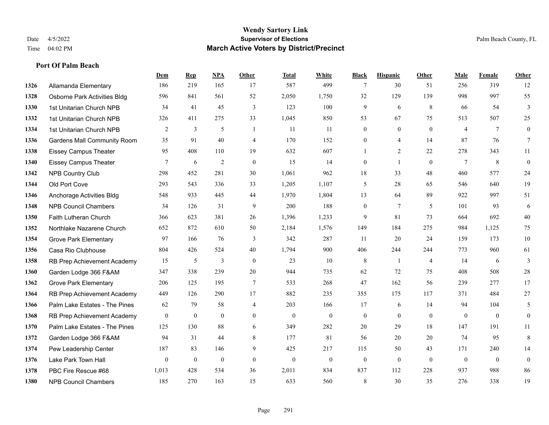|      |                                    | Dem          | <b>Rep</b>       | NPA              | <b>Other</b>   | <b>Total</b>     | <b>White</b>     | <b>Black</b>     | <b>Hispanic</b> | <b>Other</b>   | <b>Male</b>    | Female       | <b>Other</b>     |
|------|------------------------------------|--------------|------------------|------------------|----------------|------------------|------------------|------------------|-----------------|----------------|----------------|--------------|------------------|
| 1326 | Allamanda Elementary               | 186          | 219              | 165              | 17             | 587              | 499              | 7                | 30              | 51             | 256            | 319          | 12               |
| 1328 | Osborne Park Activities Bldg       | 596          | 841              | 561              | 52             | 2,050            | 1,750            | 32               | 129             | 139            | 998            | 997          | 55               |
| 1330 | 1st Unitarian Church NPB           | 34           | 41               | 45               | 3              | 123              | 100              | 9                | 6               | 8              | 66             | 54           | 3                |
| 1332 | 1st Unitarian Church NPB           | 326          | 411              | 275              | 33             | 1,045            | 850              | 53               | 67              | 75             | 513            | 507          | 25               |
| 1334 | 1st Unitarian Church NPB           | 2            | 3                | 5                | -1             | 11               | 11               | $\boldsymbol{0}$ | $\overline{0}$  | $\theta$       | $\overline{4}$ | $\tau$       | $\boldsymbol{0}$ |
| 1336 | <b>Gardens Mall Community Room</b> | 35           | 91               | 40               | $\overline{4}$ | 170              | 152              | 0                | 4               | 14             | 87             | 76           | 7                |
| 1338 | <b>Eissey Campus Theater</b>       | 95           | 408              | 110              | 19             | 632              | 607              | 1                | $\overline{2}$  | 22             | 278            | 343          | 11               |
| 1340 | <b>Eissey Campus Theater</b>       | 7            | 6                | $\overline{2}$   | $\overline{0}$ | 15               | 14               | $\mathbf{0}$     | $\mathbf{1}$    | $\theta$       | 7              | 8            | $\boldsymbol{0}$ |
| 1342 | <b>NPB Country Club</b>            | 298          | 452              | 281              | 30             | 1,061            | 962              | 18               | 33              | 48             | 460            | 577          | $24\,$           |
| 1344 | Old Port Cove                      | 293          | 543              | 336              | 33             | 1,205            | 1,107            | 5                | 28              | 65             | 546            | 640          | 19               |
| 1346 | Anchorage Activities Bldg          | 548          | 933              | 445              | 44             | 1,970            | 1,804            | 13               | 64              | 89             | 922            | 997          | 51               |
| 1348 | <b>NPB Council Chambers</b>        | 34           | 126              | 31               | 9              | 200              | 188              | $\mathbf{0}$     | $7\phantom{.0}$ | 5              | 101            | 93           | 6                |
| 1350 | Faith Lutheran Church              | 366          | 623              | 381              | 26             | 1,396            | 1,233            | 9                | 81              | 73             | 664            | 692          | $40\,$           |
| 1352 | Northlake Nazarene Church          | 652          | 872              | 610              | 50             | 2,184            | 1,576            | 149              | 184             | 275            | 984            | 1,125        | 75               |
| 1354 | <b>Grove Park Elementary</b>       | 97           | 166              | 76               | 3              | 342              | 287              | 11               | 20              | 24             | 159            | 173          | $10\,$           |
| 1356 | Casa Rio Clubhouse                 | 804          | 426              | 524              | 40             | 1,794            | 900              | 406              | 244             | 244            | 773            | 960          | 61               |
| 1358 | RB Prep Achievement Academy        | 15           | 5                | 3                | $\mathbf{0}$   | 23               | 10               | 8                | 1               | $\overline{4}$ | 14             | 6            | 3                |
| 1360 | Garden Lodge 366 F&AM              | 347          | 338              | 239              | 20             | 944              | 735              | 62               | 72              | 75             | 408            | 508          | $28\,$           |
| 1362 | <b>Grove Park Elementary</b>       | 206          | 125              | 195              | $\tau$         | 533              | 268              | 47               | 162             | 56             | 239            | 277          | 17               |
| 1364 | RB Prep Achievement Academy        | 449          | 126              | 290              | 17             | 882              | 235              | 355              | 175             | 117            | 371            | 484          | 27               |
| 1366 | Palm Lake Estates - The Pines      | 62           | 79               | 58               | 4              | 203              | 166              | 17               | 6               | 14             | 94             | 104          | 5                |
| 1368 | RB Prep Achievement Academy        | $\mathbf{0}$ | $\boldsymbol{0}$ | $\mathbf{0}$     | $\overline{0}$ | $\theta$         | $\boldsymbol{0}$ | $\boldsymbol{0}$ | $\mathbf{0}$    | $\mathbf{0}$   | $\mathbf{0}$   | $\theta$     | $\mathbf{0}$     |
| 1370 | Palm Lake Estates - The Pines      | 125          | 130              | 88               | 6              | 349              | 282              | 20               | 29              | 18             | 147            | 191          | 11               |
| 1372 | Garden Lodge 366 F&AM              | 94           | 31               | 44               | 8              | 177              | 81               | 56               | 20              | 20             | 74             | 95           | 8                |
| 1374 | Pew Leadership Center              | 187          | 83               | 146              | 9              | 425              | 217              | 115              | 50              | 43             | 171            | 240          | 14               |
| 1376 | Lake Park Town Hall                | $\mathbf{0}$ | $\boldsymbol{0}$ | $\boldsymbol{0}$ | $\overline{0}$ | $\boldsymbol{0}$ | $\boldsymbol{0}$ | $\boldsymbol{0}$ | $\mathbf{0}$    | $\mathbf{0}$   | $\mathbf{0}$   | $\mathbf{0}$ | $\boldsymbol{0}$ |
| 1378 | PBC Fire Rescue #68                | 1,013        | 428              | 534              | 36             | 2,011            | 834              | 837              | 112             | 228            | 937            | 988          | 86               |
| 1380 | <b>NPB Council Chambers</b>        | 185          | 270              | 163              | 15             | 633              | 560              | 8                | 30              | 35             | 276            | 338          | 19               |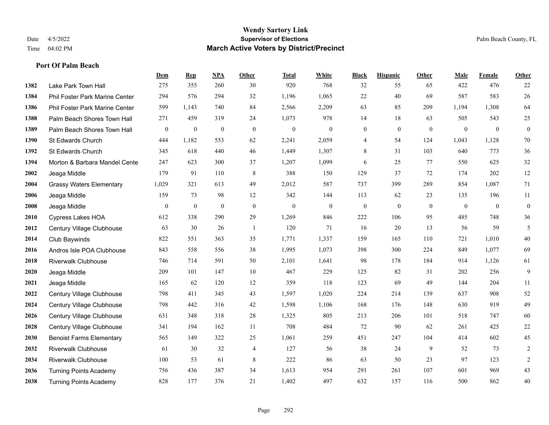|      |                                 | Dem      | <b>Rep</b>       | NPA              | <b>Other</b>   | <b>Total</b>     | <b>White</b>     | <b>Black</b>     | <b>Hispanic</b>  | <b>Other</b>   | <b>Male</b>  | Female         | <b>Other</b>     |
|------|---------------------------------|----------|------------------|------------------|----------------|------------------|------------------|------------------|------------------|----------------|--------------|----------------|------------------|
| 1382 | Lake Park Town Hall             | 275      | 355              | 260              | 30             | 920              | 768              | 32               | 55               | 65             | 422          | 476            | 22               |
| 1384 | Phil Foster Park Marine Center  | 294      | 576              | 294              | 32             | 1,196            | 1,065            | $22\,$           | 40               | 69             | 587          | 583            | $26\,$           |
| 1386 | Phil Foster Park Marine Center  | 599      | 1,143            | 740              | 84             | 2,566            | 2,209            | 63               | 85               | 209            | 1,194        | 1,308          | 64               |
| 1388 | Palm Beach Shores Town Hall     | 271      | 459              | 319              | 24             | 1,073            | 978              | 14               | 18               | 63             | 505          | 543            | 25               |
| 1389 | Palm Beach Shores Town Hall     | $\bf{0}$ | $\boldsymbol{0}$ | $\boldsymbol{0}$ | $\mathbf{0}$   | $\boldsymbol{0}$ | $\boldsymbol{0}$ | $\boldsymbol{0}$ | $\mathbf{0}$     | $\mathbf{0}$   | $\mathbf{0}$ | $\mathbf{0}$   | $\boldsymbol{0}$ |
| 1390 | St Edwards Church               | 444      | 1,182            | 553              | 62             | 2,241            | 2,059            | 4                | 54               | 124            | 1,043        | 1,128          | $70\,$           |
| 1392 | St Edwards Church               | 345      | 618              | 440              | 46             | 1,449            | 1,307            | 8                | 31               | 103            | 640          | 773            | 36               |
| 1394 | Morton & Barbara Mandel Cente   | 247      | 623              | 300              | 37             | 1,207            | 1,099            | 6                | 25               | 77             | 550          | 625            | $32\,$           |
| 2002 | Jeaga Middle                    | 179      | 91               | 110              | $\,8\,$        | 388              | 150              | 129              | 37               | 72             | 174          | 202            | 12               |
| 2004 | <b>Grassy Waters Elementary</b> | 1,029    | 321              | 613              | 49             | 2,012            | 587              | 737              | 399              | 289            | 854          | 1,087          | 71               |
| 2006 | Jeaga Middle                    | 159      | 73               | 98               | 12             | 342              | 144              | 113              | 62               | 23             | 135          | 196            | 11               |
| 2008 | Jeaga Middle                    | $\bf{0}$ | $\boldsymbol{0}$ | $\boldsymbol{0}$ | $\mathbf{0}$   | $\boldsymbol{0}$ | $\boldsymbol{0}$ | $\boldsymbol{0}$ | $\boldsymbol{0}$ | $\overline{0}$ | $\mathbf{0}$ | $\overline{0}$ | $\boldsymbol{0}$ |
| 2010 | <b>Cypress Lakes HOA</b>        | 612      | 338              | 290              | 29             | 1,269            | 846              | 222              | 106              | 95             | 485          | 748            | 36               |
| 2012 | Century Village Clubhouse       | 63       | 30               | 26               | $\overline{1}$ | 120              | 71               | 16               | 20               | 13             | 56           | 59             | 5                |
| 2014 | Club Baywinds                   | 822      | 551              | 363              | 35             | 1,771            | 1,337            | 159              | 165              | 110            | 721          | 1,010          | $40\,$           |
| 2016 | Andros Isle POA Clubhouse       | 843      | 558              | 556              | 38             | 1,995            | 1,073            | 398              | 300              | 224            | 849          | 1,077          | 69               |
| 2018 | <b>Riverwalk Clubhouse</b>      | 746      | 714              | 591              | 50             | 2,101            | 1,641            | 98               | 178              | 184            | 914          | 1,126          | 61               |
| 2020 | Jeaga Middle                    | 209      | 101              | 147              | 10             | 467              | 229              | 125              | 82               | 31             | 202          | 256            | 9                |
| 2021 | Jeaga Middle                    | 165      | 62               | 120              | 12             | 359              | 118              | 123              | 69               | 49             | 144          | 204            | 11               |
| 2022 | Century Village Clubhouse       | 798      | 411              | 345              | 43             | 1,597            | 1,020            | 224              | 214              | 139            | 637          | 908            | 52               |
| 2024 | Century Village Clubhouse       | 798      | 442              | 316              | 42             | 1,598            | 1,106            | 168              | 176              | 148            | 630          | 919            | 49               |
| 2026 | Century Village Clubhouse       | 631      | 348              | 318              | 28             | 1,325            | 805              | 213              | 206              | 101            | 518          | 747            | 60               |
| 2028 | Century Village Clubhouse       | 341      | 194              | 162              | 11             | 708              | 484              | 72               | 90               | 62             | 261          | 425            | $22\,$           |
| 2030 | <b>Benoist Farms Elementary</b> | 565      | 149              | 322              | 25             | 1,061            | 259              | 451              | 247              | 104            | 414          | 602            | 45               |
| 2032 | <b>Riverwalk Clubhouse</b>      | 61       | 30               | 32               | 4              | 127              | 56               | 38               | 24               | 9              | 52           | 73             | $\overline{c}$   |
| 2034 | Riverwalk Clubhouse             | 100      | 53               | 61               | $\,$ 8 $\,$    | 222              | 86               | 63               | 50               | 23             | 97           | 123            | $\sqrt{2}$       |
| 2036 | <b>Turning Points Academy</b>   | 756      | 436              | 387              | 34             | 1,613            | 954              | 291              | 261              | 107            | 601          | 969            | 43               |
| 2038 | <b>Turning Points Academy</b>   | 828      | 177              | 376              | 21             | 1,402            | 497              | 632              | 157              | 116            | 500          | 862            | 40               |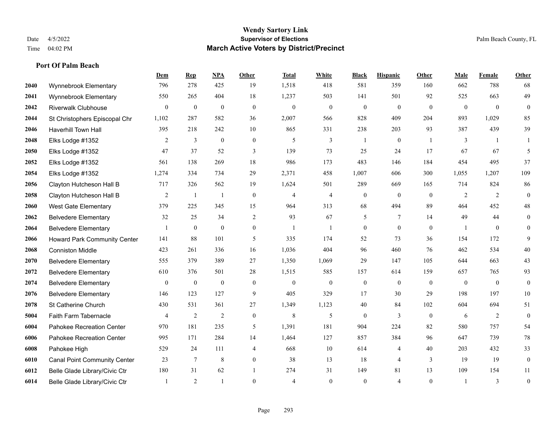|      |                                     | Dem            | <b>Rep</b>   | NPA              | <b>Other</b>     | <b>Total</b>   | <b>White</b>     | <b>Black</b>     | <b>Hispanic</b>  | <b>Other</b> | <b>Male</b>    | <b>Female</b>  | <b>Other</b>     |
|------|-------------------------------------|----------------|--------------|------------------|------------------|----------------|------------------|------------------|------------------|--------------|----------------|----------------|------------------|
| 2040 | Wynnebrook Elementary               | 796            | 278          | 425              | 19               | 1,518          | 418              | 581              | 359              | 160          | 662            | 788            | 68               |
| 2041 | Wynnebrook Elementary               | 550            | 265          | 404              | 18               | 1,237          | 503              | 141              | 501              | 92           | 525            | 663            | 49               |
| 2042 | <b>Riverwalk Clubhouse</b>          | 0              | $\mathbf{0}$ | $\boldsymbol{0}$ | $\mathbf{0}$     | $\theta$       | $\boldsymbol{0}$ | $\boldsymbol{0}$ | $\boldsymbol{0}$ | $\theta$     | $\overline{0}$ | $\overline{0}$ | $\boldsymbol{0}$ |
| 2044 | St Christophers Episcopal Chr       | 1,102          | 287          | 582              | 36               | 2,007          | 566              | 828              | 409              | 204          | 893            | 1,029          | 85               |
| 2046 | <b>Haverhill Town Hall</b>          | 395            | 218          | 242              | 10               | 865            | 331              | 238              | 203              | 93           | 387            | 439            | 39               |
| 2048 | Elks Lodge #1352                    | 2              | 3            | $\boldsymbol{0}$ | $\mathbf{0}$     | 5              | 3                |                  | $\boldsymbol{0}$ | -1           | 3              | -1             |                  |
| 2050 | Elks Lodge #1352                    | 47             | 37           | 52               | 3                | 139            | 73               | 25               | 24               | 17           | 67             | 67             | 5                |
| 2052 | Elks Lodge #1352                    | 561            | 138          | 269              | 18               | 986            | 173              | 483              | 146              | 184          | 454            | 495            | 37               |
| 2054 | Elks Lodge #1352                    | 1,274          | 334          | 734              | 29               | 2,371          | 458              | 1,007            | 606              | 300          | 1,055          | 1,207          | 109              |
| 2056 | Clayton Hutcheson Hall B            | 717            | 326          | 562              | 19               | 1,624          | 501              | 289              | 669              | 165          | 714            | 824            | 86               |
| 2058 | Clayton Hutcheson Hall B            | $\overline{2}$ | -1           | $\mathbf{1}$     | $\mathbf{0}$     | $\overline{4}$ | $\overline{4}$   | $\mathbf{0}$     | $\theta$         | $\theta$     | 2              | 2              | $\mathbf{0}$     |
| 2060 | <b>West Gate Elementary</b>         | 379            | 225          | 345              | 15               | 964            | 313              | 68               | 494              | 89           | 464            | 452            | $48\,$           |
| 2062 | <b>Belvedere Elementary</b>         | 32             | 25           | 34               | 2                | 93             | 67               | 5                | $7\phantom{.0}$  | 14           | 49             | 44             | $\boldsymbol{0}$ |
| 2064 | <b>Belvedere Elementary</b>         | 1              | $\mathbf{0}$ | $\boldsymbol{0}$ | $\boldsymbol{0}$ | $\mathbf{1}$   | 1                | $\boldsymbol{0}$ | $\boldsymbol{0}$ | $\mathbf{0}$ |                | $\bf{0}$       | $\mathbf{0}$     |
| 2066 | <b>Howard Park Community Center</b> | 141            | 88           | 101              | 5                | 335            | 174              | 52               | 73               | 36           | 154            | 172            | 9                |
| 2068 | <b>Conniston Middle</b>             | 423            | 261          | 336              | 16               | 1,036          | 404              | 96               | 460              | 76           | 462            | 534            | 40               |
| 2070 | <b>Belvedere Elementary</b>         | 555            | 379          | 389              | 27               | 1,350          | 1,069            | 29               | 147              | 105          | 644            | 663            | 43               |
| 2072 | <b>Belvedere Elementary</b>         | 610            | 376          | 501              | 28               | 1,515          | 585              | 157              | 614              | 159          | 657            | 765            | 93               |
| 2074 | <b>Belvedere Elementary</b>         | 0              | $\mathbf{0}$ | $\boldsymbol{0}$ | $\boldsymbol{0}$ | $\mathbf{0}$   | $\boldsymbol{0}$ | $\boldsymbol{0}$ | $\mathbf{0}$     | $\mathbf{0}$ | $\mathbf{0}$   | $\mathbf{0}$   | $\mathbf{0}$     |
| 2076 | <b>Belvedere Elementary</b>         | 146            | 123          | 127              | 9                | 405            | 329              | 17               | 30               | 29           | 198            | 197            | $10\,$           |
| 2078 | St Catherine Church                 | 430            | 531          | 361              | 27               | 1,349          | 1,123            | 40               | 84               | 102          | 604            | 694            | 51               |
| 5004 | Faith Farm Tabernacle               | 4              | 2            | 2                | $\mathbf{0}$     | 8              | 5                | $\mathbf{0}$     | 3                | $\theta$     | 6              | 2              | $\mathbf{0}$     |
| 6004 | Pahokee Recreation Center           | 970            | 181          | 235              | 5                | 1,391          | 181              | 904              | 224              | 82           | 580            | 757            | 54               |
| 6006 | Pahokee Recreation Center           | 995            | 171          | 284              | 14               | 1,464          | 127              | 857              | 384              | 96           | 647            | 739            | $78\,$           |
| 6008 | Pahokee High                        | 529            | 24           | 111              | $\overline{4}$   | 668            | 10               | 614              | $\overline{4}$   | 40           | 203            | 432            | 33               |
| 6010 | <b>Canal Point Community Center</b> | 23             | 7            | 8                | $\overline{0}$   | 38             | 13               | 18               | $\overline{4}$   | 3            | 19             | 19             | $\boldsymbol{0}$ |
| 6012 | Belle Glade Library/Civic Ctr       | 180            | 31           | 62               |                  | 274            | 31               | 149              | 81               | 13           | 109            | 154            | 11               |
| 6014 | Belle Glade Library/Civic Ctr       |                | 2            |                  | $\theta$         | $\overline{4}$ | $\Omega$         | $\theta$         | $\overline{4}$   | $\theta$     |                | 3              | $\boldsymbol{0}$ |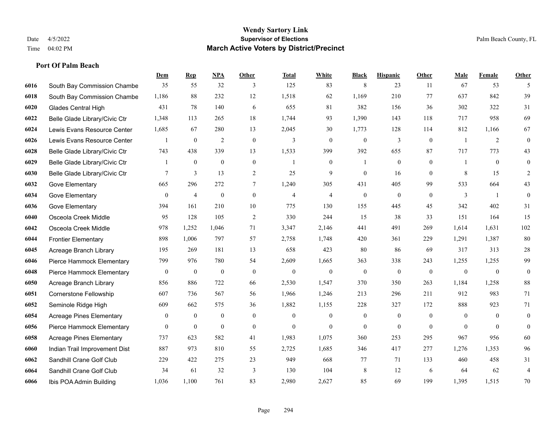|      |                                 | Dem            | <b>Rep</b>       | NPA              | <b>Other</b>     | <b>Total</b>   | <b>White</b>     | <b>Black</b>     | <b>Hispanic</b>  | <b>Other</b>   | <b>Male</b>    | <b>Female</b>    | <b>Other</b>            |
|------|---------------------------------|----------------|------------------|------------------|------------------|----------------|------------------|------------------|------------------|----------------|----------------|------------------|-------------------------|
| 6016 | South Bay Commission Chambe     | 35             | 55               | 32               | 3                | 125            | 83               | 8                | 23               | 11             | 67             | 53               | 5                       |
| 6018 | South Bay Commission Chambe     | 1,186          | 88               | 232              | 12               | 1,518          | 62               | 1,169            | 210              | 77             | 637            | 842              | 39                      |
| 6020 | <b>Glades Central High</b>      | 431            | 78               | 140              | 6                | 655            | 81               | 382              | 156              | 36             | 302            | 322              | 31                      |
| 6022 | Belle Glade Library/Civic Ctr   | 1,348          | 113              | 265              | 18               | 1,744          | 93               | 1,390            | 143              | 118            | 717            | 958              | 69                      |
| 6024 | Lewis Evans Resource Center     | 1,685          | 67               | 280              | 13               | 2,045          | 30               | 1,773            | 128              | 114            | 812            | 1,166            | 67                      |
| 6026 | Lewis Evans Resource Center     |                | $\boldsymbol{0}$ | 2                | $\boldsymbol{0}$ | 3              | $\mathbf{0}$     | $\theta$         | 3                | $\overline{0}$ | -1             | 2                | $\mathbf{0}$            |
| 6028 | Belle Glade Library/Civic Ctr   | 743            | 438              | 339              | 13               | 1,533          | 399              | 392              | 655              | 87             | 717            | 773              | 43                      |
| 6029 | Belle Glade Library/Civic Ctr   | 1              | $\overline{0}$   | $\mathbf{0}$     | $\mathbf{0}$     | $\overline{1}$ | $\mathbf{0}$     | $\mathbf{1}$     | $\mathbf{0}$     | $\theta$       | 1              | $\theta$         | $\theta$                |
| 6030 | Belle Glade Library/Civic Ctr   | 7              | 3                | 13               | $\overline{c}$   | 25             | 9                | $\boldsymbol{0}$ | 16               | $\mathbf{0}$   | 8              | 15               | $\overline{c}$          |
| 6032 | Gove Elementary                 | 665            | 296              | 272              | $\tau$           | 1,240          | 305              | 431              | 405              | 99             | 533            | 664              | 43                      |
| 6034 | Gove Elementary                 | $\mathbf{0}$   | $\overline{4}$   | $\boldsymbol{0}$ | $\overline{0}$   | $\overline{4}$ | 4                | $\boldsymbol{0}$ | $\theta$         | $\overline{0}$ | 3              | $\overline{1}$   | $\mathbf{0}$            |
| 6036 | Gove Elementary                 | 394            | 161              | 210              | 10               | 775            | 130              | 155              | 445              | 45             | 342            | 402              | 31                      |
| 6040 | Osceola Creek Middle            | 95             | 128              | 105              | $\overline{2}$   | 330            | 244              | 15               | 38               | 33             | 151            | 164              | 15                      |
| 6042 | Osceola Creek Middle            | 978            | 1,252            | 1,046            | 71               | 3,347          | 2,146            | 441              | 491              | 269            | 1,614          | 1,631            | $102\,$                 |
| 6044 | <b>Frontier Elementary</b>      | 898            | 1,006            | 797              | 57               | 2,758          | 1,748            | 420              | 361              | 229            | 1,291          | 1,387            | $80\,$                  |
| 6045 | Acreage Branch Library          | 195            | 269              | 181              | 13               | 658            | 423              | 80               | 86               | 69             | 317            | 313              | $28\,$                  |
| 6046 | Pierce Hammock Elementary       | 799            | 976              | 780              | 54               | 2,609          | 1,665            | 363              | 338              | 243            | 1,255          | 1,255            | 99                      |
| 6048 | Pierce Hammock Elementary       | $\mathbf{0}$   | $\mathbf{0}$     | $\boldsymbol{0}$ | $\mathbf{0}$     | $\mathbf{0}$   | $\boldsymbol{0}$ | $\boldsymbol{0}$ | $\boldsymbol{0}$ | $\overline{0}$ | $\mathbf{0}$   | $\boldsymbol{0}$ | $\boldsymbol{0}$        |
| 6050 | Acreage Branch Library          | 856            | 886              | 722              | 66               | 2,530          | 1,547            | 370              | 350              | 263            | 1,184          | 1,258            | 88                      |
| 6051 | Cornerstone Fellowship          | 607            | 736              | 567              | 56               | 1,966          | 1,246            | 213              | 296              | 211            | 912            | 983              | 71                      |
| 6052 | Seminole Ridge High             | 609            | 662              | 575              | 36               | 1,882          | 1,155            | 228              | 327              | 172            | 888            | 923              | 71                      |
| 6054 | <b>Acreage Pines Elementary</b> | 0              | $\bf{0}$         | $\boldsymbol{0}$ | $\mathbf{0}$     | $\mathbf{0}$   | $\boldsymbol{0}$ | $\boldsymbol{0}$ | $\boldsymbol{0}$ | $\mathbf{0}$   | $\overline{0}$ | $\mathbf{0}$     | $\bf{0}$                |
| 6056 | Pierce Hammock Elementary       | $\overline{0}$ | $\mathbf{0}$     | $\mathbf{0}$     | $\overline{0}$   | $\Omega$       | $\mathbf{0}$     | $\mathbf{0}$     | $\theta$         | $\theta$       | $\theta$       | $\theta$         | $\mathbf{0}$            |
| 6058 | <b>Acreage Pines Elementary</b> | 737            | 623              | 582              | 41               | 1,983          | 1,075            | 360              | 253              | 295            | 967            | 956              | 60                      |
| 6060 | Indian Trail Improvement Dist   | 887            | 973              | 810              | 55               | 2,725          | 1,685            | 346              | 417              | 277            | 1,276          | 1,353            | 96                      |
| 6062 | Sandhill Crane Golf Club        | 229            | 422              | 275              | 23               | 949            | 668              | 77               | 71               | 133            | 460            | 458              | 31                      |
| 6064 | Sandhill Crane Golf Club        | 34             | 61               | 32               | 3                | 130            | 104              | 8                | 12               | 6              | 64             | 62               | $\overline{\mathbf{4}}$ |
| 6066 | Ibis POA Admin Building         | 1,036          | 1.100            | 761              | 83               | 2,980          | 2,627            | 85               | 69               | 199            | 1,395          | 1,515            | 70                      |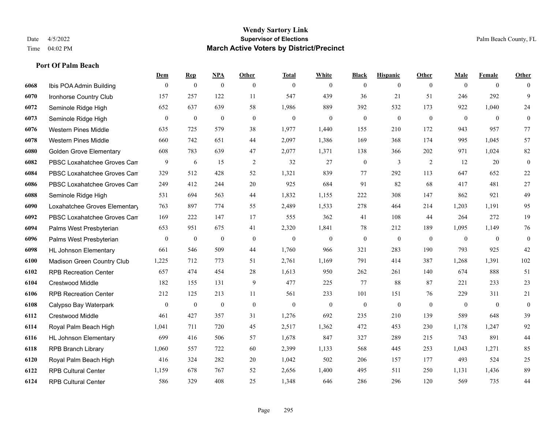|      |                                | Dem              | <b>Rep</b>       | NPA              | <b>Other</b>   | <b>Total</b> | <b>White</b>     | <b>Black</b>     | <b>Hispanic</b> | <b>Other</b>   | <b>Male</b>    | <b>Female</b>  | <b>Other</b>     |
|------|--------------------------------|------------------|------------------|------------------|----------------|--------------|------------------|------------------|-----------------|----------------|----------------|----------------|------------------|
| 6068 | Ibis POA Admin Building        | $\mathbf{0}$     | $\boldsymbol{0}$ | $\boldsymbol{0}$ | $\overline{0}$ | $\theta$     | $\overline{0}$   | $\mathbf{0}$     | $\mathbf{0}$    | $\overline{0}$ | $\mathbf{0}$   | $\overline{0}$ | $\theta$         |
| 6070 | Ironhorse Country Club         | 157              | 257              | 122              | 11             | 547          | 439              | 36               | 21              | 51             | 246            | 292            | 9                |
| 6072 | Seminole Ridge High            | 652              | 637              | 639              | 58             | 1,986        | 889              | 392              | 532             | 173            | 922            | 1,040          | 24               |
| 6073 | Seminole Ridge High            | $\boldsymbol{0}$ | $\boldsymbol{0}$ | $\boldsymbol{0}$ | $\mathbf{0}$   | $\mathbf{0}$ | $\overline{0}$   | $\boldsymbol{0}$ | $\mathbf{0}$    | $\mathbf{0}$   | $\mathbf{0}$   | $\mathbf{0}$   | $\mathbf{0}$     |
| 6076 | <b>Western Pines Middle</b>    | 635              | 725              | 579              | 38             | 1,977        | 1,440            | 155              | 210             | 172            | 943            | 957            | 77               |
| 6078 | <b>Western Pines Middle</b>    | 660              | 742              | 651              | 44             | 2,097        | 1,386            | 169              | 368             | 174            | 995            | 1,045          | 57               |
| 6080 | <b>Golden Grove Elementary</b> | 608              | 783              | 639              | 47             | 2,077        | 1,371            | 138              | 366             | 202            | 971            | 1,024          | 82               |
| 6082 | PBSC Loxahatchee Groves Can    | 9                | 6                | 15               | 2              | 32           | 27               | $\mathbf{0}$     | 3               | 2              | 12             | 20             | $\mathbf{0}$     |
| 6084 | PBSC Loxahatchee Groves Can    | 329              | 512              | 428              | 52             | 1,321        | 839              | 77               | 292             | 113            | 647            | 652            | $22\,$           |
| 6086 | PBSC Loxahatchee Groves Can    | 249              | 412              | 244              | 20             | 925          | 684              | 91               | 82              | 68             | 417            | 481            | 27               |
| 6088 | Seminole Ridge High            | 531              | 694              | 563              | 44             | 1,832        | 1,155            | 222              | 308             | 147            | 862            | 921            | 49               |
| 6090 | Loxahatchee Groves Elementary  | 763              | 897              | 774              | 55             | 2,489        | 1,533            | 278              | 464             | 214            | 1,203          | 1,191          | 95               |
| 6092 | PBSC Loxahatchee Groves Can    | 169              | 222              | 147              | 17             | 555          | 362              | 41               | 108             | 44             | 264            | 272            | 19               |
| 6094 | Palms West Presbyterian        | 653              | 951              | 675              | 41             | 2,320        | 1,841            | 78               | 212             | 189            | 1,095          | 1,149          | 76               |
| 6096 | Palms West Presbyterian        | $\boldsymbol{0}$ | $\bf{0}$         | $\boldsymbol{0}$ | $\mathbf{0}$   | $\mathbf{0}$ | $\boldsymbol{0}$ | $\mathbf{0}$     | $\mathbf{0}$    | $\overline{0}$ | $\overline{0}$ | $\overline{0}$ | $\boldsymbol{0}$ |
| 6098 | <b>HL Johnson Elementary</b>   | 661              | 546              | 509              | 44             | 1,760        | 966              | 321              | 283             | 190            | 793            | 925            | 42               |
| 6100 | Madison Green Country Club     | 1,225            | 712              | 773              | 51             | 2,761        | 1,169            | 791              | 414             | 387            | 1,268          | 1,391          | 102              |
| 6102 | <b>RPB Recreation Center</b>   | 657              | 474              | 454              | 28             | 1,613        | 950              | 262              | 261             | 140            | 674            | 888            | 51               |
| 6104 | <b>Crestwood Middle</b>        | 182              | 155              | 131              | 9              | 477          | 225              | 77               | 88              | 87             | 221            | 233            | 23               |
| 6106 | <b>RPB Recreation Center</b>   | 212              | 125              | 213              | 11             | 561          | 233              | 101              | 151             | 76             | 229            | 311            | $21\,$           |
| 6108 | Calypso Bay Waterpark          | $\overline{0}$   | $\bf{0}$         | $\boldsymbol{0}$ | $\theta$       | $\mathbf{0}$ | $\overline{0}$   | $\boldsymbol{0}$ | $\mathbf{0}$    | $\theta$       | $\theta$       | $\overline{0}$ | $\mathbf{0}$     |
| 6112 | <b>Crestwood Middle</b>        | 461              | 427              | 357              | 31             | 1,276        | 692              | 235              | 210             | 139            | 589            | 648            | 39               |
| 6114 | Royal Palm Beach High          | 1,041            | 711              | 720              | 45             | 2,517        | 1,362            | 472              | 453             | 230            | 1,178          | 1,247          | 92               |
| 6116 | <b>HL Johnson Elementary</b>   | 699              | 416              | 506              | 57             | 1,678        | 847              | 327              | 289             | 215            | 743            | 891            | $44\,$           |
| 6118 | <b>RPB Branch Library</b>      | 1,060            | 557              | 722              | 60             | 2,399        | 1,133            | 568              | 445             | 253            | 1,043          | 1,271          | 85               |
| 6120 | Royal Palm Beach High          | 416              | 324              | 282              | 20             | 1,042        | 502              | 206              | 157             | 177            | 493            | 524            | $25\,$           |
| 6122 | <b>RPB Cultural Center</b>     | 1,159            | 678              | 767              | 52             | 2,656        | 1,400            | 495              | 511             | 250            | 1,131          | 1,436          | 89               |
| 6124 | <b>RPB Cultural Center</b>     | 586              | 329              | 408              | 25             | 1,348        | 646              | 286              | 296             | 120            | 569            | 735            | 44               |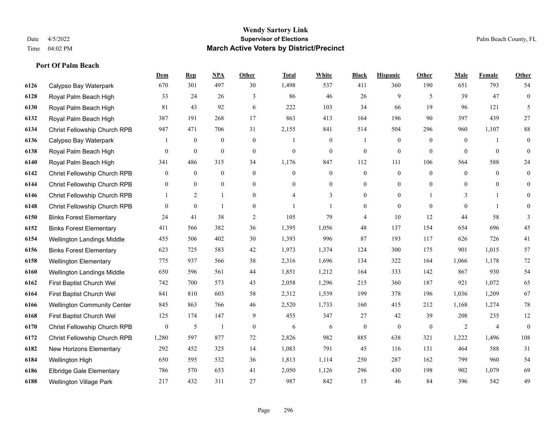**Port Of Palm Beach**

#### **Wendy Sartory Link** Date 4/5/2022 **Supervisor of Elections** Palm Beach County, FL Time 04:02 PM **March Active Voters by District/Precinct**

**Dem Rep NPA Other Total White Black Hispanic Other Male Female Other**

# Calypso Bay Waterpark 670 301 497 30 1,498 537 411 360 190 651 793 54 Royal Palm Beach High 33 24 26 3 86 46 26 9 5 39 47 0 Royal Palm Beach High 81 43 92 6 222 103 34 66 19 96 121 5 Royal Palm Beach High 387 191 268 17 863 413 164 196 90 397 439 27 Christ Fellowship Church RPB 947 471 706 31 2,155 841 514 504 296 960 1,107 88 Calypso Bay Waterpark 1 0 0 0 0 1 0 0 1 0 0 0 1 0 0 0 1 0 Royal Palm Beach High 0 0 0 0 0 0 0 0 0 0 0 0 Royal Palm Beach High 341 486 315 34 1,176 847 112 111 106 564 588 24 Christ Fellowship Church RPB 0 0 0 0 0 0 0 0 0 0 0 0 Christ Fellowship Church RPB 0 0 0 0 0 0 0 0 0 0 0 0 Christ Fellowship Church RPB 1 2 1 0 4 3 0 0 1 3 1 0 Christ Fellowship Church RPB 0 0 1 0 1 1 0 0 0 0 1 0 Binks Forest Elementary 24 41 38 2 105 79 4 10 12 44 58 3 Binks Forest Elementary 411 566 382 36 1,395 1,056 48 137 154 654 696 45 Wellington Landings Middle 455 506 402 30 1,393 996 87 193 117 626 726 41 Binks Forest Elementary 623 725 583 42 1,973 1,374 124 300 175 901 1,015 57 Wellington Elementary 775 937 566 38 2,316 1,696 134 322 164 1,066 1,178 72 Wellington Landings Middle 650 596 561 44 1,851 1,212 164 333 142 867 930 54 First Baptist Church Wel 742 700 573 43 2,058 1,296 215 360 187 921 1,072 65 First Baptist Church Wel 841 810 603 58 2,312 1,539 199 378 196 1,036 1,209 67 Wellington Community Center 845 863 766 46 2,520 1,733 160 415 212 1,168 1,274 78 First Baptist Church Wel 125 174 147 9 455 347 27 42 39 208 235 12 Christ Fellowship Church RPB 0 5 1 0 6 6 0 0 0 2 4 0 Christ Fellowship Church RPB 1,280 597 877 72 2,826 982 885 638 321 1,222 1,496 108 New Horizons Elementary 292 452 325 14 1,083 791 45 116 131 464 588 31 Wellington High 650 595 532 36 1,813 1,114 250 287 162 799 960 54 Elbridge Gale Elementary 786 570 653 41 2,050 1,126 296 430 198 902 1,079 69

Wellington Village Park 217 432 311 27 987 842 15 46 84 396 542 49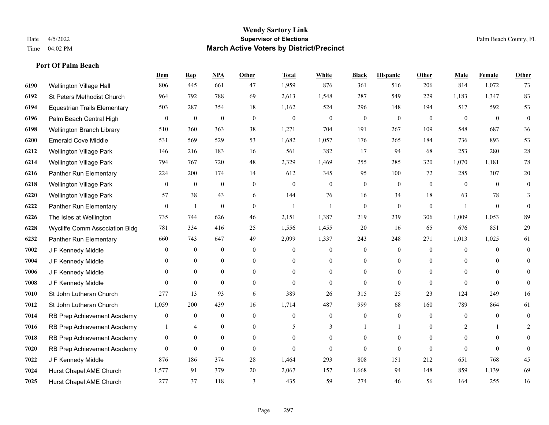|      |                                     | Dem            | <b>Rep</b>       | NPA              | <b>Other</b>   | <b>Total</b>     | <b>White</b>     | <b>Black</b>     | <b>Hispanic</b>  | Other        | <b>Male</b>    | Female         | Other            |
|------|-------------------------------------|----------------|------------------|------------------|----------------|------------------|------------------|------------------|------------------|--------------|----------------|----------------|------------------|
| 6190 | Wellington Village Hall             | 806            | 445              | 661              | 47             | 1,959            | 876              | 361              | 516              | 206          | 814            | 1,072          | 73               |
| 6192 | St Peters Methodist Church          | 964            | 792              | 788              | 69             | 2,613            | 1,548            | 287              | 549              | 229          | 1,183          | 1,347          | 83               |
| 6194 | <b>Equestrian Trails Elementary</b> | 503            | 287              | 354              | 18             | 1,162            | 524              | 296              | 148              | 194          | 517            | 592            | 53               |
| 6196 | Palm Beach Central High             | $\overline{0}$ | $\boldsymbol{0}$ | $\boldsymbol{0}$ | $\mathbf{0}$   | $\boldsymbol{0}$ | $\boldsymbol{0}$ | $\boldsymbol{0}$ | $\mathbf{0}$     | $\mathbf{0}$ | $\mathbf{0}$   | $\mathbf{0}$   | $\mathbf{0}$     |
| 6198 | Wellington Branch Library           | 510            | 360              | 363              | 38             | 1,271            | 704              | 191              | 267              | 109          | 548            | 687            | 36               |
| 6200 | <b>Emerald Cove Middle</b>          | 531            | 569              | 529              | 53             | 1,682            | 1,057            | 176              | 265              | 184          | 736            | 893            | 53               |
| 6212 | <b>Wellington Village Park</b>      | 146            | 216              | 183              | 16             | 561              | 382              | 17               | 94               | 68           | 253            | 280            | 28               |
| 6214 | <b>Wellington Village Park</b>      | 794            | 767              | 720              | 48             | 2,329            | 1,469            | 255              | 285              | 320          | 1,070          | 1,181          | $78\,$           |
| 6216 | Panther Run Elementary              | 224            | 200              | 174              | 14             | 612              | 345              | 95               | 100              | 72           | 285            | 307            | $20\,$           |
| 6218 | <b>Wellington Village Park</b>      | 0              | $\boldsymbol{0}$ | $\mathbf{0}$     | $\overline{0}$ | $\mathbf{0}$     | $\boldsymbol{0}$ | $\boldsymbol{0}$ | $\mathbf{0}$     | $\mathbf{0}$ | $\mathbf{0}$   | $\theta$       | $\boldsymbol{0}$ |
| 6220 | Wellington Village Park             | 57             | 38               | 43               | 6              | 144              | 76               | 16               | 34               | 18           | 63             | 78             | 3                |
| 6222 | Panther Run Elementary              | 0              | -1               | $\overline{0}$   | $\overline{0}$ | $\overline{1}$   | 1                | $\mathbf{0}$     | $\mathbf{0}$     | $\mathbf{0}$ | -1             | $\theta$       | $\theta$         |
| 6226 | The Isles at Wellington             | 735            | 744              | 626              | 46             | 2,151            | 1,387            | 219              | 239              | 306          | 1,009          | 1,053          | 89               |
| 6228 | Wycliffe Comm Association Bldg      | 781            | 334              | 416              | 25             | 1,556            | 1,455            | 20               | 16               | 65           | 676            | 851            | 29               |
| 6232 | Panther Run Elementary              | 660            | 743              | 647              | 49             | 2,099            | 1,337            | 243              | 248              | 271          | 1,013          | 1,025          | 61               |
| 7002 | J F Kennedy Middle                  | 0              | $\mathbf{0}$     | $\mathbf{0}$     | $\overline{0}$ | $\theta$         | $\overline{0}$   | $\mathbf{0}$     | $\mathbf{0}$     | $\theta$     | $\mathbf{0}$   | $\theta$       | $\overline{0}$   |
| 7004 | J F Kennedy Middle                  | 0              | $\boldsymbol{0}$ | $\boldsymbol{0}$ | $\mathbf{0}$   | $\theta$         | $\boldsymbol{0}$ | $\boldsymbol{0}$ | $\boldsymbol{0}$ | $\mathbf{0}$ | $\overline{0}$ | $\overline{0}$ | $\Omega$         |
| 7006 | J F Kennedy Middle                  | 0              | $\mathbf{0}$     | $\overline{0}$   | $\overline{0}$ | $\theta$         | $\overline{0}$   | $\mathbf{0}$     | $\mathbf{0}$     | $\theta$     | $\theta$       | $\theta$       | 0                |
| 7008 | J F Kennedy Middle                  | 0              | $\mathbf{0}$     | $\mathbf{0}$     | $\theta$       | $\theta$         | $\mathbf{0}$     | $\theta$         | $\theta$         | $\theta$     | $\theta$       | $\theta$       | $\Omega$         |
| 7010 | St John Lutheran Church             | 277            | 13               | 93               | 6              | 389              | 26               | 315              | 25               | 23           | 124            | 249            | 16               |
| 7012 | St John Lutheran Church             | 1,059          | 200              | 439              | 16             | 1,714            | 487              | 999              | 68               | 160          | 789            | 864            | 61               |
| 7014 | RB Prep Achievement Academy         | 0              | $\boldsymbol{0}$ | $\mathbf{0}$     | $\overline{0}$ | $\theta$         | $\boldsymbol{0}$ | $\theta$         | $\mathbf{0}$     | $\theta$     | $\mathbf{0}$   | $\Omega$       | $\overline{0}$   |
| 7016 | RB Prep Achievement Academy         | 1              | 4                | $\mathbf{0}$     | $\overline{0}$ | 5                | 3                |                  | 1                | $\mathbf{0}$ | 2              |                | 2                |
| 7018 | RB Prep Achievement Academy         | 0              | $\mathbf{0}$     | $\mathbf{0}$     | $\overline{0}$ | $\theta$         | $\overline{0}$   | $\boldsymbol{0}$ | $\mathbf{0}$     | $\theta$     | $\mathbf{0}$   | $\overline{0}$ | $\theta$         |
| 7020 | RB Prep Achievement Academy         | $\overline{0}$ | $\mathbf{0}$     | $\theta$         | $\Omega$       | $\theta$         | $\Omega$         | $\theta$         | $\theta$         | $\theta$     | $\theta$       | $\Omega$       | $\Omega$         |
| 7022 | J F Kennedy Middle                  | 876            | 186              | 374              | 28             | 1,464            | 293              | 808              | 151              | 212          | 651            | 768            | 45               |
| 7024 | Hurst Chapel AME Church             | 1,577          | 91               | 379              | 20             | 2,067            | 157              | 1,668            | 94               | 148          | 859            | 1,139          | 69               |
| 7025 | Hurst Chapel AME Church             | 277            | 37               | 118              | 3              | 435              | 59               | 274              | 46               | 56           | 164            | 255            | 16               |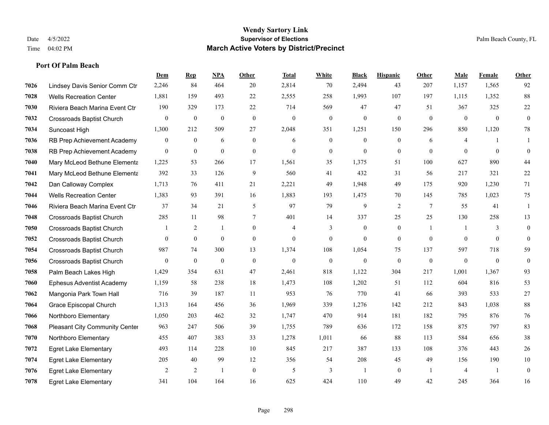|      |                                       | Dem              | <b>Rep</b>       | NPA              | <b>Other</b>   | <b>Total</b>     | <b>White</b>     | <b>Black</b>     | <b>Hispanic</b> | Other          | <b>Male</b>    | Female       | <b>Other</b>     |
|------|---------------------------------------|------------------|------------------|------------------|----------------|------------------|------------------|------------------|-----------------|----------------|----------------|--------------|------------------|
| 7026 | Lindsey Davis Senior Comm Ctr         | 2,246            | 84               | 464              | 20             | 2,814            | 70               | 2,494            | 43              | 207            | 1,157          | 1,565        | 92               |
| 7028 | <b>Wells Recreation Center</b>        | 1,881            | 159              | 493              | 22             | 2,555            | 258              | 1,993            | 107             | 197            | 1,115          | 1,352        | 88               |
| 7030 | Riviera Beach Marina Event Ctr        | 190              | 329              | 173              | 22             | 714              | 569              | 47               | 47              | 51             | 367            | 325          | $22\,$           |
| 7032 | <b>Crossroads Baptist Church</b>      | $\boldsymbol{0}$ | $\bf{0}$         | $\boldsymbol{0}$ | $\mathbf{0}$   | $\boldsymbol{0}$ | $\boldsymbol{0}$ | $\boldsymbol{0}$ | $\mathbf{0}$    | $\mathbf{0}$   | $\mathbf{0}$   | $\mathbf{0}$ | $\boldsymbol{0}$ |
| 7034 | Suncoast High                         | 1,300            | 212              | 509              | 27             | 2,048            | 351              | 1,251            | 150             | 296            | 850            | 1,120        | $78\,$           |
| 7036 | RB Prep Achievement Academy           | $\overline{0}$   | $\bf{0}$         | 6                | $\overline{0}$ | 6                | $\overline{0}$   | $\mathbf{0}$     | $\mathbf{0}$    | 6              | 4              | -1           | -1               |
| 7038 | RB Prep Achievement Academy           | $\mathbf{0}$     | $\boldsymbol{0}$ | $\mathbf{0}$     | $\overline{0}$ | $\mathbf{0}$     | $\boldsymbol{0}$ | $\boldsymbol{0}$ | $\mathbf{0}$    | $\mathbf{0}$   | $\mathbf{0}$   | $\mathbf{0}$ | $\mathbf{0}$     |
| 7040 | Mary McLeod Bethune Elementa          | 1,225            | 53               | 266              | 17             | 1,561            | 35               | 1,375            | 51              | 100            | 627            | 890          | 44               |
| 7041 | Mary McLeod Bethune Elementa          | 392              | 33               | 126              | 9              | 560              | 41               | 432              | 31              | 56             | 217            | 321          | $22\,$           |
| 7042 | Dan Calloway Complex                  | 1,713            | 76               | 411              | 21             | 2,221            | 49               | 1.948            | 49              | 175            | 920            | 1,230        | 71               |
| 7044 | <b>Wells Recreation Center</b>        | 1,383            | 93               | 391              | 16             | 1,883            | 193              | 1,475            | 70              | 145            | 785            | 1,023        | 75               |
| 7046 | Riviera Beach Marina Event Ctr        | 37               | 34               | 21               | 5              | 97               | 79               | 9                | 2               | $\overline{7}$ | 55             | 41           | 1                |
| 7048 | <b>Crossroads Baptist Church</b>      | 285              | 11               | 98               | $\tau$         | 401              | 14               | 337              | 25              | 25             | 130            | 258          | 13               |
| 7050 | Crossroads Baptist Church             |                  | 2                | 1                | $\overline{0}$ | 4                | 3                | $\boldsymbol{0}$ | $\mathbf{0}$    | $\overline{1}$ | -1             | 3            | $\boldsymbol{0}$ |
| 7052 | <b>Crossroads Baptist Church</b>      | $\overline{0}$   | $\mathbf{0}$     | $\mathbf{0}$     | $\overline{0}$ | $\mathbf{0}$     | $\overline{0}$   | $\mathbf{0}$     | $\mathbf{0}$    | $\theta$       | $\theta$       | $\theta$     | $\mathbf{0}$     |
| 7054 | <b>Crossroads Baptist Church</b>      | 987              | 74               | 300              | 13             | 1,374            | 108              | 1,054            | 75              | 137            | 597            | 718          | 59               |
| 7056 | <b>Crossroads Baptist Church</b>      | $\mathbf{0}$     | $\mathbf{0}$     | $\mathbf{0}$     | $\mathbf{0}$   | $\mathbf{0}$     | $\mathbf{0}$     | $\mathbf{0}$     | $\theta$        | $\theta$       | $\mathbf{0}$   | $\theta$     | $\theta$         |
| 7058 | Palm Beach Lakes High                 | 1,429            | 354              | 631              | 47             | 2,461            | 818              | 1,122            | 304             | 217            | 1,001          | 1,367        | 93               |
| 7060 | <b>Ephesus Adventist Academy</b>      | 1,159            | 58               | 238              | 18             | 1,473            | 108              | 1,202            | 51              | 112            | 604            | 816          | 53               |
| 7062 | Mangonia Park Town Hall               | 716              | 39               | 187              | 11             | 953              | 76               | 770              | 41              | 66             | 393            | 533          | 27               |
| 7064 | Grace Episcopal Church                | 1,313            | 164              | 456              | 36             | 1,969            | 339              | 1,276            | 142             | 212            | 843            | 1.038        | $\bf 88$         |
| 7066 | Northboro Elementary                  | 1,050            | 203              | 462              | 32             | 1,747            | 470              | 914              | 181             | 182            | 795            | 876          | 76               |
| 7068 | <b>Pleasant City Community Center</b> | 963              | 247              | 506              | 39             | 1,755            | 789              | 636              | 172             | 158            | 875            | 797          | 83               |
| 7070 | Northboro Elementary                  | 455              | 407              | 383              | 33             | 1,278            | 1,011            | 66               | 88              | 113            | 584            | 656          | 38               |
| 7072 | <b>Egret Lake Elementary</b>          | 493              | 114              | 228              | 10             | 845              | 217              | 387              | 133             | 108            | 376            | 443          | $26\,$           |
| 7074 | <b>Egret Lake Elementary</b>          | 205              | 40               | 99               | 12             | 356              | 54               | 208              | 45              | 49             | 156            | 190          | 10               |
| 7076 | <b>Egret Lake Elementary</b>          | 2                | 2                | $\overline{1}$   | $\overline{0}$ | 5                | 3                | $\mathbf{1}$     | $\mathbf{0}$    | $\overline{1}$ | $\overline{4}$ | -1           | $\mathbf{0}$     |
| 7078 | <b>Egret Lake Elementary</b>          | 341              | 104              | 164              | 16             | 625              | 424              | 110              | 49              | 42             | 245            | 364          | 16               |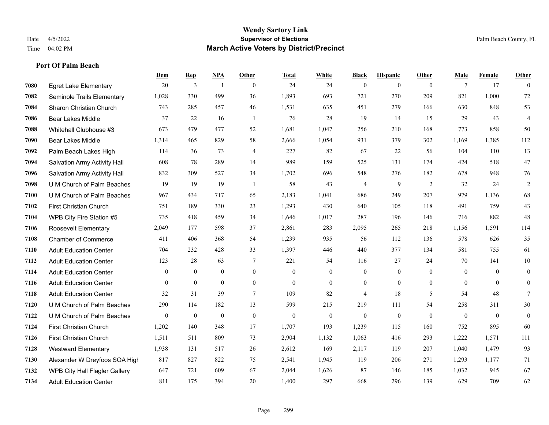**Port Of Palm Beach**

#### **Wendy Sartory Link** Date 4/5/2022 **Supervisor of Elections** Palm Beach County, FL Time 04:02 PM **March Active Voters by District/Precinct**

# **Dem Rep NPA Other Total White Black Hispanic Other Male Female Other** Egret Lake Elementary 20 3 1 0 24 24 0 0 0 7 17 0 Seminole Trails Elementary 1,028 330 499 36 1,893 693 721 270 209 821 1,000 72 Sharon Christian Church 743 285 457 46 1,531 635 451 279 166 630 848 53 Bear Lakes Middle 37 22 16 1 76 28 19 14 15 29 43 4 Whitehall Clubhouse #3 673 479 477 52 1,681 1,047 256 210 168 773 858 50 Bear Lakes Middle 1,314 465 829 58 2,666 1,054 931 379 302 1,169 1,385 112 Palm Beach Lakes High 114 36 73 4 227 82 67 22 56 104 110 13 Salvation Army Activity Hall 608 78 289 14 989 159 525 131 174 424 518 47 Salvation Army Activity Hall 832 309 527 34 1,702 696 548 276 182 678 948 76 U M Church of Palm Beaches 19 19 19 1 58 43 4 9 2 32 24 2 U M Church of Palm Beaches 967 434 717 65 2,183 1,041 686 249 207 979 1,136 68 First Christian Church 751 189 330 23 1,293 430 640 105 118 491 759 43 WPB City Fire Station #5 735 418 459 34 1,646 1,017 287 196 146 716 882 48 Roosevelt Elementary 2,049 177 598 37 2,861 283 2,095 265 218 1,156 1,591 114 Chamber of Commerce 411 406 368 54 1,239 935 56 112 136 578 626 35 Adult Education Center 704 232 428 33 1,397 446 440 377 134 581 755 61 Adult Education Center 123 28 63 7 221 54 116 27 24 70 141 10 Adult Education Center 0 0 0 0 0 0 0 0 0 0 0 0 Adult Education Center 0 0 0 0 0 0 0 0 0 0 0 0 Adult Education Center 32 31 39 7 109 82 4 18 5 54 48 7 U M Church of Palm Beaches 290 114 182 13 599 215 219 111 54 258 311 30 U M Church of Palm Beaches 0 0 0 0 0 0 0 0 0 0 0 0 First Christian Church 1,202 140 348 17 1,707 193 1,239 115 160 752 895 60 First Christian Church 1,511 511 809 73 2,904 1,132 1,063 416 293 1,222 1,571 111 Westward Elementary 1,938 131 517 26 2,612 169 2,117 119 207 1,040 1,479 93 Alexander W Dreyfoos SOA High 817 827 822 75 2,541 1,945 119 206 271 1,293 1,177 71 WPB City Hall Flagler Gallery 647 721 609 67 2,044 1,626 87 146 185 1,032 945 67 Adult Education Center 811 175 394 20 1,400 297 668 296 139 629 709 62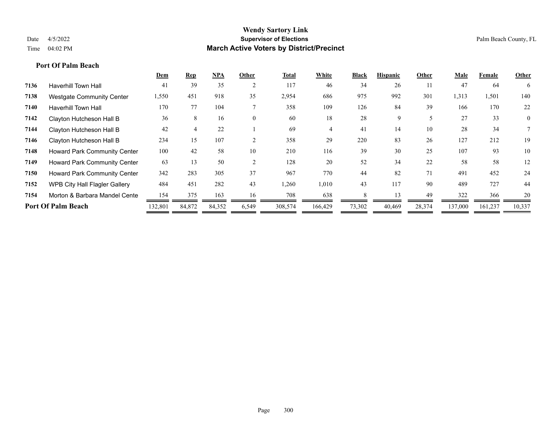|      |                                     | Dem     | <u>Rep</u> | <b>NPA</b> | Other    | Total   | White   | <b>Black</b> | <b>Hispanic</b> | Other  | Male    | Female  | Other          |
|------|-------------------------------------|---------|------------|------------|----------|---------|---------|--------------|-----------------|--------|---------|---------|----------------|
| 7136 | <b>Haverhill Town Hall</b>          | 41      | 39         | 35         |          | 117     | 46      | 34           | 26              | 11     | 47      | 64      | 6              |
| 7138 | <b>Westgate Community Center</b>    | 1,550   | 451        | 918        | 35       | 2,954   | 686     | 975          | 992             | 301    | 1,313   | 1,501   | 140            |
| 7140 | <b>Haverhill Town Hall</b>          | 170     | 77         | 104        |          | 358     | 109     | 126          | 84              | 39     | 166     | 170     | 22             |
| 7142 | Clayton Hutcheson Hall B            | 36      | 8          | 16         | $\theta$ | 60      | 18      | 28           | 9               |        | 27      | 33      | $\overline{0}$ |
| 7144 | Clayton Hutcheson Hall B            | 42      |            | 22         |          | 69      | 4       | 41           | 14              | 10     | 28      | 34      |                |
| 7146 | Clayton Hutcheson Hall B            | 234     | 15         | 107        |          | 358     | 29      | 220          | 83              | 26     | 127     | 212     | 19             |
| 7148 | <b>Howard Park Community Center</b> | 100     | 42         | 58         | 10       | 210     | 116     | 39           | 30              | 25     | 107     | 93      | 10             |
| 7149 | Howard Park Community Center        | 63      | 13         | 50         |          | 128     | 20      | 52           | 34              | 22     | 58      | 58      | 12             |
| 7150 | <b>Howard Park Community Center</b> | 342     | 283        | 305        | 37       | 967     | 770     | 44           | 82              | 71     | 491     | 452     | 24             |
| 7152 | WPB City Hall Flagler Gallery       | 484     | 451        | 282        | 43       | 1,260   | 1,010   | 43           | 117             | 90     | 489     | 727     | 44             |
| 7154 | Morton & Barbara Mandel Cente       | 154     | 375        | 163        | 16       | 708     | 638     | 8            | 13              | 49     | 322     | 366     | 20             |
|      | <b>Port Of Palm Beach</b>           | 132,801 | 84,872     | 84,352     | 6,549    | 308,574 | 166,429 | 73,302       | 40,469          | 28,374 | 137,000 | 161,237 | 10,337         |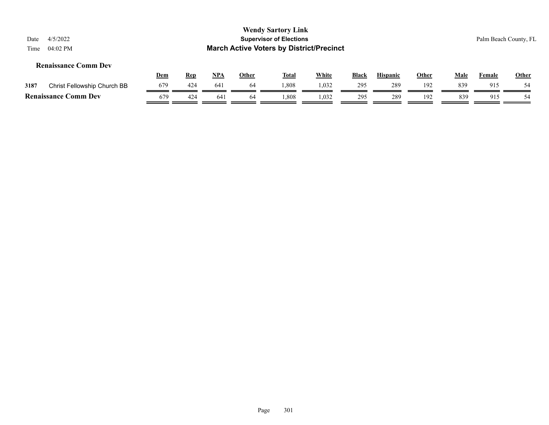| 4/5/2022<br>Date<br>04:02 PM<br>Time |            |            |            |              | <b>Wendy Sartory Link</b><br><b>Supervisor of Elections</b><br><b>March Active Voters by District/Precinct</b> |              |              |                 |              |      |        | Palm Beach County, FL |
|--------------------------------------|------------|------------|------------|--------------|----------------------------------------------------------------------------------------------------------------|--------------|--------------|-----------------|--------------|------|--------|-----------------------|
| <b>Renaissance Comm Dev</b>          | <u>Dem</u> | <b>Rep</b> | <u>NPA</u> | <b>Other</b> | <u>Total</u>                                                                                                   | <b>White</b> | <b>Black</b> | <b>Hispanic</b> | <b>Other</b> | Male | Female | Other                 |
| 3187<br>Christ Fellowship Church BB  | 679        | 424        | 641        | -64          | 1,808                                                                                                          | 1,032        | 295          | 289             | 192          | 839  | 915    | 54                    |
| <b>Renaissance Comm Dev</b>          | 679        | 424        | 641        | 64           | 1.808                                                                                                          | 1,032        | 295          | 289             | 192          | 839  | 915    | 54                    |
|                                      |            |            |            |              |                                                                                                                |              |              |                 |              |      |        |                       |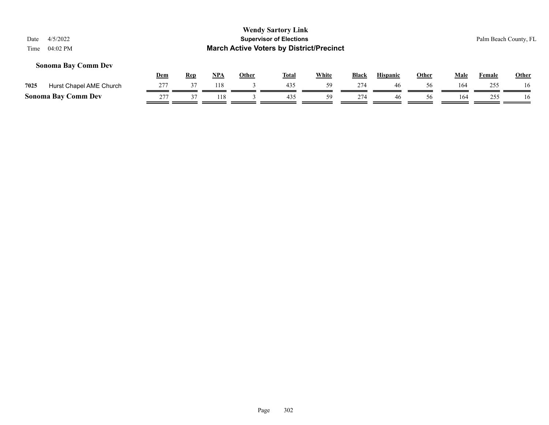## **Sonoma Bay Comm Dev**

|      |                            | Dem | Rep | NP/ | Other | <b>Total</b> | <b>White</b> | <b>Black</b> | <b>Hispanic</b> | Other | Male | Female | <b>Other</b> |
|------|----------------------------|-----|-----|-----|-------|--------------|--------------|--------------|-----------------|-------|------|--------|--------------|
| 7025 | Hurst Chapel AME Church    |     |     | !18 |       | 435          | 50.          | 274          |                 | 56    | 164  | 255    | 16           |
|      | <b>Sonoma Bay Comm Dev</b> | 277 |     |     |       |              | 50           | 274          | 46              | 56    | 164  | ,,,    | 16           |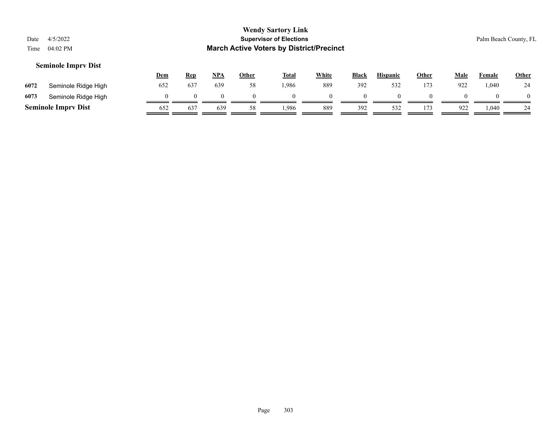|      |                            |            |            |     |              | <b>Wendy Sartory Link</b>                       |              |       |                 |              |      |               |                       |
|------|----------------------------|------------|------------|-----|--------------|-------------------------------------------------|--------------|-------|-----------------|--------------|------|---------------|-----------------------|
| Date | 4/5/2022                   |            |            |     |              | <b>Supervisor of Elections</b>                  |              |       |                 |              |      |               | Palm Beach County, FL |
| Time | 04:02 PM                   |            |            |     |              | <b>March Active Voters by District/Precinct</b> |              |       |                 |              |      |               |                       |
|      | <b>Seminole Imprv Dist</b> | <u>Dem</u> | <u>Rep</u> | NPA | <u>Other</u> | <u>Total</u>                                    | <b>White</b> | Black | <b>Hispanic</b> | <b>Other</b> | Male | <b>Female</b> | <b>Other</b>          |
| 6072 | Seminole Ridge High        | 652        | 637        | 639 | 58           | 1,986                                           | 889          | 392   | 532             | 173          | 922  | 1,040         | 24                    |

| 6073     | .<br>Hiah<br>JUULT. |                                 |              |     |      |     |     |  |          |      |    |
|----------|---------------------|---------------------------------|--------------|-----|------|-----|-----|--|----------|------|----|
| Saminola | 'mnry<br>Dıst       | . <b>. .</b><br>02 <sub>4</sub> | $\sim$<br>O. | 639 | ,986 | 889 | ٩Q٢ |  | $\Omega$ | .040 | 24 |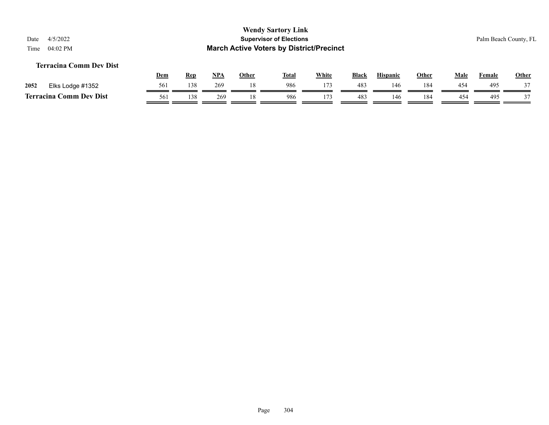## **Terracina Comm Dev Dist**

|      |                                     | <u>Dem</u> | <b>Rep</b> | <b>NPA</b> | Other | <b>Total</b> | White | <b>Black</b> | <b>Hispanic</b> | Other | Male | Female | <b>Other</b> |
|------|-------------------------------------|------------|------------|------------|-------|--------------|-------|--------------|-----------------|-------|------|--------|--------------|
| 2052 | Elks Lodge #1352                    | 561        | 138        | 269        |       | 986          | 173   | 483          | .46             | l 84  | 454  | 495    | $\sim$       |
|      | <b>Comm Dev Dist</b><br>Terracina C | 561        | 138        | 269        |       | 986          | 173   | 483          | 146             | 184   | 454  | 495    |              |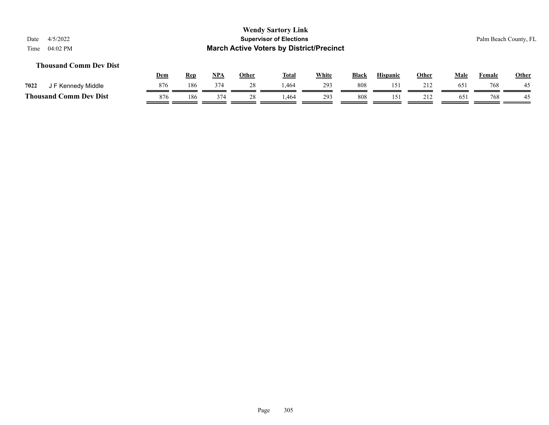## **Thousand Comm Dev Dist**

|                             | <u>Dem</u> | <b>Rep</b> | <b>NPA</b> | Other | <b>Total</b> | White | <b>Black</b> | <b>Hispanic</b> | Other      | Male            | Female | <u>Other</u> |
|-----------------------------|------------|------------|------------|-------|--------------|-------|--------------|-----------------|------------|-----------------|--------|--------------|
| 7022<br>F Kennedy Middle    | 876        | 186        | 374        |       | .464         | 293   | 808          | 15.             | 212<br>414 | 65 <sup>2</sup> | 768    | 45           |
| Thousand (<br>Comm Dev Dist | 876        | 186        | 374        |       | .464         | 293   | 808          |                 | 212        | 65 <sup>2</sup> | 768    | 45           |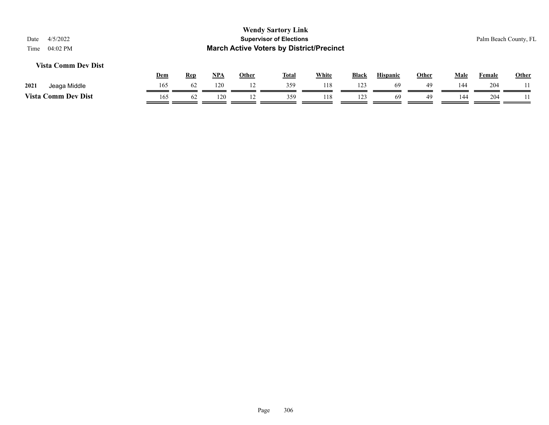## **Vista Comm Dev Dist**

|                            | Dem | <b>Rep</b> | NP/ | Other | <b>Total</b> | White | <b>Black</b> | <b>Hispanic</b> | Other | Male | Female | <b>Other</b> |
|----------------------------|-----|------------|-----|-------|--------------|-------|--------------|-----------------|-------|------|--------|--------------|
| 2021<br>Jeaga Middle       | 165 |            | 120 |       | 359          | 118   | 123          | -69             | 49    | 144  | 204    |              |
| <b>Vista Comm Dev Dist</b> | 165 | 64         | 120 |       | 359          | 118   | 123          | 69              | 49    | 144  | 204    |              |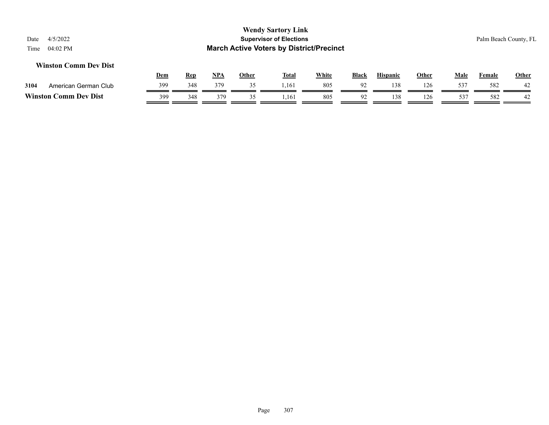## **Winston Comm Dev Dist**

|                |                      | Dem | Rep | <b>NPA</b> | Other | <b>Total</b> | White | <b>Black</b>   | Hispanic | Other | Male            | Female | <u>Other</u>      |
|----------------|----------------------|-----|-----|------------|-------|--------------|-------|----------------|----------|-------|-----------------|--------|-------------------|
| 3104           | American German Club | 399 | 348 | 379        | --    | 1,161        | 805   | Q <sub>2</sub> | 138      |       | 537             | 582    | $\Lambda$<br>$+2$ |
| <b>Winston</b> | Comm Dev Dist        | 399 | 348 | 379        |       | 1.161        | 805   | $\Omega$       | 138      | 126   | 53 <sup>7</sup> | 582    | 42                |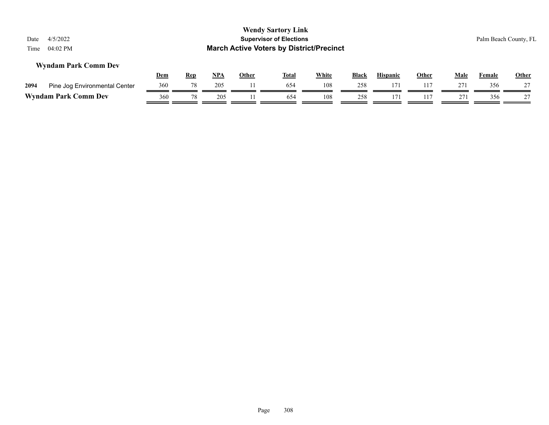| Date<br>Time | 4/5/2022<br>04:02 PM          |            |                  |                   |              | <b>Wendy Sartory Link</b><br><b>Supervisor of Elections</b><br><b>March Active Voters by District/Precinct</b> |                     |                     |                        |                     |                    | Palm Beach County, FL |                    |
|--------------|-------------------------------|------------|------------------|-------------------|--------------|----------------------------------------------------------------------------------------------------------------|---------------------|---------------------|------------------------|---------------------|--------------------|-----------------------|--------------------|
|              | <b>Wyndam Park Comm Dev</b>   |            |                  |                   |              |                                                                                                                |                     |                     |                        |                     |                    |                       |                    |
| 2094         | Pine Jog Environmental Center | Dem<br>360 | <b>Rep</b><br>78 | <u>NPA</u><br>205 | <b>Other</b> | Total<br>654                                                                                                   | <u>White</u><br>108 | <b>Black</b><br>258 | <b>Hispanic</b><br>171 | <b>Other</b><br>117 | <u>Male</u><br>271 | <b>Female</b><br>356  | <b>Other</b><br>27 |
|              | <b>Wyndam Park Comm Dev</b>   | 360        | 78               | 205               |              | 654                                                                                                            | 108                 | 258                 | 171                    | 117                 | 271                | 356                   | 27                 |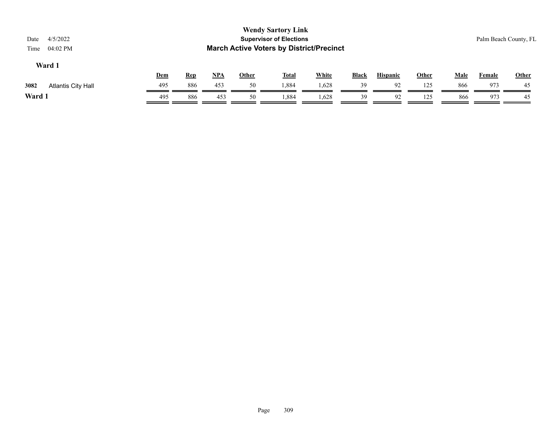| 4/5/2022<br>Date<br>04:02 PM<br>Time |     |            |            |              | <b>Wendy Sartory Link</b><br><b>Supervisor of Elections</b><br><b>March Active Voters by District/Precinct</b> |              |              |                 |       |             |               | Palm Beach County, FL |
|--------------------------------------|-----|------------|------------|--------------|----------------------------------------------------------------------------------------------------------------|--------------|--------------|-----------------|-------|-------------|---------------|-----------------------|
| Ward 1                               | Dem | <u>Rep</u> | <u>NPA</u> | <u>Other</u> | <u>Total</u>                                                                                                   | <b>White</b> | <b>Black</b> | <b>Hispanic</b> | Other | <b>Male</b> | <b>Female</b> | <b>Other</b>          |
| 3082<br>Atlantis City Hall           | 495 | 886        | 453        | 50           | 1,884                                                                                                          | 1,628        | 39           | 92              | 125   | 866         | 973           | 45                    |
| Ward 1                               | 495 | 886        | 453        | 50           | .884                                                                                                           | 1,628        | 39           | 92              | 125   | 866         | 973           | 45                    |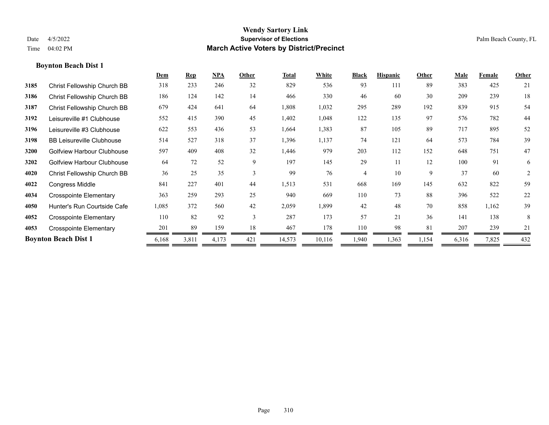## **Boynton Beach Dist 1**

|      |                                   | Dem   | <b>Rep</b> | $NPA$ | Other | Total  | White  | <b>Black</b>   | <b>Hispanic</b> | Other | Male  | Female | Other          |
|------|-----------------------------------|-------|------------|-------|-------|--------|--------|----------------|-----------------|-------|-------|--------|----------------|
| 3185 | Christ Fellowship Church BB       | 318   | 233        | 246   | 32    | 829    | 536    | 93             | 111             | 89    | 383   | 425    | 21             |
| 3186 | Christ Fellowship Church BB       | 186   | 124        | 142   | 14    | 466    | 330    | 46             | 60              | 30    | 209   | 239    | 18             |
| 3187 | Christ Fellowship Church BB       | 679   | 424        | 641   | 64    | 1,808  | 1,032  | 295            | 289             | 192   | 839   | 915    | 54             |
| 3192 | Leisureville #1 Clubhouse         | 552   | 415        | 390   | 45    | 1,402  | 1,048  | 122            | 135             | 97    | 576   | 782    | 44             |
| 3196 | Leisureville #3 Clubhouse         | 622   | 553        | 436   | 53    | 1,664  | 1,383  | 87             | 105             | 89    | 717   | 895    | 52             |
| 3198 | <b>BB Leisureville Clubhouse</b>  | 514   | 527        | 318   | 37    | 1,396  | 1,137  | 74             | 121             | 64    | 573   | 784    | 39             |
| 3200 | <b>Golfview Harbour Clubhouse</b> | 597   | 409        | 408   | 32    | 1,446  | 979    | 203            | 112             | 152   | 648   | 751    | 47             |
| 3202 | <b>Golfview Harbour Clubhouse</b> | 64    | 72         | 52    | 9     | 197    | 145    | 29             | 11              | 12    | 100   | 91     | 6              |
| 4020 | Christ Fellowship Church BB       | 36    | 25         | 35    | 3     | 99     | 76     | $\overline{4}$ | 10              | 9     | 37    | 60     | $\overline{2}$ |
| 4022 | <b>Congress Middle</b>            | 841   | 227        | 401   | 44    | 1,513  | 531    | 668            | 169             | 145   | 632   | 822    | 59             |
| 4034 | <b>Crosspointe Elementary</b>     | 363   | 259        | 293   | 25    | 940    | 669    | 110            | 73              | 88    | 396   | 522    | 22             |
| 4050 | Hunter's Run Courtside Cafe       | 1,085 | 372        | 560   | 42    | 2,059  | 1,899  | 42             | 48              | 70    | 858   | 1,162  | 39             |
| 4052 | <b>Crosspointe Elementary</b>     | 110   | 82         | 92    | 3     | 287    | 173    | 57             | 21              | 36    | 141   | 138    | 8              |
| 4053 | <b>Crosspointe Elementary</b>     | 201   | 89         | 159   | 18    | 467    | 178    | 110            | 98              | 81    | 207   | 239    | 21             |
|      | <b>Boynton Beach Dist 1</b>       | 6,168 | 3,811      | 4,173 | 421   | 14,573 | 10,116 | 1,940          | 1,363           | 1,154 | 6,316 | 7,825  | 432            |
|      |                                   |       |            |       |       |        |        |                |                 |       |       |        |                |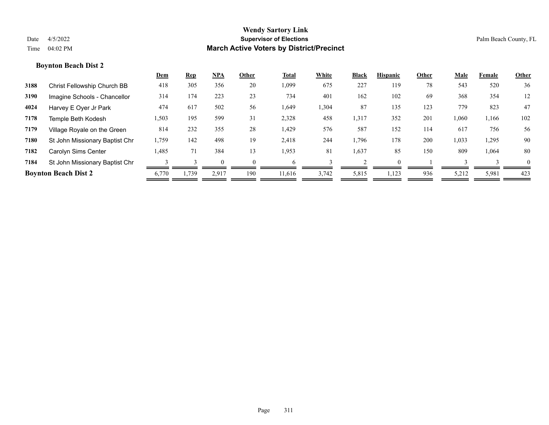## **Boynton Beach Dist 2**

|      |                                    | Dem   | <b>Rep</b> | $NPA$ | Other    | Total  | White | <b>Black</b> | <b>Hispanic</b> | Other | Male  | Female | Other    |
|------|------------------------------------|-------|------------|-------|----------|--------|-------|--------------|-----------------|-------|-------|--------|----------|
| 3188 | <b>Christ Fellowship Church BB</b> | 418   | 305        | 356   | 20       | 1,099  | 675   | 227          | 119             | 78    | 543   | 520    | 36       |
| 3190 | Imagine Schools - Chancellor       | 314   | 174        | 223   | 23       | 734    | 401   | 162          | 102             | 69    | 368   | 354    | 12       |
| 4024 | Harvey E Oyer Jr Park              | 474   | 617        | 502   | 56       | 1,649  | 1,304 | 87           | 135             | 123   | 779   | 823    | 47       |
| 7178 | Temple Beth Kodesh                 | 1,503 | 195        | 599   | 31       | 2,328  | 458   | 1,317        | 352             | 201   | 1,060 | 1,166  | 102      |
| 7179 | Village Royale on the Green        | 814   | 232        | 355   | 28       | 1,429  | 576   | 587          | 152             | 114   | 617   | 756    | 56       |
| 7180 | St John Missionary Baptist Chr     | 1,759 | 142        | 498   | 19       | 2,418  | 244   | 1,796        | 178             | 200   | 1,033 | 1,295  | 90       |
| 7182 | Carolyn Sims Center                | 1,485 | 71         | 384   | 13       | 1,953  | 81    | 1,637        | 85              | 150   | 809   | 1,064  | 80       |
| 7184 | St John Missionary Baptist Chr     |       |            |       | $\Omega$ | h      |       |              |                 |       |       |        | $\theta$ |
|      | <b>Boynton Beach Dist 2</b>        | 6,770 | 1,739      | 2,917 | 190      | 11.616 | 3,742 | 5,815        | 1,123           | 936   | 5,212 | 5,981  | 423      |
|      |                                    |       |            |       |          |        |       |              |                 |       |       |        |          |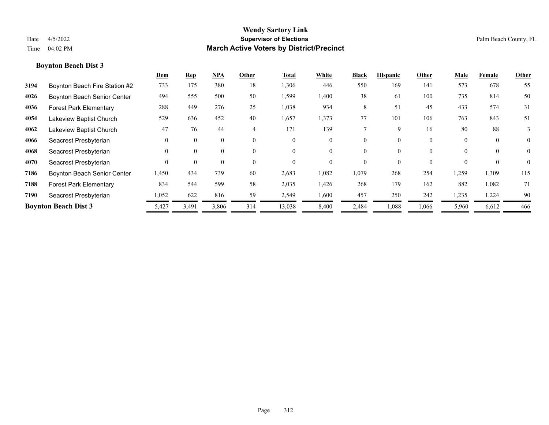## **Boynton Beach Dist 3**

|      |                               | Dem      | <b>Rep</b> | $NPA$    | Other          | Total    | White    | <b>Black</b> | <b>Hispanic</b> | Other    | Male     | Female   | Other          |
|------|-------------------------------|----------|------------|----------|----------------|----------|----------|--------------|-----------------|----------|----------|----------|----------------|
| 3194 | Boynton Beach Fire Station #2 | 733      | 175        | 380      | 18             | 1,306    | 446      | 550          | 169             | 141      | 573      | 678      | 55             |
| 4026 | Boynton Beach Senior Center   | 494      | 555        | 500      | 50             | 1,599    | 1,400    | 38           | 61              | 100      | 735      | 814      | 50             |
| 4036 | <b>Forest Park Elementary</b> | 288      | 449        | 276      | 25             | 1,038    | 934      | 8            | 51              | 45       | 433      | 574      | 31             |
| 4054 | Lakeview Baptist Church       | 529      | 636        | 452      | 40             | 1,657    | 1,373    | 77           | 101             | 106      | 763      | 843      | 51             |
| 4062 | Lakeview Baptist Church       | 47       | 76         | 44       | $\overline{4}$ | 171      | 139      |              | q               | 16       | 80       | 88       | 3              |
| 4066 | Seacrest Presbyterian         | $\Omega$ | $\theta$   | $\theta$ | $\theta$       | $\Omega$ | $\theta$ | 0            | 0               | $\theta$ | $\Omega$ | $\theta$ | $\overline{0}$ |
| 4068 | Seacrest Presbyterian         | $\Omega$ | $\theta$   | 0        | $\theta$       | $\Omega$ | $\theta$ | 0            | $\theta$        | $\Omega$ | $\Omega$ | $\theta$ | $\theta$       |
| 4070 | Seacrest Presbyterian         | $\Omega$ | $\theta$   | $\theta$ | $\theta$       | $\Omega$ | $\Omega$ | 0            | 0               | $\Omega$ |          |          | $\theta$       |
| 7186 | Boynton Beach Senior Center   | 1,450    | 434        | 739      | 60             | 2,683    | 1,082    | 1,079        | 268             | 254      | 1,259    | 1,309    | 115            |
| 7188 | <b>Forest Park Elementary</b> | 834      | 544        | 599      | 58             | 2,035    | 1,426    | 268          | 179             | 162      | 882      | 1,082    | 71             |
| 7190 | Seacrest Presbyterian         | 1,052    | 622        | 816      | 59             | 2,549    | 1,600    | 457          | 250             | 242      | 1,235    | 1,224    | 90             |
|      | <b>Boynton Beach Dist 3</b>   | 5,427    | 3,491      | 3,806    | 314            | 13,038   | 8,400    | 2,484        | 1,088           | 1,066    | 5,960    | 6,612    | 466            |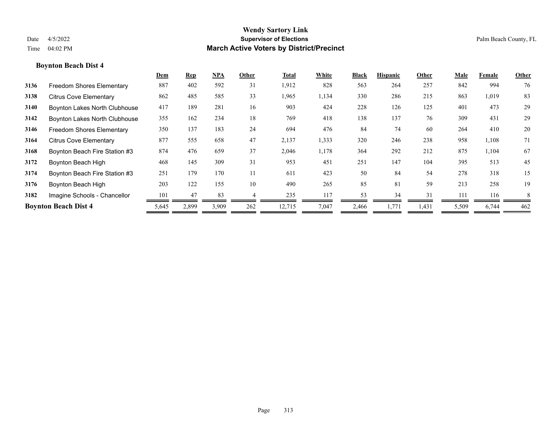# **Dem Rep NPA Other Total White Black Hispanic Other Male Female Other Boynton Beach Dist 4 3136** Freedom Shores Elementary 887 402 592 31 1,912 828 563 264 257 842 994 76 **3138** Citrus Cove Elementary 862 485 585 33 1,965 1,134 330 286 215 863 1,019 83 **3140** Boynton Lakes North Clubhouse 417 189 281 16 903 424 228 126 125 401 473 29 **3142** Boynton Lakes North Clubhouse 355 162 234 18 769 418 138 137 76 309 431 29 **3146** Freedom Shores Elementary 350 137 183 24 694 476 84 74 60 264 410 20 **3164** Citrus Cove Elementary 877 555 658 47 2,137 1,333 320 246 238 958 1,108 71 **3168** Boynton Beach Fire Station #3 874 476 659 37 2,046 1,178 364 292 212 875 1,104 67 **3172** Boynton Beach High 468 145 309 31 953 451 251 147 104 395 513 45 **3174** Boynton Beach Fire Station #3 251 179 170 11 611 423 50 84 54 278 318 15 **3176** Boynton Beach High 203 122 155 10 490 265 85 81 59 213 258 19 **3182** Imagine Schools - Chancellor  $\frac{101}{\sqrt{3}} \frac{47}{\sqrt{3}} \frac{83}{\sqrt{3}} \frac{4}{\sqrt{3}} \frac{235}{\sqrt{3}} \frac{117}{\sqrt{3}} \frac{53}{\sqrt{3}} \frac{34}{\sqrt{3}} \frac{31}{\sqrt{3}} \frac{111}{\sqrt{3}} \frac{116}{\sqrt{3}} \frac{8}{\sqrt{3}} \frac{8}{\sqrt{3}} \frac{11}{\sqrt{3}} \frac{11}{\sqrt{3}} \frac{11}{\sqrt{3}} \frac{11}{$ **Boynton Beach Dist 4** 5,645 2,899 3,909 262 12,715 7,047 2,466 1,771 1,431 5,509 6,744 462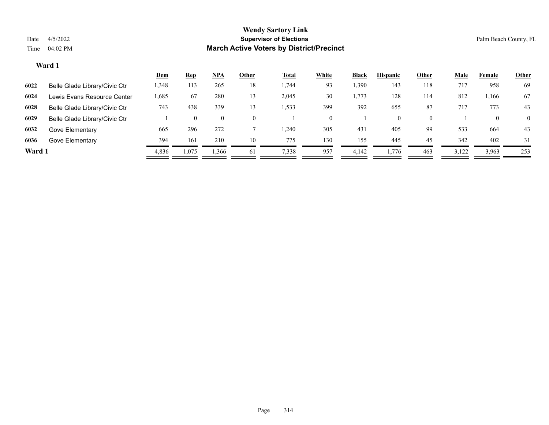|        |                               | <u>Dem</u> | <b>Rep</b> | <b>NPA</b>     | Other    | <b>Total</b> | White | <b>Black</b> | <b>Hispanic</b> | Other    | <b>Male</b> | Female | <b>Other</b>   |
|--------|-------------------------------|------------|------------|----------------|----------|--------------|-------|--------------|-----------------|----------|-------------|--------|----------------|
| 6022   | Belle Glade Library/Civic Ctr | 1,348      | 113        | 265            | 18       | 1,744        | 93    | 1,390        | 143             | 118      | 717         | 958    | 69             |
| 6024   | Lewis Evans Resource Center   | .685       | 67         | 280            | 13       | 2,045        | 30    | 1,773        | 128             | 114      | 812         | . 166  | 67             |
| 6028   | Belle Glade Library/Civic Ctr | 743        | 438        | 339            | 13       | 1,533        | 399   | 392          | 655             | 87       | 717         | 773    | 43             |
| 6029   | Belle Glade Library/Civic Ctr |            | $\theta$   | $\overline{0}$ | $\Omega$ |              |       |              | $\overline{0}$  | $\Omega$ |             |        | $\overline{0}$ |
| 6032   | Gove Elementary               | 665        | 296        | 272            |          | ,240         | 305   | 431          | 405             | 99       | 533         | 664    | 43             |
| 6036   | Gove Elementary               | 394        | 161        | 210            | 10       | 775          | 130   | 155          | 445             | 45       | 342         | 402    | 31             |
| Ward 1 |                               | 4,836      | 1,075      | 1,366          | 61       | 7,338        | 957   | 4,142        | 1,776           | 463      | 3,122       | 3,963  | 253            |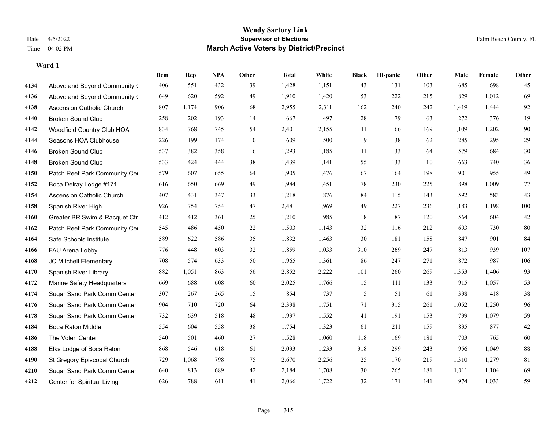|      |                                  | Dem | <b>Rep</b> | NPA | <b>Other</b> | <b>Total</b> | <b>White</b> | <b>Black</b> | <b>Hispanic</b> | <b>Other</b> | <b>Male</b> | <b>Female</b> | <b>Other</b> |
|------|----------------------------------|-----|------------|-----|--------------|--------------|--------------|--------------|-----------------|--------------|-------------|---------------|--------------|
| 4134 | Above and Beyond Community (     | 406 | 551        | 432 | 39           | 1,428        | 1,151        | 43           | 131             | 103          | 685         | 698           | 45           |
| 4136 | Above and Beyond Community (     | 649 | 620        | 592 | 49           | 1,910        | 1,420        | 53           | 222             | 215          | 829         | 1,012         | 69           |
| 4138 | <b>Ascension Catholic Church</b> | 807 | 1,174      | 906 | 68           | 2,955        | 2,311        | 162          | 240             | 242          | 1,419       | 1,444         | 92           |
| 4140 | <b>Broken Sound Club</b>         | 258 | 202        | 193 | 14           | 667          | 497          | $28\,$       | 79              | 63           | 272         | 376           | 19           |
| 4142 | Woodfield Country Club HOA       | 834 | 768        | 745 | 54           | 2,401        | 2,155        | 11           | 66              | 169          | 1,109       | 1,202         | $90\,$       |
| 4144 | Seasons HOA Clubhouse            | 226 | 199        | 174 | 10           | 609          | 500          | 9            | 38              | 62           | 285         | 295           | 29           |
| 4146 | <b>Broken Sound Club</b>         | 537 | 382        | 358 | 16           | 1,293        | 1,185        | 11           | 33              | 64           | 579         | 684           | $30\,$       |
| 4148 | <b>Broken Sound Club</b>         | 533 | 424        | 444 | 38           | 1,439        | 1,141        | 55           | 133             | 110          | 663         | 740           | $36\,$       |
| 4150 | Patch Reef Park Community Cer    | 579 | 607        | 655 | 64           | 1,905        | 1,476        | 67           | 164             | 198          | 901         | 955           | 49           |
| 4152 | Boca Delray Lodge #171           | 616 | 650        | 669 | 49           | 1,984        | 1,451        | 78           | 230             | 225          | 898         | 1,009         | 77           |
| 4154 | <b>Ascension Catholic Church</b> | 407 | 431        | 347 | 33           | 1,218        | 876          | 84           | 115             | 143          | 592         | 583           | 43           |
| 4158 | Spanish River High               | 926 | 754        | 754 | 47           | 2,481        | 1,969        | 49           | 227             | 236          | 1,183       | 1,198         | $100\,$      |
| 4160 | Greater BR Swim & Racquet Ctr    | 412 | 412        | 361 | 25           | 1,210        | 985          | 18           | 87              | 120          | 564         | 604           | $42\,$       |
| 4162 | Patch Reef Park Community Cer    | 545 | 486        | 450 | 22           | 1,503        | 1,143        | 32           | 116             | 212          | 693         | 730           | $80\,$       |
| 4164 | Safe Schools Institute           | 589 | 622        | 586 | 35           | 1,832        | 1,463        | 30           | 181             | 158          | 847         | 901           | 84           |
| 4166 | FAU Arena Lobby                  | 776 | 448        | 603 | 32           | 1,859        | 1,033        | 310          | 269             | 247          | 813         | 939           | $107\,$      |
| 4168 | JC Mitchell Elementary           | 708 | 574        | 633 | 50           | 1,965        | 1,361        | 86           | 247             | 271          | 872         | 987           | 106          |
| 4170 | Spanish River Library            | 882 | 1,051      | 863 | 56           | 2,852        | 2,222        | 101          | 260             | 269          | 1,353       | 1,406         | 93           |
| 4172 | Marine Safety Headquarters       | 669 | 688        | 608 | 60           | 2,025        | 1,766        | 15           | 111             | 133          | 915         | 1,057         | 53           |
| 4174 | Sugar Sand Park Comm Center      | 307 | 267        | 265 | 15           | 854          | 737          | 5            | 51              | 61           | 398         | 418           | $38\,$       |
| 4176 | Sugar Sand Park Comm Center      | 904 | 710        | 720 | 64           | 2,398        | 1,751        | 71           | 315             | 261          | 1,052       | 1,250         | 96           |
| 4178 | Sugar Sand Park Comm Center      | 732 | 639        | 518 | $48\,$       | 1,937        | 1,552        | 41           | 191             | 153          | 799         | 1,079         | 59           |
| 4184 | Boca Raton Middle                | 554 | 604        | 558 | 38           | 1,754        | 1,323        | 61           | 211             | 159          | 835         | 877           | $42\,$       |
| 4186 | The Volen Center                 | 540 | 501        | 460 | 27           | 1,528        | 1,060        | 118          | 169             | 181          | 703         | 765           | 60           |
| 4188 | Elks Lodge of Boca Raton         | 868 | 546        | 618 | 61           | 2,093        | 1,233        | 318          | 299             | 243          | 956         | 1,049         | $88\,$       |
| 4190 | St Gregory Episcopal Church      | 729 | 1,068      | 798 | 75           | 2,670        | 2,256        | 25           | 170             | 219          | 1,310       | 1,279         | $81\,$       |
| 4210 | Sugar Sand Park Comm Center      | 640 | 813        | 689 | 42           | 2,184        | 1,708        | 30           | 265             | 181          | 1,011       | 1,104         | 69           |
| 4212 | Center for Spiritual Living      | 626 | 788        | 611 | 41           | 2,066        | 1,722        | 32           | 171             | 141          | 974         | 1,033         | 59           |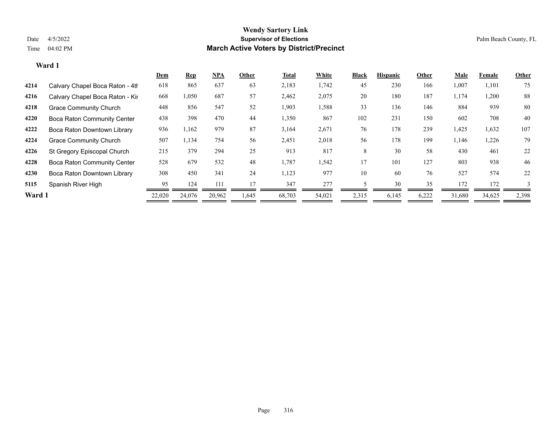|        |                                    | Dem    | <b>Rep</b> | $NPA$  | Other | <b>Total</b> | White  | <b>Black</b> | <b>Hispanic</b> | Other | <b>Male</b> | <b>Female</b> | <b>Other</b> |
|--------|------------------------------------|--------|------------|--------|-------|--------------|--------|--------------|-----------------|-------|-------------|---------------|--------------|
| 4214   | Calvary Chapel Boca Raton - 4th    | 618    | 865        | 637    | 63    | 2,183        | 1,742  | 45           | 230             | 166   | 1,007       | 1,101         | 75           |
| 4216   | Calvary Chapel Boca Raton - Kir    | 668    | 1,050      | 687    | 57    | 2,462        | 2,075  | 20           | 180             | 187   | 1,174       | 1,200         | 88           |
| 4218   | <b>Grace Community Church</b>      | 448    | 856        | 547    | 52    | 1,903        | 1,588  | 33           | 136             | 146   | 884         | 939           | 80           |
| 4220   | <b>Boca Raton Community Center</b> | 438    | 398        | 470    | 44    | 1,350        | 867    | 102          | 231             | 150   | 602         | 708           | 40           |
| 4222   | Boca Raton Downtown Library        | 936    | 1,162      | 979    | 87    | 3,164        | 2,671  | 76           | 178             | 239   | 1,425       | 1,632         | 107          |
| 4224   | <b>Grace Community Church</b>      | 507    | 1,134      | 754    | 56    | 2,451        | 2,018  | 56           | 178             | 199   | 1,146       | 1,226         | 79           |
| 4226   | St Gregory Episcopal Church        | 215    | 379        | 294    | 25    | 913          | 817    | 8            | 30              | 58    | 430         | 461           | 22           |
| 4228   | <b>Boca Raton Community Center</b> | 528    | 679        | 532    | 48    | 1,787        | 1,542  | 17           | 101             | 127   | 803         | 938           | 46           |
| 4230   | Boca Raton Downtown Library        | 308    | 450        | 341    | 24    | 1,123        | 977    | 10           | 60              | 76    | 527         | 574           | 22           |
| 5115   | Spanish River High                 | 95     | 124        | 111    | 17    | 347          | 277    |              | 30              | 35    | 172         | 172           | 3            |
| Ward 1 |                                    | 22,020 | 24,076     | 20,962 | 1,645 | 68,703       | 54,021 | 2,315        | 6,145           | 6,222 | 31,680      | 34,625        | 2,398        |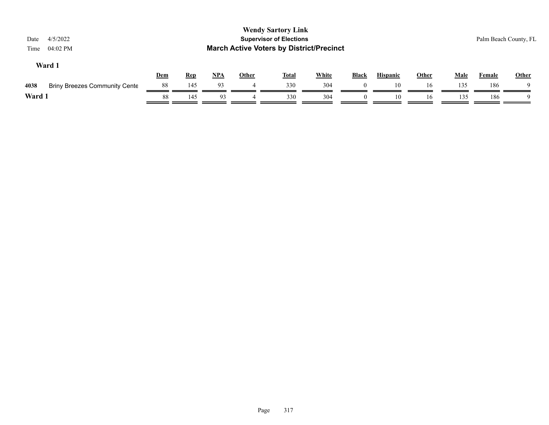| <b>Wendy Sartory Link</b><br><b>Supervisor of Elections</b><br>4/5/2022<br>Date<br><b>March Active Voters by District/Precinct</b><br>04:02 PM<br>Time |            |            |       |              |              |              |              |                 |       |             |               | Palm Beach County, FL |
|--------------------------------------------------------------------------------------------------------------------------------------------------------|------------|------------|-------|--------------|--------------|--------------|--------------|-----------------|-------|-------------|---------------|-----------------------|
| Ward 1                                                                                                                                                 | <b>Dem</b> | <u>Rep</u> | $NPA$ | <b>Other</b> | <b>Total</b> | <b>White</b> | <b>Black</b> | <b>Hispanic</b> | Other | <b>Male</b> | <b>Female</b> | <b>Other</b>          |
| 4038<br><b>Briny Breezes Community Cente</b>                                                                                                           | 88         | 145        | 93    | 4            | 330          | 304          | $\left($     | 10              | 16    | 135         | 186           |                       |
| Ward 1                                                                                                                                                 | 88         | 145        | 93    |              | 330          | 304          | $\Omega$     | 10              | 16    | 135         | 186           | - Q                   |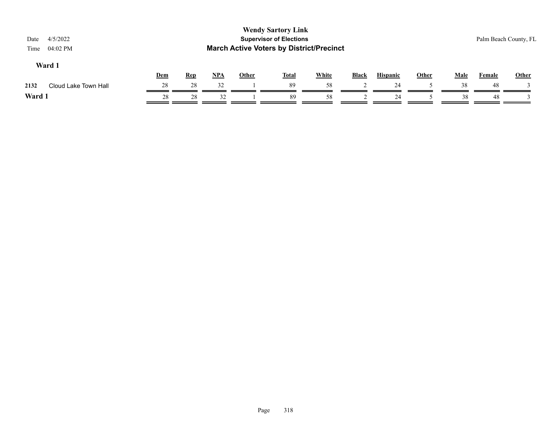| <b>Wendy Sartory Link</b><br><b>Supervisor of Elections</b><br>4/5/2022<br>Date<br><b>March Active Voters by District/Precinct</b><br>04:02 PM<br>Time |     |            |       |              |              |              |              |                 |       |             |        | Palm Beach County, FL |
|--------------------------------------------------------------------------------------------------------------------------------------------------------|-----|------------|-------|--------------|--------------|--------------|--------------|-----------------|-------|-------------|--------|-----------------------|
| Ward 1                                                                                                                                                 | Dem | <b>Rep</b> | $NPA$ | <u>Other</u> | <b>Total</b> | <b>White</b> | <b>Black</b> | <b>Hispanic</b> | Other | <b>Male</b> | Female | <b>Other</b>          |
| Cloud Lake Town Hall<br>2132                                                                                                                           | 28  | 28         | 32    |              | 89           | 58           |              | 24              |       | 38          | 48     |                       |
| Ward 1                                                                                                                                                 | 28  | 28         | 32    |              | 89           | 58           |              | 24              |       | 38          | -48    |                       |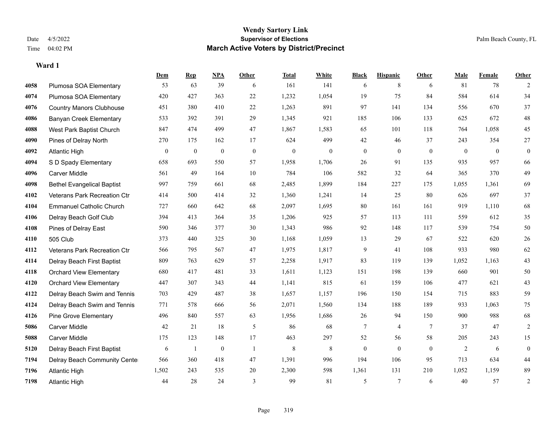**Ward 1**

#### **Wendy Sartory Link** Date 4/5/2022 **Supervisor of Elections** Palm Beach County, FL Time 04:02 PM **March Active Voters by District/Precinct**

# **Dem Rep NPA Other Total White Black Hispanic Other Male Female Other** Plumosa SOA Elementary 53 63 39 6 161 141 6 8 6 81 78 2 Plumosa SOA Elementary 420 427 363 22 1,232 1,054 19 75 84 584 614 34 Country Manors Clubhouse 451 380 410 22 1,263 891 97 141 134 556 670 37 Banyan Creek Elementary 533 392 391 29 1,345 921 185 106 133 625 672 48 West Park Baptist Church 847 474 499 47 1,867 1,583 65 101 118 764 1,058 45 Pines of Delray North 270 175 162 17 624 499 42 46 37 243 354 27 Atlantic High 0 0 0 0 0 0 0 0 0 0 0 0 S D Spady Elementary 658 693 550 57 1,958 1,706 26 91 135 935 957 66 Carver Middle 561 49 164 10 784 106 582 32 64 365 370 49 Bethel Evangelical Baptist 997 759 661 68 2,485 1,899 184 227 175 1,055 1,361 69 Veterans Park Recreation Ctr 414 500 414 32 1,360 1,241 14 25 80 626 697 37 Emmanuel Catholic Church 727 660 642 68 2,097 1,695 80 161 161 919 1,110 68 Delray Beach Golf Club 394 413 364 35 1,206 925 57 113 111 559 612 35 Pines of Delray East 590 346 377 30 1,343 986 92 148 117 539 754 50 505 Club 373 440 325 30 1,168 1,059 13 29 67 522 620 26 Veterans Park Recreation Ctr 566 795 567 47 1,975 1,817 9 41 108 933 980 62 Delray Beach First Baptist 809 763 629 57 2,258 1,917 83 119 139 1,052 1,163 43 Orchard View Elementary 680 417 481 33 1,611 1,123 151 198 139 660 901 50 Orchard View Elementary 447 307 343 44 1,141 815 61 159 106 477 621 43 Delray Beach Swim and Tennis 703 429 487 38 1,657 1,157 196 150 154 715 883 59 Delray Beach Swim and Tennis 771 578 666 56 2,071 1,560 134 188 189 933 1,063 75 Pine Grove Elementary 496 840 557 63 1,956 1,686 26 94 150 900 988 68 Carver Middle 42 21 18 5 86 68 7 4 7 37 47 2 Carver Middle 175 123 148 17 463 297 52 56 58 205 243 15 Delray Beach First Baptist 6 1 0 1 8 8 0 0 0 2 6 0 Delray Beach Community Center 566 360 418 47 1,391 996 194 106 95 713 634 44 Atlantic High 1,502 243 535 20 2,300 598 1,361 131 210 1,052 1,159 89 Atlantic High 44 28 24 3 99 81 5 7 6 40 57 2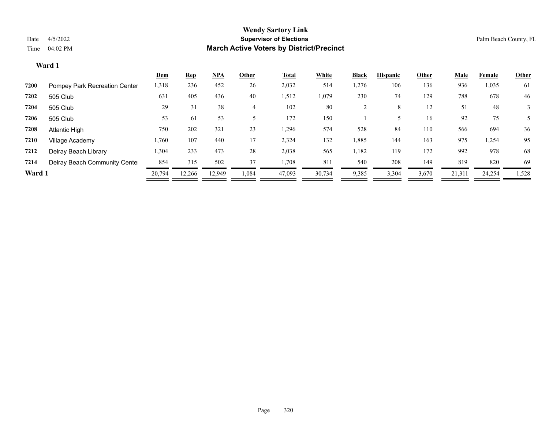|        |                               | Dem    | <b>Rep</b> | <u>NPA</u> | Other | <u>Total</u> | White  | <b>Black</b> | <b>Hispanic</b> | Other | <b>Male</b> | Female | <b>Other</b> |
|--------|-------------------------------|--------|------------|------------|-------|--------------|--------|--------------|-----------------|-------|-------------|--------|--------------|
| 7200   | Pompey Park Recreation Center | 1,318  | 236        | 452        | 26    | 2,032        | 514    | 1,276        | 106             | 136   | 936         | 1,035  | 61           |
| 7202   | 505 Club                      | 631    | 405        | 436        | 40    | 1,512        | 1,079  | 230          | 74              | 129   | 788         | 678    | 46           |
| 7204   | 505 Club                      | 29     | 31         | 38         | 4     | 102          | 80     |              | 8               | 12    | 51          | 48     |              |
| 7206   | 505 Club                      | 53     | 61         | 53         |       | 172          | 150    |              |                 | 16    | 92          | 75     |              |
| 7208   | Atlantic High                 | 750    | 202        | 321        | 23    | 1,296        | 574    | 528          | 84              | 110   | 566         | 694    | 36           |
| 7210   | Village Academy               | 1,760  | 107        | 440        | 17    | 2,324        | 132    | 1,885        | 144             | 163   | 975         | 1,254  | 95           |
| 7212   | Delray Beach Library          | 1,304  | 233        | 473        | 28    | 2,038        | 565    | 1,182        | 119             | 172   | 992         | 978    | 68           |
| 7214   | Delray Beach Community Cente  | 854    | 315        | 502        | 37    | 1,708        | 811    | 540          | 208             | 149   | 819         | 820    | 69           |
| Ward 1 |                               | 20.794 | 12.266     | 12.949     | 1,084 | 47,093       | 30,734 | 9,385        | 3,304           | 3,670 | 21,311      | 24,254 | 1,528        |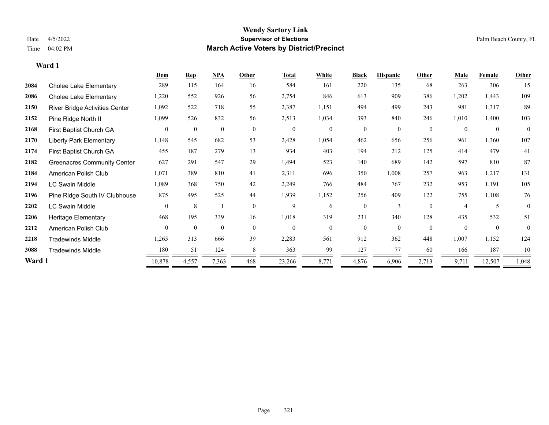|        |                                    | Dem            | <b>Rep</b>       | NPA          | Other          | <b>Total</b>     | White          | <b>Black</b>   | <b>Hispanic</b> | Other        | Male           | Female         | Other    |
|--------|------------------------------------|----------------|------------------|--------------|----------------|------------------|----------------|----------------|-----------------|--------------|----------------|----------------|----------|
| 2084   | <b>Cholee Lake Elementary</b>      | 289            | 115              | 164          | 16             | 584              | 161            | 220            | 135             | 68           | 263            | 306            | 15       |
| 2086   | <b>Cholee Lake Elementary</b>      | 1,220          | 552              | 926          | 56             | 2,754            | 846            | 613            | 909             | 386          | 1,202          | 1,443          | 109      |
| 2150   | River Bridge Activities Center     | 1,092          | 522              | 718          | 55             | 2,387            | 1,151          | 494            | 499             | 243          | 981            | 1,317          | 89       |
| 2152   | Pine Ridge North II                | 1,099          | 526              | 832          | 56             | 2,513            | 1,034          | 393            | 840             | 246          | 1,010          | 1,400          | 103      |
| 2168   | First Baptist Church GA            | $\overline{0}$ | $\boldsymbol{0}$ | $\mathbf{0}$ | $\overline{0}$ | $\boldsymbol{0}$ | $\overline{0}$ | $\mathbf{0}$   | $\overline{0}$  | $\mathbf{0}$ | $\theta$       | $\mathbf{0}$   | $\theta$ |
| 2170   | <b>Liberty Park Elementary</b>     | 1,148          | 545              | 682          | 53             | 2,428            | 1,054          | 462            | 656             | 256          | 961            | 1,360          | 107      |
| 2174   | First Baptist Church GA            | 455            | 187              | 279          | 13             | 934              | 403            | 194            | 212             | 125          | 414            | 479            | 41       |
| 2182   | <b>Greenacres Community Center</b> | 627            | 291              | 547          | 29             | 1,494            | 523            | 140            | 689             | 142          | 597            | 810            | 87       |
| 2184   | American Polish Club               | 1,071          | 389              | 810          | 41             | 2,311            | 696            | 350            | 1,008           | 257          | 963            | 1,217          | 131      |
| 2194   | <b>LC Swain Middle</b>             | 1,089          | 368              | 750          | 42             | 2,249            | 766            | 484            | 767             | 232          | 953            | 1,191          | 105      |
| 2196   | Pine Ridge South IV Clubhouse      | 875            | 495              | 525          | 44             | 1,939            | 1,152          | 256            | 409             | 122          | 755            | 1,108          | 76       |
| 2202   | <b>LC Swain Middle</b>             | $\Omega$       | 8                |              | $\theta$       | 9                | 6              | $\overline{0}$ | $\mathbf{3}$    | $\Omega$     | $\overline{4}$ |                | $\theta$ |
| 2206   | <b>Heritage Elementary</b>         | 468            | 195              | 339          | 16             | 1,018            | 319            | 231            | 340             | 128          | 435            | 532            | 51       |
| 2212   | American Polish Club               | $\theta$       | $\mathbf{0}$     | $\mathbf{0}$ | $\theta$       | $\mathbf{0}$     | $\overline{0}$ | $\overline{0}$ | $\overline{0}$  | $\theta$     | $\theta$       | $\overline{0}$ | $\theta$ |
| 2218   | <b>Tradewinds Middle</b>           | 1,265          | 313              | 666          | 39             | 2,283            | 561            | 912            | 362             | 448          | 1,007          | 1,152          | 124      |
| 3088   | <b>Tradewinds Middle</b>           | 180            | 51               | 124          | 8              | 363              | 99             | 127            | 77              | 60           | 166            | 187            | 10       |
| Ward 1 |                                    | 10,878         | 4,557            | 7,363        | 468            | 23,266           | 8,771          | 4,876          | 6,906           | 2,713        | 9,711          | 12,507         | 1,048    |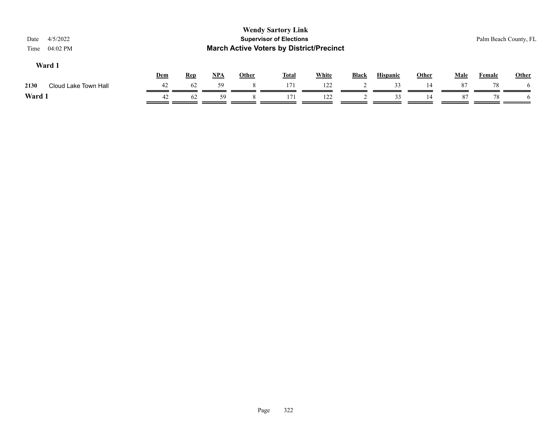| <b>Wendy Sartory Link</b><br><b>Supervisor of Elections</b><br>4/5/2022<br>Palm Beach County, FL<br>Date<br><b>March Active Voters by District/Precinct</b><br>04:02 PM<br>Time |     |            |       |              |              |              |       |                 |              |      |        |              |
|---------------------------------------------------------------------------------------------------------------------------------------------------------------------------------|-----|------------|-------|--------------|--------------|--------------|-------|-----------------|--------------|------|--------|--------------|
| Ward 1                                                                                                                                                                          | Dem | <b>Rep</b> | $NPA$ | <b>Other</b> | <b>Total</b> | <b>White</b> | Black | <b>Hispanic</b> | <b>Other</b> | Male | Female | Other        |
| Cloud Lake Town Hall<br>2130                                                                                                                                                    | 42  | 62         | 59    |              | 171          | 122          |       | 33              | 14           | 87   | 78     | <sub>0</sub> |
| Ward 1                                                                                                                                                                          | 42  | 62         | 59    |              | 171          | 122          |       | 33              | 14           | 87   | 78     |              |
|                                                                                                                                                                                 |     |            |       |              |              |              |       |                 |              |      |        |              |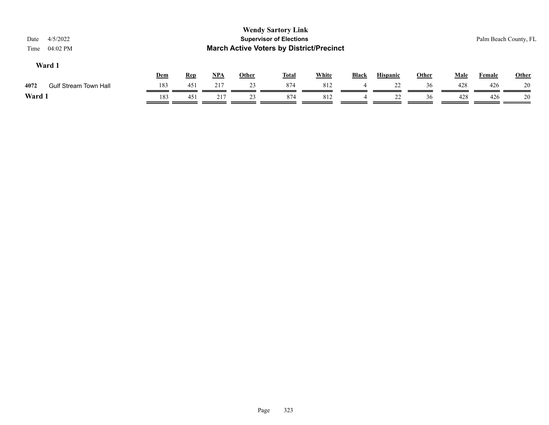| <b>Wendy Sartory Link</b><br><b>Supervisor of Elections</b><br>4/5/2022<br>Date<br><b>March Active Voters by District/Precinct</b><br>04:02 PM<br>Time |                              |     |            |            |              |              |              |              |                 |              |             | Palm Beach County, FL |              |
|--------------------------------------------------------------------------------------------------------------------------------------------------------|------------------------------|-----|------------|------------|--------------|--------------|--------------|--------------|-----------------|--------------|-------------|-----------------------|--------------|
|                                                                                                                                                        | Ward 1                       | Dem | <b>Rep</b> | <u>NPA</u> | <u>Other</u> | <u>Total</u> | <b>White</b> | <b>Black</b> | <b>Hispanic</b> | <b>Other</b> | <b>Male</b> | Female                | <b>Other</b> |
| 4072                                                                                                                                                   | <b>Gulf Stream Town Hall</b> | 183 | 451        | 217        | 23           | 874          | 812          | 4            | 22              | 36           | 428         | 426                   | 20           |
| Ward 1                                                                                                                                                 |                              | 183 | 451        | 217        | 23           | 874          | 812          | 4            | 22              | 36           | 428         | 426                   | 20           |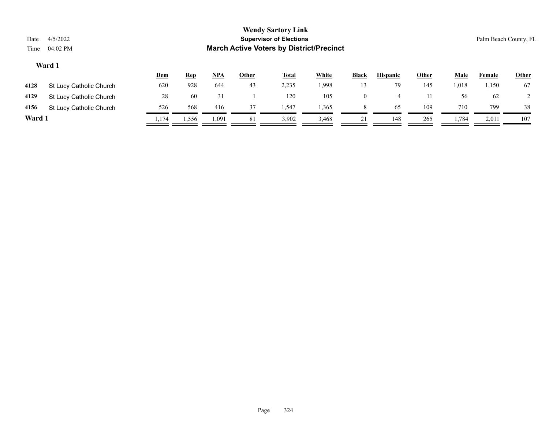| Date<br>Time | <b>Wendy Sartory Link</b><br><b>Supervisor of Elections</b><br>4/5/2022<br>Palm Beach County, FL<br><b>March Active Voters by District/Precinct</b><br>04:02 PM |       |            |       |       |              |              |              |                 |              |       |        |              |
|--------------|-----------------------------------------------------------------------------------------------------------------------------------------------------------------|-------|------------|-------|-------|--------------|--------------|--------------|-----------------|--------------|-------|--------|--------------|
|              | Ward 1                                                                                                                                                          | Dem   | <b>Rep</b> | $NPA$ | Other | <u>Total</u> | <b>White</b> | <b>Black</b> | <b>Hispanic</b> | <b>Other</b> | Male  | Female | <b>Other</b> |
| 4128         | St Lucy Catholic Church                                                                                                                                         | 620   | 928        | 644   | 43    | 2,235        | 1,998        | 13           | 79              | 145          | 1,018 | 1,150  | 67           |
| 4129         | St Lucy Catholic Church                                                                                                                                         | 28    | 60         | 31    |       | 120          | 105          | $\Omega$     | 4               | 11           | 56    | 62     |              |
| 4156         | St Lucy Catholic Church                                                                                                                                         | 526   | 568        | 416   | 37    | 1,547        | 1,365        | 8            | 65              | 109          | 710   | 799    | 38           |
| Ward 1       |                                                                                                                                                                 | 1,174 | 1,556      | 1,091 | 81    | 3,902        | 3,468        | 21           | 148             | 265          | 1,784 | 2,011  | 107          |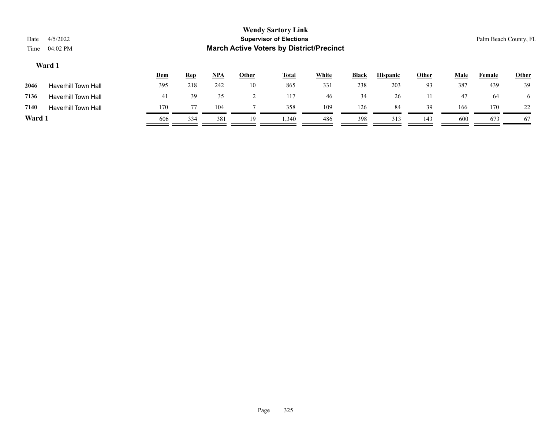| Date<br>Time                                                                                                                                                     | 4/5/2022<br>04:02 PM       |     |     |     |    | <b>Wendy Sartory Link</b><br><b>Supervisor of Elections</b><br><b>March Active Voters by District/Precinct</b> |     |     |     |     |     |     | Palm Beach County, FL |
|------------------------------------------------------------------------------------------------------------------------------------------------------------------|----------------------------|-----|-----|-----|----|----------------------------------------------------------------------------------------------------------------|-----|-----|-----|-----|-----|-----|-----------------------|
| Ward 1<br>$NPA$<br><b>White</b><br><b>Black</b><br><b>Hispanic</b><br><b>Other</b><br><b>Male</b><br>Other<br><u>Dem</u><br><b>Total</b><br><u>Rep</u><br>Female |                            |     |     |     |    |                                                                                                                |     |     |     |     |     |     |                       |
| 2046                                                                                                                                                             | <b>Haverhill Town Hall</b> | 395 | 218 | 242 | 10 | 865                                                                                                            | 331 | 238 | 203 | 93  | 387 | 439 | 39                    |
| 7136                                                                                                                                                             | <b>Haverhill Town Hall</b> | 41  | 39  | 35  |    | 117                                                                                                            | 46  | 34  | 26  | 11  | 47  | 64  | $\sigma$              |
| 7140                                                                                                                                                             | <b>Haverhill Town Hall</b> | 170 | 77  | 104 |    | 358                                                                                                            | 109 | 126 | 84  | 39  | 166 | 170 | 22                    |
| Ward 1                                                                                                                                                           |                            | 606 | 334 | 381 | 19 | 1,340                                                                                                          | 486 | 398 | 313 | 143 | 600 | 673 | 67                    |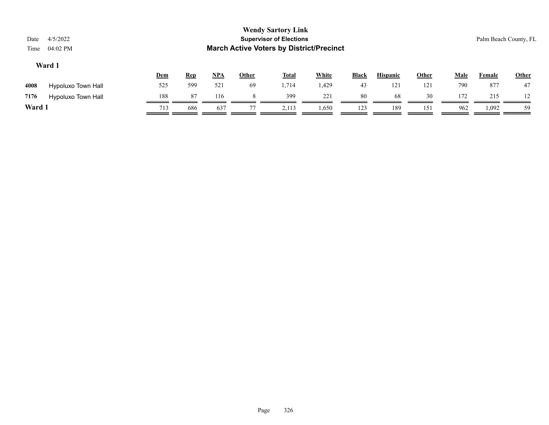| Date<br>Time | 4/5/2022<br>04:02 PM      |            |            |       |              | <b>Wendy Sartory Link</b><br><b>Supervisor of Elections</b><br><b>March Active Voters by District/Precinct</b> |              |              |                 |              |             | Palm Beach County, FL |       |
|--------------|---------------------------|------------|------------|-------|--------------|----------------------------------------------------------------------------------------------------------------|--------------|--------------|-----------------|--------------|-------------|-----------------------|-------|
|              | Ward 1                    | <u>Dem</u> | <b>Rep</b> | $NPA$ | <b>Other</b> | <b>Total</b>                                                                                                   | <b>White</b> | <b>Black</b> | <b>Hispanic</b> | <b>Other</b> | <b>Male</b> | <b>Female</b>         | Other |
| 4008         | Hypoluxo Town Hall        | 525        | 599        | 521   | 69           | 1,714                                                                                                          | 1,429        | 43           | 121             | 121          | 790         | 877                   | 47    |
| 7176         | <b>Hypoluxo Town Hall</b> | 188        | 87         | 116   |              | 399                                                                                                            | 221          | 80           | 68              | 30           | 172         | 215                   | 12    |
| Ward 1       |                           | 713        | 686        | 637   |              | 2,113                                                                                                          | 1,650        | 123          | 189             | 151          | 962         | 1,092                 | 59    |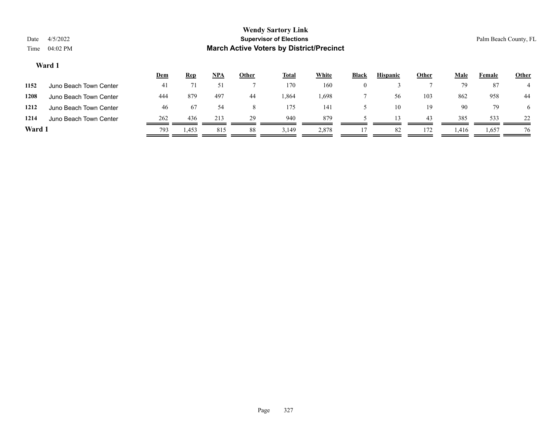|        |                        | <u>Dem</u> | <b>Rep</b> | <b>NPA</b> | Other | Total | White | <b>Black</b> | <b>Hispanic</b> | Other | Male  | Female | Other |
|--------|------------------------|------------|------------|------------|-------|-------|-------|--------------|-----------------|-------|-------|--------|-------|
| 1152   | Juno Beach Town Center | 41         |            |            |       | 170   | 160   |              |                 |       | 79    | 87     |       |
| 1208   | Juno Beach Town Center | 444        | 879        | 497        | 44    | 1,864 | 1,698 |              | 56              | 103   | 862   | 958    | 44    |
| 1212   | Juno Beach Town Center | 46         | 67         | 54         |       | 175   | 141   |              | 10              | 19    | 90    | 79     | O     |
| 1214   | Juno Beach Town Center | 262        | 436        | 213        | 29    | 940   | 879   |              |                 | 43    | 385   | 533    | 22    |
| Ward 1 |                        | 793        | 1,453      | 815        | 88    | 3,149 | 2,878 |              | 82              | 172   | 1,416 | 1,657  | 76    |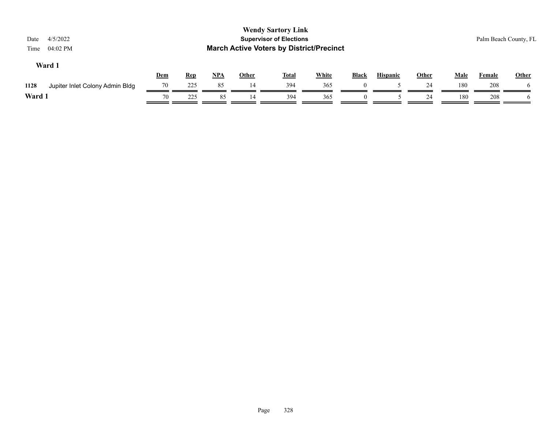| 4/5/2022<br>Date<br>04:02 PM<br>Time    |     |            |            |              | <b>Wendy Sartory Link</b><br><b>Supervisor of Elections</b><br><b>March Active Voters by District/Precinct</b> |              |          |                 |              |             |               | Palm Beach County, FL |
|-----------------------------------------|-----|------------|------------|--------------|----------------------------------------------------------------------------------------------------------------|--------------|----------|-----------------|--------------|-------------|---------------|-----------------------|
| Ward 1                                  | Dem | <u>Rep</u> | <u>NPA</u> | <b>Other</b> | <b>Total</b>                                                                                                   | <b>White</b> | Black    | <b>Hispanic</b> | <b>Other</b> | <b>Male</b> | <b>Female</b> | <b>Other</b>          |
| 1128<br>Jupiter Inlet Colony Admin Bldg | 70  | 225        | 85         | 14           | 394                                                                                                            | 365          | $\left($ |                 | 24           | 180         | 208           | $\mathbf{a}$          |
| Ward 1                                  | 70  | 225        | 85         | 14           | 394                                                                                                            | 365          | $\theta$ |                 | 24           | 180         | 208           |                       |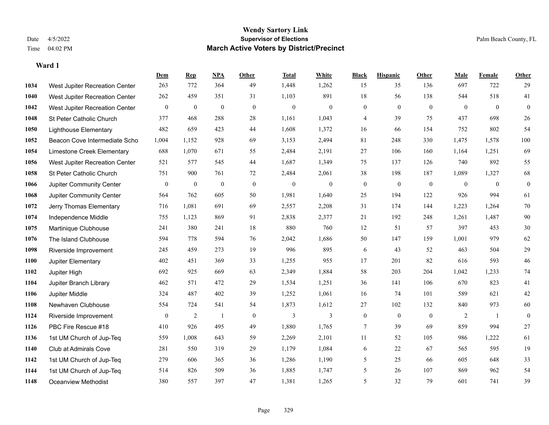#### **Wendy Sartory Link** Date 4/5/2022 **Supervisor of Elections** Palm Beach County, FL Time 04:02 PM **March Active Voters by District/Precinct**

## **Dem Rep NPA Other Total White Black Hispanic Other Male Female Other** West Jupiter Recreation Center 263 772 364 49 1,448 1,262 15 35 136 697 722 29 West Jupiter Recreation Center 262 459 351 31 1,103 891 18 56 138 544 518 41 West Jupiter Recreation Center 0 0 0 0 0 0 0 0 0 0 0 0 St Peter Catholic Church 377 468 288 28 1,161 1,043 4 39 75 437 698 26 Lighthouse Elementary 482 659 423 44 1,608 1,372 16 66 154 752 802 54 Beacon Cove Intermediate School 1,004 1,152 928 69 3,153 2,494 81 248 330 1,475 1,578 100 Limestone Creek Elementary 688 1,070 671 55 2,484 2,191 27 106 160 1,164 1,251 69 West Jupiter Recreation Center 521 577 545 44 1,687 1,349 75 137 126 740 892 55 St Peter Catholic Church 751 900 761 72 2,484 2,061 38 198 187 1,089 1,327 68 Jupiter Community Center 0 0 0 0 0 0 0 0 0 0 0 0 Jupiter Community Center 564 762 605 50 1,981 1,640 25 194 122 926 994 61 Jerry Thomas Elementary 716 1,081 691 69 2,557 2,208 31 174 144 1,223 1,264 70 Independence Middle 755 1,123 869 91 2,838 2,377 21 192 248 1,261 1,487 90 Martinique Clubhouse 241 380 241 18 880 760 12 51 57 397 453 30 The Island Clubhouse 594 778 594 76 2,042 1,686 50 147 159 1,001 979 62 Riverside Improvement 245 459 273 19 996 895 6 43 52 463 504 29 Jupiter Elementary 402 451 369 33 1,255 955 17 201 82 616 593 46 Jupiter High 692 925 669 63 2,349 1,884 58 203 204 1,042 1,233 74 Jupiter Branch Library 462 571 472 29 1,534 1,251 36 141 106 670 823 41 Jupiter Middle 324 487 402 39 1,252 1,061 16 74 101 589 621 42 Newhaven Clubhouse 554 724 541 54 1,873 1,612 27 102 132 840 973 60 Riverside Improvement 0 0 2 1 0 3 3 0 0 0 2 1 0 PBC Fire Rescue #18 410 926 495 49 1,880 1,765 7 39 69 859 994 27 1st UM Church of Jup-Teq 559 1,008 643 59 2,269 2,101 11 52 105 986 1,222 61 Club at Admirals Cove 281 550 319 29 1,179 1,084 6 22 67 565 595 19 1st UM Church of Jup-Teq 279 606 365 36 1,286 1,190 5 25 66 605 648 33 1st UM Church of Jup-Teq 514 826 509 36 1,885 1,747 5 26 107 869 962 54 Oceanview Methodist 380 557 397 47 1,381 1,265 5 32 79 601 741 39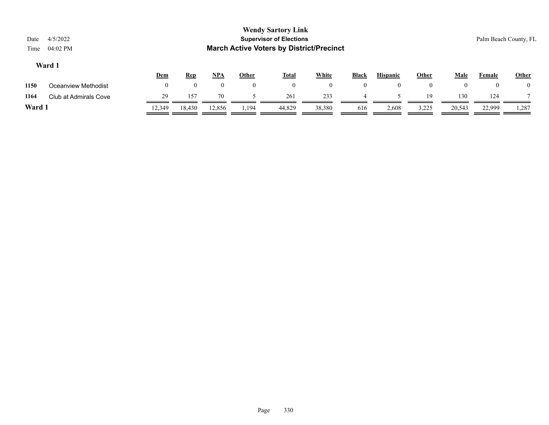| Date<br>Time | 4/5/2022<br>04:02 PM  |            |                    |            |              | <b>Wendy Sartory Link</b><br><b>Supervisor of Elections</b><br><b>March Active Voters by District/Precinct</b> |              |              |                 |              |          |        | Palm Beach County, FL |
|--------------|-----------------------|------------|--------------------|------------|--------------|----------------------------------------------------------------------------------------------------------------|--------------|--------------|-----------------|--------------|----------|--------|-----------------------|
|              | Ward 1                | <b>Dem</b> | <u>Rep</u>         | <u>NPA</u> | <u>Other</u> | <b>Total</b>                                                                                                   | <b>White</b> | <b>Black</b> | <b>Hispanic</b> | <b>Other</b> | Male     | Female | <b>Other</b>          |
| 1150         | Oceanview Methodist   | $\Omega$   | $\left( 0 \right)$ | $^{(1)}$   | $\theta$     | $\overline{0}$                                                                                                 | $\theta$     | $\Omega$     | $\theta$        | $\bf{0}$     | $\theta$ |        | $\theta$              |
| 1164         | Club at Admirals Cove | 29         | 157                | 70         |              | 261                                                                                                            | 233          | 4            |                 | 19           | 130      | 124    |                       |
| ______       |                       |            |                    |            |              |                                                                                                                |              |              |                 |              |          |        |                       |

**Ward 1** 12,349 18,430 12,856 1,194 44,829 38,380 616 2,608 3,225 20,543 22,999 1,287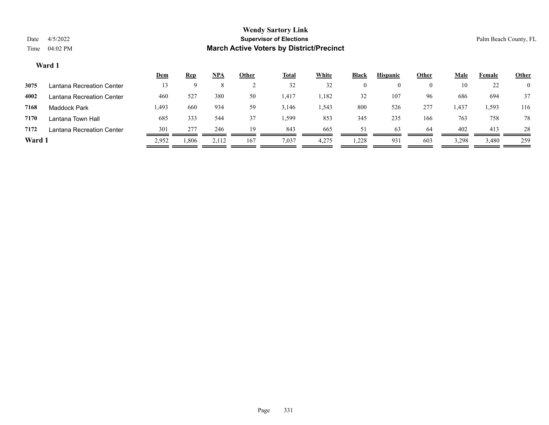|        |                           | <u>Dem</u> | <b>Rep</b> | <u>NPA</u> | <u>Other</u> | <b>Total</b> | White | <b>Black</b> | <b>Hispanic</b> | <u>Other</u> | <u>Male</u> | Female | <b>Other</b>   |
|--------|---------------------------|------------|------------|------------|--------------|--------------|-------|--------------|-----------------|--------------|-------------|--------|----------------|
| 3075   | Lantana Recreation Center | 13         | Q          |            |              | 32           | 32    | 0            |                 |              | 10          | 22     | $\overline{0}$ |
| 4002   | Lantana Recreation Center | 460        | 527        | 380        | 50           | 1,417        | 1,182 | 32           | 107             | 96           | 686         | 694    | 37             |
| 7168   | <b>Maddock Park</b>       | 493. ا     | 660        | 934        | 59           | 3,146        | 1,543 | 800          | 526             | 277          | 1,437       | 1,593  | 116            |
| 7170   | Lantana Town Hall         | 685        | 333        | 544        | 37           | .,599        | 853   | 345          | 235             | 166          | 763         | 758    | 78             |
| 7172   | Lantana Recreation Center | 301        | 277        | 246        | 19           | 843          | 665   | 51           | 63              | 64           | 402         | 413    | 28             |
| Ward 1 |                           | 2,952      | 1,806      | 2,112      | 167          | 7,037        | 4,275 | 1,228        | 931             | 603          | 3,298       | 3,480  | 259            |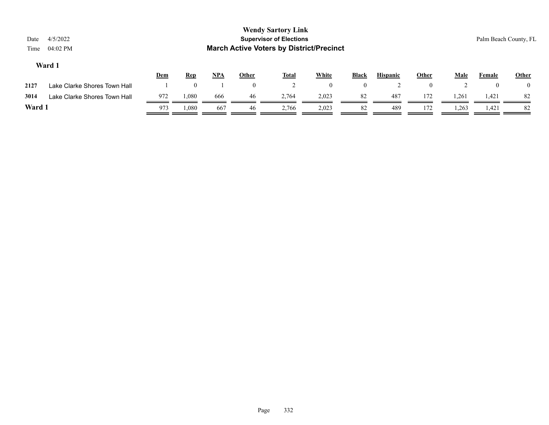| Date<br>Time | 4/5/2022<br>04:02 PM         |     |            |            |              | <b>Wendy Sartory Link</b><br><b>Supervisor of Elections</b><br><b>March Active Voters by District/Precinct</b> |                |              |                 |              |             | Palm Beach County, FL |              |
|--------------|------------------------------|-----|------------|------------|--------------|----------------------------------------------------------------------------------------------------------------|----------------|--------------|-----------------|--------------|-------------|-----------------------|--------------|
|              | Ward 1                       | Dem | <b>Rep</b> | <u>NPA</u> | <b>Other</b> | <u>Total</u>                                                                                                   | <b>White</b>   | <b>Black</b> | <b>Hispanic</b> | <b>Other</b> | <b>Male</b> | Female                | <b>Other</b> |
| 2127         | Lake Clarke Shores Town Hall |     | $\Omega$   |            | $\mathbf{0}$ |                                                                                                                | $\overline{0}$ | $\mathbf{0}$ |                 | $\theta$     |             | $\theta$              | $\theta$     |
| 3014         | Lake Clarke Shores Town Hall | 972 | 1,080      | 666        | 46           | 2.764                                                                                                          | 2,023          | 82           | 487             | 172          | 1,261       | 1,421                 | 82           |
| Ward 1       |                              | 973 | 1,080      | 667        | 46           | 2,766                                                                                                          | 2,023          | 82           | 489             | 172          | 1,263       | 1,421                 | 82           |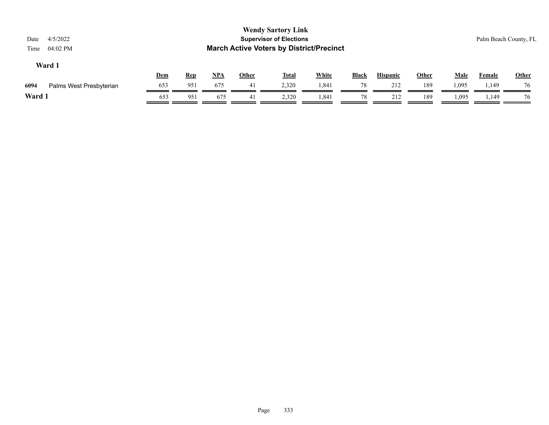| 4/5/2022<br>Date<br>04:02 PM<br>Time |            |            |            |              | <b>Wendy Sartory Link</b><br><b>Supervisor of Elections</b><br><b>March Active Voters by District/Precinct</b> |              |              |                 |              |             |               | Palm Beach County, FL |
|--------------------------------------|------------|------------|------------|--------------|----------------------------------------------------------------------------------------------------------------|--------------|--------------|-----------------|--------------|-------------|---------------|-----------------------|
| Ward 1                               | <b>Dem</b> | <b>Rep</b> | <u>NPA</u> | <b>Other</b> | <b>Total</b>                                                                                                   | <b>White</b> | <b>Black</b> | <b>Hispanic</b> | <b>Other</b> | <b>Male</b> | <b>Female</b> | <b>Other</b>          |
| 6094<br>Palms West Presbyterian      | 653        | 951        | 675        | 41           | 2,320                                                                                                          | 1,841        | 78           | 212             | 189          | 1,095       | 1,149         | 76                    |
| Ward 1                               | 653        | 951        | 675        | 41           | 2,320                                                                                                          | 1,841        | 78           | 212             | 189          | 1,095       | 1,149         | 76                    |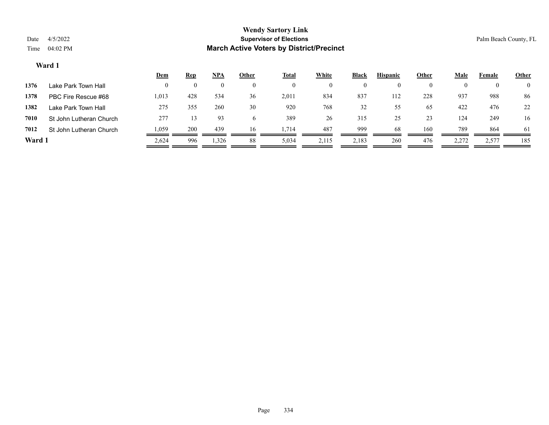|        |                         | <u>Dem</u> | <b>Rep</b> | <u>NPA</u> | <b>Other</b> | Total | White              | <b>Black</b> | <b>Hispanic</b> | Other    | Male  | Female | <b>Other</b>   |
|--------|-------------------------|------------|------------|------------|--------------|-------|--------------------|--------------|-----------------|----------|-------|--------|----------------|
| 1376   | Lake Park Town Hall     |            |            |            |              |       | $\left( 0 \right)$ |              |                 | $\theta$ |       |        | $\overline{0}$ |
| 1378   | PBC Fire Rescue #68     | 1,013      | 428        | 534        | 36           | 2,011 | 834                | 837          | 112             | 228      | 937   | 988    | 86             |
| 1382   | Lake Park Town Hall     | 275        | 355        | 260        | 30           | 920   | 768                | 32           | 55              | 65       | 422   | 476    | 22             |
| 7010   | St John Lutheran Church | 277        | 13         | 93         |              | 389   | 26                 | 315          | 25              | 23       | 124   | 249    | 16             |
| 7012   | St John Lutheran Church | 1,059      | 200        | 439        | 16           | 1,714 | 487                | 999          | 68              | 160      | 789   | 864    | 61             |
| Ward 1 |                         | 2,624      | 996        | 1,326      | 88           | 5,034 | 2,115              | 2,183        | 260             | 476      | 2,272 | 2,577  | 185            |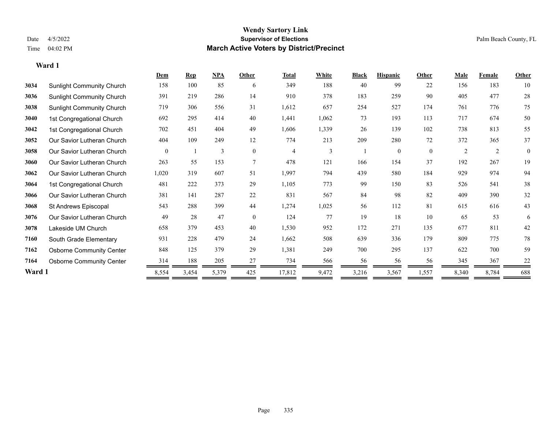#### **Wendy Sartory Link** Date 4/5/2022 **Supervisor of Elections** Palm Beach County, FL Time 04:02 PM **March Active Voters by District/Precinct**

## **Dem Rep NPA Other Total White Black Hispanic Other Male Female Other** Sunlight Community Church 158 100 85 6 349 188 40 99 22 156 183 10 Sunlight Community Church 391 219 286 14 910 378 183 259 90 405 477 28 Sunlight Community Church 719 306 556 31 1,612 657 254 527 174 761 776 75 1st Congregational Church 692 295 414 40 1,441 1,062 73 193 113 717 674 50 1st Congregational Church 702 451 404 49 1,606 1,339 26 139 102 738 813 55 Our Savior Lutheran Church 404 109 249 12 774 213 209 280 72 372 365 37 Our Savior Lutheran Church 0 1 3 0 4 3 1 0 0 2 2 0 Our Savior Lutheran Church 263 55 153 7 478 121 166 154 37 192 267 19 Our Savior Lutheran Church 1,020 319 607 51 1,997 794 439 580 184 929 974 94 1st Congregational Church 481 222 373 29 1,105 773 99 150 83 526 541 38 Our Savior Lutheran Church 381 141 287 22 831 567 84 98 82 409 390 32 St Andrews Episcopal 543 288 399 44 1,274 1,025 56 112 81 615 616 43 Our Savior Lutheran Church 49 28 47 0 124 77 19 18 10 65 53 6 Lakeside UM Church 658 379 453 40 1,530 952 172 271 135 677 811 42 South Grade Elementary 931 228 479 24 1,662 508 639 336 179 809 775 78 Osborne Community Center 848 125 379 29 1,381 249 700 295 137 622 700 59 **7164** Osborne Community Center  $\frac{314}{200} = \frac{188}{205} = \frac{205}{205} = \frac{27}{205} = \frac{734}{205} = \frac{56}{205} = \frac{56}{205} = \frac{56}{205} = \frac{56}{205} = \frac{345}{205} = \frac{367}{205} = \frac{22}{205} = \frac{22}{205} = \frac{22}{205} = \frac{22}{205} = \frac{22}{205} = \frac{22}{$ **Ward 1** 8,554 3,454 5,379 425 17,812 9,472 3,216 3,567 1,557 8,340 8,784 688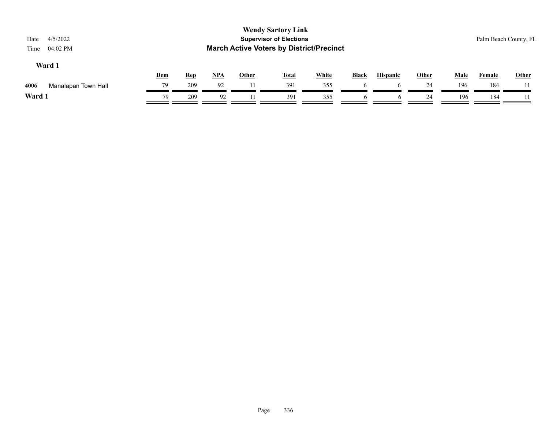| 4/5/2022<br>Date<br>04:02 PM<br>Time |     |            |     |              | <b>Wendy Sartory Link</b><br><b>Supervisor of Elections</b><br><b>March Active Voters by District/Precinct</b> |              |              |                 |              |             |               | Palm Beach County, FL |
|--------------------------------------|-----|------------|-----|--------------|----------------------------------------------------------------------------------------------------------------|--------------|--------------|-----------------|--------------|-------------|---------------|-----------------------|
| Ward 1                               | Dem | <u>Rep</u> | NPA | <b>Other</b> | <u>Total</u>                                                                                                   | <b>White</b> | <b>Black</b> | <b>Hispanic</b> | <b>Other</b> | <b>Male</b> | <b>Female</b> | Other                 |
| 4006<br>Manalapan Town Hall          | 79  | 209        | 92  | 11.          | 391                                                                                                            | 355          | h            |                 | 24           | 196         | 184           |                       |
| Ward 1                               | 79  | 209        | 92  |              | 391                                                                                                            | 355          | O            | o               | 24           | 196         | 184           |                       |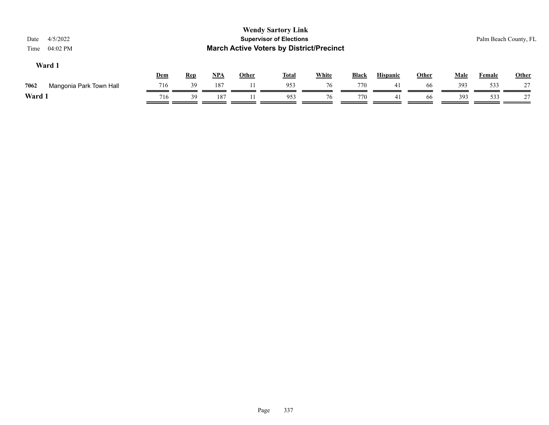| Date<br>Time | 4/5/2022<br>04:02 PM    |     |            |            |              | <b>Wendy Sartory Link</b><br><b>Supervisor of Elections</b><br><b>March Active Voters by District/Precinct</b> |              |              |                 |              |             |               | Palm Beach County, FL |
|--------------|-------------------------|-----|------------|------------|--------------|----------------------------------------------------------------------------------------------------------------|--------------|--------------|-----------------|--------------|-------------|---------------|-----------------------|
|              | Ward 1                  | Dem | <b>Rep</b> | <u>NPA</u> | <b>Other</b> | <b>Total</b>                                                                                                   | <b>White</b> | <b>Black</b> | <b>Hispanic</b> | <b>Other</b> | <b>Male</b> | <b>Female</b> | Other                 |
| 7062         | Mangonia Park Town Hall | 716 | 39         | 187        | 11           | 953                                                                                                            | 76           | 770          | 41              | 66           | 393         | 533           | 27                    |
| Ward 1       |                         | 716 | 39         | 187        |              | 953                                                                                                            | 76           | 770          | 41              | 66           | 393         | 533           | 27                    |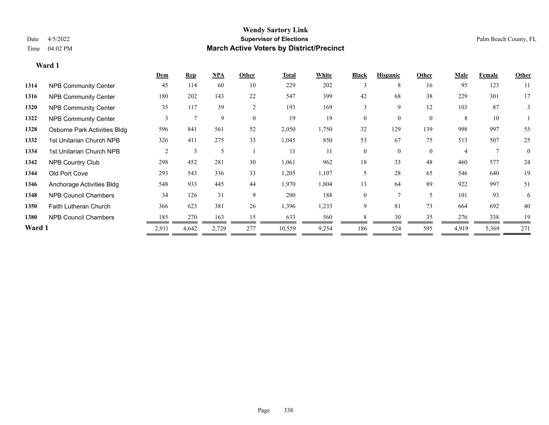|        |                              | <b>Dem</b>     | <b>Rep</b>   | NPA   | Other          | <b>Total</b> | White | <b>Black</b> | <b>Hispanic</b> | Other    | <b>Male</b>    | Female | Other    |
|--------|------------------------------|----------------|--------------|-------|----------------|--------------|-------|--------------|-----------------|----------|----------------|--------|----------|
| 1314   | <b>NPB Community Center</b>  | 45             | 114          | 60    | 10             | 229          | 202   |              | 8               | 16       | 95             | 123    | 11       |
| 1316   | <b>NPB Community Center</b>  | 180            | 202          | 143   | 22             | 547          | 399   | 42           | 68              | 38       | 229            | 301    | 17       |
| 1320   | <b>NPB Community Center</b>  | 35             | 117          | 39    | $\overline{2}$ | 193          | 169   | 3            | 9               | 12       | 103            | 87     | 3        |
| 1322   | <b>NPB Community Center</b>  | 3              | $\mathbf{r}$ | 9     | $\theta$       | 19           | 19    | $\Omega$     | $\Omega$        | $\theta$ | 8              | 10     |          |
| 1328   | Osborne Park Activities Bldg | 596            | 841          | 561   | 52             | 2,050        | 1,750 | 32           | 129             | 139      | 998            | 997    | 55       |
| 1332   | 1st Unitarian Church NPB     | 326            | 411          | 275   | 33             | 1,045        | 850   | 53           | 67              | 75       | 513            | 507    | 25       |
| 1334   | 1st Unitarian Church NPB     | $\overline{2}$ | 3            | 5     |                | 11           | 11    | $\theta$     | $\theta$        | $\theta$ | $\overline{4}$ |        | $\theta$ |
| 1342   | <b>NPB Country Club</b>      | 298            | 452          | 281   | 30             | 1,061        | 962   | 18           | 33              | 48       | 460            | 577    | 24       |
| 1344   | Old Port Cove                | 293            | 543          | 336   | 33             | 1,205        | 1,107 | 5            | 28              | 65       | 546            | 640    | 19       |
| 1346   | Anchorage Activities Bldg    | 548            | 933          | 445   | 44             | 1,970        | 1,804 | 13           | 64              | 89       | 922            | 997    | 51       |
| 1348   | <b>NPB Council Chambers</b>  | 34             | 126          | 31    | 9              | 200          | 188   | $\theta$     |                 | 5        | 101            | 93     | 6        |
| 1350   | <b>Faith Lutheran Church</b> | 366            | 623          | 381   | 26             | 1,396        | 1,233 | 9            | 81              | 73       | 664            | 692    | 40       |
| 1380   | <b>NPB Council Chambers</b>  | 185            | 270          | 163   | 15             | 633          | 560   |              | 30              | 35       | 276            | 338    | 19       |
| Ward 1 |                              | 2,911          | 4,642        | 2,729 | 277            | 10,559       | 9,254 | 186          | 524             | 595      | 4,919          | 5,369  | 271      |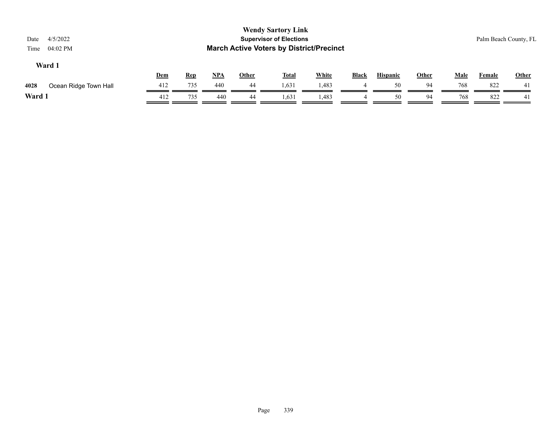| 4/5/2022<br>Date<br>04:02 PM<br>Time |            |            |            |              | <b>Wendy Sartory Link</b><br><b>Supervisor of Elections</b><br><b>March Active Voters by District/Precinct</b> |       |       |                 |              |             | Palm Beach County, FL |              |
|--------------------------------------|------------|------------|------------|--------------|----------------------------------------------------------------------------------------------------------------|-------|-------|-----------------|--------------|-------------|-----------------------|--------------|
| Ward 1                               |            |            |            |              |                                                                                                                |       | Black | <b>Hispanic</b> |              |             | Female                | <b>Other</b> |
| 4028<br>Ocean Ridge Town Hall        | 412        | 735        | 440        | 44           | 1,631                                                                                                          | 1,483 |       | 50              | 94           | 768         | 822                   | 41           |
| Ward 1                               | 412        | 735        | 440        | 44           | 1,631                                                                                                          | 1,483 | 4     | 50              | 94           | 768         | 822                   | 41           |
|                                      | <u>Dem</u> | <b>Rep</b> | <u>NPA</u> | <b>Other</b> | <u>Total</u>                                                                                                   | White |       |                 | <b>Other</b> | <b>Male</b> |                       |              |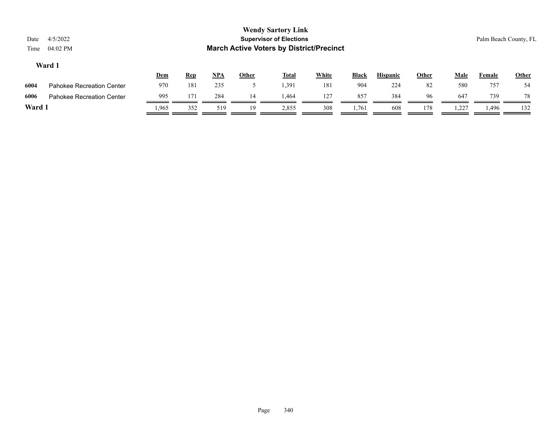| Date<br>Time | 4/5/2022<br>$04:02$ PM           |       |            |       |              | <b>Wendy Sartory Link</b><br><b>Supervisor of Elections</b><br><b>March Active Voters by District/Precinct</b> |              |              |                 |              |             |        | Palm Beach County, FL |
|--------------|----------------------------------|-------|------------|-------|--------------|----------------------------------------------------------------------------------------------------------------|--------------|--------------|-----------------|--------------|-------------|--------|-----------------------|
|              | Ward 1                           | Dem   | <b>Rep</b> | $NPA$ | <b>Other</b> | <u>Total</u>                                                                                                   | <b>White</b> | <b>Black</b> | <b>Hispanic</b> | <b>Other</b> | <u>Male</u> | Female | <b>Other</b>          |
| 6004         | Pahokee Recreation Center        | 970   | 181        | 235   |              | 1,391                                                                                                          | 181          | 904          | 224             | 82           | 580         | 757    | 54                    |
| 6006         | <b>Pahokee Recreation Center</b> | 995   | 171        | 284   | 14           | .464                                                                                                           | 127          | 857          | 384             | 96           | 647         | 739    | 78                    |
| Ward 1       |                                  | 1,965 | 352        | 519   | 19           | 2,855                                                                                                          | 308          | 1,761        | 608             | 178          | .227        | ـ 496. | 132                   |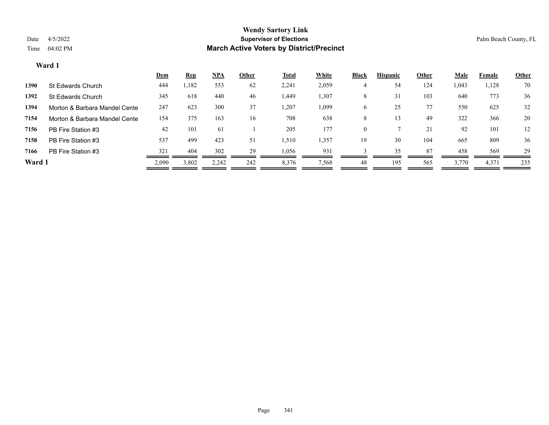|        |                               | <u>Dem</u> | <u>Rep</u> | $NPA$ | Other | <b>Total</b> | White | <b>Black</b> | <b>Hispanic</b> | Other | <b>Male</b> | Female | Other |
|--------|-------------------------------|------------|------------|-------|-------|--------------|-------|--------------|-----------------|-------|-------------|--------|-------|
| 1390   | St Edwards Church             | 444        | .182       | 553   | 62    | 2,241        | 2,059 |              | 54              | 124   | 1,043       | 1,128  | 70    |
| 1392   | St Edwards Church             | 345        | 618        | 440   | 46    | 1,449        | 1,307 | 8            | 31              | 103   | 640         | 773    | 36    |
| 1394   | Morton & Barbara Mandel Cente | 247        | 623        | 300   | 37    | 1,207        | 1,099 | O            | 25              | 77    | 550         | 625    | 32    |
| 7154   | Morton & Barbara Mandel Cente | 154        | 375        | 163   | 16    | 708          | 638   | 8            |                 | 49    | 322         | 366    | 20    |
| 7156   | PB Fire Station #3            | 42         | 101        | 61    |       | 205          | 177   | $\theta$     |                 | 21    | 92          | 101    | 12    |
| 7158   | PB Fire Station #3            | 537        | 499        | 423   | 51    | 1,510        | 1,357 | 19           | 30              | 104   | 665         | 809    | 36    |
| 7166   | PB Fire Station #3            | 321        | 404        | 302   | 29    | 1,056        | 93    |              | 35              | 87    | 458         | 569    | 29    |
| Ward 1 |                               | 2,090      | 3,802      | 2,242 | 242   | 8,376        | 7,568 | 48           | 195             | 565   | 3,770       | 4,371  | 235   |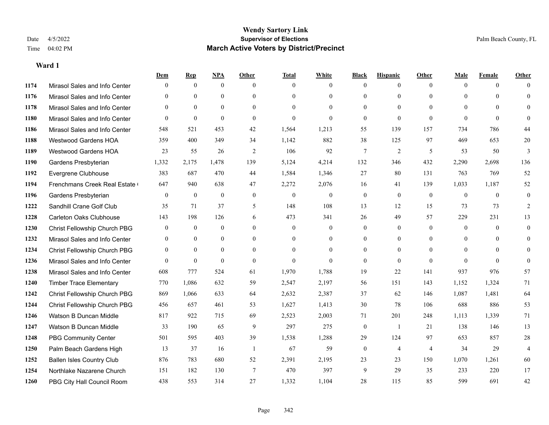|      |                                  | Dem            | <b>Rep</b>   | NPA          | <b>Other</b>   | <b>Total</b> | <b>White</b>     | <b>Black</b>   | <b>Hispanic</b> | <b>Other</b>   | <b>Male</b>    | <b>Female</b> | <b>Other</b>   |
|------|----------------------------------|----------------|--------------|--------------|----------------|--------------|------------------|----------------|-----------------|----------------|----------------|---------------|----------------|
| 1174 | Mirasol Sales and Info Center    | $\mathbf{0}$   | $\mathbf{0}$ | $\mathbf{0}$ | $\theta$       | $\theta$     | $\overline{0}$   | $\mathbf{0}$   | $\mathbf{0}$    | $\theta$       | $\theta$       | $\theta$      | $\Omega$       |
| 1176 | Mirasol Sales and Info Center    | $\theta$       | $\theta$     | $\theta$     | $\Omega$       | $\Omega$     | $\overline{0}$   | $\theta$       | $\theta$        | $\Omega$       | $\theta$       | $\Omega$      | $\theta$       |
| 1178 | Mirasol Sales and Info Center    | $\theta$       | $\mathbf{0}$ | $\mathbf{0}$ | $\theta$       | $\theta$     | $\theta$         | $\theta$       | $\theta$        | $\Omega$       | $\Omega$       | $\Omega$      | $\Omega$       |
| 1180 | Mirasol Sales and Info Center    | $\mathbf{0}$   | $\mathbf{0}$ | $\theta$     | $\overline{0}$ | $\theta$     | $\overline{0}$   | $\mathbf{0}$   | $\mathbf{0}$    | $\theta$       | $\theta$       | $\theta$      | $\Omega$       |
| 1186 | Mirasol Sales and Info Center    | 548            | 521          | 453          | 42             | 1,564        | 1,213            | 55             | 139             | 157            | 734            | 786           | 44             |
| 1188 | Westwood Gardens HOA             | 359            | 400          | 349          | 34             | 1,142        | 882              | 38             | 125             | 97             | 469            | 653           | $20\,$         |
| 1189 | <b>Westwood Gardens HOA</b>      | 23             | 55           | 26           | 2              | 106          | 92               | $\overline{7}$ | $\overline{2}$  | 5              | 53             | 50            | 3              |
| 1190 | Gardens Presbyterian             | 1,332          | 2,175        | 1,478        | 139            | 5,124        | 4,214            | 132            | 346             | 432            | 2,290          | 2,698         | 136            |
| 1192 | Evergrene Clubhouse              | 383            | 687          | 470          | 44             | 1,584        | 1,346            | 27             | 80              | 131            | 763            | 769           | 52             |
| 1194 | Frenchmans Creek Real Estate     | 647            | 940          | 638          | 47             | 2,272        | 2,076            | 16             | 41              | 139            | 1,033          | 1,187         | 52             |
| 1196 | Gardens Presbyterian             | $\overline{0}$ | $\mathbf{0}$ | $\mathbf{0}$ | $\theta$       | $\theta$     | $\overline{0}$   | $\mathbf{0}$   | $\mathbf{0}$    | $\theta$       | $\mathbf{0}$   | $\theta$      | $\mathbf{0}$   |
| 1222 | Sandhill Crane Golf Club         | 35             | 71           | 37           | 5              | 148          | 108              | 13             | 12              | 15             | 73             | 73            | $\overline{2}$ |
| 1228 | <b>Carleton Oaks Clubhouse</b>   | 143            | 198          | 126          | 6              | 473          | 341              | 26             | 49              | 57             | 229            | 231           | 13             |
| 1230 | Christ Fellowship Church PBG     | $\mathbf{0}$   | $\mathbf{0}$ | $\mathbf{0}$ | $\overline{0}$ | $\mathbf{0}$ | $\boldsymbol{0}$ | $\mathbf{0}$   | $\mathbf{0}$    | $\overline{0}$ | $\mathbf{0}$   | $\theta$      | $\mathbf{0}$   |
| 1232 | Mirasol Sales and Info Center    | $\theta$       | $\theta$     | $\theta$     | $\Omega$       | $\Omega$     | $\overline{0}$   | $\mathbf{0}$   | $\theta$        | $\Omega$       | $\Omega$       | $\Omega$      | $\theta$       |
| 1234 | Christ Fellowship Church PBG     | $\overline{0}$ | $\mathbf{0}$ | $\mathbf{0}$ | $\theta$       | $\theta$     | $\overline{0}$   | $\mathbf{0}$   | $\mathbf{0}$    | $\theta$       | $\overline{0}$ | $\theta$      | $\mathbf{0}$   |
| 1236 | Mirasol Sales and Info Center    | $\theta$       | $\mathbf{0}$ | $\mathbf{0}$ | $\theta$       | $\Omega$     | $\theta$         | $\mathbf{0}$   | $\mathbf{0}$    | $\theta$       | $\Omega$       | $\theta$      | $\theta$       |
| 1238 | Mirasol Sales and Info Center    | 608            | 777          | 524          | 61             | 1,970        | 1,788            | 19             | 22              | 141            | 937            | 976           | 57             |
| 1240 | <b>Timber Trace Elementary</b>   | 770            | 1,086        | 632          | 59             | 2,547        | 2,197            | 56             | 151             | 143            | 1,152          | 1,324         | 71             |
| 1242 | Christ Fellowship Church PBG     | 869            | 1,066        | 633          | 64             | 2,632        | 2,387            | 37             | 62              | 146            | 1,087          | 1,481         | 64             |
| 1244 | Christ Fellowship Church PBG     | 456            | 657          | 461          | 53             | 1,627        | 1,413            | 30             | 78              | 106            | 688            | 886           | 53             |
| 1246 | Watson B Duncan Middle           | 817            | 922          | 715          | 69             | 2,523        | 2,003            | 71             | 201             | 248            | 1,113          | 1,339         | 71             |
| 1247 | Watson B Duncan Middle           | 33             | 190          | 65           | 9              | 297          | 275              | $\mathbf{0}$   | -1              | 21             | 138            | 146           | 13             |
| 1248 | <b>PBG Community Center</b>      | 501            | 595          | 403          | 39             | 1,538        | 1,288            | 29             | 124             | 97             | 653            | 857           | $28\,$         |
| 1250 | Palm Beach Gardens High          | 13             | 37           | 16           | $\overline{1}$ | 67           | 59               | $\mathbf{0}$   | $\overline{4}$  | $\overline{4}$ | 34             | 29            | $\overline{4}$ |
| 1252 | <b>Ballen Isles Country Club</b> | 876            | 783          | 680          | 52             | 2,391        | 2,195            | 23             | 23              | 150            | 1,070          | 1,261         | 60             |
| 1254 | Northlake Nazarene Church        | 151            | 182          | 130          | $\overline{7}$ | 470          | 397              | 9              | 29              | 35             | 233            | 220           | 17             |
| 1260 | PBG City Hall Council Room       | 438            | 553          | 314          | 27             | 1,332        | 1,104            | 28             | 115             | 85             | 599            | 691           | 42             |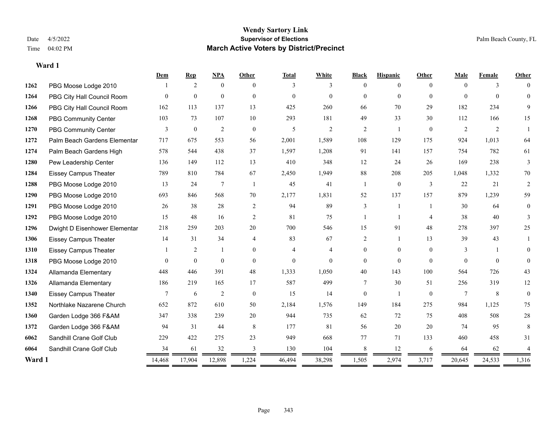#### **Wendy Sartory Link** Date 4/5/2022 **Supervisor of Elections** Palm Beach County, FL Time 04:02 PM **March Active Voters by District/Precinct**

**Dem Rep NPA Other Total White Black Hispanic Other Male Female Other**

| 1262   | PBG Moose Lodge 2010          |          | 2                | $\theta$       | $\theta$       | 3              | 3              | $\Omega$        | $\Omega$       | $\theta$       | $\theta$       | 3        | $\Omega$ |
|--------|-------------------------------|----------|------------------|----------------|----------------|----------------|----------------|-----------------|----------------|----------------|----------------|----------|----------|
| 1264   | PBG City Hall Council Room    | $\Omega$ | $\mathbf{0}$     | $\mathbf{0}$   | $\overline{0}$ | $\overline{0}$ | $\Omega$       | $\Omega$        | $\Omega$       | $\theta$       | $\theta$       | $\theta$ |          |
| 1266   | PBG City Hall Council Room    | 162      | 113              | 137            | 13             | 425            | 260            | 66              | 70             | 29             | 182            | 234      | 9        |
| 1268   | <b>PBG Community Center</b>   | 103      | 73               | 107            | 10             | 293            | 181            | 49              | 33             | 30             | 112            | 166      | 15       |
| 1270   | <b>PBG Community Center</b>   | 3        | $\boldsymbol{0}$ | $\overline{2}$ | $\mathbf{0}$   | 5              | $\overline{2}$ | 2               | $\overline{1}$ | $\mathbf{0}$   | $\overline{2}$ | 2        | -1       |
| 1272   | Palm Beach Gardens Elementar  | 717      | 675              | 553            | 56             | 2,001          | 1,589          | 108             | 129            | 175            | 924            | 1,013    | 64       |
| 1274   | Palm Beach Gardens High       | 578      | 544              | 438            | 37             | 1,597          | 1,208          | 91              | 141            | 157            | 754            | 782      | 61       |
| 1280   | Pew Leadership Center         | 136      | 149              | 112            | 13             | 410            | 348            | 12              | 24             | 26             | 169            | 238      | 3        |
| 1284   | <b>Eissey Campus Theater</b>  | 789      | 810              | 784            | 67             | 2,450          | 1,949          | 88              | 208            | 205            | 1,048          | 1,332    | 70       |
| 1288   | PBG Moose Lodge 2010          | 13       | 24               | $\tau$         | -1             | 45             | 41             | $\overline{1}$  | $\mathbf{0}$   | 3              | 22             | 21       | 2        |
| 1290   | PBG Moose Lodge 2010          | 693      | 846              | 568            | 70             | 2,177          | 1,831          | 52              | 137            | 157            | 879            | 1,239    | 59       |
| 1291   | PBG Moose Lodge 2010          | 26       | 38               | 28             | 2              | 94             | 89             | 3               | $\overline{1}$ |                | 30             | 64       | $\theta$ |
| 1292   | PBG Moose Lodge 2010          | 15       | 48               | 16             | 2              | 81             | 75             |                 |                | $\overline{4}$ | 38             | 40       |          |
| 1296   | Dwight D Eisenhower Elementar | 218      | 259              | 203            | 20             | 700            | 546            | 15              | 91             | 48             | 278            | 397      | 25       |
| 1306   | <b>Eissey Campus Theater</b>  | 14       | 31               | 34             | $\overline{4}$ | 83             | 67             | 2               |                | 13             | 39             | 43       |          |
| 1310   | <b>Eissey Campus Theater</b>  |          | $\overline{2}$   | -1             | $\Omega$       | 4              | $\overline{4}$ | $\Omega$        | $\Omega$       | $\theta$       | 3              |          |          |
| 1318   | PBG Moose Lodge 2010          | $\theta$ | $\theta$         | $\theta$       | $\theta$       | $\Omega$       | $\theta$       | $\Omega$        | $\Omega$       | $\theta$       | $\theta$       | $\Omega$ | $\Omega$ |
| 1324   | Allamanda Elementary          | 448      | 446              | 391            | 48             | 1,333          | 1,050          | 40              | 143            | 100            | 564            | 726      | 43       |
| 1326   | Allamanda Elementary          | 186      | 219              | 165            | 17             | 587            | 499            | $7\phantom{.0}$ | 30             | 51             | 256            | 319      | 12       |
| 1340   | <b>Eissey Campus Theater</b>  | 7        | 6                | 2              | $\theta$       | 15             | 14             | $\theta$        |                | $\Omega$       | 7              | 8        | $\theta$ |
| 1352   | Northlake Nazarene Church     | 652      | 872              | 610            | 50             | 2,184          | 1,576          | 149             | 184            | 275            | 984            | 1,125    | 75       |
| 1360   | Garden Lodge 366 F&AM         | 347      | 338              | 239            | 20             | 944            | 735            | 62              | 72             | 75             | 408            | 508      | 28       |
| 1372   | Garden Lodge 366 F&AM         | 94       | 31               | 44             | 8              | 177            | 81             | 56              | 20             | 20             | 74             | 95       | 8        |
| 6062   | Sandhill Crane Golf Club      | 229      | 422              | 275            | 23             | 949            | 668            | 77              | 71             | 133            | 460            | 458      | 31       |
| 6064   | Sandhill Crane Golf Club      | 34       | 61               | 32             | 3              | 130            | 104            | 8               | 12             | 6              | 64             | 62       |          |
| Ward 1 |                               | 14,468   | 17,904           | 12,898         | 1,224          | 46,494         | 38,298         | 1,505           | 2,974          | 3,717          | 20,645         | 24,533   | 1,316    |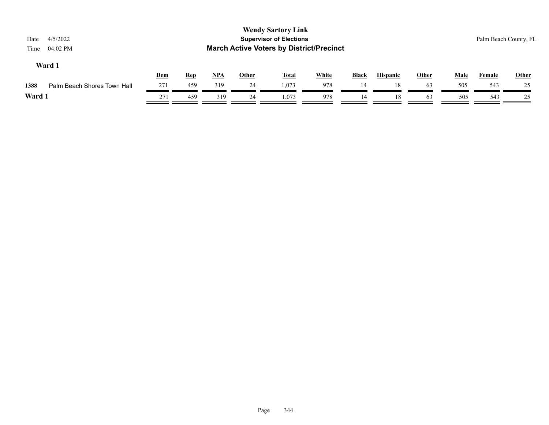| 4/5/2022<br>Date<br>04:02 PM<br>Time |     |            |            |              | <b>Wendy Sartory Link</b><br><b>Supervisor of Elections</b><br><b>March Active Voters by District/Precinct</b> |              |       |                 |              |             |               | Palm Beach County, FL |
|--------------------------------------|-----|------------|------------|--------------|----------------------------------------------------------------------------------------------------------------|--------------|-------|-----------------|--------------|-------------|---------------|-----------------------|
| Ward 1                               | Dem | <b>Rep</b> | <u>NPA</u> | <b>Other</b> | <b>Total</b>                                                                                                   | <b>White</b> | Black | <b>Hispanic</b> | <b>Other</b> | <b>Male</b> | <b>Female</b> | Other                 |
| 1388<br>Palm Beach Shores Town Hall  | 271 | 459        | 319        | 24           | 1.073                                                                                                          | 978          | 14    | 18              | 63           | 505         | 543           | 25                    |
| Ward 1                               | 271 | 459        | 319        | 24           | 1.073                                                                                                          | 978          | 14    | 18              | 63           | 505         | 543           | 25                    |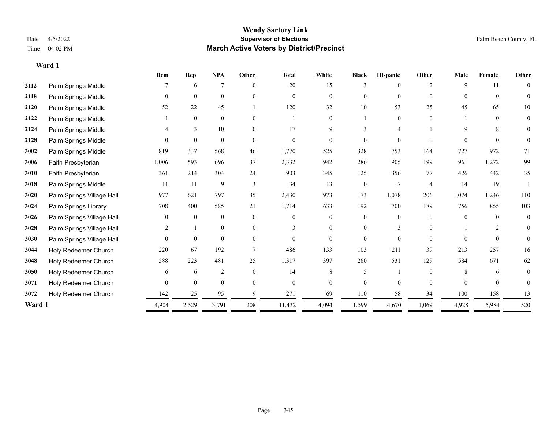#### **Wendy Sartory Link** Date 4/5/2022 **Supervisor of Elections** Palm Beach County, FL Time 04:02 PM **March Active Voters by District/Precinct**

|        |                           | Dem      | <b>Rep</b>   | <b>NPA</b>     | Other    | <b>Total</b> | White          | <b>Black</b>   | <b>Hispanic</b> | Other          | <b>Male</b> | Female   | <b>Other</b>   |
|--------|---------------------------|----------|--------------|----------------|----------|--------------|----------------|----------------|-----------------|----------------|-------------|----------|----------------|
| 2112   | Palm Springs Middle       |          | 6            | 7              | $\theta$ | 20           | 15             | 3              | $\Omega$        | $\overline{2}$ | 9           | 11       | $\overline{0}$ |
| 2118   | Palm Springs Middle       | $\theta$ | $\mathbf{0}$ | $\mathbf{0}$   | $\Omega$ | $\Omega$     | $\overline{0}$ | $\overline{0}$ | $\overline{0}$  | $\Omega$       | $\theta$    | $\theta$ | 0              |
| 2120   | Palm Springs Middle       | 52       | 22           | 45             |          | 120          | 32             | 10             | 53              | 25             | 45          | 65       | 10             |
| 2122   | Palm Springs Middle       |          | $\mathbf{0}$ | $\mathbf{0}$   | $\theta$ |              | $\theta$       |                | $\overline{0}$  | $\theta$       |             | $\theta$ | $\theta$       |
| 2124   | Palm Springs Middle       |          | 3            | 10             | $\theta$ | 17           | 9              |                | 4               |                | 9           | 8        | $\Omega$       |
| 2128   | Palm Springs Middle       | 0        | $\theta$     | $\theta$       | $\Omega$ | $\theta$     | 0              | $\theta$       | $\Omega$        | $\Omega$       | 0           | $\Omega$ | $\theta$       |
| 3002   | Palm Springs Middle       | 819      | 337          | 568            | 46       | 1,770        | 525            | 328            | 753             | 164            | 727         | 972      | 71             |
| 3006   | Faith Presbyterian        | 1,006    | 593          | 696            | 37       | 2,332        | 942            | 286            | 905             | 199            | 961         | 1,272    | 99             |
| 3010   | Faith Presbyterian        | 361      | 214          | 304            | 24       | 903          | 345            | 125            | 356             | 77             | 426         | 442      | 35             |
| 3018   | Palm Springs Middle       | 11       | 11           | 9              | 3        | 34           | 13             | $\overline{0}$ | 17              | $\overline{4}$ | 14          | 19       |                |
| 3020   | Palm Springs Village Hall | 977      | 621          | 797            | 35       | 2,430        | 973            | 173            | 1,078           | 206            | 1,074       | 1,246    | 110            |
| 3024   | Palm Springs Library      | 708      | 400          | 585            | 21       | 1,714        | 633            | 192            | 700             | 189            | 756         | 855      | 103            |
| 3026   | Palm Springs Village Hall | $\theta$ | $\mathbf{0}$ | $\mathbf{0}$   | $\Omega$ | $\Omega$     | $\theta$       | 0              | $\theta$        | $\Omega$       | $\Omega$    | $\Omega$ | $\overline{0}$ |
| 3028   | Palm Springs Village Hall | 2        |              | $\overline{0}$ | $\theta$ | 3            | $\theta$       | 0              | 3               | $\Omega$       |             | 2        | $\Omega$       |
| 3030   | Palm Springs Village Hall | $\theta$ | $\theta$     | $\theta$       | $\Omega$ | $\theta$     | $\theta$       | $\theta$       | $\Omega$        | $\Omega$       | $\Omega$    | $\Omega$ | $\theta$       |
| 3044   | Holy Redeemer Church      | 220      | 67           | 192            |          | 486          | 133            | 103            | 211             | 39             | 213         | 257      | 16             |
| 3048   | Holy Redeemer Church      | 588      | 223          | 481            | 25       | 1,317        | 397            | 260            | 531             | 129            | 584         | 671      | 62             |
| 3050   | Holy Redeemer Church      | 6        | 6            | 2              | $\theta$ | 14           | 8              | 5              |                 | $\Omega$       | 8           | 6        | 0              |
| 3071   | Holy Redeemer Church      | $\theta$ | $\mathbf{0}$ | $\mathbf{0}$   | $\Omega$ | $\Omega$     | $\theta$       | 0              | $\Omega$        | $\Omega$       | $\Omega$    | $\Omega$ | $\Omega$       |
| 3072   | Holy Redeemer Church      | 142      | 25           | 95             |          | 271          | 69             | 110            | 58              | 34             | 100         | 158      | 13             |
| Ward 1 |                           | 4,904    | 2,529        | 3,791          | 208      | 11,432       | 4,094          | 1,599          | 4,670           | 1,069          | 4,928       | 5,984    | 520            |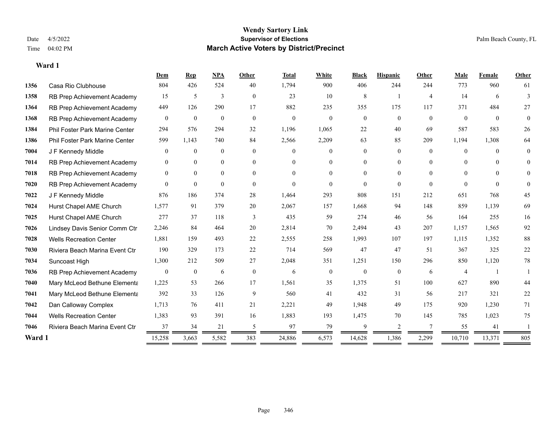|        |                                       | Dem              | <b>Rep</b>       | <b>NPA</b>     | Other          | <b>Total</b> | White          | <b>Black</b>   | <b>Hispanic</b> | Other          | Male           | Female   | Other    |
|--------|---------------------------------------|------------------|------------------|----------------|----------------|--------------|----------------|----------------|-----------------|----------------|----------------|----------|----------|
| 1356   | Casa Rio Clubhouse                    | 804              | 426              | 524            | 40             | 1,794        | 900            | 406            | 244             | 244            | 773            | 960      | 61       |
| 1358   | RB Prep Achievement Academy           | 15               | 5                | 3              | $\overline{0}$ | 23           | 10             | 8              | -1              | $\overline{4}$ | 14             | 6        | 3        |
| 1364   | RB Prep Achievement Academy           | 449              | 126              | 290            | 17             | 882          | 235            | 355            | 175             | 117            | 371            | 484      | 27       |
| 1368   | RB Prep Achievement Academy           | $\mathbf{0}$     | $\mathbf{0}$     | $\mathbf{0}$   | $\mathbf{0}$   | $\mathbf{0}$ | $\overline{0}$ | $\overline{0}$ | $\overline{0}$  | $\theta$       | $\theta$       | $\theta$ | $\theta$ |
| 1384   | <b>Phil Foster Park Marine Center</b> | 294              | 576              | 294            | 32             | 1,196        | 1,065          | 22             | 40              | 69             | 587            | 583      | 26       |
| 1386   | Phil Foster Park Marine Center        | 599              | 1,143            | 740            | 84             | 2,566        | 2,209          | 63             | 85              | 209            | 1,194          | 1,308    | 64       |
| 7004   | J F Kennedy Middle                    | $\overline{0}$   | $\mathbf{0}$     | $\mathbf{0}$   | $\theta$       | $\Omega$     | $\overline{0}$ | $\theta$       | $\overline{0}$  | $\Omega$       | $\overline{0}$ | $\Omega$ | $\theta$ |
| 7014   | RB Prep Achievement Academy           | $\overline{0}$   | $\mathbf{0}$     | $\mathbf{0}$   | $\overline{0}$ | $\theta$     | $\overline{0}$ | $\overline{0}$ | $\overline{0}$  | $\theta$       | $\mathbf{0}$   | $\theta$ | $\theta$ |
| 7018   | RB Prep Achievement Academy           | $\overline{0}$   | $\theta$         | $\overline{0}$ | $\theta$       | $\Omega$     | $\theta$       | $\theta$       | $\Omega$        | $\Omega$       | $\theta$       | $\theta$ | $\Omega$ |
| 7020   | RB Prep Achievement Academy           | $\overline{0}$   | $\mathbf{0}$     | $\mathbf{0}$   | $\theta$       | $\theta$     | $\Omega$       | $\Omega$       | $\overline{0}$  | $\Omega$       | $\theta$       | $\theta$ | $\theta$ |
| 7022   | J F Kennedy Middle                    | 876              | 186              | 374            | 28             | 1,464        | 293            | 808            | 151             | 212            | 651            | 768      | 45       |
| 7024   | Hurst Chapel AME Church               | 1,577            | 91               | 379            | 20             | 2,067        | 157            | 1,668          | 94              | 148            | 859            | 1,139    | 69       |
| 7025   | Hurst Chapel AME Church               | 277              | 37               | 118            | 3              | 435          | 59             | 274            | 46              | 56             | 164            | 255      | 16       |
| 7026   | Lindsey Davis Senior Comm Ctr         | 2,246            | 84               | 464            | 20             | 2,814        | 70             | 2,494          | 43              | 207            | 1,157          | 1,565    | 92       |
| 7028   | <b>Wells Recreation Center</b>        | 1,881            | 159              | 493            | 22             | 2,555        | 258            | 1,993          | 107             | 197            | 1,115          | 1,352    | $88\,$   |
| 7030   | Riviera Beach Marina Event Ctr        | 190              | 329              | 173            | 22             | 714          | 569            | 47             | 47              | 51             | 367            | 325      | 22       |
| 7034   | Suncoast High                         | 1,300            | 212              | 509            | 27             | 2,048        | 351            | 1,251          | 150             | 296            | 850            | 1,120    | $78\,$   |
| 7036   | RB Prep Achievement Academy           | $\boldsymbol{0}$ | $\boldsymbol{0}$ | 6              | $\mathbf{0}$   | 6            | $\mathbf{0}$   | $\mathbf{0}$   | $\mathbf{0}$    | 6              | 4              |          |          |
| 7040   | Mary McLeod Bethune Elementa          | 1,225            | 53               | 266            | 17             | 1,561        | 35             | 1,375          | 51              | 100            | 627            | 890      | 44       |
| 7041   | Mary McLeod Bethune Elementa          | 392              | 33               | 126            | 9              | 560          | 41             | 432            | 31              | 56             | 217            | 321      | 22       |
| 7042   | Dan Calloway Complex                  | 1,713            | 76               | 411            | 21             | 2,221        | 49             | 1,948          | 49              | 175            | 920            | 1,230    | 71       |
| 7044   | <b>Wells Recreation Center</b>        | 1,383            | 93               | 391            | 16             | 1,883        | 193            | 1,475          | 70              | 145            | 785            | 1,023    | 75       |
| 7046   | Riviera Beach Marina Event Ctr        | 37               | 34               | 21             | 5              | 97           | 79             | 9              | 2               | 7              | 55             | 41       |          |
| Ward 1 |                                       | 15,258           | 3,663            | 5,582          | 383            | 24,886       | 6,573          | 14,628         | 1,386           | 2,299          | 10,710         | 13,371   | 805      |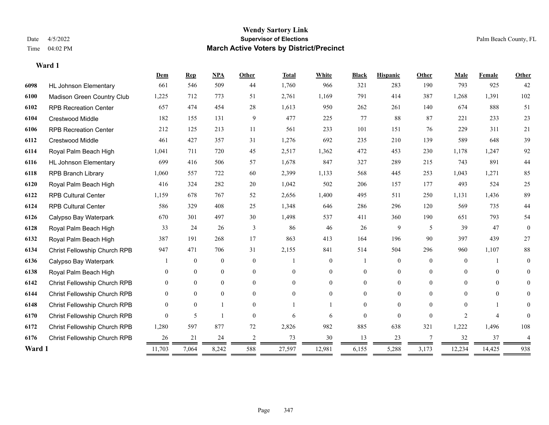#### **Wendy Sartory Link** Date 4/5/2022 **Supervisor of Elections** Palm Beach County, FL Time 04:02 PM **March Active Voters by District/Precinct**

|        |                              | Dem      | <b>Rep</b>     | <b>NPA</b>     | Other          | <b>Total</b> | White          | <b>Black</b> | <b>Hispanic</b> | Other    | Male           | Female         | Other          |
|--------|------------------------------|----------|----------------|----------------|----------------|--------------|----------------|--------------|-----------------|----------|----------------|----------------|----------------|
| 6098   | <b>HL Johnson Elementary</b> | 661      | 546            | 509            | 44             | 1,760        | 966            | 321          | 283             | 190      | 793            | 925            | 42             |
| 6100   | Madison Green Country Club   | 1,225    | 712            | 773            | 51             | 2,761        | 1,169          | 791          | 414             | 387      | 1,268          | 1,391          | 102            |
| 6102   | <b>RPB Recreation Center</b> | 657      | 474            | 454            | 28             | 1,613        | 950            | 262          | 261             | 140      | 674            | 888            | 51             |
| 6104   | <b>Crestwood Middle</b>      | 182      | 155            | 131            | 9              | 477          | 225            | 77           | 88              | 87       | 221            | 233            | 23             |
| 6106   | <b>RPB Recreation Center</b> | 212      | 125            | 213            | 11             | 561          | 233            | 101          | 151             | 76       | 229            | 311            | 21             |
| 6112   | <b>Crestwood Middle</b>      | 461      | 427            | 357            | 31             | 1,276        | 692            | 235          | 210             | 139      | 589            | 648            | 39             |
| 6114   | Royal Palm Beach High        | 1,041    | 711            | 720            | 45             | 2,517        | 1,362          | 472          | 453             | 230      | 1,178          | 1.247          | 92             |
| 6116   | <b>HL Johnson Elementary</b> | 699      | 416            | 506            | 57             | 1,678        | 847            | 327          | 289             | 215      | 743            | 891            | 44             |
| 6118   | <b>RPB Branch Library</b>    | 1,060    | 557            | 722            | 60             | 2,399        | 1,133          | 568          | 445             | 253      | 1,043          | 1,271          | 85             |
| 6120   | Royal Palm Beach High        | 416      | 324            | 282            | 20             | 1,042        | 502            | 206          | 157             | 177      | 493            | 524            | 25             |
| 6122   | <b>RPB Cultural Center</b>   | 1,159    | 678            | 767            | 52             | 2,656        | 1,400          | 495          | 511             | 250      | 1,131          | 1,436          | 89             |
| 6124   | <b>RPB Cultural Center</b>   | 586      | 329            | 408            | 25             | 1,348        | 646            | 286          | 296             | 120      | 569            | 735            | 44             |
| 6126   | Calypso Bay Waterpark        | 670      | 301            | 497            | 30             | 1,498        | 537            | 411          | 360             | 190      | 651            | 793            | 54             |
| 6128   | Royal Palm Beach High        | 33       | 24             | 26             | 3              | 86           | 46             | 26           | 9               | 5        | 39             | 47             | $\mathbf{0}$   |
| 6132   | Royal Palm Beach High        | 387      | 191            | 268            | 17             | 863          | 413            | 164          | 196             | 90       | 397            | 439            | 27             |
| 6134   | Christ Fellowship Church RPB | 947      | 471            | 706            | 31             | 2,155        | 841            | 514          | 504             | 296      | 960            | 1,107          | $88\,$         |
| 6136   | Calypso Bay Waterpark        |          | $\overline{0}$ | $\overline{0}$ | $\theta$       |              | $\overline{0}$ |              | $\mathbf{0}$    | $\theta$ | $\theta$       |                | $\theta$       |
| 6138   | Royal Palm Beach High        | 0        | $\Omega$       | $\overline{0}$ | $\theta$       | $\Omega$     | $\overline{0}$ | $\theta$     | $\theta$        | $\theta$ | $\theta$       | $\theta$       | $\theta$       |
| 6142   | Christ Fellowship Church RPB | 0        | $\overline{0}$ | $\overline{0}$ | $\theta$       | $\Omega$     | $\overline{0}$ | 0            | $\overline{0}$  | $\Omega$ | $\theta$       | $\Omega$       | $\overline{0}$ |
| 6144   | Christ Fellowship Church RPB | $\theta$ | $\overline{0}$ | $\overline{0}$ | $\theta$       | $\Omega$     | $\overline{0}$ | 0            | $\mathbf{0}$    | $\Omega$ | $\overline{0}$ | $\overline{0}$ | $\mathbf{0}$   |
| 6148   | Christ Fellowship Church RPB | $\theta$ | $\overline{0}$ |                | $\theta$       |              |                | 0            | $\theta$        | $\Omega$ | $\Omega$       |                | $\overline{0}$ |
| 6170   | Christ Fellowship Church RPB | $\Omega$ | 5              |                | $\theta$       | 6            | 6              | $\theta$     | $\theta$        | $\Omega$ | 2              | $\overline{4}$ | $\theta$       |
| 6172   | Christ Fellowship Church RPB | 1,280    | 597            | 877            | 72             | 2,826        | 982            | 885          | 638             | 321      | 1,222          | 1,496          | 108            |
| 6176   | Christ Fellowship Church RPB | 26       | 21             | 24             | $\overline{2}$ | 73           | 30             | 13           | 23              | 7        | 32             | 37             | $\overline{4}$ |
| Ward 1 |                              | 11,703   | 7,064          | 8,242          | 588            | 27,597       | 12,981         | 6,155        | 5,288           | 3,173    | 12,234         | 14,425         | 938            |
|        |                              | = =      |                |                |                |              |                |              |                 |          |                |                |                |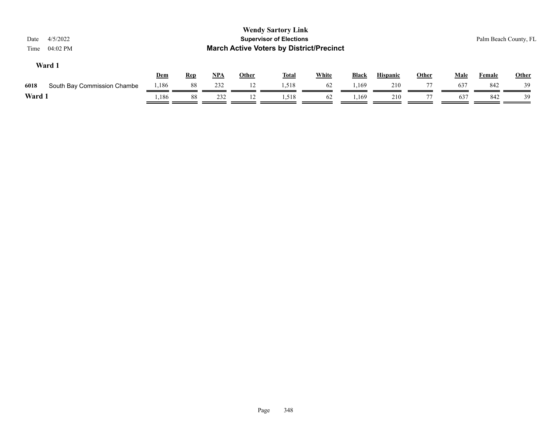| 4/5/2022<br>Date<br>04:02 PM<br>Time |            |            |       |              | <b>Wendy Sartory Link</b><br><b>Supervisor of Elections</b><br><b>March Active Voters by District/Precinct</b> |              |        |                 |              |             | Palm Beach County, FL |              |
|--------------------------------------|------------|------------|-------|--------------|----------------------------------------------------------------------------------------------------------------|--------------|--------|-----------------|--------------|-------------|-----------------------|--------------|
| Ward 1                               | <b>Dem</b> | <b>Rep</b> | $NPA$ | <b>Other</b> | <b>Total</b>                                                                                                   | <b>White</b> | Black  | <b>Hispanic</b> | <b>Other</b> | <b>Male</b> | Female                | <b>Other</b> |
| South Bay Commission Chambe<br>6018  | 1,186      | 88         | 232   | 12           | 1,518                                                                                                          | 62           | 1,169  | 210             |              | 637         | 842                   | 39           |
| Ward 1                               | 1,186      | 88         | 232   |              | 1,518                                                                                                          | 62           | . 169ء | 210             |              | 637         | 842                   | 39           |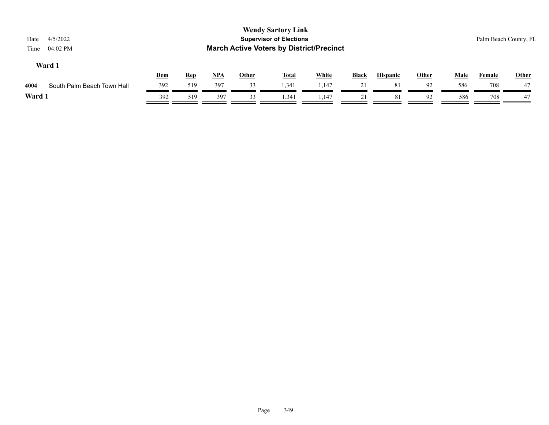| 4/5/2022<br>Date<br>04:02 PM<br>Time |            |            |       |              | <b>Wendy Sartory Link</b><br><b>Supervisor of Elections</b><br><b>March Active Voters by District/Precinct</b> |              |              |                 |              |             |               | Palm Beach County, FL |
|--------------------------------------|------------|------------|-------|--------------|----------------------------------------------------------------------------------------------------------------|--------------|--------------|-----------------|--------------|-------------|---------------|-----------------------|
| Ward 1                               | <b>Dem</b> | <b>Rep</b> | $NPA$ | <b>Other</b> | <b>Total</b>                                                                                                   | <b>White</b> | <b>Black</b> | <b>Hispanic</b> | <b>Other</b> | <b>Male</b> | <b>Female</b> | Other                 |
| 4004<br>South Palm Beach Town Hall   | 392        | 519        | 397   | 33           | 1.341                                                                                                          | 1,147        | 21           | 81              | 92           | 586         | 708           | 47                    |
| Ward 1                               | 392        | 519        | 397   | 33           | 1,341                                                                                                          | 1,147        | 21           | 81              | 92           | 586         | 708           | 47                    |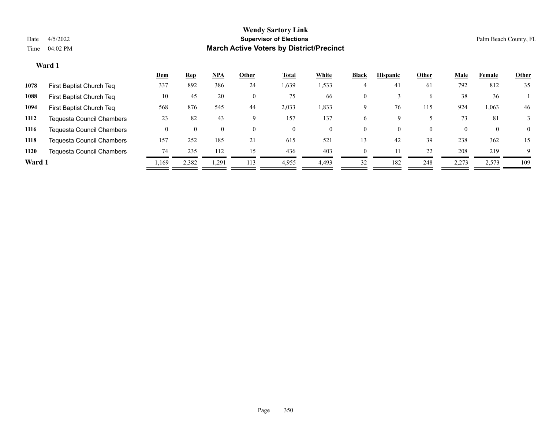|        |                                  | <u>Dem</u> | <b>Rep</b> | <u>NPA</u> | Other    | <b>Total</b> | White | <b>Black</b> | <b>Hispanic</b> | Other    | <b>Male</b> | Female       | <b>Other</b> |
|--------|----------------------------------|------------|------------|------------|----------|--------------|-------|--------------|-----------------|----------|-------------|--------------|--------------|
| 1078   | First Baptist Church Teq         | 337        | 892        | 386        | 24       | 1,639        | 1,533 |              | 41              | 61       | 792         | 812          | 35           |
| 1088   | First Baptist Church Teq         | 10         | 45         | 20         | $\theta$ | 75           | 66    | $\mathbf{0}$ |                 | 6        | 38          | 36           |              |
| 1094   | First Baptist Church Teq         | 568        | 876        | 545        | 44       | 2,033        | 1,833 | Q            | 76              | 115      | 924         | 1,063        | 46           |
| 1112   | <b>Tequesta Council Chambers</b> | 23         | 82         | 43         |          | 157          | 137   | b.           |                 |          | 73          | 81           |              |
| 1116   | <b>Tequesta Council Chambers</b> |            |            | $\theta$   | $\Omega$ | $\theta$     | 0     | $\theta$     | $\theta$        | $\Omega$ |             | $\mathbf{0}$ | $\theta$     |
| 1118   | <b>Tequesta Council Chambers</b> | 157        | 252        | 185        | 21       | 615          | 521   | 13           | 42              | 39       | 238         | 362          | 15           |
| 1120   | <b>Tequesta Council Chambers</b> | 74         | 235        | 112        | 15       | 436          | 403   | $\Omega$     |                 | 22       | 208         | 219          | $\mathbf Q$  |
| Ward 1 |                                  | ,169       | 2,382      | 1,291      | 113      | 4,955        | 4,493 | 32           | 182             | 248      | 2,273       | 2,573        | 109          |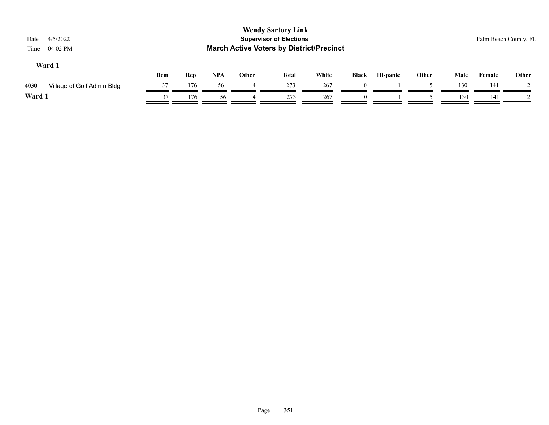| <b>Wendy Sartory Link</b><br><b>Supervisor of Elections</b><br>4/5/2022<br>Date<br><b>March Active Voters by District/Precinct</b><br>04:02 PM<br>Time |                            |     |            |            |              |              |              |          |                 |              |             | Palm Beach County, FL |              |
|--------------------------------------------------------------------------------------------------------------------------------------------------------|----------------------------|-----|------------|------------|--------------|--------------|--------------|----------|-----------------|--------------|-------------|-----------------------|--------------|
|                                                                                                                                                        | Ward 1                     | Dem | <b>Rep</b> | <u>NPA</u> | <b>Other</b> | <b>Total</b> | <b>White</b> | Black    | <b>Hispanic</b> | <b>Other</b> | <b>Male</b> | Female                | <b>Other</b> |
| 4030                                                                                                                                                   | Village of Golf Admin Bldg | 37  | 176        | 56         | 4            | 273          | 267          | $\theta$ |                 |              | 130         | 141                   |              |
| Ward 1                                                                                                                                                 |                            | 37  | 176        | 56         |              | 273          | 267          |          |                 |              | 130         | 141                   |              |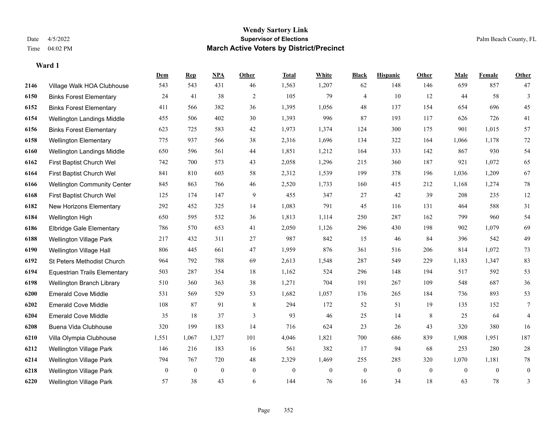|      |                                     | Dem          | <b>Rep</b>   | NPA              | <b>Other</b> | <b>Total</b> | <b>White</b>   | <b>Black</b>   | <b>Hispanic</b> | Other    | <b>Male</b>  | Female         | <b>Other</b>    |
|------|-------------------------------------|--------------|--------------|------------------|--------------|--------------|----------------|----------------|-----------------|----------|--------------|----------------|-----------------|
| 2146 | Village Walk HOA Clubhouse          | 543          | 543          | 431              | 46           | 1,563        | 1,207          | 62             | 148             | 146      | 659          | 857            | 47              |
| 6150 | <b>Binks Forest Elementary</b>      | 24           | 41           | 38               | 2            | 105          | 79             | $\overline{4}$ | 10              | 12       | 44           | 58             | 3               |
| 6152 | <b>Binks Forest Elementary</b>      | 411          | 566          | 382              | 36           | 1,395        | 1,056          | 48             | 137             | 154      | 654          | 696            | 45              |
| 6154 | Wellington Landings Middle          | 455          | 506          | 402              | 30           | 1,393        | 996            | 87             | 193             | 117      | 626          | 726            | 41              |
| 6156 | <b>Binks Forest Elementary</b>      | 623          | 725          | 583              | 42           | 1,973        | 1,374          | 124            | 300             | 175      | 901          | 1.015          | 57              |
| 6158 | <b>Wellington Elementary</b>        | 775          | 937          | 566              | 38           | 2,316        | 1,696          | 134            | 322             | 164      | 1,066        | 1,178          | $72\,$          |
| 6160 | Wellington Landings Middle          | 650          | 596          | 561              | 44           | 1,851        | 1,212          | 164            | 333             | 142      | 867          | 930            | 54              |
| 6162 | First Baptist Church Wel            | 742          | 700          | 573              | 43           | 2,058        | 1,296          | 215            | 360             | 187      | 921          | 1,072          | 65              |
| 6164 | First Baptist Church Wel            | 841          | 810          | 603              | 58           | 2,312        | 1,539          | 199            | 378             | 196      | 1,036        | 1,209          | 67              |
| 6166 | <b>Wellington Community Center</b>  | 845          | 863          | 766              | 46           | 2,520        | 1,733          | 160            | 415             | 212      | 1,168        | 1,274          | $78\,$          |
| 6168 | First Baptist Church Wel            | 125          | 174          | 147              | 9            | 455          | 347            | 27             | 42              | 39       | 208          | 235            | 12              |
| 6182 | New Horizons Elementary             | 292          | 452          | 325              | 14           | 1,083        | 791            | 45             | 116             | 131      | 464          | 588            | 31              |
| 6184 | Wellington High                     | 650          | 595          | 532              | 36           | 1,813        | 1,114          | 250            | 287             | 162      | 799          | 960            | 54              |
| 6186 | <b>Elbridge Gale Elementary</b>     | 786          | 570          | 653              | 41           | 2,050        | 1,126          | 296            | 430             | 198      | 902          | 1,079          | 69              |
| 6188 | Wellington Village Park             | 217          | 432          | 311              | 27           | 987          | 842            | 15             | 46              | 84       | 396          | 542            | 49              |
| 6190 | Wellington Village Hall             | 806          | 445          | 661              | 47           | 1,959        | 876            | 361            | 516             | 206      | 814          | 1,072          | 73              |
| 6192 | St Peters Methodist Church          | 964          | 792          | 788              | 69           | 2,613        | 1,548          | 287            | 549             | 229      | 1,183        | 1,347          | 83              |
| 6194 | <b>Equestrian Trails Elementary</b> | 503          | 287          | 354              | 18           | 1,162        | 524            | 296            | 148             | 194      | 517          | 592            | 53              |
| 6198 | Wellington Branch Library           | 510          | 360          | 363              | 38           | 1,271        | 704            | 191            | 267             | 109      | 548          | 687            | 36              |
| 6200 | <b>Emerald Cove Middle</b>          | 531          | 569          | 529              | 53           | 1,682        | 1,057          | 176            | 265             | 184      | 736          | 893            | 53              |
| 6202 | <b>Emerald Cove Middle</b>          | 108          | 87           | 91               | 8            | 294          | 172            | 52             | 51              | 19       | 135          | 152            | $7\phantom{.0}$ |
| 6204 | <b>Emerald Cove Middle</b>          | 35           | 18           | 37               | 3            | 93           | 46             | 25             | 14              | 8        | 25           | 64             | $\overline{4}$  |
| 6208 | Buena Vida Clubhouse                | 320          | 199          | 183              | 14           | 716          | 624            | 23             | 26              | 43       | 320          | 380            | 16              |
| 6210 | Villa Olympia Clubhouse             | 1,551        | 1,067        | 1,327            | 101          | 4,046        | 1,821          | 700            | 686             | 839      | 1,908        | 1,951          | 187             |
| 6212 | <b>Wellington Village Park</b>      | 146          | 216          | 183              | 16           | 561          | 382            | 17             | 94              | 68       | 253          | 280            | $28\,$          |
| 6214 | Wellington Village Park             | 794          | 767          | 720              | 48           | 2,329        | 1,469          | 255            | 285             | 320      | 1,070        | 1,181          | $78\,$          |
| 6218 | <b>Wellington Village Park</b>      | $\mathbf{0}$ | $\mathbf{0}$ | $\boldsymbol{0}$ | $\mathbf{0}$ | $\mathbf{0}$ | $\overline{0}$ | $\overline{0}$ | $\overline{0}$  | $\bf{0}$ | $\mathbf{0}$ | $\overline{0}$ | $\mathbf{0}$    |
| 6220 | Wellington Village Park             | 57           | 38           | 43               | 6            | 144          | 76             | 16             | 34              | 18       | 63           | 78             | 3               |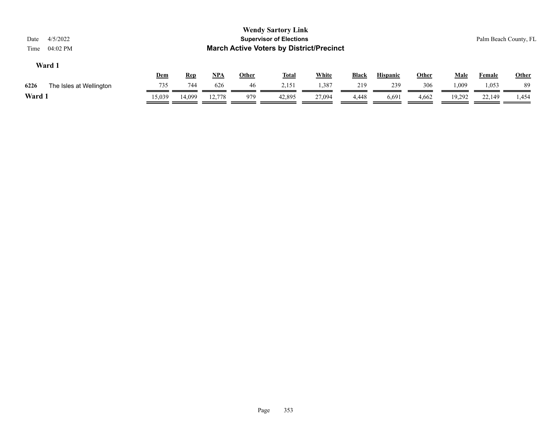| <b>Wendy Sartory Link</b><br><b>Supervisor of Elections</b><br>4/5/2022<br>Date<br><b>March Active Voters by District/Precinct</b><br>04:02 PM<br>Time |                              |              |  |  |  |  |  |  |  |  |
|--------------------------------------------------------------------------------------------------------------------------------------------------------|------------------------------|--------------|--|--|--|--|--|--|--|--|
| Ward 1<br><b>White</b><br><u>NPA</u><br><b>Hispanic</b><br><u>Other</u><br><b>Black</b><br><b>Other</b><br><u>Dem</u><br><b>Total</b><br><b>Rep</b>    | <u>Male</u><br><b>Female</b> | <b>Other</b> |  |  |  |  |  |  |  |  |
| 744<br>1,387<br>306<br>735<br>626<br>46<br>2,151<br>239<br>219<br>1,009<br>6226<br>The Isles at Wellington                                             | 1,053                        | 89           |  |  |  |  |  |  |  |  |
| Ward 1<br>15,039<br>14,099<br>42,895<br>6,691<br>12,778<br>27.094<br>19,292<br>979<br>4,662<br>4,448                                                   | 22,149                       | 1,454        |  |  |  |  |  |  |  |  |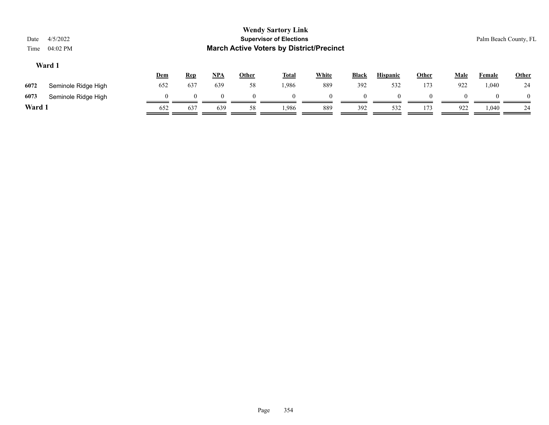| Date<br>Time | 4/5/2022<br>04:02 PM |     |            |          |          | <b>Wendy Sartory Link</b><br><b>Supervisor of Elections</b><br><b>March Active Voters by District/Precinct</b> |              |              |                 |       |             | Palm Beach County, FL |              |
|--------------|----------------------|-----|------------|----------|----------|----------------------------------------------------------------------------------------------------------------|--------------|--------------|-----------------|-------|-------------|-----------------------|--------------|
|              | Ward 1               | Dem | <b>Rep</b> | NPA      | Other    | <u>Total</u>                                                                                                   | <b>White</b> | <b>Black</b> | <b>Hispanic</b> | Other | <b>Male</b> | <b>Female</b>         | <b>Other</b> |
| 6072         | Seminole Ridge High  | 652 | 637        | 639      | 58       | 1,986                                                                                                          | 889          | 392          | 532             | 173   | 922         | 1,040                 | 24           |
| 6073         | Seminole Ridge High  |     |            | $\Omega$ | $\Omega$ | $\theta$                                                                                                       | $\Omega$     | $\Omega$     | $\Omega$        |       | $\Omega$    |                       | $\theta$     |
| Ward 1       |                      | 652 | 637        | 639      | 58       | 1.986                                                                                                          | 889          | 392          | 532             | 173   | 922         | 1,040                 | 24           |
|              |                      |     |            |          |          |                                                                                                                |              |              |                 |       |             |                       |              |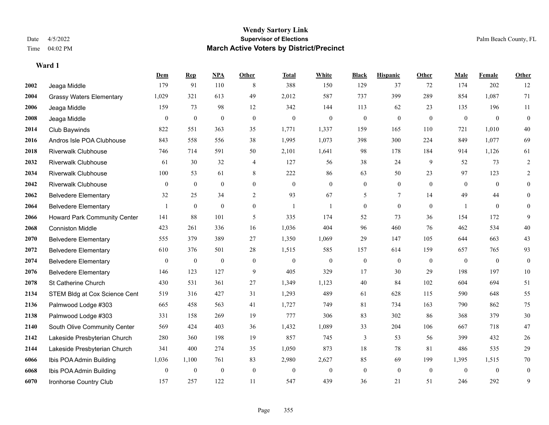#### **Wendy Sartory Link** Date 4/5/2022 **Supervisor of Elections** Palm Beach County, FL Time 04:02 PM **March Active Voters by District/Precinct**

**Dem Rep NPA Other Total White Black Hispanic Other Male Female Other**

# Jeaga Middle 179 91 110 8 388 150 129 37 72 174 202 12 Grassy Waters Elementary 1,029 321 613 49 2,012 587 737 399 289 854 1,087 71 Jeaga Middle 159 73 98 12 342 144 113 62 23 135 196 11 Jeaga Middle 0 0 0 0 0 0 0 0 0 0 0 0 Club Baywinds 822 551 363 35 1,771 1,337 159 165 110 721 1,010 40 Andros Isle POA Clubhouse 843 558 556 38 1,995 1,073 398 300 224 849 1,077 69 Riverwalk Clubhouse 746 714 591 50 2,101 1,641 98 178 184 914 1,126 61 Riverwalk Clubhouse 61 30 32 4 127 56 38 24 9 52 73 2 Riverwalk Clubhouse 100 53 61 8 222 86 63 50 23 97 123 2 Riverwalk Clubhouse 0 0 0 0 0 0 0 0 0 0 0 0 Belvedere Elementary 32 25 34 2 93 67 5 7 14 49 44 0 Belvedere Elementary 1 0 0 0 1 1 0 0 0 1 0 0 Howard Park Community Center 141 88 101 5 335 174 52 73 36 154 172 9 Conniston Middle 423 261 336 16 1,036 404 96 460 76 462 534 40 Belvedere Elementary 555 379 389 27 1,350 1,069 29 147 105 644 663 43 Belvedere Elementary 610 376 501 28 1,515 585 157 614 159 657 765 93 Belvedere Elementary 0 0 0 0 0 0 0 0 0 0 0 0 Belvedere Elementary 146 123 127 9 405 329 17 30 29 198 197 10 St Catherine Church 430 531 361 27 1,349 1,123 40 84 102 604 694 51 2134 STEM Bldg at Cox Science Cent 519 316 427 31 1,293 489 61 628 115 590 648 55 Palmwood Lodge #303 665 458 563 41 1,727 749 81 734 163 790 862 75

| 2138 | Palmwood Lodge #303          | 331   | 158  | 269 | 19 |       | 306      | 83 | 302 | 86       | 368      | 379      | 30             |
|------|------------------------------|-------|------|-----|----|-------|----------|----|-----|----------|----------|----------|----------------|
| 2140 | South Olive Community Center | 569   | 424  | 403 | 36 | 1,432 | l.089    | 33 | 204 | 106      | 667      | 718      | 47             |
| 2142 | Lakeside Presbyterian Church | 280   | 360  | 198 | 19 | 857   | 745      |    | 53  | 56       | 399      | 432      | 26             |
| 2144 | Lakeside Presbyterian Church | 341   | 400  | 274 | 35 | 1,050 | 873      | 18 | 78  | 81       | 486      | 535      | 29             |
| 6066 | Ibis POA Admin Building      | 1,036 | ,100 | 761 | 83 | 2,980 | 2.627    | 85 | 69  | 199      | 1,395    | 1,515    | 70             |
| 6068 | Ibis POA Admin Building      |       |      |     |    |       | $\theta$ |    |     | $\theta$ | $\theta$ | $\theta$ | $\overline{0}$ |
| 6070 | Ironhorse Country Club       | 157   | 257  | 122 |    | 547   | 439      | 36 |     | 51       | 246      | 292      |                |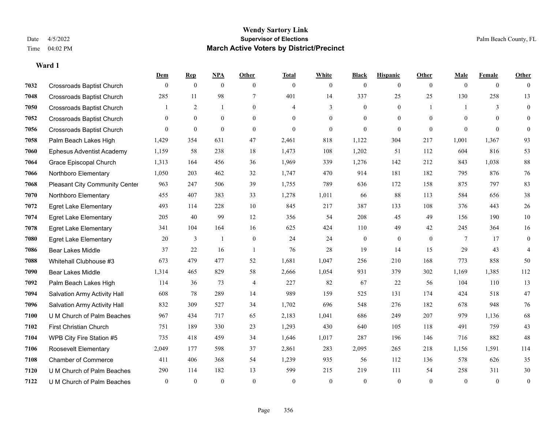#### **Wendy Sartory Link** Date 4/5/2022 **Supervisor of Elections** Palm Beach County, FL Time 04:02 PM **March Active Voters by District/Precinct**

## **Dem Rep NPA Other Total White Black Hispanic Other Male Female Other** Crossroads Baptist Church 0 0 0 0 0 0 0 0 0 0 0 0 Crossroads Baptist Church 285 11 98 7 401 14 337 25 25 130 258 13 Crossroads Baptist Church 1 2 1 0 4 3 0 1 1 3 0 Crossroads Baptist Church 0 0 0 0 0 0 0 0 0 0 0 0 Crossroads Baptist Church 0 0 0 0 0 0 0 0 0 0 0 0 Palm Beach Lakes High 1,429 354 631 47 2,461 818 1,122 304 217 1,001 1,367 93 Ephesus Adventist Academy 1,159 58 238 18 1,473 108 1,202 51 112 604 816 53 Grace Episcopal Church 1,313 164 456 36 1,969 339 1,276 142 212 843 1,038 88 Northboro Elementary 1,050 203 462 32 1,747 470 914 181 182 795 876 76 Pleasant City Community Center 963 247 506 39 1,755 789 636 172 158 875 797 83 Northboro Elementary 455 407 383 33 1,278 1,011 66 88 113 584 656 38 Egret Lake Elementary 493 114 228 10 845 217 387 133 108 376 443 26 Egret Lake Elementary 205 40 99 12 356 54 208 45 49 156 190 10 Egret Lake Elementary 341 104 164 16 625 424 110 49 42 245 364 16 Egret Lake Elementary 20 3 1 0 24 24 0 0 0 7 17 0 Bear Lakes Middle 37 22 16 1 76 28 19 14 15 29 43 4 Whitehall Clubhouse #3 673 479 477 52 1,681 1,047 256 210 168 773 858 50 Bear Lakes Middle 1,314 465 829 58 2,666 1,054 931 379 302 1,169 1,385 112 Palm Beach Lakes High 114 36 73 4 227 82 67 22 56 104 110 13 Salvation Army Activity Hall 608 78 289 14 989 159 525 131 174 424 518 47 Salvation Army Activity Hall 832 309 527 34 1,702 696 548 276 182 678 948 76 U M Church of Palm Beaches 967 434 717 65 2,183 1,041 686 249 207 979 1,136 68 First Christian Church 751 189 330 23 1,293 430 640 105 118 491 759 43 WPB City Fire Station #5 735 418 459 34 1,646 1,017 287 196 146 716 882 48 Roosevelt Elementary 2,049 177 598 37 2,861 283 2,095 265 218 1,156 1,591 114 Chamber of Commerce 411 406 368 54 1,239 935 56 112 136 578 626 35 U M Church of Palm Beaches 290 114 182 13 599 215 219 111 54 258 311 30 U M Church of Palm Beaches 0 0 0 0 0 0 0 0 0 0 0 0